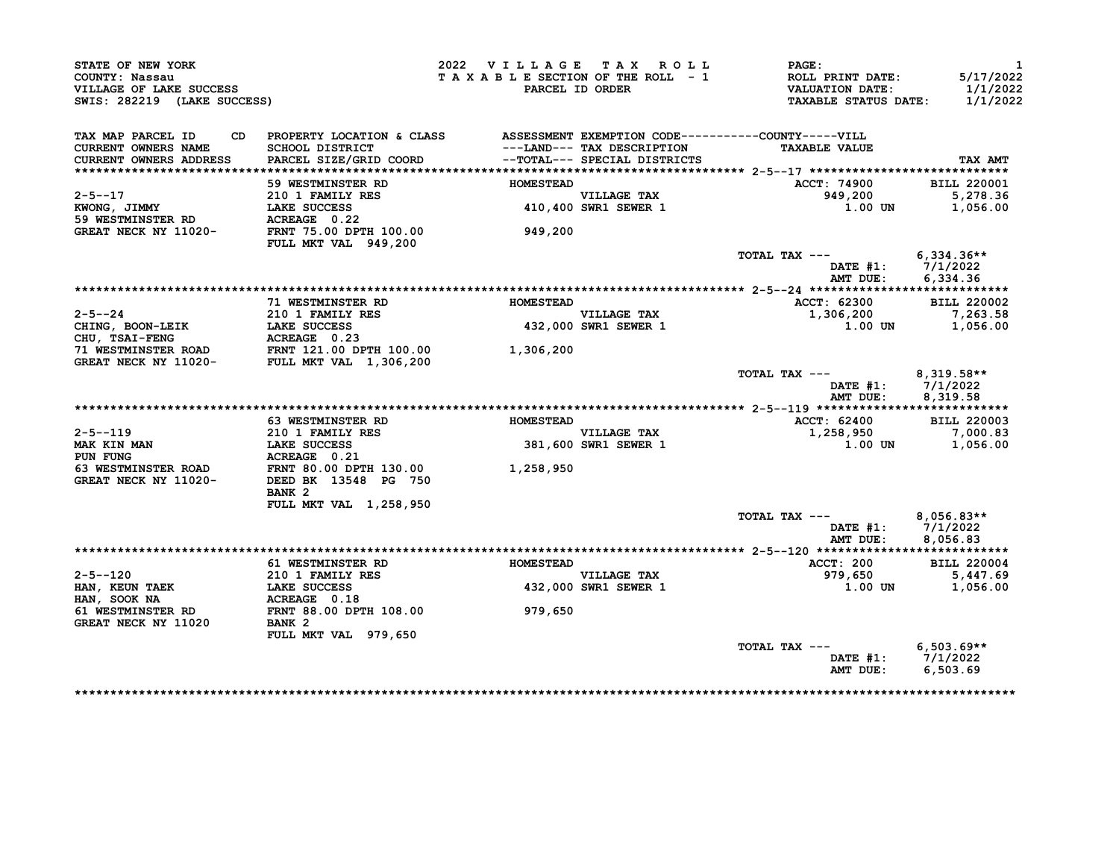| STATE OF NEW YORK<br>COUNTY: Nassau<br>VILLAGE OF LAKE SUCCESS<br>SWIS: 282219 (LAKE SUCCESS)             |                                                                                                 | 2022 VILLAGE TAX ROLL<br>TAXABLE SECTION OF THE ROLL - 1 | PARCEL ID ORDER                     | PAGE:<br>ROLL PRINT DATE:<br><b>VALUATION DATE:</b><br><b>TAXABLE STATUS DATE:</b> | $\mathbf{1}$<br>5/17/2022<br>1/1/2022<br>1/1/2022 |
|-----------------------------------------------------------------------------------------------------------|-------------------------------------------------------------------------------------------------|----------------------------------------------------------|-------------------------------------|------------------------------------------------------------------------------------|---------------------------------------------------|
| TAX MAP PARCEL ID<br>CD.<br><b>CURRENT OWNERS NAME</b>                                                    | PROPERTY LOCATION & CLASS ASSESSMENT EXEMPTION CODE----------COUNTY-----VILL<br>SCHOOL DISTRICT |                                                          | ---LAND--- TAX DESCRIPTION          | <b>TAXABLE VALUE</b>                                                               |                                                   |
| CURRENT OWNERS ADDRESS                                                                                    | PARCEL SIZE/GRID COORD                                                                          |                                                          | --TOTAL--- SPECIAL DISTRICTS        |                                                                                    | TAX AMT                                           |
|                                                                                                           |                                                                                                 |                                                          |                                     |                                                                                    |                                                   |
|                                                                                                           | <b>59 WESTMINSTER RD</b>                                                                        | <b>HOMESTEAD</b>                                         |                                     | ACCT: 74900                                                                        | <b>BILL 220001</b>                                |
| $2 - 5 - -17$                                                                                             | 210 1 FAMILY RES                                                                                |                                                          | VILLAGE TAX                         | 949,200                                                                            | 5,278.36                                          |
| KWONG, JIMMY                                                                                              | LAKE SUCCESS                                                                                    |                                                          | 410,400 SWR1 SEWER 1                | 1.00 UN                                                                            | 1,056.00                                          |
| <b>59 WESTMINSTER RD</b>                                                                                  | ACREAGE 0.22                                                                                    |                                                          |                                     |                                                                                    |                                                   |
| GREAT NECK NY 11020-                                                                                      | FRNT 75.00 DPTH 100.00<br>FULL MKT VAL 949,200                                                  | 949,200                                                  |                                     |                                                                                    |                                                   |
|                                                                                                           |                                                                                                 |                                                          |                                     | TOTAL TAX ---                                                                      | $6,334.36**$                                      |
|                                                                                                           |                                                                                                 |                                                          |                                     | DATE $#1: 7/1/2022$                                                                |                                                   |
|                                                                                                           |                                                                                                 |                                                          |                                     | AMT DUE:                                                                           | 6,334.36                                          |
|                                                                                                           |                                                                                                 |                                                          |                                     |                                                                                    |                                                   |
|                                                                                                           | 71 WESTMINSTER RD                                                                               | <b>HOMESTEAD</b>                                         |                                     | ACCT: 62300                                                                        | <b>BILL 220002</b>                                |
| $2 - 5 - -24$                                                                                             | 210 1 FAMILY RES                                                                                |                                                          | VILLAGE TAX<br>432,000 SWR1 SEWER 1 | 1,306,200                                                                          | 7,263.58                                          |
| CHING, BOON-LEIK                                                                                          | LAKE SUCCESS                                                                                    |                                                          |                                     | 1.00 UN                                                                            | 1,056.00                                          |
|                                                                                                           |                                                                                                 |                                                          |                                     |                                                                                    |                                                   |
| CHU, TSAI-FENG<br>THU, TSAI-FENG<br>T1 WESTMINSTER ROAD<br>GREAT NECK NY 11020-<br>FULL MKT VAL 1,306,200 |                                                                                                 | 1,306,200                                                |                                     |                                                                                    |                                                   |
|                                                                                                           |                                                                                                 |                                                          |                                     | TOTAL TAX ---                                                                      | 8,319.58**                                        |
|                                                                                                           |                                                                                                 |                                                          |                                     | DATE #1: 7/1/2022                                                                  |                                                   |
|                                                                                                           |                                                                                                 |                                                          |                                     | AMT DUE:                                                                           | 8,319.58                                          |
|                                                                                                           |                                                                                                 |                                                          |                                     |                                                                                    |                                                   |
|                                                                                                           | <b>63 WESTMINSTER RD</b>                                                                        | <b>HOMESTEAD</b>                                         |                                     | ACCT: 62400                                                                        | <b>BILL 220003</b>                                |
| $2 - 5 - -119$                                                                                            | 210 1 FAMILY RES<br>LAKE SUCCESS                                                                |                                                          | VILLAGE TAX<br>381,600 SWR1 SEWER 1 | 1,258,950                                                                          | 7,000.83                                          |
| <b>MAK KIN MAN</b>                                                                                        | LAKE SUCCESS                                                                                    |                                                          |                                     | 1.00 UN                                                                            | 1,056.00                                          |
| PUN FUNG                                                                                                  | <b>ACREAGE 0.21<br/>FRNT 80.00 DPTH 130.00<br/>DEED BK 13548 PG 750</b>                         |                                                          |                                     |                                                                                    |                                                   |
| <b>63 WESTMINSTER ROAD</b>                                                                                |                                                                                                 | 1,258,950                                                |                                     |                                                                                    |                                                   |
| GREAT NECK NY 11020-                                                                                      |                                                                                                 |                                                          |                                     |                                                                                    |                                                   |
|                                                                                                           | BANK <sub>2</sub>                                                                               |                                                          |                                     |                                                                                    |                                                   |
|                                                                                                           | FULL MKT VAL 1,258,950                                                                          |                                                          |                                     | TOTAL TAX ---                                                                      | $8,056.83**$                                      |
|                                                                                                           |                                                                                                 |                                                          |                                     | DATE #1:                                                                           | 7/1/2022                                          |
|                                                                                                           |                                                                                                 |                                                          |                                     | AMT DUE:                                                                           | 8,056.83                                          |
|                                                                                                           |                                                                                                 |                                                          |                                     |                                                                                    |                                                   |
|                                                                                                           | <b>61 WESTMINSTER RD</b>                                                                        | <b>HOMESTEAD</b>                                         |                                     | ACCT: 200                                                                          | <b>BILL 220004</b>                                |
| 2-5--120                                                                                                  | <b>210 1 FAMILY RES</b>                                                                         |                                                          | VILLAGE TAX<br>432,000 SWR1 SEWER 1 | 979,650                                                                            | 5,447.69                                          |
| HAN, KEUN TAEK                                                                                            | LAKE SUCCESS                                                                                    |                                                          |                                     | 1.00 UN                                                                            | 1,056.00                                          |
| HAN, SOOK NA                                                                                              | ACREAGE 0.18                                                                                    |                                                          |                                     |                                                                                    |                                                   |
| <b>61 WESTMINSTER RD</b>                                                                                  | FRNT 88.00 DPTH 108.00                                                                          | 979,650                                                  |                                     |                                                                                    |                                                   |
| GREAT NECK NY 11020                                                                                       | BANK <sub>2</sub>                                                                               |                                                          |                                     |                                                                                    |                                                   |
|                                                                                                           | FULL MKT VAL 979,650                                                                            |                                                          |                                     |                                                                                    |                                                   |
|                                                                                                           |                                                                                                 |                                                          |                                     | TOTAL TAX ---<br>DATE #1: 7/1/2022                                                 | $6,503.69**$                                      |
|                                                                                                           |                                                                                                 |                                                          |                                     | AMT DUE:                                                                           | 6,503.69                                          |
|                                                                                                           |                                                                                                 |                                                          |                                     |                                                                                    |                                                   |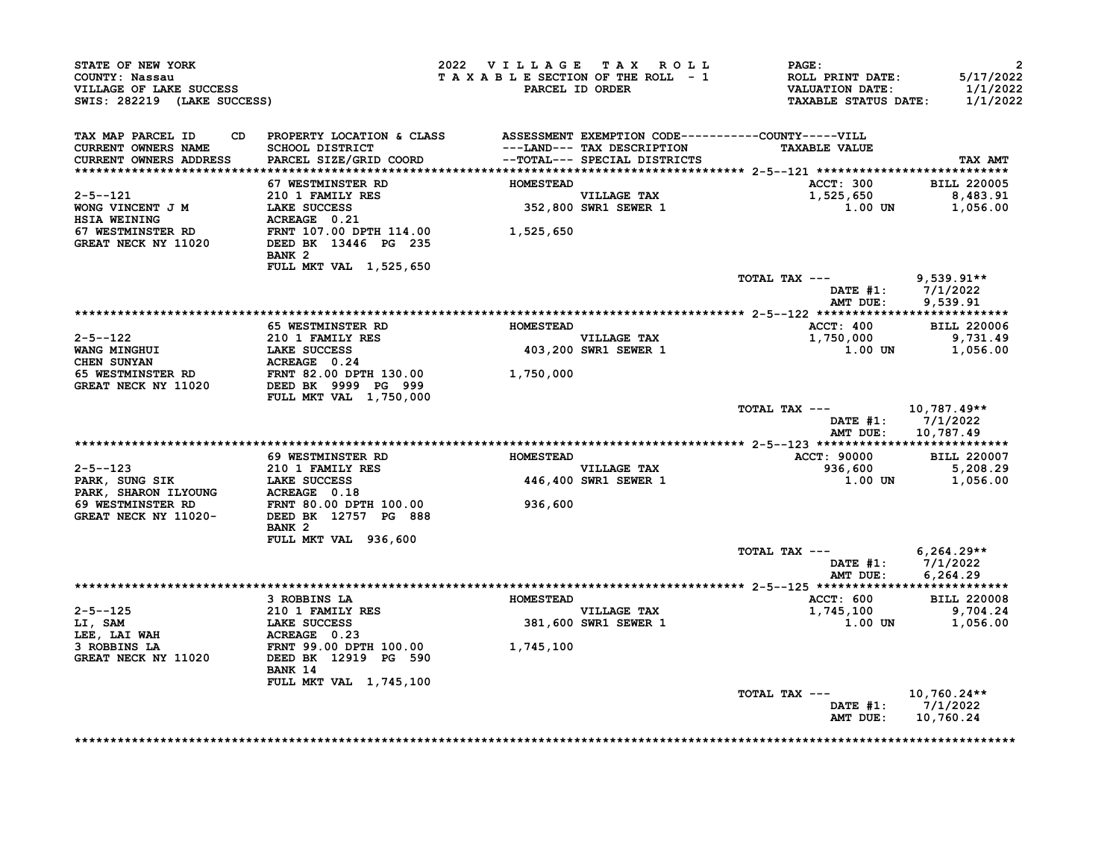| SWIS: 282219 (LAKE SUCCESS) |                                                                                                                                                                                                                                                                                                                                                                                                                                                                                                                       |                                                                                                                                                                                                          | PAGE:<br>ROLL PRINT DATE:<br><b>VALUATION DATE:</b><br><b>TAXABLE STATUS DATE:</b>                                                                                                                                                                                                                        | $\overline{2}$<br>5/17/2022<br>1/1/2022<br>1/1/2022                                                                                                                                                                                                                                                                     |
|-----------------------------|-----------------------------------------------------------------------------------------------------------------------------------------------------------------------------------------------------------------------------------------------------------------------------------------------------------------------------------------------------------------------------------------------------------------------------------------------------------------------------------------------------------------------|----------------------------------------------------------------------------------------------------------------------------------------------------------------------------------------------------------|-----------------------------------------------------------------------------------------------------------------------------------------------------------------------------------------------------------------------------------------------------------------------------------------------------------|-------------------------------------------------------------------------------------------------------------------------------------------------------------------------------------------------------------------------------------------------------------------------------------------------------------------------|
| SCHOOL DISTRICT             |                                                                                                                                                                                                                                                                                                                                                                                                                                                                                                                       |                                                                                                                                                                                                          | <b>TAXABLE VALUE</b>                                                                                                                                                                                                                                                                                      | TAX AMT                                                                                                                                                                                                                                                                                                                 |
|                             |                                                                                                                                                                                                                                                                                                                                                                                                                                                                                                                       |                                                                                                                                                                                                          |                                                                                                                                                                                                                                                                                                           |                                                                                                                                                                                                                                                                                                                         |
|                             |                                                                                                                                                                                                                                                                                                                                                                                                                                                                                                                       |                                                                                                                                                                                                          |                                                                                                                                                                                                                                                                                                           | <b>BILL 220005</b>                                                                                                                                                                                                                                                                                                      |
|                             |                                                                                                                                                                                                                                                                                                                                                                                                                                                                                                                       |                                                                                                                                                                                                          |                                                                                                                                                                                                                                                                                                           | 8,483.91                                                                                                                                                                                                                                                                                                                |
| <b>ACREAGE</b> 0.21         |                                                                                                                                                                                                                                                                                                                                                                                                                                                                                                                       |                                                                                                                                                                                                          |                                                                                                                                                                                                                                                                                                           | 1,056.00                                                                                                                                                                                                                                                                                                                |
| BANK <sub>2</sub>           |                                                                                                                                                                                                                                                                                                                                                                                                                                                                                                                       |                                                                                                                                                                                                          |                                                                                                                                                                                                                                                                                                           |                                                                                                                                                                                                                                                                                                                         |
|                             |                                                                                                                                                                                                                                                                                                                                                                                                                                                                                                                       |                                                                                                                                                                                                          |                                                                                                                                                                                                                                                                                                           |                                                                                                                                                                                                                                                                                                                         |
|                             |                                                                                                                                                                                                                                                                                                                                                                                                                                                                                                                       |                                                                                                                                                                                                          |                                                                                                                                                                                                                                                                                                           | $9,539.91**$<br>DATE #1: 7/1/2022<br>9,539.91                                                                                                                                                                                                                                                                           |
|                             |                                                                                                                                                                                                                                                                                                                                                                                                                                                                                                                       |                                                                                                                                                                                                          |                                                                                                                                                                                                                                                                                                           |                                                                                                                                                                                                                                                                                                                         |
| <b>65 WESTMINSTER RD</b>    |                                                                                                                                                                                                                                                                                                                                                                                                                                                                                                                       |                                                                                                                                                                                                          | ACCT: 400                                                                                                                                                                                                                                                                                                 | <b>BILL 220006</b>                                                                                                                                                                                                                                                                                                      |
| <b>210 1 FAMILY RES</b>     |                                                                                                                                                                                                                                                                                                                                                                                                                                                                                                                       |                                                                                                                                                                                                          | 1,750,000                                                                                                                                                                                                                                                                                                 | 9,731.49                                                                                                                                                                                                                                                                                                                |
|                             |                                                                                                                                                                                                                                                                                                                                                                                                                                                                                                                       |                                                                                                                                                                                                          | 1.00 UN                                                                                                                                                                                                                                                                                                   | 1,056.00                                                                                                                                                                                                                                                                                                                |
|                             |                                                                                                                                                                                                                                                                                                                                                                                                                                                                                                                       |                                                                                                                                                                                                          |                                                                                                                                                                                                                                                                                                           |                                                                                                                                                                                                                                                                                                                         |
| DEED BK 9999 PG 999         |                                                                                                                                                                                                                                                                                                                                                                                                                                                                                                                       |                                                                                                                                                                                                          |                                                                                                                                                                                                                                                                                                           |                                                                                                                                                                                                                                                                                                                         |
|                             |                                                                                                                                                                                                                                                                                                                                                                                                                                                                                                                       |                                                                                                                                                                                                          | TOTAL TAX ---<br>AMT DUE:                                                                                                                                                                                                                                                                                 | 10,787.49**<br>DATE $#1: 7/1/2022$<br>10,787.49                                                                                                                                                                                                                                                                         |
|                             |                                                                                                                                                                                                                                                                                                                                                                                                                                                                                                                       |                                                                                                                                                                                                          |                                                                                                                                                                                                                                                                                                           |                                                                                                                                                                                                                                                                                                                         |
|                             |                                                                                                                                                                                                                                                                                                                                                                                                                                                                                                                       |                                                                                                                                                                                                          |                                                                                                                                                                                                                                                                                                           | <b>BILL 220007</b>                                                                                                                                                                                                                                                                                                      |
|                             |                                                                                                                                                                                                                                                                                                                                                                                                                                                                                                                       |                                                                                                                                                                                                          |                                                                                                                                                                                                                                                                                                           | 5,208.29                                                                                                                                                                                                                                                                                                                |
|                             |                                                                                                                                                                                                                                                                                                                                                                                                                                                                                                                       |                                                                                                                                                                                                          |                                                                                                                                                                                                                                                                                                           | 1,056.00                                                                                                                                                                                                                                                                                                                |
|                             |                                                                                                                                                                                                                                                                                                                                                                                                                                                                                                                       |                                                                                                                                                                                                          |                                                                                                                                                                                                                                                                                                           |                                                                                                                                                                                                                                                                                                                         |
| DEED BK 12757 PG 888        |                                                                                                                                                                                                                                                                                                                                                                                                                                                                                                                       |                                                                                                                                                                                                          |                                                                                                                                                                                                                                                                                                           |                                                                                                                                                                                                                                                                                                                         |
|                             |                                                                                                                                                                                                                                                                                                                                                                                                                                                                                                                       |                                                                                                                                                                                                          |                                                                                                                                                                                                                                                                                                           |                                                                                                                                                                                                                                                                                                                         |
|                             |                                                                                                                                                                                                                                                                                                                                                                                                                                                                                                                       |                                                                                                                                                                                                          | TOTAL TAX ---                                                                                                                                                                                                                                                                                             | $6,264.29**$<br>DATE #1: 7/1/2022                                                                                                                                                                                                                                                                                       |
|                             |                                                                                                                                                                                                                                                                                                                                                                                                                                                                                                                       |                                                                                                                                                                                                          | AMT DUE:                                                                                                                                                                                                                                                                                                  | 6,264.29                                                                                                                                                                                                                                                                                                                |
|                             |                                                                                                                                                                                                                                                                                                                                                                                                                                                                                                                       |                                                                                                                                                                                                          |                                                                                                                                                                                                                                                                                                           |                                                                                                                                                                                                                                                                                                                         |
|                             |                                                                                                                                                                                                                                                                                                                                                                                                                                                                                                                       |                                                                                                                                                                                                          |                                                                                                                                                                                                                                                                                                           | <b>BILL 220008</b><br>9,704.24                                                                                                                                                                                                                                                                                          |
|                             |                                                                                                                                                                                                                                                                                                                                                                                                                                                                                                                       |                                                                                                                                                                                                          |                                                                                                                                                                                                                                                                                                           | 1,056.00                                                                                                                                                                                                                                                                                                                |
|                             |                                                                                                                                                                                                                                                                                                                                                                                                                                                                                                                       |                                                                                                                                                                                                          |                                                                                                                                                                                                                                                                                                           |                                                                                                                                                                                                                                                                                                                         |
| DEED BK 12919 PG 590        | 1,745,100                                                                                                                                                                                                                                                                                                                                                                                                                                                                                                             |                                                                                                                                                                                                          |                                                                                                                                                                                                                                                                                                           |                                                                                                                                                                                                                                                                                                                         |
|                             |                                                                                                                                                                                                                                                                                                                                                                                                                                                                                                                       |                                                                                                                                                                                                          |                                                                                                                                                                                                                                                                                                           |                                                                                                                                                                                                                                                                                                                         |
| FULL MKT VAL 1,745,100      |                                                                                                                                                                                                                                                                                                                                                                                                                                                                                                                       |                                                                                                                                                                                                          |                                                                                                                                                                                                                                                                                                           |                                                                                                                                                                                                                                                                                                                         |
|                             | 67 WESTMINSTER RD<br>210 1 FAMILY RES<br>$2-5-121$<br>WONG VINCENT J M<br>$\frac{1280 \text{ C}}{120 \text{ N}} = 50 \text{ C}$ CESS<br>FULL MKT VAL 1,525,650<br>LAKE SUCCESS<br>FULL MKT VAL 1,750,000<br>EN CONTRACT CONTRACT CONTRACT CONTRACT CONTRACT CONTRACT CONTRACT CONTRACT CONTRACT OUTS<br>FARK, SHARON LLYOUNG ACREAGE 0.18<br>69 WESTMINSTER RD FRNT 80.00 DPTH 100<br>GREAT NECK NY 11000<br>BANK <sub>2</sub><br>FULL MKT VAL 936,600<br>210 1 FAMILY RES<br>LAKE SUCCESS<br>ACREAGE 0.23<br>BANK 14 | PARCEL SIZE/GRID COORD<br>FRNT 107.00 DPTH 114.00<br>1,525,650<br>DEED BK 13446 PG 235<br><b>69 WESTMINSTER RD</b><br>FRNT 80.00 DPTH 100.00<br>936,600<br>3 ROBBINS LA<br><b>FRNT 99.00 DPTH 100.00</b> | <b>PARCEL ID ORDER</b><br>--TOTAL--- SPECIAL DISTRICTS<br><b>HOMESTEAD</b><br>VILLAGE TAX<br>352,800 SWR1 SEWER 1<br><b>HOMESTEAD</b><br>VILLAGE TAX<br>403,200 SWR1 SEWER 1<br><b>HOMESTEAD</b><br>VILLAGE TAX<br>446,400 SWR1 SEWER 1<br><b>HOMESTEAD</b><br><b>VILLAGE TAX</b><br>381,600 SWR1 SEWER 1 | 2022 VILLAGE TAX ROLL<br>TAXABLE SECTION OF THE ROLL - 1<br>CD PROPERTY LOCATION & CLASS ASSESSMENT EXEMPTION CODE----------COUNTY-----VILL<br>---LAND--- TAX DESCRIPTION<br>ACCT: 300<br>1,525,650<br>$1.00$ UN<br>TOTAL TAX ---<br>AMT DUE:<br>ACCT: 90000<br>936,600<br>1.00 UN<br>ACCT: 600<br>1,745,100<br>1.00 UN |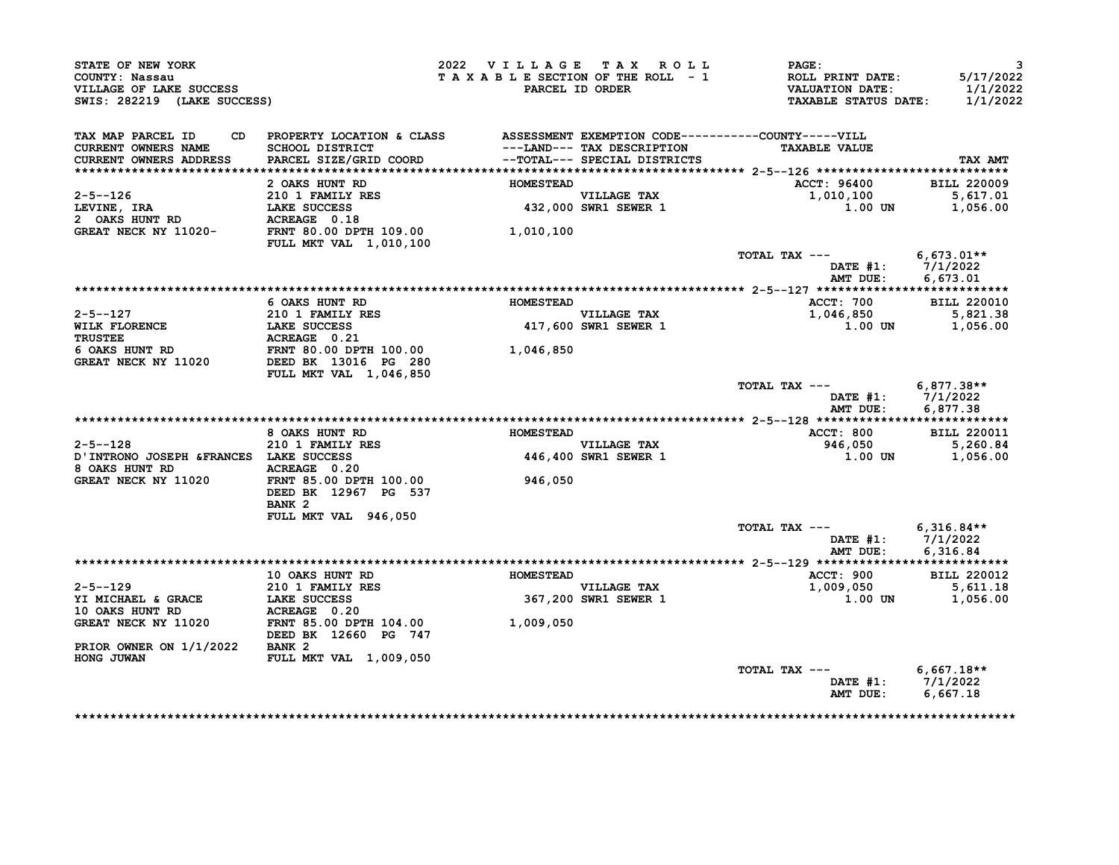| STATE OF NEW YORK<br>COUNTY: Nassau<br>VILLAGE OF LAKE SUCCESS<br>SWIS: 282219 (LAKE SUCCESS)                                                                                                          |                                                                                                                                                                                                                                    | 2022 VILLAGE TAX ROLL<br>TAXABLE SECTION OF THE ROLL - 1 | PARCEL ID ORDER                     | <b>PAGE:</b><br>ROLL PRINT DATE:<br>VALUATION DATE:<br>TAXABLE STATUS DATE: 1/1/2022 | 3<br>5/17/2022<br>1/1/2022             |
|--------------------------------------------------------------------------------------------------------------------------------------------------------------------------------------------------------|------------------------------------------------------------------------------------------------------------------------------------------------------------------------------------------------------------------------------------|----------------------------------------------------------|-------------------------------------|--------------------------------------------------------------------------------------|----------------------------------------|
| TAX MAP PARCEL ID<br>CURRENT OWNERS NAME<br><b>CURRENT OWNERS ADDRESS</b>                                                                                                                              | CD PROPERTY LOCATION & CLASS ASSESSMENT EXEMPTION CODE----------COUNTY-----VILL<br>SCHOOL DISTRICT                                   ---LAND--- TAX DESCRIPTION<br>PARCEL SIZE/GRID COORD             --TOTAL--- SPECIAL DISTRICTS |                                                          | ---LAND--- TAX DESCRIPTION          | <b>TAXABLE VALUE</b>                                                                 | TAX AMT                                |
|                                                                                                                                                                                                        | 2 OAKS HUNT RD                                                                                                                                                                                                                     | <b>HOMESTEAD</b>                                         | VILLAGE TAX<br>432,000 SWR1 SEWER 1 | ACCT: 96400<br>1,010,100<br>$1.00$ UN $1,056.00$                                     | <b>BILL 220009</b><br>5,617.01         |
|                                                                                                                                                                                                        | <b>FULL MKT VAL 1,010,100</b>                                                                                                                                                                                                      | 1,010,100                                                |                                     |                                                                                      |                                        |
|                                                                                                                                                                                                        |                                                                                                                                                                                                                                    |                                                          |                                     | TOTAL TAX --- $6,673.01**$<br>AMT DUE:                                               | DATE #1: 7/1/2022<br>6,673.01          |
|                                                                                                                                                                                                        |                                                                                                                                                                                                                                    |                                                          |                                     |                                                                                      |                                        |
|                                                                                                                                                                                                        | 6 OAKS HUNT RD                                                                                                                                                                                                                     | <b>HOMESTEAD</b>                                         |                                     | ACCT: 700 BILL 220010                                                                |                                        |
|                                                                                                                                                                                                        |                                                                                                                                                                                                                                    |                                                          | VILLAGE TAX<br>417,600 SWR1 SEWER 1 | 1,046,850<br>$1.00$ UN $1,056.00$                                                    | 5,821.38                               |
| 2-5--127<br>WILK FLORENCE<br>TRUSTEE<br>6 OAKS HUNT RD<br>GREAT NECK NY 11020<br>ERENT 80.00 DPTH 100.00<br>GREAT NECK NY 11020<br>28 DEED BK 13016 PG 280                                             | <b>FULL MKT VAL 1,046,850</b>                                                                                                                                                                                                      | 1,046,850                                                |                                     |                                                                                      |                                        |
|                                                                                                                                                                                                        |                                                                                                                                                                                                                                    |                                                          |                                     | TOTAL TAX --- 6,877.38**                                                             | DATE #1: 7/1/2022<br>AMT DUE: 6,877.38 |
|                                                                                                                                                                                                        | 8 OAKS HUNT RD                                                                                                                                                                                                                     | <b>HOMESTEAD</b>                                         |                                     | ACCT: 800                                                                            | <b>BILL 220011</b>                     |
| $2 - 5 - -128$<br>D'INTRONO JOSEPH & FRANCES LAKE SUCCESS                                                                                                                                              | 210 1 FAMILY RES                                                                                                                                                                                                                   |                                                          | VILLAGE TAX<br>446,400 SWR1 SEWER 1 | 946,050 5,260.84<br>1.00 UN 1,056.00                                                 |                                        |
| 8 OAKS HUNT RD<br>GREAT NECK NY 11020 FRNT 85.00 DPTH 100.00                                                                                                                                           | DEED BK 12967 PG 537<br>BANK <sub>2</sub>                                                                                                                                                                                          | 946,050                                                  |                                     |                                                                                      |                                        |
|                                                                                                                                                                                                        | FULL MKT VAL 946,050                                                                                                                                                                                                               |                                                          |                                     | TOTAL TAX --- $6,316.84**$                                                           |                                        |
|                                                                                                                                                                                                        |                                                                                                                                                                                                                                    |                                                          |                                     |                                                                                      | DATE #1: 7/1/2022<br>AMT DUE: 6,316.84 |
|                                                                                                                                                                                                        | <b>10 OAKS HUNT RD</b>                                                                                                                                                                                                             | <b>HOMESTEAD</b>                                         |                                     | ACCT: 900                                                                            | <b>BILL 220012</b>                     |
| $2 - 5 - -129$<br>2-5--129 210 1 FAMILY RES<br>YI MICHAEL & GRACE LAKE SUCCESS 367,200<br>10 OAKS HUNT RD ACREAGE 0.20<br>GREAT NECK NY 11020 FRNT 85.00 DPTH 104.00 1,009,050<br>DEED BK 12660 PG 747 |                                                                                                                                                                                                                                    |                                                          | VILLAGE TAX<br>367,200 SWR1 SEWER 1 | 1,009,050                                                                            | 5,611.18<br>1.00 UN 1,056.00           |
|                                                                                                                                                                                                        |                                                                                                                                                                                                                                    |                                                          |                                     |                                                                                      |                                        |
| PRIOR OWNER ON 1/1/2022 BANK 2<br>HONG JUWAN                                                                                                                                                           | <b>FULL MKT VAL 1,009,050</b>                                                                                                                                                                                                      |                                                          |                                     |                                                                                      |                                        |
|                                                                                                                                                                                                        |                                                                                                                                                                                                                                    |                                                          |                                     | TOTAL TAX $---$ 6.667.18**                                                           | DATE #1: 7/1/2022<br>AMT DUE: 6,667.18 |
|                                                                                                                                                                                                        |                                                                                                                                                                                                                                    |                                                          |                                     |                                                                                      |                                        |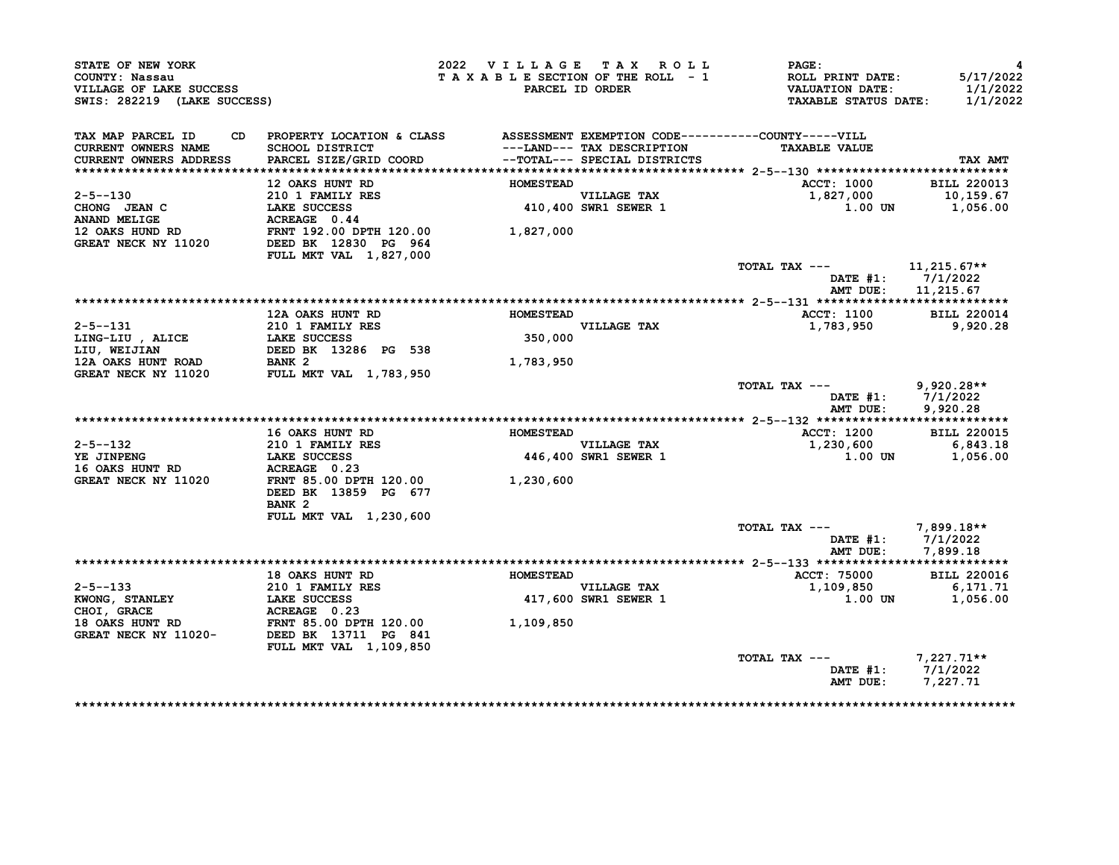| STATE OF NEW YORK<br>COUNTY: Nassau<br>VILLAGE OF LAKE SUCCESS<br>SWIS: 282219 (LAKE SUCCESS) |                                                                                                                           | 2022 VILLAGE TAX ROLL<br>TAXABLE SECTION OF THE ROLL - 1 | PARCEL ID ORDER                                            | PAGE:<br>ROLL PRINT DATE:<br><b>VALUATION DATE:</b><br><b>TAXABLE STATUS DATE:</b> | 4<br>5/17/2022<br>1/1/2022<br>1/1/2022 |
|-----------------------------------------------------------------------------------------------|---------------------------------------------------------------------------------------------------------------------------|----------------------------------------------------------|------------------------------------------------------------|------------------------------------------------------------------------------------|----------------------------------------|
| TAX MAP PARCEL ID<br>CD<br>CURRENT OWNERS NAME<br><b>CURRENT OWNERS ADDRESS</b>               | PROPERTY LOCATION & CLASS ASSESSMENT EXEMPTION CODE----------COUNTY-----VILL<br>SCHOOL DISTRICT<br>PARCEL SIZE/GRID COORD |                                                          | ---LAND--- TAX DESCRIPTION<br>--TOTAL--- SPECIAL DISTRICTS | <b>TAXABLE VALUE</b>                                                               | TAX AMT                                |
|                                                                                               |                                                                                                                           |                                                          |                                                            |                                                                                    |                                        |
|                                                                                               | 12 OAKS HUNT RD                                                                                                           | <b>HOMESTEAD</b>                                         |                                                            | <b>ACCT: 1000</b>                                                                  | <b>BILL 220013</b>                     |
| 2-5--130                                                                                      |                                                                                                                           |                                                          | <b>VILLAGE TAX</b>                                         | 1,827,000                                                                          | 10,159.67                              |
| CHONG JEAN C                                                                                  | <b>210 1 FAMILY RES<br/>LAKE SUCCESS<br/>ACREAGE 0.44</b><br><b>LAKE SUCCESS</b>                                          |                                                          | 410,400 SWR1 SEWER 1                                       | 1.00 UN                                                                            | 1,056.00                               |
| ANAND MELIGE                                                                                  | ACREAGE 0.44                                                                                                              |                                                          |                                                            |                                                                                    |                                        |
| 12 OAKS HUND RD                                                                               | FRNT 192.00 DPTH 120.00                                                                                                   | 1,827,000                                                |                                                            |                                                                                    |                                        |
| GREAT NECK NY 11020                                                                           | DEED BK 12830 PG 964                                                                                                      |                                                          |                                                            |                                                                                    |                                        |
|                                                                                               | <b>FULL MKT VAL 1,827,000</b>                                                                                             |                                                          |                                                            |                                                                                    |                                        |
|                                                                                               |                                                                                                                           |                                                          |                                                            | TOTAL TAX ---                                                                      | 11,215.67**                            |
|                                                                                               |                                                                                                                           |                                                          |                                                            | DATE $#1:$<br>AMT DUE:                                                             | 7/1/2022<br>11,215.67                  |
|                                                                                               |                                                                                                                           |                                                          |                                                            |                                                                                    |                                        |
|                                                                                               | 12A OAKS HUNT RD                                                                                                          | <b>HOMESTEAD</b>                                         |                                                            | ACCT: 1100                                                                         | <b>BILL 220014</b>                     |
| $2 - 5 - -131$                                                                                | 210 1 FAMILY RES                                                                                                          |                                                          | VILLAGE TAX                                                | 1,783,950                                                                          | 9,920.28                               |
| LING-LIU, ALICE                                                                               | LAKE SUCCESS                                                                                                              | 350,000                                                  |                                                            |                                                                                    |                                        |
| LIU, WEIJIAN                                                                                  | DEED BK 13286 PG 538                                                                                                      |                                                          |                                                            |                                                                                    |                                        |
| 12A OAKS HUNT ROAD                                                                            | BANK <sub>2</sub>                                                                                                         | 1,783,950                                                |                                                            |                                                                                    |                                        |
| GREAT NECK NY 11020                                                                           | <b>FULL MKT VAL 1,783,950</b>                                                                                             |                                                          |                                                            |                                                                                    |                                        |
|                                                                                               |                                                                                                                           |                                                          |                                                            | TOTAL TAX ---<br>DATE #1:<br>AMT DUE:                                              | $9,920.28**$<br>7/1/2022<br>9,920.28   |
|                                                                                               |                                                                                                                           |                                                          |                                                            |                                                                                    |                                        |
|                                                                                               | 16 OAKS HUNT RD                                                                                                           | <b>HOMESTEAD</b>                                         |                                                            | ACCT: 1200                                                                         | <b>BILL 220015</b>                     |
| 2-5--132                                                                                      | <b>210 1 FAMILY RES</b>                                                                                                   |                                                          | VILLAGE TAX                                                | 1,230,600                                                                          | 6,843.18                               |
| YE JINPENG                                                                                    | <b>LAKE SUCCESS</b>                                                                                                       |                                                          | <b>446,400 SWR1 SEWER 1</b>                                | 1.00 UN                                                                            | 1,056.00                               |
| 16 OAKS HUNT RD                                                                               | ACREAGE 0.23                                                                                                              |                                                          |                                                            |                                                                                    |                                        |
| GREAT NECK NY 11020                                                                           | FRNT 85.00 DPTH 120.00                                                                                                    | 1,230,600                                                |                                                            |                                                                                    |                                        |
|                                                                                               | DEED BK 13859 PG 677                                                                                                      |                                                          |                                                            |                                                                                    |                                        |
|                                                                                               | BANK <sub>2</sub>                                                                                                         |                                                          |                                                            |                                                                                    |                                        |
|                                                                                               | FULL MKT VAL 1,230,600                                                                                                    |                                                          |                                                            |                                                                                    |                                        |
|                                                                                               |                                                                                                                           |                                                          |                                                            | TOTAL TAX ---                                                                      | $7,899.18**$                           |
|                                                                                               |                                                                                                                           |                                                          |                                                            | DATE #1:                                                                           | 7/1/2022                               |
|                                                                                               |                                                                                                                           |                                                          |                                                            | AMT DUE:                                                                           | 7,899.18                               |
|                                                                                               | <b>18 OAKS HUNT RD</b>                                                                                                    | <b>HOMESTEAD</b>                                         |                                                            | ACCT: 75000                                                                        | <b>BILL 220016</b>                     |
| $2 - 5 - -133$                                                                                | 210 1 FAMILY RES                                                                                                          |                                                          | VILLAGE TAX                                                | 1,109,850                                                                          | 6,171.71                               |
| KWONG, STANLEY                                                                                | LAKE SUCCESS                                                                                                              |                                                          | <b>417,600 SWR1 SEWER 1</b>                                | 1.00 UN                                                                            | 1,056.00                               |
| CHOI, GRACE                                                                                   | ACREAGE 0.23                                                                                                              |                                                          |                                                            |                                                                                    |                                        |
| 18 OAKS HUNT RD                                                                               |                                                                                                                           | 1,109,850                                                |                                                            |                                                                                    |                                        |
| GREAT NECK NY 11020-                                                                          | FRNT 85.00 DPTH 120.00<br>DEED BK 13711 PG 841                                                                            |                                                          |                                                            |                                                                                    |                                        |
|                                                                                               | FULL MKT VAL 1,109,850                                                                                                    |                                                          |                                                            |                                                                                    |                                        |
|                                                                                               |                                                                                                                           |                                                          |                                                            | TOTAL TAX ---                                                                      | $7,227.71**$                           |
|                                                                                               |                                                                                                                           |                                                          |                                                            | DATE #1:                                                                           | 7/1/2022                               |
|                                                                                               |                                                                                                                           |                                                          |                                                            | AMT DUE:                                                                           | 7,227.71                               |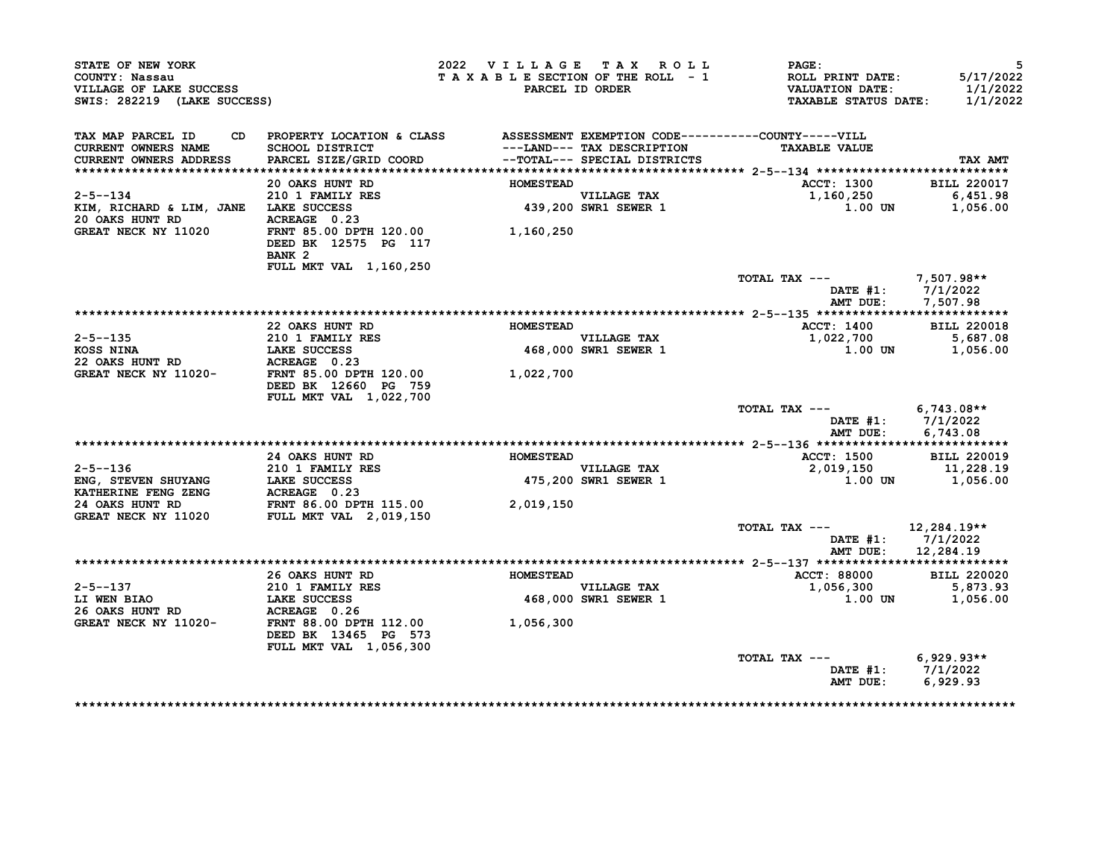| STATE OF NEW YORK<br>COUNTY: Nassau<br>VILLAGE OF LAKE SUCCESS<br>SWIS: 282219 (LAKE SUCCESS)                                                                                             |                                                                                  | 2022 VILLAGE TAX ROLL<br>TAXABLE SECTION OF THE ROLL - 1 | PARCEL ID ORDER                     | <b>PAGE:</b><br>ROLL PRINT DATE:<br>VALUATION DATE:<br><b>TAXABLE STATUS DATE:</b> | 5<br>5/17/2022<br>1/1/2022<br>1/1/2022 |
|-------------------------------------------------------------------------------------------------------------------------------------------------------------------------------------------|----------------------------------------------------------------------------------|----------------------------------------------------------|-------------------------------------|------------------------------------------------------------------------------------|----------------------------------------|
| TAX MAP PARCEL ID                                                                                                                                                                         | CD PROPERTY LOCATION & CLASS ASSESSMENT EXEMPTION CODE-----------COUNTY-----VILL |                                                          |                                     |                                                                                    |                                        |
| CURRENT OWNERS NAME                                                                                                                                                                       | SCHOOL DISTRICT                                                                  |                                                          | ---LAND--- TAX DESCRIPTION          | <b>TAXABLE VALUE</b>                                                               |                                        |
| <b>CURRENT OWNERS ADDRESS</b>                                                                                                                                                             | PARCEL SIZE/GRID COORD                                                           |                                                          | --TOTAL--- SPECIAL DISTRICTS        |                                                                                    | <b>TAX AMT</b>                         |
|                                                                                                                                                                                           | 20 OAKS HUNT RD                                                                  | <b>HOMESTEAD</b>                                         |                                     | <b>ACCT: 1300</b>                                                                  | <b>BILL 220017</b>                     |
| $2 - 5 - -134$                                                                                                                                                                            |                                                                                  |                                                          |                                     | 1,160,250                                                                          | 6,451.98                               |
| KIM, RICHARD & LIM, JANE LAKE SUCCESS                                                                                                                                                     |                                                                                  |                                                          | VILLAGE TAX<br>439,200 SWR1 SEWER 1 | 1.00 UN                                                                            | 1,056.00                               |
| 20 OAKS HUNT RD                                                                                                                                                                           | <b>210 1 FAMILY RES<br/>LAKE SUCCESS<br/>ACREAGE 0.23</b>                        |                                                          |                                     |                                                                                    |                                        |
| <b>GREAT NECK NY 11020</b>                                                                                                                                                                | FRNT 85.00 DPTH 120.00 1,160,250                                                 |                                                          |                                     |                                                                                    |                                        |
|                                                                                                                                                                                           | DEED BK 12575 PG 117                                                             |                                                          |                                     |                                                                                    |                                        |
|                                                                                                                                                                                           | BANK <sub>2</sub>                                                                |                                                          |                                     |                                                                                    |                                        |
|                                                                                                                                                                                           | FULL MKT VAL 1,160,250                                                           |                                                          |                                     |                                                                                    |                                        |
|                                                                                                                                                                                           |                                                                                  |                                                          |                                     | TOTAL TAX ---                                                                      | 7,507.98**                             |
|                                                                                                                                                                                           |                                                                                  |                                                          |                                     |                                                                                    | DATE #1: 7/1/2022                      |
|                                                                                                                                                                                           |                                                                                  |                                                          |                                     |                                                                                    | AMT DUE: 7,507.98                      |
|                                                                                                                                                                                           |                                                                                  |                                                          |                                     |                                                                                    |                                        |
| $2 - 5 - -135$                                                                                                                                                                            | 22 OAKS HUNT RD                                                                  | <b>HOMESTEAD</b>                                         |                                     | ACCT: 1400                                                                         | <b>BILL 220018</b>                     |
|                                                                                                                                                                                           | 210 1 FAMILY RES<br>LAKE SUCCESS<br>ACREAGE 0.23                                 |                                                          | VILLAGE TAX<br>468,000 SWR1 SEWER 1 | 5,687.08<br>1,022,700 5,687.08<br>1,056.00 1,056.00                                |                                        |
| 22 OAKS HUNT RD                                                                                                                                                                           |                                                                                  |                                                          |                                     |                                                                                    |                                        |
| GREAT NECK NY 11020-<br>FRNT 85.00 DPTH 120.00                                                                                                                                            |                                                                                  | 1,022,700                                                |                                     |                                                                                    |                                        |
|                                                                                                                                                                                           | DEED BK 12660 PG 759<br>FULL MKT VAL 1,022,700                                   |                                                          |                                     |                                                                                    |                                        |
|                                                                                                                                                                                           |                                                                                  |                                                          |                                     | TOTAL TAX --- $6,743.08**$                                                         |                                        |
|                                                                                                                                                                                           |                                                                                  |                                                          |                                     |                                                                                    | DATE $#1: 7/1/2022$                    |
|                                                                                                                                                                                           |                                                                                  |                                                          |                                     | AMT DUE:                                                                           | 6,743.08                               |
|                                                                                                                                                                                           |                                                                                  |                                                          |                                     |                                                                                    |                                        |
|                                                                                                                                                                                           | <b>24 OAKS HUNT RD</b>                                                           | <b>HOMESTEAD</b>                                         |                                     | <b>ACCT: 1500</b>                                                                  | <b>BILL 220019</b>                     |
| 2-5--136 210 1 FAMILY RES<br>ENG, STEVEN SHUYANG LAKE SUCCESS<br>KATHERINE FENG ZENG ACREAGE 0.23<br>24 OAKS HUNT RD FRNT 86.00 DPTH 115.00<br>GREAT NECK NY 11020 FULL MKT VAL 2,019,150 |                                                                                  |                                                          | VILLAGE TAX<br>475,200 SWR1 SEWER 1 |                                                                                    |                                        |
|                                                                                                                                                                                           |                                                                                  |                                                          |                                     |                                                                                    |                                        |
|                                                                                                                                                                                           |                                                                                  |                                                          |                                     |                                                                                    |                                        |
|                                                                                                                                                                                           |                                                                                  | 2,019,150                                                |                                     |                                                                                    |                                        |
|                                                                                                                                                                                           |                                                                                  |                                                          |                                     | TOTAL TAX ---                                                                      | 12,284.19**                            |
|                                                                                                                                                                                           |                                                                                  |                                                          |                                     |                                                                                    | DATE $#1: 7/1/2022$                    |
|                                                                                                                                                                                           |                                                                                  |                                                          |                                     |                                                                                    | AMT DUE: 12,284.19                     |
|                                                                                                                                                                                           |                                                                                  |                                                          |                                     |                                                                                    |                                        |
|                                                                                                                                                                                           | 26 OAKS HUNT RD MOMESTEAD                                                        |                                                          |                                     | ACCT: 88000                                                                        | <b>BILL 220020</b>                     |
|                                                                                                                                                                                           |                                                                                  |                                                          |                                     | 1,056,300                                                                          | 5,873.93                               |
|                                                                                                                                                                                           |                                                                                  |                                                          | VILLAGE TAX<br>468,000 SWR1 SEWER 1 |                                                                                    | 1.00 UN 1,056.00                       |
|                                                                                                                                                                                           |                                                                                  |                                                          |                                     |                                                                                    |                                        |
| 2-5--137 210 1 FAMILY RES<br>LI WEN BIAO LAKE SUCCESS<br>26 OAKS HUNT RD ACREAGE 0.26<br>GREAT NECK NY 11020- FRNT 88.00 DPTH 112.00                                                      |                                                                                  | 1,056,300                                                |                                     |                                                                                    |                                        |
|                                                                                                                                                                                           | DEED BK 13465 PG 573                                                             |                                                          |                                     |                                                                                    |                                        |
|                                                                                                                                                                                           | FULL MKT VAL 1,056,300                                                           |                                                          |                                     |                                                                                    |                                        |
|                                                                                                                                                                                           |                                                                                  |                                                          |                                     | TOTAL TAX ---                                                                      | $6,929.93**$                           |
|                                                                                                                                                                                           |                                                                                  |                                                          |                                     |                                                                                    | DATE #1: 7/1/2022                      |
|                                                                                                                                                                                           |                                                                                  |                                                          |                                     | AMT DUE:                                                                           | 6,929.93                               |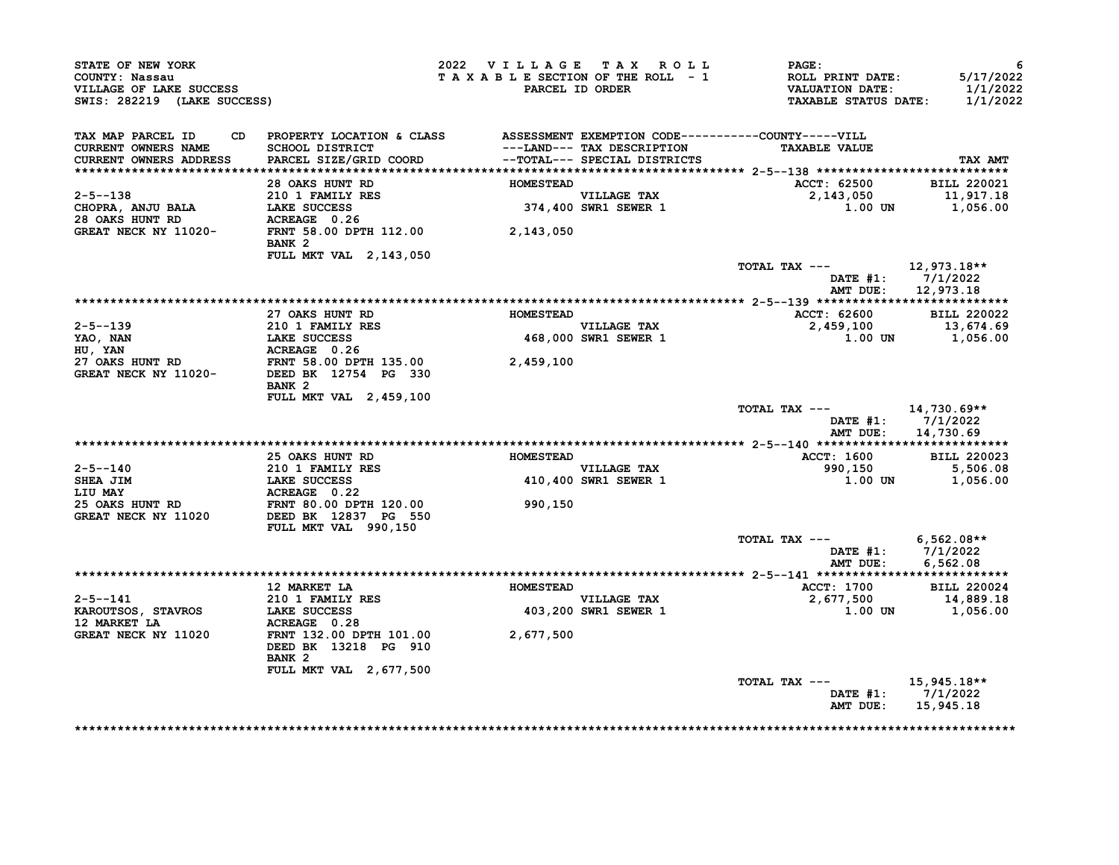| STATE OF NEW YORK<br>COUNTY: Nassau<br>VILLAGE OF LAKE SUCCESS<br>SWIS: 282219 (LAKE SUCCESS)                                                                                                                                                           |                                                                                                                                                                                                           | 2022 VILLAGE TAX ROLL |                                     | <b>PAGE:</b><br>T A X A B L E SECTION OF THE ROLL - 1 ROLL PRINT DATE:<br>PARCEL ID ORDER VALUATION DATE:<br>TAXABLE STATUS DATE: 1/1/2022 | 6<br>5/17/2022<br>1/1/2022              |
|---------------------------------------------------------------------------------------------------------------------------------------------------------------------------------------------------------------------------------------------------------|-----------------------------------------------------------------------------------------------------------------------------------------------------------------------------------------------------------|-----------------------|-------------------------------------|--------------------------------------------------------------------------------------------------------------------------------------------|-----------------------------------------|
| TAX MAP PARCEL ID<br>CURRENT OWNERS NAME                                                                                                                                                                                                                | CD PROPERTY LOCATION & CLASS ASSESSMENT EXEMPTION CODE----------COUNTY-----VILL<br>SCHOOL DISTRICT ---------------- TAX DESCRIPTION TAXABLE VALUE<br>SPARCEL SIZE/GRID COORD --TOTAL--- SPECIAL DISTRICTS |                       |                                     | <b>TAXABLE VALUE</b>                                                                                                                       |                                         |
| CURRENT OWNERS ADDRESS                                                                                                                                                                                                                                  |                                                                                                                                                                                                           |                       |                                     |                                                                                                                                            | TAX AMT                                 |
|                                                                                                                                                                                                                                                         | 28 OAKS HUNT RD                                                                                                                                                                                           | <b>HOMESTEAD</b>      |                                     | ACCT: 62500 BILL 220021                                                                                                                    |                                         |
| $2 - 5 - -138$                                                                                                                                                                                                                                          |                                                                                                                                                                                                           |                       | VILLAGE TAX<br>374,400 SWR1 SEWER 1 | $2,143,050$<br>1.00 UN 1,056.00                                                                                                            |                                         |
| 2-5--138 210 1 FAMILY RES<br>CHOPRA, ANJU BALA LAKE SUCCESS 374,400<br>28 OAKS HUNT RD ACREAGE 0.26<br>GREAT NECK NY 11020-<br>FRNT 58.00 DPTH 112.00 2,143,050                                                                                         |                                                                                                                                                                                                           |                       |                                     |                                                                                                                                            |                                         |
|                                                                                                                                                                                                                                                         | BANK 2                                                                                                                                                                                                    |                       |                                     |                                                                                                                                            |                                         |
|                                                                                                                                                                                                                                                         | FULL MKT VAL 2, 143, 050                                                                                                                                                                                  |                       |                                     |                                                                                                                                            |                                         |
|                                                                                                                                                                                                                                                         |                                                                                                                                                                                                           |                       |                                     | TOTAL TAX $---$ 12,973.18**                                                                                                                | DATE $#1: 7/1/2022$                     |
|                                                                                                                                                                                                                                                         |                                                                                                                                                                                                           |                       |                                     |                                                                                                                                            | AMT DUE: 12,973.18                      |
|                                                                                                                                                                                                                                                         |                                                                                                                                                                                                           |                       |                                     |                                                                                                                                            |                                         |
|                                                                                                                                                                                                                                                         | 27 OAKS HUNT RD                                                                                                                                                                                           | <b>HOMESTEAD</b>      |                                     | ---<br>ACCT: 62600 BILL 220022<br>2,459,100 13,674.69                                                                                      |                                         |
|                                                                                                                                                                                                                                                         |                                                                                                                                                                                                           |                       |                                     | $1.00$ UN $1,056.00$                                                                                                                       |                                         |
|                                                                                                                                                                                                                                                         |                                                                                                                                                                                                           |                       |                                     |                                                                                                                                            |                                         |
|                                                                                                                                                                                                                                                         |                                                                                                                                                                                                           |                       |                                     |                                                                                                                                            |                                         |
| 2-5--139<br>210 1 FAMILY RES<br>YAO, NAN<br>HU, YAN<br>27 OAKS HUNT RD<br>27 OAKS HUNT RD<br>GREAT NECK NY 11020-<br>27 NECK NY 11020-<br>27 NECK NY 11020-<br>27 NECK NY 11020-<br>27 NECK NY 11020-<br>27 NECK NY 11020-<br>27 NECK NY 11020-<br>27 N | BANK 2                                                                                                                                                                                                    |                       |                                     |                                                                                                                                            |                                         |
|                                                                                                                                                                                                                                                         | FULL MKT VAL 2,459,100                                                                                                                                                                                    |                       |                                     | TOTAL TAX $---$ 14,730.69**                                                                                                                |                                         |
|                                                                                                                                                                                                                                                         |                                                                                                                                                                                                           |                       |                                     |                                                                                                                                            | DATE #1: 7/1/2022<br>AMT DUE: 14,730.69 |
|                                                                                                                                                                                                                                                         |                                                                                                                                                                                                           |                       |                                     |                                                                                                                                            |                                         |
|                                                                                                                                                                                                                                                         | 25 OAKS HUNT RD MOMESTEAD                                                                                                                                                                                 |                       |                                     | ACCT: 1600 BILL 220023                                                                                                                     |                                         |
|                                                                                                                                                                                                                                                         |                                                                                                                                                                                                           |                       | VILLAGE TAX<br>410,400 SWR1 SEWER 1 |                                                                                                                                            | 5,506.08                                |
|                                                                                                                                                                                                                                                         |                                                                                                                                                                                                           |                       |                                     |                                                                                                                                            |                                         |
|                                                                                                                                                                                                                                                         |                                                                                                                                                                                                           | 990,150               |                                     |                                                                                                                                            |                                         |
| 2-5--140<br>SHEA JIM 210 1 FAMILY RES<br>LIU MAY LAKE SUCCESS<br>LIU MAY ACREAGE 0.22<br>25 OAKS HUNT RD FRNT 80.00 DPTH 120.00<br>GREAT NECK NY 11020 DEED BK 12837 PG 550                                                                             | FULL MKT VAL 990,150                                                                                                                                                                                      |                       |                                     |                                                                                                                                            |                                         |
|                                                                                                                                                                                                                                                         |                                                                                                                                                                                                           |                       |                                     | TOTAL TAX --- $6,562.08**$                                                                                                                 |                                         |
|                                                                                                                                                                                                                                                         |                                                                                                                                                                                                           |                       |                                     |                                                                                                                                            | DATE #1: 7/1/2022<br>AMT DUE: 6,562.08  |
|                                                                                                                                                                                                                                                         |                                                                                                                                                                                                           |                       |                                     |                                                                                                                                            |                                         |
|                                                                                                                                                                                                                                                         | 12 MARKET LA                                                                                                                                                                                              | <b>HOMESTEAD</b>      |                                     | ACCT: 1700 BILL 220024                                                                                                                     |                                         |
|                                                                                                                                                                                                                                                         |                                                                                                                                                                                                           |                       | VILLAGE TAX<br>403,200 SWR1 SEWER 1 | $2,677,500$<br>1.00 UN 1,056.00                                                                                                            |                                         |
| 12 MARKET LA                                                                                                                                                                                                                                            |                                                                                                                                                                                                           |                       |                                     |                                                                                                                                            |                                         |
| GREAT NECK NY 11020                                                                                                                                                                                                                                     | ACREAGE 0.28<br>FRNT 132.00 DPTH 101.00 2,677,500<br>DEED BK 13218 PG 910                                                                                                                                 |                       |                                     |                                                                                                                                            |                                         |
|                                                                                                                                                                                                                                                         | BANK <sub>2</sub>                                                                                                                                                                                         |                       |                                     |                                                                                                                                            |                                         |
|                                                                                                                                                                                                                                                         | <b>FULL MKT VAL 2,677,500</b>                                                                                                                                                                             |                       |                                     | TOTAL TAX --- $15,945.18**$                                                                                                                |                                         |
|                                                                                                                                                                                                                                                         |                                                                                                                                                                                                           |                       |                                     | AMT DUE: 15,945.18                                                                                                                         | DATE $#1: 7/1/2022$                     |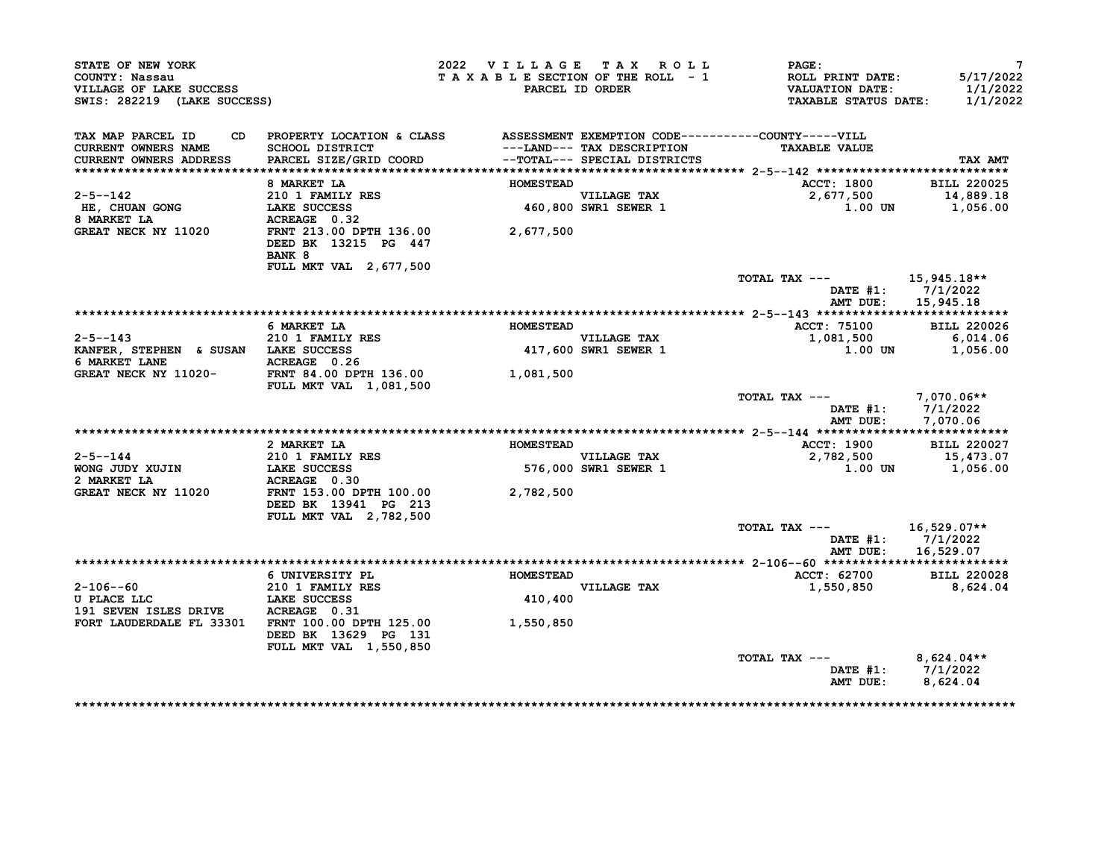| STATE OF NEW YORK<br>COUNTY: Nassau<br>VILLAGE OF LAKE SUCCESS<br>SWIS: 282219 (LAKE SUCCESS) |                                                                                                                                                                                                                                    | 2022 VILLAGE TAX ROLL<br>TAXABLE SECTION OF THE ROLL - 1 | PARCEL ID ORDER                     | <b>PAGE:</b><br><b>ROLL PRINT DATE:</b><br><b>VALUATION DATE:</b><br><b>TAXABLE STATUS DATE:</b> | $7\phantom{.0}$<br>5/17/2022<br>1/1/2022<br>1/1/2022   |
|-----------------------------------------------------------------------------------------------|------------------------------------------------------------------------------------------------------------------------------------------------------------------------------------------------------------------------------------|----------------------------------------------------------|-------------------------------------|--------------------------------------------------------------------------------------------------|--------------------------------------------------------|
| TAX MAP PARCEL ID<br>CURRENT OWNERS NAME<br>CURRENT OWNERS ADDRESS                            | CD PROPERTY LOCATION & CLASS ASSESSMENT EXEMPTION CODE----------COUNTY-----VILL<br>SCHOOL DISTRICT                                     --LAND--- TAX DESCRIPTION<br>PARCEL SIZE/GRID COORD             -TOTAL--- SPECIAL DISTRICTS |                                                          |                                     | <b>TAXABLE VALUE</b>                                                                             | TAX AMT                                                |
|                                                                                               |                                                                                                                                                                                                                                    |                                                          |                                     |                                                                                                  |                                                        |
|                                                                                               | 8 MARKET LA                                                                                                                                                                                                                        | <b>HOMESTEAD</b>                                         |                                     | <b>ACCT: 1800</b>                                                                                | <b>BILL 220025</b>                                     |
| 2-5--142<br>HE, CHUAN GONG<br>8 MARKET LA                                                     | 210 1 FAMILY RES<br>LAKE SUCCESS<br>LAKE SUCCESS<br>ACREAGE 0.32                                                                                                                                                                   |                                                          | VILLAGE TAX<br>460,800 SWR1 SEWER 1 | 2,677,500                                                                                        | 14,889.18<br>$1.00$ UN $1,056.00$                      |
| GREAT NECK NY 11020                                                                           | FRNT 213.00 DPTH 136.00 2,677,500<br>DEED BK 13215 PG 447<br>BANK 8<br><b>FULL MKT VAL 2,677,500</b>                                                                                                                               |                                                          |                                     |                                                                                                  |                                                        |
|                                                                                               |                                                                                                                                                                                                                                    |                                                          |                                     | TOTAL TAX $---$ 15,945.18**                                                                      | DATE $#1: 7/1/2022$<br>AMT DUE: 15,945.18              |
|                                                                                               |                                                                                                                                                                                                                                    |                                                          |                                     |                                                                                                  |                                                        |
|                                                                                               | 6 MARKET LA                                                                                                                                                                                                                        | <b>HOMESTEAD</b>                                         |                                     | <b>ACCT: 75100</b>                                                                               | <b>BILL 220026</b>                                     |
| $2 - 5 - -143$<br>KANFER, STEPHEN & SUSAN LAKE SUCCESS<br>6 MARKET LANE                       | $210$ 1 FAMILY RES<br>ACREAGE 0.26                                                                                                                                                                                                 |                                                          | VILLAGE TAX<br>417,600 SWR1 SEWER 1 | 1,081,500<br>1.00 UN                                                                             | 6,014.06<br>1,056.00                                   |
| GREAT NECK NY 11020- FRNT 84.00 DPTH 136.00                                                   | <b>FULL MKT VAL 1,081,500</b>                                                                                                                                                                                                      | 1,081,500                                                |                                     |                                                                                                  |                                                        |
|                                                                                               |                                                                                                                                                                                                                                    |                                                          |                                     | TOTAL TAX --- 7,070.06**                                                                         | DATE #1: 7/1/2022<br>AMT DUE: 7,070.06                 |
|                                                                                               |                                                                                                                                                                                                                                    |                                                          |                                     |                                                                                                  |                                                        |
| $2 - 5 - -144$                                                                                | 2 MARKET LA<br>210 1 FAMILY RES                                                                                                                                                                                                    | <b>HOMESTEAD</b>                                         |                                     | <b>ACCT: 1900</b><br>2,782,500                                                                   | <b>BILL 220027</b><br>15,473.07                        |
| WONG JUDY XUJIN<br>2 MARKET LA                                                                | LAKE SUCCESS<br>ACREAGE 0.30                                                                                                                                                                                                       |                                                          | VILLAGE TAX<br>576,000 SWR1 SEWER 1 |                                                                                                  | 1.00 UN 1,056.00                                       |
| GREAT NECK NY 11020                                                                           | FRNT 153.00 DPTH 100.00<br>DEED BK 13941 PG 213<br>FULL MKT VAL 2,782,500                                                                                                                                                          | 2,782,500                                                |                                     |                                                                                                  |                                                        |
|                                                                                               |                                                                                                                                                                                                                                    |                                                          |                                     | TOTAL TAX ---                                                                                    | 16,529.07**<br>DATE #1: 7/1/2022                       |
|                                                                                               |                                                                                                                                                                                                                                    |                                                          |                                     |                                                                                                  | AMT DUE: 16,529.07                                     |
|                                                                                               |                                                                                                                                                                                                                                    |                                                          |                                     | ACCT: 62700                                                                                      | <b>BILL 220028</b>                                     |
| $2 - 106 - -60$<br>U PLACE LLC<br>191 SEVEN ISLES DRIVE ACREAGE 0.31                          | 210 1 FAMILY RES                                                                                                                                                                                                                   | 410,400                                                  | <b>VILLAGE TAX</b>                  | 1,550,850                                                                                        | 8,624.04                                               |
| FORT LAUDERDALE FL 33301 FRNT 100.00 DPTH 125.00 1,550,850                                    | DEED BK 13629 PG 131<br>FULL MKT VAL 1,550,850                                                                                                                                                                                     |                                                          |                                     |                                                                                                  |                                                        |
|                                                                                               |                                                                                                                                                                                                                                    |                                                          |                                     | TOTAL TAX ---                                                                                    | $8,624.04**$<br>DATE #1: 7/1/2022<br>AMT DUE: 8,624.04 |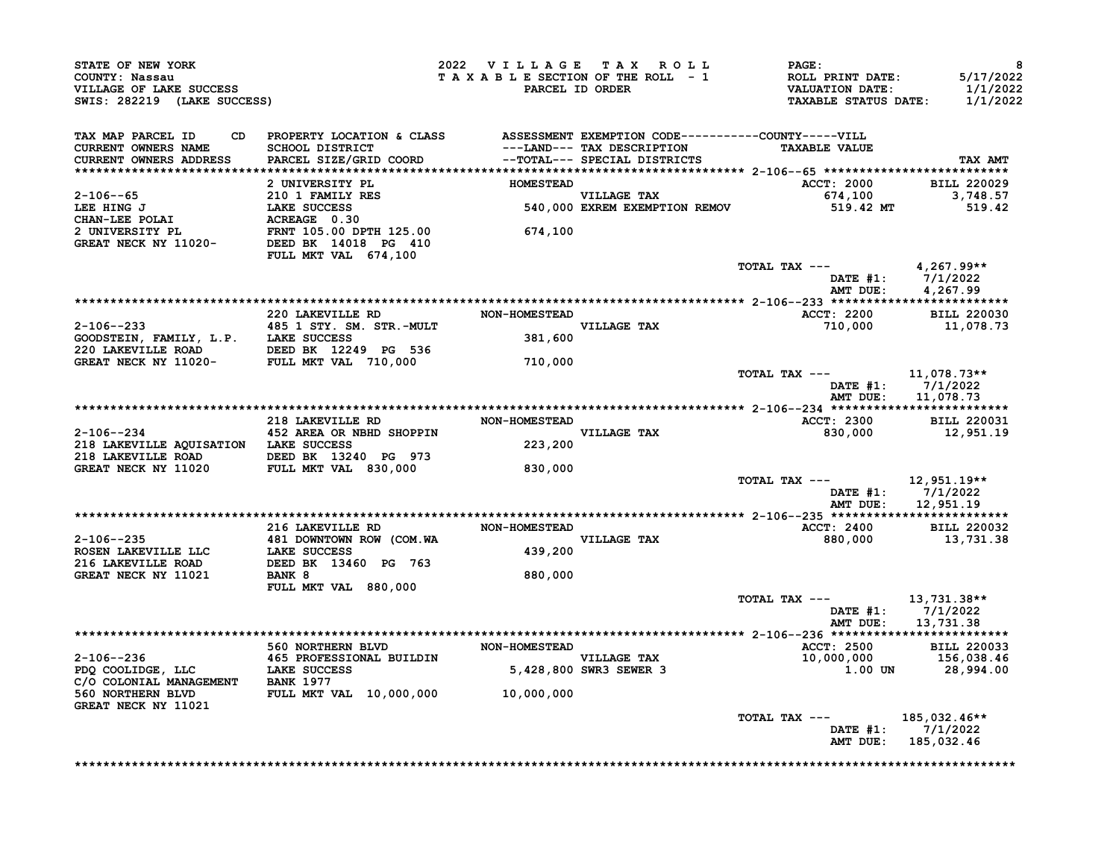| VILLAGE OF LAKE SUCCESS<br>SWIS: 282219 (LAKE SUCCESS)<br>"AX ***                                                                                                                                                                                                                                                                                                                                           |                                | 2022 VILLAGE TAX ROLL | <b>PAGE:</b><br>TAXABLE SECTION OF THE ROLL - 1 ROLL PRINT DATE:<br>TAXABLE SECTION OF THE ROLL - 1 VALUATION DATE:<br>PARCEL ID ORDER TAXABLE STATUS DATE: | 8<br>5/17/2022<br>1/1/2022<br>1/1/2022  |
|-------------------------------------------------------------------------------------------------------------------------------------------------------------------------------------------------------------------------------------------------------------------------------------------------------------------------------------------------------------------------------------------------------------|--------------------------------|-----------------------|-------------------------------------------------------------------------------------------------------------------------------------------------------------|-----------------------------------------|
| TAX MAP PARCEL ID CD PROPERTY LOCATION & CLASS ASSESSMENT EXEMPTION CODE----------COUNTY-----VILL<br>CURRENT OWNERS NAME SCHOOL DISTRICT ---LAND--- TAX DESCRIPTION TAXABLE VALUE<br>CURRENT OWNERS ADDRESS PARCEL SIZE/GRID COORD -                                                                                                                                                                        |                                |                       |                                                                                                                                                             | TAX AMT                                 |
|                                                                                                                                                                                                                                                                                                                                                                                                             |                                |                       |                                                                                                                                                             |                                         |
|                                                                                                                                                                                                                                                                                                                                                                                                             |                                |                       | ACCT: 2000 BILL 220029<br>674,100 3,748.57<br>519.42 MT 519.42                                                                                              |                                         |
|                                                                                                                                                                                                                                                                                                                                                                                                             |                                |                       |                                                                                                                                                             |                                         |
| 2 -106-65<br>2 -106-65<br>2 -106-65<br>2 -106-65<br>2 -106-65<br>2 -106-65<br>2 -106-65<br>2 -106-65<br>2 -106-65<br>2 -106-65<br>2 -106-65<br>2 -106-65<br>2 -106-65<br>2 -106-65<br>2 -106-65<br>2 -106<br>2 -106<br>2 -106<br>2 -106<br>2 -106<br>2 -106<br>2 -106<br>2                                                                                                                                  | FULL MKT VAL 674,100           |                       |                                                                                                                                                             |                                         |
|                                                                                                                                                                                                                                                                                                                                                                                                             |                                |                       | TOTAL TAX ---                                                                                                                                               | 4,267.99**                              |
|                                                                                                                                                                                                                                                                                                                                                                                                             |                                |                       |                                                                                                                                                             |                                         |
|                                                                                                                                                                                                                                                                                                                                                                                                             |                                |                       | ACCT: 2200 BILL 220030                                                                                                                                      |                                         |
|                                                                                                                                                                                                                                                                                                                                                                                                             |                                |                       | $710,000$ 11,078.73                                                                                                                                         |                                         |
| 2-106--233<br>220 LAKEVILLE RD MON-HOMESTEAD<br>485 1 STY. SM. STR.-MULT<br>COODSTEIN, FAMILY, L.P. LAKE SUCCESS<br>220 LAKEVILLE ROAD DEED BK 12249 PG 536<br>GREAT NECK NY 11020- FULL MKT VAL 710,000 710,000                                                                                                                                                                                            |                                |                       |                                                                                                                                                             |                                         |
|                                                                                                                                                                                                                                                                                                                                                                                                             |                                |                       |                                                                                                                                                             |                                         |
|                                                                                                                                                                                                                                                                                                                                                                                                             |                                |                       | TOTAL TAX --- $11,078.73**$                                                                                                                                 | DATE #1: 7/1/2022<br>AMT DUE: 11,078.73 |
|                                                                                                                                                                                                                                                                                                                                                                                                             |                                |                       |                                                                                                                                                             |                                         |
|                                                                                                                                                                                                                                                                                                                                                                                                             | 218 LAKEVILLE RD NON-HOMESTEAD |                       | ACCT: 2300 BILL 220031<br>830,000 12,951.19                                                                                                                 |                                         |
| $2-106--234$<br>218 LAKEVILLE AQUISATION LAKE SUCCESS<br>218 LAKEVILLE AQUISATION LAKE SUCCESS<br>218 LAKEVILLE ROAD DEED BK 13240 PG 973<br>GREAT NECK NY 11020 FULL MKT VAL 830,000 830,000                                                                                                                                                                                                               |                                |                       |                                                                                                                                                             |                                         |
|                                                                                                                                                                                                                                                                                                                                                                                                             |                                |                       |                                                                                                                                                             |                                         |
|                                                                                                                                                                                                                                                                                                                                                                                                             |                                |                       | TOTAL TAX ---                                                                                                                                               | 12,951.19**<br>DATE #1: 7/1/2022        |
|                                                                                                                                                                                                                                                                                                                                                                                                             |                                |                       |                                                                                                                                                             | AMT DUE: 12,951.19                      |
|                                                                                                                                                                                                                                                                                                                                                                                                             |                                |                       |                                                                                                                                                             |                                         |
|                                                                                                                                                                                                                                                                                                                                                                                                             |                                |                       | ACCT: 2400 BILL 220032<br>880,000 13,731.38                                                                                                                 |                                         |
|                                                                                                                                                                                                                                                                                                                                                                                                             |                                |                       |                                                                                                                                                             |                                         |
| $\begin{tabular}{lllllllllll} 2-106--235 & 216 & LAKEVILLE & \textbf{DD} & \textbf{NON-ROMESTEAD} \\ \textbf{ROSEN LAKEVILLE} & 481 & DOWNTOWN & \textbf{ROW} (COM.WA & \textbf{VILLAGE TAX} \\ \textbf{216 LAKEVILLE} & 439,200 & \textbf{MCE} \\ \textbf{218 LAKE SUCCES} & 439,200 & \textbf{MCE} \\ \textbf{229 LAKE SUCCES} & 439,200 & \textbf{MCE} \\ \textbf{GREAT NECK NY} & 11021 & BANK 8 & & &$ |                                |                       |                                                                                                                                                             |                                         |
|                                                                                                                                                                                                                                                                                                                                                                                                             |                                |                       | TOTAL TAX --- $13,731.38**$                                                                                                                                 | DATE #1: 7/1/2022<br>AMT DUE: 13,731.38 |
|                                                                                                                                                                                                                                                                                                                                                                                                             |                                |                       |                                                                                                                                                             |                                         |
|                                                                                                                                                                                                                                                                                                                                                                                                             |                                |                       |                                                                                                                                                             |                                         |
| 2-106--236<br>2-106--236<br>PDQ COOLIDGE, LLC<br>PDQ COOLIDGE, LLC<br>COOLIDGE, LLC<br>COOLIDGE, LLC<br>COOLIDGE, LLC<br>COOLIDGE, LLC<br>COOLIDGE, LLC<br>COOLIDGE, LLC<br>COLONIAL BUILDIN<br>S, 428,800 SWR3 SEWER 3<br>S60 NOPTHEDN PTIME MANAGEME                                                                                                                                                      |                                |                       | ACCT: 2500 BILL 220033<br>10,000,000 156,038.46<br>1.00 UN 28,994.00                                                                                        |                                         |
| 560 NORTHERN BLVD FULL MKT VAL 10,000,000 10,000,000                                                                                                                                                                                                                                                                                                                                                        |                                |                       |                                                                                                                                                             |                                         |
| <b>GREAT NECK NY 11021</b>                                                                                                                                                                                                                                                                                                                                                                                  |                                |                       | TOTAL TAX --- 185,032.46**                                                                                                                                  | DATE #1: 7/1/2022                       |
|                                                                                                                                                                                                                                                                                                                                                                                                             |                                |                       | AMT DUE: 185,032.46                                                                                                                                         |                                         |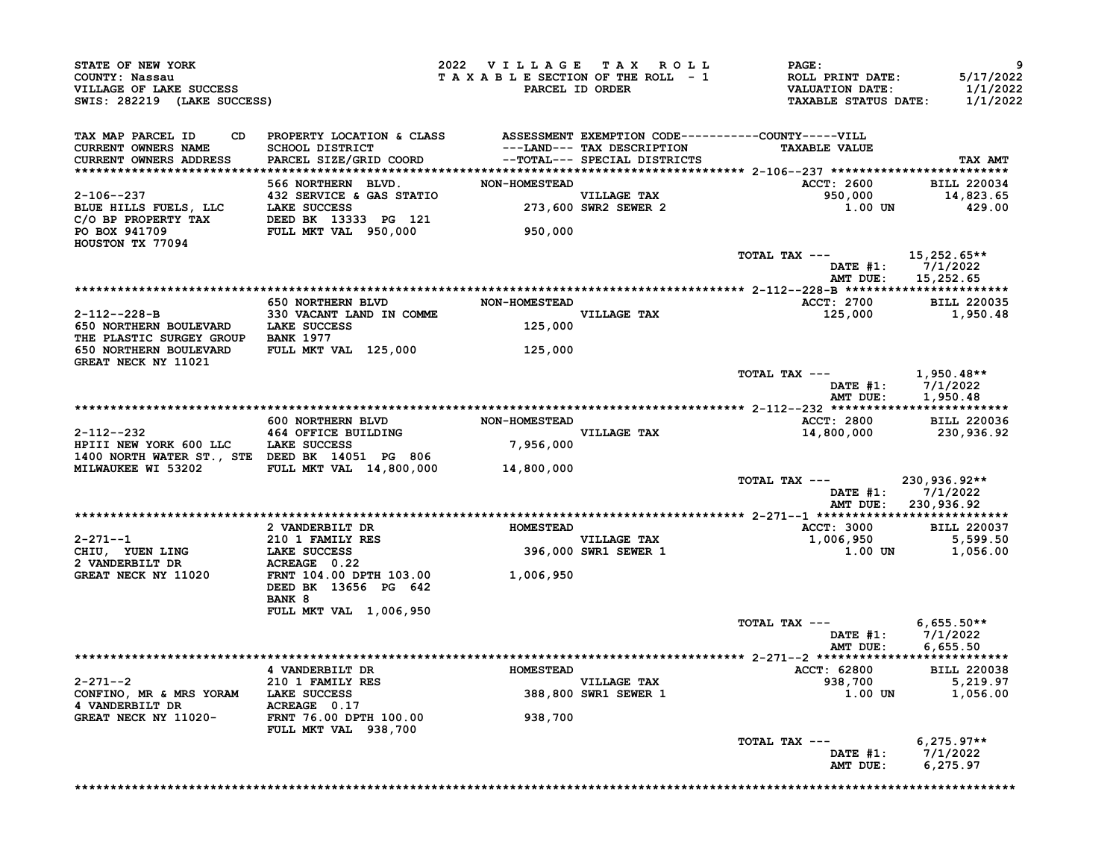| STATE OF NEW YORK<br>COUNTY: Nassau<br>VILLAGE OF LAKE SUCCESS<br>SWIS: 282219 (LAKE SUCCESS)                                                                                                                                                                                                                                                                                         |                                                                                 | 2022 VILLAGE TAX ROLL |                                     | <b>PAGE :</b><br>T A X A B L E SECTION OF THE ROLL - 1 ROLL PRINT DATE:<br>PARCEL ID ORDER VALUATION DATE:<br>TAXABLE STATUS DATE: | 9<br>5/17/2022<br>1/1/2022<br>1/1/2022                 |
|---------------------------------------------------------------------------------------------------------------------------------------------------------------------------------------------------------------------------------------------------------------------------------------------------------------------------------------------------------------------------------------|---------------------------------------------------------------------------------|-----------------------|-------------------------------------|------------------------------------------------------------------------------------------------------------------------------------|--------------------------------------------------------|
| TAX MAP PARCEL ID<br><b>CURRENT OWNERS NAME</b><br>CURRENT OWNERS ADDRESS                                                                                                                                                                                                                                                                                                             | CD PROPERTY LOCATION & CLASS ASSESSMENT EXEMPTION CODE----------COUNTY-----VILL |                       |                                     | <b>TAXABLE VALUE</b><br>ACCT: 2600 BILL 220034                                                                                     | TAX AMT                                                |
|                                                                                                                                                                                                                                                                                                                                                                                       |                                                                                 |                       |                                     |                                                                                                                                    | 14,823.65<br>429.00                                    |
|                                                                                                                                                                                                                                                                                                                                                                                       |                                                                                 |                       |                                     | TOTAL TAX ---<br>AMT DUE:                                                                                                          | $15,252.65**$<br>DATE #1: 7/1/2022<br>15,252.65        |
|                                                                                                                                                                                                                                                                                                                                                                                       | 650 NORTHERN BLVD NON-HOMESTEAD                                                 |                       |                                     | ACCT: 2700 BILL 220035                                                                                                             |                                                        |
| $2-112--228-B$ 330 VACANT LAND IN COMME<br>650 NORTHERN BOULEVARD LAKE SUCCESS 125,000<br>THE PLASTIC SURGEY GROUP BANK 1977                                                                                                                                                                                                                                                          |                                                                                 |                       |                                     | $125,000$ 1,950.48                                                                                                                 |                                                        |
| 650 NORTHERN BOULEVARD<br>GREAT NECK NY 11021                                                                                                                                                                                                                                                                                                                                         | FULL MKT VAL 125,000 125,000                                                    |                       |                                     |                                                                                                                                    |                                                        |
|                                                                                                                                                                                                                                                                                                                                                                                       |                                                                                 |                       |                                     | TOTAL TAX --- 1,950.48**                                                                                                           | DATE #1: 7/1/2022<br>AMT DUE: 1,950.48                 |
|                                                                                                                                                                                                                                                                                                                                                                                       |                                                                                 |                       |                                     |                                                                                                                                    |                                                        |
|                                                                                                                                                                                                                                                                                                                                                                                       |                                                                                 |                       |                                     | ACCT: 2800 BILL 220036                                                                                                             | 14,800,000 230,936.92                                  |
| $\begin{array}{cccc}\n & 600 & \text{NORTHERN} & \text{BUD} & \text{NON-HOMESTEAD} \\ \text{2-112--232} & 464 & \text{OFFICE BULUDING} & \text{VILLAGE TAX} & \text{VILLAGE TAX} \\ \text{HPIII NEW YORK 600 LLC} & \text{LAKE SUCCES} & 7,956,000 & \text{VILLAGE TAX} \\ \text{14001 NORMEFR ST.}, & \text{STE DEEBD} & \text{SUE} & 7,956,000 & \text{VILLAGE TAX} \\ \end{array}$ |                                                                                 |                       |                                     |                                                                                                                                    |                                                        |
| MILWAUKEE WI 53202 FULL MKT VAL 14,800,000                                                                                                                                                                                                                                                                                                                                            |                                                                                 | 14,800,000            |                                     | TOTAL TAX --- 230,936.92**                                                                                                         | DATE #1: 7/1/2022                                      |
|                                                                                                                                                                                                                                                                                                                                                                                       |                                                                                 |                       |                                     |                                                                                                                                    | AMT DUE: 230,936.92                                    |
|                                                                                                                                                                                                                                                                                                                                                                                       |                                                                                 |                       |                                     | <b>ACCT: 3000</b>                                                                                                                  | <b>BILL 220037</b>                                     |
|                                                                                                                                                                                                                                                                                                                                                                                       |                                                                                 |                       |                                     | 1,006,950                                                                                                                          | 5,599.50                                               |
| 2-271--1<br>210 1 FAMILY RES<br>CHIU, YUEN LING<br>2 VANDERBILT DR<br>2 VANDERBILT DR<br>2 ACREAGE 0.22<br>GREAT NECK NY 11020<br>FRNT 104.00 DPTH 103.00<br>1,006,950                                                                                                                                                                                                                |                                                                                 |                       |                                     |                                                                                                                                    | $1.00$ UN $1,056.00$                                   |
|                                                                                                                                                                                                                                                                                                                                                                                       | DEED BK 13656 PG 642<br>BANK 8                                                  |                       |                                     |                                                                                                                                    |                                                        |
|                                                                                                                                                                                                                                                                                                                                                                                       | FULL MKT VAL 1,006,950                                                          |                       |                                     | TOTAL TAX ---                                                                                                                      | $6,655.50**$<br>DATE #1: 7/1/2022<br>AMT DUE: 6,655.50 |
|                                                                                                                                                                                                                                                                                                                                                                                       |                                                                                 |                       |                                     |                                                                                                                                    |                                                        |
|                                                                                                                                                                                                                                                                                                                                                                                       |                                                                                 |                       |                                     | ACCT: 62800 BILL 220038                                                                                                            |                                                        |
|                                                                                                                                                                                                                                                                                                                                                                                       |                                                                                 |                       | VILLAGE TAX<br>388,800 SWR1 SEWER 1 | $938,700$<br>938,700<br>1.00 UN 1,056.00                                                                                           |                                                        |
|                                                                                                                                                                                                                                                                                                                                                                                       |                                                                                 | 938,700               |                                     |                                                                                                                                    |                                                        |
|                                                                                                                                                                                                                                                                                                                                                                                       |                                                                                 |                       |                                     | TOTAL TAX ---<br>AMT DUE:                                                                                                          | $6,275.97**$<br>DATE $#1: 7/1/2022$<br>6,275.97        |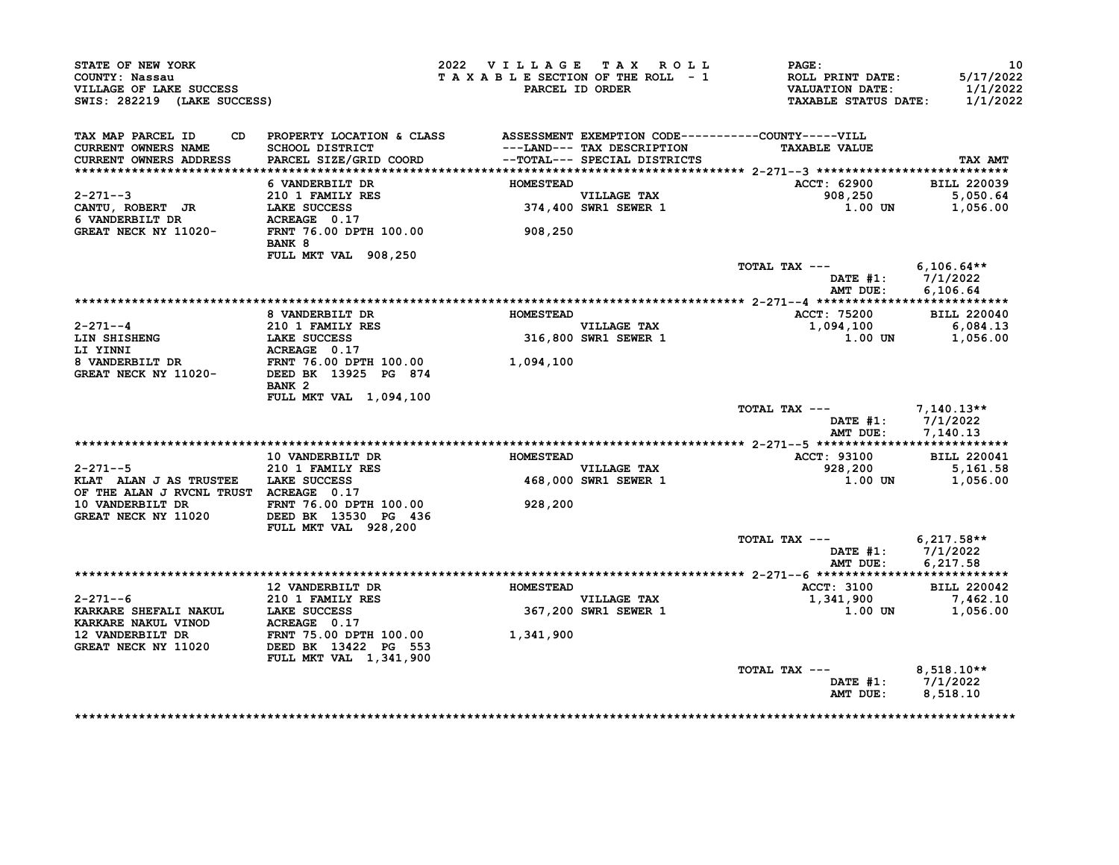| STATE OF NEW YORK<br>COUNTY: Nassau<br>VILLAGE OF LAKE SUCCESS<br>SWIS: 282219 (LAKE SUCCESS) |                                                                                                                                     |                  | 2022 VILLAGE TAX ROLL<br>TAXABLE SECTION OF THE ROLL - 1<br>PARCEL ID ORDER | PAGE:<br>ROLL PRINT DATE:<br><b>VALUATION DATE:</b><br><b>TAXABLE STATUS DATE:</b> | 10<br>5/17/2022<br>1/1/2022<br>1/1/2022 |
|-----------------------------------------------------------------------------------------------|-------------------------------------------------------------------------------------------------------------------------------------|------------------|-----------------------------------------------------------------------------|------------------------------------------------------------------------------------|-----------------------------------------|
| TAX MAP PARCEL ID<br><b>CURRENT OWNERS NAME</b><br>CURRENT OWNERS ADDRESS                     | CD PROPERTY LOCATION & CLASS ASSESSMENT EXEMPTION CODE----------COUNTY-----VILL<br><b>SCHOOL DISTRICT</b><br>PARCEL SIZE/GRID COORD |                  | ---LAND--- TAX DESCRIPTION<br>--TOTAL--- SPECIAL DISTRICTS                  | <b>TAXABLE VALUE</b>                                                               | TAX AMT                                 |
|                                                                                               | 6 VANDERBILT DR                                                                                                                     | <b>HOMESTEAD</b> |                                                                             | ACCT: 62900                                                                        | <b>BILL 220039</b>                      |
| $2 - 271 - -3$<br>CANTU, ROBERT JR<br>6 VANDERBILT DR                                         | 210 1 FAMILY RES<br>LAKE SUCCESS<br>ACREAGE 0.17                                                                                    |                  | VILLAGE TAX<br>374,400 SWR1 SEWER 1                                         | 908,250<br>$1.00$ UN                                                               | 5,050.64<br>1,056.00                    |
| GREAT NECK NY 11020-                                                                          | FRNT 76.00 DPTH 100.00<br>BANK 8                                                                                                    | 908,250          |                                                                             |                                                                                    |                                         |
|                                                                                               | FULL MKT VAL 908,250                                                                                                                |                  |                                                                             | TOTAL TAX ---<br>DATE $#1: 7/1/2022$<br>AMT DUE:                                   | $6,106.64**$<br>6.106.64                |
|                                                                                               |                                                                                                                                     |                  |                                                                             |                                                                                    |                                         |
|                                                                                               | 8 VANDERBILT DR                                                                                                                     | <b>HOMESTEAD</b> |                                                                             | <b>ACCT: 75200</b>                                                                 | <b>BILL 220040</b>                      |
| $2 - 271 - -4$                                                                                | 210 1 FAMILY RES<br>LAKE SUCCESS                                                                                                    |                  | <b>VILLAGE TAX</b>                                                          | 1,094,100                                                                          | $6,084.13$<br>$1,056,00$                |
| LIN SHISHENG                                                                                  |                                                                                                                                     |                  | 316,800 SWR1 SEWER 1                                                        | 1.00 UN                                                                            | 1,056.00                                |
|                                                                                               |                                                                                                                                     | 1,094,100        |                                                                             |                                                                                    |                                         |
|                                                                                               |                                                                                                                                     |                  |                                                                             |                                                                                    |                                         |
|                                                                                               | BANK <sub>2</sub>                                                                                                                   |                  |                                                                             |                                                                                    |                                         |
|                                                                                               | FULL MKT VAL 1,094,100                                                                                                              |                  |                                                                             |                                                                                    |                                         |
|                                                                                               |                                                                                                                                     |                  |                                                                             | TOTAL TAX ---                                                                      | 7,140.13**                              |
|                                                                                               |                                                                                                                                     |                  |                                                                             | DATE $#1: 7/1/2022$<br>AMT DUE:                                                    | 7,140.13                                |
|                                                                                               |                                                                                                                                     |                  |                                                                             |                                                                                    |                                         |
|                                                                                               | 10 VANDERBILT DR                                                                                                                    | <b>HOMESTEAD</b> |                                                                             | <b>ACCT: 93100</b>                                                                 | <b>BILL 220041</b>                      |
| $2 - 271 - -5$                                                                                | 210 1 FAMILY RES                                                                                                                    |                  | VILLAGE TAX                                                                 | 928,200                                                                            | 5,161.58                                |
| KLAT ALAN J AS TRUSTEE LAKE SUCCESS<br>OF THE ALAN J RVCNL TRUST ACREAGE 0.17                 |                                                                                                                                     |                  | 468,000 SWR1 SEWER 1                                                        | 1.00 UN                                                                            | 1,056.00                                |
| 10 VANDERBILT DR<br>GREAT NECK NY 11020                                                       | FRNT 76.00 DPTH 100.00<br>DEED BK 13530 PG 436<br>FULL MKT VAL 928,200                                                              | 928,200          |                                                                             |                                                                                    |                                         |
|                                                                                               |                                                                                                                                     |                  |                                                                             | TOTAL TAX ---                                                                      | $6,217.58**$                            |
|                                                                                               |                                                                                                                                     |                  |                                                                             | DATE $#1: 7/1/2022$                                                                |                                         |
|                                                                                               |                                                                                                                                     |                  |                                                                             | AMT DUE:                                                                           | 6,217.58                                |
|                                                                                               | <b>12 VANDERBILT DR</b>                                                                                                             | <b>HOMESTEAD</b> |                                                                             | <b>ACCT: 3100</b>                                                                  | <b>BILL 220042</b>                      |
| $2 - 271 - -6$                                                                                | 210 1 FAMILY RES                                                                                                                    |                  | <b>VILLAGE TAX</b>                                                          | 1,341,900                                                                          | 7,462.10                                |
|                                                                                               |                                                                                                                                     |                  | 367,200 SWR1 SEWER 1                                                        | 1.00 UN                                                                            | 1,056.00                                |
| KARKARE SHEFALI NAKUL       LAKE SUCCESS<br>KARKARE NAKUL VINOD          ACREAGE   0.17       |                                                                                                                                     |                  |                                                                             |                                                                                    |                                         |
| 12 VANDERBILT DR                                                                              | FRNT 75.00 DPTH 100.00<br>DEED BK 13422 PG 553                                                                                      | 1,341,900        |                                                                             |                                                                                    |                                         |
| GREAT NECK NY 11020                                                                           | <b>FULL MKT VAL 1,341,900</b>                                                                                                       |                  |                                                                             |                                                                                    |                                         |
|                                                                                               |                                                                                                                                     |                  |                                                                             | TOTAL TAX ---                                                                      | $8,518.10**$                            |
|                                                                                               |                                                                                                                                     |                  |                                                                             | DATE #1: 7/1/2022<br>AMT DUE:                                                      | 8,518.10                                |
|                                                                                               |                                                                                                                                     |                  |                                                                             |                                                                                    |                                         |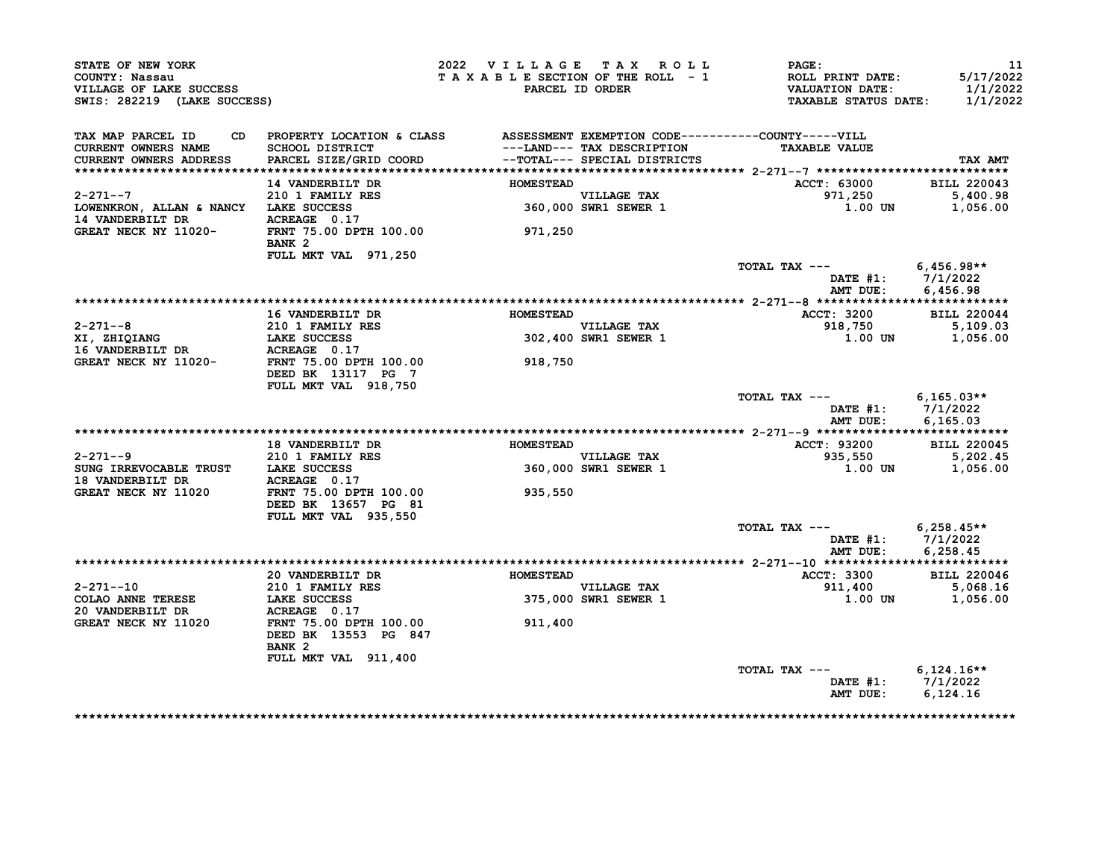| STATE OF NEW YORK<br>COUNTY: Nassau<br>VILLAGE OF LAKE SUCCESS<br>SWIS: 282219 (LAKE SUCCESS)    |                                                                                              | 2022 VILLAGE TAX ROLL<br>TAXABLE SECTION OF THE ROLL - 1 | PARCEL ID ORDER                                           | PAGE:<br>ROLL PRINT DATE:<br><b>VALUATION DATE:</b><br><b>TAXABLE STATUS DATE:</b> | 11<br>5/17/2022<br>1/1/2022<br>1/1/2022 |
|--------------------------------------------------------------------------------------------------|----------------------------------------------------------------------------------------------|----------------------------------------------------------|-----------------------------------------------------------|------------------------------------------------------------------------------------|-----------------------------------------|
| TAX MAP PARCEL ID<br>CURRENT OWNERS NAME<br><b>CURRENT OWNERS ADDRESS</b>                        | CD PROPERTY LOCATION & CLASS ASSESSMENT EXEMPTION CODE----------COUNTY-----VILL              |                                                          | ---LAND--- TAX DESCRIPTION                                | <b>TAXABLE VALUE</b>                                                               | TAX AMT                                 |
|                                                                                                  | 14 VANDERBILT DR                                                                             | <b>HOMESTEAD</b>                                         |                                                           | ACCT: 63000                                                                        | <b>BILL 220043</b>                      |
| $2 - 271 - -7$                                                                                   | 210 1 FAMILY RES                                                                             |                                                          |                                                           | 971,250                                                                            | 5,400.98                                |
| LOWENKRON, ALLAN & NANCY LAKE SUCCESS<br>14 VANDERBILT DR                                        | ACREAGE 0.17                                                                                 |                                                          | VILLAGE TAX<br>360,000 SWR1 SEWER 1                       | 1.00 UN                                                                            | 1,056.00                                |
| GREAT NECK NY 11020-                                                                             | FRNT 75.00 DPTH 100.00<br>BANK <sub>2</sub>                                                  | 971,250                                                  |                                                           |                                                                                    |                                         |
|                                                                                                  | FULL MKT VAL 971,250                                                                         |                                                          |                                                           | TOTAL TAX $---$ 6.456.98**                                                         |                                         |
|                                                                                                  |                                                                                              |                                                          |                                                           | DATE #1: 7/1/2022<br>AMT DUE:                                                      | 6,456.98                                |
|                                                                                                  | <b>16 VANDERBILT DR</b>                                                                      | <b>HOMESTEAD</b>                                         |                                                           | <b>ACCT: 3200</b>                                                                  | <b>BILL 220044</b>                      |
| $2 - 271 - -8$                                                                                   | 210 1 FAMILY RES                                                                             |                                                          |                                                           |                                                                                    |                                         |
| XI, ZHIQIANG                                                                                     | LAKE SUCCESS                                                                                 |                                                          | VILLAGE TAX<br>302,400 SWR1 SEWER 1                       | 918,750 5,109.03<br>1.00 IN 1.056.00<br>1.00 UN                                    | 1,056.00                                |
|                                                                                                  |                                                                                              |                                                          |                                                           |                                                                                    |                                         |
| 16 VANDERBILT DR           ACREAGE   0.17<br>GREAT NECK NY 11020-         FRNT 75.00 DPTH 100.00 | DEED BK 13117 PG 7                                                                           | 918,750                                                  |                                                           |                                                                                    |                                         |
|                                                                                                  | FULL MKT VAL 918,750                                                                         |                                                          |                                                           |                                                                                    |                                         |
|                                                                                                  |                                                                                              |                                                          |                                                           | TOTAL TAX $---$ 6,165.03**<br>DATE #1: 7/1/2022<br>AMT DUE:                        | 6, 165.03                               |
|                                                                                                  |                                                                                              |                                                          |                                                           |                                                                                    |                                         |
|                                                                                                  | <b>18 VANDERBILT DR</b>                                                                      | <b>HOMESTEAD</b>                                         |                                                           | ACCT: 93200                                                                        | <b>BILL 220045</b>                      |
| $2 - 271 - -9$                                                                                   | 210 1 FAMILY RES                                                                             |                                                          | VILLAGE TAX                                               | 935,550                                                                            | 5,202.45                                |
| SUNG IRREVOCABLE TRUST LAKE SUCCESS                                                              |                                                                                              |                                                          | 360,000 SWR1 SEWER 1                                      | 1.00 UN 1,056.00                                                                   |                                         |
| <b>18 VANDERBILT DR</b>                                                                          | ACREAGE 0.17                                                                                 |                                                          |                                                           |                                                                                    |                                         |
| GREAT NECK NY 11020                                                                              | FRNT 75.00 DPTH 100.00<br>DEED BK 13657 PG 81<br>DEED BK 13657 PG 81<br>FULL MKT VAL 935,550 | 935,550                                                  |                                                           |                                                                                    |                                         |
|                                                                                                  |                                                                                              |                                                          |                                                           | TOTAL TAX --- $6,258.45**$                                                         |                                         |
|                                                                                                  |                                                                                              |                                                          |                                                           | DATE #1: 7/1/2022<br>AMT DUE: 6,258.45                                             |                                         |
|                                                                                                  |                                                                                              |                                                          |                                                           |                                                                                    |                                         |
|                                                                                                  | 20 VANDERBILT DR                                                                             | <b>HOMESTEAD</b>                                         |                                                           | ACCT: 3300                                                                         | <b>BILL 220046</b>                      |
| 2-271--10                                                                                        | 210 1 FAMILY RES                                                                             |                                                          | <b>VILLAGE TAX</b><br>VILLAGE TAX<br>375,000 SWR1 SEWER 1 | 911,400                                                                            | 5,068.16                                |
| <b>COLAO ANNE TERESE</b>                                                                         | LAKE SUCCESS                                                                                 |                                                          |                                                           | 1.00 UN                                                                            | 1,056.00                                |
| 20 VANDERBILT DR                                                                                 | ACREAGE 0.17                                                                                 |                                                          |                                                           |                                                                                    |                                         |
| GREAT NECK NY 11020                                                                              | FRNT 75.00 DPTH 100.00<br>DEED BK 13553 PG 847<br>BANK <sub>2</sub>                          | 911,400                                                  |                                                           |                                                                                    |                                         |
|                                                                                                  |                                                                                              |                                                          |                                                           |                                                                                    |                                         |
|                                                                                                  |                                                                                              |                                                          |                                                           |                                                                                    |                                         |
|                                                                                                  | FULL MKT VAL 911,400                                                                         |                                                          |                                                           | TOTAL TAX --- $6,124.16**$<br>DATE #1: 7/1/2022<br>AMT DUE:                        | 6,124.16                                |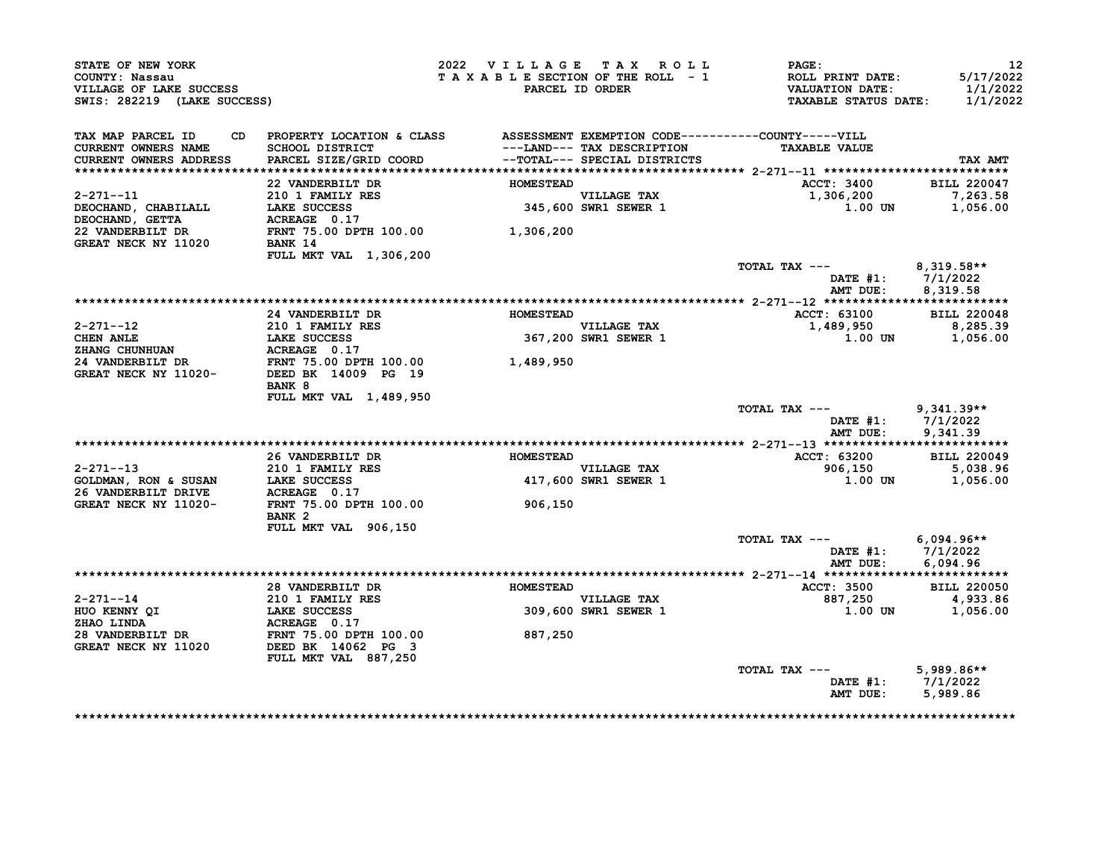| STATE OF NEW YORK<br>COUNTY: Nassau<br>VILLAGE OF LAKE SUCCESS<br>SWIS: 282219 (LAKE SUCCESS)                                                 |                                                                                                                              | 2022 VILLAGE TAX ROLL<br>TAXABLE SECTION OF THE ROLL - 1 | PARCEL ID ORDER                                            | <b>PAGE:</b><br>ROLL PRINT DATE:<br><b>VALUATION DATE:</b><br><b>TAXABLE STATUS DATE:</b> | 12<br>5/17/2022<br>1/1/2022<br>1/1/2022 |
|-----------------------------------------------------------------------------------------------------------------------------------------------|------------------------------------------------------------------------------------------------------------------------------|----------------------------------------------------------|------------------------------------------------------------|-------------------------------------------------------------------------------------------|-----------------------------------------|
| TAX MAP PARCEL ID<br><b>CURRENT OWNERS NAME</b><br>CURRENT OWNERS ADDRESS                                                                     | CD PROPERTY LOCATION & CLASS ASSESSMENT EXEMPTION CODE----------COUNTY-----VILL<br>SCHOOL DISTRICT<br>PARCEL SIZE/GRID COORD |                                                          | ---LAND--- TAX DESCRIPTION<br>--TOTAL--- SPECIAL DISTRICTS | <b>TAXABLE VALUE</b>                                                                      | TAX AMT                                 |
|                                                                                                                                               | 22 VANDERBILT DR                                                                                                             | <b>HOMESTEAD</b>                                         |                                                            | <b>ACCT: 3400</b>                                                                         | <b>BILL 220047</b>                      |
| 2-271--11<br>DEOCHAND, CHABILALL<br>DEOCHAND, GETTA                                                                                           | 210 1 FAMILY RES<br>LAKE SUCCESS<br>ACREAGE 0.17                                                                             |                                                          | VILLAGE TAX<br>345,600 SWR1 SEWER 1                        | 1,306,200<br>$1.00$ UN                                                                    | 7,263.58<br>1,056.00                    |
| 22 VANDERBILT DR<br>GREAT NECK NY 11020                                                                                                       | FRNT 75.00 DPTH 100.00 1,306,200<br>BANK 14<br>FULL MKT VAL 1,306,200                                                        |                                                          |                                                            |                                                                                           |                                         |
|                                                                                                                                               |                                                                                                                              |                                                          |                                                            | TOTAL TAX ---<br>DATE $#1: 7/1/2022$<br>AMT DUE:                                          | 8,319.58**<br>8,319.58                  |
|                                                                                                                                               |                                                                                                                              |                                                          |                                                            |                                                                                           |                                         |
|                                                                                                                                               | 24 VANDERBILT DR                                                                                                             | <b>HOMESTEAD</b>                                         |                                                            | <b>ACCT: 63100</b>                                                                        | <b>BILL 220048</b>                      |
| $2 - 271 - -12$<br><b>CHEN ANLE</b>                                                                                                           | 210 1 FAMILY RES<br>LAKE SUCCESS                                                                                             |                                                          | VILLAGE TAX<br>367,200 SWR1 SEWER 1                        | 1,489,950<br>1.00 UN                                                                      | 8,285.39<br>1,056.00                    |
|                                                                                                                                               |                                                                                                                              |                                                          |                                                            |                                                                                           |                                         |
|                                                                                                                                               |                                                                                                                              | 1,489,950                                                |                                                            |                                                                                           |                                         |
| EXANG CHUNHUAN <b>EXAMPLE A PART 75.00 DPTH 100.00</b><br>24 VANDERBILT DR FRNT 75.00 DPTH 100.00<br>GREAT NECK NY 11020- DEED BK 14009 PG 19 | <b>BANK 8</b>                                                                                                                |                                                          |                                                            |                                                                                           |                                         |
|                                                                                                                                               | FULL MKT VAL 1,489,950                                                                                                       |                                                          |                                                            | TOTAL TAX ---<br>DATE $#1: 7/1/2022$<br>AMT DUE:                                          | $9,341.39**$<br>9,341.39                |
|                                                                                                                                               |                                                                                                                              |                                                          |                                                            |                                                                                           |                                         |
|                                                                                                                                               | 26 VANDERBILT DR                                                                                                             | <b>HOMESTEAD</b>                                         |                                                            | ACCT: 63200                                                                               | <b>BILL 220049</b>                      |
|                                                                                                                                               | 210 1 FAMILY RES                                                                                                             |                                                          | <b>VILLAGE TAX</b>                                         | 906,150                                                                                   | 5,038.96                                |
| $2-2/1--13$<br>GOLDMAN, RON & SUSAN LAKE SUCCESS<br>26 VANDERRIUM RONGERS<br>26 VANDERBILT DRIVE                                              | ACREAGE 0.17                                                                                                                 |                                                          | 417,600 SWR1 SEWER 1                                       | 1.00 UN                                                                                   | 1,056.00                                |
| GREAT NECK NY 11020-                                                                                                                          | FRNT 75.00 DPTH 100.00<br>BANK <sub>2</sub>                                                                                  | 906,150                                                  |                                                            |                                                                                           |                                         |
|                                                                                                                                               | FULL MKT VAL 906,150                                                                                                         |                                                          |                                                            |                                                                                           |                                         |
|                                                                                                                                               |                                                                                                                              |                                                          |                                                            | TOTAL TAX ---<br>DATE $#1: 7/1/2022$<br>AMT DUE:                                          | 6,094.96**<br>6,094.96                  |
|                                                                                                                                               |                                                                                                                              |                                                          |                                                            |                                                                                           |                                         |
| $2 - 271 - -14$                                                                                                                               | 28 VANDERBILT DR<br>210 1 FAMILY RES                                                                                         | <b>HOMESTEAD</b>                                         | <b>VILLAGE TAX</b>                                         | <b>ACCT: 3500</b><br>887,250                                                              | <b>BILL 220050</b><br>4,933.86          |
|                                                                                                                                               | LAKE SUCCESS                                                                                                                 |                                                          | 309,600 SWR1 SEWER 1                                       | <b>1.00 UN</b>                                                                            | 1,056.00                                |
| HUO KENNY QI<br>ZHAO LINDA<br>ZHAO LINDA                                                                                                      | ACREAGE 0.17                                                                                                                 |                                                          |                                                            |                                                                                           |                                         |
| 28 VANDERBILT DR<br>GREAT NECK NY 11020                                                                                                       | FRNT 75.00 DPTH 100.00<br>DEED BK 14062 PG 3<br>FULL MKT VAL 887,250                                                         | 887,250                                                  |                                                            |                                                                                           |                                         |
|                                                                                                                                               |                                                                                                                              |                                                          |                                                            | TOTAL TAX ---                                                                             | $5,989.86**$                            |
|                                                                                                                                               |                                                                                                                              |                                                          |                                                            | DATE $#1: 7/1/2022$<br>AMT DUE:                                                           | 5,989.86                                |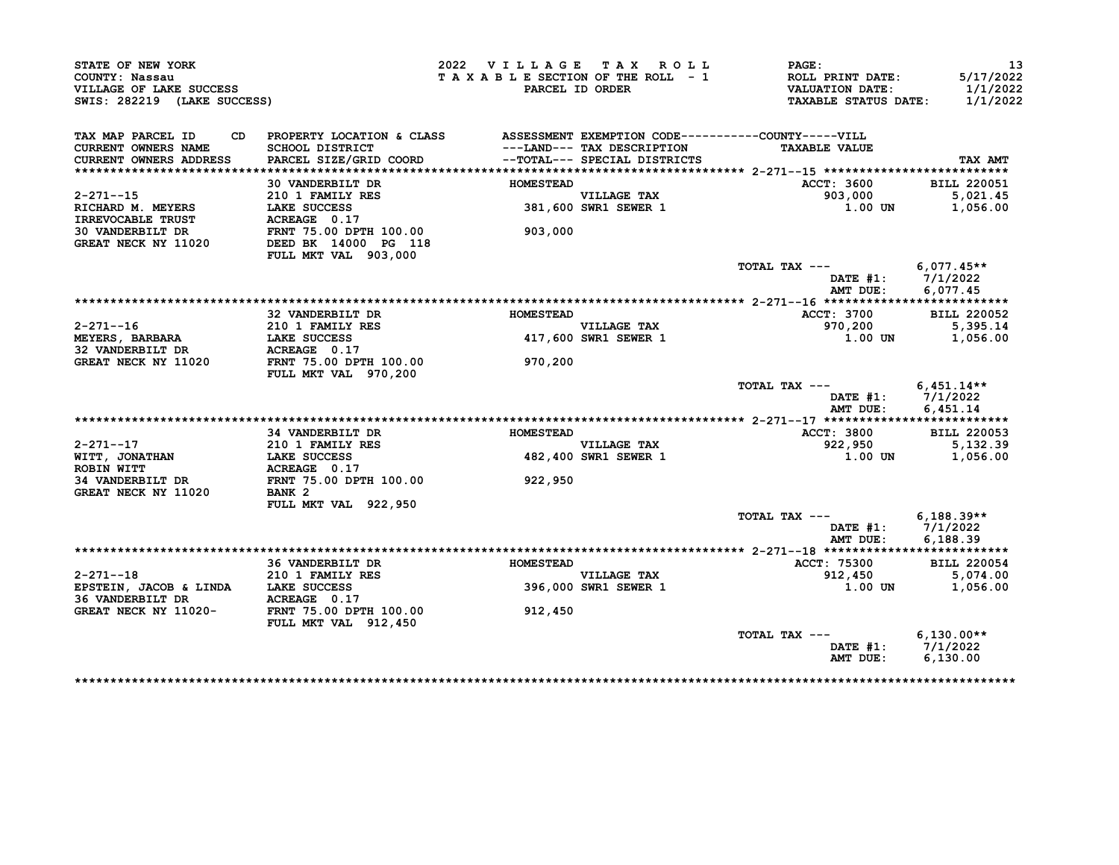| STATE OF NEW YORK<br>COUNTY: Nassau<br>VILLAGE OF LAKE SUCCESS<br>SWIS: 282219 (LAKE SUCCESS) |                                                                                                                           | 2022 VILLAGE TAX ROLL | TAXABLE SECTION OF THE ROLL - 1<br>PARCEL ID ORDER                                         | <b>PAGE:</b><br>ROLL PRINT DATE:<br><b>VALUATION DATE:</b><br>TAXABLE STATUS DATE: 1/1/2022 | 13<br>5/17/2022<br>1/1/2022 |
|-----------------------------------------------------------------------------------------------|---------------------------------------------------------------------------------------------------------------------------|-----------------------|--------------------------------------------------------------------------------------------|---------------------------------------------------------------------------------------------|-----------------------------|
| TAX MAP PARCEL ID<br>CD.<br><b>CURRENT OWNERS NAME</b><br>CURRENT OWNERS ADDRESS              | PROPERTY LOCATION & CLASS ASSESSMENT EXEMPTION CODE----------COUNTY-----VILL<br>SCHOOL DISTRICT<br>PARCEL SIZE/GRID COORD |                       | ---LAND--- TAX DESCRIPTION<br>--TOTAL--- SPECIAL DISTRICTS<br>--TOTAL--- SPECIAL DISTRICTS | <b>TAXABLE VALUE</b>                                                                        | TAX AMT                     |
|                                                                                               |                                                                                                                           |                       |                                                                                            |                                                                                             |                             |
|                                                                                               | 30 VANDERBILT DR                                                                                                          | <b>HOMESTEAD</b>      |                                                                                            | ACCT: 3600                                                                                  | <b>BILL 220051</b>          |
| 2-271--15                                                                                     | $210$ 1 FAMILY RES                                                                                                        |                       |                                                                                            | 903,000                                                                                     | 5,021.45                    |
| RICHARD M. MEYERS                                                                             | LAKE SUCCESS                                                                                                              |                       | nomestead<br>VILLAGE TAX<br>381,600 SWR1 SEWER 1                                           | 1.00 UN                                                                                     | 1,056.00                    |
|                                                                                               |                                                                                                                           |                       |                                                                                            |                                                                                             |                             |
| GREAT NECK NY 11020                                                                           | DEED BK 14000 PG 118<br>FULL MKT VAL 903,000                                                                              | 903,000               |                                                                                            |                                                                                             |                             |
|                                                                                               |                                                                                                                           |                       |                                                                                            | TOTAL TAX $---$ 6,077.45**                                                                  |                             |
|                                                                                               |                                                                                                                           |                       |                                                                                            | DATE #1: 7/1/2022                                                                           |                             |
|                                                                                               |                                                                                                                           |                       |                                                                                            |                                                                                             |                             |
|                                                                                               | 32 VANDERBILT DR                                                                                                          | <b>HOMESTEAD</b>      |                                                                                            | ACCT: 3700                                                                                  | <b>BILL 220052</b>          |
| $2 - 271 - -16$                                                                               |                                                                                                                           |                       |                                                                                            | 970,200<br>1.00 UN                                                                          | 5,395.14                    |
| <b>MEYERS, BARBARA</b>                                                                        | LAKE SUCCESS                                                                                                              |                       |                                                                                            |                                                                                             | 1,056.00                    |
| 32 VANDERBILT DR                                                                              |                                                                                                                           |                       |                                                                                            |                                                                                             |                             |
| GREAT NECK NY 11020                                                                           | <b>FULL MKT VAL 970,200</b>                                                                                               | 970,200               |                                                                                            |                                                                                             |                             |
|                                                                                               |                                                                                                                           |                       |                                                                                            | TOTAL TAX $---$ 6,451.14**<br>DATE #1: 7/1/2022<br>AMT DUE:                                 | 6,451.14                    |
|                                                                                               |                                                                                                                           |                       |                                                                                            |                                                                                             |                             |
|                                                                                               | <b>34 VANDERBILT DR</b>                                                                                                   | <b>HOMESTEAD</b>      |                                                                                            | <b>ACCT: 3800</b>                                                                           | <b>BILL 220053</b>          |
|                                                                                               |                                                                                                                           |                       | VILLAGE TAX<br>482,400 SWR1 SEWER 1                                                        | 922,950 5,132.39<br>1.00 100 1,056.00                                                       |                             |
|                                                                                               |                                                                                                                           |                       |                                                                                            |                                                                                             |                             |
| GREAT NECK NY 11020                                                                           | BANK 2                                                                                                                    | 922, 950              |                                                                                            |                                                                                             |                             |
|                                                                                               | FULL MKT VAL 922,950                                                                                                      |                       |                                                                                            | TOTAL TAX --- 6,188.39**                                                                    |                             |
|                                                                                               |                                                                                                                           |                       |                                                                                            | DATE $#1: 7/1/2022$<br>AMT DUE:                                                             | 6,188.39                    |
|                                                                                               |                                                                                                                           |                       |                                                                                            |                                                                                             |                             |
|                                                                                               | <b>36 VANDERBILT DR</b>                                                                                                   | HOMESTEAD             |                                                                                            | <b>ACCT: 75300</b>                                                                          | <b>BILL 220054</b>          |
| $2 - 271 - -18$                                                                               | <b>210 1 FAMILY RES</b>                                                                                                   |                       | VILLAGE TAX<br>396,000 SWR1 SEWER 1                                                        | 912,450                                                                                     | 5,074.00                    |
| EPSTEIN, JACOB & LINDA LAKE SUCCESS                                                           | 36 VANDERBILT DR           ACREAGE   0.17<br>GREAT NECK NY 11020-       FRNT 75.00 DPTH 100.00                            |                       |                                                                                            | 1.00 UN                                                                                     | 1,056.00                    |
|                                                                                               | FULL MKT VAL 912,450                                                                                                      | 912,450               |                                                                                            |                                                                                             |                             |
|                                                                                               |                                                                                                                           |                       |                                                                                            | TOTAL TAX --- $6,130.00**$                                                                  |                             |
|                                                                                               |                                                                                                                           |                       |                                                                                            | DATE #1: 7/1/2022                                                                           |                             |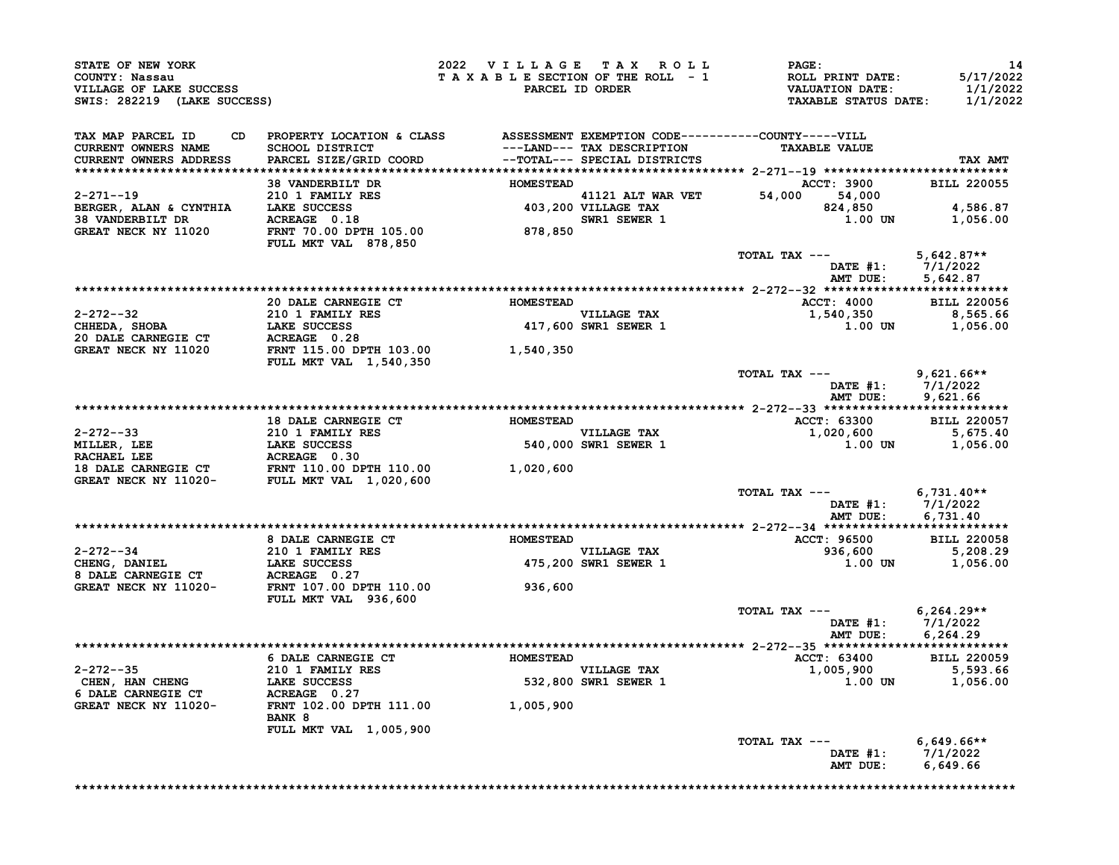| STATE OF NEW YORK<br>COUNTY: Nassau<br>VILLAGE OF LAKE SUCCESS<br>SWIS: 282219 (LAKE SUCCESS) |                                                                                 | 2022 VILLAGE TAX ROLL | <b>PAGE:</b><br>T A X A B L E SECTION OF THE ROLL - 1 ROLL PRINT DATE:<br>PARCEL ID ORDER VALUATION DATE:<br>TAXABLE STATUS DATE:                                                                                                                                                                                                                                                        | 14<br>5/17/2022<br>1/1/2022<br>1/1/2022 |
|-----------------------------------------------------------------------------------------------|---------------------------------------------------------------------------------|-----------------------|------------------------------------------------------------------------------------------------------------------------------------------------------------------------------------------------------------------------------------------------------------------------------------------------------------------------------------------------------------------------------------------|-----------------------------------------|
| TAX MAP PARCEL ID<br><b>CURRENT OWNERS NAME</b>                                               | CD PROPERTY LOCATION & CLASS ASSESSMENT EXEMPTION CODE----------COUNTY-----VILL |                       |                                                                                                                                                                                                                                                                                                                                                                                          |                                         |
| CURRENT OWNERS ADDRESS                                                                        |                                                                                 |                       |                                                                                                                                                                                                                                                                                                                                                                                          | TAX AMT                                 |
|                                                                                               |                                                                                 |                       |                                                                                                                                                                                                                                                                                                                                                                                          |                                         |
|                                                                                               |                                                                                 |                       | ACCT: 3900 BILL 220055                                                                                                                                                                                                                                                                                                                                                                   |                                         |
|                                                                                               |                                                                                 |                       |                                                                                                                                                                                                                                                                                                                                                                                          |                                         |
|                                                                                               |                                                                                 |                       |                                                                                                                                                                                                                                                                                                                                                                                          | 824,850 4,586.87<br>1.00 UN 1,056.00    |
|                                                                                               |                                                                                 |                       |                                                                                                                                                                                                                                                                                                                                                                                          |                                         |
|                                                                                               |                                                                                 |                       |                                                                                                                                                                                                                                                                                                                                                                                          |                                         |
|                                                                                               |                                                                                 |                       | TOTAL TAX ---                                                                                                                                                                                                                                                                                                                                                                            | $5,642.87**$                            |
|                                                                                               |                                                                                 |                       | DATE #1: 7/1/2022<br>AMT DUE: 5,642.87                                                                                                                                                                                                                                                                                                                                                   |                                         |
|                                                                                               |                                                                                 |                       |                                                                                                                                                                                                                                                                                                                                                                                          |                                         |
|                                                                                               | 20 DALE CARNEGIE CT HOMESTEAD                                                   |                       | ACCT: 4000 BILL 220056                                                                                                                                                                                                                                                                                                                                                                   |                                         |
|                                                                                               |                                                                                 |                       |                                                                                                                                                                                                                                                                                                                                                                                          |                                         |
|                                                                                               |                                                                                 |                       |                                                                                                                                                                                                                                                                                                                                                                                          |                                         |
|                                                                                               |                                                                                 |                       | $\begin{array}{lllllllllllllllll} \text{2--272--32} & \text{2--32} & \text{2--32} & \text{2--32} & \text{2--32} & \text{2--32} & \text{2--32} & \text{2--32} & \text{2--32} & \text{2--32} & \text{2--32} & \text{2--32} & \text{2--32} & \text{2--32} & \text{2--32} & \text{2--32} & \text{2--32} & \text{2--32} & \text{2--32} & \text{2--32} & \text{2--32} & \text{2--32} & \text{$ |                                         |
|                                                                                               |                                                                                 |                       | TOTAL TAX ---<br>DATE #1: $7/1/2022$<br>AMT DUE: 9,621.66                                                                                                                                                                                                                                                                                                                                | $9,621.66$ **                           |
|                                                                                               |                                                                                 |                       |                                                                                                                                                                                                                                                                                                                                                                                          |                                         |
|                                                                                               |                                                                                 |                       |                                                                                                                                                                                                                                                                                                                                                                                          |                                         |
|                                                                                               |                                                                                 |                       |                                                                                                                                                                                                                                                                                                                                                                                          |                                         |
|                                                                                               |                                                                                 |                       |                                                                                                                                                                                                                                                                                                                                                                                          |                                         |
|                                                                                               |                                                                                 |                       |                                                                                                                                                                                                                                                                                                                                                                                          |                                         |
|                                                                                               |                                                                                 |                       | TOTAL TAX --- $6,731.40**$<br>DATE #1: $7/1/2022$<br>AMT DUE: 6,731.40                                                                                                                                                                                                                                                                                                                   |                                         |
|                                                                                               |                                                                                 |                       |                                                                                                                                                                                                                                                                                                                                                                                          |                                         |
|                                                                                               |                                                                                 |                       |                                                                                                                                                                                                                                                                                                                                                                                          |                                         |
|                                                                                               |                                                                                 |                       |                                                                                                                                                                                                                                                                                                                                                                                          |                                         |
|                                                                                               |                                                                                 |                       |                                                                                                                                                                                                                                                                                                                                                                                          |                                         |
|                                                                                               |                                                                                 |                       |                                                                                                                                                                                                                                                                                                                                                                                          |                                         |
|                                                                                               |                                                                                 |                       | TOTAL TAX ---<br>DATE #1: 7/1/2022<br>AMT DUE: 6,264.29                                                                                                                                                                                                                                                                                                                                  | $6,264.29**$                            |
|                                                                                               |                                                                                 |                       |                                                                                                                                                                                                                                                                                                                                                                                          |                                         |
|                                                                                               |                                                                                 |                       |                                                                                                                                                                                                                                                                                                                                                                                          |                                         |
|                                                                                               |                                                                                 |                       |                                                                                                                                                                                                                                                                                                                                                                                          |                                         |
|                                                                                               |                                                                                 |                       |                                                                                                                                                                                                                                                                                                                                                                                          |                                         |
|                                                                                               | <b>BANK 8</b>                                                                   |                       |                                                                                                                                                                                                                                                                                                                                                                                          |                                         |
|                                                                                               | FULL MKT VAL 1,005,900                                                          |                       |                                                                                                                                                                                                                                                                                                                                                                                          |                                         |
|                                                                                               |                                                                                 |                       | TOTAL TAX ---                                                                                                                                                                                                                                                                                                                                                                            | $6,649.66**$                            |
|                                                                                               |                                                                                 |                       | DATE #1: 7/1/2022                                                                                                                                                                                                                                                                                                                                                                        |                                         |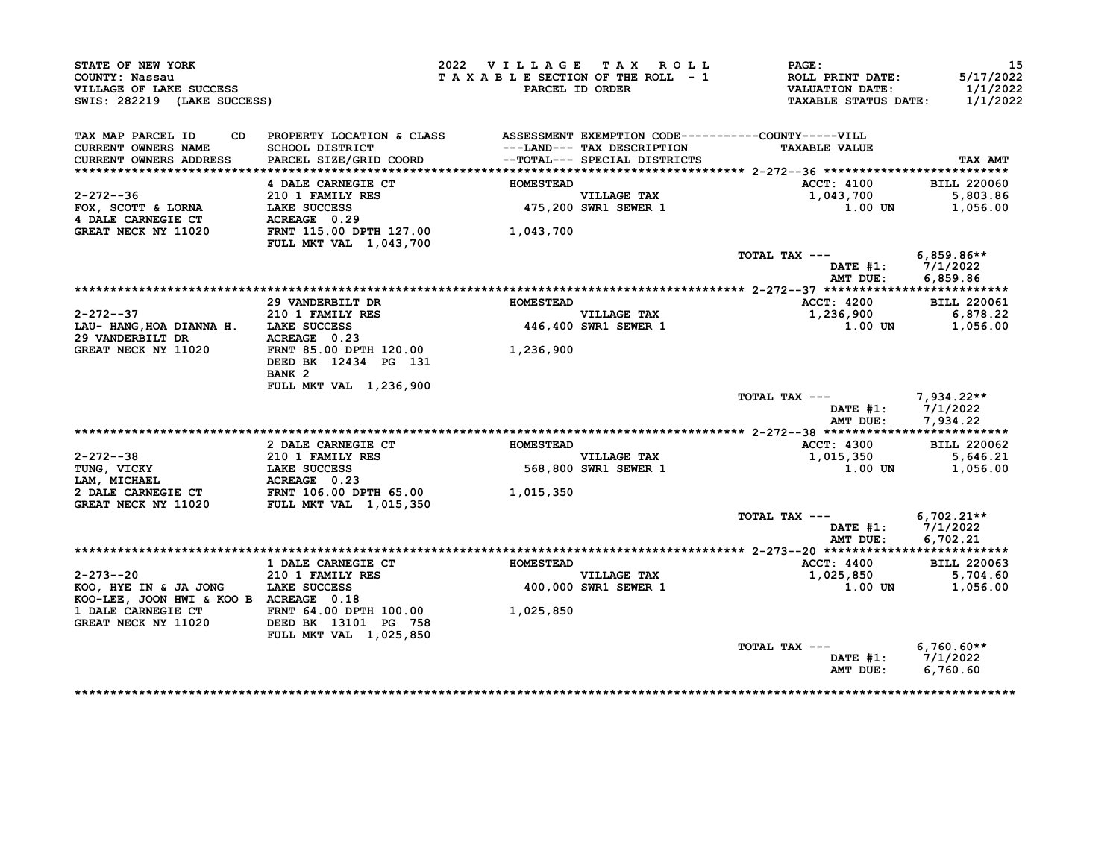| STATE OF NEW YORK<br>COUNTY: Nassau<br>VILLAGE OF LAKE SUCCESS<br>SWIS: 282219 (LAKE SUCCESS) |                                                                                 | 2022 VILLAGE TAX ROLL<br>TAXABLE SECTION OF THE ROLL - 1 | PARCEL ID ORDER                     | $\mathbf{PAGE:}$<br><b>ROLL PRINT DATE:</b><br><b>VALUATION DATE:</b><br><b>TAXABLE STATUS DATE:</b> | -15<br>5/17/2022<br>1/1/2022<br>1/1/2022 |
|-----------------------------------------------------------------------------------------------|---------------------------------------------------------------------------------|----------------------------------------------------------|-------------------------------------|------------------------------------------------------------------------------------------------------|------------------------------------------|
| TAX MAP PARCEL ID                                                                             | CD PROPERTY LOCATION & CLASS ASSESSMENT EXEMPTION CODE----------COUNTY-----VILL |                                                          |                                     |                                                                                                      |                                          |
| <b>CURRENT OWNERS NAME</b>                                                                    | SCHOOL DISTRICT                                                                 |                                                          | ---LAND--- TAX DESCRIPTION          | <b>TAXABLE VALUE</b>                                                                                 |                                          |
| CURRENT OWNERS ADDRESS                                                                        | PARCEL SIZE/GRID COORD                                                          |                                                          | --TOTAL--- SPECIAL DISTRICTS        |                                                                                                      | TAX AMT                                  |
|                                                                                               |                                                                                 |                                                          |                                     |                                                                                                      |                                          |
| $2 - 272 - -36$                                                                               | 4 DALE CARNEGIE CT                                                              | <b>HOMESTEAD</b>                                         |                                     | <b>ACCT: 4100</b>                                                                                    | <b>BILL 220060</b><br>5,803.86           |
| FOX, SCOTT & LORNA                                                                            | 210 1 FAMILY RES                                                                |                                                          | VILLAGE TAX<br>475,200 SWR1 SEWER 1 | 1,043,700<br>1.00 UN                                                                                 | 1,056.00                                 |
| 4 DALE CARNEGIE CT                                                                            | <b>LAKE SUCCESS<br/>ACREAGE 0.29</b>                                            |                                                          |                                     |                                                                                                      |                                          |
| GREAT NECK NY 11020                                                                           | FRNT 115.00 DPTH 127.00                                                         | 1,043,700                                                |                                     |                                                                                                      |                                          |
|                                                                                               | <b>FULL MKT VAL 1,043,700</b>                                                   |                                                          |                                     |                                                                                                      |                                          |
|                                                                                               |                                                                                 |                                                          |                                     | TOTAL TAX ---                                                                                        | 6,859.86**                               |
|                                                                                               |                                                                                 |                                                          |                                     | DATE #1: 7/1/2022                                                                                    |                                          |
|                                                                                               |                                                                                 |                                                          |                                     | AMT DUE:                                                                                             | 6,859.86                                 |
|                                                                                               |                                                                                 |                                                          |                                     |                                                                                                      |                                          |
|                                                                                               | 29 VANDERBILT DR                                                                | <b>HOMESTEAD</b>                                         |                                     | <b>ACCT: 4200</b>                                                                                    | <b>BILL 220061</b>                       |
| 2-272--37                                                                                     |                                                                                 |                                                          | VILLAGE TAX<br>446,400 SWR1 SEWER 1 | 1,236,900                                                                                            | 6,878.22                                 |
| LAU-HANG, HOA DIANNA H. LAKE SUCCESS                                                          | <b>210 1 FAMILY RES<br/>LAKE SUCCESS<br/>ACREAGE 0.23</b>                       |                                                          |                                     | $1.00$ UN                                                                                            | 1,056.00                                 |
|                                                                                               |                                                                                 |                                                          |                                     |                                                                                                      |                                          |
|                                                                                               |                                                                                 |                                                          |                                     |                                                                                                      |                                          |
|                                                                                               | DEED BK 12434 PG 131                                                            |                                                          |                                     |                                                                                                      |                                          |
|                                                                                               | BANK <sub>2</sub>                                                               |                                                          |                                     |                                                                                                      |                                          |
|                                                                                               | FULL MKT VAL 1,236,900                                                          |                                                          |                                     | TOTAL TAX --- 7,934.22**                                                                             |                                          |
|                                                                                               |                                                                                 |                                                          |                                     | DATE #1: 7/1/2022                                                                                    |                                          |
|                                                                                               |                                                                                 |                                                          |                                     | AMT DUE:                                                                                             | 7,934.22                                 |
|                                                                                               |                                                                                 |                                                          |                                     |                                                                                                      |                                          |
|                                                                                               | 2 DALE CARNEGIE CT                                                              | <b>HOMESTEAD</b>                                         |                                     | <b>ACCT: 4300</b>                                                                                    | <b>BILL 220062</b>                       |
| 2-272--38                                                                                     |                                                                                 |                                                          | <b>VILLAGE TAX</b>                  | 1,015,350                                                                                            | 5,646.21                                 |
| $Z-Z/Z$<br>TUNG, VICKY<br>$Z = 2712 \text{ F}$                                                | 210 1 FAMILY RES<br>LAKE SUCCESS                                                | 568,800                                                  | 568,800 SWR1 SEWER 1                | 1.00 UN                                                                                              | 1,056.00                                 |
|                                                                                               |                                                                                 |                                                          |                                     |                                                                                                      |                                          |
| 2 DALE CARNEGIE CT                                                                            | <b>ACREAGE 0.23<br/>FRNT 106.00 DPTH 65.00</b>                                  | 1,015,350                                                |                                     |                                                                                                      |                                          |
| GREAT NECK NY 11020                                                                           | <b>FULL MKT VAL 1,015,350</b>                                                   |                                                          |                                     |                                                                                                      |                                          |
|                                                                                               |                                                                                 |                                                          |                                     | TOTAL TAX ---                                                                                        | $6,702.21**$                             |
|                                                                                               |                                                                                 |                                                          |                                     | DATE $#1: 7/1/2022$                                                                                  |                                          |
|                                                                                               |                                                                                 |                                                          |                                     | AMT DUE:                                                                                             | 6.702.21                                 |
|                                                                                               |                                                                                 |                                                          |                                     |                                                                                                      |                                          |
|                                                                                               | <b>1 DALE CARNEGIE CT</b>                                                       | <b>HOMESTEAD</b>                                         |                                     | <b>ACCT: 4400</b>                                                                                    | <b>BILL 220063</b>                       |
| $2 - 273 - -20$<br>E-275--20<br>KOO, HYE IN & JA JONG LAKE SUCCESS                            | 210 1 FAMILY RES                                                                |                                                          | VILLAGE TAX<br>400,000 SWR1 SEWER 1 | 1,025,850<br>1.00 UN                                                                                 | 5,704.60                                 |
| KOO-LEE, JOON HWI & KOO B ACREAGE 0.18                                                        |                                                                                 |                                                          |                                     |                                                                                                      | 1,056.00                                 |
| 1 DALE CARNEGIE CT                                                                            | FRNT 64.00 DPTH 100.00<br>DEED BK 13101 PG 758                                  | 1,025,850                                                |                                     |                                                                                                      |                                          |
| GREAT NECK NY 11020                                                                           |                                                                                 |                                                          |                                     |                                                                                                      |                                          |
|                                                                                               | <b>FULL MKT VAL 1,025,850</b>                                                   |                                                          |                                     |                                                                                                      |                                          |
|                                                                                               |                                                                                 |                                                          |                                     | TOTAL TAX ---                                                                                        | $6,760.60**$                             |
|                                                                                               |                                                                                 |                                                          |                                     | DATE $#1: 7/1/2022$                                                                                  |                                          |
|                                                                                               |                                                                                 |                                                          |                                     | AMT DUE:                                                                                             | 6,760.60                                 |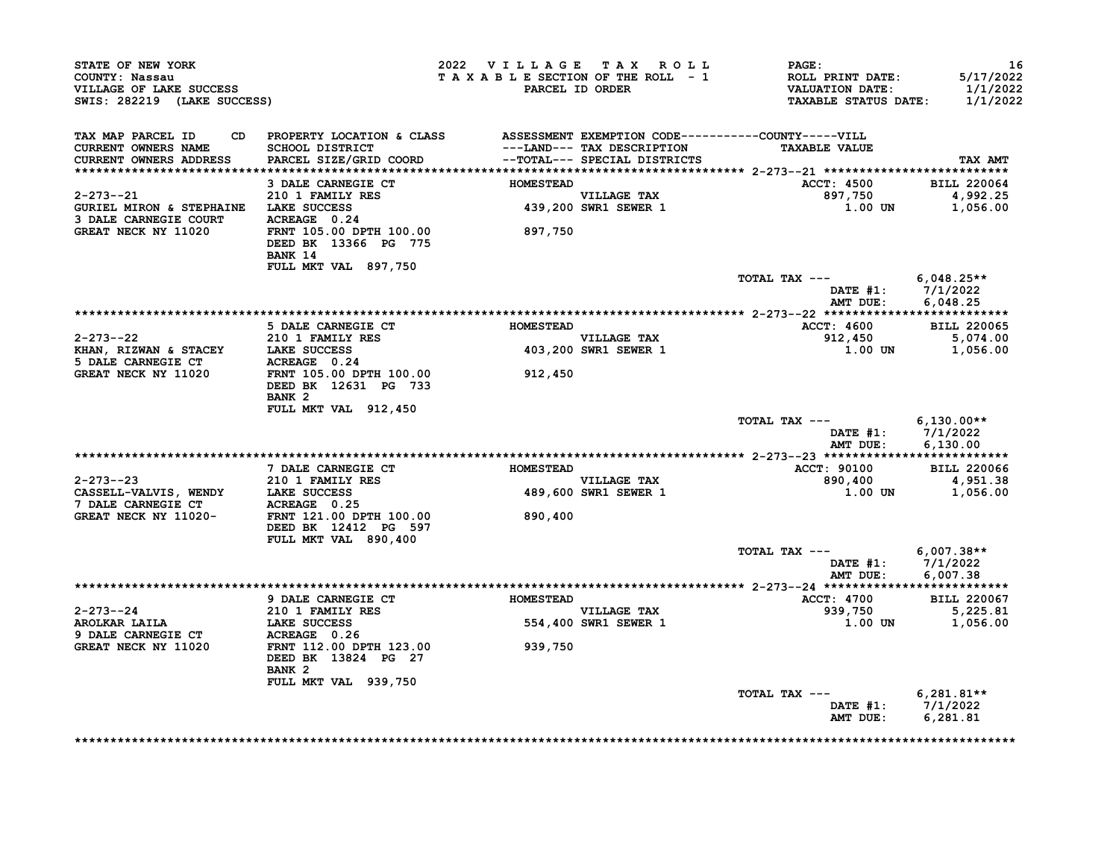| STATE OF NEW YORK<br>COUNTY: Nassau<br>VILLAGE OF LAKE SUCCESS<br>SWIS: 282219 (LAKE SUCCESS)                                                                                                                                              |                                                                                                                              | 2022 VILLAGE TAX ROLL<br>TAXABLE SECTION OF THE ROLL - 1 | PARCEL ID ORDER                                            | <b>PAGE:</b><br>ROLL PRINT DATE:<br>VALUATION DATE:<br>TAXABLE STATUS DATE: | 16<br>5/17/2022<br>1/1/2022<br>1/1/2022 |
|--------------------------------------------------------------------------------------------------------------------------------------------------------------------------------------------------------------------------------------------|------------------------------------------------------------------------------------------------------------------------------|----------------------------------------------------------|------------------------------------------------------------|-----------------------------------------------------------------------------|-----------------------------------------|
| TAX MAP PARCEL ID<br>CURRENT OWNERS NAME<br><b>CURRENT OWNERS ADDRESS</b>                                                                                                                                                                  | CD PROPERTY LOCATION & CLASS ASSESSMENT EXEMPTION CODE----------COUNTY-----VILL<br>SCHOOL DISTRICT<br>PARCEL SIZE/GRID COORD |                                                          | ---LAND--- TAX DESCRIPTION<br>--TOTAL--- SPECIAL DISTRICTS | <b>TAXABLE VALUE</b>                                                        | TAX AMT                                 |
|                                                                                                                                                                                                                                            | 3 DALE CARNEGIE CT HOMESTEAD                                                                                                 |                                                          |                                                            | <b>ACCT: 4500</b>                                                           | <b>BILL 220064</b>                      |
| $2 - 273 - -21$                                                                                                                                                                                                                            | 210 1 FAMILY RES                                                                                                             |                                                          |                                                            | 897,750                                                                     | 4,992.25                                |
| GURIEL MIRON & STEPHAINE LAKE SUCCESS                                                                                                                                                                                                      |                                                                                                                              |                                                          | VILLAGE TAX<br>439,200 SWR1 SEWER 1                        | 1.00 UN                                                                     | 1,056.00                                |
| 3 DALE CARNEGIE COURT ACREAGE 0.24<br>GREAT NECK NY 11020                                                                                                                                                                                  | FRNT 105.00 DPTH 100.00<br>DEED BK 13366 PG 775<br>BANK 14                                                                   | 897,750                                                  |                                                            |                                                                             |                                         |
|                                                                                                                                                                                                                                            | FULL MKT VAL 897,750                                                                                                         |                                                          |                                                            | TOTAL TAX $---$ 6,048.25**                                                  |                                         |
|                                                                                                                                                                                                                                            |                                                                                                                              |                                                          |                                                            | DATE #1: 7/1/2022<br>AMT DUE: 6,048.25                                      |                                         |
|                                                                                                                                                                                                                                            |                                                                                                                              |                                                          |                                                            |                                                                             |                                         |
|                                                                                                                                                                                                                                            | 5 DALE CARNEGIE CT                                                                                                           | <b>HOMESTEAD</b>                                         |                                                            | ACCT: 4600                                                                  | <b>BILL 220065</b>                      |
|                                                                                                                                                                                                                                            |                                                                                                                              |                                                          | VILLAGE TAX<br>VILLAGE TAX<br>403,200 SWR1 SEWER 1         | 912, 450<br>1.00 UN 1, 056.00                                               |                                         |
|                                                                                                                                                                                                                                            |                                                                                                                              |                                                          |                                                            |                                                                             |                                         |
| 2-273--22<br>EHAN, RIZWAN & STACEY<br>5 DALE CARNEGIE CT<br>GREAT NECK NY 11020<br>FRAME THEORY STATE OF THE STATE OF THE 100.00<br>FRAME THEORY STATE OF THE 100.00<br>FRAME THEORY STATE OF THE STATE OF THE STATE OF THE STATE OF THE S | DEED BK 12631 PG 733<br>BANK <sub>2</sub>                                                                                    | 912,450                                                  |                                                            |                                                                             |                                         |
|                                                                                                                                                                                                                                            | FULL MKT VAL 912,450                                                                                                         |                                                          |                                                            | TOTAL TAX --- $6,130.00**$                                                  |                                         |
|                                                                                                                                                                                                                                            |                                                                                                                              |                                                          |                                                            | DATE #1: 7/1/2022<br>AMT DUE: 6,130.00                                      |                                         |
|                                                                                                                                                                                                                                            | 7 DALE CARNEGIE CT                                                                                                           | <b>HOMESTEAD</b>                                         |                                                            | <b>ACCT: 90100</b>                                                          | <b>BILL 220066</b>                      |
| $2 - 273 - -23$                                                                                                                                                                                                                            | 210 1 FAMILY RES                                                                                                             |                                                          |                                                            | 890,400                                                                     | 4,951.38                                |
| CASSELL-VALVIS, WENDY<br>TRE SUCCESS<br>T DALE CARNEGIE CT ACREAGE 0.25<br>GREAT NECK NY 11020-<br>FRNT 121.00 DPTH 100.00                                                                                                                 |                                                                                                                              | VILLAGE TAX<br>489,600 SWR1 SEWER 1                      |                                                            | 1.00 UN 1,056.00                                                            |                                         |
|                                                                                                                                                                                                                                            | DEED BK 12412 PG 597                                                                                                         | 890,400                                                  |                                                            |                                                                             |                                         |
|                                                                                                                                                                                                                                            | FULL MKT VAL 890,400                                                                                                         |                                                          |                                                            | TOTAL TAX --- $6,007.38**$                                                  |                                         |
|                                                                                                                                                                                                                                            |                                                                                                                              |                                                          |                                                            | DATE #1: 7/1/2022<br>AMT DUE: 6,007.38                                      |                                         |
|                                                                                                                                                                                                                                            |                                                                                                                              |                                                          |                                                            |                                                                             |                                         |
| $2 - 273 - -24$                                                                                                                                                                                                                            | 9 DALE CARNEGIE CT FOMESTEAD                                                                                                 |                                                          |                                                            | ACCT: 4700 BILL 220067                                                      |                                         |
| 2-273--24<br>AROLKAR LAILA                                                                                                                                                                                                                 | 210 1 FAMILY RES<br>LAKE SUCCESS<br>ACREAGE 0.26                                                                             |                                                          | VILLAGE TAX<br>554,400 SWR1 SEWER 1                        |                                                                             |                                         |
| 9 DALE CARNEGIE CT<br>GREAT NECK NY 11020                                                                                                                                                                                                  | FRNT 112.00 DPTH 123.00                                                                                                      | 939,750                                                  |                                                            |                                                                             |                                         |
|                                                                                                                                                                                                                                            | DEED BK 13824 PG 27<br>BANK <sub>2</sub>                                                                                     |                                                          |                                                            |                                                                             |                                         |
|                                                                                                                                                                                                                                            | FULL MKT VAL 939,750                                                                                                         |                                                          |                                                            | TOTAL TAX $---$ 6,281.81**                                                  |                                         |
|                                                                                                                                                                                                                                            |                                                                                                                              |                                                          |                                                            | DATE #1: 7/1/2022<br>AMT DUE:                                               | 6,281.81                                |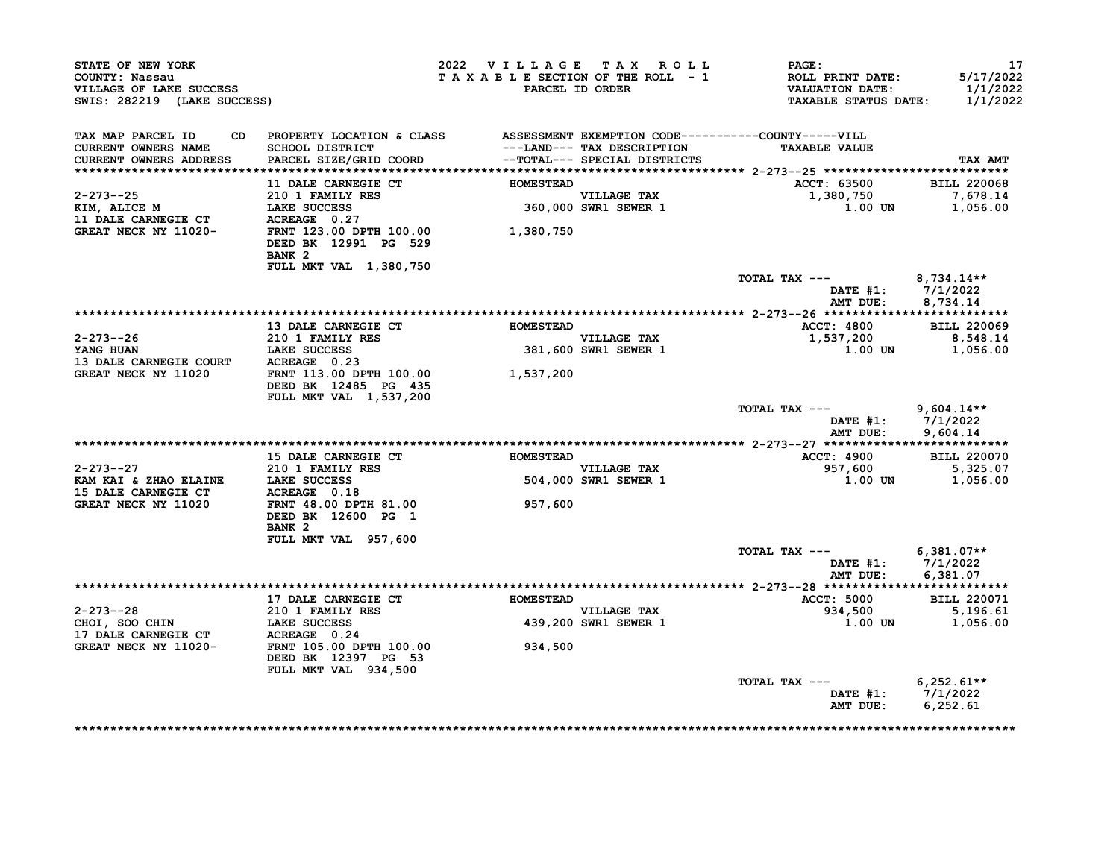| STATE OF NEW YORK                                                                                                                                             |                                                                                 | 2022 VILLAGE TAX ROLL           |                                     | $\mathtt{PAGE}$ :                                                                | 17                                |
|---------------------------------------------------------------------------------------------------------------------------------------------------------------|---------------------------------------------------------------------------------|---------------------------------|-------------------------------------|----------------------------------------------------------------------------------|-----------------------------------|
| COUNTY: Nassau<br>VILLAGE OF LAKE SUCCESS<br>SWIS: 282219 (LAKE SUCCESS)                                                                                      |                                                                                 | TAXABLE SECTION OF THE ROLL - 1 | PARCEL ID ORDER                     | <b>ROLL PRINT DATE:</b><br><b>VALUATION DATE:</b><br><b>TAXABLE STATUS DATE:</b> | 5/17/2022<br>1/1/2022<br>1/1/2022 |
|                                                                                                                                                               |                                                                                 |                                 |                                     |                                                                                  |                                   |
| TAX MAP PARCEL ID                                                                                                                                             | CD PROPERTY LOCATION & CLASS ASSESSMENT EXEMPTION CODE----------COUNTY-----VILL |                                 |                                     |                                                                                  |                                   |
| CURRENT OWNERS NAME<br><b>CURRENT OWNERS ADDRESS</b>                                                                                                          | SCHOOL DISTRICT<br>PARCEL SIZE/GRID COORD -- TOTAL--- SPECIAL DISTRICTS         |                                 | ---LAND--- TAX DESCRIPTION          | <b>TAXABLE VALUE</b>                                                             | TAX AMT                           |
|                                                                                                                                                               |                                                                                 |                                 |                                     |                                                                                  |                                   |
|                                                                                                                                                               | 11 DALE CARNEGIE CT                                                             | <b>HOMESTEAD</b>                |                                     | ACCT: 63500 BILL 220068                                                          |                                   |
|                                                                                                                                                               |                                                                                 |                                 |                                     |                                                                                  |                                   |
|                                                                                                                                                               |                                                                                 |                                 | VILLAGE TAX<br>360,000 SWR1 SEWER 1 |                                                                                  |                                   |
|                                                                                                                                                               |                                                                                 |                                 |                                     |                                                                                  |                                   |
| 2-273--25 210 1 FAMILI ALS<br>XIM, ALICE M LAKE SUCCESS 360,000<br>11 DALE CARNEGIE CT ACREAGE 0.27<br>GREAT NECK NY 11020- FRNT 123.00 DPTH 100.00 1,380,750 | BANK <sub>2</sub>                                                               |                                 |                                     |                                                                                  |                                   |
|                                                                                                                                                               | FULL MKT VAL 1,380,750                                                          |                                 |                                     |                                                                                  |                                   |
|                                                                                                                                                               |                                                                                 |                                 |                                     | TOTAL TAX ---                                                                    | $8,734.14**$                      |
|                                                                                                                                                               |                                                                                 |                                 |                                     | DATE $#1: 7/1/2022$<br>AMT DUE:                                                  | 8,734.14                          |
|                                                                                                                                                               |                                                                                 |                                 |                                     |                                                                                  |                                   |
|                                                                                                                                                               | 13 DALE CARNEGIE CT HOMESTEAD                                                   |                                 |                                     | <b>ACCT: 4800</b>                                                                | <b>BILL 220069</b>                |
| 2-273--26                                                                                                                                                     | <b>210 1 FAMILY RES</b>                                                         |                                 | VILLAGE TAX<br>381,600 SWR1 SEWER 1 | 1,537,200<br>1.00 UN 1,056.00                                                    | 8,548.14                          |
| 2-273--26<br>YANG HUAN LAKE SUCCESS<br>13 DALE CARNEGIE COURT ACREAGE 0.23                                                                                    |                                                                                 |                                 |                                     |                                                                                  |                                   |
| GREAT NECK NY 11020 FRNT 113.00 DPTH 100.00                                                                                                                   |                                                                                 | 1,537,200                       |                                     |                                                                                  |                                   |
|                                                                                                                                                               | DEED BK 12485 PG 435<br>FULL MKT VAL 1,537,200                                  |                                 |                                     |                                                                                  |                                   |
|                                                                                                                                                               |                                                                                 |                                 |                                     | TOTAL TAX $---$ 9,604.14**                                                       |                                   |
|                                                                                                                                                               |                                                                                 |                                 |                                     | DATE #1: 7/1/2022<br>AMT DUE: 9,604.14                                           |                                   |
|                                                                                                                                                               |                                                                                 |                                 |                                     |                                                                                  |                                   |
|                                                                                                                                                               |                                                                                 | <b>HOMESTEAD</b>                |                                     |                                                                                  |                                   |
| $2 - 273 - -27$                                                                                                                                               | <b>15 DALE CARNEGIE CT</b><br><b>210 1 FAMILY RES</b>                           |                                 | <b>VILLAGE TAX</b>                  | <b>ACCT: 4900</b>                                                                | <b>BILL 220070</b><br>5,325.07    |
| KAM KAI & ZHAO ELAINE LAKE SUCCESS                                                                                                                            |                                                                                 |                                 | 504,000 SWR1 SEWER 1                | 957,600<br>1.00 UN                                                               | 1,056.00                          |
|                                                                                                                                                               |                                                                                 |                                 |                                     |                                                                                  |                                   |
| 15 DALE CARNEGIE CT ACREAGE 0.18<br>GREAT NECK NY 11020 FRNT 48.00 DPTH 81.00                                                                                 | FRNT 48.00 DPTH 81.00                                                           | 957,600                         |                                     |                                                                                  |                                   |
|                                                                                                                                                               | DEED BK 12600 PG 1                                                              |                                 |                                     |                                                                                  |                                   |
|                                                                                                                                                               | BANK 2                                                                          |                                 |                                     |                                                                                  |                                   |
|                                                                                                                                                               | FULL MKT VAL 957,600                                                            |                                 |                                     |                                                                                  |                                   |
|                                                                                                                                                               |                                                                                 |                                 |                                     | TOTAL TAX --- $6,381.07**$                                                       |                                   |
|                                                                                                                                                               |                                                                                 |                                 |                                     | DATE #1: 7/1/2022                                                                |                                   |
|                                                                                                                                                               |                                                                                 |                                 |                                     | AMT DUE:                                                                         | 6,381.07                          |
|                                                                                                                                                               | 17 DALE CARNEGIE CT                                                             | <b>HOMESTEAD</b>                |                                     | <b>ACCT: 5000</b>                                                                | <b>BILL 220071</b>                |
|                                                                                                                                                               |                                                                                 |                                 |                                     |                                                                                  |                                   |
|                                                                                                                                                               |                                                                                 |                                 | VILLAGE TAX<br>439,200 SWR1 SEWER 1 | $934,500$<br>934,500<br>1.00 UN 1,056.00                                         |                                   |
|                                                                                                                                                               |                                                                                 |                                 |                                     |                                                                                  |                                   |
| 2-273--28<br>CHOI, SOO CHIN<br>17 DALE CARNEGIE CT<br>17 DALE CARNEGIE CT<br>GREAT NECK NY 11020-<br>FRNT 105.00 DPTH 100.00                                  | DEED BK 12397 PG 53                                                             | 934,500                         |                                     |                                                                                  |                                   |
|                                                                                                                                                               | FULL MKT VAL 934,500                                                            |                                 |                                     |                                                                                  |                                   |
|                                                                                                                                                               |                                                                                 |                                 |                                     | TOTAL TAX ---                                                                    | $6,252.61**$                      |
|                                                                                                                                                               |                                                                                 |                                 |                                     | DATE $#1: 7/1/2022$                                                              |                                   |
|                                                                                                                                                               |                                                                                 |                                 |                                     | AMT DUE:                                                                         | 6, 252.61                         |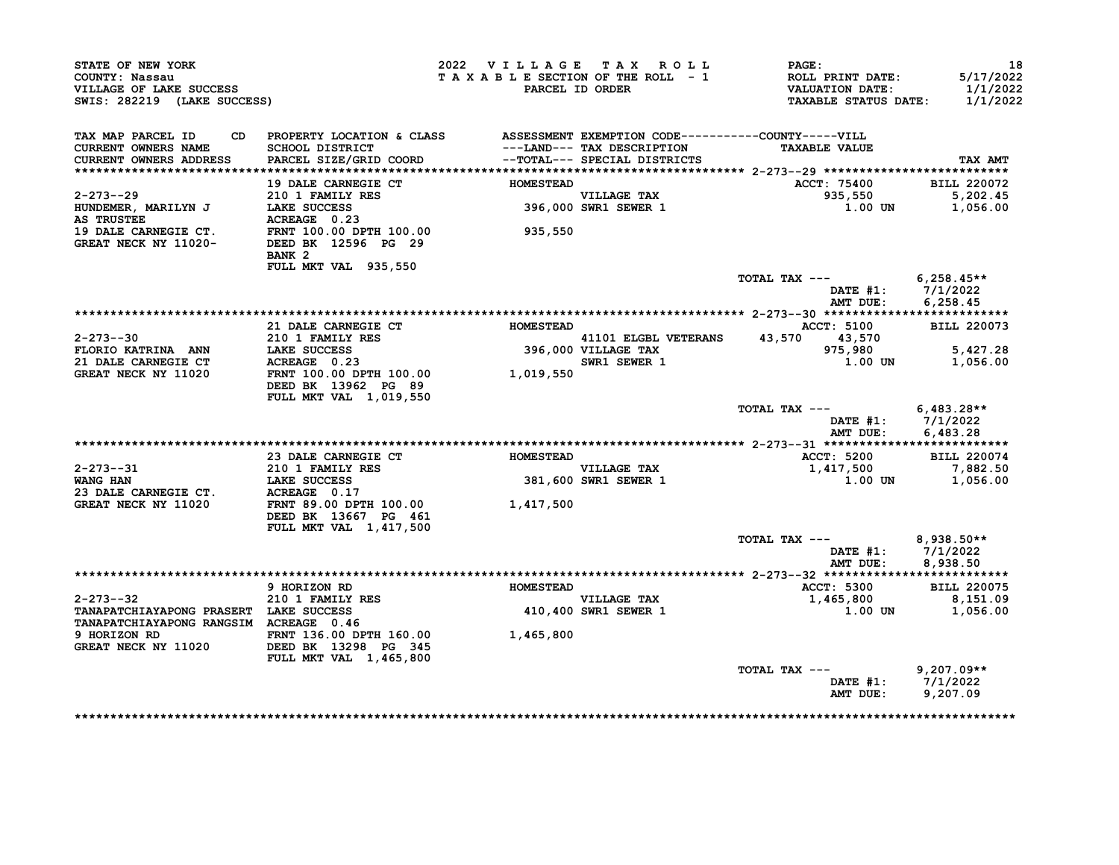| STATE OF NEW YORK<br>COUNTY: Nassau<br>VILLAGE OF LAKE SUCCESS<br>SWIS: 282219 (LAKE SUCCESS)                                           |                                                                                 |                  | 2022 VILLAGE TAX ROLL<br>TAXABLE SECTION OF THE ROLL - 1<br>PARCEL ID ORDER | $\mathtt{PAGE}$ :<br><b>ROLL PRINT DATE:<br/>VALUATION DATE:</b><br>TAXABLE STATUS DATE: | 18<br>5/17/2022<br>1/1/2022<br>1/1/2022 |
|-----------------------------------------------------------------------------------------------------------------------------------------|---------------------------------------------------------------------------------|------------------|-----------------------------------------------------------------------------|------------------------------------------------------------------------------------------|-----------------------------------------|
| TAX MAP PARCEL ID<br>CURRENT OWNERS NAME<br>CURRENT OWNERS ADDRESS                                                                      | CD PROPERTY LOCATION & CLASS ASSESSMENT EXEMPTION CODE----------COUNTY-----VILL |                  | ---LAND--- TAX DESCRIPTION                                                  | <b>TAXABLE VALUE</b>                                                                     | TAX AMT                                 |
|                                                                                                                                         |                                                                                 |                  |                                                                             |                                                                                          |                                         |
|                                                                                                                                         |                                                                                 | <b>HOMESTEAD</b> |                                                                             | ACCT: 75400 BILL 220072                                                                  |                                         |
|                                                                                                                                         |                                                                                 |                  | VILLAGE TAX<br>396,000 SWR1 SEWER 1                                         | 935,550                                                                                  | 5,202.45<br>1.00 UN 1,056.00            |
|                                                                                                                                         | BANK 2<br><b>FULL MKT VAL 935,550</b>                                           |                  |                                                                             |                                                                                          |                                         |
|                                                                                                                                         |                                                                                 |                  |                                                                             | TOTAL TAX --- $6,258.45**$                                                               |                                         |
|                                                                                                                                         |                                                                                 |                  |                                                                             |                                                                                          | DATE #1: 7/1/2022<br>AMT DUE: 6,258.45  |
|                                                                                                                                         |                                                                                 |                  |                                                                             |                                                                                          |                                         |
|                                                                                                                                         | 21 DALE CARNEGIE CT                                                             | <b>HOMESTEAD</b> |                                                                             | <b>ACCT: 5100</b>                                                                        | <b>BILL 220073</b>                      |
|                                                                                                                                         |                                                                                 |                  |                                                                             | 41101 ELGBL VETERANS 43,570 43,570                                                       |                                         |
|                                                                                                                                         |                                                                                 |                  | 41101 ELGBL VETERANS $43, 3$<br>396,000 VILLAGE TAX<br>swr1 SEWER 1         | 975,980                                                                                  | 5,427.28                                |
|                                                                                                                                         |                                                                                 |                  | SWR1 SEWER 1                                                                | 1.00 UN                                                                                  | 1,056.00                                |
|                                                                                                                                         | DEED BK 13962 PG 89<br><b>FULL MKT VAL 1,019,550</b>                            |                  |                                                                             |                                                                                          |                                         |
|                                                                                                                                         |                                                                                 |                  |                                                                             | TOTAL TAX --- $6,483.28**$                                                               |                                         |
|                                                                                                                                         |                                                                                 |                  |                                                                             | AMT DUE:                                                                                 | DATE #1: 7/1/2022<br>6,483.28           |
|                                                                                                                                         |                                                                                 |                  |                                                                             |                                                                                          |                                         |
|                                                                                                                                         | 23 DALE CARNEGIE CT                                                             | <b>HOMESTEAD</b> |                                                                             | <b>ACCT: 5200</b>                                                                        | <b>BILL 220074</b>                      |
| 2-273--31<br>WANG HAN                                                                                                                   |                                                                                 |                  | VILLAGE TAX<br>381,600 SWR1 SEWER 1                                         | 1,417,500 7,882.50<br>1.00 UN 1,056.00                                                   |                                         |
|                                                                                                                                         |                                                                                 |                  |                                                                             |                                                                                          |                                         |
| 2-273--31<br>WANG HAN LAKE SUCCESS 381,600<br>23 DALE CARNEGIE CT. ACREAGE 0.17<br>GREAT NECK NY 11020 FRNT 89.00 DPTH 100.00 1,417,500 | DEED BK 13667 PG 461                                                            |                  |                                                                             |                                                                                          |                                         |
|                                                                                                                                         | <b>FULL MKT VAL 1,417,500</b>                                                   |                  |                                                                             | TOTAL TAX --- $8,938.50**$                                                               |                                         |
|                                                                                                                                         |                                                                                 |                  |                                                                             | AMT DUE:                                                                                 | DATE $#1: 7/1/2022$<br>8,938.50         |
|                                                                                                                                         |                                                                                 |                  |                                                                             |                                                                                          |                                         |
|                                                                                                                                         | 9 HORIZON RD                                                                    | HOMESTEAD        |                                                                             | <b>ACCT: 5300</b>                                                                        | <b>BILL 220075</b>                      |
| 2-273--32                                                                                                                               | 210 1 FAMILY RES                                                                |                  | <b>VILLAGE TAX</b>                                                          | 1,465,800                                                                                | 8,151.09                                |
| TANAPATCHIAYAPONG PRASERT LAKE SUCCESS<br>TANAPATCHIAYAPONG RANGSIM ACREAGE 0.46                                                        |                                                                                 |                  | 410,400 SWR1 SEWER 1                                                        |                                                                                          | $1.00$ UN $1,056.00$                    |
|                                                                                                                                         | <b>FULL MKT VAL 1,465,800</b>                                                   |                  |                                                                             |                                                                                          |                                         |
|                                                                                                                                         |                                                                                 |                  |                                                                             | TOTAL TAX ---                                                                            | $9,207.09**$<br>DATE #1: 7/1/2022       |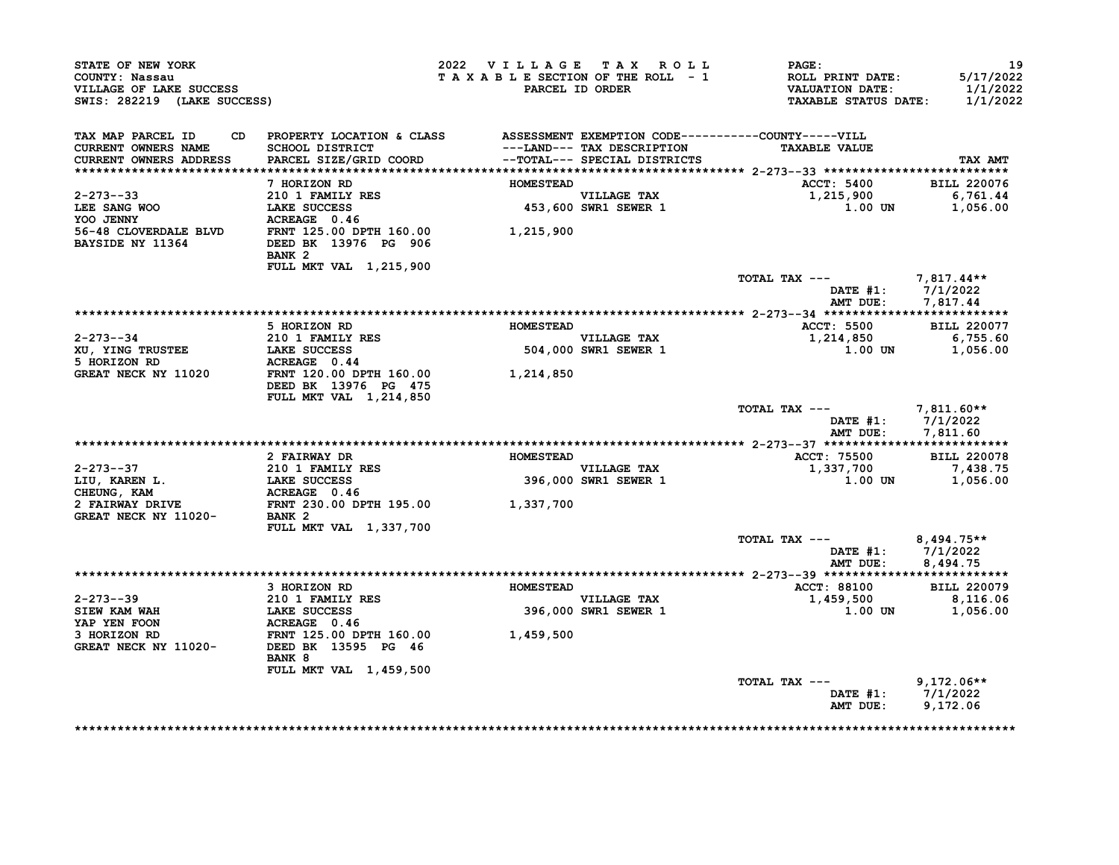| STATE OF NEW YORK<br>COUNTY: Nassau<br>VILLAGE OF LAKE SUCCESS<br>SWIS: 282219 (LAKE SUCCESS) |                                                                                                                                                           | 2022 VILLAGE TAX ROLL<br>TAXABLE SECTION OF THE ROLL - 1 | PARCEL ID ORDER                     | <b>PAGE :</b><br>ROLL PRINT DATE:<br>VALUATION DATE:<br><b>TAXABLE STATUS DATE:</b> | 19<br>5/17/2022<br>1/1/2022<br>1/1/2022 |
|-----------------------------------------------------------------------------------------------|-----------------------------------------------------------------------------------------------------------------------------------------------------------|----------------------------------------------------------|-------------------------------------|-------------------------------------------------------------------------------------|-----------------------------------------|
| TAX MAP PARCEL ID<br><b>CURRENT OWNERS NAME</b><br><b>CURRENT OWNERS ADDRESS</b>              | CD PROPERTY LOCATION & CLASS ASSESSMENT EXEMPTION CODE----------COUNTY-----VILL<br>SCHOOL DISTRICT<br>PARCEL SIZE/GRID COORD --TOTAL--- SPECIAL DISTRICTS |                                                          | ---LAND--- TAX DESCRIPTION          | <b>TAXABLE VALUE</b>                                                                | TAX AMT                                 |
|                                                                                               |                                                                                                                                                           |                                                          |                                     |                                                                                     |                                         |
|                                                                                               | 7 HORIZON RD                                                                                                                                              | <b>HOMESTEAD</b>                                         |                                     | <b>ACCT: 5400</b>                                                                   | <b>BILL 220076</b>                      |
| $2 - 273 - -33$<br>LEE SANG WOO                                                               | 210 1 FAMILY RES<br>LAKE SUCCESS                                                                                                                          |                                                          | VILLAGE TAX<br>453,600 SWR1 SEWER 1 | 1,215,900<br>1.00 UN                                                                | 6,761.44<br>1,056.00                    |
| YOO JENNY<br><b>BAYSIDE NY 11364</b>                                                          | $ACREAGE$ 0.46<br>DEED BK 13976 PG 906<br>BANK <sub>2</sub>                                                                                               |                                                          |                                     |                                                                                     |                                         |
|                                                                                               | FULL MKT VAL 1,215,900                                                                                                                                    |                                                          |                                     | TOTAL TAX --- 7,817.44**                                                            |                                         |
|                                                                                               |                                                                                                                                                           |                                                          |                                     | DATE $#1: 7/1/2022$<br>AMT DUE: 7,817.44                                            |                                         |
|                                                                                               |                                                                                                                                                           |                                                          |                                     |                                                                                     |                                         |
| 2-273--34                                                                                     | 5 HORIZON RD<br>210 1 FAMILY RES                                                                                                                          | <b>HOMESTEAD</b>                                         | <b>VILLAGE TAX</b>                  | <b>ACCT: 5500</b><br>1,214,850                                                      | <b>BILL 220077</b><br>6,755.60          |
| XU, YING TRUSTEE LAKE SUCCESS<br>5 HORIZON RD                                                 | ACREAGE 0.44                                                                                                                                              |                                                          | 504,000 SWR1 SEWER 1                | $1.00$ UN $1,056.00$                                                                |                                         |
| GREAT NECK NY 11020                                                                           | FRNT 120.00 DPTH 160.00<br>DEED BK 13976 PG 475<br>FULL MKT VAL 1,214,850                                                                                 | 1,214,850                                                |                                     |                                                                                     |                                         |
|                                                                                               |                                                                                                                                                           |                                                          |                                     | TOTAL TAX --- 7,811.60**<br>DATE #1: 7/1/2022<br>AMT DUE:                           | 7,811.60                                |
|                                                                                               |                                                                                                                                                           |                                                          |                                     |                                                                                     |                                         |
|                                                                                               | 2 FAIRWAY DR                                                                                                                                              | <b>HOMESTEAD</b>                                         |                                     | ACCT: 75500                                                                         | <b>BILL 220078</b>                      |
| $2 - 273 - -37$                                                                               |                                                                                                                                                           |                                                          | VILLAGE TAX<br>396,000 SWR1 SEWER 1 | 1,337,700                                                                           | 7,438.75                                |
| LIU, KAREN L.                                                                                 |                                                                                                                                                           |                                                          |                                     | 1.00 UN                                                                             | 1,056.00                                |
| CHEUNG, KAM                                                                                   |                                                                                                                                                           |                                                          |                                     |                                                                                     |                                         |
| 2 FAIRWAY DRIVE<br><b>GREAT NECK NY 11020-</b>                                                | 210 1 FAMILY RES<br>LAKE SUCCESS 396,000<br>ACREAGE 0.46<br>FRNT 230.00 DPTH 195.00 1,337,700<br>BANK 2<br>FULL MKT VAL 1,337,700                         |                                                          |                                     |                                                                                     |                                         |
|                                                                                               |                                                                                                                                                           |                                                          |                                     | TOTAL TAX ---                                                                       | 8,494.75**                              |
|                                                                                               |                                                                                                                                                           |                                                          |                                     | DATE #1: 7/1/2022<br>AMT DUE:                                                       | 8,494.75                                |
|                                                                                               |                                                                                                                                                           |                                                          |                                     |                                                                                     |                                         |
|                                                                                               | 3 HORIZON RD                                                                                                                                              | <b>HOMESTEAD</b>                                         |                                     | <b>ACCT: 88100</b>                                                                  | <b>BILL 220079</b>                      |
| 2-273--39<br><b>SIEW KAM WAH</b>                                                              | 210 1 FAMILY RES<br><b>LAKE SUCCESS</b>                                                                                                                   |                                                          | VILLAGE TAX<br>396,000 SWR1 SEWER 1 | 1,459,500<br>$1.00$ UN                                                              | 8,116.06<br>1,056.00                    |
| YAP YEN FOON                                                                                  | ACREAGE 0.46                                                                                                                                              |                                                          |                                     |                                                                                     |                                         |
| 3 HORIZON RD<br>GREAT NECK NY 11020-                                                          | FRNT 125.00 DPTH 160.00<br>DEED BK 13595 PG 46                                                                                                            | 1,459,500                                                |                                     |                                                                                     |                                         |
|                                                                                               | BANK 8<br>FULL MKT VAL 1,459,500                                                                                                                          |                                                          |                                     |                                                                                     |                                         |
|                                                                                               |                                                                                                                                                           |                                                          |                                     | TOTAL TAX ---<br>DATE #1: $7/1/2022$                                                | $9,172.06**$                            |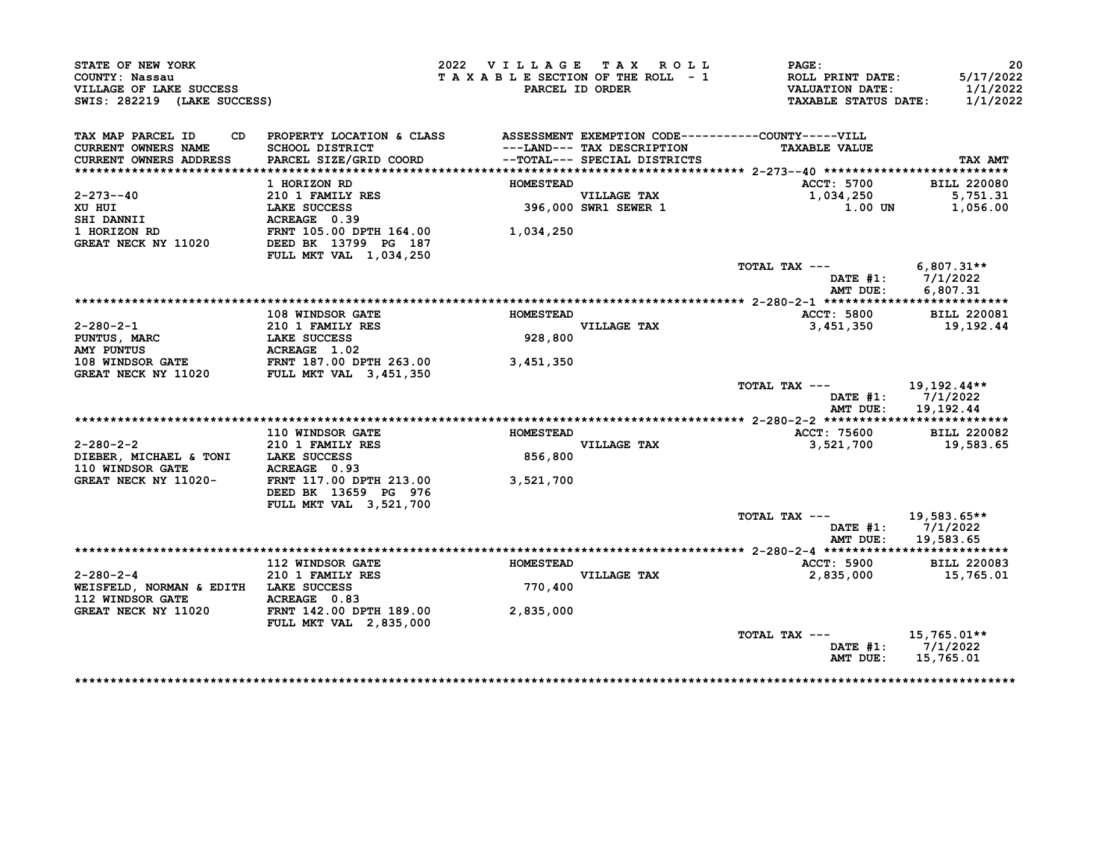| STATE OF NEW YORK<br>COUNTY: Nassau<br>VILLAGE OF LAKE SUCCESS<br>SWIS: 282219 (LAKE SUCCESS) |                                                                                                                           | 2022 VILLAGE TAX ROLL<br>TAXABLE SECTION OF THE ROLL - 1 | PARCEL ID ORDER                                            | PAGE:<br>ROLL PRINT DATE:<br><b>VALUATION DATE:</b><br><b>TAXABLE STATUS DATE:</b> | 20<br>5/17/2022<br>1/1/2022<br>1/1/2022     |
|-----------------------------------------------------------------------------------------------|---------------------------------------------------------------------------------------------------------------------------|----------------------------------------------------------|------------------------------------------------------------|------------------------------------------------------------------------------------|---------------------------------------------|
| TAX MAP PARCEL ID<br>CD.<br>CURRENT OWNERS NAME<br>CURRENT OWNERS ADDRESS                     | PROPERTY LOCATION & CLASS ASSESSMENT EXEMPTION CODE----------COUNTY-----VILL<br>SCHOOL DISTRICT<br>PARCEL SIZE/GRID COORD |                                                          | ---LAND--- TAX DESCRIPTION<br>--TOTAL--- SPECIAL DISTRICTS | <b>TAXABLE VALUE</b>                                                               | TAX AMT                                     |
|                                                                                               |                                                                                                                           |                                                          |                                                            |                                                                                    |                                             |
|                                                                                               | 1 HORIZON RD                                                                                                              | <b>HOMESTEAD</b>                                         |                                                            | <b>ACCT: 5700</b>                                                                  | <b>BILL 220080</b>                          |
| 2-273--40                                                                                     | 210 1 FAMILY RES                                                                                                          |                                                          | VILLAGE TAX<br>396,000 SWR1 SEWER 1                        | 1,034,250<br>1.00 UN                                                               | 5,751.31                                    |
| XU HUI<br>SHI DANNII                                                                          | LAKE SUCCESS<br>ACREAGE 0.39                                                                                              |                                                          |                                                            |                                                                                    | 1,056.00                                    |
| <b>1 HORIZON RD</b>                                                                           | FRNT 105.00 DPTH 164.00                                                                                                   | 1,034,250                                                |                                                            |                                                                                    |                                             |
| GREAT NECK NY 11020                                                                           | DEED BK 13799 PG 187<br>FULL MKT VAL 1,034,250                                                                            |                                                          |                                                            |                                                                                    |                                             |
|                                                                                               |                                                                                                                           |                                                          |                                                            | TOTAL TAX ---<br>AMT DUE:                                                          | 6,807.31**<br>DATE #1: 7/1/2022<br>6,807.31 |
|                                                                                               |                                                                                                                           |                                                          |                                                            |                                                                                    |                                             |
|                                                                                               | 108 WINDSOR GATE                                                                                                          | <b>HOMESTEAD</b>                                         |                                                            | <b>ACCT: 5800</b>                                                                  | <b>BILL 220081</b>                          |
| $2 - 280 - 2 - 1$                                                                             | 210 1 FAMILY RES                                                                                                          |                                                          | <b>VILLAGE TAX</b>                                         | 3,451,350                                                                          | 19,192.44                                   |
| PUNTUS, MARC                                                                                  | <b>LAKE SUCCESS</b>                                                                                                       | 928,800                                                  |                                                            |                                                                                    |                                             |
| <b>AMY PUNTUS</b>                                                                             | ACREAGE 1.02                                                                                                              |                                                          |                                                            |                                                                                    |                                             |
| 108 WINDSOR GATE FRNT 187.00 DPTH 263.00                                                      |                                                                                                                           | 3,451,350                                                |                                                            |                                                                                    |                                             |
| <b>GREAT NECK NY 11020</b>                                                                    | <b>FULL MKT VAL 3,451,350</b>                                                                                             |                                                          |                                                            |                                                                                    |                                             |
|                                                                                               |                                                                                                                           |                                                          |                                                            | TOTAL TAX $---$                                                                    | 19,192.44**<br>DATE $#1: 7/1/2022$          |
|                                                                                               |                                                                                                                           |                                                          |                                                            | AMT DUE:                                                                           | 19,192.44                                   |
|                                                                                               | 110 WINDSOR GATE                                                                                                          | <b>HOMESTEAD</b>                                         |                                                            | ACCT: 75600                                                                        | BILL 220082                                 |
| $2 - 280 - 2 - 2$                                                                             | 210 1 FAMILY RES                                                                                                          |                                                          | VILLAGE TAX                                                | 3,521,700                                                                          | 19,583.65                                   |
| DIEBER, MICHAEL & TONI LAKE SUCCESS<br>110 WINDSOR GATE                                       | ACREAGE 0.93                                                                                                              | 856,800                                                  |                                                            |                                                                                    |                                             |
| GREAT NECK NY 11020-                                                                          | FRNT 117.00 DPTH 213.00<br>DEED BK 13659 PG 976                                                                           | 3,521,700                                                |                                                            |                                                                                    |                                             |
|                                                                                               | FULL MKT VAL 3,521,700                                                                                                    |                                                          |                                                            | TOTAL TAX ---                                                                      |                                             |
|                                                                                               |                                                                                                                           |                                                          |                                                            | DATE #1:<br>AMT DUE:                                                               | 19,583.65**<br>7/1/2022<br>19,583.65        |
|                                                                                               |                                                                                                                           |                                                          |                                                            |                                                                                    |                                             |
|                                                                                               | 112 WINDSOR GATE                                                                                                          | <b>HOMESTEAD</b>                                         |                                                            | ACCT: 5900                                                                         | <b>BILL 220083</b>                          |
| $2 - 280 - 2 - 4$                                                                             | 210 1 FAMILY RES                                                                                                          | 770,400                                                  | VILLAGE TAX                                                | 2,835,000                                                                          | 15,765.01                                   |
| WEISFELD, NORMAN & EDITH LAKE SUCCESS<br>112 WINDSOR GATE                                     | ACREAGE 0.83                                                                                                              |                                                          |                                                            |                                                                                    |                                             |
| GREAT NECK NY 11020                                                                           | FRNT 142.00 DPTH 189.00                                                                                                   | 2,835,000                                                |                                                            |                                                                                    |                                             |
|                                                                                               | FULL MKT VAL 2,835,000                                                                                                    |                                                          |                                                            |                                                                                    |                                             |
|                                                                                               |                                                                                                                           |                                                          |                                                            | TOTAL TAX ---                                                                      | $15,765.01**$                               |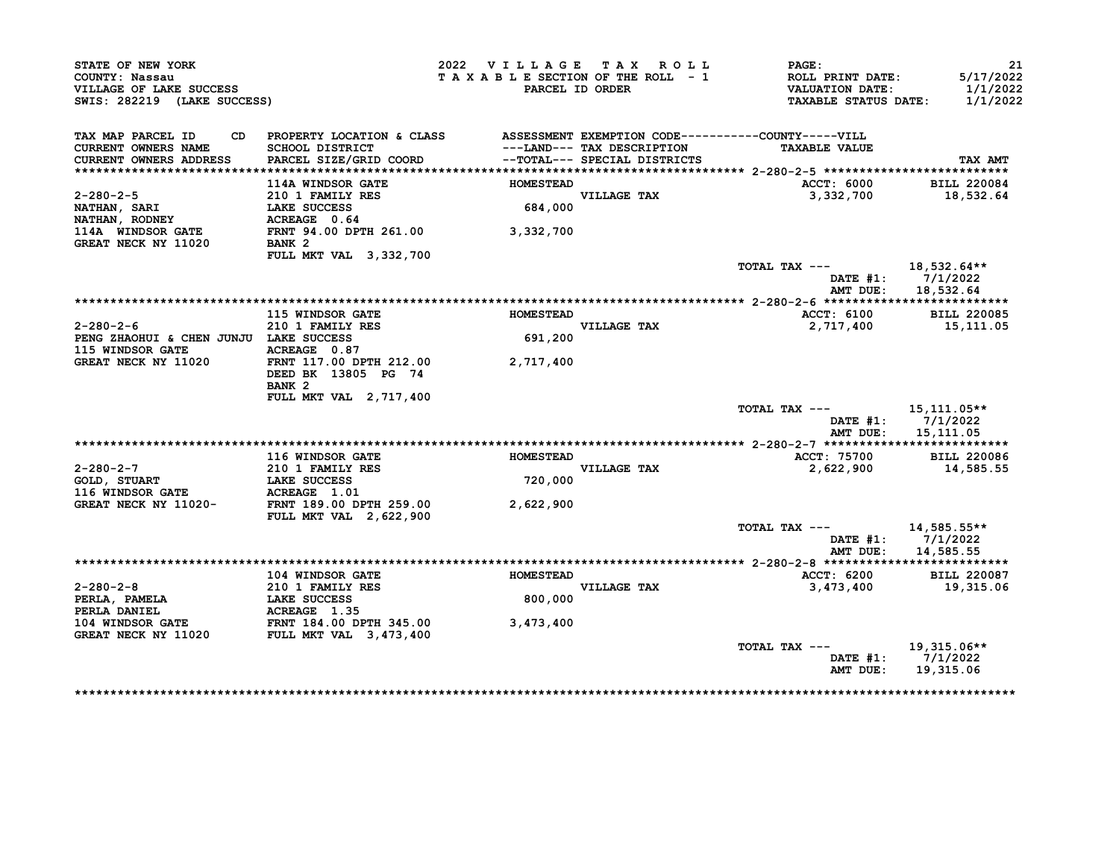| STATE OF NEW YORK<br>COUNTY: Nassau                                                                                                                           |                                                                              | 2022 VILLAGE TAX ROLL<br>TAXABLE SECTION OF THE ROLL - 1 |                              | <b>PAGE:</b><br><b>ROLL PRINT DATE:</b>               | 21<br>5/17/2022      |
|---------------------------------------------------------------------------------------------------------------------------------------------------------------|------------------------------------------------------------------------------|----------------------------------------------------------|------------------------------|-------------------------------------------------------|----------------------|
| VILLAGE OF LAKE SUCCESS<br>SWIS: 282219 (LAKE SUCCESS)                                                                                                        |                                                                              |                                                          | PARCEL ID ORDER              | <b>VALUATION DATE:</b><br><b>TAXABLE STATUS DATE:</b> | 1/1/2022<br>1/1/2022 |
| TAX MAP PARCEL ID<br>CD.                                                                                                                                      | PROPERTY LOCATION & CLASS ASSESSMENT EXEMPTION CODE----------COUNTY-----VILL |                                                          |                              |                                                       |                      |
| <b>CURRENT OWNERS NAME</b>                                                                                                                                    | SCHOOL DISTRICT                                                              |                                                          | ---LAND--- TAX DESCRIPTION   | <b>TAXABLE VALUE</b>                                  |                      |
| CURRENT OWNERS ADDRESS                                                                                                                                        | PARCEL SIZE/GRID COORD                                                       |                                                          | --TOTAL--- SPECIAL DISTRICTS |                                                       | TAX AMT              |
|                                                                                                                                                               | <b>114A WINDSOR GATE</b>                                                     | <b>HOMESTEAD</b>                                         |                              | <b>ACCT: 6000</b>                                     | <b>BILL 220084</b>   |
| $2 - 280 - 2 - 5$                                                                                                                                             | 210 1 FAMILY RES                                                             |                                                          |                              | 3,332,700                                             | 18,532.64            |
| NATHAN, SARI                                                                                                                                                  | LAKE SUCCESS                                                                 |                                                          | VILLAGE TAX<br>684,000       |                                                       |                      |
| NATHAN, RODNEY                                                                                                                                                | ACREAGE 0.64                                                                 |                                                          |                              |                                                       |                      |
| 114A WINDSOR GATE<br>GREAT NECK NY 11020                                                                                                                      | FRNT 94.00 DPTH 261.00 3,332,700<br>BANK 2                                   |                                                          |                              |                                                       |                      |
|                                                                                                                                                               | FULL MKT VAL 3,332,700                                                       |                                                          |                              |                                                       |                      |
|                                                                                                                                                               |                                                                              |                                                          |                              | TOTAL TAX $---$ 18,532.64**                           |                      |
|                                                                                                                                                               |                                                                              |                                                          |                              |                                                       | DATE $#1: 7/1/2022$  |
|                                                                                                                                                               |                                                                              |                                                          |                              | AMT DUE:                                              | 18,532.64            |
|                                                                                                                                                               |                                                                              |                                                          |                              |                                                       |                      |
| $2 - 280 - 2 - 6$                                                                                                                                             | 115 WINDSOR GATE<br>210 1 FAMILY RES                                         | <b>HOMESTEAD</b>                                         | VILLAGE TAX                  | ACCT: 6100<br>2,717,400                               | <b>BILL 220085</b>   |
| PENG ZHAOHUI & CHEN JUNJU LAKE SUCCESS                                                                                                                        |                                                                              | 691,200                                                  |                              |                                                       | 15,111.05            |
| 115 WINDSOR GATE                                                                                                                                              | ACREAGE 0.87                                                                 |                                                          |                              |                                                       |                      |
| GREAT NECK NY 11020                                                                                                                                           | FRNT 117.00 DPTH 212.00                                                      | 2,717,400                                                |                              |                                                       |                      |
|                                                                                                                                                               | DEED BK 13805 PG 74<br>BANK <sub>2</sub>                                     |                                                          |                              |                                                       |                      |
|                                                                                                                                                               | FULL MKT VAL 2, 717, 400                                                     |                                                          |                              |                                                       |                      |
|                                                                                                                                                               |                                                                              |                                                          |                              | TOTAL TAX $---$ 15, 111.05**                          |                      |
|                                                                                                                                                               |                                                                              |                                                          |                              |                                                       | DATE #1: 7/1/2022    |
|                                                                                                                                                               |                                                                              |                                                          |                              |                                                       | AMT DUE: 15,111.05   |
|                                                                                                                                                               |                                                                              |                                                          |                              |                                                       |                      |
|                                                                                                                                                               | <b>116 WINDSOR GATE</b>                                                      | <b>HOMESTEAD</b>                                         |                              | ACCT: 75700 BILL 220086                               |                      |
| $2 - 280 - 2 - 7$                                                                                                                                             | 210 1 FAMILY RES                                                             |                                                          | VILLAGE TAX<br>720,000       | 2,622,900                                             | 14,585.55            |
| GOLD, STUART                                                                                                                                                  | LAKE SUCCESS                                                                 |                                                          |                              |                                                       |                      |
| 116 WINDSOR GATE             ACREAGE   1.01<br>GREAT NECK NY 11020-         FRNT 189.00 DPTH 259.00                                                           |                                                                              |                                                          |                              |                                                       |                      |
|                                                                                                                                                               | <b>FULL MKT VAL 2,622,900</b>                                                | 2,622,900                                                |                              |                                                       |                      |
|                                                                                                                                                               |                                                                              |                                                          |                              | TOTAL TAX ---                                         | 14,585.55**          |
|                                                                                                                                                               |                                                                              |                                                          |                              |                                                       | DATE #1: 7/1/2022    |
|                                                                                                                                                               |                                                                              |                                                          |                              |                                                       | AMT DUE: 14,585.55   |
|                                                                                                                                                               | <b>104 WINDSOR GATE</b>                                                      | <b>HOMESTEAD</b>                                         |                              | ACCT: 6200                                            | <b>BILL 220087</b>   |
| $2 - 280 - 2 - 8$                                                                                                                                             |                                                                              |                                                          | <b>VILLAGE TAX</b>           | 3,473,400                                             | 19,315.06            |
|                                                                                                                                                               | 210 1 FAMILY RES<br>LAKE SUCCESS                                             | 800,000                                                  |                              |                                                       |                      |
|                                                                                                                                                               |                                                                              |                                                          |                              |                                                       |                      |
|                                                                                                                                                               |                                                                              | 3,473,400                                                |                              |                                                       |                      |
| PERLA, PAMELA<br>PERLA DANIEL (ESSENTEREM PERLA DANIEL ACREAGE 1.35<br>104 WINDSOR GATE FRNT 184.00 DPTH 345.00<br>GREAT NECK NY 11020 FULL MKT VAL 3,473,400 |                                                                              |                                                          |                              |                                                       |                      |
|                                                                                                                                                               |                                                                              |                                                          |                              | TOTAL TAX ---                                         | 19,315.06**          |
|                                                                                                                                                               |                                                                              |                                                          |                              |                                                       | DATE $#1: 7/1/2022$  |
|                                                                                                                                                               |                                                                              |                                                          |                              |                                                       |                      |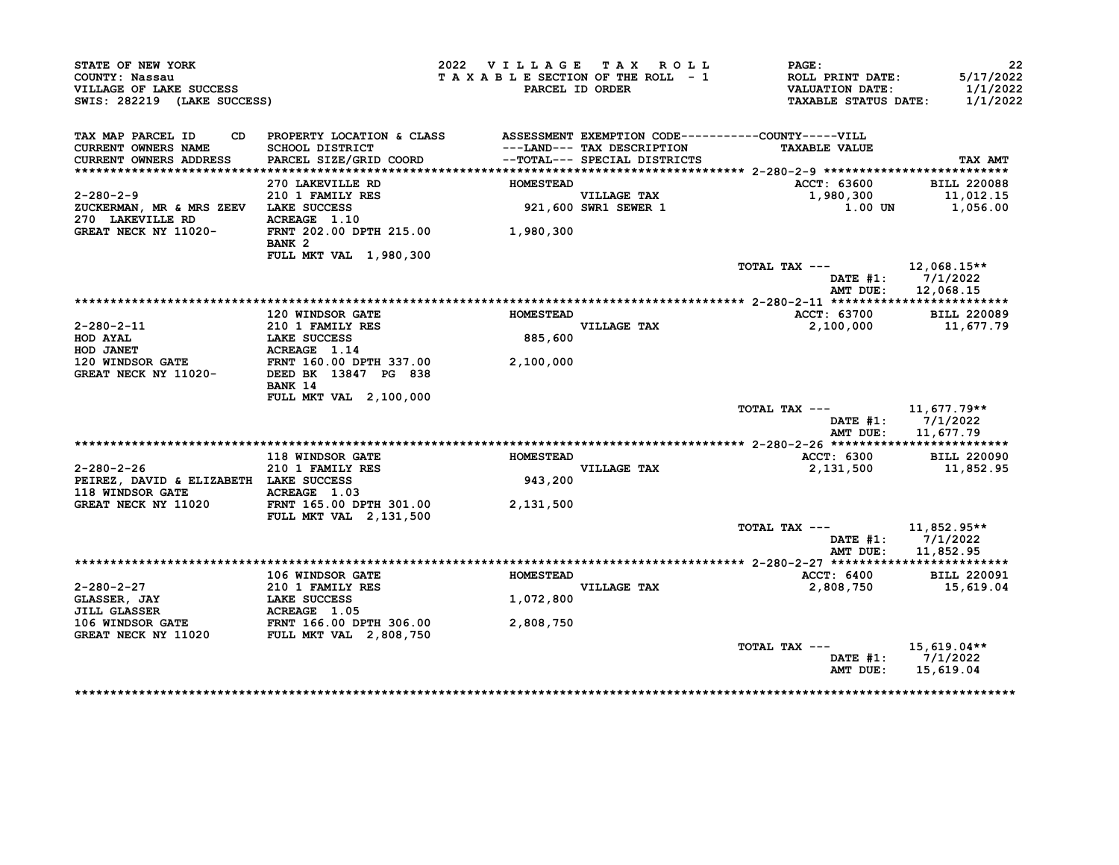| STATE OF NEW YORK<br>COUNTY: Nassau                                                                                                                                                                                  |                                                                                                 | 2022 VILLAGE TAX ROLL<br>TAXABLE SECTION OF THE ROLL - 1 |                                                            | <b>PAGE:</b><br>ROLL PRINT DATE:                      | 22<br>5/17/2022      |
|----------------------------------------------------------------------------------------------------------------------------------------------------------------------------------------------------------------------|-------------------------------------------------------------------------------------------------|----------------------------------------------------------|------------------------------------------------------------|-------------------------------------------------------|----------------------|
| VILLAGE OF LAKE SUCCESS<br>SWIS: 282219 (LAKE SUCCESS)                                                                                                                                                               |                                                                                                 |                                                          | PARCEL ID ORDER                                            | <b>VALUATION DATE:</b><br><b>TAXABLE STATUS DATE:</b> | 1/1/2022<br>1/1/2022 |
|                                                                                                                                                                                                                      |                                                                                                 |                                                          |                                                            |                                                       |                      |
| TAX MAP PARCEL ID<br>CD                                                                                                                                                                                              | PROPERTY LOCATION & CLASS ASSESSMENT EXEMPTION CODE----------COUNTY-----VILL<br>SCHOOL DISTRICT |                                                          |                                                            | <b>TAXABLE VALUE</b>                                  |                      |
| <b>CURRENT OWNERS NAME</b><br>CURRENT OWNERS ADDRESS                                                                                                                                                                 | PARCEL SIZE/GRID COORD                                                                          |                                                          | ---LAND--- TAX DESCRIPTION<br>--TOTAL--- SPECIAL DISTRICTS |                                                       | TAX AMT              |
|                                                                                                                                                                                                                      |                                                                                                 |                                                          |                                                            |                                                       |                      |
|                                                                                                                                                                                                                      | 270 LAKEVILLE RD                                                                                | <b>HOMESTEAD</b>                                         |                                                            | ACCT: 63600                                           | <b>BILL 220088</b>   |
| $2 - 280 - 2 - 9$                                                                                                                                                                                                    | 210 1 FAMILY RES<br>LAKE SUCCESS                                                                |                                                          | VILLAGE TAX<br>921,600 SWR1 SEWER 1                        |                                                       |                      |
| ZUCKERMAN, MR & MRS ZEEV LAKE SUCCESS                                                                                                                                                                                |                                                                                                 |                                                          |                                                            |                                                       |                      |
| 270 LAKEVILLE RD                                                                                                                                                                                                     | ACREAGE 1.10                                                                                    |                                                          |                                                            |                                                       |                      |
| GREAT NECK NY 11020-                                                                                                                                                                                                 | FRNT 202.00 DPTH 215.00 1,980,300<br>BANK <sub>2</sub>                                          |                                                          |                                                            |                                                       |                      |
|                                                                                                                                                                                                                      | FULL MKT VAL 1,980,300                                                                          |                                                          |                                                            |                                                       |                      |
|                                                                                                                                                                                                                      |                                                                                                 |                                                          |                                                            | TOTAL TAX ---                                         | 12,068.15**          |
|                                                                                                                                                                                                                      |                                                                                                 |                                                          |                                                            |                                                       | DATE $#1: 7/1/2022$  |
|                                                                                                                                                                                                                      |                                                                                                 |                                                          |                                                            | AMT DUE:                                              | 12,068.15            |
|                                                                                                                                                                                                                      |                                                                                                 |                                                          |                                                            |                                                       |                      |
|                                                                                                                                                                                                                      | <b>120 WINDSOR GATE</b>                                                                         | <b>HOMESTEAD</b>                                         |                                                            | ACCT: 63700<br>2,100,000                              | <b>BILL 220089</b>   |
| 2-280-2-11<br>HOD AYAL<br>HOD AYAL<br>HOD JANET<br>120 WINDSOR GATE<br>120 WINDSOR GATE<br>SEED BK 13847 PG 838<br>HOD JANET<br>FRNT 160.00 DPTH 337.00<br>2,100,000<br>CREAT NECK NY 11020-<br>DEED BK 13847 PG 838 |                                                                                                 | 885,600                                                  | VILLAGE TAX                                                |                                                       | 11,677.79            |
|                                                                                                                                                                                                                      |                                                                                                 |                                                          |                                                            |                                                       |                      |
|                                                                                                                                                                                                                      |                                                                                                 |                                                          |                                                            |                                                       |                      |
|                                                                                                                                                                                                                      |                                                                                                 |                                                          |                                                            |                                                       |                      |
|                                                                                                                                                                                                                      | BANK 14                                                                                         |                                                          |                                                            |                                                       |                      |
|                                                                                                                                                                                                                      | FULL MKT VAL 2,100,000                                                                          |                                                          |                                                            |                                                       |                      |
|                                                                                                                                                                                                                      |                                                                                                 |                                                          |                                                            | TOTAL TAX $---$ 11,677.79**                           |                      |
|                                                                                                                                                                                                                      |                                                                                                 |                                                          |                                                            |                                                       | DATE $#1: 7/1/2022$  |
|                                                                                                                                                                                                                      |                                                                                                 |                                                          |                                                            |                                                       | AMT DUE: 11,677.79   |
|                                                                                                                                                                                                                      |                                                                                                 |                                                          |                                                            |                                                       |                      |
|                                                                                                                                                                                                                      | <b>118 WINDSOR GATE</b>                                                                         | <b>HOMESTEAD</b>                                         |                                                            | ACCT: 6300 BILL 220090                                |                      |
| $2 - 280 - 2 - 26$                                                                                                                                                                                                   | 210 1 FAMILY RES<br>I LAKE SUCCESS                                                              |                                                          | VILLAGE TAX<br>943,200                                     | 2,131,500                                             | 11,852.95            |
| PEIREZ, DAVID & ELIZABETH LAKE SUCCESS                                                                                                                                                                               |                                                                                                 |                                                          |                                                            |                                                       |                      |
| 118 WINDSOR GATE ACREAGE 1.03                                                                                                                                                                                        |                                                                                                 |                                                          |                                                            |                                                       |                      |
| GREAT NECK NY 11020                                                                                                                                                                                                  | FRNT 165.00 DPTH 301.00<br><b>FULL MKT VAL 2,131,500</b>                                        | 2,131,500                                                |                                                            |                                                       |                      |
|                                                                                                                                                                                                                      |                                                                                                 |                                                          |                                                            | TOTAL TAX --- 11,852.95**                             |                      |
|                                                                                                                                                                                                                      |                                                                                                 |                                                          |                                                            |                                                       | DATE #1: 7/1/2022    |
|                                                                                                                                                                                                                      |                                                                                                 |                                                          |                                                            |                                                       | AMT DUE: 11,852.95   |
|                                                                                                                                                                                                                      |                                                                                                 |                                                          |                                                            |                                                       |                      |
|                                                                                                                                                                                                                      | <b>106 WINDSOR GATE</b>                                                                         | <b>HOMESTEAD</b>                                         |                                                            | <b>ACCT: 6400</b>                                     | BILL 220091          |
|                                                                                                                                                                                                                      |                                                                                                 | 1,072,800                                                | VILLAGE TAX<br>1.072.800                                   | 2,808,750                                             | 15,619.04            |
|                                                                                                                                                                                                                      |                                                                                                 |                                                          |                                                            |                                                       |                      |
|                                                                                                                                                                                                                      |                                                                                                 | 2,808,750                                                |                                                            |                                                       |                      |
| 2-280-2-27<br>CLASSER, JAY<br>CLASSER, JAY<br>LAKE SUCCESS<br>JILL GLASSER<br>106 WINDSOR GATE<br>GREAT NECK NY 11020<br>FULL MKT VAL 2,808,750                                                                      |                                                                                                 |                                                          |                                                            |                                                       |                      |
|                                                                                                                                                                                                                      |                                                                                                 |                                                          |                                                            | TOTAL TAX ---                                         | 15,619.04**          |
|                                                                                                                                                                                                                      |                                                                                                 |                                                          |                                                            |                                                       |                      |
|                                                                                                                                                                                                                      |                                                                                                 |                                                          |                                                            |                                                       | DATE $#1: 7/1/2022$  |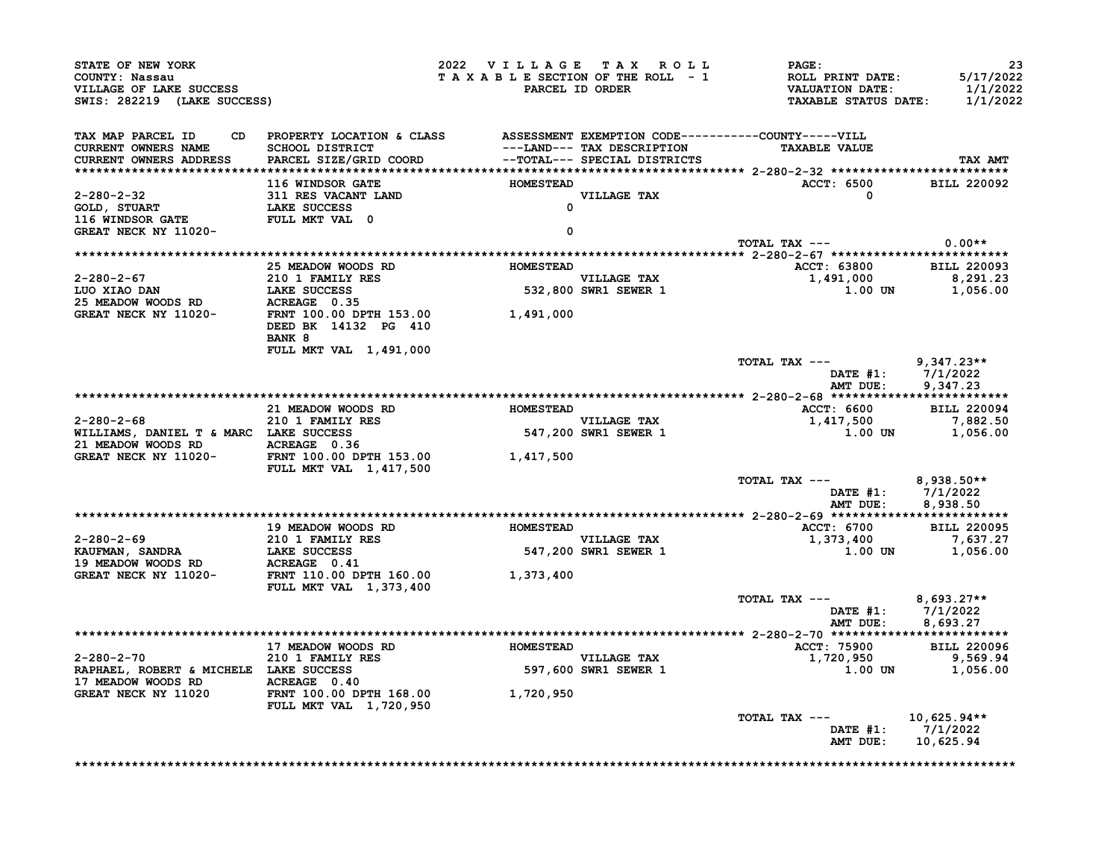| STATE OF NEW YORK<br>COUNTY: Nassau<br>VILLAGE OF LAKE SUCCESS<br>SWIS: 282219 (LAKE SUCCESS)                                                                                                                                                  |                                                             | 2022 VILLAGE TAX ROLL<br>TAXABLE SECTION OF THE ROLL - 1 | PARCEL ID ORDER                     | <b>PAGE :</b><br>ROLL PRINT DATE:<br>VALUATION DATE:<br>TAXABLE STATUS DATE: | 23<br>5/17/2022<br>1/1/2022<br>1/1/2022 |
|------------------------------------------------------------------------------------------------------------------------------------------------------------------------------------------------------------------------------------------------|-------------------------------------------------------------|----------------------------------------------------------|-------------------------------------|------------------------------------------------------------------------------|-----------------------------------------|
| TAX MAP PARCEL ID<br><b>CURRENT OWNERS NAME</b><br><b>CURRENT OWNERS ADDRESS</b>                                                                                                                                                               |                                                             |                                                          |                                     | <b>TAXABLE VALUE</b>                                                         | TAX AMT                                 |
|                                                                                                                                                                                                                                                | 116 WINDSOR GATE                                            | <b>HOMESTEAD</b>                                         |                                     | ACCT: 6500 BILL 220092                                                       |                                         |
| 2-280-2-32<br>GOLD, STUART 11 RES VACANT LAND<br>116 WINDSOR GATE LAKE SUCCESS<br>THE TOULD MANY VAL 0                                                                                                                                         |                                                             |                                                          |                                     | $\sim$ 0                                                                     |                                         |
|                                                                                                                                                                                                                                                |                                                             |                                                          |                                     |                                                                              |                                         |
|                                                                                                                                                                                                                                                |                                                             |                                                          |                                     | TOTAL TAX $---$ 0.00**                                                       |                                         |
|                                                                                                                                                                                                                                                |                                                             |                                                          |                                     |                                                                              |                                         |
|                                                                                                                                                                                                                                                | 25 MEADOW WOODS RD HOMESTEAD                                |                                                          | VILLAGE TAX<br>532,800 SWR1 SEWER 1 | ACCT: 63800 BILL 220093<br>$1,491,000$<br>1,491,000<br>1.00 UN 1,056.00      |                                         |
|                                                                                                                                                                                                                                                |                                                             |                                                          |                                     |                                                                              |                                         |
| 2-280-2-67<br>LUO XIAO DAN LAKE SUCCESS 532,800<br>25 MEADOW WOODS RD ACREAGE 0.35<br>GREAT NECK NY 11020-<br>DEED BK 14132 PG 410<br>25 MEADOW WOODS RD ACREAGE 0.35<br>GREAT NECK NY 11020-<br>DEED BK 14132 PG 410                          | BANK 8                                                      |                                                          |                                     |                                                                              |                                         |
|                                                                                                                                                                                                                                                | FULL MKT VAL 1,491,000                                      |                                                          |                                     | TOTAL TAX ---<br>DATE #1: 7/1/2022<br>AMT DUE: 9,347.23                      | 9,347.23**                              |
|                                                                                                                                                                                                                                                |                                                             |                                                          |                                     |                                                                              |                                         |
|                                                                                                                                                                                                                                                |                                                             |                                                          |                                     |                                                                              |                                         |
|                                                                                                                                                                                                                                                |                                                             |                                                          |                                     | ACCT: 6600 BILL 220094                                                       |                                         |
|                                                                                                                                                                                                                                                |                                                             |                                                          |                                     | $1,417,500$<br>1,417,500<br>1.00 UN 1,056.00                                 |                                         |
| GREAT NECK NY 11020-                                                                                                                                                                                                                           | FRNT 100.00 DPTH 153.00 1,417,500<br>FULL MKT VAL 1,417,500 |                                                          |                                     |                                                                              |                                         |
|                                                                                                                                                                                                                                                |                                                             |                                                          |                                     | TOTAL TAX --- $8,938.50**$<br>DATE #1: 7/1/2022<br>AMT DUE: 8,938.50         |                                         |
|                                                                                                                                                                                                                                                |                                                             |                                                          |                                     |                                                                              |                                         |
|                                                                                                                                                                                                                                                | 19 MEADOW WOODS RD MOMESTEAD                                |                                                          | VILLAGE TAX                         | ACCT: 6700 BILL 220095<br>1,373,400 7,637.27                                 |                                         |
| 2-280-2-69<br>EXAUEWAN, SANDRA LAKE SUCCESS<br>19 MEADOW WOODS RD ACREAGE 0.41<br>GREAT NECK NY 11020-<br>THE METHOLOGY PTH 160.00<br>THE METHOLOGY PTH 160.00<br>THE METHOLOGY PTH 160.00<br>THE METHOLOGY PTH 160.00<br>THE METHOLOGY PTH 16 |                                                             |                                                          | VILLAGE TAX<br>547,200 SWR1 SEWER 1 | 1.00 UN                                                                      | 1,056.00                                |
|                                                                                                                                                                                                                                                | FULL MKT VAL 1,373,400                                      |                                                          |                                     |                                                                              |                                         |
|                                                                                                                                                                                                                                                |                                                             |                                                          |                                     | TOTAL TAX --- $8,693.27**$<br>DATE #1: 7/1/2022<br>AMT DUE: 8,693.27         |                                         |
|                                                                                                                                                                                                                                                |                                                             |                                                          |                                     |                                                                              |                                         |
|                                                                                                                                                                                                                                                | 17 MEADOW WOODS RD HOMESTEAD                                |                                                          |                                     | ACCT: 75900 BILL 220096                                                      |                                         |
| 2-280-2-70 210 1 FAMILY RES<br>RAPHAEL, ROBERT & MICHELE LAKE SUCCESS 597,600<br>17 MEADOW WOODS RD ACREAGE 0.40<br>GREAT NECK NY 11020 FRNT 100.00 DPTH 168.00 1,720,950                                                                      |                                                             |                                                          | VILLAGE TAX<br>597,600 SWR1 SEWER 1 | 1,720,950<br>1.00 UN 1,056.00                                                | 9,569.94                                |
|                                                                                                                                                                                                                                                | <b>FULL MKT VAL 1,720,950</b>                               |                                                          |                                     |                                                                              |                                         |
|                                                                                                                                                                                                                                                |                                                             |                                                          |                                     | TOTAL TAX ---<br>DATE #1: $7/1/2022$<br>AMT DUE: 10,625.94                   | 10,625.94**                             |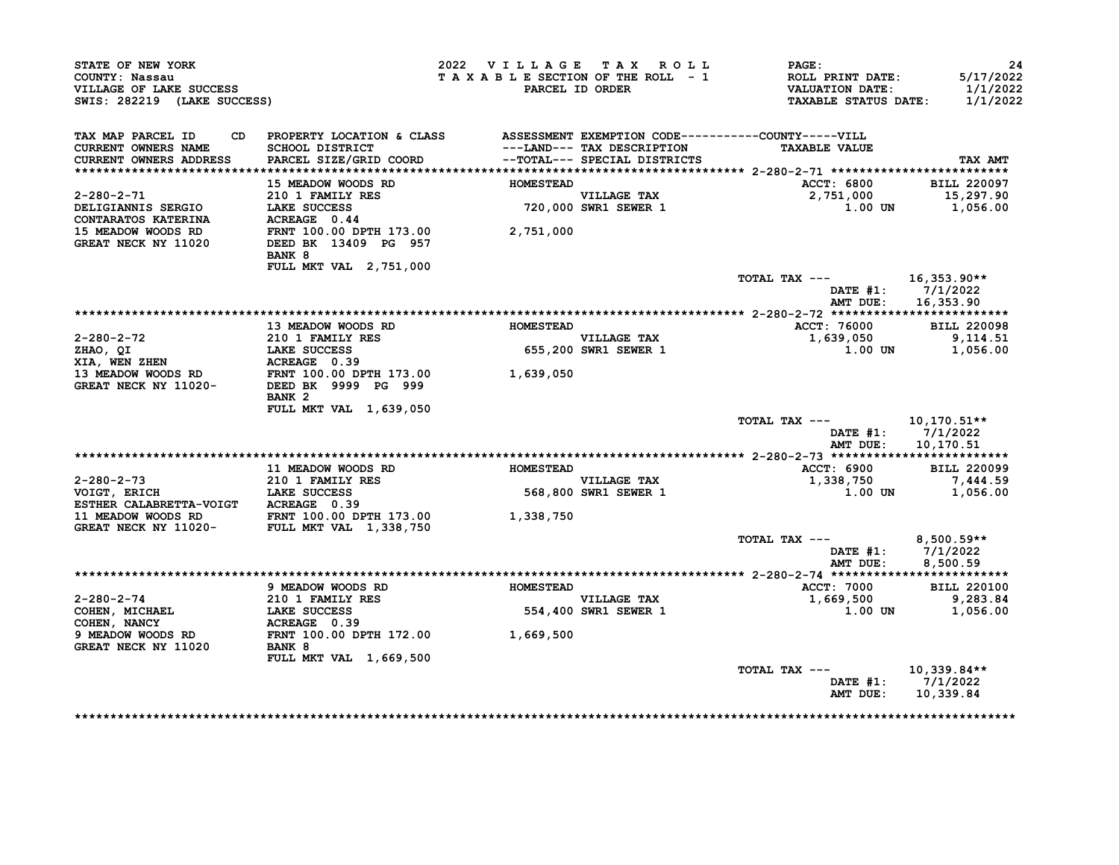| TAX MAP PARCEL ID CD PROPERTY LOCATION & CLASS ASSESSMENT EXEMPTION CODE----------COUNTY-----VILL<br>CURRENT OWNERS NAME SCHOOL DISTRICT ---LAND--- TAX DESCRIPTION TAXABLE VALUE<br>CURRENT OWNERS ADDRESS PARCEL SIZE/GRID COORD -                                 | <b>HOMESTEAD</b>              |                                                           | <b>TAXABLE VALUE</b>                                                                                                                                                                                                                                                                                                                                                                                                                                                                                                                                                                                                                                                                       |                                                                                                                                                                                |
|----------------------------------------------------------------------------------------------------------------------------------------------------------------------------------------------------------------------------------------------------------------------|-------------------------------|-----------------------------------------------------------|--------------------------------------------------------------------------------------------------------------------------------------------------------------------------------------------------------------------------------------------------------------------------------------------------------------------------------------------------------------------------------------------------------------------------------------------------------------------------------------------------------------------------------------------------------------------------------------------------------------------------------------------------------------------------------------------|--------------------------------------------------------------------------------------------------------------------------------------------------------------------------------|
|                                                                                                                                                                                                                                                                      |                               |                                                           |                                                                                                                                                                                                                                                                                                                                                                                                                                                                                                                                                                                                                                                                                            | TAX AMT                                                                                                                                                                        |
|                                                                                                                                                                                                                                                                      |                               |                                                           |                                                                                                                                                                                                                                                                                                                                                                                                                                                                                                                                                                                                                                                                                            |                                                                                                                                                                                |
|                                                                                                                                                                                                                                                                      |                               |                                                           |                                                                                                                                                                                                                                                                                                                                                                                                                                                                                                                                                                                                                                                                                            | ACCT: 6800 BILL 220097<br>2,751,000 15,297.90                                                                                                                                  |
|                                                                                                                                                                                                                                                                      |                               |                                                           |                                                                                                                                                                                                                                                                                                                                                                                                                                                                                                                                                                                                                                                                                            | $1.00$ UN $1,056.00$                                                                                                                                                           |
| DELIGIANNIS SERGIO<br>CONTARATOS KATERINA ACREAGE 0.44<br>15 MEADOW WOODS RD FRAT 100.00 DPTH 173.00<br>GREAT NECK NY 11020 DEED BK 13409 PG 957<br>BANK 8<br>FULL MKT VAL 2,751,000                                                                                 |                               |                                                           |                                                                                                                                                                                                                                                                                                                                                                                                                                                                                                                                                                                                                                                                                            |                                                                                                                                                                                |
|                                                                                                                                                                                                                                                                      |                               |                                                           | TOTAL TAX $---$ 16,353.90**                                                                                                                                                                                                                                                                                                                                                                                                                                                                                                                                                                                                                                                                |                                                                                                                                                                                |
|                                                                                                                                                                                                                                                                      |                               |                                                           |                                                                                                                                                                                                                                                                                                                                                                                                                                                                                                                                                                                                                                                                                            | DATE #1: 7/1/2022<br>AMT DUE: 16,353.90                                                                                                                                        |
|                                                                                                                                                                                                                                                                      |                               |                                                           |                                                                                                                                                                                                                                                                                                                                                                                                                                                                                                                                                                                                                                                                                            |                                                                                                                                                                                |
| 13 MEADOW WOODS RD MOMESTEAD                                                                                                                                                                                                                                         |                               |                                                           |                                                                                                                                                                                                                                                                                                                                                                                                                                                                                                                                                                                                                                                                                            | ACCT: 76000 BILL 220098<br>1,639,050 9,114.51                                                                                                                                  |
|                                                                                                                                                                                                                                                                      |                               | <b>VILLAGE TAX</b><br>VILLAGE TAX<br>655,200 SWR1 SEWER 1 |                                                                                                                                                                                                                                                                                                                                                                                                                                                                                                                                                                                                                                                                                            |                                                                                                                                                                                |
|                                                                                                                                                                                                                                                                      |                               |                                                           |                                                                                                                                                                                                                                                                                                                                                                                                                                                                                                                                                                                                                                                                                            | $1.00$ UN $1,056.00$                                                                                                                                                           |
| 2-280-2-72<br>210 13 MEADOW WOODS RD<br>210 1 FAMILY RES<br>210 1 FAMILY RES<br>210 1 FAMILY RES<br>210 1 FAMILY RES<br>210 1 FAMILY RES<br>210 2 DEED BK<br>210 2 DEED BK<br>210 2 DEED BK<br>210 2 DEED BK<br>210 2 DEED BK<br>2999 PG<br>2999 PG<br>299<br>BANK 2 |                               |                                                           |                                                                                                                                                                                                                                                                                                                                                                                                                                                                                                                                                                                                                                                                                            |                                                                                                                                                                                |
| FULL MKT VAL 1,639,050                                                                                                                                                                                                                                               |                               |                                                           | TOTAL TAX --- $10,170.51**$                                                                                                                                                                                                                                                                                                                                                                                                                                                                                                                                                                                                                                                                | DATE #1: 7/1/2022<br>AMT DUE: 10,170.51                                                                                                                                        |
|                                                                                                                                                                                                                                                                      |                               |                                                           |                                                                                                                                                                                                                                                                                                                                                                                                                                                                                                                                                                                                                                                                                            |                                                                                                                                                                                |
| 11 MEADOW WOODS RD                                                                                                                                                                                                                                                   |                               |                                                           |                                                                                                                                                                                                                                                                                                                                                                                                                                                                                                                                                                                                                                                                                            |                                                                                                                                                                                |
|                                                                                                                                                                                                                                                                      |                               |                                                           |                                                                                                                                                                                                                                                                                                                                                                                                                                                                                                                                                                                                                                                                                            | BILL 220099<br>7,444.59                                                                                                                                                        |
|                                                                                                                                                                                                                                                                      |                               |                                                           |                                                                                                                                                                                                                                                                                                                                                                                                                                                                                                                                                                                                                                                                                            | 1.00 UN 1,056.00                                                                                                                                                               |
|                                                                                                                                                                                                                                                                      |                               |                                                           |                                                                                                                                                                                                                                                                                                                                                                                                                                                                                                                                                                                                                                                                                            |                                                                                                                                                                                |
|                                                                                                                                                                                                                                                                      |                               |                                                           |                                                                                                                                                                                                                                                                                                                                                                                                                                                                                                                                                                                                                                                                                            | DATE #1: 7/1/2022<br>8,500.59                                                                                                                                                  |
|                                                                                                                                                                                                                                                                      |                               |                                                           |                                                                                                                                                                                                                                                                                                                                                                                                                                                                                                                                                                                                                                                                                            |                                                                                                                                                                                |
|                                                                                                                                                                                                                                                                      |                               |                                                           |                                                                                                                                                                                                                                                                                                                                                                                                                                                                                                                                                                                                                                                                                            | <b>BILL 220100</b>                                                                                                                                                             |
|                                                                                                                                                                                                                                                                      |                               |                                                           |                                                                                                                                                                                                                                                                                                                                                                                                                                                                                                                                                                                                                                                                                            | 9,283.84<br>$1.00$ UN $1,056.00$                                                                                                                                               |
|                                                                                                                                                                                                                                                                      |                               |                                                           |                                                                                                                                                                                                                                                                                                                                                                                                                                                                                                                                                                                                                                                                                            |                                                                                                                                                                                |
|                                                                                                                                                                                                                                                                      |                               |                                                           |                                                                                                                                                                                                                                                                                                                                                                                                                                                                                                                                                                                                                                                                                            |                                                                                                                                                                                |
|                                                                                                                                                                                                                                                                      |                               |                                                           |                                                                                                                                                                                                                                                                                                                                                                                                                                                                                                                                                                                                                                                                                            | DATE #1: 7/1/2022<br>AMT DUE: 10,339.84                                                                                                                                        |
|                                                                                                                                                                                                                                                                      | <b>FULL MKT VAL 1,669,500</b> |                                                           | <b>HOMESTEAD</b><br>11 MEADOW WOODS RD<br>11 MEADOW WOODS RD<br>210 1 FAMILY RES<br>210 1 RAKE SUCCESS<br>ESTHER CALABRETTA-VOIGT<br>11 MEADOW WOODS RD<br>1,338,750<br>GREAT NECK NY 11020-<br>FULL MKT VAL 1,338,750<br>2011 MEADOW WOODS RD<br>FRNT 100.00 DPTH 173<br>$\begin{tabular}{lllllllllllll} 2-280-2-74 & 9 MEADOW WOODS RD & HOMESTEAD \\ \hline \multicolumn{2}{c}{\text{COHEN}} & MICHAEL & LAKE SUCCES & 554,400 \\ \multicolumn{2}{c}{\text{COHEN}} & NANCY & ACREACEOS & 554,400 \\ \multicolumn{2}{c}{\text{OHEN}} & NANCY & ACREAGE & 0.39 \\ \multicolumn{2}{c}{\text{SPEADOW WOODS RD}} & FRNT 100.00 DPTH 172.00 & 1,669,500 \\ \multicolumn{2}{c}{\text{GREAT NE$ | <b>ACCT: 6900</b><br>VILLAGE TAX<br>568,800 SWR1 SEWER 1<br>1,338,750<br>TOTAL TAX --- $8,500.59**$<br>AMT DUE:<br><b>ACCT: 7000</b><br>1,669,500<br>TOTAL TAX --- 10,339.84** |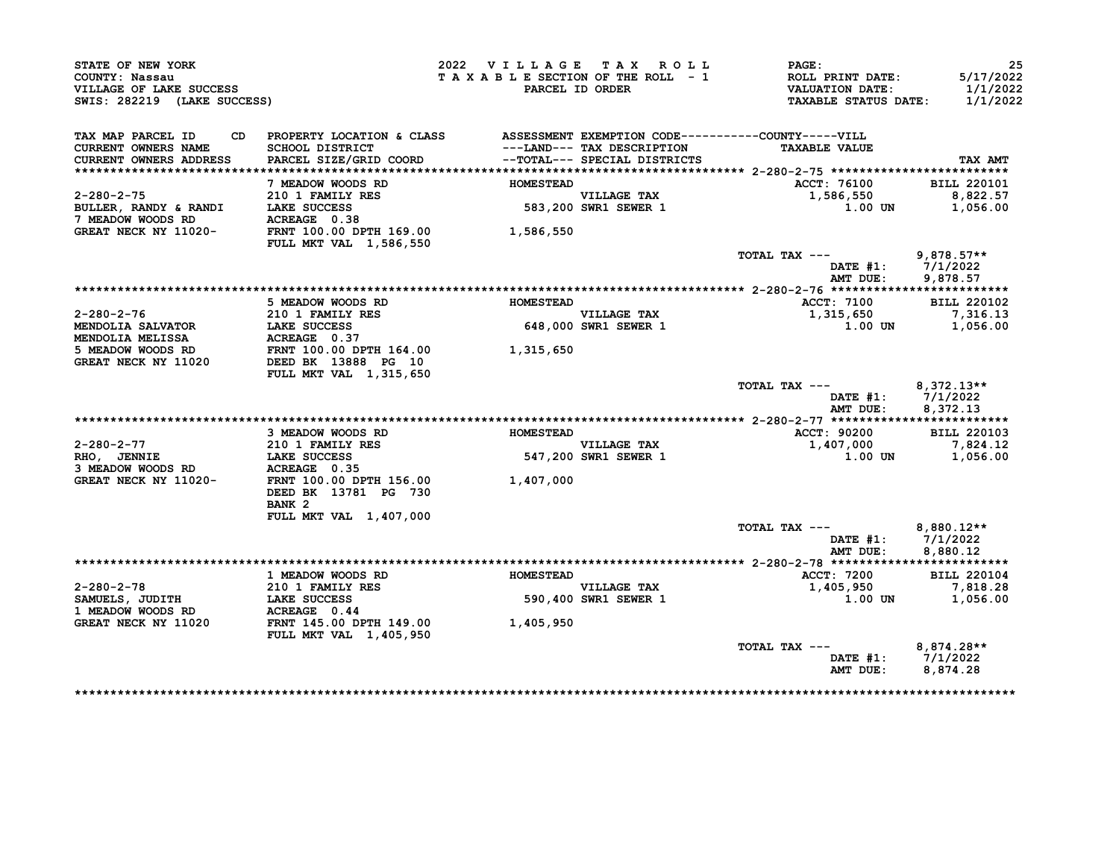| STATE OF NEW YORK<br>COUNTY: Nassau<br>VILLAGE OF LAKE SUCCESS<br>SWIS: 282219 (LAKE SUCCESS)    |                                                                                  | 2022 VILLAGE TAX ROLL | TAXABLE SECTION OF THE ROLL - 1<br>PARCEL ID ORDER         | PAGE:<br><b>ROLL PRINT DATE:</b><br><b>VALUATION DATE:</b><br><b>TAXABLE STATUS DATE:</b> | 25<br>5/17/2022<br>1/1/2022<br>1/1/2022 |
|--------------------------------------------------------------------------------------------------|----------------------------------------------------------------------------------|-----------------------|------------------------------------------------------------|-------------------------------------------------------------------------------------------|-----------------------------------------|
| TAX MAP PARCEL ID<br>CD.                                                                         | PROPERTY LOCATION & CLASS ASSESSMENT EXEMPTION CODE----------COUNTY-----VILL     |                       |                                                            |                                                                                           |                                         |
| <b>CURRENT OWNERS NAME</b><br>CURRENT OWNERS ADDRESS                                             | SCHOOL DISTRICT<br>PARCEL SIZE/GRID COORD                                        |                       | ---LAND--- TAX DESCRIPTION<br>--TOTAL--- SPECIAL DISTRICTS | <b>TAXABLE VALUE</b>                                                                      | TAX AMT                                 |
|                                                                                                  |                                                                                  |                       |                                                            |                                                                                           |                                         |
|                                                                                                  | 7 MEADOW WOODS RD                                                                | <b>HOMESTEAD</b>      |                                                            | ACCT: 76100                                                                               | <b>BILL 220101</b>                      |
| $2 - 280 - 2 - 75$                                                                               | 210 1 FAMILY RES                                                                 |                       | <b>VILLAGE TAX</b>                                         | 1,586,550                                                                                 | 8,822.57                                |
| BULLER, RANDY & RANDI                                                                            | LAKE SUCCESS                                                                     |                       | 583,200 SWR1 SEWER 1                                       | 1.00 UN                                                                                   | 1,056.00                                |
| 7 MEADOW WOODS RD                                                                                | ACREAGE 0.38                                                                     |                       |                                                            |                                                                                           |                                         |
| GREAT NECK NY 11020-                                                                             | FRNT 100.00 DPTH 169.00                                                          | 1,586,550             |                                                            |                                                                                           |                                         |
|                                                                                                  | <b>FULL MKT VAL 1,586,550</b>                                                    |                       |                                                            |                                                                                           |                                         |
|                                                                                                  |                                                                                  |                       |                                                            | TOTAL TAX ---                                                                             | 9,878.57**                              |
|                                                                                                  |                                                                                  |                       |                                                            | DATE #1: $7/1/2022$                                                                       |                                         |
|                                                                                                  |                                                                                  |                       |                                                            | AMT DUE:                                                                                  | 9,878.57                                |
|                                                                                                  | 5 MEADOW WOODS RD                                                                | <b>HOMESTEAD</b>      |                                                            | ACCT: 7100                                                                                | <b>BILL 220102</b>                      |
| $2 - 280 - 2 - 76$                                                                               | 210 1 FAMILY RES                                                                 |                       |                                                            | 1,315,650                                                                                 | 7,316.13                                |
| <b>MENDOLIA SALVATOR</b>                                                                         | LAKE SUCCESS                                                                     |                       | VILLAGE TAX<br>648,000 SWR1 SEWER 1                        | 1.00 UN                                                                                   | 1,056.00                                |
| <b>MENDOLIA MELISSA</b>                                                                          | ACREAGE 0.37                                                                     |                       |                                                            |                                                                                           |                                         |
|                                                                                                  |                                                                                  |                       |                                                            |                                                                                           |                                         |
| 5 MEADOW WOODS RD FRNT 100.00 DPTH 164.00 $1,315,650$<br>GREAT NECK NY 11020 DEED BK 13888 PG 10 |                                                                                  |                       |                                                            |                                                                                           |                                         |
|                                                                                                  | FULL MKT VAL 1,315,650                                                           |                       |                                                            |                                                                                           |                                         |
|                                                                                                  |                                                                                  |                       |                                                            | TOTAL TAX ---                                                                             | $8,372.13**$<br>DATE $#1: 7/1/2022$     |
|                                                                                                  |                                                                                  |                       |                                                            | AMT DUE:                                                                                  | 8,372.13                                |
|                                                                                                  | 3 MEADOW WOODS RD                                                                | HOMESTEAD             |                                                            | ACCT: 90200                                                                               | <b>BILL 220103</b>                      |
| 2-280-2-77                                                                                       | 210 1 FAMILY RES                                                                 |                       | <b>VILLAGE TAX</b>                                         | 1,407,000                                                                                 | 7,824.12                                |
| $RHO,$ JENNIE                                                                                    | 210 1 FAMILY<br>LAKE SUCCESS                                                     |                       | 547,200 SWR1 SEWER 1                                       | 1.00 UN                                                                                   | 1,056.00                                |
| 3 MEADOW WOODS RD                                                                                | ACREAGE 0.35                                                                     |                       |                                                            |                                                                                           |                                         |
| GREAT NECK NY 11020-                                                                             | FRNT 100.00 DPTH 156.00 1,407,000                                                |                       |                                                            |                                                                                           |                                         |
|                                                                                                  | DEED BK 13781 PG 730                                                             |                       |                                                            |                                                                                           |                                         |
|                                                                                                  | BANK <sub>2</sub>                                                                |                       |                                                            |                                                                                           |                                         |
|                                                                                                  | FULL MKT VAL 1,407,000                                                           |                       |                                                            |                                                                                           |                                         |
|                                                                                                  |                                                                                  |                       |                                                            | TOTAL TAX ---                                                                             | $8,880.12**$                            |
|                                                                                                  |                                                                                  |                       |                                                            | DATE #1: 7/1/2022                                                                         |                                         |
|                                                                                                  |                                                                                  |                       |                                                            | AMT DUE:                                                                                  | 8,880.12                                |
|                                                                                                  |                                                                                  | <b>HOMESTEAD</b>      |                                                            |                                                                                           | <b>BILL 220104</b>                      |
| $2 - 280 - 2 - 78$                                                                               | 1 MEADOW WOODS RD                                                                |                       |                                                            | ACCT: 7200<br>1,405,950                                                                   | 7,818.28                                |
| SAMUELS, JUDITH                                                                                  | 210 1 FAMILY RES<br>LAKE SUCCESS<br>- ---- -- - - - - - -<br><b>LAKE SUCCESS</b> |                       | VILLAGE TAX<br>590,400 SWR1 SEWER 1                        | 1.00 UN                                                                                   | 1,056.00                                |
| 1 MEADOW WOODS RD                                                                                | ACREAGE 0.44                                                                     |                       |                                                            |                                                                                           |                                         |
| GREAT NECK NY 11020                                                                              | FRNT 145.00 DPTH 149.00                                                          | 1,405,950             |                                                            |                                                                                           |                                         |
|                                                                                                  | <b>FULL MKT VAL 1,405,950</b>                                                    |                       |                                                            |                                                                                           |                                         |
|                                                                                                  |                                                                                  |                       |                                                            | TOTAL TAX ---                                                                             | 8,874.28**                              |
|                                                                                                  |                                                                                  |                       |                                                            |                                                                                           |                                         |
|                                                                                                  |                                                                                  |                       |                                                            | DATE #1: $7/1/2022$                                                                       |                                         |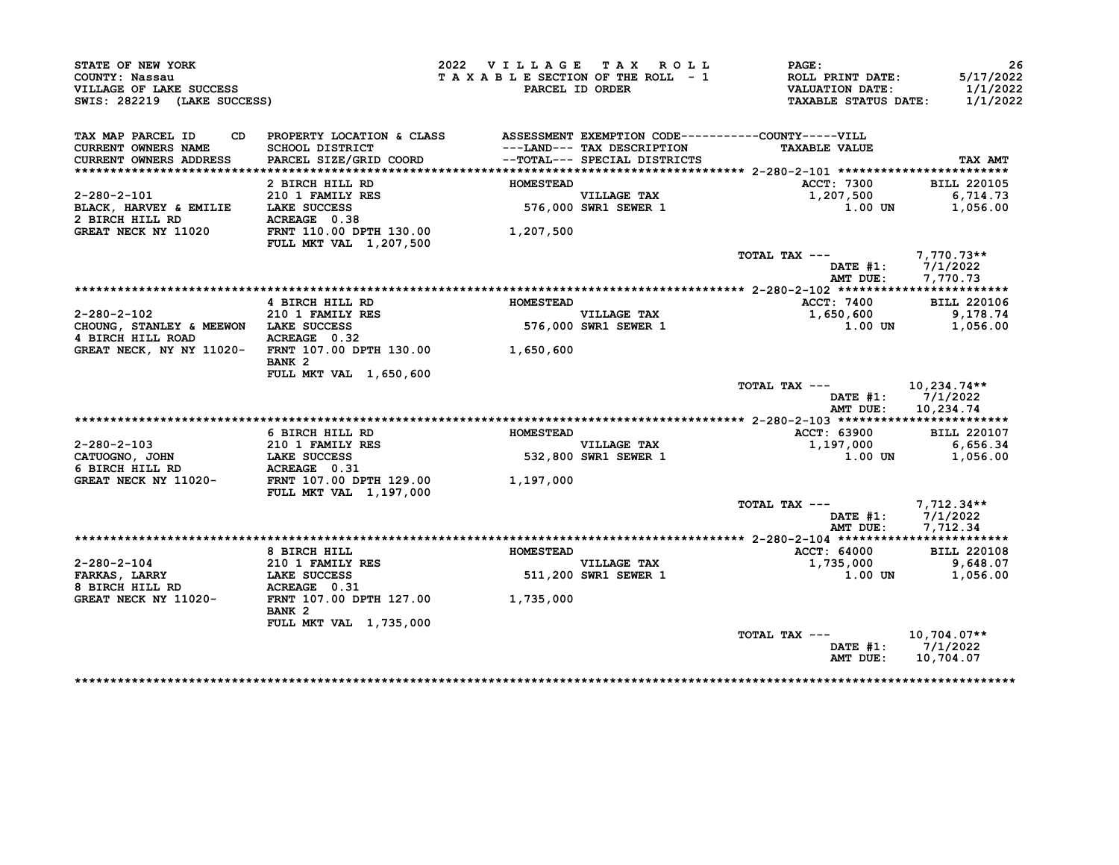| STATE OF NEW YORK<br>COUNTY: Nassau                                                    |                                                                              | 2022 VILLAGE TAX ROLL<br>TAXABLE SECTION OF THE ROLL - 1 |                                                                                            | PAGE:<br>ROLL PRINT DATE:                             | 26<br>5/17/2022                            |
|----------------------------------------------------------------------------------------|------------------------------------------------------------------------------|----------------------------------------------------------|--------------------------------------------------------------------------------------------|-------------------------------------------------------|--------------------------------------------|
| VILLAGE OF LAKE SUCCESS<br>SWIS: 282219 (LAKE SUCCESS)                                 |                                                                              |                                                          | PARCEL ID ORDER                                                                            | <b>VALUATION DATE:</b><br><b>TAXABLE STATUS DATE:</b> | 1/1/2022<br>1/1/2022                       |
| TAX MAP PARCEL ID<br>CD                                                                | PROPERTY LOCATION & CLASS ASSESSMENT EXEMPTION CODE----------COUNTY-----VILL |                                                          |                                                                                            |                                                       |                                            |
| CURRENT OWNERS NAME<br><b>CURRENT OWNERS ADDRESS</b>                                   | <b>SCHOOL DISTRICT</b><br>PARCEL SIZE/GRID COORD                             |                                                          | ---LAND--- TAX DESCRIPTION<br>--TOTAL--- SPECIAL DISTRICTS<br>--TOTAL--- SPECIAL DISTRICTS | <b>TAXABLE VALUE</b>                                  | TAX AMT                                    |
|                                                                                        |                                                                              |                                                          |                                                                                            |                                                       |                                            |
|                                                                                        | 2 BIRCH HILL RD<br>210 1 FAMILY RES                                          | <b>HOMESTEAD</b>                                         |                                                                                            | ACCT: 7300                                            | <b>BILL 220105</b>                         |
| $2 - 280 - 2 - 101$                                                                    |                                                                              |                                                          | <b>VILLAGE TAX</b><br>576,000 SWR1 SEWER 1                                                 | 1,207,500                                             | 6,714.73                                   |
| BLACK, HARVEY & EMILIE<br>2 BIRCH HILL RD                                              | LAKE SUCCESS                                                                 |                                                          |                                                                                            | 1.00 UN                                               | 1,056.00                                   |
| GREAT NECK NY 11020                                                                    | ACREAGE 0.38<br>FRNT 110.00 DPTH 130.00                                      | 1,207,500                                                |                                                                                            |                                                       |                                            |
|                                                                                        | FULL MKT VAL 1,207,500                                                       |                                                          |                                                                                            |                                                       |                                            |
|                                                                                        |                                                                              |                                                          |                                                                                            | TOTAL TAX ---                                         | $7,770.73**$                               |
|                                                                                        |                                                                              |                                                          |                                                                                            | DATE $#1:$                                            | 7/1/2022                                   |
|                                                                                        |                                                                              |                                                          |                                                                                            | AMT DUE:                                              | 7,770.73                                   |
|                                                                                        | 4 BIRCH HILL RD                                                              | <b>HOMESTEAD</b>                                         |                                                                                            | <b>ACCT: 7400</b>                                     | <b>BILL 220106</b>                         |
| $2 - 280 - 2 - 102$                                                                    | <b>210 1 FAMILY RES</b>                                                      |                                                          | <b>VILLAGE TAX</b>                                                                         | 1,650,600                                             | 9,178.74                                   |
| CHOUNG, STANLEY & MEEWON LAKE SUCCESS                                                  |                                                                              | 576.                                                     | 576,000 SWR1 SEWER 1                                                                       | 1.00 UN                                               | 1,056.00                                   |
| 4 BIRCH HILL ROAD                                                                      | ACREAGE 0.32                                                                 |                                                          |                                                                                            |                                                       |                                            |
|                                                                                        | GREAT NECK, NY NY 11020- FRNT 107.00 DPTH 130.00 1,650,600                   |                                                          |                                                                                            |                                                       |                                            |
|                                                                                        | BANK <sub>2</sub>                                                            |                                                          |                                                                                            |                                                       |                                            |
|                                                                                        | <b>FULL MKT VAL 1,650,600</b>                                                |                                                          |                                                                                            |                                                       |                                            |
|                                                                                        |                                                                              |                                                          |                                                                                            | TOTAL TAX ---                                         | 10,234.74**                                |
|                                                                                        |                                                                              |                                                          |                                                                                            |                                                       | DATE $#1: 7/1/2022$                        |
|                                                                                        |                                                                              |                                                          |                                                                                            | AMT DUE:                                              | 10,234.74                                  |
|                                                                                        |                                                                              |                                                          |                                                                                            |                                                       |                                            |
|                                                                                        | 6 BIRCH HILL RD                                                              | <b>HOMESTEAD</b>                                         |                                                                                            | ACCT: 63900                                           | <b>BILL 220107</b>                         |
| $2 - 280 - 2 - 103$                                                                    | 210 1 FAMILY RES                                                             |                                                          | <b>VILLAGE TAX</b><br>532,800 SWR1 SEWER $1$                                               | 1,197,000<br><b>1.00 UN</b>                           | 6,656.34                                   |
| CATUOGNO, JOHN<br>6 BIRCH HILL RD                                                      | <b>LAKE SUCCESS</b><br>ACREAGE 0.31                                          |                                                          |                                                                                            |                                                       | 1,056.00                                   |
| GREAT NECK NY 11020-                                                                   | FRNT 107.00 DPTH 129.00                                                      | 1,197,000                                                |                                                                                            |                                                       |                                            |
|                                                                                        | FULL MKT VAL 1,197,000                                                       |                                                          |                                                                                            |                                                       |                                            |
|                                                                                        |                                                                              |                                                          |                                                                                            | TOTAL TAX ---                                         | $7,712.34**$                               |
|                                                                                        |                                                                              |                                                          |                                                                                            | DATE #1:                                              | 7/1/2022                                   |
|                                                                                        |                                                                              |                                                          |                                                                                            |                                                       |                                            |
|                                                                                        |                                                                              |                                                          |                                                                                            | AMT DUE:                                              | 7,712.34                                   |
|                                                                                        |                                                                              |                                                          |                                                                                            |                                                       |                                            |
|                                                                                        | 8 BIRCH HILL                                                                 | <b>HOMESTEAD</b>                                         |                                                                                            | ACCT: 64000                                           |                                            |
|                                                                                        | 210 1 FAMILY RES                                                             |                                                          |                                                                                            | 1,735,000                                             |                                            |
|                                                                                        | <b>LAKE SUCCESS</b>                                                          |                                                          | VILLAGE TAX<br>511,200 SWR1 SEWER 1                                                        | 1.00 UN                                               |                                            |
|                                                                                        | ACREAGE 0.31                                                                 |                                                          |                                                                                            |                                                       |                                            |
|                                                                                        | FRNT 107.00 DPTH 127.00                                                      | 1,735,000                                                |                                                                                            |                                                       |                                            |
|                                                                                        | BANK <sub>2</sub>                                                            |                                                          |                                                                                            |                                                       |                                            |
| $2 - 280 - 2 - 104$<br><b>FARKAS, LARRY</b><br>8 BIRCH HILL RD<br>GREAT NECK NY 11020- | FULL MKT VAL 1,735,000                                                       |                                                          |                                                                                            |                                                       | <b>BILL 220108</b><br>9,648.07<br>1,056.00 |
|                                                                                        |                                                                              |                                                          |                                                                                            | TOTAL TAX ---<br>DATE #1:                             | $10,704.07**$<br>7/1/2022                  |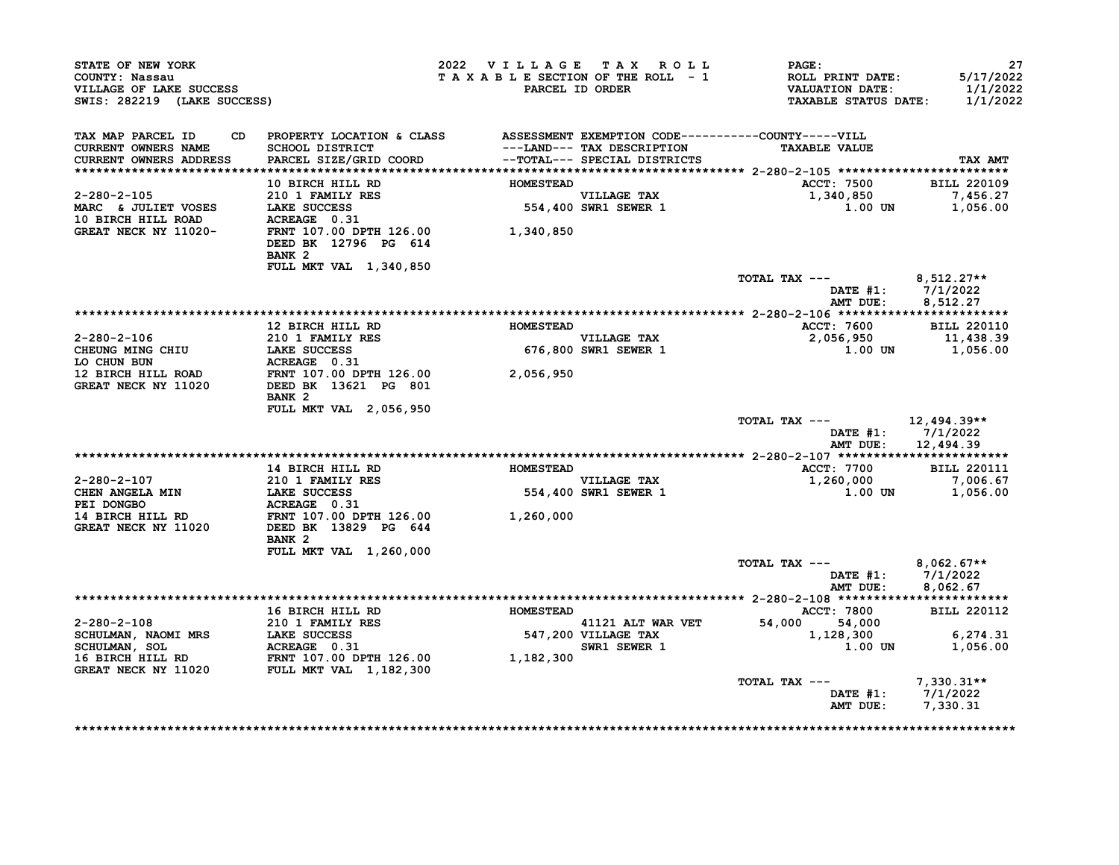| STATE OF NEW YORK<br>COUNTY: Nassau                    |                                                                                                                                                                                                                                                                                                                                                                                                  | 2022 VILLAGE TAX ROLL<br>TAXABLE SECTION OF THE ROLL - 1 |                                          | $\mathtt{PAGE}$ :                                           | 27<br>5/17/2022      |
|--------------------------------------------------------|--------------------------------------------------------------------------------------------------------------------------------------------------------------------------------------------------------------------------------------------------------------------------------------------------------------------------------------------------------------------------------------------------|----------------------------------------------------------|------------------------------------------|-------------------------------------------------------------|----------------------|
| VILLAGE OF LAKE SUCCESS<br>SWIS: 282219 (LAKE SUCCESS) |                                                                                                                                                                                                                                                                                                                                                                                                  |                                                          | PARCEL ID ORDER                          | ROLL PRINT DATE:<br>VALUATION DATE:<br>TAXABLE STATUS DATE: | 1/1/2022<br>1/1/2022 |
|                                                        | CD PROPERTY LOCATION & CLASS ASSESSMENT EXEMPTION CODE-----------COUNTY-----VILL                                                                                                                                                                                                                                                                                                                 |                                                          |                                          |                                                             |                      |
| TAX MAP PARCEL ID<br>CURRENT OWNERS NAME               | SCHOOL DISTRICT                                                                                                                                                                                                                                                                                                                                                                                  |                                                          | ---LAND--- TAX DESCRIPTION               | <b>TAXABLE VALUE</b>                                        |                      |
| <b>CURRENT OWNERS ADDRESS</b>                          | PARCEL SIZE/GRID COORD --TOTAL--- SPECIAL DISTRICTS                                                                                                                                                                                                                                                                                                                                              |                                                          |                                          |                                                             | TAX AMT              |
|                                                        |                                                                                                                                                                                                                                                                                                                                                                                                  |                                                          |                                          |                                                             |                      |
|                                                        | 10 BIRCH HILL RD                                                                                                                                                                                                                                                                                                                                                                                 | <b>HOMESTEAD</b>                                         |                                          | ACCT: 7500 BILL 220109                                      |                      |
|                                                        |                                                                                                                                                                                                                                                                                                                                                                                                  |                                                          |                                          |                                                             |                      |
|                                                        |                                                                                                                                                                                                                                                                                                                                                                                                  |                                                          | VILLAGE TAX<br>554,400 SWR1 SEWER 1      | 1,340,850 7,456.27<br>1.00 UN 1,056.00                      |                      |
|                                                        |                                                                                                                                                                                                                                                                                                                                                                                                  |                                                          |                                          |                                                             |                      |
|                                                        | 2-280-2-105<br>MARC & JULIET VOSES<br>10 BIRCH HILL ROAD ACREAGE 0.31<br>GREAT NECK NY 11020-<br>TRIT 126.00 1,340,850<br>DEED BK 12796 PG 614                                                                                                                                                                                                                                                   |                                                          |                                          |                                                             |                      |
|                                                        | BANK <sub>2</sub>                                                                                                                                                                                                                                                                                                                                                                                |                                                          |                                          |                                                             |                      |
|                                                        | FULL MKT VAL 1,340,850                                                                                                                                                                                                                                                                                                                                                                           |                                                          |                                          |                                                             |                      |
|                                                        |                                                                                                                                                                                                                                                                                                                                                                                                  |                                                          |                                          | TOTAL TAX ---                                               | $8,512.27**$         |
|                                                        |                                                                                                                                                                                                                                                                                                                                                                                                  |                                                          |                                          | DATE $#1: 7/1/2022$                                         |                      |
|                                                        |                                                                                                                                                                                                                                                                                                                                                                                                  |                                                          |                                          | AMT DUE:                                                    | 8,512.27             |
|                                                        | 12 BIRCH HILL RD MOMESTEAD                                                                                                                                                                                                                                                                                                                                                                       |                                                          |                                          | ACCT: 7600 BILL 220110                                      |                      |
|                                                        |                                                                                                                                                                                                                                                                                                                                                                                                  |                                                          | <b>VILLAGE TAX</b>                       | 2,056,950                                                   | 11,438.39            |
|                                                        |                                                                                                                                                                                                                                                                                                                                                                                                  |                                                          | 676,800 SWR1 SEWER 1                     | 1.00 UN 1,056.00                                            |                      |
|                                                        |                                                                                                                                                                                                                                                                                                                                                                                                  |                                                          |                                          |                                                             |                      |
|                                                        |                                                                                                                                                                                                                                                                                                                                                                                                  |                                                          |                                          |                                                             |                      |
|                                                        | BANK <sub>2</sub>                                                                                                                                                                                                                                                                                                                                                                                |                                                          |                                          |                                                             |                      |
|                                                        | <b>FULL MKT VAL 2,056,950</b>                                                                                                                                                                                                                                                                                                                                                                    |                                                          |                                          |                                                             |                      |
|                                                        |                                                                                                                                                                                                                                                                                                                                                                                                  |                                                          |                                          | TOTAL TAX ---                                               | 12,494.39**          |
|                                                        |                                                                                                                                                                                                                                                                                                                                                                                                  |                                                          |                                          | DATE $#1: 7/1/2022$                                         |                      |
|                                                        |                                                                                                                                                                                                                                                                                                                                                                                                  |                                                          |                                          | AMT DUE:                                                    | 12,494.39            |
|                                                        |                                                                                                                                                                                                                                                                                                                                                                                                  |                                                          |                                          |                                                             |                      |
|                                                        | 14 BIRCH HILL RD                                                                                                                                                                                                                                                                                                                                                                                 | <b>HOMESTEAD</b>                                         |                                          | <b>ACCT: 7700</b>                                           | <b>BILL 220111</b>   |
|                                                        | $\begin{tabular}{lllllllllllllllllllllcl} \multicolumn{2}{c }{\textbf{2-280-2-107}} & & & & \multicolumn{2}{c }{\textbf{2-10}} & & & \multicolumn{2}{c }{\textbf{2-280-2-107}} & & & \multicolumn{2}{c }{\textbf{2-280-2-107}} & & & \multicolumn{2}{c }{\textbf{2-280-2-107}} & & & \multicolumn{2}{c }{\textbf{2-280-2-107}} & & \multicolumn{2}{c }{\textbf{2-280-2-107}} & & \multicolumn{2$ |                                                          | VILLAGE TAX                              | 1,260,000                                                   | 7,006.67             |
|                                                        |                                                                                                                                                                                                                                                                                                                                                                                                  |                                                          | 554,400 SWR1 SEWER 1                     | $1.00$ UN $1,056.00$                                        |                      |
|                                                        |                                                                                                                                                                                                                                                                                                                                                                                                  |                                                          |                                          |                                                             |                      |
| <b>GREAT NECK NY 11020</b>                             | DEED BK 13829 PG 644                                                                                                                                                                                                                                                                                                                                                                             |                                                          |                                          |                                                             |                      |
|                                                        | BANK 2                                                                                                                                                                                                                                                                                                                                                                                           |                                                          |                                          |                                                             |                      |
|                                                        | FULL MKT VAL 1,260,000                                                                                                                                                                                                                                                                                                                                                                           |                                                          |                                          |                                                             |                      |
|                                                        |                                                                                                                                                                                                                                                                                                                                                                                                  |                                                          |                                          | TOTAL TAX ---                                               | $8.062.67**$         |
|                                                        |                                                                                                                                                                                                                                                                                                                                                                                                  |                                                          |                                          | DATE $#1: 7/1/2022$                                         |                      |
|                                                        |                                                                                                                                                                                                                                                                                                                                                                                                  |                                                          |                                          | AMT DUE:                                                    | 8,062.67             |
|                                                        |                                                                                                                                                                                                                                                                                                                                                                                                  |                                                          |                                          |                                                             |                      |
|                                                        | 16 BIRCH HILL RD                                                                                                                                                                                                                                                                                                                                                                                 | <b>HOMESTEAD</b>                                         |                                          | <b>ACCT: 7800</b>                                           | <b>BILL 220112</b>   |
| $2 - 280 - 2 - 108$                                    |                                                                                                                                                                                                                                                                                                                                                                                                  |                                                          | 41121 ALT WAR VET                        | 54,000 54,000                                               |                      |
|                                                        |                                                                                                                                                                                                                                                                                                                                                                                                  |                                                          | 41121 ALT WAR VET<br>547,200 VILLAGE TAX | 1,128,300                                                   | 6,274.31             |
|                                                        |                                                                                                                                                                                                                                                                                                                                                                                                  |                                                          | SWR1 SEWER 1                             | $1.00$ UN                                                   | 1,056.00             |
|                                                        |                                                                                                                                                                                                                                                                                                                                                                                                  |                                                          |                                          |                                                             |                      |
|                                                        |                                                                                                                                                                                                                                                                                                                                                                                                  |                                                          |                                          |                                                             |                      |
|                                                        |                                                                                                                                                                                                                                                                                                                                                                                                  |                                                          |                                          | TOTAL TAX ---                                               | $7.330.31**$         |
|                                                        |                                                                                                                                                                                                                                                                                                                                                                                                  |                                                          |                                          | DATE $#1: 7/1/2022$                                         |                      |
|                                                        |                                                                                                                                                                                                                                                                                                                                                                                                  |                                                          |                                          | AMT DUE:                                                    | 7,330.31             |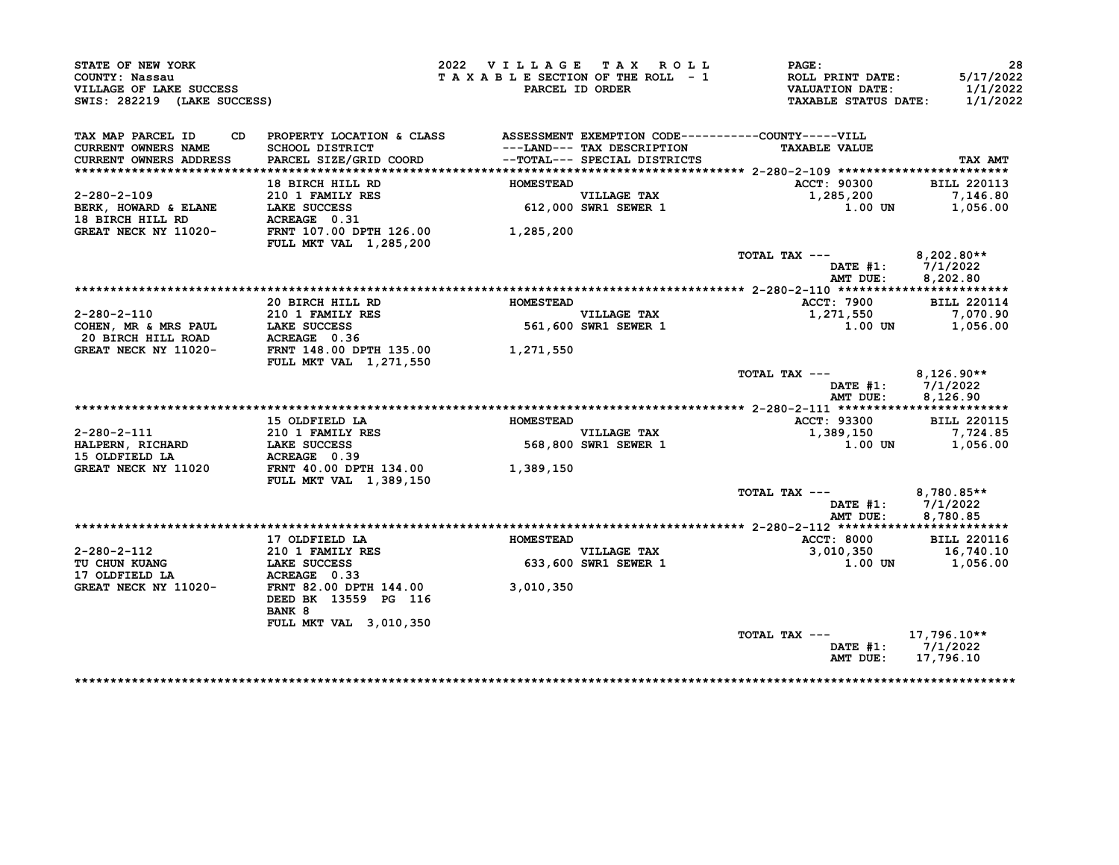| STATE OF NEW YORK<br>COUNTY: Nassau<br>VILLAGE OF LAKE SUCCESS<br>SWIS: 282219 (LAKE SUCCESS)                                       |                                                                                                 | 2022 VILLAGE TAX ROLL | TAXABLE SECTION OF THE ROLL - 1<br>PARCEL ID ORDER | PAGE:<br>ROLL PRINT DATE:<br><b>VALUATION DATE:</b><br><b>TAXABLE STATUS DATE:</b> | 28<br>5/17/2022<br>1/1/2022<br>1/1/2022       |
|-------------------------------------------------------------------------------------------------------------------------------------|-------------------------------------------------------------------------------------------------|-----------------------|----------------------------------------------------|------------------------------------------------------------------------------------|-----------------------------------------------|
| TAX MAP PARCEL ID<br>CD<br><b>CURRENT OWNERS NAME</b>                                                                               | PROPERTY LOCATION & CLASS ASSESSMENT EXEMPTION CODE----------COUNTY-----VILL<br>SCHOOL DISTRICT |                       | ---LAND--- TAX DESCRIPTION                         | <b>TAXABLE VALUE</b>                                                               |                                               |
| <b>CURRENT OWNERS ADDRESS</b>                                                                                                       | PARCEL SIZE/GRID COORD                                                                          |                       | --TOTAL--- SPECIAL DISTRICTS                       |                                                                                    | TAX AMT                                       |
|                                                                                                                                     |                                                                                                 |                       |                                                    |                                                                                    |                                               |
|                                                                                                                                     | 18 BIRCH HILL RD                                                                                | <b>HOMESTEAD</b>      |                                                    | <b>ACCT: 90300</b>                                                                 | <b>BILL 220113</b>                            |
| $2 - 280 - 2 - 109$                                                                                                                 | 210 1 FAMILY RES                                                                                |                       | VILLAGE TAX<br>612,000 SWR1 SEWER 1                | 1,285,200                                                                          | 7,146.80                                      |
| BERK, HOWARD & ELANE                                                                                                                | LAKE SUCCESS                                                                                    |                       |                                                    | 1.00 UN                                                                            | 1,056.00                                      |
| 18 BIRCH HILL RD                                                                                                                    |                                                                                                 |                       |                                                    |                                                                                    |                                               |
| GREAT NECK NY 11020-                                                                                                                | FULL MKT VAL 1,285,200                                                                          | 1,285,200             |                                                    |                                                                                    |                                               |
|                                                                                                                                     |                                                                                                 |                       |                                                    | TOTAL TAX ---                                                                      | $8,202.80**$                                  |
|                                                                                                                                     |                                                                                                 |                       |                                                    | AMT DUE:                                                                           | DATE #1: 7/1/2022<br>8,202.80                 |
|                                                                                                                                     |                                                                                                 |                       |                                                    |                                                                                    |                                               |
|                                                                                                                                     | 20 BIRCH HILL RD                                                                                | <b>HOMESTEAD</b>      |                                                    | ACCT: 7900                                                                         | <b>BILL 220114</b>                            |
| $2 - 280 - 2 - 110$                                                                                                                 | 210 1 FAMILY RES                                                                                |                       | <b>VILLAGE TAX</b>                                 | 1,271,550                                                                          | 7,070.90                                      |
|                                                                                                                                     |                                                                                                 | 561,600               | 561,600 SWR1 SEWER 1                               | 1.00 UN                                                                            | 1,056.00                                      |
|                                                                                                                                     |                                                                                                 |                       |                                                    |                                                                                    |                                               |
| 2-280-2-110<br>COHEN, MR & MRS PAUL LAKE SUCCESS<br>20 BIRCH HILL ROAD ACREAGE 0.36<br>GREAT NECK NY 11020- FRNT 148.00 DPTH 135.00 | <b>FULL MKT VAL 1,271,550</b>                                                                   | 1,271,550             |                                                    |                                                                                    |                                               |
|                                                                                                                                     |                                                                                                 |                       |                                                    | TOTAL TAX ---<br>AMT DUE:                                                          | $8,126.90**$<br>DATE #1: 7/1/2022<br>8,126.90 |
|                                                                                                                                     |                                                                                                 |                       |                                                    |                                                                                    |                                               |
|                                                                                                                                     | 15 OLDFIELD LA                                                                                  | <b>HOMESTEAD</b>      |                                                    | ACCT: 93300                                                                        | <b>BILL 220115</b>                            |
| $2 - 280 - 2 - 111$                                                                                                                 | <b>210 1 FAMILY RES</b>                                                                         |                       |                                                    | 1,389,150                                                                          | 7,724.85                                      |
| HALPERN, RICHARD                                                                                                                    | LAKE SUCCESS                                                                                    |                       | VILLAGE TAX<br>568,800 SWR1 SEWER 1                | $1.00$ UN                                                                          | 1,056.00                                      |
| 15 OLDFIELD LA                                                                                                                      | ACREAGE 0.39                                                                                    |                       |                                                    |                                                                                    |                                               |
| GREAT NECK NY 11020                                                                                                                 | FRNT 40.00 DPTH 134.00<br>FULL MKT VAL 1,389,150                                                | 1,389,150             |                                                    |                                                                                    |                                               |
|                                                                                                                                     |                                                                                                 |                       |                                                    | TOTAL TAX ---                                                                      | 8,780.85**                                    |
|                                                                                                                                     |                                                                                                 |                       |                                                    | AMT DUE:                                                                           | DATE $#1: 7/1/2022$<br>8,780.85               |
|                                                                                                                                     |                                                                                                 |                       |                                                    |                                                                                    |                                               |
|                                                                                                                                     | 17 OLDFIELD LA                                                                                  | HOMESTEAD             |                                                    | <b>ACCT: 8000</b>                                                                  | <b>BILL 220116</b>                            |
| 2-280-2-112                                                                                                                         | 210 1 FAMILY RES                                                                                |                       |                                                    | 3,010,350                                                                          | 16,740.10                                     |
| TU CHUN KUANG                                                                                                                       | LAKE SUCCESS                                                                                    |                       | VILLAGE TAX<br>633,600 SWR1 SEWER 1                | 1.00 UN                                                                            | 1,056.00                                      |
| 17 OLDFIELD LA                                                                                                                      | ACREAGE 0.33                                                                                    |                       |                                                    |                                                                                    |                                               |
| GREAT NECK NY 11020-                                                                                                                | FRNT 82.00 DPTH 144.00<br>DEED BK 13559 PG 116                                                  | 3,010,350             |                                                    |                                                                                    |                                               |
|                                                                                                                                     | <b>BANK 8</b>                                                                                   |                       |                                                    |                                                                                    |                                               |
|                                                                                                                                     | FULL MKT VAL 3,010,350                                                                          |                       |                                                    | TOTAL TAX ---                                                                      |                                               |
|                                                                                                                                     |                                                                                                 |                       |                                                    | AMT DUE:                                                                           | 17,796.10**<br>DATE #1: 7/1/2022<br>17,796.10 |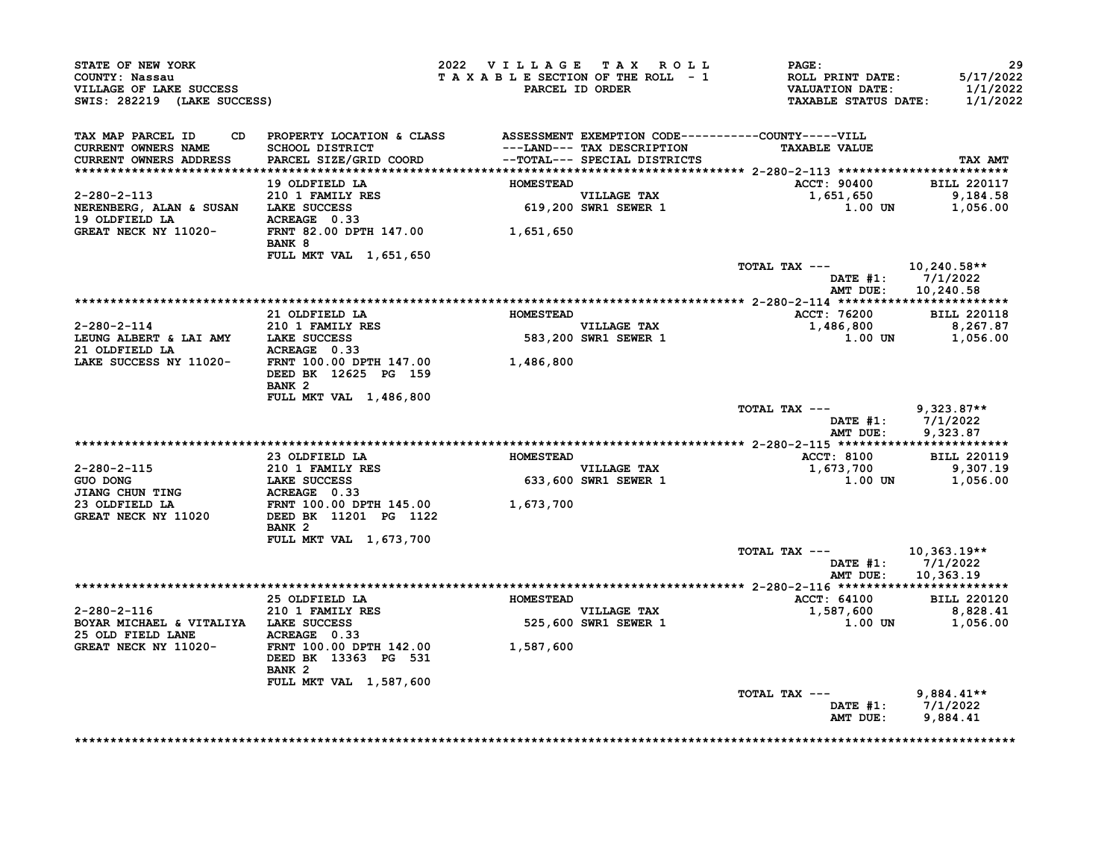| STATE OF NEW YORK<br>COUNTY: Nassau<br>VILLAGE OF LAKE SUCCESS<br>SWIS: 282219 (LAKE SUCCESS)                                                                                                                                                                                                                                                                                                                                                 |                                                                                                                                                                                                 | 2022 VILLAGE TAX ROLL |                                     | <b>PAGE:</b><br>T A X A B L E SECTION OF THE ROLL - 1 ROLL PRINT DATE:<br>PARCEL ID ORDER VALUATION DATE:<br>TAXABLE STATUS DATE: 1/1/2022 | 29<br>5/17/2022<br>1/1/2022            |
|-----------------------------------------------------------------------------------------------------------------------------------------------------------------------------------------------------------------------------------------------------------------------------------------------------------------------------------------------------------------------------------------------------------------------------------------------|-------------------------------------------------------------------------------------------------------------------------------------------------------------------------------------------------|-----------------------|-------------------------------------|--------------------------------------------------------------------------------------------------------------------------------------------|----------------------------------------|
| TAX MAP PARCEL ID<br>CURRENT OWNERS NAME<br><b>CURRENT OWNERS ADDRESS</b>                                                                                                                                                                                                                                                                                                                                                                     | CD PROPERTY LOCATION & CLASS ASSESSMENT EXEMPTION CODE----------COUNTY-----VILL<br>SCHOOL DISTRICT<br>SCHOOL DISTRICT<br>PARCEL SIZE/GRID COORD                    --TOTAL--- SPECIAL DISTRICTS |                       | ---LAND--- TAX DESCRIPTION          | <b>TAXABLE VALUE</b>                                                                                                                       | TAX AMT                                |
|                                                                                                                                                                                                                                                                                                                                                                                                                                               |                                                                                                                                                                                                 |                       |                                     |                                                                                                                                            |                                        |
|                                                                                                                                                                                                                                                                                                                                                                                                                                               | 19 OLDFIELD LA                                                                                                                                                                                  | <b>HOMESTEAD</b>      |                                     | ACCT: 90400 BILL 220117                                                                                                                    |                                        |
|                                                                                                                                                                                                                                                                                                                                                                                                                                               |                                                                                                                                                                                                 |                       |                                     |                                                                                                                                            |                                        |
|                                                                                                                                                                                                                                                                                                                                                                                                                                               |                                                                                                                                                                                                 |                       | VILLAGE TAX<br>619,200 SWR1 SEWER 1 |                                                                                                                                            | 1,651,650 9,184.58<br>1.00 UN 1,056.00 |
|                                                                                                                                                                                                                                                                                                                                                                                                                                               | BANK 8                                                                                                                                                                                          |                       |                                     |                                                                                                                                            |                                        |
|                                                                                                                                                                                                                                                                                                                                                                                                                                               | FULL MKT VAL 1,651,650                                                                                                                                                                          |                       |                                     |                                                                                                                                            |                                        |
|                                                                                                                                                                                                                                                                                                                                                                                                                                               |                                                                                                                                                                                                 |                       |                                     | TOTAL TAX --- 10,240.58**                                                                                                                  | DATE #1: 7/1/2022                      |
|                                                                                                                                                                                                                                                                                                                                                                                                                                               |                                                                                                                                                                                                 |                       |                                     | AMT DUE:                                                                                                                                   | 10,240.58                              |
|                                                                                                                                                                                                                                                                                                                                                                                                                                               |                                                                                                                                                                                                 |                       |                                     |                                                                                                                                            |                                        |
|                                                                                                                                                                                                                                                                                                                                                                                                                                               | 21 OLDFIELD LA                                                                                                                                                                                  | <b>HOMESTEAD</b>      |                                     | ACCT: 76200                                                                                                                                | <b>BILL 220118</b>                     |
| $2-280-2-114$ 210 1 FAMILY RES<br>LEUNG ALBERT & LAI AMY LAKE SUCCESS                                                                                                                                                                                                                                                                                                                                                                         | 210 1 FAMILY RES                                                                                                                                                                                |                       | VILLAGE TAX<br>583,200 SWR1 SEWER 1 | $1,486,800$<br>1,486,800<br>1,00 UN 1,056.00                                                                                               |                                        |
|                                                                                                                                                                                                                                                                                                                                                                                                                                               |                                                                                                                                                                                                 |                       |                                     |                                                                                                                                            |                                        |
| 21 OLDFIELD LA ACREAGE 0.33<br>LAKE SUCCESS NY 11020- FRNT 100.00 DPTH 147.00 1,486,800                                                                                                                                                                                                                                                                                                                                                       |                                                                                                                                                                                                 |                       |                                     |                                                                                                                                            |                                        |
|                                                                                                                                                                                                                                                                                                                                                                                                                                               | DEED BK 12625 PG 159<br>BANK <sub>2</sub>                                                                                                                                                       |                       |                                     |                                                                                                                                            |                                        |
|                                                                                                                                                                                                                                                                                                                                                                                                                                               | FULL MKT VAL 1,486,800                                                                                                                                                                          |                       |                                     |                                                                                                                                            |                                        |
|                                                                                                                                                                                                                                                                                                                                                                                                                                               |                                                                                                                                                                                                 |                       |                                     | TOTAL TAX --- 9,323.87**                                                                                                                   | DATE #1: 7/1/2022                      |
|                                                                                                                                                                                                                                                                                                                                                                                                                                               |                                                                                                                                                                                                 |                       |                                     |                                                                                                                                            | AMT DUE: 9,323.87                      |
|                                                                                                                                                                                                                                                                                                                                                                                                                                               | 23 OLDFIELD LA                                                                                                                                                                                  | <b>HOMESTEAD</b>      |                                     | ACCT: 8100 BILL 220119                                                                                                                     |                                        |
| $2 - 280 - 2 - 115$                                                                                                                                                                                                                                                                                                                                                                                                                           |                                                                                                                                                                                                 |                       |                                     |                                                                                                                                            | 9,307.19                               |
|                                                                                                                                                                                                                                                                                                                                                                                                                                               |                                                                                                                                                                                                 |                       | VILLAGE TAX<br>633,600 SWR1 SEWER 1 | 1,673,700                                                                                                                                  | $1.00$ UN $1,056.00$                   |
| $\begin{tabular}{lllllllllllllllllllllcl} \multicolumn{2}{c l} \multicolumn{2}{c l} \multicolumn{2}{c l}{} & \multicolumn{2}{c l}{} & \multicolumn{2}{c l}{} & \multicolumn{2}{c l}{} & \multicolumn{2}{c l}{} & \multicolumn{2}{c l}{} & \multicolumn{2}{c l}{} & \multicolumn{2}{c l}{} & \multicolumn{2}{c l}{} & \multicolumn{2}{c l}{} & \multicolumn{2}{c l}{} & \multicolumn{2}{c l}{} & \multicolumn{2}{c l}{} & \multicolumn{2}{c l$ |                                                                                                                                                                                                 |                       |                                     |                                                                                                                                            |                                        |
|                                                                                                                                                                                                                                                                                                                                                                                                                                               |                                                                                                                                                                                                 |                       |                                     |                                                                                                                                            |                                        |
| <b>GREAT NECK NY 11020</b>                                                                                                                                                                                                                                                                                                                                                                                                                    | DEED BK 11201 PG 1122<br>BANK <sub>2</sub>                                                                                                                                                      |                       |                                     |                                                                                                                                            |                                        |
|                                                                                                                                                                                                                                                                                                                                                                                                                                               | FULL MKT VAL 1,673,700                                                                                                                                                                          |                       |                                     |                                                                                                                                            |                                        |
|                                                                                                                                                                                                                                                                                                                                                                                                                                               |                                                                                                                                                                                                 |                       |                                     | TOTAL TAX ---                                                                                                                              | 10,363.19**<br>DATE #1: 7/1/2022       |
|                                                                                                                                                                                                                                                                                                                                                                                                                                               |                                                                                                                                                                                                 |                       |                                     | AMT DUE:                                                                                                                                   | 10,363.19                              |
|                                                                                                                                                                                                                                                                                                                                                                                                                                               |                                                                                                                                                                                                 |                       |                                     |                                                                                                                                            |                                        |
|                                                                                                                                                                                                                                                                                                                                                                                                                                               | 25 OLDFIELD LA <b>HOMESTEAD</b>                                                                                                                                                                 |                       |                                     | ACCT: 64100 BILL 220120                                                                                                                    |                                        |
| $2-280-2-116$<br>$210$ I FAMILY RES                                                                                                                                                                                                                                                                                                                                                                                                           |                                                                                                                                                                                                 |                       | VILLAGE TAX<br>525,600 SWR1 SEWER 1 | $1,587,600$<br>$1,00 \text{ UN}$<br>$1,056.00$<br>$1,0056.00$                                                                              |                                        |
|                                                                                                                                                                                                                                                                                                                                                                                                                                               | BOYAR MICHAEL & VITALIYA LAKE SUCCESS                                                                                                                                                           |                       |                                     |                                                                                                                                            |                                        |
|                                                                                                                                                                                                                                                                                                                                                                                                                                               |                                                                                                                                                                                                 |                       |                                     |                                                                                                                                            |                                        |
|                                                                                                                                                                                                                                                                                                                                                                                                                                               | DEED BK 13363 PG 531<br>BANK <sub>2</sub>                                                                                                                                                       |                       |                                     |                                                                                                                                            |                                        |
|                                                                                                                                                                                                                                                                                                                                                                                                                                               | FULL MKT VAL 1,587,600                                                                                                                                                                          |                       |                                     | TOTAL TAX ---                                                                                                                              |                                        |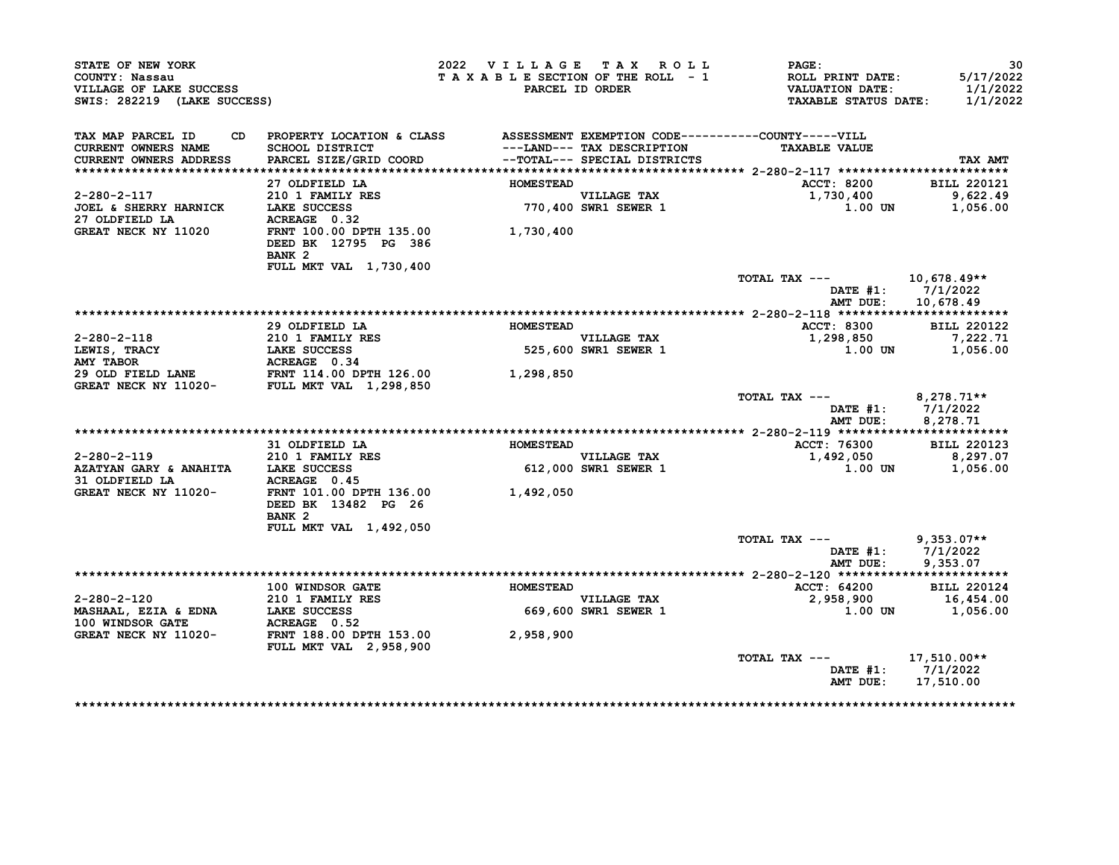| STATE OF NEW YORK<br>COUNTY: Nassau<br>VILLAGE OF LAKE SUCCESS<br>SWIS: 282219 (LAKE SUCCESS) |                                                                                                           | 2022 VILLAGE TAX ROLL<br>TAXABLE SECTION OF THE ROLL - 1 | PARCEL ID ORDER                     | <b>PAGE :</b><br>ROLL PRINT DATE:<br><b>VALUATION DATE:</b><br><b>TAXABLE STATUS DATE:</b> | 30<br>5/17/2022<br>1/1/2022<br>1/1/2022 |
|-----------------------------------------------------------------------------------------------|-----------------------------------------------------------------------------------------------------------|----------------------------------------------------------|-------------------------------------|--------------------------------------------------------------------------------------------|-----------------------------------------|
| TAX MAP PARCEL ID<br><b>CURRENT OWNERS NAME</b>                                               | CD PROPERTY LOCATION & CLASS ASSESSMENT EXEMPTION CODE----------COUNTY-----VILL<br><b>SCHOOL DISTRICT</b> |                                                          | ---LAND--- TAX DESCRIPTION          | <b>TAXABLE VALUE</b>                                                                       |                                         |
| <b>CURRENT OWNERS ADDRESS</b>                                                                 | PARCEL SIZE/GRID COORD                                                                                    |                                                          | -- TOTAL--- SPECIAL DISTRICTS       |                                                                                            | TAX AMT                                 |
|                                                                                               | 27 OLDFIELD LA                                                                                            | <b>HOMESTEAD</b>                                         |                                     | ACCT: 8200                                                                                 | <b>BILL 220121</b>                      |
| 2-280-2-117                                                                                   | 210 1 FAMILY RES                                                                                          |                                                          |                                     | 1,730,400                                                                                  | 9,622.49                                |
| <b>JOEL &amp; SHERRY HARNICK</b><br>27 OLDFIELD LA                                            | LAKE SUCCESS<br>ACREAGE 0.32                                                                              |                                                          | VILLAGE TAX<br>770,400 SWR1 SEWER 1 | 1.00 UN                                                                                    | 1,056.00                                |
| <b>GREAT NECK NY 11020</b>                                                                    | FRNT 100.00 DPTH 135.00<br>DEED BK 12795 PG 386<br>BANK <sub>2</sub>                                      | 1,730,400                                                |                                     |                                                                                            |                                         |
|                                                                                               | FULL MKT VAL 1,730,400                                                                                    |                                                          |                                     | TOTAL TAX ---                                                                              | 10,678.49**<br>DATE $#1: 7/1/2022$      |
|                                                                                               |                                                                                                           |                                                          |                                     | AMT DUE:                                                                                   | 10,678.49                               |
|                                                                                               | 29 OLDFIELD LA                                                                                            | <b>HOMESTEAD</b>                                         |                                     | <b>ACCT: 8300</b>                                                                          | <b>BILL 220122</b>                      |
| 2-280-2-118                                                                                   | $210$ 1 FAMILY RES                                                                                        |                                                          | <b>VILLAGE TAX</b>                  | 1,298,850                                                                                  | 7,222.71                                |
| LEWIS, TRACY<br><b>AMY TABOR</b>                                                              | <b>LAKE SUCCESS</b><br>ACREAGE 0.34                                                                       |                                                          | 525,600 SWR1 SEWER 1                | 1.00 UN                                                                                    | 1,056.00                                |
| 29 OLD FIELD LANE FRNT 114.00 DPTH 126.00<br>GREAT NECK NY 11020- FULL MKT VAL 1,298,850      |                                                                                                           | 1,298,850                                                |                                     |                                                                                            |                                         |
|                                                                                               |                                                                                                           |                                                          |                                     | TOTAL TAX --- $8,278.71**$<br>AMT DUE:                                                     | DATE #1: 7/1/2022<br>8,278.71           |
|                                                                                               |                                                                                                           |                                                          |                                     |                                                                                            |                                         |
|                                                                                               | 31 OLDFIELD LA                                                                                            | <b>HOMESTEAD</b>                                         |                                     | ACCT: 76300                                                                                | <b>BILL 220123</b>                      |
| 2-280-2-119                                                                                   | 210 1 FAMILY RES<br>LAKE SUCCESS                                                                          |                                                          | VILLAGE TAX<br>612,000 SWR1 SEWER 1 | 1,492,050                                                                                  | 8,297.07                                |
| AZATYAN GARY & ANAHITA LAKE SUCCESS<br>31 OLDFIELD LA                                         | ACREAGE 0.45                                                                                              |                                                          |                                     | 1.00 UN                                                                                    | 1,056.00                                |
| <b>GREAT NECK NY 11020-</b>                                                                   | FRNT 101.00 DPTH 136.00 1,492,050<br>DEED BK 13482 PG 26<br>BANK <sub>2</sub>                             |                                                          |                                     |                                                                                            |                                         |
|                                                                                               | FULL MKT VAL 1,492,050                                                                                    |                                                          |                                     |                                                                                            |                                         |
|                                                                                               |                                                                                                           |                                                          |                                     | TOTAL TAX ---                                                                              | $9,353.07**$<br>DATE $#1: 7/1/2022$     |
|                                                                                               |                                                                                                           |                                                          |                                     | AMT DUE:                                                                                   | 9,353.07                                |
|                                                                                               | 100 WINDSOR GATE                                                                                          | <b>HOMESTEAD</b>                                         |                                     | ACCT: 64200                                                                                | <b>BILL 220124</b>                      |
| 2-280-2-120                                                                                   | 210 1 FAMILY RES                                                                                          |                                                          | <b>VILLAGE TAX</b>                  | 2,958,900                                                                                  | 16,454.00                               |
| MASHAAL, EZIA & EDNA<br>100 WINDSOR GATE                                                      | LAKE SUCCESS<br>ACREAGE 0.52                                                                              |                                                          | 669,600 SWR1 SEWER 1                | 1.00 UN                                                                                    | 1,056.00                                |
| GREAT NECK NY 11020-                                                                          | FRNT 188.00 DPTH 153.00<br><b>FULL MKT VAL 2,958,900</b>                                                  | 2,958,900                                                |                                     |                                                                                            |                                         |
|                                                                                               |                                                                                                           |                                                          |                                     | TOTAL TAX ---<br>AMT DUE: 17,510.00                                                        | 17,510.00**<br>DATE #1: 7/1/2022        |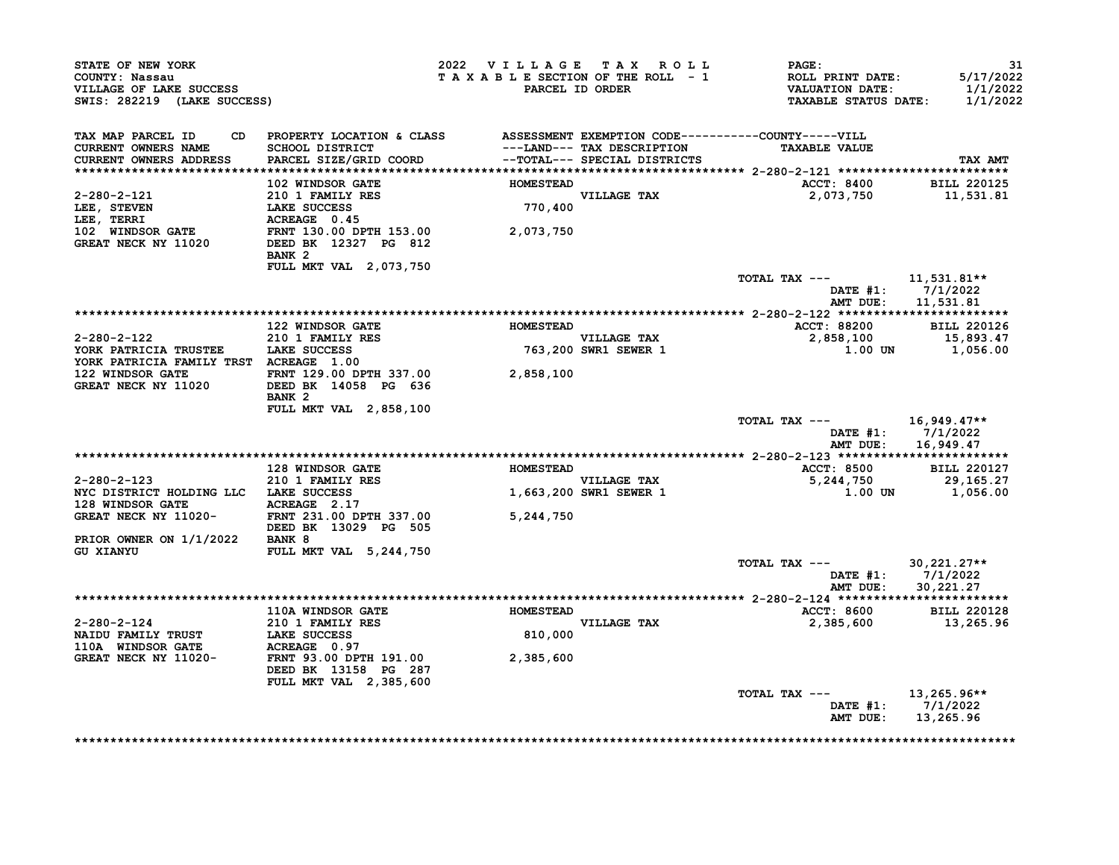| STATE OF NEW YORK<br>COUNTY: Nassau<br>VILLAGE OF LAKE SUCCESS<br>SWIS: 282219 (LAKE SUCCESS)                                                                                                                                                                                                                                                                                                                          |                                                                                                                              |                  | 2022 VILLAGE TAX ROLL<br>TAXABLE SECTION OF THE ROLL - 1<br>PARCEL ID ORDER | <b>PAGE:</b><br>ROLL PRINT DATE:<br>VALUATION DATE:<br>TAXABLE STATUS DATE: | -31<br>5/17/2022<br>1/1/2022<br>1/1/2022 |
|------------------------------------------------------------------------------------------------------------------------------------------------------------------------------------------------------------------------------------------------------------------------------------------------------------------------------------------------------------------------------------------------------------------------|------------------------------------------------------------------------------------------------------------------------------|------------------|-----------------------------------------------------------------------------|-----------------------------------------------------------------------------|------------------------------------------|
| TAX MAP PARCEL ID<br>CURRENT OWNERS NAME<br>CURRENT OWNERS ADDRESS                                                                                                                                                                                                                                                                                                                                                     | CD PROPERTY LOCATION & CLASS ASSESSMENT EXEMPTION CODE----------COUNTY-----VILL<br>SCHOOL DISTRICT<br>PARCEL SIZE/GRID COORD |                  | --TOTAL--- SPECIAL DISTRICTS                                                | ---LAND--- TAX DESCRIPTION TAXABLE VALUE                                    | <b>TAX AMT</b>                           |
|                                                                                                                                                                                                                                                                                                                                                                                                                        |                                                                                                                              |                  |                                                                             | ACCT: 8400 BILL 220125                                                      |                                          |
| 2-280-2-121<br>LEE, STEVEN<br>LEE, STEVEN<br>LEE, TERRI LAKE SUCCESS<br>LEE, TERRI ACREAGE 0.45<br>102 WINDSOR GATE FRNT 130.00 DPTH 153.00 2,073,750<br>GREAT NECK NY 11020 DEED BK 12327 PG 812                                                                                                                                                                                                                      | 102 WINDSOR GATE FOR HOMESTEAD                                                                                               |                  | VILLAGE TAX<br>770,400                                                      | 2,073,750 11,531.81                                                         |                                          |
|                                                                                                                                                                                                                                                                                                                                                                                                                        | BANK 2                                                                                                                       |                  |                                                                             |                                                                             |                                          |
|                                                                                                                                                                                                                                                                                                                                                                                                                        | FULL MKT VAL 2,073,750                                                                                                       |                  |                                                                             | TOTAL TAX --- 11,531.81**<br>DATE #1: 7/1/2022<br>AMT DUE: 11,531.81        |                                          |
|                                                                                                                                                                                                                                                                                                                                                                                                                        |                                                                                                                              |                  |                                                                             |                                                                             |                                          |
|                                                                                                                                                                                                                                                                                                                                                                                                                        |                                                                                                                              |                  |                                                                             | ACCT: 88200 BILL 220126                                                     |                                          |
|                                                                                                                                                                                                                                                                                                                                                                                                                        |                                                                                                                              |                  |                                                                             | $2,858,100$<br>2,858,100<br>1.00 UN 1,056.00                                |                                          |
| $\begin{tabular}{lllllllllllll} 2-280-2-122 & 122 \text{ WINDSOR GATE} & \text{HOMESTEAL} \\ & 210 & 1 \text{ FAMILY RES} & \text{HOMESTEAL} \\ \text{YOKK PARTRICIA TRUSTEE} & \text{LAKE SUCCES} & 763,200 \text{ SWR1 SEWER 1} \\ & 122 \text{ WINDSOR GATE} & \text{LARE SUCCES} & 763,200 \text{ SWR1 SEWER 1} \\ & 122 \text{ WINDSOR GATE} & \text{RCHER 1} & \text{RCHER 2} & \text{RCHER 3} \\ \end{tabular}$ |                                                                                                                              |                  |                                                                             |                                                                             |                                          |
| 122 WINDSOR GATE FRNT 129.00 DPTH 337.00 $2,858,100$<br>GREAT NECK NY 11020 DEED BK 14058 PG 636                                                                                                                                                                                                                                                                                                                       | BANK 2                                                                                                                       |                  |                                                                             |                                                                             |                                          |
|                                                                                                                                                                                                                                                                                                                                                                                                                        | FULL MKT VAL 2,858,100                                                                                                       |                  |                                                                             | TOTAL TAX --- $16,949.47**$<br>DATE #1: 7/1/2022<br>AMT DUE: 16,949.47      |                                          |
|                                                                                                                                                                                                                                                                                                                                                                                                                        | <b>128 WINDSOR GATE</b>                                                                                                      | <b>HOMESTEAD</b> |                                                                             | ACCT: 8500 BILL 220127                                                      |                                          |
|                                                                                                                                                                                                                                                                                                                                                                                                                        |                                                                                                                              |                  |                                                                             | $5,244,750$ 29,165.27                                                       |                                          |
| 2-280-2-123<br>NYC DISTRICT HOLDING LLC<br>NYC DISTRICT HOLDING LLC<br>128 WINDSOR GATE<br>128 WINDSOR GATE<br>128 WINDSOR GATE<br>128 WINDSOR GATE<br>128 WINDSOR GATE<br>210 1 KEAD RESS<br>210 DEED BK<br>210 DEEP DEEP DEEP DEEP DEEP DEEP DE                                                                                                                                                                      |                                                                                                                              |                  |                                                                             | $1.00$ UN $1,056.00$                                                        |                                          |
|                                                                                                                                                                                                                                                                                                                                                                                                                        |                                                                                                                              |                  |                                                                             |                                                                             |                                          |
| PRIOR OWNER ON 1/1/2022 BANK 8<br><b>GU XIANYU</b>                                                                                                                                                                                                                                                                                                                                                                     | FULL MKT VAL 5,244,750                                                                                                       |                  |                                                                             |                                                                             |                                          |
|                                                                                                                                                                                                                                                                                                                                                                                                                        |                                                                                                                              |                  |                                                                             | TOTAL TAX --- $30,221.27**$<br>DATE #1: 7/1/2022<br>AMT DUE:                | 30,221.27                                |
|                                                                                                                                                                                                                                                                                                                                                                                                                        |                                                                                                                              |                  |                                                                             |                                                                             |                                          |
|                                                                                                                                                                                                                                                                                                                                                                                                                        | 110A WINDSOR GATE <b>120 FORESTEAD</b>                                                                                       |                  | VILLAGE TAX<br>810,000                                                      | 2 20128<br>2,385,600 BILL 220128<br>2,385,600 13,265.96                     |                                          |
| 2-280-2-124<br>NAIDU FAMILY TRUST<br>110A WINDSOR GATE ACREAGE 0.97<br>GREAT NECK NY 11020-<br>FRNT 93.00 DPTH 191.00<br>2,385,600                                                                                                                                                                                                                                                                                     |                                                                                                                              |                  |                                                                             |                                                                             |                                          |
|                                                                                                                                                                                                                                                                                                                                                                                                                        | DEED BK 13158 PG 287<br>FULL MKT VAL 2,385,600                                                                               |                  |                                                                             |                                                                             |                                          |
|                                                                                                                                                                                                                                                                                                                                                                                                                        |                                                                                                                              |                  |                                                                             | TOTAL TAX --- 13,265.96**<br>DATE #1: 7/1/2022<br>AMT DUE: 13,265.96        |                                          |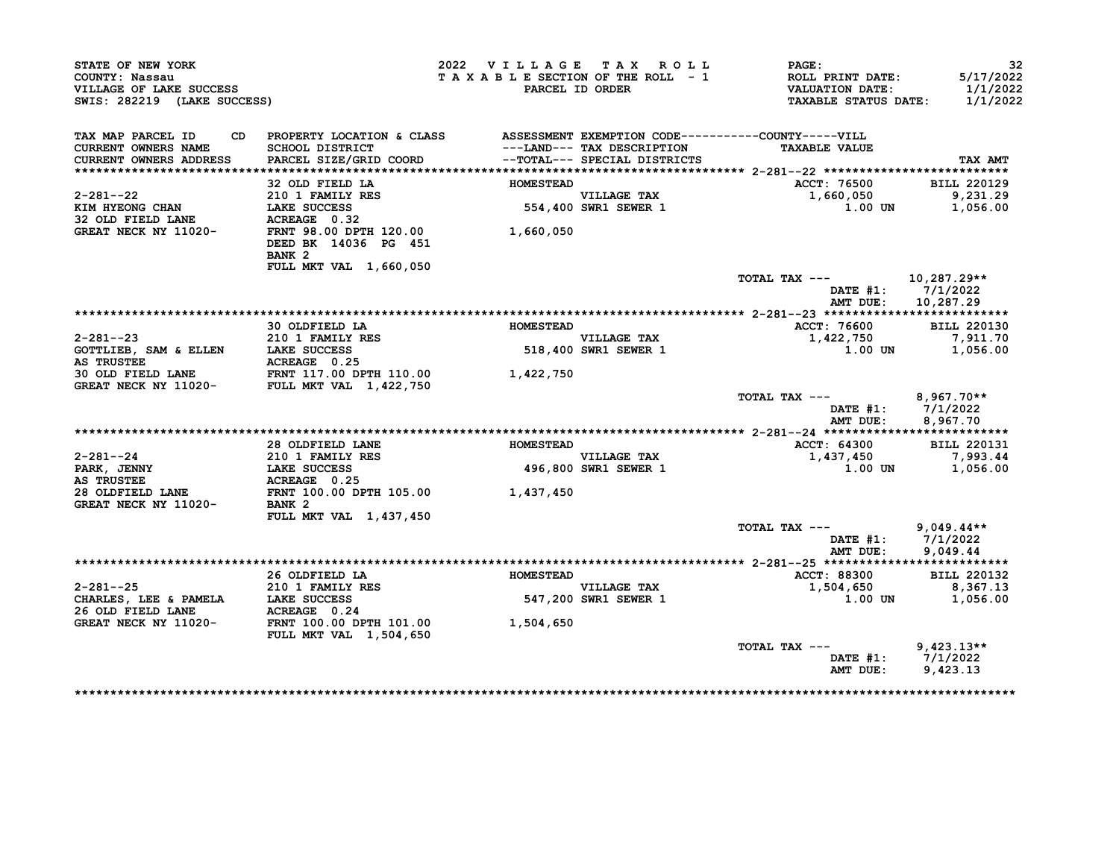| STATE OF NEW YORK<br>COUNTY: Nassau<br>VILLAGE OF LAKE SUCCESS<br>SWIS: 282219 (LAKE SUCCESS)                                                                                        |                                                                                 | 2022 VILLAGE TAX ROLL | TAXABLE SECTION OF THE ROLL - 1<br>PARCEL ID ORDER         | <b>PAGE :</b><br><b>ROLL PRINT DATE:</b><br><b>VALUATION DATE:</b><br><b>TAXABLE STATUS DATE:</b> | 32<br>5/17/2022<br>1/1/2022<br>1/1/2022 |
|--------------------------------------------------------------------------------------------------------------------------------------------------------------------------------------|---------------------------------------------------------------------------------|-----------------------|------------------------------------------------------------|---------------------------------------------------------------------------------------------------|-----------------------------------------|
| TAX MAP PARCEL ID                                                                                                                                                                    | CD PROPERTY LOCATION & CLASS ASSESSMENT EXEMPTION CODE----------COUNTY-----VILL |                       |                                                            |                                                                                                   |                                         |
| <b>CURRENT OWNERS NAME</b><br><b>CURRENT OWNERS ADDRESS</b>                                                                                                                          | <b>SCHOOL DISTRICT</b><br>PARCEL SIZE/GRID COORD                                |                       | ---LAND--- TAX DESCRIPTION<br>--TOTAL--- SPECIAL DISTRICTS | <b>TAXABLE VALUE</b>                                                                              | TAX AMT                                 |
|                                                                                                                                                                                      |                                                                                 |                       |                                                            |                                                                                                   |                                         |
|                                                                                                                                                                                      | 32 OLD FIELD LA                                                                 | <b>HOMESTEAD</b>      |                                                            | ACCT: 76500                                                                                       | <b>BILL 220129</b>                      |
| 2-281--22                                                                                                                                                                            | 210 1 FAMILY RES<br>LAKE SUCCESS                                                |                       | VILLAGE TAX<br>554,400 SWR1 SEWER 1                        | 1,660,050                                                                                         | 9,231.29                                |
| KIM HYEONG CHAN                                                                                                                                                                      |                                                                                 |                       |                                                            | 1.00 UN                                                                                           | 1,056.00                                |
| 32 OLD FIELD LANE                                                                                                                                                                    | ACREAGE 0.32                                                                    |                       |                                                            |                                                                                                   |                                         |
| GREAT NECK NY 11020-                                                                                                                                                                 | FRNT 98.00 DPTH 120.00<br>DEED BK 14036 PG 451<br>BANK <sub>2</sub>             | 1,660,050             |                                                            |                                                                                                   |                                         |
|                                                                                                                                                                                      | FULL MKT VAL 1,660,050                                                          |                       |                                                            |                                                                                                   |                                         |
|                                                                                                                                                                                      |                                                                                 |                       |                                                            | TOTAL TAX ---                                                                                     | 10,287.29**<br>DATE $#1: 7/1/2022$      |
|                                                                                                                                                                                      |                                                                                 |                       |                                                            | AMT DUE:                                                                                          | 10,287.29                               |
|                                                                                                                                                                                      | 30 OLDFIELD LA                                                                  |                       |                                                            |                                                                                                   | <b>BILL 220130</b>                      |
| $2 - 281 - -23$                                                                                                                                                                      | <b>210 1 FAMILY RES</b>                                                         | <b>HOMESTEAD</b>      |                                                            | ACCT: 76600<br>1,422,750                                                                          | 7,911.70                                |
|                                                                                                                                                                                      |                                                                                 |                       | VILLAGE TAX<br>518,400 SWR1 SEWER 1                        |                                                                                                   | 1.00 UN 1,056.00                        |
|                                                                                                                                                                                      |                                                                                 |                       |                                                            |                                                                                                   |                                         |
| COTTLIEB, SAM & ELLEN<br>AS TRUSTEE<br>30 OLD FIELD LANE<br>GREAT NECK NY 11020-<br>GREAT NECK NY 11020-<br>FULL MKT VAL 1,422,750<br>CREAT NECK NY 11020-<br>FULL MKT VAL 1,422,750 |                                                                                 |                       |                                                            |                                                                                                   |                                         |
|                                                                                                                                                                                      |                                                                                 |                       |                                                            | TOTAL TAX --- 8,967.70**<br>AMT DUE:                                                              | DATE #1: 7/1/2022<br>8,967.70           |
|                                                                                                                                                                                      |                                                                                 |                       |                                                            |                                                                                                   |                                         |
|                                                                                                                                                                                      | 28 OLDFIELD LANE                                                                | <b>HOMESTEAD</b>      |                                                            | ACCT: 64300                                                                                       | <b>BILL 220131</b>                      |
| $2 - 281 - -24$                                                                                                                                                                      | <b>210 1 FAMILY RES</b>                                                         |                       | <b>VILLAGE TAX</b>                                         | 1,437,450                                                                                         | 7,993.44                                |
| <b>PARK, JENNY</b><br><b>AS TRUSTEE</b>                                                                                                                                              | LAKE SUCCESS                                                                    |                       | <b>496,800 SWR1 SEWER 1</b>                                | $1.00$ UN                                                                                         | 1,056.00                                |
| 28 OLDFIELD LANE<br>GREAT NECK NY 11020-                                                                                                                                             | BANK 2                                                                          |                       |                                                            |                                                                                                   |                                         |
|                                                                                                                                                                                      | FULL MKT VAL 1,437,450                                                          |                       |                                                            |                                                                                                   | $9,049.44**$                            |
|                                                                                                                                                                                      |                                                                                 |                       |                                                            |                                                                                                   |                                         |
|                                                                                                                                                                                      |                                                                                 |                       |                                                            | TOTAL TAX ---                                                                                     |                                         |
|                                                                                                                                                                                      |                                                                                 |                       |                                                            |                                                                                                   | DATE #1: 7/1/2022                       |
|                                                                                                                                                                                      |                                                                                 |                       |                                                            | AMT DUE:                                                                                          | 9,049.44                                |
|                                                                                                                                                                                      |                                                                                 | <b>HOMESTEAD</b>      |                                                            | ACCT: 88300                                                                                       | <b>BILL 220132</b>                      |
| $2 - 281 - -25$                                                                                                                                                                      | 26 OLDFIELD LA                                                                  |                       |                                                            | 1,504,650                                                                                         | 8,367.13                                |
| CHARLES, LEE & PAMELA<br>26 OLD FIELD LANE                                                                                                                                           | LAKE SUCCESS<br>ACREAGE 0.24                                                    |                       | VILLAGE TAX<br>547,200 SWR1 SEWER 1                        | 1.00 UN                                                                                           | 1,056.00                                |
|                                                                                                                                                                                      |                                                                                 | 1,504,650             |                                                            |                                                                                                   |                                         |
| GREAT NECK NY 11020- FRNT 100.00 DPTH 101.00                                                                                                                                         | <b>FULL MKT VAL 1,504,650</b>                                                   |                       |                                                            | TOTAL TAX ---                                                                                     | $9,423.13**$                            |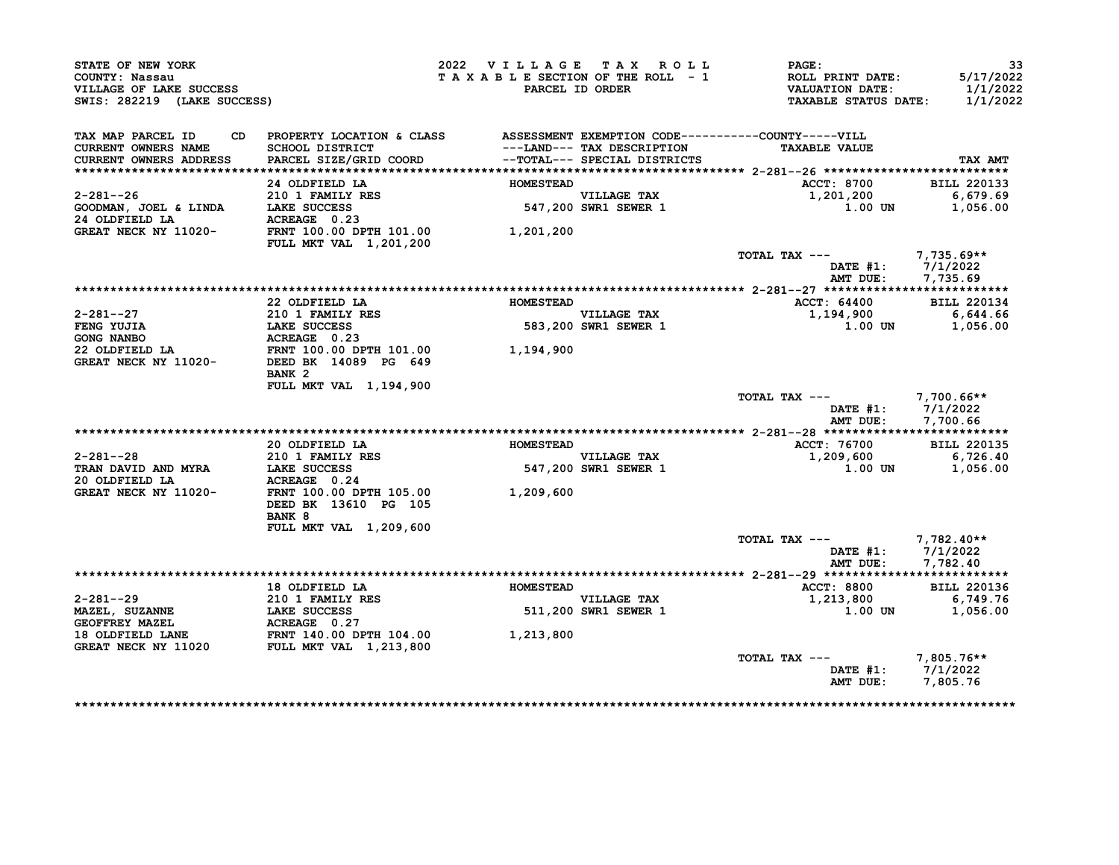| STATE OF NEW YORK<br>COUNTY: Nassau<br>VILLAGE OF LAKE SUCCESS<br>SWIS: 282219 (LAKE SUCCESS)                                                                        |                                                                                           | 2022 VILLAGE TAX ROLL | TAXABLE SECTION OF THE ROLL - 1<br>PARCEL ID ORDER         | <b>PAGE:</b><br>ROLL PRINT DATE:<br><b>VALUATION DATE:</b><br><b>TAXABLE STATUS DATE:</b> | 33<br>5/17/2022<br>1/1/2022<br>1/1/2022    |
|----------------------------------------------------------------------------------------------------------------------------------------------------------------------|-------------------------------------------------------------------------------------------|-----------------------|------------------------------------------------------------|-------------------------------------------------------------------------------------------|--------------------------------------------|
| TAX MAP PARCEL ID                                                                                                                                                    | CD PROPERTY LOCATION & CLASS ASSESSMENT EXEMPTION CODE----------COUNTY-----VILL           |                       |                                                            |                                                                                           |                                            |
| <b>CURRENT OWNERS NAME</b><br>CURRENT OWNERS ADDRESS                                                                                                                 | <b>SCHOOL DISTRICT</b><br>PARCEL SIZE/GRID COORD                                          |                       | ---LAND--- TAX DESCRIPTION<br>--TOTAL--- SPECIAL DISTRICTS | <b>TAXABLE VALUE</b>                                                                      | <b>TAX AMT</b>                             |
|                                                                                                                                                                      |                                                                                           |                       |                                                            |                                                                                           |                                            |
|                                                                                                                                                                      | 24 OLDFIELD LA                                                                            | <b>HOMESTEAD</b>      |                                                            | ACCT: 8700                                                                                | <b>BILL 220133</b>                         |
|                                                                                                                                                                      |                                                                                           |                       | VILLAGE TAX<br>547,200 SWR1 SEWER 1                        | 1,201,200                                                                                 | 6,679.69                                   |
|                                                                                                                                                                      |                                                                                           |                       |                                                            | 1.00 UN                                                                                   | 1,056.00                                   |
|                                                                                                                                                                      |                                                                                           |                       |                                                            |                                                                                           |                                            |
|                                                                                                                                                                      | <b>FULL MKT VAL 1,201,200</b>                                                             | 1,201,200             |                                                            |                                                                                           |                                            |
|                                                                                                                                                                      |                                                                                           |                       |                                                            | TOTAL TAX --- $7,735.69**$                                                                | DATE $#1: 7/1/2022$                        |
|                                                                                                                                                                      |                                                                                           |                       |                                                            | AMT DUE:                                                                                  | 7,735.69                                   |
|                                                                                                                                                                      |                                                                                           |                       |                                                            |                                                                                           |                                            |
|                                                                                                                                                                      | 22 OLDFIELD LA                                                                            | <b>HOMESTEAD</b>      |                                                            | <b>ACCT: 64400</b>                                                                        | <b>BILL 220134</b>                         |
|                                                                                                                                                                      |                                                                                           |                       | VILLAGE TAX<br>583,200 SWR1 SEWER 1                        | 1,194,900                                                                                 | 6,644.66                                   |
|                                                                                                                                                                      |                                                                                           |                       |                                                            | 1.00 UN                                                                                   | 1,056.00                                   |
|                                                                                                                                                                      |                                                                                           |                       |                                                            |                                                                                           |                                            |
| 2-281--27<br>FENG YUJIA 210 1 FAMILY RES<br>GONG NANBO ACREAGE 0.23<br>22 OLDFIELD LA FRNT 100.00 DPTH 101.00 1,194,900<br>GREAT NECK NY 11020- DEED BK 14089 PG 649 |                                                                                           |                       |                                                            |                                                                                           |                                            |
|                                                                                                                                                                      | BANK <sub>2</sub>                                                                         |                       |                                                            |                                                                                           |                                            |
|                                                                                                                                                                      | FULL MKT VAL 1,194,900                                                                    |                       |                                                            |                                                                                           |                                            |
|                                                                                                                                                                      |                                                                                           |                       |                                                            | TOTAL TAX --- 7,700.66**                                                                  |                                            |
|                                                                                                                                                                      |                                                                                           |                       |                                                            |                                                                                           | DATE #1: 7/1/2022                          |
|                                                                                                                                                                      |                                                                                           |                       |                                                            |                                                                                           | AMT DUE: 7,700.66                          |
|                                                                                                                                                                      |                                                                                           |                       |                                                            |                                                                                           |                                            |
|                                                                                                                                                                      | 20 OLDFIELD LA                                                                            | <b>HOMESTEAD</b>      |                                                            | ACCT: 76700                                                                               | <b>BILL 220135</b>                         |
| 2-281--28                                                                                                                                                            |                                                                                           |                       | VILLAGE TAX<br>547,200 SWR1 SEWER 1                        | 1,209,600                                                                                 | 6,726.40                                   |
| <b>TRAN DAVID AND MYRA</b>                                                                                                                                           | <b>210 1 FAMILY RES<br/>LAKE SUCCESS<br/>ACREAGE 0.24</b><br>LAKE SUCCESS<br>ACREAGE 0.24 |                       |                                                            | $1.00$ UN                                                                                 |                                            |
|                                                                                                                                                                      |                                                                                           |                       |                                                            |                                                                                           |                                            |
|                                                                                                                                                                      |                                                                                           |                       |                                                            |                                                                                           |                                            |
|                                                                                                                                                                      | FRNT 100.00 DPTH 105.00 1,209,600                                                         |                       |                                                            |                                                                                           |                                            |
|                                                                                                                                                                      | DEED BK 13610 PG 105                                                                      |                       |                                                            |                                                                                           |                                            |
|                                                                                                                                                                      | BANK 8                                                                                    |                       |                                                            |                                                                                           |                                            |
|                                                                                                                                                                      | FULL MKT VAL 1,209,600                                                                    |                       |                                                            |                                                                                           |                                            |
|                                                                                                                                                                      |                                                                                           |                       |                                                            | TOTAL TAX --- $7,782.40**$                                                                | 1,056.00                                   |
|                                                                                                                                                                      |                                                                                           |                       |                                                            |                                                                                           | DATE $#1: 7/1/2022$                        |
| 20 OLDFIELD LA<br>GREAT NECK NY 11020-                                                                                                                               |                                                                                           |                       |                                                            | AMT DUE:                                                                                  | 7,782.40                                   |
|                                                                                                                                                                      | 18 OLDFIELD LA                                                                            | <b>HOMESTEAD</b>      |                                                            | <b>ACCT: 8800</b>                                                                         |                                            |
|                                                                                                                                                                      |                                                                                           |                       | <b>VILLAGE TAX</b>                                         | 1,213,800                                                                                 |                                            |
|                                                                                                                                                                      | 210 1 FAMILY RES<br>LAKE SUCCESS<br>LAKE SUCCESS                                          |                       | VILLAGE TAX<br>511,200 SWR1 SEWER 1                        | 1.00 UN                                                                                   |                                            |
| $2 - 281 - -29$<br><b>MAZEL, SUZANNE</b>                                                                                                                             |                                                                                           |                       |                                                            |                                                                                           |                                            |
|                                                                                                                                                                      |                                                                                           | 1,213,800             |                                                            |                                                                                           |                                            |
|                                                                                                                                                                      |                                                                                           |                       |                                                            |                                                                                           | <b>BILL 220136</b><br>6,749.76<br>1,056.00 |
|                                                                                                                                                                      |                                                                                           |                       |                                                            | TOTAL TAX $---$ 7,805.76**                                                                | DATE #1: 7/1/2022                          |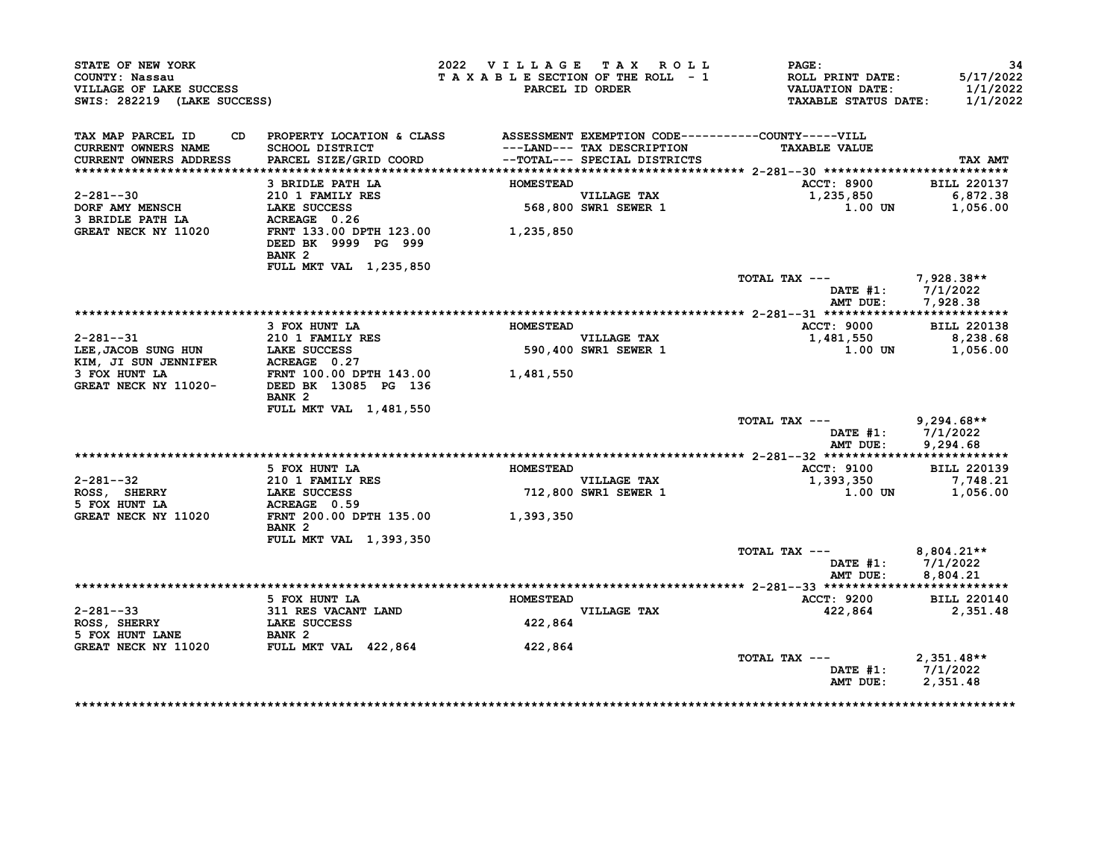| STATE OF NEW YORK<br>COUNTY: Nassau<br>VILLAGE OF LAKE SUCCESS<br>SWIS: 282219 (LAKE SUCCESS)                                                                                                                                                              |                                                                                                           | 2022 VILLAGE TAX ROLL<br>TAXABLE SECTION OF THE ROLL - 1 | PARCEL ID ORDER                                                  | PAGE:<br><b>ROLL PRINT DATE:</b><br><b>VALUATION DATE:</b><br><b>TAXABLE STATUS DATE:</b> | -34<br>5/17/2022<br>1/1/2022<br>1/1/2022 |
|------------------------------------------------------------------------------------------------------------------------------------------------------------------------------------------------------------------------------------------------------------|-----------------------------------------------------------------------------------------------------------|----------------------------------------------------------|------------------------------------------------------------------|-------------------------------------------------------------------------------------------|------------------------------------------|
| TAX MAP PARCEL ID<br>CURRENT OWNERS NAME                                                                                                                                                                                                                   | CD PROPERTY LOCATION & CLASS ASSESSMENT EXEMPTION CODE----------COUNTY-----VILL<br><b>SCHOOL DISTRICT</b> |                                                          | ---LAND--- TAX DESCRIPTION                                       | <b>TAXABLE VALUE</b>                                                                      |                                          |
| CURRENT OWNERS ADDRESS                                                                                                                                                                                                                                     | PARCEL SIZE/GRID COORD                                                                                    |                                                          | -- TOTAL--- SPECIAL DISTRICTS                                    |                                                                                           | TAX AMT                                  |
|                                                                                                                                                                                                                                                            | 3 BRIDLE PATH LA                                                                                          | <b>HOMESTEAD</b>                                         |                                                                  | <b>ACCT: 8900</b>                                                                         | <b>BILL 220137</b>                       |
| 2-281--30                                                                                                                                                                                                                                                  | 210 1 FAMILY RES                                                                                          |                                                          |                                                                  | 1,235,850                                                                                 | 6,872.38                                 |
| <b>DORF AMY MENSCH</b>                                                                                                                                                                                                                                     | LAKE SUCCESS                                                                                              | VILLAGE TAX<br>568,800 SWR1 SEWER 1                      |                                                                  | 1.00 UN                                                                                   | 1,056.00                                 |
| 3 BRIDLE PATH LA                                                                                                                                                                                                                                           | <b>LAKE SUCCESS<br/>ACREAGE 0.26</b>                                                                      |                                                          |                                                                  |                                                                                           |                                          |
| GREAT NECK NY 11020                                                                                                                                                                                                                                        | FRNT 133.00 DPTH 123.00 1,235,850<br>DEED BK 9999 PG 999                                                  |                                                          |                                                                  |                                                                                           |                                          |
|                                                                                                                                                                                                                                                            | BANK <sub>2</sub>                                                                                         |                                                          |                                                                  |                                                                                           |                                          |
|                                                                                                                                                                                                                                                            | FULL MKT VAL 1,235,850                                                                                    |                                                          |                                                                  |                                                                                           |                                          |
|                                                                                                                                                                                                                                                            |                                                                                                           |                                                          |                                                                  | TOTAL TAX --- 7,928.38**<br>DATE $#1: 7/1/2022$<br>AMT DUE:                               | 7,928.38                                 |
|                                                                                                                                                                                                                                                            |                                                                                                           |                                                          |                                                                  |                                                                                           |                                          |
|                                                                                                                                                                                                                                                            | 3 FOX HUNT LA                                                                                             | <b>HOMESTEAD</b>                                         |                                                                  | <b>ACCT: 9000</b>                                                                         | <b>BILL 220138</b>                       |
|                                                                                                                                                                                                                                                            |                                                                                                           |                                                          |                                                                  | 1,481,550                                                                                 | 8,238.68                                 |
|                                                                                                                                                                                                                                                            |                                                                                                           |                                                          | -<br>VILLAGE TAX<br>1 S90,400 SWR1 SEMPP<br>590,400 SWR1 SEWER 1 | 1.00 UN                                                                                   | 1,056.00                                 |
|                                                                                                                                                                                                                                                            |                                                                                                           |                                                          |                                                                  |                                                                                           |                                          |
|                                                                                                                                                                                                                                                            |                                                                                                           |                                                          |                                                                  |                                                                                           |                                          |
| 2-281--31<br>LEE, JACOB SUNG HUN<br>ELE, JACOB SUNG HUN<br>ELE, JACOB SUNG HUN<br>ELE COLOREAGE 0.27<br>3 FOX HUNT LA<br>GREAT NECK NY 11020-<br>DEED BK 13085 PG 136<br>CREAT NECK NY 11020-<br>DEED BK 13085 PG 136<br>2000<br>2000<br>2000<br>2000<br>2 | BANK <sub>2</sub>                                                                                         |                                                          |                                                                  |                                                                                           |                                          |
|                                                                                                                                                                                                                                                            | FULL MKT VAL 1,481,550                                                                                    |                                                          |                                                                  |                                                                                           |                                          |
|                                                                                                                                                                                                                                                            |                                                                                                           |                                                          |                                                                  | TOTAL TAX --- 9,294.68**                                                                  |                                          |
|                                                                                                                                                                                                                                                            |                                                                                                           |                                                          |                                                                  | DATE #1: 7/1/2022<br>AMT DUE:                                                             | 9,294.68                                 |
|                                                                                                                                                                                                                                                            |                                                                                                           |                                                          |                                                                  |                                                                                           |                                          |
|                                                                                                                                                                                                                                                            | 5 FOX HUNT LA                                                                                             | <b>HOMESTEAD</b>                                         |                                                                  | <b>ACCT: 9100</b>                                                                         | <b>BILL 220139</b>                       |
| $2 - 281 - -32$                                                                                                                                                                                                                                            | 210 1 FAMILY RES                                                                                          |                                                          |                                                                  | 1,393,350                                                                                 | 7,748.21                                 |
| ROSS, SHERRY                                                                                                                                                                                                                                               | LAKE SUCCESS                                                                                              |                                                          | VILLAGE TAX<br>712,800 SWR1 SEWER 1                              | 1.00 UN                                                                                   | 1,056.00                                 |
| 5 FOX HUNT LA                                                                                                                                                                                                                                              | ACREAGE 0.59                                                                                              |                                                          |                                                                  |                                                                                           |                                          |
| GREAT NECK NY 11020                                                                                                                                                                                                                                        | FRNT 200.00 DPTH 135.00 1,393,350                                                                         |                                                          |                                                                  |                                                                                           |                                          |
|                                                                                                                                                                                                                                                            | BANK <sub>2</sub>                                                                                         |                                                          |                                                                  |                                                                                           |                                          |
|                                                                                                                                                                                                                                                            | FULL MKT VAL 1,393,350                                                                                    |                                                          |                                                                  |                                                                                           |                                          |
|                                                                                                                                                                                                                                                            |                                                                                                           |                                                          |                                                                  | TOTAL TAX --- $8,804.21**$<br>DATE $#1: 7/1/2022$                                         |                                          |
|                                                                                                                                                                                                                                                            |                                                                                                           |                                                          |                                                                  | AMT DUE:                                                                                  | 8,804.21                                 |
|                                                                                                                                                                                                                                                            | 5 FOX HUNT LA                                                                                             |                                                          |                                                                  | <b>ACCT: 9200</b>                                                                         | <b>BILL 220140</b>                       |
| $2 - 281 - -33$                                                                                                                                                                                                                                            |                                                                                                           | <b>HOMESTEAD</b>                                         | <b>VILLAGE TAX</b>                                               | 422,864                                                                                   | 2,351.48                                 |
|                                                                                                                                                                                                                                                            | 311 RES VACANT LAND<br>LAKE SUCCESS                                                                       | 422,864                                                  |                                                                  |                                                                                           |                                          |
|                                                                                                                                                                                                                                                            |                                                                                                           |                                                          |                                                                  |                                                                                           |                                          |
|                                                                                                                                                                                                                                                            |                                                                                                           | 422,864                                                  |                                                                  |                                                                                           |                                          |
| دد--281<br>ROSS, SHERRY LANE LAKE SUCCENT<br>5 FOX HUNT LANE BANK 2<br>--- '""" NY 11020 FULL MKT VAL 422,864                                                                                                                                              |                                                                                                           |                                                          |                                                                  | TOTAL TAX $---$ 2,351.48**                                                                |                                          |
|                                                                                                                                                                                                                                                            |                                                                                                           |                                                          |                                                                  | DATE #1: 7/1/2022                                                                         |                                          |
|                                                                                                                                                                                                                                                            |                                                                                                           |                                                          |                                                                  | AMT DUE:                                                                                  | 2,351.48                                 |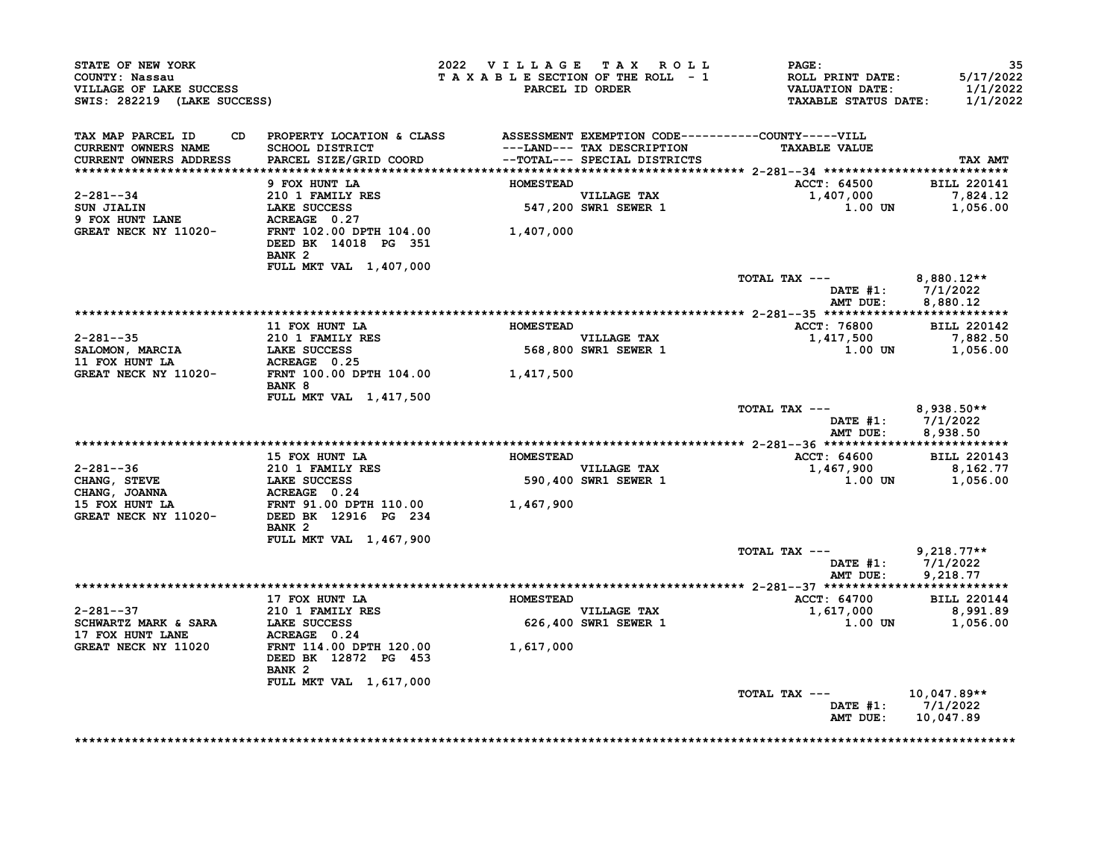| STATE OF NEW YORK<br>COUNTY: Nassau<br>VILLAGE OF LAKE SUCCESS<br>SWIS: 282219 (LAKE SUCCESS) |                                                                                                                                                                                                                                                                | 2022 VILLAGE TAX ROLL<br>TAXABLE SECTION OF THE ROLL - 1 | PARCEL ID ORDER                     | <b>PAGE:</b><br>ROLL PRINT DATE:<br>VALUATION DATE:<br><b>TAXABLE STATUS DATE:</b> | 35<br>5/17/2022<br>1/1/2022<br>1/1/2022                |
|-----------------------------------------------------------------------------------------------|----------------------------------------------------------------------------------------------------------------------------------------------------------------------------------------------------------------------------------------------------------------|----------------------------------------------------------|-------------------------------------|------------------------------------------------------------------------------------|--------------------------------------------------------|
| TAX MAP PARCEL ID<br><b>CURRENT OWNERS NAME</b>                                               | CD PROPERTY LOCATION & CLASS ASSESSMENT EXEMPTION CODE----------COUNTY-----VILL<br>SCHOOL DISTRICT<br>PARCEL SIZE/GRID COORD                                                                                                                                   |                                                          | ---LAND--- TAX DESCRIPTION          | <b>TAXABLE VALUE</b>                                                               |                                                        |
| <b>CURRENT OWNERS ADDRESS</b>                                                                 |                                                                                                                                                                                                                                                                |                                                          | --TOTAL--- SPECIAL DISTRICTS        |                                                                                    | TAX AMT                                                |
|                                                                                               | 9 FOX HUNT LA                                                                                                                                                                                                                                                  | <b>HOMESTEAD</b>                                         |                                     | <b>ACCT: 64500</b>                                                                 | <b>BILL 220141</b>                                     |
| 2-281--34                                                                                     | 210 1 FAMILY RES                                                                                                                                                                                                                                               |                                                          |                                     | 1,407,000                                                                          | 7,824.12                                               |
|                                                                                               |                                                                                                                                                                                                                                                                |                                                          | VILLAGE TAX<br>547,200 SWR1 SEWER 1 | 1.00 UN                                                                            | 1,056.00                                               |
|                                                                                               | LAKE SUCCESS<br>ACREAGE 0.27                                                                                                                                                                                                                                   |                                                          |                                     |                                                                                    |                                                        |
| <b>GREAT NECK NY 11020-</b>                                                                   | FRNT 102.00 DPTH 104.00 1,407,000<br>DEED BK 14018 PG 351<br>BANK <sub>2</sub>                                                                                                                                                                                 |                                                          |                                     |                                                                                    |                                                        |
|                                                                                               | FULL MKT VAL 1,407,000                                                                                                                                                                                                                                         |                                                          |                                     |                                                                                    |                                                        |
|                                                                                               |                                                                                                                                                                                                                                                                |                                                          |                                     | TOTAL TAX ---<br>AMT DUE:                                                          | $8,880.12**$<br>DATE $#1: 7/1/2022$<br>8,880.12        |
|                                                                                               |                                                                                                                                                                                                                                                                |                                                          |                                     |                                                                                    |                                                        |
|                                                                                               | 11 FOX HUNT LA                                                                                                                                                                                                                                                 | <b>HOMESTEAD</b>                                         |                                     | ACCT: 76800                                                                        | <b>BILL 220142</b>                                     |
| $2 - 281 - -35$                                                                               | 210 1 FAMILY RES                                                                                                                                                                                                                                               |                                                          |                                     | 1,417,500                                                                          | 7,882.50                                               |
| SALOMON, MARCIA<br>11 FOX HUNT LA                                                             | LAKE SUCCESS                                                                                                                                                                                                                                                   |                                                          | VILLAGE TAX<br>568,800 SWR1 SEWER 1 | 1.00 UN                                                                            | 1,056.00                                               |
|                                                                                               | <b>ACREAGE   0.25<br/>FRNT 100.00 DPTH 104.00                   1,417,500</b>                                                                                                                                                                                  |                                                          |                                     |                                                                                    |                                                        |
| GREAT NECK NY 11020-                                                                          | BANK 8                                                                                                                                                                                                                                                         |                                                          |                                     |                                                                                    |                                                        |
|                                                                                               | FULL MKT VAL 1, 417, 500                                                                                                                                                                                                                                       |                                                          |                                     | TOTAL TAX ---<br>AMT DUE:                                                          | $8,938.50**$<br>DATE $#1: 7/1/2022$<br>8,938.50        |
|                                                                                               |                                                                                                                                                                                                                                                                |                                                          |                                     |                                                                                    |                                                        |
|                                                                                               | 15 FOX HUNT LA                                                                                                                                                                                                                                                 | <b>HOMESTEAD</b>                                         |                                     | ACCT: 64600                                                                        | <b>BILL 220143</b>                                     |
|                                                                                               |                                                                                                                                                                                                                                                                |                                                          | VILLAGE TAX                         | 1,467,900                                                                          | 8,162.77                                               |
|                                                                                               | $\begin{tabular}{lllllllllllll} 2-281--36 & & & 210 & 1 FAMILY RES \\ \texttt{CHANG, STEVE} & & & \texttt{LAKE SUCCES} \\ \texttt{CHANG, JOANNA} & & & \texttt{ACREAGE} & 0.24 \\ \texttt{15 FOX HUNT LA} & & & \texttt{FRNT 91.00 DPTH 110.00} \end{tabular}$ |                                                          | 590,400 SWR1 SEWER 1                |                                                                                    | 1.00 UN 1,056.00                                       |
|                                                                                               |                                                                                                                                                                                                                                                                | 1,467,900                                                |                                     |                                                                                    |                                                        |
| GREAT NECK NY 11020-                                                                          | DEED BK 12916 PG 234<br>BANK <sub>2</sub>                                                                                                                                                                                                                      |                                                          |                                     |                                                                                    |                                                        |
|                                                                                               | FULL MKT VAL 1,467,900                                                                                                                                                                                                                                         |                                                          |                                     |                                                                                    |                                                        |
|                                                                                               |                                                                                                                                                                                                                                                                |                                                          |                                     | TOTAL TAX ---                                                                      | $9,218.77**$<br>DATE #1: 7/1/2022<br>AMT DUE: 9,218.77 |
|                                                                                               |                                                                                                                                                                                                                                                                |                                                          |                                     |                                                                                    |                                                        |
|                                                                                               | 17 FOX HUNT LA                                                                                                                                                                                                                                                 | <b>HOMESTEAD</b>                                         |                                     | <b>ACCT: 64700</b>                                                                 | <b>BILL 220144</b>                                     |
| $2 - 281 - -37$                                                                               | 210 1 FAMILY RES                                                                                                                                                                                                                                               |                                                          | <b>VILLAGE TAX</b>                  | 1,617,000 8,991.89                                                                 |                                                        |
| <b>SCHWARTZ MARK &amp; SARA</b>                                                               | LAKE SUCCESS<br>ACREAGE 0.24                                                                                                                                                                                                                                   |                                                          | <b>626,400 SWR1 SEWER 1</b>         | 1.00 UN                                                                            | 1,056.00                                               |
| <b>17 FOX HUNT LANE</b><br>GREAT NECK NY 11020                                                | FRNT 114.00 DPTH 120.00 1,617,000<br>DEED BK 12872 PG 453<br>BANK <sub>2</sub>                                                                                                                                                                                 |                                                          |                                     |                                                                                    |                                                        |
|                                                                                               | FULL MKT VAL 1,617,000                                                                                                                                                                                                                                         |                                                          |                                     |                                                                                    |                                                        |
|                                                                                               |                                                                                                                                                                                                                                                                |                                                          |                                     | TOTAL TAX ---                                                                      | 10,047.89**<br>DATE #1: 7/1/2022                       |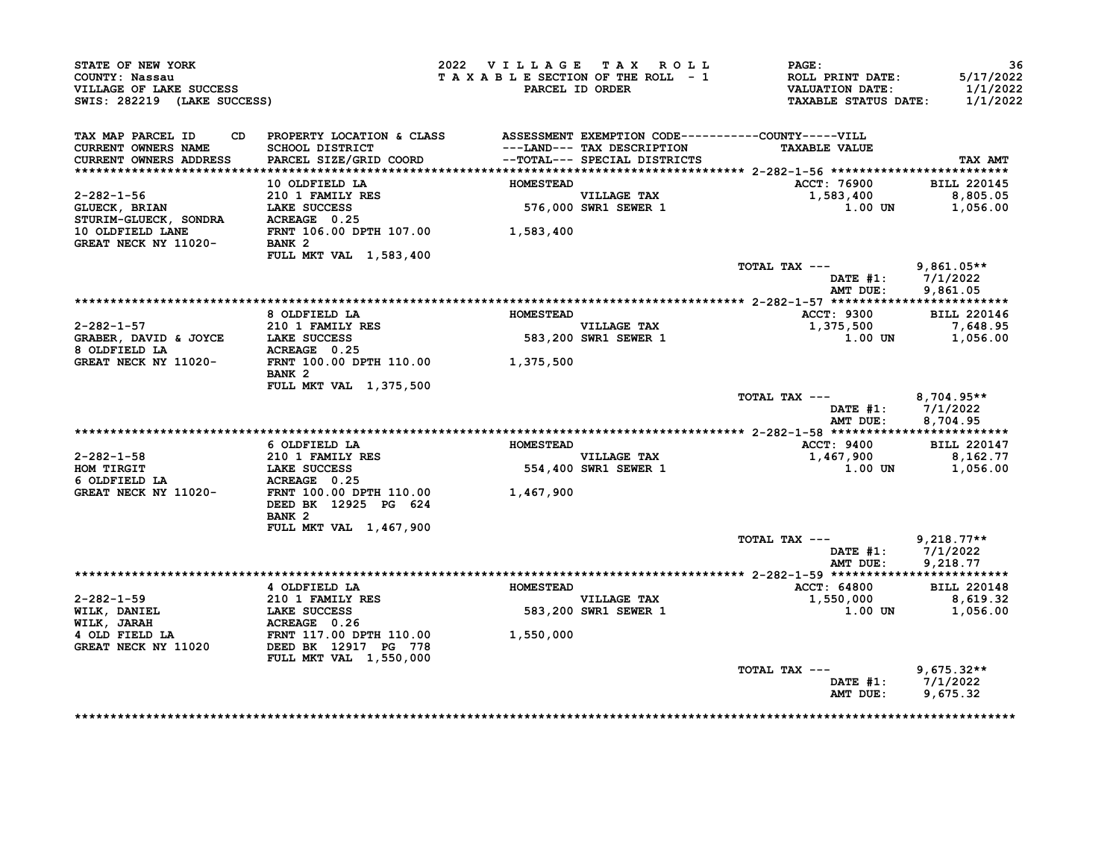| VILLAGE OF LAKE SUCCESS<br>SWIS: 282219 (LAKE SUCCESS)                    |                                                                                                                              |                  | 2022 VILLAGE TAX ROLL<br>TAXABLE SECTION OF THE ROLL - 1<br>PARCEL ID ORDER | PAGE:<br><b>ROLL PRINT DATE:</b><br><b>VALUATION DATE:</b><br><b>TAXABLE STATUS DATE:</b> | 36<br>5/17/2022<br>1/1/2022<br>1/1/2022 |
|---------------------------------------------------------------------------|------------------------------------------------------------------------------------------------------------------------------|------------------|-----------------------------------------------------------------------------|-------------------------------------------------------------------------------------------|-----------------------------------------|
| TAX MAP PARCEL ID<br><b>CURRENT OWNERS NAME</b><br>CURRENT OWNERS ADDRESS | CD PROPERTY LOCATION & CLASS ASSESSMENT EXEMPTION CODE----------COUNTY-----VILL<br>SCHOOL DISTRICT<br>PARCEL SIZE/GRID COORD |                  | ---LAND--- TAX DESCRIPTION<br>--TOTAL--- SPECIAL DISTRICTS                  | <b>TAXABLE VALUE</b>                                                                      | TAX AMT                                 |
|                                                                           | 10 OLDFIELD LA                                                                                                               | <b>HOMESTEAD</b> |                                                                             | ACCT: 76900                                                                               | <b>BILL 220145</b>                      |
| 2-282-1-56<br>GLUECK, BRIAN<br>STURIM-GLUECK, SONDRA ACREAGE 0.25         | 210 1 FAMILY RES<br>LAKE SUCCESS                                                                                             |                  | VILLAGE TAX<br>576,000 SWR1 SEWER 1                                         | 1,583,400<br>$1.00$ UN                                                                    | 8,805.05<br>1,056.00                    |
| 10 OLDFIELD LANE<br>GREAT NECK NY 11020-                                  | FRNT 106.00 DPTH 107.00 1,583,400<br>BANK <sub>2</sub>                                                                       |                  |                                                                             |                                                                                           |                                         |
|                                                                           | FULL MKT VAL 1,583,400                                                                                                       |                  |                                                                             | TOTAL TAX ---<br>DATE $#1: 7/1/2022$<br>AMT DUE:                                          | $9,861.05**$<br>9,861.05                |
|                                                                           |                                                                                                                              |                  |                                                                             |                                                                                           |                                         |
|                                                                           | 8 OLDFIELD LA                                                                                                                | <b>HOMESTEAD</b> |                                                                             | ACCT: 9300                                                                                | <b>BILL 220146</b>                      |
| $2 - 282 - 1 - 57$                                                        | 210 1 FAMILY RES                                                                                                             |                  | <b>VILLAGE TAX</b>                                                          | 1,375,500                                                                                 | 7,648.95                                |
| GRABER, DAVID & JOYCE LAKE SUCCESS                                        | ACREAGE 0.25                                                                                                                 |                  | 583,200 SWR1 SEWER 1                                                        | 1.00 UN                                                                                   | 1,056.00                                |
| 8 OLDFIELD LA<br>GREAT NECK NY 11020-                                     | FRNT 100.00 DPTH 110.00 1,375,500<br>BANK <sub>2</sub>                                                                       |                  |                                                                             |                                                                                           |                                         |
|                                                                           | FULL MKT VAL 1,375,500                                                                                                       |                  |                                                                             | TOTAL TAX ---<br>DATE $#1: 7/1/2022$<br>AMT DUE:                                          | $8,704.95**$<br>8,704.95                |
|                                                                           |                                                                                                                              |                  |                                                                             |                                                                                           |                                         |
|                                                                           |                                                                                                                              |                  |                                                                             |                                                                                           |                                         |
|                                                                           | 6 OLDFIELD LA                                                                                                                | <b>HOMESTEAD</b> |                                                                             | <b>ACCT: 9400</b>                                                                         | <b>BILL 220147</b>                      |
| 2-282-1-58                                                                | 210 1 FAMILY RES                                                                                                             |                  | <b>VILLAGE TAX</b>                                                          | 1,467,900                                                                                 | 8,162.77                                |
| HOM TIRGIT                                                                | LAKE SUCCESS                                                                                                                 |                  | 554,400 SWR1 SEWER 1                                                        | 1.00 UN                                                                                   | 1,056.00                                |
| 6 OLDFIELD LA<br>GREAT NECK NY 11020-                                     | ACREAGE 0.25<br>FRNT 100.00 DPTH 110.00<br>DEED BK 12925 PG 624<br>BANK <sub>2</sub>                                         | 1,467,900        |                                                                             |                                                                                           |                                         |
|                                                                           | FULL MKT VAL 1,467,900                                                                                                       |                  |                                                                             |                                                                                           |                                         |
|                                                                           |                                                                                                                              |                  |                                                                             | TOTAL TAX ---<br>DATE $#1: 7/1/2022$<br>AMT DUE:                                          | $9,218.77**$<br>9,218.77                |
|                                                                           |                                                                                                                              |                  |                                                                             |                                                                                           |                                         |
|                                                                           | 4 OLDFIELD LA                                                                                                                | <b>HOMESTEAD</b> |                                                                             | <b>ACCT: 64800</b>                                                                        | <b>BILL 220148</b>                      |
| 2-282-1-59                                                                |                                                                                                                              |                  | <b>VILLAGE TAX</b><br>583,200 SWR1 SEWER 1                                  | 1,550,000<br><b>1.00 UN</b>                                                               | 8,619.32<br>1,056.00                    |
| WILK, DANIEL<br>WILK, JARAH                                               | 210 1 FAMILY RES<br>LAKE SUCCESS<br>ACREAGE 0.26                                                                             |                  |                                                                             |                                                                                           |                                         |
| 4 OLD FIELD LA<br>GREAT NECK NY 11020                                     | FRNT 117.00 DPTH 110.00<br>DEED BK 12917 PG 778<br>FULL MKT VAL 1,550,000                                                    | 1,550,000        |                                                                             |                                                                                           |                                         |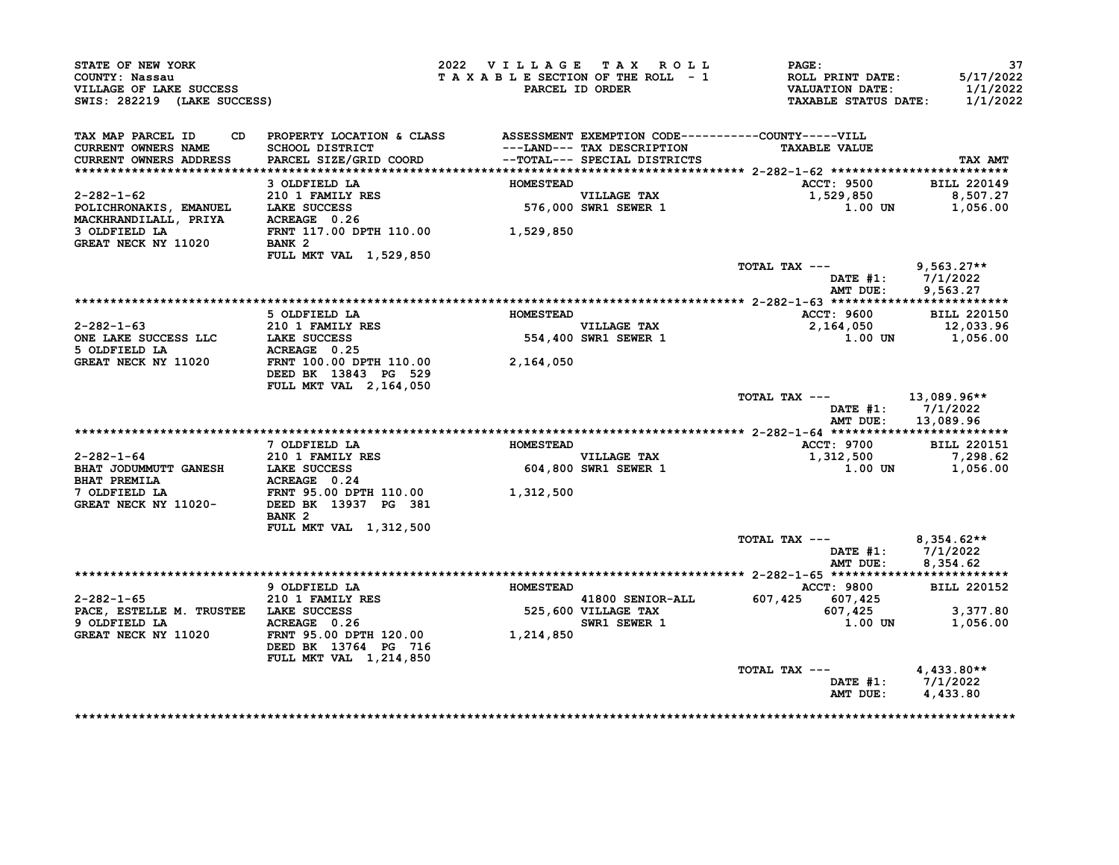| STATE OF NEW YORK<br>COUNTY: Nassau<br>VILLAGE OF LAKE SUCCESS<br>SWIS: 282219 (LAKE SUCCESS) |                                                                                          | 2022 VILLAGE TAX ROLL<br>TAXABLE SECTION OF THE ROLL - 1 | PARCEL ID ORDER                         | <b>PAGE:</b><br>ROLL PRINT DATE:<br><b>VALUATION DATE:</b><br><b>TAXABLE STATUS DATE:</b> | 37<br>5/17/2022<br>1/1/2022<br>1/1/2022       |
|-----------------------------------------------------------------------------------------------|------------------------------------------------------------------------------------------|----------------------------------------------------------|-----------------------------------------|-------------------------------------------------------------------------------------------|-----------------------------------------------|
| TAX MAP PARCEL ID<br>CURRENT OWNERS NAME<br><b>CURRENT OWNERS ADDRESS</b>                     | CD PROPERTY LOCATION & CLASS ASSESSMENT EXEMPTION CODE----------COUNTY-----VILL          |                                                          | ---LAND--- TAX DESCRIPTION              | <b>TAXABLE VALUE</b>                                                                      | TAX AMT                                       |
|                                                                                               | 3 OLDFIELD LA                                                                            | <b>HOMESTEAD</b>                                         |                                         | <b>ACCT: 9500</b>                                                                         | <b>BILL 220149</b>                            |
| 2-282-1-62<br>POLICHRONAKIS, EMANUEL LAKE SUCCESS<br>MACKHRANDILALL, PRIYA $ACREAGE = 0.26$   | 210 1 FAMILY RES                                                                         |                                                          | VILLAGE TAX<br>576,000 SWR1 SEWER 1     | 1,529,850<br>1.00 UN                                                                      | 8,507.27<br>1,056.00                          |
| 3 OLDFIELD LA<br>GREAT NECK NY 11020                                                          | FRNT 117.00 DPTH 110.00 1,529,850<br>BANK <sub>2</sub><br>FULL MKT VAL 1,529,850         |                                                          |                                         |                                                                                           |                                               |
|                                                                                               |                                                                                          |                                                          |                                         | TOTAL TAX ---<br>AMT DUE:                                                                 | $9,563.27**$<br>DATE #1: 7/1/2022<br>9,563.27 |
|                                                                                               |                                                                                          |                                                          |                                         |                                                                                           |                                               |
|                                                                                               | 5 OLDFIELD LA                                                                            | <b>HOMESTEAD</b>                                         |                                         | <b>ACCT: 9600</b>                                                                         | <b>BILL 220150</b>                            |
| 2-282-1-63<br>ONE LAKE SUCCESS LLC<br>LAKE SUCCESS LLC<br>LAKE SUCCESS                        |                                                                                          |                                                          | <b>VILLAGE TAX</b>                      | 2,164,050 12,033.96<br>1.00 1.00 1,056.00                                                 |                                               |
| 5 OLDFIELD LA                                                                                 | ACREAGE 0.25                                                                             |                                                          | $554,400$ SWR1 SEWER 1                  |                                                                                           |                                               |
| GREAT NECK NY 11020 FRNT 100.00 DPTH 110.00                                                   | DEED BK 13843 PG 529                                                                     | 2,164,050                                                |                                         |                                                                                           |                                               |
|                                                                                               | FULL MKT VAL 2, 164, 050                                                                 |                                                          |                                         | TOTAL TAX ---<br>AMT DUE:                                                                 | 13,089.96**<br>DATE #1: 7/1/2022<br>13,089.96 |
|                                                                                               |                                                                                          |                                                          |                                         |                                                                                           |                                               |
|                                                                                               | 7 OLDFIELD LA                                                                            | <b>HOMESTEAD</b>                                         |                                         | <b>ACCT: 9700</b>                                                                         | <b>BILL 220151</b>                            |
| 2-282-1-64                                                                                    | 210 1 FAMILY RES                                                                         |                                                          | VILLAGE TAX                             | 1,312,500                                                                                 | 7,298.62                                      |
| BHAT JODUMMUTT GANESH LAKE SUCCESS<br><b>BHAT PREMILA</b>                                     | ACREAGE 0.24                                                                             |                                                          | <b>604,800 SWR1 SEWER 1</b>             |                                                                                           | 1.00 UN 1,056.00                              |
| 7 OLDFIELD LA<br>GREAT NECK NY 11020-                                                         | FRNT 95.00 DPTH 110.00<br>DEED BK 13937 PG 381<br>BANK <sub>2</sub>                      | 1,312,500                                                |                                         |                                                                                           |                                               |
|                                                                                               | FULL MKT VAL 1,312,500                                                                   |                                                          |                                         | TOTAL TAX ---                                                                             | $8,354.62**$                                  |
|                                                                                               |                                                                                          |                                                          |                                         | AMT DUE:                                                                                  | DATE #1: 7/1/2022<br>8,354.62                 |
|                                                                                               | 9 OLDFIELD LA                                                                            | <b>HOMESTEAD</b>                                         |                                         | <b>ACCT: 9800</b>                                                                         | <b>BILL 220152</b>                            |
| 2-282-1-65                                                                                    | 210 1 FAMILY RES                                                                         |                                                          |                                         | 607,425 607,425                                                                           |                                               |
| PACE, ESTELLE M. TRUSTEE LAKE SUCCESS                                                         |                                                                                          |                                                          | $41800$ SENIOR-ALL $\overline{0011442}$ | 607,425                                                                                   | 3,377.80                                      |
| 9 OLDFIELD LA<br>GREAT NECK NY 11020                                                          | ACREAGE 0.26<br>ACREAGE 0.26<br>FRNT 95.00 DPTH 120.00 1,214,850<br>DEED BK 13764 PG 716 |                                                          | <b>SWR1 SEWER 1</b>                     | 1.00 UN                                                                                   | 1,056.00                                      |
|                                                                                               | FULL MKT VAL 1,214,850                                                                   |                                                          |                                         | TOTAL TAX $---$ 4,433.80**                                                                |                                               |
|                                                                                               |                                                                                          |                                                          |                                         |                                                                                           | DATE #1: $7/1/2022$<br>AMT DUE: $4,433.80$    |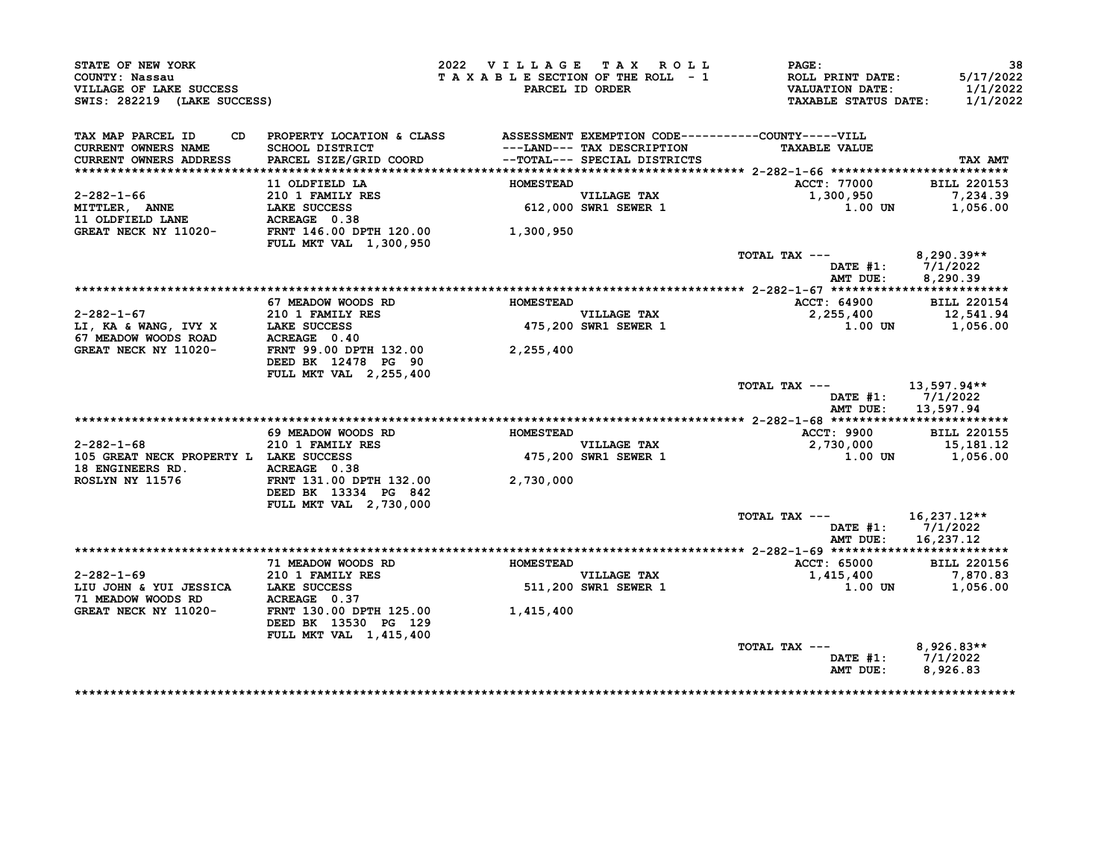| STATE OF NEW YORK<br>COUNTY: Nassau<br>VILLAGE OF LAKE SUCCESS<br>SWIS: 282219 (LAKE SUCCESS)                                                                                                                                                |                                                                                                    | 2022 VILLAGE TAX ROLL<br>TAXABLE SECTION OF THE ROLL - 1 | PARCEL ID ORDER                     | $\mathtt{PAGE}$ :<br>ROLL PRINT DATE:<br>VALUATION DATE:<br><b>TAXABLE STATUS DATE:</b> | 38<br>5/17/2022<br>1/1/2022<br>1/1/2022   |
|----------------------------------------------------------------------------------------------------------------------------------------------------------------------------------------------------------------------------------------------|----------------------------------------------------------------------------------------------------|----------------------------------------------------------|-------------------------------------|-----------------------------------------------------------------------------------------|-------------------------------------------|
| TAX MAP PARCEL ID<br><b>CURRENT OWNERS NAME</b>                                                                                                                                                                                              | CD PROPERTY LOCATION & CLASS ASSESSMENT EXEMPTION CODE----------COUNTY-----VILL<br>SCHOOL DISTRICT |                                                          | ---LAND--- TAX DESCRIPTION          | <b>TAXABLE VALUE</b>                                                                    |                                           |
| CURRENT OWNERS ADDRESS                                                                                                                                                                                                                       | PARCEL SIZE/GRID COORD                                                                             |                                                          | --TOTAL--- SPECIAL DISTRICTS        |                                                                                         | TAX AMT                                   |
|                                                                                                                                                                                                                                              |                                                                                                    |                                                          |                                     |                                                                                         |                                           |
|                                                                                                                                                                                                                                              | 11 OLDFIELD LA                                                                                     | <b>HOMESTEAD</b>                                         |                                     | ACCT: 77000                                                                             | <b>BILL 220153</b>                        |
| $2 - 282 - 1 - 66$<br>MITTLER, ANNE                                                                                                                                                                                                          | <b>210 1 FAMILY RES<br/>LAKE SUCCESS<br/>ACREAGE 0.38</b>                                          |                                                          | VILLAGE TAX<br>612,000 SWR1 SEWER 1 | 1,300,950<br>1.00 UN                                                                    | 7,234.39<br>1,056.00                      |
| 11 OLDFIELD LANE                                                                                                                                                                                                                             | <b>LAKE SUCCESS</b>                                                                                |                                                          |                                     |                                                                                         |                                           |
| GREAT NECK NY 11020- FRNT 146.00 DPTH 120.00                                                                                                                                                                                                 |                                                                                                    | 1,300,950                                                |                                     |                                                                                         |                                           |
|                                                                                                                                                                                                                                              | <b>FULL MKT VAL 1,300,950</b>                                                                      |                                                          |                                     |                                                                                         |                                           |
|                                                                                                                                                                                                                                              |                                                                                                    |                                                          |                                     | TOTAL TAX $---$ 8,290.39**                                                              |                                           |
|                                                                                                                                                                                                                                              |                                                                                                    |                                                          |                                     | DATE #1: 7/1/2022                                                                       | AMT DUE: 8,290.39                         |
|                                                                                                                                                                                                                                              |                                                                                                    |                                                          |                                     |                                                                                         |                                           |
|                                                                                                                                                                                                                                              | 67 MEADOW WOODS RD                                                                                 | <b>HOMESTEAD</b>                                         |                                     | ACCT: 64900                                                                             | <b>BILL 220154</b>                        |
|                                                                                                                                                                                                                                              | 210 1 FAMILY RES                                                                                   |                                                          | VILLAGE TAX<br>475,200 SWR1 SEWER 1 | 2,255,400                                                                               | 12,541.94                                 |
| $2-282-1-67$<br>LI, KA & WANG, IVY X<br>67 MEADOW WOODS ROAD<br>$2-282-1-67$<br>$5-282-1-67$<br>$5-282-1-67$<br>$5-282-1-67$<br>$6-282-1-67$<br>$7-282-1-67$<br>$7-282-1-67$<br>$7-282-1-67$<br>$7-282-1-67$<br>$7-282-1-67$<br>$7-282-1-67$ |                                                                                                    |                                                          |                                     | $1.00$ UN $1,056.00$                                                                    |                                           |
|                                                                                                                                                                                                                                              |                                                                                                    |                                                          |                                     |                                                                                         |                                           |
| GREAT NECK NY 11020-                                                                                                                                                                                                                         | FRNT 99.00 DPTH 132.00                                                                             | 2,255,400                                                |                                     |                                                                                         |                                           |
|                                                                                                                                                                                                                                              | DEED BK 12478 PG 90<br>FULL MKT VAL 2,255,400                                                      |                                                          |                                     |                                                                                         |                                           |
|                                                                                                                                                                                                                                              |                                                                                                    |                                                          |                                     | TOTAL TAX ---                                                                           | 13,597.94**                               |
|                                                                                                                                                                                                                                              |                                                                                                    |                                                          |                                     | AMT DUE:                                                                                | DATE $#1: 7/1/2022$<br>13,597.94          |
|                                                                                                                                                                                                                                              |                                                                                                    |                                                          |                                     |                                                                                         |                                           |
|                                                                                                                                                                                                                                              | 69 MEADOW WOODS RD                                                                                 | <b>HOMESTEAD</b>                                         |                                     | <b>ACCT: 9900</b>                                                                       | <b>BILL 220155</b>                        |
| 2-282-1-68                                                                                                                                                                                                                                   | 210 1 FAMILY RES                                                                                   |                                                          | <b>VILLAGE TAX</b>                  | 2,730,000                                                                               | 15,181.12                                 |
| 105 GREAT NECK PROPERTY L LAKE SUCCESS                                                                                                                                                                                                       |                                                                                                    |                                                          | 475,200 SWR1 SEWER 1                | $1.00$ UN $1,056.00$                                                                    |                                           |
| 18 ENGINEERS RD. ACREAGE 0.38                                                                                                                                                                                                                |                                                                                                    |                                                          |                                     |                                                                                         |                                           |
| <b>ROSLYN NY 11576</b>                                                                                                                                                                                                                       | FRNT 131.00 DPTH 132.00<br>DEED BK 13334 PG 842                                                    | 2,730,000                                                |                                     |                                                                                         |                                           |
|                                                                                                                                                                                                                                              | FULL MKT VAL 2,730,000                                                                             |                                                          |                                     |                                                                                         |                                           |
|                                                                                                                                                                                                                                              |                                                                                                    |                                                          |                                     | TOTAL TAX ---                                                                           | 16,237.12**                               |
|                                                                                                                                                                                                                                              |                                                                                                    |                                                          |                                     |                                                                                         | DATE $#1: 7/1/2022$<br>AMT DUE: 16,237.12 |
|                                                                                                                                                                                                                                              |                                                                                                    |                                                          |                                     |                                                                                         |                                           |
|                                                                                                                                                                                                                                              | 71 MEADOW WOODS RD                                                                                 | <b>HOMESTEAD</b>                                         |                                     | <b>ACCT: 65000</b>                                                                      | <b>BILL 220156</b>                        |
| 2-282-1-69 210 1 FAMILY RES                                                                                                                                                                                                                  |                                                                                                    |                                                          |                                     | 1,415,400 7,870.83                                                                      |                                           |
| LIU JOHN & YUI JESSICA LAKE SUCCESS                                                                                                                                                                                                          |                                                                                                    |                                                          | VILLAGE TAX<br>511,200 SWR1 SEWER 1 | 1.00 UN                                                                                 | 1,056.00                                  |
| 71 MEADOW WOODS RD ACREAGE 0.37<br>GREAT NECK NY 11020- FRNT 130.00 DPTH 125.00                                                                                                                                                              |                                                                                                    |                                                          |                                     |                                                                                         |                                           |
|                                                                                                                                                                                                                                              | DEED BK 13530 PG 129                                                                               | 1,415,400                                                |                                     |                                                                                         |                                           |
|                                                                                                                                                                                                                                              | FULL MKT VAL 1,415,400                                                                             |                                                          |                                     |                                                                                         |                                           |
|                                                                                                                                                                                                                                              |                                                                                                    |                                                          |                                     | TOTAL TAX ---                                                                           | $8.926.83**$                              |
|                                                                                                                                                                                                                                              |                                                                                                    |                                                          |                                     | DATE #1: 7/1/2022<br>AMT DUE:                                                           | 8,926.83                                  |
|                                                                                                                                                                                                                                              |                                                                                                    |                                                          |                                     |                                                                                         |                                           |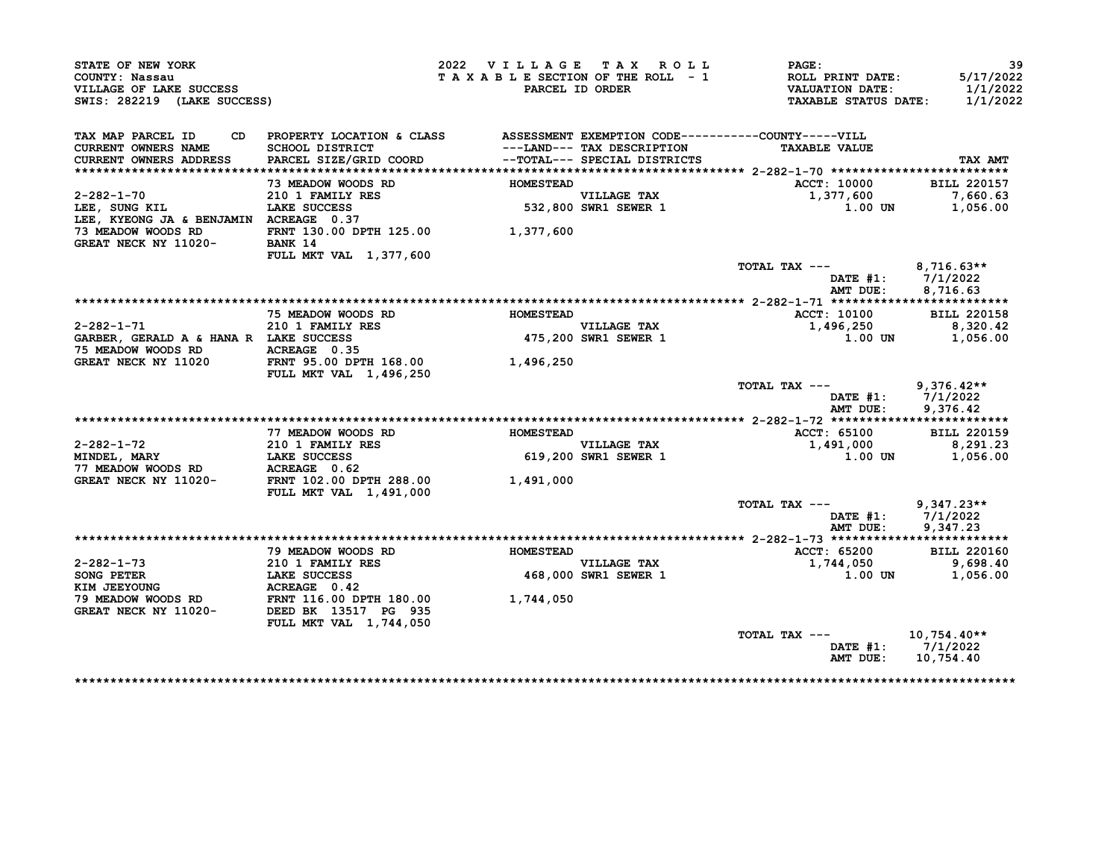| STATE OF NEW YORK<br>COUNTY: Nassau<br>VILLAGE OF LAKE SUCCESS<br>SWIS: 282219 (LAKE SUCCESS) |                                                                                                                              | 2022 VILLAGE TAX ROLL<br>TAXABLE SECTION OF THE ROLL - 1 | PARCEL ID ORDER                                                                            | PAGE:<br><b>ROLL PRINT DATE:</b><br><b>VALUATION DATE:</b><br><b>TAXABLE STATUS DATE:</b> | 39<br>5/17/2022<br>1/1/2022<br>1/1/2022 |
|-----------------------------------------------------------------------------------------------|------------------------------------------------------------------------------------------------------------------------------|----------------------------------------------------------|--------------------------------------------------------------------------------------------|-------------------------------------------------------------------------------------------|-----------------------------------------|
|                                                                                               |                                                                                                                              |                                                          |                                                                                            |                                                                                           |                                         |
| TAX MAP PARCEL ID<br>CURRENT OWNERS NAME<br>CURRENT OWNERS ADDRESS                            | CD PROPERTY LOCATION & CLASS ASSESSMENT EXEMPTION CODE----------COUNTY-----VILL<br>SCHOOL DISTRICT<br>PARCEL SIZE/GRID COORD |                                                          | ---LAND--- TAX DESCRIPTION<br>--TOTAL--- SPECIAL DISTRICTS<br>--TOTAL--- SPECIAL DISTRICTS | <b>TAXABLE VALUE</b>                                                                      | TAX AMT                                 |
|                                                                                               |                                                                                                                              |                                                          |                                                                                            |                                                                                           |                                         |
|                                                                                               | 73 MEADOW WOODS RD                                                                                                           | <b>HOMESTEAD</b>                                         |                                                                                            | ACCT: 10000                                                                               | <b>BILL 220157</b>                      |
| $2 - 282 - 1 - 70$<br>LEE, SUNG KIL                                                           | 210 1 FAMILY RES<br>LAKE SUCCESS                                                                                             |                                                          | VILLAGE TAX<br>532,800 SWR1 SEWER 1                                                        | 1,377,600<br>1.00 UN                                                                      | 7,660.63<br>1,056.00                    |
| LEE, KYEONG JA & BENJAMIN ACREAGE 0.37                                                        |                                                                                                                              |                                                          |                                                                                            |                                                                                           |                                         |
| 73 MEADOW WOODS RD                                                                            | FRNT 130.00 DPTH 125.00 1,377,600                                                                                            |                                                          |                                                                                            |                                                                                           |                                         |
| GREAT NECK NY 11020-                                                                          | BANK 14                                                                                                                      |                                                          |                                                                                            |                                                                                           |                                         |
|                                                                                               | FULL MKT VAL 1,377,600                                                                                                       |                                                          |                                                                                            |                                                                                           |                                         |
|                                                                                               |                                                                                                                              |                                                          |                                                                                            | TOTAL TAX $---$ 8,716.63**                                                                |                                         |
|                                                                                               |                                                                                                                              |                                                          |                                                                                            | DATE #1: 7/1/2022                                                                         |                                         |
|                                                                                               |                                                                                                                              |                                                          |                                                                                            | AMT DUE:                                                                                  | 8,716.63                                |
|                                                                                               |                                                                                                                              |                                                          |                                                                                            |                                                                                           |                                         |
|                                                                                               | 75 MEADOW WOODS RD                                                                                                           | <b>HOMESTEAD</b>                                         |                                                                                            | ACCT: 10100                                                                               | <b>BILL 220158</b>                      |
| $2 - 282 - 1 - 71$                                                                            | 210 1 FAMILY RES                                                                                                             |                                                          | <b>VILLAGE TAX</b>                                                                         | 1,496,250                                                                                 | 8,320.42                                |
| GARBER, GERALD A & HANA R LAKE SUCCESS                                                        |                                                                                                                              |                                                          | $475,200$ SWR1 SEWER 1                                                                     | 1.00 UN                                                                                   | 1,056.00                                |
| 75 MEADOW WOODS RD                                                                            | ACREAGE 0.35                                                                                                                 |                                                          |                                                                                            |                                                                                           |                                         |
| GREAT NECK NY 11020                                                                           | FRNT 95.00 DPTH 168.00                                                                                                       | 1,496,250                                                |                                                                                            |                                                                                           |                                         |
|                                                                                               | <b>FULL MKT VAL 1,496,250</b>                                                                                                |                                                          |                                                                                            | $TOTAL$ $TAX$ $---$                                                                       | $9,376.42**$                            |
|                                                                                               |                                                                                                                              |                                                          |                                                                                            | DATE $#1: 7/1/2022$                                                                       |                                         |
|                                                                                               |                                                                                                                              |                                                          |                                                                                            | AMT DUE:                                                                                  | 9,376.42                                |
|                                                                                               |                                                                                                                              |                                                          |                                                                                            |                                                                                           |                                         |
|                                                                                               | 77 MEADOW WOODS RD                                                                                                           | <b>HOMESTEAD</b>                                         |                                                                                            | ACCT: 65100                                                                               | <b>BILL 220159</b>                      |
| $2 - 282 - 1 - 72$                                                                            | <b>210 1 FAMILY RES</b>                                                                                                      | 619,200                                                  |                                                                                            | 1,491,000                                                                                 | 8,291.23                                |
| MINDEL, MARY                                                                                  | <b>LAKE SUCCESS</b>                                                                                                          |                                                          | VILLAGE TAX<br>619,200 SWR1 SEWER 1                                                        | 1.00 UN                                                                                   | 1,056.00                                |
| 77 MEADOW WOODS RD                                                                            | <b>ACREAGE 0.62<br/>FRNT 102.00 DPTH 288.00</b>                                                                              |                                                          |                                                                                            |                                                                                           |                                         |
| GREAT NECK NY 11020-                                                                          |                                                                                                                              | 1,491,000                                                |                                                                                            |                                                                                           |                                         |
|                                                                                               | FULL MKT VAL 1,491,000                                                                                                       |                                                          |                                                                                            |                                                                                           |                                         |
|                                                                                               |                                                                                                                              |                                                          |                                                                                            | TOTAL TAX ---                                                                             | $9,347.23**$                            |
|                                                                                               |                                                                                                                              |                                                          |                                                                                            | DATE $#1: 7/1/2022$                                                                       |                                         |
|                                                                                               |                                                                                                                              |                                                          |                                                                                            | AMT DUE:                                                                                  | 9,347.23                                |
|                                                                                               | 79 MEADOW WOODS RD                                                                                                           | <b>HOMESTEAD</b>                                         |                                                                                            | ACCT: 65200                                                                               | <b>BILL 220160</b>                      |
| $2 - 282 - 1 - 73$                                                                            | 210 1 FAMILY RES                                                                                                             |                                                          |                                                                                            | 1,744,050                                                                                 | 9,698.40                                |
| <b>SONG PETER</b>                                                                             | <b>LAKE SUCCESS</b>                                                                                                          |                                                          | VILLAGE TAX<br>468,000 SWR1 SEWER 1                                                        | 1.00 UN                                                                                   | 1,056.00                                |
| KIM JEEYOUNG                                                                                  |                                                                                                                              |                                                          |                                                                                            |                                                                                           |                                         |
| 79 MEADOW WOODS RD                                                                            | <b>ACREAGE</b> 0.42<br>FRNT 116.00 DPTH 180.00                                                                               | 1,744,050                                                |                                                                                            |                                                                                           |                                         |
| GREAT NECK NY 11020-                                                                          | DEED BK 13517 PG 935                                                                                                         |                                                          |                                                                                            |                                                                                           |                                         |
|                                                                                               | FULL MKT VAL 1,744,050                                                                                                       |                                                          |                                                                                            |                                                                                           |                                         |
|                                                                                               |                                                                                                                              |                                                          |                                                                                            | TOTAL TAX ---                                                                             | $10,754.40**$                           |
|                                                                                               |                                                                                                                              |                                                          |                                                                                            | DATE #1: 7/1/2022                                                                         |                                         |
|                                                                                               |                                                                                                                              |                                                          |                                                                                            | AMT DUE:                                                                                  | 10,754.40                               |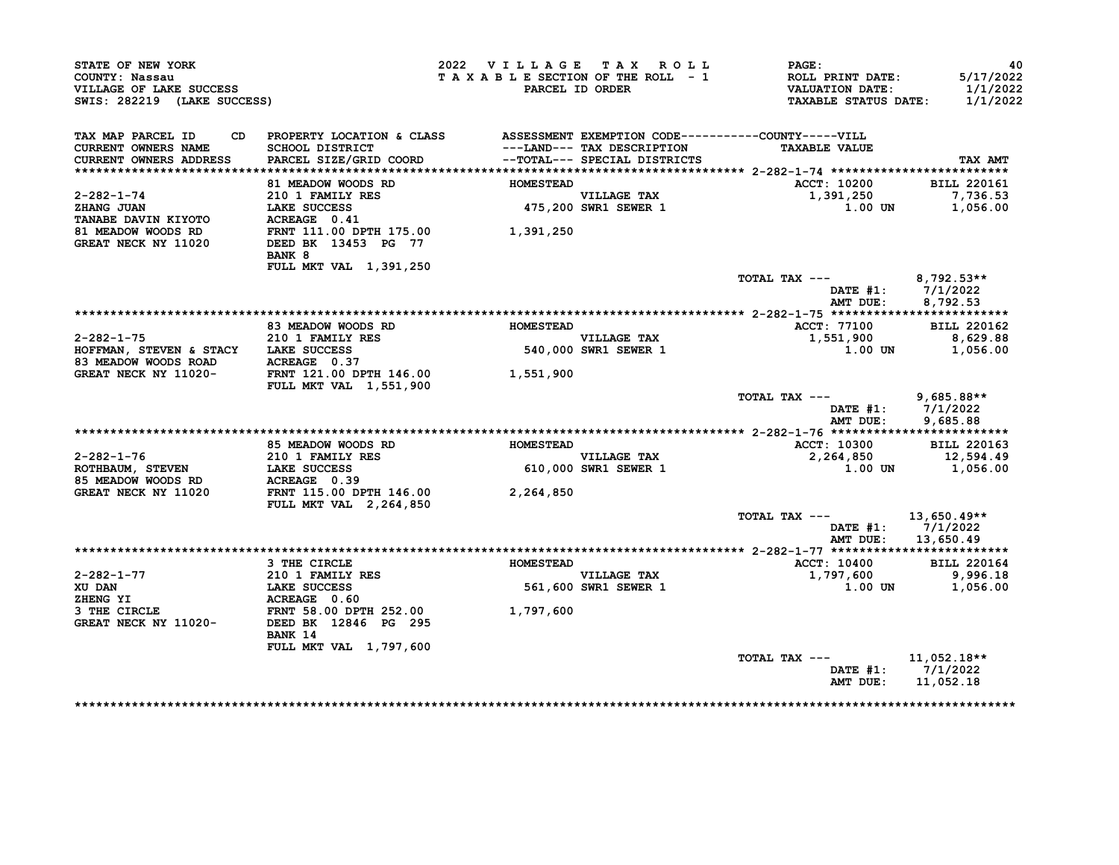| STATE OF NEW YORK<br>COUNTY: Nassau<br>VILLAGE OF LAKE SUCCESS<br>SWIS: 282219 (LAKE SUCCESS)                                                                                                                                             |                                                                                                                                                                                        | 2022 VILLAGE TAX ROLL<br>TAXABLE SECTION OF THE ROLL - 1 | PARCEL ID ORDER                                    | $\mathtt{PAGE}$ :<br><b>ROLL PRINT DATE:<br/>VALUATION DATE:<br/>TAXABLE STATUS DATE:</b> | -40<br>5/17/2022<br>1/1/2022<br>1/1/2022 |
|-------------------------------------------------------------------------------------------------------------------------------------------------------------------------------------------------------------------------------------------|----------------------------------------------------------------------------------------------------------------------------------------------------------------------------------------|----------------------------------------------------------|----------------------------------------------------|-------------------------------------------------------------------------------------------|------------------------------------------|
| TAX MAP PARCEL ID<br>CURRENT OWNERS NAME<br><b>CURRENT OWNERS ADDRESS</b>                                                                                                                                                                 | CD PROPERTY LOCATION & CLASS ASSESSMENT EXEMPTION CODE----------COUNTY-----VILL<br>SCHOOL DISTRICT<br>PARCEL SIZE/GRID COORD<br>PARCEL SIZE/GRID COORD<br>--TOTAL--- SPECIAL DISTRICTS |                                                          |                                                    | <b>TAXABLE VALUE</b>                                                                      | TAX AMT                                  |
|                                                                                                                                                                                                                                           |                                                                                                                                                                                        |                                                          |                                                    |                                                                                           |                                          |
|                                                                                                                                                                                                                                           | 81 MEADOW WOODS RD                                                                                                                                                                     | <b>HOMESTEAD</b>                                         |                                                    | <b>ACCT: 10200</b>                                                                        | <b>BILL 220161</b>                       |
| 2-282-1-74<br>ZHANG JUAN                                                                                                                                                                                                                  | 210 1 FAMILY RES<br>LAKE SUCCESS                                                                                                                                                       | VILLAGE TAX<br>475,200 SWR1 SEWER 1                      |                                                    | 1,391,250<br>$1.00$ UN $1,056.00$                                                         | 7,736.53                                 |
| TANABE DAVIN KIYOTO<br>81 MEADOW WOODS RD FRNT 111.00 DPTH 175.00 1,391,250<br>GREAT NECK NY 11020 DEED BK 13453 PG 77                                                                                                                    | BANK 8                                                                                                                                                                                 |                                                          |                                                    |                                                                                           |                                          |
|                                                                                                                                                                                                                                           | FULL MKT VAL 1,391,250                                                                                                                                                                 |                                                          |                                                    | TOTAL TAX --- 8,792.53**                                                                  | DATE #1: 7/1/2022<br>AMT DUE: 8,792.53   |
|                                                                                                                                                                                                                                           |                                                                                                                                                                                        |                                                          |                                                    |                                                                                           |                                          |
|                                                                                                                                                                                                                                           | 83 MEADOW WOODS RD                                                                                                                                                                     | <b>HOMESTEAD</b>                                         |                                                    | <b>ACCT: 77100</b>                                                                        | <b>BILL 220162</b>                       |
| $2 - 282 - 1 - 75$                                                                                                                                                                                                                        |                                                                                                                                                                                        |                                                          |                                                    |                                                                                           |                                          |
| HOFFMAN, STEVEN & STACY LAKE SUCCESS                                                                                                                                                                                                      | <b>210 1 FAMILY RES<br/>LAKE SUCCESS<br/>ACREAGE 0.37</b>                                                                                                                              |                                                          | VILLAGE TAX<br>540,000 SWR1 SEWER 1                | 1,551,900 8,629.88<br>1.00 UN 1,056.00                                                    |                                          |
| 83 MEADOW WOODS ROAD<br>GREAT NECK NY 11020-<br>FREAT NECK NY 11020-<br>FREAT NECK NY 11020-<br>FREAT 1.00 DPTH 146.00<br>1,551,900                                                                                                       | <b>FULL MKT VAL 1,551,900</b>                                                                                                                                                          |                                                          |                                                    |                                                                                           |                                          |
|                                                                                                                                                                                                                                           |                                                                                                                                                                                        |                                                          |                                                    | TOTAL TAX $---$ 9,685.88**                                                                | DATE #1: 7/1/2022<br>AMT DUE: 9,685.88   |
|                                                                                                                                                                                                                                           |                                                                                                                                                                                        |                                                          |                                                    |                                                                                           |                                          |
|                                                                                                                                                                                                                                           | 85 MEADOW WOODS RD BOMESTEAD                                                                                                                                                           |                                                          |                                                    | ACCT: 10300 BILL 220163                                                                   |                                          |
|                                                                                                                                                                                                                                           |                                                                                                                                                                                        |                                                          |                                                    | 2, 264, 850 12, 594.49                                                                    |                                          |
| 2-282-1-76<br>ROTHBAUM, STEVEN<br>ROTHBAUM, STEVEN<br>210 1 FAMILY RES  210 1 FAMILY RES  210 1 FAMILY RES  210 1 FAMILY RES  210 1 FAMILY RES  210 1 FAMILY RES  2264,850<br>2264,850<br>2264,850<br>2264,850                            |                                                                                                                                                                                        |                                                          |                                                    |                                                                                           | $1.00$ UN $1,056.00$                     |
|                                                                                                                                                                                                                                           | <b>FULL MKT VAL 2,264,850</b>                                                                                                                                                          |                                                          |                                                    |                                                                                           |                                          |
|                                                                                                                                                                                                                                           |                                                                                                                                                                                        |                                                          |                                                    | TOTAL TAX --- $13,650.49**$                                                               | DATE #1: 7/1/2022                        |
|                                                                                                                                                                                                                                           |                                                                                                                                                                                        |                                                          |                                                    |                                                                                           | AMT DUE: 13,650.49                       |
|                                                                                                                                                                                                                                           |                                                                                                                                                                                        |                                                          |                                                    |                                                                                           |                                          |
|                                                                                                                                                                                                                                           | 3 THE CIRCLE                                                                                                                                                                           | <b>HOMESTEAD</b>                                         |                                                    | ACCT: 10400 BILL 220164                                                                   |                                          |
|                                                                                                                                                                                                                                           |                                                                                                                                                                                        |                                                          | VILLAGE TAX<br>VILLAGE TAX<br>561,600 SWR1 SEWER 1 | $1,797,600$ $9,996.18$                                                                    |                                          |
|                                                                                                                                                                                                                                           |                                                                                                                                                                                        |                                                          |                                                    |                                                                                           | 1.00 UN 1,056.00                         |
|                                                                                                                                                                                                                                           |                                                                                                                                                                                        |                                                          |                                                    |                                                                                           |                                          |
| 2-282-1-77<br>XU DAN 210 1 FAMILY RES<br>XU DAN LAKE SUCCESS 561,600<br>2HENG YI RESPURE 0.60<br>3 THE CIRCLE FRNT 58.00 DPTH 252.00<br>GREAT NECK NY 11020- DEED BK 12846 PG 295<br>THE CIRCLE CREAT NECK NY 11020- DEED BK 12846 PG 295 | BANK 14                                                                                                                                                                                |                                                          |                                                    |                                                                                           |                                          |
|                                                                                                                                                                                                                                           | FULL MKT VAL 1,797,600                                                                                                                                                                 |                                                          |                                                    |                                                                                           |                                          |
|                                                                                                                                                                                                                                           |                                                                                                                                                                                        |                                                          |                                                    | TOTAL TAX --- 11,052.18**                                                                 |                                          |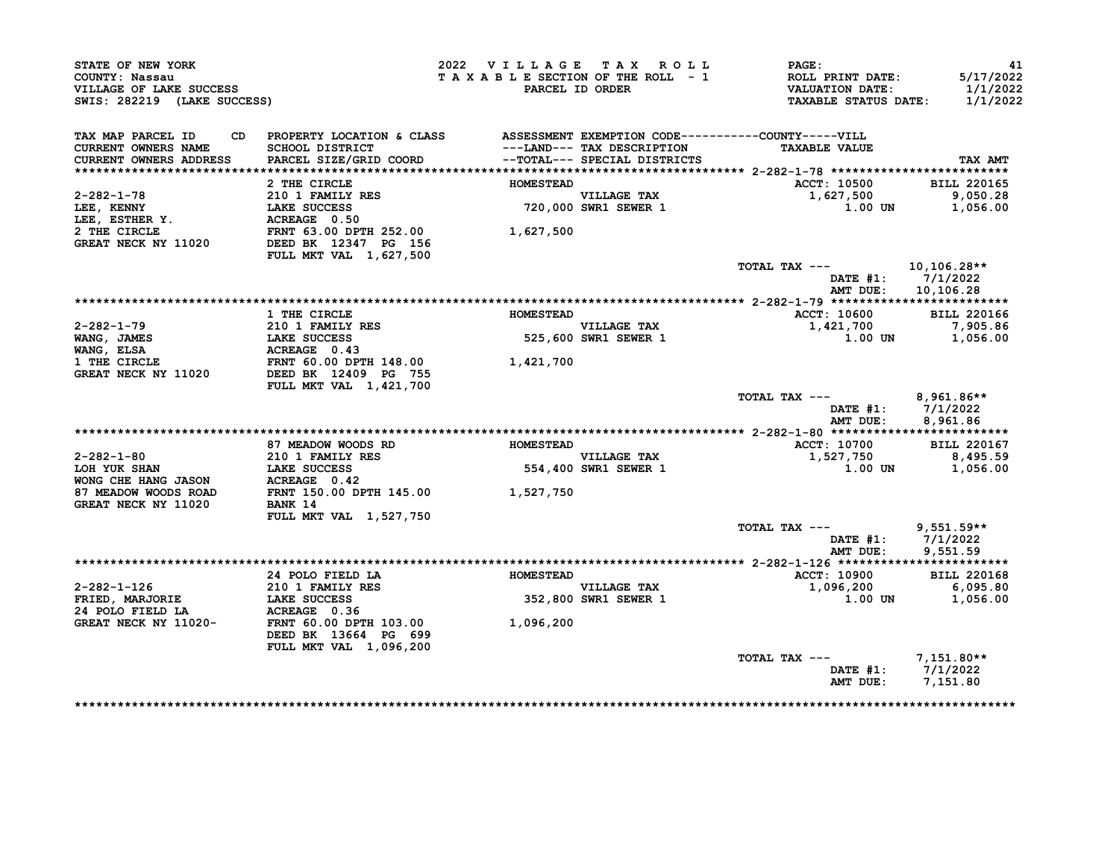| STATE OF NEW YORK<br>COUNTY: Nassau<br>VILLAGE OF LAKE SUCCESS<br>SWIS: 282219 (LAKE SUCCESS)                                                                                    |                                                                                                                                    | 2022 VILLAGE TAX ROLL<br>TAXABLE SECTION OF THE ROLL - 1 | PARCEL ID ORDER                     | <b>PAGE:</b><br>ROLL PRINT DATE:<br><b>VALUATION DATE:</b><br><b>TAXABLE STATUS DATE:</b> | 41<br>5/17/2022<br>1/1/2022<br>1/1/2022 |
|----------------------------------------------------------------------------------------------------------------------------------------------------------------------------------|------------------------------------------------------------------------------------------------------------------------------------|----------------------------------------------------------|-------------------------------------|-------------------------------------------------------------------------------------------|-----------------------------------------|
| TAX MAP PARCEL ID<br><b>CURRENT OWNERS NAME</b>                                                                                                                                  | CD PROPERTY LOCATION & CLASS ASSESSMENT EXEMPTION CODE----------COUNTY-----VILL<br>SCHOOL DISTRICT                                 |                                                          | ---LAND--- TAX DESCRIPTION          | <b>TAXABLE VALUE</b>                                                                      |                                         |
| <b>CURRENT OWNERS ADDRESS</b>                                                                                                                                                    | PARCEL SIZE/GRID COORD                                                                                                             |                                                          | --TOTAL--- SPECIAL DISTRICTS        |                                                                                           | TAX AMT                                 |
|                                                                                                                                                                                  |                                                                                                                                    |                                                          |                                     |                                                                                           |                                         |
|                                                                                                                                                                                  | 2 THE CIRCLE                                                                                                                       | <b>HOMESTEAD</b>                                         |                                     | ACCT: 10500                                                                               | <b>BILL 220165</b>                      |
|                                                                                                                                                                                  |                                                                                                                                    |                                                          | VILLAGE TAX<br>720,000 SWR1 SEWER 1 | 1,627,500                                                                                 | 9,050.28                                |
|                                                                                                                                                                                  | 210 1 FAMILY RES<br>LAKE SUCCESS<br>ACREAGE 0.50<br>TRIVE                                                                          |                                                          |                                     | 1.00 UN                                                                                   | 1,056.00                                |
| 2-282-1-78<br>LEE, KENNY LAKE SUCCED<br>LEE, ESTHER Y. ACREAGE 0.50<br>2 THE CIRCLE FRNT 63.00 DPTH 252.00<br>----- NECK NY 11020 DEED BK 12347 PG 156<br>FULL MKT VAL 1,627,500 |                                                                                                                                    | 1,627,500                                                |                                     |                                                                                           |                                         |
|                                                                                                                                                                                  |                                                                                                                                    |                                                          |                                     |                                                                                           |                                         |
|                                                                                                                                                                                  |                                                                                                                                    |                                                          |                                     |                                                                                           |                                         |
|                                                                                                                                                                                  |                                                                                                                                    |                                                          |                                     | TOTAL TAX ---                                                                             | 10,106.28**                             |
|                                                                                                                                                                                  |                                                                                                                                    |                                                          |                                     | AMT DUE:                                                                                  | DATE #1: 7/1/2022<br>10,106.28          |
|                                                                                                                                                                                  |                                                                                                                                    |                                                          |                                     |                                                                                           |                                         |
|                                                                                                                                                                                  | 1 THE CIRCLE                                                                                                                       | <b>HOMESTEAD</b>                                         |                                     | <b>ACCT: 10600</b>                                                                        | <b>BILL 220166</b>                      |
| $2 - 282 - 1 - 79$                                                                                                                                                               |                                                                                                                                    |                                                          | VILLAGE TAX<br>525,600 SWR1 SEWER 1 | 1,421,700                                                                                 | 7,905.86                                |
| WANG, JAMES                                                                                                                                                                      |                                                                                                                                    |                                                          |                                     | 1.00 UN                                                                                   | 1,056.00                                |
| WANG, ELSA                                                                                                                                                                       |                                                                                                                                    |                                                          |                                     |                                                                                           |                                         |
| 1 THE CIRCLE<br>GREAT NECK NY 11020                                                                                                                                              | 210 1 FAMILY RES<br>1210 1 FAMILY RES<br>12 DANE SUCCESS<br>ACREAGE 0.43<br>FRNT 60.00 DFTH 148.00<br>2 11020 DEED BK 12409 PG 755 | 1,421,700                                                |                                     |                                                                                           |                                         |
|                                                                                                                                                                                  | FULL MKT VAL 1,421,700                                                                                                             |                                                          |                                     |                                                                                           |                                         |
|                                                                                                                                                                                  |                                                                                                                                    |                                                          |                                     | TOTAL TAX $---$ 8,961.86**<br>AMT DUE:                                                    | DATE $#1: 7/1/2022$<br>8,961.86         |
|                                                                                                                                                                                  |                                                                                                                                    |                                                          |                                     |                                                                                           |                                         |
|                                                                                                                                                                                  | 87 MEADOW WOODS RD                                                                                                                 | <b>HOMESTEAD</b>                                         |                                     | <b>ACCT: 10700</b>                                                                        | <b>BILL 220167</b>                      |
| 2-282-1-80                                                                                                                                                                       | 210 1 FAMILY RES                                                                                                                   |                                                          |                                     | 1,527,750                                                                                 | 8,495.59                                |
|                                                                                                                                                                                  |                                                                                                                                    |                                                          | VILLAGE TAX<br>554,400 SWR1 SEWER 1 | $1.00$ UN                                                                                 | 1,056.00                                |
|                                                                                                                                                                                  |                                                                                                                                    |                                                          |                                     |                                                                                           |                                         |
| 87 MEADOW WOODS ROAD<br><b>GREAT NECK NY 11020</b>                                                                                                                               | FRNT 150.00 DPTH 145.00 1,527,750<br>BANK 14                                                                                       |                                                          |                                     |                                                                                           |                                         |
|                                                                                                                                                                                  | <b>FULL MKT VAL 1,527,750</b>                                                                                                      |                                                          |                                     |                                                                                           |                                         |
|                                                                                                                                                                                  |                                                                                                                                    |                                                          |                                     | TOTAL TAX ---                                                                             | $9,551.59**$                            |
|                                                                                                                                                                                  |                                                                                                                                    |                                                          |                                     |                                                                                           | DATE #1: 7/1/2022                       |
|                                                                                                                                                                                  |                                                                                                                                    |                                                          |                                     | AMT DUE:                                                                                  | 9,551.59                                |
|                                                                                                                                                                                  | 24 POLO FIELD LA <b>HOMESTEAD</b>                                                                                                  |                                                          |                                     | <b>ACCT: 10900</b>                                                                        | <b>BILL 220168</b>                      |
|                                                                                                                                                                                  |                                                                                                                                    |                                                          |                                     | 1,096,200                                                                                 | 6,095.80                                |
|                                                                                                                                                                                  |                                                                                                                                    |                                                          | VILLAGE TAX<br>352,800 SWR1 SEWER 1 |                                                                                           | 1.00 UN 1,056.00                        |
| 2-282-1-126 210 1 FAMILY RES<br>FRIED, MARJORIE LAKE SUCCESS<br>24 POLO FIELD LA ACREAGE 0.36<br>GREAT NECK NY 11020-                                                            |                                                                                                                                    |                                                          |                                     |                                                                                           |                                         |
| GREAT NECK NY 11020-                                                                                                                                                             | FRNT 60.00 DPTH 103.00<br>DEED BK 13664 PG 699                                                                                     | 1,096,200                                                |                                     |                                                                                           |                                         |
|                                                                                                                                                                                  | FULL MKT VAL 1,096,200                                                                                                             |                                                          |                                     |                                                                                           |                                         |
|                                                                                                                                                                                  |                                                                                                                                    |                                                          |                                     | TOTAL TAX $---$ 7,151.80**                                                                | DATE #1: 7/1/2022                       |
|                                                                                                                                                                                  |                                                                                                                                    |                                                          |                                     |                                                                                           | AMT DUE: 7,151.80                       |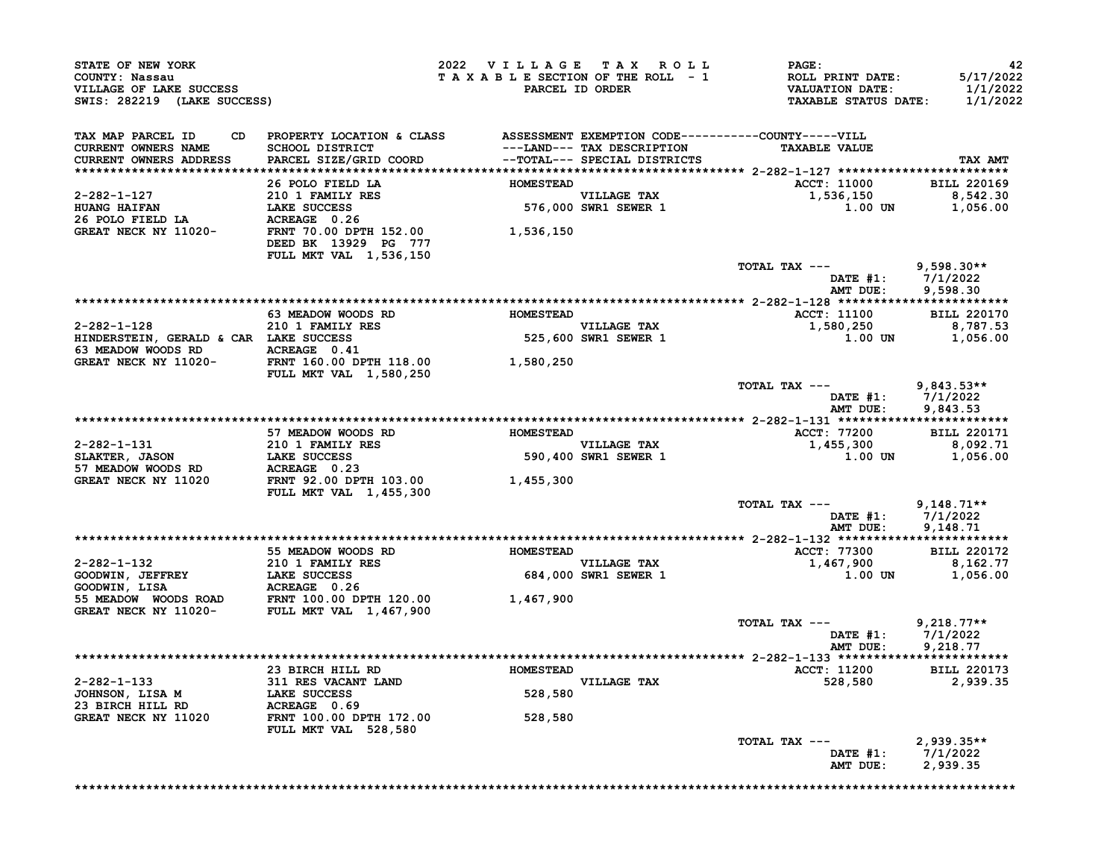| STATE OF NEW YORK<br>COUNTY: Nassau<br>VILLAGE OF LAKE SUCCESS<br>SWIS: 282219 (LAKE SUCCESS)                                                                                                                               |                                                                                 | 2022 VILLAGE TAX ROLL |                                     | <b>PAGE :</b><br>TAXABLE SECTION OF THE ROLL - 1 ROLL PRINT DATE:<br>PARCEL ID ORDER VALUATION DATE:<br>TAXABLE STATUS DATE: | 42<br>5/17/2022<br>1/1/2022<br>1/1/2022 |
|-----------------------------------------------------------------------------------------------------------------------------------------------------------------------------------------------------------------------------|---------------------------------------------------------------------------------|-----------------------|-------------------------------------|------------------------------------------------------------------------------------------------------------------------------|-----------------------------------------|
| TAX MAP PARCEL ID<br>CURRENT OWNERS NAME<br>CURRENT OWNERS ADDRESS                                                                                                                                                          | CD PROPERTY LOCATION & CLASS ASSESSMENT EXEMPTION CODE----------COUNTY-----VILL |                       |                                     | <b>TAXABLE VALUE</b>                                                                                                         | TAX AMT                                 |
|                                                                                                                                                                                                                             | 26 POLO FIELD LA <b>HOMESTEAD</b>                                               |                       |                                     | ACCT: 11000 BILL 220169                                                                                                      |                                         |
|                                                                                                                                                                                                                             |                                                                                 |                       |                                     |                                                                                                                              |                                         |
|                                                                                                                                                                                                                             |                                                                                 |                       |                                     | 1,536,150 8,542.30<br>1.00 UN 1,056.00                                                                                       |                                         |
| 2-282-1-127<br>HUANG HAIFAN<br>200 1 FAMILY RES<br>26 POLO FIELD LA ACREAGE 0.26<br>GREAT NECK NY 11020-<br>DEED BK 13929 PG 777<br>200 DEEP BK 13929 PG 777<br>200 1,536,150                                               | FULL MKT VAL 1,536,150                                                          |                       |                                     |                                                                                                                              |                                         |
|                                                                                                                                                                                                                             |                                                                                 |                       |                                     | TOTAL TAX ---<br>DATE #1: 7/1/2022<br>AMT DUE: 9,598.30                                                                      | $9,598.30**$                            |
|                                                                                                                                                                                                                             |                                                                                 |                       |                                     |                                                                                                                              |                                         |
| 2-282-1-128                                                                                                                                                                                                                 | 63 MEADOW WOODS RD MOMESTEAD<br><b>210 1 FAMILY RES</b>                         |                       |                                     | <b>ACCT: 11100</b>                                                                                                           | <b>BILL 220170</b>                      |
| 2-262-1-120<br>HIMDERSTEIN, GERALD & CAR LAKE SUCCESS 525,600<br>63 MEADOW WOODS RD ACREAGE 0.41<br>GREAT NECK NY 11020-<br>FRNT 160.00 DPTH 118.00 1,580,250<br>FULL MKT VAL 1,580,250                                     |                                                                                 |                       | VILLAGE TAX<br>525,600 SWR1 SEWER 1 | 1,580,250 8,787.53<br>1.00 UN 1,056.00                                                                                       |                                         |
|                                                                                                                                                                                                                             |                                                                                 |                       |                                     |                                                                                                                              |                                         |
|                                                                                                                                                                                                                             |                                                                                 |                       |                                     | TOTAL TAX --- 9,843.53**                                                                                                     |                                         |
|                                                                                                                                                                                                                             |                                                                                 |                       |                                     | DATE #1: 7/1/2022<br>AMT DUE: 9,843.53                                                                                       |                                         |
|                                                                                                                                                                                                                             | 57 MEADOW WOODS RD MOMESTEAD                                                    |                       |                                     | <b>ACCT: 77200</b>                                                                                                           | <b>BILL 220171</b>                      |
|                                                                                                                                                                                                                             |                                                                                 |                       | VILLAGE TAX<br>590,400 SWR1 SEWER 1 | $1,455,300$<br>1.00 UN 1,056.00                                                                                              |                                         |
| 2-282-1-131<br>SLAKTER, JASON<br>57 MEADOW WOODS RD<br>GREAT NECK NY 11020<br>FRAME SUCCESS<br>FRAME 92.00 DPTH 103.00<br>FULL MKT VAL 1,455,300                                                                            |                                                                                 | 1,455,300             |                                     |                                                                                                                              |                                         |
|                                                                                                                                                                                                                             |                                                                                 |                       |                                     | TOTAL TAX ---<br>DATE #1: 7/1/2022                                                                                           | $9,148.71**$                            |
|                                                                                                                                                                                                                             |                                                                                 |                       |                                     | AMT DUE: 9,148.71                                                                                                            |                                         |
|                                                                                                                                                                                                                             | 55 MEADOW WOODS RD BOMESTEAD                                                    |                       |                                     | <b>ACCT: 77300</b>                                                                                                           | <b>BILL 220172</b>                      |
|                                                                                                                                                                                                                             |                                                                                 |                       | VILLAGE TAX<br>684,000 SWR1 SEWER 1 | $1,467,900$<br>1,467,900<br>1.00 UN 1,056.00                                                                                 |                                         |
| 2-282-1-132<br>COODWIN, JEFFREY<br>COODWIN, LISA 210 1 FAMILY RES<br>COODWIN, LISA ACREAGE 0.26<br>55 MEADOW WOODS ROAD<br>GREAT NECK NY 11020-<br>FULL MKT VAL 1,467,900<br>CREAT NECK NY 11020-<br>FULL MKT VAL 1,467,900 |                                                                                 |                       |                                     |                                                                                                                              |                                         |
|                                                                                                                                                                                                                             |                                                                                 |                       |                                     | TOTAL TAX ---<br>DATE #1: 7/1/2022<br>AMT DUE: 9,218.77                                                                      | $9,218.77**$                            |
|                                                                                                                                                                                                                             |                                                                                 |                       |                                     |                                                                                                                              |                                         |
|                                                                                                                                                                                                                             | 23 BIRCH HILL RD MOMESTEAD                                                      |                       |                                     | ACCT: 11200 BILL 220173                                                                                                      |                                         |
|                                                                                                                                                                                                                             |                                                                                 |                       | VILLAGE TAX<br>528,580              | 528,580                                                                                                                      | 2,939.35                                |
| 2-282-1-133<br>JOHNSON, LISA M<br>23 BIRCH HILL RD<br>311 RES VACANT LAND<br>23 BIRCH HILL RD<br>ACREAGE 0.69<br>GREAT NECK NY 11020<br>TRINT 100.00 DPTH 172.00<br>TRINT 100.00 DPTH 172.00                                | <b>FULL MKT VAL 528,580</b>                                                     | 528,580               |                                     |                                                                                                                              |                                         |
|                                                                                                                                                                                                                             |                                                                                 |                       |                                     | TOTAL TAX ---                                                                                                                |                                         |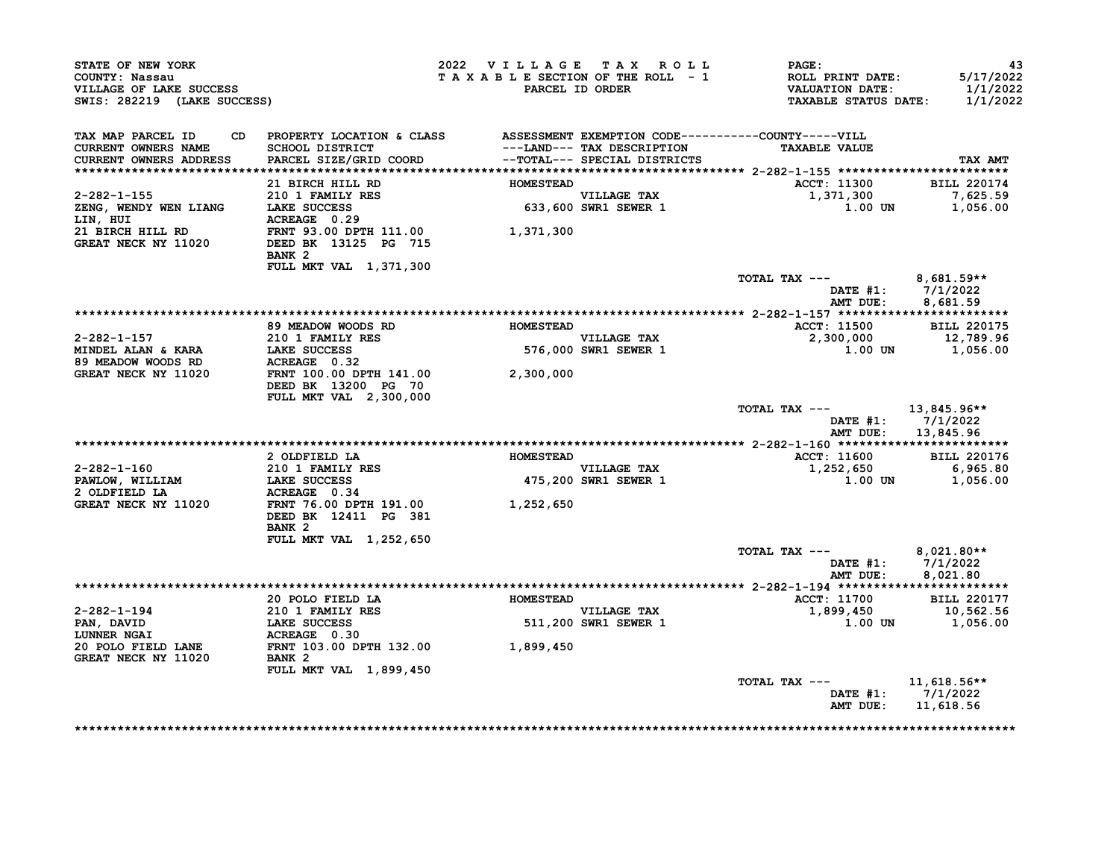| WILLIAGE OF LAKE SUCCESS<br>SWIS: 282219 (LAKE SUCCESS)<br>AX MAP TERRE                         |                                                                                                         | 2022 VILLAGE TAX ROLL<br>TAXABLE SECTION OF THE ROLL - 1 | PARCEL ID ORDER                     | $\mathtt{PAGE}$ :<br>ROLL PRINT DATE:<br>VALUATION DATE:<br><b>TAXABLE STATUS DATE:</b> | 43<br>5/17/2022<br>1/1/2022<br>1/1/2022           |
|-------------------------------------------------------------------------------------------------|---------------------------------------------------------------------------------------------------------|----------------------------------------------------------|-------------------------------------|-----------------------------------------------------------------------------------------|---------------------------------------------------|
| TAX MAP PARCEL ID<br>CURRENT OWNERS NAME<br>CURRENT OWNERS ADDRESS                              | CD PROPERTY LOCATION & CLASS ASSESSMENT EXEMPTION CODE----------COUNTY-----VILL                         |                                                          | ---LAND--- TAX DESCRIPTION          | <b>TAXABLE VALUE</b>                                                                    | TAX AMT                                           |
|                                                                                                 | 21 BIRCH HILL RD                                                                                        | <b>HOMESTEAD</b>                                         |                                     | <b>ACCT: 11300</b>                                                                      | <b>BILL 220174</b>                                |
| 2-282-1-155<br>ZENG, WENDY WEN LIANG<br>CENG, WENDY WEN LIANG<br>ACREAGE 0.29<br>CALCREAGE 0.29 |                                                                                                         |                                                          | VILLAGE TAX<br>633,600 SWR1 SEWER 1 | 1,371,300                                                                               | 7,625.59<br>1.00 UN 1,056.00                      |
| LIN, HUI<br>21 BIRCH HILL RD<br><b>GREAT NECK NY 11020</b>                                      | FRNT 93.00 DPTH 111.00 1,371,300<br>DEED BK 13125 PG 715<br>BANK <sub>2</sub><br>FULL MKT VAL 1,371,300 |                                                          |                                     |                                                                                         |                                                   |
|                                                                                                 |                                                                                                         |                                                          |                                     | TOTAL TAX --- $8,681.59**$                                                              | DATE #1: $7/1/2022$<br>AMT DUE: 8,681.59          |
|                                                                                                 |                                                                                                         |                                                          |                                     |                                                                                         |                                                   |
|                                                                                                 |                                                                                                         | <b>HOMESTEAD</b>                                         |                                     | <b>ACCT: 11500</b>                                                                      | <b>BILL 220175</b>                                |
| 2-282-1-157                                                                                     |                                                                                                         |                                                          | <b>VILLAGE TAX</b>                  | 2,300,000 12,789.96                                                                     |                                                   |
| MINDEL ALAN & KARA<br>89 MEADOW WOODS RD                                                        | meaDOW WOODS RD<br>210 1 FAMILY RES<br>LAKE SUCCESS<br>ACREAGE 0.32<br>FRNT 100 00 process              |                                                          | VILLAGE TAX<br>576,000 SWR1 SEWER 1 | 1.00 UN                                                                                 | 1,056.00                                          |
| GREAT NECK NY 11020                                                                             | FRNT 100.00 DPTH 141.00 2,300,000<br>DEED BK 13200 PG 70<br><b>FULL MKT VAL 2,300,000</b>               |                                                          |                                     |                                                                                         |                                                   |
|                                                                                                 |                                                                                                         |                                                          |                                     | TOTAL TAX --- 13,845.96**                                                               | DATE #1: 7/1/2022                                 |
|                                                                                                 |                                                                                                         |                                                          |                                     |                                                                                         | AMT DUE: 13,845.96                                |
|                                                                                                 | 2 OLDFIELD LA                                                                                           | <b>HOMESTEAD</b>                                         |                                     | ACCT: 11600 BILL 220176                                                                 |                                                   |
| 2-282-1-160                                                                                     | 210 1 FAMILY RES<br>LAKE SUCCESS                                                                        |                                                          | VILLAGE TAX<br>475,200 SWR1 SEWER 1 | 1,252,650 6,965.80<br>1.00 UN 1,056.00                                                  |                                                   |
| PAWLOW, WILLIAM<br>2 OLDFIELD LA                                                                | ACREAGE 0.34                                                                                            |                                                          |                                     |                                                                                         |                                                   |
| GREAT NECK NY 11020                                                                             | FRNT 76.00 DPTH 191.00 1,252,650<br>DEED BK 12411 PG 381<br>BANK <sub>2</sub>                           |                                                          |                                     |                                                                                         |                                                   |
|                                                                                                 | FULL MKT VAL 1,252,650                                                                                  |                                                          |                                     |                                                                                         |                                                   |
|                                                                                                 |                                                                                                         |                                                          |                                     | TOTAL TAX ---<br>AMT DUE:                                                               | $8,021.80**$<br>DATE #1: 7/1/2022<br>8,021.80     |
|                                                                                                 |                                                                                                         |                                                          |                                     |                                                                                         |                                                   |
|                                                                                                 | 20 POLO FIELD LA <b>MESTEAD</b>                                                                         |                                                          |                                     | ACCT: 11700 BILL 220177                                                                 |                                                   |
|                                                                                                 |                                                                                                         |                                                          |                                     | $1,899,450$<br>1,899,450<br>1.00 UN 1,056.00                                            |                                                   |
| 2-282-1-194<br>PAN, DAVID<br>LUNNER NGAI                                                        | 210 1 FAMILY RES<br>LAKE SUCCESS 511,200 SWR1 SEWER 1<br>ACREAGE 0.30                                   |                                                          |                                     |                                                                                         |                                                   |
| 20 POLO FIELD LANE FRNT 103.00 DPTH 132.00 1,899,450<br>GREAT NECK NY 11020 BANK 2              |                                                                                                         |                                                          |                                     |                                                                                         |                                                   |
|                                                                                                 | FULL MKT VAL 1,899,450                                                                                  |                                                          |                                     |                                                                                         |                                                   |
|                                                                                                 |                                                                                                         |                                                          |                                     | TOTAL TAX ---<br>AMT DUE:                                                               | $11,618.56**$<br>DATE $#1: 7/1/2022$<br>11,618.56 |

\*\*\*\*\*\*\*\*\*\*\*\*\*\*\*\*\*\*\*\*\*\*\*\*\*\*\*\*\*\*\*\*\*\*\*\*\*\*\*\*\*\*\*\*\*\*\*\*\*\*\*\*\*\*\*\*\*\*\*\*\*\*\*\*\*\*\*\*\*\*\*\*\*\*\*\*\*\*\*\*\*\*\*\*\*\*\*\*\*\*\*\*\*\*\*\*\*\*\*\*\*\*\*\*\*\*\*\*\*\*\*\*\*\*\*\*\*\*\*\*\*\*\*\*\*\*\*\*\*\*\*\*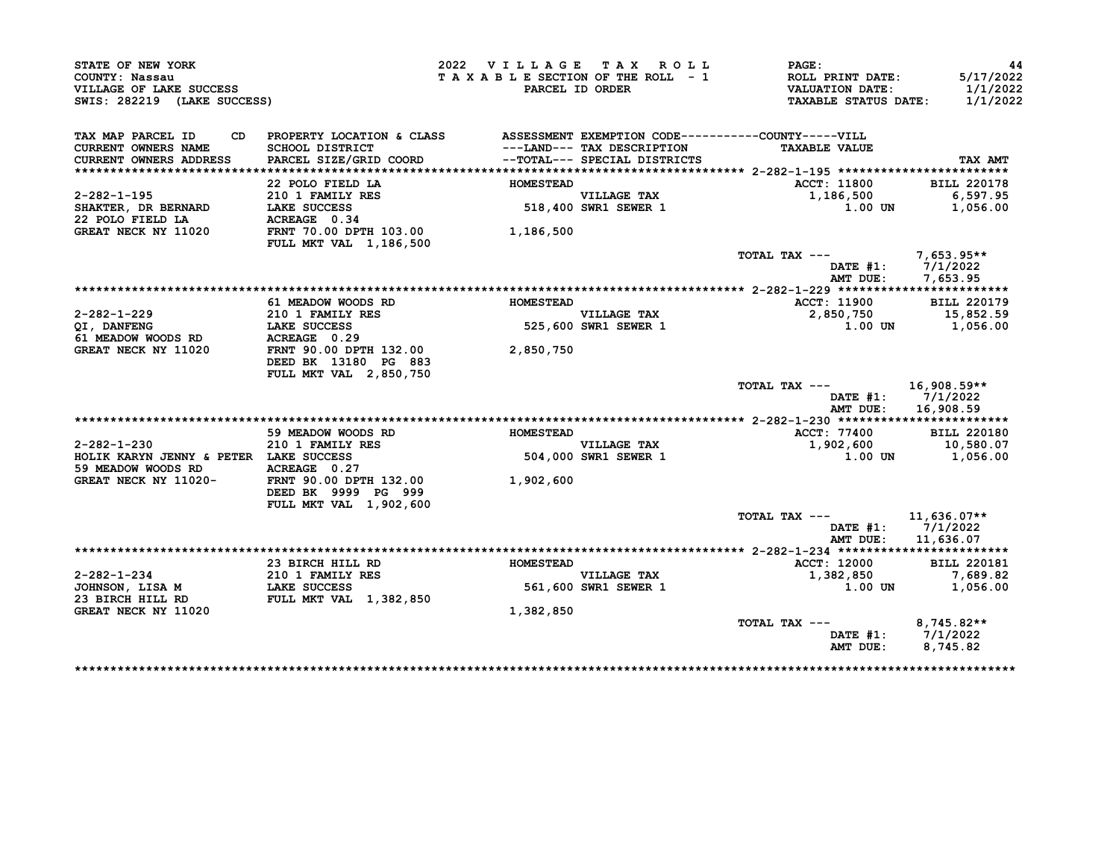| STATE OF NEW YORK                                                        |                                                                              | 2022 VILLAGE TAX ROLL           |                                                                                            | PAGE:                                                                            | 44                                |
|--------------------------------------------------------------------------|------------------------------------------------------------------------------|---------------------------------|--------------------------------------------------------------------------------------------|----------------------------------------------------------------------------------|-----------------------------------|
| COUNTY: Nassau<br>VILLAGE OF LAKE SUCCESS<br>SWIS: 282219 (LAKE SUCCESS) |                                                                              | TAXABLE SECTION OF THE ROLL - 1 | PARCEL ID ORDER                                                                            | <b>ROLL PRINT DATE:</b><br><b>VALUATION DATE:</b><br><b>TAXABLE STATUS DATE:</b> | 5/17/2022<br>1/1/2022<br>1/1/2022 |
|                                                                          |                                                                              |                                 |                                                                                            |                                                                                  |                                   |
| TAX MAP PARCEL ID<br>CD.                                                 | PROPERTY LOCATION & CLASS ASSESSMENT EXEMPTION CODE----------COUNTY-----VILL |                                 |                                                                                            |                                                                                  |                                   |
| CURRENT OWNERS NAME<br>CURRENT OWNERS ADDRESS                            | SCHOOL DISTRICT<br>PARCEL SIZE/GRID COORD                                    |                                 | ---LAND--- TAX DESCRIPTION<br>--TOTAL--- SPECIAL DISTRICTS<br>--TOTAL--- SPECIAL DISTRICTS | <b>TAXABLE VALUE</b>                                                             | TAX AMT                           |
|                                                                          |                                                                              |                                 |                                                                                            |                                                                                  |                                   |
|                                                                          | 22 POLO FIELD LA                                                             | <b>HOMESTEAD</b>                |                                                                                            | <b>ACCT: 11800</b>                                                               | <b>BILL 220178</b>                |
| 2-282-1-195                                                              | 210 1 FAMILY RES                                                             |                                 |                                                                                            | 1,186,500                                                                        | 6,597.95                          |
| <b>SHAKTER, DR BERNARD</b>                                               | LAKE SUCCESS                                                                 |                                 | VILLAGE TAX<br>518,400 SWR1 SEWER 1                                                        | 1.00 UN                                                                          | 1,056.00                          |
| 22 POLO FIELD LA                                                         | ACREAGE 0.34                                                                 |                                 |                                                                                            |                                                                                  |                                   |
| GREAT NECK NY 11020                                                      | FRNT 70.00 DPTH 103.00<br><b>FULL MKT VAL 1,186,500</b>                      | 1,186,500                       |                                                                                            |                                                                                  |                                   |
|                                                                          |                                                                              |                                 |                                                                                            | TOTAL TAX ---                                                                    | $7,653.95**$                      |
|                                                                          |                                                                              |                                 |                                                                                            | DATE #1:                                                                         | 7/1/2022                          |
|                                                                          |                                                                              |                                 |                                                                                            | AMT DUE:                                                                         | 7,653.95                          |
|                                                                          |                                                                              |                                 |                                                                                            |                                                                                  |                                   |
|                                                                          | 61 MEADOW WOODS RD                                                           | <b>HOMESTEAD</b>                |                                                                                            | ACCT: 11900                                                                      | <b>BILL 220179</b>                |
| 2-282-1-229                                                              | 210 1 FAMILY RES<br>LAKE SUCCESS                                             |                                 | <b>VILLAGE TAX</b><br>$525,600$ SWR1 SEWER 1                                               | 2,850,750                                                                        | 15,852.59                         |
| QI, DANFENG<br>61 MEADOW WOODS RD                                        | ACREAGE 0.29                                                                 |                                 |                                                                                            | 1.00 UN                                                                          | 1,056.00                          |
| <b>GREAT NECK NY 11020</b>                                               | FRNT 90.00 DPTH 132.00                                                       | 2,850,750                       |                                                                                            |                                                                                  |                                   |
|                                                                          | DEED BK 13180 PG 883                                                         |                                 |                                                                                            |                                                                                  |                                   |
|                                                                          | FULL MKT VAL 2,850,750                                                       |                                 |                                                                                            |                                                                                  |                                   |
|                                                                          |                                                                              |                                 |                                                                                            | TOTAL TAX ---                                                                    | 16,908.59**                       |
|                                                                          |                                                                              |                                 |                                                                                            | DATE #1:                                                                         | 7/1/2022                          |
|                                                                          |                                                                              |                                 |                                                                                            | AMT DUE:                                                                         | 16,908.59                         |
|                                                                          |                                                                              |                                 |                                                                                            |                                                                                  |                                   |
|                                                                          | 59 MEADOW WOODS RD                                                           | <b>HOMESTEAD</b>                |                                                                                            | ACCT: 77400                                                                      | <b>BILL 220180</b>                |
| $2 - 282 - 1 - 230$                                                      | 210 1 FAMILY RES                                                             |                                 | <b>VILLAGE TAX</b>                                                                         | 1,902,600                                                                        | 10,580.07                         |
| HOLIK KARYN JENNY & PETER LAKE SUCCESS                                   |                                                                              |                                 | 504,000 SWR1 SEWER 1                                                                       | $1.00$ UN                                                                        | 1,056.00                          |
| 59 MEADOW WOODS RD                                                       | ACREAGE 0.27                                                                 |                                 |                                                                                            |                                                                                  |                                   |
| GREAT NECK NY 11020-                                                     | FRNT 90.00 DPTH 132.00                                                       | 1,902,600                       |                                                                                            |                                                                                  |                                   |
|                                                                          | DEED BK 9999 PG 999                                                          |                                 |                                                                                            |                                                                                  |                                   |
|                                                                          | FULL MKT VAL 1,902,600                                                       |                                 |                                                                                            | TOTAL TAX ---                                                                    |                                   |
|                                                                          |                                                                              |                                 |                                                                                            | DATE #1:                                                                         | 11,636.07**<br>7/1/2022           |
|                                                                          |                                                                              |                                 |                                                                                            | AMT DUE:                                                                         | 11,636.07                         |
|                                                                          |                                                                              |                                 |                                                                                            |                                                                                  |                                   |
|                                                                          | 23 BIRCH HILL RD                                                             | <b>HOMESTEAD</b>                |                                                                                            | ACCT: 12000                                                                      | <b>BILL 220181</b>                |
| $2 - 282 - 1 - 234$                                                      | 210 1 FAMILY RES                                                             |                                 | <b>VILLAGE TAX</b>                                                                         | 1,382,850                                                                        | 7,689.82                          |
| JOHNSON, LISA M                                                          | LAKE SUCCESS                                                                 |                                 | 561,600 SWR1 SEWER 1                                                                       | 1.00 UN                                                                          | 1,056.00                          |
| 23 BIRCH HILL RD                                                         | <b>FULL MKT VAL 1,382,850</b>                                                |                                 |                                                                                            |                                                                                  |                                   |
| GREAT NECK NY 11020                                                      |                                                                              | 1,382,850                       |                                                                                            |                                                                                  |                                   |
|                                                                          |                                                                              |                                 |                                                                                            | TOTAL TAX ---                                                                    | 8,745.82**                        |
|                                                                          |                                                                              |                                 |                                                                                            |                                                                                  |                                   |
|                                                                          |                                                                              |                                 |                                                                                            | DATE #1:<br>AMT DUE:                                                             | 7/1/2022<br>8,745.82              |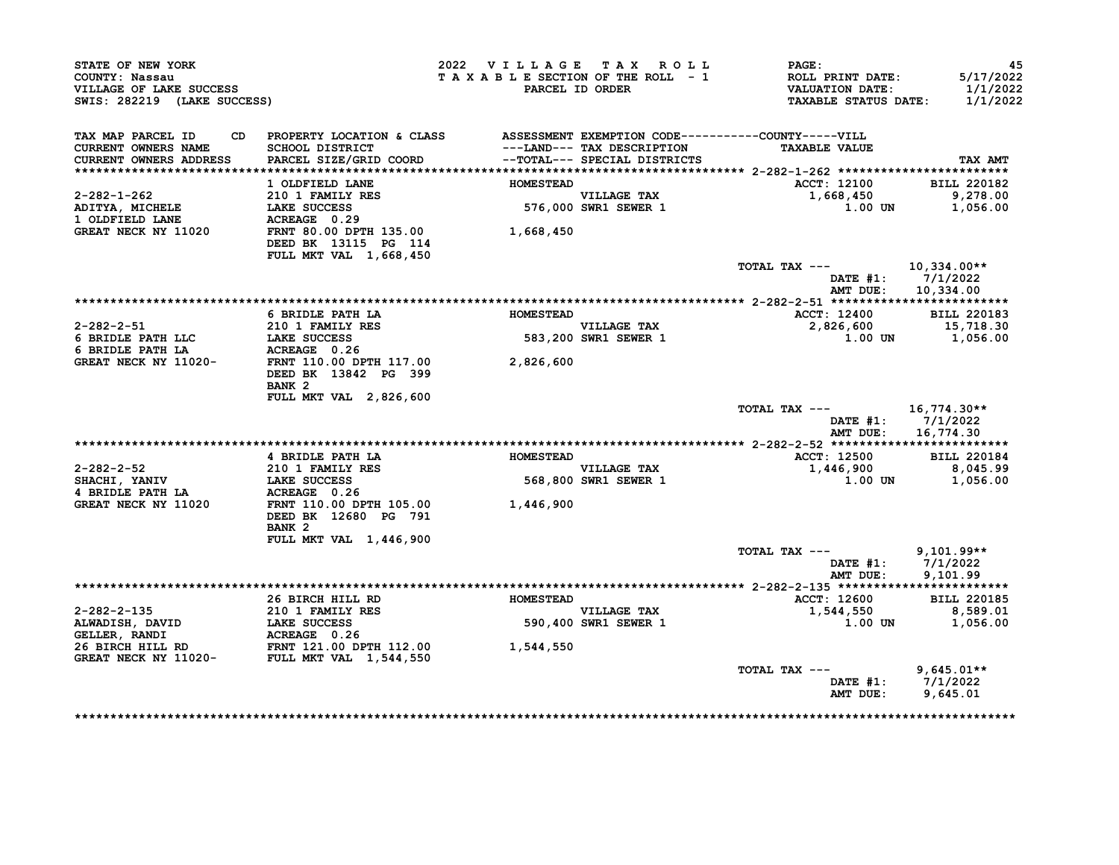| STATE OF NEW YORK<br>COUNTY: Nassau<br>VILLAGE OF LAKE SUCCESS<br>SWIS: 282219 (LAKE SUCCESS) |                                                                                                                                  | 2022 VILLAGE TAX ROLL<br>TAXABLE SECTION OF THE ROLL - 1 | PARCEL ID ORDER                                            | PAGE:<br>ROLL PRINT DATE:<br><b>VALUATION DATE:</b><br><b>TAXABLE STATUS DATE:</b> | 45<br>5/17/2022<br>1/1/2022<br>1/1/2022 |
|-----------------------------------------------------------------------------------------------|----------------------------------------------------------------------------------------------------------------------------------|----------------------------------------------------------|------------------------------------------------------------|------------------------------------------------------------------------------------|-----------------------------------------|
| TAX MAP PARCEL ID<br>CD.<br><b>CURRENT OWNERS NAME</b><br>CURRENT OWNERS ADDRESS              | PROPERTY LOCATION & CLASS ASSESSMENT EXEMPTION CODE----------COUNTY-----VILL<br><b>SCHOOL DISTRICT</b><br>PARCEL SIZE/GRID COORD |                                                          | ---LAND--- TAX DESCRIPTION<br>--TOTAL--- SPECIAL DISTRICTS | <b>TAXABLE VALUE</b>                                                               | TAX AMT                                 |
|                                                                                               |                                                                                                                                  |                                                          |                                                            |                                                                                    |                                         |
| $2 - 282 - 1 - 262$                                                                           | 1 OLDFIELD LANE<br>210 1 FAMILY RES                                                                                              | <b>HOMESTEAD</b>                                         | <b>VILLAGE TAX</b>                                         | <b>ACCT: 12100</b><br>1,668,450                                                    | <b>BILL 220182</b><br>9,278.00          |
| ADITYA, MICHELE                                                                               | LAKE SUCCESS                                                                                                                     |                                                          | 576,000 SWR1 SEWER 1                                       | 1.00 UN                                                                            | 1,056.00                                |
| 1 OLDFIELD LANE<br>GREAT NECK NY 11020                                                        | ACREAGE 0.29<br>FRNT 80.00 DPTH 135.00<br>DEED BK 13115 PG 114<br>FULL MKT VAL 1,668,450                                         | 1,668,450                                                |                                                            |                                                                                    |                                         |
|                                                                                               |                                                                                                                                  |                                                          |                                                            | TOTAL TAX ---<br>DATE #1:                                                          | 10,334.00**<br>7/1/2022                 |
|                                                                                               |                                                                                                                                  |                                                          |                                                            | AMT DUE:                                                                           | 10,334.00                               |
|                                                                                               | 6 BRIDLE PATH LA                                                                                                                 | <b>HOMESTEAD</b>                                         |                                                            | <b>ACCT: 12400</b>                                                                 | <b>BILL 220183</b>                      |
| 2-282-2-51                                                                                    | 210 1 FAMILY RES                                                                                                                 |                                                          | <b>VILLAGE TAX</b>                                         | 2,826,600                                                                          | 15,718.30                               |
| 6 BRIDLE PATH LLC                                                                             | <b>LAKE SUCCESS</b>                                                                                                              |                                                          | 583,200 SWR1 SEWER 1                                       | 1.00 UN                                                                            | 1,056.00                                |
| 6 BRIDLE PATH LA                                                                              | ACREAGE 0.26                                                                                                                     |                                                          |                                                            |                                                                                    |                                         |
| GREAT NECK NY 11020-                                                                          | FRNT 110.00 DPTH 117.00<br>DEED BK 13842 PG 399<br>BANK <sub>2</sub>                                                             | 2,826,600                                                |                                                            |                                                                                    |                                         |
|                                                                                               | FULL MKT VAL 2,826,600                                                                                                           |                                                          |                                                            |                                                                                    |                                         |
|                                                                                               |                                                                                                                                  |                                                          |                                                            | TOTAL TAX ---<br>DATE #1:                                                          | 16,774.30**<br>7/1/2022                 |
|                                                                                               |                                                                                                                                  |                                                          |                                                            | AMT DUE:                                                                           | 16,774.30                               |
|                                                                                               | 4 BRIDLE PATH LA                                                                                                                 | <b>HOMESTEAD</b>                                         |                                                            | <b>ACCT: 12500</b>                                                                 | <b>BILL 220184</b>                      |
| $2 - 282 - 2 - 52$                                                                            | 210 1 FAMILY RES                                                                                                                 |                                                          | <b>VILLAGE TAX</b>                                         | 1,446,900                                                                          | 8,045.99                                |
| <b>SHACHI, YANIV</b>                                                                          | <b>LAKE SUCCESS</b>                                                                                                              |                                                          | 568,800 SWR1 SEWER 1                                       | 1.00 UN                                                                            | 1,056.00                                |
| 4 BRIDLE PATH LA                                                                              | ACREAGE 0.26                                                                                                                     |                                                          |                                                            |                                                                                    |                                         |
| GREAT NECK NY 11020                                                                           | FRNT 110.00 DPTH 105.00<br>DEED BK 12680 PG 791<br>BANK <sub>2</sub>                                                             | 1,446,900                                                |                                                            |                                                                                    |                                         |
|                                                                                               | FULL MKT VAL 1,446,900                                                                                                           |                                                          |                                                            |                                                                                    |                                         |
|                                                                                               |                                                                                                                                  |                                                          |                                                            | TOTAL TAX ---                                                                      | $9,101.99**$                            |
|                                                                                               |                                                                                                                                  |                                                          |                                                            | DATE #1:<br>AMT DUE:                                                               | 7/1/2022<br>9,101.99                    |
|                                                                                               | 26 BIRCH HILL RD                                                                                                                 | <b>HOMESTEAD</b>                                         |                                                            | ACCT: 12600                                                                        | <b>BILL 220185</b>                      |
| $2 - 282 - 2 - 135$                                                                           | <b>210 1 FAMILY RES</b>                                                                                                          |                                                          | VILLAGE TAX                                                | 1,544,550                                                                          | 8,589.01                                |
| ALWADISH, DAVID                                                                               | <b>LAKE SUCCESS</b>                                                                                                              |                                                          | 590,400 SWR1 SEWER 1                                       | 1.00 UN                                                                            | 1,056.00                                |
| GELLER, RANDI<br>26 BIRCH HILL RD                                                             |                                                                                                                                  | 1,544,550                                                |                                                            |                                                                                    |                                         |
| GREAT NECK NY 11020- FULL MKT VAL 1,544,550                                                   |                                                                                                                                  |                                                          |                                                            |                                                                                    |                                         |
|                                                                                               |                                                                                                                                  |                                                          |                                                            | TOTAL TAX ---<br><b>DATE #1:</b>                                                   | $9,645.01**$<br>7/1/2022                |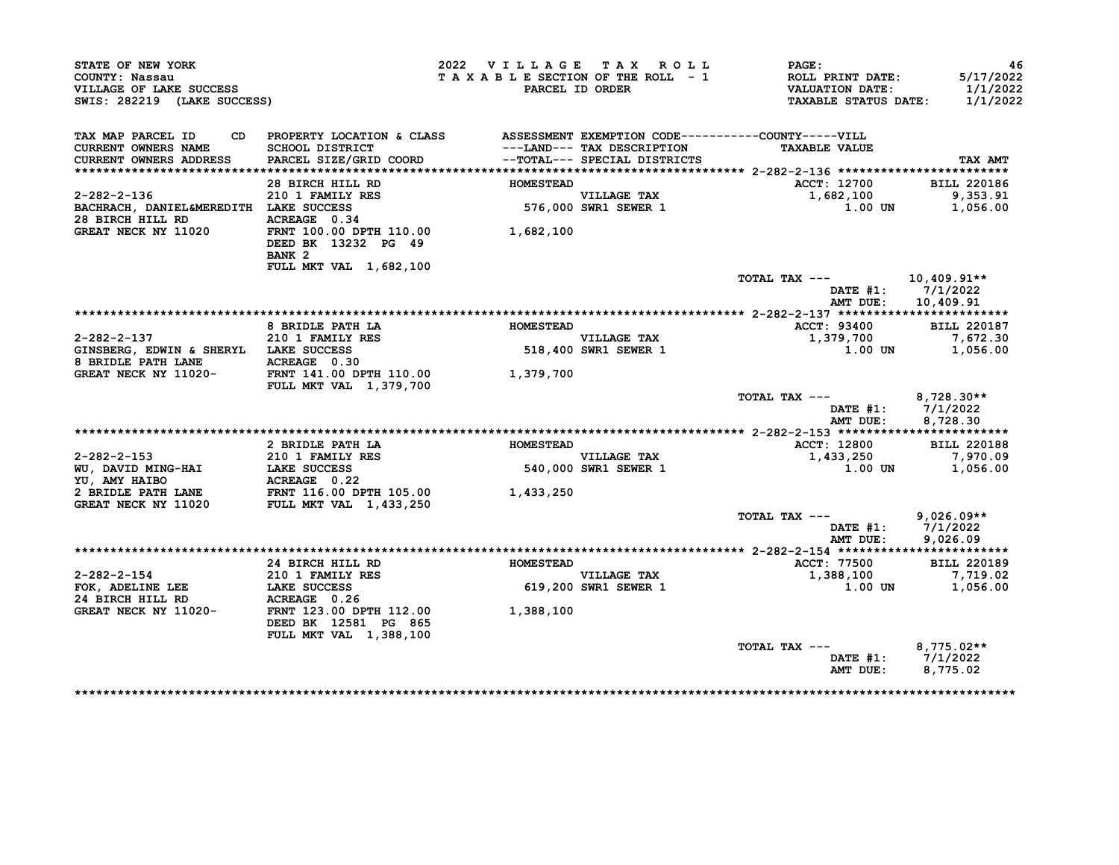| STATE OF NEW YORK                         |                                                          | 2022 VILLAGE TAX ROLL           |                              | PAGE:                                              | 46                    |
|-------------------------------------------|----------------------------------------------------------|---------------------------------|------------------------------|----------------------------------------------------|-----------------------|
| COUNTY: Nassau<br>VILLAGE OF LAKE SUCCESS |                                                          | TAXABLE SECTION OF THE ROLL - 1 | PARCEL ID ORDER              | ROLL PRINT DATE:<br><b>VALUATION DATE:</b>         | 5/17/2022<br>1/1/2022 |
| SWIS: 282219 (LAKE SUCCESS)               |                                                          |                                 |                              | <b>TAXABLE STATUS DATE:</b>                        | 1/1/2022              |
| TAX MAP PARCEL ID<br>CD.                  | PROPERTY LOCATION & CLASS                                |                                 |                              | ASSESSMENT EXEMPTION CODE----------COUNTY-----VILL |                       |
| CURRENT OWNERS NAME                       | SCHOOL DISTRICT                                          |                                 | ---LAND--- TAX DESCRIPTION   | <b>TAXABLE VALUE</b>                               |                       |
| CURRENT OWNERS ADDRESS                    | PARCEL SIZE/GRID COORD                                   |                                 | --TOTAL--- SPECIAL DISTRICTS |                                                    | TAX AMT               |
|                                           | 28 BIRCH HILL RD                                         | <b>HOMESTEAD</b>                |                              | ACCT: 12700                                        | <b>BILL 220186</b>    |
| $2 - 282 - 2 - 136$                       | 210 1 FAMILY RES                                         |                                 | <b>VILLAGE TAX</b>           | 1,682,100                                          | 9,353.91              |
| BACHRACH, DANIEL&MEREDITH LAKE SUCCESS    |                                                          |                                 | 576,000 SWR1 SEWER 1         | 1.00 UN                                            | 1,056.00              |
| 28 BIRCH HILL RD                          | ACREAGE 0.34                                             |                                 |                              |                                                    |                       |
| GREAT NECK NY 11020                       | FRNT 100.00 DPTH 110.00                                  | 1,682,100                       |                              |                                                    |                       |
|                                           | DEED BK 13232 PG 49                                      |                                 |                              |                                                    |                       |
|                                           | BANK <sub>2</sub>                                        |                                 |                              |                                                    |                       |
|                                           | FULL MKT VAL 1,682,100                                   |                                 |                              |                                                    |                       |
|                                           |                                                          |                                 |                              | TOTAL TAX ---                                      | $10,409.91**$         |
|                                           |                                                          |                                 |                              | DATE #1:                                           | 7/1/2022              |
|                                           |                                                          |                                 |                              | AMT DUE:                                           | 10,409.91             |
|                                           |                                                          |                                 |                              |                                                    |                       |
|                                           | 8 BRIDLE PATH LA                                         | <b>HOMESTEAD</b>                |                              | ACCT: 93400                                        | <b>BILL 220187</b>    |
| $2 - 282 - 2 - 137$                       | 210 1 FAMILY RES                                         |                                 | VILLAGE TAX                  | 1,379,700                                          | 7,672.30              |
| GINSBERG, EDWIN & SHERYL LAKE SUCCESS     |                                                          |                                 | 518,400 SWR1 SEWER 1         | 1.00 UN                                            | 1,056.00              |
| 8 BRIDLE PATH LANE                        | ACREAGE 0.30                                             |                                 |                              |                                                    |                       |
| GREAT NECK NY 11020-                      | FRNT 141.00 DPTH 110.00<br><b>FULL MKT VAL 1,379,700</b> | 1,379,700                       |                              |                                                    |                       |
|                                           |                                                          |                                 |                              | TOTAL TAX ---                                      | $8,728.30**$          |
|                                           |                                                          |                                 |                              | DATE $#1$ :                                        | 7/1/2022              |
|                                           |                                                          |                                 |                              | AMT DUE:                                           | 8,728.30              |
|                                           |                                                          |                                 |                              |                                                    |                       |
|                                           | 2 BRIDLE PATH LA                                         | <b>HOMESTEAD</b>                |                              | ACCT: 12800                                        | <b>BILL 220188</b>    |
| 2-282-2-153                               | 210 1 FAMILY RES                                         |                                 | <b>VILLAGE TAX</b>           | 1,433,250                                          | 7,970.09              |
| WU, DAVID MING-HAI                        | LAKE SUCCESS                                             |                                 | 540,000 SWR1 SEWER 1         | 1.00 UN                                            | 1,056.00              |
| YU, AMY HAIBO                             | ACREAGE 0.22                                             |                                 |                              |                                                    |                       |
| 2 BRIDLE PATH LANE                        | FRNT 116.00 DPTH 105.00                                  | 1,433,250                       |                              |                                                    |                       |
| <b>GREAT NECK NY 11020</b>                | <b>FULL MKT VAL 1,433,250</b>                            |                                 |                              |                                                    |                       |
|                                           |                                                          |                                 |                              | TOTAL TAX ---                                      | $9,026.09**$          |
|                                           |                                                          |                                 |                              | DATE #1:                                           | 7/1/2022              |
|                                           |                                                          |                                 |                              | AMT DUE:                                           | 9.026.09              |
|                                           |                                                          |                                 |                              |                                                    |                       |
|                                           | 24 BIRCH HILL RD                                         | <b>HOMESTEAD</b>                |                              | <b>ACCT: 77500</b>                                 | <b>BILL 220189</b>    |
| $2 - 282 - 2 - 154$                       | 210 1 FAMILY RES                                         |                                 | <b>VILLAGE TAX</b>           | 1,388,100                                          | 7,719.02              |
| FOK, ADELINE LEE                          | LAKE SUCCESS                                             |                                 | 619,200 SWR1 SEWER 1         | 1.00 UN                                            | 1,056.00              |
|                                           | ACREAGE 0.26                                             |                                 |                              |                                                    |                       |
| 24 BIRCH HILL RD                          |                                                          |                                 |                              |                                                    |                       |
| GREAT NECK NY 11020-                      | FRNT 123.00 DPTH 112.00                                  | 1,388,100                       |                              |                                                    |                       |
|                                           | DEED BK 12581 PG 865                                     |                                 |                              |                                                    |                       |
|                                           | FULL MKT VAL 1,388,100                                   |                                 |                              |                                                    |                       |
|                                           |                                                          |                                 |                              | TOTAL TAX ---                                      | $8,775.02**$          |
|                                           |                                                          |                                 |                              | DATE #1:<br>AMT DUE:                               | 7/1/2022<br>8,775.02  |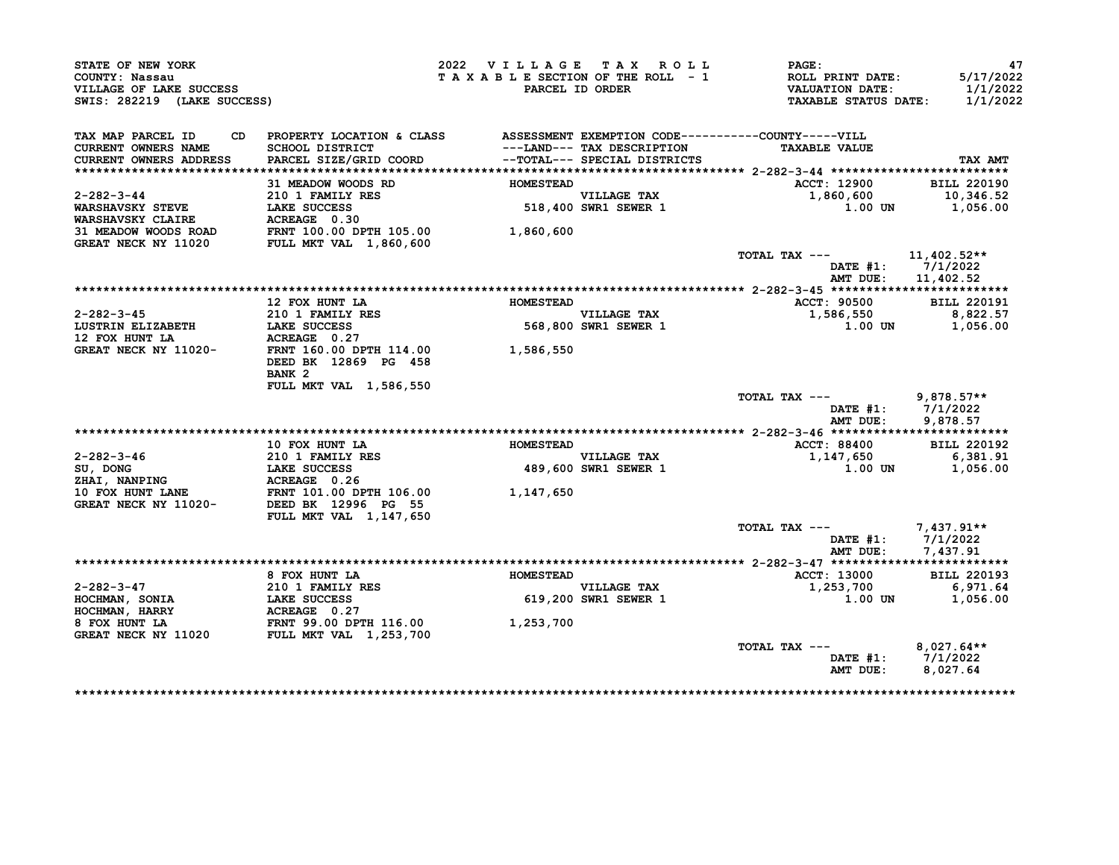| STATE OF NEW YORK<br>COUNTY: Nassau<br>VILLAGE OF LAKE SUCCESS<br>SWIS: 282219 (LAKE SUCCESS) |                                                                                                                                                | 2022 VILLAGE TAX ROLL<br>TAXABLE SECTION OF THE ROLL - 1 | PARCEL ID ORDER                                            | <b>PAGE :</b><br><b>ROLL PRINT DATE:</b><br>VALUATION DATE:<br><b>TAXABLE STATUS DATE:</b> | 47<br>5/17/2022<br>1/1/2022<br>1/1/2022 |
|-----------------------------------------------------------------------------------------------|------------------------------------------------------------------------------------------------------------------------------------------------|----------------------------------------------------------|------------------------------------------------------------|--------------------------------------------------------------------------------------------|-----------------------------------------|
| TAX MAP PARCEL ID                                                                             | CD PROPERTY LOCATION & CLASS ASSESSMENT EXEMPTION CODE----------COUNTY-----VILL                                                                |                                                          |                                                            |                                                                                            |                                         |
| <b>CURRENT OWNERS NAME</b><br><b>CURRENT OWNERS ADDRESS</b>                                   | <b>SCHOOL DISTRICT</b><br>PARCEL SIZE/GRID COORD                                                                                               |                                                          | ---LAND--- TAX DESCRIPTION<br>--TOTAL--- SPECIAL DISTRICTS | <b>TAXABLE VALUE</b>                                                                       | TAX AMT                                 |
|                                                                                               |                                                                                                                                                |                                                          |                                                            |                                                                                            |                                         |
|                                                                                               | 31 MEADOW WOODS RD                                                                                                                             | <b>HOMESTEAD</b>                                         |                                                            | ACCT: 12900                                                                                | <b>BILL 220190</b>                      |
| $2 - 282 - 3 - 44$                                                                            | 210 1 FAMILY RES                                                                                                                               |                                                          |                                                            | 1,860,600                                                                                  | 10,346.52                               |
| <b>WARSHAVSKY STEVE</b>                                                                       | LAKE SUCCESS                                                                                                                                   |                                                          | VILLAGE TAX<br>518,400 SWR1 SEWER 1                        | 1.00 UN                                                                                    | 1,056.00                                |
| WARSHAVSKY CLAIRE                                                                             | ACREAGE 0.30                                                                                                                                   |                                                          |                                                            |                                                                                            |                                         |
| 31 MEADOW WOODS ROAD FRNT 100.00 DPTH 105.00<br>GREAT NECK NY 11020 FULL MKT VAL 1,860,600    |                                                                                                                                                | 1,860,600                                                |                                                            |                                                                                            |                                         |
|                                                                                               |                                                                                                                                                |                                                          |                                                            |                                                                                            |                                         |
|                                                                                               |                                                                                                                                                |                                                          |                                                            | TOTAL TAX ---                                                                              | 11,402.52**                             |
|                                                                                               |                                                                                                                                                |                                                          |                                                            | DATE #1: 7/1/2022                                                                          |                                         |
|                                                                                               |                                                                                                                                                |                                                          |                                                            | AMT DUE: 11,402.52                                                                         |                                         |
|                                                                                               | 12 FOX HUNT LA                                                                                                                                 | <b>HOMESTEAD</b>                                         |                                                            |                                                                                            | <b>BILL 220191</b>                      |
| 2-282-3-45                                                                                    |                                                                                                                                                |                                                          |                                                            | ACCT: 90500<br>1,586,550                                                                   | 8,822.57                                |
| LUSTRIN ELIZABETH                                                                             | 210 1 FAMILY RES<br>LAKE SUCCESS<br>ACREAGE 0.27<br>LAKE SUCCESS                                                                               |                                                          | VILLAGE TAX<br>568,800 SWR1 SEWER 1                        | 1.00 UN                                                                                    | 1,056.00                                |
| 12 FOX HUNT LA                                                                                | ACREAGE 0.27                                                                                                                                   |                                                          |                                                            |                                                                                            |                                         |
| GREAT NECK NY 11020-                                                                          | FRNT 160.00 DPTH 114.00 1,586,550                                                                                                              |                                                          |                                                            |                                                                                            |                                         |
|                                                                                               | DEED BK 12869 PG 458                                                                                                                           |                                                          |                                                            |                                                                                            |                                         |
|                                                                                               | BANK <sub>2</sub>                                                                                                                              |                                                          |                                                            |                                                                                            |                                         |
|                                                                                               | FULL MKT VAL 1,586,550                                                                                                                         |                                                          |                                                            |                                                                                            |                                         |
|                                                                                               |                                                                                                                                                |                                                          |                                                            | TOTAL TAX --- 9,878.57**                                                                   |                                         |
|                                                                                               |                                                                                                                                                |                                                          |                                                            | DATE #1: 7/1/2022                                                                          |                                         |
|                                                                                               |                                                                                                                                                |                                                          |                                                            | AMT DUE:                                                                                   | 9,878.57                                |
|                                                                                               |                                                                                                                                                |                                                          |                                                            |                                                                                            |                                         |
|                                                                                               | 10 FOX HUNT LA                                                                                                                                 | <b>HOMESTEAD</b>                                         |                                                            | ACCT: 88400                                                                                | <b>BILL 220192</b>                      |
| 2-282-3-46                                                                                    | 210 1 FAMILY RES                                                                                                                               |                                                          | <b>VILLAGE TAX</b>                                         | 1,147,650                                                                                  | 6,381.91                                |
| SU, DONG                                                                                      |                                                                                                                                                |                                                          | 489,600 SWR1 SEWER 1                                       | $1.00$ UN                                                                                  | 1,056.00                                |
| ZHAI, NANPING                                                                                 | LAKE SUCCESS<br>ACREAGE 0.26<br>FRNT 101.00 DPTH 106.00                                                                                        |                                                          |                                                            |                                                                                            |                                         |
| <b>10 FOX HUNT LANE</b><br>GREAT NECK NY 11020-                                               | DEED BK 12996 PG 55                                                                                                                            | 1,147,650                                                |                                                            |                                                                                            |                                         |
|                                                                                               | FULL MKT VAL 1,147,650                                                                                                                         |                                                          |                                                            |                                                                                            |                                         |
|                                                                                               |                                                                                                                                                |                                                          |                                                            | TOTAL TAX ---                                                                              | 7,437.91**                              |
|                                                                                               |                                                                                                                                                |                                                          |                                                            | DATE #1: 7/1/2022                                                                          |                                         |
|                                                                                               |                                                                                                                                                |                                                          |                                                            | AMT DUE: 7,437.91                                                                          |                                         |
|                                                                                               |                                                                                                                                                |                                                          |                                                            |                                                                                            |                                         |
|                                                                                               | 8 FOX HUNT LA                                                                                                                                  | <b>HOMESTEAD</b>                                         |                                                            | ACCT: 13000                                                                                | <b>BILL 220193</b>                      |
| $2 - 282 - 3 - 47$                                                                            |                                                                                                                                                |                                                          |                                                            | 1,253,700                                                                                  | 6,971.64                                |
| HOCHMAN, SONIA                                                                                | 210 1 FAMILY RES<br>LAKE SUCCESS<br>ASPERTED AST<br><b>LAKE SUCCESS<br/>ACREAGE 0.27<br/>FRNT 99.00 DPTH 116.00<br/>FULL MKT VAL 1,253,700</b> |                                                          | VILLAGE TAX<br>619,200 SWR1 SEWER 1                        | 1.00 UN                                                                                    | 1,056.00                                |
| HOCHMAN, HARRY                                                                                |                                                                                                                                                |                                                          |                                                            |                                                                                            |                                         |
| 8 FOX HUNT LA                                                                                 |                                                                                                                                                | 1,253,700                                                |                                                            |                                                                                            |                                         |
| <b>GREAT NECK NY 11020</b>                                                                    |                                                                                                                                                |                                                          |                                                            |                                                                                            |                                         |
|                                                                                               |                                                                                                                                                |                                                          |                                                            | TOTAL TAX ---                                                                              | $8,027.64**$                            |
|                                                                                               |                                                                                                                                                |                                                          |                                                            | DATE #1: 7/1/2022                                                                          |                                         |
|                                                                                               |                                                                                                                                                |                                                          |                                                            | AMT DUE:                                                                                   | 8,027.64                                |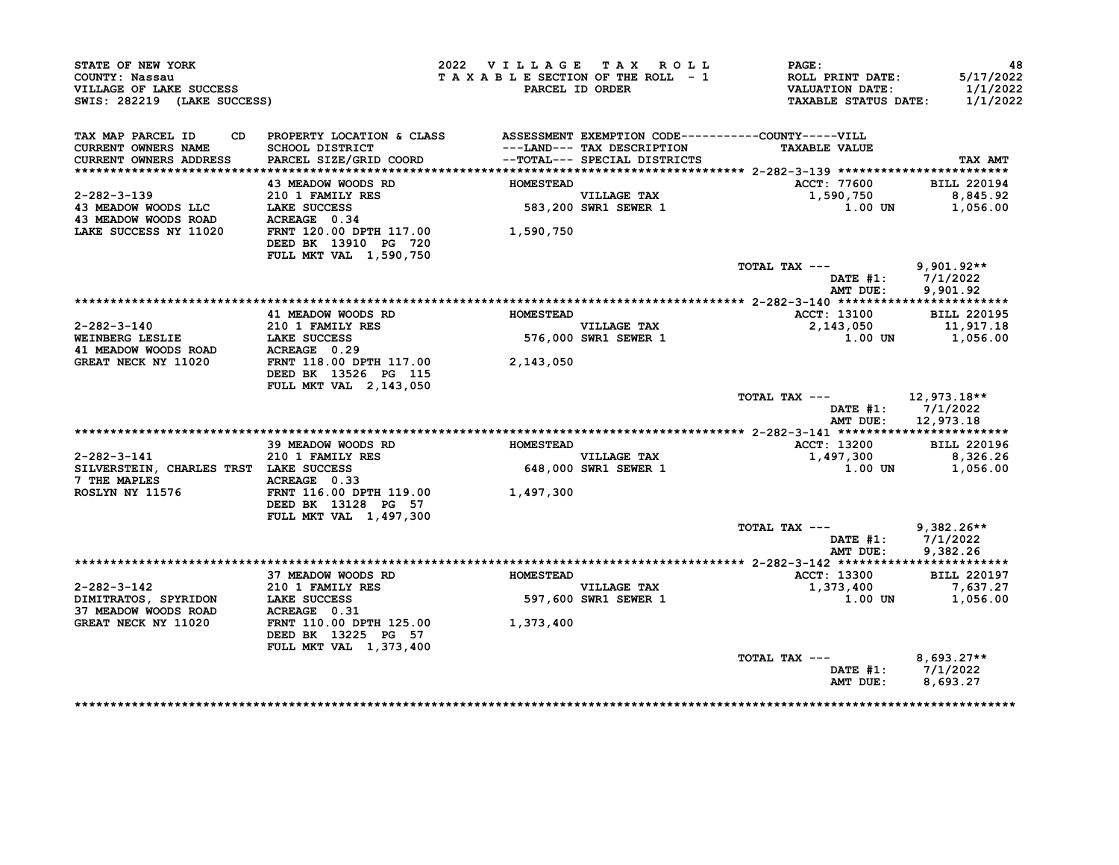| STATE OF NEW YORK<br>COUNTY: Nassau<br>VILLAGE OF LAKE SUCCESS<br>SWIS: 282219 (LAKE SUCCESS) |                                                                              | 2022 VILLAGE TAX ROLL | TAXABLE SECTION OF THE ROLL - 1<br>PARCEL ID ORDER | PAGE:<br>ROLL PRINT DATE:<br><b>VALUATION DATE:</b><br><b>TAXABLE STATUS DATE:</b> | 48<br>5/17/2022<br>1/1/2022<br>1/1/2022 |
|-----------------------------------------------------------------------------------------------|------------------------------------------------------------------------------|-----------------------|----------------------------------------------------|------------------------------------------------------------------------------------|-----------------------------------------|
| TAX MAP PARCEL ID<br>CD                                                                       | PROPERTY LOCATION & CLASS ASSESSMENT EXEMPTION CODE----------COUNTY-----VILL |                       |                                                    |                                                                                    |                                         |
| CURRENT OWNERS NAME                                                                           | <b>SCHOOL DISTRICT</b>                                                       |                       | ---LAND--- TAX DESCRIPTION                         | <b>TAXABLE VALUE</b>                                                               |                                         |
| <b>CURRENT OWNERS ADDRESS</b>                                                                 | PARCEL SIZE/GRID COORD                                                       |                       | --TOTAL--- SPECIAL DISTRICTS                       |                                                                                    | TAX AMT                                 |
|                                                                                               |                                                                              |                       |                                                    |                                                                                    |                                         |
|                                                                                               | 43 MEADOW WOODS RD                                                           | <b>HOMESTEAD</b>      |                                                    | ACCT: 77600                                                                        | <b>BILL 220194</b>                      |
| 2-282-3-139                                                                                   | 210 1 FAMILY RES                                                             |                       | VILLAGE TAX<br>583,200 SWR1 SEWER 1                | 1,590,750                                                                          | 8,845.92                                |
| 43 MEADOW WOODS LLC LAKE SUCCESS<br>43 MEADOW WOODS ROAD ACREAGE 0.34                         |                                                                              |                       |                                                    | 1.00 UN                                                                            | 1,056.00                                |
|                                                                                               |                                                                              |                       |                                                    |                                                                                    |                                         |
| LAKE SUCCESS NY 11020                                                                         | FRNT 120.00 DPTH 117.00<br>DEED BK 13910 PG 720                              | 1,590,750             |                                                    |                                                                                    |                                         |
|                                                                                               | FULL MKT VAL 1,590,750                                                       |                       |                                                    |                                                                                    |                                         |
|                                                                                               |                                                                              |                       |                                                    | TOTAL TAX ---                                                                      | $9,901.92**$                            |
|                                                                                               |                                                                              |                       |                                                    |                                                                                    | DATE $#1: 7/1/2022$                     |
|                                                                                               |                                                                              |                       |                                                    | AMT DUE:                                                                           | 9,901.92                                |
|                                                                                               |                                                                              |                       |                                                    |                                                                                    |                                         |
|                                                                                               | 41 MEADOW WOODS RD                                                           | <b>HOMESTEAD</b>      |                                                    | ACCT: 13100                                                                        | <b>BILL 220195</b>                      |
| 2-282-3-140                                                                                   | 210 1 FAMILY RES                                                             |                       | VILLAGE TAX<br>576,000 SWR1 SEWER 1                | 2,143,050                                                                          | 11,917.18                               |
| WEINBERG LESLIE<br>41 MEADOW WOODS ROAD<br>41 MEADOW WOODS ROAD<br>42 MEADOW MOODS ROAD       |                                                                              |                       |                                                    | 1.00 UN                                                                            | 1,056.00                                |
|                                                                                               |                                                                              |                       |                                                    |                                                                                    |                                         |
| GREAT NECK NY 11020                                                                           | FRNT 118.00 DPTH 117.00                                                      | 2,143,050             |                                                    |                                                                                    |                                         |
|                                                                                               | DEED BK 13526 PG 115                                                         |                       |                                                    |                                                                                    |                                         |
|                                                                                               | <b>FULL MKT VAL 2,143,050</b>                                                |                       |                                                    | TOTAL TAX ---                                                                      | 12,973.18**                             |
|                                                                                               |                                                                              |                       |                                                    |                                                                                    | DATE #1: 7/1/2022                       |
|                                                                                               |                                                                              |                       |                                                    |                                                                                    | AMT DUE: 12,973.18                      |
|                                                                                               |                                                                              |                       |                                                    |                                                                                    |                                         |
|                                                                                               | 39 MEADOW WOODS RD                                                           | <b>HOMESTEAD</b>      |                                                    | ACCT: 13200                                                                        | <b>BILL 220196</b>                      |
| 2-282-3-141                                                                                   | 210 1 FAMILY RES                                                             |                       |                                                    | 1,497,300                                                                          | 8,326.26                                |
| SILVERSTEIN, CHARLES TRST LAKE SUCCESS                                                        |                                                                              |                       | VILLAGE TAX<br>648,000 SWR1 SEWER 1                | 1.00 UN                                                                            | 1,056.00                                |
| 7 THE MAPLES                                                                                  | ACREAGE 0.33                                                                 |                       |                                                    |                                                                                    |                                         |
| ROSLYN NY 11576                                                                               | FRNT 116.00 DPTH 119.00                                                      | 1,497,300             |                                                    |                                                                                    |                                         |
|                                                                                               | DEED BK 13128 PG 57                                                          |                       |                                                    |                                                                                    |                                         |
|                                                                                               | <b>FULL MKT VAL 1,497,300</b>                                                |                       |                                                    |                                                                                    |                                         |
|                                                                                               |                                                                              |                       |                                                    | TOTAL TAX ---                                                                      | $9,382.26**$                            |
|                                                                                               |                                                                              |                       |                                                    |                                                                                    | DATE $#1: 7/1/2022$                     |
|                                                                                               |                                                                              |                       |                                                    | AMT DUE:                                                                           | 9,382.26                                |
|                                                                                               | 37 MEADOW WOODS RD                                                           | <b>HOMESTEAD</b>      |                                                    | <b>ACCT: 13300</b>                                                                 | <b>BILL 220197</b>                      |
| 2-282-3-142                                                                                   | 210 1 FAMILY RES                                                             |                       | <b>VILLAGE TAX</b>                                 | 1,373,400                                                                          | 7,637.27                                |
| 2-202-3 132<br>DIMITRATOS, SPYRIDON LAKE SUCCESS<br>37 MEADOW WOODS ROAD ACREAGE 0.31         |                                                                              |                       | <b>597,600 SWR1 SEWER 1</b>                        |                                                                                    | 1.00 UN 1,056.00                        |
|                                                                                               |                                                                              |                       |                                                    |                                                                                    |                                         |
| GREAT NECK NY 11020                                                                           | FRNT 110.00 DPTH 125.00                                                      | 1,373,400             |                                                    |                                                                                    |                                         |
|                                                                                               | DEED BK 13225 PG 57                                                          |                       |                                                    |                                                                                    |                                         |
|                                                                                               | FULL MKT VAL 1,373,400                                                       |                       |                                                    |                                                                                    |                                         |
|                                                                                               |                                                                              |                       |                                                    | TOTAL TAX ---                                                                      | $8,693.27**$                            |
|                                                                                               |                                                                              |                       |                                                    | AMT DUE:                                                                           | DATE #1: 7/1/2022<br>8,693.27           |
|                                                                                               |                                                                              |                       |                                                    |                                                                                    |                                         |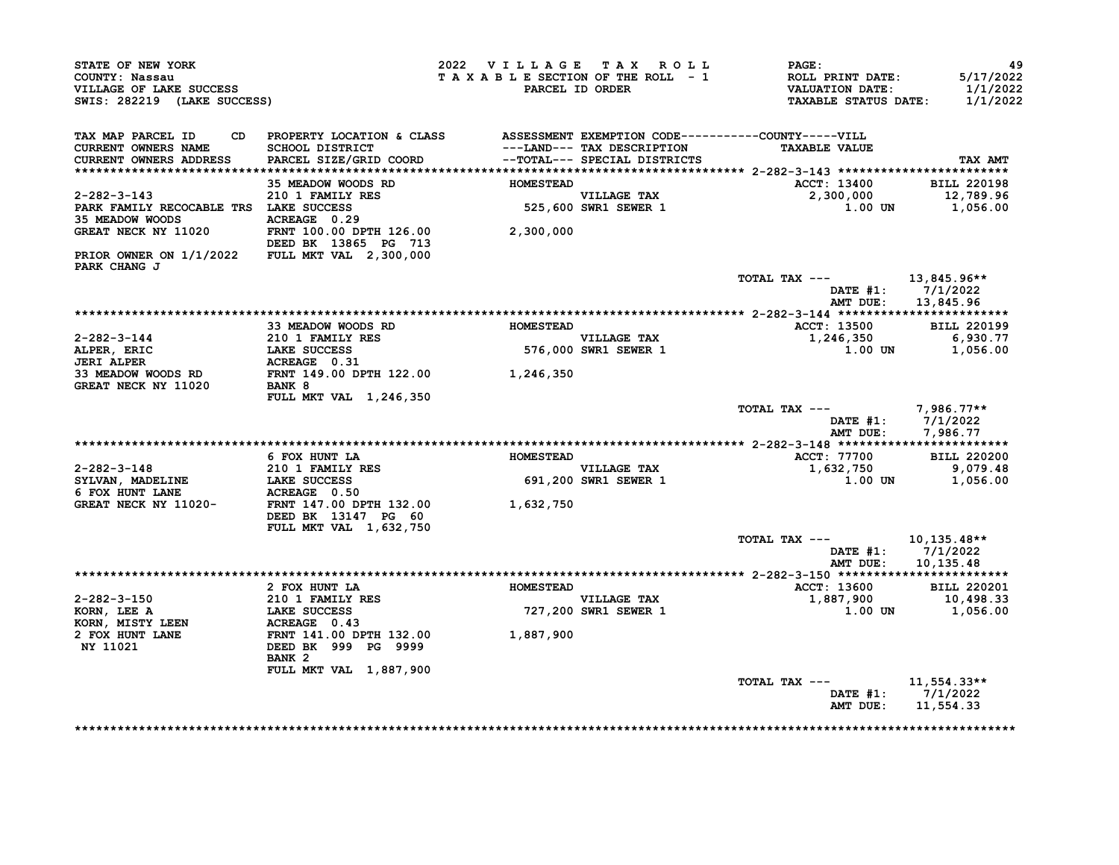| STATE OF NEW YORK<br>COUNTY: Nassau<br>VILLAGE OF LAKE SUCCESS<br>SWIS: 282219 (LAKE SUCCESS)                                                                                                                                                                                                                                                                                                                                |                                                                                                                       | 2022 VILLAGE TAX ROLL<br>TAXABLE SECTION OF THE ROLL - 1 | PARCEL ID ORDER                     | <b>PAGE :</b><br>ROLL PRINT DATE:<br>VALUATION DATE:<br><b>TAXABLE STATUS DATE:</b> | 49<br>5/17/2022<br>1/1/2022<br>1/1/2022 |
|------------------------------------------------------------------------------------------------------------------------------------------------------------------------------------------------------------------------------------------------------------------------------------------------------------------------------------------------------------------------------------------------------------------------------|-----------------------------------------------------------------------------------------------------------------------|----------------------------------------------------------|-------------------------------------|-------------------------------------------------------------------------------------|-----------------------------------------|
| TAX MAP PARCEL ID<br>CURRENT OWNERS NAME                                                                                                                                                                                                                                                                                                                                                                                     | CD PROPERTY LOCATION & CLASS ASSESSMENT EXEMPTION CODE----------COUNTY-----VILL<br>SCHOOL DISTRICT                    |                                                          | ---LAND--- TAX DESCRIPTION          | <b>TAXABLE VALUE</b>                                                                |                                         |
| CURRENT OWNERS ADDRESS                                                                                                                                                                                                                                                                                                                                                                                                       | PARCEL SIZE/GRID COORD --TOTAL--- SPECIAL DISTRICTS                                                                   |                                                          |                                     |                                                                                     | TAX AMT                                 |
|                                                                                                                                                                                                                                                                                                                                                                                                                              |                                                                                                                       |                                                          |                                     |                                                                                     |                                         |
|                                                                                                                                                                                                                                                                                                                                                                                                                              | 35 MEADOW WOODS RD                                                                                                    | <b>HOMESTEAD</b>                                         |                                     | ACCT: 13400 BILL 220198                                                             |                                         |
| $2 - 282 - 3 - 143$                                                                                                                                                                                                                                                                                                                                                                                                          | 210 1 FAMILY RES                                                                                                      |                                                          | VILLAGE TAX<br>525,600 SWR1 SEWER 1 | $2,300,000$<br>1.00 UN 1,056.00                                                     |                                         |
|                                                                                                                                                                                                                                                                                                                                                                                                                              |                                                                                                                       |                                                          |                                     |                                                                                     |                                         |
|                                                                                                                                                                                                                                                                                                                                                                                                                              |                                                                                                                       |                                                          |                                     |                                                                                     |                                         |
| GREAT NECK NY 11020 FRNT 100.00 DPTH 126.00 2,300,000                                                                                                                                                                                                                                                                                                                                                                        | DEED BK 13865 PG 713                                                                                                  |                                                          |                                     |                                                                                     |                                         |
| PRIOR OWNER ON 1/1/2022 FULL MKT VAL 2,300,000<br>PARK CHANG J                                                                                                                                                                                                                                                                                                                                                               |                                                                                                                       |                                                          |                                     |                                                                                     |                                         |
|                                                                                                                                                                                                                                                                                                                                                                                                                              |                                                                                                                       |                                                          |                                     | TOTAL TAX --- $13,845.96**$                                                         |                                         |
|                                                                                                                                                                                                                                                                                                                                                                                                                              |                                                                                                                       |                                                          |                                     |                                                                                     | DATE $#1: 7/1/2022$                     |
|                                                                                                                                                                                                                                                                                                                                                                                                                              |                                                                                                                       |                                                          |                                     |                                                                                     | AMT DUE: 13,845.96                      |
|                                                                                                                                                                                                                                                                                                                                                                                                                              | 33 MEADOW WOODS RD MOMESTEAD                                                                                          |                                                          |                                     | ACCT: 13500 BILL 220199                                                             |                                         |
|                                                                                                                                                                                                                                                                                                                                                                                                                              |                                                                                                                       |                                                          |                                     |                                                                                     |                                         |
|                                                                                                                                                                                                                                                                                                                                                                                                                              |                                                                                                                       |                                                          | VILLAGE TAX<br>576,000 SWR1 SEWER 1 | 1,246,350 6,930.77<br>1.00 UN 1,056.00                                              |                                         |
|                                                                                                                                                                                                                                                                                                                                                                                                                              |                                                                                                                       |                                                          |                                     |                                                                                     |                                         |
|                                                                                                                                                                                                                                                                                                                                                                                                                              |                                                                                                                       |                                                          |                                     |                                                                                     |                                         |
| 2-282-3-144<br>ALPER, ERIC LAKE SUCCESS 576,000<br>JERI ALPER ACREAGE 0.31 576,000<br>STANDOW WOODS RD FRNT 149.00 DPTH 122.00 1,246,350<br>GREAT NECK NY 11020 BANK 8                                                                                                                                                                                                                                                       | <b>FULL MKT VAL 1,246,350</b>                                                                                         |                                                          |                                     |                                                                                     |                                         |
|                                                                                                                                                                                                                                                                                                                                                                                                                              |                                                                                                                       |                                                          |                                     | TOTAL TAX $---$ 7,986.77**                                                          |                                         |
|                                                                                                                                                                                                                                                                                                                                                                                                                              |                                                                                                                       |                                                          |                                     |                                                                                     | DATE #1: 7/1/2022                       |
|                                                                                                                                                                                                                                                                                                                                                                                                                              |                                                                                                                       |                                                          |                                     |                                                                                     | AMT DUE: 7,986.77                       |
|                                                                                                                                                                                                                                                                                                                                                                                                                              |                                                                                                                       |                                                          |                                     |                                                                                     |                                         |
|                                                                                                                                                                                                                                                                                                                                                                                                                              | 6 FOX HUNT LA                                                                                                         | HOMESTEAD                                                |                                     | <b>ACCT: 77700</b>                                                                  | <b>BILL 220200</b>                      |
|                                                                                                                                                                                                                                                                                                                                                                                                                              |                                                                                                                       |                                                          | VILLAGE TAX<br>691,200 SWR1 SEWER 1 | 1,632,750                                                                           | 9,079.48                                |
|                                                                                                                                                                                                                                                                                                                                                                                                                              |                                                                                                                       |                                                          |                                     |                                                                                     | 1.00 UN 1,056.00                        |
| $\begin{tabular}{lllllllllllllllllllll} \multicolumn{3}{c}{2-282-3-148} & & & & & 210 & \text{FAMILY RES} & & & & \\ \multicolumn{3}{c}{STLVAN} & \multicolumn{3}{c}{MADELINE} & & \multicolumn{3}{c}{LAKE SUCCESS} & & & & 691,200 \\ \multicolumn{3}{c}{6 FOX HUNT LANE} & & & \multicolumn{3}{c}{ACREAGE} & 0.50 & & & \\ \multicolumn{3}{c}{GREAT NECK NY} & 11020- & & \multicolumn{3}{c}{FRNT} & 147.00 DPTH & 132.00$ |                                                                                                                       |                                                          |                                     |                                                                                     |                                         |
|                                                                                                                                                                                                                                                                                                                                                                                                                              | DEED BK 13147 PG 60                                                                                                   |                                                          |                                     |                                                                                     |                                         |
|                                                                                                                                                                                                                                                                                                                                                                                                                              | FULL MKT VAL 1,632,750                                                                                                |                                                          |                                     |                                                                                     |                                         |
|                                                                                                                                                                                                                                                                                                                                                                                                                              |                                                                                                                       |                                                          |                                     | TOTAL TAX --- $10,135.48**$                                                         |                                         |
|                                                                                                                                                                                                                                                                                                                                                                                                                              |                                                                                                                       |                                                          |                                     |                                                                                     | DATE #1: 7/1/2022                       |
|                                                                                                                                                                                                                                                                                                                                                                                                                              |                                                                                                                       |                                                          |                                     |                                                                                     | AMT DUE: 10,135.48                      |
|                                                                                                                                                                                                                                                                                                                                                                                                                              |                                                                                                                       |                                                          |                                     |                                                                                     |                                         |
|                                                                                                                                                                                                                                                                                                                                                                                                                              | 2 FOX HUNT LA                                                                                                         | <b>HOMESTEAD</b>                                         |                                     |                                                                                     |                                         |
| 2-282-3-150                                                                                                                                                                                                                                                                                                                                                                                                                  |                                                                                                                       |                                                          | VILLAGE TAX<br>727,200 SWR1 SEWER 1 | ACCT: 13600 BILL 220201<br>1,887,900 10,498.33<br>1.00 UN 1,056.00                  |                                         |
| KORN, LEE A<br>KORN, MISTY LEEN                                                                                                                                                                                                                                                                                                                                                                                              |                                                                                                                       |                                                          |                                     |                                                                                     |                                         |
| 2 FOX HUNT LANE                                                                                                                                                                                                                                                                                                                                                                                                              | 2 FOX NOWESTEAD<br>210 1 FAMILY RES<br>LAKE SUCCESS<br>ACREAGE 0.43<br>FRNT 141.00 DPTH 132.00<br>DEED BK 999 PG 9999 |                                                          |                                     |                                                                                     |                                         |
| NY 11021                                                                                                                                                                                                                                                                                                                                                                                                                     |                                                                                                                       |                                                          |                                     |                                                                                     |                                         |
|                                                                                                                                                                                                                                                                                                                                                                                                                              | BANK <sub>2</sub>                                                                                                     |                                                          |                                     |                                                                                     |                                         |
|                                                                                                                                                                                                                                                                                                                                                                                                                              | FULL MKT VAL 1,887,900                                                                                                |                                                          |                                     |                                                                                     |                                         |
|                                                                                                                                                                                                                                                                                                                                                                                                                              |                                                                                                                       |                                                          |                                     | TOTAL TAX --- $11,554.33**$                                                         |                                         |
|                                                                                                                                                                                                                                                                                                                                                                                                                              |                                                                                                                       |                                                          |                                     |                                                                                     | DATE $#1: 7/1/2022$                     |
|                                                                                                                                                                                                                                                                                                                                                                                                                              |                                                                                                                       |                                                          |                                     | AMT DUE: 11,554.33                                                                  |                                         |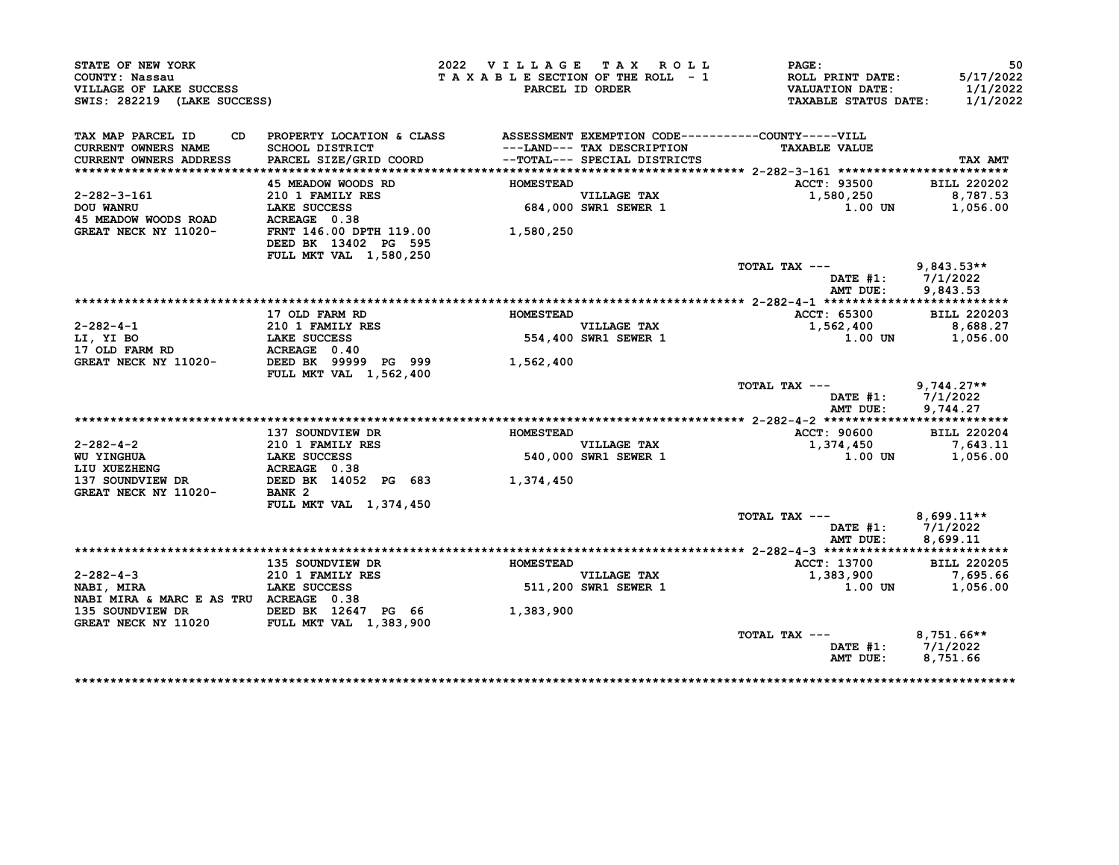| STATE OF NEW YORK                                                                                                                                                                                                      |                                                                              | 2022 VILLAGE TAX ROLL           |                                                            | PAGE:                                      | 50                    |
|------------------------------------------------------------------------------------------------------------------------------------------------------------------------------------------------------------------------|------------------------------------------------------------------------------|---------------------------------|------------------------------------------------------------|--------------------------------------------|-----------------------|
| COUNTY: Nassau<br>VILLAGE OF LAKE SUCCESS                                                                                                                                                                              |                                                                              | TAXABLE SECTION OF THE ROLL - 1 | PARCEL ID ORDER                                            | ROLL PRINT DATE:<br><b>VALUATION DATE:</b> | 5/17/2022<br>1/1/2022 |
| SWIS: 282219 (LAKE SUCCESS)                                                                                                                                                                                            |                                                                              |                                 |                                                            | TAXABLE STATUS DATE: 1/1/2022              |                       |
| TAX MAP PARCEL ID<br>CD.                                                                                                                                                                                               | PROPERTY LOCATION & CLASS ASSESSMENT EXEMPTION CODE----------COUNTY-----VILL |                                 |                                                            |                                            |                       |
| <b>CURRENT OWNERS NAME</b><br><b>CURRENT OWNERS ADDRESS</b>                                                                                                                                                            | <b>SCHOOL DISTRICT</b><br>PARCEL SIZE/GRID COORD                             |                                 | ---LAND--- TAX DESCRIPTION<br>--TOTAL--- SPECIAL DISTRICTS | <b>TAXABLE VALUE</b>                       | TAX AMT               |
|                                                                                                                                                                                                                        |                                                                              |                                 |                                                            |                                            |                       |
|                                                                                                                                                                                                                        | 45 MEADOW WOODS RD                                                           | <b>HOMESTEAD</b>                |                                                            | ACCT: 93500                                | <b>BILL 220202</b>    |
| 2-282-3-161                                                                                                                                                                                                            | 210 1 FAMILY RES                                                             |                                 | VILLAGE TAX<br>684,000 SWR1 SEWER 1                        | 1,580,250                                  | 8,787.53              |
| <b>DOU WANRU</b>                                                                                                                                                                                                       | LAKE SUCCESS                                                                 |                                 |                                                            | 1.00 UN                                    | 1,056.00              |
| 45 MEADOW WOODS ROAD                                                                                                                                                                                                   |                                                                              |                                 |                                                            |                                            |                       |
| GREAT NECK NY 11020-                                                                                                                                                                                                   |                                                                              | 1,580,250                       |                                                            |                                            |                       |
|                                                                                                                                                                                                                        | DEED BK 13402 PG 595                                                         |                                 |                                                            |                                            |                       |
|                                                                                                                                                                                                                        | FULL MKT VAL 1,580,250                                                       |                                 |                                                            |                                            |                       |
|                                                                                                                                                                                                                        |                                                                              |                                 |                                                            | TOTAL TAX --- 9,843.53**                   |                       |
|                                                                                                                                                                                                                        |                                                                              |                                 |                                                            | DATE #1: 7/1/2022                          |                       |
|                                                                                                                                                                                                                        |                                                                              |                                 |                                                            | AMT DUE:                                   | 9,843.53              |
|                                                                                                                                                                                                                        |                                                                              |                                 |                                                            |                                            |                       |
|                                                                                                                                                                                                                        | 17 OLD FARM RD                                                               | <b>HOMESTEAD</b>                |                                                            | ACCT: 65300                                | <b>BILL 220203</b>    |
|                                                                                                                                                                                                                        |                                                                              |                                 | VILLAGE TAX<br>554,400 SWR1 SEWER 1                        | 1,562,400                                  | 8,688.27              |
|                                                                                                                                                                                                                        |                                                                              |                                 |                                                            | 1.00 UN                                    | 1,056.00              |
|                                                                                                                                                                                                                        |                                                                              |                                 |                                                            |                                            |                       |
| 2-282-4-1<br>LI, YI BO 1 FAMILY RES<br>17 OLD FARM RD 1020-2022 2023<br>GREAT NECK NY 11020-2022 2023 2023<br>2023 2023 2023 2024<br>2022 2023 2024<br>2022 2023 2024<br>2022 2023 2024<br>2022 2023 2024<br>2022 2024 |                                                                              | 1,562,400                       |                                                            |                                            |                       |
|                                                                                                                                                                                                                        | <b>FULL MKT VAL 1,562,400</b>                                                |                                 |                                                            |                                            |                       |
|                                                                                                                                                                                                                        |                                                                              |                                 |                                                            | TOTAL TAX $---$ 9,744.27**                 |                       |
|                                                                                                                                                                                                                        |                                                                              |                                 |                                                            | DATE #1: 7/1/2022                          |                       |
|                                                                                                                                                                                                                        |                                                                              |                                 |                                                            | AMT DUE:                                   | 9,744.27              |
|                                                                                                                                                                                                                        |                                                                              |                                 |                                                            |                                            |                       |
|                                                                                                                                                                                                                        | 137 SOUNDVIEW DR                                                             | <b>HOMESTEAD</b>                |                                                            | ACCT: 90600                                | <b>BILL 220204</b>    |
| 2-282-4-2<br>WU YINGHUA<br>MU YINGHUA<br>LAKE SUCCESS<br>LIU XUEZHENG<br>137 SOUNDVIEW DR<br>GREAT NECK NY 11020-<br>BANK 2                                                                                            |                                                                              |                                 |                                                            | 1,374,450                                  | 7,643.11              |
|                                                                                                                                                                                                                        |                                                                              |                                 | VILLAGE TAX<br>540,000 SWR1 SEWER 1                        | 1.00 UN                                    | 1,056.00              |
|                                                                                                                                                                                                                        |                                                                              |                                 |                                                            |                                            |                       |
|                                                                                                                                                                                                                        |                                                                              |                                 |                                                            |                                            |                       |
|                                                                                                                                                                                                                        |                                                                              |                                 |                                                            |                                            |                       |
|                                                                                                                                                                                                                        | FULL MKT VAL 1,374,450                                                       |                                 |                                                            |                                            |                       |
|                                                                                                                                                                                                                        |                                                                              |                                 |                                                            | TOTAL TAX ---                              | $8,699.11**$          |
|                                                                                                                                                                                                                        |                                                                              |                                 |                                                            | DATE #1:                                   | 7/1/2022              |
|                                                                                                                                                                                                                        |                                                                              |                                 |                                                            | AMT DUE:                                   | 8,699.11              |
|                                                                                                                                                                                                                        |                                                                              |                                 |                                                            |                                            |                       |
|                                                                                                                                                                                                                        | 135 SOUNDVIEW DR                                                             |                                 |                                                            | <b>ACCT: 13700</b>                         | <b>BILL 220205</b>    |
| $2 - 282 - 4 - 3$                                                                                                                                                                                                      | <b>210 1 FAMILY RES</b>                                                      | <b>HOMESTEAD</b>                |                                                            | 1,383,900                                  | 7,695.66              |
| NABI, MIRA                                                                                                                                                                                                             | <b>LAKE SUCCESS</b>                                                          |                                 | VILLAGE TAX<br>511,200 SWR1 SEWER 1                        |                                            | 1.00 UN 1,056.00      |
| NABI MIRA & MARC E AS TRU ACREAGE 0.38                                                                                                                                                                                 |                                                                              |                                 |                                                            |                                            |                       |
|                                                                                                                                                                                                                        |                                                                              |                                 |                                                            |                                            |                       |
| 135 SOUNDVIEW DR DEED BK 12647 PG 66<br>GREAT NECK NY 11020 FULL MKT VAL 1,383,900                                                                                                                                     |                                                                              | 1,383,900                       |                                                            |                                            |                       |
|                                                                                                                                                                                                                        |                                                                              |                                 |                                                            | TOTAL TAX ---                              |                       |
|                                                                                                                                                                                                                        |                                                                              |                                 |                                                            | DATE #1: 7/1/2022                          | $8,751.66**$          |
|                                                                                                                                                                                                                        |                                                                              |                                 |                                                            | AMT DUE:                                   | 8,751.66              |
|                                                                                                                                                                                                                        |                                                                              |                                 |                                                            |                                            |                       |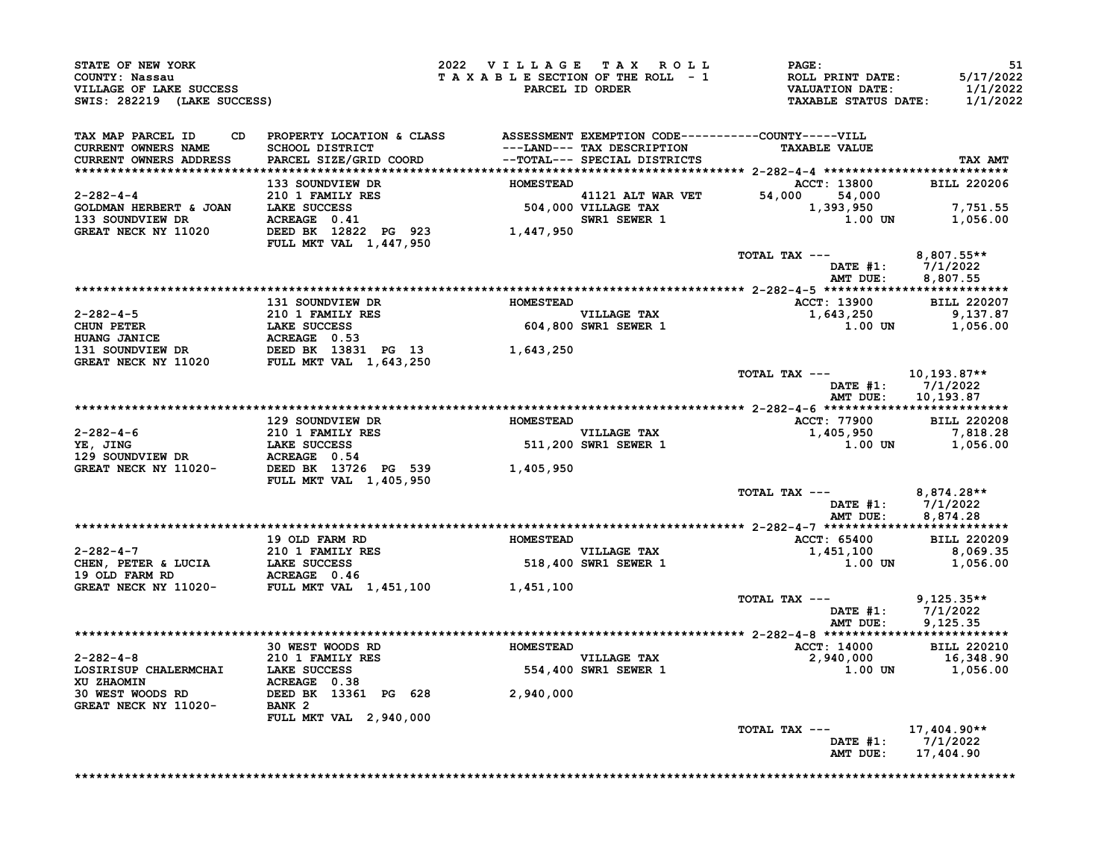|                                                                    | <b>STATE OF NEW YORK<br/>COUNTY: Nassau<br/>VILLAGE OF LAKE SUCCESS<br/>SWIS: 282219 (LAKE SUCCESS)</b>                                                                                                                                                                                                                                                                                                  | 2022 VILLAGE TAX ROLL | <b>PAGE:</b><br>TAXABLE SECTION OF THE ROLL - 1<br>PARCEL ID ORDER<br>PARCEL ID ORDER<br>TAXABLE STATUS DATE: 1/1/2022 | 51                                      |
|--------------------------------------------------------------------|----------------------------------------------------------------------------------------------------------------------------------------------------------------------------------------------------------------------------------------------------------------------------------------------------------------------------------------------------------------------------------------------------------|-----------------------|------------------------------------------------------------------------------------------------------------------------|-----------------------------------------|
| TAX MAP PARCEL ID<br>CURRENT OWNERS NAME<br>CURRENT OWNERS ADDRESS | CD PROPERTY LOCATION & CLASS ASSESSMENT EXEMPTION CODE----------COUNTY-----VILL<br>SCHOOL DISTRICT ---LAND--- TAX DESCRIPTION TAXABLE VALUE<br>SPARCEL SIZE/GRID COORD --TOTAL--- SPECIAL DISTRICTS                                                                                                                                                                                                      |                       |                                                                                                                        | TAX AMT                                 |
|                                                                    |                                                                                                                                                                                                                                                                                                                                                                                                          |                       |                                                                                                                        |                                         |
|                                                                    |                                                                                                                                                                                                                                                                                                                                                                                                          |                       |                                                                                                                        |                                         |
|                                                                    |                                                                                                                                                                                                                                                                                                                                                                                                          |                       |                                                                                                                        |                                         |
|                                                                    |                                                                                                                                                                                                                                                                                                                                                                                                          |                       |                                                                                                                        |                                         |
|                                                                    |                                                                                                                                                                                                                                                                                                                                                                                                          |                       |                                                                                                                        |                                         |
|                                                                    |                                                                                                                                                                                                                                                                                                                                                                                                          |                       |                                                                                                                        |                                         |
|                                                                    |                                                                                                                                                                                                                                                                                                                                                                                                          |                       | TOTAL TAX ---<br>DATE #1: 7/1/2022<br>AMT DUE: 8,807.55                                                                |                                         |
|                                                                    |                                                                                                                                                                                                                                                                                                                                                                                                          |                       |                                                                                                                        |                                         |
|                                                                    |                                                                                                                                                                                                                                                                                                                                                                                                          |                       |                                                                                                                        |                                         |
|                                                                    |                                                                                                                                                                                                                                                                                                                                                                                                          |                       |                                                                                                                        |                                         |
|                                                                    |                                                                                                                                                                                                                                                                                                                                                                                                          |                       |                                                                                                                        |                                         |
|                                                                    |                                                                                                                                                                                                                                                                                                                                                                                                          |                       |                                                                                                                        |                                         |
|                                                                    |                                                                                                                                                                                                                                                                                                                                                                                                          |                       |                                                                                                                        |                                         |
|                                                                    | $\begin{tabular}{lllllllllllllllllllll} \multicolumn{4}{c c c c c c} \multicolumn{4}{c c c c} \multicolumn{4}{c c c c} \multicolumn{4}{c c c} \multicolumn{4}{c c c} \multicolumn{4}{c c c} \multicolumn{4}{c c c} \multicolumn{4}{c c c} \multicolumn{4}{c c c} \multicolumn{4}{c c c} \multicolumn{4}{c c c} \multicolumn{4}{c c c} \multicolumn{4}{c c c} \multicolumn{4}{c c c} \multicolumn{4}{c c$ |                       | TOTAL TAX --- $10,193.87**$                                                                                            |                                         |
|                                                                    |                                                                                                                                                                                                                                                                                                                                                                                                          |                       |                                                                                                                        | DATE #1: 7/1/2022<br>AMT DUE: 10,193.87 |
|                                                                    |                                                                                                                                                                                                                                                                                                                                                                                                          |                       |                                                                                                                        |                                         |
|                                                                    |                                                                                                                                                                                                                                                                                                                                                                                                          |                       |                                                                                                                        |                                         |
|                                                                    |                                                                                                                                                                                                                                                                                                                                                                                                          |                       |                                                                                                                        |                                         |
|                                                                    |                                                                                                                                                                                                                                                                                                                                                                                                          |                       |                                                                                                                        |                                         |
|                                                                    |                                                                                                                                                                                                                                                                                                                                                                                                          |                       |                                                                                                                        |                                         |
|                                                                    |                                                                                                                                                                                                                                                                                                                                                                                                          |                       |                                                                                                                        |                                         |
|                                                                    |                                                                                                                                                                                                                                                                                                                                                                                                          |                       |                                                                                                                        |                                         |
|                                                                    | $\begin{tabular}{lllllllllllllllllll} \multicolumn{4}{c c c c c c} \multicolumn{4}{c c c c} \multicolumn{4}{c c c c} \multicolumn{4}{c c c} \multicolumn{4}{c c c} \multicolumn{4}{c c c} \multicolumn{4}{c c c} \multicolumn{4}{c c c} \multicolumn{4}{c c c} \multicolumn{4}{c c c} \multicolumn{4}{c c c} \multicolumn{4}{c c c} \multicolumn{4}{c c c} \multicolumn{4}{c c c} \multicolumn{4}{c c $  |                       | TOTAL TAX --- $8,874.28**$                                                                                             | DATE #1: 7/1/2022<br>AMT DUE: 8,874.28  |
|                                                                    |                                                                                                                                                                                                                                                                                                                                                                                                          |                       |                                                                                                                        |                                         |
|                                                                    |                                                                                                                                                                                                                                                                                                                                                                                                          |                       |                                                                                                                        |                                         |
|                                                                    |                                                                                                                                                                                                                                                                                                                                                                                                          |                       |                                                                                                                        |                                         |
|                                                                    |                                                                                                                                                                                                                                                                                                                                                                                                          |                       |                                                                                                                        |                                         |
|                                                                    |                                                                                                                                                                                                                                                                                                                                                                                                          |                       |                                                                                                                        |                                         |
|                                                                    |                                                                                                                                                                                                                                                                                                                                                                                                          |                       |                                                                                                                        |                                         |
|                                                                    |                                                                                                                                                                                                                                                                                                                                                                                                          |                       | TOTAL TAX --- $9,125.35**$                                                                                             |                                         |
|                                                                    |                                                                                                                                                                                                                                                                                                                                                                                                          |                       |                                                                                                                        |                                         |
|                                                                    |                                                                                                                                                                                                                                                                                                                                                                                                          |                       |                                                                                                                        |                                         |
|                                                                    |                                                                                                                                                                                                                                                                                                                                                                                                          |                       |                                                                                                                        |                                         |
|                                                                    |                                                                                                                                                                                                                                                                                                                                                                                                          |                       |                                                                                                                        |                                         |
|                                                                    |                                                                                                                                                                                                                                                                                                                                                                                                          |                       |                                                                                                                        |                                         |
|                                                                    |                                                                                                                                                                                                                                                                                                                                                                                                          |                       |                                                                                                                        |                                         |
|                                                                    |                                                                                                                                                                                                                                                                                                                                                                                                          |                       |                                                                                                                        |                                         |
|                                                                    |                                                                                                                                                                                                                                                                                                                                                                                                          |                       | TOTAL TAX ---<br>DATE #1: $7/1/2022$                                                                                   |                                         |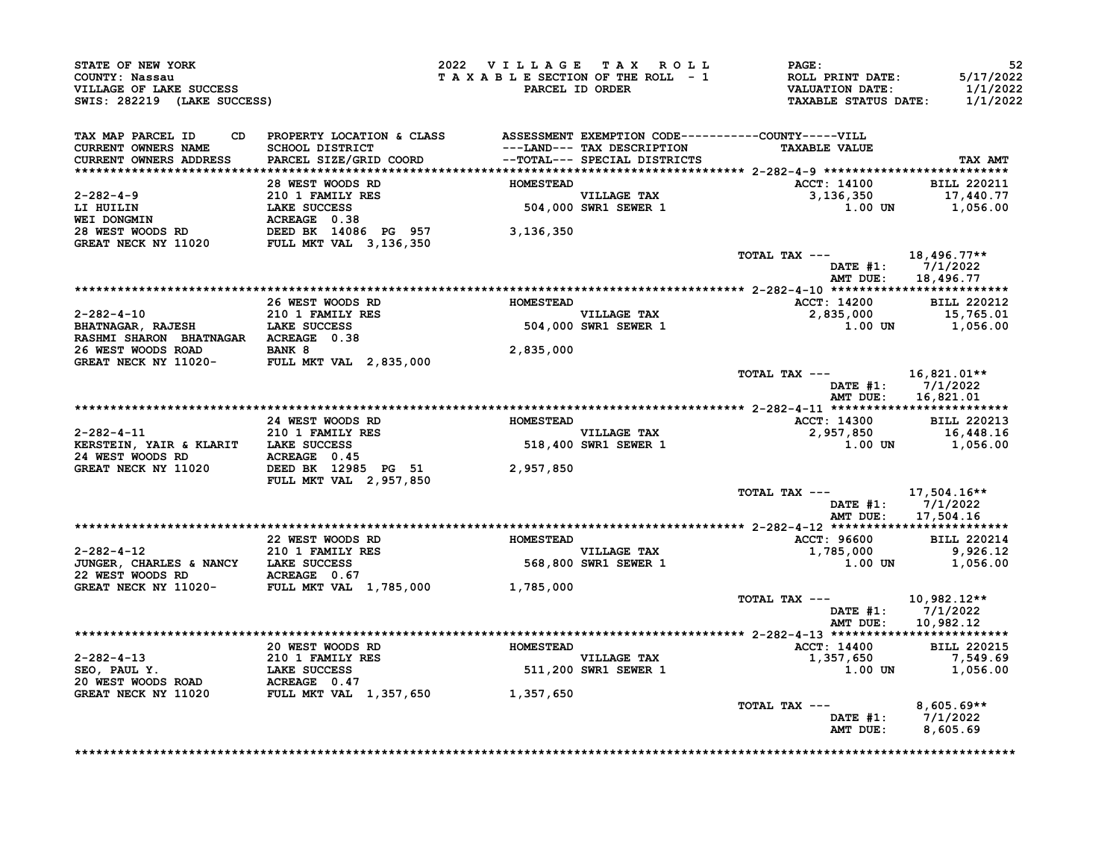| PROPERTY LOCATION & CLASS               ASSESSMENT EXEMPTION CODE----------COUNTY-----VILL<br>SCHOOL DISTRICT                               --LAND--- TAX DESCRIPTION                  TAXABLE VALUE<br>PARCEL SIZE/GRID COORD<br>2-282-4-9<br>28 WEST WOODS RD<br>28 WEST WOODS RD<br>CREAT NECK NY 11020<br>CREAT NECK NY 11020<br>CREAT NECK NY 11020<br>FULL MKT VAL 3,136,350<br>CREAT NECK NY 11020<br>FULL MKT VAL 3,136,350<br>28 WEST WOODS RD<br>CREAT NECK NY 11020<br>PULL |  | TAXABLE SECTION OF THE ROLL - 1<br>TAXABLE SECTION OF THE ROLL - 1<br>PARCEL ID ORDER TAXABLE STATUS DATE: 1/1/2022                                                                                                                                                                                                                                      |                                                                                                                                                                                                                                                                           |
|----------------------------------------------------------------------------------------------------------------------------------------------------------------------------------------------------------------------------------------------------------------------------------------------------------------------------------------------------------------------------------------------------------------------------------------------------------------------------------------|--|----------------------------------------------------------------------------------------------------------------------------------------------------------------------------------------------------------------------------------------------------------------------------------------------------------------------------------------------------------|---------------------------------------------------------------------------------------------------------------------------------------------------------------------------------------------------------------------------------------------------------------------------|
|                                                                                                                                                                                                                                                                                                                                                                                                                                                                                        |  |                                                                                                                                                                                                                                                                                                                                                          |                                                                                                                                                                                                                                                                           |
|                                                                                                                                                                                                                                                                                                                                                                                                                                                                                        |  |                                                                                                                                                                                                                                                                                                                                                          | TAX AMT                                                                                                                                                                                                                                                                   |
|                                                                                                                                                                                                                                                                                                                                                                                                                                                                                        |  |                                                                                                                                                                                                                                                                                                                                                          |                                                                                                                                                                                                                                                                           |
|                                                                                                                                                                                                                                                                                                                                                                                                                                                                                        |  |                                                                                                                                                                                                                                                                                                                                                          |                                                                                                                                                                                                                                                                           |
|                                                                                                                                                                                                                                                                                                                                                                                                                                                                                        |  | ACCT: 14100 BILL 220211<br>3,136,350 17,440.77<br>1.00 UN 1,056.00                                                                                                                                                                                                                                                                                       |                                                                                                                                                                                                                                                                           |
|                                                                                                                                                                                                                                                                                                                                                                                                                                                                                        |  |                                                                                                                                                                                                                                                                                                                                                          |                                                                                                                                                                                                                                                                           |
|                                                                                                                                                                                                                                                                                                                                                                                                                                                                                        |  |                                                                                                                                                                                                                                                                                                                                                          |                                                                                                                                                                                                                                                                           |
|                                                                                                                                                                                                                                                                                                                                                                                                                                                                                        |  |                                                                                                                                                                                                                                                                                                                                                          |                                                                                                                                                                                                                                                                           |
|                                                                                                                                                                                                                                                                                                                                                                                                                                                                                        |  | TOTAL TAX $---$ 18,496.77**                                                                                                                                                                                                                                                                                                                              |                                                                                                                                                                                                                                                                           |
|                                                                                                                                                                                                                                                                                                                                                                                                                                                                                        |  |                                                                                                                                                                                                                                                                                                                                                          | DATE #1: 7/1/2022<br>AMT DUE: 18,496.77                                                                                                                                                                                                                                   |
|                                                                                                                                                                                                                                                                                                                                                                                                                                                                                        |  |                                                                                                                                                                                                                                                                                                                                                          |                                                                                                                                                                                                                                                                           |
|                                                                                                                                                                                                                                                                                                                                                                                                                                                                                        |  | 26 WEST WOODS RD<br>26 WEST WOODS RD<br>26 WEST WOODS RD<br>210 1 FAMILY RES<br>27.835,000<br>27.835,000<br>27.835,000<br>27.835,000<br>27.835,000<br>27.835,000<br>27.835,000<br>27.835,000<br>27.835,000<br>27.835,000<br>27.835,000<br>27.835,000<br>27.835                                                                                           |                                                                                                                                                                                                                                                                           |
|                                                                                                                                                                                                                                                                                                                                                                                                                                                                                        |  |                                                                                                                                                                                                                                                                                                                                                          |                                                                                                                                                                                                                                                                           |
|                                                                                                                                                                                                                                                                                                                                                                                                                                                                                        |  |                                                                                                                                                                                                                                                                                                                                                          |                                                                                                                                                                                                                                                                           |
|                                                                                                                                                                                                                                                                                                                                                                                                                                                                                        |  |                                                                                                                                                                                                                                                                                                                                                          |                                                                                                                                                                                                                                                                           |
|                                                                                                                                                                                                                                                                                                                                                                                                                                                                                        |  |                                                                                                                                                                                                                                                                                                                                                          |                                                                                                                                                                                                                                                                           |
|                                                                                                                                                                                                                                                                                                                                                                                                                                                                                        |  |                                                                                                                                                                                                                                                                                                                                                          |                                                                                                                                                                                                                                                                           |
|                                                                                                                                                                                                                                                                                                                                                                                                                                                                                        |  | TOTAL TAX --- $16,821.01**$                                                                                                                                                                                                                                                                                                                              |                                                                                                                                                                                                                                                                           |
|                                                                                                                                                                                                                                                                                                                                                                                                                                                                                        |  |                                                                                                                                                                                                                                                                                                                                                          | DATE #1: 7/1/2022                                                                                                                                                                                                                                                         |
|                                                                                                                                                                                                                                                                                                                                                                                                                                                                                        |  |                                                                                                                                                                                                                                                                                                                                                          | AMT DUE: 16,821.01                                                                                                                                                                                                                                                        |
|                                                                                                                                                                                                                                                                                                                                                                                                                                                                                        |  |                                                                                                                                                                                                                                                                                                                                                          |                                                                                                                                                                                                                                                                           |
|                                                                                                                                                                                                                                                                                                                                                                                                                                                                                        |  |                                                                                                                                                                                                                                                                                                                                                          |                                                                                                                                                                                                                                                                           |
|                                                                                                                                                                                                                                                                                                                                                                                                                                                                                        |  |                                                                                                                                                                                                                                                                                                                                                          |                                                                                                                                                                                                                                                                           |
|                                                                                                                                                                                                                                                                                                                                                                                                                                                                                        |  |                                                                                                                                                                                                                                                                                                                                                          |                                                                                                                                                                                                                                                                           |
|                                                                                                                                                                                                                                                                                                                                                                                                                                                                                        |  | $\begin{tabular}{cccccc} 2-282-4-11 & & 24 WEST WODS RD & & & 1.0003 RD & & 2.282-4-11 & **************& & 2-282-4-11 & ************& & & 2-282-4-11 & ************& & & 2-282-4-11 & ************& & & 2-282-4-11 & *********& & & 2-282-4-11 & *********& & & 2-282-4-11 & ******& & & 2-282-4-11 & ******& & & 2-282-4-11 & ******& & & 2-282-4-11 &$ |                                                                                                                                                                                                                                                                           |
|                                                                                                                                                                                                                                                                                                                                                                                                                                                                                        |  |                                                                                                                                                                                                                                                                                                                                                          |                                                                                                                                                                                                                                                                           |
|                                                                                                                                                                                                                                                                                                                                                                                                                                                                                        |  | TOTAL TAX --- 17,504.16**                                                                                                                                                                                                                                                                                                                                |                                                                                                                                                                                                                                                                           |
|                                                                                                                                                                                                                                                                                                                                                                                                                                                                                        |  |                                                                                                                                                                                                                                                                                                                                                          | DATE #1: 7/1/2022                                                                                                                                                                                                                                                         |
|                                                                                                                                                                                                                                                                                                                                                                                                                                                                                        |  |                                                                                                                                                                                                                                                                                                                                                          | AMT DUE: 17,504.16                                                                                                                                                                                                                                                        |
|                                                                                                                                                                                                                                                                                                                                                                                                                                                                                        |  |                                                                                                                                                                                                                                                                                                                                                          |                                                                                                                                                                                                                                                                           |
|                                                                                                                                                                                                                                                                                                                                                                                                                                                                                        |  |                                                                                                                                                                                                                                                                                                                                                          |                                                                                                                                                                                                                                                                           |
|                                                                                                                                                                                                                                                                                                                                                                                                                                                                                        |  |                                                                                                                                                                                                                                                                                                                                                          |                                                                                                                                                                                                                                                                           |
|                                                                                                                                                                                                                                                                                                                                                                                                                                                                                        |  | 22 WEST WOODS RD<br>22 WEST WOODS RD<br>210 1 FAMILY RES<br>310 1 FAMILY RES<br>32 WEST WOODS RD<br>210 1 FAMILY RES<br>22 WEST ACREAGE 0.67<br>22 WEST WOODS RD<br>3926.12<br>22 WEST WOODS RD<br>3926.12<br>368,800 SWR1 SEWER 1<br>3.00 UN<br>3.00 UN                                                                                                 |                                                                                                                                                                                                                                                                           |
|                                                                                                                                                                                                                                                                                                                                                                                                                                                                                        |  |                                                                                                                                                                                                                                                                                                                                                          |                                                                                                                                                                                                                                                                           |
|                                                                                                                                                                                                                                                                                                                                                                                                                                                                                        |  |                                                                                                                                                                                                                                                                                                                                                          |                                                                                                                                                                                                                                                                           |
|                                                                                                                                                                                                                                                                                                                                                                                                                                                                                        |  | TOTAL TAX ---                                                                                                                                                                                                                                                                                                                                            | 10,982.12**                                                                                                                                                                                                                                                               |
|                                                                                                                                                                                                                                                                                                                                                                                                                                                                                        |  |                                                                                                                                                                                                                                                                                                                                                          | DATE #1: 7/1/2022                                                                                                                                                                                                                                                         |
|                                                                                                                                                                                                                                                                                                                                                                                                                                                                                        |  |                                                                                                                                                                                                                                                                                                                                                          | AMT DUE: 10,982.12                                                                                                                                                                                                                                                        |
|                                                                                                                                                                                                                                                                                                                                                                                                                                                                                        |  |                                                                                                                                                                                                                                                                                                                                                          |                                                                                                                                                                                                                                                                           |
|                                                                                                                                                                                                                                                                                                                                                                                                                                                                                        |  |                                                                                                                                                                                                                                                                                                                                                          |                                                                                                                                                                                                                                                                           |
|                                                                                                                                                                                                                                                                                                                                                                                                                                                                                        |  |                                                                                                                                                                                                                                                                                                                                                          |                                                                                                                                                                                                                                                                           |
|                                                                                                                                                                                                                                                                                                                                                                                                                                                                                        |  |                                                                                                                                                                                                                                                                                                                                                          |                                                                                                                                                                                                                                                                           |
|                                                                                                                                                                                                                                                                                                                                                                                                                                                                                        |  |                                                                                                                                                                                                                                                                                                                                                          |                                                                                                                                                                                                                                                                           |
|                                                                                                                                                                                                                                                                                                                                                                                                                                                                                        |  |                                                                                                                                                                                                                                                                                                                                                          | $8,605.69**$                                                                                                                                                                                                                                                              |
|                                                                                                                                                                                                                                                                                                                                                                                                                                                                                        |  |                                                                                                                                                                                                                                                                                                                                                          | DATE #1: 7/1/2022                                                                                                                                                                                                                                                         |
|                                                                                                                                                                                                                                                                                                                                                                                                                                                                                        |  |                                                                                                                                                                                                                                                                                                                                                          | AMT DUE: 8,605.69                                                                                                                                                                                                                                                         |
|                                                                                                                                                                                                                                                                                                                                                                                                                                                                                        |  |                                                                                                                                                                                                                                                                                                                                                          | 2-282-4-13<br>20 WEST WOODS RD<br>20 WEST WOODS RD<br>20 1 FAMILY RES<br>20 1 FAMILY RES<br>20 1 FAMILY RES<br>20 1 FAMILY RES<br>20 1 FAMILY RES<br>20 1 FAMILY RES<br>20 1 FAMILY RES<br>20 1, 200 SWR1 SEWER 1<br>20 3 357, 650<br>20 20215<br>20 37,<br>TOTAL TAX --- |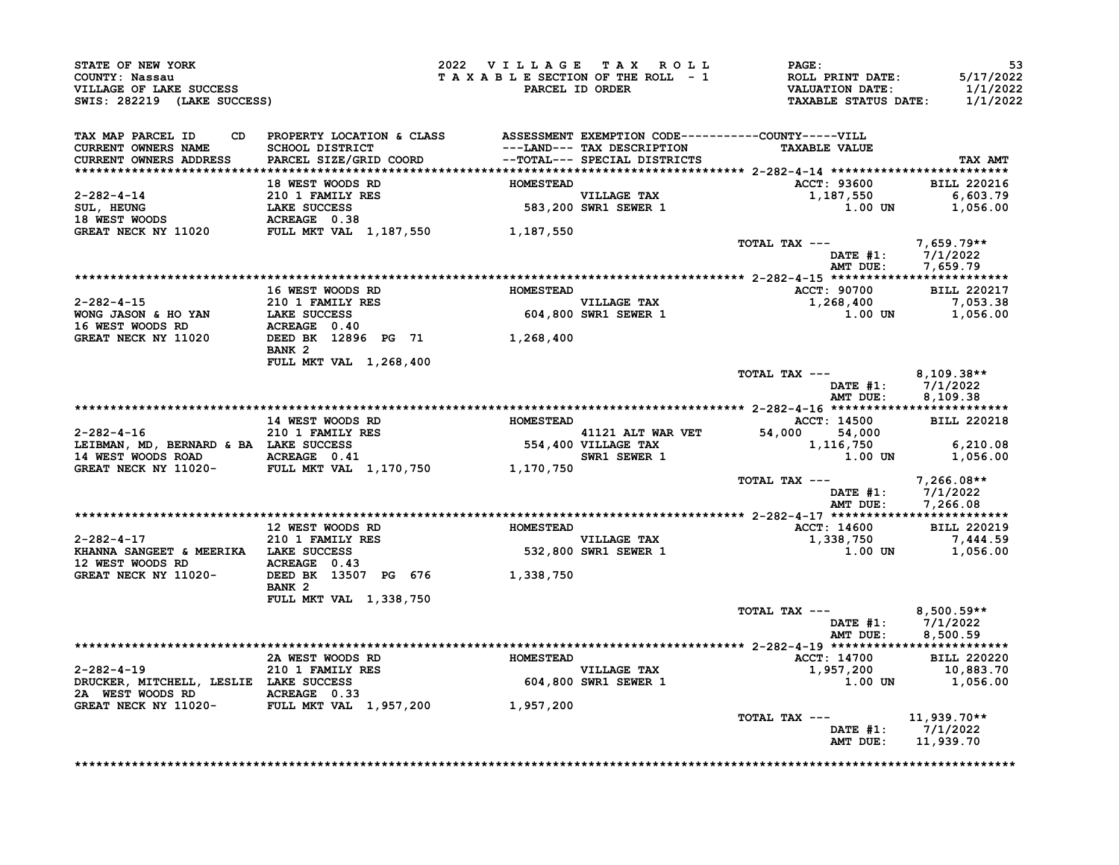|                                                                                                                                                                                                                                                    |                            |  | 2022 VILLAGE TAX ROLL PAGE:                                                                                                                                                                                                                                                                                                                                                         | 53                                     |
|----------------------------------------------------------------------------------------------------------------------------------------------------------------------------------------------------------------------------------------------------|----------------------------|--|-------------------------------------------------------------------------------------------------------------------------------------------------------------------------------------------------------------------------------------------------------------------------------------------------------------------------------------------------------------------------------------|----------------------------------------|
| STATE OF NEW YORK<br>COUNTY: Nassau<br>VILLAGE OF LAKE SUCCESS<br>SWIS: 282219 (LAKE SUCCESS)                                                                                                                                                      |                            |  | TAXABLE SECTION OF THE ROLL - 1 ROLL PRINT DATE: 5/17/2022<br>PARCEL ID ORDER VALUATION DATE: 1/1/2022<br>TAXABLE STATUS DATE: 1/1/2022                                                                                                                                                                                                                                             |                                        |
| TAX MAP PARCEL ID CD PROPERTY LOCATION & CLASS ASSESSMENT EXEMPTION CODE----------COUNTY-----VILL<br>CURRENT OWNERS NAME SCHOOL DISTRICT ---LAND--- TAX DESCRIPTION TAXABLE VALUE<br>CURRENT OWNERS ADDRESS PARCEL SIZE/GRID COORD -               |                            |  |                                                                                                                                                                                                                                                                                                                                                                                     | TAX AMT                                |
|                                                                                                                                                                                                                                                    |                            |  |                                                                                                                                                                                                                                                                                                                                                                                     |                                        |
|                                                                                                                                                                                                                                                    |                            |  | ACCT: 93600 BILL 220216                                                                                                                                                                                                                                                                                                                                                             |                                        |
| 18 WEST WOODS RD<br>18 WEST WOODS RD<br>210 1 FAMILY RES<br>301, HEUNG<br>18 WEST WOODS RD<br>210 1 FAMILY RES<br>210 1 FAMILY RES<br>383,200 SWR1 SEWER 1<br>4CREAGE 0.38<br>GREAT NECK NY 11020 FULL MKT VAL 1,187,550<br>38<br>200 SWR1 SEWER 1 |                            |  | $1,187,550$<br>1,187,550<br>1.00 UN 1,056.00                                                                                                                                                                                                                                                                                                                                        |                                        |
|                                                                                                                                                                                                                                                    |                            |  |                                                                                                                                                                                                                                                                                                                                                                                     |                                        |
|                                                                                                                                                                                                                                                    |                            |  | TOTAL TAX --- $7,659.79**$                                                                                                                                                                                                                                                                                                                                                          |                                        |
|                                                                                                                                                                                                                                                    |                            |  |                                                                                                                                                                                                                                                                                                                                                                                     |                                        |
|                                                                                                                                                                                                                                                    | 16 WEST WOODS RD MOMESTEAD |  | ACCT: 90700 BILL 220217                                                                                                                                                                                                                                                                                                                                                             |                                        |
|                                                                                                                                                                                                                                                    |                            |  |                                                                                                                                                                                                                                                                                                                                                                                     |                                        |
|                                                                                                                                                                                                                                                    | BANK 2                     |  |                                                                                                                                                                                                                                                                                                                                                                                     |                                        |
|                                                                                                                                                                                                                                                    | FULL MKT VAL 1,268,400     |  | TOTAL TAX --- 8,109.38**                                                                                                                                                                                                                                                                                                                                                            |                                        |
|                                                                                                                                                                                                                                                    |                            |  |                                                                                                                                                                                                                                                                                                                                                                                     | DATE #1: 7/1/2022<br>AMT DUE: 8,109.38 |
|                                                                                                                                                                                                                                                    |                            |  |                                                                                                                                                                                                                                                                                                                                                                                     |                                        |
|                                                                                                                                                                                                                                                    |                            |  |                                                                                                                                                                                                                                                                                                                                                                                     |                                        |
|                                                                                                                                                                                                                                                    |                            |  | 14 WEST WOODS RD<br>210 1 FAMILY RES 2-282-4-16<br>210 1 FAMILY RES 20218<br>210 1 FAMILY RES 20218<br>210 1 FAMILY RES 20218<br>210 1 FAMILY RES 20218<br>210 1 FAMILY RES 20218<br>210 1 FAMILY RES 2000<br>210 1 FAMILY RES 2000<br>210 1 FAM                                                                                                                                    |                                        |
|                                                                                                                                                                                                                                                    |                            |  | TOTAL TAX ---<br>DATE #1: 7/1/2022                                                                                                                                                                                                                                                                                                                                                  |                                        |
|                                                                                                                                                                                                                                                    |                            |  |                                                                                                                                                                                                                                                                                                                                                                                     | AMT DUE: 7,266.08                      |
|                                                                                                                                                                                                                                                    |                            |  |                                                                                                                                                                                                                                                                                                                                                                                     |                                        |
|                                                                                                                                                                                                                                                    |                            |  |                                                                                                                                                                                                                                                                                                                                                                                     |                                        |
| 12 WEST WOODS RD ACREAGE 0.43<br>GREAT NECK NY 11020- DEED BK 13507 PG 676 1,338,750                                                                                                                                                               |                            |  | $\begin{array}{cccc}\n2-282-4-17 & 12 \text{ WEST WOOD RD} & \text{HOMESTEAD} & \text{L202-4-17} & \text{ACT: 14600} & \text{BILL 220219} \\ & & 210 1 \text{ FAMILX RES} & & & \text{VILLAGE TAX} & & 1,338,750 & 7,444.59 \\ & & & 210 1 \text{ FAMILX RES} & & & & \text{VILLAGE TAX} & & 1,338,750 & & 7,444.59 \\ & & & 210 1 \text{ FAMILX RES} & & & & \text{VILLAGE TAX} &$ |                                        |
|                                                                                                                                                                                                                                                    | BANK <sub>2</sub>          |  |                                                                                                                                                                                                                                                                                                                                                                                     |                                        |
|                                                                                                                                                                                                                                                    | FULL MKT VAL 1,338,750     |  | TOTAL TAX $---$ 8,500.59**                                                                                                                                                                                                                                                                                                                                                          | DATE #1: 7/1/2022<br>AMT DUE: 8,500.59 |
|                                                                                                                                                                                                                                                    |                            |  |                                                                                                                                                                                                                                                                                                                                                                                     |                                        |
|                                                                                                                                                                                                                                                    |                            |  |                                                                                                                                                                                                                                                                                                                                                                                     |                                        |
|                                                                                                                                                                                                                                                    |                            |  | 2-282-4-19<br>2A WEST WOODS RD<br>2D I FAMILY RES<br>2D 1 FAMILY RES<br>2D 1 FAMILY RES<br>2D 1 FAMILY RES<br>2D 2020<br>2D 1 FAMILY RES<br>2D 2020<br>2D 1 FAMILY RES<br>2D 2D 1 FAMILY RES<br>2D 2D 1 FAMILY RES<br>2D 2D 1 FAMILY RES<br>2D 2D 1 FAMI                                                                                                                            |                                        |
|                                                                                                                                                                                                                                                    |                            |  |                                                                                                                                                                                                                                                                                                                                                                                     |                                        |
| GREAT NECK NY 11020-<br>FULL MKT VAL 1,957,200 1,957,200                                                                                                                                                                                           |                            |  | TOTAL TAX ---<br>DATE $#1: 7/1/2022$                                                                                                                                                                                                                                                                                                                                                | $11,939.70**$                          |
|                                                                                                                                                                                                                                                    |                            |  | AMT DUE: 11,939.70                                                                                                                                                                                                                                                                                                                                                                  |                                        |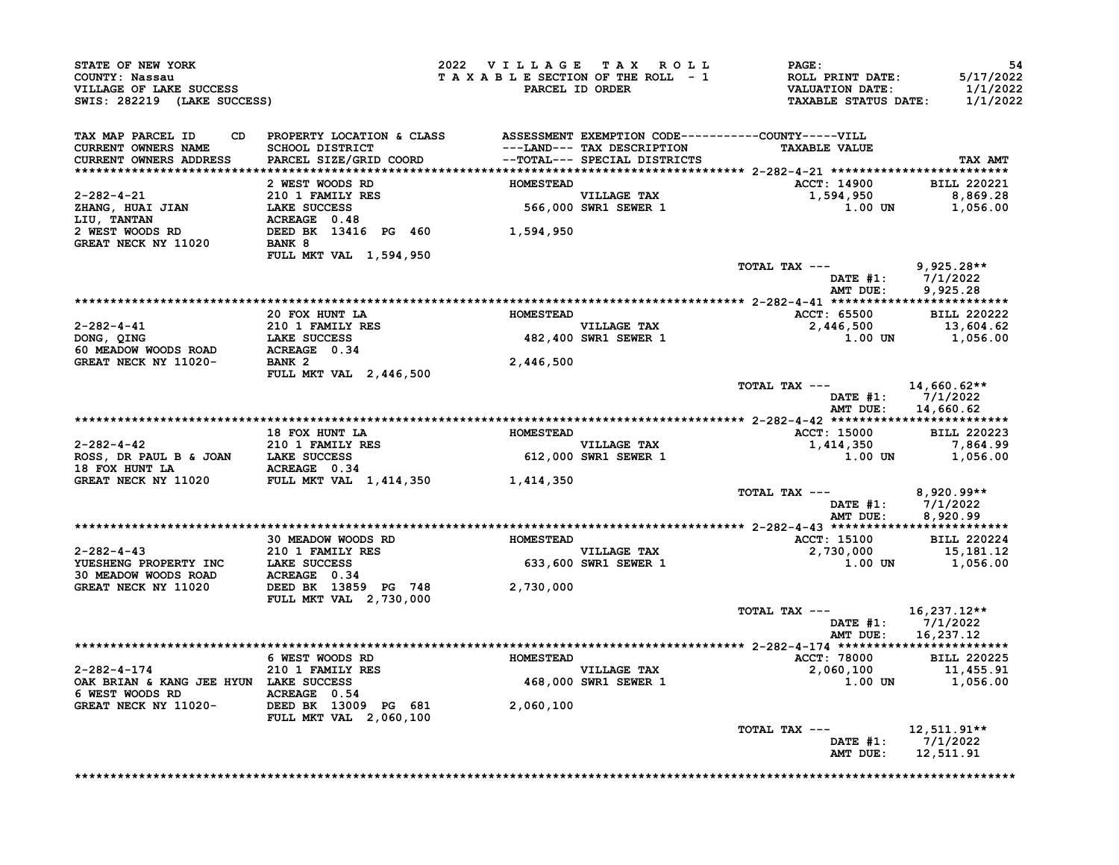| <b>CONNII: NASSAU<br/>VILLAGE OF LAKE SUCCESS<br/>SWIS: 282219 (LAKE SUCCESS)</b>                                                                                                                                                                                                                                                                                                                                                                                                    |                                                                                                                         | 2022 VILLAGE TAX ROLL | <b>PAGE:</b><br>TAXABLE SECTION OF THE ROLL - 1<br>TAXABLE SECTION OF THE ROLL - 1<br>PARCEL ID ORDER THE TAXABLE STATUS DATE: | -54<br>5/17/2022<br>1/1/2022<br>1/1/2022 |
|--------------------------------------------------------------------------------------------------------------------------------------------------------------------------------------------------------------------------------------------------------------------------------------------------------------------------------------------------------------------------------------------------------------------------------------------------------------------------------------|-------------------------------------------------------------------------------------------------------------------------|-----------------------|--------------------------------------------------------------------------------------------------------------------------------|------------------------------------------|
| TAX MAP PARCEL ID<br><b>CURRENT OWNERS NAME<br/>CURRENT OWNERS ADDRESS</b>                                                                                                                                                                                                                                                                                                                                                                                                           |                                                                                                                         |                       |                                                                                                                                | TAX AMT                                  |
|                                                                                                                                                                                                                                                                                                                                                                                                                                                                                      |                                                                                                                         |                       | ACCT: 14900 BILL 220221                                                                                                        |                                          |
|                                                                                                                                                                                                                                                                                                                                                                                                                                                                                      |                                                                                                                         |                       | $1,594,950$<br>1,594,950<br>1.00 UN 1,056.00                                                                                   |                                          |
|                                                                                                                                                                                                                                                                                                                                                                                                                                                                                      |                                                                                                                         |                       |                                                                                                                                |                                          |
|                                                                                                                                                                                                                                                                                                                                                                                                                                                                                      |                                                                                                                         |                       |                                                                                                                                |                                          |
| $\begin{tabular}{lllllllllllllllllllllll} \multicolumn{2}{c}{\multicolumn{2}{c}{\multicolumn{2}{c}{\multicolumn{2}{c}{\multicolumn{2}{c}{\multicolumn{2}{c}{\multicolumn{2}{c}{\multicolumn{2}{c}{\multicolumn{2}{c}{\multicolumn{2}{c}{\multicolumn{2}{c}{\multicolumn{2}{c}{\multicolumn{2}{c}{\multicolumn{2}{c}{\multicolumn{2}{c}{\multicolumn{2}{c}{\multicolumn{2}{c}{\multicolumn{2}{c}{\multicolumn{2}{c}{\multicolumn{2}{c}{\multicolumn{2}{c}{\multicolumn{2}{c}{\multic$ |                                                                                                                         |                       |                                                                                                                                |                                          |
|                                                                                                                                                                                                                                                                                                                                                                                                                                                                                      |                                                                                                                         |                       | TOTAL TAX --- 9,925.28**                                                                                                       |                                          |
|                                                                                                                                                                                                                                                                                                                                                                                                                                                                                      |                                                                                                                         |                       |                                                                                                                                | DATE #1: 7/1/2022<br>AMT DUE: 9,925.28   |
|                                                                                                                                                                                                                                                                                                                                                                                                                                                                                      |                                                                                                                         |                       |                                                                                                                                |                                          |
|                                                                                                                                                                                                                                                                                                                                                                                                                                                                                      | 20 FOX HUNT LA                                                                                                          |                       | ACCT: 65500 BILL 220222<br>HOMESTEAD<br>VILLAGE TAX 65500<br>482,400 SWR1 SEWER 1<br>1.00 UN                                   |                                          |
|                                                                                                                                                                                                                                                                                                                                                                                                                                                                                      |                                                                                                                         |                       | $1.00$ UN $1,056.00$                                                                                                           | 13,604.62                                |
|                                                                                                                                                                                                                                                                                                                                                                                                                                                                                      |                                                                                                                         |                       |                                                                                                                                |                                          |
| $2-282-4-41$<br>$21011 FAMILY RES\nDONG, QING\n60 MEADOW WOOD ROAD\nGREAT NECK NY 11020-\nBANK 2\n1011 FAMILY RES\nACREAGE 0.34\n1020-\n10101 FAMILY RES$                                                                                                                                                                                                                                                                                                                            | <b>BANK 2<br/>FULL MKT VAL 2,446,500</b>                                                                                | 2,446,500             |                                                                                                                                |                                          |
|                                                                                                                                                                                                                                                                                                                                                                                                                                                                                      |                                                                                                                         |                       | TOTAL TAX $---$ 14,660.62**<br>DATE #1: 7/1/2022                                                                               | AMT DUE: 14,660.62                       |
|                                                                                                                                                                                                                                                                                                                                                                                                                                                                                      |                                                                                                                         |                       |                                                                                                                                |                                          |
|                                                                                                                                                                                                                                                                                                                                                                                                                                                                                      |                                                                                                                         |                       |                                                                                                                                |                                          |
|                                                                                                                                                                                                                                                                                                                                                                                                                                                                                      |                                                                                                                         |                       |                                                                                                                                |                                          |
| 18 FOX HUNT LA<br>2-282-4-42<br>210 1 FAMILY RES<br>ROSS, DR PAUL B & JOAN<br>LAKE SUCCESS<br>19 FOX HUNT LA<br>ACREAGE 0.34<br>GREAT NECK NY 11020<br>FULL MKT VAL 1,414,350<br>FULL MKT VAL 1,414,350<br>1,414,350<br>1,414,350<br>2.000 SWR1 SEWER                                                                                                                                                                                                                                |                                                                                                                         |                       |                                                                                                                                |                                          |
|                                                                                                                                                                                                                                                                                                                                                                                                                                                                                      |                                                                                                                         |                       | TOTAL TAX --- $8,920.99**$                                                                                                     | DATE #1: 7/1/2022<br>AMT DUE: 8,920.99   |
|                                                                                                                                                                                                                                                                                                                                                                                                                                                                                      |                                                                                                                         |                       |                                                                                                                                |                                          |
|                                                                                                                                                                                                                                                                                                                                                                                                                                                                                      |                                                                                                                         |                       | $\text{ACT: } 15100$<br>$\text{ACT: } 15100$<br>$2.730,000$<br>$\text{BILL } 220224$<br>$\text{BILL } 220224$                  |                                          |
|                                                                                                                                                                                                                                                                                                                                                                                                                                                                                      | EXAMPLE THE SOLUTION OF SUITE TO MESTEAD<br>210 1 FAMILY RES<br>210 1 FAMILY RES<br>210 1 ANGE SUCCESS 200 SWEL SEWER 1 |                       | $1.00$ UN $1,056.00$                                                                                                           |                                          |
|                                                                                                                                                                                                                                                                                                                                                                                                                                                                                      | FULL MKT VAL 2,730,000                                                                                                  |                       |                                                                                                                                |                                          |
|                                                                                                                                                                                                                                                                                                                                                                                                                                                                                      |                                                                                                                         |                       | TOTAL TAX $---$ 16,237.12**                                                                                                    | DATE #1: 7/1/2022<br>AMT DUE: 16,237.12  |
|                                                                                                                                                                                                                                                                                                                                                                                                                                                                                      |                                                                                                                         |                       |                                                                                                                                |                                          |
|                                                                                                                                                                                                                                                                                                                                                                                                                                                                                      |                                                                                                                         |                       | ACCT: 78000 BILL 220225                                                                                                        |                                          |
|                                                                                                                                                                                                                                                                                                                                                                                                                                                                                      | FOREST WOODS RD<br>210 1 FAMILY RES<br>LAKE SUCCESS 200 1 ALLER TAX                                                     |                       | $2,060,100$<br>1.00 $1,455.91$<br>1.00 DN $1,056.00$                                                                           |                                          |
| 2-282-4-174<br>OAK BRIAN & KANG JEE HYUN LAKE SUCCESS<br>6 WEST WOODS RD<br>GREAT NECK NY 11020-<br>CREAT NECK NY 11020-<br>PULL MKT VAL 2,060,100<br>PULL MKT VAL 2,060,100<br>PULL MKT VAL 2,060,100                                                                                                                                                                                                                                                                               |                                                                                                                         |                       |                                                                                                                                |                                          |
|                                                                                                                                                                                                                                                                                                                                                                                                                                                                                      |                                                                                                                         |                       | TOTAL TAX ---<br>AMT DUE: 12,511.91                                                                                            | 12,511.91**<br>DATE #1: 7/1/2022         |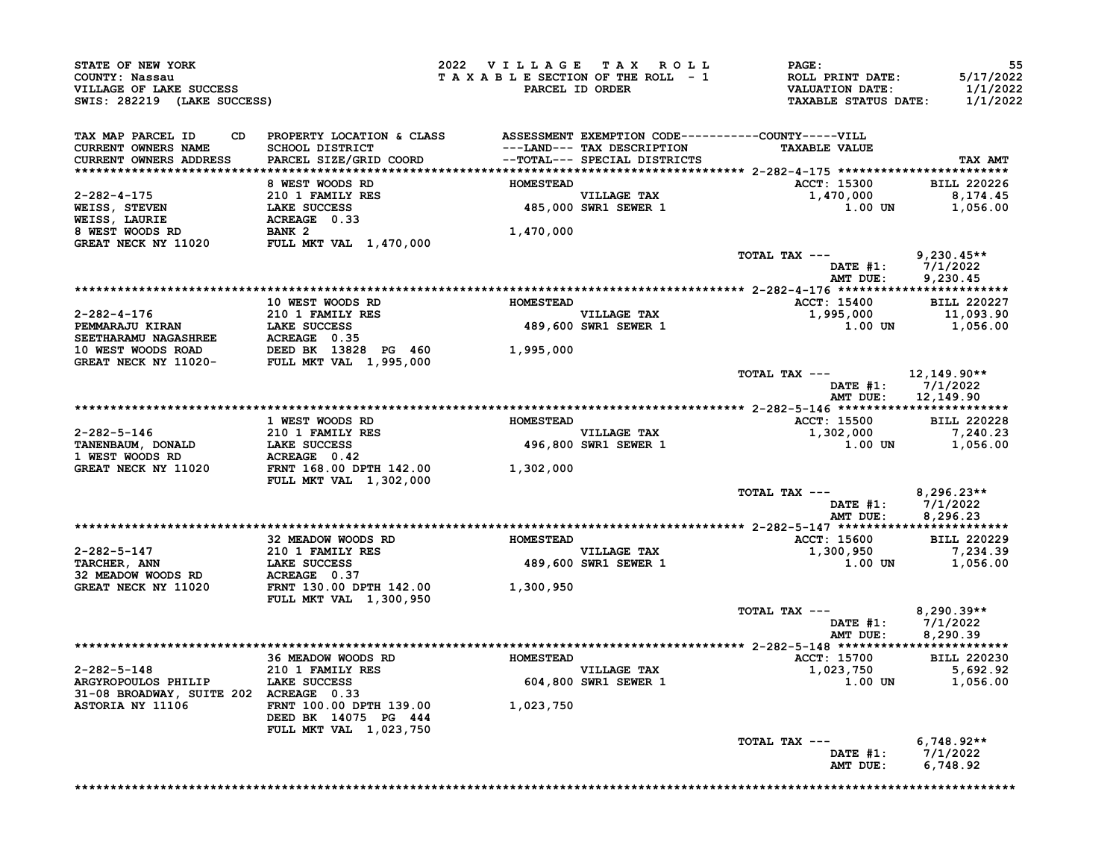| STATE OF NEW YORK<br>COUNTY: Nassau<br>VILLAGE OF LAKE SUCCESS<br>SWIS: 282219 (LAKE SUCCESS)              |                                                                              | 2022 VILLAGE TAX ROLL<br>TAXABLE SECTION OF THE ROLL - 1 | PARCEL ID ORDER                                            | <b>PAGE:</b><br>ROLL PRINT DATE:<br>VALUATION DATE:<br><b>TAXABLE STATUS DATE:</b> | 55<br>5/17/2022<br>1/1/2022<br>1/1/2022                |
|------------------------------------------------------------------------------------------------------------|------------------------------------------------------------------------------|----------------------------------------------------------|------------------------------------------------------------|------------------------------------------------------------------------------------|--------------------------------------------------------|
| TAX MAP PARCEL ID<br>CD                                                                                    | PROPERTY LOCATION & CLASS ASSESSMENT EXEMPTION CODE----------COUNTY-----VILL |                                                          |                                                            |                                                                                    |                                                        |
| <b>CURRENT OWNERS NAME</b><br>CURRENT OWNERS ADDRESS                                                       | SCHOOL DISTRICT<br>PARCEL SIZE/GRID COORD                                    |                                                          | ---LAND--- TAX DESCRIPTION<br>--TOTAL--- SPECIAL DISTRICTS | <b>TAXABLE VALUE</b>                                                               | TAX AMT                                                |
|                                                                                                            |                                                                              |                                                          |                                                            |                                                                                    |                                                        |
|                                                                                                            | 8 WEST WOODS RD                                                              | <b>HOMESTEAD</b>                                         |                                                            | ACCT: 15300 BILL 220226                                                            |                                                        |
| 2-282-4-175                                                                                                |                                                                              |                                                          | VILLAGE TAX                                                | 1,470,000                                                                          | 8,174.45                                               |
|                                                                                                            |                                                                              |                                                          | VILLAGE TAX<br>485,000 SWR1 SEWER 1                        | 1.00 UN                                                                            | 1,056.00                                               |
| <b>WEISS, STEVEN<br/>WEISS, LAURIE<br/>8 WEST WOODS RD</b>                                                 | 210 1 FAMILY RES<br>LAKE SUCCESS<br>ACREAGE 0.33<br>BANK 2                   |                                                          |                                                            |                                                                                    |                                                        |
| <b>GREAT NECK NY 11020</b>                                                                                 |                                                                              | 1,470,000                                                |                                                            |                                                                                    |                                                        |
|                                                                                                            | FULL MKT VAL 1,470,000                                                       |                                                          |                                                            | TOTAL TAX ---                                                                      | $9,230.45**$                                           |
|                                                                                                            |                                                                              |                                                          |                                                            | DATE #1: 7/1/2022<br>AMT DUE: 9,230.45                                             |                                                        |
|                                                                                                            |                                                                              |                                                          |                                                            |                                                                                    |                                                        |
|                                                                                                            | 10 WEST WOODS RD                                                             | <b>HOMESTEAD</b>                                         |                                                            | ACCT: 15400 BILL 220227                                                            |                                                        |
|                                                                                                            |                                                                              |                                                          | <b>VILLAGE TAX</b><br>VILLAGE TAX<br>489,600 SWR1 SEWER 1  | 1,995,000                                                                          | 11,093.90                                              |
|                                                                                                            |                                                                              |                                                          |                                                            |                                                                                    | 1.00 UN 1,056.00                                       |
|                                                                                                            |                                                                              |                                                          |                                                            |                                                                                    |                                                        |
|                                                                                                            |                                                                              |                                                          |                                                            |                                                                                    |                                                        |
|                                                                                                            |                                                                              |                                                          |                                                            | TOTAL TAX ---<br>DATE #1:                                                          | 12,149.90**<br>7/1/2022                                |
|                                                                                                            |                                                                              |                                                          |                                                            | AMT DUE:                                                                           | 12,149.90                                              |
|                                                                                                            | 1 WEST WOODS RD                                                              | <b>HOMESTEAD</b>                                         |                                                            | ACCT: 15500 BILL 220228                                                            |                                                        |
|                                                                                                            |                                                                              |                                                          | <b>VILLAGE TAX</b>                                         | 1,302,000                                                                          | 7,240.23                                               |
| 2-282-5-146 210 1 FAMILY RES<br>TANENBAUM, DONALD LAKE SUCCESS<br>1 WEST WOODS RD ACREAGE 0.42             |                                                                              |                                                          | 496,800 SWR1 SEWER 1                                       | 1.00 UN                                                                            | 1,056.00                                               |
|                                                                                                            |                                                                              |                                                          |                                                            |                                                                                    |                                                        |
| GREAT NECK NY 11020                                                                                        | FRNT 168.00 DPTH 142.00 1,302,000<br><b>FULL MKT VAL 1,302,000</b>           |                                                          |                                                            |                                                                                    |                                                        |
|                                                                                                            |                                                                              |                                                          |                                                            | TOTAL TAX ---                                                                      | $8,296.23**$<br>DATE #1: 7/1/2022<br>AMT DUE: 8.296 23 |
|                                                                                                            | 32 MEADOW WOODS RD                                                           | <b>HOMESTEAD</b>                                         |                                                            | <b>ACCT: 15600</b>                                                                 | <b>BILL 220229</b>                                     |
| 2-282-5-147<br>TARCHER, ANN 210 1 FAMILY RES<br>32 MEADOW WOODS RD ACREAGE 0.37<br>GREAT NECK NY 11020     |                                                                              |                                                          | <b>VILLAGE TAX</b>                                         | 1,300,950                                                                          | 7,234.39                                               |
|                                                                                                            |                                                                              |                                                          | 489,600 SWR1 SEWER 1                                       | <b>1.00 UN</b>                                                                     | 1,056.00                                               |
|                                                                                                            |                                                                              |                                                          |                                                            |                                                                                    |                                                        |
| GREAT NECK NY 11020                                                                                        | FRNT 130.00 DPTH 142.00<br>FULL MKT VAL 1,300,950                            | 1,300,950                                                |                                                            |                                                                                    |                                                        |
|                                                                                                            |                                                                              |                                                          |                                                            | TOTAL TAX ---                                                                      | $8,290.39**$<br>DATE #1: 7/1/2022                      |
|                                                                                                            |                                                                              |                                                          |                                                            | AMT DUE:                                                                           | 8,290.39                                               |
|                                                                                                            | 36 MEADOW WOODS RD<br>210 1 FAMILY RES                                       |                                                          |                                                            | <b>ACCT: 15700</b>                                                                 | <b>BILL 220230</b>                                     |
|                                                                                                            |                                                                              |                                                          | VILLAGE TAX<br>604,800 SWR1 SEWER 1                        | $1,023,750$ $5,692.92$                                                             |                                                        |
| 2-282-5-148 210 1 FAMILY RES<br>ARGYROPOULOS PHILIP LAKE SUCCESS<br>31-08 BROADWAY, SUITE 202 ACREAGE 0.33 |                                                                              |                                                          |                                                            | 1.00 UN                                                                            | 1,056.00                                               |
| 31-08 BROADWAY, SUITE 202 ACREAGE 0.33                                                                     |                                                                              |                                                          |                                                            |                                                                                    |                                                        |
| ASTORIA NY 11106                                                                                           | FRNT 100.00 DPTH 139.00<br>DEED BK 14075 PG 444<br>FULL MKT VAL 1,023,750    | 1,023,750                                                |                                                            |                                                                                    |                                                        |
|                                                                                                            |                                                                              |                                                          |                                                            | TOTAL TAX ---                                                                      | $6,748.92**$                                           |
|                                                                                                            |                                                                              |                                                          |                                                            |                                                                                    | DATE #1: 7/1/2022                                      |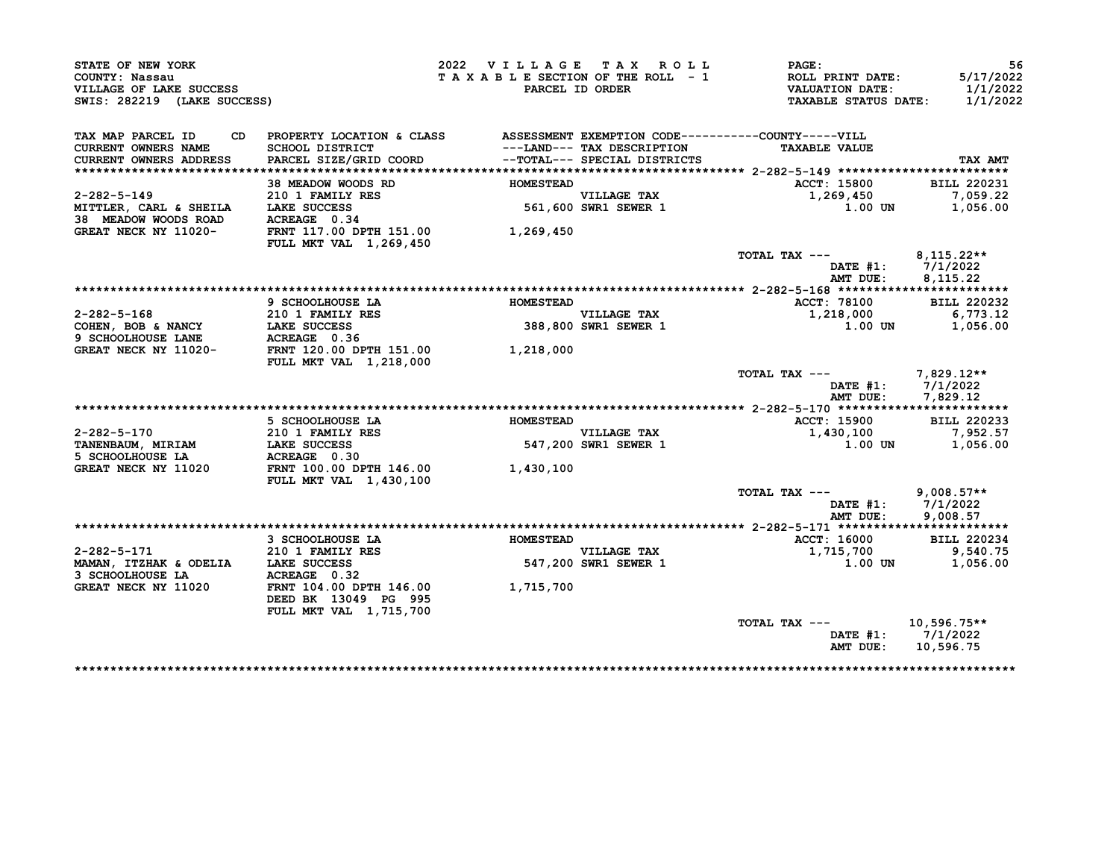| STATE OF NEW YORK<br>COUNTY: Nassau<br>VILLAGE OF LAKE SUCCESS                                                          |                                                                              | 2022 VILLAGE TAX ROLL<br>TAXABLE SECTION OF THE ROLL - 1 | PARCEL ID ORDER                                                                            | PAGE:<br><b>ROLL PRINT DATE:</b><br><b>VALUATION DATE:</b> | 56<br>5/17/2022<br>1/1/2022 |
|-------------------------------------------------------------------------------------------------------------------------|------------------------------------------------------------------------------|----------------------------------------------------------|--------------------------------------------------------------------------------------------|------------------------------------------------------------|-----------------------------|
| SWIS: 282219 (LAKE SUCCESS)                                                                                             |                                                                              |                                                          |                                                                                            | <b>TAXABLE STATUS DATE:</b>                                | 1/1/2022                    |
| TAX MAP PARCEL ID<br>CD.                                                                                                | PROPERTY LOCATION & CLASS ASSESSMENT EXEMPTION CODE----------COUNTY-----VILL |                                                          |                                                                                            |                                                            |                             |
| CURRENT OWNERS NAME<br><b>CURRENT OWNERS ADDRESS</b>                                                                    | SCHOOL DISTRICT<br>PARCEL SIZE/GRID COORD                                    |                                                          | ---LAND--- TAX DESCRIPTION<br>--TOTAL--- SPECIAL DISTRICTS<br>--TOTAL--- SPECIAL DISTRICTS | <b>TAXABLE VALUE</b>                                       | TAX AMT                     |
|                                                                                                                         |                                                                              |                                                          |                                                                                            |                                                            |                             |
| $2 - 282 - 5 - 149$                                                                                                     | 38 MEADOW WOODS RD                                                           | <b>HOMESTEAD</b>                                         |                                                                                            | <b>ACCT: 15800</b>                                         | <b>BILL 220231</b>          |
| MITTLER, CARL & SHEILA                                                                                                  | 210 1 FAMILY RES<br>LAKE SUCCESS                                             |                                                          | VILLAGE TAX<br>561,600 SWR1 SEWER 1                                                        | 1,269,450<br>$1.00$ UN                                     | 7,059.22<br>1,056.00        |
| 38 MEADOW WOODS ROAD                                                                                                    | ACREAGE 0.34                                                                 |                                                          |                                                                                            |                                                            |                             |
| GREAT NECK NY 11020-                                                                                                    | FRNT 117.00 DPTH 151.00<br><b>FULL MKT VAL 1,269,450</b>                     | 1,269,450                                                |                                                                                            |                                                            |                             |
|                                                                                                                         |                                                                              |                                                          |                                                                                            | TOTAL TAX ---                                              | 8,115.22**                  |
|                                                                                                                         |                                                                              |                                                          |                                                                                            | DATE #1: 7/1/2022                                          |                             |
|                                                                                                                         |                                                                              |                                                          |                                                                                            | AMT DUE:                                                   | 8,115.22                    |
|                                                                                                                         |                                                                              |                                                          |                                                                                            |                                                            |                             |
|                                                                                                                         | 9 SCHOOLHOUSE LA                                                             | <b>HOMESTEAD</b>                                         |                                                                                            | <b>ACCT: 78100</b>                                         | <b>BILL 220232</b>          |
| $2 - 282 - 5 - 168$                                                                                                     | 210 1 FAMILY RES                                                             |                                                          | VILLAGE TAX<br>388,800 SWR1 SEWER 1                                                        | 1,218,000                                                  | 6,773.12                    |
|                                                                                                                         |                                                                              |                                                          |                                                                                            | 1.00 UN                                                    | 1,056.00                    |
| 2-282-5-168<br>COHEN, BOB & NANCY<br>9 SCHOOLHOUSE LANE ACREAGE 0.36<br>GREAT NECK NY 11020-<br>FRNT 120.00 DPTH 151.00 |                                                                              |                                                          |                                                                                            |                                                            |                             |
|                                                                                                                         | <b>FULL MKT VAL 1,218,000</b>                                                | 1,218,000                                                |                                                                                            |                                                            |                             |
|                                                                                                                         |                                                                              |                                                          |                                                                                            | TOTAL TAX ---                                              | $7,829.12**$                |
|                                                                                                                         |                                                                              |                                                          |                                                                                            | AMT DUE: 7,829.12                                          | DATE #1: 7/1/2022           |
|                                                                                                                         |                                                                              |                                                          |                                                                                            |                                                            |                             |
|                                                                                                                         | 5 SCHOOLHOUSE LA                                                             | <b>HOMESTEAD</b>                                         |                                                                                            | <b>ACCT: 15900</b>                                         | <b>BILL 220233</b>          |
| 2-282-5-170                                                                                                             | 210 1 FAMILY RES                                                             |                                                          | VILLAGE TAX<br>547,200 SWR1 SEWER 1                                                        | 1,430,100                                                  | 7,952.57                    |
| <b>TANENBAUM, MIRIAM</b>                                                                                                | LAKE SUCCESS                                                                 |                                                          |                                                                                            | $1.00$ UN                                                  | 1,056.00                    |
| 5 SCHOOLHOUSE LA                                                                                                        | ACREAGE 0.30                                                                 |                                                          |                                                                                            |                                                            |                             |
| GREAT NECK NY 11020                                                                                                     | FRNT 100.00 DPTH 146.00<br>FULL MKT VAL 1,430,100                            | 1,430,100                                                |                                                                                            |                                                            |                             |
|                                                                                                                         |                                                                              |                                                          |                                                                                            | TOTAL TAX $---$ 9,008.57**                                 |                             |
|                                                                                                                         |                                                                              |                                                          |                                                                                            | DATE #1: 7/1/2022                                          |                             |
|                                                                                                                         |                                                                              |                                                          |                                                                                            | AMT DUE:                                                   | 9,008.57                    |
|                                                                                                                         |                                                                              |                                                          |                                                                                            |                                                            |                             |
|                                                                                                                         | 3 SCHOOLHOUSE LA                                                             | <b>HOMESTEAD</b>                                         |                                                                                            | ACCT: 16000                                                | <b>BILL 220234</b>          |
| 2-282-5-171                                                                                                             | <b>210 1 FAMILY RES<br/>LAKE SUCCESS</b>                                     |                                                          |                                                                                            | 1,715,700                                                  | 9,540.75                    |
| MAMAN, ITZHAK & ODELIA LAKE SUCCESS                                                                                     |                                                                              |                                                          | VILLAGE TAX<br>547,200 SWR1 SEWER 1                                                        | 1.00 UN                                                    | 1,056.00                    |
| 3 SCHOOLHOUSE LA                                                                                                        | ACREAGE 0.32                                                                 |                                                          |                                                                                            |                                                            |                             |
| GREAT NECK NY 11020                                                                                                     | FRNT 104.00 DPTH 146.00<br>DEED BK 13049 PG 995                              | 1,715,700                                                |                                                                                            |                                                            |                             |
|                                                                                                                         | FULL MKT VAL 1,715,700                                                       |                                                          |                                                                                            |                                                            |                             |
|                                                                                                                         |                                                                              |                                                          |                                                                                            | TOTAL TAX ---                                              | $10,596.75**$               |
|                                                                                                                         |                                                                              |                                                          |                                                                                            | DATE $#1: 7/1/2022$<br>AMT DUE:                            | 10,596.75                   |
|                                                                                                                         |                                                                              |                                                          |                                                                                            |                                                            |                             |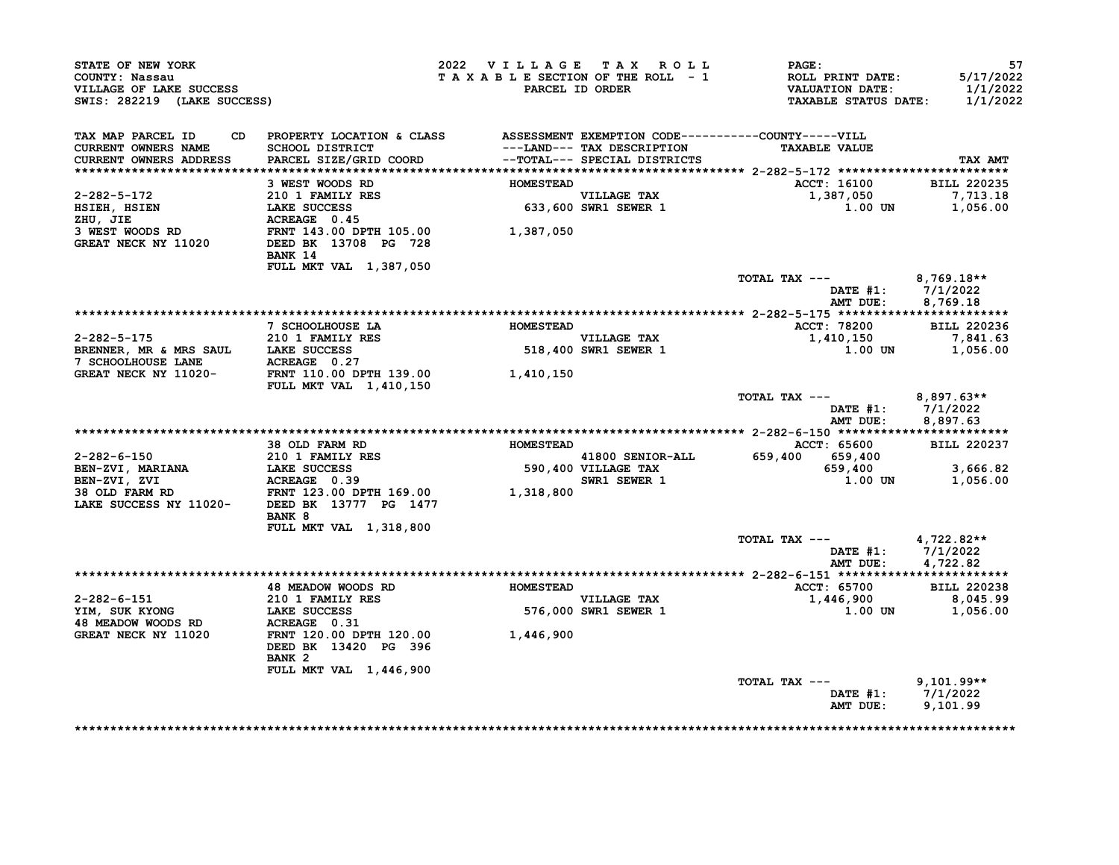| STATE OF NEW YORK<br>COUNTY: Nassau<br>VILLAGE OF LAKE SUCCESS<br>SWIS: 282219 (LAKE SUCCESS) |                                                                                                                                  | 2022 VILLAGE TAX ROLL<br>TAXABLE SECTION OF THE ROLL - 1 | PARCEL ID ORDER                                                                | $\mathtt{PAGE}$ :<br><b>ROLL PRINT DATE:<br/>VALUATION DATE:</b><br><b>TAXABLE STATUS DATE:</b> | 57<br>5/17/2022<br>1/1/2022<br>1/1/2022 |
|-----------------------------------------------------------------------------------------------|----------------------------------------------------------------------------------------------------------------------------------|----------------------------------------------------------|--------------------------------------------------------------------------------|-------------------------------------------------------------------------------------------------|-----------------------------------------|
| TAX MAP PARCEL ID<br>CURRENT OWNERS NAME                                                      | CD PROPERTY LOCATION & CLASS ASSESSMENT EXEMPTION CODE----------COUNTY-----VILL<br>SCHOOL DISTRICT                               |                                                          | ---LAND--- TAX DESCRIPTION                                                     | <b>TAXABLE VALUE</b>                                                                            |                                         |
| CURRENT OWNERS ADDRESS                                                                        | PARCEL SIZE/GRID COORD --TOTAL--- SPECIAL DISTRICTS                                                                              |                                                          |                                                                                |                                                                                                 | TAX AMT                                 |
|                                                                                               |                                                                                                                                  |                                                          |                                                                                |                                                                                                 |                                         |
|                                                                                               | 3 WEST WOODS RD                                                                                                                  | <b>HOMESTEAD</b>                                         |                                                                                | <b>ACCT: 16100</b>                                                                              | <b>BILL 220235</b>                      |
| 2-282-5-172<br>HSIEH, HSIEN<br>ZHU, JIE                                                       |                                                                                                                                  |                                                          | VILLAGE TAX<br>633,600 SWR1 SEWER 1                                            | 1,387,050<br>1.00 UN                                                                            | 7,713.18<br>1,056.00                    |
| 3 WEST WOODS RD<br><b>GREAT NECK NY 11020</b>                                                 | 210 1 FAMILY RES<br>LAKE SUCCESS 633,600<br>ACREAGE 0.45<br>FRNT 143.00 DPTH 105.00 1,387,050<br>DEED BK 13708 PG 728<br>BANK 14 |                                                          |                                                                                |                                                                                                 |                                         |
|                                                                                               | FULL MKT VAL 1,387,050                                                                                                           |                                                          |                                                                                | TOTAL TAX --- 8,769.18**                                                                        |                                         |
|                                                                                               |                                                                                                                                  |                                                          |                                                                                | DATE $#1: 7/1/2022$<br>AMT DUE:                                                                 | 8,769.18                                |
|                                                                                               |                                                                                                                                  |                                                          |                                                                                |                                                                                                 |                                         |
|                                                                                               | 7 SCHOOLHOUSE LA                                                                                                                 | <b>HOMESTEAD</b>                                         |                                                                                | ACCT: 78200 BILL 220236                                                                         |                                         |
| $2 - 282 - 5 - 175$<br>2-282-5-175 210 1 FAMILY RES<br>BRENNER, MR & MRS SAUL LAKE SUCCESS    | 210 1 FAMILY RES                                                                                                                 |                                                          | VILLAGE TAX                                                                    | 1,410,150                                                                                       | 7,841.63                                |
| 7 SCHOOLHOUSE LANE ACREAGE 0.27                                                               |                                                                                                                                  |                                                          | 518,400 SWR1 SEWER 1                                                           | $1.00$ UN $1,056.00$                                                                            |                                         |
| GREAT NECK NY 11020-                                                                          | FRNT 110.00 DPTH 139.00 1,410,150<br>FIILL MKT VAL 1.410.150 1.410<br><b>FULL MKT VAL 1,410,150</b>                              |                                                          |                                                                                |                                                                                                 |                                         |
|                                                                                               |                                                                                                                                  |                                                          |                                                                                | TOTAL TAX ---<br>DATE #1: 7/1/2022<br>AMT DUE:                                                  | $8,897.63**$<br>8,897.63                |
|                                                                                               |                                                                                                                                  |                                                          |                                                                                |                                                                                                 |                                         |
|                                                                                               | 38 OLD FARM RD                                                                                                                   | <b>HOMESTEAD</b>                                         |                                                                                | ACCT: 65600 BILL 220237                                                                         |                                         |
| 2-282-6-150                                                                                   |                                                                                                                                  |                                                          | 41800 SENIOR-ALL                                                               | 659,400 659,400                                                                                 |                                         |
| <b>BEN-ZVI, MARIANA</b>                                                                       | 38 OLD FANILY RES<br>1210 1 FAMILY RES<br>LAKE SUCCESS<br>* OBEAGE 0 39                                                          |                                                          | 41800 SENIOR-ALL<br>590,400 VILLAGE TAX<br>SWR1 SEWER 1<br><b>SWR1 SEWER 1</b> | $659,400$<br>$1,00,tm$<br>$1.00$ UN                                                             | 3,666.82<br>1,056.00                    |
|                                                                                               |                                                                                                                                  |                                                          |                                                                                |                                                                                                 |                                         |
|                                                                                               | BANK 8                                                                                                                           |                                                          |                                                                                |                                                                                                 |                                         |
|                                                                                               | FULL MKT VAL 1,318,800                                                                                                           |                                                          |                                                                                |                                                                                                 |                                         |
|                                                                                               |                                                                                                                                  |                                                          |                                                                                | TOTAL TAX --- $4,722.82**$<br>DATE #1: 7/1/2022                                                 |                                         |
|                                                                                               |                                                                                                                                  |                                                          |                                                                                | AMT DUE: 4,722.82                                                                               |                                         |
|                                                                                               |                                                                                                                                  |                                                          |                                                                                |                                                                                                 |                                         |
| 2-282-6-151                                                                                   | 48 MEADOW WOODS RD                                                                                                               | <b>HOMESTEAD</b>                                         |                                                                                | ACCT: 65700<br>1,446,900 8,045.99                                                               | <b>BILL 220238</b>                      |
| YIM, SUK KYONG                                                                                | 210 1 FAMILY RES<br>LAKE SUCCESS                                                                                                 |                                                          | VILLAGE TAX<br>576,000 SWR1 SEWER 1<br>576,000 SWR1 SEWER 1                    | 1.00 UN                                                                                         | 1,056.00                                |
| 48 MEADOW WOODS RD                                                                            | ACREAGE 0.31                                                                                                                     |                                                          |                                                                                |                                                                                                 |                                         |
| GREAT NECK NY 11020                                                                           | FRNT 120.00 DPTH 120.00 1,446,900<br>DEED BK 13420 PG 396                                                                        |                                                          |                                                                                |                                                                                                 |                                         |
|                                                                                               | BANK <sub>2</sub>                                                                                                                |                                                          |                                                                                |                                                                                                 |                                         |
|                                                                                               | FULL MKT VAL 1,446,900                                                                                                           |                                                          |                                                                                | TOTAL TAX ---                                                                                   | $9,101.99**$                            |
|                                                                                               |                                                                                                                                  |                                                          |                                                                                | DATE #1: 7/1/2022<br>AMT DUE:                                                                   | 9,101.99                                |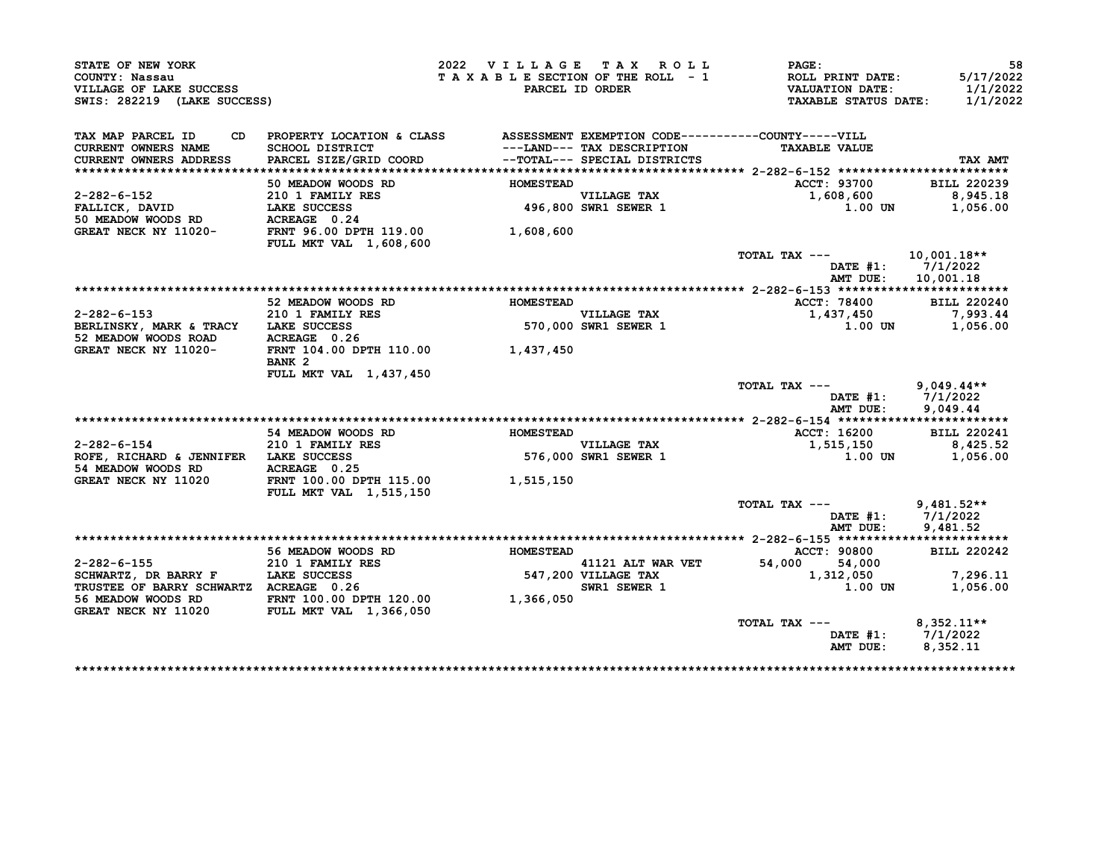| STATE OF NEW YORK<br>COUNTY: Nassau<br>VILLAGE OF LAKE SUCCESS<br>SWIS: 282219 (LAKE SUCCESS) |                                                                                                                                                       | TAXABLE SECTION OF THE ROLL - 1 | 2022 VILLAGE TAX ROLL<br>PARCEL ID ORDER                   | <b>PAGE:</b><br><b>ROLL PRINT DATE:</b><br><b>VALUATION DATE:</b><br><b>TAXABLE STATUS DATE:</b> | 5/17/2022<br>1/1/2022<br>1/1/2022 |
|-----------------------------------------------------------------------------------------------|-------------------------------------------------------------------------------------------------------------------------------------------------------|---------------------------------|------------------------------------------------------------|--------------------------------------------------------------------------------------------------|-----------------------------------|
|                                                                                               |                                                                                                                                                       |                                 |                                                            |                                                                                                  |                                   |
| TAX MAP PARCEL ID<br>CD.                                                                      | PROPERTY LOCATION & CLASS ASSESSMENT EXEMPTION CODE----------COUNTY-----VILL                                                                          |                                 |                                                            |                                                                                                  |                                   |
| CURRENT OWNERS NAME                                                                           | <b>SCHOOL DISTRICT</b>                                                                                                                                |                                 | ---LAND--- TAX DESCRIPTION<br>--TOTAL--- SPECIAL DISTRICTS | <b>TAXABLE VALUE</b>                                                                             |                                   |
| CURRENT OWNERS ADDRESS                                                                        | PARCEL SIZE/GRID COORD                                                                                                                                |                                 | --TOTAL--- SPECIAL DISTRICTS                               |                                                                                                  | TAX AMT                           |
|                                                                                               |                                                                                                                                                       |                                 |                                                            |                                                                                                  |                                   |
|                                                                                               | 50 MEADOW WOODS RD                                                                                                                                    | <b>HOMESTEAD</b>                |                                                            | ACCT: 93700                                                                                      | <b>BILL 220239</b>                |
| 2-282-6-152                                                                                   | 210 1 FAMILY RES                                                                                                                                      |                                 | VILLAGE TAX<br>496,800 SWR1 SEWER 1                        | 1,608,600                                                                                        | 8,945.18                          |
| FALLICK, DAVID                                                                                | LAKE SUCCESS                                                                                                                                          |                                 |                                                            | 1.00 UN                                                                                          | 1,056.00                          |
|                                                                                               |                                                                                                                                                       |                                 |                                                            |                                                                                                  |                                   |
| GREAT NECK NY 11020-                                                                          | FRNT 96.00 DPTH 119.00<br>FULL MKT VAL 1,608,600                                                                                                      | 1,608,600                       |                                                            |                                                                                                  |                                   |
|                                                                                               |                                                                                                                                                       |                                 |                                                            | TOTAL TAX ---                                                                                    | $10,001.18**$                     |
|                                                                                               |                                                                                                                                                       |                                 |                                                            | DATE #1:                                                                                         | 7/1/2022                          |
|                                                                                               |                                                                                                                                                       |                                 |                                                            | AMT DUE:                                                                                         | 10,001.18                         |
|                                                                                               |                                                                                                                                                       |                                 |                                                            |                                                                                                  |                                   |
|                                                                                               | 52 MEADOW WOODS RD                                                                                                                                    | HOMESTEAD                       |                                                            | ACCT: 78400                                                                                      | <b>BILL 220240</b>                |
| $2 - 282 - 6 - 153$                                                                           | 210 1 FAMILY RES                                                                                                                                      |                                 | <b>VILLAGE TAX</b>                                         | 1,437,450                                                                                        | 7,993.44                          |
| BERLINSKY, MARK & TRACY LAKE SUCCESS                                                          |                                                                                                                                                       |                                 | 570,000 SWR1 SEWER 1                                       | 1.00 UN                                                                                          | 1,056.00                          |
| 52 MEADOW WOODS ROAD                                                                          | ACREAGE 0.26                                                                                                                                          |                                 |                                                            |                                                                                                  |                                   |
| GREAT NECK NY 11020-                                                                          | FRNT 104.00 DPTH 110.00 1,437,450<br>BANK <sub>2</sub>                                                                                                |                                 |                                                            |                                                                                                  |                                   |
|                                                                                               | FULL MKT VAL 1, 437, 450                                                                                                                              |                                 |                                                            |                                                                                                  |                                   |
|                                                                                               |                                                                                                                                                       |                                 |                                                            | TOTAL TAX ---                                                                                    | $9,049.44**$                      |
|                                                                                               |                                                                                                                                                       |                                 |                                                            |                                                                                                  | DATE #1: 7/1/2022                 |
|                                                                                               |                                                                                                                                                       |                                 |                                                            | AMT DUE:                                                                                         | 9,049.44                          |
|                                                                                               |                                                                                                                                                       |                                 |                                                            |                                                                                                  |                                   |
|                                                                                               | 54 MEADOW WOODS RD                                                                                                                                    | <b>HOMESTEAD</b>                |                                                            | <b>ACCT: 16200</b>                                                                               | <b>BILL 220241</b>                |
| $2 - 282 - 6 - 154$                                                                           | 210 1 FAMILY RES                                                                                                                                      |                                 | <b>VILLAGE TAX</b>                                         | 1,515,150                                                                                        | 8,425.52                          |
| ROFE, RICHARD & JENNIFER LAKE SUCCESS                                                         |                                                                                                                                                       |                                 | 576,000 SWR1 SEWER 1                                       | 1.00 UN                                                                                          | 1,056.00                          |
| 54 MEADOW WOODS RD                                                                            | ACREAGE 0.25                                                                                                                                          |                                 |                                                            |                                                                                                  |                                   |
| GREAT NECK NY 11020                                                                           | FRNT 100.00 DPTH 115.00                                                                                                                               | 1,515,150                       |                                                            |                                                                                                  |                                   |
|                                                                                               | <b>FULL MKT VAL 1,515,150</b>                                                                                                                         |                                 |                                                            |                                                                                                  |                                   |
|                                                                                               |                                                                                                                                                       |                                 |                                                            | TOTAL TAX ---                                                                                    | $9.481.52**$                      |
|                                                                                               |                                                                                                                                                       |                                 |                                                            | $\mathtt{DATE}$ #1:                                                                              | 7/1/2022                          |
|                                                                                               |                                                                                                                                                       |                                 |                                                            | AMT DUE:                                                                                         | 9,481.52                          |
|                                                                                               |                                                                                                                                                       |                                 |                                                            |                                                                                                  |                                   |
|                                                                                               | 56 MEADOW WOODS RD                                                                                                                                    | <b>HOMESTEAD</b>                |                                                            | ACCT: 90800                                                                                      | <b>BILL 220242</b>                |
| $2 - 282 - 6 - 155$                                                                           | 210 1 FAMILY RES                                                                                                                                      |                                 | 41121 ALT WAR VET<br>41121 ALT WA<br>547,200 VILLAGE TAX   | 54,000<br>54,000                                                                                 |                                   |
| SCHWARTZ, DR BARRY F                                                                          | en de la provincia.<br>La provincia de la provincia de la provincia de la provincia de la provincia de la provincia de la provincia d<br>LAKE SUCCESS |                                 |                                                            | 1,312,050                                                                                        | 7,296.11                          |
| TRUSTEE OF BARRY SCHWARTZ ACREAGE 0.26                                                        |                                                                                                                                                       |                                 | SWR1 SEWER 1                                               | $1.00$ UN                                                                                        | 1,056.00                          |
| 56 MEADOW WOODS RD                                                                            | FRNT 100.00 DPTH 120.00                                                                                                                               | 1,366,050                       |                                                            |                                                                                                  |                                   |
| <b>GREAT NECK NY 11020</b>                                                                    | FULL MKT VAL 1,366,050                                                                                                                                |                                 |                                                            |                                                                                                  |                                   |
|                                                                                               |                                                                                                                                                       |                                 |                                                            | TOTAL TAX ---                                                                                    | $8,352.11**$<br>DATE #1: 7/1/2022 |
|                                                                                               |                                                                                                                                                       |                                 |                                                            | AMT DUE:                                                                                         |                                   |
|                                                                                               |                                                                                                                                                       |                                 |                                                            |                                                                                                  | 8,352.11                          |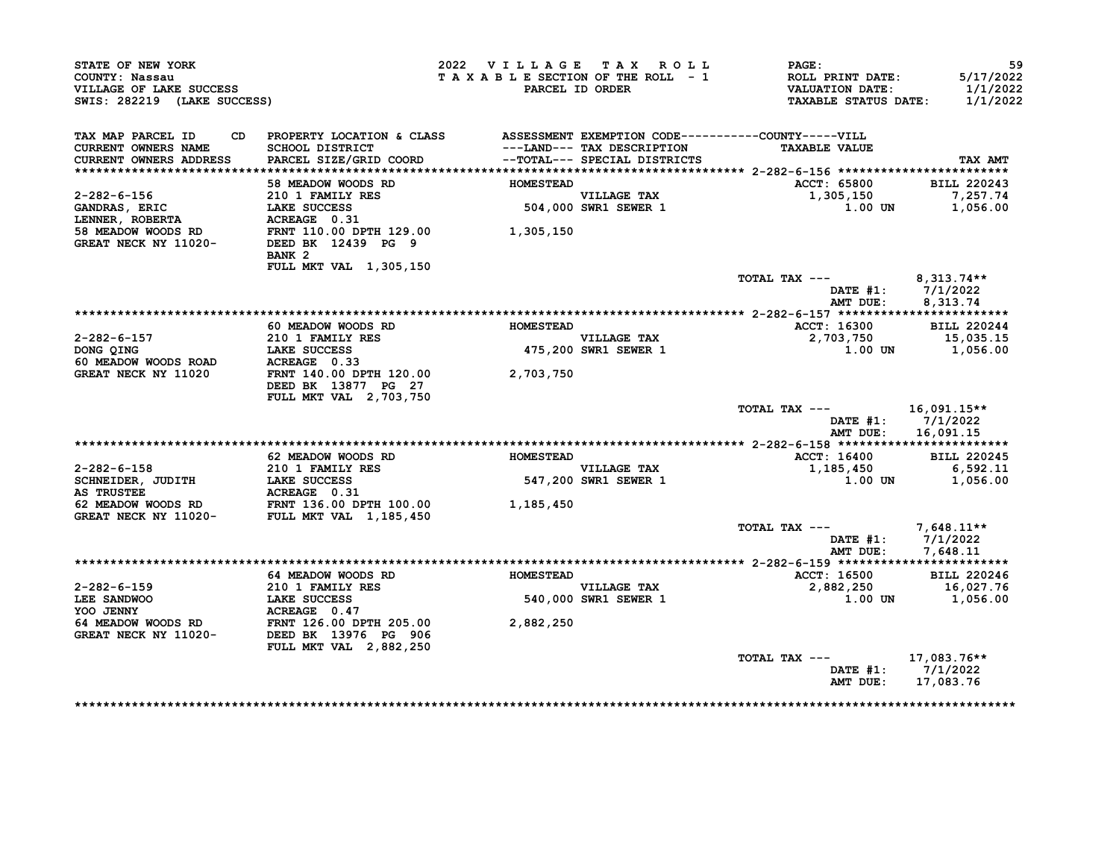| STATE OF NEW YORK<br>COUNTY: Nassau<br>VILLAGE OF LAKE SUCCESS<br>SWIS: 282219 (LAKE SUCCESS)                                                                                                        |                                                                                 | 2022 VILLAGE TAX ROLL<br>TAXABLE SECTION OF THE ROLL - 1 | PARCEL ID ORDER                                            | $\mathtt{PAGE}$ :<br>ROLL PRINT DATE:<br>VALUATION DATE:<br><b>TAXABLE STATUS DATE:</b> | 59<br>5/17/2022<br>1/1/2022<br>1/1/2022 |
|------------------------------------------------------------------------------------------------------------------------------------------------------------------------------------------------------|---------------------------------------------------------------------------------|----------------------------------------------------------|------------------------------------------------------------|-----------------------------------------------------------------------------------------|-----------------------------------------|
| TAX MAP PARCEL ID                                                                                                                                                                                    | CD PROPERTY LOCATION & CLASS ASSESSMENT EXEMPTION CODE----------COUNTY-----VILL |                                                          |                                                            |                                                                                         |                                         |
| <b>CURRENT OWNERS NAME</b>                                                                                                                                                                           | SCHOOL DISTRICT                                                                 |                                                          | ---LAND--- TAX DESCRIPTION<br>--TOTAL--- SPECIAL DISTRICTS | <b>TAXABLE VALUE</b>                                                                    |                                         |
| <b>CURRENT OWNERS ADDRESS</b>                                                                                                                                                                        | PARCEL SIZE/GRID COORD                                                          |                                                          |                                                            |                                                                                         | <b>TAX AMT</b>                          |
|                                                                                                                                                                                                      |                                                                                 | <b>HOMESTEAD</b>                                         |                                                            |                                                                                         |                                         |
| 2-282-6-156                                                                                                                                                                                          | 58 MEADOW WOODS RD                                                              |                                                          |                                                            | <b>ACCT: 65800</b><br>1,305,150                                                         | <b>BILL 220243</b><br>7,257.74          |
|                                                                                                                                                                                                      | 210 1 FAMILY RES                                                                | VILLAGE TAX<br>504,000 SWR1 SEWER 1                      |                                                            | 1.00 UN                                                                                 | 1,056.00                                |
|                                                                                                                                                                                                      |                                                                                 |                                                          |                                                            |                                                                                         |                                         |
| CANDRAS, ERIC LAKE SUCCESS<br>LAKE SUCCESS 504,000<br>LENNER, ROBERTA ACREAGE 0.31<br>58 MEADOW WOODS RD FRNT 110.00 DPTH 129.00 1,305,150<br>GREAT NECK NY 11020- DEED BK 12439 PG 9                |                                                                                 |                                                          |                                                            |                                                                                         |                                         |
|                                                                                                                                                                                                      |                                                                                 |                                                          |                                                            |                                                                                         |                                         |
|                                                                                                                                                                                                      | BANK <sub>2</sub>                                                               |                                                          |                                                            |                                                                                         |                                         |
|                                                                                                                                                                                                      | FULL MKT VAL 1,305,150                                                          |                                                          |                                                            |                                                                                         |                                         |
|                                                                                                                                                                                                      |                                                                                 |                                                          |                                                            | TOTAL TAX ---                                                                           | 8,313.74**                              |
|                                                                                                                                                                                                      |                                                                                 |                                                          |                                                            |                                                                                         | DATE #1: 7/1/2022                       |
|                                                                                                                                                                                                      |                                                                                 |                                                          |                                                            | AMT DUE:                                                                                | 8,313.74                                |
|                                                                                                                                                                                                      |                                                                                 |                                                          |                                                            |                                                                                         |                                         |
|                                                                                                                                                                                                      | 60 MEADOW WOODS RD                                                              | <b>HOMESTEAD</b>                                         |                                                            | ACCT: 16300                                                                             | <b>BILL 220244</b>                      |
| 2-282-6-157                                                                                                                                                                                          | 210 1 FAMILY RES                                                                |                                                          | VILLAGE TAX<br>475,200 SWR1 SEWER 1                        |                                                                                         |                                         |
| DONG QING<br>60 MEADOW WOODS ROAD ACREAGE 0.33                                                                                                                                                       |                                                                                 |                                                          |                                                            |                                                                                         |                                         |
|                                                                                                                                                                                                      |                                                                                 |                                                          |                                                            |                                                                                         |                                         |
| GREAT NECK NY 11020                                                                                                                                                                                  | FRNT 140.00 DPTH 120.00                                                         | 2,703,750                                                |                                                            |                                                                                         |                                         |
|                                                                                                                                                                                                      | DEED BK 13877 PG 27<br>FULL MKT VAL 2,703,750                                   |                                                          |                                                            |                                                                                         |                                         |
|                                                                                                                                                                                                      |                                                                                 |                                                          |                                                            | TOTAL TAX $---$ 16,091.15**                                                             |                                         |
|                                                                                                                                                                                                      |                                                                                 |                                                          |                                                            |                                                                                         | DATE #1: 7/1/2022                       |
|                                                                                                                                                                                                      |                                                                                 |                                                          |                                                            |                                                                                         | AMT DUE: 16,091.15                      |
|                                                                                                                                                                                                      |                                                                                 |                                                          |                                                            |                                                                                         |                                         |
|                                                                                                                                                                                                      | 62 MEADOW WOODS RD                                                              | <b>HOMESTEAD</b>                                         |                                                            | <b>ACCT: 16400</b>                                                                      | <b>BILL 220245</b>                      |
| 2-282-6-158<br>SCHNEIDER, JUDITH<br>SCHNEIDER, JUDITH<br>LAKE SUCCESS<br>AS TRUSTEE<br>62 MEADOW WOODS RD<br>GREAT NECK NY 11020-<br>FULL MKT VAL 1,185,450<br>THE 100.00<br>THE 100.00<br>1,185,450 |                                                                                 |                                                          | VILLAGE TAX<br>547,200 SWR1 SEWER 1                        | 1,185,450 6,592.11<br>1,056.00 1,056.00                                                 |                                         |
|                                                                                                                                                                                                      |                                                                                 |                                                          |                                                            |                                                                                         |                                         |
|                                                                                                                                                                                                      |                                                                                 |                                                          |                                                            |                                                                                         |                                         |
|                                                                                                                                                                                                      |                                                                                 |                                                          |                                                            |                                                                                         |                                         |
|                                                                                                                                                                                                      |                                                                                 |                                                          |                                                            |                                                                                         |                                         |
|                                                                                                                                                                                                      |                                                                                 |                                                          |                                                            | TOTAL TAX ---                                                                           | 7,648.11**                              |
|                                                                                                                                                                                                      |                                                                                 |                                                          |                                                            |                                                                                         | DATE #1: 7/1/2022                       |
|                                                                                                                                                                                                      |                                                                                 |                                                          |                                                            |                                                                                         | AMT DUE: 7,648.11                       |
|                                                                                                                                                                                                      | 64 MEADOW WOODS RD HOMESTEAD                                                    |                                                          |                                                            | <b>ACCT: 16500</b>                                                                      | <b>BILL 220246</b>                      |
|                                                                                                                                                                                                      |                                                                                 |                                                          |                                                            | 2,882,250                                                                               | 16,027.76                               |
|                                                                                                                                                                                                      |                                                                                 |                                                          | VILLAGE TAX<br>540,000 SWR1 SEWER 1                        |                                                                                         | $1.00$ UN $1,056.00$                    |
|                                                                                                                                                                                                      |                                                                                 |                                                          |                                                            |                                                                                         |                                         |
| 2-282-6-159<br>LEE SANDWOO LAKE SUCCESS<br>YOO JENNY ACREAGE 0.47<br>64 MEADOW WOODS RD FRNT 126.00 DPTH 205.00<br>GREAT NECK NY 11020- DEED BK 13976 PG 906                                         |                                                                                 | 2,882,250                                                |                                                            |                                                                                         |                                         |
|                                                                                                                                                                                                      |                                                                                 |                                                          |                                                            |                                                                                         |                                         |
|                                                                                                                                                                                                      | FULL MKT VAL 2,882,250                                                          |                                                          |                                                            |                                                                                         |                                         |
|                                                                                                                                                                                                      |                                                                                 |                                                          |                                                            | TOTAL TAX ---                                                                           | 17,083.76**                             |
|                                                                                                                                                                                                      |                                                                                 |                                                          |                                                            |                                                                                         | DATE #1: 7/1/2022                       |
|                                                                                                                                                                                                      |                                                                                 |                                                          |                                                            |                                                                                         |                                         |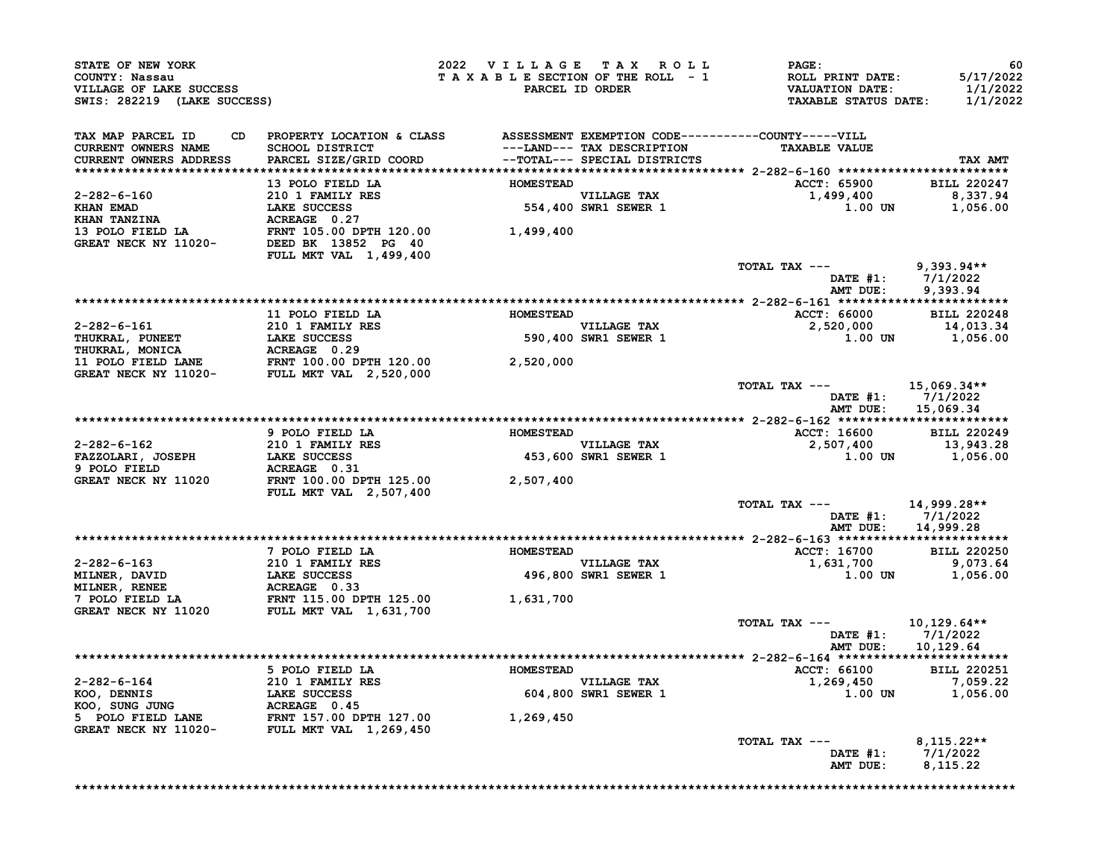| STATE OF NEW YORK<br>COUNTY: Nassau<br>VILLAGE OF LAKE SUCCESS<br>SWIS: 282219 (LAKE SUCCESS)                                                                                                                                                                                                                                                                                                                                        |                                                                                 | 2022 VILLAGE TAX ROLL | <b>PAGE:</b><br>T A X A B L E SECTION OF THE ROLL - 1 ROLL PRINT DATE:<br>PARCEL ID ORDER VALUATION DATE:<br>TAXABLE STATUS DATE:                                                                                                   | 60<br>5/17/2022<br>1/1/2022<br>1/1/2022 |
|--------------------------------------------------------------------------------------------------------------------------------------------------------------------------------------------------------------------------------------------------------------------------------------------------------------------------------------------------------------------------------------------------------------------------------------|---------------------------------------------------------------------------------|-----------------------|-------------------------------------------------------------------------------------------------------------------------------------------------------------------------------------------------------------------------------------|-----------------------------------------|
| TAX MAP PARCEL ID<br><b>CURRENT OWNERS NAME<br/>CURRENT OWNERS ADDRESS</b>                                                                                                                                                                                                                                                                                                                                                           | CD PROPERTY LOCATION & CLASS ASSESSMENT EXEMPTION CODE----------COUNTY-----VILL |                       | <b>TAXABLE VALUE</b>                                                                                                                                                                                                                | TAX AMT                                 |
|                                                                                                                                                                                                                                                                                                                                                                                                                                      |                                                                                 |                       |                                                                                                                                                                                                                                     |                                         |
|                                                                                                                                                                                                                                                                                                                                                                                                                                      |                                                                                 |                       | ACCT: 65900 BILL 220247                                                                                                                                                                                                             |                                         |
|                                                                                                                                                                                                                                                                                                                                                                                                                                      |                                                                                 |                       | 1,499,400 8,337.94<br>1.00 DN 1,056.00                                                                                                                                                                                              |                                         |
| 2-282-6-160<br>210 1 FAMILY RES<br>EMESTEAD MOMESTEAD<br>210 1 FAMILY RES<br>EMESTEAD MOMESTEAD ILAGE TAX<br>EMAN EMAD LAKE SUCCESS 554,400 SWR1 SEWER 1<br>213 POLO FIELD LA RES<br>210 1 FAMILY RES<br>210 1 FAMILY RES<br>210 1 FAMILY RES<br>                                                                                                                                                                                    |                                                                                 |                       |                                                                                                                                                                                                                                     |                                         |
|                                                                                                                                                                                                                                                                                                                                                                                                                                      |                                                                                 |                       | TOTAL TAX --- 9,393.94**                                                                                                                                                                                                            | DATE #1: 7/1/2022<br>AMT DUE: 9,393.94  |
|                                                                                                                                                                                                                                                                                                                                                                                                                                      |                                                                                 |                       |                                                                                                                                                                                                                                     |                                         |
|                                                                                                                                                                                                                                                                                                                                                                                                                                      | 11 POLO FIELD LA                                                                | <b>HOMESTEAD</b>      | <b>ACCT: 66000</b>                                                                                                                                                                                                                  | <b>BILL 220248</b>                      |
|                                                                                                                                                                                                                                                                                                                                                                                                                                      |                                                                                 |                       | $2,520,000$<br>1.00 0N 14,013.34<br>1.00 0N 1,056.00                                                                                                                                                                                |                                         |
|                                                                                                                                                                                                                                                                                                                                                                                                                                      |                                                                                 |                       |                                                                                                                                                                                                                                     |                                         |
|                                                                                                                                                                                                                                                                                                                                                                                                                                      |                                                                                 |                       | TOTAL TAX $---$ 15,069.34**                                                                                                                                                                                                         | DATE #1: 7/1/2022                       |
|                                                                                                                                                                                                                                                                                                                                                                                                                                      |                                                                                 |                       |                                                                                                                                                                                                                                     | AMT DUE: 15,069.34                      |
|                                                                                                                                                                                                                                                                                                                                                                                                                                      | 9 POLO FIELD LA <b>HOMESTEAD</b>                                                |                       | ACCT: 16600 BILL 220249                                                                                                                                                                                                             |                                         |
|                                                                                                                                                                                                                                                                                                                                                                                                                                      |                                                                                 |                       |                                                                                                                                                                                                                                     |                                         |
|                                                                                                                                                                                                                                                                                                                                                                                                                                      |                                                                                 |                       | $2-282-6-162$<br>$2101 FAMILY RES\nFAZZOLARI, JOSEPH\n1,056.00\n2,507,400\n3,943.28\n3,943.28\n3,943.28\n3,943.28\n53,600 SWRI SEWER 1\n1,00 UN\n2,507,400\n1,056.00\n5000\n1,056.00\n1,056.00\n1,056.00\n5000\n1,056.00\n1,056.00$ |                                         |
|                                                                                                                                                                                                                                                                                                                                                                                                                                      |                                                                                 |                       | TOTAL TAX --- 14,999.28**                                                                                                                                                                                                           | DATE #1: 7/1/2022<br>AMT DUE: 14,999.28 |
|                                                                                                                                                                                                                                                                                                                                                                                                                                      |                                                                                 |                       |                                                                                                                                                                                                                                     |                                         |
|                                                                                                                                                                                                                                                                                                                                                                                                                                      |                                                                                 |                       | ACCT: 16700 BILL 220250                                                                                                                                                                                                             |                                         |
| $\begin{tabular}{lllllllllllllllllllllll} \multicolumn{2}{c }{2-282-6-163} & 7 & \multicolumn{2}{c }{210} & 1 & \multicolumn{2}{c }{FMLNER} & \multicolumn{2}{c }{HOMESTEAD} & \multicolumn{2}{c }{HOMESTEAD} & \multicolumn{2}{c }{HOMESTEAD} & \multicolumn{2}{c }{HOMESTEAD} & \multicolumn{2}{c }{HOMESTEAD} & \multicolumn{2}{c }{HOMESTEAD} & \multicolumn{2}{c }{HOMESTEAD} & \multicolumn{2}{c }{HOMESTEAD} & \multicolumn{$ |                                                                                 |                       | $1,631,700$<br>$1,631,700$<br>$1,00$ DN $1,056.00$                                                                                                                                                                                  |                                         |
|                                                                                                                                                                                                                                                                                                                                                                                                                                      |                                                                                 |                       |                                                                                                                                                                                                                                     |                                         |
|                                                                                                                                                                                                                                                                                                                                                                                                                                      |                                                                                 |                       | TOTAL TAX ---                                                                                                                                                                                                                       | $10, 129.64**$<br>DATE #1: 7/1/2022     |
|                                                                                                                                                                                                                                                                                                                                                                                                                                      |                                                                                 |                       |                                                                                                                                                                                                                                     | AMT DUE: 10,129.64                      |
|                                                                                                                                                                                                                                                                                                                                                                                                                                      |                                                                                 |                       |                                                                                                                                                                                                                                     |                                         |
|                                                                                                                                                                                                                                                                                                                                                                                                                                      |                                                                                 |                       |                                                                                                                                                                                                                                     |                                         |
|                                                                                                                                                                                                                                                                                                                                                                                                                                      |                                                                                 |                       |                                                                                                                                                                                                                                     |                                         |
|                                                                                                                                                                                                                                                                                                                                                                                                                                      |                                                                                 |                       |                                                                                                                                                                                                                                     |                                         |
|                                                                                                                                                                                                                                                                                                                                                                                                                                      |                                                                                 |                       | TOTAL TAX ---                                                                                                                                                                                                                       | $8,115.22**$<br>DATE #1: 7/1/2022       |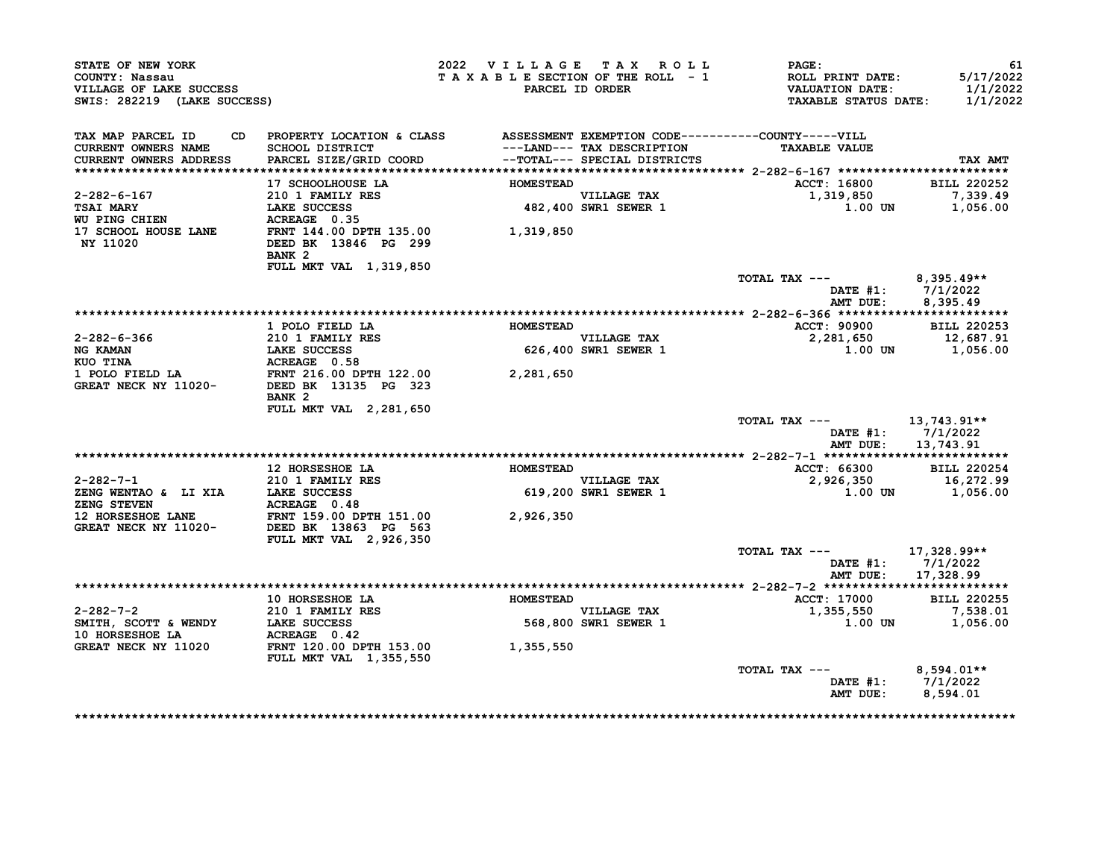| STATE OF NEW YORK<br>COUNTY: Nassau<br>VILLAGE OF LAKE SUCCESS<br>SWIS: 282219 (LAKE SUCCESS)                                                                                                                                                              |                                                                                                                                                                                        | 2022 VILLAGE TAX ROLL |                                     | $\mathtt{PAGE}$ :<br>T A X A B L E SECTION OF THE ROLL - 1 ROLL PRINT DATE:<br>PARCEL ID ORDER VALUATION DATE:<br><b>TAXABLE STATUS DATE:</b> | 61<br>5/17/2022<br>1/1/2022<br>1/1/2022       |
|------------------------------------------------------------------------------------------------------------------------------------------------------------------------------------------------------------------------------------------------------------|----------------------------------------------------------------------------------------------------------------------------------------------------------------------------------------|-----------------------|-------------------------------------|-----------------------------------------------------------------------------------------------------------------------------------------------|-----------------------------------------------|
| TAX MAP PARCEL ID<br><b>CURRENT OWNERS NAME</b><br>CURRENT OWNERS ADDRESS                                                                                                                                                                                  | CD PROPERTY LOCATION & CLASS ASSESSMENT EXEMPTION CODE----------COUNTY-----VILL<br>SCHOOL DISTRICT<br>PARCEL SIZE/GRID COORD<br>PARCEL SIZE/GRID COORD<br>--TOTAL--- SPECIAL DISTRICTS |                       |                                     | <b>TAXABLE VALUE</b>                                                                                                                          | TAX AMT                                       |
|                                                                                                                                                                                                                                                            |                                                                                                                                                                                        |                       |                                     |                                                                                                                                               |                                               |
|                                                                                                                                                                                                                                                            | 17 SCHOOLHOUSE LA                                                                                                                                                                      | <b>HOMESTEAD</b>      |                                     | <b>ACCT: 16800</b><br>1,319,850                                                                                                               | <b>BILL 220252</b><br>7,339.49                |
|                                                                                                                                                                                                                                                            |                                                                                                                                                                                        |                       | VILLAGE TAX<br>482,400 SWR1 SEWER 1 |                                                                                                                                               | $1.00$ UN $1,056.00$                          |
| 2-282-6-167 210 1 FAMILY RES<br>TSAI MARY LAKE SUCCESS 482,400<br>NU PING CHIEN ACREAGE 0.35<br>17 SCHOOL HOUSE LANE FRNT 144.00 DPTH 135.00 1,319,850<br>NY 11020 DEED BK 13846 PG 299                                                                    | BANK <sub>2</sub><br>FULL MKT VAL 1,319,850                                                                                                                                            |                       |                                     |                                                                                                                                               |                                               |
|                                                                                                                                                                                                                                                            |                                                                                                                                                                                        |                       |                                     | TOTAL TAX $---$ 8,395.49**                                                                                                                    | DATE #1: 7/1/2022                             |
|                                                                                                                                                                                                                                                            |                                                                                                                                                                                        |                       |                                     | AMT DUE:                                                                                                                                      | 8,395.49                                      |
|                                                                                                                                                                                                                                                            | 1 POLO FIELD LA                                                                                                                                                                        | <b>HOMESTEAD</b>      |                                     | ACCT: 90900                                                                                                                                   | <b>BILL 220253</b>                            |
|                                                                                                                                                                                                                                                            |                                                                                                                                                                                        |                       |                                     |                                                                                                                                               |                                               |
|                                                                                                                                                                                                                                                            |                                                                                                                                                                                        |                       | VILLAGE TAX<br>626,400 SWR1 SEWER 1 | 2,281,650 12,687.91<br>1.00 UN 1,056.00                                                                                                       |                                               |
|                                                                                                                                                                                                                                                            |                                                                                                                                                                                        |                       |                                     |                                                                                                                                               |                                               |
| 2-282-6-366 210 1 FAMILY RES<br>NG KAMAN LAKE SUCCESS 626,400<br>KUO TINA ACREAGE 0.58 26,400<br>1 POLO FIELD LA FRNT 216.00 DPTH 122.00 2,281,650<br>GREAT NECK NY 11020- DEED BK 13135 PG 323                                                            | BANK 2                                                                                                                                                                                 |                       |                                     |                                                                                                                                               |                                               |
|                                                                                                                                                                                                                                                            | FULL MKT VAL 2,281,650                                                                                                                                                                 |                       |                                     | TOTAL TAX --- 13,743.91**                                                                                                                     | DATE #1: 7/1/2022<br>AMT DUE: 13,743.91       |
|                                                                                                                                                                                                                                                            |                                                                                                                                                                                        |                       |                                     |                                                                                                                                               |                                               |
|                                                                                                                                                                                                                                                            | <b>12 HORSESHOE LA</b>                                                                                                                                                                 | <b>HOMESTEAD</b>      |                                     | ACCT: 66300                                                                                                                                   | <b>BILL 220254</b>                            |
|                                                                                                                                                                                                                                                            |                                                                                                                                                                                        |                       | VILLAGE TAX<br>619,200 SWR1 SEWER 1 | 2,926,350                                                                                                                                     | 16,272.99                                     |
|                                                                                                                                                                                                                                                            |                                                                                                                                                                                        |                       |                                     |                                                                                                                                               | 1.00 UN 1,056.00                              |
| 2-282-7-1<br>210 1 FAMILY RES<br>22 ENG MENTAO & LI XIA LAKE SUCCESS<br>22 HORSESHOE LANE REAT 159.00 DPTH 151.00<br>3.926,350<br>32.926,350<br>3.926,350<br>3.926,350<br>3.926,350<br>3.926,350<br>3.926,350<br>3.926,350<br>3.926,350<br>3.926,350<br>3. | FULL MKT VAL 2,926,350                                                                                                                                                                 |                       |                                     |                                                                                                                                               |                                               |
|                                                                                                                                                                                                                                                            |                                                                                                                                                                                        |                       |                                     | TOTAL TAX ---                                                                                                                                 | 17,328.99**                                   |
|                                                                                                                                                                                                                                                            |                                                                                                                                                                                        |                       |                                     | AMT DUE:                                                                                                                                      | DATE #1: 7/1/2022<br>17,328.99                |
|                                                                                                                                                                                                                                                            |                                                                                                                                                                                        |                       |                                     | <b>ACCT: 17000</b>                                                                                                                            | <b>BILL 220255</b>                            |
|                                                                                                                                                                                                                                                            | 10 HORSESHOE LA MOMESTEAD                                                                                                                                                              |                       | VILLAGE TAX                         | $1,355,550$ 7,538.01                                                                                                                          |                                               |
| 2-282-7-2<br>SMITH, SCOTT & WENDY<br>10 HORSESHOE LA MENDY LAKE SUCCESS 568,800<br>10 HORSESHOE LA ACREAGE 0.42<br>GREAT NECK NY 11020 FRNT 120.00 DPTH 153.00 1,355,550                                                                                   |                                                                                                                                                                                        |                       | VILLAGE TAX<br>568,800 SWR1 SEWER 1 | 1.00 UN                                                                                                                                       | 1,056.00                                      |
|                                                                                                                                                                                                                                                            | <b>FULL MKT VAL 1,355,550</b>                                                                                                                                                          |                       |                                     |                                                                                                                                               |                                               |
|                                                                                                                                                                                                                                                            |                                                                                                                                                                                        |                       |                                     | TOTAL TAX ---<br>AMT DUE:                                                                                                                     | $8,594.01**$<br>DATE #1: 7/1/2022<br>8,594.01 |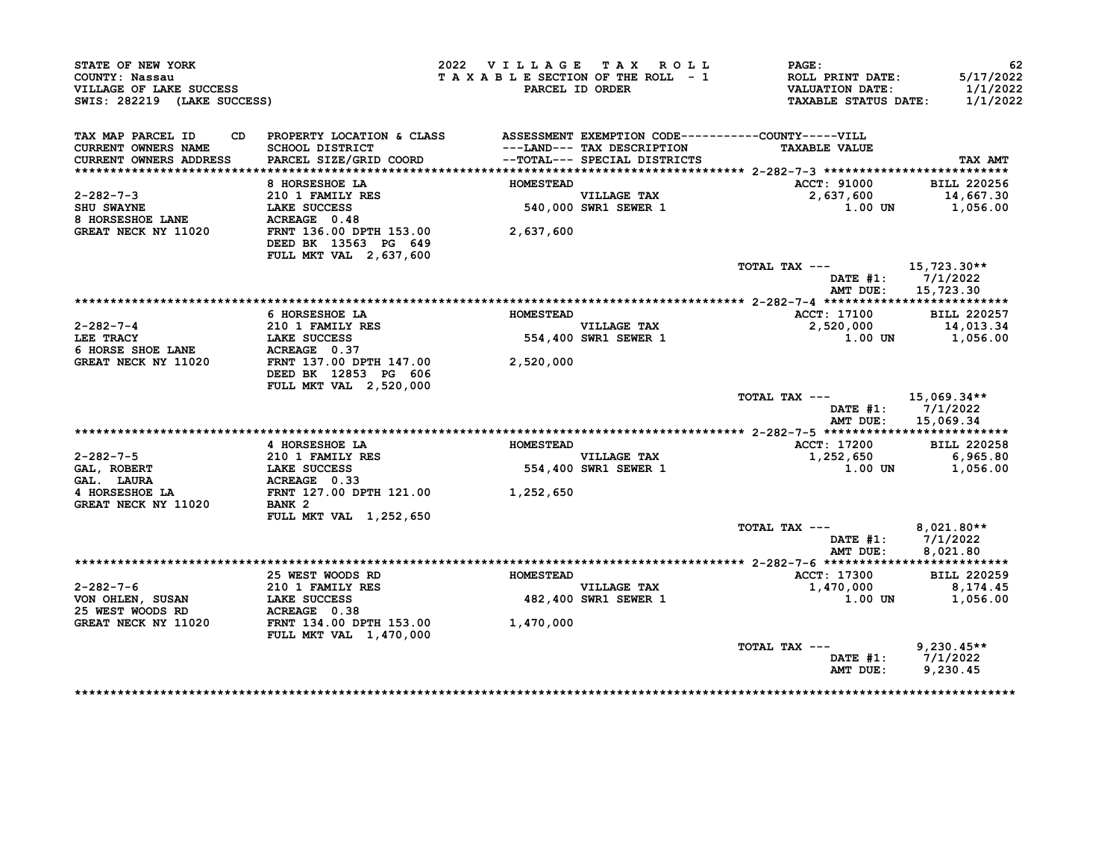| STATE OF NEW YORK<br>COUNTY: Nassau<br>VILLAGE OF LAKE SUCCESS<br>SWIS: 282219 (LAKE SUCCESS) |                                                                                                                           | 2022 VILLAGE TAX ROLL<br>TAXABLE SECTION OF THE ROLL - 1 | PARCEL ID ORDER                                            | PAGE:<br><b>ROLL PRINT DATE:</b><br><b>VALUATION DATE:</b><br><b>TAXABLE STATUS DATE:</b> | 62<br>5/17/2022<br>1/1/2022<br>1/1/2022 |
|-----------------------------------------------------------------------------------------------|---------------------------------------------------------------------------------------------------------------------------|----------------------------------------------------------|------------------------------------------------------------|-------------------------------------------------------------------------------------------|-----------------------------------------|
| TAX MAP PARCEL ID<br>CD.<br><b>CURRENT OWNERS NAME</b><br>CURRENT OWNERS ADDRESS              | PROPERTY LOCATION & CLASS ASSESSMENT EXEMPTION CODE----------COUNTY-----VILL<br>SCHOOL DISTRICT<br>PARCEL SIZE/GRID COORD |                                                          | ---LAND--- TAX DESCRIPTION<br>--TOTAL--- SPECIAL DISTRICTS | <b>TAXABLE VALUE</b>                                                                      | TAX AMT                                 |
|                                                                                               |                                                                                                                           |                                                          |                                                            |                                                                                           |                                         |
|                                                                                               | 8 HORSESHOE LA                                                                                                            | <b>HOMESTEAD</b>                                         |                                                            | <b>ACCT: 91000</b>                                                                        | <b>BILL 220256</b>                      |
| $2 - 282 - 7 - 3$                                                                             | 210 1 FAMILY RES                                                                                                          |                                                          | <b>VILLAGE TAX</b>                                         | 2,637,600                                                                                 | 14,667.30                               |
| <b>SHU SWAYNE</b>                                                                             | LAKE SUCCESS                                                                                                              |                                                          | 540,000 SWR1 SEWER 1                                       | 1.00 UN                                                                                   | 1,056.00                                |
| 8 HORSESHOE LANE                                                                              | ACREAGE 0.48                                                                                                              |                                                          |                                                            |                                                                                           |                                         |
| GREAT NECK NY 11020                                                                           | FRNT 136.00 DPTH 153.00<br>DEED BK 13563 PG 649                                                                           | 2,637,600                                                |                                                            |                                                                                           |                                         |
|                                                                                               | <b>FULL MKT VAL 2,637,600</b>                                                                                             |                                                          |                                                            |                                                                                           |                                         |
|                                                                                               |                                                                                                                           |                                                          |                                                            | TOTAL TAX ---                                                                             | 15,723.30**                             |
|                                                                                               |                                                                                                                           |                                                          |                                                            |                                                                                           | DATE $#1: 7/1/2022$                     |
|                                                                                               |                                                                                                                           |                                                          |                                                            | AMT DUE:                                                                                  | 15,723.30                               |
|                                                                                               |                                                                                                                           |                                                          |                                                            |                                                                                           |                                         |
|                                                                                               | 6 HORSESHOE LA                                                                                                            | <b>HOMESTEAD</b>                                         |                                                            | <b>ACCT: 17100</b>                                                                        | <b>BILL 220257</b>                      |
| $2 - 282 - 7 - 4$                                                                             | 210 1 FAMILY RES                                                                                                          |                                                          | VILLAGE TAX<br>554,400 SWR1 SEWER 1                        | 2,520,000                                                                                 | 14,013.34                               |
| LEE TRACY                                                                                     | <b>LAKE SUCCESS</b>                                                                                                       |                                                          |                                                            | 1.00 UN                                                                                   | 1,056.00                                |
| 6 HORSE SHOE LANE                                                                             | ACREAGE 0.37                                                                                                              |                                                          |                                                            |                                                                                           |                                         |
| GREAT NECK NY 11020                                                                           | FRNT 137.00 DPTH 147.00                                                                                                   | 2,520,000                                                |                                                            |                                                                                           |                                         |
|                                                                                               | DEED BK 12853 PG 606                                                                                                      |                                                          |                                                            |                                                                                           |                                         |
|                                                                                               | FULL MKT VAL 2,520,000                                                                                                    |                                                          |                                                            | TOTAL TAX ---                                                                             |                                         |
|                                                                                               |                                                                                                                           |                                                          |                                                            |                                                                                           | 15,069.34**<br>DATE #1: 7/1/2022        |
|                                                                                               |                                                                                                                           |                                                          |                                                            | AMT DUE:                                                                                  | 15,069.34                               |
|                                                                                               |                                                                                                                           |                                                          |                                                            |                                                                                           |                                         |
|                                                                                               | 4 HORSESHOE LA                                                                                                            | <b>HOMESTEAD</b>                                         |                                                            | <b>ACCT: 17200</b>                                                                        | <b>BILL 220258</b>                      |
| 2-282-7-5                                                                                     | <b>210 1 FAMILY RES</b>                                                                                                   |                                                          | VILLAGE TAX<br>554,400 SWR1 SEWER 1<br><b>VILLAGE TAX</b>  | 1,252,650                                                                                 | 6,965.80                                |
| GAL, ROBERT                                                                                   | LAKE SUCCESS                                                                                                              |                                                          |                                                            | 1.00 UN                                                                                   | 1,056.00                                |
| GAL. LAURA                                                                                    | ACREAGE 0.33                                                                                                              |                                                          |                                                            |                                                                                           |                                         |
| 4 HORSESHOE LA                                                                                | FRNT 127.00 DPTH 121.00                                                                                                   | 1,252,650                                                |                                                            |                                                                                           |                                         |
| GREAT NECK NY 11020                                                                           | BANK 2                                                                                                                    |                                                          |                                                            |                                                                                           |                                         |
|                                                                                               | FULL MKT VAL 1,252,650                                                                                                    |                                                          |                                                            |                                                                                           |                                         |
|                                                                                               |                                                                                                                           |                                                          |                                                            | TOTAL TAX ---                                                                             | $8,021.80**$                            |
|                                                                                               |                                                                                                                           |                                                          |                                                            | AMT DUE:                                                                                  | DATE #1: 7/1/2022<br>8.021.80           |
|                                                                                               |                                                                                                                           |                                                          |                                                            |                                                                                           |                                         |
|                                                                                               | 25 WEST WOODS RD                                                                                                          | <b>HOMESTEAD</b>                                         |                                                            | ACCT: 17300                                                                               | <b>BILL 220259</b>                      |
| $2 - 282 - 7 - 6$                                                                             |                                                                                                                           |                                                          | <b>VILLAGE TAX</b>                                         | 1,470,000                                                                                 | 8,174.45                                |
| VON OHLEN, SUSAN                                                                              | 210 1 FAMILY RES<br>LAKE SUCCESS<br><b>LAKE SUCCESS</b>                                                                   |                                                          | 482,400 SWR1 SEWER 1                                       | 1.00 UN                                                                                   | 1,056.00                                |
| 25 WEST WOODS RD                                                                              | ACREAGE 0.38                                                                                                              |                                                          |                                                            |                                                                                           |                                         |
| GREAT NECK NY 11020                                                                           | FRNT 134.00 DPTH 153.00                                                                                                   | 1,470,000                                                |                                                            |                                                                                           |                                         |
|                                                                                               | <b>FULL MKT VAL 1,470,000</b>                                                                                             |                                                          |                                                            |                                                                                           |                                         |
|                                                                                               |                                                                                                                           |                                                          |                                                            | TOTAL TAX ---                                                                             | $9,230.45**$                            |
|                                                                                               |                                                                                                                           |                                                          |                                                            |                                                                                           | DATE $#1: 7/1/2022$                     |
|                                                                                               |                                                                                                                           |                                                          |                                                            | AMT DUE:                                                                                  | 9,230.45                                |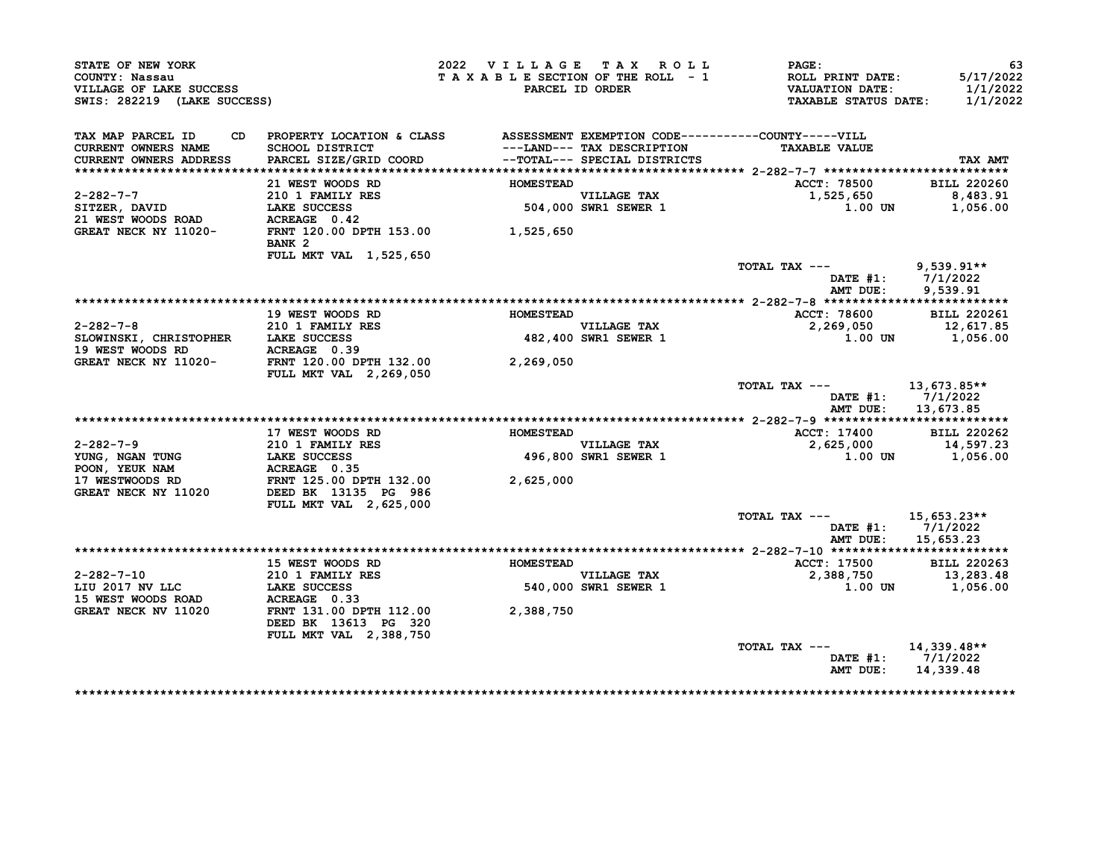| STATE OF NEW YORK<br>COUNTY: Nassau<br>VILLAGE OF LAKE SUCCESS<br>SWIS: 282219 (LAKE SUCCESS) |                                                                              | 2022 VILLAGE TAX ROLL | TAXABLE SECTION OF THE ROLL - 1<br>PARCEL ID ORDER | <b>PAGE:</b><br>ROLL PRINT DATE:<br><b>VALUATION DATE:</b><br><b>TAXABLE STATUS DATE:</b> | 63<br>5/17/2022<br>1/1/2022<br>1/1/2022 |
|-----------------------------------------------------------------------------------------------|------------------------------------------------------------------------------|-----------------------|----------------------------------------------------|-------------------------------------------------------------------------------------------|-----------------------------------------|
| TAX MAP PARCEL ID<br>CD.                                                                      | PROPERTY LOCATION & CLASS ASSESSMENT EXEMPTION CODE----------COUNTY-----VILL |                       |                                                    |                                                                                           |                                         |
| CURRENT OWNERS NAME                                                                           | SCHOOL DISTRICT                                                              |                       | ---LAND--- TAX DESCRIPTION                         | <b>TAXABLE VALUE</b>                                                                      |                                         |
| CURRENT OWNERS ADDRESS                                                                        | PARCEL SIZE/GRID COORD                                                       |                       | --TOTAL--- SPECIAL DISTRICTS                       |                                                                                           | TAX AMT                                 |
|                                                                                               |                                                                              |                       |                                                    |                                                                                           |                                         |
|                                                                                               | 21 WEST WOODS RD                                                             | <b>HOMESTEAD</b>      |                                                    | ACCT: 78500                                                                               | <b>BILL 220260</b>                      |
| $2 - 282 - 7 - 7$                                                                             | 210 1 FAMILY RES                                                             |                       | VILLAGE TAX<br>504,000 SWR1 SEWER 1                | 1,525,650                                                                                 | 8,483.91                                |
| SITZER, DAVID                                                                                 | LAKE SUCCESS                                                                 |                       |                                                    | 1.00 UN                                                                                   | 1,056.00                                |
| 21 WEST WOODS ROAD<br>GREAT NECK NY 11020-                                                    | ACREAGE 0.42<br>FRNT 120.00 DPTH 153.00 1,525,650<br>BANK <sub>2</sub>       |                       |                                                    |                                                                                           |                                         |
|                                                                                               | FULL MKT VAL 1,525,650                                                       |                       |                                                    |                                                                                           |                                         |
|                                                                                               |                                                                              |                       |                                                    | TOTAL TAX ---                                                                             | $9,539.91**$                            |
|                                                                                               |                                                                              |                       |                                                    |                                                                                           | DATE $#1: 7/1/2022$                     |
|                                                                                               |                                                                              |                       |                                                    | AMT DUE:                                                                                  | 9,539.91                                |
|                                                                                               |                                                                              |                       |                                                    |                                                                                           |                                         |
|                                                                                               | 19 WEST WOODS RD                                                             | <b>HOMESTEAD</b>      |                                                    | ACCT: 78600                                                                               | <b>BILL 220261</b>                      |
| $2 - 282 - 7 - 8$                                                                             | 210 1 FAMILY RES                                                             |                       | VILLAGE TAX<br>VILLAGE TAX<br>482,400 SWR1 SEWER 1 | 2,269,050                                                                                 | 12,617.85                               |
| SLOWINSKI, CHRISTOPHER LAKE SUCCESS                                                           |                                                                              |                       |                                                    | 1.00 UN                                                                                   | 1,056.00                                |
| 19 WEST WOODS RD                                                                              | ACREAGE 0.39                                                                 |                       |                                                    |                                                                                           |                                         |
| <b>GREAT NECK NY 11020-</b>                                                                   | FRNT 120.00 DPTH 132.00                                                      | 2,269,050             |                                                    |                                                                                           |                                         |
|                                                                                               | FULL MKT VAL 2,269,050                                                       |                       |                                                    | TOTAL TAX ---                                                                             | 13,673.85**                             |
|                                                                                               |                                                                              |                       |                                                    | AMT DUE:                                                                                  | DATE $#1: 7/1/2022$<br>13,673.85        |
|                                                                                               |                                                                              |                       |                                                    |                                                                                           |                                         |
|                                                                                               | 17 WEST WOODS RD                                                             | <b>HOMESTEAD</b>      |                                                    | ACCT: 17400                                                                               | <b>BILL 220262</b>                      |
| $2 - 282 - 7 - 9$                                                                             | 210 1 FAMILY RES                                                             |                       | VILLAGE TAX<br>496,800 SWR1 SEWER 1                | 2,625,000                                                                                 | 14,597.23                               |
|                                                                                               | LAKE SUCCESS                                                                 |                       |                                                    |                                                                                           |                                         |
|                                                                                               |                                                                              |                       |                                                    | 1.00 UN                                                                                   | 1,056.00                                |
| YUNG, NGAN TUNG<br>POON, YEUK NAM                                                             | ACREAGE 0.35                                                                 |                       |                                                    |                                                                                           |                                         |
|                                                                                               | FRNT 125.00 DPTH 132.00                                                      | 2,625,000             |                                                    |                                                                                           |                                         |
|                                                                                               | DEED BK 13135 PG 986                                                         |                       |                                                    |                                                                                           |                                         |
| GREAT NECK NY 11020                                                                           | <b>FULL MKT VAL 2,625,000</b>                                                |                       |                                                    |                                                                                           |                                         |
|                                                                                               |                                                                              |                       |                                                    | TOTAL TAX ---                                                                             | 15,653.23**                             |
|                                                                                               |                                                                              |                       |                                                    |                                                                                           | DATE $#1: 7/1/2022$                     |
|                                                                                               |                                                                              |                       |                                                    | AMT DUE:                                                                                  | 15,653.23                               |
|                                                                                               | 15 WEST WOODS RD                                                             | <b>HOMESTEAD</b>      |                                                    |                                                                                           | <b>BILL 220263</b>                      |
| $2 - 282 - 7 - 10$                                                                            | <b>210 1 FAMILY RES</b>                                                      |                       | <b>VILLAGE TAX</b>                                 | <b>ACCT: 17500</b><br>2,388,750                                                           |                                         |
|                                                                                               | LAKE SUCCESS                                                                 | 540.                  |                                                    | 1.00 UN                                                                                   | 13,283.48<br>1,056.00                   |
|                                                                                               | ACREAGE 0.33                                                                 |                       | 540,000 SWR1 SEWER 1                               |                                                                                           |                                         |
| GREAT NECK NV 11020                                                                           | FRNT 131.00 DPTH 112.00<br>DEED BK 13613 PG 320                              | 2,388,750             |                                                    |                                                                                           |                                         |
|                                                                                               | FULL MKT VAL 2,388,750                                                       |                       |                                                    |                                                                                           |                                         |
| 17 WESTWOODS RD<br>LIU 2017 NV LLC<br>15 WEST WOODS ROAD                                      |                                                                              |                       |                                                    | TOTAL TAX ---<br>DATE #1: 7/1/2022<br>AMT DUE:                                            | 14,339.48**<br>14,339.48                |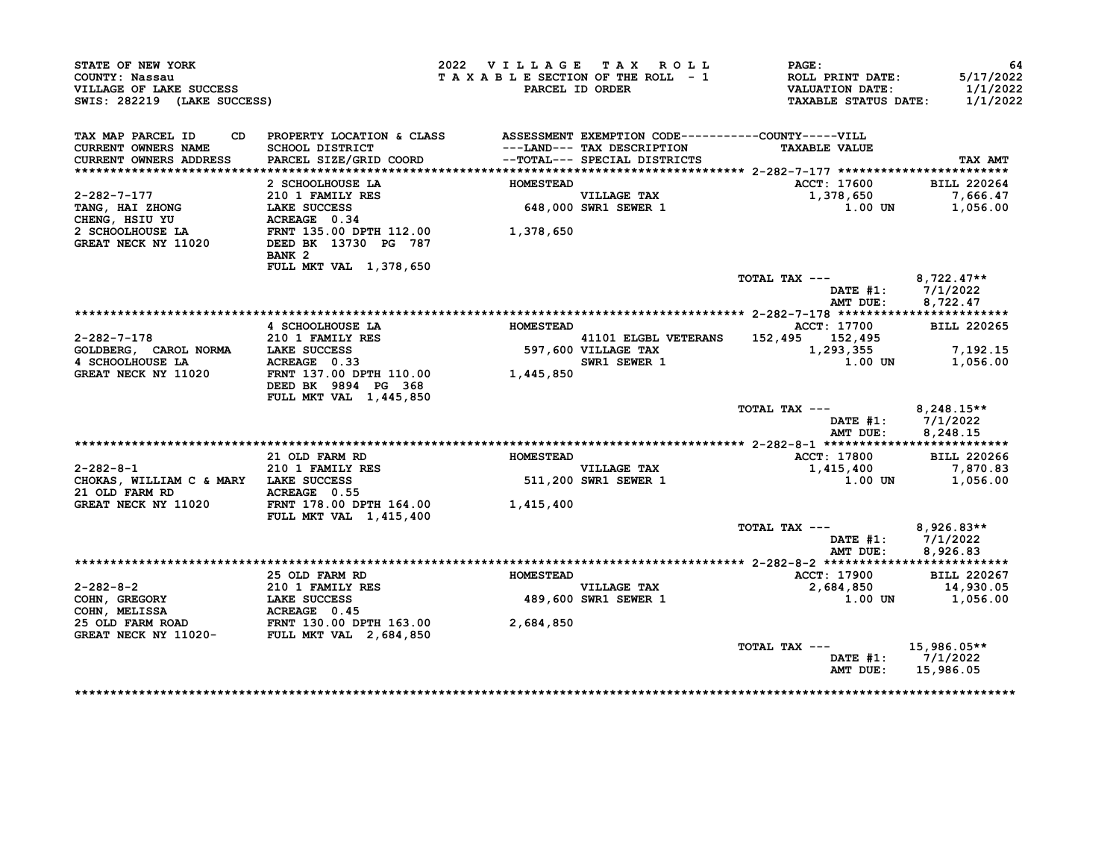| <b>STATE OF NEW YORK</b><br>COUNTY: Nassau<br>VILLAGE OF LAKE SUCCESS<br>SWIS: 282219 (LAKE SUCCESS)                                                                                                                                        |                                                                                                    |                  | 2022 VILLAGE TAX ROLL<br>TAXABLE SECTION OF THE ROLL - 1<br>PARCEL ID ORDER | $\texttt{PAGE}:$<br>ROLL PRINT DATE:<br>VALUATION DATE:<br>TAXABLE STATUS DATE: | 64<br>5/17/2022<br>1/1/2022<br>1/1/2022 |
|---------------------------------------------------------------------------------------------------------------------------------------------------------------------------------------------------------------------------------------------|----------------------------------------------------------------------------------------------------|------------------|-----------------------------------------------------------------------------|---------------------------------------------------------------------------------|-----------------------------------------|
| TAX MAP PARCEL ID                                                                                                                                                                                                                           |                                                                                                    |                  |                                                                             |                                                                                 |                                         |
| CURRENT OWNERS NAME                                                                                                                                                                                                                         | CD PROPERTY LOCATION & CLASS ASSESSMENT EXEMPTION CODE----------COUNTY-----VILL<br>SCHOOL DISTRICT |                  |                                                                             | <b>TAXABLE VALUE</b>                                                            |                                         |
| <b>CURRENT OWNERS ADDRESS</b>                                                                                                                                                                                                               | PARCEL SIZE/GRID COORD                                                                             |                  | ---LAND--- TAX DESCRIPTION<br>--TOTAL--- SPECIAL DISTRICTS                  |                                                                                 | TAX AMT                                 |
|                                                                                                                                                                                                                                             |                                                                                                    |                  |                                                                             |                                                                                 |                                         |
|                                                                                                                                                                                                                                             | 2 SCHOOLHOUSE LA                                                                                   | <b>HOMESTEAD</b> |                                                                             | ACCT: 17600                                                                     | <b>BILL 220264</b>                      |
|                                                                                                                                                                                                                                             |                                                                                                    |                  |                                                                             |                                                                                 | 7,666.47                                |
|                                                                                                                                                                                                                                             |                                                                                                    |                  |                                                                             | 1,378,650<br>1.00 UN                                                            | 1,056.00                                |
|                                                                                                                                                                                                                                             |                                                                                                    |                  |                                                                             |                                                                                 |                                         |
|                                                                                                                                                                                                                                             |                                                                                                    |                  |                                                                             |                                                                                 |                                         |
|                                                                                                                                                                                                                                             |                                                                                                    |                  |                                                                             |                                                                                 |                                         |
|                                                                                                                                                                                                                                             | BANK <sub>2</sub>                                                                                  |                  |                                                                             |                                                                                 |                                         |
|                                                                                                                                                                                                                                             | FULL MKT VAL 1,378,650                                                                             |                  |                                                                             |                                                                                 |                                         |
|                                                                                                                                                                                                                                             |                                                                                                    |                  |                                                                             | TOTAL TAX --- $8,722.47**$                                                      |                                         |
|                                                                                                                                                                                                                                             |                                                                                                    |                  |                                                                             |                                                                                 | DATE #1: 7/1/2022                       |
|                                                                                                                                                                                                                                             |                                                                                                    |                  |                                                                             | AMT DUE:                                                                        | 8,722.47                                |
|                                                                                                                                                                                                                                             |                                                                                                    |                  |                                                                             |                                                                                 |                                         |
|                                                                                                                                                                                                                                             |                                                                                                    |                  |                                                                             |                                                                                 |                                         |
|                                                                                                                                                                                                                                             |                                                                                                    |                  |                                                                             |                                                                                 |                                         |
|                                                                                                                                                                                                                                             |                                                                                                    |                  |                                                                             |                                                                                 |                                         |
|                                                                                                                                                                                                                                             |                                                                                                    |                  |                                                                             |                                                                                 |                                         |
| <b>EXAMPLE 17700</b><br>2-282-7-178 4 SCHOOLHOUSE LA 200265<br>4 SCHOOLHOUSE LA LAKE SUCCESS 597,600 VILLAGE TAX<br>4 SCHOOLHOUSE LA ACREAGE 0.33<br>GREAT NECK NY 11020 FRNT 137.00 DPTH 110.00 1,445,850 1,445,850 1,293,355 1,00 UN 1,05 | DEED BK 9894 PG 368<br><b>FULL MKT VAL 1,445,850</b>                                               |                  |                                                                             |                                                                                 |                                         |
|                                                                                                                                                                                                                                             |                                                                                                    |                  |                                                                             | TOTAL TAX $---$ 8,248.15**                                                      |                                         |
|                                                                                                                                                                                                                                             |                                                                                                    |                  |                                                                             |                                                                                 | DATE #1: $7/1/2022$                     |
|                                                                                                                                                                                                                                             |                                                                                                    |                  |                                                                             | AMT DUE:                                                                        | 8,248.15                                |
|                                                                                                                                                                                                                                             |                                                                                                    |                  |                                                                             |                                                                                 |                                         |
|                                                                                                                                                                                                                                             | 21 OLD FARM RD                                                                                     | <b>HOMESTEAD</b> |                                                                             | ACCT: 17800                                                                     | <b>BILL 220266</b>                      |
| 2-282-8-1<br>CHOKAS, WILLIAM C & MARY LAKE SUCCESS<br>21 OLD FARM RD ACREAGE 0.55                                                                                                                                                           |                                                                                                    |                  | VILLAGE TAX<br>511,200 SWR1 SEWER 1                                         | 1,415,400                                                                       | 7,870.83                                |
|                                                                                                                                                                                                                                             |                                                                                                    |                  |                                                                             |                                                                                 | $1.00$ UN $1,056.00$                    |
|                                                                                                                                                                                                                                             |                                                                                                    |                  |                                                                             |                                                                                 |                                         |
| 21 OLD FARM RD<br>GREAT NECK NY 11020 FRNT 178.00 DPTH 164.00 1,415,400                                                                                                                                                                     | <b>FULL MKT VAL 1,415,400</b>                                                                      |                  |                                                                             |                                                                                 |                                         |
|                                                                                                                                                                                                                                             |                                                                                                    |                  |                                                                             | TOTAL TAX --- $8,926.83**$                                                      |                                         |
|                                                                                                                                                                                                                                             |                                                                                                    |                  |                                                                             |                                                                                 | DATE #1: 7/1/2022                       |
|                                                                                                                                                                                                                                             |                                                                                                    |                  |                                                                             |                                                                                 | AMT DUE: 8,926.83                       |
|                                                                                                                                                                                                                                             |                                                                                                    |                  |                                                                             |                                                                                 |                                         |
|                                                                                                                                                                                                                                             |                                                                                                    |                  |                                                                             | ACCT: 17900 BILL 220267                                                         |                                         |
|                                                                                                                                                                                                                                             |                                                                                                    |                  |                                                                             | 2,684,850 14,930.05                                                             |                                         |
|                                                                                                                                                                                                                                             |                                                                                                    |                  |                                                                             |                                                                                 | $1.00$ UN $1,056.00$                    |
|                                                                                                                                                                                                                                             |                                                                                                    |                  |                                                                             |                                                                                 |                                         |
|                                                                                                                                                                                                                                             |                                                                                                    |                  |                                                                             |                                                                                 |                                         |
|                                                                                                                                                                                                                                             |                                                                                                    |                  |                                                                             |                                                                                 |                                         |
|                                                                                                                                                                                                                                             |                                                                                                    |                  |                                                                             | TOTAL TAX ---                                                                   | 15,986.05**                             |
|                                                                                                                                                                                                                                             |                                                                                                    |                  |                                                                             |                                                                                 | DATE #1: 7/1/2022<br>AMT DUE: 15,986.05 |
|                                                                                                                                                                                                                                             |                                                                                                    |                  |                                                                             |                                                                                 |                                         |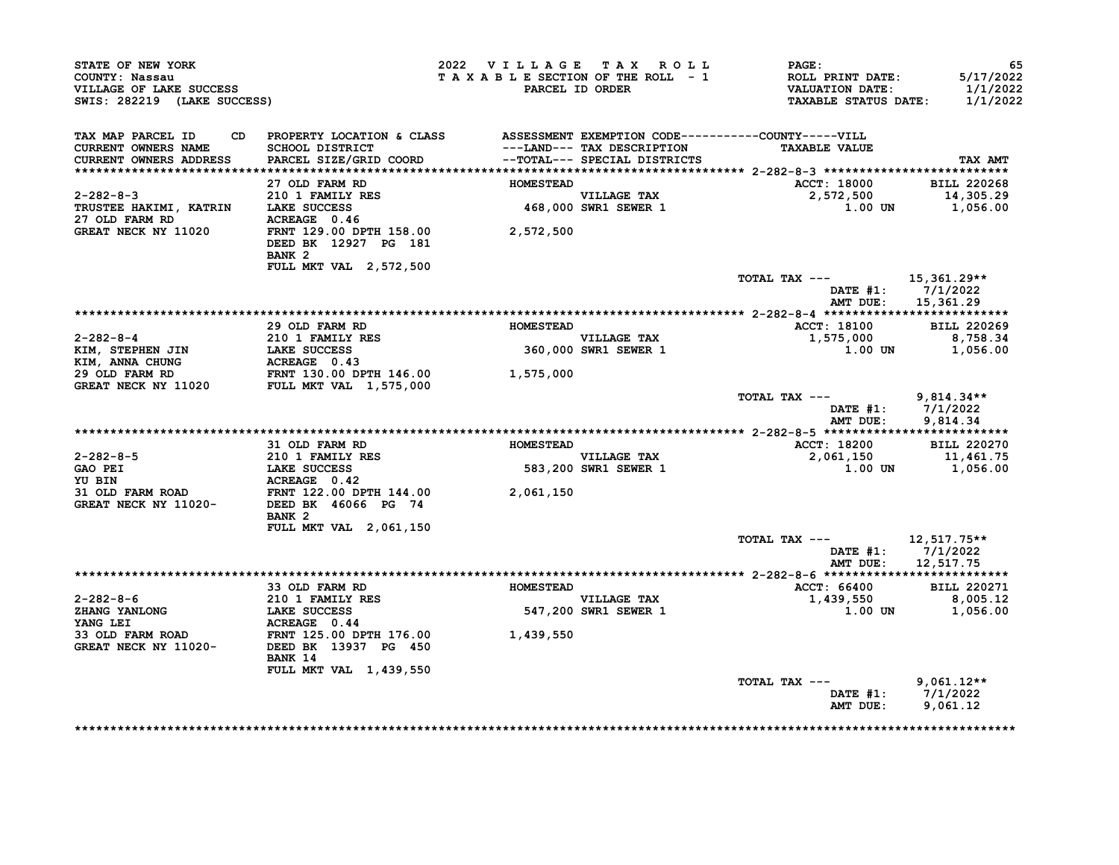| COUNTY: Nassau                                                                                                                                                                                                                                  |                                                                                                                                                                                            |                                 | 2022 VILLAGE TAX ROLL                      | $\mathtt{PAGE}$ :                   | 65                                      |
|-------------------------------------------------------------------------------------------------------------------------------------------------------------------------------------------------------------------------------------------------|--------------------------------------------------------------------------------------------------------------------------------------------------------------------------------------------|---------------------------------|--------------------------------------------|-------------------------------------|-----------------------------------------|
| VILLAGE OF LAKE SUCCESS                                                                                                                                                                                                                         |                                                                                                                                                                                            | TAXABLE SECTION OF THE ROLL - 1 | PARCEL ID ORDER                            | ROLL PRINT DATE:<br>VALUATION DATE: | 5/17/2022<br>1/1/2022                   |
| SWIS: 282219 (LAKE SUCCESS)                                                                                                                                                                                                                     |                                                                                                                                                                                            |                                 |                                            | <b>TAXABLE STATUS DATE:</b>         | 1/1/2022                                |
| TAX MAP PARCEL ID                                                                                                                                                                                                                               | CD PROPERTY LOCATION & CLASS ASSESSMENT EXEMPTION CODE----------COUNTY-----VILL                                                                                                            |                                 |                                            |                                     |                                         |
| <b>CURRENT OWNERS NAME</b>                                                                                                                                                                                                                      | SCHOOL DISTRICT                                                                                                                                                                            |                                 | ---LAND--- TAX DESCRIPTION                 | <b>TAXABLE VALUE</b>                |                                         |
| <b>CURRENT OWNERS ADDRESS</b>                                                                                                                                                                                                                   | PARCEL SIZE/GRID COORD --TOTAL--- SPECIAL DISTRICTS                                                                                                                                        |                                 |                                            |                                     | TAX AMT                                 |
|                                                                                                                                                                                                                                                 |                                                                                                                                                                                            |                                 |                                            |                                     |                                         |
|                                                                                                                                                                                                                                                 | 27 OLD FARM RD                                                                                                                                                                             | <b>HOMESTEAD</b>                |                                            | ACCT: 18000 BILL 220268             |                                         |
|                                                                                                                                                                                                                                                 |                                                                                                                                                                                            |                                 | VILLAGE TAX<br>468,000 SWR1 SEWER 1        |                                     |                                         |
| 27 OLD FARM RD                                                                                                                                                                                                                                  | 2-282-8-3<br>TRUSTEE HAKIMI, KATRIN LAKE SUCCESS<br>27 OLD FARM RD ACREAGE 0.46                                                                                                            |                                 |                                            |                                     |                                         |
|                                                                                                                                                                                                                                                 | GREAT NECK NY 11020 FRNT 129.00 DPTH 158.00 2,572,500                                                                                                                                      |                                 |                                            |                                     |                                         |
|                                                                                                                                                                                                                                                 | DEED BK 12927 PG 181<br>BANK <sub>2</sub>                                                                                                                                                  |                                 |                                            |                                     |                                         |
|                                                                                                                                                                                                                                                 | FULL MKT VAL 2,572,500                                                                                                                                                                     |                                 |                                            |                                     |                                         |
|                                                                                                                                                                                                                                                 |                                                                                                                                                                                            |                                 |                                            | TOTAL TAX --- $15,361.29**$         |                                         |
|                                                                                                                                                                                                                                                 |                                                                                                                                                                                            |                                 |                                            |                                     | DATE $#1: 7/1/2022$                     |
|                                                                                                                                                                                                                                                 |                                                                                                                                                                                            |                                 |                                            | AMT DUE:                            | 15,361.29                               |
|                                                                                                                                                                                                                                                 |                                                                                                                                                                                            |                                 |                                            |                                     |                                         |
|                                                                                                                                                                                                                                                 | 29 OLD FARM RD                                                                                                                                                                             | <b>HOMESTEAD</b>                |                                            | <b>ACCT: 18100</b>                  | <b>BILL 220269</b>                      |
|                                                                                                                                                                                                                                                 |                                                                                                                                                                                            |                                 | <b>VILLAGE TAX</b><br>360,000 SWR1 SEWER 1 | 1,575,000                           | 8,758.34<br>1.00 UN 1,056.00            |
|                                                                                                                                                                                                                                                 |                                                                                                                                                                                            |                                 |                                            |                                     |                                         |
|                                                                                                                                                                                                                                                 |                                                                                                                                                                                            |                                 |                                            |                                     |                                         |
|                                                                                                                                                                                                                                                 | 2-282-8-4<br>XIM, STEPHEN JIN 210 1 FAMILY RES<br>XIM, ANNA CHUNG ACREAGE 0.43<br>29 OLD FARM RD FRNT 130.00 DPTH 146.00 1,575,000<br>GREAT NECK NY 11020 FULL MKT VAL 1,575,000 1,575,000 |                                 |                                            |                                     |                                         |
|                                                                                                                                                                                                                                                 |                                                                                                                                                                                            |                                 |                                            | TOTAL TAX --- 9,814.34**            | DATE #1: 7/1/2022                       |
|                                                                                                                                                                                                                                                 |                                                                                                                                                                                            |                                 |                                            | AMT DUE:                            | 9,814.34                                |
|                                                                                                                                                                                                                                                 |                                                                                                                                                                                            |                                 |                                            |                                     |                                         |
|                                                                                                                                                                                                                                                 | 31 OLD FARM RD                                                                                                                                                                             | <b>HOMESTEAD</b>                |                                            | ACCT: 18200 BILL 220270             |                                         |
|                                                                                                                                                                                                                                                 |                                                                                                                                                                                            |                                 | VILLAGE TAX                                | $2,061,150$<br>1.00 UN 1,056.00     |                                         |
|                                                                                                                                                                                                                                                 |                                                                                                                                                                                            |                                 | 583,200 SWR1 SEWER 1                       |                                     |                                         |
|                                                                                                                                                                                                                                                 |                                                                                                                                                                                            |                                 |                                            |                                     |                                         |
|                                                                                                                                                                                                                                                 |                                                                                                                                                                                            |                                 |                                            |                                     |                                         |
|                                                                                                                                                                                                                                                 |                                                                                                                                                                                            |                                 |                                            |                                     |                                         |
|                                                                                                                                                                                                                                                 |                                                                                                                                                                                            |                                 |                                            |                                     |                                         |
|                                                                                                                                                                                                                                                 | BANK <sub>2</sub>                                                                                                                                                                          |                                 |                                            |                                     |                                         |
| 2-282-8-5<br>GAO PEI<br>CAO PEI<br>CAO PEI<br>LAKE SUCCESS<br>TU BIN<br>ACREAGE 0.42<br>31 OLD FARM ROAD<br>GREAT NECK NY 11020-<br>DEED BK 46066 PG 74<br>PRINT 122.00 DPTH 144.00<br>2,061,150<br>GREAT NECK NY 11020-<br>DEED BK 46066 PG 74 | <b>FULL MKT VAL 2,061,150</b>                                                                                                                                                              |                                 |                                            |                                     |                                         |
|                                                                                                                                                                                                                                                 |                                                                                                                                                                                            |                                 |                                            | TOTAL TAX --- 12,517.75**           |                                         |
|                                                                                                                                                                                                                                                 |                                                                                                                                                                                            |                                 |                                            |                                     | DATE #1: 7/1/2022<br>AMT DUE: 12,517.75 |
|                                                                                                                                                                                                                                                 |                                                                                                                                                                                            |                                 |                                            |                                     |                                         |
|                                                                                                                                                                                                                                                 | 33 OLD FARM RD                                                                                                                                                                             | <b>HOMESTEAD</b>                |                                            | <b>ACCT: 66400</b>                  | <b>BILL 220271</b>                      |
| $2 - 282 - 8 - 6$                                                                                                                                                                                                                               |                                                                                                                                                                                            |                                 | VILLAGE TAX                                | 1,439,550                           | 8,005.12                                |
|                                                                                                                                                                                                                                                 | LAKE SUCCESS                                                                                                                                                                               |                                 | 547,200 SWR1 SEWER 1                       | 1.00 UN                             | 1,056.00                                |
|                                                                                                                                                                                                                                                 | 210 1 FAMILY RES<br>LAKE SUCCESS<br>ACPEACE 0 44                                                                                                                                           |                                 |                                            |                                     |                                         |
|                                                                                                                                                                                                                                                 |                                                                                                                                                                                            | 1,439,550                       |                                            |                                     |                                         |
|                                                                                                                                                                                                                                                 |                                                                                                                                                                                            |                                 |                                            |                                     |                                         |
|                                                                                                                                                                                                                                                 | BANK 14                                                                                                                                                                                    |                                 |                                            |                                     |                                         |
|                                                                                                                                                                                                                                                 | FULL MKT VAL 1,439,550                                                                                                                                                                     |                                 |                                            |                                     |                                         |
| <b>ZHANG YANLONG<br/>YANG LEI</b>                                                                                                                                                                                                               |                                                                                                                                                                                            |                                 |                                            | TOTAL TAX ---                       | $9,061.12**$<br>DATE #1: $7/1/2022$     |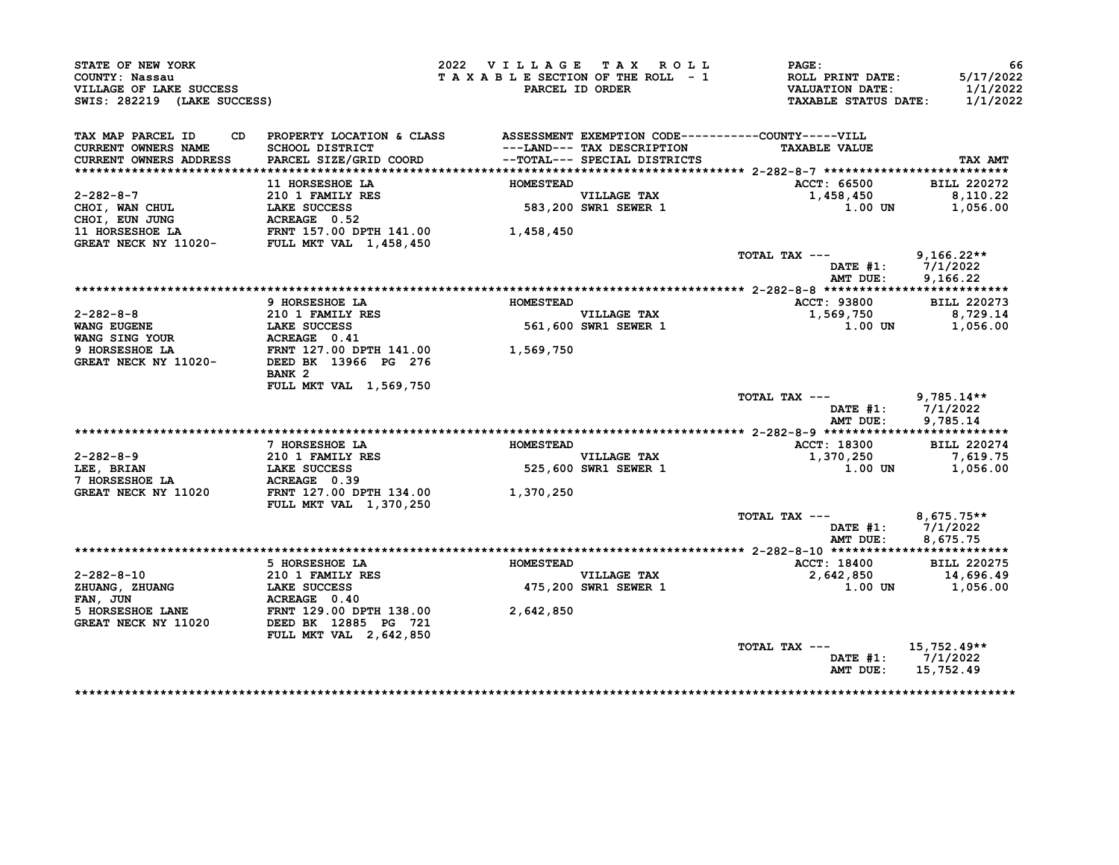| STATE OF NEW YORK<br>COUNTY: Nassau<br>VILLAGE OF LAKE SUCCESS<br>SWIS: 282219 (LAKE SUCCESS) |                                                                                          | 2022 VILLAGE TAX ROLL<br>TAXABLE SECTION OF THE ROLL - 1 | PARCEL ID ORDER                     | <b>PAGE :</b><br><b>ROLL PRINT DATE:</b><br><b>VALUATION DATE:</b><br><b>TAXABLE STATUS DATE:</b> | 66<br>5/17/2022<br>1/1/2022<br>1/1/2022 |
|-----------------------------------------------------------------------------------------------|------------------------------------------------------------------------------------------|----------------------------------------------------------|-------------------------------------|---------------------------------------------------------------------------------------------------|-----------------------------------------|
| TAX MAP PARCEL ID                                                                             | CD PROPERTY LOCATION & CLASS ASSESSMENT EXEMPTION CODE----------COUNTY-----VILL          |                                                          |                                     |                                                                                                   |                                         |
| <b>CURRENT OWNERS NAME</b>                                                                    | SCHOOL DISTRICT                                                                          |                                                          | ---LAND--- TAX DESCRIPTION          | <b>TAXABLE VALUE</b>                                                                              |                                         |
| <b>CURRENT OWNERS ADDRESS</b>                                                                 | PARCEL SIZE/GRID COORD                                                                   |                                                          | --TOTAL--- SPECIAL DISTRICTS        |                                                                                                   | TAX AMT                                 |
|                                                                                               | 11 HORSESHOE LA                                                                          | <b>HOMESTEAD</b>                                         |                                     | ACCT: 66500                                                                                       | <b>BILL 220272</b>                      |
| $2 - 282 - 8 - 7$                                                                             |                                                                                          |                                                          | <b>VILLAGE TAX</b>                  | 1,458,450                                                                                         | 8,110.22                                |
| CHOI, WAN CHUL                                                                                |                                                                                          |                                                          | 583,200 SWR1 SEWER 1                | 1.00 UN                                                                                           | 1,056.00                                |
| CHOI, EUN JUNG                                                                                | 210 1 FAMILY RES<br>LAKE SUCCESS<br>ACREAGE 0.52<br><b>LAKE SUCCESS<br/>ACREAGE 0.52</b> |                                                          |                                     |                                                                                                   |                                         |
|                                                                                               |                                                                                          | 1,458,450                                                |                                     |                                                                                                   |                                         |
|                                                                                               |                                                                                          |                                                          |                                     |                                                                                                   |                                         |
|                                                                                               |                                                                                          |                                                          |                                     | TOTAL TAX ---                                                                                     | 9,166.22**                              |
|                                                                                               |                                                                                          |                                                          |                                     | DATE #1: 7/1/2022                                                                                 |                                         |
|                                                                                               |                                                                                          |                                                          |                                     | AMT DUE:                                                                                          | 9,166.22                                |
|                                                                                               |                                                                                          |                                                          |                                     |                                                                                                   |                                         |
|                                                                                               | 9 HORSESHOE LA                                                                           | <b>HOMESTEAD</b>                                         |                                     | ACCT: 93800                                                                                       | <b>BILL 220273</b>                      |
| 2-282-8-8                                                                                     |                                                                                          |                                                          | VILLAGE TAX<br>561,600 SWR1 SEWER 1 | 1,569,750                                                                                         | 8,729.14                                |
| <b>WANG EUGENE</b>                                                                            | <b>210 1 FAMILY RES<br/>LAKE SUCCESS<br/>ACREAGE 0.41</b><br><b>LAKE SUCCESS</b>         |                                                          |                                     | 1.00 UN                                                                                           | 1,056.00                                |
| WANG SING YOUR                                                                                | ACREAGE 0.41                                                                             |                                                          |                                     |                                                                                                   |                                         |
| 9 HORSESHOE LA                                                                                | FRNT 127.00 DPTH 141.00 1,569,750<br>DEED BK 13966 PG 276                                |                                                          |                                     |                                                                                                   |                                         |
| GREAT NECK NY 11020-                                                                          |                                                                                          |                                                          |                                     |                                                                                                   |                                         |
|                                                                                               | BANK <sub>2</sub>                                                                        |                                                          |                                     |                                                                                                   |                                         |
|                                                                                               | FULL MKT VAL 1,569,750                                                                   |                                                          |                                     | TOTAL TAX ---                                                                                     | $9,785.14**$                            |
|                                                                                               |                                                                                          |                                                          |                                     | DATE $#1: 7/1/2022$                                                                               |                                         |
|                                                                                               |                                                                                          |                                                          |                                     | AMT DUE:                                                                                          | 9,785.14                                |
|                                                                                               |                                                                                          |                                                          |                                     |                                                                                                   |                                         |
|                                                                                               | 7 HORSESHOE LA                                                                           | <b>HOMESTEAD</b>                                         |                                     | ACCT: 18300                                                                                       | <b>BILL 220274</b>                      |
| 2-282-8-9                                                                                     | 210 1 FAMILY RES                                                                         |                                                          | <b>VILLAGE TAX</b>                  | 1,370,250                                                                                         | 7,619.75                                |
| LEE, BRIAN                                                                                    | <b>LAKE SUCCESS</b>                                                                      | 525.600                                                  | 525,600 SWR1 SEWER 1                | 1.00 UN                                                                                           | 1,056.00                                |
| 7 HORSESHOE LA                                                                                | ACREAGE 0.39                                                                             |                                                          |                                     |                                                                                                   |                                         |
| GREAT NECK NY 11020                                                                           | FRNT 127.00 DPTH 134.00                                                                  | 1,370,250                                                |                                     |                                                                                                   |                                         |
|                                                                                               | FULL MKT VAL 1,370,250                                                                   |                                                          |                                     |                                                                                                   |                                         |
|                                                                                               |                                                                                          |                                                          |                                     | TOTAL TAX ---                                                                                     | $8,675.75**$                            |
|                                                                                               |                                                                                          |                                                          |                                     | DATE $#1: 7/1/2022$                                                                               |                                         |
|                                                                                               |                                                                                          |                                                          |                                     | AMT DUE:                                                                                          | 8,675.75                                |
|                                                                                               |                                                                                          |                                                          |                                     |                                                                                                   |                                         |
|                                                                                               |                                                                                          |                                                          |                                     | ACCT: 18400                                                                                       | <b>BILL 220275</b>                      |
|                                                                                               | 5 HORSESHOE LA                                                                           | <b>HOMESTEAD</b>                                         |                                     |                                                                                                   |                                         |
| 2-282-8-10                                                                                    | 210 1 FAMILY RES                                                                         |                                                          |                                     | 2,642,850                                                                                         | 14,696.49                               |
| ZHUANG, ZHUANG                                                                                | <b>LAKE SUCCESS</b>                                                                      |                                                          |                                     | 1.00 UN                                                                                           | 1,056.00                                |
| FAN, JUN                                                                                      |                                                                                          |                                                          | VILLAGE TAX<br>475,200 SWR1 SEWER 1 |                                                                                                   |                                         |
| 5 HORSESHOE LANE                                                                              |                                                                                          | 2,642,850                                                |                                     |                                                                                                   |                                         |
| GREAT NECK NY 11020                                                                           | <b>ACREAGE 0.40<br/>FRNT 129.00 DPTH 138.00<br/>DEED BK 12885 PG 721</b>                 |                                                          |                                     |                                                                                                   |                                         |
|                                                                                               | FULL MKT VAL 2,642,850                                                                   |                                                          |                                     |                                                                                                   |                                         |
|                                                                                               |                                                                                          |                                                          |                                     | TOTAL TAX ---                                                                                     | $15,752.49**$                           |
|                                                                                               |                                                                                          |                                                          |                                     | DATE #1: 7/1/2022<br>AMT DUE:                                                                     | 15,752.49                               |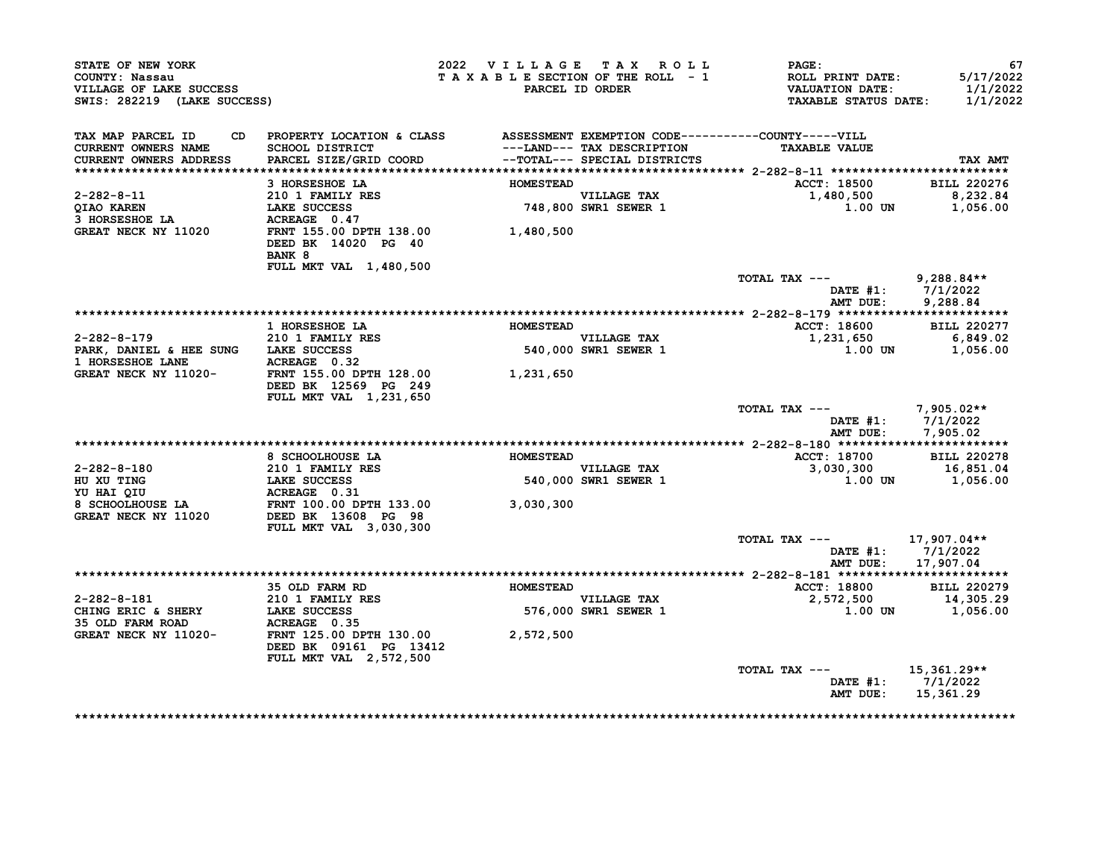| STATE OF NEW YORK<br>COUNTY: Nassau<br>VILLAGE OF LAKE SUCCESS<br>SWIS: 282219 (LAKE SUCCESS)                                                                                                                                                             |                                                                                                                                                                               | 2022 VILLAGE TAX ROLL<br>TAXABLE SECTION OF THE ROLL - 1 | PARCEL ID ORDER                                           | $\mathtt{PAGE}$ :<br>ROLL PRINT DATE:<br>VALUATION DATE:<br><b>TAXABLE STATUS DATE:</b> | 67<br>5/17/2022<br>1/1/2022<br>1/1/2022 |
|-----------------------------------------------------------------------------------------------------------------------------------------------------------------------------------------------------------------------------------------------------------|-------------------------------------------------------------------------------------------------------------------------------------------------------------------------------|----------------------------------------------------------|-----------------------------------------------------------|-----------------------------------------------------------------------------------------|-----------------------------------------|
| TAX MAP PARCEL ID<br><b>CURRENT OWNERS NAME</b><br><b>CURRENT OWNERS ADDRESS</b>                                                                                                                                                                          | CD PROPERTY LOCATION & CLASS ASSESSMENT EXEMPTION CODE----------COUNTY-----VILL<br>SCHOOL DISTRICT<br>PARCEL SIZE/GRID COORD                     --TOTAL--- SPECIAL DISTRICTS |                                                          |                                                           | <b>TAXABLE VALUE</b>                                                                    | TAX AMT                                 |
|                                                                                                                                                                                                                                                           | 3 HORSESHOE LA                                                                                                                                                                | <b>HOMESTEAD</b>                                         |                                                           | ACCT: 18500 BILL 220276                                                                 |                                         |
| $2 - 282 - 8 - 11$                                                                                                                                                                                                                                        | 210 1 FAMILY RES                                                                                                                                                              |                                                          | VILLAGE TAX<br>748,800 SWR1 SEWER 1                       | 1,480,500 8,232.84                                                                      |                                         |
| <b>QIAO KAREN</b>                                                                                                                                                                                                                                         |                                                                                                                                                                               |                                                          |                                                           | $1.00$ UN $1,056.00$                                                                    |                                         |
| OIAO AARESHOE LA<br>3 HORSESHOE LA<br>GREAT NECK NY 11020<br><b>GREAT NECK NY 11020</b>                                                                                                                                                                   | 210 1 FAMILY RES<br>LAKE SUCCESS 748,800<br>ACREAGE 0.47<br>FRNT 155.00 DPTH 138.00 1,480,500<br>DEED BK 14020 PG 40<br>BANK 8<br><b>FULL MKT VAL 1,480,500</b>               |                                                          |                                                           |                                                                                         |                                         |
|                                                                                                                                                                                                                                                           |                                                                                                                                                                               |                                                          |                                                           | TOTAL TAX --- 9,288.84**                                                                |                                         |
|                                                                                                                                                                                                                                                           |                                                                                                                                                                               |                                                          |                                                           | DATE #1: 7/1/2022<br>AMT DUE: 9,288.84                                                  | 9,288.84                                |
|                                                                                                                                                                                                                                                           |                                                                                                                                                                               |                                                          |                                                           |                                                                                         |                                         |
|                                                                                                                                                                                                                                                           | 1 HORSESHOE LA                                                                                                                                                                | <b>HOMESTEAD</b>                                         |                                                           | <b>ACCT: 18600</b>                                                                      | <b>BILL 220277</b>                      |
| 2-282-8-179 210 1 FAMILY RES                                                                                                                                                                                                                              |                                                                                                                                                                               |                                                          | <b>VILLAGE TAX</b><br>VILLAGE TAX<br>540,000 SWR1 SEWER 1 | 1,231,650 6,849.02                                                                      |                                         |
|                                                                                                                                                                                                                                                           |                                                                                                                                                                               |                                                          |                                                           | 1.00 UN 1,056.00                                                                        |                                         |
| PARK, DANIEL & HEE SUNG LAKE SUCCESS 540,000<br>1 HORSESHOE LANE ACREAGE 0.32 GREAT NECK NY 11020- FRNT 155.00 DPTH 128.00 1,231,650                                                                                                                      | DEED BK 12569 PG 249                                                                                                                                                          |                                                          |                                                           |                                                                                         |                                         |
|                                                                                                                                                                                                                                                           | FULL MKT VAL 1,231,650                                                                                                                                                        |                                                          |                                                           | TOTAL TAX --- $7,905.02**$<br>DATE #1: 7/1/2022<br>AMT DUE: 7,905.02                    |                                         |
|                                                                                                                                                                                                                                                           |                                                                                                                                                                               |                                                          |                                                           |                                                                                         |                                         |
|                                                                                                                                                                                                                                                           | 8 SCHOOLHOUSE LA                                                                                                                                                              | <b>HOMESTEAD</b>                                         |                                                           | ACCT: 18700 BILL 220278                                                                 |                                         |
|                                                                                                                                                                                                                                                           |                                                                                                                                                                               |                                                          | VILLAGE TAX<br>540,000 SWR1 SEWER 1                       | $3,030,300$<br>1.00 UN 1,056.00                                                         |                                         |
|                                                                                                                                                                                                                                                           |                                                                                                                                                                               |                                                          |                                                           |                                                                                         |                                         |
| 2-282-8-180<br>HU XU TING<br>HU XU TING<br>TO 10 1 FAMILY RES<br>TO 10 1 FAMILY RES<br>TO 10 1 FAMILY RES<br>210 1 FAMILY RES<br>210 1 FAMILY RES<br>210 1 FAMILY RES<br>210 1 FAMILY RES<br>210 1 FAMILY RES<br>210 1 FAMILY RES<br>210 1 FAMILY RES<br> | FULL MKT VAL 3,030,300                                                                                                                                                        |                                                          |                                                           |                                                                                         |                                         |
|                                                                                                                                                                                                                                                           |                                                                                                                                                                               |                                                          |                                                           | TOTAL TAX ---                                                                           | 17,907.04**                             |
|                                                                                                                                                                                                                                                           |                                                                                                                                                                               |                                                          |                                                           | DATE $#1: 7/1/2022$<br>AMT DUE:                                                         | 17,907.04                               |
|                                                                                                                                                                                                                                                           | 35 OLD FARM RD                                                                                                                                                                | <b>HOMESTEAD</b>                                         |                                                           | <b>ACCT: 18800</b>                                                                      | <b>BILL 220279</b>                      |
|                                                                                                                                                                                                                                                           |                                                                                                                                                                               | VILLAGE TAX                                              |                                                           | 2,572,500                                                                               | 14,305.29                               |
|                                                                                                                                                                                                                                                           |                                                                                                                                                                               |                                                          | 576,000 SWR1 SEWER 1                                      |                                                                                         | 1.00 UN 1,056.00                        |
| 2-282-8-181 210 1 FAMILY RES<br>CHING ERIC & SHERY LAKE SUCCESS 576,000<br>35 OLD FARM ROAD ACREAGE 0.35<br>GREAT NECK NY 11020- FRNT 125.00 DPTH 130.00 2,572,500                                                                                        |                                                                                                                                                                               |                                                          |                                                           |                                                                                         |                                         |
|                                                                                                                                                                                                                                                           |                                                                                                                                                                               |                                                          |                                                           |                                                                                         |                                         |
|                                                                                                                                                                                                                                                           | DEED BK 09161 PG 13412<br><b>FULL MKT VAL 2,572,500</b>                                                                                                                       |                                                          |                                                           |                                                                                         |                                         |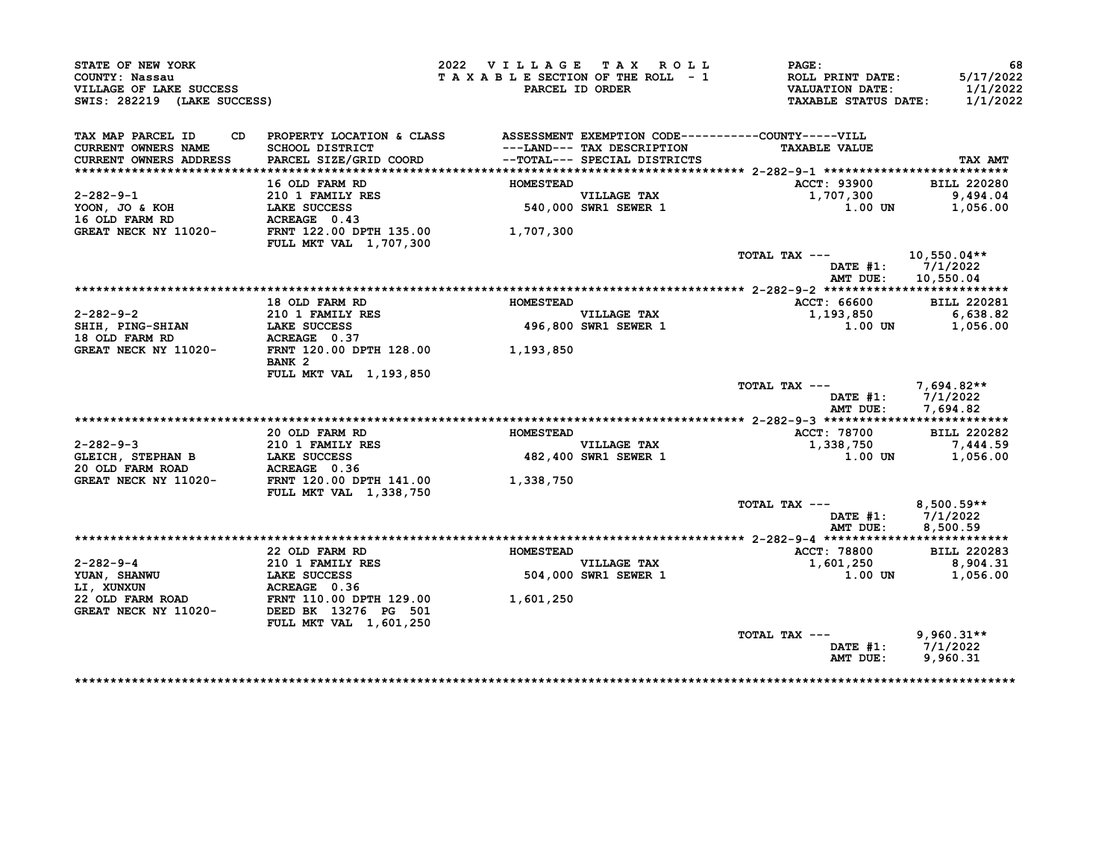|                                           |                                                                              |                  | 2022 VILLAGE TAX ROLL                              | <b>PAGE:</b>                               |                                                                                                          |
|-------------------------------------------|------------------------------------------------------------------------------|------------------|----------------------------------------------------|--------------------------------------------|----------------------------------------------------------------------------------------------------------|
| COUNTY: Nassau<br>VILLAGE OF LAKE SUCCESS |                                                                              |                  | TAXABLE SECTION OF THE ROLL - 1<br>PARCEL ID ORDER | ROLL PRINT DATE:<br><b>VALUATION DATE:</b> | 5/17/2022<br>1/1/2022                                                                                    |
| SWIS: 282219 (LAKE SUCCESS)               |                                                                              |                  |                                                    | <b>TAXABLE STATUS DATE:</b>                | 1/1/2022                                                                                                 |
| TAX MAP PARCEL ID<br>CD                   | PROPERTY LOCATION & CLASS ASSESSMENT EXEMPTION CODE----------COUNTY-----VILL |                  |                                                    |                                            |                                                                                                          |
| <b>CURRENT OWNERS NAME</b>                | SCHOOL DISTRICT                                                              |                  | ---LAND--- TAX DESCRIPTION                         | <b>TAXABLE VALUE</b>                       |                                                                                                          |
| CURRENT OWNERS ADDRESS                    | PARCEL SIZE/GRID COORD                                                       |                  | --TOTAL--- SPECIAL DISTRICTS                       |                                            | TAX AMT                                                                                                  |
|                                           |                                                                              |                  |                                                    |                                            |                                                                                                          |
|                                           | 16 OLD FARM RD                                                               | <b>HOMESTEAD</b> |                                                    | ACCT: 93900                                | <b>BILL 220280</b>                                                                                       |
| $2 - 282 - 9 - 1$                         | 210 1 FAMILY RES                                                             |                  | <b>VILLAGE TAX</b>                                 | 1,707,300                                  | 9,494.04                                                                                                 |
| YOON, JO & KOH                            | LAKE SUCCESS                                                                 |                  | 540,000 SWR1 SEWER 1                               | 1.00 UN                                    | 1,056.00                                                                                                 |
| 16 OLD FARM RD<br>GREAT NECK NY 11020-    | ACREAGE 0.43<br>FRNT 122.00 DPTH 135.00                                      |                  |                                                    |                                            |                                                                                                          |
|                                           | FULL MKT VAL 1,707,300                                                       | 1,707,300        |                                                    |                                            |                                                                                                          |
|                                           |                                                                              |                  |                                                    | TOTAL TAX ---                              | 10,550.04**                                                                                              |
|                                           |                                                                              |                  |                                                    | DATE #1: 7/1/2022                          |                                                                                                          |
|                                           |                                                                              |                  |                                                    | AMT DUE:                                   | 10,550.04                                                                                                |
|                                           |                                                                              |                  |                                                    |                                            |                                                                                                          |
|                                           | 18 OLD FARM RD                                                               | <b>HOMESTEAD</b> |                                                    | ACCT: 66600                                | <b>BILL 220281</b>                                                                                       |
| $2 - 282 - 9 - 2$                         | 210 1 FAMILY RES                                                             |                  | <b>VILLAGE TAX</b>                                 | 1,193,850                                  | 6,638.82                                                                                                 |
| SHIH, PING-SHIAN                          | LAKE SUCCESS                                                                 |                  | 496,800 SWR1 SEWER 1                               | 1.00 UN                                    | 1,056.00                                                                                                 |
| 18 OLD FARM RD                            | ACREAGE 0.37                                                                 |                  |                                                    |                                            |                                                                                                          |
| GREAT NECK NY 11020-                      | FRNT 120.00 DPTH 128.00                                                      | 1,193,850        |                                                    |                                            |                                                                                                          |
|                                           | BANK <sub>2</sub>                                                            |                  |                                                    |                                            |                                                                                                          |
|                                           | FULL MKT VAL 1,193,850                                                       |                  |                                                    |                                            |                                                                                                          |
|                                           |                                                                              |                  |                                                    | TOTAL TAX ---<br>DATE #1: 7/1/2022         | 7,694.82**                                                                                               |
|                                           |                                                                              |                  |                                                    | AMT DUE:                                   | 7,694.82                                                                                                 |
|                                           |                                                                              |                  |                                                    |                                            |                                                                                                          |
|                                           |                                                                              |                  |                                                    |                                            |                                                                                                          |
|                                           |                                                                              |                  |                                                    |                                            |                                                                                                          |
|                                           | 20 OLD FARM RD                                                               | <b>HOMESTEAD</b> |                                                    | ACCT: 78700                                |                                                                                                          |
| $2 - 282 - 9 - 3$                         | 210 1 FAMILY RES                                                             |                  | VILLAGE TAX                                        | 1,338,750                                  |                                                                                                          |
| GLEICH, STEPHAN B<br>20 OLD FARM ROAD     | <b>LAKE SUCCESS</b><br>ACREAGE 0.36                                          |                  | 482,400 SWR1 SEWER 1                               | 1.00 UN                                    |                                                                                                          |
| GREAT NECK NY 11020-                      | <b>FRNT 120.00 DPTH 141.00</b>                                               | 1,338,750        |                                                    |                                            |                                                                                                          |
|                                           | <b>FULL MKT VAL 1,338,750</b>                                                |                  |                                                    |                                            |                                                                                                          |
|                                           |                                                                              |                  |                                                    | TOTAL TAX ---                              | $8,500.59**$                                                                                             |
|                                           |                                                                              |                  |                                                    | DATE #1:                                   | 7/1/2022                                                                                                 |
|                                           |                                                                              |                  |                                                    | AMT DUE:                                   | 8,500.59                                                                                                 |
|                                           |                                                                              |                  |                                                    |                                            |                                                                                                          |
|                                           | 22 OLD FARM RD                                                               | <b>HOMESTEAD</b> |                                                    | ACCT: 78800                                |                                                                                                          |
| $2 - 282 - 9 - 4$                         | 210 1 FAMILY RES                                                             |                  | <b>VILLAGE TAX</b>                                 | 1,601,250                                  |                                                                                                          |
| YUAN, SHANWU                              | <b>LAKE SUCCESS</b>                                                          |                  | 504,000 SWR1 SEWER 1                               | 1.00 UN                                    |                                                                                                          |
| LI, XUNXUN                                | ACREAGE 0.36                                                                 |                  |                                                    |                                            |                                                                                                          |
| 22 OLD FARM ROAD                          |                                                                              | 1,601,250        |                                                    |                                            |                                                                                                          |
| GREAT NECK NY 11020-                      | DEED BK 13276 PG 501                                                         |                  |                                                    |                                            |                                                                                                          |
|                                           | FULL MKT VAL 1,601,250                                                       |                  |                                                    |                                            |                                                                                                          |
|                                           |                                                                              |                  |                                                    | TOTAL TAX ---<br>DATE $#1: 7/1/2022$       | <b>BILL 220282</b><br>7,444.59<br>1,056.00<br><b>BILL 220283</b><br>8,904.31<br>1,056.00<br>$9,960.31**$ |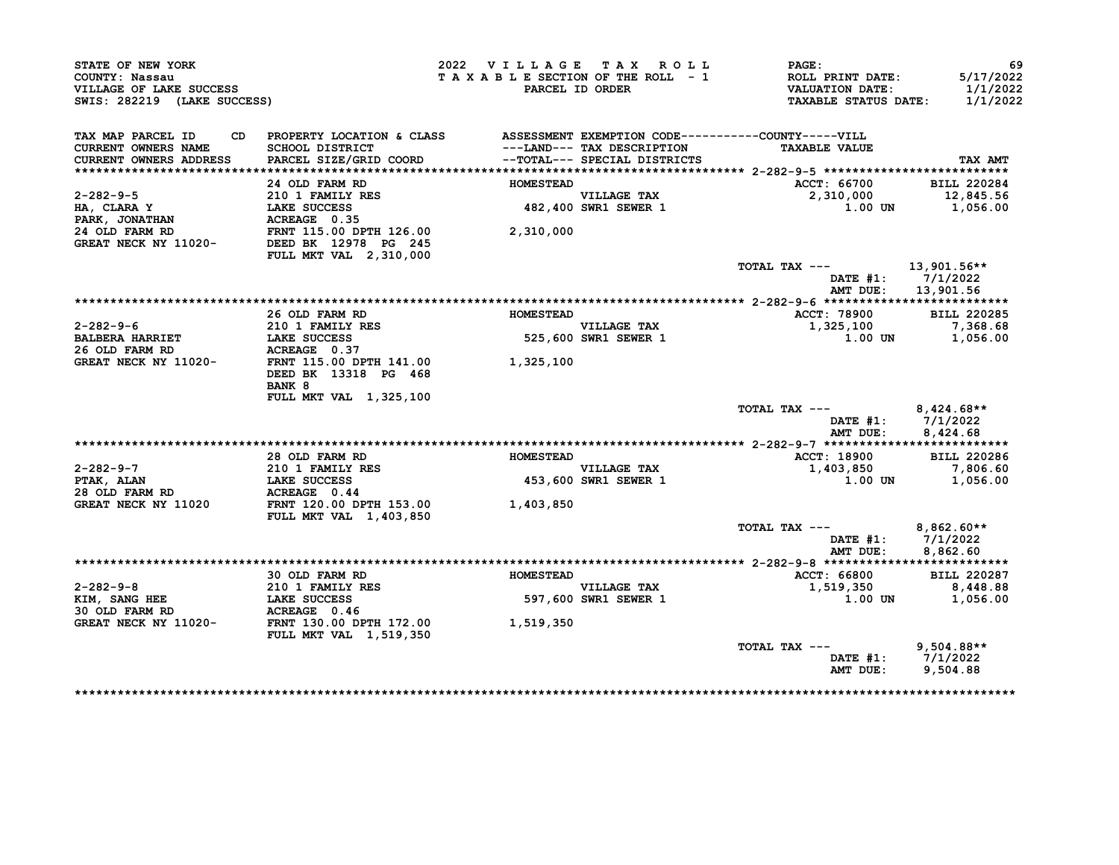| STATE OF NEW YORK<br>COUNTY: Nassau<br>VILLAGE OF LAKE SUCCESS<br>SWIS: 282219 (LAKE SUCCESS) |                                                                              | 2022 VILLAGE TAX ROLL<br>TAXABLE SECTION OF THE ROLL - 1 | PARCEL ID ORDER                     | PAGE:<br>ROLL PRINT DATE:<br><b>VALUATION DATE:</b><br><b>TAXABLE STATUS DATE:</b> | 69<br>5/17/2022<br>1/1/2022<br>1/1/2022 |
|-----------------------------------------------------------------------------------------------|------------------------------------------------------------------------------|----------------------------------------------------------|-------------------------------------|------------------------------------------------------------------------------------|-----------------------------------------|
| TAX MAP PARCEL ID<br>CD                                                                       | PROPERTY LOCATION & CLASS ASSESSMENT EXEMPTION CODE----------COUNTY-----VILL |                                                          |                                     |                                                                                    |                                         |
| <b>CURRENT OWNERS NAME</b>                                                                    | SCHOOL DISTRICT                                                              |                                                          | ---LAND--- TAX DESCRIPTION          | <b>TAXABLE VALUE</b>                                                               |                                         |
| CURRENT OWNERS ADDRESS                                                                        | PARCEL SIZE/GRID COORD                                                       |                                                          | --TOTAL--- SPECIAL DISTRICTS        |                                                                                    | TAX AMT                                 |
|                                                                                               | 24 OLD FARM RD                                                               | <b>HOMESTEAD</b>                                         |                                     | ACCT: 66700                                                                        | <b>BILL 220284</b>                      |
| 2-282-9-5                                                                                     | $210$ 1 FAMILY RES                                                           |                                                          |                                     | 2,310,000                                                                          | 12,845.56                               |
| HA, CLARA Y                                                                                   | <b>LAKE SUCCESS</b>                                                          |                                                          | VILLAGE TAX<br>482,400 SWR1 SEWER 1 | 1.00 UN                                                                            | 1,056.00                                |
| PARK, JONATHAN                                                                                | ACREAGE 0.35                                                                 |                                                          |                                     |                                                                                    |                                         |
| 24 OLD FARM RD                                                                                |                                                                              | 2,310,000                                                |                                     |                                                                                    |                                         |
| GREAT NECK NY 11020-                                                                          | FRNT 115.00 DPTH 126.00<br>DEED BK 12978 PG 245                              |                                                          |                                     |                                                                                    |                                         |
|                                                                                               | FULL MKT VAL 2,310,000                                                       |                                                          |                                     |                                                                                    |                                         |
|                                                                                               |                                                                              |                                                          |                                     | TOTAL TAX ---                                                                      | 13,901.56**                             |
|                                                                                               |                                                                              |                                                          |                                     |                                                                                    | DATE #1: 7/1/2022                       |
|                                                                                               |                                                                              |                                                          |                                     | AMT DUE:                                                                           | 13,901.56                               |
|                                                                                               |                                                                              |                                                          |                                     |                                                                                    |                                         |
|                                                                                               | 26 OLD FARM RD                                                               | <b>HOMESTEAD</b>                                         |                                     | ACCT: 78900                                                                        | <b>BILL 220285</b>                      |
| $2 - 282 - 9 - 6$                                                                             | <b>210 1 FAMILY RES</b>                                                      |                                                          |                                     | 1,325,100                                                                          | 7,368.68                                |
| <b>BALBERA HARRIET</b>                                                                        | <b>LAKE SUCCESS</b>                                                          |                                                          | VILLAGE TAX<br>525,600 SWR1 SEWER 1 | $1.00$ UN                                                                          | 1,056.00                                |
| 26 OLD FARM RD                                                                                | ACREAGE 0.37                                                                 |                                                          |                                     |                                                                                    |                                         |
| GREAT NECK NY 11020-                                                                          | FRNT 115.00 DPTH 141.00 1,325,100                                            |                                                          |                                     |                                                                                    |                                         |
|                                                                                               | DEED BK 13318 PG 468                                                         |                                                          |                                     |                                                                                    |                                         |
|                                                                                               | BANK 8                                                                       |                                                          |                                     |                                                                                    |                                         |
|                                                                                               | FULL MKT VAL 1,325,100                                                       |                                                          |                                     |                                                                                    |                                         |
|                                                                                               |                                                                              |                                                          |                                     | TOTAL TAX ---                                                                      | $8,424.68**$                            |
|                                                                                               |                                                                              |                                                          |                                     |                                                                                    | DATE $#1: 7/1/2022$                     |
|                                                                                               |                                                                              |                                                          |                                     | AMT DUE:                                                                           | 8,424.68                                |
|                                                                                               |                                                                              |                                                          |                                     |                                                                                    |                                         |
|                                                                                               | 28 OLD FARM RD                                                               | <b>HOMESTEAD</b>                                         |                                     | ACCT: 18900                                                                        | <b>BILL 220286</b>                      |
| 2-282-9-7                                                                                     | 210 1 FAMILY RES<br>LAKE SUCCESS                                             |                                                          | VILLAGE TAX<br>453,600 SWR1 SEWER 1 | 1,403,850                                                                          | 7,806.60                                |
| PTAK, ALAN                                                                                    |                                                                              |                                                          |                                     | 1.00 UN                                                                            | 1,056.00                                |
| 28 OLD FARM RD                                                                                | ACREAGE 0.44                                                                 |                                                          |                                     |                                                                                    |                                         |
| GREAT NECK NY 11020                                                                           | FRNT 120.00 DPTH 153.00<br><b>FULL MKT VAL 1,403,850</b>                     | 1,403,850                                                |                                     |                                                                                    |                                         |
|                                                                                               |                                                                              |                                                          |                                     | TOTAL TAX ---                                                                      | $8,862.60**$                            |
|                                                                                               |                                                                              |                                                          |                                     |                                                                                    | DATE #1: $7/1/2022$                     |
|                                                                                               |                                                                              |                                                          |                                     | AMT DUE:                                                                           | 8.862.60                                |
|                                                                                               |                                                                              |                                                          |                                     |                                                                                    |                                         |
|                                                                                               | 30 OLD FARM RD<br>SU OND FANILY RES<br>210 1 FAMILY RES<br>LAKE SUCCESS      | <b>HOMESTEAD</b>                                         |                                     | ACCT: 66800                                                                        | <b>BILL 220287</b>                      |
| 2-282-9-8                                                                                     |                                                                              |                                                          | VILLAGE TAX<br>597,600 SWR1 SEWER 1 | 1,519,350                                                                          | 8,448.88                                |
| KIM, SANG HEE                                                                                 | <b>LAKE SUCCESS</b>                                                          |                                                          |                                     | <b>1.00 UN</b>                                                                     | 1,056.00                                |
| 30 OLD FARM RD                                                                                | ACREAGE 0.46                                                                 |                                                          |                                     |                                                                                    |                                         |
| GREAT NECK NY 11020- FRNT 130.00 DPTH 172.00                                                  |                                                                              | 1,519,350                                                |                                     |                                                                                    |                                         |
|                                                                                               | <b>FULL MKT VAL 1,519,350</b>                                                |                                                          |                                     |                                                                                    |                                         |
|                                                                                               |                                                                              |                                                          |                                     | TOTAL TAX ---                                                                      | $9,504.88**$<br>DATE #1: 7/1/2022       |
|                                                                                               |                                                                              |                                                          |                                     |                                                                                    | AMT DUE: 9,504.88                       |
|                                                                                               |                                                                              |                                                          |                                     |                                                                                    |                                         |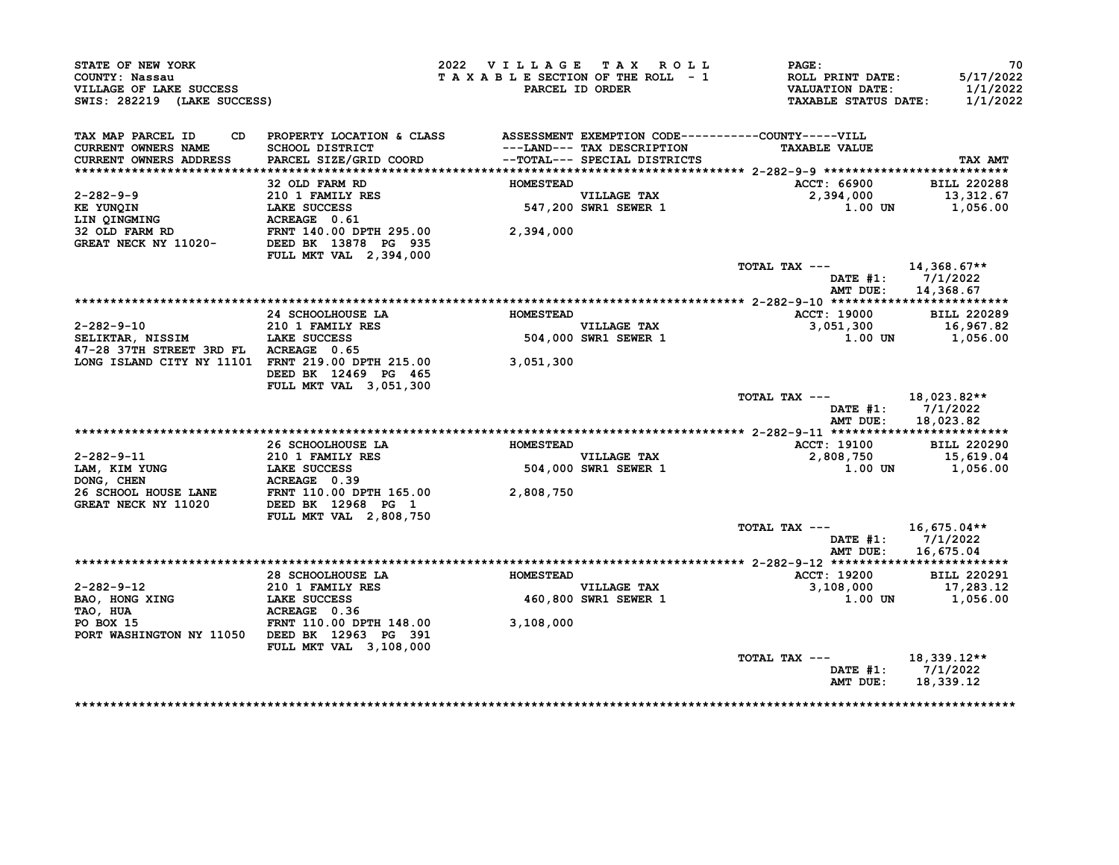| STATE OF NEW YORK<br>COUNTY: Nassau<br>VILLAGE OF LAKE SUCCESS<br>SWIS: 282219 (LAKE SUCCESS)                                                                                                                                                     |                                                                              | 2022 VILLAGE TAX ROLL<br>TAXABLE SECTION OF THE ROLL - 1 | PARCEL ID ORDER                     | PAGE:<br>ROLL PRINT DATE:<br><b>VALUATION DATE:</b><br><b>TAXABLE STATUS DATE:</b> | 70<br>5/17/2022<br>1/1/2022<br>1/1/2022 |
|---------------------------------------------------------------------------------------------------------------------------------------------------------------------------------------------------------------------------------------------------|------------------------------------------------------------------------------|----------------------------------------------------------|-------------------------------------|------------------------------------------------------------------------------------|-----------------------------------------|
| TAX MAP PARCEL ID<br>CD                                                                                                                                                                                                                           | PROPERTY LOCATION & CLASS ASSESSMENT EXEMPTION CODE----------COUNTY-----VILL |                                                          |                                     |                                                                                    |                                         |
| CURRENT OWNERS NAME                                                                                                                                                                                                                               | SCHOOL DISTRICT                                                              |                                                          | ---LAND--- TAX DESCRIPTION          | <b>TAXABLE VALUE</b>                                                               |                                         |
| <b>CURRENT OWNERS ADDRESS</b>                                                                                                                                                                                                                     | PARCEL SIZE/GRID COORD                                                       |                                                          | --TOTAL--- SPECIAL DISTRICTS        |                                                                                    | TAX AMT                                 |
|                                                                                                                                                                                                                                                   | 32 OLD FARM RD                                                               | <b>HOMESTEAD</b>                                         |                                     | ACCT: 66900                                                                        | <b>BILL 220288</b>                      |
| 2-282-9-9                                                                                                                                                                                                                                         |                                                                              |                                                          |                                     | 2,394,000                                                                          | 13,312.67                               |
|                                                                                                                                                                                                                                                   |                                                                              |                                                          | VILLAGE TAX<br>547,200 SWR1 SEWER 1 | 1.00 UN                                                                            | 1,056.00                                |
| KE YUNQIN<br>LIN QINGMING                                                                                                                                                                                                                         | 210 1 FAMILY RES<br>LAKE SUCCESS<br>ACREAGE 0.61                             |                                                          |                                     |                                                                                    |                                         |
| 32 OLD FARM RD                 FRNT 140.00 DPTH 295.00<br>GREAT NECK NY 11020-         DEED BK 13878 PG 935                                                                                                                                       |                                                                              | 2,394,000                                                |                                     |                                                                                    |                                         |
|                                                                                                                                                                                                                                                   |                                                                              |                                                          |                                     |                                                                                    |                                         |
|                                                                                                                                                                                                                                                   | FULL MKT VAL 2,394,000                                                       |                                                          |                                     |                                                                                    |                                         |
|                                                                                                                                                                                                                                                   |                                                                              |                                                          |                                     | TOTAL TAX ---                                                                      | $14,368.67**$                           |
|                                                                                                                                                                                                                                                   |                                                                              |                                                          |                                     |                                                                                    | DATE $#1: 7/1/2022$                     |
|                                                                                                                                                                                                                                                   |                                                                              |                                                          |                                     | AMT DUE:                                                                           | 14,368.67                               |
|                                                                                                                                                                                                                                                   |                                                                              |                                                          |                                     |                                                                                    |                                         |
| $2 - 282 - 9 - 10$                                                                                                                                                                                                                                | 24 SCHOOLHOUSE LA<br>210 1 FAMILY RES                                        | <b>HOMESTEAD</b>                                         |                                     | <b>ACCT: 19000</b><br>3,051,300                                                    | <b>BILL 220289</b><br>16,967.82         |
| SELIKTAR, NISSIM LAKE SUCCESS                                                                                                                                                                                                                     |                                                                              |                                                          | VILLAGE TAX<br>504,000 SWR1 SEWER 1 |                                                                                    | 1.00 UN 1,056.00                        |
| 47-28 37TH STREET 3RD FL ACREAGE 0.65                                                                                                                                                                                                             |                                                                              |                                                          |                                     |                                                                                    |                                         |
| LONG ISLAND CITY NY 11101 FRNT 219.00 DPTH 215.00 3,051,300                                                                                                                                                                                       |                                                                              |                                                          |                                     |                                                                                    |                                         |
|                                                                                                                                                                                                                                                   | DEED BK 12469 PG 465<br>FULL MKT VAL 3,051,300                               |                                                          |                                     |                                                                                    |                                         |
|                                                                                                                                                                                                                                                   |                                                                              |                                                          |                                     | TOTAL TAX ---                                                                      | 18,023.82**                             |
|                                                                                                                                                                                                                                                   |                                                                              |                                                          |                                     |                                                                                    | DATE #1: 7/1/2022                       |
|                                                                                                                                                                                                                                                   |                                                                              |                                                          |                                     |                                                                                    | AMT DUE: 18,023.82                      |
|                                                                                                                                                                                                                                                   |                                                                              |                                                          |                                     |                                                                                    |                                         |
|                                                                                                                                                                                                                                                   | 26 SCHOOLHOUSE LA                                                            | <b>HOMESTEAD</b>                                         |                                     | <b>ACCT: 19100</b>                                                                 | <b>BILL 220290</b>                      |
|                                                                                                                                                                                                                                                   |                                                                              |                                                          | VILLAGE TAX<br>504,000 SWR1 SEWER 1 | 2,808,750                                                                          | 15,619.04                               |
| 2-282-9-11<br>LAM, KIM YUNG<br>DONG, CHEN<br>2001 FAMILY RES<br>DONG, CHEN<br>26 SCHOOL HOUSE LANE<br>26 SCHOOL HOUSE LANE<br>26 SCHOOL HOUSE LANE<br>26 SCHOOL HOUSE LANE<br>2796 PG 12968 PG 1<br>286 PG 12968 PG 12968 PG 12968 PG 12968 PG 12 |                                                                              |                                                          |                                     |                                                                                    | 1.00 UN 1,056.00                        |
|                                                                                                                                                                                                                                                   |                                                                              | 2,808,750                                                |                                     |                                                                                    |                                         |
|                                                                                                                                                                                                                                                   |                                                                              |                                                          |                                     |                                                                                    |                                         |
|                                                                                                                                                                                                                                                   | FULL MKT VAL 2,808,750                                                       |                                                          |                                     |                                                                                    |                                         |
|                                                                                                                                                                                                                                                   |                                                                              |                                                          |                                     | TOTAL TAX ---                                                                      | 16,675.04**                             |
|                                                                                                                                                                                                                                                   |                                                                              |                                                          |                                     |                                                                                    | DATE $#1: 7/1/2022$                     |
|                                                                                                                                                                                                                                                   |                                                                              |                                                          |                                     | AMT DUE:                                                                           | 16,675.04                               |
|                                                                                                                                                                                                                                                   |                                                                              |                                                          |                                     |                                                                                    |                                         |
|                                                                                                                                                                                                                                                   | 28 SCHOOLHOUSE LA <b>HOMESTEAD</b>                                           |                                                          |                                     | <b>ACCT: 19200</b>                                                                 | <b>BILL 220291</b>                      |
| $2 - 282 - 9 - 12$                                                                                                                                                                                                                                | 210 1 FAMILY RES                                                             |                                                          | <b>VILLAGE TAX</b>                  | 3,108,000                                                                          | 17,283.12                               |
| BAO, HONG XING                                                                                                                                                                                                                                    | LAKE SUCCESS                                                                 |                                                          | 460,800 SWR1 SEWER 1                |                                                                                    | 1.00 UN 1,056.00                        |
| TAO, HUA                                                                                                                                                                                                                                          | ACREAGE 0.36                                                                 |                                                          |                                     |                                                                                    |                                         |
| PO BOX 15                                                                                                                                                                                                                                         | FRNT 110.00 DPTH 148.00                                                      | 3,108,000                                                |                                     |                                                                                    |                                         |
| PORT WASHINGTON NY 11050 DEED BK 12963 PG 391                                                                                                                                                                                                     |                                                                              |                                                          |                                     |                                                                                    |                                         |
|                                                                                                                                                                                                                                                   | FULL MKT VAL 3,108,000                                                       |                                                          |                                     | TOTAL TAX ---                                                                      | 18,339.12**                             |
|                                                                                                                                                                                                                                                   |                                                                              |                                                          |                                     |                                                                                    |                                         |
|                                                                                                                                                                                                                                                   |                                                                              |                                                          |                                     |                                                                                    | DATE #1: 7/1/2022                       |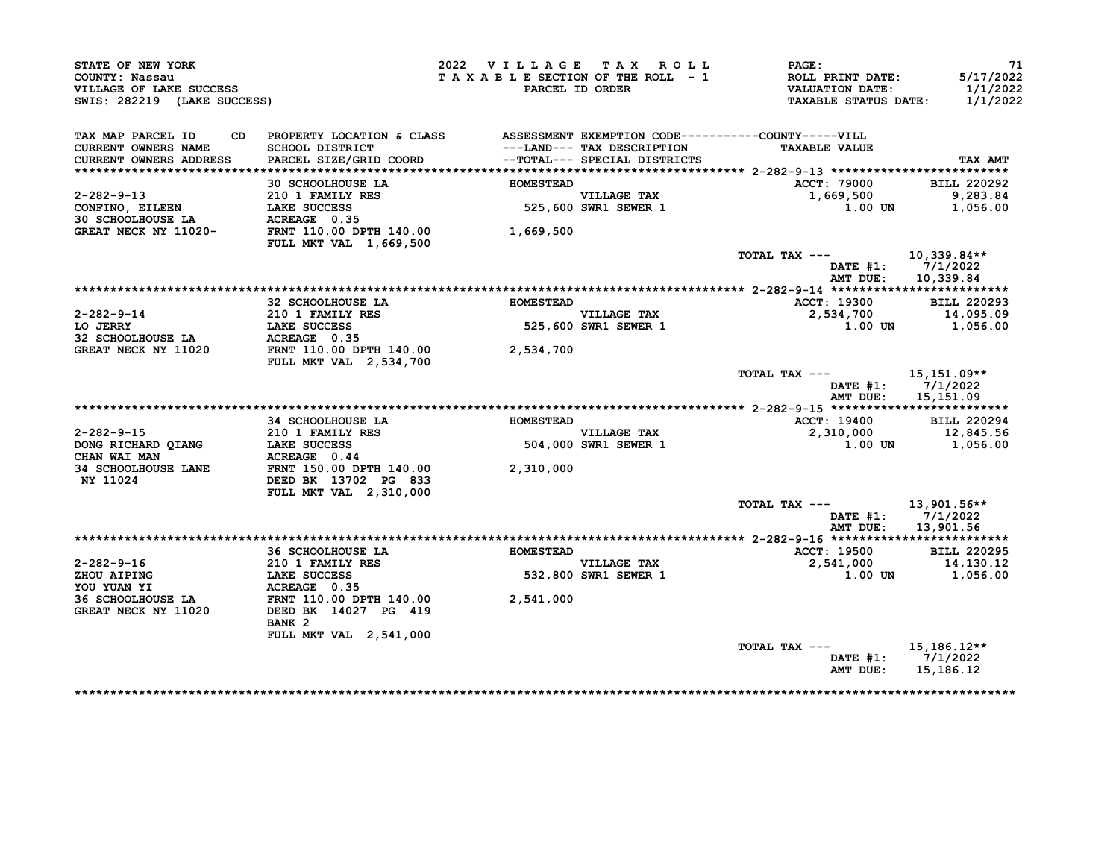| STATE OF NEW YORK<br>COUNTY: Nassau<br>VILLAGE OF LAKE SUCCESS<br>SWIS: 282219 (LAKE SUCCESS)                                                                                                                                  |                                                                                                                    | 2022 VILLAGE TAX ROLL<br>TAXABLE SECTION OF THE ROLL - 1 | PARCEL ID ORDER                                            | $\mathtt{PAGE}$ :<br>ROLL PRINT DATE:<br>VALUATION DATE:<br><b>TAXABLE STATUS DATE:</b> | -71<br>5/17/2022<br>1/1/2022<br>1/1/2022 |
|--------------------------------------------------------------------------------------------------------------------------------------------------------------------------------------------------------------------------------|--------------------------------------------------------------------------------------------------------------------|----------------------------------------------------------|------------------------------------------------------------|-----------------------------------------------------------------------------------------|------------------------------------------|
| TAX MAP PARCEL ID                                                                                                                                                                                                              | CD PROPERTY LOCATION & CLASS ASSESSMENT EXEMPTION CODE----------COUNTY-----VILL                                    |                                                          |                                                            |                                                                                         |                                          |
| CURRENT OWNERS NAME                                                                                                                                                                                                            | SCHOOL DISTRICT                                                                                                    |                                                          | ---LAND--- TAX DESCRIPTION<br>--TOTAL--- SPECIAL DISTRICTS | <b>TAXABLE VALUE</b>                                                                    |                                          |
| CURRENT OWNERS ADDRESS                                                                                                                                                                                                         | PARCEL SIZE/GRID COORD                                                                                             |                                                          |                                                            |                                                                                         | TAX AMT                                  |
|                                                                                                                                                                                                                                |                                                                                                                    |                                                          |                                                            |                                                                                         |                                          |
|                                                                                                                                                                                                                                | 30 SCHOOLHOUSE LA                                                                                                  | <b>HOMESTEAD</b>                                         |                                                            | ACCT: 79000                                                                             | <b>BILL 220292</b>                       |
|                                                                                                                                                                                                                                |                                                                                                                    |                                                          | VILLAGE TAX<br>525,600 SWR1 SEWER 1                        | 1,669,500<br>1.00 UN                                                                    | 9,283.84                                 |
|                                                                                                                                                                                                                                |                                                                                                                    |                                                          |                                                            |                                                                                         | 1,056.00                                 |
|                                                                                                                                                                                                                                |                                                                                                                    |                                                          |                                                            |                                                                                         |                                          |
| GREAT NECK NY 11020-<br>FRNT 110.00 DPTH 140.00<br>$\frac{1}{1000}$ , 500                                                                                                                                                      | <b>FULL MKT VAL 1,669,500</b>                                                                                      |                                                          |                                                            |                                                                                         |                                          |
|                                                                                                                                                                                                                                |                                                                                                                    |                                                          |                                                            | TOTAL TAX $---$ 10,339.84**                                                             |                                          |
|                                                                                                                                                                                                                                |                                                                                                                    |                                                          |                                                            |                                                                                         | DATE #1: 7/1/2022                        |
|                                                                                                                                                                                                                                |                                                                                                                    |                                                          |                                                            |                                                                                         | AMT DUE: 10,339.84                       |
|                                                                                                                                                                                                                                |                                                                                                                    |                                                          |                                                            |                                                                                         |                                          |
|                                                                                                                                                                                                                                | 32 SCHOOLHOUSE LA                                                                                                  | <b>HOMESTEAD</b>                                         |                                                            | <b>ACCT: 19300</b>                                                                      | <b>BILL 220293</b>                       |
| 2-282-9-14                                                                                                                                                                                                                     |                                                                                                                    |                                                          |                                                            | 2,534,700                                                                               | 14,095.09                                |
| LO JERRY                                                                                                                                                                                                                       |                                                                                                                    |                                                          |                                                            |                                                                                         | $1.00$ UN $1,056.00$                     |
| 32 SCHOOLHOUSE LA                                                                                                                                                                                                              |                                                                                                                    |                                                          |                                                            |                                                                                         |                                          |
| <b>GREAT NECK NY 11020</b>                                                                                                                                                                                                     | 210 1 FAMILY RES<br>LAKE SUCCESS<br>ACREAGE 0.35<br>FRNT 110.00 DPTH 140.00<br>FULL MKT VAL 2,534,700<br>2,534,700 |                                                          |                                                            |                                                                                         |                                          |
|                                                                                                                                                                                                                                |                                                                                                                    |                                                          |                                                            | TOTAL TAX --- 15,151.09**<br>AMT DUE:                                                   | DATE $#1: 7/1/2022$<br>15,151.09         |
|                                                                                                                                                                                                                                |                                                                                                                    |                                                          |                                                            |                                                                                         |                                          |
|                                                                                                                                                                                                                                | 34 SCHOOLHOUSE LA                                                                                                  | <b>HOMESTEAD</b>                                         |                                                            | <b>ACCT: 19400</b>                                                                      | <b>BILL 220294</b>                       |
| 2-282-9-15                                                                                                                                                                                                                     | 210 1 FAMILY RES                                                                                                   |                                                          | VILLAGE TAX<br>504,000 SWR1 SEWER 1                        | 2,310,000                                                                               | 12,845.56                                |
| DONG RICHARD QIANG                                                                                                                                                                                                             |                                                                                                                    |                                                          |                                                            |                                                                                         | $1.00$ UN $1,056.00$                     |
| CHAN WAI MAN                                                                                                                                                                                                                   |                                                                                                                    |                                                          |                                                            |                                                                                         |                                          |
| <b>34 SCHOOLHOUSE LANE</b><br>NY 11024                                                                                                                                                                                         | <b>LAKE SUCCESS<br/>ACREAGE 0.44<br/>FRNT 150.00 DPTH 140.00<br/>DEED BK 13702 PG 833</b>                          | 2,310,000                                                |                                                            |                                                                                         |                                          |
|                                                                                                                                                                                                                                | FULL MKT VAL 2,310,000                                                                                             |                                                          |                                                            |                                                                                         |                                          |
|                                                                                                                                                                                                                                |                                                                                                                    |                                                          |                                                            | TOTAL TAX ---                                                                           | 13,901.56**                              |
|                                                                                                                                                                                                                                |                                                                                                                    |                                                          |                                                            |                                                                                         | DATE $#1: 7/1/2022$                      |
|                                                                                                                                                                                                                                |                                                                                                                    |                                                          |                                                            | AMT DUE:                                                                                | 13,901.56                                |
|                                                                                                                                                                                                                                |                                                                                                                    |                                                          |                                                            | <b>ACCT: 19500</b>                                                                      | <b>BILL 220295</b>                       |
|                                                                                                                                                                                                                                | 36 SCHOOLHOUSE LA <b>HOMESTEAD</b>                                                                                 |                                                          |                                                            | 2,541,000                                                                               | 14,130.12                                |
|                                                                                                                                                                                                                                |                                                                                                                    |                                                          | VILLAGE TAX<br>532,800 SWR1 SEWER 1                        |                                                                                         | 1.00 UN 1,056.00                         |
|                                                                                                                                                                                                                                |                                                                                                                    |                                                          |                                                            |                                                                                         |                                          |
|                                                                                                                                                                                                                                |                                                                                                                    |                                                          |                                                            |                                                                                         |                                          |
| CONDUCTED CONTRACT THE SERVE THAT THE SERVED OF THE SERVED OF THE SERVED OF THE SERVED OF THE SERVED OF THE SERVED OF THE SERVED OF THE SERVED OF THE SERVED OF THE SERVED OF THE SERVED OF THE SERVED OF THE SERVED OF THE SE | FRNT 110.00 DPTH 140.00 2,541,000<br>DEED BK 14027 PG 419<br>BANK <sub>2</sub>                                     |                                                          |                                                            |                                                                                         |                                          |
|                                                                                                                                                                                                                                | FULL MKT VAL 2,541,000                                                                                             |                                                          |                                                            |                                                                                         |                                          |
|                                                                                                                                                                                                                                |                                                                                                                    |                                                          |                                                            | TOTAL TAX --- $15,186.12**$                                                             |                                          |
|                                                                                                                                                                                                                                |                                                                                                                    |                                                          |                                                            |                                                                                         | DATE $#1: 7/1/2022$                      |
|                                                                                                                                                                                                                                |                                                                                                                    |                                                          |                                                            | AMT DUE:                                                                                | 15,186.12                                |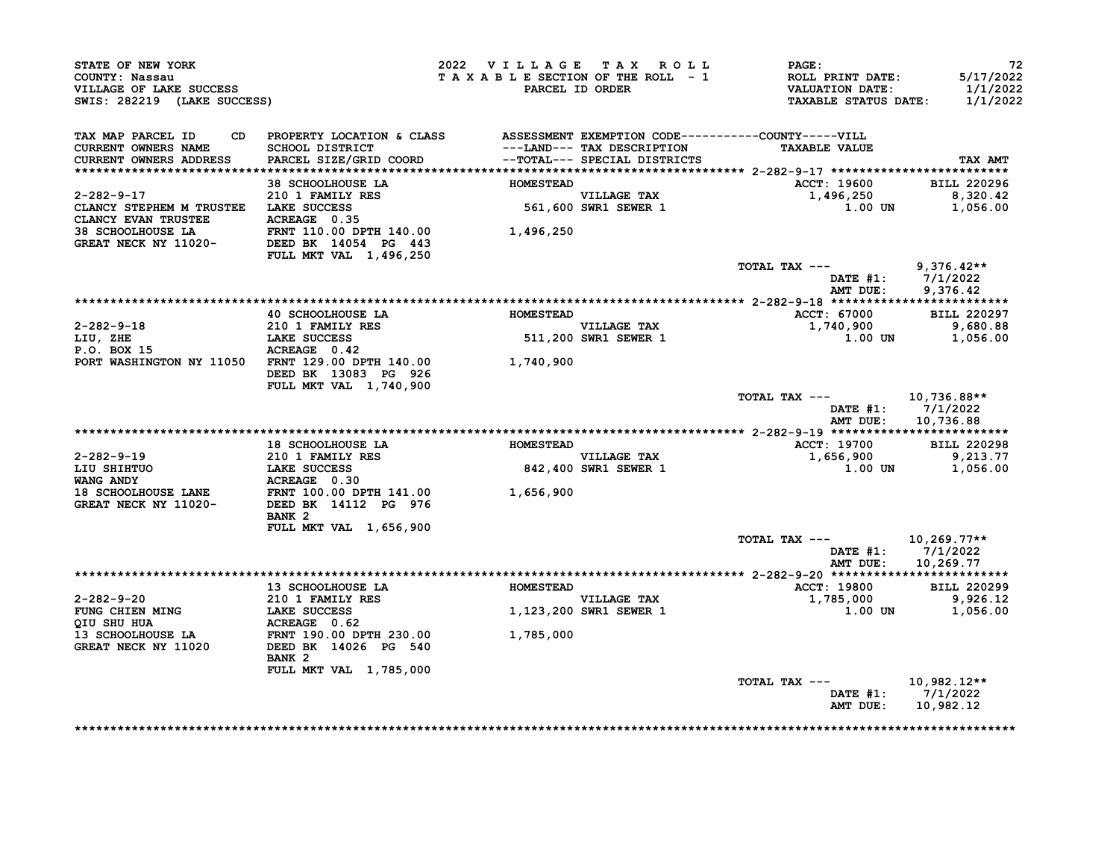| STATE OF NEW YORK<br>COUNTY: Nassau<br>VILLAGE OF LAKE SUCCESS<br>SWIS: 282219 (LAKE SUCCESS)                                                                                                  |                                                                                                                                                                                                                                      | 2022 VILLAGE TAX ROLL                 |                                     | PAGE:<br>T A X A B L E SECTION OF THE ROLL - 1 ROLL PRINT DATE:<br>PARCEL ID ORDER VALUATION DATE:<br><b>TAXABLE STATUS DATE:</b> | 72<br>5/17/2022<br>1/1/2022<br>1/1/2022                |
|------------------------------------------------------------------------------------------------------------------------------------------------------------------------------------------------|--------------------------------------------------------------------------------------------------------------------------------------------------------------------------------------------------------------------------------------|---------------------------------------|-------------------------------------|-----------------------------------------------------------------------------------------------------------------------------------|--------------------------------------------------------|
| TAX MAP PARCEL ID<br><b>CURRENT OWNERS NAME</b><br><b>CURRENT OWNERS ADDRESS</b>                                                                                                               | CD PROPERTY LOCATION & CLASS ASSESSMENT EXEMPTION CODE----------COUNTY-----VILL<br>SCHOOL DISTRICT                                     ---LAND--- TAX DESCRIPTION<br>PARCEL SIZE/GRID COORD             --TOTAL--- SPECIAL DISTRICTS |                                       |                                     | <b>TAXABLE VALUE</b>                                                                                                              | TAX AMT                                                |
|                                                                                                                                                                                                | 38 SCHOOLHOUSE LA                                                                                                                                                                                                                    | <b>HOMESTEAD</b>                      |                                     | <b>ACCT: 19600</b>                                                                                                                | <b>BILL 220296</b>                                     |
| $2 - 282 - 9 - 17$<br>CLANCY STEPHEM M TRUSTEE LAKE SUCCESS<br>CLANCY EVAN TRUSTEE ACREAGE 0.35                                                                                                | 210 1 FAMILY RES                                                                                                                                                                                                                     |                                       | VILLAGE TAX<br>561,600 SWR1 SEWER 1 | 1,496,250 8,320.42<br>1.00 UN                                                                                                     | 1,056.00                                               |
| 38 SCHOOLHOUSE LA FRNT 110.00 DPTH 140.00 1,496,250<br>GREAT NECK NY 11020- DEED BK 14054 PG 443                                                                                               | FULL MKT VAL 1,496,250                                                                                                                                                                                                               |                                       |                                     |                                                                                                                                   |                                                        |
|                                                                                                                                                                                                |                                                                                                                                                                                                                                      |                                       |                                     | TOTAL TAX $---$ 9,376.42**                                                                                                        | DATE #1: 7/1/2022                                      |
|                                                                                                                                                                                                |                                                                                                                                                                                                                                      |                                       |                                     |                                                                                                                                   | AMT DUE: 9,376.42                                      |
|                                                                                                                                                                                                | 40 SCHOOLHOUSE LA                                                                                                                                                                                                                    | <b>HOMESTEAD</b>                      | VILLAGE TAX<br>511,200 SWR1 SEWER 1 | <b>ACCT: 67000</b><br>1,740,900                                                                                                   | <b>BILL 220297</b><br>9,680.88<br>1.00 UN 1,056.00     |
| PORT WASHINGTON NY 11050 FRNT 129.00 DPTH 140.00 1,740,900                                                                                                                                     | DEED BK 13083 PG 926<br>FULL MKT VAL 1,740,900                                                                                                                                                                                       |                                       |                                     |                                                                                                                                   |                                                        |
|                                                                                                                                                                                                |                                                                                                                                                                                                                                      |                                       |                                     | TOTAL TAX ---<br>AMT DUE:                                                                                                         | 10,736.88**<br>DATE #1: 7/1/2022<br>10,736.88          |
|                                                                                                                                                                                                |                                                                                                                                                                                                                                      |                                       |                                     |                                                                                                                                   |                                                        |
|                                                                                                                                                                                                | 18 SCHOOLHOUSE LA                                                                                                                                                                                                                    | <b>HOMESTEAD</b>                      |                                     | ACCT: 19700 BILL 220298                                                                                                           |                                                        |
|                                                                                                                                                                                                |                                                                                                                                                                                                                                      |                                       | VILLAGE TAX<br>842,400 SWR1 SEWER 1 | $1,656,900$<br>$1,656,900$<br>$1.00$ UN $1,056.00$                                                                                |                                                        |
| 2-282-9-19<br>LIU SHIHTUO 21 D LAKE SUCCESS<br>WANG ANDY LAKE SUCCESS 842,400<br>18 SCHOOLHOUSE LANE FRNT 100.00 DPTH 141.00 1,656,900<br>GREAT NECK NY 11020- DEED BK 14112 PG 976 14,656,900 | BANK <sub>2</sub>                                                                                                                                                                                                                    |                                       |                                     |                                                                                                                                   |                                                        |
|                                                                                                                                                                                                | FULL MKT VAL 1,656,900                                                                                                                                                                                                               |                                       |                                     | TOTAL TAX --- $10,269.77**$                                                                                                       | DATE #1: 7/1/2022                                      |
|                                                                                                                                                                                                |                                                                                                                                                                                                                                      |                                       |                                     |                                                                                                                                   | AMT DUE: 10,269.77                                     |
|                                                                                                                                                                                                |                                                                                                                                                                                                                                      |                                       |                                     |                                                                                                                                   |                                                        |
|                                                                                                                                                                                                | 13 SCHOOLHOUSE LA                                                                                                                                                                                                                    | <b>HOMESTEAD</b>                      |                                     | <b>ACCT: 19800</b>                                                                                                                | <b>BILL 220299</b>                                     |
| 2-282-9-20                                                                                                                                                                                     | 210 1 FAMILY RES<br>LAKE SUCCESS<br>ACPEACE 0.62                                                                                                                                                                                     | VILLAGE TAX<br>1,123,200 SWR1 SEWER 1 |                                     | 1,785,000                                                                                                                         | 9,926.12                                               |
| FUNG CHIEN MING<br>QIU SHU HUA CHEROS DE LAKE SUCCESS                                                                                                                                          |                                                                                                                                                                                                                                      |                                       |                                     | 1.00 UN                                                                                                                           | 1,056.00                                               |
|                                                                                                                                                                                                | BANK <sub>2</sub>                                                                                                                                                                                                                    | 1,785,000                             |                                     |                                                                                                                                   |                                                        |
|                                                                                                                                                                                                | FULL MKT VAL 1,785,000                                                                                                                                                                                                               |                                       |                                     | TOTAL TAX ---                                                                                                                     | 10,982.12**<br>DATE #1: 7/1/2022<br>AMT DUE: 10,982.12 |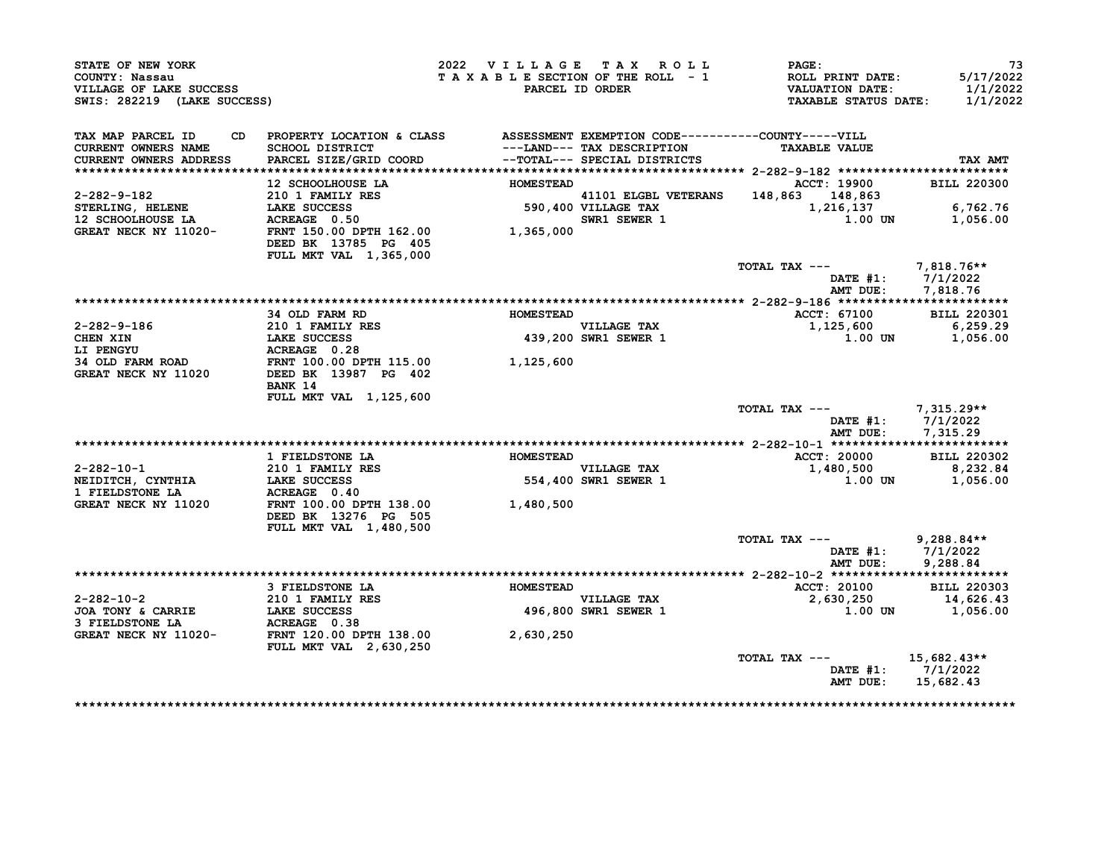| STATE OF NEW YORK<br>COUNTY: Nassau<br>VILLAGE OF LAKE SUCCESS<br>SWIS: 282219 (LAKE SUCCESS) |                                                                                                                            | 2022 VILLAGE TAX ROLL<br>TAXABLE SECTION OF THE ROLL - 1 | PARCEL ID ORDER                                                | PAGE:<br>ROLL PRINT DATE:<br><b>VALUATION DATE:</b><br><b>TAXABLE STATUS DATE:</b> | 73<br>5/17/2022<br>1/1/2022<br>1/1/2022              |
|-----------------------------------------------------------------------------------------------|----------------------------------------------------------------------------------------------------------------------------|----------------------------------------------------------|----------------------------------------------------------------|------------------------------------------------------------------------------------|------------------------------------------------------|
| TAX MAP PARCEL ID<br>CD<br><b>CURRENT OWNERS NAME</b><br>CURRENT OWNERS ADDRESS               | PROPERTY LOCATION & CLASS ASSESSMENT EXEMPTION CODE-----------COUNTY-----VILL<br>SCHOOL DISTRICT<br>PARCEL SIZE/GRID COORD |                                                          | ---LAND--- TAX DESCRIPTION<br>--TOTAL--- SPECIAL DISTRICTS     | <b>TAXABLE VALUE</b>                                                               | TAX AMT                                              |
|                                                                                               |                                                                                                                            |                                                          |                                                                |                                                                                    |                                                      |
|                                                                                               | 12 SCHOOLHOUSE LA                                                                                                          | <b>HOMESTEAD</b>                                         |                                                                | ACCT: 19900                                                                        | <b>BILL 220300</b>                                   |
| 2-282-9-182                                                                                   | 210 1 FAMILY RES                                                                                                           |                                                          | 41101 ELGBL VETERANS<br>41101 ELGBL VET<br>590,400 VILLAGE TAX | 148,863 148,863                                                                    |                                                      |
| STERLING, HELENE                                                                              | LAKE SUCCESS<br>ACREAGE 0.50                                                                                               |                                                          |                                                                | 1,216,137                                                                          | 6,762.76                                             |
| 12 SCHOOLHOUSE LA                                                                             |                                                                                                                            |                                                          | <b>SWR1 SEWER 1</b>                                            | $1.00$ UN                                                                          | 1,056.00                                             |
| GREAT NECK NY 11020-                                                                          | FRNT 150.00 DPTH 162.00<br>DEED BK 13785 PG 405                                                                            | 1,365,000                                                |                                                                |                                                                                    |                                                      |
|                                                                                               | FULL MKT VAL 1,365,000                                                                                                     |                                                          |                                                                | TOTAL TAX ---                                                                      | $7,818.76**$                                         |
|                                                                                               |                                                                                                                            |                                                          |                                                                | DATE $#1:$<br>AMT DUE:                                                             | 7/1/2022<br>7,818.76                                 |
|                                                                                               |                                                                                                                            |                                                          |                                                                |                                                                                    |                                                      |
|                                                                                               | 34 OLD FARM RD                                                                                                             | <b>HOMESTEAD</b>                                         |                                                                | ACCT: 67100                                                                        | <b>BILL 220301</b>                                   |
| 2-282-9-186                                                                                   | 210 1 FAMILY RES                                                                                                           |                                                          | VILLAGE TAX                                                    | 1,125,600                                                                          | 6,259.29                                             |
| CHEN XIN                                                                                      | LAKE SUCCESS                                                                                                               |                                                          | 439,200 SWR1 SEWER 1                                           | 1.00 UN                                                                            | 1,056.00                                             |
| LI PENGYU                                                                                     | ACREAGE 0.28                                                                                                               |                                                          |                                                                |                                                                                    |                                                      |
| 34 OLD FARM ROAD                                                                              | FRNT 100.00 DPTH 115.00                                                                                                    | 1,125,600                                                |                                                                |                                                                                    |                                                      |
| GREAT NECK NY 11020                                                                           | DEED BK 13987 PG 402<br>BANK 14                                                                                            |                                                          |                                                                |                                                                                    |                                                      |
|                                                                                               | FULL MKT VAL 1,125,600                                                                                                     |                                                          |                                                                |                                                                                    |                                                      |
|                                                                                               |                                                                                                                            |                                                          |                                                                | TOTAL TAX ---                                                                      | 7,315.29**<br>DATE #1: 7/1/2022<br>AMT DUE: 7,315.29 |
|                                                                                               |                                                                                                                            |                                                          |                                                                |                                                                                    |                                                      |
|                                                                                               | 1 FIELDSTONE LA                                                                                                            | <b>HOMESTEAD</b>                                         |                                                                | ACCT: 20000                                                                        | <b>BILL 220302</b>                                   |
| $2 - 282 - 10 - 1$                                                                            | 210 1 FAMILY RES                                                                                                           |                                                          | VILLAGE TAX                                                    | 1,480,500                                                                          | 8,232.84                                             |
| NEIDITCH, CYNTHIA                                                                             | 210 1 FAMILY<br>LAKE SUCCESS                                                                                               |                                                          | 554,400 SWR1 SEWER 1                                           | 1.00 UN                                                                            | 1,056.00                                             |
| 1 FIELDSTONE LA                                                                               | ACREAGE 0.40                                                                                                               |                                                          |                                                                |                                                                                    |                                                      |
| GREAT NECK NY 11020                                                                           | FRNT 100.00 DPTH 138.00                                                                                                    | 1,480,500                                                |                                                                |                                                                                    |                                                      |
|                                                                                               | DEED BK 13276 PG 505                                                                                                       |                                                          |                                                                |                                                                                    |                                                      |
|                                                                                               | FULL MKT VAL 1,480,500                                                                                                     |                                                          |                                                                | TOTAL TAX ---                                                                      | $9,288.84**$                                         |
|                                                                                               |                                                                                                                            |                                                          |                                                                |                                                                                    | DATE #1: 7/1/2022                                    |
|                                                                                               |                                                                                                                            |                                                          |                                                                | AMT DUE:                                                                           | 9,288.84                                             |
|                                                                                               | 3 FIELDSTONE LA                                                                                                            | <b>HOMESTEAD</b>                                         |                                                                | ACCT: 20100                                                                        | <b>BILL 220303</b>                                   |
| 2-282-10-2                                                                                    | 210 1 FAMILY RES                                                                                                           |                                                          | <b>VILLAGE TAX</b>                                             | 2,630,250                                                                          | 14,626.43                                            |
| JOA TONY & CARRIE                                                                             | <b>LAKE SUCCESS</b>                                                                                                        |                                                          | 496,800 SWR1 SEWER 1                                           | 1.00 UN                                                                            | 1,056.00                                             |
| 3 FIELDSTONE LA                                                                               | ACREAGE 0.38                                                                                                               |                                                          |                                                                |                                                                                    |                                                      |
| GREAT NECK NY 11020-                                                                          | FRNT 120.00 DPTH 138.00<br><b>FULL MKT VAL 2,630,250</b>                                                                   | 2,630,250                                                |                                                                |                                                                                    |                                                      |
|                                                                                               |                                                                                                                            |                                                          |                                                                | TOTAL TAX ---                                                                      | $15,682.43**$                                        |
|                                                                                               |                                                                                                                            |                                                          |                                                                | AMT DUE:                                                                           | DATE #1: 7/1/2022<br>15,682.43                       |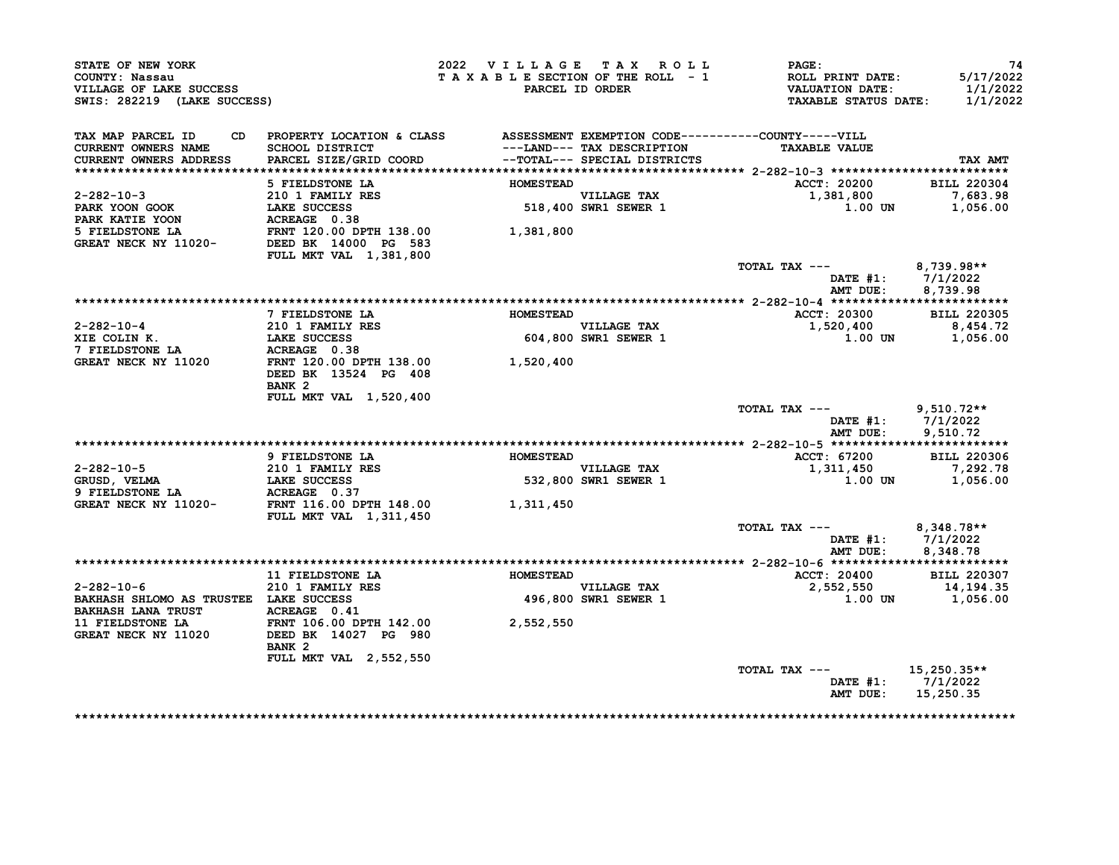| STATE OF NEW YORK<br>COUNTY: Nassau<br>VILLAGE OF LAKE SUCCESS<br>SWIS: 282219 (LAKE SUCCESS) |                                                                                                                              | 2022 VILLAGE TAX ROLL<br>TAXABLE SECTION OF THE ROLL - 1 | PARCEL ID ORDER                                            | PAGE:<br>ROLL PRINT DATE:<br><b>VALUATION DATE:</b><br><b>TAXABLE STATUS DATE:</b> | 74<br>5/17/2022<br>1/1/2022<br>1/1/2022 |
|-----------------------------------------------------------------------------------------------|------------------------------------------------------------------------------------------------------------------------------|----------------------------------------------------------|------------------------------------------------------------|------------------------------------------------------------------------------------|-----------------------------------------|
| TAX MAP PARCEL ID<br><b>CURRENT OWNERS NAME</b><br>CURRENT OWNERS ADDRESS                     | CD PROPERTY LOCATION & CLASS ASSESSMENT EXEMPTION CODE----------COUNTY-----VILL<br>SCHOOL DISTRICT<br>PARCEL SIZE/GRID COORD |                                                          | ---LAND--- TAX DESCRIPTION<br>--TOTAL--- SPECIAL DISTRICTS | <b>TAXABLE VALUE</b>                                                               | TAX AMT                                 |
|                                                                                               | 5 FIELDSTONE LA                                                                                                              | <b>HOMESTEAD</b>                                         |                                                            | ACCT: 20200                                                                        | <b>BILL 220304</b>                      |
| $2 - 282 - 10 - 3$<br>PARK YOON GOOK                                                          | 210 1 FAMILY RES<br>LAKE SUCCESS                                                                                             |                                                          | VILLAGE TAX<br>518,400 SWR1 SEWER 1                        | 1,381,800<br>1.00 UN                                                               | 7,683.98<br>1,056.00                    |
| PARK KATIE YOON<br>5 FIELDSTONE LA<br>GREAT NECK NY 11020-                                    | ACREAGE 0.38<br>FRNT 120.00 DPTH 138.00<br>DEED BK 14000 PG 583<br>FULL MKT VAL 1,381,800                                    | 1,381,800                                                |                                                            |                                                                                    |                                         |
|                                                                                               |                                                                                                                              |                                                          |                                                            | TOTAL TAX ---<br>DATE $#1: 7/1/2022$<br>AMT DUE:                                   | 8,739.98**<br>8,739.98                  |
|                                                                                               |                                                                                                                              |                                                          |                                                            |                                                                                    |                                         |
|                                                                                               | 7 FIELDSTONE LA                                                                                                              | <b>HOMESTEAD</b>                                         |                                                            | <b>ACCT: 20300</b>                                                                 | <b>BILL 220305</b>                      |
| 2-282-10-4<br>XIE COLIN K.                                                                    | 210 1 FAMILY RES<br><b>LAKE SUCCESS</b>                                                                                      |                                                          | <b>VILLAGE TAX</b><br>604,800 SWR1 SEWER 1                 | 1,520,400<br><b>1.00 UN</b>                                                        | 8,454.72<br>1,056.00                    |
| 7 FIELDSTONE LA<br>GREAT NECK NY 11020                                                        | ACREAGE 0.38<br>FRNT 120.00 DPTH 138.00<br>DEED BK 13524 PG 408                                                              | 1,520,400                                                |                                                            |                                                                                    |                                         |
|                                                                                               | BANK <sub>2</sub><br>FULL MKT VAL 1,520,400                                                                                  |                                                          |                                                            |                                                                                    |                                         |
|                                                                                               |                                                                                                                              |                                                          |                                                            | TOTAL TAX ---<br>DATE #1:<br>AMT DUE:                                              | $9,510.72**$<br>7/1/2022<br>9,510.72    |
|                                                                                               |                                                                                                                              |                                                          |                                                            |                                                                                    |                                         |
|                                                                                               | 9 FIELDSTONE LA                                                                                                              | <b>HOMESTEAD</b>                                         |                                                            | ACCT: 67200                                                                        | <b>BILL 220306</b>                      |
| $2 - 282 - 10 - 5$                                                                            | 210 1 FAMILY RES                                                                                                             |                                                          | <b>VILLAGE TAX</b>                                         | 1,311,450                                                                          | 7,292.78                                |
| GRUSD, VELMA<br>9 FIELDSTONE LA                                                               | <b>LAKE SUCCESS</b><br>ACREAGE 0.37                                                                                          |                                                          | 532,800 SWR1 SEWER 1                                       | 1.00 UN                                                                            | 1,056.00                                |
| GREAT NECK NY 11020-                                                                          | FRNT 116.00 DPTH 148.00<br>FULL MKT VAL 1,311,450                                                                            | 1,311,450                                                |                                                            |                                                                                    |                                         |
|                                                                                               |                                                                                                                              |                                                          |                                                            | TOTAL TAX ---<br>DATE #1: 7/1/2022<br>AMT DUE: 8,348.78                            | 8,348.78**                              |
|                                                                                               |                                                                                                                              |                                                          |                                                            |                                                                                    |                                         |
|                                                                                               | 11 FIELDSTONE LA                                                                                                             | <b>HOMESTEAD</b>                                         |                                                            | ACCT: 20400                                                                        | <b>BILL 220307</b>                      |
| $2 - 282 - 10 - 6$<br>BAKHASH SHLOMO AS TRUSTEE LAKE SUCCESS                                  | 210 1 FAMILY RES                                                                                                             |                                                          | VILLAGE TAX<br>496,800 SWR1 SEWER 1                        | 2,552,550<br>1.00 UN                                                               | 14,194.35<br>1,056.00                   |
| <b>BAKHASH LANA TRUST</b><br>11 FIELDSTONE LA<br>GREAT NECK NY 11020                          | ACREAGE 0.41<br>FRNT 106.00 DPTH 142.00<br>DEED BK 14027 PG 980<br>BANK <sub>2</sub>                                         | 2,552,550                                                |                                                            |                                                                                    |                                         |
|                                                                                               | <b>FULL MKT VAL 2,552,550</b>                                                                                                |                                                          |                                                            | TOTAL TAX ---<br>DATE #1: 7/1/2022                                                 | 15,250.35**                             |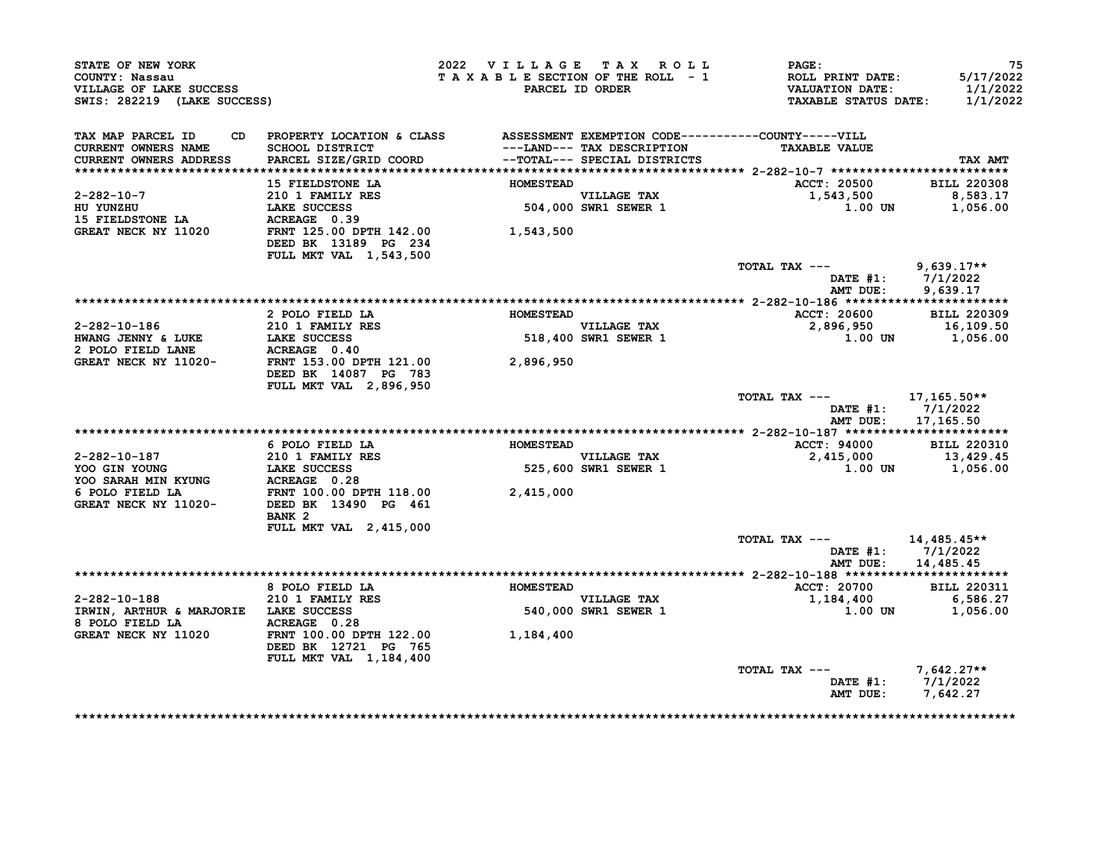| STATE OF NEW YORK<br>COUNTY: Nassau<br>VILLAGE OF LAKE SUCCESS<br>SWIS: 282219 (LAKE SUCCESS)                                                                                                                                                                                                                                                                                                                                     |                                                                                 | 2022 VILLAGE TAX ROLL<br><b>PARCEL ID ORDER</b> | TAXABLE SECTION OF THE ROLL - 1              | <b>PAGE:</b><br>ROLL PRINT DATE:<br>VALUATION DATE:<br><b>TAXABLE STATUS DATE:</b> | 75<br>5/17/2022<br>1/1/2022<br>1/1/2022         |
|-----------------------------------------------------------------------------------------------------------------------------------------------------------------------------------------------------------------------------------------------------------------------------------------------------------------------------------------------------------------------------------------------------------------------------------|---------------------------------------------------------------------------------|-------------------------------------------------|----------------------------------------------|------------------------------------------------------------------------------------|-------------------------------------------------|
| TAX MAP PARCEL ID<br>CURRENT OWNERS NAME<br><b>CURRENT OWNERS ADDRESS</b>                                                                                                                                                                                                                                                                                                                                                         | CD PROPERTY LOCATION & CLASS ASSESSMENT EXEMPTION CODE----------COUNTY-----VILL |                                                 | ---LAND--- TAX DESCRIPTION                   | <b>TAXABLE VALUE</b>                                                               | TAX AMT                                         |
|                                                                                                                                                                                                                                                                                                                                                                                                                                   | 15 FIELDSTONE LA                                                                | <b>HOMESTEAD</b>                                |                                              | ACCT: 20500                                                                        | <b>BILL 220308</b>                              |
| 2-282-10-7<br>HU YUNZHU<br><b>15 FIELDSTONE LA</b>                                                                                                                                                                                                                                                                                                                                                                                | 210 1 FAMILY RES<br>LAKE SUCCESS<br>ACREAGE 0.39                                |                                                 | VILLAGE TAX<br>504,000 SWR1 SEWER 1          | 1,543,500<br>$1.00$ UN $1,056.00$                                                  | 8,583.17                                        |
| GREAT NECK NY 11020                                                                                                                                                                                                                                                                                                                                                                                                               | FRNT 125.00 DPTH 142.00<br>DEED BK 13189 PG 234<br>FULL MKT VAL 1,543,500       | 1,543,500                                       |                                              |                                                                                    |                                                 |
|                                                                                                                                                                                                                                                                                                                                                                                                                                   |                                                                                 |                                                 |                                              | TOTAL TAX --- 9,639.17**<br>AMT DUE:                                               | DATE #1: 7/1/2022<br>9,639.17                   |
|                                                                                                                                                                                                                                                                                                                                                                                                                                   |                                                                                 |                                                 |                                              |                                                                                    |                                                 |
|                                                                                                                                                                                                                                                                                                                                                                                                                                   | 2 POLO FIELD LA                                                                 | <b>HOMESTEAD</b>                                |                                              | ACCT: 20600 BILL 220309                                                            |                                                 |
| 2-282-10-186<br>HWANG JENNY & LUKE                                                                                                                                                                                                                                                                                                                                                                                                | 210 1 FAMILY RES<br>LAKE SUCCESS                                                |                                                 | <b>VILLAGE TAX</b><br>$518,400$ SWR1 SEWER 1 | 2,896,950<br>1.00 UN 1,056.00<br>1.056.00                                          |                                                 |
| 2 POLO FIELD LANE                                                                                                                                                                                                                                                                                                                                                                                                                 |                                                                                 |                                                 |                                              |                                                                                    |                                                 |
| GREAT NECK NY 11020-                                                                                                                                                                                                                                                                                                                                                                                                              | <b>ACREAGE 0.40<br/>FRNT 153.00 DPTH 121.00</b>                                 | 2,896,950                                       |                                              |                                                                                    |                                                 |
|                                                                                                                                                                                                                                                                                                                                                                                                                                   | DEED BK 14087 PG 783                                                            |                                                 |                                              |                                                                                    |                                                 |
|                                                                                                                                                                                                                                                                                                                                                                                                                                   | FULL MKT VAL 2,896,950                                                          |                                                 |                                              | TOTAL TAX ---<br>AMT DUE:                                                          | 17,165.50**<br>DATE $#1: 7/1/2022$<br>17,165.50 |
|                                                                                                                                                                                                                                                                                                                                                                                                                                   |                                                                                 |                                                 |                                              |                                                                                    |                                                 |
|                                                                                                                                                                                                                                                                                                                                                                                                                                   | 6 POLO FIELD LA                                                                 | <b>HOMESTEAD</b>                                |                                              | ACCT: 94000 BILL 220310                                                            |                                                 |
|                                                                                                                                                                                                                                                                                                                                                                                                                                   | 210 1 FAMILY RES                                                                |                                                 | VILLAGE TAX                                  | 2,415,000                                                                          | 13,429.45                                       |
|                                                                                                                                                                                                                                                                                                                                                                                                                                   |                                                                                 |                                                 | 525,600 SWR1 SEWER 1                         | $1.00$ UN $1,056.00$                                                               |                                                 |
|                                                                                                                                                                                                                                                                                                                                                                                                                                   |                                                                                 |                                                 |                                              |                                                                                    |                                                 |
| $\begin{tabular}{lllllllllllllllllll} \multicolumn{4}{c}{2-282-10-187} & \multicolumn{4}{c}{210} & \multicolumn{4}{c}{FAMILY RES} & \\ \multicolumn{4}{c}{YOO GIN YOUNG} & \multicolumn{4}{c}{LAKE SUCCES} & \multicolumn{4}{c}{525,600} \\ \multicolumn{4}{c}{YOO SARAH MIN KYUNG} & \multicolumn{4}{c}{ACREAGEO} & 0.28 & \\ \multicolumn{4}{c}{6 POLO FIELD LA} & \multicolumn{4}{c}{FRNT 100.00 DPTH 118.00} & \multicolumn{$ | BANK <sub>2</sub>                                                               |                                                 |                                              |                                                                                    |                                                 |
|                                                                                                                                                                                                                                                                                                                                                                                                                                   |                                                                                 |                                                 |                                              |                                                                                    |                                                 |
|                                                                                                                                                                                                                                                                                                                                                                                                                                   | FULL MKT VAL 2, 415,000                                                         |                                                 |                                              |                                                                                    |                                                 |
|                                                                                                                                                                                                                                                                                                                                                                                                                                   |                                                                                 |                                                 |                                              | TOTAL TAX ---                                                                      | 14,485.45**                                     |
|                                                                                                                                                                                                                                                                                                                                                                                                                                   |                                                                                 |                                                 |                                              |                                                                                    | DATE $#1: 7/1/2022$                             |
|                                                                                                                                                                                                                                                                                                                                                                                                                                   |                                                                                 |                                                 |                                              | AMT DUE:                                                                           | 14,485.45                                       |
|                                                                                                                                                                                                                                                                                                                                                                                                                                   | 8 POLO FIELD LA                                                                 | <b>HOMESTEAD</b>                                |                                              | <b>ACCT: 20700</b>                                                                 | <b>BILL 220311</b>                              |
|                                                                                                                                                                                                                                                                                                                                                                                                                                   |                                                                                 |                                                 | VILLAGE TAX                                  | 1,184,400                                                                          | 6,586.27                                        |
|                                                                                                                                                                                                                                                                                                                                                                                                                                   |                                                                                 |                                                 | 540,000 SWR1 SEWER 1                         | 1.00 UN                                                                            | 1,056.00                                        |
| 2-282-10-188<br>IRWIN, ARTHUR & MARJORIE LAKE SUCCESS<br>8 POLO FIELD LA ACREAGE 0.28<br>GEREAT NECK NY 11000<br>GREAT NECK NY 11020                                                                                                                                                                                                                                                                                              | FRNT 100.00 DPTH 122.00                                                         | 1,184,400                                       |                                              |                                                                                    |                                                 |
|                                                                                                                                                                                                                                                                                                                                                                                                                                   | DEED BK 12721 PG 765<br>FULL MKT VAL 1, 184, 400                                |                                                 |                                              | TOTAL TAX $---$ 7.642.27**                                                         |                                                 |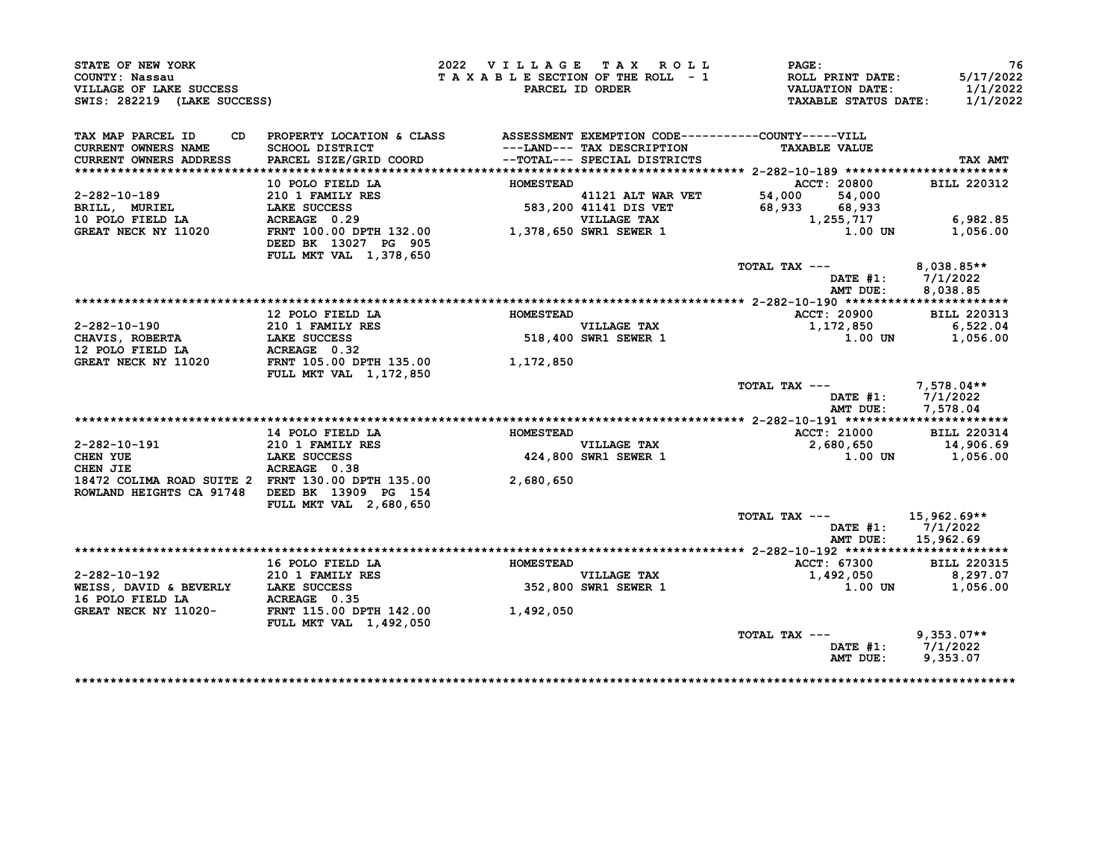| STATE OF NEW YORK<br>COUNTY: Nassau<br>VILLAGE OF LAKE SUCCESS<br>SWIS: 282219 (LAKE SUCCESS)                                                                                                                                                                                                                                                                                                                      |                                                                                                                              | 2022 VILLAGE TAX ROLL |                                                            | $\mathtt{PAGE}$ :<br>T A X A B L E SECTION OF THE ROLL - 1 ROLL PRINT DATE:<br>PARCEL ID ORDER VALUATION DATE:<br>TAXABLE STATUS DATE: 1/1/2022 | 76<br>5/17/2022<br>1/1/2022                          |
|--------------------------------------------------------------------------------------------------------------------------------------------------------------------------------------------------------------------------------------------------------------------------------------------------------------------------------------------------------------------------------------------------------------------|------------------------------------------------------------------------------------------------------------------------------|-----------------------|------------------------------------------------------------|-------------------------------------------------------------------------------------------------------------------------------------------------|------------------------------------------------------|
| TAX MAP PARCEL ID<br><b>CURRENT OWNERS NAME</b><br><b>CURRENT OWNERS ADDRESS</b>                                                                                                                                                                                                                                                                                                                                   | CD PROPERTY LOCATION & CLASS ASSESSMENT EXEMPTION CODE----------COUNTY-----VILL<br>SCHOOL DISTRICT<br>PARCEL SIZE/GRID COORD |                       | ---LAND--- TAX DESCRIPTION<br>--TOTAL--- SPECIAL DISTRICTS | <b>TAXABLE VALUE</b>                                                                                                                            | TAX AMT                                              |
|                                                                                                                                                                                                                                                                                                                                                                                                                    |                                                                                                                              |                       |                                                            |                                                                                                                                                 | <b>BILL 220312</b>                                   |
|                                                                                                                                                                                                                                                                                                                                                                                                                    |                                                                                                                              |                       |                                                            |                                                                                                                                                 |                                                      |
|                                                                                                                                                                                                                                                                                                                                                                                                                    |                                                                                                                              |                       |                                                            |                                                                                                                                                 |                                                      |
|                                                                                                                                                                                                                                                                                                                                                                                                                    |                                                                                                                              |                       |                                                            |                                                                                                                                                 | 6,982.85                                             |
| 10 POLO FIELD LA<br>2-282-10-189 10 POLO FIELD LA<br>210 1 FAMILY RES<br>BRILL, MURIEL LA SOCCESS 583,200 41141 DIS VET 54,000 54,000<br>10 POLO FIELD LA ACREACE SO 29 VILLAGE TAX<br>GREAT NECK NY 11020 FRNT 100.00 DPTH 132.00 1,378                                                                                                                                                                           |                                                                                                                              |                       |                                                            |                                                                                                                                                 | 1,056.00                                             |
|                                                                                                                                                                                                                                                                                                                                                                                                                    |                                                                                                                              |                       |                                                            | TOTAL TAX $---$ 8,038.85**                                                                                                                      |                                                      |
|                                                                                                                                                                                                                                                                                                                                                                                                                    |                                                                                                                              |                       |                                                            |                                                                                                                                                 | DATE #1: 7/1/2022                                    |
|                                                                                                                                                                                                                                                                                                                                                                                                                    |                                                                                                                              |                       |                                                            |                                                                                                                                                 | AMT DUE: 8,038.85                                    |
|                                                                                                                                                                                                                                                                                                                                                                                                                    |                                                                                                                              |                       |                                                            |                                                                                                                                                 |                                                      |
|                                                                                                                                                                                                                                                                                                                                                                                                                    | 12 POLO FIELD LA                                                                                                             | <b>HOMESTEAD</b>      |                                                            | ACCT: 20900                                                                                                                                     | <b>BILL 220313</b>                                   |
|                                                                                                                                                                                                                                                                                                                                                                                                                    |                                                                                                                              |                       |                                                            | 1,172,850<br>$1.00$ UN $1,056.00$                                                                                                               | 6,522.04                                             |
|                                                                                                                                                                                                                                                                                                                                                                                                                    |                                                                                                                              |                       |                                                            |                                                                                                                                                 |                                                      |
| 2-282-10-190 210 1 FAMILY RES<br>CHAVIS, ROBERTA LAKE SUCCESS 518,400 SWR1 SEWER 1<br>12 POLO FIELD LA ACREAGE 0.32<br>GREAT NECK NY 11020 FRNT 105.00<br>FRIT 1 METH 1.172,850<br>1,172,850                                                                                                                                                                                                                       | <b>FULL MKT VAL 1,172,850</b>                                                                                                |                       |                                                            |                                                                                                                                                 |                                                      |
|                                                                                                                                                                                                                                                                                                                                                                                                                    |                                                                                                                              |                       |                                                            | TOTAL TAX $---$ 7,578.04**<br>AMT DUE:                                                                                                          | DATE #1: 7/1/2022<br>7,578.04                        |
|                                                                                                                                                                                                                                                                                                                                                                                                                    |                                                                                                                              |                       |                                                            |                                                                                                                                                 |                                                      |
|                                                                                                                                                                                                                                                                                                                                                                                                                    |                                                                                                                              |                       |                                                            |                                                                                                                                                 |                                                      |
|                                                                                                                                                                                                                                                                                                                                                                                                                    |                                                                                                                              |                       |                                                            |                                                                                                                                                 |                                                      |
| 2-282-10-191<br>CHEN YUE<br>CHEN JIE<br>CHEN JIE                                                                                                                                                                                                                                                                                                                                                                   | ACREAGE 0.38                                                                                                                 |                       |                                                            |                                                                                                                                                 |                                                      |
| 18472 COLIMA ROAD SUITE 2 FRNT 130.00 DPTH 135.00 2,680,650<br>ROWLAND HEIGHTS CA 91748 DEED BK 13909 PG 154                                                                                                                                                                                                                                                                                                       | FULL MKT VAL 2,680,650                                                                                                       |                       |                                                            |                                                                                                                                                 |                                                      |
|                                                                                                                                                                                                                                                                                                                                                                                                                    |                                                                                                                              |                       |                                                            | TOTAL TAX --- $15,962.69**$                                                                                                                     |                                                      |
|                                                                                                                                                                                                                                                                                                                                                                                                                    |                                                                                                                              |                       |                                                            | AMT DUE:                                                                                                                                        | DATE #1: 7/1/2022<br>15,962.69                       |
|                                                                                                                                                                                                                                                                                                                                                                                                                    |                                                                                                                              |                       |                                                            |                                                                                                                                                 |                                                      |
|                                                                                                                                                                                                                                                                                                                                                                                                                    |                                                                                                                              |                       |                                                            | <b>ACCT: 67300</b>                                                                                                                              | BILL 220315<br>8,297.07                              |
|                                                                                                                                                                                                                                                                                                                                                                                                                    |                                                                                                                              |                       |                                                            | 1,492,050                                                                                                                                       | $1.00$ UN $1,056.00$                                 |
|                                                                                                                                                                                                                                                                                                                                                                                                                    |                                                                                                                              |                       |                                                            |                                                                                                                                                 |                                                      |
| $\begin{tabular}{lllllllllllllllllllll} & & & & 16 & \text{POLO FIELD LA} & & & \text{HOMESTEAD} & \\ & & 210 & 1 & \text{FAMILY RES} & & & \text{HOMESTEAD} & \\ \text{WEISS, DAVID & & & LAKE SUCCES & & & & \text{VILLAGE TAX} \\ \text{16 POLO FIELD LA} & & & & \text{ACREAGE} & 0.35 & & \\ \text{GREAT NECK NY} & 11020- & & & \text{EWH} & 142.00 & & \\ & & & & \text{WIM} & 115.00 & & \\ \end{tabular}$ | <b>FULL MKT VAL 1,492,050</b>                                                                                                |                       |                                                            |                                                                                                                                                 |                                                      |
|                                                                                                                                                                                                                                                                                                                                                                                                                    |                                                                                                                              |                       |                                                            | TOTAL TAX --- 9,353.07**                                                                                                                        |                                                      |
|                                                                                                                                                                                                                                                                                                                                                                                                                    |                                                                                                                              |                       |                                                            |                                                                                                                                                 | DATE #1: $7/1/2022$<br>AMT DUE: 9,353.07<br>9,353.07 |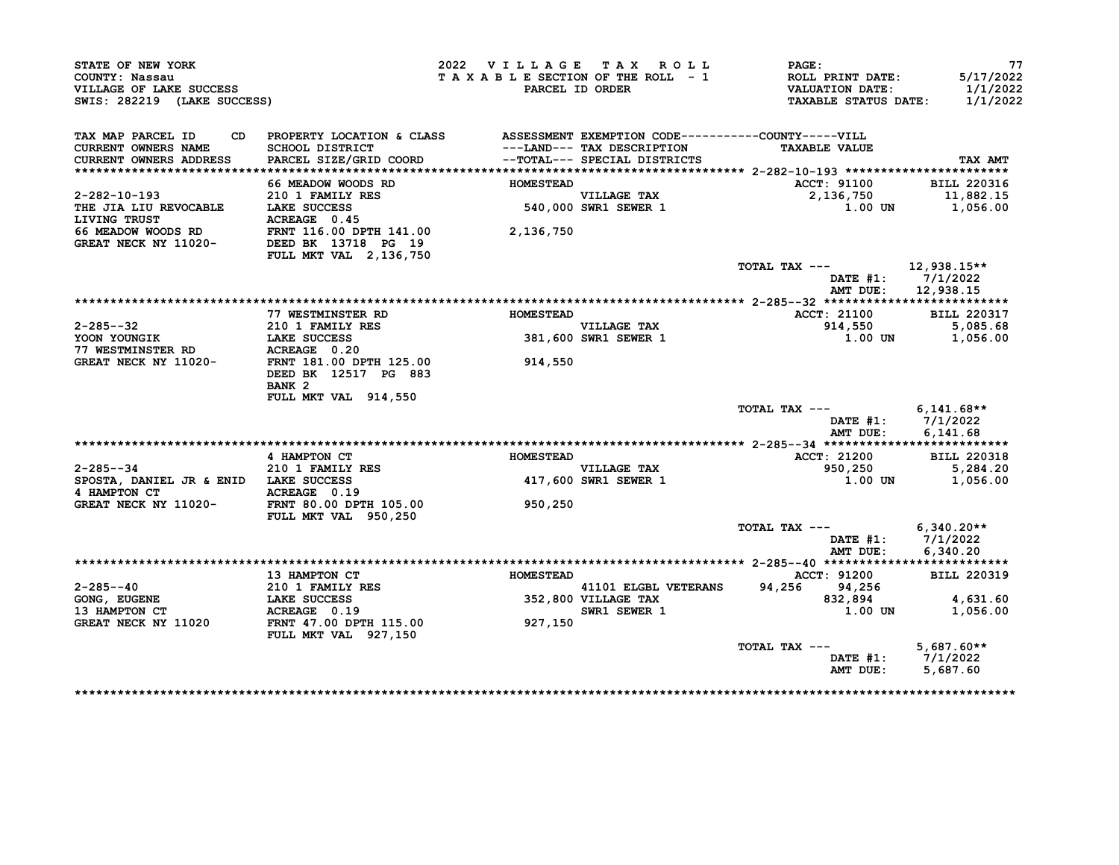| STATE OF NEW YORK<br>COUNTY: Nassau<br>VILLAGE OF LAKE SUCCESS<br>SWIS: 282219 (LAKE SUCCESS)                                                                                              |                                                                                                                    | 2022 VILLAGE TAX ROLL<br>TAXABLE SECTION OF THE ROLL - 1 | PARCEL ID ORDER                     | PAGE:<br>ROLL PRINT DATE:<br><b>VALUATION DATE:</b><br><b>TAXABLE STATUS DATE:</b> | 77<br>5/17/2022<br>1/1/2022<br>1/1/2022  |
|--------------------------------------------------------------------------------------------------------------------------------------------------------------------------------------------|--------------------------------------------------------------------------------------------------------------------|----------------------------------------------------------|-------------------------------------|------------------------------------------------------------------------------------|------------------------------------------|
| TAX MAP PARCEL ID<br><b>CURRENT OWNERS NAME</b>                                                                                                                                            | PROPERTY LOCATION & CLASS ASSESSMENT EXEMPTION CODE----------COUNTY-----VILL<br><b>SCHOOL DISTRICT</b>             |                                                          | ---LAND--- TAX DESCRIPTION          | <b>TAXABLE VALUE</b>                                                               |                                          |
| CURRENT OWNERS ADDRESS                                                                                                                                                                     | PARCEL SIZE/GRID COORD                                                                                             |                                                          | --TOTAL--- SPECIAL DISTRICTS        |                                                                                    | TAX AMT                                  |
|                                                                                                                                                                                            | 66 MEADOW WOODS RD                                                                                                 | <b>HOMESTEAD</b>                                         |                                     |                                                                                    |                                          |
|                                                                                                                                                                                            |                                                                                                                    |                                                          |                                     | <b>ACCT: 91100</b><br>2,136,750                                                    | <b>BILL 220316</b><br>11,882.15          |
|                                                                                                                                                                                            |                                                                                                                    |                                                          | VILLAGE TAX<br>540,000 SWR1 SEWER 1 | 1.00 UN                                                                            | 1,056.00                                 |
|                                                                                                                                                                                            |                                                                                                                    |                                                          |                                     |                                                                                    |                                          |
| 2-282-10-193<br>THE JIA LIU REVOCABLE<br>THE JIA LIU REVOCABLE<br>LAKE SUCCESS<br>LIVING TRUST<br>66 MEADOW WOODS RD<br>GREAT NECK NY 11020-<br>DEED BK 13718 PG 19<br>PEED BK 13718 PG 19 |                                                                                                                    |                                                          |                                     |                                                                                    |                                          |
|                                                                                                                                                                                            |                                                                                                                    |                                                          |                                     |                                                                                    |                                          |
|                                                                                                                                                                                            | FULL MKT VAL 2, 136, 750                                                                                           |                                                          |                                     |                                                                                    |                                          |
|                                                                                                                                                                                            |                                                                                                                    |                                                          |                                     | TOTAL TAX ---                                                                      | 12,938.15**                              |
|                                                                                                                                                                                            |                                                                                                                    |                                                          |                                     |                                                                                    | DATE $#1: 7/1/2022$                      |
|                                                                                                                                                                                            |                                                                                                                    |                                                          |                                     | AMT DUE:                                                                           | 12,938.15                                |
|                                                                                                                                                                                            |                                                                                                                    |                                                          |                                     |                                                                                    |                                          |
|                                                                                                                                                                                            | <b>77 WESTMINSTER RD</b>                                                                                           | <b>HOMESTEAD</b>                                         |                                     | <b>ACCT: 21100</b>                                                                 | <b>BILL 220317</b>                       |
| 2-285--32<br>YOON YOUNGIK                                                                                                                                                                  | 210 1 FAMILY RES<br>LAKE SUCCESS                                                                                   |                                                          |                                     |                                                                                    |                                          |
|                                                                                                                                                                                            |                                                                                                                    |                                                          | VILLAGE TAX<br>381,600 SWR1 SEWER 1 |                                                                                    |                                          |
| YOON IOUNGIN<br>77 WESTMINSTER RD<br>----- """" NV 11020-                                                                                                                                  | ACREAGE 0.20                                                                                                       |                                                          |                                     |                                                                                    |                                          |
| GREAT NECK NY 11020-                                                                                                                                                                       | FRNT 181.00 DPTH 125.00 914,550                                                                                    |                                                          |                                     |                                                                                    |                                          |
|                                                                                                                                                                                            | DEED BK 12517 PG 883                                                                                               |                                                          |                                     |                                                                                    |                                          |
|                                                                                                                                                                                            | BANK <sub>2</sub>                                                                                                  |                                                          |                                     |                                                                                    |                                          |
|                                                                                                                                                                                            | FULL MKT VAL 914,550                                                                                               |                                                          |                                     |                                                                                    |                                          |
|                                                                                                                                                                                            |                                                                                                                    |                                                          |                                     | TOTAL TAX $---$ 6,141.68**                                                         |                                          |
|                                                                                                                                                                                            |                                                                                                                    |                                                          |                                     |                                                                                    | DATE #1: 7/1/2022                        |
|                                                                                                                                                                                            |                                                                                                                    |                                                          |                                     |                                                                                    | AMT DUE: 6,141.68                        |
|                                                                                                                                                                                            | 4 HAMPTON CT                                                                                                       | <b>HOMESTEAD</b>                                         |                                     | <b>ACCT: 21200</b>                                                                 | <b>BILL 220318</b>                       |
|                                                                                                                                                                                            |                                                                                                                    |                                                          |                                     | 950,250                                                                            | 5,284.20                                 |
|                                                                                                                                                                                            |                                                                                                                    |                                                          | VILLAGE TAX<br>417,600 SWR1 SEWER 1 | 1.00 UN                                                                            | 1,056.00                                 |
|                                                                                                                                                                                            |                                                                                                                    |                                                          |                                     |                                                                                    |                                          |
|                                                                                                                                                                                            |                                                                                                                    | 950,250                                                  |                                     |                                                                                    |                                          |
| 2-285--34<br>SPOSTA, DANIEL JR & ENID<br>4 HAMPTON CT<br>GREAT NECK NY 11020-<br>FRNT 80.00 DPTH 105.00                                                                                    | FULL MKT VAL 950,250                                                                                               |                                                          |                                     |                                                                                    |                                          |
|                                                                                                                                                                                            |                                                                                                                    |                                                          |                                     | TOTAL TAX --- $6,340.20**$                                                         |                                          |
|                                                                                                                                                                                            |                                                                                                                    |                                                          |                                     |                                                                                    |                                          |
|                                                                                                                                                                                            |                                                                                                                    |                                                          |                                     |                                                                                    | DATE #1: $7/1/2022$<br>AMT DUE: 6,340.20 |
|                                                                                                                                                                                            |                                                                                                                    |                                                          |                                     |                                                                                    |                                          |
|                                                                                                                                                                                            | <b>13 HAMPTON CT</b>                                                                                               | <b>HOMESTEAD</b>                                         |                                     | ACCT: 91200                                                                        | <b>BILL 220319</b>                       |
| $2 - 285 - -40$                                                                                                                                                                            |                                                                                                                    |                                                          |                                     |                                                                                    |                                          |
| GONG, EUGENE                                                                                                                                                                               |                                                                                                                    |                                                          |                                     |                                                                                    | 4,631.60                                 |
| 13 HAMPTON CT                                                                                                                                                                              | 210 1 FAMILY RES<br>LAKE SUCCESS 352,800 VILLAGE TAX<br>ACREAGE 0.19 SWR1 SEWER 1 37.00 DPTH 115.00 927,150 21,256 |                                                          |                                     |                                                                                    | 1,056.00                                 |
| GREAT NECK NY 11020                                                                                                                                                                        |                                                                                                                    |                                                          |                                     |                                                                                    |                                          |
|                                                                                                                                                                                            | <b>FULL MKT VAL 927,150</b>                                                                                        |                                                          |                                     |                                                                                    |                                          |
|                                                                                                                                                                                            |                                                                                                                    |                                                          |                                     | TOTAL TAX ---                                                                      | $5,687.60**$                             |
|                                                                                                                                                                                            |                                                                                                                    |                                                          |                                     |                                                                                    | DATE #1: $7/1/2022$                      |
|                                                                                                                                                                                            |                                                                                                                    |                                                          |                                     | AMT DUE: 5,687.60                                                                  |                                          |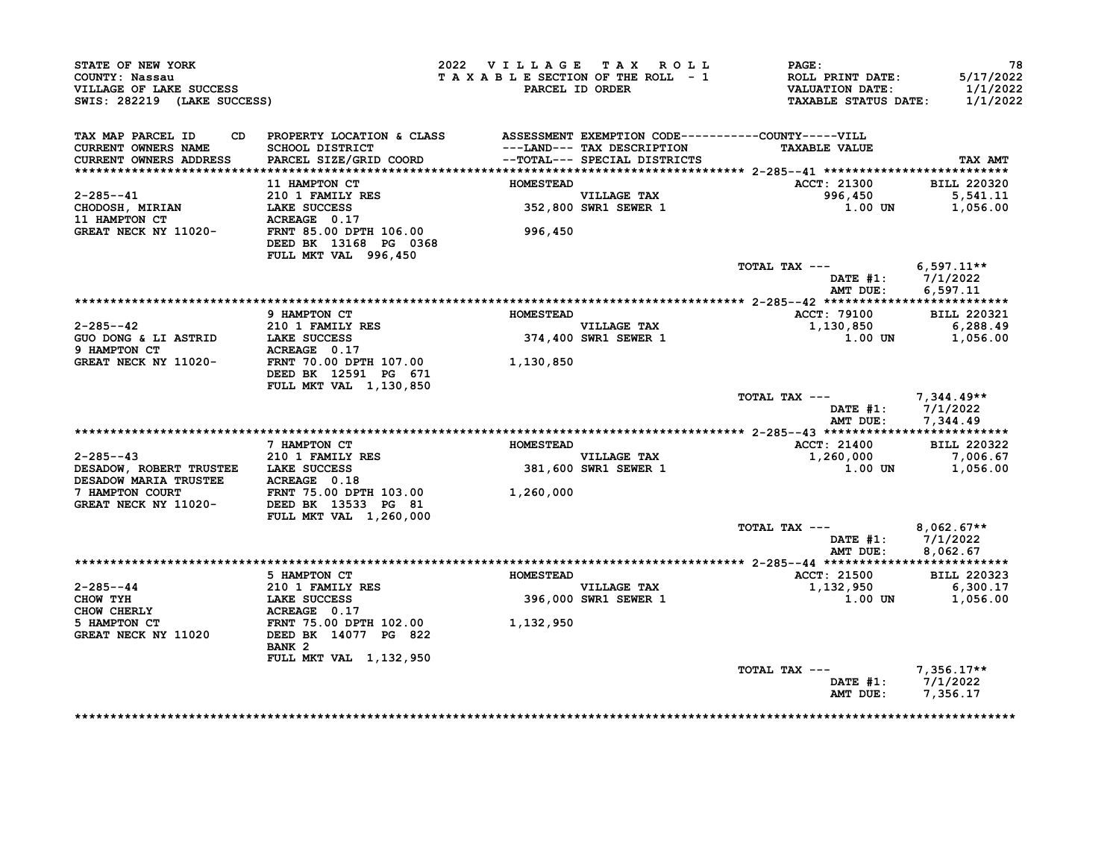| STATE OF NEW YORK<br>COUNTY: Nassau<br>VILLAGE OF LAKE SUCCESS<br>SWIS: 282219 (LAKE SUCCESS)         |                                                                                                                                     |                  | 2022 VILLAGE TAX ROLL<br>TAXABLE SECTION OF THE ROLL - 1<br>PARCEL ID ORDER | PAGE:<br>ROLL PRINT DATE:<br><b>VALUATION DATE:</b><br><b>TAXABLE STATUS DATE:</b> | 78<br>5/17/2022<br>1/1/2022<br>1/1/2022 |
|-------------------------------------------------------------------------------------------------------|-------------------------------------------------------------------------------------------------------------------------------------|------------------|-----------------------------------------------------------------------------|------------------------------------------------------------------------------------|-----------------------------------------|
| TAX MAP PARCEL ID<br><b>CURRENT OWNERS NAME</b><br>CURRENT OWNERS ADDRESS                             | CD PROPERTY LOCATION & CLASS ASSESSMENT EXEMPTION CODE----------COUNTY-----VILL<br><b>SCHOOL DISTRICT</b><br>PARCEL SIZE/GRID COORD |                  | ---LAND--- TAX DESCRIPTION<br>--TOTAL--- SPECIAL DISTRICTS                  | <b>TAXABLE VALUE</b>                                                               | TAX AMT                                 |
|                                                                                                       |                                                                                                                                     | <b>HOMESTEAD</b> |                                                                             |                                                                                    |                                         |
| $2 - 285 - -41$                                                                                       | 11 HAMPTON CT<br>210 1 FAMILY RES                                                                                                   |                  |                                                                             | <b>ACCT: 21300</b><br>996,450                                                      | <b>BILL 220320</b><br>5,541.11          |
| CHODOSH, MIRIAN                                                                                       | <b>LAKE SUCCESS</b>                                                                                                                 |                  | VILLAGE TAX<br>352,800 SWR1 SEWER 1                                         | 1.00 UN                                                                            | 1,056.00                                |
| 11 HAMPTON CT                                                                                         | ACREAGE 0.17                                                                                                                        |                  |                                                                             |                                                                                    |                                         |
| GREAT NECK NY 11020-                                                                                  | FRNT 85.00 DPTH 106.00<br>DEED BK 13168 PG 0368<br>FULL MKT VAL 996,450                                                             | 996,450          |                                                                             |                                                                                    |                                         |
|                                                                                                       |                                                                                                                                     |                  |                                                                             | TOTAL TAX ---                                                                      | $6.597.11**$                            |
|                                                                                                       |                                                                                                                                     |                  |                                                                             | DATE $#1: 7/1/2022$<br>AMT DUE:                                                    | 6,597.11                                |
|                                                                                                       |                                                                                                                                     |                  |                                                                             |                                                                                    |                                         |
|                                                                                                       | 9 HAMPTON CT                                                                                                                        | <b>HOMESTEAD</b> |                                                                             | <b>ACCT: 79100</b>                                                                 | <b>BILL 220321</b>                      |
| $2 - 285 - -42$                                                                                       | 210 1 FAMILY RES<br>LAKE SUCCESS                                                                                                    |                  | <b>VILLAGE TAX</b>                                                          | 1,130,850                                                                          | 6,288.49                                |
| GUO DONG & LI ASTRID                                                                                  |                                                                                                                                     |                  | 374,400 SWR1 SEWER 1                                                        | <b>1.00 UN</b>                                                                     | 1,056.00                                |
| 9 HAMPTON CT<br>GREAT NECK NY 11020-                                                                  | ACREAGE 0.17                                                                                                                        |                  |                                                                             |                                                                                    |                                         |
|                                                                                                       | FRNT 70.00 DPTH 107.00<br>DEED BK 12591 PG 671<br>FULL MKT VAL 1,130,850                                                            | 1,130,850        |                                                                             |                                                                                    |                                         |
|                                                                                                       |                                                                                                                                     |                  |                                                                             | TOTAL TAX ---<br>DATE $#1: 7/1/2022$<br>AMT DUE:                                   | 7,344.49**<br>7,344.49                  |
|                                                                                                       |                                                                                                                                     |                  |                                                                             |                                                                                    |                                         |
|                                                                                                       | 7 HAMPTON CT                                                                                                                        | <b>HOMESTEAD</b> |                                                                             | <b>ACCT: 21400</b>                                                                 | <b>BILL 220322</b>                      |
| $2 - 285 - -43$                                                                                       | 210 1 FAMILY RES                                                                                                                    |                  | VILLAGE TAX                                                                 | 1,260,000                                                                          | 7,006.67                                |
| DESADOW, ROBERT TRUSTEE LAKE SUCCESS                                                                  |                                                                                                                                     |                  | <b>381,600 SWR1 SEWER 1</b>                                                 | 1.00 UN 1,056.00                                                                   |                                         |
| DESADOW MARIA TRUSTEE ACREAGE 0.18                                                                    |                                                                                                                                     |                  |                                                                             |                                                                                    |                                         |
| 7 HAMPTON COURT<br>7 HAMPTON COURT FRNT 75.00 DPTH 103.00<br>GREAT NECK NY 11020- DEED BK 13533 PG 81 | FRNT 75.00 DPTH 103.00<br>FULL MKT VAL 1,260,000                                                                                    | 1,260,000        |                                                                             |                                                                                    |                                         |
|                                                                                                       |                                                                                                                                     |                  |                                                                             | TOTAL TAX $---$ 8,062.67**                                                         |                                         |
|                                                                                                       |                                                                                                                                     |                  |                                                                             | DATE #1: 7/1/2022<br>AMT DUE: 8,062.67                                             |                                         |
|                                                                                                       |                                                                                                                                     |                  |                                                                             |                                                                                    |                                         |
|                                                                                                       | 5 HAMPTON CT                                                                                                                        | <b>HOMESTEAD</b> |                                                                             | ACCT: 21500                                                                        | <b>BILL 220323</b>                      |
| $2 - 285 - -44$                                                                                       | 210 1 FAMILY RES                                                                                                                    |                  |                                                                             | 1,132,950                                                                          | 6,300.17                                |
| CHOW TYH                                                                                              | <b>LAKE SUCCESS</b>                                                                                                                 |                  | VILLAGE TAX<br>396,000 SWR1 SEWER 1                                         | 1.00 UN                                                                            | 1,056.00                                |
| <b>CHOW CHERLY</b>                                                                                    | ACREAGE 0.17                                                                                                                        |                  |                                                                             |                                                                                    |                                         |
| 5 HAMPTON CT                                                                                          | FRNT 75.00 DPTH 102.00                                                                                                              | 1,132,950        |                                                                             |                                                                                    |                                         |
| GREAT NECK NY 11020                                                                                   | DEED BK 14077 PG 822<br>BANK <sub>2</sub>                                                                                           |                  |                                                                             |                                                                                    |                                         |
|                                                                                                       | FULL MKT VAL 1,132,950                                                                                                              |                  |                                                                             |                                                                                    |                                         |
|                                                                                                       |                                                                                                                                     |                  |                                                                             | TOTAL TAX $---$ 7,356.17**                                                         |                                         |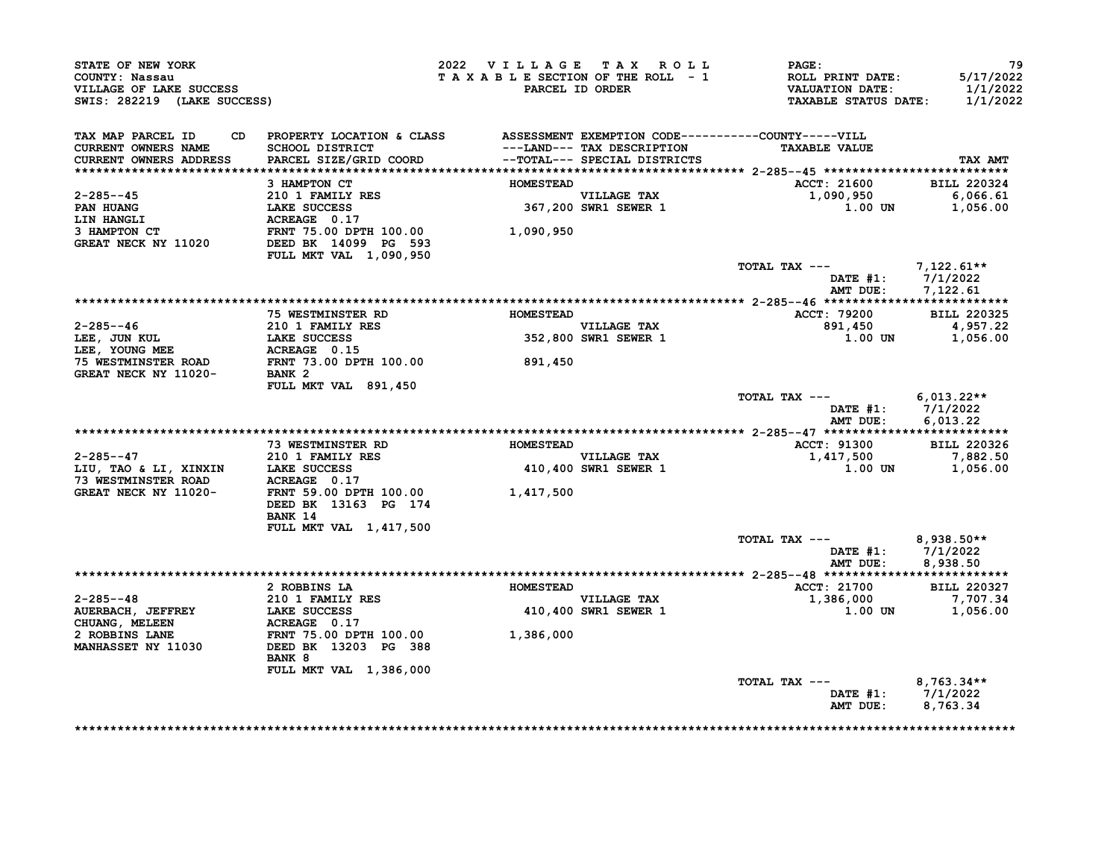| COUNTY: Nassau<br>VILLAGE OF LAKE SUCCESS<br>SWIS: 282219 (LAKE SUCCESS) |                                                                                                    |                  | 2022 VILLAGE TAX ROLL<br>TAXABLE SECTION OF THE ROLL - 1<br>PARCEL ID ORDER | <b>PAGE:</b><br>ROLL PRINT DATE:<br><b>VALUATION DATE:</b><br><b>TAXABLE STATUS DATE:</b> | 79<br>5/17/2022<br>1/1/2022<br>1/1/2022       |
|--------------------------------------------------------------------------|----------------------------------------------------------------------------------------------------|------------------|-----------------------------------------------------------------------------|-------------------------------------------------------------------------------------------|-----------------------------------------------|
| TAX MAP PARCEL ID<br><b>CURRENT OWNERS NAME</b>                          | CD PROPERTY LOCATION & CLASS ASSESSMENT EXEMPTION CODE----------COUNTY-----VILL<br>SCHOOL DISTRICT |                  | ---LAND--- TAX DESCRIPTION                                                  | <b>TAXABLE VALUE</b>                                                                      |                                               |
| CURRENT OWNERS ADDRESS                                                   | PARCEL SIZE/GRID COORD                                                                             |                  | --TOTAL--- SPECIAL DISTRICTS                                                |                                                                                           | TAX AMT                                       |
|                                                                          | 3 HAMPTON CT                                                                                       | <b>HOMESTEAD</b> |                                                                             | <b>ACCT: 21600</b>                                                                        | <b>BILL 220324</b>                            |
| $2 - 285 - -45$                                                          | 210 1 FAMILY RES                                                                                   |                  |                                                                             | 1,090,950                                                                                 | 6,066.61                                      |
| <b>PAN HUANG</b>                                                         | LAKE SUCCESS                                                                                       |                  | VILLAGE TAX<br>367,200 SWR1 SEWER 1                                         | 1.00 UN                                                                                   | 1,056.00                                      |
| <b>LIN HANGLI</b>                                                        | ACREAGE 0.17                                                                                       |                  |                                                                             |                                                                                           |                                               |
| 3 HAMPTON CT<br>GREAT NECK NY 11020                                      | FRNT 75.00 DPTH 100.00<br>DEED BK 14099 PG 593                                                     | 1,090,950        |                                                                             |                                                                                           |                                               |
|                                                                          | FULL MKT VAL 1,090,950                                                                             |                  |                                                                             |                                                                                           |                                               |
|                                                                          |                                                                                                    |                  |                                                                             | TOTAL TAX ---                                                                             | 7,122.61**<br>DATE $#1: 7/1/2022$             |
|                                                                          |                                                                                                    |                  |                                                                             | AMT DUE:                                                                                  | 7,122.61                                      |
|                                                                          | <b>75 WESTMINSTER RD</b>                                                                           | <b>HOMESTEAD</b> |                                                                             | ACCT: 79200                                                                               | <b>BILL 220325</b>                            |
| $2 - 285 - -46$                                                          | 210 1 FAMILY RES                                                                                   |                  |                                                                             | 891,450                                                                                   | 4,957.22                                      |
| LEE, JUN KUL                                                             | LAKE SUCCESS                                                                                       |                  | VILLAGE TAX<br>352,800 SWR1 SEWER 1                                         | 1.00 UN                                                                                   | 1,056.00                                      |
| LEE, YOUNG MEE                                                           | ACREAGE 0.15                                                                                       |                  |                                                                             |                                                                                           |                                               |
| <b>75 WESTMINSTER ROAD</b>                                               | FRNT 73.00 DPTH 100.00                                                                             | 891,450          |                                                                             |                                                                                           |                                               |
| GREAT NECK NY 11020-                                                     | BANK <sub>2</sub><br>FULL MKT VAL 891,450                                                          |                  |                                                                             |                                                                                           |                                               |
|                                                                          |                                                                                                    |                  |                                                                             | TOTAL TAX ---<br>AMT DUE:                                                                 | 6,013.22**<br>DATE $#1: 7/1/2022$<br>6.013.22 |
|                                                                          |                                                                                                    | <b>HOMESTEAD</b> |                                                                             | <b>ACCT: 91300</b>                                                                        |                                               |
| $2 - 285 - -47$                                                          | <b>73 WESTMINSTER RD</b><br>210 1 FAMILY RES                                                       |                  | <b>VILLAGE TAX</b>                                                          | 1,417,500                                                                                 | <b>BILL 220326</b><br>7,882.50                |
| LIU, TAO & LI, XINXIN LAKE SUCCESS                                       |                                                                                                    |                  | 410,400 SWR1 SEWER 1                                                        | 1.00 UN                                                                                   | 1,056.00                                      |
| <b>73 WESTMINSTER ROAD</b>                                               | ACREAGE 0.17                                                                                       |                  |                                                                             |                                                                                           |                                               |
|                                                                          |                                                                                                    |                  |                                                                             |                                                                                           |                                               |
| GREAT NECK NY 11020-                                                     | FRNT 59.00 DPTH 100.00 1,417,500                                                                   |                  |                                                                             |                                                                                           |                                               |
|                                                                          | DEED BK 13163 PG 174                                                                               |                  |                                                                             |                                                                                           |                                               |
|                                                                          | BANK 14                                                                                            |                  |                                                                             |                                                                                           |                                               |
|                                                                          | FULL MKT VAL 1,417,500                                                                             |                  |                                                                             |                                                                                           |                                               |
|                                                                          |                                                                                                    |                  |                                                                             | TOTAL TAX ---                                                                             | $8,938.50**$                                  |
|                                                                          |                                                                                                    |                  |                                                                             | AMT DUE:                                                                                  | DATE #1: $7/1/2022$<br>8,938.50               |
|                                                                          |                                                                                                    |                  |                                                                             |                                                                                           |                                               |
|                                                                          | 2 ROBBINS LA                                                                                       | <b>HOMESTEAD</b> |                                                                             | <b>ACCT: 21700</b>                                                                        | <b>BILL 220327</b>                            |
| $2 - 285 - -48$                                                          | 210 1 FAMILY RES                                                                                   |                  | <b>VILLAGE TAX</b>                                                          | 1,386,000                                                                                 | 7,707.34                                      |
| AUERBACH, JEFFREY                                                        | LAKE SUCCESS                                                                                       |                  | 410,400 SWR1 SEWER 1                                                        | 1.00 UN                                                                                   | 1,056.00                                      |
| <b>CHUANG, MELEEN</b><br>2 ROBBINS LANE                                  | ACREAGE 0.17<br><b>FRNT 75.00 DPTH 100.00</b>                                                      |                  |                                                                             |                                                                                           |                                               |
| <b>MANHASSET NY 11030</b>                                                | DEED BK 13203 PG 388                                                                               | 1,386,000        |                                                                             |                                                                                           |                                               |
|                                                                          | BANK 8                                                                                             |                  |                                                                             |                                                                                           |                                               |
|                                                                          | FULL MKT VAL 1,386,000                                                                             |                  |                                                                             |                                                                                           |                                               |
|                                                                          |                                                                                                    |                  |                                                                             | TOTAL TAX ---                                                                             | $8,763.34**$<br>DATE #1: $7/1/2022$           |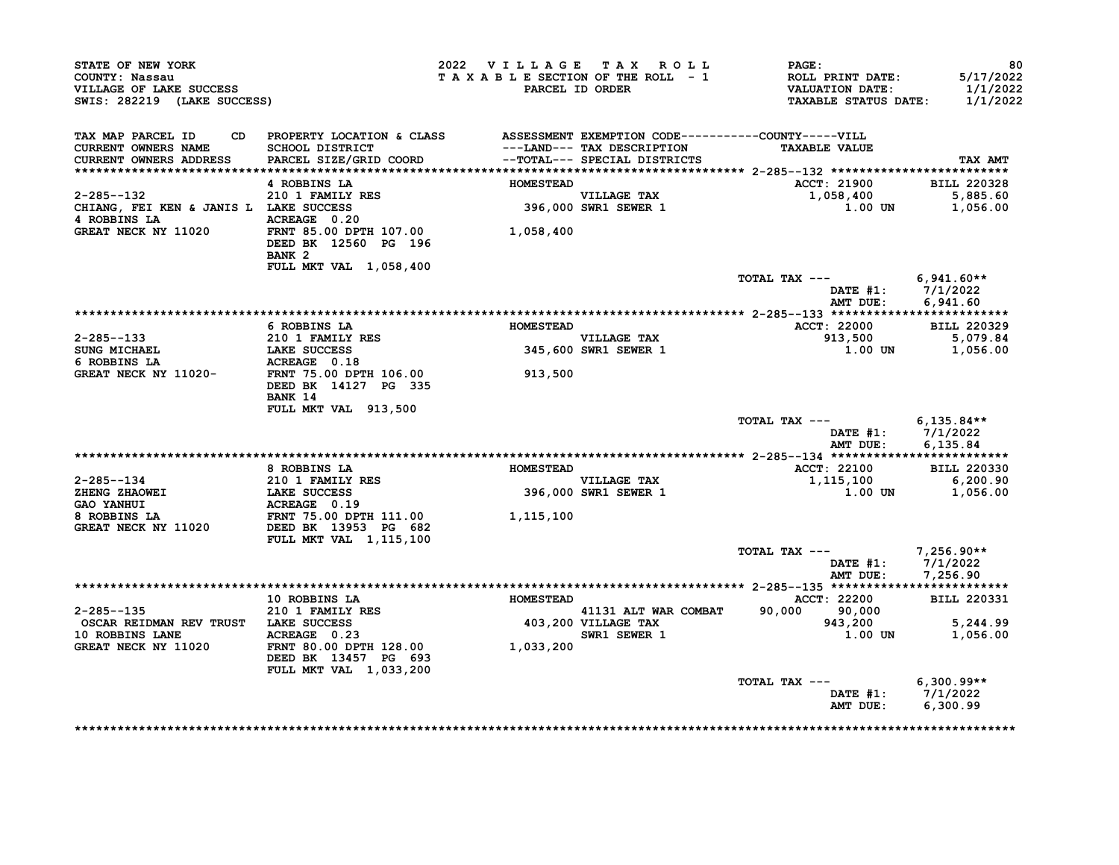| STATE OF NEW YORK<br>COUNTY: Nassau<br>VILLAGE OF LAKE SUCCESS<br>SWIS: 282219 (LAKE SUCCESS)                                                                                                                                                    |                                                                                                     |                  | 2022 VILLAGE TAX ROLL               | <b>PAGE :</b><br>T A X A B L E SECTION OF THE ROLL - 1 ROLL PRINT DATE: 5/17/2022<br>PARCEL ID ORDER TA X A B L E SECTION OF THE ROLL - 1 VALUATION DATE: 1/1/2022 | 80                                     |
|--------------------------------------------------------------------------------------------------------------------------------------------------------------------------------------------------------------------------------------------------|-----------------------------------------------------------------------------------------------------|------------------|-------------------------------------|--------------------------------------------------------------------------------------------------------------------------------------------------------------------|----------------------------------------|
| TAX MAP PARCEL ID CD PROPERTY LOCATION & CLASS ASSESSMENT EXEMPTION CODE----------COUNTY-----VILL                                                                                                                                                |                                                                                                     |                  |                                     |                                                                                                                                                                    |                                        |
| CURRENT OWNERS NAME                                                                                                                                                                                                                              | SCHOOL DISTRICT<br>PARCEL SIZE/GRID COORD<br>PARCEL SIZE/GRID COORD<br>--TOTAL--- SPECIAL DISTRICTS |                  | ---LAND--- TAX DESCRIPTION          | <b>TAXABLE VALUE</b>                                                                                                                                               |                                        |
| CURRENT OWNERS ADDRESS                                                                                                                                                                                                                           |                                                                                                     |                  |                                     |                                                                                                                                                                    | TAX AMT                                |
|                                                                                                                                                                                                                                                  | 4 ROBBINS LA                                                                                        | <b>HOMESTEAD</b> |                                     | ACCT: 21900 BILL 220328                                                                                                                                            |                                        |
|                                                                                                                                                                                                                                                  |                                                                                                     |                  |                                     |                                                                                                                                                                    |                                        |
|                                                                                                                                                                                                                                                  |                                                                                                     |                  | VILLAGE TAX<br>396,000 SWR1 SEWER 1 |                                                                                                                                                                    | 1,058,400 5,885.60<br>1.00 UN 1,056.00 |
|                                                                                                                                                                                                                                                  |                                                                                                     |                  |                                     |                                                                                                                                                                    |                                        |
| GREAT NECK NY 11020 FRNT 85.00 DPTH 107.00 1,058,400                                                                                                                                                                                             | DEED BK 12560 PG 196<br>BANK <sub>2</sub>                                                           |                  |                                     |                                                                                                                                                                    |                                        |
|                                                                                                                                                                                                                                                  | FULL MKT VAL 1,058,400                                                                              |                  |                                     |                                                                                                                                                                    |                                        |
|                                                                                                                                                                                                                                                  |                                                                                                     |                  |                                     | TOTAL TAX --- $6,941.60**$                                                                                                                                         |                                        |
|                                                                                                                                                                                                                                                  |                                                                                                     |                  |                                     |                                                                                                                                                                    | DATE #1: 7/1/2022                      |
|                                                                                                                                                                                                                                                  |                                                                                                     |                  |                                     |                                                                                                                                                                    | AMT DUE: 6,941.60                      |
|                                                                                                                                                                                                                                                  | 6 ROBBINS LA                                                                                        | <b>HOMESTEAD</b> |                                     | ACCT: 22000 BILL 220329                                                                                                                                            |                                        |
|                                                                                                                                                                                                                                                  |                                                                                                     |                  | VILLAGE TAX                         |                                                                                                                                                                    |                                        |
|                                                                                                                                                                                                                                                  |                                                                                                     |                  | 345,600 SWR1 SEWER 1                |                                                                                                                                                                    | 913,500 5,079.84<br>1.00 UN 1,056.00   |
|                                                                                                                                                                                                                                                  |                                                                                                     |                  |                                     |                                                                                                                                                                    |                                        |
| 2-285--133<br>SUNG MICHAEL<br>6 ROBBINS LA<br>GREAT NECK NY 11020-<br>TENT 75.00 DPTH 106.00<br>DREAT NECK NY 11020-<br>DREAT BECK NY 11020-<br>DREAT BECK NY 11020-<br>DREAT BECK 14127 PG 335                                                  | <b>BANK 14</b>                                                                                      | 913,500          |                                     |                                                                                                                                                                    |                                        |
|                                                                                                                                                                                                                                                  | FULL MKT VAL 913,500                                                                                |                  |                                     |                                                                                                                                                                    |                                        |
|                                                                                                                                                                                                                                                  |                                                                                                     |                  |                                     | TOTAL TAX --- $6,135.84**$<br>AMT DUE:                                                                                                                             | DATE #1: 7/1/2022<br>6,135.84          |
|                                                                                                                                                                                                                                                  |                                                                                                     |                  |                                     |                                                                                                                                                                    |                                        |
|                                                                                                                                                                                                                                                  | 8 ROBBINS LA                                                                                        | <b>HOMESTEAD</b> |                                     | ACCT: 22100 BILL 220330                                                                                                                                            |                                        |
|                                                                                                                                                                                                                                                  |                                                                                                     |                  | VILLAGE TAX                         | 1,115,100                                                                                                                                                          | 6,200.90                               |
|                                                                                                                                                                                                                                                  |                                                                                                     |                  | 396,000 SWR1 SEWER 1                |                                                                                                                                                                    | $1.00$ UN $1,056.00$                   |
|                                                                                                                                                                                                                                                  |                                                                                                     |                  |                                     |                                                                                                                                                                    |                                        |
| 2-285--134<br>210 1 FAMILY RES<br>210 1 FAMILY RES<br>GAO YANHUI LAKE SUCCESS<br>396,000<br>8 ROBBINS LA<br>GREAT NECK NY 11020 DEED BK 13953 PG<br>FRNT 75.00 DPTH 111.00 1,115,100<br>GREAT NECK NY 11020 DEED BK 13953 PG<br>FILIT METT 1115, | <b>FULL MKT VAL 1,115,100</b>                                                                       |                  |                                     |                                                                                                                                                                    |                                        |
|                                                                                                                                                                                                                                                  |                                                                                                     |                  |                                     | TOTAL TAX --- $7,256.90**$                                                                                                                                         |                                        |
|                                                                                                                                                                                                                                                  |                                                                                                     |                  |                                     |                                                                                                                                                                    | DATE #1: 7/1/2022<br>AMT DUE: 7,256.90 |
|                                                                                                                                                                                                                                                  |                                                                                                     |                  |                                     |                                                                                                                                                                    |                                        |
| 2-285--135                                                                                                                                                                                                                                       | 10 ROBBINS LA<br>210 1 FAMILY RES                                                                   | <b>HOMESTEAD</b> |                                     | ACCT: 22200 BILL 220331                                                                                                                                            |                                        |
|                                                                                                                                                                                                                                                  |                                                                                                     |                  |                                     | 41131 ALT WAR COMBAT 90,000 30,000<br>403,200 VILLAGE TAX 943,200<br>SWR1 SEWER 1 1.00 UN                                                                          | 5,244.99                               |
|                                                                                                                                                                                                                                                  |                                                                                                     |                  |                                     |                                                                                                                                                                    | 1.00 UN 1,056.00                       |
| 2-285--135<br>OSCAR REIDMAN REV TRUST<br>10 ROBBINS LANE<br>GREAT NECK NY 11020<br>CREAT NECK NY 11020<br>TRNT 80.00 DPTH 128.00<br>1,033,200                                                                                                    | DEED BK 13457 PG 693                                                                                |                  |                                     |                                                                                                                                                                    |                                        |
|                                                                                                                                                                                                                                                  | FULL MKT VAL 1,033,200                                                                              |                  |                                     |                                                                                                                                                                    |                                        |
|                                                                                                                                                                                                                                                  |                                                                                                     |                  |                                     | TOTAL TAX ---                                                                                                                                                      | $6,300.99**$<br>DATE #1: 7/1/2022      |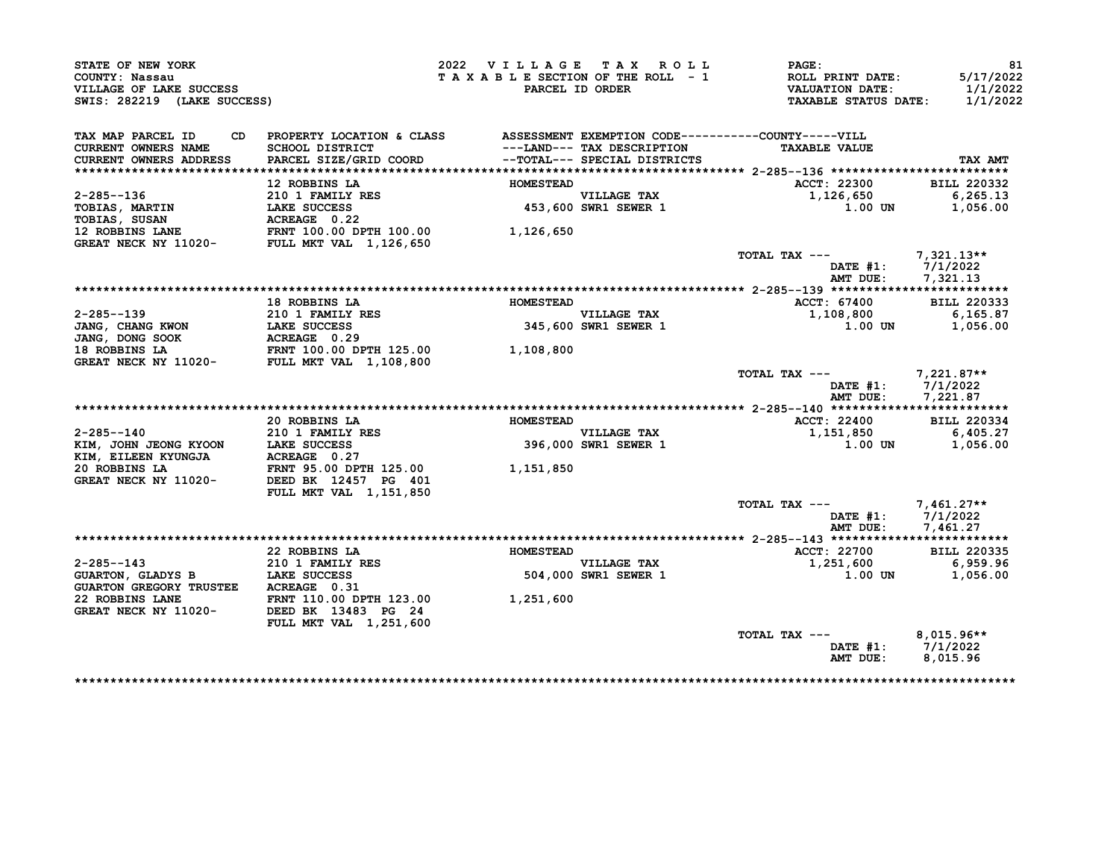| STATE OF NEW YORK                                                        |                                                                              | 2022 VILLAGE TAX ROLL           |                                                            | PAGE:                                                                     | 81                                |
|--------------------------------------------------------------------------|------------------------------------------------------------------------------|---------------------------------|------------------------------------------------------------|---------------------------------------------------------------------------|-----------------------------------|
| COUNTY: Nassau<br>VILLAGE OF LAKE SUCCESS<br>SWIS: 282219 (LAKE SUCCESS) |                                                                              | TAXABLE SECTION OF THE ROLL - 1 | PARCEL ID ORDER                                            | ROLL PRINT DATE:<br><b>VALUATION DATE:</b><br><b>TAXABLE STATUS DATE:</b> | 5/17/2022<br>1/1/2022<br>1/1/2022 |
|                                                                          |                                                                              |                                 |                                                            |                                                                           |                                   |
| TAX MAP PARCEL ID<br>CD                                                  | PROPERTY LOCATION & CLASS ASSESSMENT EXEMPTION CODE----------COUNTY-----VILL |                                 |                                                            |                                                                           |                                   |
| CURRENT OWNERS NAME<br><b>CURRENT OWNERS ADDRESS</b>                     | <b>SCHOOL DISTRICT</b><br>PARCEL SIZE/GRID COORD                             |                                 | ---LAND--- TAX DESCRIPTION<br>--TOTAL--- SPECIAL DISTRICTS | <b>TAXABLE VALUE</b>                                                      | TAX AMT                           |
|                                                                          |                                                                              |                                 |                                                            |                                                                           |                                   |
|                                                                          | 12 ROBBINS LA                                                                | <b>HOMESTEAD</b>                |                                                            | ACCT: 22300                                                               | <b>BILL 220332</b>                |
| $2 - 285 - -136$                                                         | 210 1 FAMILY RES                                                             |                                 | VILLAGE TAX<br>453,600 SWR1 SEWER 1                        | 1,126,650                                                                 | 6,265.13                          |
| TOBIAS, MARTIN                                                           | LAKE SUCCESS                                                                 |                                 |                                                            | 1.00 UN                                                                   | 1,056.00                          |
| TOBIAS, SUSAN                                                            | ACREAGE 0.22                                                                 |                                 |                                                            |                                                                           |                                   |
| <b>12 ROBBINS LANE</b><br>GREAT NECK NY 11020- FULL MKT VAL 1,126,650    | FRNT 100.00 DPTH 100.00                                                      | 1,126,650                       |                                                            |                                                                           |                                   |
|                                                                          |                                                                              |                                 |                                                            | TOTAL TAX ---                                                             | $7,321.13**$                      |
|                                                                          |                                                                              |                                 |                                                            | DATE $#1:$                                                                | 7/1/2022                          |
|                                                                          |                                                                              |                                 |                                                            | AMT DUE:                                                                  | 7,321.13                          |
|                                                                          |                                                                              |                                 |                                                            |                                                                           |                                   |
|                                                                          | 18 ROBBINS LA                                                                | <b>HOMESTEAD</b>                |                                                            | ACCT: 67400                                                               | <b>BILL 220333</b>                |
| $2 - 285 - -139$                                                         | 210 1 FAMILY RES                                                             |                                 | <b>VILLAGE TAX</b>                                         | 1,108,800                                                                 | 6,165.87                          |
| JANG, CHANG KWON                                                         | <b>LAKE SUCCESS</b><br>ACREAGE 0.29                                          |                                 | 345,600 SWR1 SEWER 1                                       | 1.00 UN                                                                   | 1,056.00                          |
| JANG, DONG SOOK<br>18 ROBBINS LA                                         | FRNT 100.00 DPTH 125.00                                                      |                                 |                                                            |                                                                           |                                   |
| GREAT NECK NY 11020-                                                     | <b>FULL MKT VAL 1,108,800</b>                                                | 1,108,800                       |                                                            |                                                                           |                                   |
|                                                                          |                                                                              |                                 |                                                            | TOTAL TAX ---                                                             | 7,221.87**                        |
|                                                                          |                                                                              |                                 |                                                            | DATE #1:<br>AMT DUE:                                                      | 7/1/2022<br>7,221.87              |
|                                                                          |                                                                              |                                 |                                                            |                                                                           |                                   |
|                                                                          | 20 ROBBINS LA                                                                | <b>HOMESTEAD</b>                |                                                            | ACCT: 22400                                                               | <b>BILL 220334</b>                |
| $2 - 285 - -140$                                                         | 210 1 FAMILY RES                                                             |                                 |                                                            | 1,151,850                                                                 | 6,405.27                          |
| KIM, JOHN JEONG KYOON LAKE SUCCESS<br>KIM, EILEEN KYUNGJA ACREAGE 0.27   |                                                                              |                                 | VILLAGE TAX<br>396,000 SWR1 SEWER 1                        | 1.00 UN                                                                   | 1,056.00                          |
| 20 ROBBINS LA                                                            | FRNT 95.00 DPTH 125.00                                                       | 1,151,850                       |                                                            |                                                                           |                                   |
| GREAT NECK NY 11020-                                                     | DEED BK 12457 PG 401<br>FULL MKT VAL 1,151,850                               |                                 |                                                            |                                                                           |                                   |
|                                                                          |                                                                              |                                 |                                                            | TOTAL TAX ---                                                             | $7,461.27**$                      |
|                                                                          |                                                                              |                                 |                                                            | DATE $#1$ :                                                               | 7/1/2022                          |
|                                                                          |                                                                              |                                 |                                                            | AMT DUE:                                                                  | 7,461.27                          |
|                                                                          |                                                                              |                                 |                                                            |                                                                           |                                   |
|                                                                          | 22 ROBBINS LA                                                                | <b>HOMESTEAD</b>                |                                                            | ACCT: 22700                                                               | <b>BILL 220335</b>                |
| $2 - 285 - -143$                                                         | 210 1 FAMILY RES                                                             |                                 | VILLAGE TAX<br>504,000 SWR1 SEWER 1                        | 1,251,600                                                                 | 6,959.96                          |
| <b>GUARTON, GLADYS B</b>                                                 | <b>LAKE SUCCESS</b>                                                          |                                 |                                                            | 1.00 UN                                                                   | 1,056.00                          |
| <b>GUARTON GREGORY TRUSTEE</b>                                           | ACREAGE 0.31                                                                 |                                 |                                                            |                                                                           |                                   |
| 22 ROBBINS LANE                                                          | FRNT 110.00 DPTH 123.00                                                      | 1,251,600                       |                                                            |                                                                           |                                   |
| GREAT NECK NY 11020-                                                     | DEED BK 13483 PG 24                                                          |                                 |                                                            |                                                                           |                                   |
|                                                                          | FULL MKT VAL 1,251,600                                                       |                                 |                                                            |                                                                           |                                   |
|                                                                          |                                                                              |                                 |                                                            | TOTAL TAX ---                                                             | $8,015.96**$                      |
|                                                                          |                                                                              |                                 |                                                            |                                                                           | DATE #1: 7/1/2022                 |
|                                                                          |                                                                              |                                 |                                                            | AMT DUE:                                                                  | 8,015.96                          |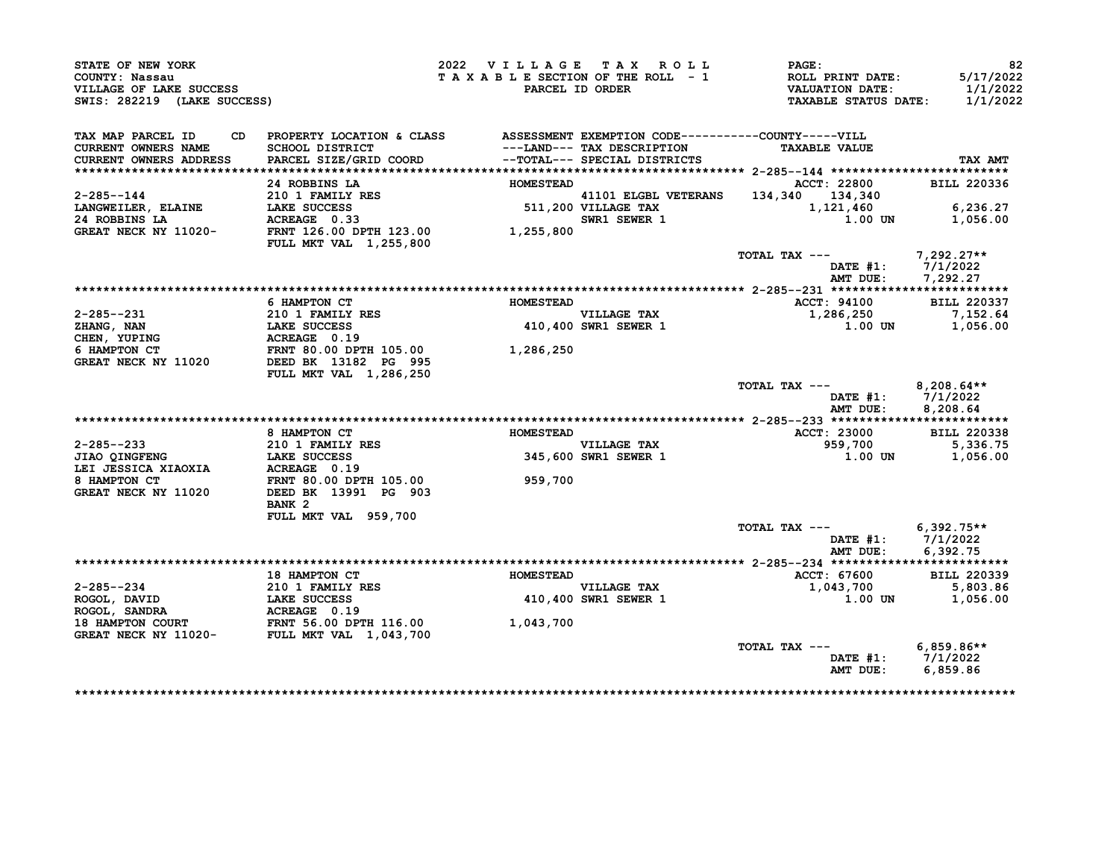| STATE OF NEW YORK<br>COUNTY: Nassau<br>VILLAGE OF LAKE SUCCESS<br>SWIS: 282219 (LAKE SUCCESS)                                                                                                                               |                                                                                                                                                                                                                                                                                      | 2022 VILLAGE TAX ROLL | TAXABLE SECTION OF THE ROLL - 1<br>PARCEL ID ORDER | PAGE:<br><b>ROLL PRINT DATE:</b><br><b>VALUATION DATE:</b><br>TAXABLE STATUS DATE: 1/1/2022 | 82<br>5/17/2022<br>1/1/2022         |
|-----------------------------------------------------------------------------------------------------------------------------------------------------------------------------------------------------------------------------|--------------------------------------------------------------------------------------------------------------------------------------------------------------------------------------------------------------------------------------------------------------------------------------|-----------------------|----------------------------------------------------|---------------------------------------------------------------------------------------------|-------------------------------------|
| TAX MAP PARCEL ID<br>CD.<br>CURRENT OWNERS NAME<br><b>CURRENT OWNERS ADDRESS</b>                                                                                                                                            | PROPERTY LOCATION & CLASS ASSESSMENT EXEMPTION CODE----------COUNTY-----VILL<br>SCHOOL DISTRICT<br>PARCEL SIZE/GRID COORD                                                                                                                                                            |                       |                                                    |                                                                                             | TAX AMT                             |
|                                                                                                                                                                                                                             | 24 ROBBINS LA                                                                                                                                                                                                                                                                        | HOMESTEAD             |                                                    | <b>ACCT: 22800</b>                                                                          | <b>BILL 220336</b>                  |
| $2 - 285 - -144$<br>LANGWEILER, ELAINE                                                                                                                                                                                      | 210 1 FAMILY RES<br>LAKE SUCCESS<br>ACREAGE 0.33<br>210 1 FAMILY RES<br>LAKE SUCCESS 511, 200 VILLAGE TAX 511, 200 VILLAGE TAX 511, 200 VILLAGE TAX 511, 200 VILLAGE TAX 511, 200 VILLAGE TAX 511, 200 VILLAGE TAX 511, 200 VILLAGE TAX 511, 200 VILLAGE TAX 511, 200 VILLAGE TAX 51 |                       |                                                    |                                                                                             | 6,236.27                            |
| 24 ROBBINS LA<br>GREAT NECK NY 11020-                                                                                                                                                                                       |                                                                                                                                                                                                                                                                                      |                       |                                                    | 1.00 UN                                                                                     | 1,056.00                            |
|                                                                                                                                                                                                                             | <b>FULL MKT VAL 1,255,800</b>                                                                                                                                                                                                                                                        |                       |                                                    |                                                                                             |                                     |
|                                                                                                                                                                                                                             |                                                                                                                                                                                                                                                                                      |                       |                                                    | TOTAL TAX $---$ 7,292.27**<br>AMT DUE:                                                      | DATE #1: 7/1/2022<br>7,292.27       |
|                                                                                                                                                                                                                             |                                                                                                                                                                                                                                                                                      |                       |                                                    |                                                                                             |                                     |
|                                                                                                                                                                                                                             | 6 HAMPTON CT                                                                                                                                                                                                                                                                         | <b>HOMESTEAD</b>      |                                                    | <b>ACCT: 94100</b>                                                                          | <b>BILL 220337</b>                  |
| 2-285--231                                                                                                                                                                                                                  |                                                                                                                                                                                                                                                                                      |                       | VILLAGE TAX<br>410,400 SWR1 SEWER 1                | 1,286,250                                                                                   | 7,152.64                            |
| $ZHANG$ , $NAN$                                                                                                                                                                                                             |                                                                                                                                                                                                                                                                                      |                       |                                                    | 1.00 UN                                                                                     | 1,056.00                            |
| CHEN, YUPING<br>6 HAMPTON CT                                                                                                                                                                                                |                                                                                                                                                                                                                                                                                      |                       |                                                    |                                                                                             |                                     |
| GREAT NECK NY 11020                                                                                                                                                                                                         | 210 1 FAMILY RES<br>LAKE SUCCESS<br>ACREAGE 0.19<br>FRNT 80.00 DPTH 105.00<br>1,286,250<br>1020 DEED BK 13182 PG 995                                                                                                                                                                 |                       |                                                    |                                                                                             |                                     |
|                                                                                                                                                                                                                             | FULL MKT VAL 1,286,250                                                                                                                                                                                                                                                               |                       |                                                    |                                                                                             |                                     |
|                                                                                                                                                                                                                             |                                                                                                                                                                                                                                                                                      |                       |                                                    | TOTAL TAX ---                                                                               | $8,208.64**$<br>DATE $#1: 7/1/2022$ |
|                                                                                                                                                                                                                             |                                                                                                                                                                                                                                                                                      |                       |                                                    | AMT DUE:                                                                                    | 8,208.64                            |
|                                                                                                                                                                                                                             | 8 HAMPTON CT                                                                                                                                                                                                                                                                         | <b>HOMESTEAD</b>      |                                                    | <b>ACCT: 23000</b>                                                                          | <b>BILL 220338</b>                  |
| 2-285--233                                                                                                                                                                                                                  |                                                                                                                                                                                                                                                                                      |                       |                                                    | 959,700 5,336.75                                                                            |                                     |
| z-z85--233<br>JIAO QINGFENG                                                                                                                                                                                                 | 210 1 FAMILY RES<br>LAKE SUCCESS                                                                                                                                                                                                                                                     |                       | --------<br>VILLAGE TAX<br>345,600 SWR1 SEWER 1    | $1.00$ UN                                                                                   | 1,056.00                            |
|                                                                                                                                                                                                                             |                                                                                                                                                                                                                                                                                      |                       |                                                    |                                                                                             |                                     |
|                                                                                                                                                                                                                             |                                                                                                                                                                                                                                                                                      | 959,700               |                                                    |                                                                                             |                                     |
|                                                                                                                                                                                                                             |                                                                                                                                                                                                                                                                                      |                       |                                                    |                                                                                             |                                     |
|                                                                                                                                                                                                                             | BANK <sub>2</sub>                                                                                                                                                                                                                                                                    |                       |                                                    |                                                                                             |                                     |
|                                                                                                                                                                                                                             | FULL MKT VAL 959,700                                                                                                                                                                                                                                                                 |                       |                                                    |                                                                                             |                                     |
|                                                                                                                                                                                                                             |                                                                                                                                                                                                                                                                                      |                       |                                                    | TOTAL TAX ---                                                                               | $6,392.75**$<br>DATE $#1: 7/1/2022$ |
|                                                                                                                                                                                                                             |                                                                                                                                                                                                                                                                                      |                       |                                                    | AMT DUE:                                                                                    | 6.392.75                            |
|                                                                                                                                                                                                                             |                                                                                                                                                                                                                                                                                      |                       |                                                    |                                                                                             |                                     |
|                                                                                                                                                                                                                             | <b>18 HAMPTON CT</b>                                                                                                                                                                                                                                                                 | <b>HOMESTEAD</b>      |                                                    | ACCT: 67600                                                                                 | <b>BILL 220339</b>                  |
|                                                                                                                                                                                                                             |                                                                                                                                                                                                                                                                                      |                       | VILLAGE TAX<br>410,400 SWR1 SEWER 1                | 1,043,700                                                                                   | 5,803.86                            |
|                                                                                                                                                                                                                             |                                                                                                                                                                                                                                                                                      |                       |                                                    | $1.00$ UN                                                                                   | 1,056.00                            |
|                                                                                                                                                                                                                             |                                                                                                                                                                                                                                                                                      |                       |                                                    |                                                                                             |                                     |
| 18 HAMPTON CT<br>ROGOL, DAVID<br>ROGOL, SANDRA<br>ROGOL, SANDRA<br>18 HAMPTON COURT<br>18 HAMPTON COURT<br>18 HAMPTON COURT<br>18 HAMPTON COURT<br>FRNT 56.00 DPTH 116.00<br>GREAT NECK NY 11020-<br>FULL MKT VAL 1,043,700 |                                                                                                                                                                                                                                                                                      | 1,043,700             |                                                    |                                                                                             |                                     |
|                                                                                                                                                                                                                             |                                                                                                                                                                                                                                                                                      |                       |                                                    |                                                                                             |                                     |
|                                                                                                                                                                                                                             |                                                                                                                                                                                                                                                                                      |                       |                                                    | TOTAL TAX ---                                                                               | $6,859.86**$                        |
|                                                                                                                                                                                                                             |                                                                                                                                                                                                                                                                                      |                       |                                                    | AMT DUE:                                                                                    | DATE #1: 7/1/2022                   |
|                                                                                                                                                                                                                             |                                                                                                                                                                                                                                                                                      |                       |                                                    |                                                                                             | 6,859.86                            |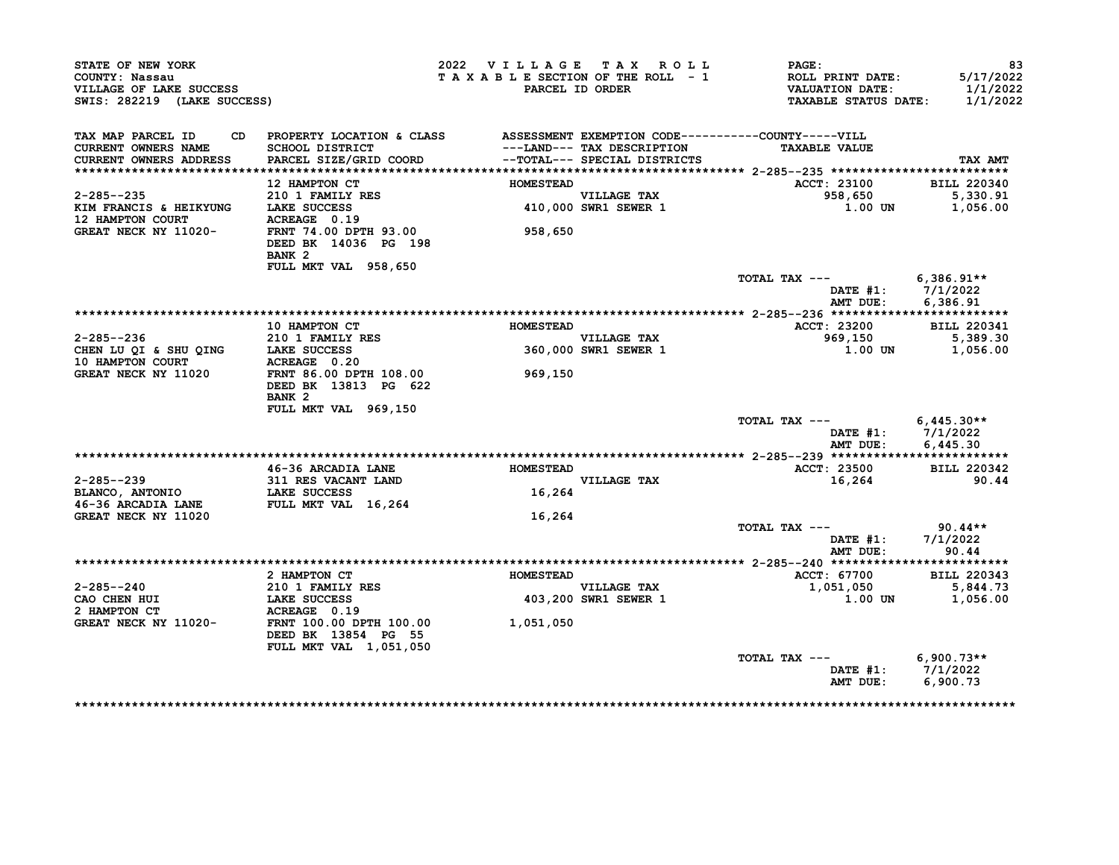| STATE OF NEW YORK<br>COUNTY: Nassau<br>VILLAGE OF LAKE SUCCESS<br>SWIS: 282219 (LAKE SUCCESS) |                                                                              | 2022 VILLAGE TAX ROLL<br>TAXABLE SECTION OF THE ROLL - 1 | PARCEL ID ORDER              | PAGE:<br>ROLL PRINT DATE:<br><b>VALUATION DATE:</b><br><b>TAXABLE STATUS DATE:</b> | 83<br>5/17/2022<br>1/1/2022<br>1/1/2022 |
|-----------------------------------------------------------------------------------------------|------------------------------------------------------------------------------|----------------------------------------------------------|------------------------------|------------------------------------------------------------------------------------|-----------------------------------------|
| TAX MAP PARCEL ID<br>CD                                                                       | PROPERTY LOCATION & CLASS ASSESSMENT EXEMPTION CODE----------COUNTY-----VILL |                                                          |                              |                                                                                    |                                         |
| <b>CURRENT OWNERS NAME</b>                                                                    | <b>SCHOOL DISTRICT</b>                                                       |                                                          | ---LAND--- TAX DESCRIPTION   | <b>TAXABLE VALUE</b>                                                               |                                         |
| CURRENT OWNERS ADDRESS                                                                        | PARCEL SIZE/GRID COORD                                                       |                                                          | --TOTAL--- SPECIAL DISTRICTS |                                                                                    | TAX AMT                                 |
|                                                                                               | 12 HAMPTON CT                                                                | <b>HOMESTEAD</b>                                         |                              | <b>ACCT: 23100</b>                                                                 | <b>BILL 220340</b>                      |
| $2 - 285 - -235$                                                                              | 210 1 FAMILY RES                                                             |                                                          | <b>VILLAGE TAX</b>           | 958,650                                                                            | 5,330.91                                |
| KIM FRANCIS & HEIKYUNG                                                                        | LAKE SUCCESS                                                                 |                                                          | 410,000 SWR1 SEWER 1         | 1.00 UN                                                                            | 1,056.00                                |
| 12 HAMPTON COURT                                                                              | ACREAGE 0.19                                                                 |                                                          |                              |                                                                                    |                                         |
| GREAT NECK NY 11020-                                                                          | FRNT 74.00 DPTH 93.00<br>DEED BK 14036 PG 198                                | 958,650                                                  |                              |                                                                                    |                                         |
|                                                                                               | BANK <sub>2</sub>                                                            |                                                          |                              |                                                                                    |                                         |
|                                                                                               | FULL MKT VAL 958,650                                                         |                                                          |                              |                                                                                    |                                         |
|                                                                                               |                                                                              |                                                          |                              | TOTAL TAX ---                                                                      | $6,386.91**$                            |
|                                                                                               |                                                                              |                                                          |                              |                                                                                    | DATE $#1: 7/1/2022$                     |
|                                                                                               |                                                                              |                                                          |                              | AMT DUE:                                                                           | 6,386.91                                |
|                                                                                               | 10 HAMPTON CT                                                                | <b>HOMESTEAD</b>                                         |                              | ACCT: 23200                                                                        | <b>BILL 220341</b>                      |
| $2 - 285 - -236$                                                                              | 210 1 FAMILY RES                                                             |                                                          | <b>VILLAGE TAX</b>           | 969,150                                                                            | 5,389.30                                |
| CHEN LU QI & SHU QING                                                                         | LAKE SUCCESS                                                                 |                                                          | 360,000 SWR1 SEWER 1         | 1.00 UN                                                                            | 1,056.00                                |
| 10 HAMPTON COURT                                                                              | ACREAGE 0.20                                                                 |                                                          |                              |                                                                                    |                                         |
| GREAT NECK NY 11020                                                                           | FRNT 86.00 DPTH 108.00                                                       | 969,150                                                  |                              |                                                                                    |                                         |
|                                                                                               | DEED BK 13813 PG 622<br>BANK <sub>2</sub>                                    |                                                          |                              |                                                                                    |                                         |
|                                                                                               | FULL MKT VAL 969,150                                                         |                                                          |                              |                                                                                    |                                         |
|                                                                                               |                                                                              |                                                          |                              | TOTAL TAX ---                                                                      | $6,445.30**$                            |
|                                                                                               |                                                                              |                                                          |                              |                                                                                    | DATE #1: 7/1/2022                       |
|                                                                                               |                                                                              |                                                          |                              | AMT DUE:                                                                           | 6,445.30                                |
|                                                                                               |                                                                              |                                                          |                              |                                                                                    |                                         |
|                                                                                               | 46-36 ARCADIA LANE                                                           | <b>HOMESTEAD</b>                                         |                              | ACCT: 23500                                                                        | <b>BILL 220342</b>                      |
| 2-285--239                                                                                    | 311 RES VACANT LAND                                                          |                                                          | VILLAGE TAX                  | 16,264                                                                             | 90.44                                   |
| BLANCO, ANTONIO<br>46-36 ARCADIA LANE                                                         | LAKE SUCCESS<br>FULL MKT VAL 16,264                                          | 16,264                                                   |                              |                                                                                    |                                         |
| GREAT NECK NY 11020                                                                           |                                                                              | 16,264                                                   |                              |                                                                                    |                                         |
|                                                                                               |                                                                              |                                                          |                              | TOTAL TAX ---                                                                      | 90.44**                                 |
|                                                                                               |                                                                              |                                                          |                              | DATE #1:                                                                           | 7/1/2022                                |
|                                                                                               |                                                                              |                                                          |                              | AMT DUE:                                                                           | 90.44                                   |
|                                                                                               |                                                                              |                                                          |                              |                                                                                    |                                         |
|                                                                                               | 2 HAMPTON CT                                                                 | <b>HOMESTEAD</b>                                         |                              | <b>ACCT: 67700</b>                                                                 | <b>BILL 220343</b>                      |
| $2 - 285 - -240$                                                                              | 210 1 FAMILY RES                                                             |                                                          | <b>VILLAGE TAX</b>           | 1,051,050                                                                          | 5,844.73                                |
| CAO CHEN HUI                                                                                  | LAKE SUCCESS                                                                 |                                                          | <b>403,200 SWR1 SEWER 1</b>  | 1.00 UN                                                                            | 1,056.00                                |
| 2 HAMPTON CT                                                                                  | ACREAGE 0.19                                                                 |                                                          |                              |                                                                                    |                                         |
| GREAT NECK NY 11020-                                                                          | FRNT 100.00 DPTH 100.00<br>DEED BK 13854 PG 55<br>FULL MKT VAL 1,051,050     | 1,051,050                                                |                              |                                                                                    |                                         |
|                                                                                               |                                                                              |                                                          |                              | TOTAL TAX ---                                                                      | $6,900.73**$                            |
|                                                                                               |                                                                              |                                                          |                              |                                                                                    |                                         |
|                                                                                               |                                                                              |                                                          |                              | DATE #1: 7/1/2022                                                                  |                                         |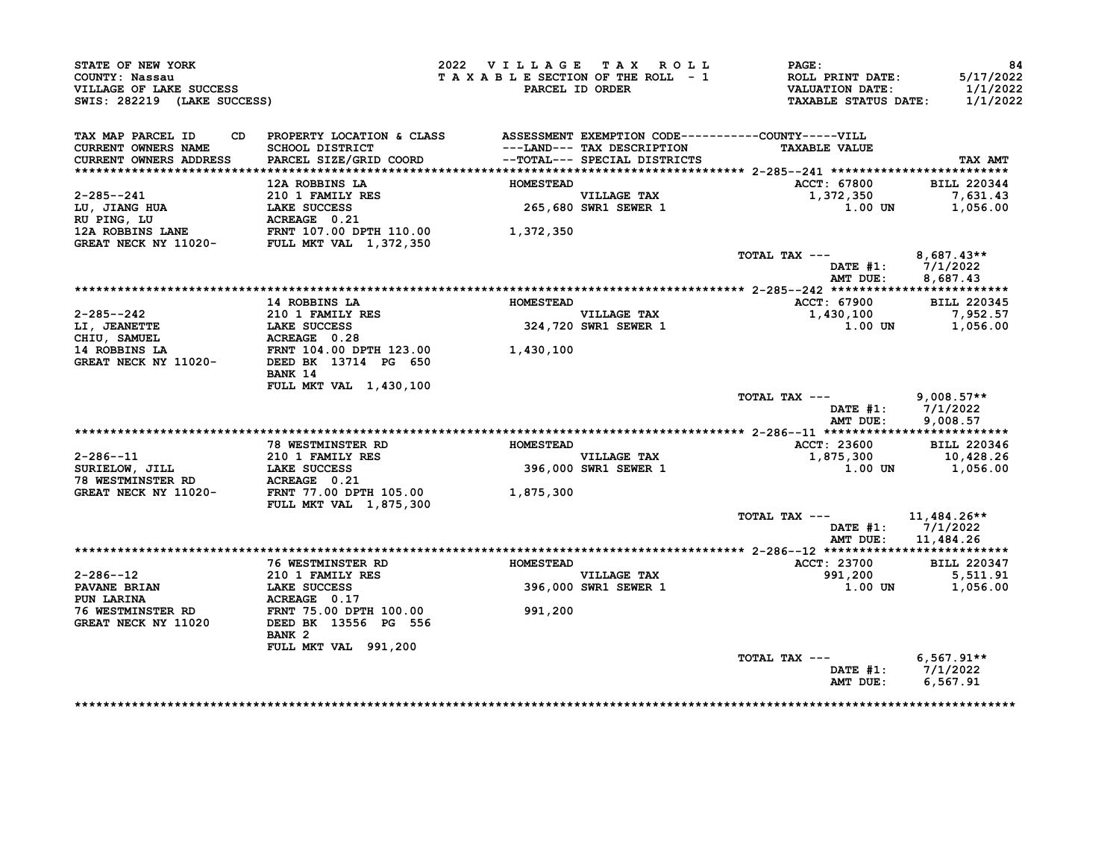| STATE OF NEW YORK                                                                                                                                                    |                                                                                                                                                  | 2022 VILLAGE TAX ROLL           |                                     | $\mathtt{PAGE}$ :                          | 84                              |
|----------------------------------------------------------------------------------------------------------------------------------------------------------------------|--------------------------------------------------------------------------------------------------------------------------------------------------|---------------------------------|-------------------------------------|--------------------------------------------|---------------------------------|
| COUNTY: Nassau<br>VILLAGE OF LAKE SUCCESS                                                                                                                            |                                                                                                                                                  | TAXABLE SECTION OF THE ROLL - 1 | PARCEL ID ORDER                     | ROLL PRINT DATE:<br><b>VALUATION DATE:</b> | 5/17/2022<br>1/1/2022           |
| SWIS: 282219 (LAKE SUCCESS)                                                                                                                                          |                                                                                                                                                  |                                 |                                     | <b>TAXABLE STATUS DATE:</b>                | 1/1/2022                        |
| TAX MAP PARCEL ID                                                                                                                                                    | CD PROPERTY LOCATION & CLASS ASSESSMENT EXEMPTION CODE----------COUNTY-----VILL                                                                  |                                 |                                     |                                            |                                 |
| CURRENT OWNERS NAME                                                                                                                                                  |                                                                                                                                                  |                                 | ---LAND--- TAX DESCRIPTION          | <b>TAXABLE VALUE</b>                       |                                 |
| CURRENT OWNERS ADDRESS                                                                                                                                               | SCHOOL DISTRICT                                     --LAND--- TAX DESCRIPTION<br>PARCEL SIZE/GRID COORD             --TOTAL--- SPECIAL DISTRICTS |                                 |                                     |                                            | TAX AMT                         |
|                                                                                                                                                                      |                                                                                                                                                  |                                 |                                     |                                            |                                 |
|                                                                                                                                                                      | 12A ROBBINS LA                                                                                                                                   | <b>HOMESTEAD</b>                |                                     | ACCT: 67800                                | <b>BILL 220344</b>              |
| 2-285--241                                                                                                                                                           | <b>210 1 FAMILY RES</b>                                                                                                                          |                                 | VILLAGE TAX<br>265,680 SWR1 SEWER 1 | 1,372,350                                  | 7,631.43                        |
|                                                                                                                                                                      |                                                                                                                                                  |                                 |                                     | 1.00 UN                                    | 1,056.00                        |
|                                                                                                                                                                      |                                                                                                                                                  |                                 |                                     |                                            |                                 |
| LU, JIANG HUA<br>NU PING, LU<br>12A ROBBINS LANE<br>GREAT NECK NY 11020-<br>FULL MKT VAL 1,372,350                                                                   |                                                                                                                                                  | 1,372,350                       |                                     |                                            |                                 |
|                                                                                                                                                                      |                                                                                                                                                  |                                 |                                     |                                            |                                 |
|                                                                                                                                                                      |                                                                                                                                                  |                                 |                                     | TOTAL TAX ---                              | $8,687.43**$                    |
|                                                                                                                                                                      |                                                                                                                                                  |                                 |                                     | AMT DUE:                                   | DATE $#1: 7/1/2022$<br>8,687.43 |
|                                                                                                                                                                      |                                                                                                                                                  |                                 |                                     |                                            |                                 |
|                                                                                                                                                                      | 14 ROBBINS LA                                                                                                                                    | <b>HOMESTEAD</b>                |                                     | ACCT: 67900 BILL 220345                    |                                 |
|                                                                                                                                                                      |                                                                                                                                                  |                                 | VILLAGE TAX                         | 1,430,100                                  | 7,952.57                        |
| 2-285--242<br>LI, JEANETTE LAKE SUCCESS<br>CHIU, SAMUEL ACREAGE 0.28<br>14 ROBBINS LA FRNT 104.00 DPTH 123.00 1,430,100<br>GREAT NECK NY 11020- DEED BK 13714 PG 650 |                                                                                                                                                  |                                 | 324,720 SWR1 SEWER 1                | $1.00$ UN $1.056.00$                       |                                 |
|                                                                                                                                                                      |                                                                                                                                                  |                                 |                                     |                                            |                                 |
|                                                                                                                                                                      |                                                                                                                                                  |                                 |                                     |                                            |                                 |
|                                                                                                                                                                      |                                                                                                                                                  |                                 |                                     |                                            |                                 |
|                                                                                                                                                                      | <b>BANK 14</b>                                                                                                                                   |                                 |                                     |                                            |                                 |
|                                                                                                                                                                      | FULL MKT VAL 1,430,100                                                                                                                           |                                 |                                     |                                            |                                 |
|                                                                                                                                                                      |                                                                                                                                                  |                                 |                                     | TOTAL TAX --- 9,008.57**                   |                                 |
|                                                                                                                                                                      |                                                                                                                                                  |                                 |                                     |                                            | DATE #1: 7/1/2022               |
|                                                                                                                                                                      |                                                                                                                                                  |                                 |                                     | AMT DUE:                                   | 9,008.57                        |
|                                                                                                                                                                      |                                                                                                                                                  |                                 |                                     |                                            |                                 |
|                                                                                                                                                                      | <b>78 WESTMINSTER RD</b>                                                                                                                         | <b>HOMESTEAD</b>                |                                     | ACCT: 23600                                | <b>BILL 220346</b>              |
| $2 - 286 - -11$                                                                                                                                                      | 210 1 FAMILY RES<br>LAKE SUCCESS                                                                                                                 |                                 | VILLAGE TAX<br>396,000 SWR1 SEWER 1 | 1,875,300                                  | 10,428.26                       |
| SURIELOW, JILL                                                                                                                                                       |                                                                                                                                                  |                                 |                                     | 1.00 UN                                    | 1,056.00                        |
| <b>78 WESTMINSTER RD</b>                                                                                                                                             | ACREAGE 0.21                                                                                                                                     |                                 |                                     |                                            |                                 |
| GREAT NECK NY 11020-                                                                                                                                                 | FRNT 77.00 DPTH 105.00                                                                                                                           | 1,875,300                       |                                     |                                            |                                 |
|                                                                                                                                                                      | <b>FULL MKT VAL 1,875,300</b>                                                                                                                    |                                 |                                     | TOTAL TAX ---                              | 11,484.26**                     |
|                                                                                                                                                                      |                                                                                                                                                  |                                 |                                     |                                            | DATE $#1: 7/1/2022$             |
|                                                                                                                                                                      |                                                                                                                                                  |                                 |                                     | AMT DUE:                                   | 11,484.26                       |
|                                                                                                                                                                      |                                                                                                                                                  |                                 |                                     |                                            |                                 |
|                                                                                                                                                                      | <b>76 WESTMINSTER RD</b>                                                                                                                         | <b>HOMESTEAD</b>                |                                     | <b>ACCT: 23700</b>                         | <b>BILL 220347</b>              |
| 2-286--12                                                                                                                                                            | 210 1 FAMILY RES                                                                                                                                 |                                 | <b>VILLAGE TAX</b>                  | 991,200                                    | 5,511.91                        |
| PAVANE BRIAN<br>PIIN LARINA                                                                                                                                          | 210 I FAMILY F<br>LAKE SUCCESS                                                                                                                   |                                 | 396,000 SWR1 SEWER 1                | 1.00 UN                                    | 1,056.00                        |
| <b>PUN LARINA</b>                                                                                                                                                    | ACREAGE 0.17                                                                                                                                     |                                 |                                     |                                            |                                 |
|                                                                                                                                                                      |                                                                                                                                                  | 991,200                         |                                     |                                            |                                 |
| 76 WESTMINSTER RD                 FRNT 75.00 DPTH 100.00<br>GREAT NECK NY 11020         DEED BK 13556 PG 556                                                         |                                                                                                                                                  |                                 |                                     |                                            |                                 |
|                                                                                                                                                                      | BANK <sub>2</sub>                                                                                                                                |                                 |                                     |                                            |                                 |
|                                                                                                                                                                      | FULL MKT VAL 991,200                                                                                                                             |                                 |                                     |                                            |                                 |
|                                                                                                                                                                      |                                                                                                                                                  |                                 |                                     | TOTAL TAX --- 6,567.91**                   |                                 |
|                                                                                                                                                                      |                                                                                                                                                  |                                 |                                     |                                            |                                 |
|                                                                                                                                                                      |                                                                                                                                                  |                                 |                                     | AMT DUE:                                   | DATE #1: 7/1/2022<br>6,567.91   |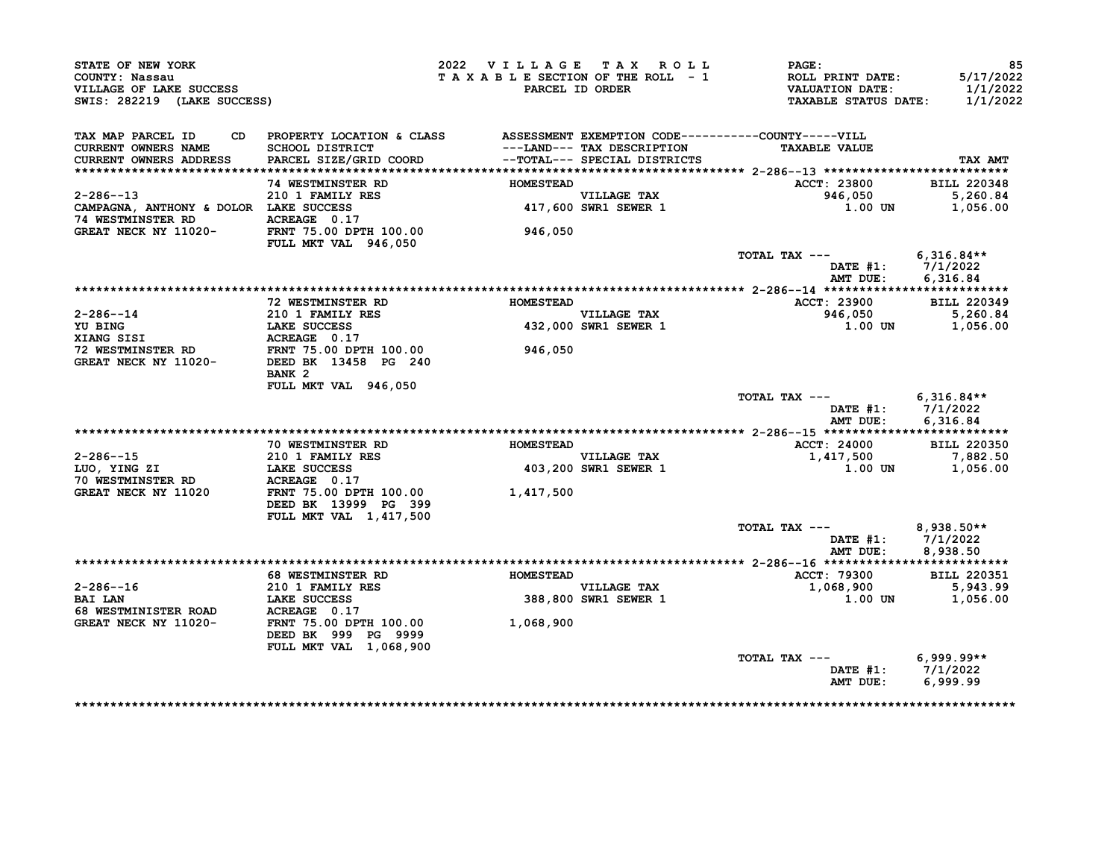| STATE OF NEW YORK<br>COUNTY: Nassau<br>VILLAGE OF LAKE SUCCESS<br>SWIS: 282219 (LAKE SUCCESS) |                                                                                  | 2022 VILLAGE TAX ROLL<br>TAXABLE SECTION OF THE ROLL - 1 | PARCEL ID ORDER                     | PAGE:<br>ROLL PRINT DATE:<br>VALUATION DATE:<br><b>TAXABLE STATUS DATE:</b> | 85<br>5/17/2022<br>1/1/2022<br>1/1/2022 |
|-----------------------------------------------------------------------------------------------|----------------------------------------------------------------------------------|----------------------------------------------------------|-------------------------------------|-----------------------------------------------------------------------------|-----------------------------------------|
| TAX MAP PARCEL ID                                                                             | CD PROPERTY LOCATION & CLASS ASSESSMENT EXEMPTION CODE-----------COUNTY-----VILL |                                                          |                                     |                                                                             |                                         |
| CURRENT OWNERS NAME                                                                           | <b>SCHOOL DISTRICT</b>                                                           |                                                          | ---LAND--- TAX DESCRIPTION          | <b>TAXABLE VALUE</b>                                                        |                                         |
| CURRENT OWNERS ADDRESS                                                                        | PARCEL SIZE/GRID COORD                                                           |                                                          | --TOTAL--- SPECIAL DISTRICTS        |                                                                             | TAX AMT                                 |
|                                                                                               | <b>74 WESTMINSTER RD</b>                                                         | <b>HOMESTEAD</b>                                         |                                     | ACCT: 23800                                                                 | <b>BILL 220348</b>                      |
| $2 - 286 - -13$                                                                               | 210 1 FAMILY RES                                                                 |                                                          |                                     | 946,050                                                                     | 5,260.84                                |
|                                                                                               |                                                                                  |                                                          | VILLAGE TAX<br>417,600 SWR1 SEWER 1 | 1.00 UN                                                                     | 1,056.00                                |
|                                                                                               |                                                                                  |                                                          |                                     |                                                                             |                                         |
| GREAT NECK NY 11020-<br>FULL MKT VAL 946,050                                                  |                                                                                  | 946,050                                                  |                                     |                                                                             |                                         |
|                                                                                               |                                                                                  |                                                          |                                     | TOTAL TAX --- $6,316.84**$                                                  |                                         |
|                                                                                               |                                                                                  |                                                          |                                     |                                                                             | DATE #1: 7/1/2022                       |
|                                                                                               |                                                                                  |                                                          |                                     | AMT DUE:                                                                    | 6,316.84                                |
|                                                                                               |                                                                                  |                                                          |                                     |                                                                             |                                         |
|                                                                                               | <b>72 WESTMINSTER RD</b>                                                         | <b>HOMESTEAD</b>                                         |                                     | ACCT: 23900                                                                 | <b>BILL 220349</b>                      |
|                                                                                               |                                                                                  |                                                          | VILLAGE TAX<br>432,000 SWR1 SEWER 1 | 946,050                                                                     | 5,260.84                                |
|                                                                                               |                                                                                  |                                                          |                                     |                                                                             | 1.00 UN 1,056.00                        |
|                                                                                               |                                                                                  | 946,050                                                  |                                     |                                                                             |                                         |
|                                                                                               |                                                                                  |                                                          |                                     |                                                                             |                                         |
|                                                                                               | BANK <sub>2</sub>                                                                |                                                          |                                     |                                                                             |                                         |
|                                                                                               | FULL MKT VAL 946,050                                                             |                                                          |                                     |                                                                             |                                         |
|                                                                                               |                                                                                  |                                                          |                                     | TOTAL TAX $---$ 6,316.84**                                                  |                                         |
|                                                                                               |                                                                                  |                                                          |                                     |                                                                             | DATE #1: 7/1/2022                       |
|                                                                                               |                                                                                  |                                                          |                                     |                                                                             | AMT DUE: 6,316.84                       |
|                                                                                               |                                                                                  |                                                          |                                     |                                                                             |                                         |
|                                                                                               | <b>70 WESTMINSTER RD</b>                                                         | <b>HOMESTEAD</b>                                         |                                     | <b>ACCT: 24000</b>                                                          | <b>BILL 220350</b>                      |
| $2 - 286 - -15$                                                                               | 210 1 FAMILY RES                                                                 |                                                          | VILLAGE TAX<br>403,200 SWR1 SEWER 1 | 1,417,500                                                                   | 7,882.50                                |
| LUO, YING ZI                                                                                  | <b>LAKE SUCCESS<br/>ACREAGE 0.17</b>                                             |                                                          |                                     |                                                                             | 1.00 UN 1,056.00                        |
| <b>70 WESTMINSTER RD</b>                                                                      |                                                                                  |                                                          |                                     |                                                                             |                                         |
| GREAT NECK NY 11020                                                                           | FRNT 75.00 DPTH 100.00 1,417,500                                                 |                                                          |                                     |                                                                             |                                         |
|                                                                                               | DEED BK 13999 PG 399                                                             |                                                          |                                     |                                                                             |                                         |
|                                                                                               | FULL MKT VAL 1,417,500                                                           |                                                          |                                     |                                                                             |                                         |
|                                                                                               |                                                                                  |                                                          |                                     | TOTAL TAX ---                                                               | $8,938.50**$                            |
|                                                                                               |                                                                                  |                                                          |                                     |                                                                             | DATE #1: 7/1/2022                       |
|                                                                                               |                                                                                  |                                                          |                                     | AMT DUE:                                                                    | 8,938.50                                |
|                                                                                               | 68 WESTMINSTER RD MOMESTEAD                                                      |                                                          |                                     | ACCT: 79300                                                                 | <b>BILL 220351</b>                      |
|                                                                                               |                                                                                  |                                                          |                                     | 1,068,900                                                                   | 5,943.99                                |
|                                                                                               |                                                                                  |                                                          | VILLAGE TAX<br>388,800 SWR1 SEWER 1 |                                                                             | 1.00 UN 1,056.00                        |
|                                                                                               |                                                                                  |                                                          |                                     |                                                                             |                                         |
|                                                                                               |                                                                                  | 1,068,900                                                |                                     |                                                                             |                                         |
|                                                                                               | DEED BK 999 PG 9999                                                              |                                                          |                                     |                                                                             |                                         |
|                                                                                               | FULL MKT VAL 1,068,900                                                           |                                                          |                                     |                                                                             |                                         |
|                                                                                               |                                                                                  |                                                          |                                     | TOTAL TAX ---                                                               | $6,999.99**$                            |
|                                                                                               |                                                                                  |                                                          |                                     |                                                                             |                                         |
|                                                                                               |                                                                                  |                                                          |                                     |                                                                             | DATE #1: 7/1/2022                       |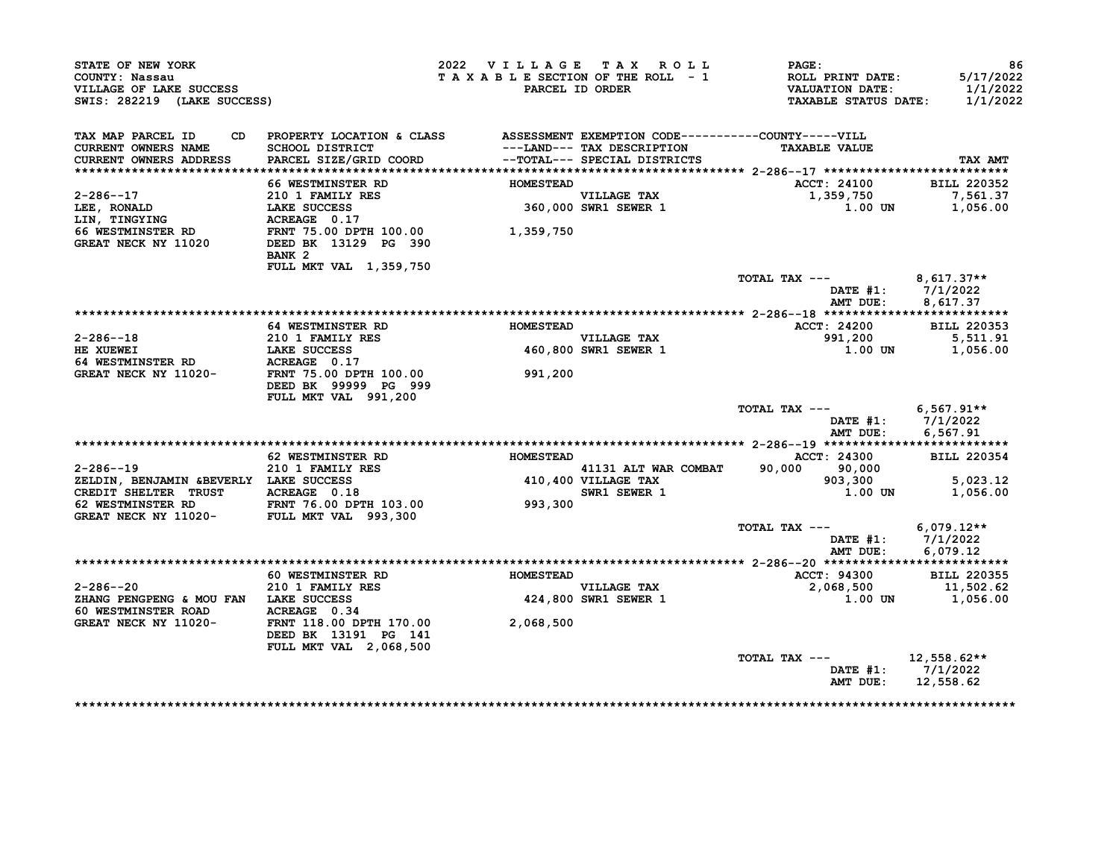| STATE OF NEW YORK<br>COUNTY: Nassau<br>VILLAGE OF LAKE SUCCESS<br>SWIS: 282219 (LAKE SUCCESS)                                                                                              |                                                                                 | 2022 VILLAGE TAX ROLL |                                     | $\mathbf{PAGE}$ :<br>T A X A B L E SECTION OF THE ROLL - 1 ROLL PRINT DATE:<br>PARCEL ID ORDER VALUATION DATE:<br>TAXABLE STATUS DATE: | 86<br>5/17/2022<br>1/1/2022<br>1/1/2022 |
|--------------------------------------------------------------------------------------------------------------------------------------------------------------------------------------------|---------------------------------------------------------------------------------|-----------------------|-------------------------------------|----------------------------------------------------------------------------------------------------------------------------------------|-----------------------------------------|
| TAX MAP PARCEL ID<br>CURRENT OWNERS NAME                                                                                                                                                   | CD PROPERTY LOCATION & CLASS ASSESSMENT EXEMPTION CODE----------COUNTY-----VILL |                       |                                     | <b>TAXABLE VALUE</b>                                                                                                                   |                                         |
| CURRENT OWNERS ADDRESS                                                                                                                                                                     |                                                                                 |                       |                                     |                                                                                                                                        | <b>TAX AMT</b>                          |
|                                                                                                                                                                                            | <b>66 WESTMINSTER RD</b>                                                        | <b>HOMESTEAD</b>      |                                     | <b>ACCT: 24100</b>                                                                                                                     | <b>BILL 220352</b>                      |
|                                                                                                                                                                                            |                                                                                 |                       |                                     | 1,359,750                                                                                                                              | 7,561.37                                |
|                                                                                                                                                                                            |                                                                                 |                       |                                     | 1.00 UN                                                                                                                                | 1,056.00                                |
| 2-286--17<br>LEE, RONALD<br>LEE, RONALD<br>LAKE SUCCESS<br>LIN, TINGYING ACREAGE 0.17<br>66 WESTMINSTER RD FRNT 75.00 DPTH 100.00<br>GREAT NECK NY 11020 DEED BK 13129 PG 390<br>1,359,750 | BANK <sub>2</sub><br>FULL MKT VAL 1,359,750                                     |                       |                                     |                                                                                                                                        |                                         |
|                                                                                                                                                                                            |                                                                                 |                       |                                     | TOTAL TAX --- $8,617.37**$                                                                                                             | DATE #1: 7/1/2022                       |
|                                                                                                                                                                                            |                                                                                 |                       |                                     | AMT DUE:                                                                                                                               | 8,617.37                                |
|                                                                                                                                                                                            | <b>64 WESTMINSTER RD</b>                                                        | <b>HOMESTEAD</b>      |                                     | <b>ACCT: 24200</b>                                                                                                                     | <b>BILL 220353</b>                      |
| 2-286--18                                                                                                                                                                                  |                                                                                 |                       |                                     |                                                                                                                                        | 5,511.91                                |
| HE XUEWEI                                                                                                                                                                                  | 210 1 FAMILY RES<br>LAKE SUCCESS<br>ACREAGE 0.17                                |                       | VILLAGE TAX<br>460,800 SWR1 SEWER 1 | 991,200<br>1.00 UN                                                                                                                     | 1,056.00                                |
| <b>64 WESTMINSTER RD</b>                                                                                                                                                                   |                                                                                 |                       |                                     |                                                                                                                                        |                                         |
| GREAT NECK NY 11020- FRNT 75.00 DPTH 100.00                                                                                                                                                | DEED BK 99999 PG 999<br>FULL MKT VAL 991,200                                    | 991,200               |                                     |                                                                                                                                        |                                         |
|                                                                                                                                                                                            |                                                                                 |                       |                                     | TOTAL TAX --- $6,567.91**$                                                                                                             |                                         |
|                                                                                                                                                                                            |                                                                                 |                       |                                     | AMT DUE:                                                                                                                               | DATE #1: 7/1/2022<br>6,567.91           |
|                                                                                                                                                                                            |                                                                                 |                       |                                     |                                                                                                                                        |                                         |
|                                                                                                                                                                                            | <b>62 WESTMINSTER RD</b>                                                        | <b>HOMESTEAD</b>      |                                     | ACCT: 24300                                                                                                                            | <b>BILL 220354</b>                      |
|                                                                                                                                                                                            |                                                                                 |                       |                                     |                                                                                                                                        | 5.023.12                                |
|                                                                                                                                                                                            |                                                                                 |                       |                                     |                                                                                                                                        | 1,056.00                                |
| 2-286--19<br>ZELDIN, BENJAMIN &BEVERLY LAKE SUCCESS<br>CREDIT SHELTER TRUST ACREAGE 0.18<br>62 WESTMINSTER RD FRNT 76.00 DPTH 103.00 993,300<br>GREAT NECK NY 11020- FULL MKT VAL 993,300  |                                                                                 |                       |                                     | 41131 ALT WAR COMBAT 90,000<br>410,400 VILLAGE TAX 903,300<br>SWR1 SEWER 1 1.00 UN                                                     |                                         |
|                                                                                                                                                                                            |                                                                                 |                       |                                     | TOTAL TAX --- $6,079.12**$                                                                                                             |                                         |
|                                                                                                                                                                                            |                                                                                 |                       |                                     | AMT DUE:                                                                                                                               | DATE #1: 7/1/2022<br>6,079.12           |
|                                                                                                                                                                                            |                                                                                 |                       |                                     |                                                                                                                                        |                                         |
| $2 - 286 - -20$                                                                                                                                                                            | 60 WESTMINSTER RD<br>010 1 = 111211 = 22<br>210 1 FAMILY RES                    |                       | <b>VILLAGE TAX</b>                  | ACCT: 94300 BILL 220355<br>2,068,500 11,502.62<br><b>ACCT: 94300</b>                                                                   |                                         |
| ZHANG PENGPENG & MOU FAN LAKE SUCCESS                                                                                                                                                      |                                                                                 |                       | VILLAGE TAX<br>424,800 SWR1 SEWER 1 |                                                                                                                                        | $1.00$ UN $1.056.00$                    |
| <b>60 WESTMINSTER ROAD</b><br>GREAT NECK NY 11020-                                                                                                                                         | ACREAGE 0.34<br>FRNT 118.00 DPTH 170.00 2,068,500<br>DEED BK 13191 PG 141       |                       |                                     |                                                                                                                                        |                                         |
|                                                                                                                                                                                            | FULL MKT VAL 2,068,500                                                          |                       |                                     |                                                                                                                                        |                                         |
|                                                                                                                                                                                            |                                                                                 |                       |                                     | TOTAL TAX --- $12,558.62**$                                                                                                            |                                         |
|                                                                                                                                                                                            |                                                                                 |                       |                                     | AMT DUE:                                                                                                                               | DATE #1: 7/1/2022<br>12,558.62          |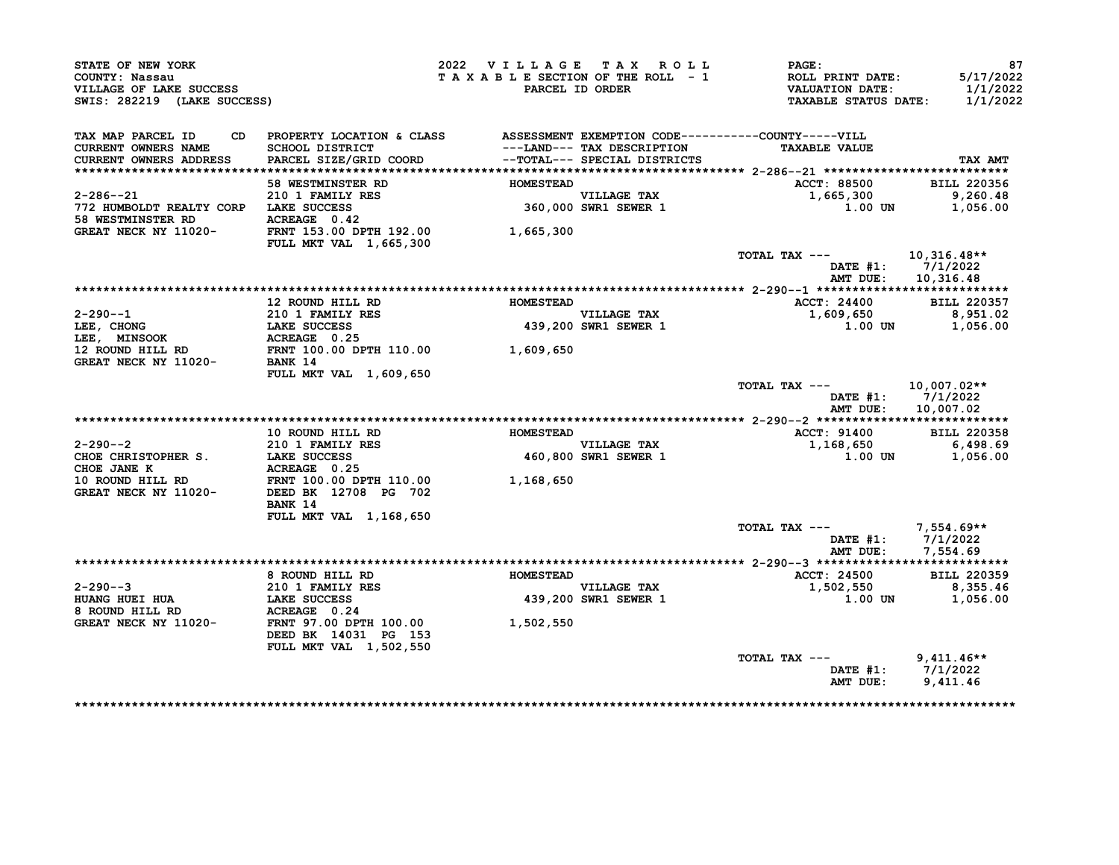| STATE OF NEW YORK<br>COUNTY: Nassau<br>VILLAGE OF LAKE SUCCESS<br>SWIS: 282219 (LAKE SUCCESS)                                                                                                 |                                                                                  | 2022 VILLAGE TAX ROLL | TAXABLE SECTION OF THE ROLL - 1<br>PARCEL ID ORDER | PAGE:<br><b>ROLL PRINT DATE:</b><br><b>VALUATION DATE:</b><br><b>TAXABLE STATUS DATE:</b> | 87<br>5/17/2022<br>1/1/2022<br>1/1/2022 |
|-----------------------------------------------------------------------------------------------------------------------------------------------------------------------------------------------|----------------------------------------------------------------------------------|-----------------------|----------------------------------------------------|-------------------------------------------------------------------------------------------|-----------------------------------------|
| TAX MAP PARCEL ID<br>CD                                                                                                                                                                       | PROPERTY LOCATION & CLASS ASSESSMENT EXEMPTION CODE----------COUNTY-----VILL     |                       |                                                    |                                                                                           |                                         |
| <b>CURRENT OWNERS NAME</b>                                                                                                                                                                    | <b>SCHOOL DISTRICT</b>                                                           |                       | ---LAND--- TAX DESCRIPTION                         | <b>TAXABLE VALUE</b>                                                                      |                                         |
| <b>CURRENT OWNERS ADDRESS</b>                                                                                                                                                                 | PARCEL SIZE/GRID COORD                                                           |                       | --TOTAL--- SPECIAL DISTRICTS                       |                                                                                           | TAX AMT                                 |
|                                                                                                                                                                                               |                                                                                  |                       |                                                    |                                                                                           |                                         |
|                                                                                                                                                                                               | <b>58 WESTMINSTER RD</b>                                                         | <b>HOMESTEAD</b>      |                                                    | ACCT: 88500                                                                               | <b>BILL 220356</b>                      |
| $2 - 286 - -21$                                                                                                                                                                               |                                                                                  |                       | VILLAGE TAX<br>360,000 SWR1 SEWER 1                | 1,665,300                                                                                 | 9,260.48                                |
| 772 HUMBOLDT REALTY CORP LAKE SUCCESS                                                                                                                                                         | <b>210 1 FAMILY RES<br/>LAKE SUCCESS<br/>ACREAGE 0.42</b>                        |                       |                                                    | 1.00 UN                                                                                   | 1,056.00                                |
| <b>58 WESTMINSTER RD</b><br>GREAT NECK NY 11020-                                                                                                                                              | FRNT 153.00 DPTH 192.00                                                          |                       |                                                    |                                                                                           |                                         |
|                                                                                                                                                                                               | <b>FULL MKT VAL 1,665,300</b>                                                    | 1,665,300             |                                                    |                                                                                           |                                         |
|                                                                                                                                                                                               |                                                                                  |                       |                                                    | TOTAL TAX ---                                                                             | 10,316.48**                             |
|                                                                                                                                                                                               |                                                                                  |                       |                                                    |                                                                                           | DATE $#1: 7/1/2022$                     |
|                                                                                                                                                                                               |                                                                                  |                       |                                                    | AMT DUE:                                                                                  | 10,316.48                               |
|                                                                                                                                                                                               |                                                                                  |                       |                                                    |                                                                                           |                                         |
|                                                                                                                                                                                               | 12 ROUND HILL RD                                                                 | <b>HOMESTEAD</b>      |                                                    | ACCT: 24400                                                                               | <b>BILL 220357</b>                      |
|                                                                                                                                                                                               |                                                                                  |                       |                                                    | 1,609,650                                                                                 | 8,951.02                                |
|                                                                                                                                                                                               |                                                                                  |                       | VILLAGE TAX<br>439,200 SWR1 SEWER 1                | 1.00 UN                                                                                   | 1,056.00                                |
| 2-290--1<br>LEE, CHONG 210 1 FAMILY RES<br>LEE, CHONG LAKE SUCCESS 439,200<br>LEE, MINSOOK ACREAGE 0.25<br>12 ROUND HILL RD FRNT 100.00 DPTH 110.00 1,609,650<br>GREAT NECK NY 11020- BANK 14 |                                                                                  |                       |                                                    |                                                                                           |                                         |
|                                                                                                                                                                                               |                                                                                  |                       |                                                    |                                                                                           |                                         |
|                                                                                                                                                                                               |                                                                                  |                       |                                                    |                                                                                           |                                         |
|                                                                                                                                                                                               | FULL MKT VAL 1,609,650                                                           |                       |                                                    |                                                                                           |                                         |
|                                                                                                                                                                                               |                                                                                  |                       |                                                    | TOTAL TAX ---<br>DATE #1:<br>AMT DUE:                                                     | 10,007.02**<br>7/1/2022<br>10,007.02    |
|                                                                                                                                                                                               |                                                                                  |                       |                                                    |                                                                                           |                                         |
|                                                                                                                                                                                               | 10 ROUND HILL RD                                                                 | <b>HOMESTEAD</b>      |                                                    | <b>ACCT: 91400</b>                                                                        | <b>BILL 220358</b>                      |
| $2 - 290 - -2$                                                                                                                                                                                | <b>210 1 FAMILY RES</b>                                                          |                       |                                                    | 1,168,650                                                                                 | 6,498.69                                |
| CHOE CHRISTOPHER S.                                                                                                                                                                           | <b>LAKE SUCCESS</b> 460,800<br>ACREAGE 0.25<br>FRNT 100.00 DPTH 110.00 1,168,650 |                       | VILLAGE TAX<br>460,800 SWR1 SEWER 1                | 1.00 UN                                                                                   | 1,056.00                                |
| CHOE JANE K                                                                                                                                                                                   |                                                                                  |                       |                                                    |                                                                                           |                                         |
| 10 ROUND HILL RD                                                                                                                                                                              |                                                                                  |                       |                                                    |                                                                                           |                                         |
| GREAT NECK NY 11020-                                                                                                                                                                          | DEED BK 12708 PG 702<br>BANK 14                                                  |                       |                                                    |                                                                                           |                                         |
|                                                                                                                                                                                               | <b>FULL MKT VAL 1,168,650</b>                                                    |                       |                                                    |                                                                                           |                                         |
|                                                                                                                                                                                               |                                                                                  |                       |                                                    | TOTAL TAX ---                                                                             | 7,554.69**                              |
|                                                                                                                                                                                               |                                                                                  |                       |                                                    |                                                                                           | DATE #1: 7/1/2022                       |
|                                                                                                                                                                                               |                                                                                  |                       |                                                    | AMT DUE:                                                                                  | 7,554.69                                |
|                                                                                                                                                                                               |                                                                                  |                       |                                                    |                                                                                           |                                         |
|                                                                                                                                                                                               | 8 ROUND HILL RD                                                                  | <b>HOMESTEAD</b>      |                                                    | <b>ACCT: 24500</b>                                                                        | <b>BILL 220359</b>                      |
| $2 - 290 - -3$                                                                                                                                                                                | 210 1 FAMILY RES                                                                 |                       | <b>VILLAGE TAX</b>                                 | 1,502,550                                                                                 | 8,355.46                                |
| <b>HUANG HUEI HUA</b>                                                                                                                                                                         | LAKE SUCCESS<br>ACREAGE 0.24                                                     |                       | 439,200 SWR1 SEWER 1                               | 1.00 UN                                                                                   | 1,056.00                                |
| 8 ROUND HILL RD<br>GREAT NECK NY 11020-                                                                                                                                                       | FRNT 97.00 DPTH 100.00<br>DEED BK 14031 PG 153                                   | 1,502,550             |                                                    |                                                                                           |                                         |
|                                                                                                                                                                                               | FULL MKT VAL 1,502,550                                                           |                       |                                                    |                                                                                           |                                         |
|                                                                                                                                                                                               |                                                                                  |                       |                                                    | TOTAL TAX ---                                                                             | $9,411.46**$                            |
|                                                                                                                                                                                               |                                                                                  |                       |                                                    |                                                                                           | DATE #1: 7/1/2022                       |
|                                                                                                                                                                                               |                                                                                  |                       |                                                    |                                                                                           |                                         |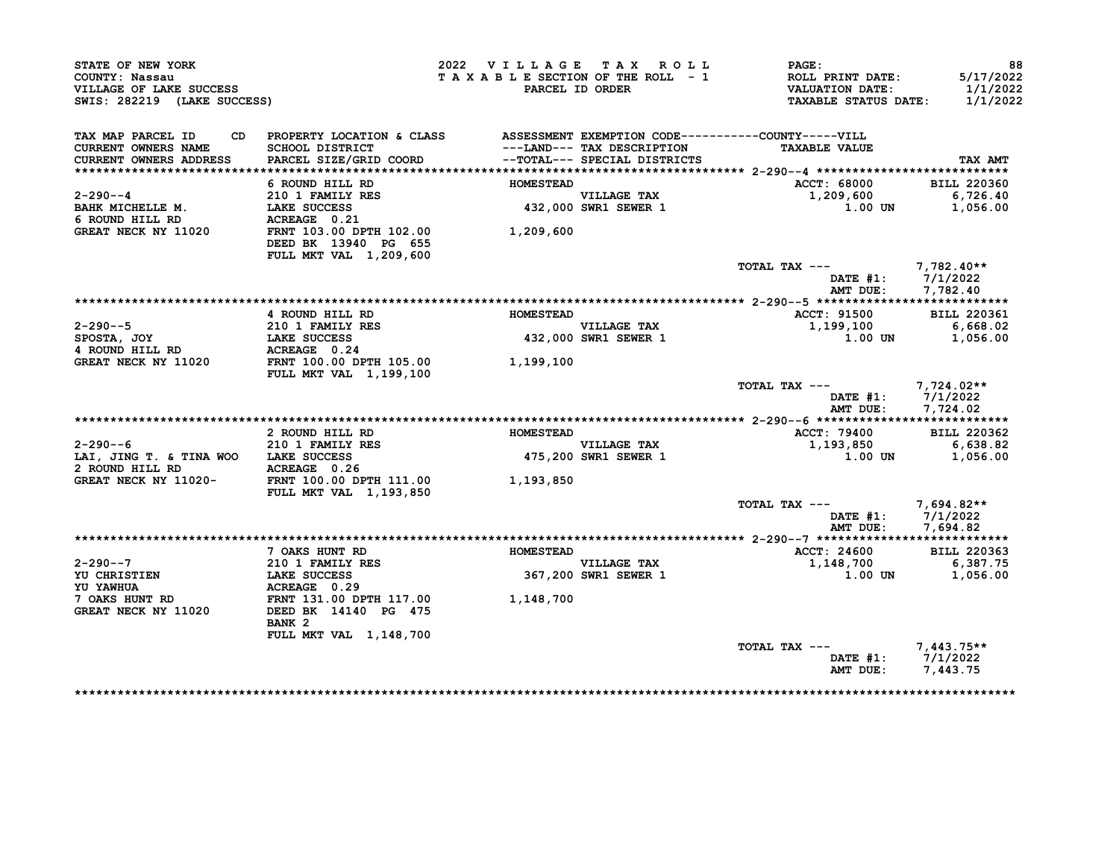| STATE OF NEW YORK<br>COUNTY: Nassau<br>VILLAGE OF LAKE SUCCESS<br>SWIS: 282219 (LAKE SUCCESS) |                                                                                                 | 2022 VILLAGE TAX ROLL<br>TAXABLE SECTION OF THE ROLL - 1 | PARCEL ID ORDER                     | <b>PAGE :</b><br>ROLL PRINT DATE:<br>VALUATION DATE:<br><b>TAXABLE STATUS DATE:</b> | 88<br>5/17/2022<br>1/1/2022<br>1/1/2022 |
|-----------------------------------------------------------------------------------------------|-------------------------------------------------------------------------------------------------|----------------------------------------------------------|-------------------------------------|-------------------------------------------------------------------------------------|-----------------------------------------|
| TAX MAP PARCEL ID<br>CD.<br><b>CURRENT OWNERS NAME</b>                                        | PROPERTY LOCATION & CLASS ASSESSMENT EXEMPTION CODE----------COUNTY-----VILL<br>SCHOOL DISTRICT |                                                          | ---LAND--- TAX DESCRIPTION          | <b>TAXABLE VALUE</b>                                                                |                                         |
| CURRENT OWNERS ADDRESS                                                                        | PARCEL SIZE/GRID COORD                                                                          |                                                          | --TOTAL--- SPECIAL DISTRICTS        |                                                                                     | TAX AMT                                 |
|                                                                                               | 6 ROUND HILL RD                                                                                 | <b>HOMESTEAD</b>                                         |                                     | ACCT: 68000                                                                         | <b>BILL 220360</b>                      |
| 2-290--4                                                                                      |                                                                                                 |                                                          |                                     | 1,209,600                                                                           | 6,726.40                                |
| BAHK MICHELLE M.                                                                              | 210 1 FAMILY RES<br>LAKE SUCCESS<br>LAKE SUCCESS                                                |                                                          | VILLAGE TAX<br>432,000 SWR1 SEWER 1 | 1.00 UN                                                                             | 1,056.00                                |
| 6 ROUND HILL RD                                                                               | ACREAGE 0.21                                                                                    |                                                          |                                     |                                                                                     |                                         |
| GREAT NECK NY 11020                                                                           | FRNT 103.00 DPTH 102.00<br>DEED BK 13940 PG 655                                                 | 1,209,600                                                |                                     |                                                                                     |                                         |
|                                                                                               | FULL MKT VAL 1,209,600                                                                          |                                                          |                                     |                                                                                     |                                         |
|                                                                                               |                                                                                                 |                                                          |                                     | TOTAL TAX ---<br>DATE $#1: 7/1/2022$<br>AMT DUE:                                    | $7,782.40**$<br>7,782.40                |
|                                                                                               |                                                                                                 |                                                          |                                     |                                                                                     |                                         |
|                                                                                               | 4 ROUND HILL RD                                                                                 | <b>HOMESTEAD</b>                                         |                                     | <b>ACCT: 91500</b>                                                                  | <b>BILL 220361</b>                      |
| $2 - 290 - -5$                                                                                | 210 1 FAMILY RES<br>LAKE SUCCESS                                                                |                                                          | VILLAGE TAX                         | 1,199,100                                                                           | 6,668.02                                |
| SPOSTA, JOY                                                                                   |                                                                                                 |                                                          | 432,000 SWR1 SEWER 1                | $1.00$ UN                                                                           | 1,056.00                                |
| 4 ROUND HILL RD                                                                               | <b>ACREAGE 0.24<br/>FRNT 100.00 DPTH 105.00</b>                                                 |                                                          |                                     |                                                                                     |                                         |
| GREAT NECK NY 11020                                                                           | FULL MKT VAL 1,199,100                                                                          | 1,199,100                                                |                                     |                                                                                     |                                         |
|                                                                                               |                                                                                                 |                                                          |                                     | TOTAL TAX ---<br>DATE $#1: 7/1/2022$<br>AMT DUE:                                    | 7,724.02**<br>7,724.02                  |
|                                                                                               |                                                                                                 |                                                          |                                     |                                                                                     |                                         |
|                                                                                               | 2 ROUND HILL RD                                                                                 | <b>HOMESTEAD</b>                                         |                                     | <b>ACCT: 79400</b>                                                                  | <b>BILL 220362</b>                      |
| $2 - 290 - -6$                                                                                | 210 1 FAMILY RES                                                                                |                                                          | <b>VILLAGE TAX</b>                  | 1,193,850                                                                           | 6,638.82                                |
| LAI, JING T. & TINA WOO LAKE SUCCESS                                                          |                                                                                                 |                                                          | 475,200 SWR1 SEWER 1                | 1.00 UN                                                                             | 1,056.00                                |
| 2 ROUND HILL RD                                                                               | ACREAGE 0.26                                                                                    |                                                          |                                     |                                                                                     |                                         |
|                                                                                               | GREAT NECK NY 11020- FRNT 100.00 DPTH 111.00<br>FULL MKT VAL 1,193,850                          | 1,193,850                                                |                                     |                                                                                     |                                         |
|                                                                                               |                                                                                                 |                                                          |                                     | TOTAL TAX ---                                                                       | 7,694.82**                              |
|                                                                                               |                                                                                                 |                                                          |                                     | DATE #1: 7/1/2022                                                                   |                                         |
|                                                                                               |                                                                                                 |                                                          |                                     | AMT DUE:                                                                            | 7,694.82                                |
|                                                                                               | 7 OAKS HUNT RD                                                                                  | <b>HOMESTEAD</b>                                         |                                     | ACCT: 24600                                                                         | <b>BILL 220363</b>                      |
| $2 - 290 - -7$                                                                                | 210 1 FAMILY RES                                                                                |                                                          | VILLAGE TAX                         | 1,148,700                                                                           | 6,387.75                                |
| <b>YU CHRISTIEN</b>                                                                           | <b>LAKE SUCCESS</b>                                                                             |                                                          | 367,200 SWR1 SEWER 1                | 1.00 UN                                                                             | 1,056.00                                |
| YU YAWHUA                                                                                     | ACREAGE 0.29                                                                                    |                                                          |                                     |                                                                                     |                                         |
| 7 OAKS HUNT RD                                                                                | FRNT 131.00 DPTH 117.00 1,148,700                                                               |                                                          |                                     |                                                                                     |                                         |
| GREAT NECK NY 11020                                                                           | DEED BK 14140 PG 475<br>BANK <sub>2</sub>                                                       |                                                          |                                     |                                                                                     |                                         |
|                                                                                               | FULL MKT VAL 1,148,700                                                                          |                                                          |                                     |                                                                                     |                                         |
|                                                                                               |                                                                                                 |                                                          |                                     | TOTAL TAX ---                                                                       | 7,443.75**                              |
|                                                                                               |                                                                                                 |                                                          |                                     | DATE #1: 7/1/2022                                                                   |                                         |
|                                                                                               |                                                                                                 |                                                          |                                     | AMT DUE: 7,443.75                                                                   |                                         |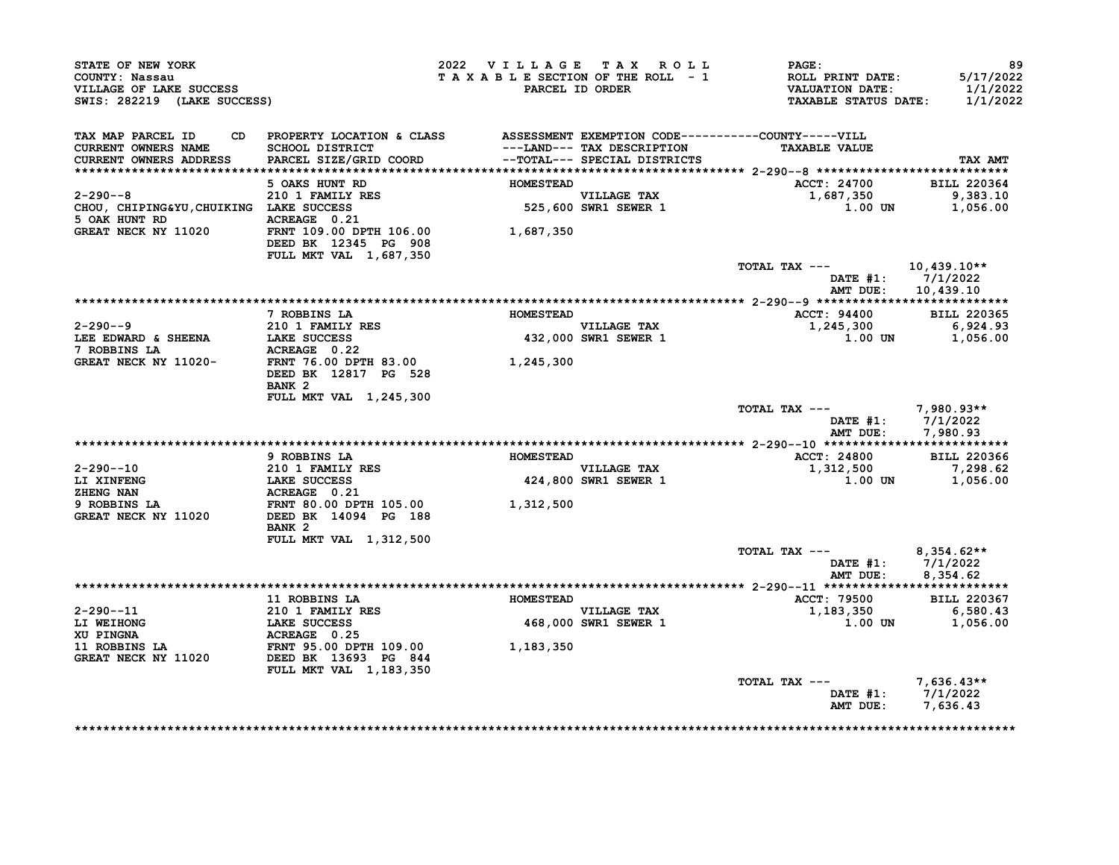| TAX MAP PARCEL ID<br>CURRENT OWNERS NAME<br>CURRENT OWNERS ADDRESS                      | CD PROPERTY LOCATION & CLASS ASSESSMENT EXEMPTION CODE----------COUNTY-----VILL<br>SCHOOL DISTRICT |                  |                                     |                                          |                                                          |
|-----------------------------------------------------------------------------------------|----------------------------------------------------------------------------------------------------|------------------|-------------------------------------|------------------------------------------|----------------------------------------------------------|
|                                                                                         | PARCEL SIZE/GRID COORD -- TOTAL--- SPECIAL DISTRICTS                                               |                  | ---LAND--- TAX DESCRIPTION          | <b>TAXABLE VALUE</b>                     | <b>TAX AMT</b>                                           |
|                                                                                         | 5 OAKS HUNT RD                                                                                     | <b>HOMESTEAD</b> |                                     | <b>ACCT: 24700</b>                       | <b>BILL 220364</b>                                       |
| $2 - 290 - -8$<br>CHOU, CHIPING&YU, CHUIKING LAKE SUCCESS<br>5 OAK HUNT RD ACREAGE 0.21 | 210 1 FAMILY RES                                                                                   |                  | VILLAGE TAX<br>525,600 SWR1 SEWER 1 | 1,687,350<br>1.00 UN                     | 9,383.10<br>1,056.00                                     |
| GREAT NECK NY 11020                                                                     | FRNT 109.00 DPTH 106.00<br>DEED BK 12345 PG 908                                                    | 1,687,350        |                                     |                                          |                                                          |
|                                                                                         | FULL MKT VAL 1,687,350                                                                             |                  |                                     | TOTAL TAX ---                            | 10,439.10**<br>DATE $#1: 7/1/2022$<br>AMT DUE: 10,439.10 |
|                                                                                         |                                                                                                    |                  |                                     |                                          |                                                          |
|                                                                                         | 7 ROBBINS LA                                                                                       | <b>HOMESTEAD</b> |                                     | <b>ACCT: 94400</b>                       | <b>BILL 220365</b>                                       |
| 2-290--9                                                                                | 210 1 FAMILY RES                                                                                   |                  | <b>VILLAGE TAX</b>                  | 1,245,300                                | 6,924.93                                                 |
| LEE EDWARD & SHEENA                                                                     | LAKE SUCCESS                                                                                       |                  | 432,000 SWR1 SEWER 1                | 1.00 UN                                  | 1,056.00                                                 |
| 7 ROBBINS LA<br>GREAT NECK NY 11020-                                                    | ACREAGE 0.22<br><b>FRNT 76.00 DPTH 83.00</b>                                                       | 1,245,300        |                                     |                                          |                                                          |
|                                                                                         | DEED BK 12817 PG 528<br>BANK <sub>2</sub>                                                          |                  |                                     |                                          |                                                          |
|                                                                                         | FULL MKT VAL 1,245,300                                                                             |                  |                                     |                                          |                                                          |
|                                                                                         |                                                                                                    |                  |                                     | TOTAL TAX ---<br>AMT DUE:                | 7,980.93**<br>DATE $#1: 7/1/2022$<br>7,980.93            |
|                                                                                         |                                                                                                    |                  |                                     |                                          |                                                          |
|                                                                                         | 9 ROBBINS LA                                                                                       | <b>HOMESTEAD</b> |                                     | <b>ACCT: 24800</b>                       | <b>BILL 220366</b>                                       |
| 2-290--10                                                                               | <b>210 1 FAMILY RES</b>                                                                            |                  | <b>VILLAGE TAX</b>                  | 1,312,500                                | 7,298.62                                                 |
| LI XINFENG<br>ZHENG NAN                                                                 | LAKE SUCCESS                                                                                       |                  | 424,800 SWR1 SEWER 1                | 1.00 UN                                  | 1,056.00                                                 |
| 9 ROBBINS LA<br><b>GREAT NECK NY 11020</b>                                              | <b>ACREAGE 0.21<br/>FRNT 80.00 DPTH 105.00<br/>DEED BK 14094 PG 188</b><br>BANK <sub>2</sub>       | 1,312,500        |                                     |                                          |                                                          |
|                                                                                         | FULL MKT VAL 1,312,500                                                                             |                  |                                     |                                          |                                                          |
|                                                                                         |                                                                                                    |                  |                                     | TOTAL TAX ---<br>AMT DUE:                | $8,354.62**$<br>DATE #1: 7/1/2022<br>8.354.62            |
|                                                                                         |                                                                                                    |                  |                                     |                                          |                                                          |
|                                                                                         | <b>11 ROBBINS LA</b>                                                                               | <b>HOMESTEAD</b> |                                     | ACCT: 79500                              | <b>BILL 220367</b>                                       |
| 2-290--11                                                                               | 210 1 FAMILY RES                                                                                   |                  | VILLAGE TAX                         | 1,183,350                                | 6,580.43                                                 |
| LI WEIHONG                                                                              | LAKE SUCCESS                                                                                       |                  | 468,000 SWR1 SEWER 1                | 1.00 UN                                  | 1,056.00                                                 |
|                                                                                         |                                                                                                    |                  |                                     |                                          |                                                          |
|                                                                                         | FULL MKT VAL 1,183,350                                                                             | 1,183,350        |                                     |                                          |                                                          |
|                                                                                         |                                                                                                    |                  |                                     | TOTAL TAX ---<br>DATE $#1$ :<br>AMT DUE: | $7.636.43**$<br>7/1/2022<br>7,636.43                     |

\*\*\*\*\*\*\*\*\*\*\*\*\*\*\*\*\*\*\*\*\*\*\*\*\*\*\*\*\*\*\*\*\*\*\*\*\*\*\*\*\*\*\*\*\*\*\*\*\*\*\*\*\*\*\*\*\*\*\*\*\*\*\*\*\*\*\*\*\*\*\*\*\*\*\*\*\*\*\*\*\*\*\*\*\*\*\*\*\*\*\*\*\*\*\*\*\*\*\*\*\*\*\*\*\*\*\*\*\*\*\*\*\*\*\*\*\*\*\*\*\*\*\*\*\*\*\*\*\*\*\*\*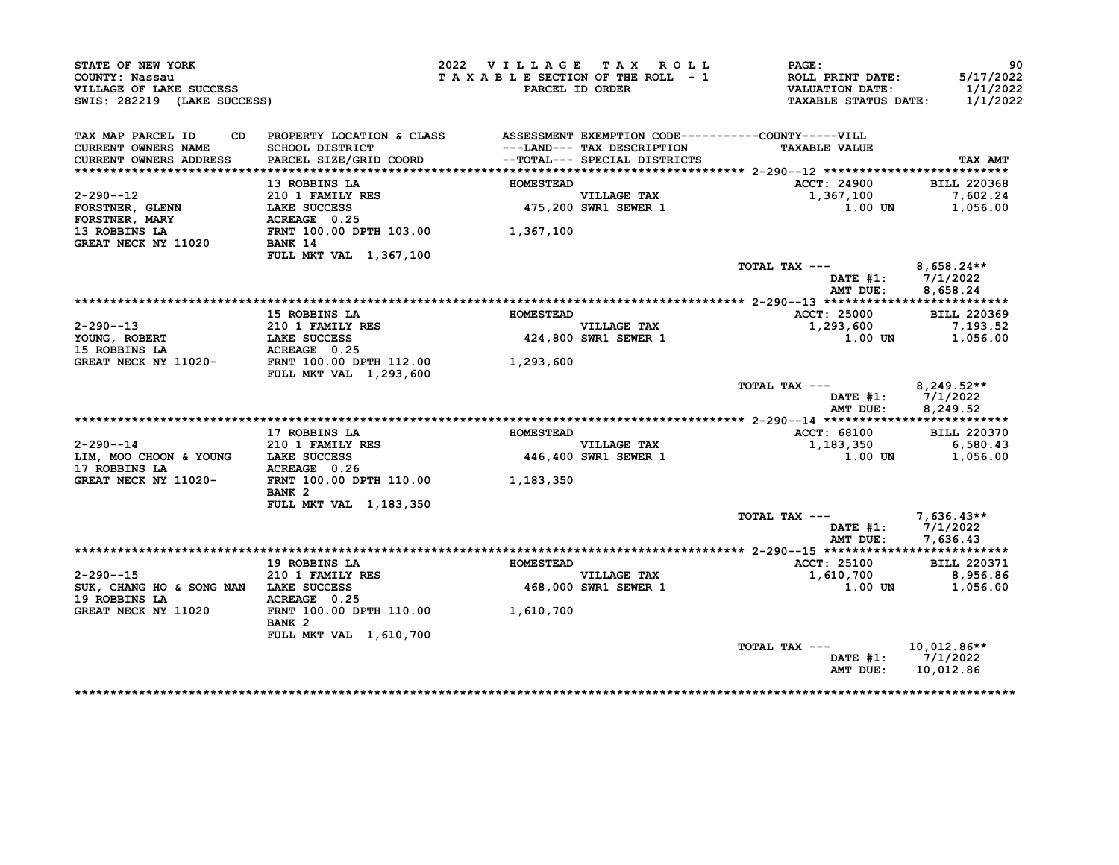| STATE OF NEW YORK<br>COUNTY: Nassau                    |                                                                              | 2022 VILLAGE TAX ROLL                    | TAXABLE SECTION OF THE ROLL - 1     | <b>PAGE:</b><br>ROLL PRINT DATE:                      | 90<br>5/17/2022      |
|--------------------------------------------------------|------------------------------------------------------------------------------|------------------------------------------|-------------------------------------|-------------------------------------------------------|----------------------|
| VILLAGE OF LAKE SUCCESS<br>SWIS: 282219 (LAKE SUCCESS) |                                                                              |                                          | PARCEL ID ORDER                     | <b>VALUATION DATE:</b><br><b>TAXABLE STATUS DATE:</b> | 1/1/2022<br>1/1/2022 |
| TAX MAP PARCEL ID<br>CD                                | PROPERTY LOCATION & CLASS ASSESSMENT EXEMPTION CODE----------COUNTY-----VILL |                                          |                                     |                                                       |                      |
| <b>CURRENT OWNERS NAME</b>                             | <b>SCHOOL DISTRICT</b>                                                       |                                          | ---LAND--- TAX DESCRIPTION          | <b>TAXABLE VALUE</b>                                  |                      |
| CURRENT OWNERS ADDRESS                                 | PARCEL SIZE/GRID COORD                                                       |                                          | --TOTAL--- SPECIAL DISTRICTS        |                                                       | TAX AMT              |
|                                                        |                                                                              |                                          |                                     |                                                       |                      |
|                                                        | 13 ROBBINS LA                                                                | <b>HOMESTEAD</b>                         |                                     | ACCT: 24900                                           | <b>BILL 220368</b>   |
| $2 - 290 - -12$                                        | 210 1 FAMILY RES                                                             |                                          | VILLAGE TAX<br>475,200 SWR1 SEWER 1 | 1,367,100                                             | 7,602.24             |
| FORSTNER, GLENN                                        | <b>LAKE SUCCESS</b>                                                          |                                          |                                     | 1.00 UN                                               | 1,056.00             |
| <b>FORSTNER, MARY</b>                                  | ACREAGE 0.25                                                                 |                                          |                                     |                                                       |                      |
| 13 ROBBINS LA<br>GREAT NECK NY 11020                   | FRNT 100.00 DPTH 103.00 1,367,100<br>BANK 14                                 |                                          |                                     |                                                       |                      |
|                                                        | FULL MKT VAL 1,367,100                                                       |                                          |                                     |                                                       |                      |
|                                                        |                                                                              |                                          |                                     | TOTAL TAX ---                                         | $8,658.24**$         |
|                                                        |                                                                              |                                          |                                     | DATE #1:                                              | 7/1/2022             |
|                                                        |                                                                              |                                          |                                     | AMT DUE:                                              | 8,658.24             |
|                                                        | 15 ROBBINS LA                                                                | <b>HOMESTEAD</b>                         |                                     | ACCT: 25000                                           | BILL 220369          |
| 2-290--13                                              |                                                                              |                                          |                                     | 1,293,600                                             | 7,193.52             |
| YOUNG, ROBERT                                          | 210 1 FAMILY RES<br>LAKE SUCCESS                                             |                                          | VILLAGE TAX<br>424,800 SWR1 SEWER 1 | 1.00 UN                                               | 1,056.00             |
| 15 ROBBINS LA                                          |                                                                              |                                          |                                     |                                                       |                      |
| GREAT NECK NY 11020-                                   | <b>ACREAGE 0.25<br/>FRNT 100.00 DPTH 112.00</b>                              | 1,293,600                                |                                     |                                                       |                      |
|                                                        | FULL MKT VAL 1,293,600                                                       |                                          |                                     |                                                       |                      |
|                                                        |                                                                              |                                          |                                     | TOTAL TAX ---<br>DATE $#1: 7/1/2022$                  | $8,249.52**$         |
|                                                        |                                                                              |                                          |                                     | AMT DUE:                                              | 8,249.52             |
|                                                        |                                                                              |                                          |                                     |                                                       |                      |
|                                                        | 17 ROBBINS LA                                                                | <b>HOMESTEAD</b>                         |                                     | <b>ACCT: 68100</b>                                    | <b>BILL 220370</b>   |
| $2 - 290 - -14$                                        | 210 1 FAMILY RES                                                             |                                          | <b>VILLAGE TAX</b>                  | 1,183,350                                             | 6,580.43             |
| LIM, MOO CHOON & YOUNG LAKE SUCCESS                    |                                                                              |                                          | 446,400 SWR1 SEWER 1                | 1.00 UN                                               | 1,056.00             |
|                                                        |                                                                              |                                          |                                     |                                                       |                      |
|                                                        |                                                                              |                                          |                                     |                                                       |                      |
|                                                        | BANK <sub>2</sub>                                                            |                                          |                                     |                                                       |                      |
|                                                        | FULL MKT VAL 1, 183, 350                                                     |                                          |                                     |                                                       |                      |
|                                                        |                                                                              |                                          |                                     | TOTAL TAX ---                                         | 7,636.43**           |
|                                                        |                                                                              |                                          |                                     | DATE #1: 7/1/2022                                     |                      |
|                                                        |                                                                              |                                          |                                     | AMT DUE:                                              | 7,636.43             |
|                                                        |                                                                              |                                          |                                     |                                                       |                      |
|                                                        | 19 ROBBINS LA                                                                | <b>HOMESTEAD</b><br>$\sim$ $\sim$ $\sim$ |                                     | ACCT: 25100                                           | <b>BILL 220371</b>   |
| $2 - 290 - -15$                                        | 210 1 FAMILY RES                                                             |                                          | <b>VILLAGE TAX</b>                  | 1,610,700                                             | 8,956.86             |
| SUK, CHANG HO & SONG NAN LAKE SUCCESS                  |                                                                              |                                          | 468,000 SWR1 SEWER 1                | $1.00$ UN                                             | 1,056.00             |
| 19 ROBBINS LA<br>GREAT NECK NY 11020                   | ACREAGE 0.25<br>FRNT 100.00 DPTH 110.00                                      |                                          |                                     |                                                       |                      |
|                                                        | BANK <sub>2</sub>                                                            | 1,610,700                                |                                     |                                                       |                      |
|                                                        | <b>FULL MKT VAL 1,610,700</b>                                                |                                          |                                     |                                                       |                      |
|                                                        |                                                                              |                                          |                                     | TOTAL TAX ---                                         | 10,012.86**          |
|                                                        |                                                                              |                                          |                                     | DATE $#1: 7/1/2022$                                   |                      |
|                                                        |                                                                              |                                          |                                     | AMT DUE:                                              | 10,012.86            |
|                                                        |                                                                              |                                          |                                     |                                                       |                      |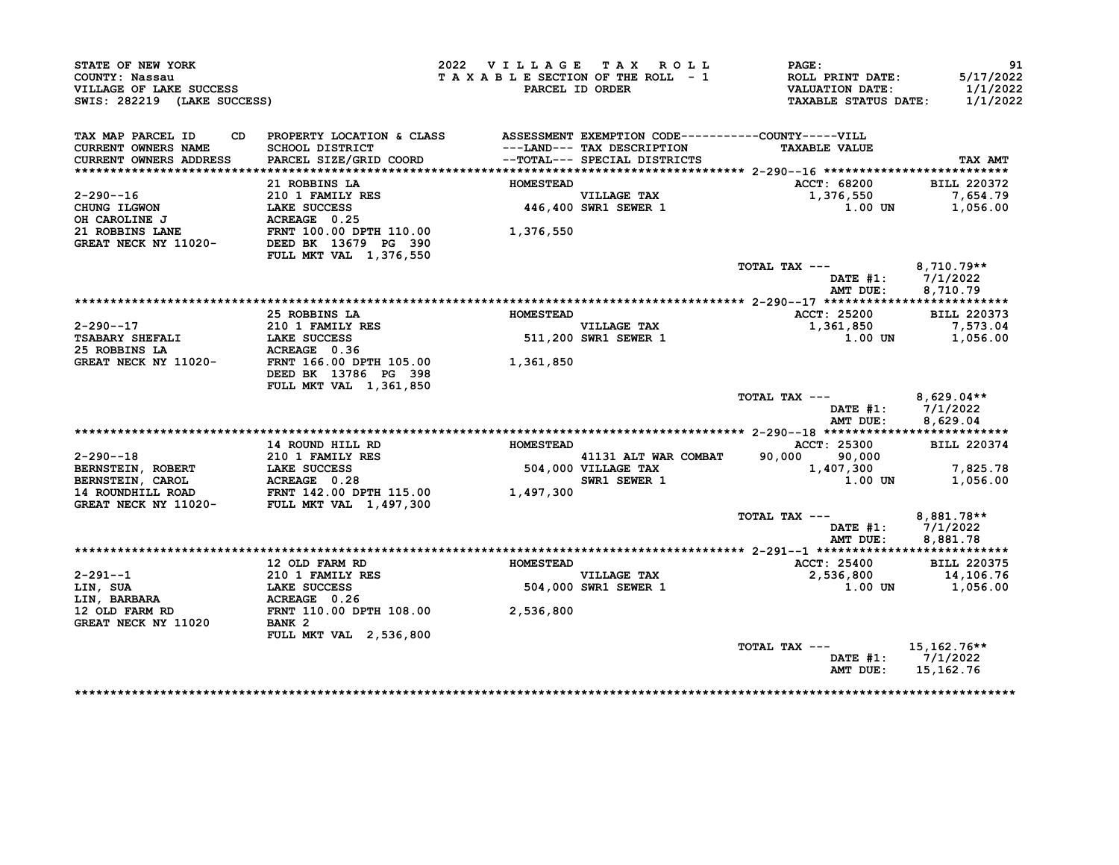| STATE OF NEW YORK<br>COUNTY: Nassau<br>VILLAGE OF LAKE SUCCESS<br>SWIS: 282219 (LAKE SUCCESS) |                                                                              | 2022 VILLAGE TAX ROLL | TAXABLE SECTION OF THE ROLL - 1<br>PARCEL ID ORDER | PAGE:<br>ROLL PRINT DATE:<br><b>VALUATION DATE:</b><br><b>TAXABLE STATUS DATE:</b> | 91<br>5/17/2022<br>1/1/2022<br>1/1/2022 |
|-----------------------------------------------------------------------------------------------|------------------------------------------------------------------------------|-----------------------|----------------------------------------------------|------------------------------------------------------------------------------------|-----------------------------------------|
| TAX MAP PARCEL ID<br>CD.                                                                      | PROPERTY LOCATION & CLASS ASSESSMENT EXEMPTION CODE----------COUNTY-----VILL |                       |                                                    |                                                                                    |                                         |
| <b>CURRENT OWNERS NAME</b>                                                                    | SCHOOL DISTRICT                                                              |                       | ---LAND--- TAX DESCRIPTION                         | <b>TAXABLE VALUE</b>                                                               |                                         |
| CURRENT OWNERS ADDRESS                                                                        | PARCEL SIZE/GRID COORD                                                       |                       | --TOTAL--- SPECIAL DISTRICTS                       |                                                                                    | TAX AMT                                 |
|                                                                                               |                                                                              |                       |                                                    |                                                                                    |                                         |
|                                                                                               | 21 ROBBINS LA<br>21 NUMBER 210 1 FAMILY RES                                  | <b>HOMESTEAD</b>      |                                                    | ACCT: 68200                                                                        | <b>BILL 220372</b>                      |
| $2 - 290 - -16$<br>CHUNG ILGWON                                                               | LAKE SUCCESS                                                                 |                       | <b>VILLAGE TAX</b><br>446,400 SWR1 SEWER 1         | 1,376,550<br>1.00 UN                                                               | 7,654.79<br>1,056.00                    |
| OH CAROLINE J                                                                                 | ACREAGE 0.25                                                                 |                       |                                                    |                                                                                    |                                         |
| 21 ROBBINS LANE                                                                               |                                                                              | 1,376,550             |                                                    |                                                                                    |                                         |
| GREAT NECK NY 11020-                                                                          | FRNT 100.00 DPTH 110.00<br>DEED BK 13679 PG 390<br>DEED BK 13679 PG 390      |                       |                                                    |                                                                                    |                                         |
|                                                                                               | FULL MKT VAL 1,376,550                                                       |                       |                                                    |                                                                                    |                                         |
|                                                                                               |                                                                              |                       |                                                    | TOTAL TAX ---                                                                      | $8,710.79**$                            |
|                                                                                               |                                                                              |                       |                                                    | DATE $#1$ :                                                                        | 7/1/2022                                |
|                                                                                               |                                                                              |                       |                                                    | AMT DUE:                                                                           | 8,710.79                                |
|                                                                                               |                                                                              |                       |                                                    |                                                                                    |                                         |
|                                                                                               | 25 ROBBINS LA                                                                | <b>HOMESTEAD</b>      |                                                    | ACCT: 25200                                                                        | <b>BILL 220373</b>                      |
| 2-290--17                                                                                     | 210 1 FAMILY RES                                                             |                       | VILLAGE TAX<br>VILLAGE TAX<br>511,200 SWR1 SEWER 1 | 1,361,850                                                                          | 7,573.04                                |
| <b>TSABARY SHEFALI</b>                                                                        | LAKE SUCCESS                                                                 |                       |                                                    | 1.00 UN                                                                            | 1,056.00                                |
| 25 ROBBINS LA                                                                                 | ACREAGE 0.36                                                                 |                       |                                                    |                                                                                    |                                         |
| GREAT NECK NY 11020-                                                                          | FRNT 166.00 DPTH 105.00                                                      | 1,361,850             |                                                    |                                                                                    |                                         |
|                                                                                               | DEED BK 13786 PG 398                                                         |                       |                                                    |                                                                                    |                                         |
|                                                                                               | FULL MKT VAL 1,361,850                                                       |                       |                                                    | TOTAL TAX ---                                                                      | $8,629.04**$                            |
|                                                                                               |                                                                              |                       |                                                    | DATE $#1$ :                                                                        | 7/1/2022                                |
|                                                                                               |                                                                              |                       |                                                    | AMT DUE:                                                                           | 8,629.04                                |
|                                                                                               |                                                                              |                       |                                                    |                                                                                    |                                         |
|                                                                                               | 14 ROUND HILL RD                                                             | <b>HOMESTEAD</b>      |                                                    | ACCT: 25300                                                                        | <b>BILL 220374</b>                      |
| $2 - 290 - -18$                                                                               | <b>210 1 FAMILY RES</b>                                                      |                       | 41131 ALT WAR COMBAT                               | 90,000 90,000                                                                      |                                         |
| BERNSTEIN, ROBERT                                                                             |                                                                              |                       | 41131 ALT WA<br>504,000 VILLAGE TAX                | 1,407,300                                                                          | 7,825.78                                |
| <b>BERNSTEIN, CAROL</b>                                                                       | <b>LAKE SUCCESS<br/>ACREAGE 0.28</b>                                         |                       | SWR1 SEWER 1                                       | 1.00 UN                                                                            | 1,056.00                                |
| 14 ROUNDHILL ROAD                                                                             | LANE SUCCESS<br>ACREAGE 0.28<br>FRNT 142.00 DPTH 115.00                      | 1,497,300             |                                                    |                                                                                    |                                         |
| GREAT NECK NY 11020-                                                                          | FULL MKT VAL 1,497,300                                                       |                       |                                                    |                                                                                    |                                         |
|                                                                                               |                                                                              |                       |                                                    | TOTAL TAX ---                                                                      | 8,881.78**                              |
|                                                                                               |                                                                              |                       |                                                    | DATE #1:                                                                           | 7/1/2022                                |
|                                                                                               |                                                                              |                       |                                                    | AMT DUE:                                                                           | 8,881.78                                |
|                                                                                               |                                                                              |                       |                                                    |                                                                                    |                                         |
| $2 - 291 - -1$                                                                                | 12 OLD FARM RD                                                               | <b>HOMESTEAD</b>      |                                                    | <b>ACCT: 25400</b>                                                                 | <b>BILL 220375</b>                      |
| LIN, SUA                                                                                      | 210 1 FAMILY RES<br><b>LAKE SUCCESS</b>                                      |                       | <b>VILLAGE TAX</b><br>504,000 SWR1 SEWER 1         | 2,536,800<br>1.00 UN                                                               | 14,106.76<br>1,056.00                   |
| <b>LIN, BARBARA</b>                                                                           | ACREAGE 0.26                                                                 |                       |                                                    |                                                                                    |                                         |
| 12 OLD FARM RD                                                                                | FRNT 110.00 DPTH 108.00 2,536,800                                            |                       |                                                    |                                                                                    |                                         |
| GREAT NECK NY 11020                                                                           | <b>BANK 2</b>                                                                |                       |                                                    |                                                                                    |                                         |
|                                                                                               | FULL MKT VAL 2,536,800                                                       |                       |                                                    |                                                                                    |                                         |
|                                                                                               |                                                                              |                       |                                                    | TOTAL TAX ---                                                                      | 15,162.76**                             |
|                                                                                               |                                                                              |                       |                                                    |                                                                                    | DATE #1: 7/1/2022                       |
|                                                                                               |                                                                              |                       |                                                    |                                                                                    |                                         |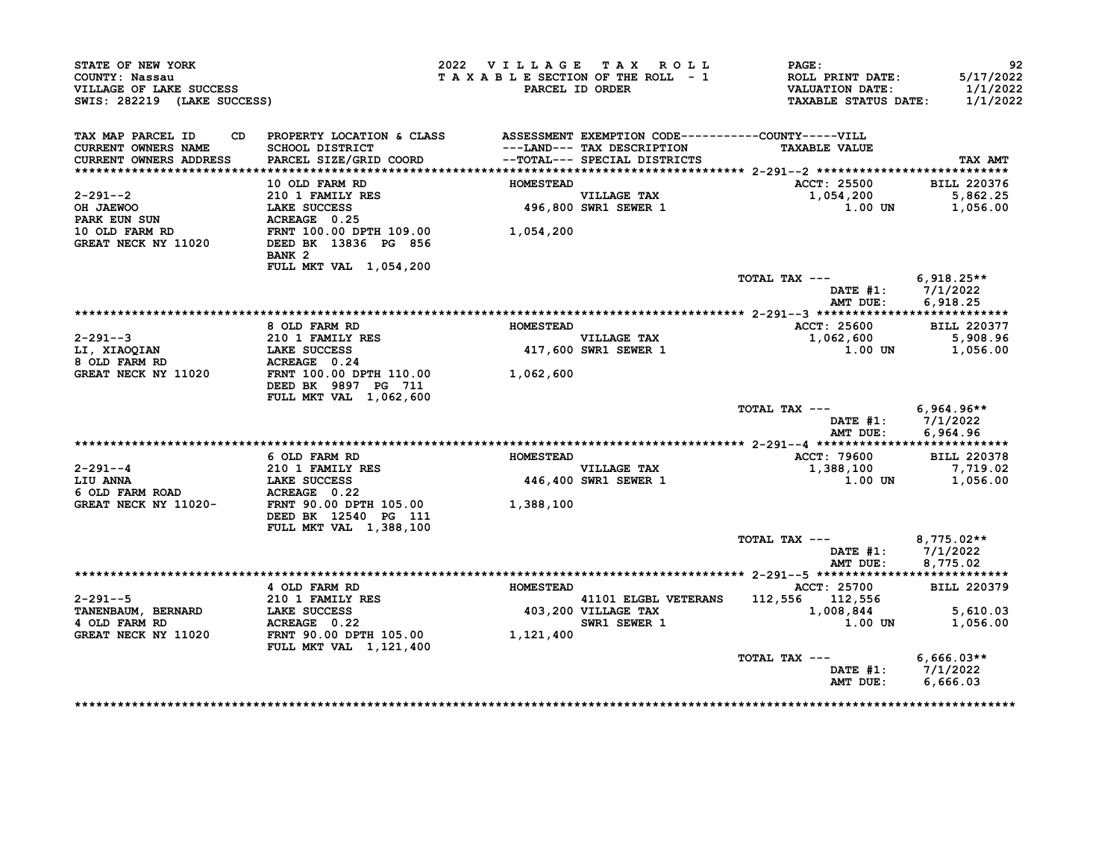| STATE OF NEW YORK<br>COUNTY: Nassau<br>VILLAGE OF LAKE SUCCESS<br>SWIS: 282219 (LAKE SUCCESS)                                                                                              |                                                                                                                                                                                                                                        | 2022 VILLAGE TAX ROLL |                                     | <b>PAGE :</b><br>TAXABLE SECTION OF THE ROLL - 1 ROLL PRINT DATE: 5/17/2022<br>PARCEL ID ORDER VALUATION DATE: 1/1/2022<br>TAXABLE STATUS DATE: 1/1/2022 | 92       |
|--------------------------------------------------------------------------------------------------------------------------------------------------------------------------------------------|----------------------------------------------------------------------------------------------------------------------------------------------------------------------------------------------------------------------------------------|-----------------------|-------------------------------------|----------------------------------------------------------------------------------------------------------------------------------------------------------|----------|
| TAX MAP PARCEL ID<br>CURRENT OWNERS NAME<br><b>CURRENT OWNERS ADDRESS</b>                                                                                                                  | CD PROPERTY LOCATION & CLASS ASSESSMENT EXEMPTION CODE----------COUNTY-----VILL<br>SCHOOL DISTRICT                                     ---LAND--- TAX DESCRIPTION<br>PARCEL SIZE/GRID COORD               --TOTAL--- SPECIAL DISTRICTS |                       |                                     | <b>TAXABLE VALUE</b>                                                                                                                                     | TAX AMT  |
|                                                                                                                                                                                            |                                                                                                                                                                                                                                        |                       |                                     |                                                                                                                                                          |          |
|                                                                                                                                                                                            | 10 OLD FARM RD                                                                                                                                                                                                                         | <b>HOMESTEAD</b>      |                                     | ACCT: 25500 BILL 220376                                                                                                                                  |          |
|                                                                                                                                                                                            |                                                                                                                                                                                                                                        |                       |                                     | 1,054,200 5,862.25<br>1.00 UN 1,056.00                                                                                                                   |          |
|                                                                                                                                                                                            | BANK <sub>2</sub><br>FULL MKT VAL 1,054,200                                                                                                                                                                                            |                       |                                     |                                                                                                                                                          |          |
|                                                                                                                                                                                            |                                                                                                                                                                                                                                        |                       |                                     | TOTAL TAX $---$ 6,918.25**<br>DATE #1: 7/1/2022<br>AMT DUE: 6,918.25                                                                                     |          |
|                                                                                                                                                                                            |                                                                                                                                                                                                                                        |                       |                                     |                                                                                                                                                          |          |
|                                                                                                                                                                                            | 8 OLD FARM RD                                                                                                                                                                                                                          | <b>HOMESTEAD</b>      |                                     | ACCT: 25600 BILL 220377                                                                                                                                  |          |
| 2-291--3<br>LI, XIAOQIAN 210 1 FAMILY RES<br>8 OLD FARM RD ACREAGE 0.24<br>ACREAGE 0.24                                                                                                    |                                                                                                                                                                                                                                        |                       |                                     | 1,062,600 5,908.96<br>1.00 0 1.00 1,056.00                                                                                                               |          |
|                                                                                                                                                                                            |                                                                                                                                                                                                                                        |                       |                                     |                                                                                                                                                          |          |
| GREAT NECK NY 11020<br>FRNT 11020<br>FRNT 100.00 DPTH 110.00<br>$T = 711$<br>TRNT 100.00<br>$T = 711$<br>TRNT 110.00                                                                       | DEED BK 9897 PG 711<br>FULL MKT VAL 1,062,600                                                                                                                                                                                          |                       |                                     |                                                                                                                                                          |          |
|                                                                                                                                                                                            |                                                                                                                                                                                                                                        |                       |                                     | TOTAL TAX --- 6,964.96**<br>DATE #1: 7/1/2022<br>AMT DUE:                                                                                                | 6,964.96 |
|                                                                                                                                                                                            |                                                                                                                                                                                                                                        |                       |                                     | ACCT: 79600 BILL 220378                                                                                                                                  |          |
|                                                                                                                                                                                            | 6 OLD FARM RD                                                                                                                                                                                                                          | <b>HOMESTEAD</b>      |                                     | 1,388,100                                                                                                                                                | 7,719.02 |
|                                                                                                                                                                                            |                                                                                                                                                                                                                                        |                       | VILLAGE TAX<br>446,400 SWR1 SEWER 1 | $1.00$ UN $1,056.00$                                                                                                                                     |          |
| 2-291--4<br>210 1 FAMILY RES<br>LIU ANNA<br>6 OLD FARM ROAD<br>GREAT NECK NY 11020-<br>CEED BK 12540 PG 111<br>210 1 FAMILY RES<br>446,400<br>446,400<br>1,388,100<br>DEED BK 12540 PG 111 | FULL MKT VAL 1,388,100                                                                                                                                                                                                                 |                       |                                     |                                                                                                                                                          |          |
|                                                                                                                                                                                            |                                                                                                                                                                                                                                        |                       |                                     | TOTAL TAX $---$ 8,775.02**<br>DATE #1: 7/1/2022<br>AMT DUE: 8,775.02                                                                                     |          |
|                                                                                                                                                                                            |                                                                                                                                                                                                                                        |                       |                                     |                                                                                                                                                          |          |
|                                                                                                                                                                                            | 4 OLD FARM RD                                                                                                                                                                                                                          |                       |                                     |                                                                                                                                                          |          |
|                                                                                                                                                                                            |                                                                                                                                                                                                                                        |                       |                                     | HOMESTEAD<br>403,200 VILLAGE TAX<br>EWER 1 2,556 112,556 112,556 5,610.03<br>SWR1 SEWER 1 1.00 UN<br>1,056.00                                            |          |
|                                                                                                                                                                                            | <b>FULL MKT VAL 1,121,400</b>                                                                                                                                                                                                          |                       |                                     |                                                                                                                                                          |          |
|                                                                                                                                                                                            |                                                                                                                                                                                                                                        |                       |                                     | TOTAL TAX --- 6,666.03**<br>DATE #1: 7/1/2022<br>AMT DUE: 6,666.03                                                                                       |          |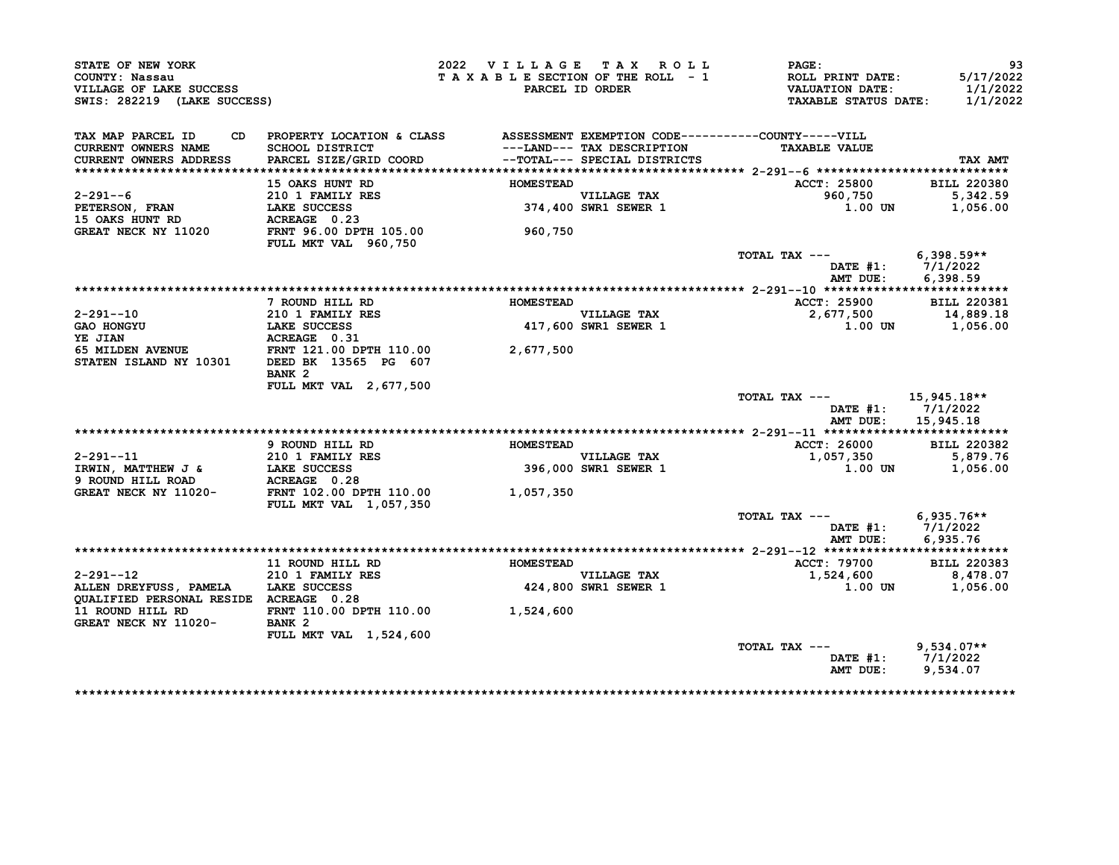| STATE OF NEW YORK<br>COUNTY: Nassau<br>VILLAGE OF LAKE SUCCESS<br>SWIS: 282219 (LAKE SUCCESS) |                                                                               | 2022 VILLAGE TAX ROLL<br>TAXABLE SECTION OF THE ROLL - 1 | PARCEL ID ORDER                                            | <b>PAGE :</b><br>ROLL PRINT DATE:<br><b>VALUATION DATE:</b><br><b>TAXABLE STATUS DATE:</b> | 93<br>5/17/2022<br>1/1/2022<br>1/1/2022 |
|-----------------------------------------------------------------------------------------------|-------------------------------------------------------------------------------|----------------------------------------------------------|------------------------------------------------------------|--------------------------------------------------------------------------------------------|-----------------------------------------|
| TAX MAP PARCEL ID<br>CD.                                                                      | PROPERTY LOCATION & CLASS ASSESSMENT EXEMPTION CODE-----------COUNTY-----VILL |                                                          |                                                            |                                                                                            |                                         |
| CURRENT OWNERS NAME<br>CURRENT OWNERS ADDRESS                                                 | SCHOOL DISTRICT<br>PARCEL SIZE/GRID COORD                                     |                                                          | ---LAND--- TAX DESCRIPTION<br>--TOTAL--- SPECIAL DISTRICTS | <b>TAXABLE VALUE</b>                                                                       | TAX AMT                                 |
|                                                                                               |                                                                               |                                                          |                                                            |                                                                                            |                                         |
|                                                                                               | 15 OAKS HUNT RD                                                               | <b>HOMESTEAD</b>                                         |                                                            | ACCT: 25800                                                                                | <b>BILL 220380</b>                      |
| $2 - 291 - -6$                                                                                | 210 1 FAMILY RES<br>LAKE SUCCESS                                              |                                                          | VILLAGE TAX<br>374,400 SWR1 SEWER 1                        | 960,750                                                                                    | 5,342.59                                |
| <b>PETERSON, FRAN</b>                                                                         | LAKE SUCCESS                                                                  |                                                          |                                                            | 1.00 UN                                                                                    | 1,056.00                                |
| <b>15 OAKS HUNT RD</b>                                                                        | ACREAGE 0.23                                                                  |                                                          |                                                            |                                                                                            |                                         |
| GREAT NECK NY 11020                                                                           | FRNT 96.00 DPTH 105.00<br>FULL MKT VAL 960,750                                | 960,750                                                  |                                                            |                                                                                            |                                         |
|                                                                                               |                                                                               |                                                          |                                                            | TOTAL TAX ---                                                                              | $6,398.59**$<br>DATE #1: 7/1/2022       |
|                                                                                               |                                                                               |                                                          |                                                            | AMT DUE:                                                                                   | 6,398.59                                |
|                                                                                               |                                                                               |                                                          |                                                            |                                                                                            |                                         |
|                                                                                               | 7 ROUND HILL RD                                                               | <b>HOMESTEAD</b>                                         |                                                            | ACCT: 25900                                                                                | <b>BILL 220381</b>                      |
| $2 - 291 - -10$                                                                               | 210 1 FAMILY RES<br>LAKE SUCCESS                                              |                                                          | <b>VILLAGE TAX</b>                                         | 2,677,500                                                                                  | 14,889.18                               |
| <b>GAO HONGYU</b>                                                                             |                                                                               |                                                          | 417,600 SWR1 SEWER 1                                       | 1.00 UN                                                                                    | 1,056.00                                |
| YE JIAN                                                                                       | ACREAGE 0.31                                                                  |                                                          |                                                            |                                                                                            |                                         |
| <b>65 MILDEN AVENUE<br/>STATEN ISLAND NY 10301</b>                                            | FRNT 121.00 DPTH 110.00<br>DEED BK 13565 PG 607                               | 2,677,500                                                |                                                            |                                                                                            |                                         |
|                                                                                               | BANK <sub>2</sub>                                                             |                                                          |                                                            |                                                                                            |                                         |
|                                                                                               | <b>FULL MKT VAL 2,677,500</b>                                                 |                                                          |                                                            |                                                                                            |                                         |
|                                                                                               |                                                                               |                                                          |                                                            | TOTAL TAX ---<br>DATE #1:<br>AMT DUE:                                                      | 15,945.18**<br>7/1/2022                 |
|                                                                                               |                                                                               |                                                          |                                                            |                                                                                            | 15,945.18                               |
|                                                                                               | 9 ROUND HILL RD                                                               | <b>HOMESTEAD</b>                                         |                                                            | ACCT: 26000                                                                                | <b>BILL 220382</b>                      |
| $2 - 291 - -11$                                                                               | 210 1 FAMILY RES                                                              | $\overline{\phantom{a}}$                                 | <b>VILLAGE TAX</b>                                         | 1,057,350                                                                                  | 5,879.76                                |
| IRWIN, MATTHEW J &                                                                            |                                                                               |                                                          | 396,000 SWR1 SEWER 1                                       | 1.00 UN                                                                                    | 1,056.00                                |
| 9 ROUND HILL ROAD                                                                             | <b>LAKE SUCCESS<br/>ACREAGE 0.28</b>                                          |                                                          |                                                            |                                                                                            |                                         |
| GREAT NECK NY 11020-                                                                          | FRNT 102.00 DPTH 110.00<br><b>FULL MKT VAL 1,057,350</b>                      | 1,057,350                                                |                                                            |                                                                                            |                                         |
|                                                                                               |                                                                               |                                                          |                                                            | TOTAL TAX ---                                                                              | $6,935.76**$                            |
|                                                                                               |                                                                               |                                                          |                                                            | DATE #1:                                                                                   | 7/1/2022                                |
|                                                                                               |                                                                               |                                                          |                                                            | AMT DUE:                                                                                   | 6,935.76                                |
|                                                                                               |                                                                               |                                                          |                                                            |                                                                                            |                                         |
|                                                                                               | 11 ROUND HILL RD                                                              | <b>HOMESTEAD</b>                                         |                                                            | <b>ACCT: 79700</b>                                                                         | <b>BILL 220383</b>                      |
| $2 - 291 - -12$                                                                               | 210 1 FAMILY RES                                                              |                                                          | <b>VILLAGE TAX</b>                                         | 1,524,600                                                                                  | 8,478.07                                |
| ALLEN DREYFUSS, PAMELA                                                                        | LAKE SUCCESS                                                                  |                                                          | 424,800 SWR1 SEWER 1                                       | 1.00 UN                                                                                    | 1,056.00                                |
| QUALIFIED PERSONAL RESIDE ACREAGE 0.28                                                        |                                                                               |                                                          |                                                            |                                                                                            |                                         |
| 11 ROUND HILL RD                                                                              | FRNT 110.00 DPTH 110.00 1,524,600                                             |                                                          |                                                            |                                                                                            |                                         |
| GREAT NECK NY 11020-                                                                          | BANK <sub>2</sub>                                                             |                                                          |                                                            |                                                                                            |                                         |
|                                                                                               | <b>FULL MKT VAL 1,524,600</b>                                                 |                                                          |                                                            |                                                                                            |                                         |
|                                                                                               |                                                                               |                                                          |                                                            |                                                                                            |                                         |
|                                                                                               |                                                                               |                                                          |                                                            | TOTAL TAX ---                                                                              | $9,534.07**$<br>DATE #1: 7/1/2022       |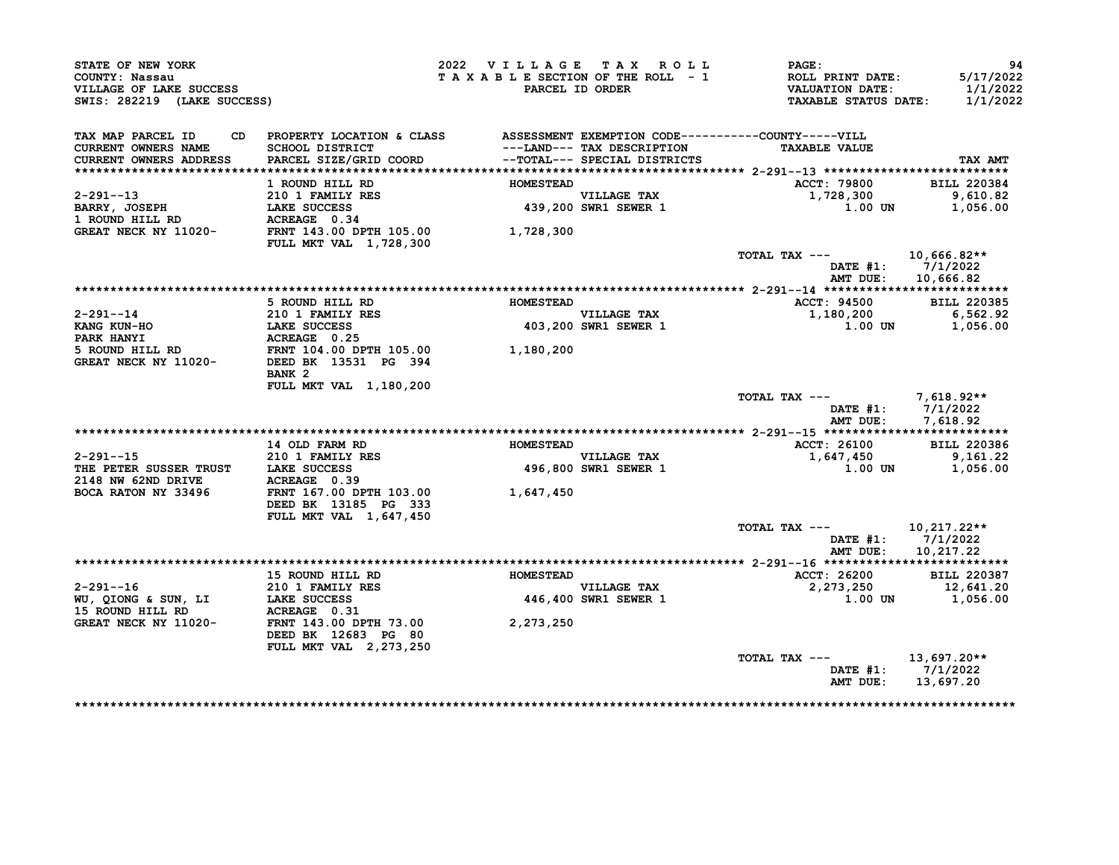| STATE OF NEW YORK<br>COUNTY: Nassau<br>VILLAGE OF LAKE SUCCESS<br>SWIS: 282219 (LAKE SUCCESS)                                                         |                                                                                            | 2022 VILLAGE TAX ROLL<br>TAXABLE SECTION OF THE ROLL - 1 | PARCEL ID ORDER                                           | $\mathtt{PAGE}$ :<br>ROLL PRINT DATE:<br>VALUATION DATE:<br><b>TAXABLE STATUS DATE:</b> | 94<br>5/17/2022<br>1/1/2022<br>1/1/2022 |
|-------------------------------------------------------------------------------------------------------------------------------------------------------|--------------------------------------------------------------------------------------------|----------------------------------------------------------|-----------------------------------------------------------|-----------------------------------------------------------------------------------------|-----------------------------------------|
| TAX MAP PARCEL ID                                                                                                                                     | CD PROPERTY LOCATION & CLASS ASSESSMENT EXEMPTION CODE----------COUNTY-----VILL            |                                                          |                                                           |                                                                                         |                                         |
| CURRENT OWNERS NAME                                                                                                                                   | SCHOOL DISTRICT<br>PARCEL SIZE/GRID COORD                     --TOTAL--- SPECIAL DISTRICTS |                                                          |                                                           | <b>TAXABLE VALUE</b>                                                                    |                                         |
| <b>CURRENT OWNERS ADDRESS</b>                                                                                                                         |                                                                                            |                                                          |                                                           |                                                                                         | TAX AMT                                 |
|                                                                                                                                                       | 1 ROUND HILL RD                                                                            | <b>HOMESTEAD</b>                                         |                                                           | <b>ACCT: 79800</b>                                                                      | <b>BILL 220384</b>                      |
|                                                                                                                                                       |                                                                                            |                                                          |                                                           | 1,728,300                                                                               | 9,610.82                                |
|                                                                                                                                                       |                                                                                            |                                                          | VILLAGE TAX<br>439,200 SWR1 SEWER 1                       |                                                                                         | 1.00 UN 1,056.00                        |
|                                                                                                                                                       |                                                                                            |                                                          |                                                           |                                                                                         |                                         |
| 2-291--13<br>BARRY, JOSEPH 210 I FAMILY RES<br>1 ROUND HILL RD ACREAGE 0.34<br>GREAT NECK NY 11020-<br>FRNT 143.00 DPTH 105.00 1,728,300              | <b>FULL MKT VAL 1,728,300</b>                                                              |                                                          |                                                           |                                                                                         |                                         |
|                                                                                                                                                       |                                                                                            |                                                          |                                                           | TOTAL TAX --- $10,666.82**$                                                             |                                         |
|                                                                                                                                                       |                                                                                            |                                                          |                                                           |                                                                                         | DATE #1: 7/1/2022                       |
|                                                                                                                                                       |                                                                                            |                                                          |                                                           |                                                                                         | AMT DUE: 10,666.82                      |
|                                                                                                                                                       |                                                                                            |                                                          |                                                           |                                                                                         |                                         |
|                                                                                                                                                       | 5 ROUND HILL RD                                                                            | <b>HOMESTEAD</b>                                         |                                                           | ACCT: 94500 BILL 220385                                                                 |                                         |
|                                                                                                                                                       |                                                                                            |                                                          | <b>VILLAGE TAX</b><br>VILLAGE TAX<br>403,200 SWR1 SEWER 1 | 1,180,200 6,562.92                                                                      |                                         |
|                                                                                                                                                       |                                                                                            |                                                          |                                                           |                                                                                         | $1.00$ UN $1,056.00$                    |
|                                                                                                                                                       |                                                                                            |                                                          |                                                           |                                                                                         |                                         |
|                                                                                                                                                       |                                                                                            |                                                          |                                                           |                                                                                         |                                         |
|                                                                                                                                                       | BANK 2                                                                                     |                                                          |                                                           |                                                                                         |                                         |
|                                                                                                                                                       | FULL MKT VAL 1,180,200                                                                     |                                                          |                                                           |                                                                                         |                                         |
|                                                                                                                                                       |                                                                                            |                                                          |                                                           | TOTAL TAX $---$ 7,618.92**                                                              |                                         |
|                                                                                                                                                       |                                                                                            |                                                          |                                                           |                                                                                         | DATE #1: 7/1/2022                       |
|                                                                                                                                                       |                                                                                            |                                                          |                                                           |                                                                                         | AMT DUE: 7,618.92                       |
|                                                                                                                                                       |                                                                                            |                                                          |                                                           |                                                                                         |                                         |
|                                                                                                                                                       | 14 OLD FARM RD                                                                             | <b>HOMESTEAD</b>                                         |                                                           | ACCT: 26100 BILL 220386                                                                 |                                         |
| 2-291--15<br>THE PETER SUSSER TRUST<br>2148 NW 62ND DRIVE<br>2000 BALCON WY 22106                                                                     |                                                                                            |                                                          | VILLAGE TAX<br>496,800 SWR1 SEWER 1                       | 1,647,450                                                                               | 9,161.22                                |
|                                                                                                                                                       |                                                                                            |                                                          |                                                           |                                                                                         | 1.00 UN 1,056.00                        |
| BOCA RATON NY 33496                                                                                                                                   | FRNT 167.00 DPTH 103.00 1,647,450                                                          |                                                          |                                                           |                                                                                         |                                         |
|                                                                                                                                                       | DEED BK 13185 PG 333                                                                       |                                                          |                                                           |                                                                                         |                                         |
|                                                                                                                                                       | FULL MKT VAL 1,647,450                                                                     |                                                          |                                                           |                                                                                         |                                         |
|                                                                                                                                                       |                                                                                            |                                                          |                                                           | TOTAL TAX ---                                                                           | 10,217.22**                             |
|                                                                                                                                                       |                                                                                            |                                                          |                                                           |                                                                                         | DATE $#1: 7/1/2022$                     |
|                                                                                                                                                       |                                                                                            |                                                          |                                                           |                                                                                         | AMT DUE: 10,217.22                      |
|                                                                                                                                                       |                                                                                            |                                                          |                                                           |                                                                                         |                                         |
|                                                                                                                                                       | 15 ROUND HILL RD MOMESTEAD                                                                 |                                                          |                                                           | ACCT: 26200 BILL 220387                                                                 |                                         |
|                                                                                                                                                       |                                                                                            |                                                          | VILLAGE TAX<br>446,400 SWR1 SEWER 1                       | 2,273,250                                                                               | 12,641.20                               |
|                                                                                                                                                       |                                                                                            |                                                          |                                                           |                                                                                         | $1.00$ UN $1,056.00$                    |
| 2-291--16<br>WU, QIONG & SUN, LI LAKE SUCCESS 446,400<br>15 ROUND HILL RD ACREAGE 0.31<br>GREAT NECK NY 11020-<br>FRNT 143.00 DPTH 73.00<br>2,273,250 |                                                                                            |                                                          |                                                           |                                                                                         |                                         |
|                                                                                                                                                       | DEED BK 12683 PG 80                                                                        |                                                          |                                                           |                                                                                         |                                         |
|                                                                                                                                                       |                                                                                            |                                                          |                                                           |                                                                                         |                                         |
|                                                                                                                                                       |                                                                                            |                                                          |                                                           |                                                                                         |                                         |
|                                                                                                                                                       | FULL MKT VAL 2, 273, 250                                                                   |                                                          |                                                           |                                                                                         |                                         |
|                                                                                                                                                       |                                                                                            |                                                          |                                                           | TOTAL TAX $---$ 13,697.20**                                                             | DATE #1: 7/1/2022                       |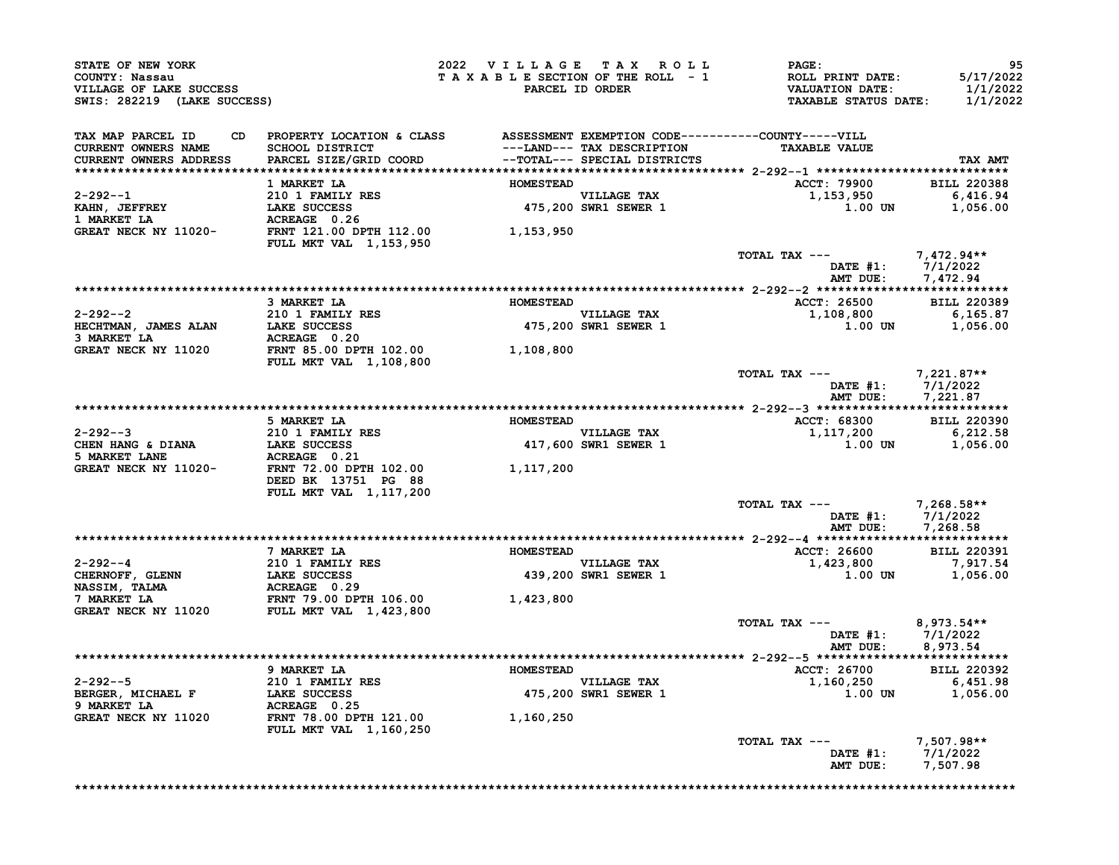| STATE OF NEW YORK<br>COUNTY: Nassau<br>VILLAGE OF LAKE SUCCESS<br>SWIS: 282219 (LAKE SUCCESS)                                        |                                                                                 |                  | 2022 VILLAGE TAX ROLL<br>TAXABLE SECTION OF THE ROLL - 1<br>PARCEL ID ORDER | $\mathtt{PAGE}$ :<br>ROLL PRINT DATE:<br><b>VALUATION DATE:</b><br><b>TAXABLE STATUS DATE:</b> | 95<br>5/17/2022<br>1/1/2022<br>1/1/2022 |
|--------------------------------------------------------------------------------------------------------------------------------------|---------------------------------------------------------------------------------|------------------|-----------------------------------------------------------------------------|------------------------------------------------------------------------------------------------|-----------------------------------------|
|                                                                                                                                      |                                                                                 |                  |                                                                             |                                                                                                |                                         |
| TAX MAP PARCEL ID                                                                                                                    | CD PROPERTY LOCATION & CLASS ASSESSMENT EXEMPTION CODE----------COUNTY-----VILL |                  |                                                                             |                                                                                                |                                         |
| <b>CURRENT OWNERS NAME</b>                                                                                                           | SCHOOL DISTRICT<br>PARCEL SIZE/GRID COORD                                       |                  | ---LAND--- TAX DESCRIPTION<br>--TOTAL--- SPECIAL DISTRICTS                  | <b>TAXABLE VALUE</b>                                                                           |                                         |
| CURRENT OWNERS ADDRESS                                                                                                               |                                                                                 |                  |                                                                             |                                                                                                | TAX AMT                                 |
|                                                                                                                                      |                                                                                 |                  |                                                                             |                                                                                                |                                         |
|                                                                                                                                      | 1 MARKET LA                                                                     | <b>HOMESTEAD</b> |                                                                             | ACCT: 79900 BILL 220388                                                                        |                                         |
|                                                                                                                                      |                                                                                 |                  | VILLAGE TAX<br>475,200 SWR1 SEWER 1                                         | 1,153,950<br>1.00 UN                                                                           | 6,416.94<br>1,056.00                    |
|                                                                                                                                      |                                                                                 |                  |                                                                             |                                                                                                |                                         |
| 2-292--1<br>XAHN, JEFFREY 10 1 FAMILY RES<br>1 MARKET LA (ACREAGE 0.26)<br>GREAT NECK NY 11020-<br>FRNT 121.00 DPTH 112.00 1,153,950 | FULL MKT VAL 1,153,950                                                          |                  |                                                                             |                                                                                                |                                         |
|                                                                                                                                      |                                                                                 |                  |                                                                             | TOTAL TAX ---                                                                                  | 7,472.94**                              |
|                                                                                                                                      |                                                                                 |                  |                                                                             | DATE #1: 7/1/2022<br>AMT DUE: 7,472.94                                                         |                                         |
|                                                                                                                                      |                                                                                 |                  |                                                                             |                                                                                                |                                         |
|                                                                                                                                      | 3 MARKET LA                                                                     | <b>HOMESTEAD</b> |                                                                             | ACCT: 26500 BILL 220389                                                                        |                                         |
|                                                                                                                                      |                                                                                 |                  | <b>VILLAGE TAX</b>                                                          | 1,108,800                                                                                      | 6,165.87                                |
| $210$ T FAMILY RES<br>HECHTMAN, JAMES ALAN LAKE SUCCESS<br>3 MARKET LA                                                               | ACREAGE 0.20<br>ACREAGE 0.20<br>FRNT 85.00 DPTH 102.00 1,108,800                |                  | 475,200 SWR1 SEWER 1                                                        | $1.00$ UN                                                                                      | 1,056.00                                |
| <b>GREAT NECK NY 11020</b>                                                                                                           | <b>FULL MKT VAL 1,108,800</b>                                                   |                  |                                                                             |                                                                                                |                                         |
|                                                                                                                                      |                                                                                 |                  |                                                                             | TOTAL TAX ---<br>DATE #1: 7/1/2022<br>AMT DUE: 7,221.87                                        | 7,221.87**                              |
|                                                                                                                                      |                                                                                 |                  |                                                                             |                                                                                                | 7,221.87                                |
|                                                                                                                                      |                                                                                 |                  |                                                                             |                                                                                                |                                         |
|                                                                                                                                      | 5 MARKET LA                                                                     | <b>HOMESTEAD</b> |                                                                             | ACCT: 68300 BILL 220390                                                                        |                                         |
|                                                                                                                                      |                                                                                 |                  | VILLAGE TAX<br>417,600 SWR1 SEWER 1                                         | 1,117,200                                                                                      | 6,212.58                                |
| 2-292--3<br>CHEN HANG & DIANA<br>5 MARKET LANE<br>5 MARKET LANE<br>GREAT NECK NY 11020-<br>FRNT 72.00 DPTH 102.00                    |                                                                                 |                  |                                                                             | 1.00 UN                                                                                        | 1,056.00                                |
|                                                                                                                                      | DEED BK 13751 PG 88<br>FULL MKT VAL 1, 117, 200                                 | 1,117,200        |                                                                             |                                                                                                |                                         |
|                                                                                                                                      |                                                                                 |                  |                                                                             | TOTAL TAX ---                                                                                  | 7,268.58**                              |
|                                                                                                                                      |                                                                                 |                  |                                                                             | DATE #1: 7/1/2022                                                                              |                                         |
|                                                                                                                                      |                                                                                 |                  |                                                                             | AMT DUE: 7,268.58                                                                              |                                         |
|                                                                                                                                      |                                                                                 |                  |                                                                             |                                                                                                |                                         |
|                                                                                                                                      | 7 MARKET LA                                                                     | <b>HOMESTEAD</b> |                                                                             | ACCT: 26600                                                                                    | <b>BILL 220391</b>                      |
| $2 - 292 - -4$                                                                                                                       |                                                                                 |                  | VILLAGE TAX<br>439,200 SWR1 SEWER 1                                         | 1,423,800                                                                                      | 7,917.54                                |
| CHERNOFF, GLENN                                                                                                                      |                                                                                 |                  |                                                                             | 1.00 UN                                                                                        | 1,056.00                                |
| <b>NASSIM, TALMA</b>                                                                                                                 |                                                                                 |                  |                                                                             |                                                                                                |                                         |
| 7 MARKET LA                                                                                                                          | 210 1 FAMILY RES<br>LAKE SUCCESS<br>ACREAGE 0.29<br>FRNT 79.00 DPTH 106.00      | 1,423,800        |                                                                             |                                                                                                |                                         |
| GREAT NECK NY 11020 FULL MKT VAL 1,423,800                                                                                           |                                                                                 |                  |                                                                             |                                                                                                |                                         |
|                                                                                                                                      |                                                                                 |                  |                                                                             | TOTAL TAX ---<br>DATE $#1: 7/1/2022$<br>AMT DUE:                                               | $8,973.54**$<br>8,973.54                |
|                                                                                                                                      |                                                                                 |                  |                                                                             |                                                                                                |                                         |
|                                                                                                                                      | 9 MARKET LA                                                                     | <b>HOMESTEAD</b> |                                                                             | <b>ACCT: 26700</b>                                                                             | <b>BILL 220392</b>                      |
| $2 - 292 - -5$                                                                                                                       | 210 1 FAMILY RES                                                                |                  |                                                                             | 1,160,250                                                                                      | 6,451.98                                |
| BERGER, MICHAEL F                                                                                                                    | 210 1 FAMILY RES<br>LAKE SUCCESS<br>- --- -- - - - - - -                        |                  | VILLAGE TAX<br>475,200 SWR1 SEWER 1                                         | 1.00 UN                                                                                        | 1,056.00                                |
| 9 MARKET LA                                                                                                                          | ACREAGE 0.25                                                                    |                  |                                                                             |                                                                                                |                                         |
| GREAT NECK NY 11020                                                                                                                  | FRNT 78.00 DPTH 121.00<br><b>FULL MKT VAL 1,160,250</b>                         | 1,160,250        |                                                                             |                                                                                                |                                         |
|                                                                                                                                      |                                                                                 |                  |                                                                             | TOTAL TAX ---                                                                                  | $7,507.98**$                            |
|                                                                                                                                      |                                                                                 |                  |                                                                             | DATE $#1: 7/1/2022$<br>AMT DUE:                                                                | 7,507.98                                |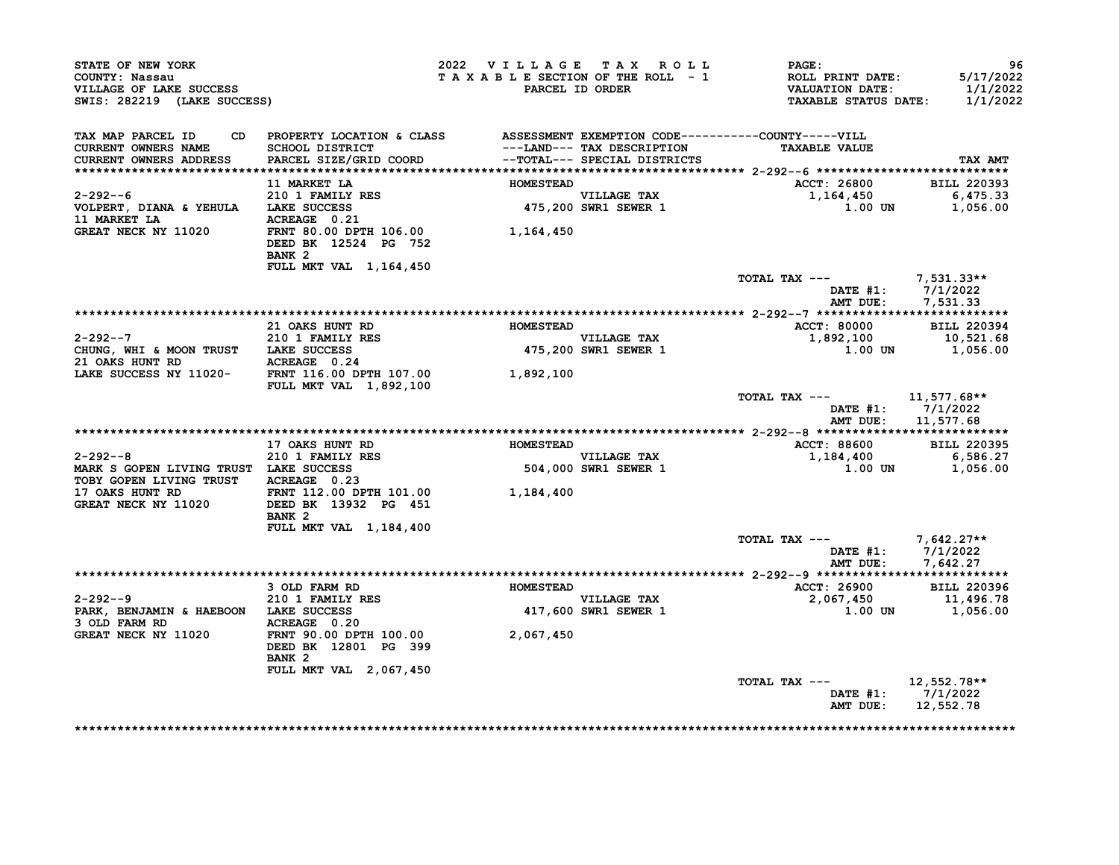| STATE OF NEW YORK<br>COUNTY: Nassau<br>VILLAGE OF LAKE SUCCESS<br>SWIS: 282219 (LAKE SUCCESS)   |                                                                                                    | 2022 VILLAGE TAX ROLL | TAXABLE SECTION OF THE ROLL - 1<br>PARCEL ID ORDER | <b>PAGE :</b><br>ROLL PRINT DATE:<br>VALUATION DATE:<br><b>TAXABLE STATUS DATE:</b> | 96<br>5/17/2022<br>1/1/2022<br>1/1/2022 |
|-------------------------------------------------------------------------------------------------|----------------------------------------------------------------------------------------------------|-----------------------|----------------------------------------------------|-------------------------------------------------------------------------------------|-----------------------------------------|
| TAX MAP PARCEL ID<br>CURRENT OWNERS NAME                                                        | CD PROPERTY LOCATION & CLASS ASSESSMENT EXEMPTION CODE----------COUNTY-----VILL<br>SCHOOL DISTRICT |                       | ---LAND--- TAX DESCRIPTION                         | <b>TAXABLE VALUE</b>                                                                |                                         |
| CURRENT OWNERS ADDRESS                                                                          | PARCEL SIZE/GRID COORD --TOTAL--- SPECIAL DISTRICTS                                                |                       |                                                    |                                                                                     | TAX AMT                                 |
|                                                                                                 | <b>11 MARKET LA</b>                                                                                | <b>HOMESTEAD</b>      |                                                    | <b>ACCT: 26800</b>                                                                  | <b>BILL 220393</b>                      |
| $2 - 292 - -6$                                                                                  | 210 1 FAMILY RES                                                                                   |                       |                                                    |                                                                                     |                                         |
| VOLPERT, DIANA & YEHULA LAKE SUCCESS<br>11 MARKET LA <b>ACREAGE</b> 0.21                        |                                                                                                    |                       | VILLAGE TAX<br>475,200 SWR1 SEWER 1                | 1.00 UN                                                                             |                                         |
| GREAT NECK NY 11020                                                                             | FRNT 80.00 DPTH 106.00 1,164,450<br>DEED BK 12524 PG 752<br>BANK <sub>2</sub>                      |                       |                                                    |                                                                                     |                                         |
|                                                                                                 | FULL MKT VAL 1,164,450                                                                             |                       |                                                    | TOTAL TAX --- $7,531.33**$                                                          |                                         |
|                                                                                                 |                                                                                                    |                       |                                                    |                                                                                     | DATE #1: 7/1/2022<br>AMT DUE: 7,531.33  |
|                                                                                                 |                                                                                                    |                       |                                                    |                                                                                     |                                         |
|                                                                                                 | 21 OAKS HUNT RD                                                                                    | <b>HOMESTEAD</b>      |                                                    | ACCT: 80000 BILL 220394                                                             |                                         |
| $2 - 292 - -7$                                                                                  | 210 1 FAMILY RES                                                                                   |                       | <b>VILLAGE TAX</b><br>475,200 SWR1 SEWER 1         | 1,892,100 10,521.68<br>1.00 UN 1,056.00                                             |                                         |
| CHUNG, WHI & MOON TRUST LAKE SUCCESS<br>21 OAKS HUNT RD ACREAGE 0.24                            |                                                                                                    |                       |                                                    |                                                                                     |                                         |
| LAKE SUCCESS NY 11020-<br>FIII. MKT VAL. 1 892 100<br>FIII. MKT VAL. 1 892 100                  | <b>FULL MKT VAL 1,892,100</b>                                                                      |                       |                                                    |                                                                                     |                                         |
|                                                                                                 |                                                                                                    |                       |                                                    | TOTAL TAX --- $11,577.68**$<br>AMT DUE:                                             | DATE $#1: 7/1/2022$<br>11,577.68        |
|                                                                                                 |                                                                                                    |                       |                                                    |                                                                                     |                                         |
| 2-292--8                                                                                        | 17 OAKS HUNT RD<br>210 1 FAMILY RES                                                                | <b>HOMESTEAD</b>      |                                                    | ACCT: 88600 BILL 220395                                                             |                                         |
| MARK S GOPEN LIVING TRUST LAKE SUCCESS                                                          |                                                                                                    |                       | VILLAGE TAX<br>504,000 SWR1 SEWER 1                | $1,184,400$<br>$1,00$ UN $1,056.00$                                                 |                                         |
| TOBY GOPEN LIVING TRUST ACREAGE 0.23                                                            |                                                                                                    |                       |                                                    |                                                                                     |                                         |
| 17 OAKS HUNT RD FRNT 112.00 DPTH 101.00 $1,184,400$<br>GREAT NECK NY 11020 DEED BK 13932 PG 451 |                                                                                                    |                       |                                                    |                                                                                     |                                         |
|                                                                                                 | BANK <sub>2</sub>                                                                                  |                       |                                                    |                                                                                     |                                         |
|                                                                                                 | FULL MKT VAL 1, 184, 400                                                                           |                       |                                                    |                                                                                     |                                         |
|                                                                                                 |                                                                                                    |                       |                                                    | TOTAL TAX ---<br>DATE #1: 7/1/2022                                                  | AMT DUE: 7,642.27                       |
|                                                                                                 |                                                                                                    |                       |                                                    |                                                                                     |                                         |
|                                                                                                 | 3 OLD FARM RD                                                                                      | <b>HOMESTEAD</b>      |                                                    | ACCT: 26900                                                                         | <b>BILL 220396</b>                      |
| 2-292--9 210 1 FAMILY RES<br>PARK, BENJAMIN & HAEBOON LAKE SUCCESS                              |                                                                                                    |                       | VILLAGE TAX                                        | $2,067,450$<br>$11,496.78$<br>$1.956.00$                                            |                                         |
| 3 OLD FARM RD                                                                                   | ACREAGE 0.20                                                                                       |                       | 417,600 SWR1 SEWER 1                               | 1.00 UN                                                                             | 1,056.00                                |
| GREAT NECK NY 11020 FRNT 90.00 DPTH 100.00                                                      | DEED BK 12801 PG 399<br>BANK <sub>2</sub>                                                          | 2,067,450             |                                                    |                                                                                     |                                         |
|                                                                                                 | FULL MKT VAL 2,067,450                                                                             |                       |                                                    |                                                                                     |                                         |
|                                                                                                 |                                                                                                    |                       |                                                    | TOTAL TAX --- 12,552.78**                                                           | DATE #1: 7/1/2022<br>AMT DUE: 12,552.78 |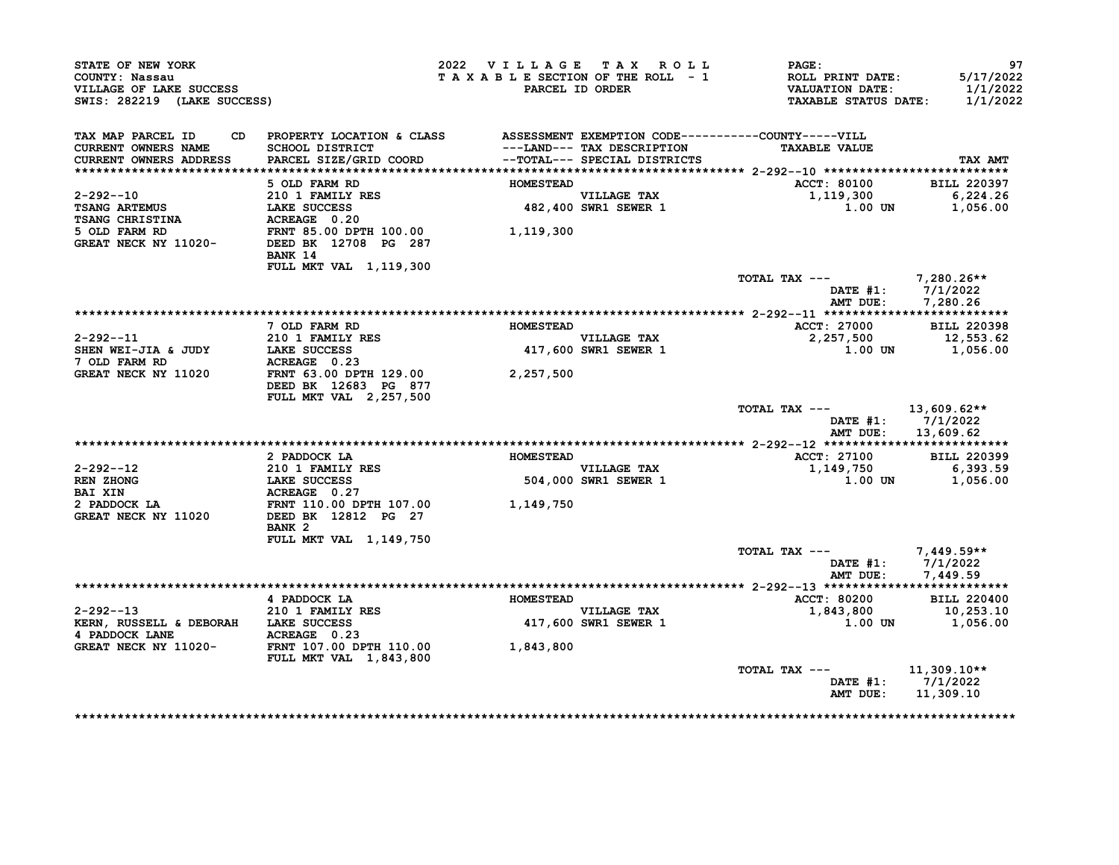| STATE OF NEW YORK<br>COUNTY: Nassau<br>VILLAGE OF LAKE SUCCESS<br>SWIS: 282219 (LAKE SUCCESS)                                                                                                                                      |                                                                                     | 2022 VILLAGE TAX ROLL<br>TAXABLE SECTION OF THE ROLL - 1 | PARCEL ID ORDER                            | <b>PAGE:</b><br>ROLL PRINT DATE:<br>VALUATION DATE:<br><b>TAXABLE STATUS DATE:</b> | 97<br>5/17/2022<br>1/1/2022<br>1/1/2022         |
|------------------------------------------------------------------------------------------------------------------------------------------------------------------------------------------------------------------------------------|-------------------------------------------------------------------------------------|----------------------------------------------------------|--------------------------------------------|------------------------------------------------------------------------------------|-------------------------------------------------|
| TAX MAP PARCEL ID<br><b>CURRENT OWNERS NAME</b><br><b>CURRENT OWNERS ADDRESS</b>                                                                                                                                                   | CD PROPERTY LOCATION & CLASS ASSESSMENT EXEMPTION CODE----------COUNTY-----VILL     |                                                          | ---LAND--- TAX DESCRIPTION                 | <b>TAXABLE VALUE</b>                                                               | TAX AMT                                         |
|                                                                                                                                                                                                                                    |                                                                                     |                                                          |                                            |                                                                                    |                                                 |
| $2 - 292 - 10$<br><b>TSANG ARTEMUS</b>                                                                                                                                                                                             | 5 OLD FARM RD<br>210 1 FAMILY RES<br><b>LAKE SUCCESS</b>                            | <b>HOMESTEAD</b>                                         | VILLAGE TAX<br>482,400 SWR1 SEWER 1        | <b>ACCT: 80100</b><br>1,119,300<br>1.00 UN                                         | <b>BILL 220397</b><br>6,224.26<br>1,056.00      |
| <b>TSANG CHRISTINA<br/>5 OLD FARM RD</b><br>5 OLD FARM RD<br>GREAT NECK NY 11020-<br>DEED BK 12708 PG 287                                                                                                                          | $ACREAGE \t0.20$<br>BANK 14<br>FULL MKT VAL 1, 119, 300                             | 1,119,300                                                |                                            |                                                                                    |                                                 |
|                                                                                                                                                                                                                                    |                                                                                     |                                                          |                                            | TOTAL TAX --- 7,280.26**<br>AMT DUE:                                               | DATE #1: 7/1/2022<br>7,280.26                   |
|                                                                                                                                                                                                                                    |                                                                                     |                                                          |                                            |                                                                                    |                                                 |
|                                                                                                                                                                                                                                    | 7 OLD FARM RD                                                                       | <b>HOMESTEAD</b>                                         |                                            | <b>ACCT: 27000</b>                                                                 | <b>BILL 220398</b>                              |
| $2 - 292 - -11$<br>SHEN WEI-JIA & JUDY<br>7 OLD FARM RD                                                                                                                                                                            | 210 1 FAMILY RES<br><b>LAKE SUCCESS<br/>ACREAGE 0.23<br/>FRNT 63.00 DPTH 129.00</b> |                                                          | VILLAGE TAX<br>417,600 SWR1 SEWER 1        | 2,257,500                                                                          | 12,553.62<br>$1.00$ UN $1.056.00$               |
| GREAT NECK NY 11020                                                                                                                                                                                                                | DEED BK 12683 PG 877<br><b>FULL MKT VAL 2,257,500</b>                               | 2,257,500                                                |                                            |                                                                                    |                                                 |
|                                                                                                                                                                                                                                    |                                                                                     |                                                          |                                            | TOTAL TAX ---<br>AMT DUE:                                                          | $13,609.62**$<br>DATE #1: 7/1/2022<br>13,609.62 |
|                                                                                                                                                                                                                                    |                                                                                     |                                                          |                                            |                                                                                    |                                                 |
|                                                                                                                                                                                                                                    | 2 PADDOCK LA                                                                        | <b>HOMESTEAD</b>                                         |                                            | <b>ACCT: 27100</b>                                                                 | <b>BILL 220399</b>                              |
|                                                                                                                                                                                                                                    |                                                                                     |                                                          | <b>VILLAGE TAX</b><br>504,000 SWR1 SEWER 1 | 1,149,750<br>1.00 UN                                                               | 6,393.59<br>1,056.00                            |
| 2-292--12<br>REN ZHONG<br>REN ZHONG<br>DAI XIN<br>2 PADDOCK LA<br>2 PADDOCK LA<br>GREAT NECK NY 11020<br>DEED BK 12812 PG 27<br>2 PADDOCK LA<br>FRNT 110.00 DPTH 107.00<br>1,149,750<br>CREAT NECK NY 11020<br>DEED BK 12812 PG 27 | BANK <sub>2</sub>                                                                   |                                                          |                                            |                                                                                    |                                                 |
|                                                                                                                                                                                                                                    | FULL MKT VAL 1,149,750                                                              |                                                          |                                            | TOTAL TAX --- $7,449.59**$                                                         |                                                 |
|                                                                                                                                                                                                                                    |                                                                                     |                                                          |                                            | AMT DUE:                                                                           | DATE $#1: 7/1/2022$<br>7,449.59                 |
|                                                                                                                                                                                                                                    | 4 PADDOCK LA                                                                        | <b>HOMESTEAD</b>                                         |                                            | ACCT: 80200                                                                        | <b>BILL 220400</b>                              |
| $2 - 292 - -13$<br>KERN, RUSSELL & DEBORAH LAKE SUCCESS                                                                                                                                                                            | 210 1 FAMILY RES                                                                    |                                                          | VILLAGE TAX<br>417,600 SWR1 SEWER 1        | 1,843,800<br>1.00 UN                                                               | 10,253.10<br>1,056.00                           |
|                                                                                                                                                                                                                                    | <b>FULL MKT VAL 1,843,800</b>                                                       | 1,843,800                                                |                                            |                                                                                    |                                                 |
|                                                                                                                                                                                                                                    |                                                                                     |                                                          |                                            | TOTAL TAX ---<br>AMT DUE:                                                          | 11,309.10**<br>DATE $#1: 7/1/2022$<br>11,309.10 |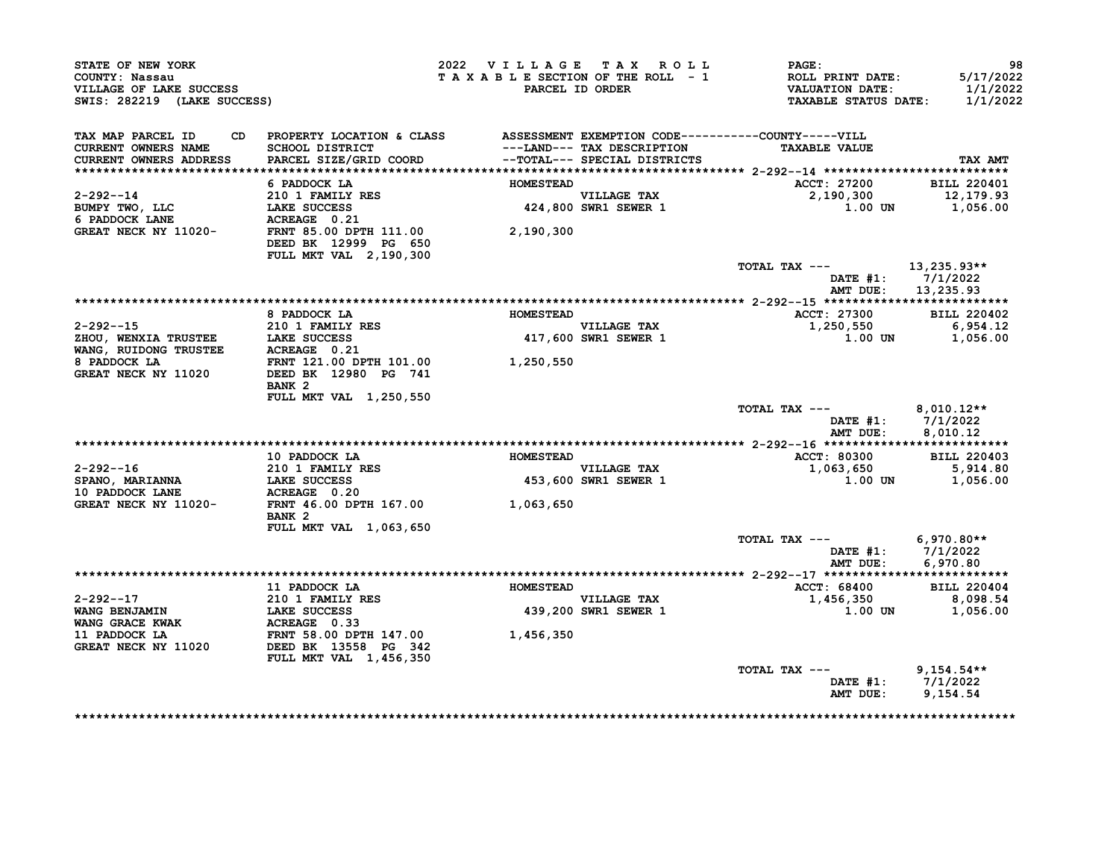| STATE OF NEW YORK<br>COUNTY: Nassau<br>VILLAGE OF LAKE SUCCESS<br>SWIS: 282219 (LAKE SUCCESS) |                                                                                 | 2022 VILLAGE TAX ROLL<br>TAXABLE SECTION OF THE ROLL - 1 | PARCEL ID ORDER                                            | PAGE:<br>ROLL PRINT DATE:<br><b>VALUATION DATE:</b><br><b>TAXABLE STATUS DATE:</b> | 98<br>5/17/2022<br>1/1/2022<br>1/1/2022 |
|-----------------------------------------------------------------------------------------------|---------------------------------------------------------------------------------|----------------------------------------------------------|------------------------------------------------------------|------------------------------------------------------------------------------------|-----------------------------------------|
| TAX MAP PARCEL ID                                                                             | CD PROPERTY LOCATION & CLASS ASSESSMENT EXEMPTION CODE----------COUNTY-----VILL |                                                          |                                                            |                                                                                    |                                         |
| <b>CURRENT OWNERS NAME</b><br><b>CURRENT OWNERS ADDRESS</b>                                   | SCHOOL DISTRICT<br>PARCEL SIZE/GRID COORD                                       |                                                          | ---LAND--- TAX DESCRIPTION<br>--TOTAL--- SPECIAL DISTRICTS | <b>TAXABLE VALUE</b>                                                               | TAX AMT                                 |
|                                                                                               | 6 PADDOCK LA                                                                    | HOMESTEAD                                                |                                                            | ACCT: 27200                                                                        | <b>BILL 220401</b>                      |
| $2 - 292 - -14$                                                                               | 210 1 FAMILY RES                                                                |                                                          |                                                            | 2,190,300                                                                          | 12,179.93                               |
| BUMPY TWO, LLC                                                                                | LAKE SUCCESS                                                                    |                                                          | VILLAGE TAX<br>424,800 SWR1 SEWER 1                        | $1.00$ UN                                                                          | 1,056.00                                |
| 6 PADDOCK LANE                                                                                | ACREAGE 0.21                                                                    |                                                          |                                                            |                                                                                    |                                         |
| GREAT NECK NY 11020-                                                                          | FRNT 85.00 DPTH 111.00<br>DEED BK 12999 PG 650<br>FULL MKT VAL 2,190,300        | 2,190,300                                                |                                                            |                                                                                    |                                         |
|                                                                                               |                                                                                 |                                                          |                                                            | TOTAL TAX ---                                                                      | 13,235.93**                             |
|                                                                                               |                                                                                 |                                                          |                                                            |                                                                                    | DATE #1: 7/1/2022                       |
|                                                                                               |                                                                                 |                                                          |                                                            | AMT DUE:                                                                           | 13,235.93                               |
|                                                                                               |                                                                                 |                                                          |                                                            |                                                                                    |                                         |
|                                                                                               | 8 PADDOCK LA                                                                    | <b>HOMESTEAD</b>                                         |                                                            | ACCT: 27300                                                                        | <b>BILL 220402</b>                      |
| $2 - 292 - -15$                                                                               | 210 1 FAMILY RES                                                                |                                                          | <b>VILLAGE TAX</b>                                         | 1,250,550                                                                          | 6,954.12                                |
| ZELLE THE MERITA TRUSTEE LAKE SUCCESS                                                         |                                                                                 |                                                          | 417,600 SWR1 SEWER 1                                       | 1.00 UN                                                                            | 1,056.00                                |
| WANG, RUIDONG TRUSTEE                                                                         | ACREAGE 0.21                                                                    |                                                          |                                                            |                                                                                    |                                         |
| 8 PADDOCK LA<br>GREAT NECK NY 11020                                                           | FRNT 121.00 DPTH 101.00<br>DEED BK 12980 PG 741                                 | 1,250,550                                                |                                                            |                                                                                    |                                         |
|                                                                                               | BANK <sub>2</sub>                                                               |                                                          |                                                            |                                                                                    |                                         |
|                                                                                               | FULL MKT VAL 1,250,550                                                          |                                                          |                                                            |                                                                                    |                                         |
|                                                                                               |                                                                                 |                                                          |                                                            | TOTAL TAX ---                                                                      | $8,010.12**$                            |
|                                                                                               |                                                                                 |                                                          |                                                            |                                                                                    | DATE $#1: 7/1/2022$                     |
|                                                                                               |                                                                                 |                                                          |                                                            | AMT DUE:                                                                           | 8,010.12                                |
|                                                                                               |                                                                                 |                                                          |                                                            |                                                                                    |                                         |
| $2 - 292 - -16$                                                                               | 10 PADDOCK LA<br>210 1 FAMILY RES                                               | <b>HOMESTEAD</b>                                         | <b>VILLAGE TAX</b>                                         | <b>ACCT: 80300</b><br>1,063,650                                                    | <b>BILL 220403</b><br>5,914.80          |
| <b>SPANO, MARIANNA</b>                                                                        | <b>LAKE SUCCESS</b>                                                             |                                                          | <b>453,600 SWR1 SEWER 1</b>                                | 1.00 UN                                                                            | 1,056.00                                |
| 10 PADDOCK LANE                                                                               | ACREAGE 0.20                                                                    |                                                          |                                                            |                                                                                    |                                         |
| GREAT NECK NY 11020-                                                                          | FRNT 46.00 DPTH 167.00                                                          | 1,063,650                                                |                                                            |                                                                                    |                                         |
|                                                                                               | BANK <sub>2</sub>                                                               |                                                          |                                                            |                                                                                    |                                         |
|                                                                                               | FULL MKT VAL 1,063,650                                                          |                                                          |                                                            |                                                                                    |                                         |
|                                                                                               |                                                                                 |                                                          |                                                            | TOTAL TAX ---                                                                      | $6,970.80**$                            |
|                                                                                               |                                                                                 |                                                          |                                                            |                                                                                    | DATE #1: 7/1/2022                       |
|                                                                                               |                                                                                 |                                                          |                                                            | AMT DUE:                                                                           | 6,970.80                                |
|                                                                                               | 11 PADDOCK LA                                                                   | <b>HOMESTEAD</b>                                         |                                                            | <b>ACCT: 68400</b>                                                                 | <b>BILL 220404</b>                      |
| $2 - 292 - -17$                                                                               | <b>210 1 FAMILY RES</b>                                                         |                                                          | VILLAGE TAX                                                | 1,456,350                                                                          | 8,098.54                                |
| WANG BENJAMIN                                                                                 | <b>LAKE SUCCESS</b>                                                             |                                                          | 439,200 SWR1 SEWER 1                                       | <b>1.00 UN</b>                                                                     | 1,056.00                                |
| WANG GRACE KWAK                                                                               | ACREAGE 0.33                                                                    |                                                          |                                                            |                                                                                    |                                         |
| 11 PADDOCK LA                                                                                 | FRNT 58.00 DPTH 147.00                                                          | 1,456,350                                                |                                                            |                                                                                    |                                         |
| GREAT NECK NY 11020                                                                           | DEED BK 13558 PG 342<br>FULL MKT VAL 1,456,350                                  |                                                          |                                                            |                                                                                    |                                         |
|                                                                                               |                                                                                 |                                                          |                                                            | TOTAL TAX ---                                                                      | $9,154.54**$                            |
|                                                                                               |                                                                                 |                                                          |                                                            |                                                                                    | DATE $#1: 7/1/2022$                     |
|                                                                                               |                                                                                 |                                                          |                                                            | AMT DUE:                                                                           | 9,154.54                                |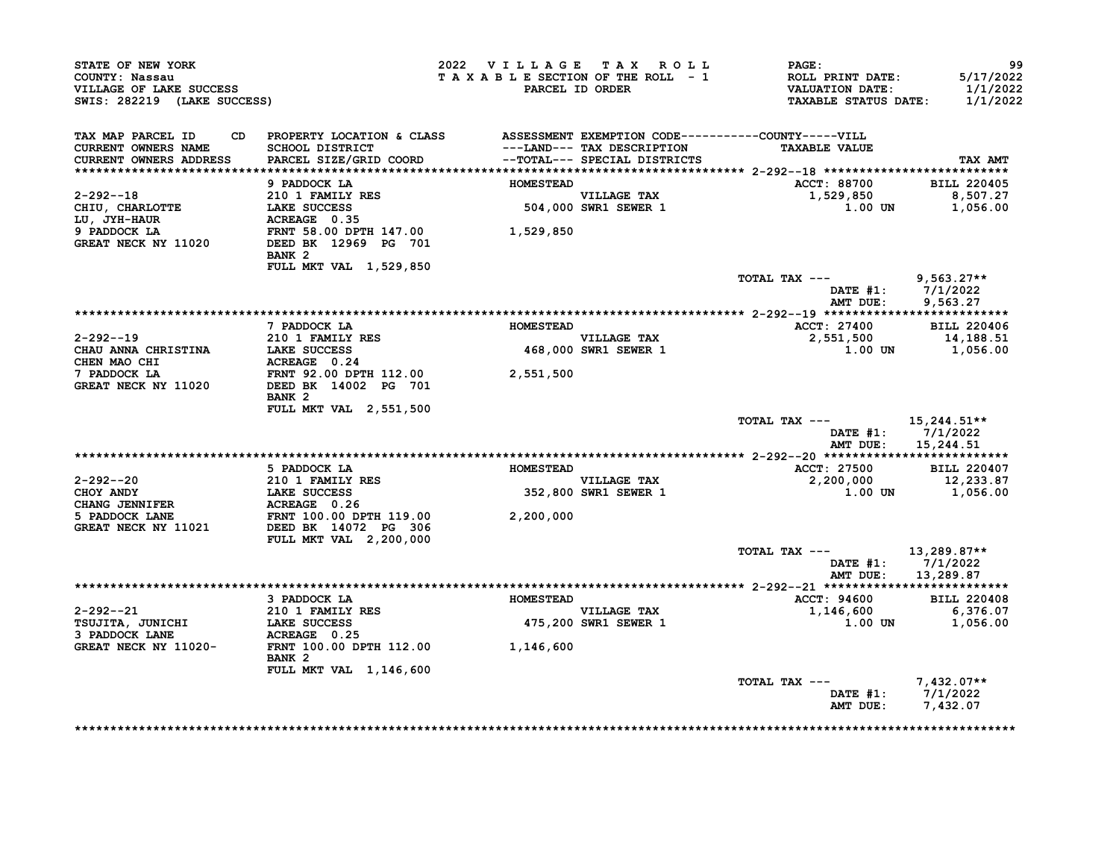| STATE OF NEW YORK<br>COUNTY: Nassau<br>VILLAGE OF LAKE SUCCESS<br>SWIS: 282219 (LAKE SUCCESS) |                                                                                                                                                           | 2022 VILLAGE TAX ROLL<br>TAXABLE SECTION OF THE ROLL - 1 | PARCEL ID ORDER                     | $\mathtt{PAGE}$ :<br>ROLL PRINT DATE:<br>VALUATION DATE:<br><b>TAXABLE STATUS DATE:</b> | 99<br>5/17/2022<br>1/1/2022<br>1/1/2022 |
|-----------------------------------------------------------------------------------------------|-----------------------------------------------------------------------------------------------------------------------------------------------------------|----------------------------------------------------------|-------------------------------------|-----------------------------------------------------------------------------------------|-----------------------------------------|
| TAX MAP PARCEL ID<br>CURRENT OWNERS NAME<br><b>CURRENT OWNERS ADDRESS</b>                     | CD PROPERTY LOCATION & CLASS ASSESSMENT EXEMPTION CODE----------COUNTY-----VILL<br>SCHOOL DISTRICT<br>PARCEL SIZE/GRID COORD --TOTAL--- SPECIAL DISTRICTS |                                                          | ---LAND--- TAX DESCRIPTION          | <b>TAXABLE VALUE</b>                                                                    | TAX AMT                                 |
|                                                                                               |                                                                                                                                                           |                                                          |                                     |                                                                                         |                                         |
|                                                                                               | 9 PADDOCK LA                                                                                                                                              | <b>HOMESTEAD</b>                                         |                                     | ACCT: 88700 BILL 220405                                                                 |                                         |
| $2 - 292 - -18$                                                                               | 210 1 FAMILY RES                                                                                                                                          |                                                          | VILLAGE TAX<br>504,000 SWR1 SEWER 1 | 1,529,850                                                                               |                                         |
| CHIU, CHARLOTTE<br>LU, JYH-HAUR                                                               | LAKE SUCCESS<br>ACREAGE 0.35                                                                                                                              |                                                          |                                     | 1.00 UN                                                                                 | 8,507.27<br>1,056.00                    |
| 9 PADDOCK LA<br>GREAT NECK NY 11020                                                           | FRNT 58.00 DPTH 147.00 1,529,850<br>DEED BK 12969 PG 701<br>BANK <sub>2</sub>                                                                             |                                                          |                                     |                                                                                         |                                         |
|                                                                                               | FULL MKT VAL 1,529,850                                                                                                                                    |                                                          |                                     | TOTAL TAX --- 9,563.27**                                                                |                                         |
|                                                                                               |                                                                                                                                                           |                                                          |                                     | AMT DUE:                                                                                | DATE $#1: 7/1/2022$<br>9,563.27         |
|                                                                                               |                                                                                                                                                           |                                                          |                                     |                                                                                         |                                         |
|                                                                                               | 7 PADDOCK LA                                                                                                                                              | <b>HOMESTEAD</b>                                         |                                     | ACCT: 27400 BILL 220406                                                                 |                                         |
| 2-292--19                                                                                     | 210 1 FAMILY RES                                                                                                                                          |                                                          | <b>VILLAGE TAX</b>                  | 2,551,500                                                                               | 14,188.51                               |
| CHAU ANNA CHRISTINA LAKE SUCCESS<br>CHEN MAO CHI                                              | ACREAGE 0.24                                                                                                                                              |                                                          | 468,000 SWR1 SEWER 1                |                                                                                         | 1.00 UN 1,056.00                        |
| 7 PADDOCK LA<br>GREAT NECK NY 11020                                                           | FRNT 92.00 DPTH 112.00 2,551,500<br>DEED BK 14002 PG 701<br>BANK 2                                                                                        |                                                          |                                     |                                                                                         |                                         |
|                                                                                               | FULL MKT VAL 2,551,500                                                                                                                                    |                                                          |                                     | TOTAL TAX ---                                                                           | 15,244.51**                             |
|                                                                                               |                                                                                                                                                           |                                                          |                                     | AMT DUE:                                                                                | DATE $#1: 7/1/2022$<br>15,244.51        |
|                                                                                               |                                                                                                                                                           |                                                          |                                     |                                                                                         |                                         |
|                                                                                               | 5 PADDOCK LA                                                                                                                                              | <b>HOMESTEAD</b>                                         |                                     | <b>ACCT: 27500</b>                                                                      | <b>BILL 220407</b>                      |
| 2-292--20                                                                                     |                                                                                                                                                           |                                                          | VILLAGE TAX                         | 2,200,000                                                                               | 12,233.87                               |
| CHOY ANDY<br>CHANG JENNIFER                                                                   | 210 1 FAMILY RES<br>LAKE SUCCESS<br>ACREAGE 0.26<br>FRNT 100.00 DPTH 119.00                                                                               |                                                          | 352,800 SWR1 SEWER 1                |                                                                                         | 1.00 UN 1,056.00                        |
| 5 PADDOCK LANE<br>GREAT NECK NY 11021 DEED BK 14072 PG 306                                    |                                                                                                                                                           | 2,200,000                                                |                                     |                                                                                         |                                         |
|                                                                                               | <b>FULL MKT VAL 2,200,000</b>                                                                                                                             |                                                          |                                     | TOTAL TAX --- $13,289.87**$                                                             |                                         |
|                                                                                               |                                                                                                                                                           |                                                          |                                     | AMT DUE:                                                                                | DATE #1: 7/1/2022<br>13,289.87          |
|                                                                                               |                                                                                                                                                           |                                                          |                                     |                                                                                         |                                         |
|                                                                                               | 3 PADDOCK LA                                                                                                                                              | <b>HOMESTEAD</b>                                         |                                     | <b>ACCT: 94600</b>                                                                      | <b>BILL 220408</b>                      |
| 2-292--21                                                                                     | 210 1 FAMILY RES<br>LAKE SUCCESS                                                                                                                          |                                                          | VILLAGE TAX<br>475,200 SWR1 SEWER 1 | $1,146,600$ 6,376.07                                                                    |                                         |
| TSUJITA, JUNICHI<br>3 PADDOCK LANE                                                            |                                                                                                                                                           |                                                          |                                     | 1.00 UN                                                                                 | 1,056.00                                |
| GREAT NECK NY 11020-                                                                          | BANK <sub>2</sub>                                                                                                                                         |                                                          |                                     |                                                                                         |                                         |
|                                                                                               | FULL MKT VAL 1,146,600                                                                                                                                    |                                                          |                                     |                                                                                         |                                         |
|                                                                                               |                                                                                                                                                           |                                                          |                                     | TOTAL TAX ---<br>AMT DUE: 7,432.07                                                      | $7.432.07**$<br>DATE #1: 7/1/2022       |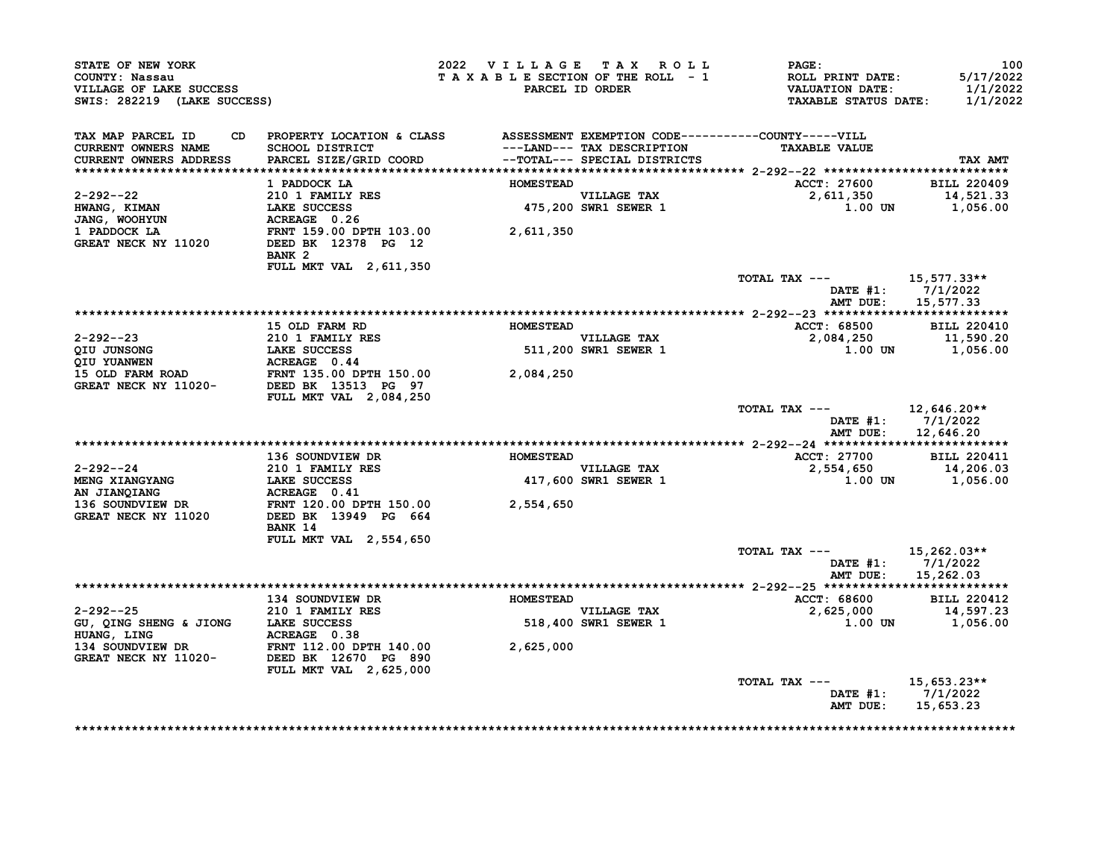| STATE OF NEW YORK<br>COUNTY: Nassau<br>VILLAGE OF LAKE SUCCESS<br>SWIS: 282219 (LAKE SUCCESS)                                                                |                                                                                                                                           | 2022 VILLAGE TAX ROLL<br>TAXABLE SECTION OF THE ROLL - 1 | PARCEL ID ORDER                                           | $\mathtt{PAGE}$ :<br>ROLL PRINT DATE:<br>VALUATION DATE:<br>TAXABLE STATUS DATE: | 100<br>5/17/2022<br>1/1/2022<br>1/1/2022                   |
|--------------------------------------------------------------------------------------------------------------------------------------------------------------|-------------------------------------------------------------------------------------------------------------------------------------------|----------------------------------------------------------|-----------------------------------------------------------|----------------------------------------------------------------------------------|------------------------------------------------------------|
| TAX MAP PARCEL ID<br>CURRENT OWNERS NAME<br><b>CURRENT OWNERS ADDRESS</b>                                                                                    | CD PROPERTY LOCATION & CLASS ASSESSMENT EXEMPTION CODE----------COUNTY-----VILL                                                           |                                                          | ---LAND--- TAX DESCRIPTION                                | <b>TAXABLE VALUE</b>                                                             | TAX AMT                                                    |
|                                                                                                                                                              |                                                                                                                                           |                                                          |                                                           |                                                                                  |                                                            |
| 2-292--22                                                                                                                                                    | 1 PADDOCK LA                                                                                                                              | <b>HOMESTEAD</b>                                         |                                                           | ACCT: 27600 BILL 220409                                                          |                                                            |
| $HWANG,$ $KIMAN$<br>JANG, WOOHYUN                                                                                                                            |                                                                                                                                           |                                                          | VILLAGE TAX<br>475,200 SWR1 SEWER 1                       |                                                                                  |                                                            |
| 1 PADDOCK LA<br>GREAT NECK NY 11020                                                                                                                          | 210 1 FAMILY RES<br>LAKE SUCCESS 475,200<br>ACREAGE 0.26<br>FRNT 159.00 DPTH 103.00 2,611,350<br>DEED BK 12378 PG 12<br>BANK <sub>2</sub> |                                                          |                                                           |                                                                                  |                                                            |
|                                                                                                                                                              | FULL MKT VAL 2, 611, 350                                                                                                                  |                                                          |                                                           | TOTAL TAX --- $15,577.33**$                                                      |                                                            |
|                                                                                                                                                              |                                                                                                                                           |                                                          |                                                           |                                                                                  | DATE #1: 7/1/2022<br>AMT DUE: 15,577.33                    |
|                                                                                                                                                              |                                                                                                                                           |                                                          |                                                           |                                                                                  |                                                            |
|                                                                                                                                                              | 15 OLD FARM RD <b>HOMESTEAD</b>                                                                                                           |                                                          | VILLAGE TAX                                               | ACCT: 68500 BILL 220410                                                          |                                                            |
|                                                                                                                                                              |                                                                                                                                           |                                                          | 511,200 SWR1 SEWER 1                                      | 2,084,250 11,590.20<br>1.00 UN 1,056.00                                          |                                                            |
|                                                                                                                                                              | <b>FULL MKT VAL 2,084,250</b>                                                                                                             |                                                          |                                                           |                                                                                  |                                                            |
|                                                                                                                                                              |                                                                                                                                           |                                                          |                                                           | TOTAL TAX --- $12,646.20**$                                                      | DATE #1: 7/1/2022<br>AMT DUE: 12,646.20                    |
|                                                                                                                                                              |                                                                                                                                           |                                                          |                                                           |                                                                                  |                                                            |
|                                                                                                                                                              | 136 SOUNDVIEW DR                                                                                                                          | <b>HOMESTEAD</b>                                         |                                                           | ACCT: 27700                                                                      |                                                            |
| $2 - 292 - -24$                                                                                                                                              |                                                                                                                                           |                                                          | <b>VILLAGE TAX</b><br>VILLAGE TAX<br>417,600 SWR1 SEWER 1 | ACCT: 27700 BILL 220411<br>2,554,650 14,206.03<br>1.00 UN 1,056.00               |                                                            |
| 2-292--24<br>MENG XIANGYANG 210 1 FAMILY RES<br>MENG XIANGYANG 136 SOUNDVIEW DR<br>136 SOUNDVIEW DR<br>GREAT NECK NY 11020 DEED BK 13949 PG 664<br>2,554,650 | BANK 14                                                                                                                                   |                                                          |                                                           |                                                                                  |                                                            |
|                                                                                                                                                              | <b>FULL MKT VAL 2,554,650</b>                                                                                                             |                                                          |                                                           | TOTAL TAX --- $15,262.03**$                                                      | DATE #1: 7/1/2022                                          |
|                                                                                                                                                              |                                                                                                                                           |                                                          |                                                           | AMT DUE:                                                                         | 15,262.03                                                  |
|                                                                                                                                                              | 134 SOUNDVIEW DR                                                                                                                          | <b>HOMESTEAD</b>                                         |                                                           | ACCT: 68600                                                                      | <b>BILL 220412</b>                                         |
| $2 - 292 - -25$<br>GU, QING SHENG & JIONG LAKE SUCCESS                                                                                                       | 210 1 FAMILY RES                                                                                                                          |                                                          | VILLAGE TAX<br>518,400 SWR1 SEWER 1<br>VILLAGE TAX        | 2,625,000 14,597.23<br>2,625,000 1.00 DN 1,056.00                                |                                                            |
| 9. 134<br>HUANG, LING<br>134 SOUNDVIEW DR<br>GREAT NECK NY 11020-<br>DEED BK 12670 PG 890                                                                    | FULL MKT VAL 2,625,000                                                                                                                    |                                                          |                                                           |                                                                                  |                                                            |
|                                                                                                                                                              |                                                                                                                                           |                                                          |                                                           | TOTAL TAX ---                                                                    | $15,653.23**$<br>DATE #1: $7/1/2022$<br>AMT DUE: 15,653.23 |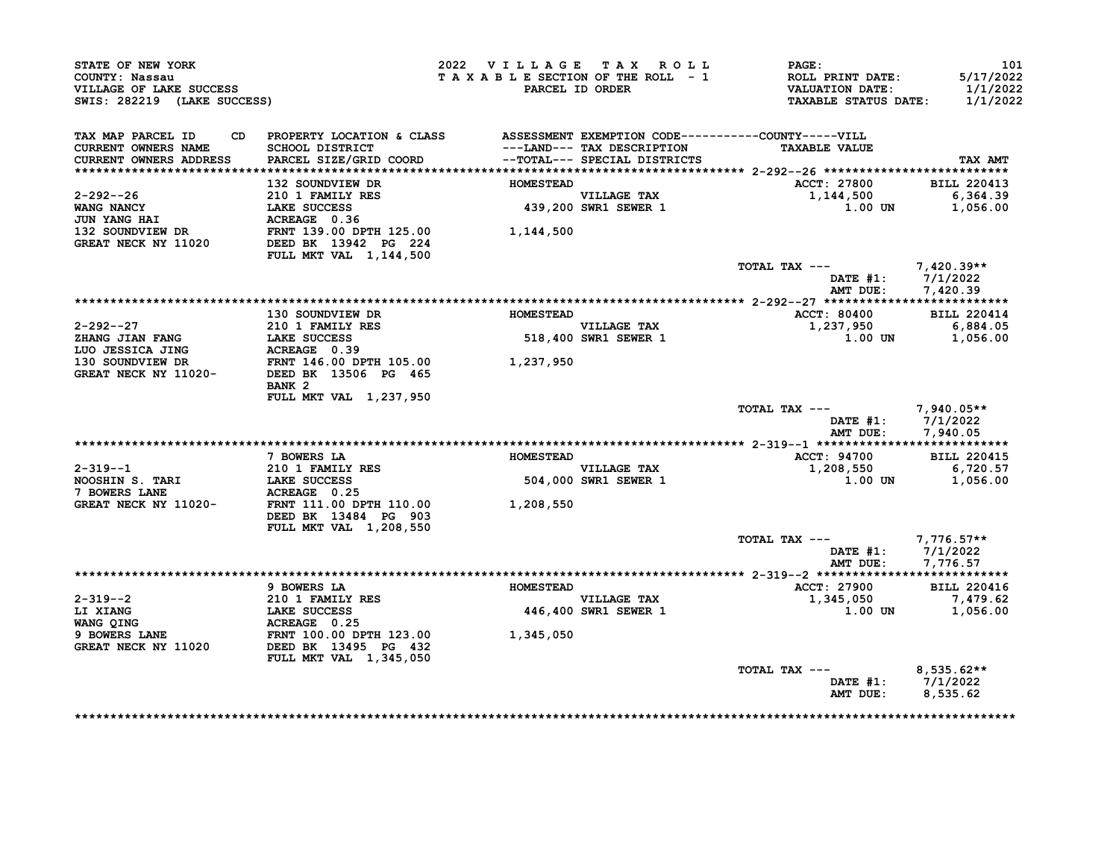| STATE OF NEW YORK<br>COUNTY: Nassau<br>VILLAGE OF LAKE SUCCESS<br>SWIS: 282219 (LAKE SUCCESS) |                                                                             | 2022 VILLAGE TAX ROLL<br>TAXABLE SECTION OF THE ROLL - 1 | PARCEL ID ORDER                                            | <b>PAGE:</b><br>ROLL PRINT DATE:<br><b>VALUATION DATE:</b><br><b>TAXABLE STATUS DATE:</b> | 101<br>5/17/2022<br>1/1/2022<br>1/1/2022 |
|-----------------------------------------------------------------------------------------------|-----------------------------------------------------------------------------|----------------------------------------------------------|------------------------------------------------------------|-------------------------------------------------------------------------------------------|------------------------------------------|
| TAX MAP PARCEL ID<br>CD.<br><b>CURRENT OWNERS NAME</b><br>CURRENT OWNERS ADDRESS              | PROPERTY LOCATION & CLASS<br>SCHOOL DISTRICT<br>PARCEL SIZE/GRID COORD      |                                                          | ---LAND--- TAX DESCRIPTION<br>--TOTAL--- SPECIAL DISTRICTS | ASSESSMENT EXEMPTION CODE----------COUNTY-----VILL<br><b>TAXABLE VALUE</b>                | TAX AMT                                  |
|                                                                                               | 132 SOUNDVIEW DR                                                            | <b>HOMESTEAD</b>                                         |                                                            | ACCT: 27800                                                                               | <b>BILL 220413</b>                       |
| 2-292--26<br>WANG NANCY<br><b>JUN YANG HAI</b>                                                | 210 1 FAMILY RES<br>LAKE SUCCESS<br>ACREAGE 0.36                            |                                                          | VILLAGE TAX<br>439,200 SWR1 SEWER 1                        | 1,144,500<br><b>1.00 UN</b>                                                               | 6,364.39<br>1,056.00                     |
| 132 SOUNDVIEW DR<br>GREAT NECK NY 11020                                                       | FRNT 139.00 DPTH 125.00<br>DEED BK 13942 PG 224<br>FULL MKT VAL 1, 144, 500 | 1,144,500                                                |                                                            |                                                                                           |                                          |
|                                                                                               |                                                                             |                                                          |                                                            | TOTAL TAX ---<br>DATE #1:<br>AMT DUE:                                                     | $7,420.39**$<br>7/1/2022<br>7,420.39     |
|                                                                                               |                                                                             |                                                          |                                                            |                                                                                           |                                          |
|                                                                                               | 130 SOUNDVIEW DR                                                            | <b>HOMESTEAD</b>                                         |                                                            | <b>ACCT: 80400</b>                                                                        | <b>BILL 220414</b>                       |
| 2-292--27                                                                                     | <b>210 1 FAMILY RES</b>                                                     |                                                          | <b>VILLAGE TAX</b>                                         | 1,237,950                                                                                 | 6,884.05                                 |
| <b>ZHANG JIAN FANG</b><br>LUO JESSICA JING                                                    | <b>LAKE SUCCESS</b><br>ACREAGE 0.39                                         |                                                          | 518,400 SWR1 SEWER 1                                       | 1.00 UN                                                                                   | 1,056.00                                 |
| 130 SOUNDVIEW DR                                                                              | FRNT 146.00 DPTH 105.00                                                     | 1,237,950                                                |                                                            |                                                                                           |                                          |
| GREAT NECK NY 11020-                                                                          | DEED BK 13506 PG 465<br>BANK <sub>2</sub>                                   |                                                          |                                                            |                                                                                           |                                          |
|                                                                                               | FULL MKT VAL 1,237,950                                                      |                                                          |                                                            | TOTAL TAX ---<br>DATE $#1$ :<br>AMT DUE:                                                  | $7,940.05**$<br>7/1/2022<br>7,940.05     |
|                                                                                               |                                                                             |                                                          |                                                            |                                                                                           |                                          |
|                                                                                               | 7 BOWERS LA                                                                 | <b>HOMESTEAD</b>                                         |                                                            | ACCT: 94700                                                                               | <b>BILL 220415</b>                       |
| $2 - 319 - -1$<br>NOOSHIN S. TARI<br>7 BOWERS LANE                                            | 210 1 FAMILY RES<br><b>LAKE SUCCESS</b><br>ACREAGE 0.25                     |                                                          | <b>VILLAGE TAX</b><br>504,000 SWR1 SEWER 1                 | 1,208,550<br>1.00 UN                                                                      | 6,720.57<br>1,056.00                     |
| GREAT NECK NY 11020-                                                                          | FRNT 111.00 DPTH 110.00<br>DEED BK 13484 PG 903<br>FULL MKT VAL 1,208,550   | 1,208,550                                                |                                                            |                                                                                           |                                          |
|                                                                                               |                                                                             |                                                          |                                                            | TOTAL TAX ---                                                                             | 7,776.57**                               |
|                                                                                               |                                                                             |                                                          |                                                            | DATE $#1$ :<br>AMT DUE:                                                                   | 7/1/2022<br>7,776.57                     |
|                                                                                               | 9 BOWERS LA                                                                 | <b>HOMESTEAD</b>                                         |                                                            | <b>ACCT: 27900</b>                                                                        | <b>BILL 220416</b>                       |
| $2 - 319 - -2$                                                                                | <b>210 1 FAMILY RES</b>                                                     |                                                          | VILLAGE TAX                                                | 1,345,050                                                                                 | 7,479.62                                 |
| LI XIANG                                                                                      | <b>LAKE SUCCESS</b>                                                         |                                                          | <b>446,400 SWR1 SEWER 1</b>                                | 1.00 UN                                                                                   | 1,056.00                                 |
| WANG QING                                                                                     | ACREAGE 0.25                                                                |                                                          |                                                            |                                                                                           |                                          |
| 9 BOWERS LANE<br>GREAT NECK NY 11020                                                          | FRNT 100.00 DPTH 123.00<br>DEED BK 13495 PG 432<br>FULL MKT VAL 1,345,050   | 1,345,050                                                |                                                            |                                                                                           |                                          |
|                                                                                               |                                                                             |                                                          |                                                            | TOTAL TAX ---<br><b>DATE #1:</b>                                                          | $8,535.62**$<br>7/1/2022                 |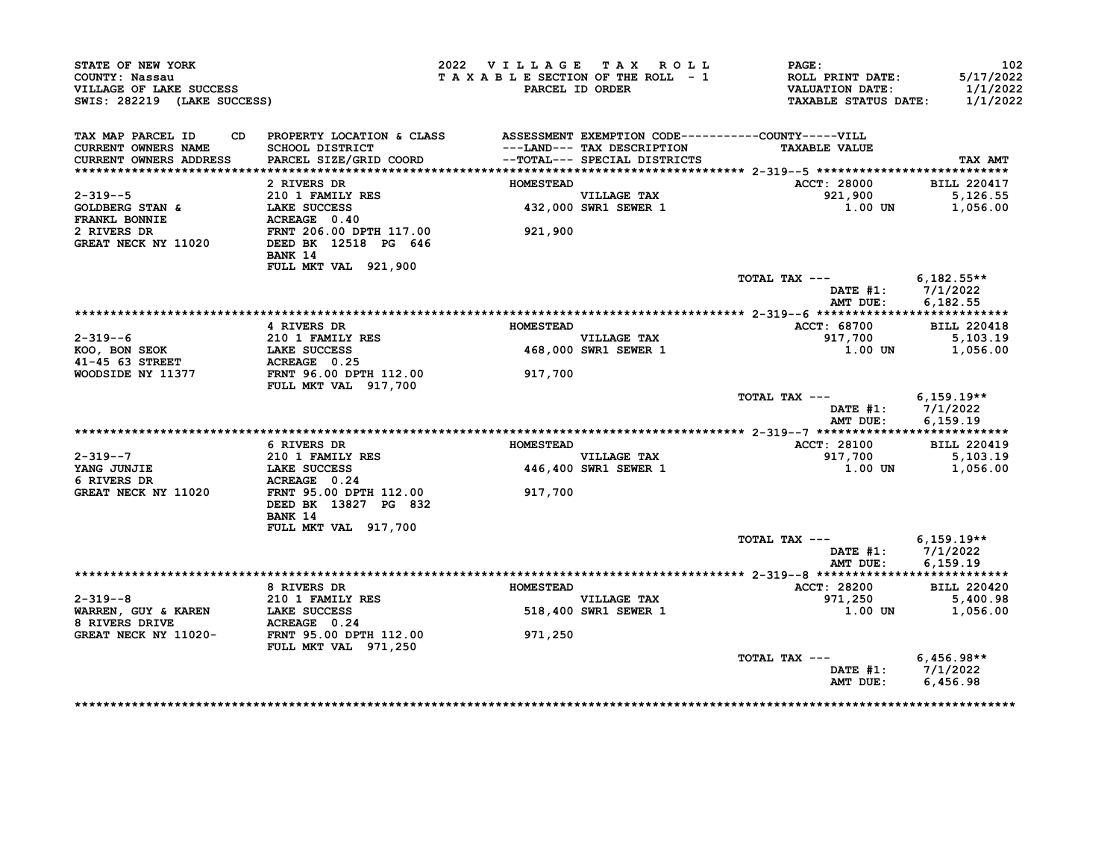| STATE OF NEW YORK<br>COUNTY: Nassau<br>VILLAGE OF LAKE SUCCESS<br>SWIS: 282219 (LAKE SUCCESS) |                                                                                 | 2022 VILLAGE TAX ROLL | TAXABLE SECTION OF THE ROLL - 1<br>PARCEL ID ORDER         | $\mathtt{PAGE}$ :<br>ROLL PRINT DATE:<br>VALUATION DATE:<br><b>TAXABLE STATUS DATE:</b> | 102<br>5/17/2022<br>1/1/2022<br>1/1/2022 |
|-----------------------------------------------------------------------------------------------|---------------------------------------------------------------------------------|-----------------------|------------------------------------------------------------|-----------------------------------------------------------------------------------------|------------------------------------------|
| TAX MAP PARCEL ID                                                                             | CD PROPERTY LOCATION & CLASS ASSESSMENT EXEMPTION CODE----------COUNTY-----VILL |                       |                                                            |                                                                                         |                                          |
| CURRENT OWNERS NAME<br><b>CURRENT OWNERS ADDRESS</b>                                          | SCHOOL DISTRICT<br>PARCEL SIZE/GRID COORD                                       |                       | ---LAND--- TAX DESCRIPTION<br>--TOTAL--- SPECIAL DISTRICTS | <b>TAXABLE VALUE</b>                                                                    | <b>TAX AMT</b>                           |
|                                                                                               |                                                                                 |                       |                                                            |                                                                                         |                                          |
|                                                                                               | 2 RIVERS DR                                                                     | <b>HOMESTEAD</b>      |                                                            | <b>ACCT: 28000</b>                                                                      | <b>BILL 220417</b>                       |
| $2 - 319 - -5$                                                                                |                                                                                 |                       |                                                            | 921,900                                                                                 | 5,126.55                                 |
| <b>GOLDBERG STAN &amp;<br/>FRANKL BONNIE</b>                                                  |                                                                                 |                       | VILLAGE TAX<br>432,000 SWR1 SEWER 1                        | 1.00 UN                                                                                 | 1,056.00                                 |
|                                                                                               |                                                                                 |                       |                                                            |                                                                                         |                                          |
| 2 RIVERS DR                                                                                   |                                                                                 | 921,900               |                                                            |                                                                                         |                                          |
| GREAT NECK NY 11020                                                                           |                                                                                 |                       |                                                            |                                                                                         |                                          |
|                                                                                               | <b>BANK 14</b>                                                                  |                       |                                                            |                                                                                         |                                          |
|                                                                                               | FULL MKT VAL 921,900                                                            |                       |                                                            |                                                                                         |                                          |
|                                                                                               |                                                                                 |                       |                                                            | TOTAL TAX $---$ 6,182.55**                                                              |                                          |
|                                                                                               |                                                                                 |                       |                                                            | DATE #1: 7/1/2022                                                                       |                                          |
|                                                                                               |                                                                                 |                       |                                                            | AMT DUE:                                                                                | 6.182.55                                 |
|                                                                                               | 4 RIVERS DR                                                                     | <b>HOMESTEAD</b>      |                                                            | <b>ACCT: 68700</b>                                                                      | <b>BILL 220418</b>                       |
| $2 - 319 - -6$                                                                                | 210 1 FAMILY RES<br>LAKE SUCCESS                                                |                       | VILLAGE TAX<br>468,000 SWR1 SEWER 1                        | 917,700                                                                                 | 5,103.19                                 |
| KOO, BON SEOK                                                                                 |                                                                                 |                       | 468,000 SWR1 SEWER 1                                       | 1.00 UN                                                                                 | 1,056.00                                 |
| 41-45 63 STREET                                                                               | ACREAGE 0.25                                                                    |                       |                                                            |                                                                                         |                                          |
| WOODSIDE NY 11377                                                                             | FRNT 96.00 DPTH 112.00                                                          | 917,700               |                                                            |                                                                                         |                                          |
|                                                                                               | <b>FULL MKT VAL 917,700</b>                                                     |                       |                                                            |                                                                                         |                                          |
|                                                                                               |                                                                                 |                       |                                                            | TOTAL TAX --- $6,159.19**$                                                              |                                          |
|                                                                                               |                                                                                 |                       |                                                            | DATE #1: 7/1/2022                                                                       |                                          |
|                                                                                               |                                                                                 |                       |                                                            |                                                                                         | AMT DUE: 6,159.19                        |
|                                                                                               |                                                                                 |                       |                                                            |                                                                                         |                                          |
|                                                                                               | 6 RIVERS DR                                                                     | <b>HOMESTEAD</b>      |                                                            | <b>ACCT: 28100</b>                                                                      | <b>BILL 220419</b>                       |
| $2 - 319 - -7$                                                                                | 210 1 FAMILY RES                                                                |                       | VILLAGE TAX<br>446,400 SWR1 SEWER 1                        | 917,700                                                                                 | 5,103.19                                 |
| YANG JUNJIE<br>6 RIVERS DR                                                                    | LAKE SUCCESS<br>ACREAGE 0.24                                                    |                       |                                                            | $1.00$ UN                                                                               | 1,056.00                                 |
| GREAT NECK NY 11020                                                                           | FRNT 95.00 DPTH 112.00                                                          | 917,700               |                                                            |                                                                                         |                                          |
|                                                                                               | DEED BK 13827 PG 832                                                            |                       |                                                            |                                                                                         |                                          |
|                                                                                               | BANK 14                                                                         |                       |                                                            |                                                                                         |                                          |
|                                                                                               | FULL MKT VAL 917,700                                                            |                       |                                                            |                                                                                         |                                          |
|                                                                                               |                                                                                 |                       |                                                            | TOTAL TAX --- 6,159.19**                                                                |                                          |
|                                                                                               |                                                                                 |                       |                                                            | DATE #1: 7/1/2022                                                                       |                                          |
|                                                                                               |                                                                                 |                       |                                                            | AMT DUE:                                                                                | 6.159.19                                 |
|                                                                                               |                                                                                 |                       |                                                            |                                                                                         |                                          |
|                                                                                               | 8 RIVERS DR                                                                     | <b>HOMESTEAD</b>      |                                                            | <b>ACCT: 28200</b>                                                                      | <b>BILL 220420</b>                       |
| $2 - 319 - -8$                                                                                | 210 1 FAMILY RES                                                                |                       | VILLAGE TAX                                                | 971,250                                                                                 | 5,400.98                                 |
| WARREN, GUY & KAREN                                                                           | LAKE SUCCESS                                                                    |                       | 518,400 SWR1 SEWER 1                                       | 1.00 UN                                                                                 | 1,056.00                                 |
| 8 RIVERS DRIVE                                                                                | ACREAGE 0.24                                                                    |                       |                                                            |                                                                                         |                                          |
| GREAT NECK NY 11020-                                                                          | FRNT 95.00 DPTH 112.00                                                          | 971,250               |                                                            |                                                                                         |                                          |
|                                                                                               | <b>FULL MKT VAL 971,250</b>                                                     |                       |                                                            |                                                                                         |                                          |
|                                                                                               |                                                                                 |                       |                                                            | TOTAL TAX $---$ 6,456.98**<br>DATE #1: 7/1/2022                                         |                                          |
|                                                                                               |                                                                                 |                       |                                                            |                                                                                         |                                          |
|                                                                                               |                                                                                 |                       |                                                            | AMT DUE: 6,456.98                                                                       |                                          |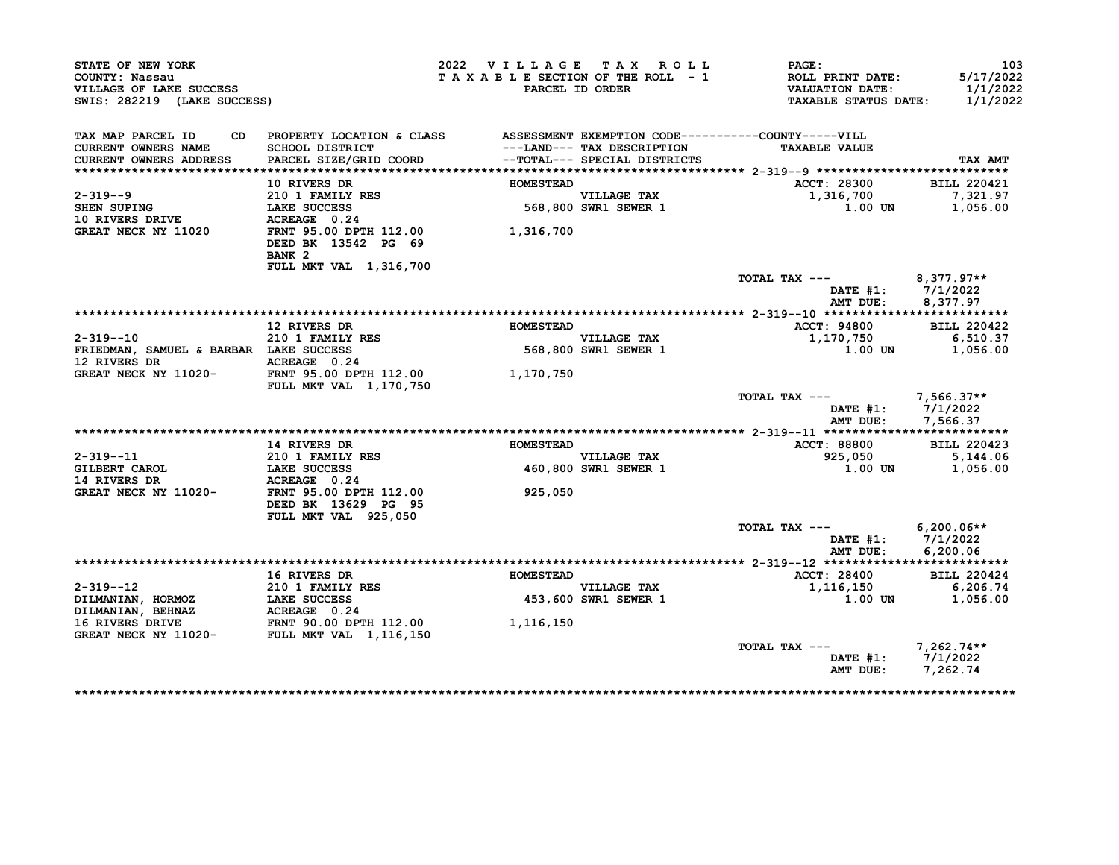| STATE OF NEW YORK<br>COUNTY: Nassau<br>VILLAGE OF LAKE SUCCESS<br>SWIS: 282219 (LAKE SUCCESS) |                                                                                 | 2022 VILLAGE TAX ROLL | TAXABLE SECTION OF THE ROLL - 1<br>PARCEL ID ORDER         | $\mathtt{PAGE}$ :<br>ROLL PRINT DATE:<br>VALUATION DATE:<br><b>TAXABLE STATUS DATE:</b> | 103<br>5/17/2022<br>1/1/2022<br>1/1/2022 |
|-----------------------------------------------------------------------------------------------|---------------------------------------------------------------------------------|-----------------------|------------------------------------------------------------|-----------------------------------------------------------------------------------------|------------------------------------------|
| TAX MAP PARCEL ID                                                                             | CD PROPERTY LOCATION & CLASS ASSESSMENT EXEMPTION CODE----------COUNTY-----VILL |                       |                                                            |                                                                                         |                                          |
| <b>CURRENT OWNERS NAME</b><br>CURRENT OWNERS ADDRESS                                          | <b>SCHOOL DISTRICT</b><br>PARCEL SIZE/GRID COORD                                |                       | ---LAND--- TAX DESCRIPTION<br>--TOTAL--- SPECIAL DISTRICTS | <b>TAXABLE VALUE</b>                                                                    | TAX AMT                                  |
|                                                                                               |                                                                                 |                       |                                                            |                                                                                         |                                          |
|                                                                                               | 10 RIVERS DR                                                                    | <b>HOMESTEAD</b>      |                                                            | ACCT: 28300                                                                             | <b>BILL 220421</b>                       |
| $2 - 319 - -9$                                                                                |                                                                                 |                       |                                                            |                                                                                         | 7,321.97                                 |
| SHEN SUPING                                                                                   | 210 1 FAMILY RES<br>LAKE SUCCESS<br>ACREAGE 0.24                                |                       | VILLAGE TAX<br>568,800 SWR1 SEWER 1                        | 1,316,700<br>1.00 UN                                                                    | 1,056.00                                 |
| <b>10 RIVERS DRIVE</b>                                                                        | ACREAGE 0.24                                                                    |                       |                                                            |                                                                                         |                                          |
| GREAT NECK NY 11020                                                                           | FRNT 95.00 DPTH 112.00<br>DEED BK 13542 PG 69<br>BANK <sub>2</sub>              | 1,316,700             |                                                            |                                                                                         |                                          |
|                                                                                               | FULL MKT VAL 1,316,700                                                          |                       |                                                            |                                                                                         |                                          |
|                                                                                               |                                                                                 |                       |                                                            | TOTAL TAX --- $8,377.97**$<br>DATE #1: 7/1/2022                                         |                                          |
|                                                                                               |                                                                                 |                       |                                                            | AMT DUE:                                                                                | 8,377.97                                 |
|                                                                                               |                                                                                 |                       |                                                            |                                                                                         |                                          |
|                                                                                               | 12 RIVERS DR                                                                    | <b>HOMESTEAD</b>      |                                                            | ACCT: 94800                                                                             | <b>BILL 220422</b>                       |
| $2 - 319 - -10$                                                                               | 210 1 FAMILY RES                                                                |                       | VILLAGE TAX<br>568,800 SWR1 SEWER 1                        | 1,170,750                                                                               | 6,510.37                                 |
| FRIEDMAN, SAMUEL & BARBAR LAKE SUCCESS                                                        |                                                                                 |                       |                                                            | 1.00 UN                                                                                 | 1,056.00                                 |
| 12 RIVERS DR<br>GREAT NECK NY 11020-<br>FRNT 95.00 DPTH 112.00<br>1,170,750                   |                                                                                 |                       |                                                            |                                                                                         |                                          |
|                                                                                               | <b>FULL MKT VAL 1,170,750</b>                                                   |                       |                                                            |                                                                                         |                                          |
|                                                                                               |                                                                                 |                       |                                                            | TOTAL TAX $---$ 7,566.37**                                                              |                                          |
|                                                                                               |                                                                                 |                       |                                                            | DATE #1: 7/1/2022                                                                       |                                          |
|                                                                                               |                                                                                 |                       |                                                            | AMT DUE:                                                                                | 7,566.37                                 |
|                                                                                               |                                                                                 |                       |                                                            |                                                                                         |                                          |
|                                                                                               | <b>14 RIVERS DR</b>                                                             |                       |                                                            | <b>ACCT: 88800</b>                                                                      | <b>BILL 220423</b>                       |
|                                                                                               |                                                                                 |                       |                                                            |                                                                                         |                                          |
|                                                                                               | <b>210 1 FAMILY RES</b>                                                         |                       |                                                            | 925,050                                                                                 | 5,144.06                                 |
|                                                                                               |                                                                                 |                       |                                                            | 1.00 UN                                                                                 | 1,056.00                                 |
| $2 - 319 - -11$                                                                               |                                                                                 |                       |                                                            |                                                                                         |                                          |
|                                                                                               |                                                                                 | 925,050               | HOMESIER VILLAGE TAA<br>460,800 SWR1 SEWER 1               |                                                                                         |                                          |
|                                                                                               | FULL MKT VAL 925,050                                                            |                       |                                                            | TOTAL TAX $---$ 6,200.06**                                                              |                                          |
|                                                                                               |                                                                                 |                       |                                                            |                                                                                         |                                          |
|                                                                                               |                                                                                 |                       |                                                            | DATE #1: 7/1/2022<br>AMT DUE:                                                           | 6,200.06                                 |
|                                                                                               |                                                                                 |                       |                                                            |                                                                                         |                                          |
|                                                                                               | 16 RIVERS DR                                                                    | <b>HOMESTEAD</b>      |                                                            | <b>ACCT: 28400</b>                                                                      | <b>BILL 220424</b>                       |
|                                                                                               |                                                                                 |                       |                                                            | 1,116,150                                                                               | 6,206.74                                 |
|                                                                                               |                                                                                 |                       | VILLAGE TAX<br>453,600 SWR1 SEWER 1                        | 1.00 UN                                                                                 | 1,056.00                                 |
|                                                                                               |                                                                                 |                       |                                                            |                                                                                         |                                          |
|                                                                                               |                                                                                 | 1,116,150             |                                                            |                                                                                         |                                          |
|                                                                                               |                                                                                 |                       |                                                            |                                                                                         |                                          |
|                                                                                               |                                                                                 |                       |                                                            | TOTAL TAX ---<br>DATE #1: 7/1/2022<br>AMT DUE:                                          | 7,262.74**                               |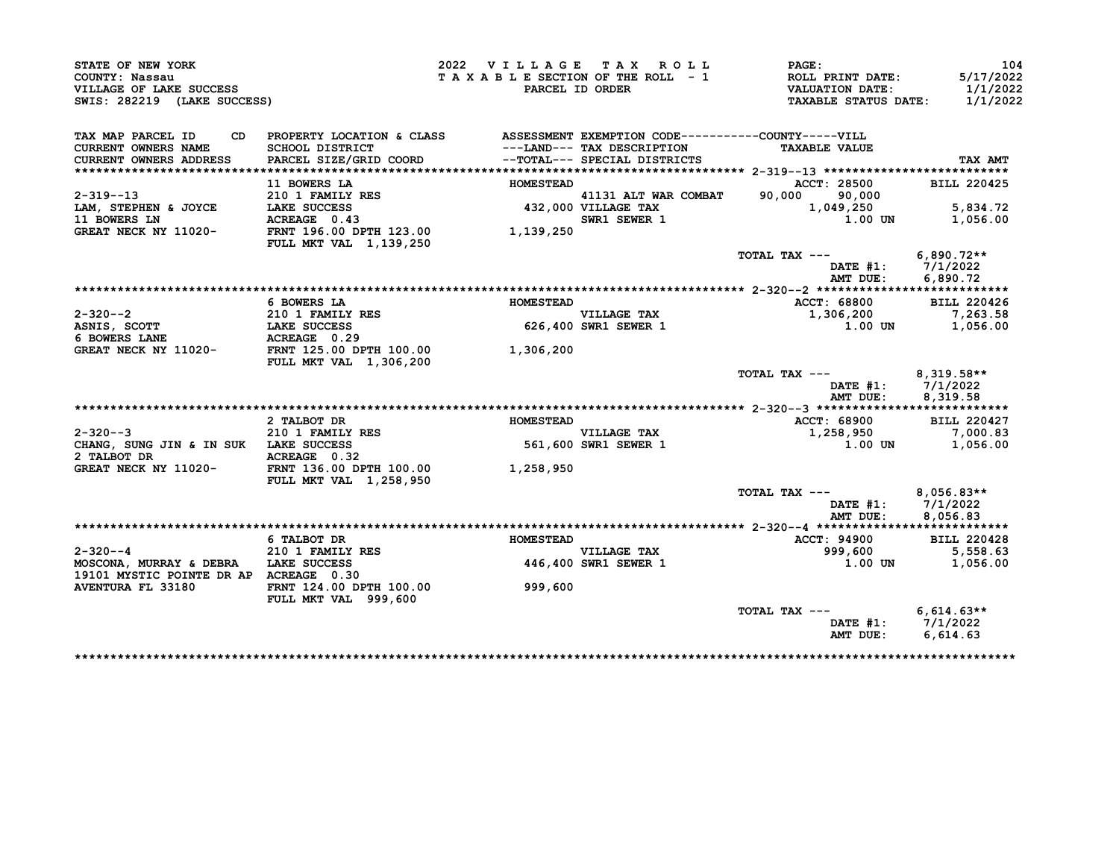| STATE OF NEW YORK                                                                       |                                                                                                                                                 | 2022 VILLAGE TAX ROLL |                                               | PAGE:                                                                                                                                                                                                                                                            | 104                |
|-----------------------------------------------------------------------------------------|-------------------------------------------------------------------------------------------------------------------------------------------------|-----------------------|-----------------------------------------------|------------------------------------------------------------------------------------------------------------------------------------------------------------------------------------------------------------------------------------------------------------------|--------------------|
| COUNTY: Nassau                                                                          |                                                                                                                                                 |                       |                                               | TAXABLE SECTION OF THE ROLL - 1<br>PARCEL ID ORDER VALUATION DATE:<br>PARCEL ID ORDER VALUATION DATE:<br>TAXABLE STATUS DATE:                                                                                                                                    | 5/17/2022          |
| VILLAGE OF LAKE SUCCESS                                                                 |                                                                                                                                                 |                       |                                               |                                                                                                                                                                                                                                                                  | 1/1/2022           |
| SWIS: 282219 (LAKE SUCCESS)                                                             |                                                                                                                                                 |                       |                                               |                                                                                                                                                                                                                                                                  | 1/1/2022           |
| TAX MAP PARCEL ID                                                                       | CD PROPERTY LOCATION & CLASS ASSESSMENT EXEMPTION CODE----------COUNTY-----VILL                                                                 |                       |                                               |                                                                                                                                                                                                                                                                  |                    |
| <b>CURRENT OWNERS NAME</b>                                                              | SCHOOL DISTRICT                                   ---LAND--- TAX DESCRIPTION<br>PARCEL SIZE/GRID COORD             --TOTAL--- SPECIAL DISTRICTS |                       |                                               | <b>TAXABLE VALUE</b>                                                                                                                                                                                                                                             |                    |
| <b>CURRENT OWNERS ADDRESS</b>                                                           |                                                                                                                                                 |                       |                                               |                                                                                                                                                                                                                                                                  | TAX AMT            |
|                                                                                         |                                                                                                                                                 |                       |                                               |                                                                                                                                                                                                                                                                  |                    |
|                                                                                         |                                                                                                                                                 |                       |                                               | <b>ACCT: 28500</b><br>11 BOWERS LA<br>210 1 FAMILY RES<br>210 1 FAMILY RES<br>210 1 FAMILY RES<br>210 1 FAMILY RES<br>210 1 FAMILY RES<br>432,000 VILLAGE TAX<br>32,000 VILLAGE TAX<br>210 1,049,250<br>250 SWR1 SEWER 1<br>21,000 1,139,250<br>21,000 1,139,250 | <b>BILL 220425</b> |
| $2 - 319 - -13$<br>LAM, STEPHEN & JOYCE LAKE SUCCESS                                    |                                                                                                                                                 |                       |                                               |                                                                                                                                                                                                                                                                  |                    |
|                                                                                         |                                                                                                                                                 |                       |                                               | 1,049,250                                                                                                                                                                                                                                                        | 5,834.72           |
| 11 BOWERS LN<br>GREAT NECK NY 11020-                                                    |                                                                                                                                                 |                       |                                               |                                                                                                                                                                                                                                                                  | 1,056.00           |
|                                                                                         | FULL MKT VAL 1,139,250                                                                                                                          |                       |                                               |                                                                                                                                                                                                                                                                  |                    |
|                                                                                         |                                                                                                                                                 |                       |                                               | TOTAL TAX --- 6,890.72**                                                                                                                                                                                                                                         |                    |
|                                                                                         |                                                                                                                                                 |                       |                                               |                                                                                                                                                                                                                                                                  | DATE #1: 7/1/2022  |
|                                                                                         |                                                                                                                                                 |                       |                                               | AMT DUE:                                                                                                                                                                                                                                                         | 6,890.72           |
|                                                                                         |                                                                                                                                                 |                       |                                               |                                                                                                                                                                                                                                                                  |                    |
|                                                                                         | 6 BOWERS LA                                                                                                                                     | <b>HOMESTEAD</b>      |                                               | ACCT: 68800 BILL 220426                                                                                                                                                                                                                                          |                    |
| 2-320--2<br>210 1 FAMILY RES<br>ASNIS, SCOTT LAKE SUCCESS<br>6 BOWERS LANE ACREAGE 0.29 |                                                                                                                                                 |                       | VILLAGE TAX<br>626,400 SWR1 SEWER 1           | 1,306,200                                                                                                                                                                                                                                                        | 7,263.58           |
|                                                                                         |                                                                                                                                                 |                       |                                               | $1.00$ UN                                                                                                                                                                                                                                                        | 1,056.00           |
|                                                                                         |                                                                                                                                                 |                       |                                               |                                                                                                                                                                                                                                                                  |                    |
| GREAT NECK NY 11020-<br>FRNT 125.00 DPTH 100.00 1,306,200                               | FULL MKT VAL 1,306,200                                                                                                                          |                       |                                               |                                                                                                                                                                                                                                                                  |                    |
|                                                                                         |                                                                                                                                                 |                       |                                               | TOTAL TAX ---                                                                                                                                                                                                                                                    | $8,319.58**$       |
|                                                                                         |                                                                                                                                                 |                       |                                               |                                                                                                                                                                                                                                                                  | DATE #1: 7/1/2022  |
|                                                                                         |                                                                                                                                                 |                       |                                               | AMT DUE:                                                                                                                                                                                                                                                         | 8,319.58           |
|                                                                                         | 2 TALBOT DR                                                                                                                                     | <b>HOMESTEAD</b>      |                                               |                                                                                                                                                                                                                                                                  |                    |
|                                                                                         |                                                                                                                                                 |                       |                                               | 20--3 ------<br>ACCT: 68900 BILL 220427<br>1.258.950 7,000.83                                                                                                                                                                                                    |                    |
| $2-320--3$<br>CHANG, SUNG JIN & IN SUK LAKE SUCCESS<br>2 TALBOT DB                      |                                                                                                                                                 |                       |                                               | $\frac{1}{1}$ .00 UN                                                                                                                                                                                                                                             | 1,056.00           |
|                                                                                         |                                                                                                                                                 |                       |                                               |                                                                                                                                                                                                                                                                  |                    |
| 2 TALBOT DR<br>GREAT NECK NY 11020-<br>FRNT 136.00 DPTH 100.00<br>1,258,950             |                                                                                                                                                 |                       | HOMESTERN VILLAGE TAX<br>561,600 SWR1 SEWER 1 |                                                                                                                                                                                                                                                                  |                    |
|                                                                                         | <b>FULL MKT VAL 1,258,950</b>                                                                                                                   |                       |                                               | TOTAL TAX ---                                                                                                                                                                                                                                                    | $8,056.83**$       |
|                                                                                         |                                                                                                                                                 |                       |                                               | DATE $#1$ :                                                                                                                                                                                                                                                      | 7/1/2022           |
|                                                                                         |                                                                                                                                                 |                       |                                               | AMT DUE:                                                                                                                                                                                                                                                         | 8,056.83           |
|                                                                                         |                                                                                                                                                 |                       |                                               |                                                                                                                                                                                                                                                                  |                    |
|                                                                                         | AND THE STALLE OF THE SUCCESS                                                                                                                   | <b>HOMESTEAD</b>      |                                               | ACCT: 94900 BILL 220428                                                                                                                                                                                                                                          |                    |
| $2 - 320 - -4$                                                                          |                                                                                                                                                 |                       |                                               |                                                                                                                                                                                                                                                                  |                    |
| MOSCONA, MURRAY & DEBRA LAKE SUCCESS                                                    |                                                                                                                                                 |                       | VILLAGE TAX<br>446,400 SWR1 SEWER 1           | 999,600 5,558.63<br>1.00 UN 1,056.00                                                                                                                                                                                                                             |                    |
| 19101 MYSTIC POINTE DR AP ACREAGE 0.30                                                  |                                                                                                                                                 |                       |                                               |                                                                                                                                                                                                                                                                  |                    |
| <b>AVENTURA FL 33180</b>                                                                | FRNT 124.00 DPTH 100.00<br>FULL MKT VAL 999,600                                                                                                 | 999,600               |                                               |                                                                                                                                                                                                                                                                  |                    |
|                                                                                         |                                                                                                                                                 |                       |                                               | TOTAL TAX --- $6,614.63**$                                                                                                                                                                                                                                       |                    |
|                                                                                         |                                                                                                                                                 |                       |                                               | DATE #1: 7/1/2022                                                                                                                                                                                                                                                |                    |
|                                                                                         |                                                                                                                                                 |                       |                                               | AMT DUE:                                                                                                                                                                                                                                                         | 6,614.63           |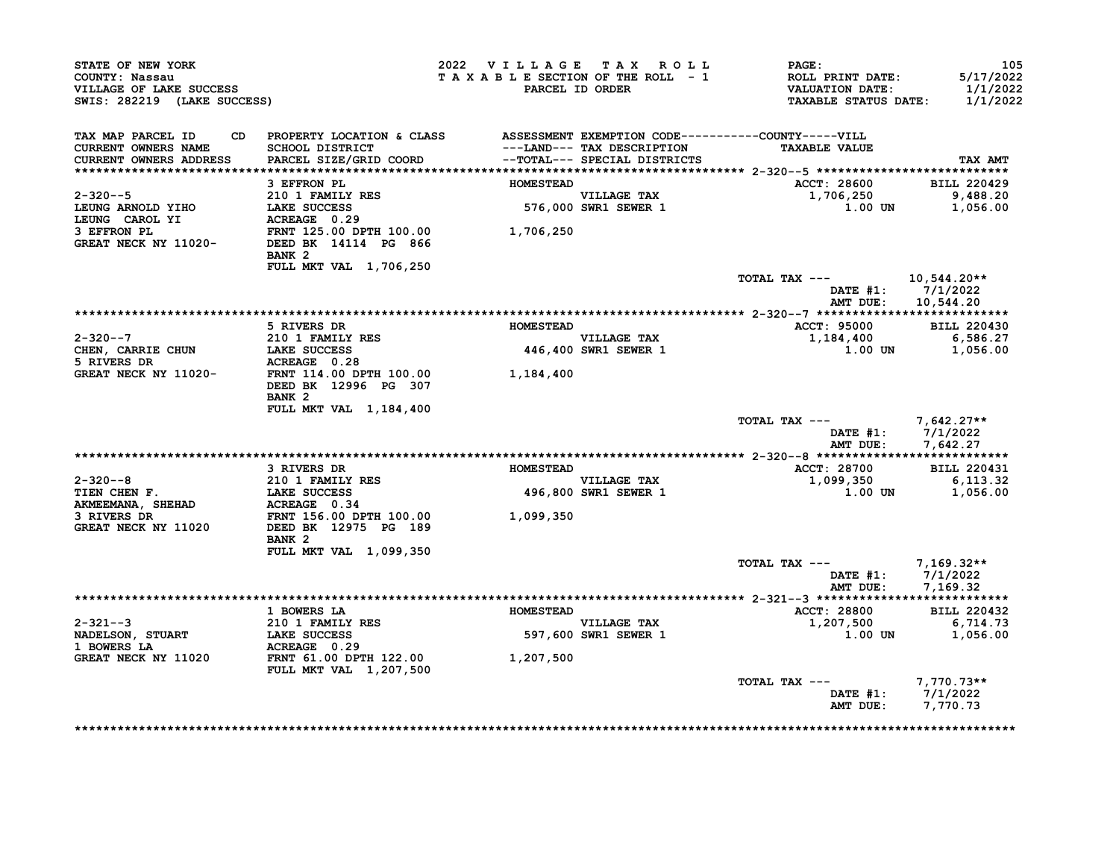| STATE OF NEW YORK<br>COUNTY: Nassau<br>VILLAGE OF LAKE SUCCESS<br>SWIS: 282219 (LAKE SUCCESS)                           |                                                                                                                                                           | 2022 VILLAGE TAX ROLL<br>TAXABLE SECTION OF THE ROLL - 1 | PARCEL ID ORDER                     | $\mathtt{PAGE}$ :<br><b>ROLL PRINT DATE:<br/>VALUATION DATE:</b><br><b>TAXABLE STATUS DATE:</b> | 105<br>5/17/2022<br>1/1/2022<br>1/1/2022 |
|-------------------------------------------------------------------------------------------------------------------------|-----------------------------------------------------------------------------------------------------------------------------------------------------------|----------------------------------------------------------|-------------------------------------|-------------------------------------------------------------------------------------------------|------------------------------------------|
| TAX MAP PARCEL ID<br>CURRENT OWNERS NAME<br>CURRENT OWNERS ADDRESS                                                      | CD PROPERTY LOCATION & CLASS ASSESSMENT EXEMPTION CODE----------COUNTY-----VILL<br>SCHOOL DISTRICT<br>PARCEL SIZE/GRID COORD --TOTAL--- SPECIAL DISTRICTS |                                                          | ---LAND--- TAX DESCRIPTION          | <b>TAXABLE VALUE</b>                                                                            | TAX AMT                                  |
|                                                                                                                         |                                                                                                                                                           |                                                          |                                     |                                                                                                 |                                          |
|                                                                                                                         | 3 EFFRON PL                                                                                                                                               | <b>HOMESTEAD</b>                                         |                                     | ACCT: 28600 BILL 220429                                                                         |                                          |
| $2 - 320 - -5$<br>LEUNG ARNOLD YIHO                                                                                     | 210 1 FAMILY RES<br>ZIU I FAMILI RES<br>LAKE SUCCESS                                                                                                      |                                                          | VILLAGE TAX<br>576,000 SWR1 SEWER 1 | 1,706,250<br>1.00 UN                                                                            | 9,488.20<br>1,056.00                     |
| LEUNG CAROL YI<br>3 EFFRON PL<br>GREAT NECK NY 11020-<br>GREAT NECK NY 11020- DEED BK 14114 PG 866                      | ACREAGE 0.29<br>FRNT 125.00 DPTH 100.00 1,706,250<br>BANK <sub>2</sub>                                                                                    |                                                          |                                     |                                                                                                 |                                          |
|                                                                                                                         | FULL MKT VAL 1,706,250                                                                                                                                    |                                                          |                                     | TOTAL TAX --- 10,544.20**                                                                       |                                          |
|                                                                                                                         |                                                                                                                                                           |                                                          |                                     | DATE $#1: 7/1/2022$<br>AMT DUE: 10,544.20                                                       |                                          |
|                                                                                                                         |                                                                                                                                                           |                                                          |                                     |                                                                                                 |                                          |
| $2 - 320 - -7$                                                                                                          | 5 RIVERS DR<br>210 1 FAMILY RES                                                                                                                           | <b>HOMESTEAD</b>                                         | <b>VILLAGE TAX</b>                  | <b>ACCT: 95000</b><br>1,184,400                                                                 | <b>BILL 220430</b><br>6,586.27           |
| CHEN, CARRIE CHUN LAKE SUCCESS                                                                                          |                                                                                                                                                           |                                                          | 446,400 SWR1 SEWER 1                | $1.00$ UN $1,056.00$                                                                            |                                          |
| 5 RIVERS DR<br>GREAT NECK NY 11020-<br>FRNT 114.00 DPTH 100.00 100 1,184,400                                            | DEED BK 12996 PG 307<br>BANK 2                                                                                                                            |                                                          |                                     |                                                                                                 |                                          |
|                                                                                                                         | FULL MKT VAL 1,184,400                                                                                                                                    |                                                          |                                     | TOTAL TAX $---$ 7,642.27**<br>DATE $#1: 7/1/2022$                                               |                                          |
|                                                                                                                         |                                                                                                                                                           |                                                          |                                     | AMT DUE:                                                                                        | 7,642.27                                 |
|                                                                                                                         | 3 RIVERS DR                                                                                                                                               | <b>HOMESTEAD</b>                                         |                                     | <b>ACCT: 28700</b>                                                                              | <b>BILL 220431</b>                       |
|                                                                                                                         |                                                                                                                                                           |                                                          | VILLAGE TAX                         | 1,099,350                                                                                       | 6,113.32                                 |
| 2-320--8<br>TIEN CHEN F.<br>AKMEEMANA, SHEHAD<br>AKMEEMANA, SHEHAD<br>ACMEEMANA, SHEHAD<br>ACMESIC 0.34<br>ACMESIC 0.34 |                                                                                                                                                           |                                                          | 496,800 SWR1 SEWER 1                | 1.00 UN 1,056.00                                                                                |                                          |
| 3 RIVERS DR<br>GREAT NECK NY 11020                                                                                      | FRNT 156.00 DPTH 100.00 1,099,350<br>DEED BK 12975 PG 189<br>BANK <sub>2</sub>                                                                            |                                                          |                                     |                                                                                                 |                                          |
|                                                                                                                         | FULL MKT VAL 1,099,350                                                                                                                                    |                                                          |                                     |                                                                                                 |                                          |
|                                                                                                                         |                                                                                                                                                           |                                                          |                                     | TOTAL TAX --- 7,169.32**<br>DATE #1: 7/1/2022<br>AMT DUE: 7,169.32                              |                                          |
|                                                                                                                         | 1 BOWERS LA                                                                                                                                               | <b>HOMESTEAD</b>                                         |                                     | <b>ACCT: 28800</b>                                                                              | <b>BILL 220432</b>                       |
| $2 - 321 - -3$<br><b>NADELSON, STUART</b>                                                                               | <b>210 1 FAMILY RES</b><br>LAKE SUCCESS                                                                                                                   |                                                          | VILLAGE TAX<br>597,600 SWR1 SEWER 1 | 1,207,500                                                                                       | 6,714.73<br>1.00 UN 1,056.00             |
| 1 BOWERS LA<br>GREAT NECK NY 11020                                                                                      | ACREAGE 0.29<br>FRNT 61.00 DPTH 122.00 1,207,500<br><b>FULL MKT VAL 1,207,500</b>                                                                         |                                                          |                                     |                                                                                                 |                                          |
|                                                                                                                         |                                                                                                                                                           |                                                          |                                     | TOTAL TAX ---<br>DATE #1: $7/1/2022$<br>AMT DUE:                                                | $7,770.73**$<br>7,770.73                 |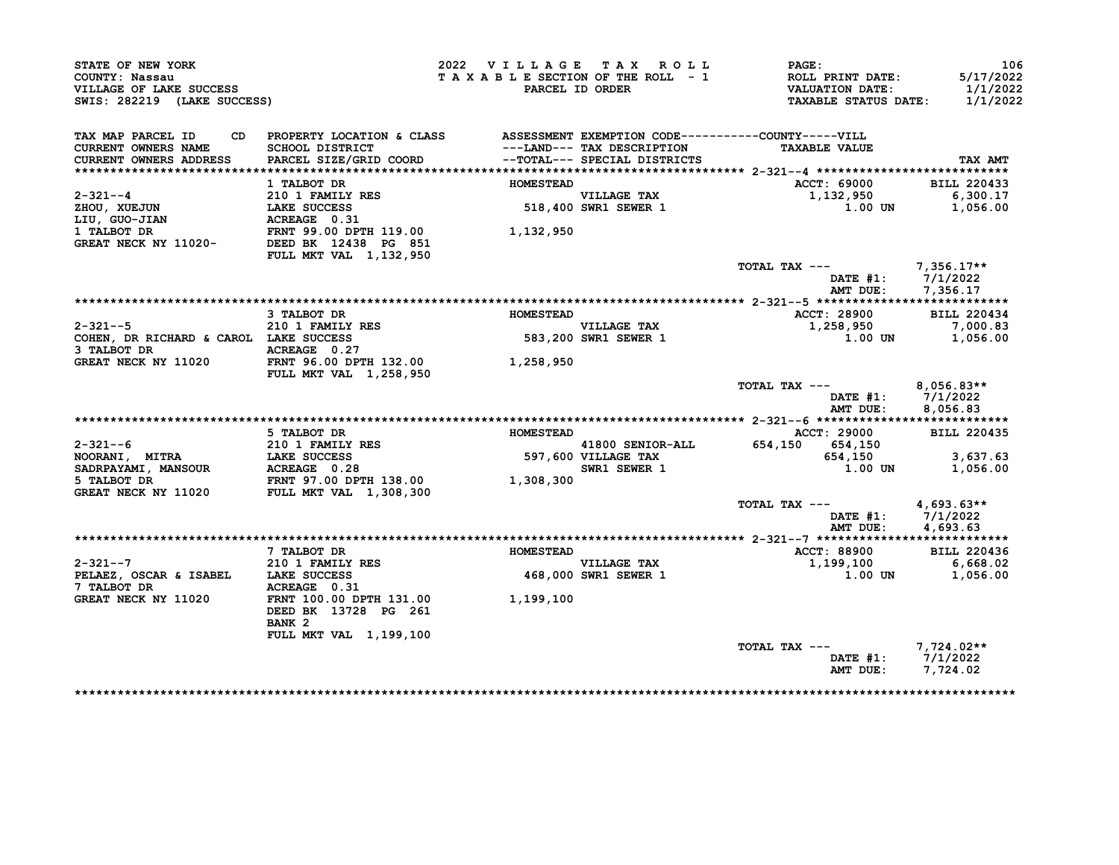| STATE OF NEW YORK<br>COUNTY: Nassau<br>VILLAGE OF LAKE SUCCESS<br>SWIS: 282219 (LAKE SUCCESS) |                                                                                                                                  | 2022 VILLAGE TAX ROLL<br>TAXABLE SECTION OF THE ROLL - 1 | PARCEL ID ORDER                                            | PAGE:<br>ROLL PRINT DATE:<br><b>VALUATION DATE:</b><br><b>TAXABLE STATUS DATE:</b> | 106<br>5/17/2022<br>1/1/2022<br>1/1/2022        |
|-----------------------------------------------------------------------------------------------|----------------------------------------------------------------------------------------------------------------------------------|----------------------------------------------------------|------------------------------------------------------------|------------------------------------------------------------------------------------|-------------------------------------------------|
| TAX MAP PARCEL ID<br>CD<br><b>CURRENT OWNERS NAME</b><br>CURRENT OWNERS ADDRESS               | PROPERTY LOCATION & CLASS ASSESSMENT EXEMPTION CODE----------COUNTY-----VILL<br><b>SCHOOL DISTRICT</b><br>PARCEL SIZE/GRID COORD |                                                          | ---LAND--- TAX DESCRIPTION<br>--TOTAL--- SPECIAL DISTRICTS | <b>TAXABLE VALUE</b>                                                               | TAX AMT                                         |
|                                                                                               |                                                                                                                                  |                                                          |                                                            |                                                                                    |                                                 |
| $2 - 321 - -4$                                                                                | 1 TALBOT DR<br>210 1 FAMILY RES                                                                                                  | <b>HOMESTEAD</b>                                         | <b>VILLAGE TAX</b>                                         | <b>ACCT: 69000</b><br>1,132,950                                                    | <b>BILL 220433</b><br>6,300.17                  |
| ZHOU, XUEJUN                                                                                  | LAKE SUCCESS                                                                                                                     |                                                          | 518,400 SWR1 SEWER 1                                       | 1.00 UN                                                                            | 1,056.00                                        |
| LIU, GUO-JIAN                                                                                 | ACREAGE 0.31                                                                                                                     |                                                          |                                                            |                                                                                    |                                                 |
| 1 TALBOT DR<br>GREAT NECK NY 11020-                                                           | FRNT 99.00 DPTH 119.00<br>DEED BK 12438 PG 851                                                                                   | 1,132,950                                                |                                                            |                                                                                    |                                                 |
|                                                                                               | FULL MKT VAL 1, 132, 950                                                                                                         |                                                          |                                                            |                                                                                    |                                                 |
|                                                                                               |                                                                                                                                  |                                                          |                                                            | TOTAL TAX ---<br>DATE $#1: 7/1/2022$<br>AMT DUE:                                   | 7,356.17**<br>7,356.17                          |
|                                                                                               |                                                                                                                                  |                                                          |                                                            |                                                                                    |                                                 |
|                                                                                               | 3 TALBOT DR                                                                                                                      | <b>HOMESTEAD</b>                                         |                                                            | <b>ACCT: 28900</b>                                                                 | <b>BILL 220434</b>                              |
| $2 - 321 - -5$                                                                                | 210 1 FAMILY RES                                                                                                                 |                                                          | VILLAGE TAX                                                | 1,258,950                                                                          | 7,000.83                                        |
| COHEN, DR RICHARD & CAROL LAKE SUCCESS                                                        |                                                                                                                                  |                                                          | 583,200 SWR1 SEWER 1                                       | $1.00$ UN                                                                          | 1,056.00                                        |
| 3 TALBOT DR<br>GREAT NECK NY 11020                                                            | ACREAGE 0.27<br>FRNT 96.00 DPTH 132.00<br>FULL MKT VAL 1,258,950                                                                 | 1,258,950                                                |                                                            |                                                                                    |                                                 |
|                                                                                               |                                                                                                                                  |                                                          |                                                            | TOTAL TAX ---<br>AMT DUE:                                                          | $8,056.83**$<br>DATE $#1: 7/1/2022$<br>8,056.83 |
|                                                                                               |                                                                                                                                  |                                                          |                                                            |                                                                                    |                                                 |
|                                                                                               | 5 TALBOT DR                                                                                                                      | <b>HOMESTEAD</b>                                         |                                                            | ACCT: 29000                                                                        | <b>BILL 220435</b>                              |
| $2 - 321 - -6$                                                                                | 210 1 FAMILY RES                                                                                                                 |                                                          | 41800 SENIOR-ALL                                           | 654,150 654,150                                                                    |                                                 |
| NOORANI, MITRA                                                                                |                                                                                                                                  |                                                          | 597,600 VILLAGE TAX                                        | 654,150                                                                            | 3,637.63                                        |
| <b>SADRPAYAMI, MANSOUR</b>                                                                    |                                                                                                                                  |                                                          | SWR1 SEWER 1                                               | 1.00 UN                                                                            | 1,056.00                                        |
| 5 TALBOT DR<br>GREAT NECK NY 11020                                                            | <b>LIV 1 11211-11213</b><br><b>ACREAGE 0.28<br/>FRNT 97.00 DPTH 138.00<br/>FULL MKT VAL 1,308,300</b>                            | 1,308,300                                                |                                                            |                                                                                    |                                                 |
|                                                                                               |                                                                                                                                  |                                                          |                                                            | TOTAL TAX ---                                                                      | $4,693.63**$                                    |
|                                                                                               |                                                                                                                                  |                                                          |                                                            | DATE $#1:$                                                                         | 7/1/2022                                        |
|                                                                                               |                                                                                                                                  |                                                          |                                                            | AMT DUE:                                                                           | 4,693.63                                        |
|                                                                                               |                                                                                                                                  |                                                          |                                                            |                                                                                    |                                                 |
|                                                                                               | 7 TALBOT DR                                                                                                                      | <b>HOMESTEAD</b>                                         |                                                            | ACCT: 88900                                                                        | <b>BILL 220436</b>                              |
| $2 - 321 - -7$                                                                                | 210 1 FAMILY RES                                                                                                                 |                                                          | VILLAGE TAX                                                | 1,199,100                                                                          | 6,668.02                                        |
| PELAEZ, OSCAR & ISABEL LAKE SUCCESS                                                           |                                                                                                                                  |                                                          | 468,000 SWR1 SEWER 1                                       | 1.00 UN                                                                            | 1,056.00                                        |
| 7 TALBOT DR<br>GREAT NECK NY 11020                                                            | ACREAGE 0.31<br>FRNT 100.00 DPTH 131.00                                                                                          |                                                          |                                                            |                                                                                    |                                                 |
|                                                                                               | DEED BK 13728 PG 261<br>BANK <sub>2</sub>                                                                                        | 1,199,100                                                |                                                            |                                                                                    |                                                 |
|                                                                                               | <b>FULL MKT VAL 1,199,100</b>                                                                                                    |                                                          |                                                            |                                                                                    |                                                 |
|                                                                                               |                                                                                                                                  |                                                          |                                                            | TOTAL TAX ---                                                                      | $7,724.02**$                                    |
|                                                                                               |                                                                                                                                  |                                                          |                                                            | DATE $#1$ :<br>AMT DUE:                                                            | 7/1/2022<br>7,724.02                            |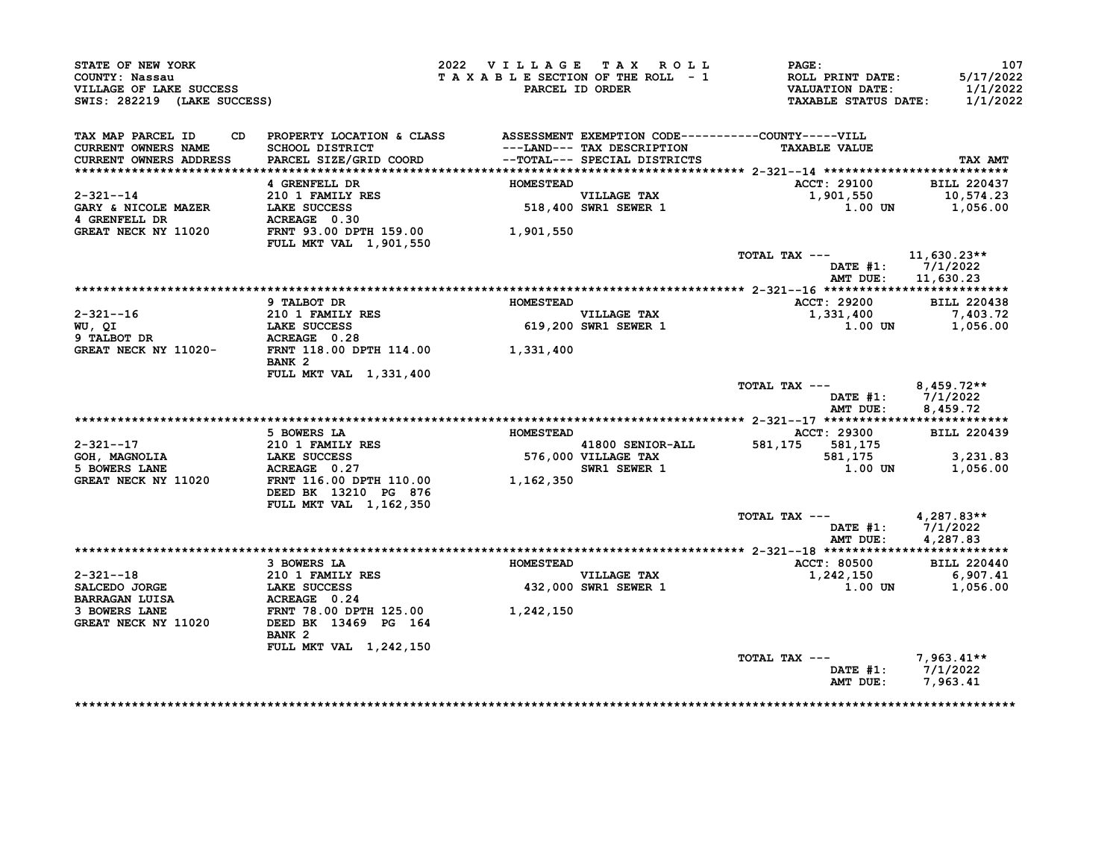| STATE OF NEW YORK<br>COUNTY: Nassau<br>VILLAGE OF LAKE SUCCESS<br>SWIS: 282219 (LAKE SUCCESS)                                                   |                                                                                 | 2022 VILLAGE TAX ROLL<br>TAXABLE SECTION OF THE ROLL - 1 | PARCEL ID ORDER                     | <b>PAGE :</b><br>ROLL PRINT DATE:<br>VALUATION DATE:<br><b>TAXABLE STATUS DATE:</b> | 107<br>5/17/2022<br>1/1/2022<br>1/1/2022    |
|-------------------------------------------------------------------------------------------------------------------------------------------------|---------------------------------------------------------------------------------|----------------------------------------------------------|-------------------------------------|-------------------------------------------------------------------------------------|---------------------------------------------|
| TAX MAP PARCEL ID<br><b>CURRENT OWNERS NAME</b><br><b>CURRENT OWNERS ADDRESS</b>                                                                | CD PROPERTY LOCATION & CLASS ASSESSMENT EXEMPTION CODE----------COUNTY-----VILL |                                                          |                                     | <b>TAXABLE VALUE</b>                                                                | TAX AMT                                     |
|                                                                                                                                                 | 4 GRENFELL DR                                                                   | <b>HOMESTEAD</b>                                         |                                     | ACCT: 29100                                                                         | <b>BILL 220437</b>                          |
| 2-321--14                                                                                                                                       |                                                                                 |                                                          |                                     | 1,901,550                                                                           | 10,574.23                                   |
| GARY & NICOLE MAZER<br>4 GRENFELL DR                                                                                                            | 210 1 FAMILY RES<br>LAKE SUCCESS<br>LAKE SUCCESS                                |                                                          | VILLAGE TAX<br>518,400 SWR1 SEWER 1 | $1.00$ UN $1,056.00$                                                                |                                             |
| GREAT NECK NY 11020                                                                                                                             | <b>FULL MKT VAL 1,901,550</b>                                                   | 1,901,550                                                |                                     |                                                                                     |                                             |
|                                                                                                                                                 |                                                                                 |                                                          |                                     | TOTAL TAX --- $11,630.23**$<br>AMT DUE:                                             | DATE $#1: 7/1/2022$<br>11,630.23            |
|                                                                                                                                                 |                                                                                 |                                                          |                                     |                                                                                     |                                             |
|                                                                                                                                                 | 9 TALBOT DR                                                                     | <b>HOMESTEAD</b>                                         |                                     | <b>ACCT: 29200</b>                                                                  | <b>BILL 220438</b>                          |
|                                                                                                                                                 |                                                                                 |                                                          | <b>VILLAGE TAX</b>                  | 1,331,400                                                                           |                                             |
|                                                                                                                                                 |                                                                                 |                                                          | 619,200 SWR1 SEWER 1                | 1.00 UN                                                                             | 7,403.72<br>1,056.00                        |
|                                                                                                                                                 |                                                                                 |                                                          |                                     |                                                                                     |                                             |
| 2-321--16 210 1 FAMILY RES<br>WU, QI LAKE SUCCESS 619,200<br>9 TALBOT DR ACREAGE 0.28 GREAT NECK NY 11020-<br>FRNT 118.00 DPTH 114.00 1,331,400 | BANK <sub>2</sub>                                                               |                                                          |                                     |                                                                                     |                                             |
|                                                                                                                                                 | FULL MKT VAL 1,331,400                                                          |                                                          |                                     |                                                                                     |                                             |
|                                                                                                                                                 |                                                                                 |                                                          |                                     | TOTAL TAX ---                                                                       | 8,459.72**<br>DATE $#1: 7/1/2022$           |
|                                                                                                                                                 |                                                                                 |                                                          |                                     | AMT DUE:                                                                            | 8,459.72                                    |
|                                                                                                                                                 | 5 BOWERS LA                                                                     | <b>HOMESTEAD</b>                                         |                                     | <b>ACCT: 29300</b>                                                                  | <b>BILL 220439</b>                          |
| $2 - 321 - -17$                                                                                                                                 |                                                                                 |                                                          | 41800 SENIOR-ALL                    | 581,175 581,175                                                                     |                                             |
|                                                                                                                                                 | 210 1 FAMILY RES<br>LAKE SUCCESS                                                |                                                          | 576,000 VILLAGE TAX                 | 581,175                                                                             | 3,231.83                                    |
| GOH, MAGNOLIA<br>5 BOWERS LANE<br>5 BOWERS LANE                                                                                                 | ACREAGE 0.27                                                                    |                                                          | SWR1 SEWER 1                        | 1.00 UN                                                                             | 1,056.00                                    |
| GREAT NECK NY 11020                                                                                                                             | FRNT 116.00 DPTH 110.00 1,162,350<br>DEED BK 13210 PG 876                       |                                                          |                                     |                                                                                     |                                             |
|                                                                                                                                                 | FULL MKT VAL 1,162,350                                                          |                                                          |                                     |                                                                                     |                                             |
|                                                                                                                                                 |                                                                                 |                                                          |                                     | TOTAL TAX ---<br>AMT DUE:                                                           | 4,287.83**<br>DATE #1: 7/1/2022<br>4,287.83 |
|                                                                                                                                                 |                                                                                 |                                                          |                                     |                                                                                     |                                             |
|                                                                                                                                                 | 3 BOWERS LA                                                                     | <b>HOMESTEAD</b>                                         |                                     | ACCT: 80500                                                                         | <b>BILL 220440</b>                          |
| $2 - 321 - -18$                                                                                                                                 |                                                                                 |                                                          | <b>VILLAGE TAX</b>                  | 1,242,150 6,907.41<br>1.00 UN 1,056.00                                              |                                             |
| SALCEDO JORGE                                                                                                                                   | <b>210 1 FAMILY RES<br/>LAKE SUCCESS<br/>ACREAGE 0.24</b>                       |                                                          | 432,000 SWR1 SEWER 1                |                                                                                     |                                             |
| <b>BARRAGAN LUISA</b>                                                                                                                           |                                                                                 |                                                          |                                     |                                                                                     |                                             |
| 3 BOWERS LANE<br>GREAT NECK NY 11020                                                                                                            | FRNT 78.00 DPTH 125.00<br>DEED BK 13469 PG 164<br>BANK <sub>2</sub>             | 1,242,150                                                |                                     |                                                                                     |                                             |
|                                                                                                                                                 | FULL MKT VAL 1,242,150                                                          |                                                          |                                     |                                                                                     |                                             |
|                                                                                                                                                 |                                                                                 |                                                          |                                     | TOTAL TAX --- $7,963.41**$                                                          |                                             |
|                                                                                                                                                 |                                                                                 |                                                          |                                     | AMT DUE: 7,963.41                                                                   | DATE #1: 7/1/2022                           |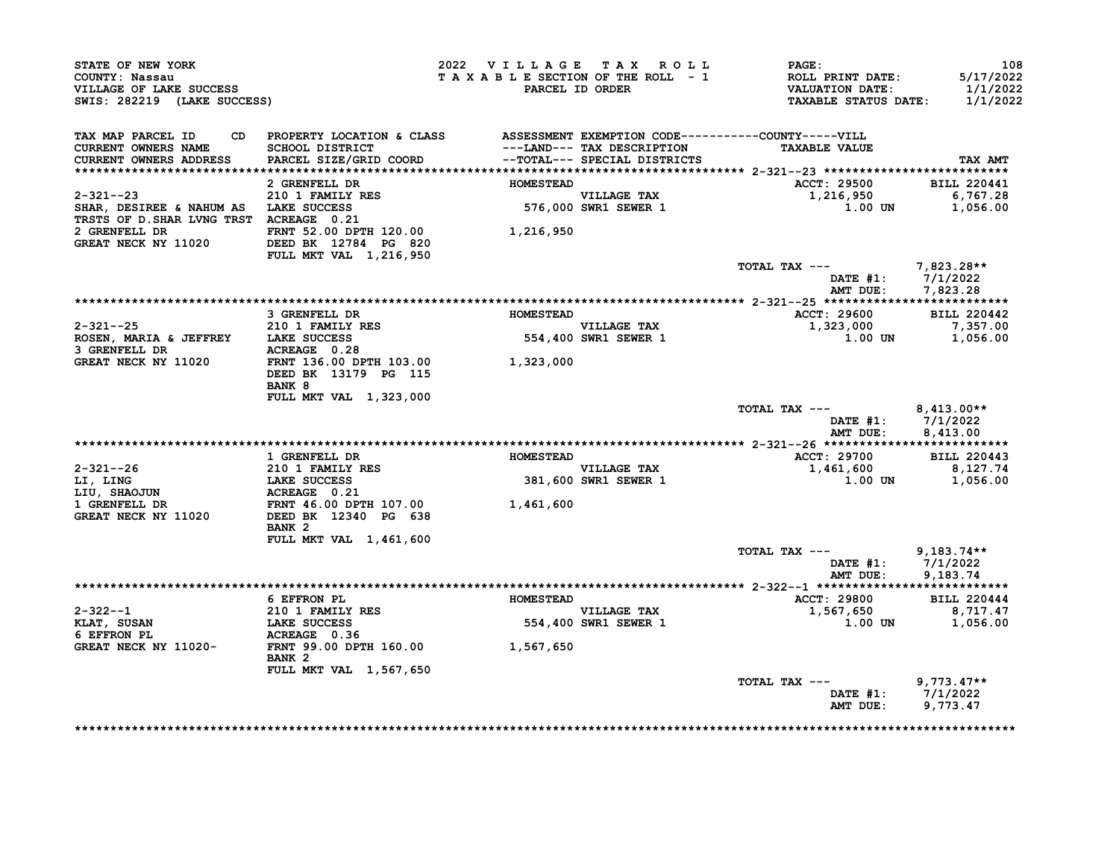| STATE OF NEW YORK<br>COUNTY: Nassau<br>VILLAGE OF LAKE SUCCESS<br>SWIS: 282219 (LAKE SUCCESS)       |                                                                                                                              | 2022 VILLAGE TAX ROLL<br>TAXABLE SECTION OF THE ROLL - 1 | PARCEL ID ORDER                                            | PAGE:<br>ROLL PRINT DATE:<br><b>VALUATION DATE:</b><br><b>TAXABLE STATUS DATE:</b> | 108<br>5/17/2022<br>1/1/2022<br>1/1/2022 |
|-----------------------------------------------------------------------------------------------------|------------------------------------------------------------------------------------------------------------------------------|----------------------------------------------------------|------------------------------------------------------------|------------------------------------------------------------------------------------|------------------------------------------|
| TAX MAP PARCEL ID<br>CURRENT OWNERS NAME<br>CURRENT OWNERS ADDRESS                                  | CD PROPERTY LOCATION & CLASS ASSESSMENT EXEMPTION CODE----------COUNTY-----VILL<br>SCHOOL DISTRICT<br>PARCEL SIZE/GRID COORD |                                                          | ---LAND--- TAX DESCRIPTION<br>--TOTAL--- SPECIAL DISTRICTS | <b>TAXABLE VALUE</b>                                                               | TAX AMT                                  |
|                                                                                                     | 2 GRENFELL DR                                                                                                                | <b>HOMESTEAD</b>                                         |                                                            | ACCT: 29500                                                                        | <b>BILL 220441</b>                       |
| $2 - 321 - -23$<br>SHAR, DESIREE & NAHUM AS LAKE SUCCESS<br>TRSTS OF D. SHAR LVNG TRST ACREAGE 0.21 | 210 1 FAMILY RES                                                                                                             |                                                          | VILLAGE TAX<br>576,000 SWR1 SEWER 1                        | 1,216,950<br>1.00 UN                                                               | 6,767.28<br>1,056.00                     |
| 2 GRENFELL DR<br>GREAT NECK NY 11020                                                                | FRNT 52.00 DPTH 120.00<br>DEED BK 12784 PG 820<br>FULL MKT VAL 1,216,950                                                     | 1,216,950                                                |                                                            |                                                                                    |                                          |
|                                                                                                     |                                                                                                                              |                                                          |                                                            | TOTAL TAX ---<br>DATE #1:<br>AMT DUE:                                              | $7,823.28**$<br>7/1/2022<br>7,823.28     |
|                                                                                                     |                                                                                                                              |                                                          |                                                            |                                                                                    |                                          |
|                                                                                                     | 3 GRENFELL DR                                                                                                                | <b>HOMESTEAD</b>                                         |                                                            | ACCT: 29600                                                                        | <b>BILL 220442</b>                       |
| $2 - 321 - -25$                                                                                     | 210 1 FAMILY RES                                                                                                             |                                                          | <b>VILLAGE TAX</b>                                         | 1,323,000                                                                          | 7,357.00                                 |
| ROSEN, MARIA & JEFFREY                                                                              | <b>LAKE SUCCESS</b>                                                                                                          |                                                          | 554,400 SWR1 SEWER 1                                       | 1.00 UN                                                                            | 1,056.00                                 |
| 3 GRENFELL DR                                                                                       | ACREAGE 0.28                                                                                                                 |                                                          |                                                            |                                                                                    |                                          |
| GREAT NECK NY 11020                                                                                 | FRNT 136.00 DPTH 103.00                                                                                                      | 1,323,000                                                |                                                            |                                                                                    |                                          |
|                                                                                                     | DEED BK 13179 PG 115<br>BANK 8                                                                                               |                                                          |                                                            |                                                                                    |                                          |
|                                                                                                     | FULL MKT VAL 1,323,000                                                                                                       |                                                          |                                                            |                                                                                    |                                          |
|                                                                                                     |                                                                                                                              |                                                          |                                                            | TOTAL TAX ---<br>DATE $#1$ :                                                       | $8,413.00**$<br>7/1/2022                 |
|                                                                                                     |                                                                                                                              |                                                          |                                                            | AMT DUE:                                                                           | 8.413.00                                 |
|                                                                                                     |                                                                                                                              |                                                          |                                                            |                                                                                    |                                          |
|                                                                                                     | 1 GRENFELL DR                                                                                                                | <b>HOMESTEAD</b>                                         |                                                            | ACCT: 29700                                                                        | <b>BILL 220443</b>                       |
| $2 - 321 - -26$                                                                                     | 210 1 FAMILY RES                                                                                                             |                                                          | <b>VILLAGE TAX</b>                                         | 1,461,600                                                                          | 8,127.74                                 |
| LI, LING                                                                                            | <b>LAKE SUCCESS</b>                                                                                                          |                                                          | 381,600 SWR1 SEWER 1                                       | 1.00 UN                                                                            | 1,056.00                                 |
| LIU, SHAOJUN                                                                                        | ACREAGE 0.21                                                                                                                 |                                                          |                                                            |                                                                                    |                                          |
| 1 GRENFELL DR                                                                                       | FRNT 46.00 DPTH 107.00                                                                                                       | 1,461,600                                                |                                                            |                                                                                    |                                          |
| GREAT NECK NY 11020                                                                                 | DEED BK 12340 PG 638<br>BANK <sub>2</sub>                                                                                    |                                                          |                                                            |                                                                                    |                                          |
|                                                                                                     | <b>FULL MKT VAL 1,461,600</b>                                                                                                |                                                          |                                                            |                                                                                    |                                          |
|                                                                                                     |                                                                                                                              |                                                          |                                                            | TOTAL TAX ---                                                                      | $9.183.74**$                             |
|                                                                                                     |                                                                                                                              |                                                          |                                                            | DATE #1:                                                                           | 7/1/2022                                 |
|                                                                                                     |                                                                                                                              |                                                          |                                                            | AMT DUE:                                                                           | 9,183.74                                 |
|                                                                                                     |                                                                                                                              |                                                          |                                                            |                                                                                    |                                          |
|                                                                                                     | 6 EFFRON PL                                                                                                                  | <b>HOMESTEAD</b>                                         |                                                            | ACCT: 29800                                                                        | <b>BILL 220444</b>                       |
| 2-322--1                                                                                            | <b>210 1 FAMILY RES</b>                                                                                                      |                                                          | VILLAGE TAX                                                | 1,567,650                                                                          | 8,717.47                                 |
| KLAT, SUSAN<br>6 EFFRON PL                                                                          | LAKE SUCCESS<br>ACREAGE 0.36                                                                                                 |                                                          | 554,400 SWR1 SEWER 1                                       | <b>1.00 UN</b>                                                                     | 1,056.00                                 |
| GREAT NECK NY 11020-                                                                                | FRNT 99.00 DPTH 160.00                                                                                                       | 1,567,650                                                |                                                            |                                                                                    |                                          |
|                                                                                                     | BANK <sub>2</sub>                                                                                                            |                                                          |                                                            |                                                                                    |                                          |
|                                                                                                     | FULL MKT VAL 1,567,650                                                                                                       |                                                          |                                                            | TOTAL TAX ---                                                                      | $9,773.47**$                             |
|                                                                                                     |                                                                                                                              |                                                          |                                                            | DATE #1:                                                                           | 7/1/2022                                 |

\*\*\*\*\*\*\*\*\*\*\*\*\*\*\*\*\*\*\*\*\*\*\*\*\*\*\*\*\*\*\*\*\*\*\*\*\*\*\*\*\*\*\*\*\*\*\*\*\*\*\*\*\*\*\*\*\*\*\*\*\*\*\*\*\*\*\*\*\*\*\*\*\*\*\*\*\*\*\*\*\*\*\*\*\*\*\*\*\*\*\*\*\*\*\*\*\*\*\*\*\*\*\*\*\*\*\*\*\*\*\*\*\*\*\*\*\*\*\*\*\*\*\*\*\*\*\*\*\*\*\*\*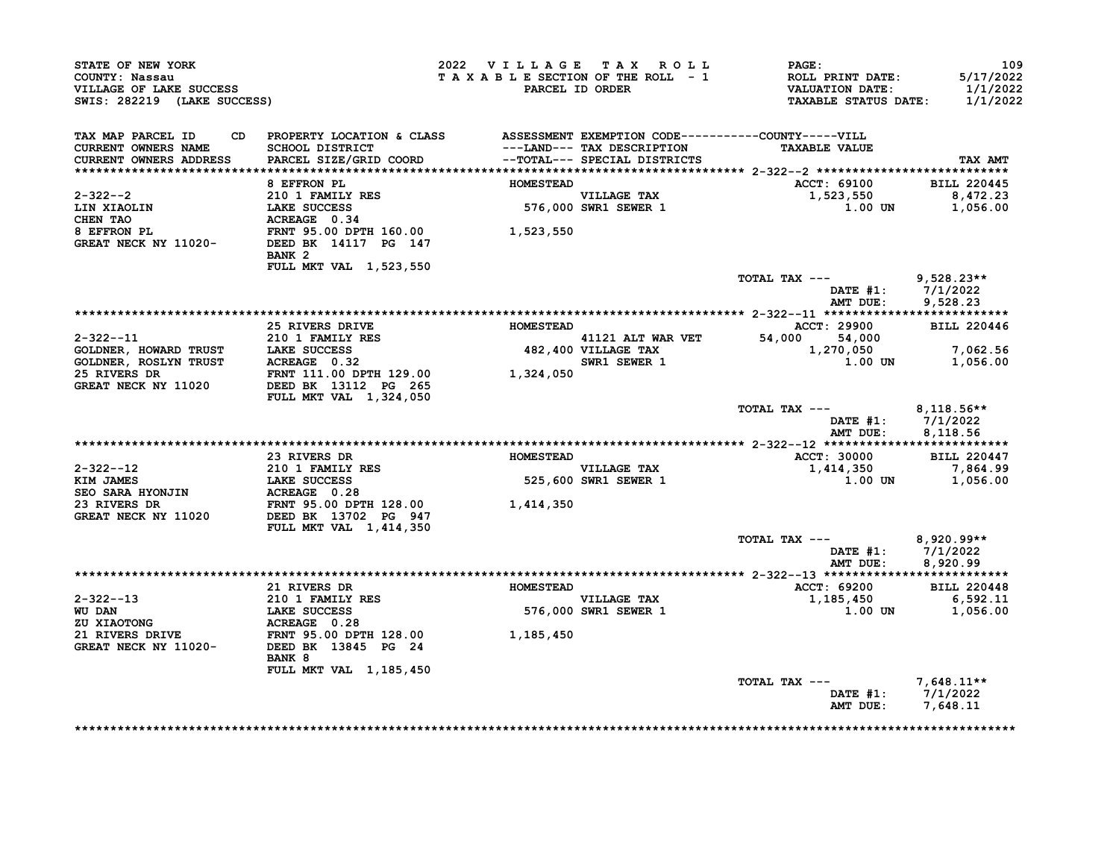| STATE OF NEW YORK<br>COUNTY: Nassau<br>VILLAGE OF LAKE SUCCESS<br>SWIS: 282219 (LAKE SUCCESS)                                                                                                                                                       |                                                                                 | 2022 VILLAGE TAX ROLL<br>TAXABLE SECTION OF THE ROLL - 1 | PARCEL ID ORDER                                           | <b>PAGE:</b><br>ROLL PRINT DATE: 5/17/2022<br>VALUATION DATE: 1/1/2022<br>TAXABLE STATUS DATE: 1/1/2022 | 109                |
|-----------------------------------------------------------------------------------------------------------------------------------------------------------------------------------------------------------------------------------------------------|---------------------------------------------------------------------------------|----------------------------------------------------------|-----------------------------------------------------------|---------------------------------------------------------------------------------------------------------|--------------------|
| TAX MAP PARCEL ID<br>CURRENT OWNERS NAME                                                                                                                                                                                                            | CD PROPERTY LOCATION & CLASS ASSESSMENT EXEMPTION CODE----------COUNTY-----VILL |                                                          | ---LAND--- TAX DESCRIPTION                                | <b>TAXABLE VALUE</b>                                                                                    |                    |
| <b>CURRENT OWNERS ADDRESS</b>                                                                                                                                                                                                                       |                                                                                 |                                                          |                                                           |                                                                                                         | TAX AMT            |
|                                                                                                                                                                                                                                                     | 8 EFFRON PL                                                                     | <b>HOMESTEAD</b>                                         |                                                           | ACCT: 69100 BILL 220445                                                                                 |                    |
| $2 - 322 - -2$                                                                                                                                                                                                                                      |                                                                                 |                                                          |                                                           |                                                                                                         |                    |
| LIN XIAOLIN<br>CHEN TAO                                                                                                                                                                                                                             | 210 1 FAMILY RES<br>LAKE SUCCESS<br>ACREAGE 0.34                                |                                                          | VILLAGE TAX<br>576,000 SWR1 SEWER 1                       | 1,523,550 8,472.23<br>1.00 UN 1,056.00                                                                  |                    |
| 8 EFFRON PL<br>9 EFFRON PL<br>S EFFRON PL<br>GREAT NECK NY 11020-<br>DEED BK 14117 PG 147                                                                                                                                                           | BANK <sub>2</sub>                                                               |                                                          |                                                           |                                                                                                         |                    |
|                                                                                                                                                                                                                                                     | FULL MKT VAL 1,523,550                                                          |                                                          |                                                           | TOTAL TAX --- 9,528.23**                                                                                |                    |
|                                                                                                                                                                                                                                                     |                                                                                 |                                                          |                                                           | DATE $#1: 7/1/2022$<br>AMT DUE:                                                                         | 9,528.23           |
|                                                                                                                                                                                                                                                     |                                                                                 |                                                          |                                                           |                                                                                                         |                    |
|                                                                                                                                                                                                                                                     | 25 RIVERS DRIVE NOMESTEAD                                                       |                                                          |                                                           | <b>ACCT: 29900</b><br>41121 ALT WAR VET 54,000 54,000<br>482,400 VILLAGE TAX 1,270,050 1,062.56         | <b>BILL 220446</b> |
|                                                                                                                                                                                                                                                     |                                                                                 |                                                          | $SWR1$ SEWER 1                                            | 1.00 UN                                                                                                 | 1,056.00           |
| 2-322--11<br>COLDNER, HOWARD TRUST<br>COLDNER, ROSLYN TRUST<br>COLDNER, ROSLYN TRUST<br>210 1 FAMILY RES<br>25 RIVERS DR<br>25 RIVERS DR<br>25 RIVERS DR<br>25 RIVERS DR<br>27 PRIT 111.00 DPTH 129.00<br>27 RIVERS DR<br>27 PRIT 111.00 DPTH 129.0 | <b>FULL MKT VAL 1,324,050</b>                                                   |                                                          |                                                           |                                                                                                         |                    |
|                                                                                                                                                                                                                                                     |                                                                                 |                                                          |                                                           | TOTAL TAX --- 8,118.56**<br>DATE #1: 7/1/2022<br>AMT DUE:                                               | 8,118.56           |
|                                                                                                                                                                                                                                                     |                                                                                 |                                                          |                                                           |                                                                                                         |                    |
|                                                                                                                                                                                                                                                     | 23 RIVERS DR                                                                    | <b>HOMESTEAD</b>                                         |                                                           | ACCT: 30000                                                                                             | <b>BILL 220447</b> |
|                                                                                                                                                                                                                                                     |                                                                                 |                                                          | VILLAGE TAX<br>525,600 SWR1 SEWER 1<br><b>VILLAGE TAX</b> | 1,414,350                                                                                               | 7,864.99           |
|                                                                                                                                                                                                                                                     |                                                                                 |                                                          |                                                           | $1.00$ UN $1,056.00$                                                                                    |                    |
|                                                                                                                                                                                                                                                     |                                                                                 |                                                          |                                                           |                                                                                                         |                    |
| 2-322--12<br>EXMINITERES<br>EXMINITERES<br>SEO SARA HYONJIN ACREAGE 0.28<br>23 RIVERS DR<br>CREAT NECK NY 11020 DEED BK 13702 PG 947<br>CREAT NECK NY 11020 DEED BK 13702 PG 947                                                                    | FULL MKT VAL 1, 414, 350                                                        |                                                          |                                                           |                                                                                                         |                    |
|                                                                                                                                                                                                                                                     |                                                                                 |                                                          |                                                           | TOTAL TAX --- $8,920.99**$                                                                              |                    |
|                                                                                                                                                                                                                                                     |                                                                                 |                                                          |                                                           | DATE #1: 7/1/2022<br>AMT DUE: 8,920.99                                                                  |                    |
|                                                                                                                                                                                                                                                     |                                                                                 |                                                          |                                                           |                                                                                                         |                    |
|                                                                                                                                                                                                                                                     | 21 RIVERS DR                                                                    | <b>HOMESTEAD</b>                                         |                                                           | <b>ACCT: 69200</b>                                                                                      | <b>BILL 220448</b> |
|                                                                                                                                                                                                                                                     |                                                                                 |                                                          | VILLAGE TAX<br>576,000 SWR1 SEWER 1                       | 1,185,450 6,592.11<br>1.00 UN 1,056.00                                                                  |                    |
|                                                                                                                                                                                                                                                     |                                                                                 |                                                          |                                                           |                                                                                                         |                    |
| 2-322--13<br>WU DAN<br>210 1 FAMILY RES<br>210 1 FAMILY RES<br>210 1 FAMILY RES<br>210 21 RIVERS<br>21 RIVERS DRIVE<br>21 RIVERS DRIVE<br>21 RIVERS DRIVE<br>FRNT 95.00 DPTH 128.00<br>21 RIVERS DRIVE<br>FRNT 95.00 DPTH 128.00<br>24 1,185,450    |                                                                                 |                                                          |                                                           |                                                                                                         |                    |
|                                                                                                                                                                                                                                                     | <b>BANK 8</b>                                                                   |                                                          |                                                           |                                                                                                         |                    |
|                                                                                                                                                                                                                                                     | FULL MKT VAL 1,185,450                                                          |                                                          |                                                           | TOTAL TAX --- $7,648.11**$                                                                              |                    |
|                                                                                                                                                                                                                                                     |                                                                                 |                                                          |                                                           | DATE #1: 7/1/2022<br>AMT DUE: 7,648.11                                                                  |                    |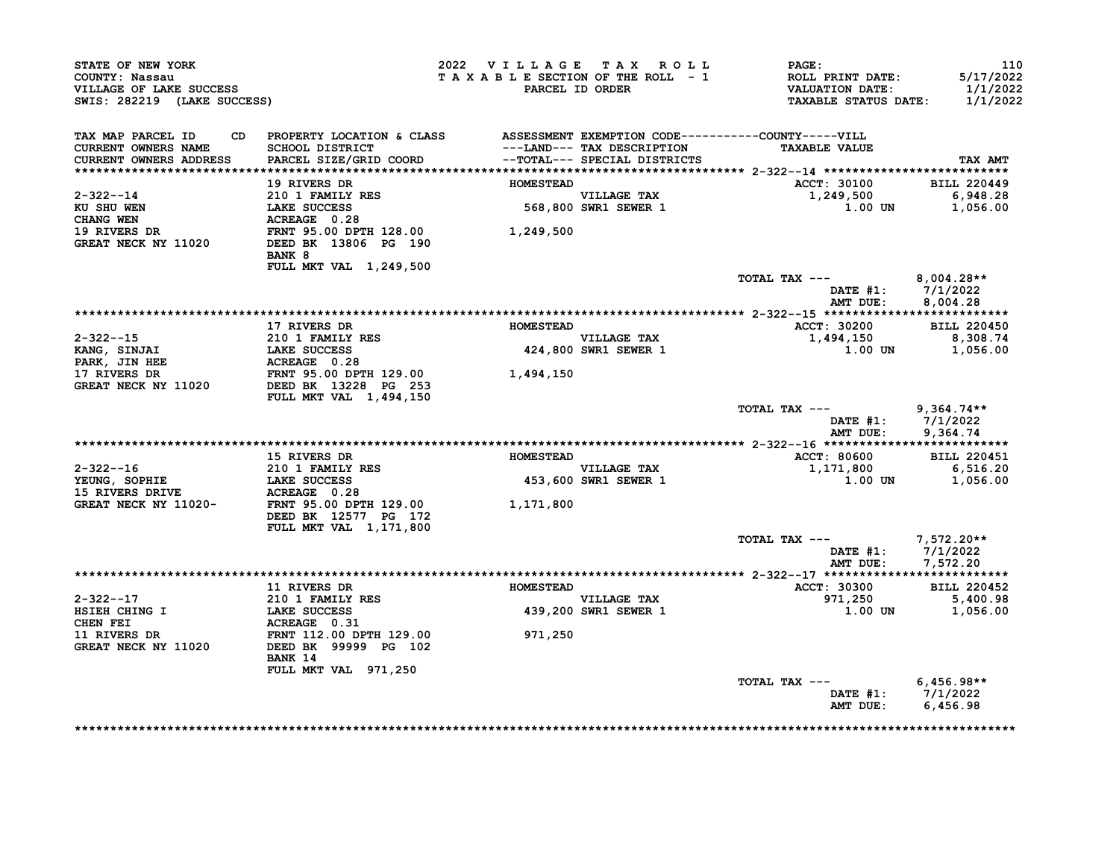| STATE OF NEW YORK<br>COUNTY: Nassau<br>VILLAGE OF LAKE SUCCESS<br>SWIS: 282219 (LAKE SUCCESS)                                                                                            |                                                                                                                                               | 2022 VILLAGE TAX ROLL<br>TAXABLE SECTION OF THE ROLL - 1 | PARCEL ID ORDER                                           | $\mathbf{PAGE}$ :<br>ROLL PRINT DATE:<br>VALUATION DATE:<br>TAXABLE STATUS DATE: 1/1/2022 | 110<br>5/17/2022<br>1/1/2022           |
|------------------------------------------------------------------------------------------------------------------------------------------------------------------------------------------|-----------------------------------------------------------------------------------------------------------------------------------------------|----------------------------------------------------------|-----------------------------------------------------------|-------------------------------------------------------------------------------------------|----------------------------------------|
| TAX MAP PARCEL ID CD PROPERTY LOCATION & CLASS ASSESSMENT EXEMPTION CODE----------COUNTY-----VILL                                                                                        |                                                                                                                                               |                                                          |                                                           |                                                                                           |                                        |
| CURRENT OWNERS NAME<br>CURRENT OWNERS ADDRESS                                                                                                                                            |                                                                                                                                               |                                                          | ---LAND--- TAX DESCRIPTION                                | <b>TAXABLE VALUE</b>                                                                      | TAX AMT                                |
|                                                                                                                                                                                          |                                                                                                                                               |                                                          |                                                           |                                                                                           |                                        |
|                                                                                                                                                                                          | 19 RIVERS DR                                                                                                                                  | <b>HOMESTEAD</b>                                         |                                                           | ACCT: 30100 BILL 220449                                                                   |                                        |
| 2-322--14                                                                                                                                                                                |                                                                                                                                               |                                                          | VILLAGE TAX<br>568,800 SWR1 SEWER 1                       | 1,249,500 6,948.28<br>1.00 UN 1,056.00                                                    |                                        |
| KU SHU WEN                                                                                                                                                                               |                                                                                                                                               |                                                          |                                                           |                                                                                           |                                        |
| CHANG WEN                                                                                                                                                                                |                                                                                                                                               |                                                          |                                                           |                                                                                           |                                        |
| 19 RIVERS DR<br>GREAT NECK NY 11020                                                                                                                                                      | 210 1 FAMILY RES<br>LAKE SUCCESS 568,800<br>ACREAGE 0.28 568,800<br>FRNT 95.00 DPTH 128.00 1,249,500<br>DEED BK 13806 PG 190<br><b>BANK 8</b> |                                                          |                                                           |                                                                                           |                                        |
|                                                                                                                                                                                          | FULL MKT VAL 1,249,500                                                                                                                        |                                                          |                                                           |                                                                                           |                                        |
|                                                                                                                                                                                          |                                                                                                                                               |                                                          |                                                           | TOTAL TAX --- $8,004.28**$                                                                |                                        |
|                                                                                                                                                                                          |                                                                                                                                               |                                                          |                                                           |                                                                                           | DATE #1: 7/1/2022<br>AMT DUE: 8,004.28 |
|                                                                                                                                                                                          | 17 RIVERS DR                                                                                                                                  | <b>HOMESTEAD</b>                                         |                                                           | ACCT: 30200 BILL 220450                                                                   |                                        |
|                                                                                                                                                                                          |                                                                                                                                               |                                                          | VILLAGE TAX                                               | 1,494,150 8,308.74                                                                        |                                        |
|                                                                                                                                                                                          |                                                                                                                                               |                                                          | 424,800 SWR1 SEWER 1                                      |                                                                                           | $1.00$ UN $1,056.00$                   |
|                                                                                                                                                                                          |                                                                                                                                               |                                                          |                                                           |                                                                                           |                                        |
| 2-322--15<br>XANG, SINJAI 210 1 FAMILY RES<br>XANG, SINJAI LAKE SUCCESS<br>PARK, JIN HEE ACREAGE 0.28<br>17 RIVERS DR FRNT 95.00 DETH 129.00<br>GREAT NECK NY 11020 DEED BK 13228 PG 253 | <b>FULL MKT VAL 1,494,150</b>                                                                                                                 | 1,494,150                                                |                                                           |                                                                                           |                                        |
|                                                                                                                                                                                          |                                                                                                                                               |                                                          |                                                           | TOTAL TAX $---$ 9,364.74**                                                                |                                        |
|                                                                                                                                                                                          |                                                                                                                                               |                                                          |                                                           |                                                                                           | DATE #1: 7/1/2022<br>AMT DUE: 9,364.74 |
|                                                                                                                                                                                          |                                                                                                                                               |                                                          |                                                           |                                                                                           |                                        |
|                                                                                                                                                                                          | 15 RIVERS DR                                                                                                                                  | <b>HOMESTEAD</b>                                         |                                                           | <b>ACCT: 80600</b>                                                                        | <b>BILL 220451</b>                     |
| $2 - 322 - -16$                                                                                                                                                                          |                                                                                                                                               |                                                          | VILLAGE TAX<br>453,600 SWR1 SEWER 1<br><b>VILLAGE TAX</b> | 1,171,800                                                                                 | 6,516.20                               |
|                                                                                                                                                                                          |                                                                                                                                               |                                                          |                                                           |                                                                                           | $1.00$ UN $1,056.00$                   |
| 2-322--16 210 1 FAMILY RES<br>YEUNG, SOPHIE LAKE SUCCESS 453,600<br>15 RIVERS DRIVE ACREAGE 0.28 GREAT NECK NY 11020-<br>FRNT 95.00 DPTH 129.00 1,171,800                                |                                                                                                                                               |                                                          |                                                           |                                                                                           |                                        |
|                                                                                                                                                                                          | DEED BK 12577 PG 172<br>FULL MKT VAL 1, 171, 800                                                                                              |                                                          |                                                           |                                                                                           |                                        |
|                                                                                                                                                                                          |                                                                                                                                               |                                                          |                                                           |                                                                                           |                                        |
|                                                                                                                                                                                          |                                                                                                                                               |                                                          |                                                           | TOTAL TAX ---<br>DATE #1: $7,572.20**$<br>$2/1/2022$                                      | AMT DUE: 7,572.20                      |
|                                                                                                                                                                                          |                                                                                                                                               |                                                          |                                                           |                                                                                           |                                        |
|                                                                                                                                                                                          | 11 RIVERS DR                                                                                                                                  | <b>HOMESTEAD</b>                                         |                                                           | <b>ACCT: 30300</b><br>971,250 5,400.98                                                    | <b>BILL 220452</b>                     |
| $2 - 322 - -17$                                                                                                                                                                          | 210 1 FAMILY RES<br>LAKE SUCCESS<br>ACBEAGE 0 31                                                                                              |                                                          | VILLAGE TAX<br>439,200 SWR1 SEWER 1                       |                                                                                           | $1.00$ UN $1,056.00$                   |
|                                                                                                                                                                                          |                                                                                                                                               |                                                          |                                                           |                                                                                           |                                        |
|                                                                                                                                                                                          |                                                                                                                                               | 971,250                                                  |                                                           |                                                                                           |                                        |
| 2-32--17<br>HERE CHING I LAKE SUCCESS<br>CHEN FEI ACREAGE 0.31<br>11 RIVERS DR FRNT 112.00 DPTH 129.00<br>GREAT NECK NY 11020 DEED BK 99999 PG 102                                       | BANK 14                                                                                                                                       |                                                          |                                                           |                                                                                           |                                        |
|                                                                                                                                                                                          | FULL MKT VAL 971,250                                                                                                                          |                                                          |                                                           |                                                                                           |                                        |
|                                                                                                                                                                                          |                                                                                                                                               |                                                          |                                                           | TOTAL TAX ---                                                                             | $6,456.98**$<br>DATE #1: 7/1/2022      |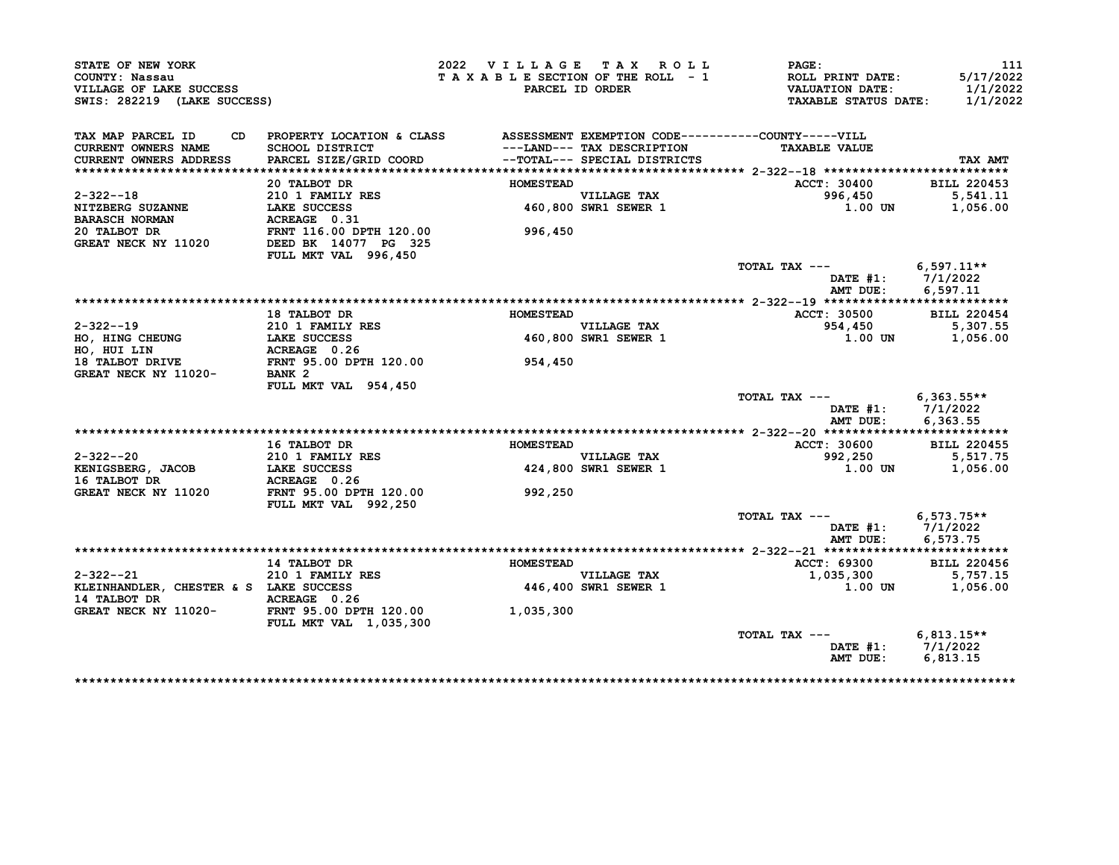| STATE OF NEW YORK<br>COUNTY: Nassau<br>VILLAGE OF LAKE SUCCESS<br>SWIS: 282219 (LAKE SUCCESS) |                                                                                                                                  | 2022 VILLAGE TAX ROLL<br>TAXABLE SECTION OF THE ROLL - 1 | PARCEL ID ORDER                                            | <b>PAGE:</b><br>ROLL PRINT DATE:<br><b>VALUATION DATE:</b><br><b>TAXABLE STATUS DATE:</b> | 111<br>5/17/2022<br>1/1/2022<br>1/1/2022        |
|-----------------------------------------------------------------------------------------------|----------------------------------------------------------------------------------------------------------------------------------|----------------------------------------------------------|------------------------------------------------------------|-------------------------------------------------------------------------------------------|-------------------------------------------------|
| TAX MAP PARCEL ID<br>CD<br>CURRENT OWNERS NAME<br>CURRENT OWNERS ADDRESS                      | PROPERTY LOCATION & CLASS ASSESSMENT EXEMPTION CODE----------COUNTY-----VILL<br><b>SCHOOL DISTRICT</b><br>PARCEL SIZE/GRID COORD |                                                          | ---LAND--- TAX DESCRIPTION<br>--TOTAL--- SPECIAL DISTRICTS | <b>TAXABLE VALUE</b>                                                                      | TAX AMT                                         |
|                                                                                               |                                                                                                                                  |                                                          |                                                            |                                                                                           |                                                 |
|                                                                                               | 20 TALBOT DR                                                                                                                     | <b>HOMESTEAD</b>                                         |                                                            | ACCT: 30400                                                                               | <b>BILL 220453</b>                              |
| $2 - 322 - -18$                                                                               | 210 1 FAMILY RES                                                                                                                 |                                                          | VILLAGE TAX<br>460,800 SWR1 SEWER 1                        | 996,450                                                                                   | 5,541.11                                        |
| <b>NITZBERG SUZANNE</b>                                                                       | <b>LAKE SUCCESS</b>                                                                                                              |                                                          |                                                            | 1.00 UN                                                                                   | 1,056.00                                        |
| <b>BARASCH NORMAN</b>                                                                         | ACREAGE 0.31                                                                                                                     |                                                          |                                                            |                                                                                           |                                                 |
| 20 TALBOT DR<br>GREAT NECK NY 11020                                                           | FRNT 116.00 DPTH 120.00<br>DEED BK 14077 PG 325<br>FULL MKT VAL 996,450                                                          | 996,450                                                  |                                                            |                                                                                           |                                                 |
|                                                                                               |                                                                                                                                  |                                                          |                                                            | TOTAL TAX ---<br>AMT DUE:                                                                 | $6,597.11**$<br>DATE $#1: 7/1/2022$<br>6.597.11 |
|                                                                                               |                                                                                                                                  |                                                          |                                                            |                                                                                           |                                                 |
|                                                                                               | 18 TALBOT DR                                                                                                                     | <b>HOMESTEAD</b>                                         |                                                            | ACCT: 30500                                                                               | <b>BILL 220454</b>                              |
| $2 - 322 - -19$                                                                               | 210 1 FAMILY RES                                                                                                                 |                                                          | VILLAGE TAX<br>460,800 SWR1 SEWER 1                        | 954,450                                                                                   | 5,307.55                                        |
| HO, HING CHEUNG                                                                               | <b>LAKE SUCCESS</b>                                                                                                              |                                                          |                                                            | 1.00 UN                                                                                   | 1,056.00                                        |
| HO, HUI LIN                                                                                   |                                                                                                                                  |                                                          |                                                            |                                                                                           |                                                 |
| 18 TALBOT DRIVE                                                                               | <b>ACREAGE 0.26<br/>FRNT 95.00 DPTH 120.00</b>                                                                                   | 954,450                                                  |                                                            |                                                                                           |                                                 |
| GREAT NECK NY 11020-                                                                          | BANK <sub>2</sub><br>FULL MKT VAL 954,450                                                                                        |                                                          |                                                            |                                                                                           |                                                 |
|                                                                                               |                                                                                                                                  |                                                          |                                                            | TOTAL TAX --- 6,363.55**<br>AMT DUE:                                                      | DATE #1: 7/1/2022<br>6,363.55                   |
|                                                                                               |                                                                                                                                  |                                                          |                                                            |                                                                                           |                                                 |
|                                                                                               | 16 TALBOT DR                                                                                                                     | <b>HOMESTEAD</b>                                         |                                                            | ACCT: 30600                                                                               | <b>BILL 220455</b>                              |
| $2 - 322 - -20$                                                                               | 210 1 FAMILY RES                                                                                                                 |                                                          | <b>VILLAGE TAX</b>                                         | 992,250                                                                                   | 5,517.75                                        |
| KENIGSBERG, JACOB<br>16 TALBOT DR                                                             | <b>LAKE SUCCESS</b><br>ACREAGE 0.26                                                                                              |                                                          | 424,800 SWR1 SEWER 1                                       | 1.00 UN                                                                                   | 1,056.00                                        |
| GREAT NECK NY 11020                                                                           | FRNT 95.00 DPTH 120.00<br>FULL MKT VAL 992,250                                                                                   | 992,250                                                  |                                                            |                                                                                           |                                                 |
|                                                                                               |                                                                                                                                  |                                                          |                                                            | TOTAL TAX ---<br>AMT DUE:                                                                 | $6,573.75**$<br>DATE #1: 7/1/2022<br>6,573.75   |
|                                                                                               |                                                                                                                                  |                                                          |                                                            |                                                                                           |                                                 |
|                                                                                               | 14 TALBOT DR                                                                                                                     | <b>HOMESTEAD</b>                                         |                                                            | ACCT: 69300                                                                               | <b>BILL 220456</b>                              |
| 2-322--21                                                                                     | 210 1 FAMILY RES                                                                                                                 |                                                          | <b>VILLAGE TAX</b>                                         | 1,035,300                                                                                 | 5,757.15                                        |
| KLEINHANDLER, CHESTER & S LAKE SUCCESS<br>14 TALBOT DR                                        | <b>ACREAGE 0.26<br/>1020- FRNT 95.00 DPTH 120.00</b>                                                                             |                                                          | 446,400 SWR1 SEWER 1                                       | 1.00 UN                                                                                   | 1,056.00                                        |
| GREAT NECK NY 11020-                                                                          | FULL MKT VAL 1,035,300                                                                                                           | 1,035,300                                                |                                                            |                                                                                           |                                                 |
|                                                                                               |                                                                                                                                  |                                                          |                                                            | TOTAL TAX ---<br>DATE #1:<br>AMT DUE:                                                     | $6,813.15**$<br>7/1/2022<br>6,813.15            |

\*\*\*\*\*\*\*\*\*\*\*\*\*\*\*\*\*\*\*\*\*\*\*\*\*\*\*\*\*\*\*\*\*\*\*\*\*\*\*\*\*\*\*\*\*\*\*\*\*\*\*\*\*\*\*\*\*\*\*\*\*\*\*\*\*\*\*\*\*\*\*\*\*\*\*\*\*\*\*\*\*\*\*\*\*\*\*\*\*\*\*\*\*\*\*\*\*\*\*\*\*\*\*\*\*\*\*\*\*\*\*\*\*\*\*\*\*\*\*\*\*\*\*\*\*\*\*\*\*\*\*\*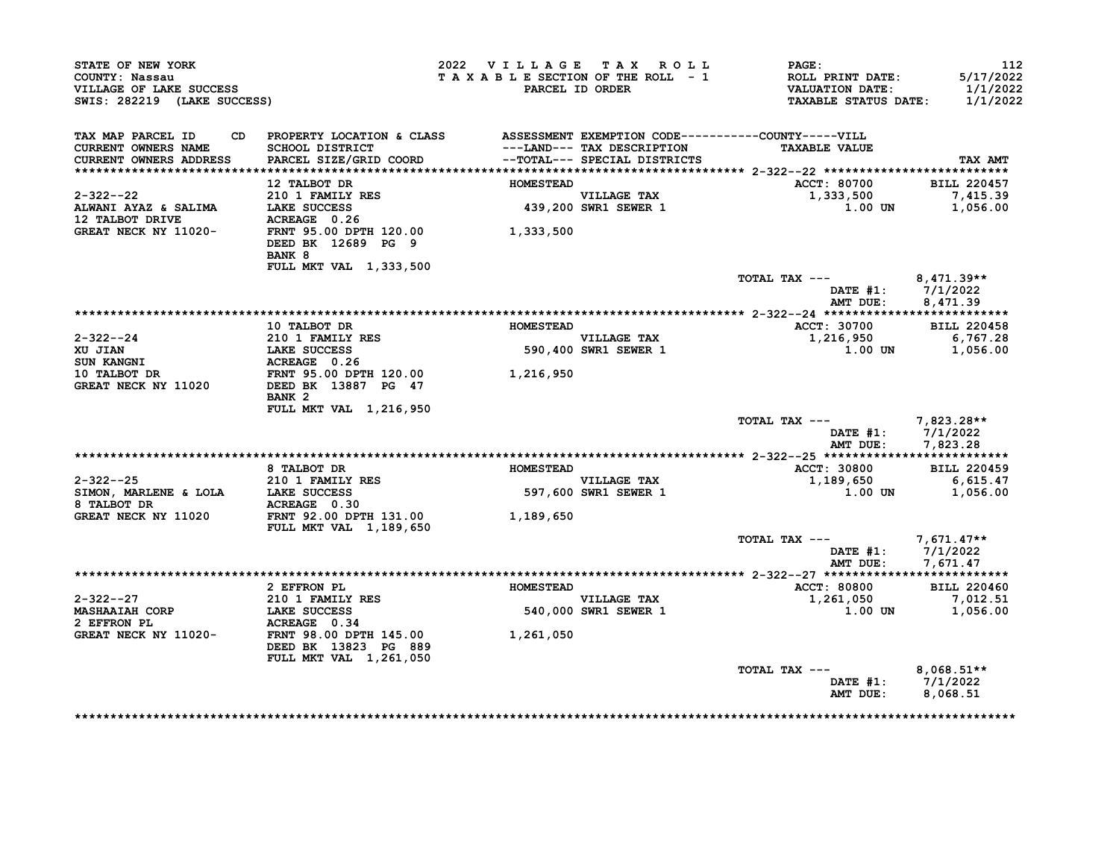| STATE OF NEW YORK<br>COUNTY: Nassau<br>VILLAGE OF LAKE SUCCESS<br>SWIS: 282219 (LAKE SUCCESS)                                                                                                |                                                                                 | 2022 VILLAGE TAX ROLL | TAXABLE SECTION OF THE ROLL - 1<br>PARCEL ID ORDER        | $\mathtt{PAGE}$ :<br>ROLL PRINT DATE:<br>VALUATION DATE:<br><b>TAXABLE STATUS DATE:</b> | 112<br>5/17/2022<br>1/1/2022<br>1/1/2022 |
|----------------------------------------------------------------------------------------------------------------------------------------------------------------------------------------------|---------------------------------------------------------------------------------|-----------------------|-----------------------------------------------------------|-----------------------------------------------------------------------------------------|------------------------------------------|
| TAX MAP PARCEL ID<br>CURRENT OWNERS NAME<br>CURRENT OWNERS ADDRESS                                                                                                                           | CD PROPERTY LOCATION & CLASS ASSESSMENT EXEMPTION CODE----------COUNTY-----VILL |                       | ---LAND--- TAX DESCRIPTION                                | <b>TAXABLE VALUE</b>                                                                    | TAX AMT                                  |
|                                                                                                                                                                                              | 12 TALBOT DR                                                                    | <b>HOMESTEAD</b>      |                                                           | ACCT: 80700 BILL 220457                                                                 |                                          |
| $2 - 322 - -22$                                                                                                                                                                              | 210 1 FAMILY RES                                                                |                       |                                                           | 1,333,500                                                                               | 7,415.39                                 |
| 2-322--22 210 1 FAMILY RES<br>ALWANI AYAZ & SALIMA LAKE SUCCESS 439,200<br>12 TALBOT DRIVE ACREAGE 0.26 26 26 CREAT NECK NY 11020-<br>GREAT NECK NY 11020- FRNT 95.00 DPTH 120.00 1,333,500  |                                                                                 |                       | VILLAGE TAX<br>439,200 SWR1 SEWER 1                       | 1.00 UN                                                                                 | 1,056.00                                 |
|                                                                                                                                                                                              | DEED BK 12689 PG 9<br><b>BANK 8</b><br>FULL MKT VAL 1,333,500                   |                       |                                                           |                                                                                         |                                          |
|                                                                                                                                                                                              |                                                                                 |                       |                                                           | TOTAL TAX --- $8,471.39**$                                                              |                                          |
|                                                                                                                                                                                              |                                                                                 |                       |                                                           |                                                                                         | DATE #1: 7/1/2022<br>AMT DUE: 8,471.39   |
|                                                                                                                                                                                              |                                                                                 |                       |                                                           |                                                                                         |                                          |
|                                                                                                                                                                                              | 10 TALBOT DR                                                                    | <b>HOMESTEAD</b>      |                                                           | ACCT: 30700                                                                             | <b>BILL 220458</b>                       |
|                                                                                                                                                                                              |                                                                                 |                       | <b>VILLAGE TAX</b><br>VILLAGE TAX<br>590,400 SWR1 SEWER 1 | 1,216,950 6,767.28<br>1.00 UN                                                           | 1,056.00                                 |
|                                                                                                                                                                                              |                                                                                 |                       |                                                           |                                                                                         |                                          |
|                                                                                                                                                                                              |                                                                                 |                       |                                                           |                                                                                         |                                          |
| 2-322--24<br>XU JIAN 210 1 FAMILY RES<br>XU JIAN LAKE SUCCESS 590,400<br>SUN KANGNI ACREAGE 0.26<br>10 TALBOT DR FRNT 95.00 DPTH 120.00 1,216,950<br>GREAT NECK NY 11020 DEED BK 13887 PG 47 | BANK <sub>2</sub><br>FULL MKT VAL 1,216,950                                     |                       |                                                           |                                                                                         |                                          |
|                                                                                                                                                                                              |                                                                                 |                       |                                                           | TOTAL TAX --- $7,823.28**$                                                              | DATE #1: 7/1/2022<br>AMT DUE: 7,823.28   |
|                                                                                                                                                                                              |                                                                                 |                       |                                                           |                                                                                         |                                          |
|                                                                                                                                                                                              | 8 TALBOT DR                                                                     | <b>HOMESTEAD</b>      |                                                           | ACCT: 30800                                                                             | <b>BILL 220459</b>                       |
| 2-322--25<br>SIMON, MARLENE & LOLA<br>LAKE SUCCESS                                                                                                                                           |                                                                                 |                       | <b>VILLAGE TAX</b><br>VILLAGE TAX<br>597,600 SWR1 SEWER 1 | 1, 189, 650 6, 615. 47                                                                  |                                          |
| 9 TALBOT DR<br>8 TALBOT DR<br>GREAT NECK NY 11020 FRNT 92.00 DPTH 131.00 1,189,650                                                                                                           |                                                                                 |                       |                                                           | 1.00 UN                                                                                 | 1,056.00                                 |
|                                                                                                                                                                                              | <b>FULL MKT VAL 1,189,650</b>                                                   |                       |                                                           |                                                                                         |                                          |
|                                                                                                                                                                                              |                                                                                 |                       |                                                           | TOTAL TAX $---$ 7,671.47**                                                              | DATE #1: 7/1/2022                        |
|                                                                                                                                                                                              |                                                                                 |                       |                                                           |                                                                                         | AMT DUE: 7,671.47                        |
|                                                                                                                                                                                              |                                                                                 |                       |                                                           |                                                                                         |                                          |
|                                                                                                                                                                                              | 2 EFFRON PL                                                                     | <b>HOMESTEAD</b>      | <b>VILLAGE TAX</b>                                        | <b>ACCT: 80800</b><br>1,261,050                                                         | <b>BILL 220460</b><br>7,012.51           |
|                                                                                                                                                                                              |                                                                                 |                       | 540,000 SWR1 SEWER 1                                      |                                                                                         | $1.00$ UN $1.056.00$                     |
|                                                                                                                                                                                              |                                                                                 |                       |                                                           |                                                                                         |                                          |
| 2-322--27<br>MASHAAIAH CORP<br>2 EFFRON PL<br>2 EFFRON PL<br>3 ACREAGE 0.34<br>3 GREAT NECK NY 11020-<br>FRNT 98.00 DPTH 145.00                                                              | DEED BK 13823 PG 889<br>FULL MKT VAL 1,261,050                                  | 1,261,050             |                                                           |                                                                                         |                                          |
|                                                                                                                                                                                              |                                                                                 |                       |                                                           | TOTAL TAX --- $8,068.51**$                                                              |                                          |
|                                                                                                                                                                                              |                                                                                 |                       |                                                           |                                                                                         | DATE #1: 7/1/2022<br>AMT DUE: 8,068.51   |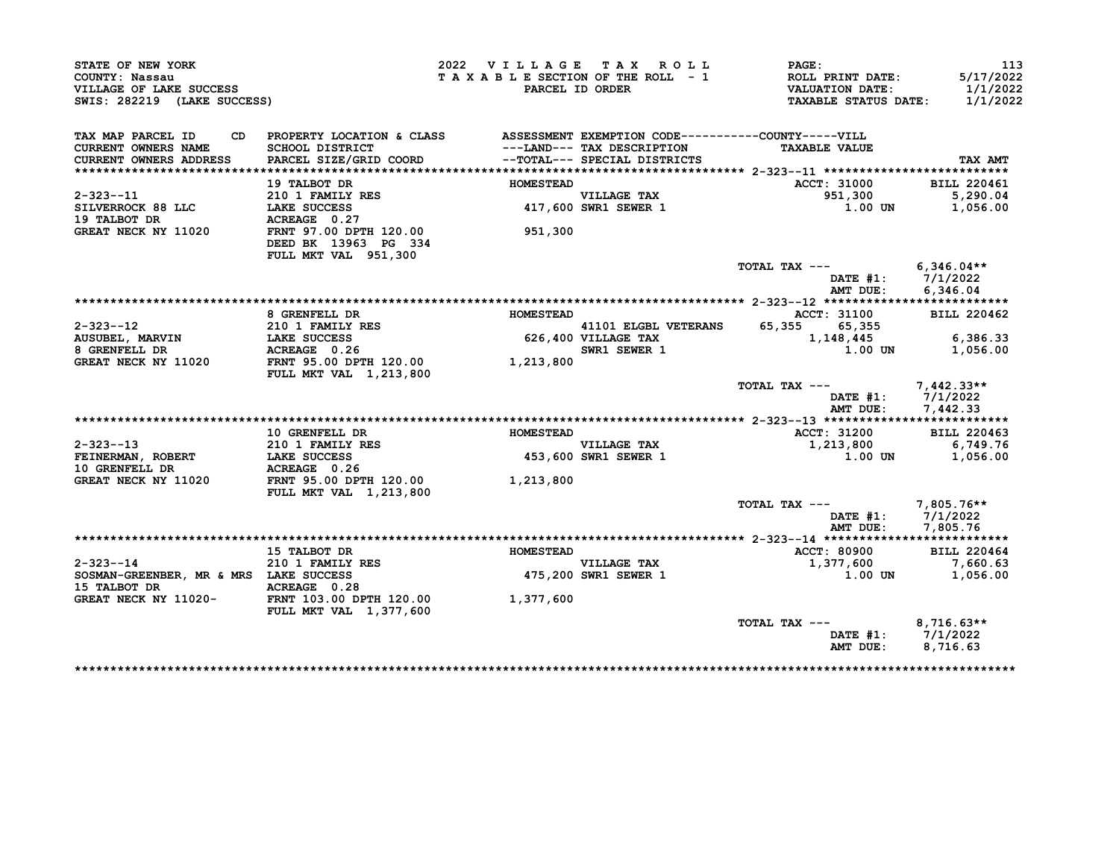| STATE OF NEW YORK                             |                                                                              | 2022 VILLAGE TAX ROLL           |                                                                                            | PAGE:                                             | 113                   |
|-----------------------------------------------|------------------------------------------------------------------------------|---------------------------------|--------------------------------------------------------------------------------------------|---------------------------------------------------|-----------------------|
| COUNTY: Nassau<br>VILLAGE OF LAKE SUCCESS     |                                                                              | TAXABLE SECTION OF THE ROLL - 1 | PARCEL ID ORDER                                                                            | <b>ROLL PRINT DATE:</b><br><b>VALUATION DATE:</b> | 5/17/2022<br>1/1/2022 |
| SWIS: 282219 (LAKE SUCCESS)                   |                                                                              |                                 |                                                                                            | <b>TAXABLE STATUS DATE:</b>                       | 1/1/2022              |
| TAX MAP PARCEL ID<br>CD                       | PROPERTY LOCATION & CLASS ASSESSMENT EXEMPTION CODE----------COUNTY-----VILL |                                 |                                                                                            |                                                   |                       |
| CURRENT OWNERS NAME<br>CURRENT OWNERS ADDRESS | SCHOOL DISTRICT<br>PARCEL SIZE/GRID COORD                                    |                                 | ---LAND--- TAX DESCRIPTION<br>--TOTAL--- SPECIAL DISTRICTS<br>--TOTAL--- SPECIAL DISTRICTS | <b>TAXABLE VALUE</b>                              | TAX AMT               |
|                                               |                                                                              |                                 |                                                                                            |                                                   |                       |
|                                               | 19 TALBOT DR                                                                 | <b>HOMESTEAD</b>                |                                                                                            | <b>ACCT: 31000</b>                                | <b>BILL 220461</b>    |
| $2 - 323 - -11$                               | 210 1 FAMILY RES                                                             |                                 | VILLAGE TAX<br>417,600 SWR1 SEWER 1                                                        | 951,300                                           | 5,290.04              |
| SILVERROCK 88 LLC                             | LAKE SUCCESS                                                                 |                                 |                                                                                            | 1.00 UN                                           | 1,056.00              |
| 19 TALBOT DR                                  | ACREAGE 0.27                                                                 |                                 |                                                                                            |                                                   |                       |
| GREAT NECK NY 11020                           | FRNT 97.00 DPTH 120.00<br>DEED BK 13963 PG 334<br>FULL MKT VAL 951,300       | 951,300                         |                                                                                            |                                                   |                       |
|                                               |                                                                              |                                 |                                                                                            | TOTAL TAX ---                                     | $6.346.04**$          |
|                                               |                                                                              |                                 |                                                                                            |                                                   | DATE $#1: 7/1/2022$   |
|                                               |                                                                              |                                 |                                                                                            | AMT DUE:                                          | 6,346.04              |
|                                               |                                                                              |                                 |                                                                                            |                                                   |                       |
|                                               | 8 GRENFELL DR                                                                | <b>HOMESTEAD</b>                |                                                                                            | <b>ACCT: 31100</b>                                | <b>BILL 220462</b>    |
| 2-323--12                                     | <b>210 1 FAMILY RES</b>                                                      |                                 | 41101 ELGBL VETERANS                                                                       | 65,355<br>65,355                                  |                       |
| AUSUBEL, MARVIN                               | <b>LAKE SUCCESS</b>                                                          |                                 | 626,400 VILLAGE TAX                                                                        | 1,148,445                                         | 6,386.33              |
| 8 GRENFELL DR                                 | ACREAGE 0.26<br>FRNT 95.00 DPTH 120.00 1,213,800                             |                                 | SWR1 SEWER 1                                                                               | 1.00 UN                                           | 1,056.00              |
| GREAT NECK NY 11020                           | FULL MKT VAL 1,213,800                                                       |                                 |                                                                                            |                                                   |                       |
|                                               |                                                                              |                                 |                                                                                            | TOTAL TAX ---                                     | $7,442.33**$          |
|                                               |                                                                              |                                 |                                                                                            | $\mathtt{DATE}$ #1:                               | 7/1/2022              |
|                                               |                                                                              |                                 |                                                                                            | AMT DUE:                                          | 7,442.33              |
|                                               |                                                                              |                                 |                                                                                            |                                                   |                       |
|                                               | <b>10 GRENFELL DR</b>                                                        | <b>HOMESTEAD</b>                |                                                                                            | <b>ACCT: 31200</b>                                | BILL 220463           |
| $2 - 323 - -13$                               | 210 1 FAMILY RES                                                             |                                 | <b>VILLAGE TAX</b>                                                                         | 1,213,800                                         | 6,749.76              |
| FEINERMAN, ROBERT LAKE SUCCESS                |                                                                              |                                 | 453,600 SWR1 SEWER 1                                                                       | $1.00$ UN                                         | 1,056.00              |
| 10 GRENFELL DR                                | ACREAGE 0.26                                                                 |                                 |                                                                                            |                                                   |                       |
| GREAT NECK NY 11020                           | FRNT 95.00 DPTH 120.00                                                       | 1,213,800                       |                                                                                            |                                                   |                       |
|                                               | FULL MKT VAL 1,213,800                                                       |                                 |                                                                                            |                                                   |                       |
|                                               |                                                                              |                                 |                                                                                            | TOTAL TAX ---                                     | 7,805.76**            |
|                                               |                                                                              |                                 |                                                                                            |                                                   | DATE $#1: 7/1/2022$   |
|                                               |                                                                              |                                 |                                                                                            | AMT DUE:                                          | 7,805.76              |
|                                               |                                                                              |                                 |                                                                                            |                                                   |                       |
|                                               | 15 TALBOT DR                                                                 | <b>HOMESTEAD</b>                |                                                                                            | ACCT: 80900                                       | <b>BILL 220464</b>    |
| $2 - 323 - -14$                               | 210 1 FAMILY RES                                                             |                                 | VILLAGE TAX                                                                                | 1,377,600                                         | 7,660.63              |
| SOSMAN-GREENBER, MR & MRS LAKE SUCCESS        |                                                                              |                                 | 475,200 SWR1 SEWER 1                                                                       | 1.00 UN                                           | 1,056.00              |
| 15 TALBOT DR                                  | ACREAGE 0.28                                                                 |                                 |                                                                                            |                                                   |                       |
| GREAT NECK NY 11020-                          | FRNT 103.00 DPTH 120.00                                                      | 1,377,600                       |                                                                                            |                                                   |                       |
|                                               | FULL MKT VAL 1,377,600                                                       |                                 |                                                                                            |                                                   |                       |
|                                               |                                                                              |                                 |                                                                                            | TOTAL TAX ---                                     | $8.716.63**$          |
|                                               |                                                                              |                                 |                                                                                            |                                                   | DATE $#1: 7/1/2022$   |
|                                               |                                                                              |                                 |                                                                                            | AMT DUE:                                          | 8,716.63              |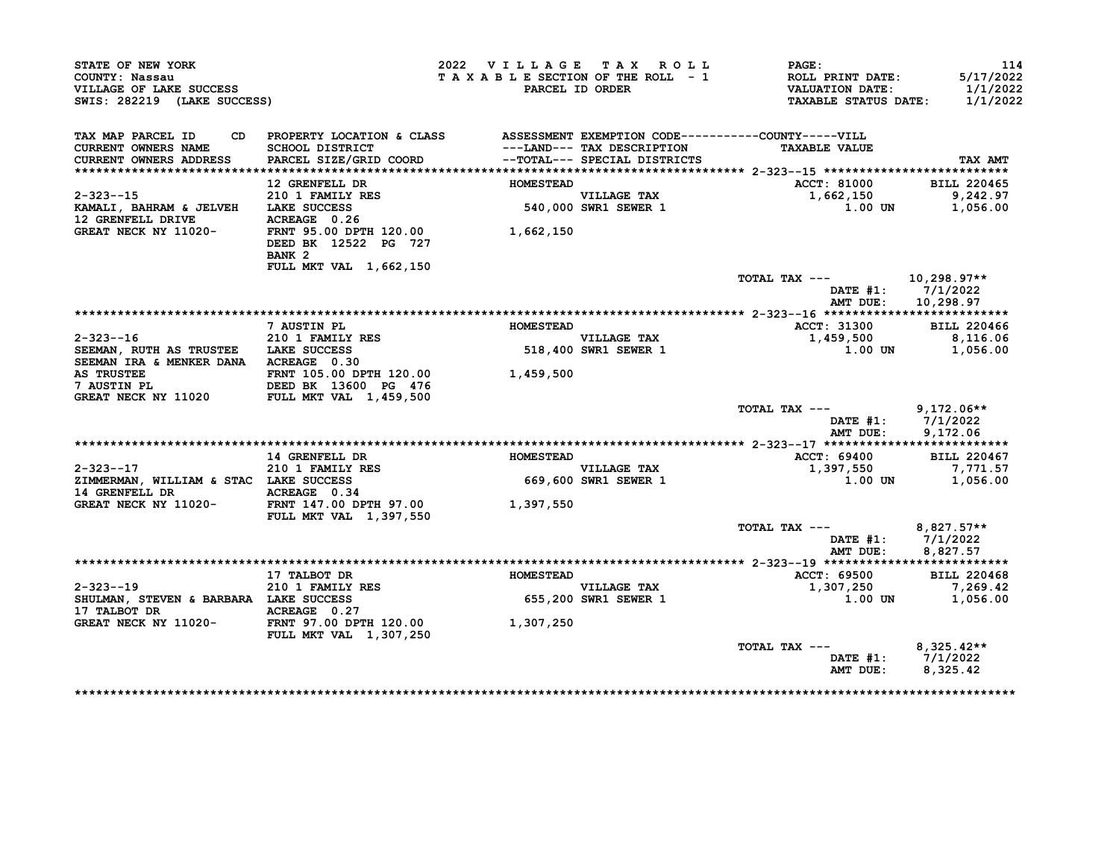| STATE OF NEW YORK<br>COUNTY: Nassau<br>VILLAGE OF LAKE SUCCESS<br>SWIS: 282219 (LAKE SUCCESS)                                              |                                                                                 | 2022 VILLAGE TAX ROLL<br>TAXABLE SECTION OF THE ROLL - 1 | PARCEL ID ORDER                                            | $\mathtt{PAGE}$ :<br>ROLL PRINT DATE:<br>VALUATION DATE:<br><b>TAXABLE STATUS DATE:</b> | 114<br>5/17/2022<br>1/1/2022<br>1/1/2022 |
|--------------------------------------------------------------------------------------------------------------------------------------------|---------------------------------------------------------------------------------|----------------------------------------------------------|------------------------------------------------------------|-----------------------------------------------------------------------------------------|------------------------------------------|
| TAX MAP PARCEL ID                                                                                                                          | CD PROPERTY LOCATION & CLASS ASSESSMENT EXEMPTION CODE----------COUNTY-----VILL |                                                          |                                                            |                                                                                         |                                          |
| CURRENT OWNERS NAME<br>CURRENT OWNERS ADDRESS                                                                                              | SCHOOL DISTRICT<br>PARCEL SIZE/GRID COORD                                       |                                                          | ---LAND--- TAX DESCRIPTION<br>--TOTAL--- SPECIAL DISTRICTS | <b>TAXABLE VALUE</b>                                                                    | TAX AMT                                  |
|                                                                                                                                            |                                                                                 |                                                          |                                                            |                                                                                         |                                          |
|                                                                                                                                            | 12 GRENFELL DR                                                                  | <b>HOMESTEAD</b>                                         |                                                            | ACCT: 81000                                                                             | <b>BILL 220465</b>                       |
|                                                                                                                                            |                                                                                 |                                                          |                                                            | 1,662,150<br>1.00                                                                       | 9,242.97                                 |
|                                                                                                                                            |                                                                                 |                                                          | VILLAGE TAX<br>540,000 SWR1 SEWER 1                        | 1.00 UN                                                                                 | 1,056.00                                 |
| GREAT NECK NY 11020-                                                                                                                       | FRNT 95.00 DPTH 120.00 1,662,150<br>DEED BK 12522 PG 727<br>BANK <sub>2</sub>   |                                                          |                                                            |                                                                                         |                                          |
|                                                                                                                                            | FULL MKT VAL 1,662,150                                                          |                                                          |                                                            |                                                                                         |                                          |
|                                                                                                                                            |                                                                                 |                                                          |                                                            | TOTAL TAX ---                                                                           | 10,298.97**<br>DATE #1: 7/1/2022         |
|                                                                                                                                            |                                                                                 |                                                          |                                                            | AMT DUE:                                                                                | 10,298.97                                |
|                                                                                                                                            |                                                                                 |                                                          |                                                            |                                                                                         |                                          |
|                                                                                                                                            | 7 AUSTIN PL                                                                     | <b>HOMESTEAD</b>                                         |                                                            | ACCT: 31300                                                                             | <b>BILL 220466</b>                       |
| $2 - 323 - -16$                                                                                                                            | 210 1 FAMILY RES                                                                |                                                          | VILLAGE TAX<br>518,400 SWR1 SEWER 1                        | 1,459,500                                                                               | 8,116.06                                 |
| SEEMAN, RUTH AS TRUSTEE LAKE SUCCESS                                                                                                       |                                                                                 |                                                          |                                                            |                                                                                         | 1.00 UN 1,056.00                         |
| SEEMAN IRA & MENKER DANA ACREAGE 0.30                                                                                                      |                                                                                 |                                                          |                                                            |                                                                                         |                                          |
|                                                                                                                                            |                                                                                 |                                                          |                                                            |                                                                                         |                                          |
| <b>AS TRUSTEE FRAME 105.00 DPTH 120.00 1,459,500<br/> 7 AUSTIN PL DEED BK 13600 PG 476<br/> GREAT NECK NY 11020 FULL MKT VAL 1,459,500</b> |                                                                                 |                                                          |                                                            |                                                                                         |                                          |
|                                                                                                                                            |                                                                                 |                                                          |                                                            | TOTAL TAX $---$ 9,172.06**                                                              |                                          |
|                                                                                                                                            |                                                                                 |                                                          |                                                            |                                                                                         | DATE #1: 7/1/2022                        |
|                                                                                                                                            |                                                                                 |                                                          |                                                            | AMT DUE:                                                                                | 9.172.06                                 |
|                                                                                                                                            |                                                                                 |                                                          |                                                            |                                                                                         |                                          |
|                                                                                                                                            | <b>14 GRENFELL DR</b>                                                           | <b>HOMESTEAD</b>                                         |                                                            | <b>ACCT: 69400</b>                                                                      | <b>BILL 220467</b>                       |
|                                                                                                                                            |                                                                                 |                                                          | VILLAGE TAX<br>669,600 SWR1 SEWER 1                        | 1,397,550                                                                               | 7,771.57                                 |
|                                                                                                                                            |                                                                                 |                                                          |                                                            | 1.00 UN                                                                                 | 1,056.00                                 |
|                                                                                                                                            | ACREAGE 0.34                                                                    |                                                          |                                                            |                                                                                         |                                          |
| GREAT NECK NY 11020-<br>FRNT 147.00 DPTH 97.00                                                                                             | <b>FULL MKT VAL 1,397,550</b>                                                   | 1,397,550                                                |                                                            |                                                                                         |                                          |
|                                                                                                                                            |                                                                                 |                                                          |                                                            | TOTAL TAX $---$ 8,827.57**                                                              |                                          |
|                                                                                                                                            |                                                                                 |                                                          |                                                            |                                                                                         | DATE #1: 7/1/2022                        |
|                                                                                                                                            |                                                                                 |                                                          |                                                            |                                                                                         | AMT DUE: 8,827.57                        |
|                                                                                                                                            |                                                                                 | <b>HOMESTEAD</b>                                         |                                                            |                                                                                         |                                          |
| $2 - 323 - 19$                                                                                                                             | 17 TALBOT DR                                                                    |                                                          |                                                            | <b>ACCT: 69500</b>                                                                      | <b>BILL 220468</b>                       |
|                                                                                                                                            |                                                                                 | VILLAGE TAX<br>655,200 SWR1 SEWER 1                      |                                                            | 1,307,250<br>1.00 UN                                                                    | 7,269.42<br>1,056.00                     |
|                                                                                                                                            |                                                                                 |                                                          |                                                            |                                                                                         |                                          |
| 17 TALBOT DR<br>GREAT NECK NY 11020-<br>FRNT 97.00 DPTH 120.00                                                                             |                                                                                 | 1,307,250                                                |                                                            |                                                                                         |                                          |
|                                                                                                                                            | <b>FULL MKT VAL 1,307,250</b>                                                   |                                                          |                                                            |                                                                                         |                                          |
|                                                                                                                                            |                                                                                 |                                                          |                                                            | TOTAL TAX ---                                                                           | 8,325.42**                               |
|                                                                                                                                            |                                                                                 |                                                          |                                                            |                                                                                         | DATE #1: 7/1/2022<br>8,325.42            |
|                                                                                                                                            |                                                                                 |                                                          |                                                            | AMT DUE:                                                                                |                                          |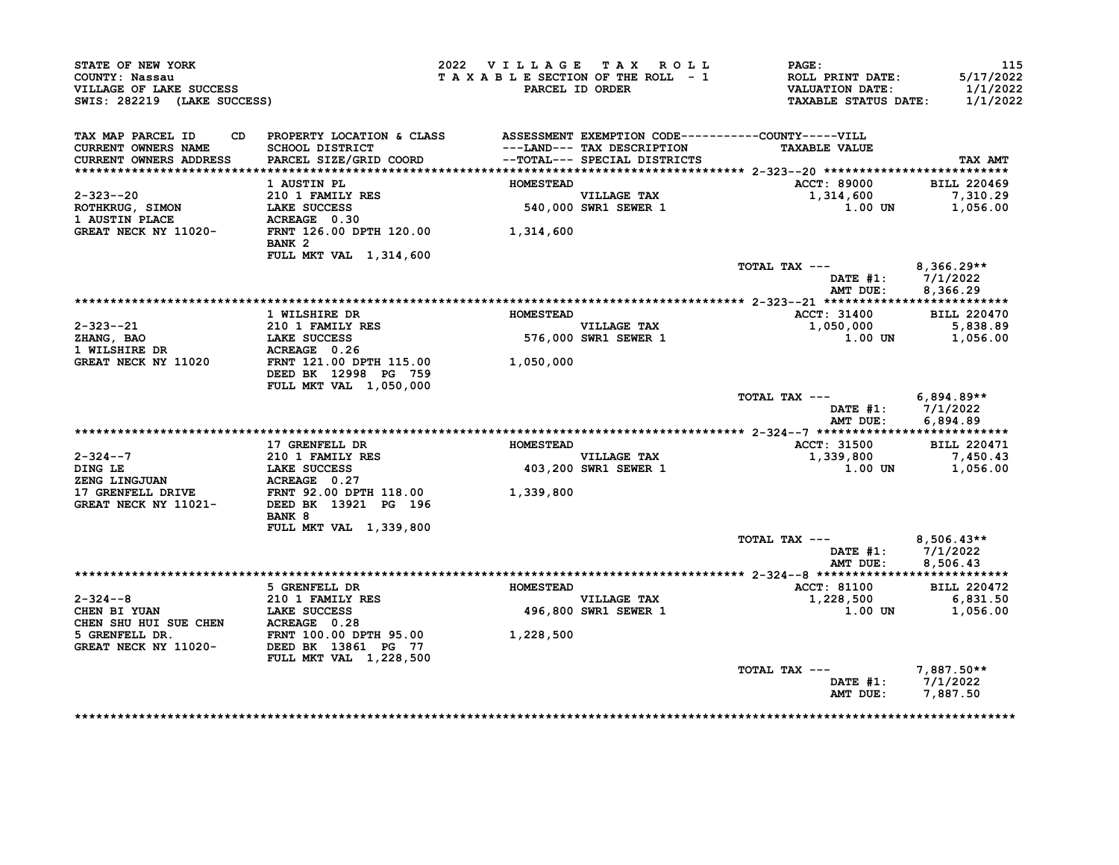| STATE OF NEW YORK<br>COUNTY: Nassau<br>VILLAGE OF LAKE SUCCESS<br>SWIS: 282219 (LAKE SUCCESS) |                                                                                                                                     | 2022 VILLAGE TAX ROLL<br>TAXABLE SECTION OF THE ROLL - 1 | PARCEL ID ORDER                                            | <b>PAGE:</b><br>ROLL PRINT DATE:<br><b>VALUATION DATE:</b><br><b>TAXABLE STATUS DATE:</b> | 115<br>5/17/2022<br>1/1/2022<br>1/1/2022 |
|-----------------------------------------------------------------------------------------------|-------------------------------------------------------------------------------------------------------------------------------------|----------------------------------------------------------|------------------------------------------------------------|-------------------------------------------------------------------------------------------|------------------------------------------|
| TAX MAP PARCEL ID<br><b>CURRENT OWNERS NAME</b><br>CURRENT OWNERS ADDRESS                     | CD PROPERTY LOCATION & CLASS ASSESSMENT EXEMPTION CODE----------COUNTY-----VILL<br><b>SCHOOL DISTRICT</b><br>PARCEL SIZE/GRID COORD |                                                          | ---LAND--- TAX DESCRIPTION<br>--TOTAL--- SPECIAL DISTRICTS | <b>TAXABLE VALUE</b>                                                                      | TAX AMT                                  |
|                                                                                               | 1 AUSTIN PL                                                                                                                         | <b>HOMESTEAD</b>                                         |                                                            | <b>ACCT: 89000</b>                                                                        | <b>BILL 220469</b>                       |
| 2-323--20<br>ROTHKRUG, SIMON<br>1 AUSTIN PLACE                                                | 210 1 FAMILY RES<br>LAKE SUCCESS<br>ACREAGE 0.30                                                                                    |                                                          | VILLAGE TAX<br>540,000 SWR1 SEWER 1                        | 1,314,600<br>$1.00$ UN                                                                    | 7,310.29<br>1,056.00                     |
| GREAT NECK NY 11020-                                                                          | FRNT 126.00 DPTH 120.00 1,314,600<br>BANK <sub>2</sub>                                                                              |                                                          |                                                            |                                                                                           |                                          |
|                                                                                               | FULL MKT VAL 1,314,600                                                                                                              |                                                          |                                                            | TOTAL TAX ---<br>DATE $#1: 7/1/2022$<br>AMT DUE:                                          | $8,366.29**$<br>8,366.29                 |
|                                                                                               |                                                                                                                                     |                                                          |                                                            |                                                                                           |                                          |
|                                                                                               | 1 WILSHIRE DR                                                                                                                       | <b>HOMESTEAD</b>                                         |                                                            | <b>ACCT: 31400</b>                                                                        | <b>BILL 220470</b>                       |
| $2 - 323 - -21$<br>ZHANG, BAO                                                                 | 210 1 FAMILY RES<br><b>LAKE SUCCESS</b>                                                                                             |                                                          | <b>VILLAGE TAX</b><br>576,000 SWR1 SEWER 1                 | 1,050,000<br>1.00 UN                                                                      | 5,838.89<br>1,056.00                     |
| 1 WILSHIRE DR                                                                                 | ACREAGE 0.26                                                                                                                        |                                                          |                                                            |                                                                                           |                                          |
| GREAT NECK NY 11020                                                                           | FRNT 121.00 DPTH 115.00<br>DEED BK 12998 PG 759                                                                                     | 1,050,000                                                |                                                            |                                                                                           |                                          |
|                                                                                               | FULL MKT VAL 1,050,000                                                                                                              |                                                          |                                                            | TOTAL TAX ---<br>DATE $#1: 7/1/2022$<br>AMT DUE:                                          | $6,894.89**$<br>6,894.89                 |
|                                                                                               |                                                                                                                                     |                                                          |                                                            |                                                                                           |                                          |
|                                                                                               | 17 GRENFELL DR                                                                                                                      | <b>HOMESTEAD</b>                                         |                                                            | <b>ACCT: 31500</b>                                                                        | <b>BILL 220471</b>                       |
| $2 - 324 - -7$                                                                                | <b>210 1 FAMILY RES</b>                                                                                                             |                                                          | <b>VILLAGE TAX</b>                                         | 1,339,800<br>$1.00$ UN                                                                    | 7,450.43                                 |
| DING LE<br>DING LE<br>ZENG LINGJUAN                                                           | <b>LAKE SUCCESS</b><br>ACREAGE 0.27                                                                                                 |                                                          | 403,200 SWR1 SEWER 1                                       |                                                                                           | 1,056.00                                 |
| <b>17 GRENFELL DRIVE</b>                                                                      | <b>FRNT 92.00 DPTH 118.00</b>                                                                                                       | 1,339,800                                                |                                                            |                                                                                           |                                          |
| GREAT NECK NY 11021-                                                                          | DEED BK 13921 PG 196<br>BANK 8                                                                                                      |                                                          |                                                            |                                                                                           |                                          |
|                                                                                               | FULL MKT VAL 1,339,800                                                                                                              |                                                          |                                                            |                                                                                           |                                          |
|                                                                                               |                                                                                                                                     |                                                          |                                                            | TOTAL TAX ---<br>DATE $#1$ :<br>AMT DUE:                                                  | 8,506.43**<br>7/1/2022<br>8,506.43       |
|                                                                                               |                                                                                                                                     |                                                          |                                                            |                                                                                           |                                          |
|                                                                                               | 5 GRENFELL DR                                                                                                                       | <b>HOMESTEAD</b>                                         |                                                            | <b>ACCT: 81100</b>                                                                        | <b>BILL 220472</b>                       |
| $2 - 324 - -8$                                                                                | <b>210 1 FAMILY RES</b>                                                                                                             |                                                          | <b>VILLAGE TAX</b><br>496,800 SWR1 SEWER 1                 | 1,228,500<br><b>1.00 UN</b>                                                               | 6,831.50<br>1,056.00                     |
| 2-324--0<br>CHEN BI YUAN LAKE SUCCESS<br>CHEN SHU HUI SUE CHEN ACREAGE 0.28                   |                                                                                                                                     |                                                          |                                                            |                                                                                           |                                          |
| 5 GRENFELL DR.<br><b>GREAT NECK NY 11020-</b>                                                 | FRNT 100.00 DPTH 95.00<br>DEED BK 13861 PG 77                                                                                       | 1,228,500                                                |                                                            |                                                                                           |                                          |
|                                                                                               | FULL MKT VAL 1,228,500                                                                                                              |                                                          |                                                            | TOTAL TAX ---                                                                             | 7,887.50**                               |
|                                                                                               |                                                                                                                                     |                                                          |                                                            | DATE $#1: 7/1/2022$<br>AMT DUE:                                                           | 7,887.50                                 |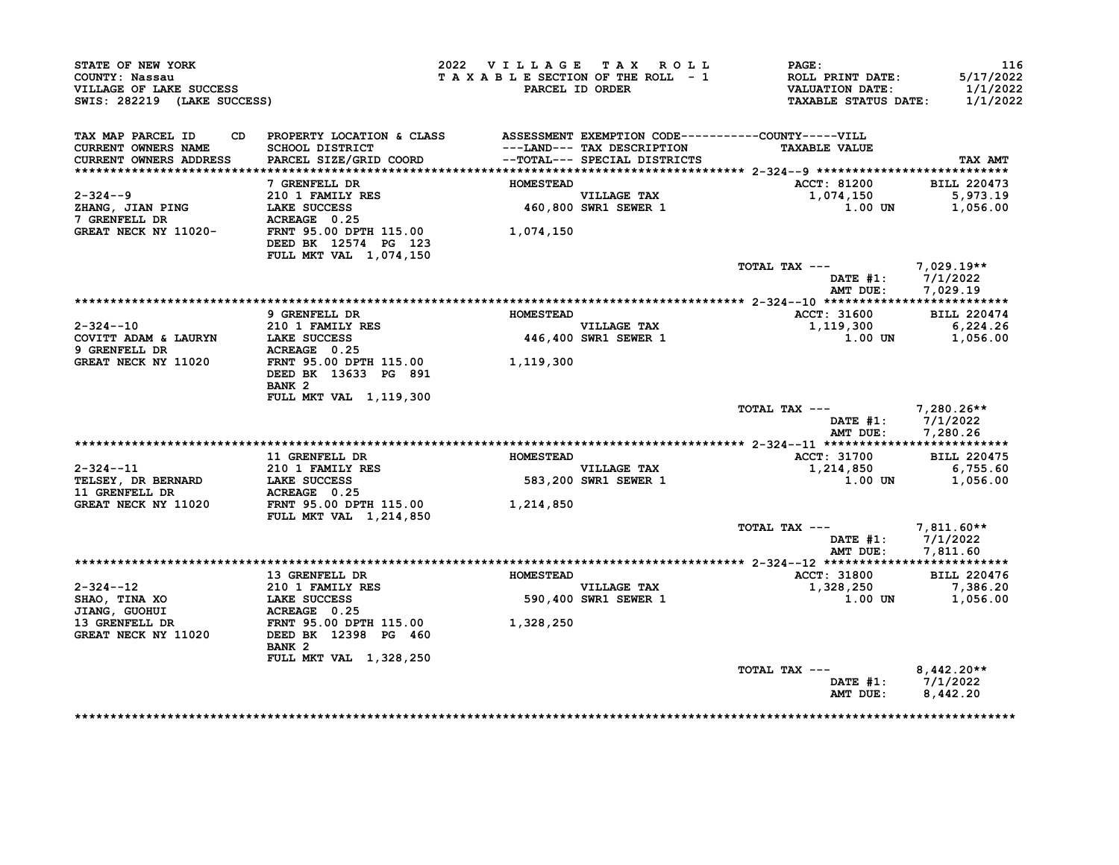| STATE OF NEW YORK<br>COUNTY: Nassau<br>VILLAGE OF LAKE SUCCESS<br>SWIS: 282219 (LAKE SUCCESS) |                                                                                                                              | 2022 VILLAGE TAX ROLL | TAXABLE SECTION OF THE ROLL - 1<br>PARCEL ID ORDER          | <b>PAGE:</b><br>ROLL PRINT DATE:<br><b>VALUATION DATE:</b><br><b>TAXABLE STATUS DATE:</b> | 116<br>5/17/2022<br>1/1/2022<br>1/1/2022 |
|-----------------------------------------------------------------------------------------------|------------------------------------------------------------------------------------------------------------------------------|-----------------------|-------------------------------------------------------------|-------------------------------------------------------------------------------------------|------------------------------------------|
| TAX MAP PARCEL ID<br><b>CURRENT OWNERS NAME</b><br><b>CURRENT OWNERS ADDRESS</b>              | CD PROPERTY LOCATION & CLASS ASSESSMENT EXEMPTION CODE----------COUNTY-----VILL<br>SCHOOL DISTRICT<br>PARCEL SIZE/GRID COORD |                       | ---LAND--- TAX DESCRIPTION<br>--TOTAL--- SPECIAL DISTRICTS  | <b>TAXABLE VALUE</b>                                                                      | TAX AMT                                  |
|                                                                                               | 7 GRENFELL DR                                                                                                                | <b>HOMESTEAD</b>      |                                                             | <b>ACCT: 81200</b>                                                                        | <b>BILL 220473</b>                       |
| $2 - 324 - -9$<br>ZHANG, JIAN PING<br>7 GRENFELL DR                                           | 210 1 FAMILY RES<br>LAKE SUCCESS<br>ACREAGE 0.25                                                                             |                       | VILLAGE TAX<br>460,800 SWR1 SEWER 1                         | 1,074,150<br>$1.00$ UN                                                                    | 5,973.19<br>1,056.00                     |
| GREAT NECK NY 11020-                                                                          | FRNT 95.00 DPTH 115.00<br>DEED BK 12574 PG 123<br>FULL MKT VAL 1,074,150                                                     | 1,074,150             |                                                             |                                                                                           |                                          |
|                                                                                               |                                                                                                                              |                       |                                                             | TOTAL TAX ---<br><b>DATE #1:</b><br>AMT DUE:                                              | 7,029.19**<br>7/1/2022<br>7.029.19       |
|                                                                                               |                                                                                                                              |                       |                                                             |                                                                                           |                                          |
|                                                                                               | 9 GRENFELL DR                                                                                                                | <b>HOMESTEAD</b>      |                                                             | <b>ACCT: 31600</b>                                                                        | <b>BILL 220474</b>                       |
| $2 - 324 - -10$                                                                               | 210 1 FAMILY RES                                                                                                             |                       | VILLAGE TAX                                                 | 1,119,300                                                                                 | 6, 224.26                                |
| COVITT ADAM & LAURYN<br>9 GRENFELL DR                                                         | <b>LAKE SUCCESS</b><br>ACREAGE 0.25                                                                                          |                       | 446,400 SWR1 SEWER 1                                        | 1.00 UN                                                                                   | 1,056.00                                 |
| GREAT NECK NY 11020                                                                           | FRNT 95.00 DPTH 115.00<br>DEED BK 13633 PG 891<br>BANK <sub>2</sub>                                                          | 1,119,300             |                                                             |                                                                                           |                                          |
|                                                                                               | FULL MKT VAL 1, 119, 300                                                                                                     |                       |                                                             | TOTAL TAX ---                                                                             | 7,280.26**                               |
|                                                                                               |                                                                                                                              |                       |                                                             | DATE #1:<br>AMT DUE:                                                                      | 7/1/2022<br>7,280.26                     |
|                                                                                               | 11 GRENFELL DR                                                                                                               | <b>HOMESTEAD</b>      |                                                             | <b>ACCT: 31700</b>                                                                        | <b>BILL 220475</b>                       |
| $2 - 324 - -11$                                                                               | 210 1 FAMILY RES                                                                                                             |                       | <b>VILLAGE TAX</b>                                          | 1,214,850                                                                                 | 6,755.60                                 |
| TELSEY, DR BERNARD<br>11 GRENFELL DR                                                          | <b>LAKE SUCCESS</b><br>ACREAGE 0.25                                                                                          |                       | 583,200 SWR1 SEWER 1                                        | 1.00 UN                                                                                   | 1,056.00                                 |
| GREAT NECK NY 11020                                                                           | FRNT 95.00 DPTH 115.00<br>FULL MKT VAL 1,214,850                                                                             | 1,214,850             |                                                             |                                                                                           |                                          |
|                                                                                               |                                                                                                                              |                       |                                                             | TOTAL TAX ---<br>DATE #1: 7/1/2022                                                        | $7,811.60**$                             |
|                                                                                               |                                                                                                                              |                       |                                                             | AMT DUE: 7,811.60                                                                         |                                          |
|                                                                                               | 13 GRENFELL DR                                                                                                               | <b>HOMESTEAD</b>      |                                                             | ACCT: 31800                                                                               | <b>BILL 220476</b>                       |
| $2 - 324 - -12$<br>SHAO, TINA XO                                                              | 210 1 FAMILY RES<br><b>LAKE SUCCESS</b>                                                                                      |                       | VILLAGE TAX<br>590,400 SWR1 SEWER 1<br>590,400 SWR1 SEWER 1 | 1,328,250<br>1.00 UN                                                                      | 7,386.20<br>1,056.00                     |
| JIANG, GUOHUI<br>13 GRENFELL DR<br>GREAT NECK NY 11020                                        | ACREAGE 0.25<br>FRNT 95.00 DPTH 115.00<br>DEED BK 12398 PG 460<br>BANK <sub>2</sub>                                          | 1,328,250             |                                                             |                                                                                           |                                          |
|                                                                                               | <b>FULL MKT VAL 1,328,250</b>                                                                                                |                       |                                                             | TOTAL TAX ---<br>DATE #1: $7/1/2022$<br>AMT DUE:                                          | $8.442.20**$<br>8,442.20                 |
|                                                                                               |                                                                                                                              |                       |                                                             |                                                                                           |                                          |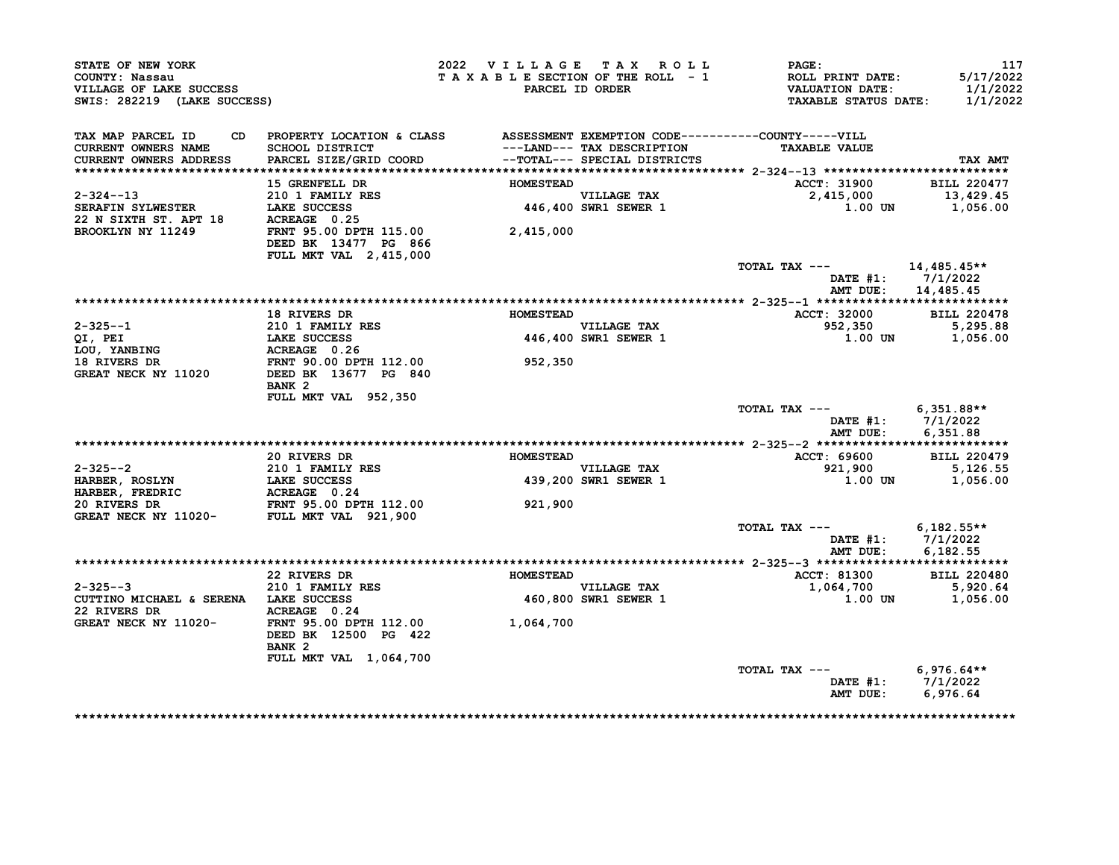| STATE OF NEW YORK<br>COUNTY: Nassau<br>VILLAGE OF LAKE SUCCESS<br>SWIS: 282219 (LAKE SUCCESS)                                                                                                                              |                                                                                                                                     | 2022 VILLAGE TAX ROLL<br>TAXABLE SECTION OF THE ROLL - 1 | PARCEL ID ORDER                                            | PAGE:<br>ROLL PRINT DATE:<br><b>VALUATION DATE:</b><br><b>TAXABLE STATUS DATE:</b> | 117<br>5/17/2022<br>1/1/2022<br>1/1/2022                 |
|----------------------------------------------------------------------------------------------------------------------------------------------------------------------------------------------------------------------------|-------------------------------------------------------------------------------------------------------------------------------------|----------------------------------------------------------|------------------------------------------------------------|------------------------------------------------------------------------------------|----------------------------------------------------------|
| TAX MAP PARCEL ID<br>CURRENT OWNERS NAME<br>CURRENT OWNERS ADDRESS                                                                                                                                                         | CD PROPERTY LOCATION & CLASS ASSESSMENT EXEMPTION CODE----------COUNTY-----VILL<br><b>SCHOOL DISTRICT</b><br>PARCEL SIZE/GRID COORD |                                                          | ---LAND--- TAX DESCRIPTION<br>--TOTAL--- SPECIAL DISTRICTS | <b>TAXABLE VALUE</b>                                                               | <b>TAX AMT</b>                                           |
|                                                                                                                                                                                                                            | 15 GRENFELL DR                                                                                                                      | <b>HOMESTEAD</b>                                         |                                                            | ACCT: 31900                                                                        | <b>BILL 220477</b>                                       |
| $2 - 324 - 13$<br><b>SERAFIN SYLWESTER</b>                                                                                                                                                                                 | 210 1 FAMILY RES<br>LAKE SUCCESS                                                                                                    |                                                          | VILLAGE TAX<br>446,400 SWR1 SEWER 1                        | 2,415,000<br>1.00 UN                                                               | 13,429.45<br>1,056.00                                    |
|                                                                                                                                                                                                                            | FRNT 95.00 DPTH 115.00<br>DEED BK 13477 PG 866<br>FULL MKT VAL 2,415,000                                                            | 2,415,000                                                |                                                            |                                                                                    |                                                          |
|                                                                                                                                                                                                                            |                                                                                                                                     |                                                          |                                                            | TOTAL TAX ---                                                                      | 14,485.45**<br>DATE $#1: 7/1/2022$<br>AMT DUE: 14,485.45 |
|                                                                                                                                                                                                                            |                                                                                                                                     |                                                          |                                                            |                                                                                    |                                                          |
|                                                                                                                                                                                                                            | <b>18 RIVERS DR</b>                                                                                                                 | <b>HOMESTEAD</b>                                         |                                                            | ACCT: 32000 BILL 220478                                                            |                                                          |
|                                                                                                                                                                                                                            |                                                                                                                                     |                                                          | VILLAGE TAX<br>446,400 SWR1 SEWER 1                        | 952,350                                                                            | 5,295.88                                                 |
|                                                                                                                                                                                                                            |                                                                                                                                     |                                                          |                                                            | 1.00 UN                                                                            | 1,056.00                                                 |
|                                                                                                                                                                                                                            |                                                                                                                                     | 952,350                                                  |                                                            |                                                                                    |                                                          |
| 2-325--1<br>210 1 FAMILY RES<br>210 1 FAMILY RES<br>LOU, YANBING<br>18 RIVERS DR<br>310 1 FAMILY RES<br>LOU, YANBING<br>210 1 FAMILY RES<br>ACREAGE<br>30.00 DPTH 112.00<br>GREAT NECK NY 11020<br>DEED BK 13677 PG 840    | BANK <sub>2</sub>                                                                                                                   |                                                          |                                                            |                                                                                    |                                                          |
|                                                                                                                                                                                                                            | FULL MKT VAL 952,350                                                                                                                |                                                          |                                                            | TOTAL TAX ---                                                                      | $6,351.88**$<br>DATE #1: 7/1/2022                        |
|                                                                                                                                                                                                                            |                                                                                                                                     |                                                          |                                                            | AMT DUE:                                                                           | 6,351.88                                                 |
|                                                                                                                                                                                                                            | 20 RIVERS DR                                                                                                                        | <b>HOMESTEAD</b>                                         |                                                            | ACCT: 69600                                                                        | <b>BILL 220479</b>                                       |
|                                                                                                                                                                                                                            |                                                                                                                                     |                                                          | <b>VILLAGE TAX</b>                                         | 921,900                                                                            | 5,126.55                                                 |
| 2-325--2<br>HARBER, ROSLYN<br>HARBER, FREDRIC<br>20 RIVERS DR<br>20 RIVERS DR<br>20 RIVERS DR<br>20 RIVERS DR<br>20 RIVERS DR<br>20 RIVERS DR<br>20 RIVERS DR<br>20 RIVERS DR<br>20 RIVERS DR<br>20 FRNT 95.00 DPTH 112.00 |                                                                                                                                     |                                                          | 439,200 SWR1 SEWER 1                                       | 1.00 UN                                                                            | 1,056.00                                                 |
|                                                                                                                                                                                                                            |                                                                                                                                     | 921,900                                                  |                                                            |                                                                                    |                                                          |
|                                                                                                                                                                                                                            |                                                                                                                                     |                                                          |                                                            | TOTAL TAX $---$ 6,182.55**                                                         | DATE #1: 7/1/2022<br>AMT DUE: 6,182.55                   |
|                                                                                                                                                                                                                            |                                                                                                                                     |                                                          |                                                            |                                                                                    |                                                          |
|                                                                                                                                                                                                                            | 22 RIVERS DR                                                                                                                        | <b>HOMESTEAD</b>                                         |                                                            | ACCT: 81300                                                                        | <b>BILL 220480</b>                                       |
| $2 - 325 - -3$<br>CUTTINO MICHAEL & SERENA LAKE SUCCESS                                                                                                                                                                    | 210 1 FAMILY RES                                                                                                                    |                                                          | VILLAGE TAX<br>460,800 SWR1 SEWER 1                        | 1,064,700<br>$1.00$ UN                                                             | 5,920.64<br>1,056.00                                     |
| 22 RIVERS DR<br>GREAT NECK NY 11020-                                                                                                                                                                                       | ACREAGE 0.24<br>FRNT 95.00 DPTH 112.00<br>DEED BK 12500 PG 422<br>BANK <sub>2</sub><br>FULL MKT VAL 1,064,700                       | 1,064,700                                                |                                                            |                                                                                    |                                                          |
|                                                                                                                                                                                                                            |                                                                                                                                     |                                                          |                                                            | TOTAL TAX $---$ 6,976.64**<br>DATE #1: $7/1/2022$<br>AMT DUE: 6,976.64             |                                                          |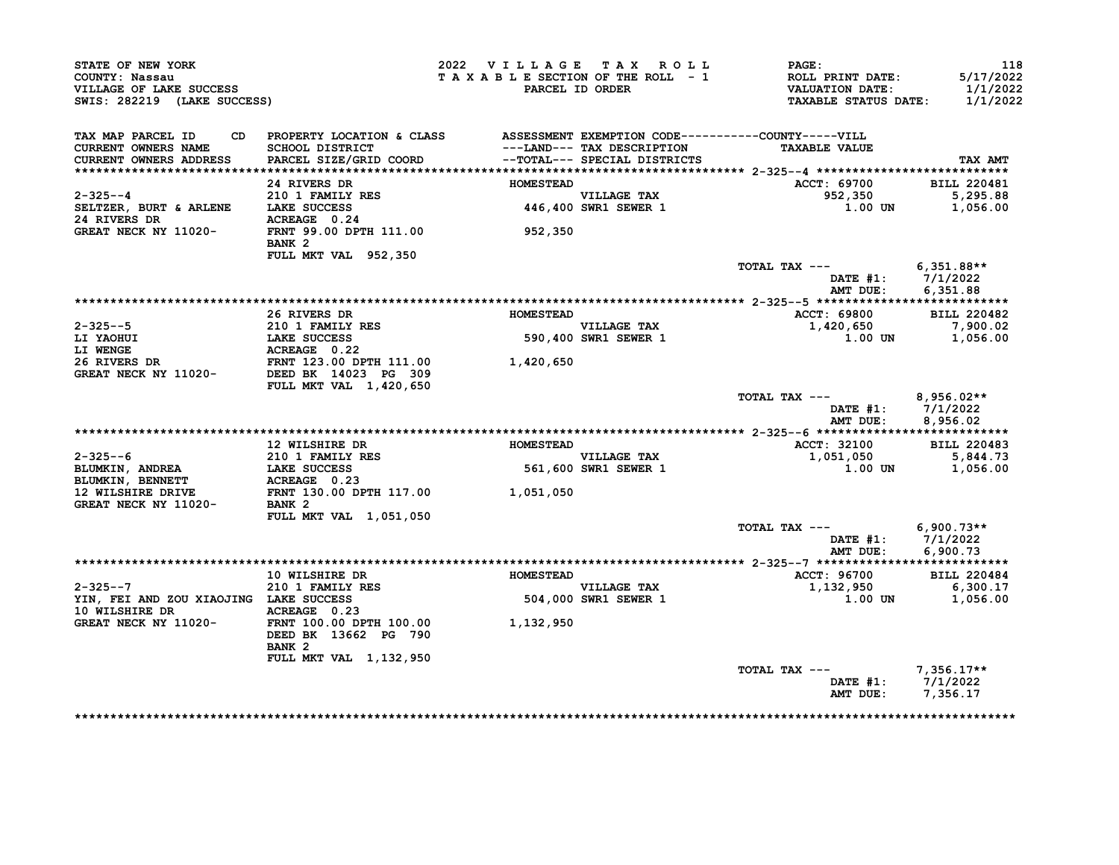| STATE OF NEW YORK<br>COUNTY: Nassau<br>VILLAGE OF LAKE SUCCESS<br>SWIS: 282219 (LAKE SUCCESS)                                                                                                                           |                                                                                                                                         | 2022 VILLAGE TAX ROLL       | TAXABLE SECTION OF THE ROLL - 1<br>PARCEL ID ORDER          | <b>PAGE :</b><br>ROLL PRINT DATE:<br><b>VALUATION DATE:</b><br><b>TAXABLE STATUS DATE:</b> | 118<br>5/17/2022<br>1/1/2022<br>1/1/2022   |
|-------------------------------------------------------------------------------------------------------------------------------------------------------------------------------------------------------------------------|-----------------------------------------------------------------------------------------------------------------------------------------|-----------------------------|-------------------------------------------------------------|--------------------------------------------------------------------------------------------|--------------------------------------------|
| TAX MAP PARCEL ID<br>CURRENT OWNERS NAME<br><b>CURRENT OWNERS ADDRESS</b>                                                                                                                                               | CD PROPERTY LOCATION & CLASS ASSESSMENT EXEMPTION CODE----------COUNTY-----VILL<br>SCHOOL DISTRICT<br>PARCEL SIZE/GRID COORD            |                             | ---LAND--- TAX DESCRIPTION<br>--TOTAL--- SPECIAL DISTRICTS  | <b>TAXABLE VALUE</b>                                                                       | TAX AMT                                    |
| $2 - 325 - -4$<br>SELTZER, BURT & ARLENE LAKE SUCCESS<br>24 RIVERS DR<br>24 RIVERS DR<br>CERAGE 0.24<br>CERAGE 0.24<br>CERAGE 0.24<br>CERAGE 0.24                                                                       | 24 RIVERS DR<br><b>210 1 FAMILY RES</b><br>BANK <sub>2</sub>                                                                            | <b>HOMESTEAD</b><br>952,350 | VILLAGE TAX<br>446,400 SWR1 SEWER 1                         | ACCT: 69700<br>952,350<br>1.00 UN                                                          | <b>BILL 220481</b><br>5,295.88<br>1,056.00 |
|                                                                                                                                                                                                                         | FULL MKT VAL 952,350                                                                                                                    |                             |                                                             | TOTAL TAX --- $6,351.88**$<br>DATE #1: 7/1/2022<br>AMT DUE:                                | 6.351.88                                   |
| 2-325--5<br>LI YAOHUI 1 EAMILY RES<br>LI YAOHUI LAKE SUCCESS<br>LI WENGE ACREAGE 0.22<br>26 RIVERS DR<br>GREAT NECK NY 11020-<br>DEED BK 1423 PG 309<br>THEORY MECK NY 11020-<br>THEORY MECHANICAL PROTECTION 1,420,650 | 26 RIVERS DR                                                                                                                            | <b>HOMESTEAD</b>            | VILLAGE TAX<br>590,400 SWR1 SEWER 1<br>590,400 SWR1 SEWER 1 | ACCT: 69800<br>$1,420,650$ $7,900.02$<br>$1,00,1$ $1,056,00$<br>1.00 UN                    | <b>BILL 220482</b><br>1,056.00             |
|                                                                                                                                                                                                                         | FULL MKT VAL 1,420,650                                                                                                                  |                             |                                                             | TOTAL TAX $---$ 8,956.02**<br>DATE $#1: 7/1/2022$<br>AMT DUE:                              | 8,956.02                                   |
| 2-325--6<br>BLUMKIN, ANDREA<br>BLUMKIN, BENNETT ACREAGE 0.23<br>12 WILSHIPE DEVEL ACREAGE 0.23<br>12 WILSHIRE DRIVE<br>GREAT NECK NY 11020-                                                                             | 12 WILSHIRE DR<br>FRNT 130.00 DPTH 117.00 1,051,050<br>BANK 2                                                                           | <b>HOMESTEAD</b>            | <b>VILLAGE TAX</b><br>561,600 SWR1 SEWER 1                  | <b>ACCT: 32100</b><br>1,051,050<br>1.00 UN                                                 | <b>BILL 220483</b><br>5,844.73<br>1,056.00 |
|                                                                                                                                                                                                                         | <b>FULL MKT VAL 1,051,050</b>                                                                                                           |                             |                                                             | TOTAL TAX $---$ 6,900.73**<br>DATE #1: 7/1/2022                                            | AMT DUE: 6,900.73                          |
| $2 - 325 - -7$<br>YIN, FEI AND ZOU XIAOJING LAKE SUCCESS<br>10 WILSHIRE DR<br>GREAT NECK NY 11020-<br>FRNT 100.00 DPTH 100.00 00 1,132,950                                                                              | <b>10 WILSHIRE DR</b><br>210 1 FAMILY RES<br>LAKE SUCCESS<br>DEED BK 13662 PG 790<br>BANK <sub>2</sub><br><b>FULL MKT VAL 1,132,950</b> | <b>HOMESTEAD</b>            | VILLAGE TAX<br>504,000 SWR1 SEWER 1                         | ACCT: 96700<br>1,132,950<br>1.00 UN                                                        | <b>BILL 220484</b><br>6,300.17<br>1,056.00 |
|                                                                                                                                                                                                                         |                                                                                                                                         |                             |                                                             | TOTAL TAX $---$ 7,356.17**<br>DATE #1: 7/1/2022<br>AMT DUE: 7,356.17                       |                                            |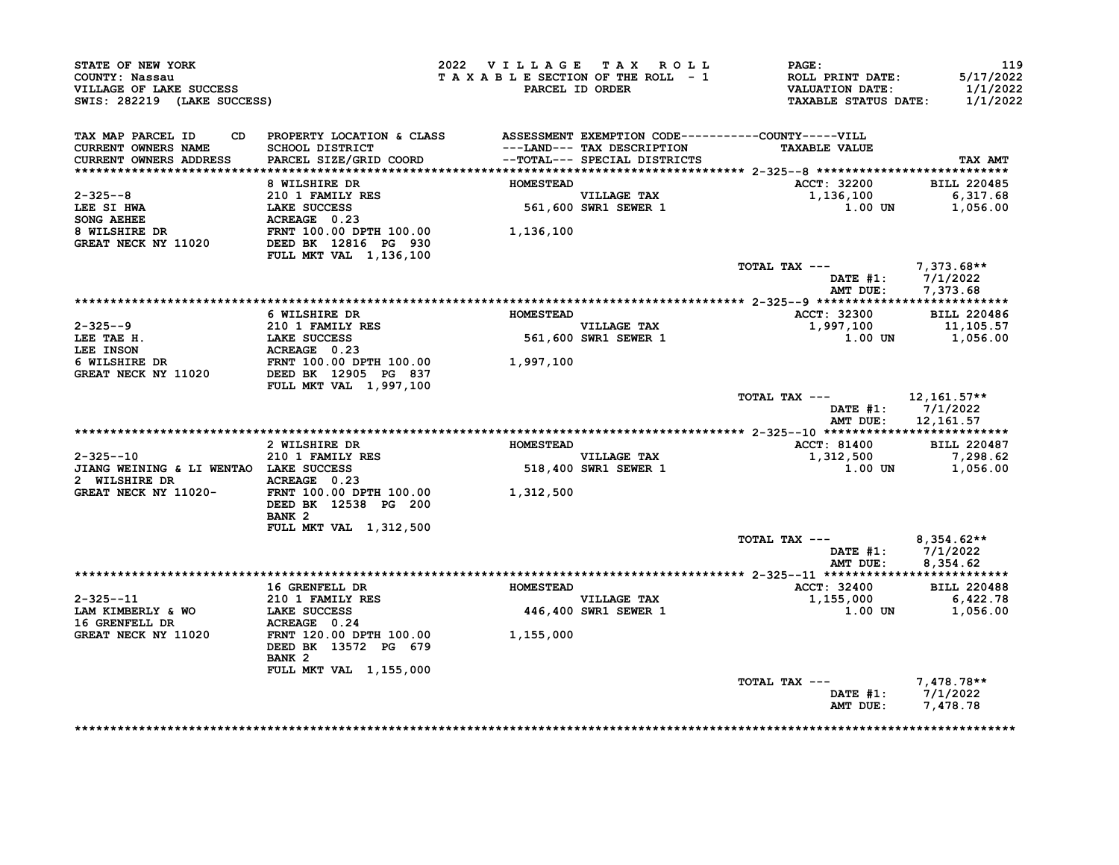| STATE OF NEW YORK<br>COUNTY: Nassau<br>VILLAGE OF LAKE SUCCESS<br>SWIS: 282219 (LAKE SUCCESS)                                                                                                                                                                                                                                                                                                                                                      |                                                                                                                                                                                                                                    |                  | 2022 VILLAGE TAX ROLL               | <b>PAGE:</b><br>T A X A B L E SECTION OF THE ROLL - 1 ROLL PRINT DATE:<br>PARCEL ID ORDER VALUATION DATE:<br>TAXABLE STATUS DATE: 1/1/2022 | 119<br>5/17/2022<br>1/1/2022   |
|----------------------------------------------------------------------------------------------------------------------------------------------------------------------------------------------------------------------------------------------------------------------------------------------------------------------------------------------------------------------------------------------------------------------------------------------------|------------------------------------------------------------------------------------------------------------------------------------------------------------------------------------------------------------------------------------|------------------|-------------------------------------|--------------------------------------------------------------------------------------------------------------------------------------------|--------------------------------|
| TAX MAP PARCEL ID<br><b>CURRENT OWNERS NAME</b><br><b>CURRENT OWNERS ADDRESS</b>                                                                                                                                                                                                                                                                                                                                                                   | CD PROPERTY LOCATION & CLASS ASSESSMENT EXEMPTION CODE----------COUNTY-----VILL<br>SCHOOL DISTRICT                                   ---LAND--- TAX DESCRIPTION<br>PARCEL SIZE/GRID COORD             --TOTAL--- SPECIAL DISTRICTS |                  | ---LAND--- TAX DESCRIPTION          | <b>TAXABLE VALUE</b>                                                                                                                       | TAX AMT                        |
|                                                                                                                                                                                                                                                                                                                                                                                                                                                    | 8 WILSHIRE DR                                                                                                                                                                                                                      | <b>HOMESTEAD</b> |                                     | ACCT: 32200                                                                                                                                | <b>BILL 220485</b>             |
| $2 - 325 - -8$                                                                                                                                                                                                                                                                                                                                                                                                                                     | 210 1 FAMILY RES                                                                                                                                                                                                                   |                  | VILLAGE TAX<br>561,600 SWR1 SEWER 1 | 1,136,100                                                                                                                                  | 6, 317.68                      |
|                                                                                                                                                                                                                                                                                                                                                                                                                                                    |                                                                                                                                                                                                                                    |                  |                                     | 1.00 UN                                                                                                                                    | 1,056.00                       |
|                                                                                                                                                                                                                                                                                                                                                                                                                                                    |                                                                                                                                                                                                                                    |                  |                                     |                                                                                                                                            |                                |
| $\begin{tabular}{lllllllllllllllllll} \multicolumn{4}{c}{2-325--8} & & & & & & 210 & 1 FAMILY RES \\ \multicolumn{4}{c}{\textbf{LEE}} & \multicolumn{4}{c}{\textbf{E}} & \multicolumn{4}{c}{\textbf{LAKE SUCCESS}} & & & & 561,600 \\ \multicolumn{4}{c}{\textbf{SONG AEREE}} & \multicolumn{4}{c}{\textbf{ACREAGE}} & \multicolumn{4}{c}{\textbf{0.23}} & & & & 561,600 \\ \multicolumn{4}{c}{\textbf{8 WILSHIRE DR}} & \multicolumn{4}{c}{\text$ | FULL MKT VAL 1,136,100                                                                                                                                                                                                             |                  |                                     |                                                                                                                                            |                                |
|                                                                                                                                                                                                                                                                                                                                                                                                                                                    |                                                                                                                                                                                                                                    |                  |                                     | TOTAL TAX $---$ 7,373.68**                                                                                                                 |                                |
|                                                                                                                                                                                                                                                                                                                                                                                                                                                    |                                                                                                                                                                                                                                    |                  |                                     |                                                                                                                                            | DATE #1: 7/1/2022              |
|                                                                                                                                                                                                                                                                                                                                                                                                                                                    |                                                                                                                                                                                                                                    |                  |                                     |                                                                                                                                            | AMT DUE: 7,373.68              |
|                                                                                                                                                                                                                                                                                                                                                                                                                                                    |                                                                                                                                                                                                                                    |                  |                                     |                                                                                                                                            |                                |
|                                                                                                                                                                                                                                                                                                                                                                                                                                                    | 6 WILSHIRE DR                                                                                                                                                                                                                      | <b>HOMESTEAD</b> |                                     | <b>ACCT: 32300</b>                                                                                                                         | <b>BILL 220486</b>             |
|                                                                                                                                                                                                                                                                                                                                                                                                                                                    |                                                                                                                                                                                                                                    |                  | VILLAGE TAX<br>561,600 SWR1 SEWER 1 | 1,997,100                                                                                                                                  | 11,105.57                      |
|                                                                                                                                                                                                                                                                                                                                                                                                                                                    |                                                                                                                                                                                                                                    |                  |                                     |                                                                                                                                            | 1.00 UN 1,056.00               |
|                                                                                                                                                                                                                                                                                                                                                                                                                                                    |                                                                                                                                                                                                                                    |                  |                                     |                                                                                                                                            |                                |
| 2-325--9<br>LEE TAE H.<br>LEE TAE H.<br>LEE TAE H.<br>LEE TAE H.<br>LEE INSON<br>CREAT NECK NY 11020<br>CREAT NECK NY 11020<br>LEE NECK NY 11020<br>DEED BK 109.00 DPTH 100.00<br>DEED BATT 100.00 DPTH 100.00<br>CREAT NECK NY 11020<br>DEED BK 12905                                                                                                                                                                                             | <b>FULL MKT VAL 1,997,100</b>                                                                                                                                                                                                      |                  |                                     |                                                                                                                                            |                                |
|                                                                                                                                                                                                                                                                                                                                                                                                                                                    |                                                                                                                                                                                                                                    |                  |                                     | TOTAL TAX --- 12,161.57**<br>AMT DUE:                                                                                                      | DATE #1: 7/1/2022<br>12,161.57 |
|                                                                                                                                                                                                                                                                                                                                                                                                                                                    |                                                                                                                                                                                                                                    |                  |                                     |                                                                                                                                            |                                |
|                                                                                                                                                                                                                                                                                                                                                                                                                                                    | 2 WILSHIRE DR                                                                                                                                                                                                                      | <b>HOMESTEAD</b> |                                     | ACCT: 81400 BILL 220487                                                                                                                    |                                |
|                                                                                                                                                                                                                                                                                                                                                                                                                                                    |                                                                                                                                                                                                                                    |                  | VILLAGE TAX<br>518,400 SWR1 SEWER 1 | $1,312,500$<br>1,00 UN 1,056.00                                                                                                            |                                |
| 2-325--10 210 1 FAMILY RES<br>JIANG WEINING & LI WENTAO LAKE SUCCESS<br>2 WILSTIPE PR                                                                                                                                                                                                                                                                                                                                                              |                                                                                                                                                                                                                                    |                  |                                     |                                                                                                                                            |                                |
| GREAT NECK NY 11020-<br>THE TOO.00 DPTH 100.00 1,312,500                                                                                                                                                                                                                                                                                                                                                                                           | DEED BK 12538 PG 200<br>BANK <sub>2</sub>                                                                                                                                                                                          |                  |                                     |                                                                                                                                            |                                |
|                                                                                                                                                                                                                                                                                                                                                                                                                                                    | FULL MKT VAL 1,312,500                                                                                                                                                                                                             |                  |                                     |                                                                                                                                            |                                |
|                                                                                                                                                                                                                                                                                                                                                                                                                                                    |                                                                                                                                                                                                                                    |                  |                                     | TOTAL TAX --- $8,354.62**$                                                                                                                 | DATE #1: 7/1/2022              |
|                                                                                                                                                                                                                                                                                                                                                                                                                                                    |                                                                                                                                                                                                                                    |                  |                                     |                                                                                                                                            | AMT DUE: 8,354.62              |
|                                                                                                                                                                                                                                                                                                                                                                                                                                                    |                                                                                                                                                                                                                                    |                  |                                     |                                                                                                                                            |                                |
|                                                                                                                                                                                                                                                                                                                                                                                                                                                    |                                                                                                                                                                                                                                    |                  |                                     |                                                                                                                                            |                                |
|                                                                                                                                                                                                                                                                                                                                                                                                                                                    | 16 GRENFELL DR                                                                                                                                                                                                                     | <b>HOMESTEAD</b> |                                     | <b>ACCT: 32400</b>                                                                                                                         | <b>BILL 220488</b>             |
| $2 - 325 - -11$                                                                                                                                                                                                                                                                                                                                                                                                                                    |                                                                                                                                                                                                                                    |                  | VILLAGE TAX                         | $1,155,000$ 6,422.78                                                                                                                       |                                |
| LAM KIMBERLY & WO                                                                                                                                                                                                                                                                                                                                                                                                                                  | LAKE SUCCESS                                                                                                                                                                                                                       |                  | 446,400 SWR1 SEWER 1                | 1.00 UN                                                                                                                                    | 1,056.00                       |
| <b>16 GRENFELL DR</b>                                                                                                                                                                                                                                                                                                                                                                                                                              | 210 1 FAMILY RES<br>LAKE SUCCESS<br>ACREAGE 0 24<br>ACREAGE 0.24                                                                                                                                                                   |                  |                                     |                                                                                                                                            |                                |
| GREAT NECK NY 11020                                                                                                                                                                                                                                                                                                                                                                                                                                | FRNT 120.00 DPTH 100.00 1,155,000<br>DEED BK 13572 PG 679                                                                                                                                                                          |                  |                                     |                                                                                                                                            |                                |
|                                                                                                                                                                                                                                                                                                                                                                                                                                                    | BANK <sub>2</sub><br>FULL MKT VAL 1,155,000                                                                                                                                                                                        |                  |                                     |                                                                                                                                            |                                |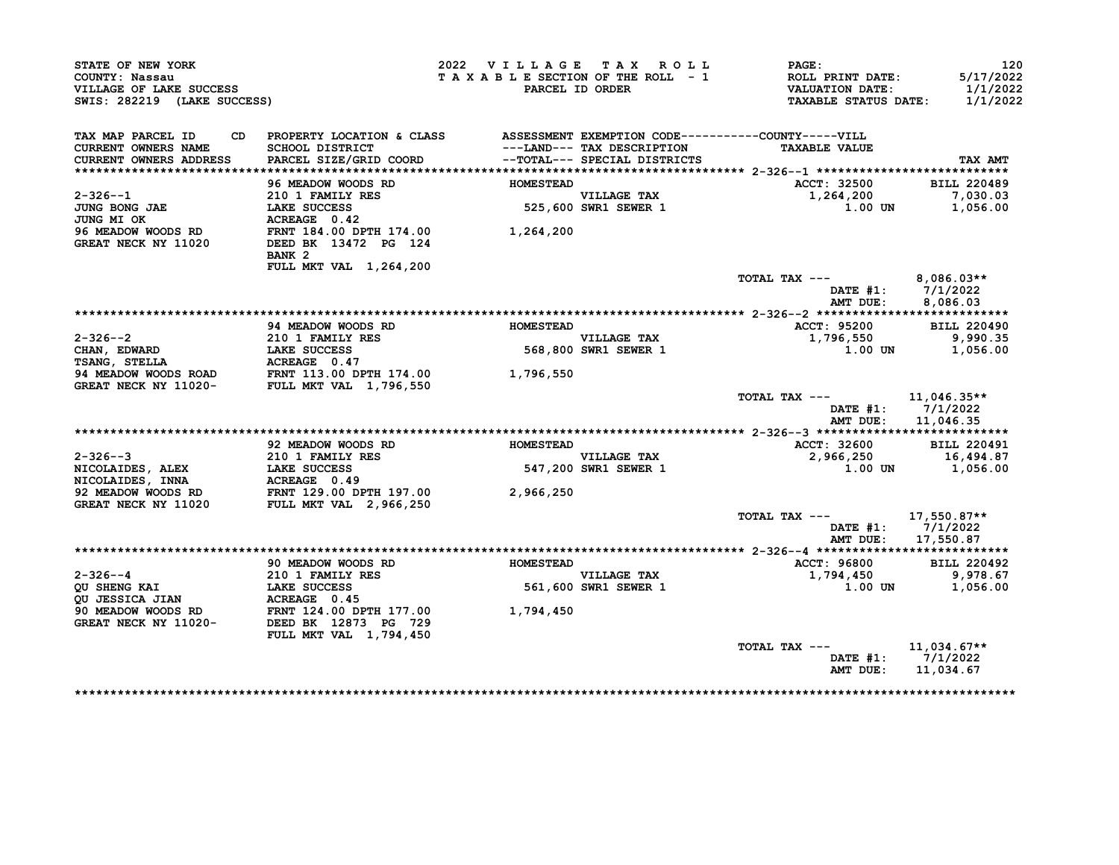| STATE OF NEW YORK                         |                                                                                                                              | 2022 VILLAGE TAX ROLL           |                                     | PAGE:                                             | 120                                                                          |
|-------------------------------------------|------------------------------------------------------------------------------------------------------------------------------|---------------------------------|-------------------------------------|---------------------------------------------------|------------------------------------------------------------------------------|
| COUNTY: Nassau<br>VILLAGE OF LAKE SUCCESS |                                                                                                                              | TAXABLE SECTION OF THE ROLL - 1 | PARCEL ID ORDER                     | <b>ROLL PRINT DATE:</b><br><b>VALUATION DATE:</b> | 5/17/2022<br>1/1/2022                                                        |
| SWIS: 282219 (LAKE SUCCESS)               |                                                                                                                              |                                 |                                     | <b>TAXABLE STATUS DATE:</b>                       | 1/1/2022                                                                     |
| TAX MAP PARCEL ID                         | CD PROPERTY LOCATION & CLASS ASSESSMENT EXEMPTION CODE----------COUNTY-----VILL                                              |                                 |                                     |                                                   |                                                                              |
| <b>CURRENT OWNERS NAME</b>                | SCHOOL DISTRICT                                                                                                              |                                 | ---LAND--- TAX DESCRIPTION          | <b>TAXABLE VALUE</b>                              |                                                                              |
| CURRENT OWNERS ADDRESS                    | PARCEL SIZE/GRID COORD                                                                                                       |                                 | --TOTAL--- SPECIAL DISTRICTS        |                                                   | TAX AMT                                                                      |
|                                           | 96 MEADOW WOODS RD                                                                                                           | <b>HOMESTEAD</b>                |                                     |                                                   | <b>BILL 220489</b>                                                           |
|                                           |                                                                                                                              |                                 |                                     | ACCT: 32500                                       | 7,030.03                                                                     |
| $2 - 326 - -1$<br>JUNG BONG JAE           |                                                                                                                              |                                 | VILLAGE TAX<br>525,600 SWR1 SEWER 1 | 1,264,200<br>1.00 UN                              |                                                                              |
| <b>JUNG MI OK</b>                         | <b>210 1 FAMILY RES<br/>LAKE SUCCESS<br/>ACREAGE 0.42</b><br>ACREAGE 0.42                                                    |                                 |                                     |                                                   | 1,056.00                                                                     |
|                                           |                                                                                                                              | 1,264,200                       |                                     |                                                   |                                                                              |
| GREAT NECK NY 11020                       | 96 MEADOW WOODS RD         FRNT 184.00 DPTH 174.00<br>GREAT NECK NY 11020       DEED BK 13472 PG 124<br>DEED BK 13472 PG 124 |                                 |                                     |                                                   |                                                                              |
|                                           | BANK <sub>2</sub>                                                                                                            |                                 |                                     |                                                   |                                                                              |
|                                           | FULL MKT VAL 1,264,200                                                                                                       |                                 |                                     |                                                   |                                                                              |
|                                           |                                                                                                                              |                                 |                                     | TOTAL TAX ---                                     | 8,086.03**                                                                   |
|                                           |                                                                                                                              |                                 |                                     |                                                   | DATE $#1: 7/1/2022$                                                          |
|                                           |                                                                                                                              |                                 |                                     | AMT DUE:                                          | 8,086.03                                                                     |
|                                           |                                                                                                                              |                                 |                                     |                                                   |                                                                              |
|                                           | 94 MEADOW WOODS RD                                                                                                           | <b>HOMESTEAD</b>                |                                     | ACCT: 95200                                       | <b>BILL 220490</b>                                                           |
| $2 - 326 - -2$                            | <b>210 1 FAMILY RES</b>                                                                                                      |                                 | <b>VILLAGE TAX</b>                  | 1,796,550                                         | 9,990.35                                                                     |
|                                           |                                                                                                                              |                                 | 568,800 SWR1 SEWER 1                | $1.00$ UN                                         | 1,056.00                                                                     |
|                                           |                                                                                                                              |                                 |                                     |                                                   |                                                                              |
|                                           |                                                                                                                              | 1,796,550                       |                                     |                                                   |                                                                              |
|                                           |                                                                                                                              |                                 |                                     | TOTAL TAX ---                                     | $11,046.35**$                                                                |
|                                           |                                                                                                                              |                                 |                                     |                                                   | DATE $#1: 7/1/2022$                                                          |
|                                           |                                                                                                                              |                                 |                                     | AMT DUE:                                          | 11,046.35                                                                    |
|                                           |                                                                                                                              |                                 |                                     |                                                   |                                                                              |
|                                           | 92 MEADOW WOODS RD                                                                                                           | <b>HOMESTEAD</b>                |                                     | ACCT: 32600                                       | <b>BILL 220491</b>                                                           |
| $2 - 326 - -3$                            | <b>210 1 FAMILY RES</b>                                                                                                      |                                 | <b>VILLAGE TAX</b>                  | 2,966,250                                         | 16,494.87                                                                    |
| NICOLAIDES, ALEX<br>NICOLAIDES, INNA      |                                                                                                                              |                                 | 547,200 SWR1 SEWER 1                | 1.00 UN                                           | 1,056.00                                                                     |
|                                           |                                                                                                                              |                                 |                                     |                                                   |                                                                              |
| 92 MEADOW WOODS RD                        |                                                                                                                              | 2,966,250                       |                                     |                                                   |                                                                              |
|                                           |                                                                                                                              |                                 |                                     |                                                   |                                                                              |
| GREAT NECK NY 11020                       | <b>FULL MKT VAL 2,966,250</b>                                                                                                |                                 |                                     |                                                   |                                                                              |
|                                           |                                                                                                                              |                                 |                                     | TOTAL TAX ---                                     | 17,550.87**                                                                  |
|                                           |                                                                                                                              |                                 |                                     | AMT DUE:                                          | DATE #1: 7/1/2022<br>17,550.87                                               |
|                                           |                                                                                                                              |                                 |                                     |                                                   |                                                                              |
|                                           | 90 MEADOW WOODS RD                                                                                                           | <b>HOMESTEAD</b>                |                                     | ACCT: 96800                                       |                                                                              |
| $2 - 326 - -4$                            | <b>210 1 FAMILY RES</b>                                                                                                      |                                 | <b>VILLAGE TAX</b>                  | 1,794,450                                         |                                                                              |
| <b>QU SHENG KAI</b>                       | <b>LAKE SUCCESS</b>                                                                                                          |                                 |                                     | 1.00 UN                                           |                                                                              |
| <b>QU JESSICA JIAN</b>                    |                                                                                                                              |                                 | 561,600 SWR1 SEWER 1                |                                                   |                                                                              |
| 90 MEADOW WOODS RD                        | <b>ACREAGE 0.45<br/>FRNT 124.00 DPTH 177.00</b>                                                                              | 1,794,450                       |                                     |                                                   |                                                                              |
| GREAT NECK NY 11020-                      | DEED BK 12873 PG 729                                                                                                         |                                 |                                     |                                                   |                                                                              |
|                                           | FULL MKT VAL 1,794,450                                                                                                       |                                 |                                     |                                                   |                                                                              |
|                                           |                                                                                                                              |                                 |                                     | TOTAL TAX ---                                     | $11,034.67**$                                                                |
|                                           |                                                                                                                              |                                 |                                     | AMT DUE:                                          | <b>BILL 220492</b><br>9,978.67<br>1,056.00<br>DATE #1: 7/1/2022<br>11,034.67 |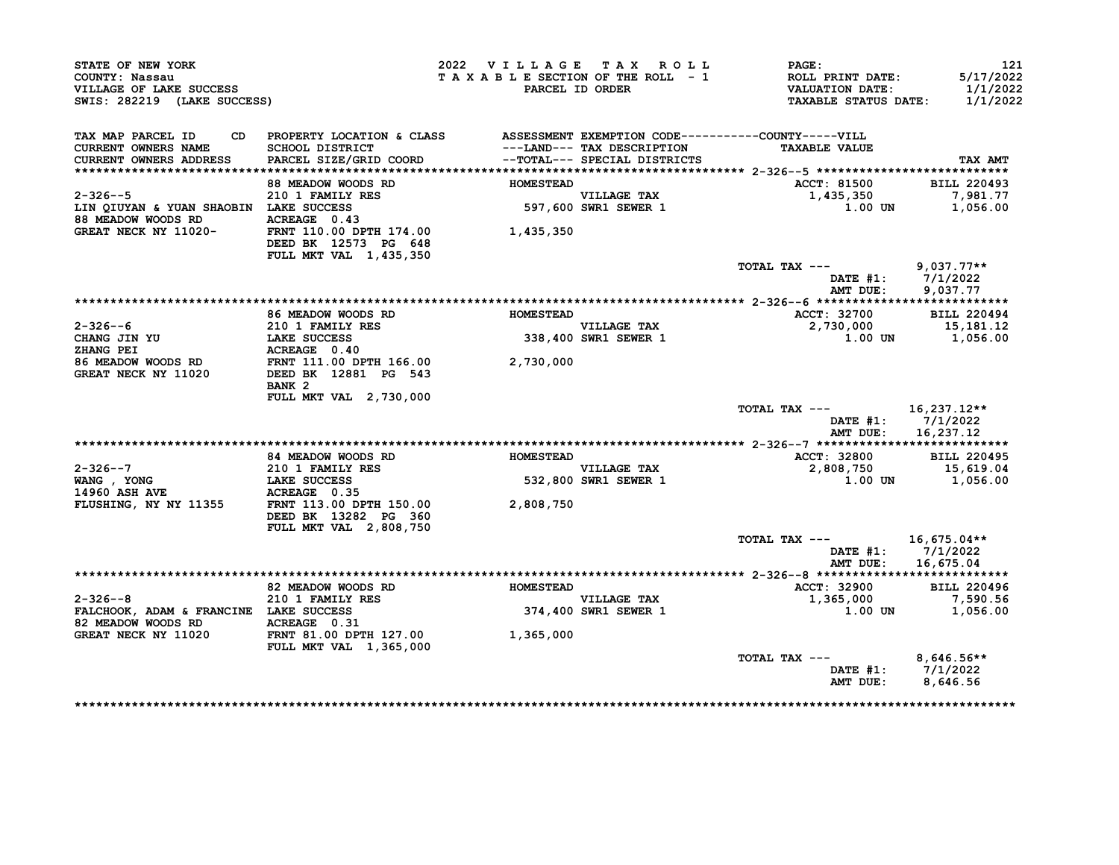| STATE OF NEW YORK<br>COUNTY: Nassau<br>VILLAGE OF LAKE SUCCESS<br>SWIS: 282219 (LAKE SUCCESS) |                                                                                                                               | 2022 VILLAGE TAX ROLL<br>TAXABLE SECTION OF THE ROLL - 1 | PARCEL ID ORDER                                            | PAGE:<br>ROLL PRINT DATE:<br>VALUATION DATE:<br><b>TAXABLE STATUS DATE:</b> | 121<br>5/17/2022<br>1/1/2022<br>1/1/2022 |
|-----------------------------------------------------------------------------------------------|-------------------------------------------------------------------------------------------------------------------------------|----------------------------------------------------------|------------------------------------------------------------|-----------------------------------------------------------------------------|------------------------------------------|
| TAX MAP PARCEL ID                                                                             | CD PROPERTY LOCATION & CLASS ASSESSMENT EXEMPTION CODE----------COUNTY-----VILL                                               |                                                          |                                                            |                                                                             |                                          |
| CURRENT OWNERS NAME<br><b>CURRENT OWNERS ADDRESS</b>                                          | SCHOOL DISTRICT<br>PARCEL SIZE/GRID COORD                                                                                     |                                                          | ---LAND--- TAX DESCRIPTION<br>--TOTAL--- SPECIAL DISTRICTS | <b>TAXABLE VALUE</b>                                                        | <b>TAX AMT</b>                           |
|                                                                                               |                                                                                                                               |                                                          |                                                            |                                                                             |                                          |
|                                                                                               | 88 MEADOW WOODS RD                                                                                                            | <b>HOMESTEAD</b>                                         |                                                            | <b>ACCT: 81500</b>                                                          | <b>BILL 220493</b>                       |
| $2 - 326 - -5$                                                                                | 210 1 FAMILY RES                                                                                                              |                                                          | VILLAGE TAX<br>597,600 SWR1 SEWER 1                        | 1,435,350                                                                   | 7,981.77                                 |
| LIN QIUYAN & YUAN SHAOBIN LAKE SUCCESS                                                        | LAKE SUCCESS<br>ACREAGE 0.43                                                                                                  |                                                          |                                                            | 1.00 UN                                                                     | 1,056.00                                 |
| 88 MEADOW WOODS RD<br>GREAT NECK NY 11020-                                                    | FRNT 110.00 DPTH 174.00 1,435,350                                                                                             |                                                          |                                                            |                                                                             |                                          |
|                                                                                               | DEED BK 12573 PG 648                                                                                                          |                                                          |                                                            |                                                                             |                                          |
|                                                                                               | FULL MKT VAL 1,435,350                                                                                                        |                                                          |                                                            | TOTAL TAX ---                                                               | $9,037.77**$                             |
|                                                                                               |                                                                                                                               |                                                          |                                                            |                                                                             | DATE #1: 7/1/2022                        |
|                                                                                               |                                                                                                                               |                                                          |                                                            | AMT DUE:                                                                    | 9,037.77                                 |
|                                                                                               |                                                                                                                               |                                                          |                                                            |                                                                             |                                          |
|                                                                                               |                                                                                                                               | <b>HOMESTEAD</b>                                         |                                                            | <b>ACCT: 32700</b>                                                          | <b>BILL 220494</b>                       |
| $2 - 326 - -6$                                                                                |                                                                                                                               |                                                          |                                                            | 2,730,000                                                                   | 15,181.12                                |
| CHANG JIN YU<br>"HANG PET                                                                     |                                                                                                                               |                                                          | VILLAGE TAX<br>338,400 SWR1 SEWER 1                        |                                                                             | 1.00 UN 1,056.00                         |
|                                                                                               |                                                                                                                               |                                                          |                                                            |                                                                             |                                          |
| 86 MEADOW WOODS RD                                                                            | COMEADOW WOODS RD<br>210 1 FAMILY RES<br>LAKE SUCCESS<br>ACREAGE 0.40<br>FRNT 111 00 ---<br>FRNT 111.00 DPTH 166.00 2,730,000 |                                                          |                                                            |                                                                             |                                          |
| GREAT NECK NY 11020                                                                           | DEED BK 12881 PG 543<br>BANK <sub>2</sub>                                                                                     |                                                          |                                                            |                                                                             |                                          |
|                                                                                               | FULL MKT VAL 2,730,000                                                                                                        |                                                          |                                                            |                                                                             |                                          |
|                                                                                               |                                                                                                                               |                                                          |                                                            | TOTAL TAX --- 16,237.12**                                                   | DATE $#1: 7/1/2022$                      |
|                                                                                               |                                                                                                                               |                                                          |                                                            | AMT DUE:                                                                    | 16,237.12                                |
|                                                                                               | 84 MEADOW WOODS RD                                                                                                            | <b>HOMESTEAD</b>                                         |                                                            | ACCT: 32800                                                                 | <b>BILL 220495</b>                       |
|                                                                                               |                                                                                                                               |                                                          |                                                            |                                                                             |                                          |
|                                                                                               |                                                                                                                               |                                                          | VILLAGE TAX<br>532,800 SWR1 SEWER 1                        | 2,808,750 15,619.04<br>1.00 UN                                              | 1,056.00                                 |
|                                                                                               |                                                                                                                               |                                                          |                                                            |                                                                             |                                          |
|                                                                                               |                                                                                                                               | 2,808,750                                                |                                                            |                                                                             |                                          |
|                                                                                               | DEED BK 13282 PG 360                                                                                                          |                                                          |                                                            |                                                                             |                                          |
|                                                                                               | FULL MKT VAL 2,808,750                                                                                                        |                                                          |                                                            |                                                                             |                                          |
|                                                                                               |                                                                                                                               |                                                          |                                                            | TOTAL TAX ---                                                               | 16,675.04**                              |
|                                                                                               |                                                                                                                               |                                                          |                                                            |                                                                             | DATE $#1: 7/1/2022$                      |
|                                                                                               |                                                                                                                               |                                                          |                                                            |                                                                             | AMT DUE: 16,675.04                       |
|                                                                                               |                                                                                                                               | <b>HOMESTEAD</b>                                         |                                                            |                                                                             | <b>BILL 220496</b>                       |
| $2 - 326 - -8$                                                                                | 82 MEADOW WOODS RD                                                                                                            |                                                          |                                                            | ACCT: 32900<br>1,365,000                                                    | 7,590.56                                 |
| FALCHOOK, ADAM & FRANCINE LAKE SUCCESS                                                        | 210 1 FAMILY RES                                                                                                              |                                                          | VILLAGE TAX<br>374,400 SWR1 SEWER 1                        | 1.00 UN                                                                     | 1,056.00                                 |
| 82 MEADOW WOODS RD ACREAGE 0.31                                                               |                                                                                                                               |                                                          |                                                            |                                                                             |                                          |
| GREAT NECK NY 11020                                                                           | FRNT 81.00 DPTH 127.00<br><b>FULL MKT VAL 1,365,000</b>                                                                       | 1,365,000                                                |                                                            |                                                                             |                                          |
|                                                                                               |                                                                                                                               |                                                          |                                                            | TOTAL TAX ---                                                               | $8,646.56**$                             |
|                                                                                               |                                                                                                                               |                                                          |                                                            |                                                                             | DATE #1: 7/1/2022                        |
|                                                                                               |                                                                                                                               |                                                          |                                                            | AMT DUE:                                                                    | 8,646.56                                 |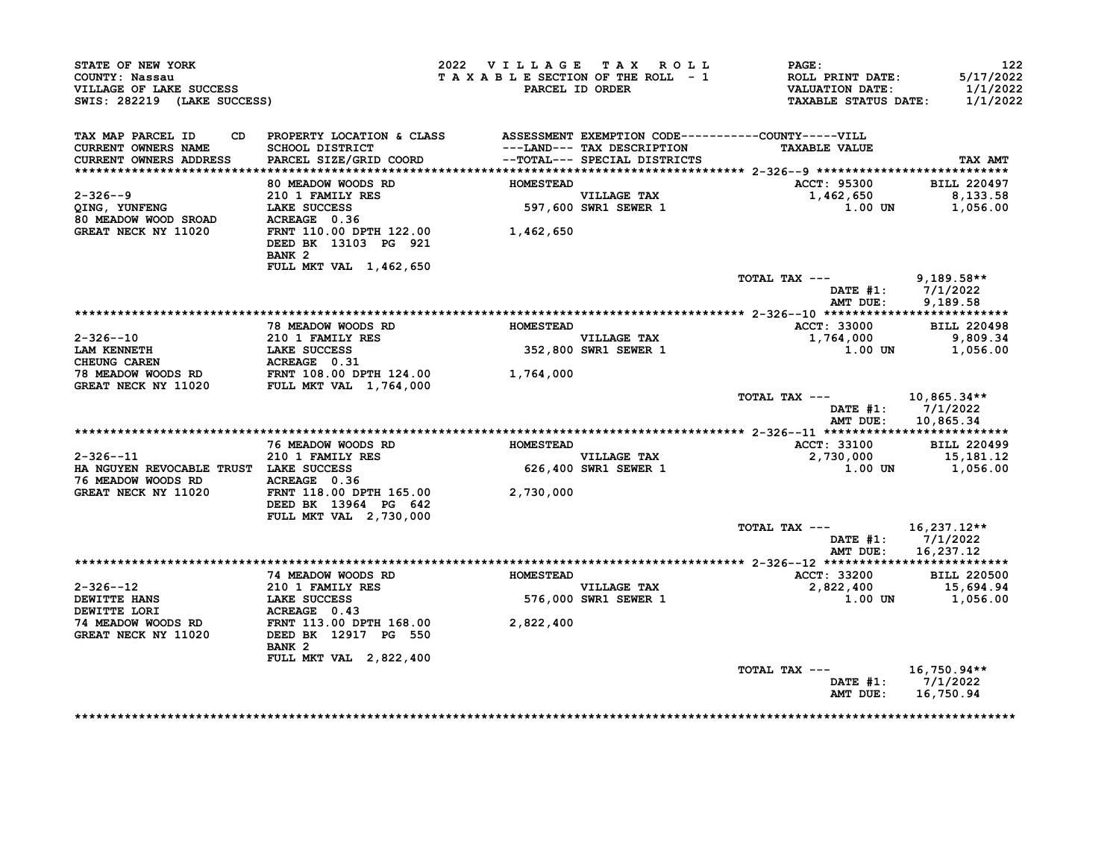|                                                                                                                                                                                                                                                                      |                                                                                                                                                                                                           | 2022 VILLAGE TAX ROLL           |                                     | $\mathtt{PAGE}$ :                                                    | 122                                             |
|----------------------------------------------------------------------------------------------------------------------------------------------------------------------------------------------------------------------------------------------------------------------|-----------------------------------------------------------------------------------------------------------------------------------------------------------------------------------------------------------|---------------------------------|-------------------------------------|----------------------------------------------------------------------|-------------------------------------------------|
|                                                                                                                                                                                                                                                                      |                                                                                                                                                                                                           | TAXABLE SECTION OF THE ROLL - 1 |                                     |                                                                      | 5/17/2022                                       |
| A SURVEY OF LAKE SUCCESS<br>SWIS: 282219 (LAKE SUCCESS)<br>AX MAP T                                                                                                                                                                                                  |                                                                                                                                                                                                           |                                 | PARCEL ID ORDER                     | <b>ROLL PRINT DATE:<br/>VALUATION DATE:<br/>TAXABLE STATUS DATE:</b> | 1/1/2022<br>1/1/2022                            |
|                                                                                                                                                                                                                                                                      |                                                                                                                                                                                                           |                                 |                                     |                                                                      |                                                 |
| TAX MAP PARCEL ID                                                                                                                                                                                                                                                    | CD PROPERTY LOCATION & CLASS ASSESSMENT EXEMPTION CODE----------COUNTY-----VILL<br>SCHOOL DISTRICT ---------------- TAX DESCRIPTION TAXABLE VALUE<br>SPARCEL SIZE/GRID COORD --TOTAL--- SPECIAL DISTRICTS |                                 |                                     |                                                                      |                                                 |
| CURRENT OWNERS NAME<br>CURRENT OWNERS ADDRESS                                                                                                                                                                                                                        |                                                                                                                                                                                                           |                                 |                                     | <b>TAXABLE VALUE</b>                                                 | TAX AMT                                         |
|                                                                                                                                                                                                                                                                      |                                                                                                                                                                                                           |                                 |                                     |                                                                      |                                                 |
|                                                                                                                                                                                                                                                                      | 80 MEADOW WOODS RD                                                                                                                                                                                        | <b>HOMESTEAD</b>                |                                     | ACCT: 95300 BILL 220497                                              |                                                 |
| 2-326--9<br>QING, YUNFENG                                                                                                                                                                                                                                            |                                                                                                                                                                                                           |                                 |                                     | $1,462,650$ 8,133.58                                                 |                                                 |
|                                                                                                                                                                                                                                                                      |                                                                                                                                                                                                           |                                 | VILLAGE TAX<br>597,600 SWR1 SEWER 1 | 1.00 UN                                                              | 1,056.00                                        |
|                                                                                                                                                                                                                                                                      |                                                                                                                                                                                                           |                                 |                                     |                                                                      |                                                 |
| 2-326--9 210 1 FAMILY RES<br>QING, YUNFENG LAKE SUCCESS 597,600<br>80 MEADOW WOOD SROAD ACREAGE 0.36<br>GREAT NECK NY 11020 FRNT 110.00 DPTH 122.00 1,462,650                                                                                                        | DEED BK 13103 PG 921                                                                                                                                                                                      |                                 |                                     |                                                                      |                                                 |
|                                                                                                                                                                                                                                                                      | BANK <sub>2</sub>                                                                                                                                                                                         |                                 |                                     |                                                                      |                                                 |
|                                                                                                                                                                                                                                                                      | FULL MKT VAL 1,462,650                                                                                                                                                                                    |                                 |                                     | TOTAL TAX --- 9,189.58**                                             |                                                 |
|                                                                                                                                                                                                                                                                      |                                                                                                                                                                                                           |                                 |                                     |                                                                      | DATE #1: 7/1/2022                               |
|                                                                                                                                                                                                                                                                      |                                                                                                                                                                                                           |                                 |                                     |                                                                      | AMT DUE: 9,189.58                               |
|                                                                                                                                                                                                                                                                      |                                                                                                                                                                                                           |                                 |                                     |                                                                      |                                                 |
|                                                                                                                                                                                                                                                                      | 78 MEADOW WOODS RD                                                                                                                                                                                        | HOMESTEAD                       |                                     | ACCT: 33000 BILL 220498                                              |                                                 |
| $2 - 326 - -10$                                                                                                                                                                                                                                                      |                                                                                                                                                                                                           |                                 | VILLAGE TAX                         | $1,764,000$ 9,809.34                                                 |                                                 |
| 2-326--10<br>210 1 FAMILY RES<br>CHEUNG CAREN<br>CHEUNG CAREN<br>210 1 FAMILY RES<br>210 1 FAMILY RES<br>210 1 FAMILY RES<br>210 1 FAMILY RES<br>210 20<br>210 20<br>210 20<br>210 20<br>210 20<br>210 20<br>210 20<br>210 20<br>210 20<br>210 20<br>210 22<br>210 2 |                                                                                                                                                                                                           |                                 |                                     |                                                                      | 1.00 UN 1,056.00                                |
|                                                                                                                                                                                                                                                                      |                                                                                                                                                                                                           |                                 |                                     |                                                                      |                                                 |
|                                                                                                                                                                                                                                                                      |                                                                                                                                                                                                           |                                 |                                     |                                                                      |                                                 |
|                                                                                                                                                                                                                                                                      |                                                                                                                                                                                                           |                                 |                                     |                                                                      |                                                 |
|                                                                                                                                                                                                                                                                      |                                                                                                                                                                                                           |                                 |                                     | TOTAL TAX ---<br>AMT DUE:                                            | 10,865.34**<br>DATE $#1: 7/1/2022$<br>10,865.34 |
|                                                                                                                                                                                                                                                                      |                                                                                                                                                                                                           |                                 |                                     |                                                                      |                                                 |
|                                                                                                                                                                                                                                                                      | 76 MEADOW WOODS RD MOMESTEAD                                                                                                                                                                              |                                 |                                     | ACCT: 33100 BILL 220499                                              |                                                 |
| $2 - 326 - -11$                                                                                                                                                                                                                                                      | 210 1 FAMILY RES                                                                                                                                                                                          |                                 |                                     | 2,730,000                                                            | 15,181.12                                       |
| HA NGUYEN REVOCABLE TRUST LAKE SUCCESS                                                                                                                                                                                                                               |                                                                                                                                                                                                           |                                 | VILLAGE TAX<br>626,400 SWR1 SEWER 1 |                                                                      | 1.00 UN 1,056.00                                |
|                                                                                                                                                                                                                                                                      |                                                                                                                                                                                                           |                                 |                                     |                                                                      |                                                 |
|                                                                                                                                                                                                                                                                      |                                                                                                                                                                                                           |                                 |                                     |                                                                      |                                                 |
|                                                                                                                                                                                                                                                                      | DEED BK 13964 PG 642<br>FULL MKT VAL 2,730,000                                                                                                                                                            |                                 |                                     |                                                                      |                                                 |
|                                                                                                                                                                                                                                                                      |                                                                                                                                                                                                           |                                 |                                     | TOTAL TAX --- $16,237.12**$                                          |                                                 |
|                                                                                                                                                                                                                                                                      |                                                                                                                                                                                                           |                                 |                                     |                                                                      | DATE #1: 7/1/2022                               |
|                                                                                                                                                                                                                                                                      |                                                                                                                                                                                                           |                                 |                                     | AMT DUE:                                                             | 16,237.12                                       |
|                                                                                                                                                                                                                                                                      | 74 MEADOW WOODS RD                                                                                                                                                                                        | <b>HOMESTEAD</b>                |                                     | ACCT: 33200                                                          | <b>BILL 220500</b>                              |
|                                                                                                                                                                                                                                                                      |                                                                                                                                                                                                           |                                 | VILLAGE TAX                         |                                                                      |                                                 |
|                                                                                                                                                                                                                                                                      |                                                                                                                                                                                                           |                                 | VILLAGE TAX<br>576,000 SWR1 SEWER 1 | 2,822,400<br>1.00 15,694.94<br>1.00 UN 1,056.00                      |                                                 |
|                                                                                                                                                                                                                                                                      |                                                                                                                                                                                                           |                                 |                                     |                                                                      |                                                 |
|                                                                                                                                                                                                                                                                      |                                                                                                                                                                                                           |                                 |                                     |                                                                      |                                                 |
| 2-326--12<br>DEWITTE HANS<br>DEWITTE HANS<br>DEWITTE LORI EXERCICES ACREAGE 0.43<br>74 MEADOW WOODS RD FRNT 113.00 DPTH 168.00 2,822,400<br>GREAT NECK NY 11020 DEED BK 12917 PG 550                                                                                 | BANK 2                                                                                                                                                                                                    |                                 |                                     |                                                                      |                                                 |
|                                                                                                                                                                                                                                                                      | FULL MKT VAL 2,822,400                                                                                                                                                                                    |                                 |                                     |                                                                      |                                                 |
|                                                                                                                                                                                                                                                                      |                                                                                                                                                                                                           |                                 |                                     | TOTAL TAX $---$ 16,750.94**                                          |                                                 |
|                                                                                                                                                                                                                                                                      |                                                                                                                                                                                                           |                                 |                                     |                                                                      | DATE #1: 7/1/2022<br>AMT DUE: 16,750.94         |
|                                                                                                                                                                                                                                                                      |                                                                                                                                                                                                           |                                 |                                     |                                                                      |                                                 |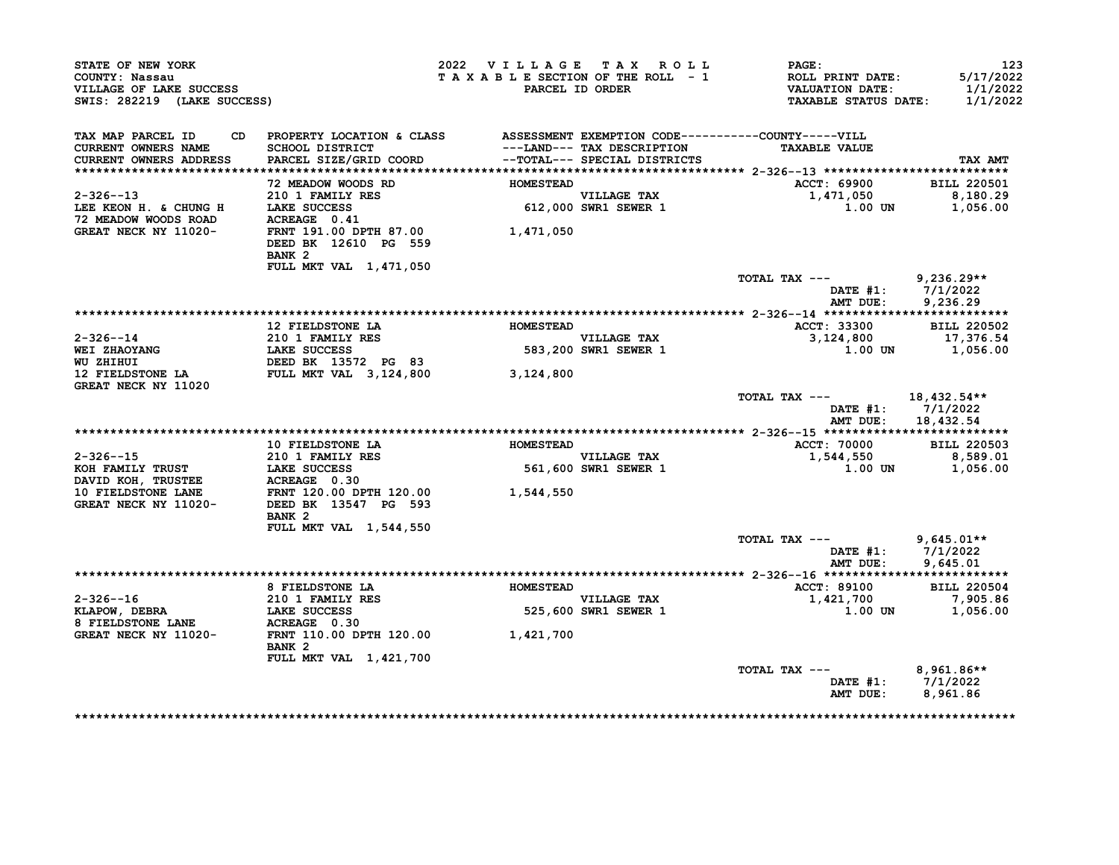| STATE OF NEW YORK<br>COUNTY: Nassau<br>VILLAGE OF LAKE SUCCESS<br>SWIS: 282219 (LAKE SUCCESS)                                                                                                                                                                                                                                                                                                    |                                                                                                     | 2022 VILLAGE TAX ROLL |                                                    | $\mathtt{PAGE}$ :<br>T A X A B L E SECTION OF THE ROLL - 1 ROLL PRINT DATE: 5/17/2022<br>PARCEL ID ORDER VALUATION DATE: 1/1/2022<br>TAXABLE STATUS DATE: 1/1/2022 | 123                                      |
|--------------------------------------------------------------------------------------------------------------------------------------------------------------------------------------------------------------------------------------------------------------------------------------------------------------------------------------------------------------------------------------------------|-----------------------------------------------------------------------------------------------------|-----------------------|----------------------------------------------------|--------------------------------------------------------------------------------------------------------------------------------------------------------------------|------------------------------------------|
| TAX MAP PARCEL ID CD PROPERTY LOCATION & CLASS ASSESSMENT EXEMPTION CODE----------COUNTY-----VILL<br>CURRENT OWNERS NAME<br>CURRENT OWNERS ADDRESS                                                                                                                                                                                                                                               | SCHOOL DISTRICT<br>PARCEL SIZE/GRID COORD<br>PARCEL SIZE/GRID COORD<br>--TOTAL--- SPECIAL DISTRICTS |                       |                                                    | <b>TAXABLE VALUE</b>                                                                                                                                               | TAX AMT                                  |
|                                                                                                                                                                                                                                                                                                                                                                                                  |                                                                                                     |                       |                                                    |                                                                                                                                                                    |                                          |
|                                                                                                                                                                                                                                                                                                                                                                                                  | 72 MEADOW WOODS RD                                                                                  | <b>HOMESTEAD</b>      |                                                    | ACCT: 69900 BILL 220501<br>$1,471,050$ $8,180.29$                                                                                                                  |                                          |
| 2-326--13<br>LEE KEON H. & CHUNG H LAKE SUCCESS<br>72 MEADOW WOODS ROAD ACREAGE 0.41 GREAT NECK NY 11020-<br>FRNT 191.00 DPTH 87.00 1,471,050                                                                                                                                                                                                                                                    | 210 1 FAMILY RES                                                                                    |                       | -----------<br>VILLAGE TAX<br>612,000 SWR1 SEWER 1 | $1.00$ UN $1,056.00$                                                                                                                                               |                                          |
|                                                                                                                                                                                                                                                                                                                                                                                                  | DEED BK 12610 PG 559<br>BANK 2<br>FULL MKT VAL 1,471,050                                            |                       |                                                    |                                                                                                                                                                    |                                          |
|                                                                                                                                                                                                                                                                                                                                                                                                  |                                                                                                     |                       |                                                    | TOTAL TAX $---$ 9,236.29**                                                                                                                                         |                                          |
|                                                                                                                                                                                                                                                                                                                                                                                                  |                                                                                                     |                       |                                                    |                                                                                                                                                                    | DATE #1: $7/1/2022$<br>AMT DUE: 9,236.29 |
|                                                                                                                                                                                                                                                                                                                                                                                                  |                                                                                                     |                       |                                                    |                                                                                                                                                                    |                                          |
|                                                                                                                                                                                                                                                                                                                                                                                                  | 12 FIELDSTONE LA                                                                                    | <b>HOMESTEAD</b>      |                                                    | ACCT: 33300 BILL 220502<br>3,124,800 17,376.54                                                                                                                     |                                          |
|                                                                                                                                                                                                                                                                                                                                                                                                  |                                                                                                     |                       | VILLAGE TAX<br>VILLAGE TAX<br>583,200 SWR1 SEWER 1 |                                                                                                                                                                    |                                          |
|                                                                                                                                                                                                                                                                                                                                                                                                  |                                                                                                     |                       |                                                    |                                                                                                                                                                    | 1.00 UN 1,056.00                         |
| GREAT NECK NY 11020                                                                                                                                                                                                                                                                                                                                                                              |                                                                                                     |                       |                                                    |                                                                                                                                                                    |                                          |
|                                                                                                                                                                                                                                                                                                                                                                                                  |                                                                                                     |                       |                                                    | TOTAL TAX $---$ 18,432.54**                                                                                                                                        | DATE #1: 7/1/2022<br>AMT DUE: 18,432.54  |
|                                                                                                                                                                                                                                                                                                                                                                                                  |                                                                                                     |                       |                                                    |                                                                                                                                                                    |                                          |
|                                                                                                                                                                                                                                                                                                                                                                                                  |                                                                                                     |                       |                                                    | ACCT: 70000 BILL 220503                                                                                                                                            |                                          |
|                                                                                                                                                                                                                                                                                                                                                                                                  |                                                                                                     |                       |                                                    | 1,544,550                                                                                                                                                          | 8,589.01                                 |
|                                                                                                                                                                                                                                                                                                                                                                                                  |                                                                                                     |                       |                                                    |                                                                                                                                                                    | 1.00 UN 1,056.00                         |
|                                                                                                                                                                                                                                                                                                                                                                                                  |                                                                                                     |                       |                                                    |                                                                                                                                                                    |                                          |
| $\begin{tabular}{lllllllllllllllllllll} \multicolumn{2}{c}{2-326--15} & & 10 FIELDSTONE\ L10 & & HOMESTEAD \\ \multicolumn{2}{c}{KOH\ FAMILY\ RUSTE} & & 210 & 1 FAMILY\ RES & & & 561,600 \\ \multicolumn{2}{c}{DAVID\ KOH,\ TRUSTEE} & & LARE\ SCI & & 50 & & 561,600 \\ \multicolumn{2}{c}{10 FIELDSTONE\ LANE} & & & FRNT\ 120.00\ DPTH\ 120.00 & & & 1,544,550 \\ \multicolumn{2}{c}{GREAT$ | BANK <sub>2</sub>                                                                                   |                       |                                                    |                                                                                                                                                                    |                                          |
|                                                                                                                                                                                                                                                                                                                                                                                                  | FULL MKT VAL 1,544,550                                                                              |                       |                                                    |                                                                                                                                                                    |                                          |
|                                                                                                                                                                                                                                                                                                                                                                                                  |                                                                                                     |                       |                                                    | TOTAL TAX ---<br>AMT DUE:                                                                                                                                          | $9,645.01**$<br>DATE #1: 7/1/2022        |
|                                                                                                                                                                                                                                                                                                                                                                                                  |                                                                                                     |                       |                                                    |                                                                                                                                                                    | 9,645.01                                 |
|                                                                                                                                                                                                                                                                                                                                                                                                  | 8 FIELDSTONE LA <b>ELECTE EN ELECTE ADESTEAD</b>                                                    |                       |                                                    | <b>ACCT: 89100</b>                                                                                                                                                 | <b>BILL 220504</b>                       |
|                                                                                                                                                                                                                                                                                                                                                                                                  |                                                                                                     |                       | VILLAGE TAX                                        | 1,421,700                                                                                                                                                          | 7,905.86                                 |
|                                                                                                                                                                                                                                                                                                                                                                                                  |                                                                                                     |                       | 525,600 SWR1 SEWER 1                               |                                                                                                                                                                    | $1.00$ UN $1,056.00$                     |
| 2-326--16<br>XLAPOW, DEBRA<br>XLAPOW, DEBRA<br>210 1 FAMILY RES<br>LAKE SUCCESS<br>325,600<br>GREAT NECK NY 11020-<br>FRNT 110.00 DPTH 120.00<br>1,421,700                                                                                                                                                                                                                                       |                                                                                                     |                       |                                                    |                                                                                                                                                                    |                                          |
|                                                                                                                                                                                                                                                                                                                                                                                                  | BANK 2                                                                                              |                       |                                                    |                                                                                                                                                                    |                                          |
|                                                                                                                                                                                                                                                                                                                                                                                                  | FULL MKT VAL 1,421,700                                                                              |                       |                                                    | TOTAL TAX $---$ 8,961.86**                                                                                                                                         |                                          |
|                                                                                                                                                                                                                                                                                                                                                                                                  |                                                                                                     |                       |                                                    |                                                                                                                                                                    | DATE #1: 7/1/2022                        |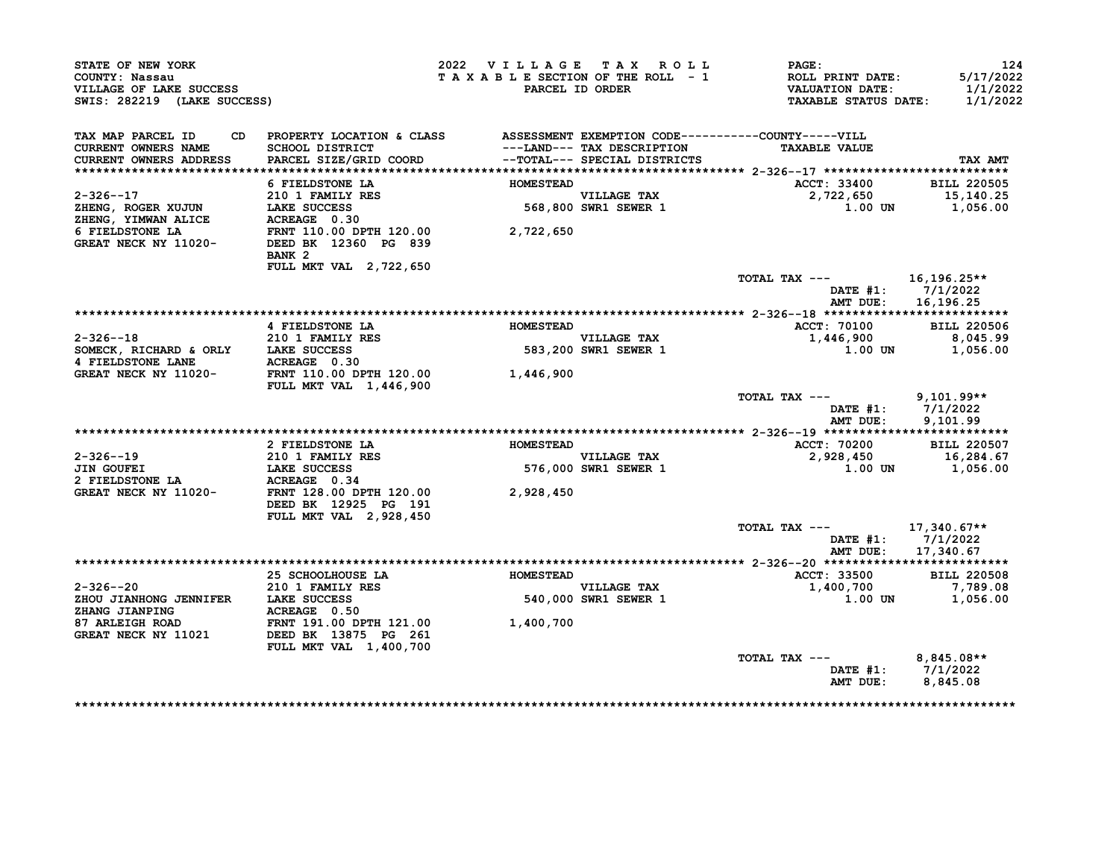| STATE OF NEW YORK<br>COUNTY: Nassau<br>VILLAGE OF LAKE SUCCESS<br>SWIS: 282219 (LAKE SUCCESS) |                                                                                                                                                                                | 2022 VILLAGE TAX ROLL<br>TAXABLE SECTION OF THE ROLL - 1 | PARCEL ID ORDER                     | <b>PAGE :</b><br>ROLL PRINT DATE:<br>VALUATION DATE:<br><b>TAXABLE STATUS DATE:</b> | 124<br>5/17/2022<br>1/1/2022<br>1/1/2022 |
|-----------------------------------------------------------------------------------------------|--------------------------------------------------------------------------------------------------------------------------------------------------------------------------------|----------------------------------------------------------|-------------------------------------|-------------------------------------------------------------------------------------|------------------------------------------|
| TAX MAP PARCEL ID<br>CURRENT OWNERS NAME<br>CURRENT OWNERS ADDRESS                            | CD PROPERTY LOCATION & CLASS ASSESSMENT EXEMPTION CODE-----------COUNTY-----VILL<br>SCHOOL DISTRICT<br>PARCEL SIZE/GRID COORD                     --TOTAL--- SPECIAL DISTRICTS |                                                          |                                     | <b>TAXABLE VALUE</b>                                                                | TAX AMT                                  |
|                                                                                               |                                                                                                                                                                                |                                                          |                                     |                                                                                     |                                          |
|                                                                                               | 6 FIELDSTONE LA                                                                                                                                                                | <b>HOMESTEAD</b>                                         |                                     | ACCT: 33400 BILL 220505                                                             |                                          |
|                                                                                               |                                                                                                                                                                                | VILLAGE TAX<br>568,800 SWR1 SEWER 1                      |                                     | 2,722,650<br>$1.00$ UN $1,056.00$                                                   | 15,140.25                                |
|                                                                                               | BANK <sub>2</sub><br>FULL MKT VAL 2,722,650                                                                                                                                    |                                                          |                                     |                                                                                     |                                          |
|                                                                                               |                                                                                                                                                                                |                                                          |                                     | TOTAL TAX $---$ 16,196.25**<br>DATE #1: 7/1/2022<br>AMT DUE: 16,196.25              |                                          |
|                                                                                               |                                                                                                                                                                                |                                                          |                                     |                                                                                     |                                          |
|                                                                                               |                                                                                                                                                                                |                                                          |                                     | ACCT: 70100 BILL 220506                                                             |                                          |
|                                                                                               |                                                                                                                                                                                |                                                          | VILLAGE TAX<br>583,200 SWR1 SEWER 1 | $1,446,900$<br>1,00 0N 1,056.00                                                     |                                          |
|                                                                                               |                                                                                                                                                                                |                                                          |                                     |                                                                                     |                                          |
|                                                                                               | <b>FULL MKT VAL 1,446,900</b>                                                                                                                                                  |                                                          |                                     |                                                                                     |                                          |
|                                                                                               |                                                                                                                                                                                |                                                          |                                     | TOTAL TAX $---$ 9,101.99**<br>DATE #1: 7/1/2022                                     | AMT DUE: 9,101.99                        |
|                                                                                               |                                                                                                                                                                                |                                                          |                                     |                                                                                     |                                          |
|                                                                                               | 2 FIELDSTONE LA                                                                                                                                                                | <b>HOMESTEAD</b>                                         |                                     | ACCT: 70200 BILL 220507                                                             |                                          |
| 2-326--19                                                                                     |                                                                                                                                                                                |                                                          |                                     | 2,928,450 16,284.67                                                                 |                                          |
|                                                                                               | <b>210 1 FAMILY RES<br/>LAKE SUCCESS<br/>ACREAGE 0.34</b>                                                                                                                      |                                                          | VILLAGE TAX<br>576,000 SWR1 SEWER 1 |                                                                                     | $1.00$ UN $1,056.00$                     |
| GREAT NECK NY 11020- FRNT 128.00 DPTH 120.00 2,928,450                                        | DEED BK 12925 PG 191<br>FULL MKT VAL 2,928,450                                                                                                                                 |                                                          |                                     |                                                                                     |                                          |
|                                                                                               |                                                                                                                                                                                |                                                          |                                     | TOTAL TAX ---<br>AMT DUE: 17,340.67                                                 | 17,340.67**<br>DATE #1: 7/1/2022         |
|                                                                                               |                                                                                                                                                                                |                                                          |                                     |                                                                                     |                                          |
|                                                                                               |                                                                                                                                                                                |                                                          |                                     | <b>ACCT: 33500</b>                                                                  | <b>BILL 220508</b>                       |
| 2-326--20<br>2 JOU JIANHONG JENNIFER LAKE SUCCESS<br>2HOU JIANHONG JENNIFER ACREAGE 0.50      | 210 1 FAMILY RES                                                                                                                                                               |                                                          |                                     | 1,400,700<br>$1.00$ UN $1,056.00$                                                   | 7,789.08                                 |
|                                                                                               |                                                                                                                                                                                |                                                          |                                     |                                                                                     |                                          |
|                                                                                               | FULL MKT VAL 1,400,700                                                                                                                                                         |                                                          |                                     |                                                                                     |                                          |
|                                                                                               |                                                                                                                                                                                |                                                          |                                     | TOTAL TAX --- 8,845.08**                                                            |                                          |
|                                                                                               |                                                                                                                                                                                |                                                          |                                     | DATE #1: 7/1/2022<br>AMT DUE: 8,845.08                                              |                                          |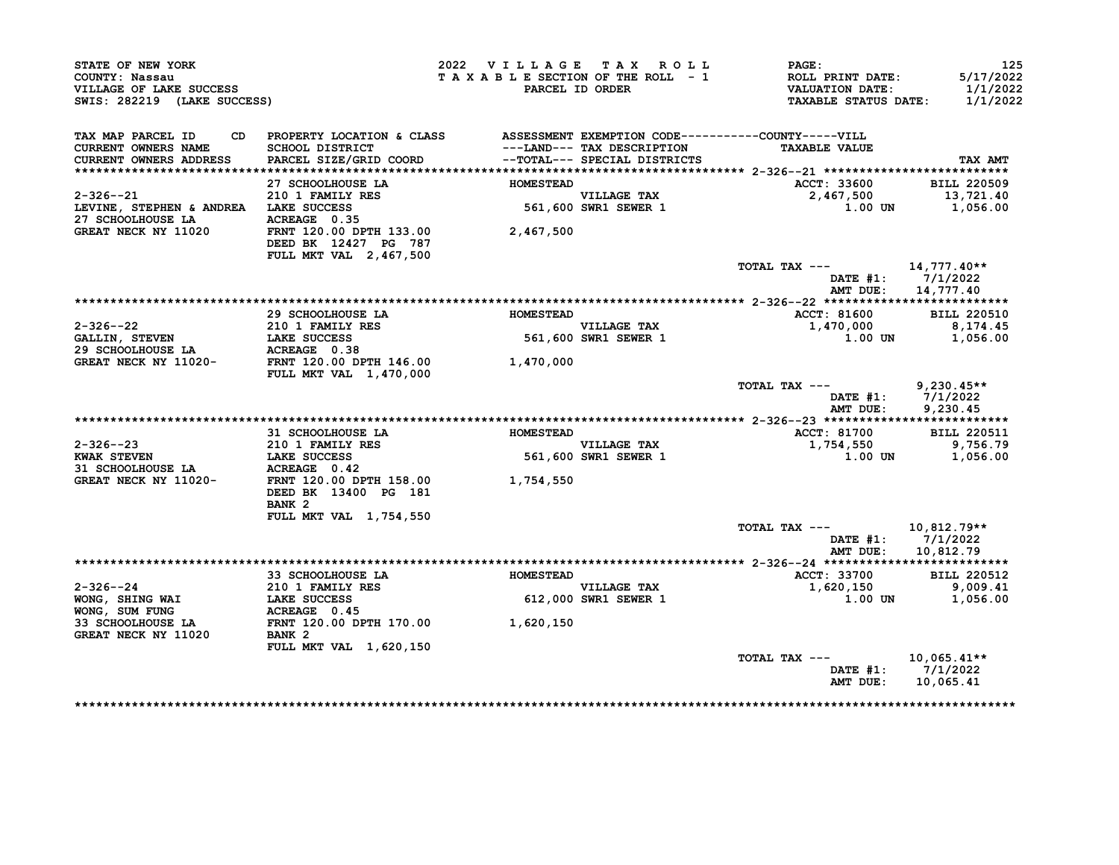| STATE OF NEW YORK<br>COUNTY: Nassau<br>VILLAGE OF LAKE SUCCESS<br>SWIS: 282219 (LAKE SUCCESS) |                                                                                                                           | 2022 VILLAGE TAX ROLL | TAXABLE SECTION OF THE ROLL - 1<br>PARCEL ID ORDER         | PAGE:<br>ROLL PRINT DATE:<br><b>VALUATION DATE:</b><br><b>TAXABLE STATUS DATE:</b> | 125<br>5/17/2022<br>1/1/2022<br>1/1/2022        |
|-----------------------------------------------------------------------------------------------|---------------------------------------------------------------------------------------------------------------------------|-----------------------|------------------------------------------------------------|------------------------------------------------------------------------------------|-------------------------------------------------|
| TAX MAP PARCEL ID<br>CD<br>CURRENT OWNERS NAME<br>CURRENT OWNERS ADDRESS                      | PROPERTY LOCATION & CLASS ASSESSMENT EXEMPTION CODE----------COUNTY-----VILL<br>SCHOOL DISTRICT<br>PARCEL SIZE/GRID COORD |                       | ---LAND--- TAX DESCRIPTION<br>--TOTAL--- SPECIAL DISTRICTS | <b>TAXABLE VALUE</b>                                                               | TAX AMT                                         |
|                                                                                               |                                                                                                                           |                       |                                                            |                                                                                    |                                                 |
| $2 - 326 - -21$<br>LEVINE, STEPHEN & ANDREA LAKE SUCCESS<br>27 SCHOOLHOUSE LA                 | 27 SCHOOLHOUSE LA<br>210 1 FAMILY RES<br>LAKE SUCCESS<br>ACREAGE 0.35                                                     | <b>HOMESTEAD</b>      | <b>VILLAGE TAX</b><br>561,600 SWR1 SEWER 1                 | ACCT: 33600<br>2,467,500<br>1.00 UN                                                | <b>BILL 220509</b><br>13,721.40<br>1,056.00     |
| GREAT NECK NY 11020                                                                           | FRNT 120.00 DPTH 133.00<br>DEED BK 12427 PG 787<br>FULL MKT VAL 2,467,500                                                 | 2,467,500             |                                                            |                                                                                    |                                                 |
|                                                                                               |                                                                                                                           |                       |                                                            | TOTAL TAX ---<br>AMT DUE:                                                          | 14,777.40**<br>DATE $#1: 7/1/2022$<br>14,777.40 |
|                                                                                               |                                                                                                                           |                       |                                                            |                                                                                    |                                                 |
|                                                                                               | 29 SCHOOLHOUSE LA                                                                                                         | <b>HOMESTEAD</b>      |                                                            | ACCT: 81600                                                                        | <b>BILL 220510</b>                              |
| $2 - 326 - -22$<br><b>GALLIN, STEVEN</b><br>29 SCHOOLHOUSE LA                                 | 210 1 FAMILY RES<br><b>LAKE SUCCESS<br/>ACREAGE 0.38</b>                                                                  |                       | VILLAGE TAX<br>561,600 SWR1 SEWER 1                        | 1,470,000<br>1.00 UN                                                               | 8,174.45<br>1,056.00                            |
| GREAT NECK NY 11020-                                                                          | FRNT 120.00 DPTH 146.00<br><b>FULL MKT VAL 1,470,000</b>                                                                  | 1,470,000             |                                                            |                                                                                    |                                                 |
|                                                                                               |                                                                                                                           |                       |                                                            | TOTAL TAX ---<br>DATE #1:<br>AMT DUE:                                              | $9,230.45**$<br>7/1/2022<br>9,230.45            |
|                                                                                               |                                                                                                                           |                       |                                                            |                                                                                    |                                                 |
|                                                                                               | <b>31 SCHOOLHOUSE LA</b>                                                                                                  | <b>HOMESTEAD</b>      |                                                            | ACCT: 81700                                                                        | <b>BILL 220511</b>                              |
| 2-326--23<br><b>KWAK STEVEN</b><br>31 SCHOOLHOUSE LA                                          | <b>210 1 FAMILY RES</b><br><b>LAKE SUCCESS</b><br>ACREAGE 0.42                                                            | 561                   | <b>VILLAGE TAX</b><br>561,600 SWR1 SEWER 1                 | 1,754,550<br><b>1.00 UN</b>                                                        | 9,756.79<br>1,056.00                            |
| GREAT NECK NY 11020-                                                                          | FRNT 120.00 DPTH 158.00<br>DEED BK 13400 PG 181<br>BANK <sub>2</sub><br>FULL MKT VAL 1,754,550                            | 1,754,550             |                                                            |                                                                                    |                                                 |
|                                                                                               |                                                                                                                           |                       |                                                            | TOTAL TAX ---<br>DATE #1:<br>AMT DUE:                                              | $10,812.79**$<br>7/1/2022<br>10,812.79          |
|                                                                                               |                                                                                                                           |                       |                                                            |                                                                                    |                                                 |
|                                                                                               | 33 SCHOOLHOUSE LA                                                                                                         | <b>HOMESTEAD</b>      |                                                            | <b>ACCT: 33700</b>                                                                 | <b>BILL 220512</b>                              |
| 2-326--24<br>WONG, SHING WAI                                                                  | 210 1 FAMILY RES<br>LAKE SUCCESS                                                                                          |                       | <b>VILLAGE TAX</b><br><b>612,000 SWR1 SEWER 1</b>          | 1,620,150<br>1.00 UN                                                               | 9,009.41<br>1,056.00                            |
| WONG, SUM FUNG<br>33 SCHOOLHOUSE LA<br>GREAT NECK NY 11020                                    | ACREAGE 0.45<br>FRNT 120.00 DPTH 170.00<br>BANK <sub>2</sub>                                                              | 1,620,150             |                                                            |                                                                                    |                                                 |
|                                                                                               | FULL MKT VAL 1,620,150                                                                                                    |                       |                                                            |                                                                                    |                                                 |
|                                                                                               |                                                                                                                           |                       |                                                            | TOTAL TAX ---<br>DATE #1:<br>AMT DUE:                                              | $10,065.41**$<br>7/1/2022<br>10,065.41          |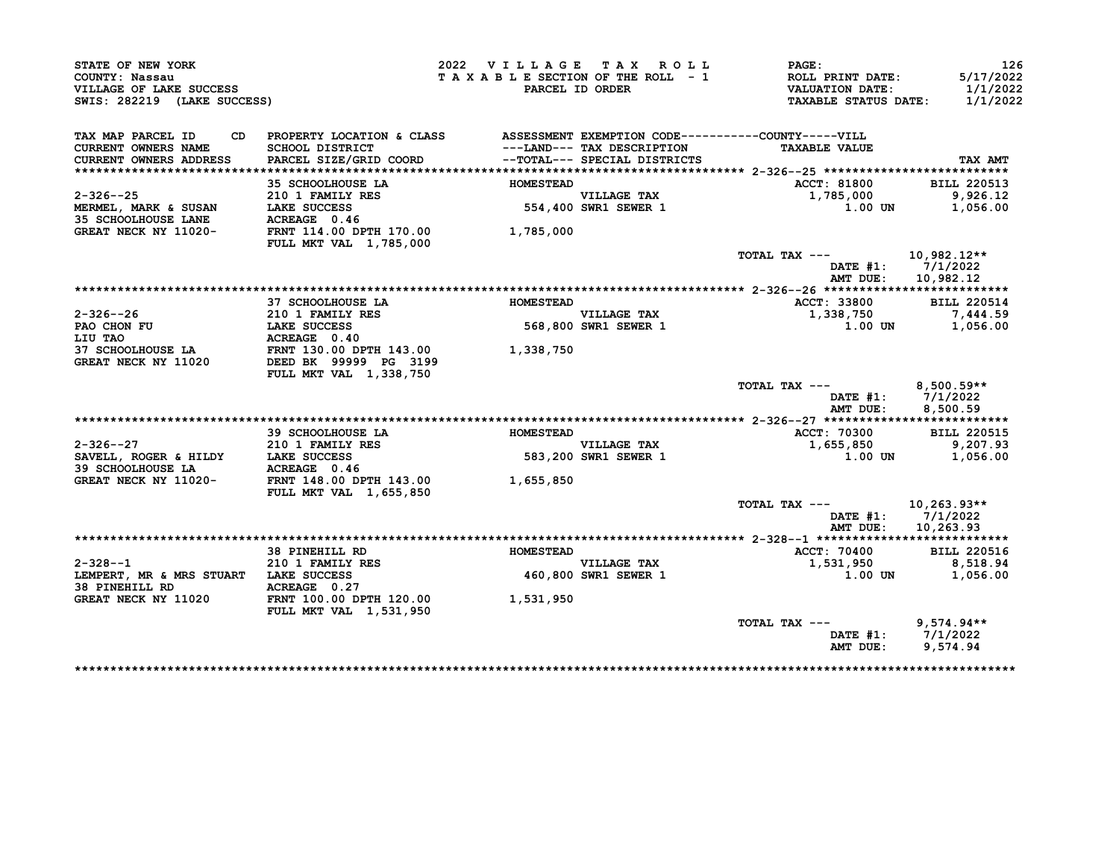|                 |                                                                                                                                                                                                                                                                                                                                                                                                                                                                                                                                |                                                                                                                                                                                                                                                                                            | <b>PAGE:</b><br><b>ROLL PRINT DATE:</b><br><b>VALUATION DATE:</b><br><b>TAXABLE STATUS DATE:</b>                                                                                                                                                                                                                                                        | 126<br>5/17/2022<br>1/1/2022<br>1/1/2022                                                                                                                                                                                                                                                                                                        |
|-----------------|--------------------------------------------------------------------------------------------------------------------------------------------------------------------------------------------------------------------------------------------------------------------------------------------------------------------------------------------------------------------------------------------------------------------------------------------------------------------------------------------------------------------------------|--------------------------------------------------------------------------------------------------------------------------------------------------------------------------------------------------------------------------------------------------------------------------------------------|---------------------------------------------------------------------------------------------------------------------------------------------------------------------------------------------------------------------------------------------------------------------------------------------------------------------------------------------------------|-------------------------------------------------------------------------------------------------------------------------------------------------------------------------------------------------------------------------------------------------------------------------------------------------------------------------------------------------|
| SCHOOL DISTRICT |                                                                                                                                                                                                                                                                                                                                                                                                                                                                                                                                |                                                                                                                                                                                                                                                                                            | <b>TAXABLE VALUE</b>                                                                                                                                                                                                                                                                                                                                    | TAX AMT                                                                                                                                                                                                                                                                                                                                         |
|                 |                                                                                                                                                                                                                                                                                                                                                                                                                                                                                                                                |                                                                                                                                                                                                                                                                                            |                                                                                                                                                                                                                                                                                                                                                         |                                                                                                                                                                                                                                                                                                                                                 |
|                 |                                                                                                                                                                                                                                                                                                                                                                                                                                                                                                                                |                                                                                                                                                                                                                                                                                            |                                                                                                                                                                                                                                                                                                                                                         | <b>BILL 220513</b>                                                                                                                                                                                                                                                                                                                              |
|                 |                                                                                                                                                                                                                                                                                                                                                                                                                                                                                                                                |                                                                                                                                                                                                                                                                                            |                                                                                                                                                                                                                                                                                                                                                         | 9,926.12<br>1,056.00                                                                                                                                                                                                                                                                                                                            |
|                 |                                                                                                                                                                                                                                                                                                                                                                                                                                                                                                                                |                                                                                                                                                                                                                                                                                            |                                                                                                                                                                                                                                                                                                                                                         |                                                                                                                                                                                                                                                                                                                                                 |
|                 | 1,785,000                                                                                                                                                                                                                                                                                                                                                                                                                                                                                                                      |                                                                                                                                                                                                                                                                                            |                                                                                                                                                                                                                                                                                                                                                         |                                                                                                                                                                                                                                                                                                                                                 |
|                 |                                                                                                                                                                                                                                                                                                                                                                                                                                                                                                                                |                                                                                                                                                                                                                                                                                            | TOTAL TAX ---                                                                                                                                                                                                                                                                                                                                           | $10,982.12**$                                                                                                                                                                                                                                                                                                                                   |
|                 |                                                                                                                                                                                                                                                                                                                                                                                                                                                                                                                                |                                                                                                                                                                                                                                                                                            | DATE #1:<br>AMT DUE:                                                                                                                                                                                                                                                                                                                                    | 7/1/2022<br>10,982.12                                                                                                                                                                                                                                                                                                                           |
|                 |                                                                                                                                                                                                                                                                                                                                                                                                                                                                                                                                |                                                                                                                                                                                                                                                                                            |                                                                                                                                                                                                                                                                                                                                                         |                                                                                                                                                                                                                                                                                                                                                 |
|                 |                                                                                                                                                                                                                                                                                                                                                                                                                                                                                                                                |                                                                                                                                                                                                                                                                                            |                                                                                                                                                                                                                                                                                                                                                         | <b>BILL 220514</b>                                                                                                                                                                                                                                                                                                                              |
|                 |                                                                                                                                                                                                                                                                                                                                                                                                                                                                                                                                |                                                                                                                                                                                                                                                                                            |                                                                                                                                                                                                                                                                                                                                                         | 7,444.59                                                                                                                                                                                                                                                                                                                                        |
|                 |                                                                                                                                                                                                                                                                                                                                                                                                                                                                                                                                |                                                                                                                                                                                                                                                                                            |                                                                                                                                                                                                                                                                                                                                                         | 1,056.00                                                                                                                                                                                                                                                                                                                                        |
|                 |                                                                                                                                                                                                                                                                                                                                                                                                                                                                                                                                |                                                                                                                                                                                                                                                                                            |                                                                                                                                                                                                                                                                                                                                                         |                                                                                                                                                                                                                                                                                                                                                 |
|                 |                                                                                                                                                                                                                                                                                                                                                                                                                                                                                                                                |                                                                                                                                                                                                                                                                                            |                                                                                                                                                                                                                                                                                                                                                         |                                                                                                                                                                                                                                                                                                                                                 |
|                 |                                                                                                                                                                                                                                                                                                                                                                                                                                                                                                                                |                                                                                                                                                                                                                                                                                            | TOTAL TAX ---<br>AMT DUE:                                                                                                                                                                                                                                                                                                                               | $8,500.59**$<br>DATE #1: 7/1/2022<br>8,500.59                                                                                                                                                                                                                                                                                                   |
|                 |                                                                                                                                                                                                                                                                                                                                                                                                                                                                                                                                |                                                                                                                                                                                                                                                                                            |                                                                                                                                                                                                                                                                                                                                                         |                                                                                                                                                                                                                                                                                                                                                 |
|                 |                                                                                                                                                                                                                                                                                                                                                                                                                                                                                                                                |                                                                                                                                                                                                                                                                                            |                                                                                                                                                                                                                                                                                                                                                         | <b>BILL 220515</b>                                                                                                                                                                                                                                                                                                                              |
|                 |                                                                                                                                                                                                                                                                                                                                                                                                                                                                                                                                |                                                                                                                                                                                                                                                                                            |                                                                                                                                                                                                                                                                                                                                                         | 9,207.93                                                                                                                                                                                                                                                                                                                                        |
|                 |                                                                                                                                                                                                                                                                                                                                                                                                                                                                                                                                |                                                                                                                                                                                                                                                                                            |                                                                                                                                                                                                                                                                                                                                                         | 1,056.00                                                                                                                                                                                                                                                                                                                                        |
|                 | 1,655,850                                                                                                                                                                                                                                                                                                                                                                                                                                                                                                                      |                                                                                                                                                                                                                                                                                            |                                                                                                                                                                                                                                                                                                                                                         |                                                                                                                                                                                                                                                                                                                                                 |
|                 |                                                                                                                                                                                                                                                                                                                                                                                                                                                                                                                                |                                                                                                                                                                                                                                                                                            |                                                                                                                                                                                                                                                                                                                                                         | $10, 263.93**$                                                                                                                                                                                                                                                                                                                                  |
|                 |                                                                                                                                                                                                                                                                                                                                                                                                                                                                                                                                |                                                                                                                                                                                                                                                                                            | AMT DUE:                                                                                                                                                                                                                                                                                                                                                | DATE $#1: 7/1/2022$<br>10,263.93                                                                                                                                                                                                                                                                                                                |
|                 |                                                                                                                                                                                                                                                                                                                                                                                                                                                                                                                                |                                                                                                                                                                                                                                                                                            |                                                                                                                                                                                                                                                                                                                                                         |                                                                                                                                                                                                                                                                                                                                                 |
|                 |                                                                                                                                                                                                                                                                                                                                                                                                                                                                                                                                |                                                                                                                                                                                                                                                                                            |                                                                                                                                                                                                                                                                                                                                                         | <b>BILL 220516</b>                                                                                                                                                                                                                                                                                                                              |
|                 |                                                                                                                                                                                                                                                                                                                                                                                                                                                                                                                                |                                                                                                                                                                                                                                                                                            |                                                                                                                                                                                                                                                                                                                                                         | 8,518.94                                                                                                                                                                                                                                                                                                                                        |
| ACREAGE 0.27    |                                                                                                                                                                                                                                                                                                                                                                                                                                                                                                                                |                                                                                                                                                                                                                                                                                            |                                                                                                                                                                                                                                                                                                                                                         | 1,056.00                                                                                                                                                                                                                                                                                                                                        |
|                 |                                                                                                                                                                                                                                                                                                                                                                                                                                                                                                                                |                                                                                                                                                                                                                                                                                            |                                                                                                                                                                                                                                                                                                                                                         |                                                                                                                                                                                                                                                                                                                                                 |
|                 |                                                                                                                                                                                                                                                                                                                                                                                                                                                                                                                                |                                                                                                                                                                                                                                                                                            |                                                                                                                                                                                                                                                                                                                                                         | $9,574.94**$                                                                                                                                                                                                                                                                                                                                    |
|                 |                                                                                                                                                                                                                                                                                                                                                                                                                                                                                                                                |                                                                                                                                                                                                                                                                                            |                                                                                                                                                                                                                                                                                                                                                         | DATE #1: 7/1/2022                                                                                                                                                                                                                                                                                                                               |
|                 |                                                                                                                                                                                                                                                                                                                                                                                                                                                                                                                                |                                                                                                                                                                                                                                                                                            |                                                                                                                                                                                                                                                                                                                                                         |                                                                                                                                                                                                                                                                                                                                                 |
|                 | SWIS: 282219 (LAKE SUCCESS)<br><b>35 SCHOOLHOUSE LA</b><br>210 1 FAMILY RES<br>MERMEL, MARK & SUSAN LAKE SUCCESS<br>35 SCHOOLHOUSE LANE ACREAGE 0.46<br>ACREAGE 0.46<br>37 SCHOOLHOUSE LA<br>210 1 FAMILY RES<br>LAKE SUCCESS<br>ACREAGE 0.40<br>FULL MKT VAL 1,338,750<br>39 SCHOOLHOUSE LA<br>210 1 FAMILY RES<br>SAVELL, ROGER & HILDY LAKE SUCCESS<br>ACREAGE 0.46<br><b>FULL MKT VAL 1,655,850</b><br><b>38 PINEHILL RD</b><br>210 1 FAMILY RES<br>LEMPERT, MR & MRS STUART LAKE SUCCESS<br><b>FULL MKT VAL 1,531,950</b> | PARCEL SIZE/GRID COORD<br>FRNT 114.00 DPTH 170.00<br><b>FULL MKT VAL 1,785,000</b><br><b>ACREAGE 0.40<br/>FRNT 130.00 DPTH 143.00</b><br>1,338,750<br>DEED BK 99999 PG 3199<br><b>ACREAGE 0.46<br/>FRNT 148.00 DPTH 143.00</b><br>GREAT NECK NY 11020 FRNT 100.00 DPTH 120.00<br>1,531,950 | 2022 VILLAGE TAX ROLL<br>TAXABLE SECTION OF THE ROLL - 1<br>PARCEL ID ORDER<br>--TOTAL--- SPECIAL DISTRICTS<br><b>HOMESTEAD</b><br>VILLAGE TAX<br>554,400 SWR1 SEWER 1<br><b>HOMESTEAD</b><br>VILLAGE TAX<br>568,800 SWR1 SEWER 1<br><b>HOMESTEAD</b><br>VILLAGE TAX<br>583,200 SWR1 SEWER 1<br><b>HOMESTEAD</b><br>VILLAGE TAX<br>460,800 SWR1 SEWER 1 | PROPERTY LOCATION & CLASS ASSESSMENT EXEMPTION CODE----------COUNTY-----VILL<br>---LAND--- TAX DESCRIPTION<br>--Tomat--- SPECIAL DISTRICTS<br><b>ACCT: 81800</b><br>1,785,000<br>1.00 UN<br>ACCT: 33800<br>1,338,750<br>1.00 UN<br>ACCT: 70300<br>1,655,850<br>1.00 UN<br>TOTAL TAX ---<br>ACCT: 70400<br>1,531,950<br>1.00 UN<br>TOTAL TAX --- |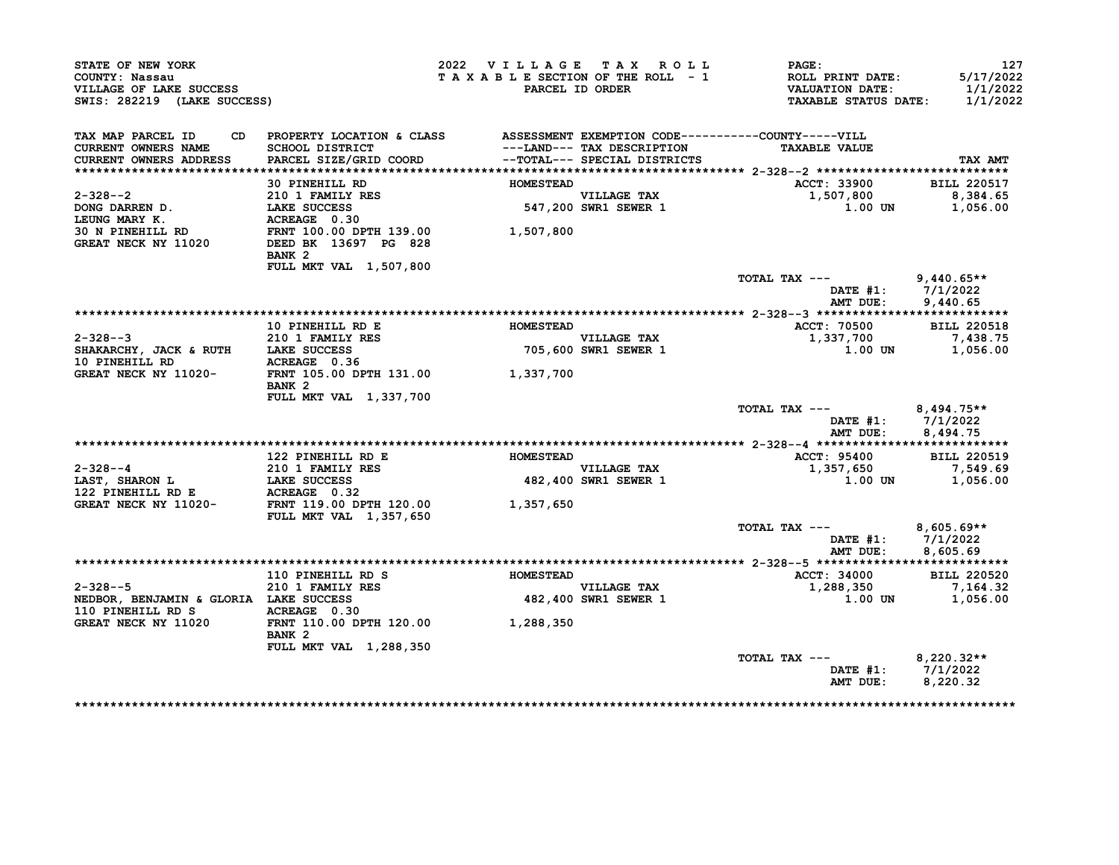| STATE OF NEW YORK<br>COUNTY: Nassau<br>VILLAGE OF LAKE SUCCESS<br>SWIS: 282219 (LAKE SUCCESS) |                                                                                 | 2022 VILLAGE TAX ROLL<br>TAXABLE SECTION OF THE ROLL - 1 | PARCEL ID ORDER                                            | <b>PAGE:</b><br>ROLL PRINT DATE:<br><b>VALUATION DATE:</b><br><b>TAXABLE STATUS DATE:</b> | 127<br>5/17/2022<br>1/1/2022<br>1/1/2022 |
|-----------------------------------------------------------------------------------------------|---------------------------------------------------------------------------------|----------------------------------------------------------|------------------------------------------------------------|-------------------------------------------------------------------------------------------|------------------------------------------|
| TAX MAP PARCEL ID                                                                             | CD PROPERTY LOCATION & CLASS ASSESSMENT EXEMPTION CODE----------COUNTY-----VILL |                                                          |                                                            |                                                                                           |                                          |
| <b>CURRENT OWNERS NAME</b><br>CURRENT OWNERS ADDRESS                                          | SCHOOL DISTRICT<br>PARCEL SIZE/GRID COORD                                       |                                                          | ---LAND--- TAX DESCRIPTION<br>--TOTAL--- SPECIAL DISTRICTS | <b>TAXABLE VALUE</b>                                                                      | TAX AMT                                  |
|                                                                                               |                                                                                 |                                                          |                                                            |                                                                                           |                                          |
|                                                                                               | 30 PINEHILL RD                                                                  | <b>HOMESTEAD</b>                                         |                                                            | ACCT: 33900                                                                               | <b>BILL 220517</b>                       |
| $2 - 328 - -2$                                                                                |                                                                                 |                                                          |                                                            | 1,507,800                                                                                 | 8,384.65                                 |
| DONG DARREN D.                                                                                |                                                                                 |                                                          | VILLAGE TAX<br>547,200 SWR1 SEWER 1                        | 1.00 UN                                                                                   | 1,056.00                                 |
| LEUNG MARY K.                                                                                 | 210 1 FAMILY RES<br>LAKE SUCCESS<br>ACREAGE 0.30                                |                                                          |                                                            |                                                                                           |                                          |
| 30 N PINEHILL RD<br>GREAT NECK NY 11020                                                       | FRNT 100.00 DPTH 139.00<br>DEED BK 13697 PG 828                                 | 1,507,800                                                |                                                            |                                                                                           |                                          |
|                                                                                               | BANK <sub>2</sub>                                                               |                                                          |                                                            |                                                                                           |                                          |
|                                                                                               | FULL MKT VAL 1,507,800                                                          |                                                          |                                                            | TOTAL TAX ---                                                                             | $9,440.65**$<br>DATE $#1: 7/1/2022$      |
|                                                                                               |                                                                                 |                                                          |                                                            | AMT DUE:                                                                                  | 9,440.65                                 |
|                                                                                               |                                                                                 |                                                          |                                                            |                                                                                           |                                          |
|                                                                                               | 10 PINEHILL RD E                                                                | <b>HOMESTEAD</b>                                         |                                                            | <b>ACCT: 70500</b>                                                                        | <b>BILL 220518</b>                       |
| $2 - 328 - -3$                                                                                | 210 1 FAMILY RES                                                                |                                                          |                                                            | 1,337,700                                                                                 | 7,438.75                                 |
| SHAKARCHY, JACK & RUTH LAKE SUCCESS                                                           |                                                                                 |                                                          | VILLAGE TAX<br>705,600 SWR1 SEWER 1                        | 1.00 UN                                                                                   | 1,056.00                                 |
| 10 PINEHILL RD                                                                                | ACREAGE 0.36                                                                    |                                                          |                                                            |                                                                                           |                                          |
| GREAT NECK NY 11020- FRNT 105.00 DPTH 131.00 1,337,700                                        | BANK <sub>2</sub><br>FULL MKT VAL 1,337,700                                     |                                                          |                                                            |                                                                                           |                                          |
|                                                                                               |                                                                                 |                                                          |                                                            | TOTAL TAX ---                                                                             | $8,494.75**$                             |
|                                                                                               |                                                                                 |                                                          |                                                            | AMT DUE:                                                                                  | DATE $#1: 7/1/2022$<br>8,494.75          |
|                                                                                               |                                                                                 |                                                          |                                                            |                                                                                           |                                          |
|                                                                                               | 122 PINEHILL RD E                                                               | <b>HOMESTEAD</b>                                         |                                                            | ACCT: 95400                                                                               | <b>BILL 220519</b>                       |
| $2-328--4$<br>$210$ 1 FAMILY RES<br>LAST, SHARON L<br>122 EXERCISE LAKE SUCCESS               |                                                                                 |                                                          | VILLAGE TAX                                                | 1,357,650                                                                                 | 7,549.69                                 |
|                                                                                               |                                                                                 |                                                          | 482,400 SWR1 SEWER 1                                       | $1.00$ UN                                                                                 | 1,056.00                                 |
| 122 PINEHILL RD E<br>GREAT NECK NY 11020-                                                     | <b>ACREAGE</b> 0.32<br>FRNT 119.00 DPTH 120.00<br>FULL MKT VAL 1,357,650        | 1,357,650                                                |                                                            |                                                                                           |                                          |
|                                                                                               |                                                                                 |                                                          |                                                            | TOTAL TAX ---                                                                             | $8,605.69**$<br>DATE #1: 7/1/2022        |
|                                                                                               |                                                                                 |                                                          |                                                            | AMT DUE:                                                                                  | 8,605.69                                 |
|                                                                                               |                                                                                 |                                                          |                                                            |                                                                                           |                                          |
|                                                                                               |                                                                                 |                                                          |                                                            | <b>ACCT: 34000</b>                                                                        | <b>BILL 220520</b>                       |
| $2 - 328 - -5$                                                                                | 210 1 FAMILY RES                                                                |                                                          | <b>VILLAGE TAX</b>                                         | 1,288,350                                                                                 | 7,164.32                                 |
| NEDBOR, BENJAMIN & GLORIA LAKE SUCCESS                                                        |                                                                                 |                                                          | <b>482,400 SWR1 SEWER 1</b>                                |                                                                                           | 1.00 UN 1,056.00                         |
| 110 PINEHILL RD S ACREAGE 0.30<br>GREAT NECK NY 11020                                         | FRNT 110.00 DPTH 120.00 1,288,350<br>BANK <sub>2</sub>                          |                                                          |                                                            |                                                                                           |                                          |
|                                                                                               | FULL MKT VAL 1,288,350                                                          |                                                          |                                                            |                                                                                           |                                          |
|                                                                                               |                                                                                 |                                                          |                                                            | TOTAL TAX ---                                                                             | $8,220.32**$                             |
|                                                                                               |                                                                                 |                                                          |                                                            | AMT DUE:                                                                                  | DATE #1: 7/1/2022<br>8,220.32            |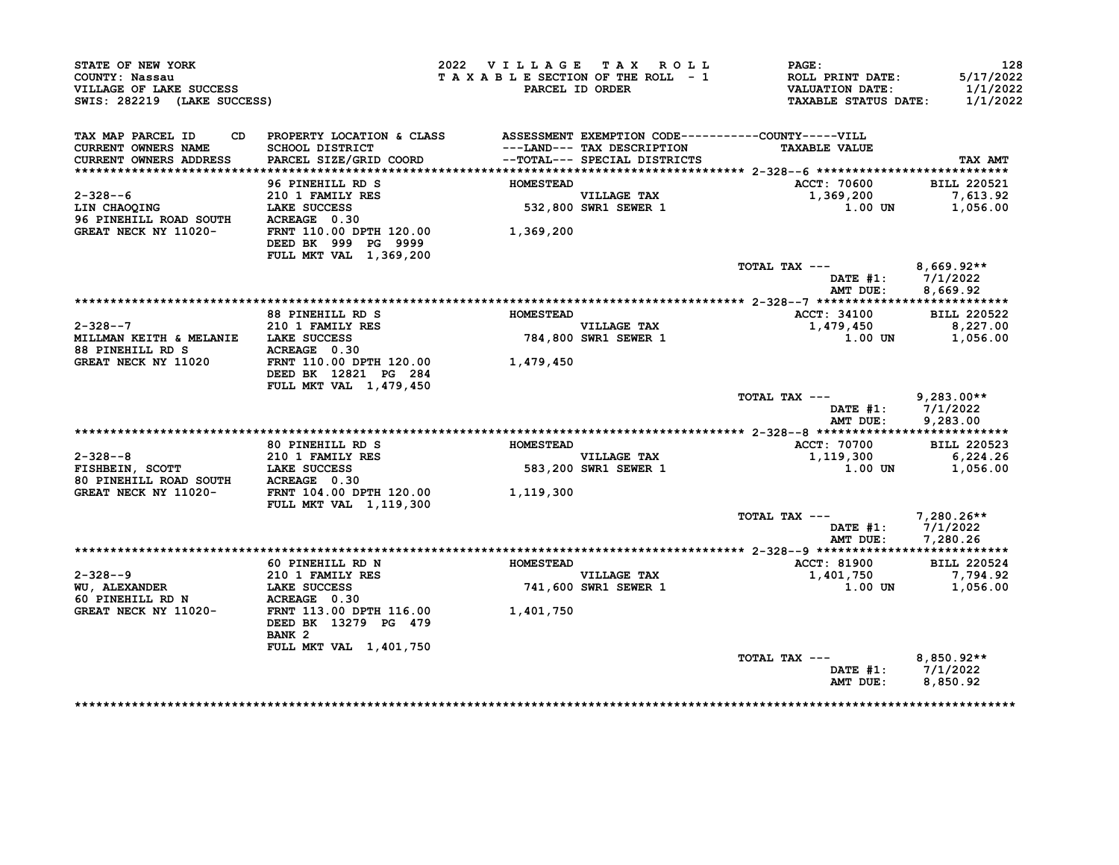| STATE OF NEW YORK<br>COUNTY: Nassau<br>VILLAGE OF LAKE SUCCESS<br>SWIS: 282219 (LAKE SUCCESS)                                                                    |                                                                                                                                                                                                                                      | 2022 VILLAGE TAX ROLL | TAXABLE SECTION OF THE ROLL - 1<br><b>PARCEL ID ORDER</b> | $\mathtt{PAGE}$ :<br>ROLL PRINT DATE:<br>VALUATION DATE:<br><b>TAXABLE STATUS DATE:</b> | 128<br>5/17/2022<br>1/1/2022<br>1/1/2022 |
|------------------------------------------------------------------------------------------------------------------------------------------------------------------|--------------------------------------------------------------------------------------------------------------------------------------------------------------------------------------------------------------------------------------|-----------------------|-----------------------------------------------------------|-----------------------------------------------------------------------------------------|------------------------------------------|
| TAX MAP PARCEL ID<br>CURRENT OWNERS NAME<br><b>CURRENT OWNERS ADDRESS</b>                                                                                        | CD PROPERTY LOCATION & CLASS ASSESSMENT EXEMPTION CODE----------COUNTY-----VILL<br>SCHOOL DISTRICT                                     ---LAND--- TAX DESCRIPTION<br>PARCEL SIZE/GRID COORD             --TOTAL--- SPECIAL DISTRICTS |                       |                                                           | <b>TAXABLE VALUE</b>                                                                    | TAX AMT                                  |
|                                                                                                                                                                  |                                                                                                                                                                                                                                      |                       |                                                           |                                                                                         |                                          |
|                                                                                                                                                                  | 96 PINEHILL RD S                                                                                                                                                                                                                     | <b>HOMESTEAD</b>      |                                                           | ACCT: 70600                                                                             | <b>BILL 220521</b>                       |
| $2 - 328 - -6$<br>LIN CHAOQING<br>96 PINEHILL ROAD SOUTH<br>26 PINEHILL ROAD SOUTH<br>26 PINEHILL ROAD SOUTH<br>26 PINEHILL ROAD SOUTH<br>26 PINEHILL ROAD SOUTH | 210 1 FAMILY RES                                                                                                                                                                                                                     |                       | VILLAGE TAX<br>532,800 SWR1 SEWER 1                       | 1,369,200<br>1.00 UN                                                                    | 7,613.92<br>1,056.00                     |
| GREAT NECK NY 11020-                                                                                                                                             | FRNT 110.00 DPTH 120.00<br>DEED BK 999 PG 9999<br>FULL MKT VAL 1,369,200                                                                                                                                                             | 1,369,200             |                                                           |                                                                                         |                                          |
|                                                                                                                                                                  |                                                                                                                                                                                                                                      |                       |                                                           | TOTAL TAX ---                                                                           | 8,669.92**                               |
|                                                                                                                                                                  |                                                                                                                                                                                                                                      |                       |                                                           | DATE #1: 7/1/2022<br>AMT DUE: 8,669.92                                                  |                                          |
|                                                                                                                                                                  |                                                                                                                                                                                                                                      |                       |                                                           |                                                                                         |                                          |
|                                                                                                                                                                  | 88 PINEHILL RD S                                                                                                                                                                                                                     | <b>HOMESTEAD</b>      |                                                           | ACCT: 34100                                                                             | <b>BILL 220522</b>                       |
| $2 - 328 - -7$                                                                                                                                                   | <b>210 1 FAMILY RES</b>                                                                                                                                                                                                              |                       | VILLAGE TAX<br>784,800 SWR1 SEWER 1                       | 1,479,450                                                                               | 8,227.00                                 |
| MILLMAN KEITH & MELANIE LAKE SUCCESS<br>88 PINEHILL RD S<br>GREAT NECK NY 11020 FRNT 110.00 DPTH 120.00                                                          |                                                                                                                                                                                                                                      |                       |                                                           |                                                                                         | $1.00$ UN $1,056.00$                     |
|                                                                                                                                                                  | DEED BK 12821 PG 284<br>FULL MKT VAL 1,479,450                                                                                                                                                                                       | 1,479,450             |                                                           |                                                                                         |                                          |
|                                                                                                                                                                  |                                                                                                                                                                                                                                      |                       |                                                           | TOTAL TAX --- 9,283.00**<br>DATE #1: $7/1/2022$<br>AMT DUE: 9,283.00                    |                                          |
|                                                                                                                                                                  |                                                                                                                                                                                                                                      |                       |                                                           |                                                                                         |                                          |
|                                                                                                                                                                  | 80 PINEHILL RD S                                                                                                                                                                                                                     | <b>HOMESTEAD</b>      |                                                           | <b>ACCT: 70700</b>                                                                      | <b>BILL 220523</b>                       |
|                                                                                                                                                                  |                                                                                                                                                                                                                                      |                       |                                                           | 1,119,300                                                                               | 6,224.26                                 |
| 2-328--8<br>FISHBEIN, SCOTT LAKE SUCCESS<br>80 PINEHILL ROAD SOUTH ACREAGE 0.30                                                                                  |                                                                                                                                                                                                                                      |                       | VILLAGE TAX<br>583,200 SWR1 SEWER 1                       | $1.00$ UN $1.056.00$                                                                    |                                          |
| GREAT NECK NY 11020-                                                                                                                                             | FRNT 104.00 DPTH 120.00<br>FULL MKT VAL 1, 119, 300                                                                                                                                                                                  | 1,119,300             |                                                           |                                                                                         |                                          |
|                                                                                                                                                                  |                                                                                                                                                                                                                                      |                       |                                                           | TOTAL TAX ---<br>DATE #1: 7/1/2022<br>AMT DUE: 7,280.26                                 | 7,280.26**                               |
|                                                                                                                                                                  |                                                                                                                                                                                                                                      |                       |                                                           |                                                                                         |                                          |
|                                                                                                                                                                  | 60 PINEHILL RD N                                                                                                                                                                                                                     | <b>HOMESTEAD</b>      |                                                           | <b>ACCT: 81900</b>                                                                      | <b>BILL 220524</b>                       |
|                                                                                                                                                                  |                                                                                                                                                                                                                                      |                       | <b>VILLAGE TAX</b>                                        | 1,401,750 7,794.92<br>1.00 DN 1,056.00                                                  |                                          |
|                                                                                                                                                                  |                                                                                                                                                                                                                                      |                       | 741,600 SWR1 SEWER 1                                      |                                                                                         |                                          |
|                                                                                                                                                                  | DEED BK 13279 PG 479<br>BANK <sub>2</sub>                                                                                                                                                                                            |                       |                                                           |                                                                                         |                                          |
|                                                                                                                                                                  | FULL MKT VAL 1,401,750                                                                                                                                                                                                               |                       |                                                           |                                                                                         |                                          |
|                                                                                                                                                                  |                                                                                                                                                                                                                                      |                       |                                                           | TOTAL TAX --- $8,850.92**$<br>DATE #1: 7/1/2022<br>AMT DUE: 8,850.92                    |                                          |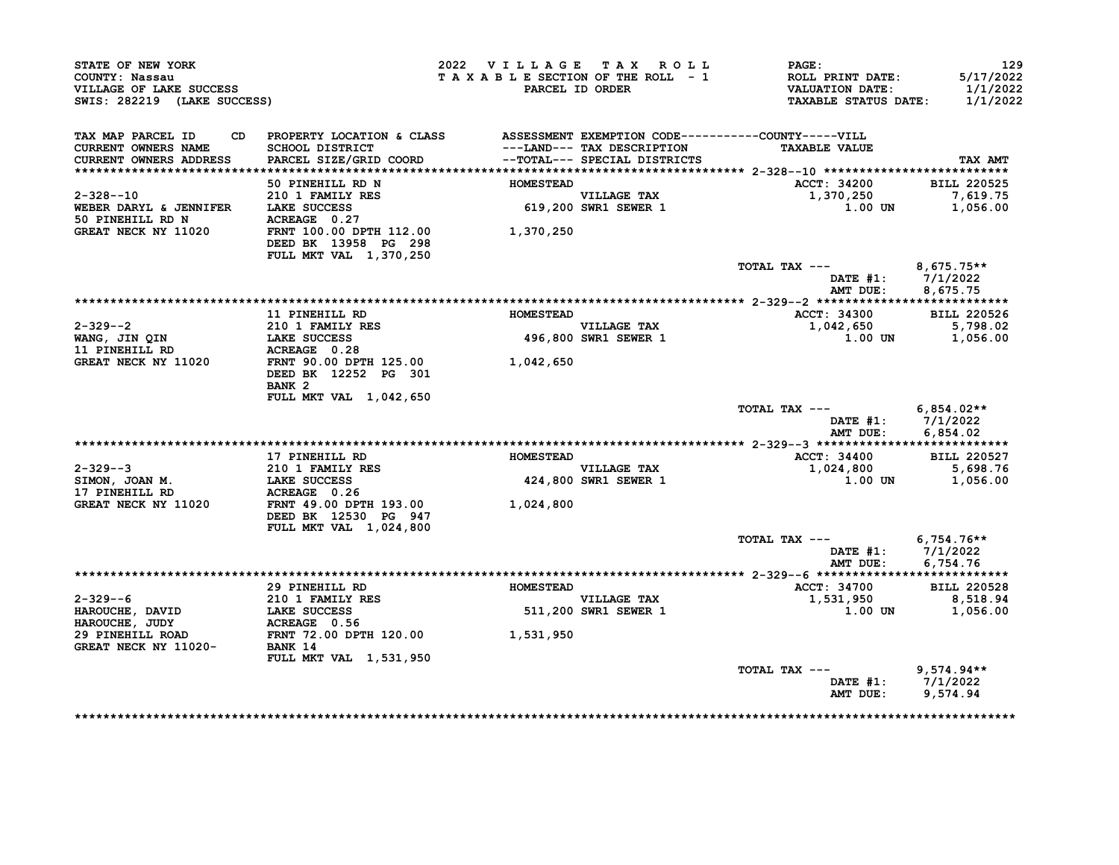| STATE OF NEW YORK<br>COUNTY: Nassau<br>VILLAGE OF LAKE SUCCESS<br>SWIS: 282219 (LAKE SUCCESS) |                                                                                                    | 2022 VILLAGE TAX ROLL<br>TAXABLE SECTION OF THE ROLL - 1 | PARCEL ID ORDER                     | <b>PAGE:</b><br>ROLL PRINT DATE:<br><b>VALUATION DATE:</b><br><b>TAXABLE STATUS DATE:</b> | 129<br>5/17/2022<br>1/1/2022<br>1/1/2022 |
|-----------------------------------------------------------------------------------------------|----------------------------------------------------------------------------------------------------|----------------------------------------------------------|-------------------------------------|-------------------------------------------------------------------------------------------|------------------------------------------|
| TAX MAP PARCEL ID<br><b>CURRENT OWNERS NAME</b>                                               | CD PROPERTY LOCATION & CLASS ASSESSMENT EXEMPTION CODE----------COUNTY-----VILL<br>SCHOOL DISTRICT |                                                          | ---LAND--- TAX DESCRIPTION          | <b>TAXABLE VALUE</b>                                                                      |                                          |
| <b>CURRENT OWNERS ADDRESS</b>                                                                 | PARCEL SIZE/GRID COORD                                                                             |                                                          | --TOTAL--- SPECIAL DISTRICTS        |                                                                                           | TAX AMT                                  |
|                                                                                               | 50 PINEHILL RD N                                                                                   | <b>HOMESTEAD</b>                                         |                                     | ACCT: 34200                                                                               | <b>BILL 220525</b>                       |
| $2 - 328 - -10$                                                                               | 210 1 FAMILY RES                                                                                   |                                                          |                                     | 1,370,250                                                                                 | 7,619.75                                 |
| WEBER DARYL & JENNIFER                                                                        | LAKE SUCCESS                                                                                       |                                                          | VILLAGE TAX<br>619,200 SWR1 SEWER 1 | 1.00 UN                                                                                   | 1,056.00                                 |
| 50 PINEHILL RD N                                                                              | ACREAGE 0.27                                                                                       |                                                          |                                     |                                                                                           |                                          |
| GREAT NECK NY 11020                                                                           | FRNT 100.00 DPTH 112.00<br>DEED BK 13958 PG 298<br>FULL MKT VAL 1,370,250                          | 1,370,250                                                |                                     |                                                                                           |                                          |
|                                                                                               |                                                                                                    |                                                          |                                     | TOTAL TAX ---                                                                             | $8,675.75**$                             |
|                                                                                               |                                                                                                    |                                                          |                                     | <b>DATE #1:</b>                                                                           | 7/1/2022                                 |
|                                                                                               |                                                                                                    |                                                          |                                     | AMT DUE:                                                                                  | 8,675.75                                 |
|                                                                                               |                                                                                                    |                                                          |                                     |                                                                                           |                                          |
| $2 - 329 - -2$                                                                                | 11 PINEHILL RD<br>210 1 FAMILY RES                                                                 | <b>HOMESTEAD</b>                                         | <b>VILLAGE TAX</b>                  | <b>ACCT: 34300</b><br>1,042,650                                                           | <b>BILL 220526</b><br>5,798.02           |
| WANG, JIN QIN                                                                                 | <b>LAKE SUCCESS</b>                                                                                |                                                          | 496,800 SWR1 SEWER 1                | 1.00 UN                                                                                   | 1,056.00                                 |
| 11 PINEHILL RD                                                                                | ACREAGE 0.28                                                                                       |                                                          |                                     |                                                                                           |                                          |
| GREAT NECK NY 11020                                                                           | FRNT 90.00 DPTH 125.00                                                                             | 1,042,650                                                |                                     |                                                                                           |                                          |
|                                                                                               | DEED BK 12252 PG 301                                                                               |                                                          |                                     |                                                                                           |                                          |
|                                                                                               | BANK <sub>2</sub>                                                                                  |                                                          |                                     |                                                                                           |                                          |
|                                                                                               | FULL MKT VAL 1,042,650                                                                             |                                                          |                                     | TOTAL TAX ---                                                                             |                                          |
|                                                                                               |                                                                                                    |                                                          |                                     | DATE $#1: 7/1/2022$<br>AMT DUE:                                                           | 6,854.02**<br>6,854.02                   |
|                                                                                               |                                                                                                    |                                                          |                                     |                                                                                           |                                          |
|                                                                                               | 17 PINEHILL RD                                                                                     | <b>HOMESTEAD</b>                                         |                                     | <b>ACCT: 34400</b>                                                                        | <b>BILL 220527</b>                       |
| $2 - 329 - -3$                                                                                | 210 1 FAMILY RES                                                                                   |                                                          | <b>VILLAGE TAX</b>                  | 1,024,800                                                                                 | 5,698.76                                 |
| SIMON, JOAN M.                                                                                | <b>LAKE SUCCESS</b>                                                                                |                                                          | 424,800 SWR1 SEWER 1                | 1.00 UN                                                                                   | 1,056.00                                 |
| 17 PINEHILL RD<br>GREAT NECK NY 11020                                                         | ACREAGE 0.26<br>FRNT 49.00 DPTH 193.00                                                             | 1,024,800                                                |                                     |                                                                                           |                                          |
|                                                                                               | DEED BK 12530 PG 947                                                                               |                                                          |                                     |                                                                                           |                                          |
|                                                                                               | FULL MKT VAL 1,024,800                                                                             |                                                          |                                     |                                                                                           |                                          |
|                                                                                               |                                                                                                    |                                                          |                                     | TOTAL TAX ---                                                                             | $6,754.76**$                             |
|                                                                                               |                                                                                                    |                                                          |                                     | DATE $#1: 7/1/2022$                                                                       |                                          |
|                                                                                               |                                                                                                    |                                                          |                                     | AMT DUE:                                                                                  | 6,754.76                                 |
|                                                                                               | 29 PINEHILL RD                                                                                     | <b>HOMESTEAD</b>                                         |                                     | <b>ACCT: 34700</b>                                                                        | <b>BILL 220528</b>                       |
| $2 - 329 - -6$                                                                                | <b>210 1 FAMILY RES</b>                                                                            |                                                          | <b>VILLAGE TAX</b>                  | 1,531,950                                                                                 | 8,518.94                                 |
| HAROUCHE, DAVID                                                                               | LAKE SUCCESS                                                                                       |                                                          | 511,200 SWR1 SEWER 1                | <b>1.00 UN</b>                                                                            | 1,056.00                                 |
| HAROUCHE, JUDY                                                                                | ACREAGE 0.56                                                                                       |                                                          |                                     |                                                                                           |                                          |
| 29 PINEHILL ROAD                                                                              | FRNT 72.00 DPTH 120.00 1,531,950                                                                   |                                                          |                                     |                                                                                           |                                          |
| GREAT NECK NY 11020-                                                                          | BANK 14                                                                                            |                                                          |                                     |                                                                                           |                                          |
|                                                                                               | FULL MKT VAL 1,531,950                                                                             |                                                          |                                     | TOTAL TAX ---                                                                             | $9,574.94**$                             |
|                                                                                               |                                                                                                    |                                                          |                                     | DATE $#1: 7/1/2022$                                                                       |                                          |
|                                                                                               |                                                                                                    |                                                          |                                     | AMT DUE:                                                                                  | 9,574.94                                 |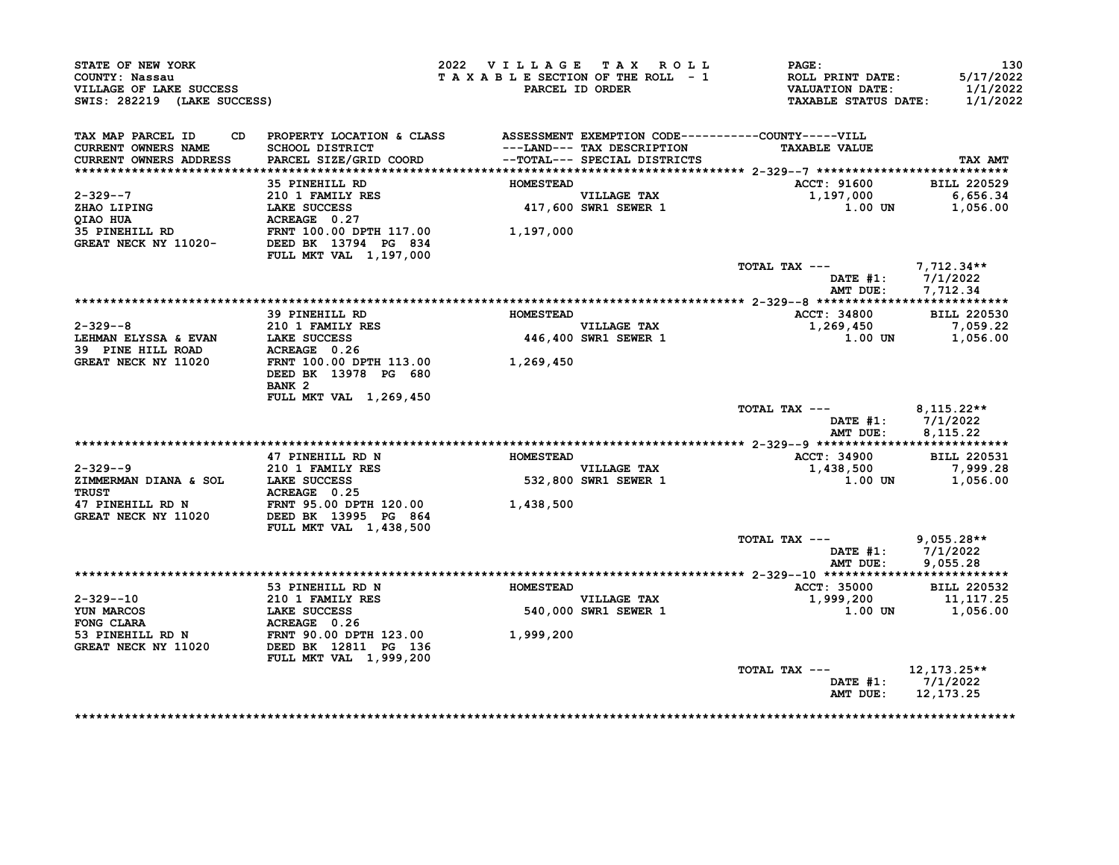| STATE OF NEW YORK<br>COUNTY: Nassau<br>VILLAGE OF LAKE SUCCESS<br>SWIS: 282219 (LAKE SUCCESS) |                                                                                                                              | 2022 VILLAGE TAX ROLL<br>TAXABLE SECTION OF THE ROLL - 1 | PARCEL ID ORDER                                            | <b>PAGE:</b><br>ROLL PRINT DATE:<br><b>VALUATION DATE:</b><br><b>TAXABLE STATUS DATE:</b> | 130<br>5/17/2022<br>1/1/2022<br>1/1/2022 |
|-----------------------------------------------------------------------------------------------|------------------------------------------------------------------------------------------------------------------------------|----------------------------------------------------------|------------------------------------------------------------|-------------------------------------------------------------------------------------------|------------------------------------------|
| TAX MAP PARCEL ID<br><b>CURRENT OWNERS NAME</b><br>CURRENT OWNERS ADDRESS                     | CD PROPERTY LOCATION & CLASS ASSESSMENT EXEMPTION CODE----------COUNTY-----VILL<br>SCHOOL DISTRICT<br>PARCEL SIZE/GRID COORD |                                                          | ---LAND--- TAX DESCRIPTION<br>--TOTAL--- SPECIAL DISTRICTS | <b>TAXABLE VALUE</b>                                                                      | TAX AMT                                  |
|                                                                                               | 35 PINEHILL RD                                                                                                               | <b>HOMESTEAD</b>                                         |                                                            | ACCT: 91600                                                                               | <b>BILL 220529</b>                       |
| 2-329--7<br>ZHAO LIPING<br>QIAO HUA                                                           | 210 1 FAMILY RES<br>LAKE SUCCESS<br>ACREAGE 0.27                                                                             |                                                          | VILLAGE TAX<br>417,600 SWR1 SEWER 1                        | 1,197,000<br>1.00 UN                                                                      | 6,656.34<br>1,056.00                     |
| 35 PINEHILL RD<br>GREAT NECK NY 11020-                                                        | FRNT 100.00 DPTH 117.00<br>DEED BK 13794 PG 834<br>FULL MKT VAL 1,197,000                                                    | 1,197,000                                                |                                                            |                                                                                           |                                          |
|                                                                                               |                                                                                                                              |                                                          |                                                            | TOTAL TAX ---<br>DATE #1:<br>AMT DUE:                                                     | 7,712.34**<br>7/1/2022<br>7,712.34       |
|                                                                                               |                                                                                                                              |                                                          |                                                            |                                                                                           |                                          |
|                                                                                               | 39 PINEHILL RD                                                                                                               | <b>HOMESTEAD</b>                                         |                                                            | ACCT: 34800                                                                               | <b>BILL 220530</b>                       |
| $2 - 329 - -8$                                                                                | 210 1 FAMILY RES                                                                                                             |                                                          | VILLAGE TAX                                                | 1,269,450                                                                                 | 7,059.22                                 |
| LEHMAN ELYSSA & EVAN<br>39 PINE HILL ROAD                                                     | LAKE SUCCESS<br>ACREAGE 0.26                                                                                                 |                                                          | <b>446,400 SWR1 SEWER 1</b>                                | 1.00 UN                                                                                   | 1,056.00                                 |
| GREAT NECK NY 11020                                                                           | FRNT 100.00 DPTH 113.00 1,269,450<br>DEED BK 13978 PG 680                                                                    |                                                          |                                                            |                                                                                           |                                          |
|                                                                                               | BANK <sub>2</sub>                                                                                                            |                                                          |                                                            |                                                                                           |                                          |
|                                                                                               | FULL MKT VAL 1,269,450                                                                                                       |                                                          |                                                            | TOTAL TAX ---<br>DATE #1:                                                                 | 8,115.22**<br>7/1/2022                   |
|                                                                                               |                                                                                                                              |                                                          |                                                            | AMT DUE:                                                                                  | 8,115.22                                 |
|                                                                                               |                                                                                                                              |                                                          |                                                            |                                                                                           |                                          |
| $2 - 329 - -9$                                                                                | 47 PINEHILL RD N<br>210 1 FAMILY RES                                                                                         | <b>HOMESTEAD</b>                                         |                                                            | <b>ACCT: 34900</b>                                                                        | <b>BILL 220531</b><br>7,999.28           |
| ZIMMERMAN DIANA & SOL<br><b>TRUST</b>                                                         | LAKE SUCCESS<br>ACREAGE 0.25                                                                                                 |                                                          | VILLAGE TAX<br>532,800 SWR1 SEWER 1                        | 1,438,500<br>1.00 UN                                                                      | 1,056.00                                 |
| 47 PINEHILL RD N<br>GREAT NECK NY 11020                                                       | FRNT 95.00 DPTH 120.00<br>DEED BK 13995 PG 864                                                                               | 1,438,500                                                |                                                            |                                                                                           |                                          |
|                                                                                               | FULL MKT VAL 1,438,500                                                                                                       |                                                          |                                                            | TOTAL TAX ---                                                                             | $9,055.28**$                             |
|                                                                                               |                                                                                                                              |                                                          |                                                            | DATE $#1$ :<br>AMT DUE:                                                                   | 7/1/2022<br>9,055.28                     |
|                                                                                               |                                                                                                                              |                                                          |                                                            |                                                                                           |                                          |
| $2 - 329 - -10$                                                                               | 53 PINEHILL RD N<br>210 1 FAMILY RES                                                                                         | <b>HOMESTEAD</b>                                         | <b>VILLAGE TAX</b>                                         | ACCT: 35000<br>1,999,200                                                                  | <b>BILL 220532</b><br>11,117.25          |
| YUN MARCOS                                                                                    | LAKE SUCCESS                                                                                                                 |                                                          | 540,000 SWR1 SEWER 1                                       | 1.00 UN                                                                                   | 1,056.00                                 |
| FONG CLARA                                                                                    | ACREAGE 0.26                                                                                                                 |                                                          |                                                            |                                                                                           |                                          |
| 53 PINEHILL RD N<br>GREAT NECK NY 11020                                                       | FRNT 90.00 DPTH 123.00<br>DEED BK 12811 PG 136                                                                               | 1,999,200                                                |                                                            |                                                                                           |                                          |
|                                                                                               | FULL MKT VAL 1,999,200                                                                                                       |                                                          |                                                            | TOTAL TAX ---                                                                             | 12, 173. 25**                            |
|                                                                                               |                                                                                                                              |                                                          |                                                            | DATE $#1: 7/1/2022$<br>AMT DUE:                                                           | 12, 173. 25                              |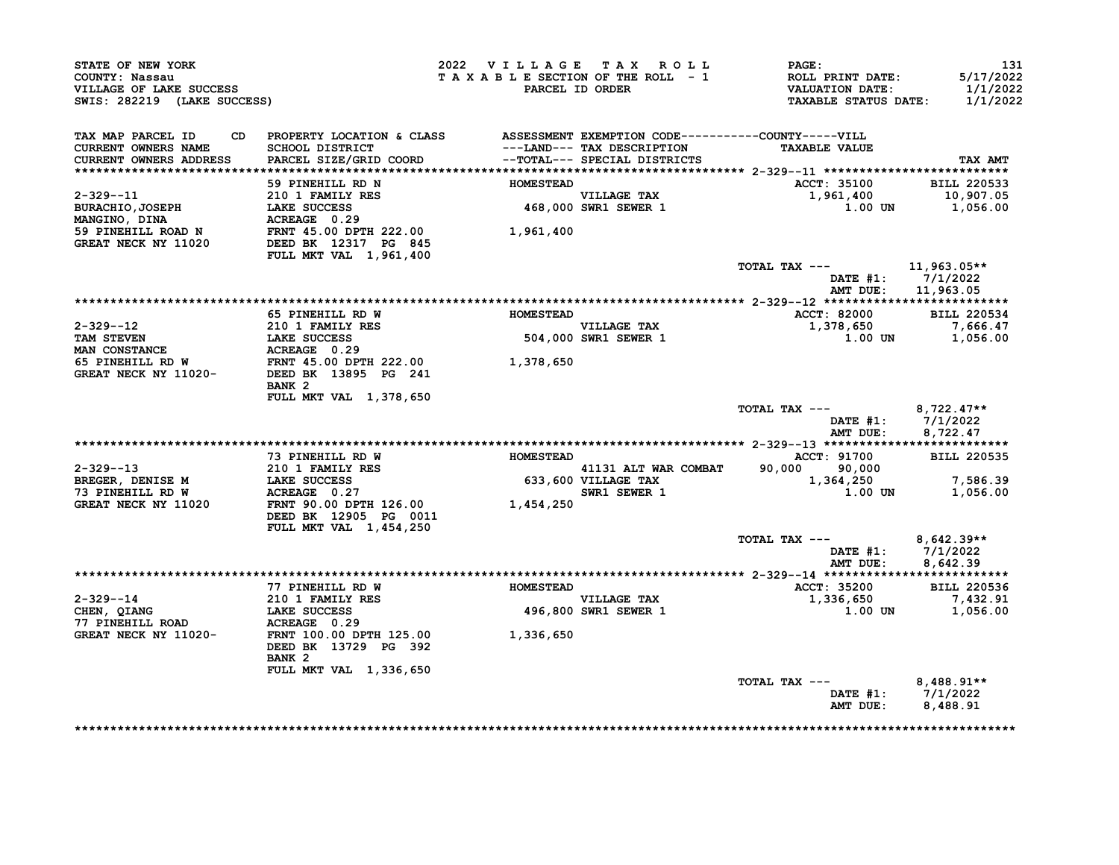| STATE OF NEW YORK<br>COUNTY: Nassau<br>VILLAGE OF LAKE SUCCESS<br>SWIS: 282219 (LAKE SUCCESS)                                                                                                                                        |                                                 |                  | 2022 VILLAGE TAX ROLL               | <b>PAGE :</b><br>T A X A B L E SECTION OF THE ROLL - 1 ROLL PRINT DATE:<br>PARCEL ID ORDER VALUATION DATE:<br>TAXABLE STATUS DATE: 1/1/2022 | 131<br>5/17/2022<br>1/1/2022              |
|--------------------------------------------------------------------------------------------------------------------------------------------------------------------------------------------------------------------------------------|-------------------------------------------------|------------------|-------------------------------------|---------------------------------------------------------------------------------------------------------------------------------------------|-------------------------------------------|
| TAX MAP PARCEL ID CD PROPERTY LOCATION & CLASS ASSESSMENT EXEMPTION CODE----------COUNTY-----VILL<br>CURRENT OWNERS NAME SCHOOL DISTRICT ---LAND--- TAX DESCRIPTION TAXABLE VALUE<br>CURRENT OWNERS ADDRESS PARCEL SIZE/GRID COORD - |                                                 |                  |                                     | <b>TAXABLE VALUE</b>                                                                                                                        | TAX AMT                                   |
|                                                                                                                                                                                                                                      |                                                 |                  |                                     |                                                                                                                                             |                                           |
|                                                                                                                                                                                                                                      | 59 PINEHILL RD N                                | <b>HOMESTEAD</b> |                                     | ACCT: 35100 BILL 220533                                                                                                                     |                                           |
|                                                                                                                                                                                                                                      |                                                 |                  | VILLAGE TAX<br>468,000 SWR1 SEWER 1 | $1,961,400$<br>1,961,400<br>1.00 UN 1,056.00                                                                                                |                                           |
|                                                                                                                                                                                                                                      |                                                 |                  |                                     |                                                                                                                                             |                                           |
| 2-329--11<br>BURACHIO, JOSEPH LAKE SUCCESS 468,000<br>MANGINO, DINA ACREAGE 0.29<br>59 PINEHILL ROAD N FRNT 45.00 DPTH 222.00 1,961,400<br>GREAT NECK NY 11020 DEED BK 12317 PG 845                                                  |                                                 |                  |                                     |                                                                                                                                             |                                           |
|                                                                                                                                                                                                                                      | FULL MKT VAL 1,961,400                          |                  |                                     |                                                                                                                                             |                                           |
|                                                                                                                                                                                                                                      |                                                 |                  |                                     | TOTAL TAX $---$ 11,963.05**                                                                                                                 |                                           |
|                                                                                                                                                                                                                                      |                                                 |                  |                                     |                                                                                                                                             | DATE $#1: 7/1/2022$<br>AMT DUE: 11,963.05 |
|                                                                                                                                                                                                                                      |                                                 |                  |                                     |                                                                                                                                             |                                           |
|                                                                                                                                                                                                                                      | 65 PINEHILL RD W                                | <b>HOMESTEAD</b> |                                     | ACCT: 82000 BILL 220534                                                                                                                     |                                           |
|                                                                                                                                                                                                                                      |                                                 |                  |                                     | 1,378,650                                                                                                                                   | 7,666.47                                  |
|                                                                                                                                                                                                                                      |                                                 |                  |                                     | $1,00$ UN $1,056.00$                                                                                                                        |                                           |
|                                                                                                                                                                                                                                      |                                                 |                  |                                     |                                                                                                                                             |                                           |
|                                                                                                                                                                                                                                      |                                                 |                  |                                     |                                                                                                                                             |                                           |
| 2-329--12<br>TAM STEVEN<br>TAM STEVEN<br>MAN CONSTANCE<br>MAN CONSTANCE<br>EXEREL RD W<br>ERENT 45.00 DPTH 222.00<br>GREAT NECK NY 11020-<br>DEED BX 13895 PG 241<br>TAM SEMER 1<br>SO4,000 SWR1 SEWER 1<br>1,378,650<br>$1,378,650$ | BANK 2                                          |                  |                                     |                                                                                                                                             |                                           |
|                                                                                                                                                                                                                                      | FULL MKT VAL 1,378,650                          |                  |                                     | TOTAL TAX $---$ 8,722.47**                                                                                                                  |                                           |
|                                                                                                                                                                                                                                      |                                                 |                  |                                     |                                                                                                                                             | DATE #1: 7/1/2022<br>AMT DUE: 8,722.47    |
|                                                                                                                                                                                                                                      |                                                 |                  |                                     |                                                                                                                                             |                                           |
|                                                                                                                                                                                                                                      | 73 PINEHILL RD W MOMESTEAD                      |                  |                                     | ACCT: 91700 BILL 220535                                                                                                                     |                                           |
|                                                                                                                                                                                                                                      |                                                 |                  |                                     |                                                                                                                                             |                                           |
|                                                                                                                                                                                                                                      |                                                 |                  |                                     |                                                                                                                                             |                                           |
|                                                                                                                                                                                                                                      |                                                 |                  |                                     |                                                                                                                                             |                                           |
|                                                                                                                                                                                                                                      | DEED BK 12905 PG 0011<br>FULL MKT VAL 1,454,250 |                  |                                     |                                                                                                                                             |                                           |
|                                                                                                                                                                                                                                      |                                                 |                  |                                     | TOTAL TAX --- $8,642.39**$                                                                                                                  |                                           |
|                                                                                                                                                                                                                                      |                                                 |                  |                                     |                                                                                                                                             | DATE #1: 7/1/2022<br>AMT DUE: 8,642.39    |
|                                                                                                                                                                                                                                      |                                                 |                  |                                     |                                                                                                                                             |                                           |
|                                                                                                                                                                                                                                      | 77 PINEHILL RD W                                | <b>HOMESTEAD</b> |                                     | ACCT: 35200 BILL 220536                                                                                                                     |                                           |
|                                                                                                                                                                                                                                      |                                                 |                  | VILLAGE TAX<br>496,800 SWR1 SEWER 1 | $1,336,650$<br>1,336,650<br>1.00 UN 1,056.00                                                                                                |                                           |
| 2-329--14<br>CHEN, QIANG<br>CHEN, QIANG<br>CHEN, QIANG<br>CHEN, QIANG<br>CHEN, QIANG<br>CREAT NECK NY 11020-<br>CREAT NECK NY 11020-<br>FRNT 100.00 DPTH 125.00<br>1,336,650<br>CHEN, QIANG<br>77 PINEHILL ROAD<br>CREAT WEST        |                                                 |                  |                                     |                                                                                                                                             |                                           |
|                                                                                                                                                                                                                                      |                                                 |                  |                                     |                                                                                                                                             |                                           |
|                                                                                                                                                                                                                                      | DEED BK 13729 PG 392<br>BANK <sub>2</sub>       |                  |                                     |                                                                                                                                             |                                           |
|                                                                                                                                                                                                                                      |                                                 |                  |                                     |                                                                                                                                             |                                           |
|                                                                                                                                                                                                                                      | FULL MKT VAL 1,336,650                          |                  |                                     | TOTAL TAX ---                                                                                                                               |                                           |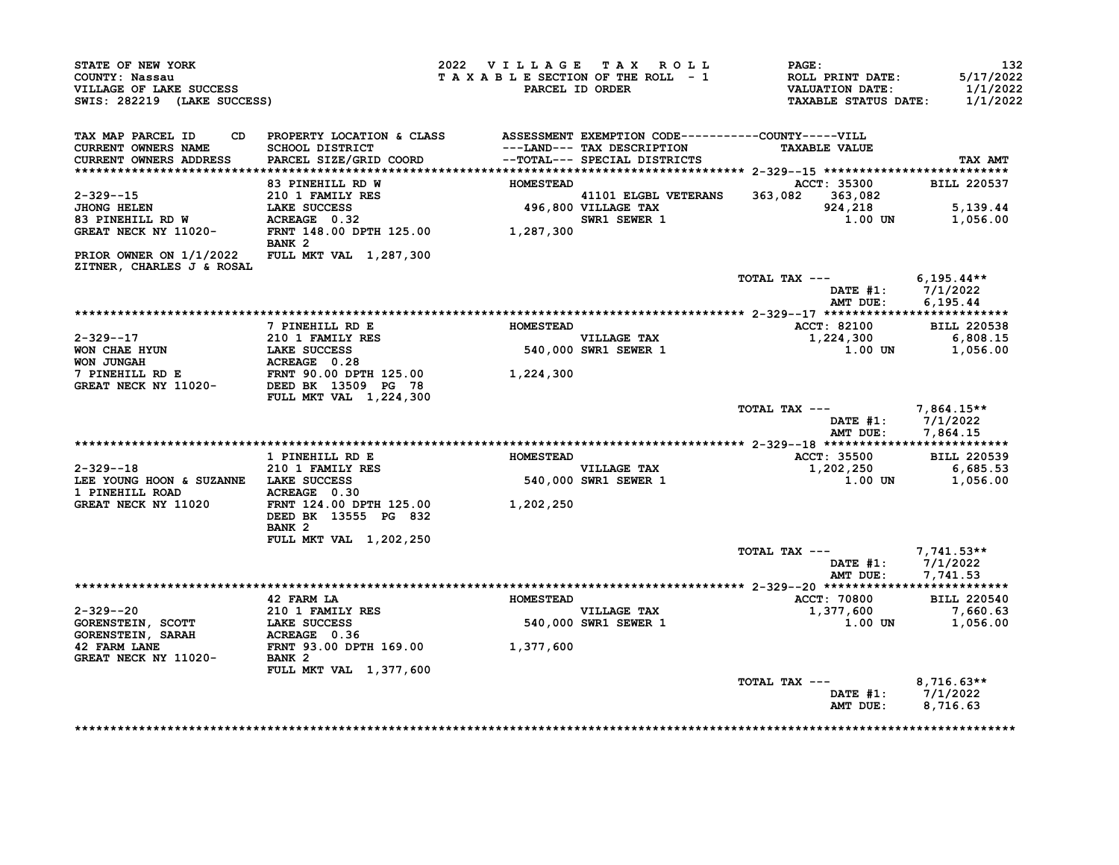| STATE OF NEW YORK<br>COUNTY: Nassau<br>VILLAGE OF LAKE SUCCESS<br>SWIS: 282219 (LAKE SUCCESS)                                    |                                                                                                                              | 2022 VILLAGE TAX ROLL<br>TAXABLE SECTION OF THE ROLL - 1<br><b>PARCEL ID ORDER</b> |                                                                                                                                                                                                                                                                                                                             | <b>PAGE:</b><br>ROLL PRINT DATE:<br><b>VALUATION DATE:</b><br><b>TAXABLE STATUS DATE:</b> | 132<br>5/17/2022<br>1/1/2022<br>1/1/2022 |
|----------------------------------------------------------------------------------------------------------------------------------|------------------------------------------------------------------------------------------------------------------------------|------------------------------------------------------------------------------------|-----------------------------------------------------------------------------------------------------------------------------------------------------------------------------------------------------------------------------------------------------------------------------------------------------------------------------|-------------------------------------------------------------------------------------------|------------------------------------------|
| TAX MAP PARCEL ID<br>CURRENT OWNERS NAME<br><b>CURRENT OWNERS ADDRESS</b>                                                        | CD PROPERTY LOCATION & CLASS ASSESSMENT EXEMPTION CODE----------COUNTY-----VILL<br>SCHOOL DISTRICT<br>PARCEL SIZE/GRID COORD |                                                                                    | ---LAND--- TAX DESCRIPTION<br>--TOTAL--- SPECIAL DISTRICTS                                                                                                                                                                                                                                                                  | <b>TAXABLE VALUE</b>                                                                      | TAX AMT                                  |
|                                                                                                                                  | 83 PINEHILL RD W                                                                                                             | <b>HOMESTEAD</b>                                                                   |                                                                                                                                                                                                                                                                                                                             | ACCT: 35300                                                                               | <b>BILL 220537</b>                       |
| $2 - 329 - -15$                                                                                                                  | 210 1 FAMILY RES                                                                                                             |                                                                                    | $\frac{4100 \text{m}}{496,800}$ $\frac{41101 \text{ EIGBL}}{496,800}$ $\frac{41101 \text{ EIGBL}}{496,800}$ $\frac{496 \text{ m}}{2500}$ $\frac{496 \text{ m}}{2500}$ $\frac{2500 \text{ m}}{2500}$ $\frac{2500 \text{ m}}{2500}$ $\frac{2500 \text{ m}}{2500}$ $\frac{2500 \text{ m}}{2500}$ $\frac{2500 \text{ m}}{2500}$ | 363,082 363,082                                                                           |                                          |
|                                                                                                                                  |                                                                                                                              |                                                                                    |                                                                                                                                                                                                                                                                                                                             | 924,218                                                                                   | 5,139.44                                 |
| 3HONG HELEN 196,800<br>83 PINEHILL RD W ACREAGE 0.32<br>GREAT NECK NY 11020- FRNT 148.00 DPTH 125.00 1,287,300                   | BANK <sub>2</sub>                                                                                                            |                                                                                    | SWR1 SEWER 1                                                                                                                                                                                                                                                                                                                | 1.00 UN                                                                                   | 1,056.00                                 |
| PRIOR OWNER ON 1/1/2022 FULL MKT VAL 1,287,300<br>ZITNER, CHARLES J & ROSAL                                                      |                                                                                                                              |                                                                                    |                                                                                                                                                                                                                                                                                                                             |                                                                                           |                                          |
|                                                                                                                                  |                                                                                                                              |                                                                                    |                                                                                                                                                                                                                                                                                                                             | TOTAL TAX --- $6,195.44**$<br>AMT DUE:                                                    | DATE #1: 7/1/2022<br>6,195.44            |
|                                                                                                                                  |                                                                                                                              |                                                                                    |                                                                                                                                                                                                                                                                                                                             |                                                                                           |                                          |
|                                                                                                                                  | 7 PINEHILL RD E                                                                                                              | <b>HOMESTEAD</b>                                                                   |                                                                                                                                                                                                                                                                                                                             | <b>ACCT: 82100</b>                                                                        | <b>BILL 220538</b>                       |
| $2 - 329 - -17$                                                                                                                  | 210 1 FAMILY RES                                                                                                             |                                                                                    | <b>VILLAGE TAX</b><br>VILLAGE TAX<br>540,000 SWR1 SEWER 1                                                                                                                                                                                                                                                                   | 1,224,300                                                                                 | 6,808.15                                 |
|                                                                                                                                  |                                                                                                                              |                                                                                    |                                                                                                                                                                                                                                                                                                                             | 1.00 UN                                                                                   | 1,056.00                                 |
|                                                                                                                                  |                                                                                                                              | 1,224,300                                                                          |                                                                                                                                                                                                                                                                                                                             |                                                                                           |                                          |
| NON CHAE HYUN<br>WON JUNGAH<br>THE HYUN DE REAGE 0.28<br>THE TERNT 90.00 DPTH 125.00<br>GREAT NECK NY 11020- DEED BK 13509 PG 78 | FULL MKT VAL 1,224,300                                                                                                       |                                                                                    |                                                                                                                                                                                                                                                                                                                             |                                                                                           |                                          |
|                                                                                                                                  |                                                                                                                              |                                                                                    |                                                                                                                                                                                                                                                                                                                             | TOTAL TAX ---                                                                             | 7,864.15**<br>DATE #1: 7/1/2022          |
|                                                                                                                                  |                                                                                                                              |                                                                                    |                                                                                                                                                                                                                                                                                                                             | AMT DUE:                                                                                  | 7,864.15                                 |
|                                                                                                                                  | 1 PINEHILL RD E                                                                                                              | <b>HOMESTEAD</b>                                                                   |                                                                                                                                                                                                                                                                                                                             | <b>ACCT: 35500</b>                                                                        | <b>BILL 220539</b>                       |
| $2 - 329 - -18$                                                                                                                  | 210 1 FAMILY RES                                                                                                             |                                                                                    | <b>VILLAGE TAX</b>                                                                                                                                                                                                                                                                                                          | $1,202,250$ 6,685.53<br>1 00 JN 1 056 00                                                  |                                          |
| LEE YOUNG HOON & SUZANNE LAKE SUCCESS<br>1 PINEHILL ROAD ACREAGE 0.30                                                            |                                                                                                                              |                                                                                    | 540,000 SWR1 SEWER 1                                                                                                                                                                                                                                                                                                        | 1.00 UN                                                                                   | 1,056.00                                 |
| GREAT NECK NY 11020 FRNT 124.00 DPTH 125.00                                                                                      | DEED BK 13555 PG 832<br>BANK <sub>2</sub>                                                                                    | 1,202,250                                                                          |                                                                                                                                                                                                                                                                                                                             |                                                                                           |                                          |
|                                                                                                                                  | FULL MKT VAL 1,202,250                                                                                                       |                                                                                    |                                                                                                                                                                                                                                                                                                                             |                                                                                           |                                          |
|                                                                                                                                  |                                                                                                                              |                                                                                    |                                                                                                                                                                                                                                                                                                                             | TOTAL TAX --- $7,741.53**$<br>AMT DUE:                                                    | DATE #1: 7/1/2022<br>7,741.53            |
|                                                                                                                                  |                                                                                                                              |                                                                                    |                                                                                                                                                                                                                                                                                                                             |                                                                                           |                                          |
| $2 - 329 - -20$                                                                                                                  | 42 FARM LA                                                                                                                   | <b>HOMESTEAD</b>                                                                   | <b>VILLAGE TAX</b>                                                                                                                                                                                                                                                                                                          | <b>ACCT: 70800</b>                                                                        | <b>BILL 220540</b>                       |
|                                                                                                                                  |                                                                                                                              |                                                                                    | 540,000 SWR1 SEWER 1                                                                                                                                                                                                                                                                                                        | 1,377,600<br>1.00 UN                                                                      | 7,660.63<br>1,056.00                     |
| GORENSTEIN, SCOTT<br>GORENSTEIN, SARAH<br><b>GORENSTEIN, SARAH</b>                                                               | 210 1 FAMILY RES<br>LAKE SUCCESS<br>ACREAGE 0.36<br>RING                                                                     |                                                                                    |                                                                                                                                                                                                                                                                                                                             |                                                                                           |                                          |
| 42 FARM LANE<br>GREAT NECK NY 11020-                                                                                             | FRNT 93.00 DPTH 169.00 1,377,600<br>BANK <sub>2</sub>                                                                        |                                                                                    |                                                                                                                                                                                                                                                                                                                             |                                                                                           |                                          |
|                                                                                                                                  | <b>FULL MKT VAL 1,377,600</b>                                                                                                |                                                                                    |                                                                                                                                                                                                                                                                                                                             | TOTAL TAX ---                                                                             | $8,716.63**$                             |
|                                                                                                                                  |                                                                                                                              |                                                                                    |                                                                                                                                                                                                                                                                                                                             | DATE $#1$ :<br>AMT DUE:                                                                   | 7/1/2022<br>8,716.63                     |

\*\*\*\*\*\*\*\*\*\*\*\*\*\*\*\*\*\*\*\*\*\*\*\*\*\*\*\*\*\*\*\*\*\*\*\*\*\*\*\*\*\*\*\*\*\*\*\*\*\*\*\*\*\*\*\*\*\*\*\*\*\*\*\*\*\*\*\*\*\*\*\*\*\*\*\*\*\*\*\*\*\*\*\*\*\*\*\*\*\*\*\*\*\*\*\*\*\*\*\*\*\*\*\*\*\*\*\*\*\*\*\*\*\*\*\*\*\*\*\*\*\*\*\*\*\*\*\*\*\*\*\*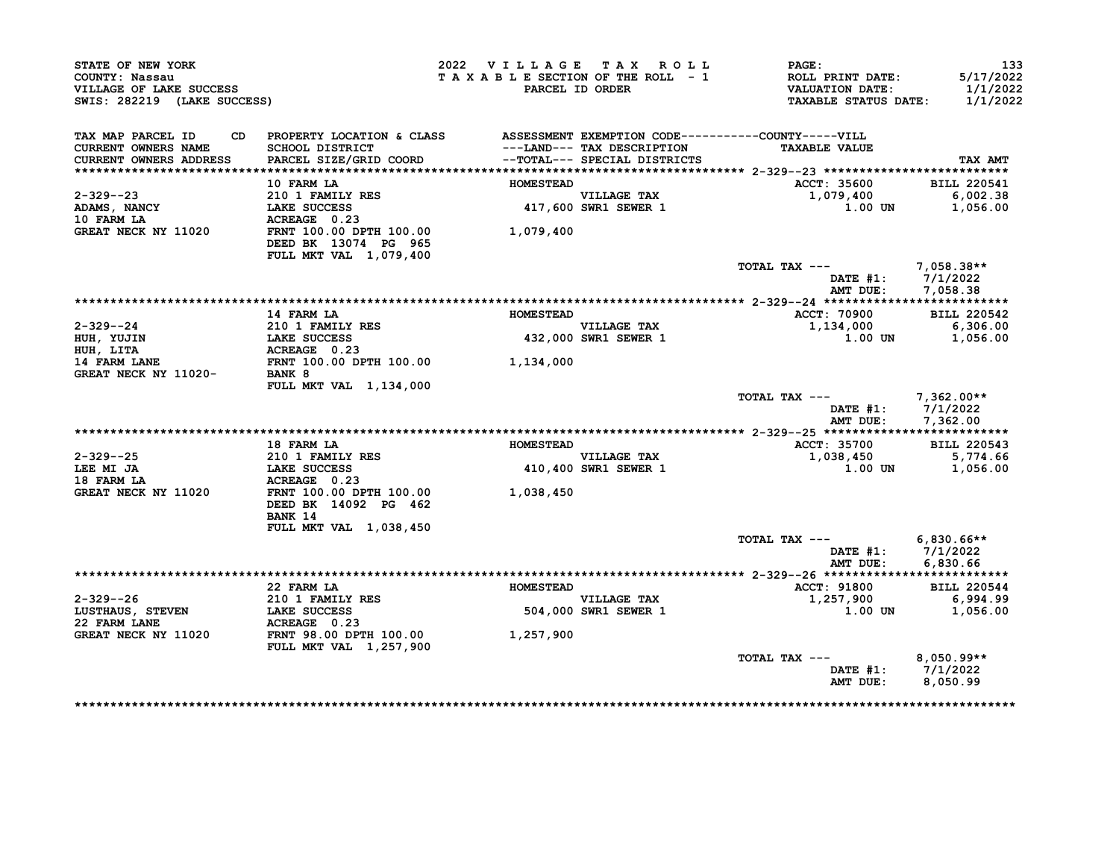| STATE OF NEW YORK<br>COUNTY: Nassau<br>VILLAGE OF LAKE SUCCESS<br>SWIS: 282219 (LAKE SUCCESS) |                                                                                 | 2022 VILLAGE TAX ROLL<br>TAXABLE SECTION OF THE ROLL - 1 | PARCEL ID ORDER                     | <b>PAGE:</b><br>ROLL PRINT DATE:<br><b>VALUATION DATE:</b><br><b>TAXABLE STATUS DATE:</b> | 133<br>5/17/2022<br>1/1/2022<br>1/1/2022             |
|-----------------------------------------------------------------------------------------------|---------------------------------------------------------------------------------|----------------------------------------------------------|-------------------------------------|-------------------------------------------------------------------------------------------|------------------------------------------------------|
| TAX MAP PARCEL ID                                                                             | CD PROPERTY LOCATION & CLASS ASSESSMENT EXEMPTION CODE----------COUNTY-----VILL |                                                          |                                     |                                                                                           |                                                      |
| <b>CURRENT OWNERS NAME</b>                                                                    | SCHOOL DISTRICT                                                                 |                                                          | ---LAND--- TAX DESCRIPTION          | <b>TAXABLE VALUE</b>                                                                      |                                                      |
| CURRENT OWNERS ADDRESS                                                                        | PARCEL SIZE/GRID COORD                                                          |                                                          | --TOTAL--- SPECIAL DISTRICTS        |                                                                                           | TAX AMT                                              |
|                                                                                               | 10 FARM LA                                                                      | <b>HOMESTEAD</b>                                         |                                     | ACCT: 35600                                                                               | <b>BILL 220541</b>                                   |
| $2 - 329 - -23$                                                                               | 210 1 FAMILY RES                                                                |                                                          | <b>VILLAGE TAX</b>                  | 1,079,400                                                                                 | 6,002.38                                             |
|                                                                                               | <b>LAKE SUCCESS</b>                                                             |                                                          | VILLAGE TAX<br>417,600 SWR1 SEWER 1 | 1.00 UN                                                                                   | 1,056.00                                             |
| ADAMS, NANCY<br>10 FARM LA                                                                    | ACREAGE 0.23                                                                    |                                                          |                                     |                                                                                           |                                                      |
| GREAT NECK NY 11020                                                                           | FRNT 100.00 DPTH 100.00<br>DEED BK 13074 PG 965                                 | 1,079,400                                                |                                     |                                                                                           |                                                      |
|                                                                                               | FULL MKT VAL 1,079,400                                                          |                                                          |                                     |                                                                                           |                                                      |
|                                                                                               |                                                                                 |                                                          |                                     | TOTAL TAX ---                                                                             | $7,058.38**$                                         |
|                                                                                               |                                                                                 |                                                          |                                     |                                                                                           | DATE #1: 7/1/2022                                    |
|                                                                                               |                                                                                 |                                                          |                                     | AMT DUE:                                                                                  | 7,058.38                                             |
|                                                                                               |                                                                                 |                                                          |                                     |                                                                                           |                                                      |
|                                                                                               | <b>14 FARM LA</b>                                                               | <b>HOMESTEAD</b>                                         |                                     | ACCT: 70900                                                                               | <b>BILL 220542</b>                                   |
| $2 - 329 - -24$                                                                               | 210 1 FAMILY RES                                                                |                                                          | <b>VILLAGE TAX</b>                  | 1,134,000                                                                                 | 6,306.00                                             |
| HUH, YUJIN                                                                                    | LAKE SUCCESS                                                                    |                                                          | 432,000 SWR1 SEWER 1                | $1.00$ UN                                                                                 | 1,056.00                                             |
| HUH, LITA                                                                                     | ACREAGE 0.23                                                                    |                                                          |                                     |                                                                                           |                                                      |
| <b>14 FARM LANE</b>                                                                           | FRNT 100.00 DPTH 100.00 1,134,000                                               |                                                          |                                     |                                                                                           |                                                      |
| GREAT NECK NY 11020-                                                                          | BANK 8<br>FULL MKT VAL 1,134,000                                                |                                                          |                                     |                                                                                           |                                                      |
|                                                                                               |                                                                                 |                                                          |                                     | TOTAL TAX ---                                                                             | 7,362.00**<br>DATE #1: 7/1/2022<br>AMT DUE: 7,362.00 |
|                                                                                               |                                                                                 |                                                          |                                     |                                                                                           |                                                      |
|                                                                                               | 18 FARM LA                                                                      | <b>HOMESTEAD</b>                                         |                                     | ACCT: 35700                                                                               | <b>BILL 220543</b>                                   |
| $2 - 329 - -25$                                                                               | 210 1 FAMILY RES                                                                |                                                          | <b>VILLAGE TAX</b>                  | 1,038,450                                                                                 | 5,774.66                                             |
| LEE MI JA                                                                                     | <b>LAKE SUCCESS</b>                                                             |                                                          | 410,400 SWR1 SEWER 1                | $1.00$ UN                                                                                 | 1,056.00                                             |
| 18 FARM LA                                                                                    | ACREAGE 0.23                                                                    |                                                          |                                     |                                                                                           |                                                      |
| GREAT NECK NY 11020                                                                           | FRNT 100.00 DPTH 100.00<br>DEED BK 14092 PG 462                                 | 1,038,450                                                |                                     |                                                                                           |                                                      |
|                                                                                               | BANK 14                                                                         |                                                          |                                     |                                                                                           |                                                      |
|                                                                                               | FULL MKT VAL 1,038,450                                                          |                                                          |                                     | TOTAL TAX ---                                                                             | $6,830.66**$                                         |
|                                                                                               |                                                                                 |                                                          |                                     |                                                                                           | DATE $#1: 7/1/2022$                                  |
|                                                                                               |                                                                                 |                                                          |                                     | AMT DUE:                                                                                  | 6,830.66                                             |
|                                                                                               |                                                                                 |                                                          |                                     |                                                                                           |                                                      |
|                                                                                               | 22 FARM LA                                                                      | <b>HOMESTEAD</b>                                         |                                     | <b>ACCT: 91800</b>                                                                        | <b>BILL 220544</b>                                   |
| $2 - 329 - -26$                                                                               | 210 1 FAMILY RES                                                                |                                                          | <b>VILLAGE TAX</b>                  | 1,257,900                                                                                 | 6,994.99                                             |
| LUSTHAUS, STEVEN                                                                              | <b>LAKE SUCCESS</b>                                                             |                                                          | 504,000 SWR1 SEWER 1                | 1.00 UN                                                                                   | 1,056.00                                             |
| 22 FARM LANE                                                                                  | ACREAGE 0.23                                                                    |                                                          |                                     |                                                                                           |                                                      |
| GREAT NECK NY 11020                                                                           | <b>FRNT 98.00 DPTH 100.00</b><br>FULL MKT VAL 1,257,900                         | 1,257,900                                                |                                     |                                                                                           |                                                      |
|                                                                                               |                                                                                 |                                                          |                                     | TOTAL TAX ---                                                                             | $8,050.99**$                                         |
|                                                                                               |                                                                                 |                                                          |                                     | AMT DUE:                                                                                  | DATE #1: 7/1/2022<br>8,050.99                        |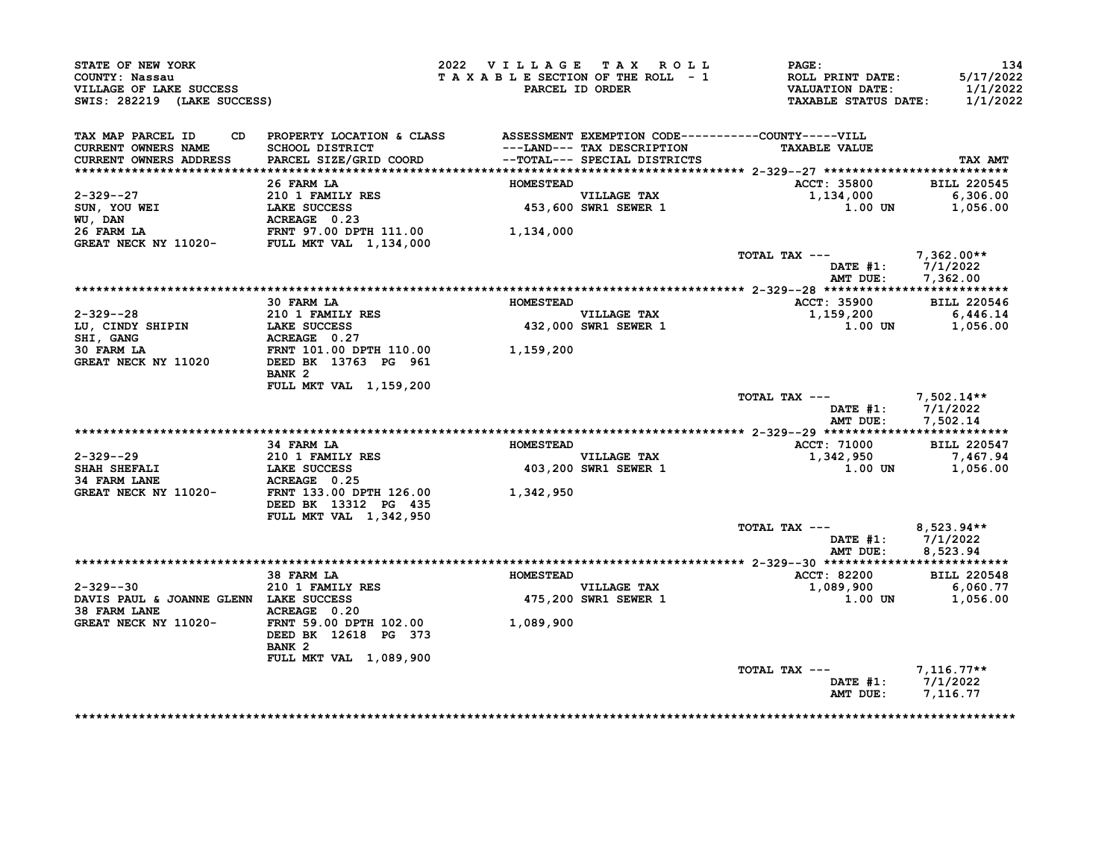| STATE OF NEW YORK<br>COUNTY: Nassau<br>VILLAGE OF LAKE SUCCESS<br>SWIS: 282219 (LAKE SUCCESS)                                                                                                                                                   |                                                                                                                                                   | 2022 VILLAGE TAX ROLL<br>TAXABLE SECTION OF THE ROLL - 1 | PARCEL ID ORDER                                           | <b>PAGE :</b><br>ROLL PRINT DATE:<br>VALUATION DATE:<br><b>TAXABLE STATUS DATE:</b> | 134<br>5/17/2022<br>1/1/2022<br>1/1/2022    |
|-------------------------------------------------------------------------------------------------------------------------------------------------------------------------------------------------------------------------------------------------|---------------------------------------------------------------------------------------------------------------------------------------------------|----------------------------------------------------------|-----------------------------------------------------------|-------------------------------------------------------------------------------------|---------------------------------------------|
| TAX MAP PARCEL ID<br>CURRENT OWNERS NAME                                                                                                                                                                                                        | CD PROPERTY LOCATION & CLASS ASSESSMENT EXEMPTION CODE----------COUNTY-----VILL                                                                   |                                                          |                                                           | <b>TAXABLE VALUE</b>                                                                |                                             |
| CURRENT OWNERS ADDRESS                                                                                                                                                                                                                          | SCHOOL DISTRICT                                     ---LAND--- TAX DESCRIPTION<br>PARCEL SIZE/GRID COORD             --TOTAL--- SPECIAL DISTRICTS |                                                          |                                                           |                                                                                     | TAX AMT                                     |
|                                                                                                                                                                                                                                                 | 26 FARM LA                                                                                                                                        | <b>HOMESTEAD</b>                                         |                                                           | ACCT: 35800                                                                         | <b>BILL 220545</b>                          |
|                                                                                                                                                                                                                                                 |                                                                                                                                                   |                                                          |                                                           | 1,134,000                                                                           | 6,306.00                                    |
|                                                                                                                                                                                                                                                 |                                                                                                                                                   |                                                          | VILLAGE TAX<br>453,600 SWR1 SEWER 1                       | 1.00 UN                                                                             | 1,056.00                                    |
| 2-329--27<br>SUN, YOU WEI<br>NOWESTEAD<br>NOW WEI<br>NOWESTEAD<br>NOWESTEAD<br>SUN, YOU WEI<br>LAKE SUCCESS<br>ACREAGE 0.23<br>26 FARM LA<br>FRNT 97.00 DPTH 111.00<br>GREAT NECK NY 11020-<br>FULL MKT VAL 1,134,000<br>TULL MKT VAL 1,134,000 |                                                                                                                                                   |                                                          |                                                           |                                                                                     |                                             |
|                                                                                                                                                                                                                                                 |                                                                                                                                                   |                                                          |                                                           | TOTAL TAX ---<br>AMT DUE:                                                           | 7,362.00**<br>DATE #1: 7/1/2022<br>7,362.00 |
|                                                                                                                                                                                                                                                 |                                                                                                                                                   |                                                          |                                                           |                                                                                     |                                             |
|                                                                                                                                                                                                                                                 | 30 FARM LA                                                                                                                                        | <b>HOMESTEAD</b>                                         |                                                           | <b>ACCT: 35900</b>                                                                  | <b>BILL 220546</b>                          |
|                                                                                                                                                                                                                                                 |                                                                                                                                                   |                                                          | VILLAGE TAX<br>432,000 SWR1 SEWER 1                       | 1,159,200                                                                           | 6,446.14                                    |
| 2-329--28<br>LU, CINDY SHIPIN 210 1 FAMILY RES<br>SHI, GANG ACREAGE 0.27<br>30 FARM LA FRNT 101.00 DPTH 110.00 1,159,200                                                                                                                        |                                                                                                                                                   |                                                          |                                                           |                                                                                     | $1.00$ UN $1,056.00$                        |
| GREAT NECK NY 11020 DEED BK 13763 PG 961                                                                                                                                                                                                        | BANK <sub>2</sub>                                                                                                                                 |                                                          |                                                           |                                                                                     |                                             |
|                                                                                                                                                                                                                                                 | FULL MKT VAL 1,159,200                                                                                                                            |                                                          |                                                           | TOTAL TAX $---$ 7,502.14**                                                          | DATE #1: 7/1/2022<br>AMT DUE: 7,502.14      |
|                                                                                                                                                                                                                                                 |                                                                                                                                                   |                                                          |                                                           |                                                                                     |                                             |
| $2 - 329 - -29$                                                                                                                                                                                                                                 | 34 FARM LA                                                                                                                                        | <b>HOMESTEAD</b>                                         | VILLAGE TAX                                               | <b>ACCT: 71000</b><br>1,342,950                                                     | <b>BILL 220547</b><br>7,467.94              |
| 2-329--29<br>SHAH SHEFALI 210 1 FAMILY RES<br>34 FARM LANE ACREAGE 0.25<br>GREAT NECK NY 11020-<br>FRNT 133.00 DPTH 126.00                                                                                                                      |                                                                                                                                                   |                                                          | 403,200 SWR1 SEWER 1                                      |                                                                                     | 1.00 UN 1,056.00                            |
|                                                                                                                                                                                                                                                 | DEED BK 13312 PG 435<br>FULL MKT VAL 1,342,950                                                                                                    | 1,342,950                                                |                                                           |                                                                                     |                                             |
|                                                                                                                                                                                                                                                 |                                                                                                                                                   |                                                          |                                                           | TOTAL TAX --- $8,523.94**$                                                          | DATE #1: 7/1/2022<br>AMT DUE: 8,523.94      |
|                                                                                                                                                                                                                                                 |                                                                                                                                                   |                                                          |                                                           |                                                                                     |                                             |
|                                                                                                                                                                                                                                                 | 38 FARM LA                                                                                                                                        | <b>HOMESTEAD</b>                                         |                                                           | ACCT: 82200                                                                         | <b>BILL 220548</b>                          |
| 2-329--30<br>DAVIS PAUL & JOANNE GLENN LAKE SUCCESS                                                                                                                                                                                             | 210 1 FAMILY RES                                                                                                                                  |                                                          | <b>VILLAGE TAX</b><br>VILLAGE TAX<br>475,200 SWR1 SEWER 1 | 1,089,900 6,060.77<br>1.00 UN                                                       | 1,056.00                                    |
| 38 FARM LANE<br>GREAT NECK NY 11020-<br>FRNT 59.00 DPTH 102.00<br>1,089,900                                                                                                                                                                     | ACREAGE 0.20<br>DEED BK 12618 PG 373                                                                                                              |                                                          |                                                           |                                                                                     |                                             |
|                                                                                                                                                                                                                                                 | BANK <sub>2</sub>                                                                                                                                 |                                                          |                                                           |                                                                                     |                                             |
|                                                                                                                                                                                                                                                 | FULL MKT VAL 1,089,900                                                                                                                            |                                                          |                                                           | TOTAL TAX --- $7,116.77**$                                                          |                                             |
|                                                                                                                                                                                                                                                 |                                                                                                                                                   |                                                          |                                                           | DATE #1: 7/1/2022<br>AMT DUE: 7,116.77                                              |                                             |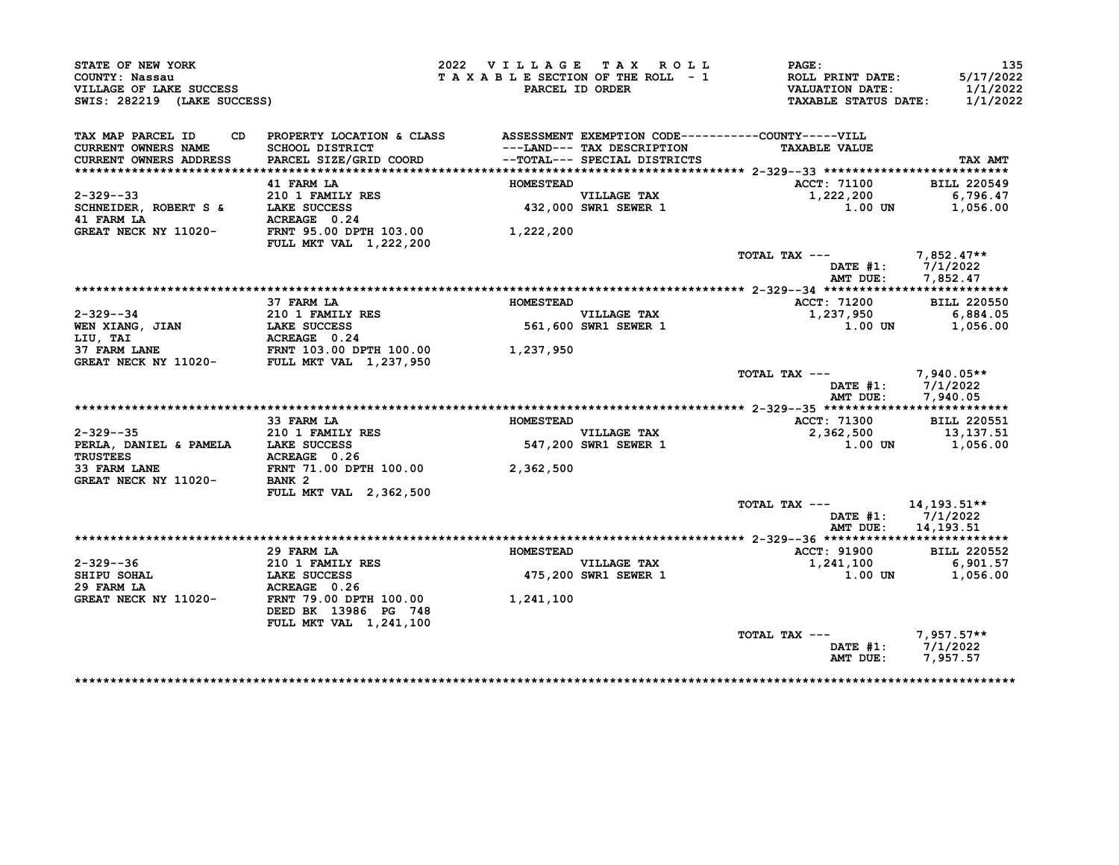| STATE OF NEW YORK<br>COUNTY: Nassau<br>VILLAGE OF LAKE SUCCESS<br>SWIS: 282219 (LAKE SUCCESS)                |                                                                                                                           | 2022 VILLAGE TAX ROLL | TAXABLE SECTION OF THE ROLL - 1<br>PARCEL ID ORDER          | PAGE:<br>ROLL PRINT DATE:<br><b>VALUATION DATE:</b><br><b>TAXABLE STATUS DATE:</b> | 135<br>5/17/2022<br>1/1/2022<br>1/1/2022      |
|--------------------------------------------------------------------------------------------------------------|---------------------------------------------------------------------------------------------------------------------------|-----------------------|-------------------------------------------------------------|------------------------------------------------------------------------------------|-----------------------------------------------|
| TAX MAP PARCEL ID<br>CD<br><b>CURRENT OWNERS NAME</b><br><b>CURRENT OWNERS ADDRESS</b>                       | PROPERTY LOCATION & CLASS ASSESSMENT EXEMPTION CODE----------COUNTY-----VILL<br>SCHOOL DISTRICT<br>PARCEL SIZE/GRID COORD |                       | ---LAND--- TAX DESCRIPTION<br>--TOTAL--- SPECIAL DISTRICTS  | <b>TAXABLE VALUE</b>                                                               | TAX AMT                                       |
|                                                                                                              | 41 FARM LA                                                                                                                | <b>HOMESTEAD</b>      |                                                             |                                                                                    | <b>BILL 220549</b>                            |
| 2-329--33                                                                                                    | 210 1 FAMILY RES                                                                                                          |                       |                                                             | <b>ACCT: 71100</b><br>1,222,200                                                    | 6,796.47                                      |
| SCHNEIDER, ROBERT S &                                                                                        | LAKE SUCCESS                                                                                                              |                       | VILLAGE TAX<br>432,000 SWR1 SEWER 1                         | 1.00 UN                                                                            | 1,056.00                                      |
| 41 FARM LA                             ACREAGE   0.24<br>GREAT NECK NY 11020-         FRNT 95.00 DPTH 103.00 | <b>FULL MKT VAL 1,222,200</b>                                                                                             | 1,222,200             |                                                             |                                                                                    |                                               |
|                                                                                                              |                                                                                                                           |                       |                                                             | TOTAL TAX ---<br>AMT DUE:                                                          | 7,852.47**<br>DATE #1: 7/1/2022<br>7,852.47   |
|                                                                                                              |                                                                                                                           |                       |                                                             |                                                                                    |                                               |
|                                                                                                              | 37 FARM LA                                                                                                                | <b>HOMESTEAD</b>      |                                                             | ACCT: 71200                                                                        | <b>BILL 220550</b>                            |
| $2 - 329 - -34$                                                                                              |                                                                                                                           |                       |                                                             | 1,237,950                                                                          | 6,884.05                                      |
| WEN XIANG, JIAN<br>LIU, TAI                                                                                  | 210 1 FAMILY RES<br>LAKE SUCCESS 561,600<br>ACREAGE 0.24<br>FRNT 103.00 DPTH 100.00 1,237,950                             |                       | VILLAGE TAX<br>561,600 SWR1 SEWER 1<br>561,600 SWR1 SEWER 1 | 1.00 UN                                                                            | 1,056.00                                      |
| <b>37 FARM LANE</b><br>GREAT NECK NY 11020- FULL MKT VAL 1,237,950                                           |                                                                                                                           |                       |                                                             |                                                                                    |                                               |
|                                                                                                              |                                                                                                                           |                       |                                                             | TOTAL TAX ---<br>AMT DUE:                                                          | 7,940.05**<br>DATE $#1: 7/1/2022$<br>7,940.05 |
|                                                                                                              |                                                                                                                           |                       |                                                             |                                                                                    |                                               |
|                                                                                                              | 33 FARM LA                                                                                                                | <b>HOMESTEAD</b>      |                                                             | ACCT: 71300                                                                        | <b>BILL 220551</b>                            |
| $2 - 329 - -35$                                                                                              | <b>210 1 FAMILY RES</b>                                                                                                   |                       | VILLAGE TAX<br>547,200 SWR1 SEWER 1                         | 2,362,500                                                                          | 13,137.51                                     |
| PERLA, DANIEL & PAMELA LAKE SUCCESS<br><b>TRUSTEES</b>                                                       | ACREAGE 0.26                                                                                                              |                       |                                                             |                                                                                    | 1.00 UN 1,056.00                              |
| 33 FARM LANE<br>GREAT NECK NY 11020- BANK 2                                                                  | FRNT 71.00 DPTH 100.00 2,362,500                                                                                          |                       |                                                             |                                                                                    |                                               |
|                                                                                                              | <b>FULL MKT VAL 2,362,500</b>                                                                                             |                       |                                                             | TOTAL TAX --- 14, 193.51**                                                         |                                               |
|                                                                                                              |                                                                                                                           |                       |                                                             | AMT DUE: 14,193.51                                                                 | DATE $#1: 7/1/2022$                           |
|                                                                                                              |                                                                                                                           |                       |                                                             |                                                                                    |                                               |
|                                                                                                              | 29 FARM LA                                                                                                                | <b>HOMESTEAD</b>      |                                                             | ACCT: 91900                                                                        | <b>BILL 220552</b>                            |
| 2-329--36                                                                                                    | 210 1 FAMILY RES                                                                                                          |                       |                                                             | 1,241,100                                                                          | 6,901.57                                      |
| SHIPU SOHAL                                                                                                  | <b>LAKE SUCCESS</b>                                                                                                       |                       | VILLAGE TAX<br>475,200 SWR1 SEWER 1                         | 1.00 UN                                                                            | 1,056.00                                      |
| 29 FARM LA                                                                                                   | ACREAGE 0.26                                                                                                              |                       |                                                             |                                                                                    |                                               |
| GREAT NECK NY 11020-                                                                                         | FRNT 79.00 DPTH 100.00<br>DEED BK 13986 PG 748                                                                            | 1,241,100             |                                                             |                                                                                    |                                               |
|                                                                                                              | FULL MKT VAL 1,241,100                                                                                                    |                       |                                                             | TOTAL TAX --- 7,957.57**                                                           |                                               |
|                                                                                                              |                                                                                                                           |                       |                                                             |                                                                                    | DATE #1: $7/1/2022$<br>AMT DUE: 7,957.57      |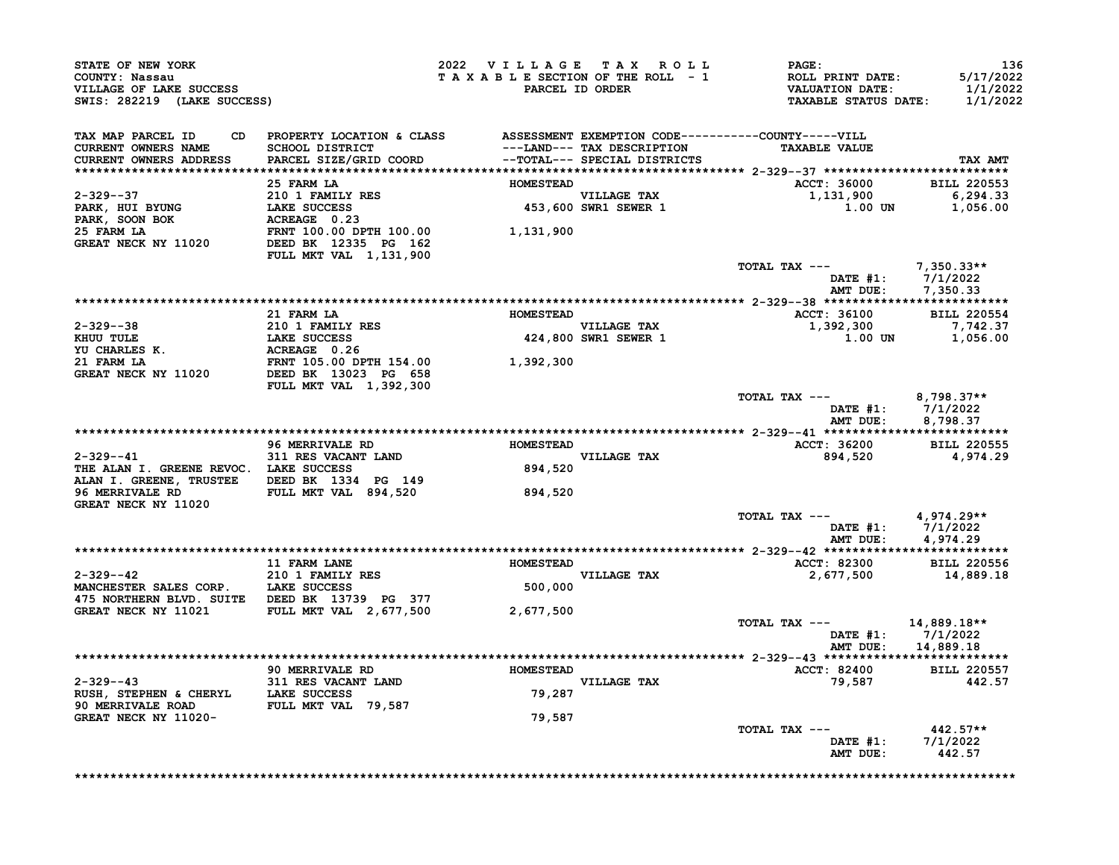| STATE OF NEW YORK<br>COUNTY: Nassau<br>VILLAGE OF LAKE SUCCESS<br>SWIS: 282219 (LAKE SUCCESS)                                                                                                                                                           |                                                                                                                                                                                                                   | 2022 VILLAGE TAX ROLL |                                     | <b>PAGE :</b><br>TAXABLE SECTION OF THE ROLL - 1 ROLL PRINT DATE:<br>TAXABLE SECTION OF THE ROLL - 1 VALUATION DATE:<br>PARCEL ID ORDER TAXABLE STATUS DATE: | -136<br>5/17/2022<br>1/1/2022<br>1/1/2022                |
|---------------------------------------------------------------------------------------------------------------------------------------------------------------------------------------------------------------------------------------------------------|-------------------------------------------------------------------------------------------------------------------------------------------------------------------------------------------------------------------|-----------------------|-------------------------------------|--------------------------------------------------------------------------------------------------------------------------------------------------------------|----------------------------------------------------------|
| TAX MAP PARCEL ID<br><b>CURRENT OWNERS NAME</b><br><b>CURRENT OWNERS ADDRESS</b>                                                                                                                                                                        | CD PROPERTY LOCATION & CLASS ASSESSMENT EXEMPTION CODE----------COUNTY-----VILL<br>SCHOOL DISTRICT ----LAND--- TAX DESCRIPTION TAXABLE VALUE<br>PARCEL SIZE/GRID COORD --TOTAL--- SPECIAL DISTRICTS<br>25 FARM LA | <b>HOMESTEAD</b>      |                                     | <b>TAXABLE VALUE</b><br>ACCT: 36000 BILL 220553                                                                                                              | TAX AMT                                                  |
| 2-329--37<br>PARK, HUI BYUNG<br>PARK, SOON BOK<br>210 1 FAMILY RES<br>210 1 FAMILY RES<br>210 1 FAMILY RES<br>22 10 21 FAMILY RES<br>23 25 FARM LA<br>23 25 FARM LA<br>23 25 FARM LA<br>23 25 FARM LA<br>23 25 FARM LA<br>23 25 FARM LA<br>22 25 FARM L |                                                                                                                                                                                                                   |                       | VILLAGE TAX<br>453,600 SWR1 SEWER 1 | $1,131,900$<br>$1,00$ UN $1,056.00$                                                                                                                          |                                                          |
|                                                                                                                                                                                                                                                         | FULL MKT VAL 1,131,900                                                                                                                                                                                            |                       |                                     | TOTAL TAX --- $7,350.33**$                                                                                                                                   | DATE #1: 7/1/2022<br>AMT DUE: 7,350.33                   |
|                                                                                                                                                                                                                                                         |                                                                                                                                                                                                                   |                       |                                     |                                                                                                                                                              |                                                          |
|                                                                                                                                                                                                                                                         | 21 FARM LA                                                                                                                                                                                                        | <b>HOMESTEAD</b>      |                                     | ACCT: 36100 BILL 220554<br>VILLAGE TAX<br>VILLAGE TAX<br>424,800 SWR1 SEWER 1 1,392,300<br>$1.00$ UN $1,056.00$                                              | 7,742.37                                                 |
| 2-329--38<br>EXECUTE 210 1 FAMILY RES<br>THE LAKE SUCCESS<br>TO CHARLES K. ACREAGE 0.26<br>21 FARM LA FRNT 105.00 DPTH 154.00<br>GREAT NECK NY 11020 DEED BK 1302.300<br>FILI. METLI, MET VAI. 1 392.300                                                | FULL MKT VAL 1,392,300                                                                                                                                                                                            |                       |                                     |                                                                                                                                                              |                                                          |
|                                                                                                                                                                                                                                                         |                                                                                                                                                                                                                   |                       |                                     | TOTAL TAX --- 8,798.37**                                                                                                                                     | DATE #1: 7/1/2022<br>AMT DUE: 8,798.37                   |
|                                                                                                                                                                                                                                                         |                                                                                                                                                                                                                   |                       |                                     |                                                                                                                                                              |                                                          |
|                                                                                                                                                                                                                                                         | 96 MERRIVALE RD <b>HOMESTEAD</b>                                                                                                                                                                                  |                       |                                     | ACCT: 36200 BILL 220555<br>894,520 4,974.29                                                                                                                  |                                                          |
| 2-329--41<br>THE ALAN I. GREENE REVOC. LAKE SUCCESS<br>ALAN I. GREENE, TRUSTEE DEED BK 1334 PG 149                                                                                                                                                      | <b>311 RES VACANT LAND</b>                                                                                                                                                                                        |                       | VILLAGE TAX<br>894,520              |                                                                                                                                                              |                                                          |
| 96 MERRIVALE RD FULL MKT VAL 894,520<br>GREAT NECK NY 11020                                                                                                                                                                                             |                                                                                                                                                                                                                   | 894,520               |                                     |                                                                                                                                                              |                                                          |
|                                                                                                                                                                                                                                                         |                                                                                                                                                                                                                   |                       |                                     | TOTAL TAX $---$ 4,974.29**                                                                                                                                   | DATE #1: 7/1/2022<br>AMT DUE: 4,974.29                   |
|                                                                                                                                                                                                                                                         |                                                                                                                                                                                                                   |                       |                                     |                                                                                                                                                              |                                                          |
| 2-329--42<br>MANCHESTER SALES CORP. LAKE SUCCESS                                                                                                                                                                                                        | 11 FARM LANE NOMESTEAD                                                                                                                                                                                            |                       | VILLAGE TAX<br>500,000              | ACCT: 82300 BILL 220556<br>2,677,500                                                                                                                         | 14,889.18                                                |
| 475 NORTHERN BLVD. SUITE DEED BK 13739 PG 377<br>GREAT NECK NY 11021 FULL MKT VAL 2,677,500 2,677,500                                                                                                                                                   |                                                                                                                                                                                                                   |                       |                                     |                                                                                                                                                              |                                                          |
|                                                                                                                                                                                                                                                         |                                                                                                                                                                                                                   |                       |                                     | TOTAL TAX ---                                                                                                                                                | 14,889.18**<br>DATE $#1: 7/1/2022$<br>AMT DUE: 14,889.18 |
|                                                                                                                                                                                                                                                         |                                                                                                                                                                                                                   |                       |                                     |                                                                                                                                                              |                                                          |
| $2 - 329 - -43$                                                                                                                                                                                                                                         |                                                                                                                                                                                                                   |                       |                                     | <b>ACCT: 82400</b><br>79,587                                                                                                                                 | <b>BILL 220557</b><br>442.57                             |
| EUSH, STEPHEN & CHERYL<br>90 MERRIVALE ROAD FULL MKT VAL 79,587                                                                                                                                                                                         |                                                                                                                                                                                                                   |                       |                                     |                                                                                                                                                              |                                                          |
| GREAT NECK NY 11020-                                                                                                                                                                                                                                    |                                                                                                                                                                                                                   | 79,587                |                                     | TOTAL TAX --- $442.57**$<br>DATE #1: $7/1/2022$<br>AMT DUE: 442.57                                                                                           |                                                          |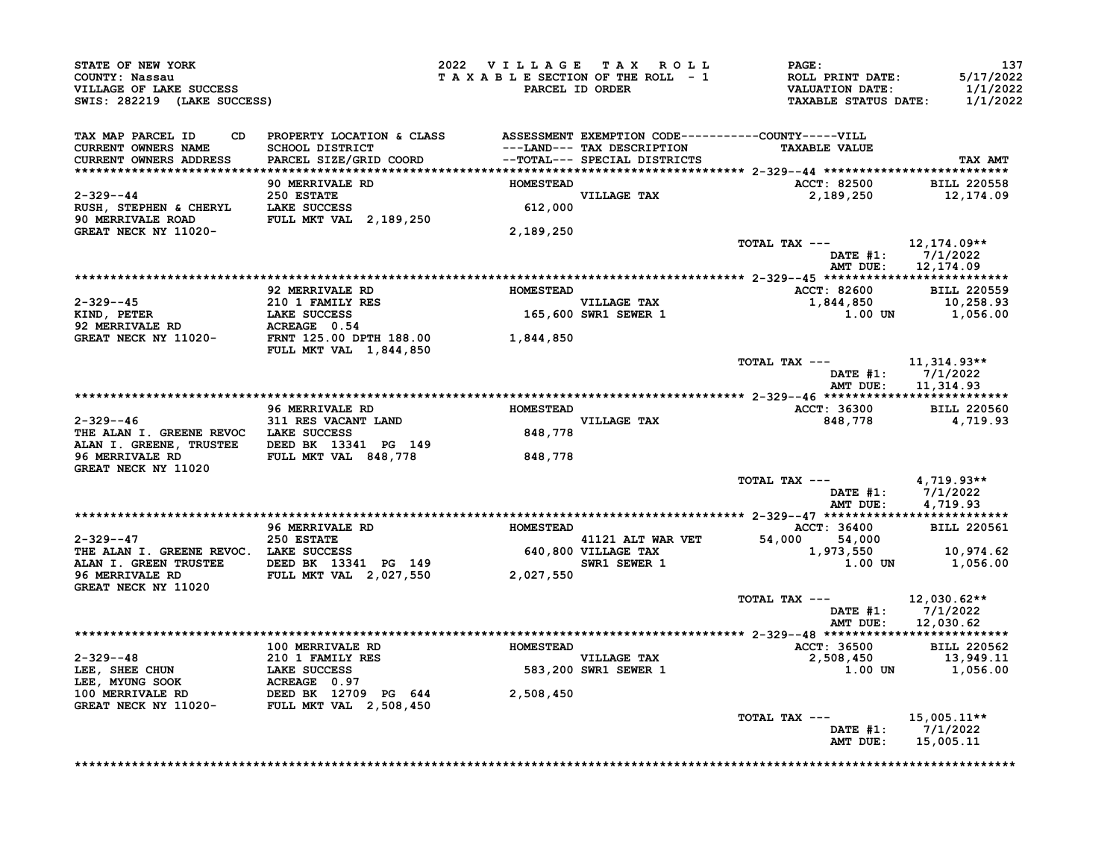| <b>STATE OF NEW YORK<br/>COUNTY: Nassau<br/>VILLAGE OF LAKE SUCCESS<br/>SWIS: 282219 (LAKE SUCCESS)</b>                                                                                                       |           | 2022 VILLAGE TAX ROLL PAGE:<br>T A X A B L E SECTION OF THE ROLL - 1 ROLL PRINT DATE: 5/17/2022<br>PARCEL ID ORDER VALUATION DATE: 1/1/2022<br>TAXABLE STATUS DATE: 1/1/2022                                                                                             | 137                                     |
|---------------------------------------------------------------------------------------------------------------------------------------------------------------------------------------------------------------|-----------|--------------------------------------------------------------------------------------------------------------------------------------------------------------------------------------------------------------------------------------------------------------------------|-----------------------------------------|
| TAX MAP PARCEL ID<br>CURRENT OWNERS NAME<br><b>CURRENT OWNERS ADDRESS</b>                                                                                                                                     |           |                                                                                                                                                                                                                                                                          | TAX AMT                                 |
|                                                                                                                                                                                                               |           | ACCT: 82500 BILL 220558                                                                                                                                                                                                                                                  |                                         |
| 2-329--44<br>250 ESTATE<br>RUSH, STEPHEN & CHERYL<br>250 ESTATE<br>250 ESTATE<br>250 ESTATE<br>250 ESTATE<br>27.000<br>27.000<br>27.000<br>27.000<br>27.000<br>27.000<br>27.000<br>27.000<br>28.000<br>27.000 |           | $2,189,250$ $12,174.09$                                                                                                                                                                                                                                                  |                                         |
| GREAT NECK NY 11020-                                                                                                                                                                                          | 2,189,250 |                                                                                                                                                                                                                                                                          |                                         |
|                                                                                                                                                                                                               |           | TOTAL TAX --- $12,174.09**$<br>DATE #1: 7/1/2022                                                                                                                                                                                                                         | AMT DUE: 12,174.09                      |
|                                                                                                                                                                                                               |           |                                                                                                                                                                                                                                                                          |                                         |
|                                                                                                                                                                                                               |           |                                                                                                                                                                                                                                                                          |                                         |
|                                                                                                                                                                                                               |           |                                                                                                                                                                                                                                                                          |                                         |
|                                                                                                                                                                                                               |           |                                                                                                                                                                                                                                                                          |                                         |
|                                                                                                                                                                                                               |           | TOTAL TAX --- $11,314.93**$<br>DATE #1: 7/1/2022                                                                                                                                                                                                                         | AMT DUE: 11,314.93                      |
|                                                                                                                                                                                                               |           |                                                                                                                                                                                                                                                                          |                                         |
|                                                                                                                                                                                                               |           | ACCT: 36300 BILL 220560<br>848,778                                                                                                                                                                                                                                       | 4,719.93                                |
|                                                                                                                                                                                                               |           |                                                                                                                                                                                                                                                                          |                                         |
| GREAT NECK NY 11020                                                                                                                                                                                           |           |                                                                                                                                                                                                                                                                          |                                         |
|                                                                                                                                                                                                               |           | TOTAL TAX --- $4,719.93**$                                                                                                                                                                                                                                               | DATE #1: 7/1/2022<br>AMT DUE: 4,719.93  |
|                                                                                                                                                                                                               |           |                                                                                                                                                                                                                                                                          |                                         |
|                                                                                                                                                                                                               |           |                                                                                                                                                                                                                                                                          |                                         |
|                                                                                                                                                                                                               |           |                                                                                                                                                                                                                                                                          |                                         |
| GREAT NECK NY 11020                                                                                                                                                                                           |           |                                                                                                                                                                                                                                                                          |                                         |
|                                                                                                                                                                                                               |           | TOTAL TAX --- $12,030.62**$                                                                                                                                                                                                                                              | DATE #1: 7/1/2022<br>AMT DUE: 12,030.62 |
|                                                                                                                                                                                                               |           |                                                                                                                                                                                                                                                                          |                                         |
|                                                                                                                                                                                                               |           |                                                                                                                                                                                                                                                                          |                                         |
|                                                                                                                                                                                                               |           | $\begin{tabular}{@{}c@{}}\n  2-329--48 & 100\n  100\n  1.00\n  1.00\n  1.00\n  1.00\n  1.00\n  1.00\n  1.00\n  1.00\n  1.00\n  1.00\n  1.00\n  1.00\n  1.00\n  1.00\n  1.00\n  1.00\n  1.00\n  1.00\n  1.00\n  1.00\n  1.00\n  1.00\n  1.00\n  1.00\n  1.00\n  1.00\n  $ |                                         |
|                                                                                                                                                                                                               |           |                                                                                                                                                                                                                                                                          |                                         |
|                                                                                                                                                                                                               |           | TOTAL TAX --- $15,005.11**$<br>AMT DUE: 15,005.11                                                                                                                                                                                                                        | DATE #1: 7/1/2022                       |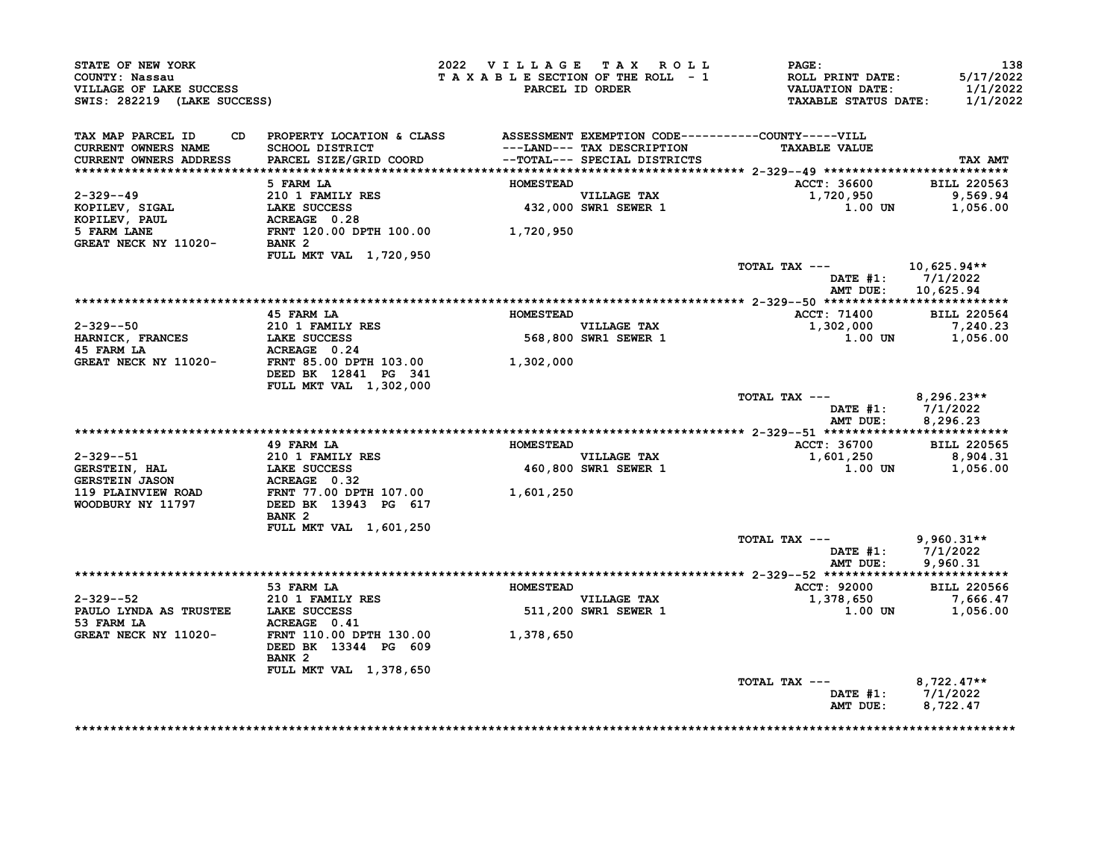| STATE OF NEW YORK<br>COUNTY: Nassau<br>VILLAGE OF LAKE SUCCESS<br>SWIS: 282219 (LAKE SUCCESS)        |                                                                                    | 2022 VILLAGE TAX ROLL | TAXABLE SECTION OF THE ROLL - 1<br>PARCEL ID ORDER | <b>PAGE:</b><br>ROLL PRINT DATE:<br>VALUATION DATE:<br><b>TAXABLE STATUS DATE:</b> | 138<br>5/17/2022<br>1/1/2022<br>1/1/2022    |
|------------------------------------------------------------------------------------------------------|------------------------------------------------------------------------------------|-----------------------|----------------------------------------------------|------------------------------------------------------------------------------------|---------------------------------------------|
| TAX MAP PARCEL ID                                                                                    | CD PROPERTY LOCATION & CLASS ASSESSMENT EXEMPTION CODE----------COUNTY-----VILL    |                       |                                                    |                                                                                    |                                             |
| <b>CURRENT OWNERS NAME</b><br><b>CURRENT OWNERS ADDRESS</b>                                          | SCHOOL DISTRICT<br>PARCEL SIZE/GRID COORD -- TOTAL--- SPECIAL DISTRICTS            |                       | ---LAND--- TAX DESCRIPTION                         | <b>TAXABLE VALUE</b>                                                               | TAX AMT                                     |
|                                                                                                      |                                                                                    |                       |                                                    |                                                                                    |                                             |
|                                                                                                      | 5 FARM LA                                                                          | <b>HOMESTEAD</b>      |                                                    | ACCT: 36600                                                                        | <b>BILL 220563</b>                          |
| $2 - 329 - -49$                                                                                      | 210 1 FAMILY RES<br>210 1 FAMILY RES<br>LAKE SUCCESS<br>ACCESS                     |                       | VILLAGE TAX<br>432,000 SWR1 SEWER 1                | 1,720,950 9,569.94                                                                 |                                             |
| KOPILEV, SIGAL<br>KOPILEV, PAUL                                                                      |                                                                                    |                       |                                                    | 1.00 UN                                                                            | 1,056.00                                    |
|                                                                                                      |                                                                                    |                       |                                                    |                                                                                    |                                             |
| <b>EXECUTE ACREAGE 0.28</b><br>5 FARM LANE FRIT 120.00 DPTH 100.00<br>GREAT NECK NY 11020-<br>BANK 2 |                                                                                    |                       |                                                    |                                                                                    |                                             |
|                                                                                                      | FULL MKT VAL 1,720,950                                                             |                       |                                                    |                                                                                    |                                             |
|                                                                                                      |                                                                                    |                       |                                                    | TOTAL TAX $---$ 10,625.94**                                                        | DATE $#1: 7/1/2022$                         |
|                                                                                                      |                                                                                    |                       |                                                    |                                                                                    | AMT DUE: 10,625.94                          |
|                                                                                                      |                                                                                    |                       |                                                    |                                                                                    |                                             |
|                                                                                                      | 45 FARM LA                                                                         | <b>HOMESTEAD</b>      |                                                    | <b>ACCT: 71400</b>                                                                 | <b>BILL 220564</b>                          |
| 2-329--50                                                                                            | 210 1 FAMILY RES                                                                   |                       | VILLAGE TAX<br>568,800 SWR1 SEWER 1                | 1,302,000                                                                          | 7,240.23                                    |
| HARNICK, FRANCES                                                                                     | LAKE SUCCESS                                                                       |                       |                                                    |                                                                                    | $1.00$ UN $1,056.00$                        |
| 45 FARM LA                                                                                           | <b>ACREAGE 0.24<br/>ACREAGE 0.24<br/>FRNT 85.00 DPTH 103.00</b>                    |                       |                                                    |                                                                                    |                                             |
| GREAT NECK NY 11020-                                                                                 |                                                                                    | 1,302,000             |                                                    |                                                                                    |                                             |
|                                                                                                      | DEED BK 12841 PG 341                                                               |                       |                                                    |                                                                                    |                                             |
|                                                                                                      | FULL MKT VAL 1,302,000                                                             |                       |                                                    | TOTAL TAX ---                                                                      |                                             |
|                                                                                                      |                                                                                    |                       |                                                    | AMT DUE:                                                                           | 8,296.23**<br>DATE #1: 7/1/2022<br>8,296.23 |
|                                                                                                      |                                                                                    |                       |                                                    |                                                                                    |                                             |
|                                                                                                      | 49 FARM LA                                                                         | <b>HOMESTEAD</b>      |                                                    | ACCT: 36700                                                                        | <b>BILL 220565</b>                          |
| 2-329--51                                                                                            | 210 1 FAMILY RES<br>LAKE SUCCESS                                                   |                       | VILLAGE TAX<br>460,800 SWR1 SEWER 1                | $1,601,250$ 8,904.31                                                               |                                             |
| <b>GERSTEIN, HAL</b>                                                                                 |                                                                                    |                       |                                                    | 1.00 UN                                                                            | 1,056.00                                    |
| GERSTEIN JASON                                                                                       |                                                                                    |                       |                                                    |                                                                                    |                                             |
| 119 PLAINVIEW ROAD<br>WOODBURY NY 11797                                                              | ACREAGE 0.32<br>FRNT 77.00 DPTH 107.00 1,601,250<br>DEED BK 13943 PG 617 1,601,250 |                       |                                                    |                                                                                    |                                             |
|                                                                                                      | BANK <sub>2</sub>                                                                  |                       |                                                    |                                                                                    |                                             |
|                                                                                                      | FULL MKT VAL 1,601,250                                                             |                       |                                                    |                                                                                    |                                             |
|                                                                                                      |                                                                                    |                       |                                                    | TOTAL TAX ---                                                                      | $9,960.31**$                                |
|                                                                                                      |                                                                                    |                       |                                                    |                                                                                    | DATE #1: 7/1/2022                           |
|                                                                                                      |                                                                                    |                       |                                                    | AMT DUE:                                                                           | 9,960.31                                    |
|                                                                                                      |                                                                                    |                       |                                                    |                                                                                    |                                             |
|                                                                                                      | 53 FARM LA                                                                         | <b>HOMESTEAD</b>      |                                                    | ACCT: 92000                                                                        | <b>BILL 220566</b>                          |
| $2 - 329 - 52$<br>PAULO LYNDA AS TRUSTEE LAKE SUCCESS                                                | $210$ 1 FAMILY RES                                                                 |                       | VILLAGE TAX<br>511,200 SWR1 SEWER 1                | 1,378,650 7,666.47<br>1.00 UN                                                      |                                             |
| 53 FARM LA                                                                                           | ACREAGE 0.41                                                                       |                       |                                                    |                                                                                    | 1,056.00                                    |
| GREAT NECK NY 11020- FRNT 110.00 DPTH 130.00 1,378,650                                               |                                                                                    |                       |                                                    |                                                                                    |                                             |
|                                                                                                      | DEED BK 13344 PG 609<br>BANK <sub>2</sub>                                          |                       |                                                    |                                                                                    |                                             |
|                                                                                                      | FULL MKT VAL 1,378,650                                                             |                       |                                                    |                                                                                    |                                             |
|                                                                                                      |                                                                                    |                       |                                                    | TOTAL TAX ---                                                                      | $8,722.47**$                                |
|                                                                                                      |                                                                                    |                       |                                                    |                                                                                    | DATE #1: 7/1/2022                           |
|                                                                                                      |                                                                                    |                       |                                                    | AMT DUE:                                                                           | 8,722.47                                    |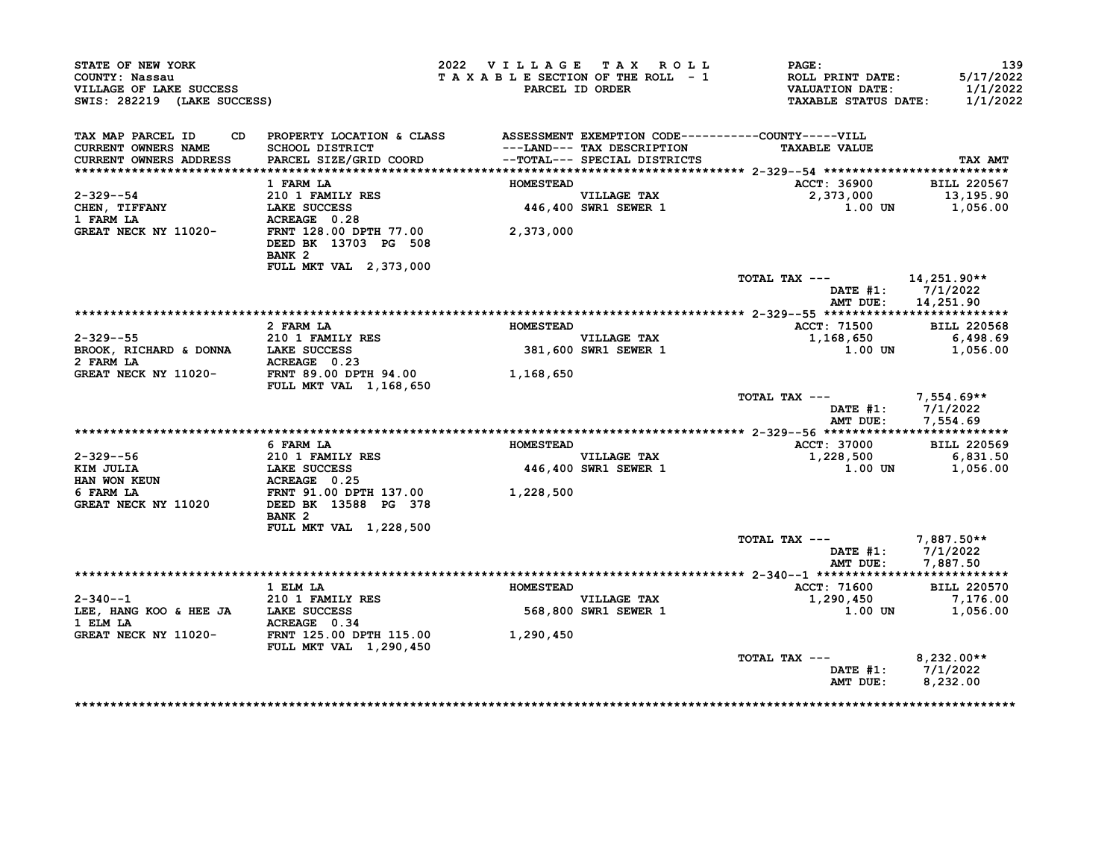| STATE OF NEW YORK<br>COUNTY: Nassau<br>VILLAGE OF LAKE SUCCESS<br>SWIS: 282219 (LAKE SUCCESS) |                                                                                                                                                                                                                                     | 2022 VILLAGE TAX ROLL<br>TAXABLE SECTION OF THE ROLL - 1 | PARCEL ID ORDER                     | <b>PAGE:</b><br><b>ROLL PRINT DATE:</b><br><b>VALUATION DATE:</b><br><b>TAXABLE STATUS DATE:</b> | 139<br>5/17/2022<br>1/1/2022<br>1/1/2022 |
|-----------------------------------------------------------------------------------------------|-------------------------------------------------------------------------------------------------------------------------------------------------------------------------------------------------------------------------------------|----------------------------------------------------------|-------------------------------------|--------------------------------------------------------------------------------------------------|------------------------------------------|
| TAX MAP PARCEL ID<br>CURRENT OWNERS NAME                                                      | CD PROPERTY LOCATION & CLASS ASSESSMENT EXEMPTION CODE----------COUNTY-----VILL<br>SCHOOL DISTRICT                                     --LAND--- TAX DESCRIPTION<br>PARCEL SIZE/GRID COORD             --TOTAL--- SPECIAL DISTRICTS |                                                          | ---LAND--- TAX DESCRIPTION          | <b>TAXABLE VALUE</b>                                                                             |                                          |
| <b>CURRENT OWNERS ADDRESS</b>                                                                 |                                                                                                                                                                                                                                     |                                                          |                                     |                                                                                                  | TAX AMT                                  |
|                                                                                               | 1 FARM LA                                                                                                                                                                                                                           | <b>HOMESTEAD</b>                                         |                                     | ACCT: 36900                                                                                      | <b>BILL 220567</b>                       |
| 2-329--54<br><b>CHEN, TIFFANY<br/>1 FARM LA</b>                                               | 210 1 FAMILY RES<br><b>LAKE SUCCESS</b>                                                                                                                                                                                             |                                                          | VILLAGE TAX<br>446,400 SWR1 SEWER 1 | 2,373,000<br>$1.00$ UN $1,056.00$                                                                | 13,195.90                                |
| 1 FARM LA<br>GREAT NECK NY 11020-                                                             | ACREAGE 0.28<br>FRNT 128.00 DPTH 77.00<br>DEED BK 13703 PG 508<br>BANK <sub>2</sub><br>FULL MKT VAL 2,373,000                                                                                                                       | 2,373,000                                                |                                     |                                                                                                  |                                          |
|                                                                                               |                                                                                                                                                                                                                                     |                                                          |                                     | TOTAL TAX $---$ 14, 251.90**<br>DATE #1: 7/1/2022<br>AMT DUE: 14,251.90                          |                                          |
|                                                                                               |                                                                                                                                                                                                                                     |                                                          |                                     |                                                                                                  |                                          |
|                                                                                               | 2 FARM LA                                                                                                                                                                                                                           | <b>HOMESTEAD</b>                                         |                                     | <b>ACCT: 71500</b>                                                                               | <b>BILL 220568</b>                       |
| $2 - 329 - -55$                                                                               | $210$ 1 FAMILY RES                                                                                                                                                                                                                  |                                                          | VILLAGE TAX<br>381,600 SWR1 SEWER 1 | 1,168,650                                                                                        | 6,498.69                                 |
| BROOK, RICHARD & DONNA LAKE SUCCESS<br>2 FARM LA                                              | ACREAGE 0.23                                                                                                                                                                                                                        |                                                          |                                     | 1.00 UN                                                                                          | 1,056.00                                 |
| GREAT NECK NY 11020- FRNT 89.00 DPTH 94.00                                                    | <b>FULL MKT VAL 1,168,650</b>                                                                                                                                                                                                       | 1,168,650                                                |                                     |                                                                                                  |                                          |
|                                                                                               |                                                                                                                                                                                                                                     |                                                          |                                     | TOTAL TAX $---$ 7,554.69**<br>DATE #1: 7/1/2022<br>AMT DUE: 7,554.69                             |                                          |
|                                                                                               |                                                                                                                                                                                                                                     |                                                          |                                     |                                                                                                  |                                          |
|                                                                                               | 6 FARM LA                                                                                                                                                                                                                           | <b>HOMESTEAD</b>                                         |                                     | ACCT: 37000                                                                                      | <b>BILL 220569</b>                       |
| 2-329--56                                                                                     | 210 1 FAMILY RES                                                                                                                                                                                                                    |                                                          | VILLAGE TAX<br>446,400 SWR1 SEWER 1 | 1,228,500                                                                                        | 6,831.50                                 |
| KIM JULIA<br><b>HAN WON KEUN<br/>6 FARM LA</b>                                                | <b>LAKE SUCCESS<br/>ACREAGE 0.25</b>                                                                                                                                                                                                |                                                          |                                     | $1.00$ UN                                                                                        | 1,056.00                                 |
| 6 FARM LA<br>GREAT NECK NY 11020                                                              | FRNT 91.00 DPTH 137.00 1,228,500<br>FRNT 91.00 DEIN --<br>DEED BK 13588 PG 378                                                                                                                                                      |                                                          |                                     |                                                                                                  |                                          |
|                                                                                               | FULL MKT VAL 1,228,500                                                                                                                                                                                                              |                                                          |                                     |                                                                                                  |                                          |
|                                                                                               |                                                                                                                                                                                                                                     |                                                          |                                     | TOTAL TAX ---<br>DATE $#1: 7/1/2022$<br>AMT DUE:                                                 | 7,887.50**<br>7,887.50                   |
|                                                                                               |                                                                                                                                                                                                                                     |                                                          |                                     |                                                                                                  |                                          |
|                                                                                               | 1 ELM LA                                                                                                                                                                                                                            | <b>HOMESTEAD</b>                                         |                                     | ACCT: 71600                                                                                      | <b>BILL 220570</b>                       |
| $2 - 340 - -1$                                                                                | $210$ 1 FAMILY RES                                                                                                                                                                                                                  |                                                          | <b>VILLAGE TAX</b>                  | 1,290,450                                                                                        | 7,176.00                                 |
| LEE, HANG KOO & HEE JA LAKE SUCCESS<br>1 ELM LA                                               | ACREAGE 0.34                                                                                                                                                                                                                        |                                                          | 568,800 SWR1 SEWER 1                | 1.00 UN                                                                                          | 1,056.00                                 |
| GREAT NECK NY 11020- FRNT 125.00 DPTH 115.00                                                  | <b>FULL MKT VAL 1,290,450</b>                                                                                                                                                                                                       | 1,290,450                                                |                                     |                                                                                                  |                                          |
|                                                                                               |                                                                                                                                                                                                                                     |                                                          |                                     | TOTAL TAX ---                                                                                    | $8,232.00**$                             |
|                                                                                               |                                                                                                                                                                                                                                     |                                                          |                                     | DATE #1: 7/1/2022<br>AMT DUE:                                                                    | 8,232.00                                 |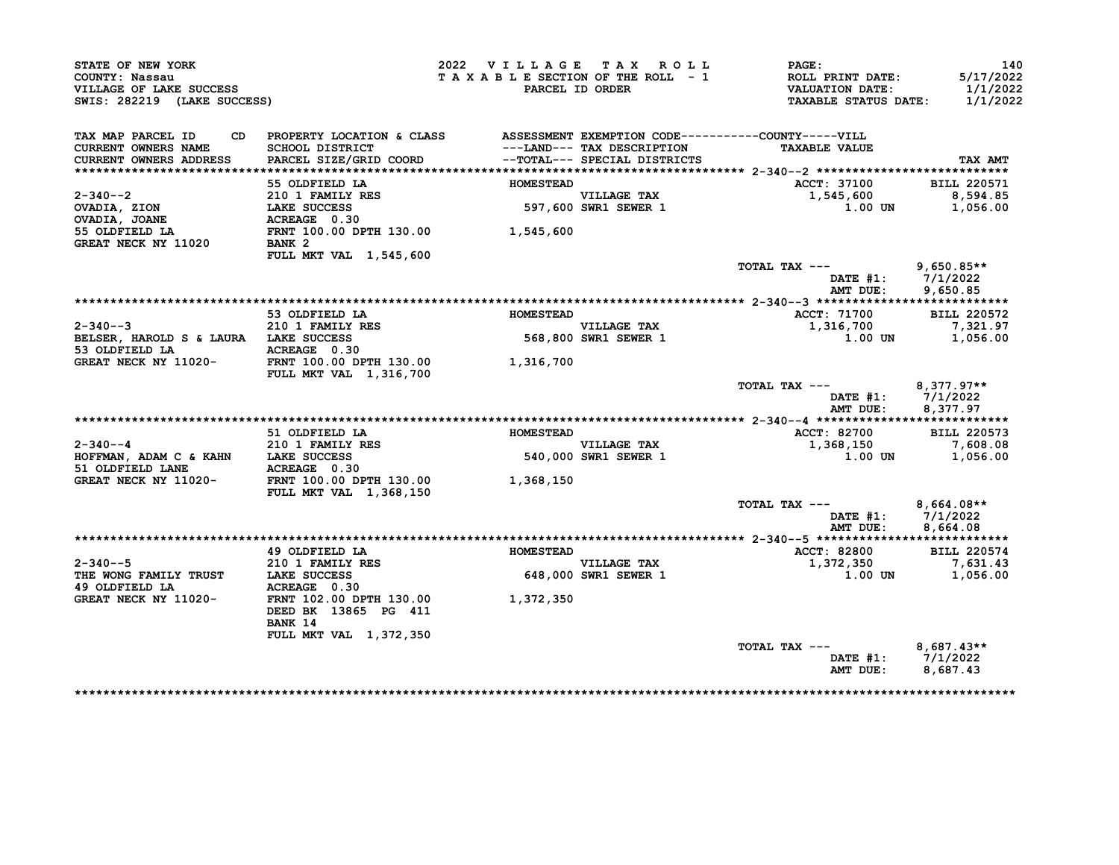| STATE OF NEW YORK<br>COUNTY: Nassau<br>VILLAGE OF LAKE SUCCESS<br>SWIS: 282219 (LAKE SUCCESS) |                                                                                                                           | 2022 VILLAGE TAX ROLL<br>TAXABLE SECTION OF THE ROLL - 1 | PARCEL ID ORDER                                            | PAGE:<br>ROLL PRINT DATE:<br><b>VALUATION DATE:</b><br><b>TAXABLE STATUS DATE:</b> | 140<br>5/17/2022<br>1/1/2022<br>1/1/2022 |
|-----------------------------------------------------------------------------------------------|---------------------------------------------------------------------------------------------------------------------------|----------------------------------------------------------|------------------------------------------------------------|------------------------------------------------------------------------------------|------------------------------------------|
| TAX MAP PARCEL ID<br>CD<br><b>CURRENT OWNERS NAME</b><br><b>CURRENT OWNERS ADDRESS</b>        | PROPERTY LOCATION & CLASS ASSESSMENT EXEMPTION CODE----------COUNTY-----VILL<br>SCHOOL DISTRICT<br>PARCEL SIZE/GRID COORD |                                                          | ---LAND--- TAX DESCRIPTION<br>--TOTAL--- SPECIAL DISTRICTS | <b>TAXABLE VALUE</b>                                                               | TAX AMT                                  |
|                                                                                               |                                                                                                                           |                                                          |                                                            |                                                                                    |                                          |
| $2 - 340 - -2$                                                                                | 55 OLDFIELD LA<br>$210$ 1 FAMILY RES                                                                                      | <b>HOMESTEAD</b>                                         | <b>VILLAGE TAX</b>                                         | ACCT: 37100<br>1,545,600                                                           | <b>BILL 220571</b><br>8,594.85           |
| OVADIA, ZION                                                                                  | LAKE SUCCESS                                                                                                              |                                                          | 597,600 SWR1 SEWER 1                                       | 1.00 UN                                                                            | 1,056.00                                 |
| OVADIA, JOANE                                                                                 | ACREAGE 0.30                                                                                                              |                                                          |                                                            |                                                                                    |                                          |
| 55 OLDFIELD LA<br>GREAT NECK NY 11020                                                         | FRNT 100.00 DPTH 130.00 1,545,600<br>BANK <sub>2</sub>                                                                    |                                                          |                                                            |                                                                                    |                                          |
|                                                                                               | FULL MKT VAL 1,545,600                                                                                                    |                                                          |                                                            |                                                                                    |                                          |
|                                                                                               |                                                                                                                           |                                                          |                                                            | TOTAL TAX ---<br>DATE $#1: 7/1/2022$<br>AMT DUE:                                   | $9,650.85**$<br>9.650.85                 |
|                                                                                               |                                                                                                                           |                                                          |                                                            |                                                                                    |                                          |
| $2 - 340 - -3$                                                                                | 53 OLDFIELD LA<br>210 1 FAMILY RES                                                                                        | <b>HOMESTEAD</b>                                         | VILLAGE TAX                                                | <b>ACCT: 71700</b><br>1,316,700                                                    | <b>BILL 220572</b><br>7,321.97           |
| BELSER, HAROLD S & LAURA LAKE SUCCESS<br>53 OLDFIELD LA                                       | ACREAGE 0.30                                                                                                              |                                                          | 568,800 SWR1 SEWER 1                                       | 1.00 UN                                                                            | 1,056.00                                 |
| GREAT NECK NY 11020-                                                                          | FRNT 100.00 DPTH 130.00<br>FULL MKT VAL 1,316,700                                                                         | 1,316,700                                                |                                                            |                                                                                    |                                          |
|                                                                                               |                                                                                                                           |                                                          |                                                            | TOTAL TAX ---<br>DATE $#1: 7/1/2022$<br>AMT DUE:                                   | $8,377.97**$<br>8,377.97                 |
|                                                                                               |                                                                                                                           |                                                          |                                                            |                                                                                    |                                          |
|                                                                                               | 51 OLDFIELD LA                                                                                                            | <b>HOMESTEAD</b>                                         |                                                            | <b>ACCT: 82700</b>                                                                 | <b>BILL 220573</b>                       |
| $2 - 340 - -4$                                                                                | 210 1 FAMILY RES                                                                                                          |                                                          | <b>VILLAGE TAX</b>                                         | 1,368,150                                                                          | 7,608.08                                 |
| HOFFMAN, ADAM C & KAHN LAKE SUCCESS                                                           |                                                                                                                           |                                                          | 540,000 SWR1 SEWER 1                                       | 1.00 UN                                                                            | 1,056.00                                 |
| 51 OLDFIELD LANE                                                                              | ACREAGE 0.30                                                                                                              |                                                          |                                                            |                                                                                    |                                          |
| GREAT NECK NY 11020-                                                                          | FRNT 100.00 DPTH 130.00<br>FULL MKT VAL 1,368,150                                                                         | 1,368,150                                                |                                                            |                                                                                    |                                          |
|                                                                                               |                                                                                                                           |                                                          |                                                            | TOTAL TAX ---                                                                      | $8,664.08**$                             |
|                                                                                               |                                                                                                                           |                                                          |                                                            | DATE $#1$ :                                                                        | 7/1/2022                                 |
|                                                                                               |                                                                                                                           |                                                          |                                                            | AMT DUE:                                                                           | 8,664.08                                 |
|                                                                                               | 49 OLDFIELD LA                                                                                                            | <b>HOMESTEAD</b>                                         |                                                            | ACCT: 82800                                                                        | <b>BILL 220574</b>                       |
| $2 - 340 - -5$                                                                                | 210 1 FAMILY RES                                                                                                          |                                                          | <b>VILLAGE TAX</b>                                         | 1,372,350                                                                          | 7,631.43                                 |
| THE WONG FAMILY TRUST LAKE SUCCESS                                                            |                                                                                                                           |                                                          | 648,000 SWR1 SEWER 1                                       | 1.00 UN                                                                            | 1,056.00                                 |
| 49 OLDFIELD LA                                                                                | ACREAGE 0.30                                                                                                              |                                                          |                                                            |                                                                                    |                                          |
| GREAT NECK NY 11020-                                                                          | FRNT 102.00 DPTH 130.00<br>DEED BK 13865 PG 411<br>BANK 14                                                                | 1,372,350                                                |                                                            |                                                                                    |                                          |
|                                                                                               | FULL MKT VAL 1,372,350                                                                                                    |                                                          |                                                            |                                                                                    |                                          |
|                                                                                               |                                                                                                                           |                                                          |                                                            | TOTAL TAX ---                                                                      | $8,687.43**$                             |
|                                                                                               |                                                                                                                           |                                                          |                                                            | DATE $#1$ :<br>AMT DUE:                                                            | 7/1/2022<br>8,687.43                     |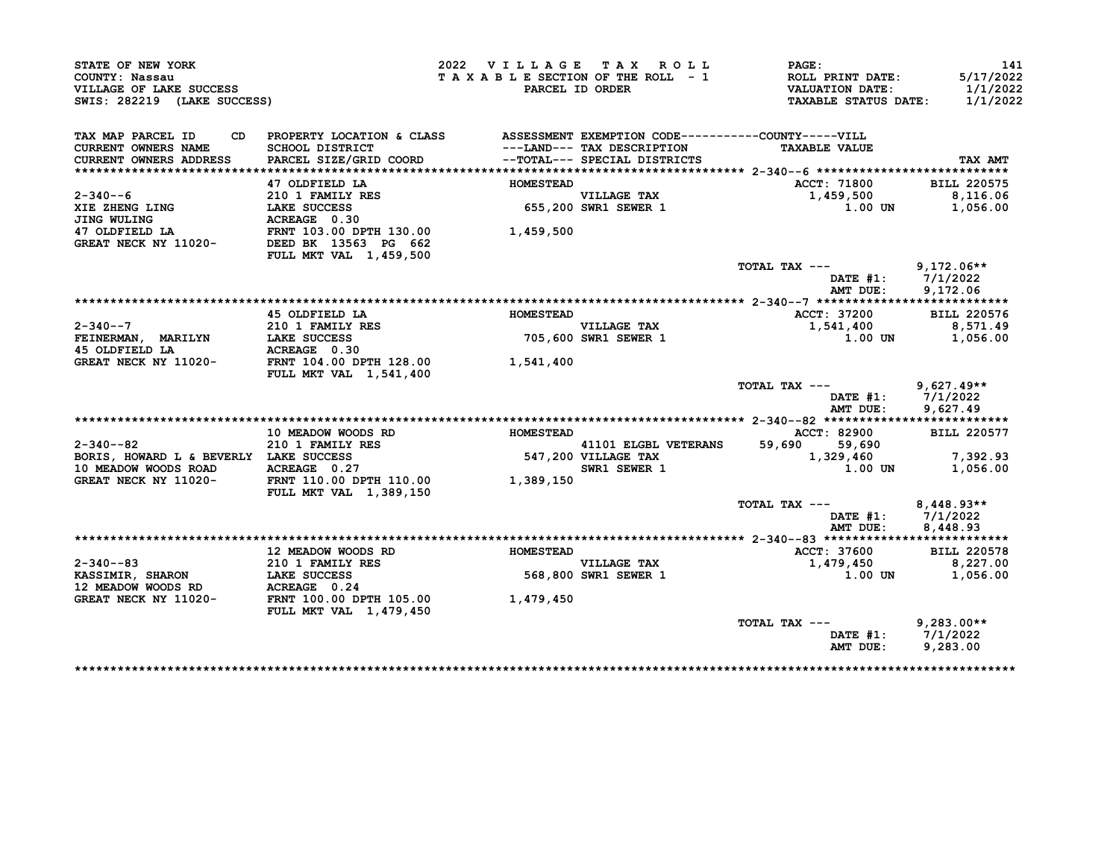| STATE OF NEW YORK<br>COUNTY: Nassau<br>VILLAGE OF LAKE SUCCESS<br>SWIS: 282219 (LAKE SUCCESS)                                                       |                                                                                                                                                           | 2022 VILLAGE TAX ROLL |                                                            | PAGE:<br>$T$ A X A B L E SECTION OF THE ROLL $-1$ ROLL PRINT DATE:<br>PARCEL ID ORDER VALUATION DATE:<br>TAXABLE STATUS DATE: 1/1/2022 | 141<br>5/17/2022<br>1/1/2022                  |
|-----------------------------------------------------------------------------------------------------------------------------------------------------|-----------------------------------------------------------------------------------------------------------------------------------------------------------|-----------------------|------------------------------------------------------------|----------------------------------------------------------------------------------------------------------------------------------------|-----------------------------------------------|
| TAX MAP PARCEL ID<br>CURRENT OWNERS NAME<br>CURRENT OWNERS ADDRESS                                                                                  | CD PROPERTY LOCATION & CLASS ASSESSMENT EXEMPTION CODE----------COUNTY-----VILL<br>SCHOOL DISTRICT<br>PARCEL SIZE/GRID COORD --TOTAL--- SPECIAL DISTRICTS |                       | ---LAND--- TAX DESCRIPTION<br>--TOTAL--- SPECIAL DISTRICTS | <b>TAXABLE VALUE</b>                                                                                                                   | TAX AMT                                       |
|                                                                                                                                                     |                                                                                                                                                           |                       |                                                            | ACCT: 71800                                                                                                                            | <b>BILL 220575</b>                            |
| $2 - 340 - -6$                                                                                                                                      |                                                                                                                                                           | <b>HOMESTEAD</b>      |                                                            | 1,459,500                                                                                                                              | 8,116.06                                      |
|                                                                                                                                                     | 47 OLDFIELD LA<br>210 1 FAMILY RES<br>LAKE SUCCESS<br>ACREAGE 0.30                                                                                        |                       | VILLAGE TAX<br>655,200 SWR1 SEWER 1                        | $1.00$ UN                                                                                                                              | 1,056.00                                      |
| XIE ZHENG LING<br>JING WULING LAKE SUCCESS 655,200<br>47 OLDFIELD LA FRNT 103.00 DPTH 130.00 1,459,500<br>GREAT NECK NY 11020- DEED BK 13563 PG 662 | <b>FULL MKT VAL 1,459,500</b>                                                                                                                             |                       |                                                            |                                                                                                                                        |                                               |
|                                                                                                                                                     |                                                                                                                                                           |                       |                                                            | TOTAL TAX ---                                                                                                                          | $9,172.06**$<br>DATE #1: 7/1/2022             |
|                                                                                                                                                     |                                                                                                                                                           |                       |                                                            | AMT DUE:                                                                                                                               | 9,172.06                                      |
| $2 - 340 - -7$                                                                                                                                      | 45 OLDFIELD LA<br>210 1 FAMILY RES                                                                                                                        | <b>HOMESTEAD</b>      |                                                            | ACCT: 37200<br>1,541,400                                                                                                               | <b>BILL 220576</b><br>8,571.49                |
| FEINERMAN, MARILYN LAKE SUCCESS<br>45 OLDFIELD LA MOREAGE 0.30                                                                                      |                                                                                                                                                           |                       | VILLAGE TAX<br>705,600 SWR1 SEWER 1                        |                                                                                                                                        | 1.00 UN 1,056.00                              |
| GREAT NECK NY 11020- FRNT 104.00 DPTH 128.00 1,541,400                                                                                              | FULL MKT VAL 1,541,400                                                                                                                                    |                       |                                                            |                                                                                                                                        |                                               |
|                                                                                                                                                     |                                                                                                                                                           |                       |                                                            | TOTAL TAX ---<br>AMT DUE:                                                                                                              | $9,627.49**$<br>DATE #1: 7/1/2022<br>9.627.49 |
|                                                                                                                                                     |                                                                                                                                                           |                       |                                                            |                                                                                                                                        |                                               |
|                                                                                                                                                     | 10 MEADOW WOODS RD                                                                                                                                        | <b>HOMESTEAD</b>      |                                                            | ACCT: 82900<br>59,690 59,690                                                                                                           | <b>BILL 220577</b>                            |
|                                                                                                                                                     |                                                                                                                                                           |                       |                                                            | 1,329,460 7,392.93<br>1.00 UN                                                                                                          |                                               |
|                                                                                                                                                     | FULL MKT VAL 1,389,150                                                                                                                                    |                       |                                                            |                                                                                                                                        | 1,056.00                                      |
|                                                                                                                                                     |                                                                                                                                                           |                       |                                                            | TOTAL TAX ---                                                                                                                          | $8,448.93**$<br>DATE #1: 7/1/2022             |
|                                                                                                                                                     |                                                                                                                                                           |                       |                                                            | AMT DUE:                                                                                                                               | 8,448.93                                      |
|                                                                                                                                                     | 12 MEADOW WOODS RD                                                                                                                                        | <b>HOMESTEAD</b>      |                                                            |                                                                                                                                        |                                               |
|                                                                                                                                                     |                                                                                                                                                           |                       | <b>VILLAGE TAX</b>                                         | ACCT: 37600 BILL 220578<br>1,479,450 8,227.00                                                                                          |                                               |
| 2-340--83<br>KASSIMIR, SHARON 210 1 FAMILY RES<br>12 MEADOW WOODS RD ACREAGE 0.24<br>GREAT NECK NY 11020-<br>FRNT 100.00 DPTH 105.00                |                                                                                                                                                           |                       | VILLAGE TAX<br>568,800 SWR1 SEWER 1                        |                                                                                                                                        | 1.00 UN 1,056.00                              |
|                                                                                                                                                     | <b>FULL MKT VAL 1,479,450</b>                                                                                                                             | 1,479,450             |                                                            |                                                                                                                                        |                                               |
|                                                                                                                                                     |                                                                                                                                                           |                       |                                                            | TOTAL TAX $---$ 9,283.00**<br>AMT DUE:                                                                                                 | DATE #1: 7/1/2022<br>9,283.00                 |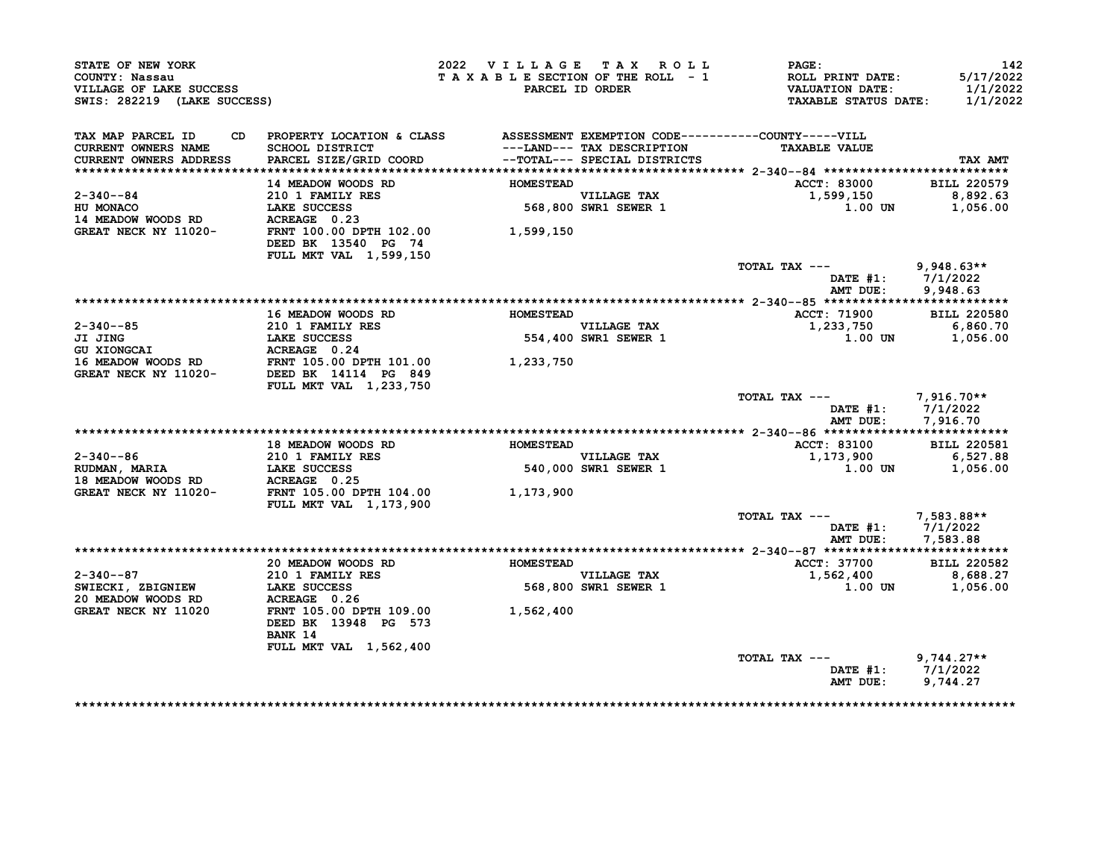| STATE OF NEW YORK<br>COUNTY: Nassau<br>VILLAGE OF LAKE SUCCESS<br>SWIS: 282219 (LAKE SUCCESS)                                                                                                                                                          |                                                                                                            | 2022 VILLAGE TAX ROLL<br>TAXABLE SECTION OF THE ROLL - 1 | PARCEL ID ORDER                     | PAGE:<br>ROLL PRINT DATE:<br>VALUATION DATE:<br><b>TAXABLE STATUS DATE:</b> | 142<br>5/17/2022<br>1/1/2022<br>1/1/2022 |
|--------------------------------------------------------------------------------------------------------------------------------------------------------------------------------------------------------------------------------------------------------|------------------------------------------------------------------------------------------------------------|----------------------------------------------------------|-------------------------------------|-----------------------------------------------------------------------------|------------------------------------------|
| TAX MAP PARCEL ID<br>CURRENT OWNERS NAME                                                                                                                                                                                                               | CD PROPERTY LOCATION & CLASS ASSESSMENT EXEMPTION CODE-----------COUNTY-----VILL<br><b>SCHOOL DISTRICT</b> |                                                          | ---LAND--- TAX DESCRIPTION          | <b>TAXABLE VALUE</b>                                                        |                                          |
| <b>CURRENT OWNERS ADDRESS</b>                                                                                                                                                                                                                          | PARCEL SIZE/GRID COORD                                                                                     |                                                          | --TOTAL--- SPECIAL DISTRICTS        |                                                                             | TAX AMT                                  |
|                                                                                                                                                                                                                                                        | 14 MEADOW WOODS RD                                                                                         | <b>HOMESTEAD</b>                                         |                                     | <b>ACCT: 83000</b>                                                          | <b>BILL 220579</b>                       |
| $2 - 340 - -84$                                                                                                                                                                                                                                        | 210 1 FAMILY RES                                                                                           |                                                          |                                     | 1,599,150                                                                   | 8,892.63                                 |
|                                                                                                                                                                                                                                                        |                                                                                                            |                                                          | VILLAGE TAX<br>568,800 SWR1 SEWER 1 | 1.00 UN                                                                     | 1,056.00                                 |
| HU MONACO<br>14 MEADOW WOODS RD<br>2000 MONACO ACREAGE 0.23                                                                                                                                                                                            |                                                                                                            |                                                          |                                     |                                                                             |                                          |
| GREAT NECK NY 11020-                                                                                                                                                                                                                                   | FRNT 100.00 DPTH 102.00 1,599,150<br>DEED BK 13540 PG 74                                                   |                                                          |                                     |                                                                             |                                          |
|                                                                                                                                                                                                                                                        | FULL MKT VAL 1,599,150                                                                                     |                                                          |                                     |                                                                             |                                          |
|                                                                                                                                                                                                                                                        |                                                                                                            |                                                          |                                     | TOTAL TAX ---                                                               | $9,948.63**$                             |
|                                                                                                                                                                                                                                                        |                                                                                                            |                                                          |                                     | AMT DUE:                                                                    | DATE #1: 7/1/2022                        |
|                                                                                                                                                                                                                                                        |                                                                                                            |                                                          |                                     |                                                                             | 9,948.63                                 |
|                                                                                                                                                                                                                                                        | <b>16 MEADOW WOODS RD</b>                                                                                  | <b>HOMESTEAD</b>                                         |                                     | <b>ACCT: 71900</b>                                                          | <b>BILL 220580</b>                       |
|                                                                                                                                                                                                                                                        |                                                                                                            |                                                          |                                     | 1,233,750                                                                   | 6,860.70                                 |
|                                                                                                                                                                                                                                                        |                                                                                                            |                                                          | VILLAGE TAX<br>554,400 SWR1 SEWER 1 |                                                                             | 1.00 UN 1,056.00                         |
|                                                                                                                                                                                                                                                        |                                                                                                            |                                                          |                                     |                                                                             |                                          |
|                                                                                                                                                                                                                                                        |                                                                                                            |                                                          |                                     |                                                                             |                                          |
| 2-340--85<br>JI JING<br>CONSCAI DENTLY RES<br>CONSCAI LAKE SUCCESS<br>S54,400<br>CONSCAI ACREAGE 0.24<br>16 MEADOW WOODS RD<br>GREAT NECK NY 11020-<br>DEED BK 14114 PG 849<br>TENT 105.00 DPTH 101.00<br>1,233,750<br>CREAT NECK NY 11020-<br>DEED BK | FULL MKT VAL 1,233,750                                                                                     |                                                          |                                     |                                                                             |                                          |
|                                                                                                                                                                                                                                                        |                                                                                                            |                                                          |                                     | TOTAL TAX --- $7,916.70**$                                                  | DATE #1: 7/1/2022                        |
|                                                                                                                                                                                                                                                        |                                                                                                            |                                                          |                                     |                                                                             | AMT DUE: 7,916.70                        |
|                                                                                                                                                                                                                                                        | 18 MEADOW WOODS RD                                                                                         | <b>HOMESTEAD</b>                                         |                                     | <b>ACCT: 83100</b>                                                          | <b>BILL 220581</b>                       |
| 2-340--86                                                                                                                                                                                                                                              | 210 1 FAMILY RES                                                                                           |                                                          |                                     | 1,173,900                                                                   | 6,527.88                                 |
|                                                                                                                                                                                                                                                        |                                                                                                            |                                                          | VILLAGE TAX<br>540,000 SWR1 SEWER 1 | $1.00$ UN                                                                   | 1,056.00                                 |
| RUDMAN, MARIA<br>18 MEADOW WOODS RD ACREAGE 0.25                                                                                                                                                                                                       |                                                                                                            |                                                          |                                     |                                                                             |                                          |
| GREAT NECK NY 11020-                                                                                                                                                                                                                                   | FRNT 105.00 DPTH 104.00<br><b>FULL MKT VAL 1,173,900</b>                                                   | 1,173,900                                                |                                     |                                                                             |                                          |
|                                                                                                                                                                                                                                                        |                                                                                                            |                                                          |                                     | TOTAL TAX --- $7,583.88**$                                                  |                                          |
|                                                                                                                                                                                                                                                        |                                                                                                            |                                                          |                                     |                                                                             | DATE #1: 7/1/2022                        |
|                                                                                                                                                                                                                                                        |                                                                                                            |                                                          |                                     |                                                                             | AMT DUE: 7,583.88                        |
|                                                                                                                                                                                                                                                        |                                                                                                            |                                                          |                                     | ACCT: 37700                                                                 | <b>BILL 220582</b>                       |
| $2 - 340 - -87$                                                                                                                                                                                                                                        | 20 MEADOW WOODS RD                                                                                         | <b>HOMESTEAD</b>                                         | VILLAGE TAX                         | 1,562,400 8,688.27                                                          |                                          |
| SWIECKI, ZBIGNIEW                                                                                                                                                                                                                                      | المسمسين WOODS RD<br>210 1 FAMILY RES<br>LAKE SUCCESS                                                      |                                                          | VILLAGE TAX<br>568,800 SWR1 SEWER 1 | 1.00 UN                                                                     | 1,056.00                                 |
| 20 MEADOW WOODS RD                                                                                                                                                                                                                                     | ACREAGE 0.26                                                                                               |                                                          |                                     |                                                                             |                                          |
| GREAT NECK NY 11020                                                                                                                                                                                                                                    | FRNT 105.00 DPTH 109.00 1,562,400<br>DEED BK 13948 PG 573                                                  |                                                          |                                     |                                                                             |                                          |
|                                                                                                                                                                                                                                                        | BANK 14                                                                                                    |                                                          |                                     |                                                                             |                                          |
|                                                                                                                                                                                                                                                        | FULL MKT VAL 1,562,400                                                                                     |                                                          |                                     |                                                                             |                                          |
|                                                                                                                                                                                                                                                        |                                                                                                            |                                                          |                                     | TOTAL TAX ---                                                               | $9,744.27**$                             |
|                                                                                                                                                                                                                                                        |                                                                                                            |                                                          |                                     |                                                                             | DATE #1: 7/1/2022                        |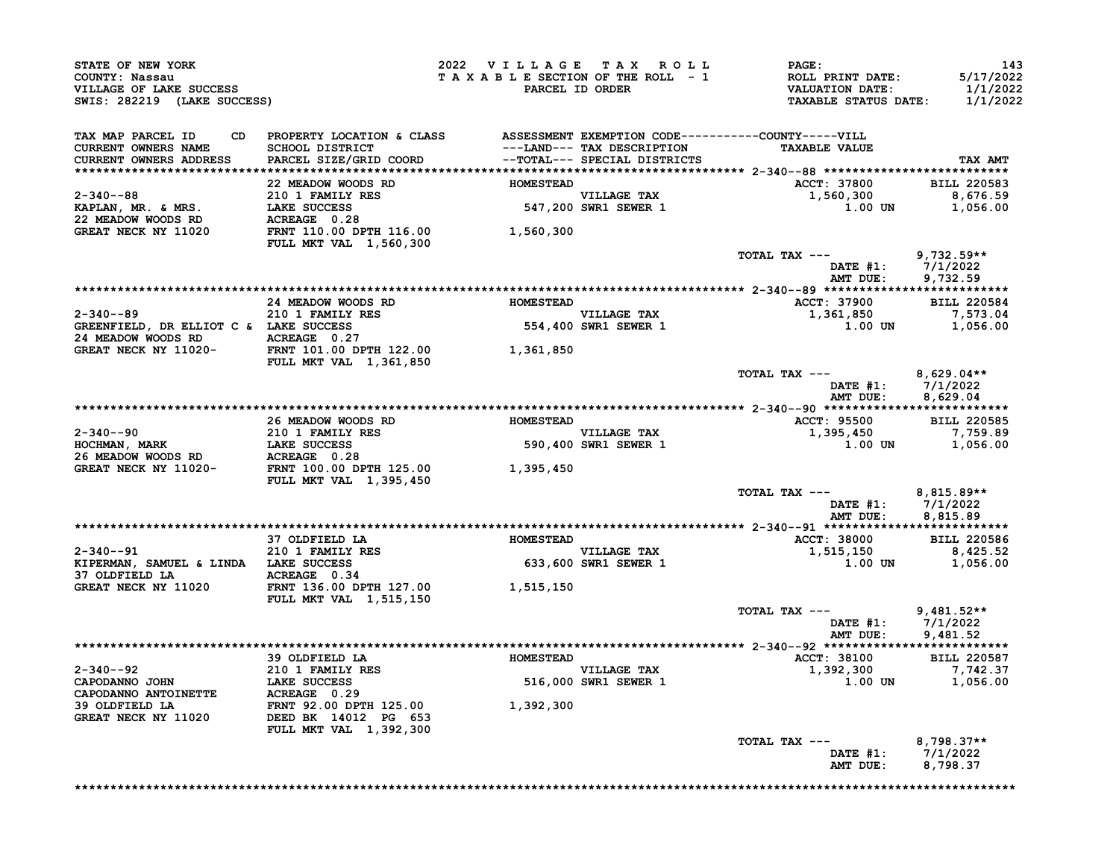| STATE OF NEW YORK<br>COUNTY: Nassau<br>VILLAGE OF LAKE SUCCESS<br>SWIS: 282219 (LAKE SUCCESS)                                                                                                                                                |                                                                                        | 2022 VILLAGE TAX ROLL<br>TAXABLE SECTION OF THE ROLL - 1<br>PARCEL ID ORDER | $\mathtt{PAGE}$ :<br>ROLL PRINT DATE:<br>VALUATION DATE:<br><b>TAXABLE STATUS DATE:</b> | 143<br>5/17/2022<br>1/1/2022<br>1/1/2022 |
|----------------------------------------------------------------------------------------------------------------------------------------------------------------------------------------------------------------------------------------------|----------------------------------------------------------------------------------------|-----------------------------------------------------------------------------|-----------------------------------------------------------------------------------------|------------------------------------------|
|                                                                                                                                                                                                                                              |                                                                                        |                                                                             |                                                                                         |                                          |
| TAX MAP PARCEL ID<br><b>CURRENT OWNERS NAME</b>                                                                                                                                                                                              | CD PROPERTY LOCATION & CLASS ASSESSMENT EXEMPTION CODE----------COUNTY-----VILL        |                                                                             | <b>TAXABLE VALUE</b>                                                                    |                                          |
| CURRENT OWNERS ADDRESS                                                                                                                                                                                                                       |                                                                                        |                                                                             |                                                                                         | TAX AMT                                  |
|                                                                                                                                                                                                                                              | 22 MEADOW WOODS RD HOMESTEAD                                                           |                                                                             | ACCT: 37800 BILL 220583                                                                 |                                          |
|                                                                                                                                                                                                                                              |                                                                                        |                                                                             | 1,560,300                                                                               | 8,676.59                                 |
|                                                                                                                                                                                                                                              |                                                                                        |                                                                             | $1.00$ UN                                                                               | 1,056.00                                 |
| 2-340--88<br>EXAPLAN, MR. & MRS.<br>22 MEADOW WOODS RD ACREAGE 0.28<br>GREAT NECK NY 11020 FRNT 110.00 DPTH 116.00<br>FRNT 110.00 PTH 116.00<br>FRNT 110.00 PTH 116.00<br>FRNT 110.00 PTH 116.00<br>FRNT 110.00 PTH 116.00<br>FRNT 110.00    |                                                                                        |                                                                             |                                                                                         |                                          |
|                                                                                                                                                                                                                                              | FULL MKT VAL 1,560,300                                                                 |                                                                             | TOTAL TAX ---                                                                           | $9,732.59**$                             |
|                                                                                                                                                                                                                                              |                                                                                        |                                                                             | DATE #1: 7/1/2022<br>AMT DUE: 9,732.59                                                  |                                          |
|                                                                                                                                                                                                                                              |                                                                                        |                                                                             |                                                                                         |                                          |
|                                                                                                                                                                                                                                              | 24 MEADOW WOODS RD HOMESTEAD                                                           | EAD<br>VILLAGE TAX                                                          | ACCT: 37900 BILL 220584<br>1,361,850                                                    |                                          |
|                                                                                                                                                                                                                                              |                                                                                        | VILLAGE TAX<br>554,400 SWR1 SEWER 1                                         | $1.00$ UN $1,056.00$                                                                    | 7,573.04                                 |
| 2-340--89<br>GREENFIELD, DR ELLIOT C & LAKE SUCCESS<br>24 MEADOW WOODS RD<br>CREAT NECK NV 11020-<br>CREAT NECK NV 11020-                                                                                                                    |                                                                                        |                                                                             |                                                                                         |                                          |
| GREAT NECK NY 11020-                                                                                                                                                                                                                         | TENT 101.00 DPTH 122.00<br>THAT 101.00 DPTH 122.00 1,361,850<br>FULL MKT VAL 1,361,850 |                                                                             |                                                                                         |                                          |
|                                                                                                                                                                                                                                              |                                                                                        |                                                                             | TOTAL TAX ---<br>DATE #1: 7/1/2022<br>AMT DUE: 8,629.04                                 | $8,629.04**$                             |
|                                                                                                                                                                                                                                              |                                                                                        |                                                                             |                                                                                         |                                          |
|                                                                                                                                                                                                                                              | 26 MEADOW WOODS RD MOMESTEAD                                                           |                                                                             | ACCT: 95500 BILL 220585                                                                 |                                          |
|                                                                                                                                                                                                                                              |                                                                                        |                                                                             | 1,395,450<br>$1.00$ UN $1,056.00$                                                       | 7,759.89                                 |
|                                                                                                                                                                                                                                              |                                                                                        |                                                                             |                                                                                         |                                          |
| 2-340--90<br>EQ EXEMINE RES 26 MEADOW WOODS RD<br>20 I FAMILY RES 26 MEADOW WOODS RD<br>26 MEADOW WOODS RD<br>26 MEADOW WOODS RD<br>26 ACREAGE 26 MEADOW WOODS RD<br>26 MEADOW WOODS RD<br>20 I FAMILY RES 26 MEADOW WOODS RD<br>20 I FAMILY | <b>FULL MKT VAL 1,395,450</b>                                                          |                                                                             |                                                                                         |                                          |
|                                                                                                                                                                                                                                              |                                                                                        |                                                                             | TOTAL TAX ---<br>DATE #1: 7/1/2022<br>AMT DUE: 8,815.89                                 | $8,815.89**$                             |
|                                                                                                                                                                                                                                              |                                                                                        |                                                                             |                                                                                         |                                          |
|                                                                                                                                                                                                                                              |                                                                                        |                                                                             | ACCT: 38000 BILL 220586                                                                 |                                          |
|                                                                                                                                                                                                                                              |                                                                                        |                                                                             | $1,515,150$<br>$1.00$ UN 1.056.00<br>$1.00$ UN $1,056.00$                               |                                          |
|                                                                                                                                                                                                                                              | FULL MKT VAL 1,515,150                                                                 |                                                                             |                                                                                         |                                          |
|                                                                                                                                                                                                                                              |                                                                                        |                                                                             | TOTAL TAX ---                                                                           | $9.481.52**$                             |
|                                                                                                                                                                                                                                              |                                                                                        |                                                                             | DATE #1: 7/1/2022<br>AMT DUE: 9,481.52                                                  |                                          |
|                                                                                                                                                                                                                                              |                                                                                        |                                                                             |                                                                                         |                                          |
|                                                                                                                                                                                                                                              |                                                                                        |                                                                             | ACCT: 38100 BILL 220587<br>1,392,300 7,742.37                                           |                                          |
|                                                                                                                                                                                                                                              |                                                                                        |                                                                             | 1.00 UN 1,056.00                                                                        |                                          |
|                                                                                                                                                                                                                                              |                                                                                        |                                                                             |                                                                                         |                                          |
|                                                                                                                                                                                                                                              |                                                                                        |                                                                             |                                                                                         |                                          |
|                                                                                                                                                                                                                                              | FULL MKT VAL 1,392,300                                                                 |                                                                             | TOTAL TAX ---                                                                           | $8,798.37**$                             |
|                                                                                                                                                                                                                                              |                                                                                        |                                                                             | DATE $#1: 7/1/2022$<br>AMT DUE:                                                         | 8,798.37                                 |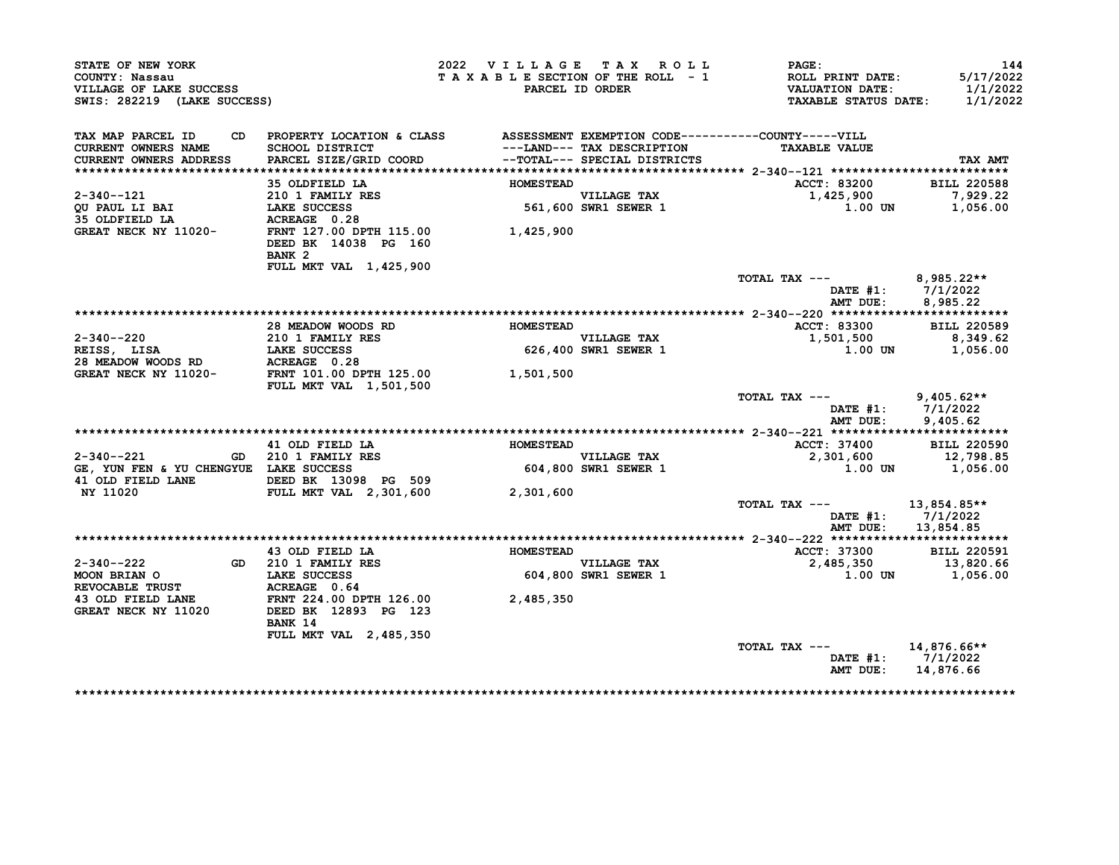| STATE OF NEW YORK<br>COUNTY: Nassau<br>VILLAGE OF LAKE SUCCESS<br>SWIS: 282219 (LAKE SUCCESS)                                                |                                                                              | 2022 VILLAGE TAX ROLL<br>TAXABLE SECTION OF THE ROLL - 1 | PARCEL ID ORDER                            | <b>PAGE :</b><br><b>ROLL PRINT DATE:</b><br><b>VALUATION DATE:</b><br><b>TAXABLE STATUS DATE:</b> | 144<br>5/17/2022<br>1/1/2022<br>1/1/2022 |
|----------------------------------------------------------------------------------------------------------------------------------------------|------------------------------------------------------------------------------|----------------------------------------------------------|--------------------------------------------|---------------------------------------------------------------------------------------------------|------------------------------------------|
| TAX MAP PARCEL ID<br>CD                                                                                                                      | PROPERTY LOCATION & CLASS ASSESSMENT EXEMPTION CODE----------COUNTY-----VILL |                                                          |                                            |                                                                                                   |                                          |
| <b>CURRENT OWNERS NAME</b>                                                                                                                   | SCHOOL DISTRICT                                                              |                                                          | ---LAND--- TAX DESCRIPTION                 | <b>TAXABLE VALUE</b>                                                                              |                                          |
| CURRENT OWNERS ADDRESS                                                                                                                       | PARCEL SIZE/GRID COORD                                                       |                                                          | --TOTAL--- SPECIAL DISTRICTS               |                                                                                                   | TAX AMT                                  |
|                                                                                                                                              |                                                                              |                                                          |                                            |                                                                                                   |                                          |
|                                                                                                                                              | 35 OLDFIELD LA                                                               | <b>HOMESTEAD</b>                                         |                                            | ACCT: 83200                                                                                       | <b>BILL 220588</b>                       |
| 2-340--121<br><b>OU PAUL LI BAI</b>                                                                                                          |                                                                              |                                                          | <b>VILLAGE TAX</b><br>561,600 SWR1 SEWER 1 | 1,425,900<br>1.00 UN                                                                              | 7,929.22<br>1,056.00                     |
| 35 OLDFIELD LA                                                                                                                               | 210 1 FAMILY RES<br>LAKE SUCCESS<br>ACREAGE 0.28<br>ACREAGE 0.28             |                                                          |                                            |                                                                                                   |                                          |
| GREAT NECK NY 11020-                                                                                                                         | FRNT 127.00 DPTH 115.00<br>DEED BK 14038 PG 160                              | 1,425,900                                                |                                            |                                                                                                   |                                          |
|                                                                                                                                              | BANK <sub>2</sub>                                                            |                                                          |                                            |                                                                                                   |                                          |
|                                                                                                                                              | FULL MKT VAL 1,425,900                                                       |                                                          |                                            | TOTAL TAX ---                                                                                     | $8,985.22**$                             |
|                                                                                                                                              |                                                                              |                                                          |                                            | AMT DUE:                                                                                          | DATE $#1: 7/1/2022$<br>8,985.22          |
|                                                                                                                                              |                                                                              |                                                          |                                            |                                                                                                   |                                          |
|                                                                                                                                              | 28 MEADOW WOODS RD                                                           | <b>HOMESTEAD</b>                                         |                                            | ACCT: 83300                                                                                       | <b>BILL 220589</b>                       |
| 2-340--220                                                                                                                                   | 210 1 FAMILY RES                                                             |                                                          | <b>VILLAGE TAX</b>                         | 1,501,500                                                                                         | 8,349.62                                 |
| REISS, LISA                LAKE SUCCESS<br>28 MEADOW WOODS RD           ACREAGE  0.28<br>GREAT NECK NY 11020-        FRNT 101.00 DPTH 125.00 |                                                                              |                                                          | 626,400 SWR1 SEWER 1                       | 1.00 UN                                                                                           | 1,056.00                                 |
|                                                                                                                                              |                                                                              |                                                          |                                            |                                                                                                   |                                          |
|                                                                                                                                              | <b>FULL MKT VAL 1,501,500</b>                                                | 1,501,500                                                |                                            |                                                                                                   |                                          |
|                                                                                                                                              |                                                                              |                                                          |                                            | TOTAL TAX ---                                                                                     | $9,405.62**$                             |
|                                                                                                                                              |                                                                              |                                                          |                                            |                                                                                                   | DATE $#1: 7/1/2022$                      |
|                                                                                                                                              |                                                                              |                                                          |                                            | AMT DUE:                                                                                          | 9,405.62                                 |
|                                                                                                                                              |                                                                              |                                                          |                                            |                                                                                                   |                                          |
| $2 - 340 - -221$                                                                                                                             | 41 OLD FIELD LA<br>GD 210 1 FAMILY RES                                       | <b>HOMESTEAD</b>                                         |                                            | ACCT: 37400                                                                                       | <b>BILL 220590</b>                       |
| GE, YUN FEN & YU CHENGYUE LAKE SUCCESS                                                                                                       |                                                                              |                                                          | <b>VILLAGE TAX</b><br>604,800 SWR1 SEWER 1 | 2,301,600<br>1.00 UN                                                                              | 12,798.85<br>1,056.00                    |
| 41 OLD FIELD LANE                                                                                                                            | DEED BK 13098 PG 509                                                         |                                                          |                                            |                                                                                                   |                                          |
| NY 11020                                                                                                                                     | FULL MKT VAL 2,301,600                                                       | 2,301,600                                                |                                            |                                                                                                   |                                          |
|                                                                                                                                              |                                                                              |                                                          |                                            | TOTAL TAX ---                                                                                     | 13,854.85**                              |
|                                                                                                                                              |                                                                              |                                                          |                                            | DATE #1:                                                                                          | 7/1/2022                                 |
|                                                                                                                                              |                                                                              |                                                          |                                            | AMT DUE:                                                                                          | 13,854.85                                |
|                                                                                                                                              |                                                                              |                                                          |                                            |                                                                                                   |                                          |
|                                                                                                                                              | 43 OLD FIELD LA                                                              | <b>HOMESTEAD</b>                                         |                                            | ACCT: 37300                                                                                       | <b>BILL 220591</b>                       |
| 2-340--222                                                                                                                                   | GD 210 1 FAMILY RES                                                          |                                                          | <b>VILLAGE TAX</b>                         | 2,485,350                                                                                         | 13,820.66                                |
| MOON BRIAN O                                                                                                                                 | <b>LAKE SUCCESS</b>                                                          |                                                          | <b>604,800 SWR1 SEWER 1</b>                | 1.00 UN                                                                                           | 1,056.00                                 |
| <b>REVOCABLE TRUST</b>                                                                                                                       | ACREAGE 0.64                                                                 |                                                          |                                            |                                                                                                   |                                          |
| 43 OLD FIELD LANE                                                                                                                            | FRNT 224.00 DPTH 126.00                                                      | 2,485,350                                                |                                            |                                                                                                   |                                          |
| GREAT NECK NY 11020                                                                                                                          | DEED BK 12893 PG 123<br>BANK 14                                              |                                                          |                                            |                                                                                                   |                                          |
|                                                                                                                                              | FULL MKT VAL 2,485,350                                                       |                                                          |                                            |                                                                                                   |                                          |
|                                                                                                                                              |                                                                              |                                                          |                                            | TOTAL TAX ---                                                                                     | 14,876.66**                              |
|                                                                                                                                              |                                                                              |                                                          |                                            |                                                                                                   | DATE #1: 7/1/2022                        |
|                                                                                                                                              |                                                                              |                                                          |                                            | AMT DUE:                                                                                          | 14,876.66                                |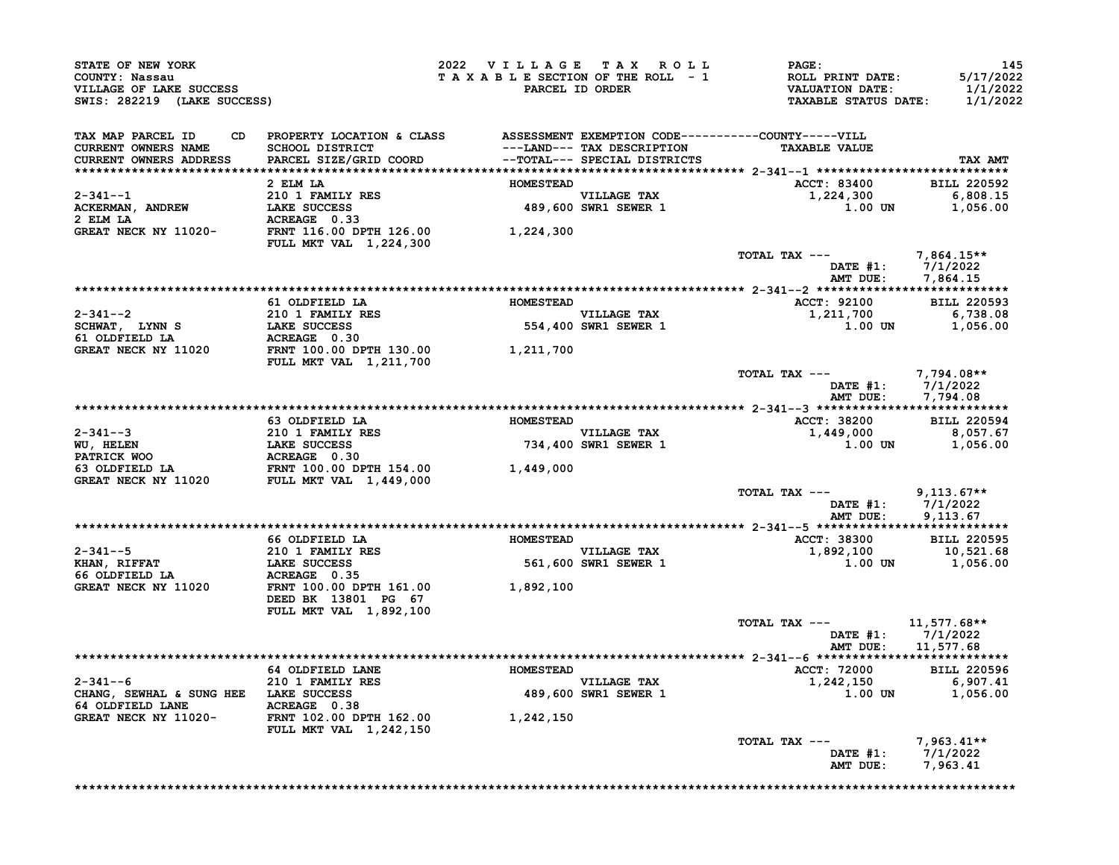| STATE OF NEW YORK<br>COUNTY: Nassau<br>VILLAGE OF LAKE SUCCESS<br>SWIS: 282219 (LAKE SUCCESS)                                                                  |                                                                                                                        | 2022 VILLAGE TAX ROLL<br>TAXABLE SECTION OF THE ROLL - 1 | PARCEL ID ORDER                     | $\mathtt{PAGE}$ :<br>ROLL PRINT DATE:<br>VALUATION DATE:<br><b>TAXABLE STATUS DATE:</b> | 145<br>5/17/2022<br>1/1/2022<br>1/1/2022 |
|----------------------------------------------------------------------------------------------------------------------------------------------------------------|------------------------------------------------------------------------------------------------------------------------|----------------------------------------------------------|-------------------------------------|-----------------------------------------------------------------------------------------|------------------------------------------|
| TAX MAP PARCEL ID<br><b>CURRENT OWNERS NAME</b><br>CURRENT OWNERS ADDRESS                                                                                      | CD PROPERTY LOCATION & CLASS ASSESSMENT EXEMPTION CODE----------COUNTY-----VILL                                        |                                                          |                                     | <b>TAXABLE VALUE</b>                                                                    | TAX AMT                                  |
|                                                                                                                                                                | 2 ELM LA                                                                                                               | <b>HOMESTEAD</b>                                         |                                     | ACCT: 83400 BILL 220592                                                                 |                                          |
|                                                                                                                                                                |                                                                                                                        |                                                          |                                     | 1,224,300                                                                               | 6,808.15                                 |
|                                                                                                                                                                |                                                                                                                        |                                                          | VILLAGE TAX<br>489,600 SWR1 SEWER 1 | 1.00 UN                                                                                 | 1,056.00                                 |
|                                                                                                                                                                |                                                                                                                        |                                                          |                                     |                                                                                         |                                          |
|                                                                                                                                                                | FULL MKT VAL 1,224,300                                                                                                 |                                                          |                                     |                                                                                         |                                          |
|                                                                                                                                                                |                                                                                                                        |                                                          |                                     | TOTAL TAX ---<br>DATE #1: 7/1/2022<br>AMT DUE: 7,864.15                                 | 7,864.15**                               |
|                                                                                                                                                                | 61 OLDFIELD LA                                                                                                         | <b>HOMESTEAD</b>                                         |                                     | ACCT: 92100 BILL 220593                                                                 |                                          |
|                                                                                                                                                                |                                                                                                                        |                                                          | <b>VILLAGE TAX</b>                  | 1,211,700                                                                               | 6,738.08                                 |
|                                                                                                                                                                |                                                                                                                        |                                                          | VILLAGE TAX<br>554,400 SWR1 SEWER 1 | $1.00$ UN $1,056.00$                                                                    |                                          |
|                                                                                                                                                                |                                                                                                                        |                                                          |                                     |                                                                                         |                                          |
|                                                                                                                                                                |                                                                                                                        |                                                          |                                     |                                                                                         |                                          |
|                                                                                                                                                                | FULL MKT VAL 1,211,700                                                                                                 |                                                          |                                     | TOTAL TAX ---                                                                           | 7,794.08**                               |
|                                                                                                                                                                |                                                                                                                        |                                                          |                                     | DATE #1: 7/1/2022<br>AMT DUE: 7,794.08                                                  |                                          |
|                                                                                                                                                                |                                                                                                                        |                                                          |                                     |                                                                                         |                                          |
|                                                                                                                                                                | 63 OLDFIELD LA                                                                                                         | <b>HOMESTEAD</b>                                         |                                     | ACCT: 38200 BILL 220594<br>$1,449,000$ 8,057.67                                         |                                          |
|                                                                                                                                                                |                                                                                                                        |                                                          | VILLAGE TAX<br>734,400 SWR1 SEWER 1 | $1.00$ UN $1,056.00$                                                                    |                                          |
|                                                                                                                                                                |                                                                                                                        |                                                          |                                     |                                                                                         |                                          |
|                                                                                                                                                                |                                                                                                                        |                                                          |                                     |                                                                                         |                                          |
|                                                                                                                                                                |                                                                                                                        |                                                          |                                     | TOTAL TAX ---<br>DATE #1: 7/1/2022<br>AMT DUE: 9,113.67                                 | $9,113.67**$<br>9,113.67                 |
|                                                                                                                                                                | 66 OLDFIELD LA <b>SERVICE A SERVICE DE LA SERVICE DE LA SERVICE DE LA SERVICE DE LA SERVICE DE LA SERVICE DE LA SE</b> |                                                          |                                     | ACCT: 38300 BILL 220595                                                                 |                                          |
|                                                                                                                                                                |                                                                                                                        |                                                          |                                     |                                                                                         |                                          |
|                                                                                                                                                                |                                                                                                                        |                                                          |                                     | $1,892,100$<br>1,892,100<br>1.00 UN 1,056.00                                            |                                          |
|                                                                                                                                                                |                                                                                                                        |                                                          |                                     |                                                                                         |                                          |
| 2-341--5<br>XHAN, RIFFAT 210 1 FAMILY RES<br>XHAN, RIFFAT LAKE SUCCESS<br>66 OLDFIELD LA ACREAGE 0.35<br>GREAT NECK NY 11020 FRIT 100.00 DPTH 161.00 1,892,100 | DEED BK 13801 PG 67<br>FULL MKT VAL 1,892,100                                                                          |                                                          |                                     |                                                                                         |                                          |
|                                                                                                                                                                |                                                                                                                        |                                                          |                                     | TOTAL TAX ---<br>DATE #1: 7/1/2022<br>AMT DUE: 11,577.68                                | $11,577.68**$                            |
|                                                                                                                                                                |                                                                                                                        |                                                          |                                     |                                                                                         |                                          |
|                                                                                                                                                                | 64 OLDFIELD LANE                                                                                                       | <b>HOMESTEAD</b>                                         |                                     | <b>ACCT: 72000</b>                                                                      | <b>BILL 220596</b>                       |
|                                                                                                                                                                |                                                                                                                        |                                                          | VILLAGE TAX<br>489,600 SWR1 SEWER 1 | 1,242,150                                                                               |                                          |
|                                                                                                                                                                |                                                                                                                        |                                                          |                                     | $0.727130$<br>1.00 UN 1.056 00                                                          |                                          |
| 2-341--6<br>CHANG, SEWHAL & SUNG HEE LAKE SUCCESS<br>64 OLDFIELD LANE ACREAGE 0.38<br>GREAT NECK NV 11020-<br>GREAT NECK NY 11020-                             | FRNT 102.00 DPTH 162.00<br>FULL MKT VAL 1,242,150                                                                      | 1,242,150                                                |                                     |                                                                                         |                                          |
|                                                                                                                                                                |                                                                                                                        |                                                          |                                     | TOTAL TAX ---<br>DATE #1: 7/1/2022<br>AMT DUE:                                          | $7,963.41**$<br>7,963.41                 |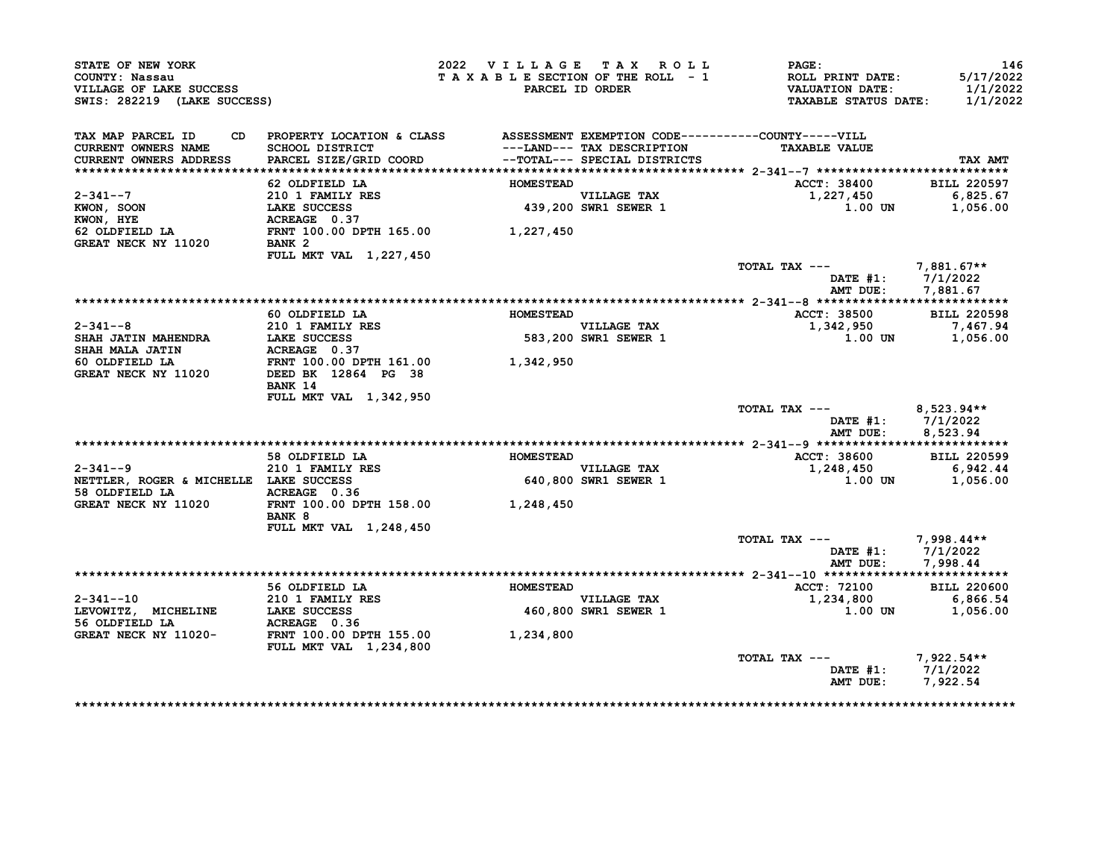| STATE OF NEW YORK<br>COUNTY: Nassau<br>VILLAGE OF LAKE SUCCESS<br>SWIS: 282219 (LAKE SUCCESS) |                                                                                 | 2022 VILLAGE TAX ROLL<br>TAXABLE SECTION OF THE ROLL - 1 | PARCEL ID ORDER                     | PAGE:<br>ROLL PRINT DATE:<br><b>VALUATION DATE:</b><br><b>TAXABLE STATUS DATE:</b> | 146<br>5/17/2022<br>1/1/2022<br>1/1/2022 |
|-----------------------------------------------------------------------------------------------|---------------------------------------------------------------------------------|----------------------------------------------------------|-------------------------------------|------------------------------------------------------------------------------------|------------------------------------------|
| TAX MAP PARCEL ID                                                                             | CD PROPERTY LOCATION & CLASS ASSESSMENT EXEMPTION CODE----------COUNTY-----VILL |                                                          |                                     |                                                                                    |                                          |
| <b>CURRENT OWNERS NAME</b>                                                                    | <b>SCHOOL DISTRICT</b>                                                          |                                                          | ---LAND--- TAX DESCRIPTION          | <b>TAXABLE VALUE</b>                                                               |                                          |
| <b>CURRENT OWNERS ADDRESS</b>                                                                 | PARCEL SIZE/GRID COORD                                                          |                                                          | --TOTAL--- SPECIAL DISTRICTS        |                                                                                    | TAX AMT                                  |
|                                                                                               |                                                                                 |                                                          |                                     |                                                                                    |                                          |
|                                                                                               | 62 OLDFIELD LA                                                                  | <b>HOMESTEAD</b>                                         |                                     | ACCT: 38400                                                                        | <b>BILL 220597</b>                       |
| $2 - 341 - -7$                                                                                | 210 1 FAMILY RES<br>LAKE SUCCESS                                                |                                                          | VILLAGE TAX<br>439,200 SWR1 SEWER 1 | 1,227,450<br>1.00 UN                                                               | 6,825.67                                 |
| $KWON$ , SOON<br>KWON, HYE                                                                    | LAKE SUCCESS<br>ACREAGE 0.37                                                    |                                                          |                                     |                                                                                    | 1,056.00                                 |
| 62 OLDFIELD LA                                                                                | FRNT 100.00 DPTH 165.00 1,227,450                                               |                                                          |                                     |                                                                                    |                                          |
| GREAT NECK NY 11020                                                                           | BANK 2                                                                          |                                                          |                                     |                                                                                    |                                          |
|                                                                                               | FULL MKT VAL 1,227,450                                                          |                                                          |                                     |                                                                                    |                                          |
|                                                                                               |                                                                                 |                                                          |                                     | TOTAL TAX ---                                                                      | $7,881.67**$                             |
|                                                                                               |                                                                                 |                                                          |                                     |                                                                                    | DATE $#1: 7/1/2022$                      |
|                                                                                               |                                                                                 |                                                          |                                     | AMT DUE:                                                                           | 7,881.67                                 |
|                                                                                               |                                                                                 |                                                          |                                     |                                                                                    |                                          |
|                                                                                               | 60 OLDFIELD LA                                                                  | <b>HOMESTEAD</b>                                         |                                     | ACCT: 38500                                                                        | <b>BILL 220598</b>                       |
| $2 - 341 - -8$                                                                                | 210 1 FAMILY RES                                                                |                                                          | VILLAGE TAX<br>583,200 SWR1 SEWER 1 | 1,342,950                                                                          | 7,467.94                                 |
| <b>SHAH JATIN MAHENDRA</b>                                                                    | LAKE SUCCESS<br>ACREAGE 0.37                                                    |                                                          |                                     | 1.00 UN                                                                            | 1,056.00                                 |
| <b>SHAH MALA JATIN</b>                                                                        |                                                                                 |                                                          |                                     |                                                                                    |                                          |
| 60 OLDFIELD LA                                                                                | FRNT 100.00 DPTH 161.00                                                         | 1,342,950                                                |                                     |                                                                                    |                                          |
| GREAT NECK NY 11020                                                                           | DEED BK 12864 PG 38<br>BANK 14                                                  |                                                          |                                     |                                                                                    |                                          |
|                                                                                               | <b>FULL MKT VAL 1,342,950</b>                                                   |                                                          |                                     |                                                                                    |                                          |
|                                                                                               |                                                                                 |                                                          |                                     | TOTAL TAX ---                                                                      | $8,523.94**$<br>DATE $#1: 7/1/2022$      |
|                                                                                               |                                                                                 |                                                          |                                     | AMT DUE:                                                                           | 8,523.94                                 |
|                                                                                               | 58 OLDFIELD LA                                                                  | <b>HOMESTEAD</b>                                         |                                     | ACCT: 38600                                                                        | <b>BILL 220599</b>                       |
| $2 - 341 - -9$                                                                                | 210 1 FAMILY RES                                                                |                                                          | VILLAGE TAX                         | 1,248,450                                                                          | 6,942.44                                 |
| NETTLER, ROGER & MICHELLE LAKE SUCCESS                                                        |                                                                                 |                                                          | 640,800 SWR1 SEWER 1                | 1.00 UN                                                                            | 1,056.00                                 |
| 58 OLDFIELD LA                                                                                | ACREAGE 0.36                                                                    |                                                          |                                     |                                                                                    |                                          |
| GREAT NECK NY 11020                                                                           | FRNT 100.00 DPTH 158.00 1,248,450                                               |                                                          |                                     |                                                                                    |                                          |
|                                                                                               | BANK 8                                                                          |                                                          |                                     |                                                                                    |                                          |
|                                                                                               | FULL MKT VAL 1,248,450                                                          |                                                          |                                     |                                                                                    |                                          |
|                                                                                               |                                                                                 |                                                          |                                     | TOTAL TAX ---                                                                      | $7,998.44**$                             |
|                                                                                               |                                                                                 |                                                          |                                     |                                                                                    | DATE #1: 7/1/2022                        |
|                                                                                               |                                                                                 |                                                          |                                     | AMT DUE:                                                                           | 7,998.44                                 |
|                                                                                               |                                                                                 |                                                          |                                     |                                                                                    |                                          |
|                                                                                               | 56 OLDFIELD LA                                                                  | <b>HOMESTEAD</b>                                         |                                     | ACCT: 72100                                                                        | <b>BILL 220600</b>                       |
| $2 - 341 - -10$                                                                               | 210 1 FAMILY RES                                                                |                                                          | <b>VILLAGE TAX</b>                  | 1,234,800                                                                          | 6,866.54                                 |
| LEVOWITZ, MICHELINE<br>56 OLDFIELD LA                                                         | LAKE SUCCESS                                                                    |                                                          | 460,800 SWR1 SEWER 1                | $1.00$ UN                                                                          | 1,056.00                                 |
| GREAT NECK NY 11020-                                                                          | FULL MKT VAL 1,234,800                                                          | 1,234,800                                                |                                     |                                                                                    |                                          |
|                                                                                               |                                                                                 |                                                          |                                     | TOTAL TAX ---                                                                      | 7,922.54**                               |
|                                                                                               |                                                                                 |                                                          |                                     |                                                                                    | DATE #1: 7/1/2022                        |
|                                                                                               |                                                                                 |                                                          |                                     |                                                                                    | AMT DUE: 7,922.54                        |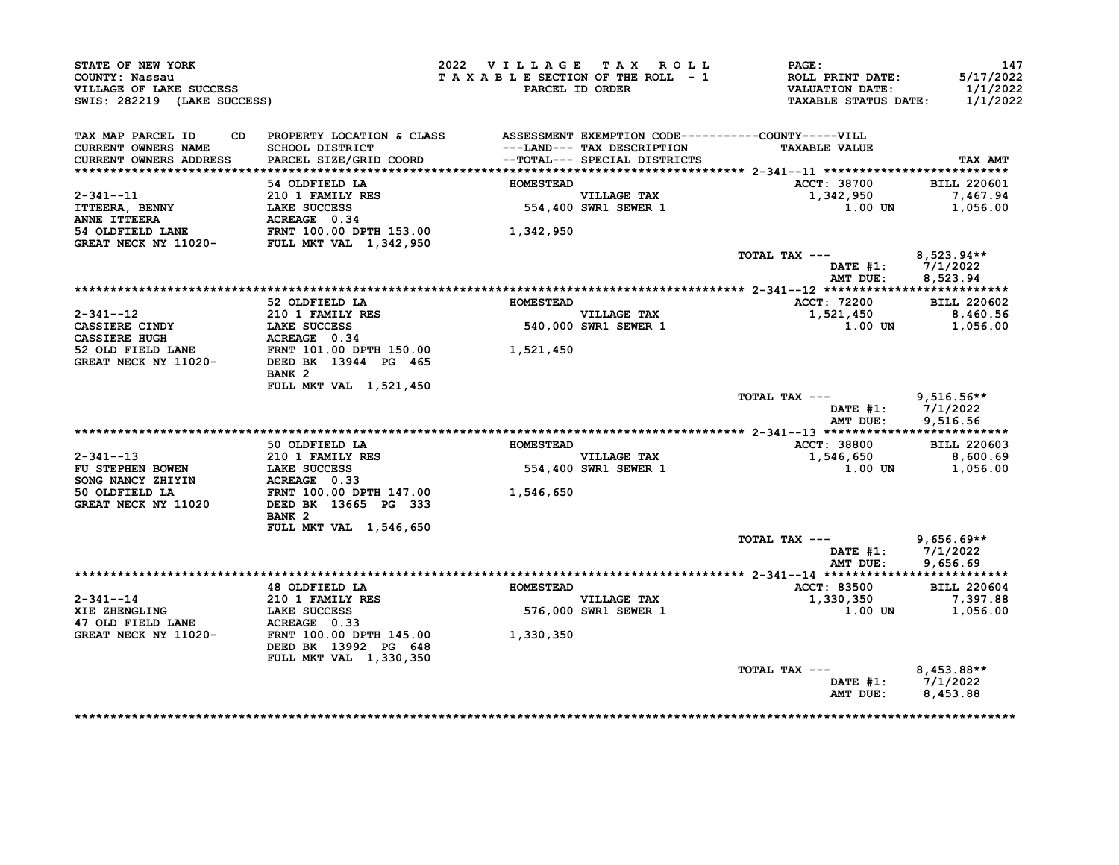| STATE OF NEW YORK<br>COUNTY: Nassau<br>VILLAGE OF LAKE SUCCESS<br>SWIS: 282219 (LAKE SUCCESS)                                                                                                                                                          |                                                                                                     |                  | 2022 VILLAGE TAX ROLL               | <b>PAGE:</b><br>T A X A B L E SECTION OF THE ROLL - 1 ROLL PRINT DATE: 5/17/2022<br>PARCEL ID ORDER VALUATION DATE: 1/1/2022<br>TAXABLE STATUS DATE: 1/1/2022 | 147                                    |
|--------------------------------------------------------------------------------------------------------------------------------------------------------------------------------------------------------------------------------------------------------|-----------------------------------------------------------------------------------------------------|------------------|-------------------------------------|---------------------------------------------------------------------------------------------------------------------------------------------------------------|----------------------------------------|
| TAX MAP PARCEL ID CD PROPERTY LOCATION & CLASS ASSESSMENT EXEMPTION CODE----------COUNTY-----VILL<br>CURRENT OWNERS NAME<br>CURRENT OWNERS ADDRESS                                                                                                     | SCHOOL DISTRICT<br>PARCEL SIZE/GRID COORD<br>PARCEL SIZE/GRID COORD<br>--TOTAL--- SPECIAL DISTRICTS |                  |                                     | <b>TAXABLE VALUE</b>                                                                                                                                          | TAX AMT                                |
|                                                                                                                                                                                                                                                        | 54 OLDFIELD LA                                                                                      | <b>HOMESTEAD</b> |                                     | ACCT: 38700 BILL 220601                                                                                                                                       |                                        |
| 2-341--11<br>ITTEERA, BENNY 210 1 FAMILY RES<br>INNE ITTEERA LAKE SUCCESS 554,400<br>54 OLDFIELD LANE FRNT 100.00 DPTH 153.00 1,342,950<br>GREAT NECK NY 11020- FULL MKT VAL 1,342,950                                                                 |                                                                                                     |                  | VILLAGE TAX<br>554,400 SWR1 SEWER 1 | $1,342,950$ 7,467.94<br>1.00 UN 1,056.00                                                                                                                      |                                        |
|                                                                                                                                                                                                                                                        |                                                                                                     |                  |                                     |                                                                                                                                                               |                                        |
|                                                                                                                                                                                                                                                        |                                                                                                     |                  |                                     | TOTAL TAX --- 8,523.94**                                                                                                                                      | DATE #1: 7/1/2022<br>AMT DUE: 8,523.94 |
|                                                                                                                                                                                                                                                        |                                                                                                     |                  |                                     |                                                                                                                                                               |                                        |
|                                                                                                                                                                                                                                                        | 52 OLDFIELD LA <b>HOMESTEAD</b>                                                                     |                  |                                     | <b>ACCT: 72200</b>                                                                                                                                            | <b>BILL 220602</b>                     |
|                                                                                                                                                                                                                                                        |                                                                                                     |                  | VILLAGE TAX<br>540,000 SWR1 SEWER 1 | 1,521,450<br>$1.00$ UN $1,056.00$                                                                                                                             | 8,460.56                               |
| 2-341--12<br>CASSIERE CINDY<br>CASSIERE HUGH<br>CASSIERE HUGH<br>S2 OLD FIELD LANE<br>S2 OLD FIELD LANE<br>S2 OLD FIELD LANE<br>CREAT NECK NY 11020-<br>DEELD BK 13944 PG 465<br>TRIM 101.00 DPTH 150.00<br>2020 PTH 150.00<br>2020 PTH 150.00<br>2020 | BANK <sub>2</sub>                                                                                   |                  |                                     |                                                                                                                                                               |                                        |
|                                                                                                                                                                                                                                                        | FULL MKT VAL 1,521,450                                                                              |                  |                                     | TOTAL TAX --- 9,516.56**                                                                                                                                      | DATE #1: 7/1/2022<br>AMT DUE: 9,516.56 |
|                                                                                                                                                                                                                                                        |                                                                                                     |                  |                                     |                                                                                                                                                               |                                        |
|                                                                                                                                                                                                                                                        | 50 OLDFIELD LA <b>MOMESTEAD</b>                                                                     |                  |                                     | ACCT: 38800 BILL 220603                                                                                                                                       |                                        |
|                                                                                                                                                                                                                                                        |                                                                                                     |                  | VILLAGE TAX<br>554,400 SWR1 SEWER 1 | 1,546,650<br>$1.00$ UN $1,056.00$                                                                                                                             | 8,600.69                               |
| 2-341--13<br>FU STEPHEN BOWEN<br>SONG NANCY ZHIYIN<br>SONG NANCY ZHIYIN<br>SO OLDFIELD LA<br>SO OLDFIELD LA<br>GREAT NECK NY 11020<br>DEED BK 13665 PG 333<br>TRIT 100.00 DPTH 147.00<br>CREAT NECK NY 11020<br>DEED BK 13665 PG 333                   | BANK <sub>2</sub>                                                                                   |                  |                                     |                                                                                                                                                               |                                        |
|                                                                                                                                                                                                                                                        | FULL MKT VAL 1,546,650                                                                              |                  |                                     | TOTAL TAX --- 9,656.69**<br>AMT DUE:                                                                                                                          | DATE #1: 7/1/2022<br>9,656.69          |
|                                                                                                                                                                                                                                                        |                                                                                                     |                  |                                     |                                                                                                                                                               |                                        |
| 2-341--14<br>XIE ZHENGLING<br>XIE ZHENGLING<br>XIE ZHENGLING<br>XIE ZHENGLING<br>LAKE SUCCESS<br>ACREAGE 0.33<br>GREAT NECK NY 11020-<br>FRNT 100.00 DPTH 145.00<br>1,330,350                                                                          | 48 OLDFIELD LA <b>MESTEAD</b>                                                                       |                  | VILLAGE TAX<br>576,000 SWR1 SEWER 1 | ACCT: 83500 BILL 220604<br>1,330,350<br>$1.00$ UN $1,056.00$                                                                                                  | 7,397.88                               |
|                                                                                                                                                                                                                                                        | DEED BK 13992 PG 648<br>FULL MKT VAL 1,330,350                                                      |                  |                                     |                                                                                                                                                               |                                        |
|                                                                                                                                                                                                                                                        |                                                                                                     |                  |                                     | TOTAL TAX $---$ 8,453.88**                                                                                                                                    | DATE #1: 7/1/2022<br>AMT DUE: 8,453.88 |
|                                                                                                                                                                                                                                                        |                                                                                                     |                  |                                     |                                                                                                                                                               |                                        |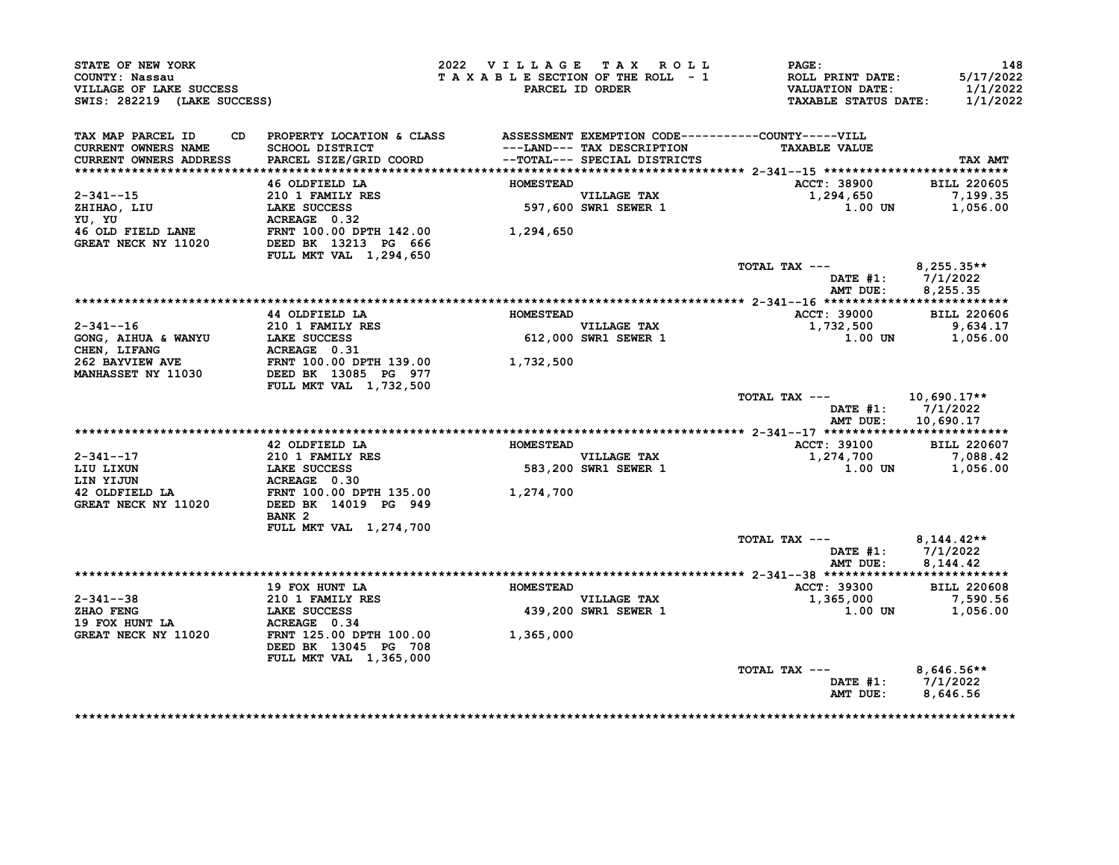| COUNTY: Nassau<br>VILLAGE OF LAKE SUCCESS<br>SWIS: 282219 (LAKE SUCCESS)         |                                                                                                                              |                  | 2022 VILLAGE TAX ROLL<br>TAXABLE SECTION OF THE ROLL - 1<br>PARCEL ID ORDER | <b>PAGE:</b><br>ROLL PRINT DATE:<br><b>VALUATION DATE:</b><br><b>TAXABLE STATUS DATE:</b> | 148<br>5/17/2022<br>1/1/2022<br>1/1/2022          |
|----------------------------------------------------------------------------------|------------------------------------------------------------------------------------------------------------------------------|------------------|-----------------------------------------------------------------------------|-------------------------------------------------------------------------------------------|---------------------------------------------------|
| TAX MAP PARCEL ID<br><b>CURRENT OWNERS NAME</b><br><b>CURRENT OWNERS ADDRESS</b> | CD PROPERTY LOCATION & CLASS ASSESSMENT EXEMPTION CODE----------COUNTY-----VILL<br>SCHOOL DISTRICT<br>PARCEL SIZE/GRID COORD |                  | ---LAND--- TAX DESCRIPTION<br>--TOTAL--- SPECIAL DISTRICTS                  | <b>TAXABLE VALUE</b>                                                                      | TAX AMT                                           |
|                                                                                  | 46 OLDFIELD LA                                                                                                               | <b>HOMESTEAD</b> |                                                                             | <b>ACCT: 38900</b>                                                                        | <b>BILL 220605</b>                                |
| $2 - 341 - -15$<br>$2-341$<br>ZHIHAO, LIU<br>YU, YU                              | 210 1 FAMILY RES<br>LAKE SUCCESS<br>ACREAGE 0.32                                                                             |                  | VILLAGE TAX<br>597,600 SWR1 SEWER 1                                         | 1,294,650<br>$1.00$ UN                                                                    | 7,199.35<br>1,056.00                              |
| 46 OLD FIELD LANE<br>GREAT NECK NY 11020                                         | FRNT 100.00 DPTH 142.00<br>DEED BK 13213 PG 666<br>FULL MKT VAL 1,294,650                                                    | 1,294,650        |                                                                             |                                                                                           |                                                   |
|                                                                                  |                                                                                                                              |                  |                                                                             | TOTAL TAX ---<br>DATE #1:<br>AMT DUE:                                                     | $8,255.35**$<br>7/1/2022<br>8,255.35              |
|                                                                                  |                                                                                                                              |                  |                                                                             |                                                                                           |                                                   |
|                                                                                  | 44 OLDFIELD LA                                                                                                               | <b>HOMESTEAD</b> |                                                                             | <b>ACCT: 39000</b>                                                                        | <b>BILL 220606</b>                                |
| $2 - 341 - - 16$                                                                 | 210 1 FAMILY RES                                                                                                             |                  | VILLAGE TAX                                                                 | 1,732,500                                                                                 | 9,634.17                                          |
| GONG, AIHUA & WANYU                                                              | <b>LAKE SUCCESS</b><br>ACREAGE 0.31                                                                                          |                  | 612,000 SWR1 SEWER 1                                                        | 1.00 UN                                                                                   | 1,056.00                                          |
| CHEN, LIFANG<br><b>262 BAYVIEW AVE</b>                                           | FRNT 100.00 DPTH 139.00                                                                                                      | 1,732,500        |                                                                             |                                                                                           |                                                   |
| <b>MANHASSET NY 11030</b>                                                        | DEED BK 13085 PG 977                                                                                                         |                  |                                                                             |                                                                                           |                                                   |
|                                                                                  | FULL MKT VAL 1,732,500                                                                                                       |                  |                                                                             |                                                                                           |                                                   |
|                                                                                  |                                                                                                                              |                  |                                                                             | TOTAL TAX ---<br>DATE $#1: 7/1/2022$<br>AMT DUE:                                          | $10,690.17**$<br>10,690.17                        |
|                                                                                  |                                                                                                                              |                  |                                                                             |                                                                                           |                                                   |
|                                                                                  | 42 OLDFIELD LA                                                                                                               | <b>HOMESTEAD</b> |                                                                             | <b>ACCT: 39100</b>                                                                        | <b>BILL 220607</b>                                |
| 2-341--17                                                                        | 210 1 FAMILY RES                                                                                                             |                  | <b>VILLAGE TAX</b>                                                          | 1,274,700                                                                                 | 7,088.42                                          |
|                                                                                  |                                                                                                                              |                  |                                                                             |                                                                                           |                                                   |
| LIU LIXUN                                                                        | <b>LAKE SUCCESS</b>                                                                                                          |                  | 583,200 SWR1 SEWER 1                                                        | 1.00 UN                                                                                   | 1,056.00                                          |
| LIN YIJUN                                                                        | ACREAGE 0.30                                                                                                                 |                  |                                                                             |                                                                                           |                                                   |
| 42 OLDFIELD LA<br>GREAT NECK NY 11020                                            | FRNT 100.00 DPTH 135.00<br>DEED BK 14019 PG 949<br>BANK <sub>2</sub>                                                         | 1,274,700        |                                                                             |                                                                                           |                                                   |
|                                                                                  | FULL MKT VAL 1,274,700                                                                                                       |                  |                                                                             |                                                                                           |                                                   |
|                                                                                  |                                                                                                                              |                  |                                                                             | TOTAL TAX ---<br>AMT DUE:                                                                 | $8,144.42**$<br>DATE $#1: 7/1/2022$<br>8, 144, 42 |
|                                                                                  |                                                                                                                              |                  |                                                                             |                                                                                           |                                                   |
|                                                                                  | 19 FOX HUNT LA                                                                                                               | <b>HOMESTEAD</b> |                                                                             | ACCT: 39300                                                                               | <b>BILL 220608</b>                                |
| $2 - 341 - - 38$                                                                 | 210 1 FAMILY RES                                                                                                             |                  | VILLAGE TAX                                                                 | 1,365,000                                                                                 | 7,590.56                                          |
| ZHAO FENG                                                                        | <b>LAKE SUCCESS</b>                                                                                                          |                  | 439,200 SWR1 SEWER 1                                                        | $1.00$ UN                                                                                 | 1,056.00                                          |
| 19 FOX HUNT LA<br>GREAT NECK NY 11020                                            | ACREAGE 0.34<br>FRNT 125.00 DPTH 100.00<br>DEED BK 13045 PG 708                                                              | 1,365,000        |                                                                             |                                                                                           |                                                   |
|                                                                                  | <b>FULL MKT VAL 1,365,000</b>                                                                                                |                  |                                                                             |                                                                                           |                                                   |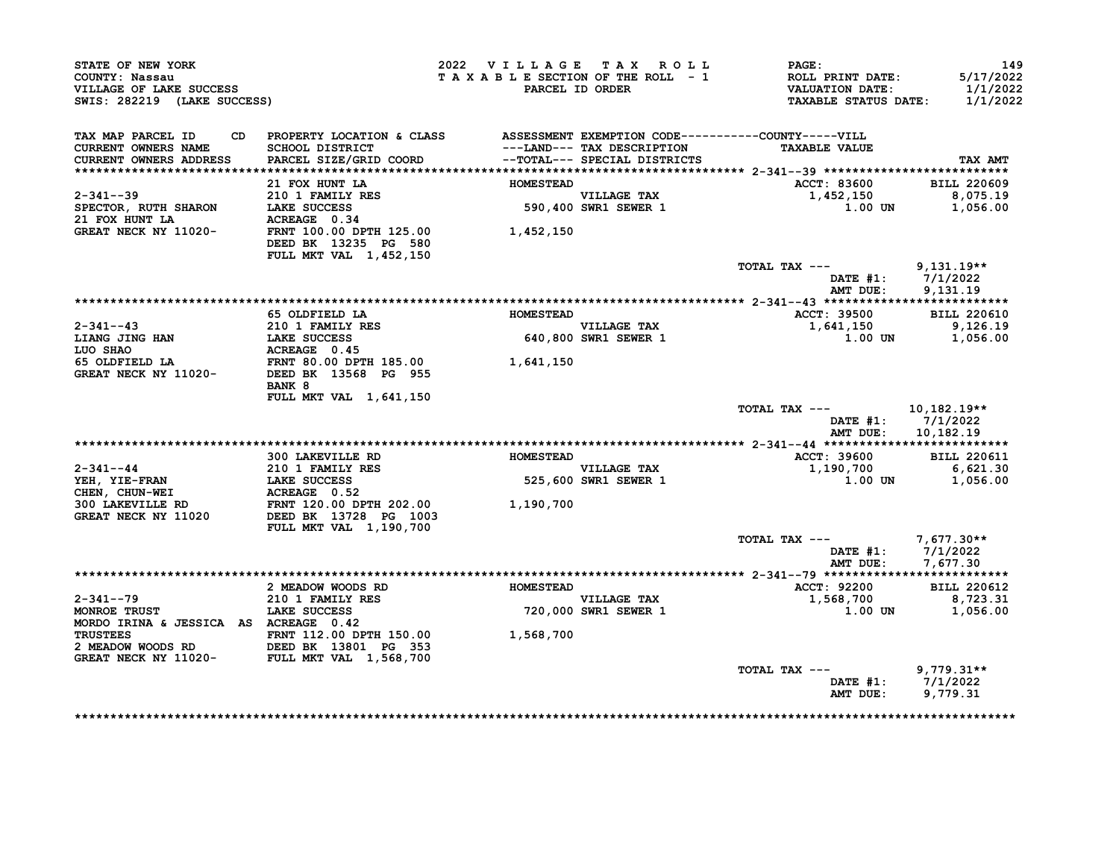| STATE OF NEW YORK<br>COUNTY: Nassau<br>VILLAGE OF LAKE SUCCESS<br>SWIS: 282219 (LAKE SUCCESS)                             |                                                                                                                                                                  | 2022 VILLAGE TAX ROLL<br>TAXABLE SECTION OF THE ROLL - 1 | PARCEL ID ORDER                     | <b>PAGE:</b><br>ROLL PRINT DATE:<br><b>VALUATION DATE:</b><br><b>TAXABLE STATUS DATE:</b> | 149<br>5/17/2022<br>1/1/2022<br>1/1/2022 |
|---------------------------------------------------------------------------------------------------------------------------|------------------------------------------------------------------------------------------------------------------------------------------------------------------|----------------------------------------------------------|-------------------------------------|-------------------------------------------------------------------------------------------|------------------------------------------|
| TAX MAP PARCEL ID<br><b>CURRENT OWNERS NAME</b><br><b>CURRENT OWNERS ADDRESS</b>                                          | CD PROPERTY LOCATION & CLASS ASSESSMENT EXEMPTION CODE----------COUNTY-----VILL<br><b>SCHOOL DISTRICT</b><br>PARCEL SIZE/GRID COORD --TOTAL--- SPECIAL DISTRICTS |                                                          | ---LAND--- TAX DESCRIPTION          | <b>TAXABLE VALUE</b>                                                                      | TAX AMT                                  |
|                                                                                                                           | 21 FOX HUNT LA                                                                                                                                                   | <b>HOMESTEAD</b>                                         |                                     | ACCT: 83600                                                                               | <b>BILL 220609</b>                       |
| $2 - 341 - -39$<br>SPECTOR, RUTH SHARON<br>21 FOX HUNT LA<br>GREAT NECK NY 11020-                                         | 210 1 FAMILY RES<br>LAKE SUCCESS<br>ACREAGE 0.34                                                                                                                 |                                                          | VILLAGE TAX<br>590,400 SWR1 SEWER 1 | 1,452,150<br>1.00 UN                                                                      | 8,075.19<br>1,056.00                     |
| GREAT NECK NY 11020-                                                                                                      | FRNT 100.00 DPTH 125.00<br>DEED BK 13235 PG 580<br>FULL MKT VAL 1,452,150                                                                                        | 1,452,150                                                |                                     |                                                                                           |                                          |
|                                                                                                                           |                                                                                                                                                                  |                                                          |                                     | TOTAL TAX ---<br>DATE $#1$ :<br>AMT DUE:                                                  | $9,131.19**$<br>7/1/2022<br>9,131.19     |
|                                                                                                                           |                                                                                                                                                                  |                                                          |                                     |                                                                                           |                                          |
|                                                                                                                           | 65 OLDFIELD LA                                                                                                                                                   | <b>HOMESTEAD</b>                                         |                                     | <b>ACCT: 39500</b>                                                                        | <b>BILL 220610</b>                       |
| $2 - 341 - -43$                                                                                                           | 210 1 FAMILY RES                                                                                                                                                 |                                                          | <b>VILLAGE TAX</b>                  | 1,641,150                                                                                 | 9,126.19                                 |
| <b>LIANG JING HAN</b>                                                                                                     | LAKE SUCCESS                                                                                                                                                     |                                                          | 640,800 SWR1 SEWER 1                | 1.00 UN                                                                                   | 1,056.00                                 |
|                                                                                                                           |                                                                                                                                                                  |                                                          |                                     |                                                                                           |                                          |
|                                                                                                                           | BANK 8                                                                                                                                                           | 1,641,150                                                |                                     |                                                                                           |                                          |
|                                                                                                                           | FULL MKT VAL 1,641,150                                                                                                                                           |                                                          |                                     | TOTAL TAX ---<br>DATE $#1: 7/1/2022$<br>AMT DUE:                                          | 10,182.19**<br>10,182.19                 |
|                                                                                                                           |                                                                                                                                                                  |                                                          |                                     |                                                                                           |                                          |
|                                                                                                                           | 300 LAKEVILLE RD                                                                                                                                                 | <b>HOMESTEAD</b>                                         |                                     | ACCT: 39600                                                                               | <b>BILL 220611</b>                       |
| 2-341--44<br>YEH, YIE-FRAN                                                                                                | 210 1 FAMILY RES<br>LAKE SUCCESS                                                                                                                                 |                                                          | <b>VILLAGE TAX</b>                  | 1,190,700                                                                                 | 6,621.30                                 |
| CHEN, CHUN-WEI<br>300 LAKEVILLE RD                                                                                        |                                                                                                                                                                  |                                                          | 525,600 SWR1 SEWER 1                | <b>1.00 UN</b>                                                                            | 1,056.00                                 |
| GREAT NECK NY 11020                                                                                                       | FULL MKT VAL 1,190,700                                                                                                                                           |                                                          |                                     |                                                                                           |                                          |
|                                                                                                                           |                                                                                                                                                                  |                                                          |                                     | TOTAL TAX ---<br>DATE #1: 7/1/2022                                                        | $7,677.30**$                             |
|                                                                                                                           |                                                                                                                                                                  |                                                          |                                     | AMT DUE:                                                                                  | 7,677.30                                 |
|                                                                                                                           |                                                                                                                                                                  | <b>HOMESTEAD</b>                                         |                                     |                                                                                           | <b>BILL 220612</b>                       |
| $2 - 341 - -79$                                                                                                           | 2 MEADOW WOODS RD<br><b>210 1 FAMILY RES</b>                                                                                                                     |                                                          | <b>VILLAGE TAX</b>                  | <b>ACCT: 92200</b><br>1,568,700                                                           | 8,723.31                                 |
| MONROE TRUST                                                                                                              | LAKE SUCCESS                                                                                                                                                     |                                                          | 720,000 SWR1 SEWER 1                | $1.00$ UN                                                                                 | 1,056.00                                 |
| MORDO IRINA & JESSICA AS ACREAGE 0.42                                                                                     |                                                                                                                                                                  |                                                          |                                     |                                                                                           |                                          |
|                                                                                                                           |                                                                                                                                                                  | 1,568,700                                                |                                     |                                                                                           |                                          |
| TRUSTEES FRNT 112.00 DPTH 150.00<br>2 MEADOW WOODS RD DEED BK 13801 PG 353<br>GREAT NECK NY 11020- FULL MKT VAL 1,568,700 |                                                                                                                                                                  |                                                          |                                     |                                                                                           |                                          |
|                                                                                                                           |                                                                                                                                                                  |                                                          |                                     | TOTAL TAX ---<br>DATE #1:<br>AMT DUE:                                                     | $9,779.31**$<br>7/1/2022<br>9,779.31     |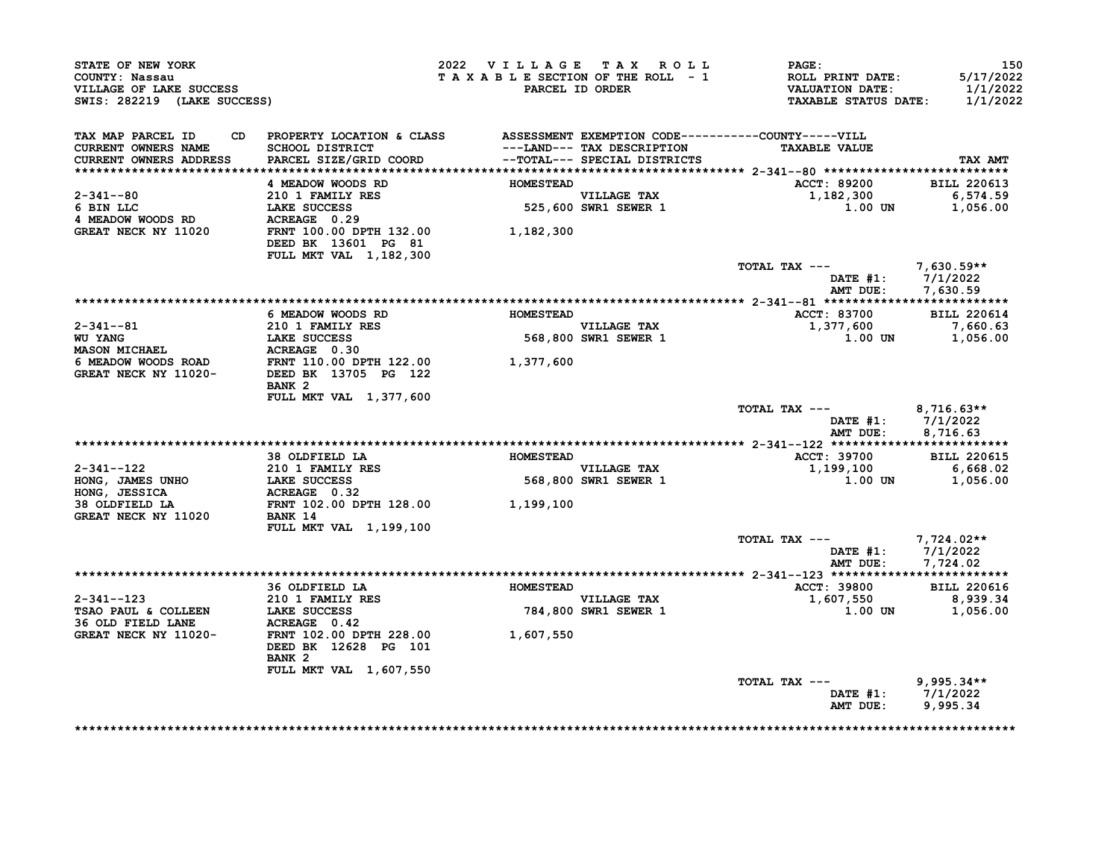| STATE OF NEW YORK<br>COUNTY: Nassau<br>VILLAGE OF LAKE SUCCESS<br>SWIS: 282219 (LAKE SUCCESS)                                                                                                                                                   |                                                                                                     | 2022 VILLAGE TAX ROLL |                                     | <b>PAGE :</b><br>T A X A B L E SECTION OF THE ROLL - 1 ROLL PRINT DATE:<br>PARCEL ID ORDER VALUATION DATE:<br>TAXABLE STATUS DATE: 1/1/2022 | 150<br>5/17/2022<br>1/1/2022  |
|-------------------------------------------------------------------------------------------------------------------------------------------------------------------------------------------------------------------------------------------------|-----------------------------------------------------------------------------------------------------|-----------------------|-------------------------------------|---------------------------------------------------------------------------------------------------------------------------------------------|-------------------------------|
| TAX MAP PARCEL ID CD PROPERTY LOCATION & CLASS ASSESSMENT EXEMPTION CODE-----------COUNTY-----VILL<br><b>CURRENT OWNERS NAME</b><br><b>CURRENT OWNERS ADDRESS</b>                                                                               | SCHOOL DISTRICT<br>PARCEL SIZE/GRID COORD<br>PARCEL SIZE/GRID COORD<br>--TOTAL--- SPECIAL DISTRICTS |                       |                                     | <b>TAXABLE VALUE</b>                                                                                                                        | TAX AMT                       |
|                                                                                                                                                                                                                                                 | 4 MEADOW WOODS RD                                                                                   | <b>HOMESTEAD</b>      |                                     | ACCT: 89200 BILL 220613                                                                                                                     |                               |
|                                                                                                                                                                                                                                                 |                                                                                                     |                       | VILLAGE TAX<br>525,600 SWR1 SEWER 1 | $1,182,300$ 6,574.59                                                                                                                        |                               |
|                                                                                                                                                                                                                                                 |                                                                                                     |                       |                                     | 1.00 UN                                                                                                                                     | 1,056.00                      |
| $\begin{tabular}{lllllllllllll} 2-341-80 & 2101 FAMILY RES & & & & \\ 6 BIN LLC & LAKE SUCCES & & & & \\ 4 MEADOW WOODS RD & ACREAGE & 0.29 & & \\ GREAT NECK NY 11020 & FRNT 100.00 DPTH 132.00 & & & \\ \end{tabular} \hspace{3.8cm} 525,600$ | DEED BK 13601 PG 81<br>FULL MKT VAL 1, 182, 300                                                     |                       |                                     |                                                                                                                                             |                               |
|                                                                                                                                                                                                                                                 |                                                                                                     |                       |                                     | TOTAL TAX --- 7,630.59**                                                                                                                    |                               |
|                                                                                                                                                                                                                                                 |                                                                                                     |                       |                                     | DATE #1: 7/1/2022                                                                                                                           |                               |
|                                                                                                                                                                                                                                                 |                                                                                                     |                       |                                     |                                                                                                                                             | AMT DUE: 7,630.59             |
|                                                                                                                                                                                                                                                 | 6 MEADOW WOODS RD                                                                                   | <b>HOMESTEAD</b>      |                                     | <b>ACCT: 83700</b>                                                                                                                          | <b>BILL 220614</b>            |
|                                                                                                                                                                                                                                                 |                                                                                                     |                       |                                     | 1,377,600                                                                                                                                   | 7,660.63                      |
|                                                                                                                                                                                                                                                 |                                                                                                     |                       |                                     | $1.00$ UN $1,056.00$                                                                                                                        |                               |
|                                                                                                                                                                                                                                                 |                                                                                                     |                       |                                     |                                                                                                                                             |                               |
|                                                                                                                                                                                                                                                 |                                                                                                     |                       |                                     |                                                                                                                                             |                               |
| 2-341--81<br>WU YANG<br>MU YANG<br>MASON MICHAEL ACREAGE 0.30<br>6 MEADOW WOODS ROAD<br>GREAT NECK NY 11020-<br>DEEL BK 13705 PG 122<br>TRIT 110.00 DPTH 122.00<br>CREAT NECK NY 11020-<br>DEEL BK 13705 PG 122                                 | BANK 2<br><b>FULL MKT VAL 1,377,600</b>                                                             |                       |                                     |                                                                                                                                             |                               |
|                                                                                                                                                                                                                                                 |                                                                                                     |                       |                                     | TOTAL TAX $---$ 8,716.63**                                                                                                                  |                               |
|                                                                                                                                                                                                                                                 |                                                                                                     |                       |                                     | DATE #1: 7/1/2022                                                                                                                           |                               |
|                                                                                                                                                                                                                                                 |                                                                                                     |                       |                                     |                                                                                                                                             | AMT DUE: 8,716.63             |
|                                                                                                                                                                                                                                                 |                                                                                                     |                       |                                     |                                                                                                                                             |                               |
|                                                                                                                                                                                                                                                 | 38 OLDFIELD LA <b>HOMESTEAD</b>                                                                     |                       |                                     | ACCT: 39700                                                                                                                                 | <b>BILL 220615</b>            |
|                                                                                                                                                                                                                                                 |                                                                                                     |                       | VILLAGE TAX<br>568,800 SWR1 SEWER 1 | 1,199,100<br>$1.00$ UN $1,056.00$                                                                                                           | 6,668.02                      |
|                                                                                                                                                                                                                                                 |                                                                                                     |                       |                                     |                                                                                                                                             |                               |
| 2-341--122 210 1 FAMILY RES<br>HONG, JAMES UNHO LAKE SUCCESS 568,800<br>HONG, JESSICA ACREAGE 0.32<br>38 OLDFIELD LA FRNT 102.00 DPTH 128.00 1,199,100<br>GREAT NECK NY 11020 BANK 14                                                           |                                                                                                     |                       |                                     |                                                                                                                                             |                               |
|                                                                                                                                                                                                                                                 |                                                                                                     |                       |                                     |                                                                                                                                             |                               |
|                                                                                                                                                                                                                                                 | FULL MKT VAL 1,199,100                                                                              |                       |                                     |                                                                                                                                             |                               |
|                                                                                                                                                                                                                                                 |                                                                                                     |                       |                                     | TOTAL TAX ---<br>DATE #1: 7/1/2022                                                                                                          |                               |
|                                                                                                                                                                                                                                                 |                                                                                                     |                       |                                     | AMT DUE: 7,724.02                                                                                                                           |                               |
|                                                                                                                                                                                                                                                 |                                                                                                     |                       |                                     |                                                                                                                                             |                               |
|                                                                                                                                                                                                                                                 |                                                                                                     |                       |                                     | <b>ACCT: 39800</b>                                                                                                                          | <b>BILL 220616</b>            |
|                                                                                                                                                                                                                                                 |                                                                                                     |                       |                                     | $1,607,550$<br>1,607,550<br>1.00 UN 1,056.00                                                                                                |                               |
|                                                                                                                                                                                                                                                 |                                                                                                     |                       |                                     |                                                                                                                                             |                               |
| GREAT NECK NY 11020-                                                                                                                                                                                                                            | FRNT 102.00 DPTH 228.00 1,607,550<br>DEED BK 12628 PG 101                                           |                       |                                     |                                                                                                                                             |                               |
|                                                                                                                                                                                                                                                 | BANK <sub>2</sub>                                                                                   |                       |                                     |                                                                                                                                             |                               |
|                                                                                                                                                                                                                                                 | FULL MKT VAL 1,607,550                                                                              |                       |                                     | TOTAL TAX ---                                                                                                                               | $9,995.34**$                  |
|                                                                                                                                                                                                                                                 |                                                                                                     |                       |                                     | AMT DUE:                                                                                                                                    | DATE #1: 7/1/2022<br>9,995.34 |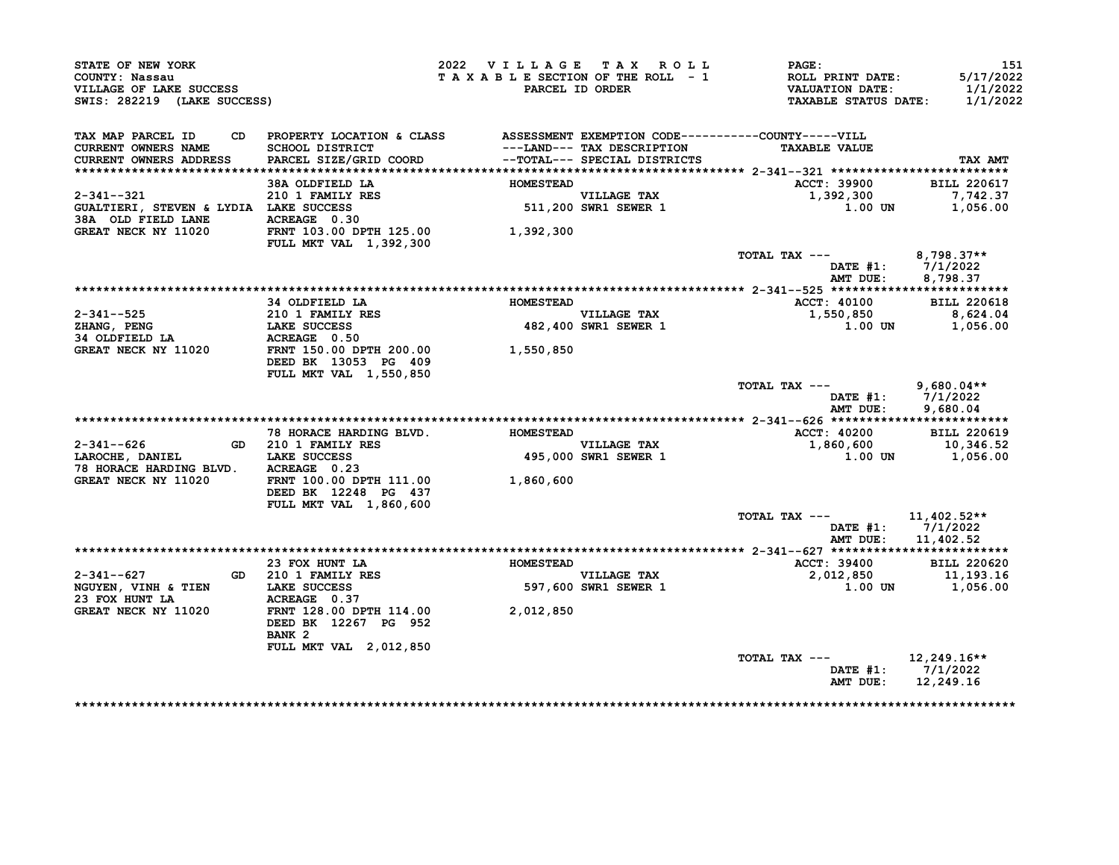| STATE OF NEW YORK<br>COUNTY: Nassau<br>VILLAGE OF LAKE SUCCESS<br>SWIS: 282219 (LAKE SUCCESS)                                                        |                                                                                                                                                                                                                                       | 2022 VILLAGE TAX ROLL |                                                           | $\mathtt{PAGE}$ :<br>T A X A B L E SECTION OF THE ROLL - 1 ROLL PRINT DATE:<br>PARCEL ID ORDER VALUATION DATE:<br><b>TAXABLE STATUS DATE:</b> | 151<br>5/17/2022<br>1/1/2022<br>1/1/2022 |
|------------------------------------------------------------------------------------------------------------------------------------------------------|---------------------------------------------------------------------------------------------------------------------------------------------------------------------------------------------------------------------------------------|-----------------------|-----------------------------------------------------------|-----------------------------------------------------------------------------------------------------------------------------------------------|------------------------------------------|
| TAX MAP PARCEL ID<br>CURRENT OWNERS NAME<br>CURRENT OWNERS ADDRESS                                                                                   | CD PROPERTY LOCATION & CLASS ASSESSMENT EXEMPTION CODE-----------COUNTY-----VILL<br>SCHOOL DISTRICT                                     ---LAND--- TAX DESCRIPTION<br>PARCEL SIZE/GRID COORD             --TOTAL--- SPECIAL DISTRICTS |                       |                                                           | <b>TAXABLE VALUE</b>                                                                                                                          | TAX AMT                                  |
|                                                                                                                                                      | 38A OLDFIELD LA                                                                                                                                                                                                                       | <b>HOMESTEAD</b>      |                                                           | ACCT: 39900                                                                                                                                   | <b>BILL 220617</b>                       |
| 2-341--321 210 1 FAMILY RES<br>GUALTIERI, STEVEN & LYDIA LAKE SUCCESS<br>38A OLD FIELD LANE ACREAGE 0.30<br>GREAT NECK NY 11000 ----- ----- 100      |                                                                                                                                                                                                                                       |                       | VILLAGE TAX<br>511,200 SWR1 SEWER 1                       | 1,392,300<br>1.00 UN                                                                                                                          | 7,742.37<br>1,056.00                     |
| GREAT NECK NY 11020                                                                                                                                  |                                                                                                                                                                                                                                       | 1,392,300             |                                                           |                                                                                                                                               |                                          |
|                                                                                                                                                      | FRNT 103.00 DPTH 125.00<br>FULL MKT VAL 1.392.300<br><b>FULL MKT VAL 1,392,300</b>                                                                                                                                                    |                       |                                                           |                                                                                                                                               |                                          |
|                                                                                                                                                      |                                                                                                                                                                                                                                       |                       |                                                           | TOTAL TAX --- $8,798.37**$<br>DATE #1: 7/1/2022<br>AMT DUE: 8,798.37                                                                          |                                          |
|                                                                                                                                                      |                                                                                                                                                                                                                                       |                       |                                                           |                                                                                                                                               |                                          |
|                                                                                                                                                      | 34 OLDFIELD LA                                                                                                                                                                                                                        | <b>HOMESTEAD</b>      |                                                           | ACCT: 40100 BILL 220618                                                                                                                       |                                          |
|                                                                                                                                                      |                                                                                                                                                                                                                                       |                       | VILLAGE TAX<br>482,400 SWR1 SEWER 1                       | 1,550,850 8,624.04<br>1.00 UN 1,056.00                                                                                                        |                                          |
|                                                                                                                                                      |                                                                                                                                                                                                                                       |                       |                                                           |                                                                                                                                               |                                          |
|                                                                                                                                                      |                                                                                                                                                                                                                                       |                       |                                                           |                                                                                                                                               |                                          |
| 2-341--525 210 1 FAMILY RES<br>2HANG, PENG LAKE SUCCESS 482,400<br>34 OLDFIELD LA ACREAGE 0.50 GREAT NECK NY 11020 FRNT 150.00 DPTH 200.00 1,550,850 | DEED BK 13053 PG 409<br>FULL MKT VAL 1,550,850                                                                                                                                                                                        |                       |                                                           |                                                                                                                                               |                                          |
|                                                                                                                                                      |                                                                                                                                                                                                                                       |                       |                                                           | TOTAL TAX $---$ 9,680.04**<br>DATE #1: 7/1/2022                                                                                               |                                          |
|                                                                                                                                                      |                                                                                                                                                                                                                                       |                       |                                                           | AMT DUE:                                                                                                                                      | 9,680.04                                 |
|                                                                                                                                                      | 78 HORACE HARDING BLVD.                                                                                                                                                                                                               | <b>HOMESTEAD</b>      |                                                           | ACCT: 40200 BILL 220619                                                                                                                       |                                          |
|                                                                                                                                                      | GD 210 1 FAMILY RES                                                                                                                                                                                                                   |                       |                                                           |                                                                                                                                               |                                          |
|                                                                                                                                                      |                                                                                                                                                                                                                                       |                       | VILLAGE TAX<br>495,000 SWR1 SEWER 1                       | $1,860,600$<br>1,860,600<br>1.00 UN 1,056.00                                                                                                  |                                          |
| 78 HORACE HARDING BLVD. ACREAGE 0.23                                                                                                                 |                                                                                                                                                                                                                                       |                       |                                                           |                                                                                                                                               |                                          |
| GREAT NECK NY 11020                                                                                                                                  | FRNT 100.00 DPTH 111.00 1,860,600<br>DEED BK 12248 PG 437                                                                                                                                                                             |                       |                                                           |                                                                                                                                               |                                          |
|                                                                                                                                                      | FULL MKT VAL 1,860,600                                                                                                                                                                                                                |                       |                                                           |                                                                                                                                               |                                          |
|                                                                                                                                                      |                                                                                                                                                                                                                                       |                       |                                                           | TOTAL TAX --- $11,402.52**$<br>DATE #1: 7/1/2022<br>AMT DUE:                                                                                  | 11,402.52                                |
|                                                                                                                                                      |                                                                                                                                                                                                                                       |                       |                                                           |                                                                                                                                               |                                          |
|                                                                                                                                                      | 23 FOX HUNT LA                                                                                                                                                                                                                        | <b>HOMESTEAD</b>      |                                                           | ACCT: 39400 BILL 220620                                                                                                                       |                                          |
| 2-341--627                                                                                                                                           |                                                                                                                                                                                                                                       |                       | <b>VILLAGE TAX</b><br>VILLAGE TAX<br>597,600 SWR1 SEWER 1 | 2,012,850 11,193.16<br>1.00 UN 1,056.00                                                                                                       |                                          |
| NGUYEN, VINH & TIEN LAKE SUCCESS                                                                                                                     | GD 210 1 FAMILY RES<br>LAKE SUCCESS<br>ACREAGE 0.37                                                                                                                                                                                   |                       |                                                           |                                                                                                                                               |                                          |
| 23 FOX HUNT LA                                                                                                                                       |                                                                                                                                                                                                                                       |                       |                                                           |                                                                                                                                               |                                          |
| GREAT NECK NY 11020                                                                                                                                  | FRNT 128.00 DPTH 114.00 2,012,850<br>DEED BK 12267 PG 952<br>BANK <sub>2</sub>                                                                                                                                                        |                       |                                                           |                                                                                                                                               |                                          |
|                                                                                                                                                      | FULL MKT VAL 2,012,850                                                                                                                                                                                                                |                       |                                                           |                                                                                                                                               |                                          |
|                                                                                                                                                      |                                                                                                                                                                                                                                       |                       |                                                           | TOTAL TAX --- $12,249.16**$                                                                                                                   |                                          |
|                                                                                                                                                      |                                                                                                                                                                                                                                       |                       |                                                           | DATE #1: 7/1/2022<br>AMT DUE:                                                                                                                 | 12,249.16                                |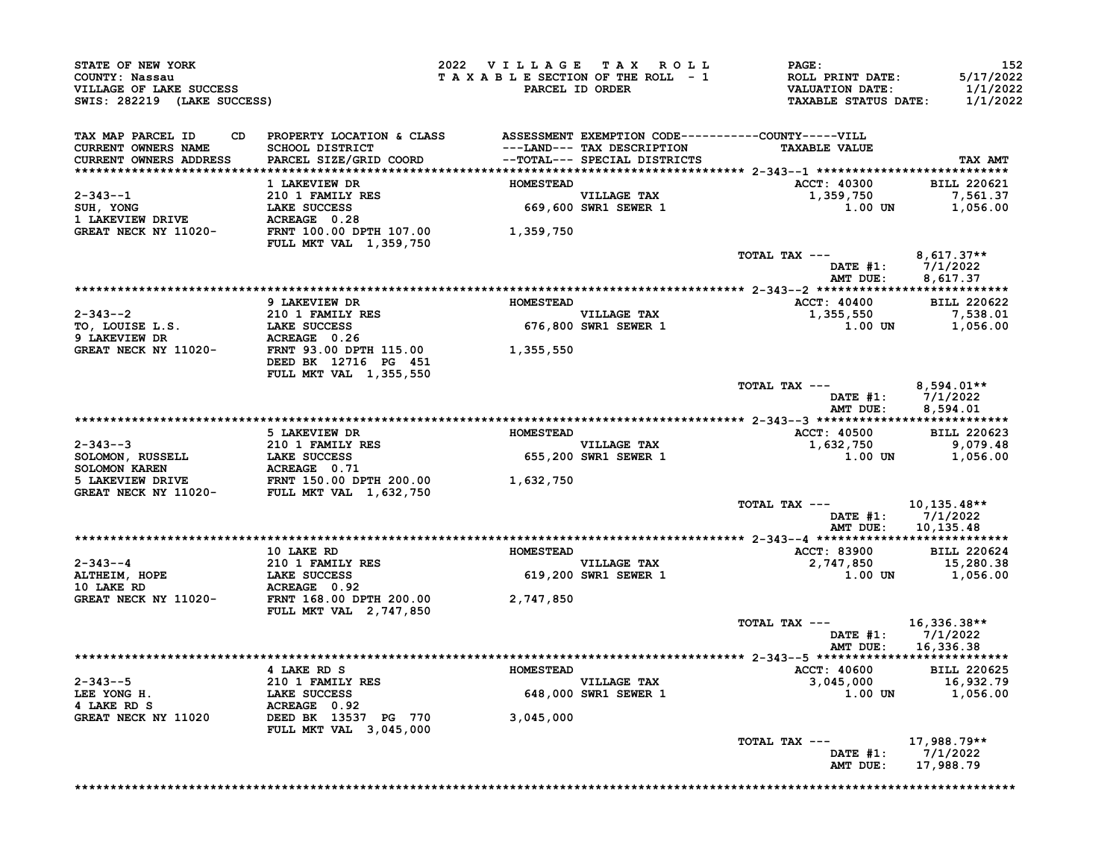| STATE OF NEW YORK<br>COUNTY: Nassau<br>VILLAGE OF LAKE SUCCESS<br>SWIS: 282219 (LAKE SUCCESS)                                                                                                                                                            |                                                                                 | 2022 VILLAGE TAX ROLL<br>TAXABLE SECTION OF THE ROLL - 1 | PARCEL ID ORDER                     | <b>PAGE :</b><br><b>ROLL PRINT DATE:<br/>VALUATION DATE:</b><br><b>TAXABLE STATUS DATE:</b> | 152<br>5/17/2022<br>1/1/2022<br>1/1/2022 |
|----------------------------------------------------------------------------------------------------------------------------------------------------------------------------------------------------------------------------------------------------------|---------------------------------------------------------------------------------|----------------------------------------------------------|-------------------------------------|---------------------------------------------------------------------------------------------|------------------------------------------|
| TAX MAP PARCEL ID<br><b>CURRENT OWNERS NAME</b><br>CURRENT OWNERS ADDRESS                                                                                                                                                                                | CD PROPERTY LOCATION & CLASS ASSESSMENT EXEMPTION CODE----------COUNTY-----VILL |                                                          |                                     | <b>TAXABLE VALUE</b>                                                                        | TAX AMT                                  |
|                                                                                                                                                                                                                                                          | 1 LAKEVIEW DR                                                                   | <b>HOMESTEAD</b>                                         |                                     | ACCT: 40300 BILL 220621                                                                     |                                          |
|                                                                                                                                                                                                                                                          |                                                                                 |                                                          | VILLAGE TAX<br>669,600 SWR1 SEWER 1 | 1,359,750                                                                                   | 7,561.37                                 |
|                                                                                                                                                                                                                                                          |                                                                                 |                                                          |                                     | 1.00 UN                                                                                     | 1,056.00                                 |
|                                                                                                                                                                                                                                                          |                                                                                 |                                                          |                                     |                                                                                             |                                          |
| 2-343--1<br>SUH, YONG<br>1 LAKEVIEW DRIVE<br>1 LAKEVIEW DRIVE<br>GREAT NECK NY 11020-<br>FRNT 100.00 DPTH 107.00<br>1,359,750                                                                                                                            | FULL MKT VAL 1,359,750                                                          |                                                          |                                     |                                                                                             |                                          |
|                                                                                                                                                                                                                                                          |                                                                                 |                                                          |                                     | TOTAL TAX ---<br>DATE #1: 7/1/2022<br>AMT DUE: 8,617.37                                     | $8,617.37**$                             |
|                                                                                                                                                                                                                                                          | 9 LAKEVIEW DR                                                                   | <b>HOMESTEAD</b>                                         |                                     | ACCT: 40400 BILL 220622                                                                     |                                          |
|                                                                                                                                                                                                                                                          |                                                                                 |                                                          | VILLAGE TAX                         | 1,355,550                                                                                   |                                          |
|                                                                                                                                                                                                                                                          |                                                                                 |                                                          | VILLAGE TAX<br>676,800 SWR1 SEWER 1 | 1,355,550<br>1.00 UN 1,056.00                                                               |                                          |
| 2-343--2<br>TO, LOUISE L.S.<br>210 1 FAMILY RES<br>210 1 FAMILY RES<br>210 1 FAMILY RES<br>210 1 FAMILY RES<br>210 1 FAMILY RES<br>210 1 FAMILY RES<br>210 1 FAMILY RES<br>210 1 FAMILY RES<br>210 1 FAMILY RES<br>210 1 FAMILY RES<br>210 16 PG 451<br> | FULL MKT VAL 1,355,550                                                          |                                                          |                                     |                                                                                             |                                          |
|                                                                                                                                                                                                                                                          |                                                                                 |                                                          |                                     | TOTAL TAX ---                                                                               | $8,594.01**$                             |
|                                                                                                                                                                                                                                                          |                                                                                 |                                                          |                                     | DATE #1: 7/1/2022<br>AMT DUE: 8,594.01                                                      |                                          |
|                                                                                                                                                                                                                                                          |                                                                                 |                                                          |                                     |                                                                                             |                                          |
|                                                                                                                                                                                                                                                          | 5 LAKEVIEW DR                                                                   | HOMESTEAD                                                |                                     | <b>ACCT: 40500</b>                                                                          | BILL 220623                              |
|                                                                                                                                                                                                                                                          |                                                                                 |                                                          | VILLAGE TAX<br>655,200 SWR1 SEWER 1 | 1,632,750 9,079.48<br>1.00 UN 1,056.00                                                      |                                          |
|                                                                                                                                                                                                                                                          |                                                                                 |                                                          |                                     |                                                                                             |                                          |
|                                                                                                                                                                                                                                                          |                                                                                 | 1,632,750                                                |                                     |                                                                                             |                                          |
|                                                                                                                                                                                                                                                          |                                                                                 |                                                          |                                     | TOTAL TAX ---<br>DATE #1: 7/1/2022<br>AMT DUE: 10,135.48                                    | 10,135.48**                              |
|                                                                                                                                                                                                                                                          |                                                                                 |                                                          |                                     |                                                                                             |                                          |
|                                                                                                                                                                                                                                                          | 10 LAKE RD                                                                      | <b>HOMESTEAD</b>                                         |                                     | <b>ACCT: 83900</b><br>2,747,850                                                             | <b>BILL 220624</b>                       |
|                                                                                                                                                                                                                                                          |                                                                                 |                                                          | VILLAGE TAX<br>619,200 SWR1 SEWER 1 | 1.00 UN                                                                                     | 15,280.38<br>1,056.00                    |
|                                                                                                                                                                                                                                                          |                                                                                 |                                                          |                                     |                                                                                             |                                          |
| 2-343--4<br>ALTHEIM, HOPE<br>10 LAKE SUCCESS<br>10 LAKE RD<br>GREAT NECK NY 11020-<br>FRNT 168.00 DPTH 200.00<br>FRNT 168.00 DPTH 200.00                                                                                                                 | <b>FULL MKT VAL 2,747,850</b>                                                   | 2,747,850                                                |                                     |                                                                                             |                                          |
|                                                                                                                                                                                                                                                          |                                                                                 |                                                          |                                     | TOTAL TAX ---<br>DATE #1: 7/1/2022<br>AMT DUE: 16,336.38                                    | $16,336.38**$                            |
|                                                                                                                                                                                                                                                          |                                                                                 |                                                          |                                     |                                                                                             |                                          |
|                                                                                                                                                                                                                                                          | 4 LAKE RD S                                                                     | <b>HOMESTEAD</b>                                         |                                     | <b>ACCT: 40600</b>                                                                          | <b>BILL 220625</b>                       |
|                                                                                                                                                                                                                                                          |                                                                                 |                                                          | VILLAGE TAX<br>648,000 SWR1 SEWER 1 | $\frac{16}{9}$ , 045, 000                                                                   |                                          |
|                                                                                                                                                                                                                                                          |                                                                                 |                                                          |                                     | 1.00 UN                                                                                     | 1,056.00                                 |
| 2-343--5<br>LEE YONG H.<br>210 1 FAMILY RES<br>1 LAKE SUCCESS<br>4 LAKE RD S<br>GREAT NECK NY 11020<br>DEED BK 13537 PG 770 3,045,000                                                                                                                    |                                                                                 |                                                          |                                     |                                                                                             |                                          |
|                                                                                                                                                                                                                                                          | <b>FULL MKT VAL 3,045,000</b>                                                   |                                                          |                                     |                                                                                             |                                          |
|                                                                                                                                                                                                                                                          |                                                                                 |                                                          |                                     | TOTAL TAX ---<br>DATE $#1: 7/1/2022$                                                        | $17,988.79**$                            |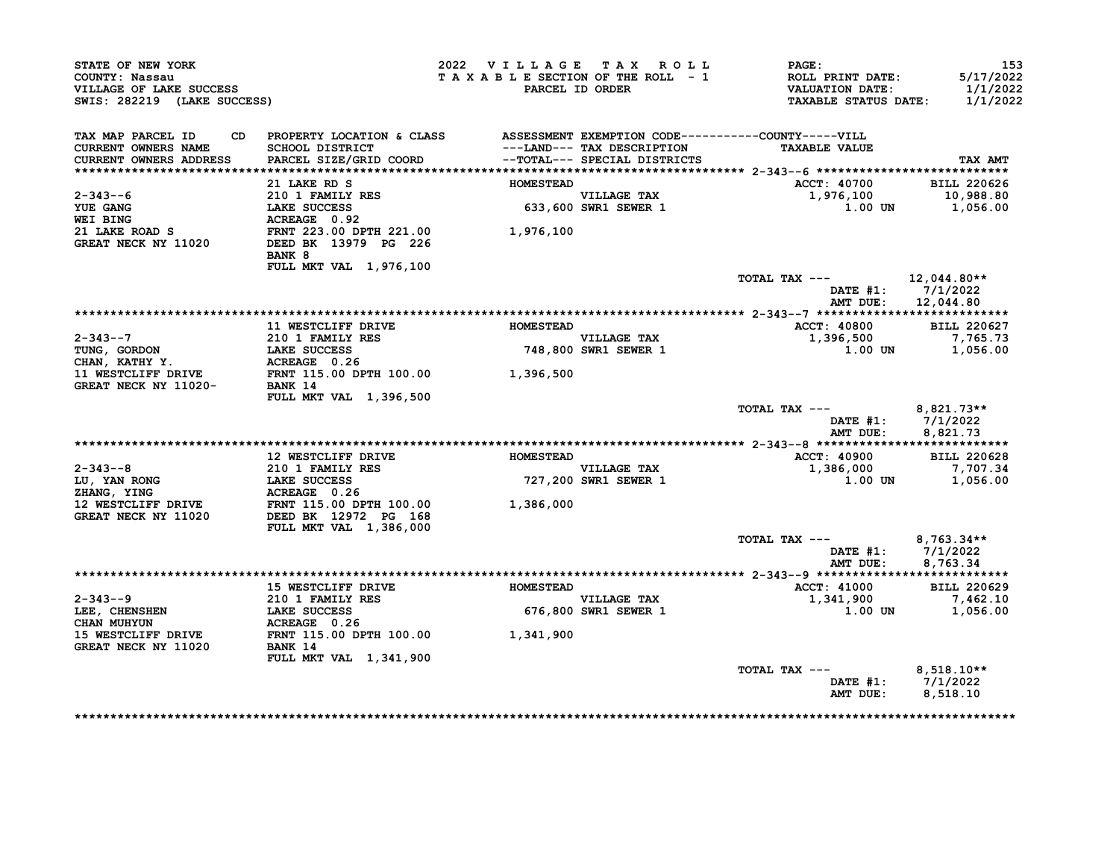| STATE OF NEW YORK<br>COUNTY: Nassau<br>VILLAGE OF LAKE SUCCESS<br>SWIS: 282219 (LAKE SUCCESS)                                                                                                                                                          |                                                                                                                                                                                                                                    | 2022 VILLAGE TAX ROLL |                                                           | <b>PAGE :</b><br>TAXABLE SECTION OF THE ROLL - 1 ROLL PRINT DATE:<br>PARCEL ID ORDER VALUATION DATE:<br><b>TAXABLE STATUS DATE:</b> | 153<br>5/17/2022<br>1/1/2022<br>1/1/2022  |
|--------------------------------------------------------------------------------------------------------------------------------------------------------------------------------------------------------------------------------------------------------|------------------------------------------------------------------------------------------------------------------------------------------------------------------------------------------------------------------------------------|-----------------------|-----------------------------------------------------------|-------------------------------------------------------------------------------------------------------------------------------------|-------------------------------------------|
| TAX MAP PARCEL ID<br>CURRENT OWNERS NAME<br>CURRENT OWNERS ADDRESS                                                                                                                                                                                     | CD PROPERTY LOCATION & CLASS ASSESSMENT EXEMPTION CODE----------COUNTY-----VILL<br>SCHOOL DISTRICT                                   ---LAND--- TAX DESCRIPTION<br>PARCEL SIZE/GRID COORD             --TOTAL--- SPECIAL DISTRICTS |                       | ---LAND--- TAX DESCRIPTION                                | <b>TAXABLE VALUE</b>                                                                                                                | TAX AMT                                   |
|                                                                                                                                                                                                                                                        | 21 LAKE RD S                                                                                                                                                                                                                       | <b>HOMESTEAD</b>      |                                                           | ACCT: 40700                                                                                                                         | <b>BILL 220626</b>                        |
| 2-343--6<br><b>YUE GANG</b><br><b>WEI BING</b>                                                                                                                                                                                                         | 210 1 FAMILY RES<br>210 1 FAMILY RES<br>LAKE SUCCESS 633,600<br>ACREAGE 0.92<br>FRNT 223.00 DPTH 221.00 1,976,100<br>DEED BK 13979 PG 226                                                                                          |                       | VILLAGE TAX<br>633,600 SWR1 SEWER 1                       | 1,976,100                                                                                                                           | 10,988.80<br>1.00 UN 1,056.00             |
| 21 LAKE ROAD S<br><b>GREAT NECK NY 11020</b>                                                                                                                                                                                                           | BANK 8<br>FULL MKT VAL 1,976,100                                                                                                                                                                                                   |                       |                                                           |                                                                                                                                     |                                           |
|                                                                                                                                                                                                                                                        |                                                                                                                                                                                                                                    |                       |                                                           | TOTAL TAX $---$ 12,044.80**                                                                                                         | DATE $#1: 7/1/2022$<br>AMT DUE: 12,044.80 |
|                                                                                                                                                                                                                                                        |                                                                                                                                                                                                                                    |                       |                                                           |                                                                                                                                     |                                           |
|                                                                                                                                                                                                                                                        | <b>11 WESTCLIFF DRIVE</b>                                                                                                                                                                                                          | <b>HOMESTEAD</b>      |                                                           | <b>ACCT: 40800</b>                                                                                                                  | <b>BILL 220627</b>                        |
|                                                                                                                                                                                                                                                        |                                                                                                                                                                                                                                    |                       | <b>VILLAGE TAX</b><br>VILLAGE TAX<br>748,800 SWR1 SEWER 1 | 1,396,500                                                                                                                           | 7,765.73<br>1.00 UN 1,056.00              |
|                                                                                                                                                                                                                                                        |                                                                                                                                                                                                                                    |                       |                                                           |                                                                                                                                     |                                           |
|                                                                                                                                                                                                                                                        | FULL MKT VAL 1,396,500                                                                                                                                                                                                             |                       |                                                           | TOTAL TAX --- $8,821.73**$<br>AMT DUE:                                                                                              | DATE #1: 7/1/2022<br>8,821.73             |
|                                                                                                                                                                                                                                                        |                                                                                                                                                                                                                                    |                       |                                                           |                                                                                                                                     |                                           |
|                                                                                                                                                                                                                                                        | 12 WESTCLIFF DRIVE                                                                                                                                                                                                                 | <b>HOMESTEAD</b>      |                                                           | <b>ACCT: 40900</b>                                                                                                                  | <b>BILL 220628</b>                        |
|                                                                                                                                                                                                                                                        |                                                                                                                                                                                                                                    |                       | VILLAGE TAX<br>727,200 SWR1 SEWER 1                       | $1,386,000$ $7,707.34$<br>$1,00.17$<br>$1,056,00$                                                                                   |                                           |
| 2-343--8<br>LU, YAN RONG<br>Z10 1 FAMILY RES<br>Z10 1 FAMILY RES<br>Z10 1 FAMILY RES<br>Z10 1 FAMILY RES<br>RESPONGERE 0.26<br>210 1 FAMILY RES<br>CREAT NECK NY 11020<br>GREAT NECK NY 11020<br>DEED BK 12972 PG 168<br>CREAT NECK NY 11020<br>DEED B |                                                                                                                                                                                                                                    |                       |                                                           | 1.00 UN                                                                                                                             | 1,056.00                                  |
|                                                                                                                                                                                                                                                        | FULL MKT VAL 1,386,000                                                                                                                                                                                                             |                       |                                                           |                                                                                                                                     |                                           |
|                                                                                                                                                                                                                                                        |                                                                                                                                                                                                                                    |                       |                                                           | TOTAL TAX --- $8,763.34**$<br>AMT DUE:                                                                                              | DATE #1: 7/1/2022<br>8,763.34             |
|                                                                                                                                                                                                                                                        |                                                                                                                                                                                                                                    |                       |                                                           |                                                                                                                                     |                                           |
|                                                                                                                                                                                                                                                        | <b>15 WESTCLIFF DRIVE</b>                                                                                                                                                                                                          | <b>HOMESTEAD</b>      |                                                           | <b>ACCT: 41000</b>                                                                                                                  | <b>BILL 220629</b>                        |
|                                                                                                                                                                                                                                                        |                                                                                                                                                                                                                                    |                       | VILLAGE TAX<br>676,800 SWR1 SEWER 1                       | 1,341,900                                                                                                                           | 7,462.10<br>1.00 UN 1.056.00              |
| 2-343--9<br>LEE, CHENSHEN<br>CHAN MUHYUN LAKE SUCCESS<br>CHAN MUHYUN ACREAGE 0.26<br>15 WESTCLIFF DRIVE FRNT 115.00 DPTH 100.00<br>GREAT NECK NY 11020<br>BANK 14                                                                                      |                                                                                                                                                                                                                                    |                       |                                                           |                                                                                                                                     |                                           |
|                                                                                                                                                                                                                                                        | <b>FULL MKT VAL 1,341,900</b>                                                                                                                                                                                                      |                       |                                                           | TOTAL TAX $---$ 8,518.10**                                                                                                          | DATE #1: 7/1/2022                         |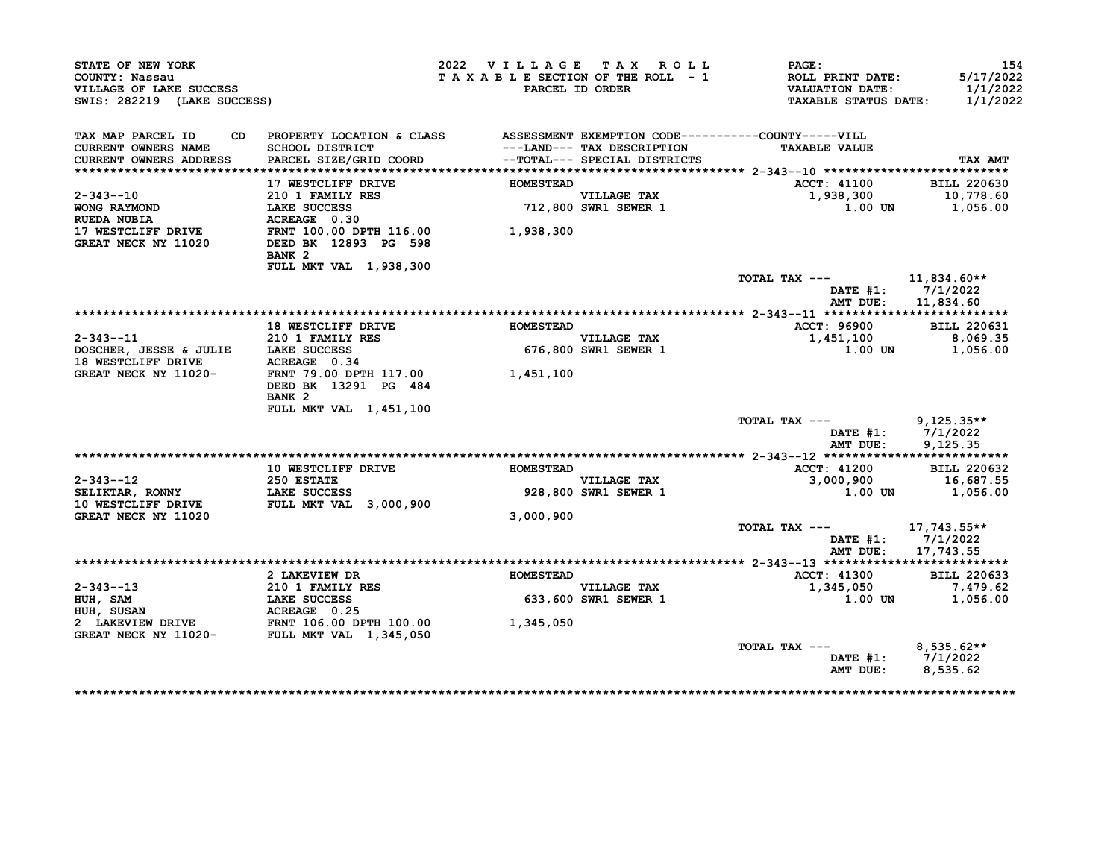| STATE OF NEW YORK<br>COUNTY: Nassau<br>VILLAGE OF LAKE SUCCESS<br>SWIS: 282219 (LAKE SUCCESS)                                                                                  |                                                                                 |                  | 2022 VILLAGE TAX ROLL<br>TAXABLE SECTION OF THE ROLL - 1<br>PARCEL ID ORDER | $\mathtt{PAGE}$ :<br>ROLL PRINT DATE:<br>VALUATION DATE:<br>TAXABLE STATUS DATE: | 154<br>5/17/2022<br>1/1/2022<br>1/1/2022 |
|--------------------------------------------------------------------------------------------------------------------------------------------------------------------------------|---------------------------------------------------------------------------------|------------------|-----------------------------------------------------------------------------|----------------------------------------------------------------------------------|------------------------------------------|
| TAX MAP PARCEL ID                                                                                                                                                              | CD PROPERTY LOCATION & CLASS ASSESSMENT EXEMPTION CODE----------COUNTY-----VILL |                  |                                                                             |                                                                                  |                                          |
| CURRENT OWNERS NAME<br>CURRENT OWNERS ADDRESS                                                                                                                                  | <b>SCHOOL DISTRICT</b><br>PARCEL SIZE/GRID COORD                                |                  | ---LAND--- TAX DESCRIPTION<br>--TOTAL--- SPECIAL DISTRICTS                  | <b>TAXABLE VALUE</b>                                                             | TAX AMT                                  |
|                                                                                                                                                                                |                                                                                 |                  |                                                                             |                                                                                  |                                          |
|                                                                                                                                                                                | 17 WESTCLIFF DRIVE                                                              | <b>HOMESTEAD</b> |                                                                             | <b>ACCT: 41100</b>                                                               | <b>BILL 220630</b>                       |
| $2 - 343 - -10$                                                                                                                                                                |                                                                                 |                  | VILLAGE TAX<br>712,800 SWR1 SEWER 1                                         | 1,938,300<br>1.00 UN                                                             | 10,778.60                                |
| WONG RAYMOND                                                                                                                                                                   | 210 1 FAMILY RES<br>LAKE SUCCESS<br>ACREAGE 0.30<br>LAKE SUCCESS                |                  |                                                                             |                                                                                  | 1,056.00                                 |
| <b>RUEDA NUBIA</b>                                                                                                                                                             | ACREAGE 0.30                                                                    |                  |                                                                             |                                                                                  |                                          |
| 17 WESTCLIFF DRIVE FRNT 100.00 DPTH 116.00 1,938,300<br>GREAT NECK NY 11020 DEED BK 12893 PG 598                                                                               | BANK <sub>2</sub>                                                               |                  |                                                                             |                                                                                  |                                          |
|                                                                                                                                                                                | FULL MKT VAL 1,938,300                                                          |                  |                                                                             |                                                                                  |                                          |
|                                                                                                                                                                                |                                                                                 |                  |                                                                             | TOTAL TAX ---                                                                    | 11,834.60**<br>DATE #1: 7/1/2022         |
|                                                                                                                                                                                |                                                                                 |                  |                                                                             | AMT DUE:                                                                         | 11,834.60                                |
|                                                                                                                                                                                |                                                                                 |                  |                                                                             |                                                                                  |                                          |
|                                                                                                                                                                                | 18 WESTCLIFF DRIVE                                                              | <b>HOMESTEAD</b> |                                                                             | ACCT: 96900                                                                      | <b>BILL 220631</b>                       |
| $2 - 343 - -11$                                                                                                                                                                | <b>210 1 FAMILY RES</b>                                                         |                  | VILLAGE TAX<br>676,800 SWR1 SEWER 1                                         | 1,451,100                                                                        | 8,069.35                                 |
| DOSCHER, JESSE & JULIE LAKE SUCCESS<br>18 WESTCLIFF DRIVE ACREAGE 0.34                                                                                                         |                                                                                 |                  |                                                                             | 1.00 UN 1,056.00                                                                 |                                          |
| GREAT NECK NY 11020-                                                                                                                                                           | FRNT 79.00 DPTH 117.00 1,451,100                                                |                  |                                                                             |                                                                                  |                                          |
|                                                                                                                                                                                | DEED BK 13291 PG 484<br>BANK <sub>2</sub>                                       |                  |                                                                             |                                                                                  |                                          |
|                                                                                                                                                                                | FULL MKT VAL 1,451,100                                                          |                  |                                                                             |                                                                                  |                                          |
|                                                                                                                                                                                |                                                                                 |                  |                                                                             | TOTAL TAX --- $9,125.35**$                                                       |                                          |
|                                                                                                                                                                                |                                                                                 |                  |                                                                             | DATE $#1: 7/1/2022$                                                              |                                          |
|                                                                                                                                                                                |                                                                                 |                  |                                                                             | AMT DUE:                                                                         | 9.125.35                                 |
|                                                                                                                                                                                |                                                                                 |                  |                                                                             |                                                                                  |                                          |
|                                                                                                                                                                                |                                                                                 |                  |                                                                             |                                                                                  |                                          |
|                                                                                                                                                                                | 10 WESTCLIFF DRIVE <b>MARGING HOMESTEAD</b>                                     |                  |                                                                             | <b>ACCT: 41200</b>                                                               | <b>BILL 220632</b>                       |
|                                                                                                                                                                                |                                                                                 |                  | <b>VILLAGE TAX</b>                                                          | 3,000,900 16,687.55                                                              |                                          |
|                                                                                                                                                                                | 250 ESTATE<br>LAKE SUCCESS                                                      |                  | VILLAGE TAX<br>928,800 SWR1 SEWER 1                                         | 1.00 UN                                                                          | 1,056.00                                 |
|                                                                                                                                                                                |                                                                                 |                  |                                                                             |                                                                                  |                                          |
| 2-343--12<br>SELIKTAR, RONNY<br>10 WESTCLIFF DRIVE FULL MKT VAL 3,000,900<br>GREAT NECK NY 11020                                                                               |                                                                                 | 3,000,900        |                                                                             |                                                                                  |                                          |
|                                                                                                                                                                                |                                                                                 |                  |                                                                             | TOTAL TAX $---$ 17,743.55**<br>DATE #1: 7/1/2022                                 |                                          |
|                                                                                                                                                                                |                                                                                 |                  |                                                                             | AMT DUE: 17,743.55                                                               |                                          |
|                                                                                                                                                                                |                                                                                 |                  |                                                                             |                                                                                  |                                          |
|                                                                                                                                                                                | 2 LAKEVIEW DR                                                                   | <b>HOMESTEAD</b> |                                                                             | <b>ACCT: 41300</b>                                                               | <b>BILL 220633</b>                       |
|                                                                                                                                                                                |                                                                                 |                  |                                                                             | 1,345,050                                                                        | 7,479.62                                 |
|                                                                                                                                                                                |                                                                                 |                  | VILLAGE TAX<br>633,600 SWR1 SEWER 1                                         | $1.00$ UN                                                                        | 1,056.00                                 |
|                                                                                                                                                                                |                                                                                 |                  |                                                                             |                                                                                  |                                          |
|                                                                                                                                                                                |                                                                                 |                  |                                                                             |                                                                                  |                                          |
| 2-343--13<br>HUH, SAM 210 1 FAMILY RES<br>HUH, SUSAN LAKE SUCCESS 633,600<br>2 LAKEVIEW DRIVE FRNT 106.00 DPTH 100.00 1,345,050<br>GREAT NECK NY 11020- FULL MKT VAL 1,345,050 |                                                                                 |                  |                                                                             |                                                                                  |                                          |
|                                                                                                                                                                                |                                                                                 |                  |                                                                             | TOTAL TAX ---<br>DATE #1: 7/1/2022                                               | $8,535.62**$                             |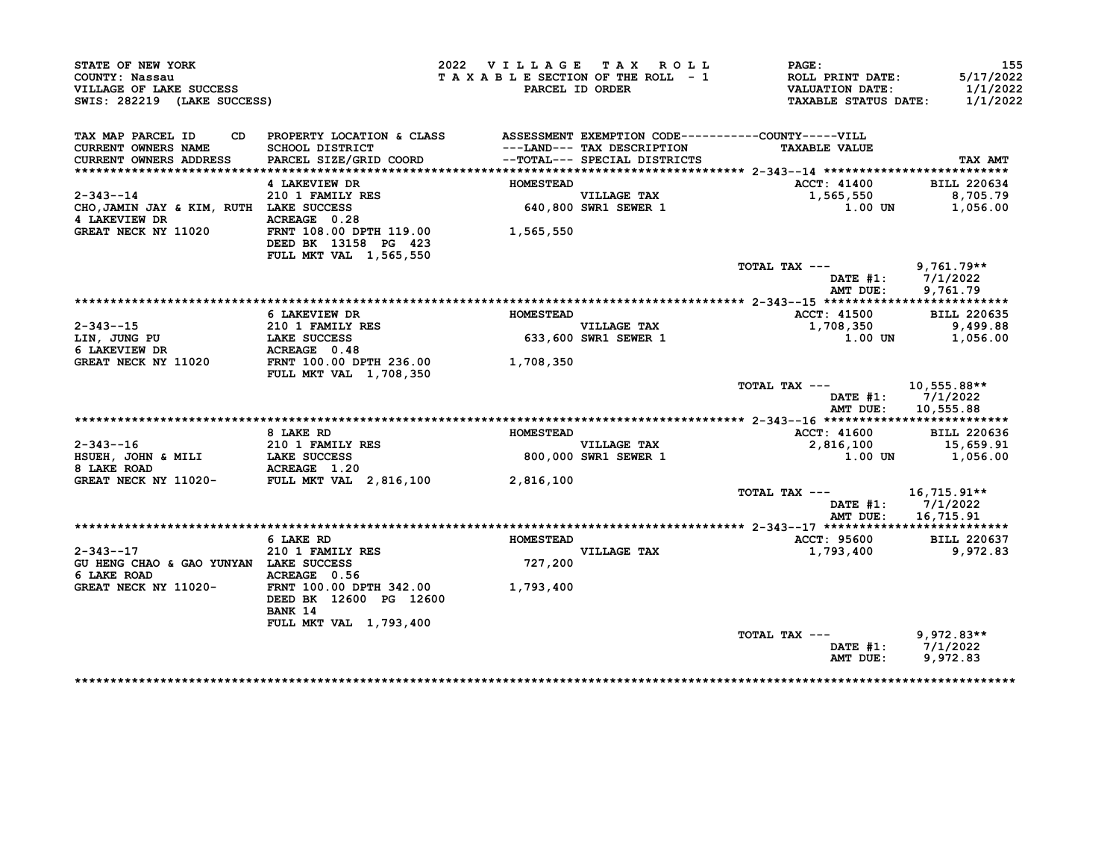| STATE OF NEW YORK                                                        |                                                                                 | 2022 VILLAGE TAX ROLL |                                                            | PAGE:                                                                       | 155                   |
|--------------------------------------------------------------------------|---------------------------------------------------------------------------------|-----------------------|------------------------------------------------------------|-----------------------------------------------------------------------------|-----------------------|
| COUNTY: Nassau<br>VILLAGE OF LAKE SUCCESS<br>SWIS: 282219 (LAKE SUCCESS) |                                                                                 |                       | TAXABLE SECTION OF THE ROLL - 1<br>PARCEL ID ORDER         | ROLL PRINT DATE:<br><b>VALUATION DATE:</b><br>TAXABLE STATUS DATE: 1/1/2022 | 5/17/2022<br>1/1/2022 |
|                                                                          |                                                                                 |                       |                                                            |                                                                             |                       |
| TAX MAP PARCEL ID                                                        | CD PROPERTY LOCATION & CLASS ASSESSMENT EXEMPTION CODE----------COUNTY-----VILL |                       |                                                            |                                                                             |                       |
| <b>CURRENT OWNERS NAME</b><br><b>CURRENT OWNERS ADDRESS</b>              | SCHOOL DISTRICT<br>PARCEL SIZE/GRID COORD                                       |                       | ---LAND--- TAX DESCRIPTION<br>--TOTAL--- SPECIAL DISTRICTS | <b>TAXABLE VALUE</b>                                                        | TAX AMT               |
|                                                                          |                                                                                 |                       |                                                            |                                                                             |                       |
|                                                                          | 4 LAKEVIEW DR                                                                   | <b>HOMESTEAD</b>      |                                                            | <b>ACCT: 41400</b>                                                          | <b>BILL 220634</b>    |
| $2 - 343 - -14$                                                          | 210 1 FAMILY RES                                                                |                       |                                                            | 1,565,550                                                                   | 8,705.79              |
| CHO, JAMIN JAY & KIM, RUTH LAKE SUCCESS                                  |                                                                                 |                       | VILLAGE TAX<br>640,800 SWR1 SEWER 1                        | 1.00 UN                                                                     | 1,056.00              |
| 4 LAKEVIEW DR                                                            |                                                                                 |                       |                                                            |                                                                             |                       |
| <b>GREAT NECK NY 11020</b>                                               |                                                                                 | 1,565,550             |                                                            |                                                                             |                       |
|                                                                          | DEED BK 13158 PG 423                                                            |                       |                                                            |                                                                             |                       |
|                                                                          | <b>FULL MKT VAL 1,565,550</b>                                                   |                       |                                                            |                                                                             |                       |
|                                                                          |                                                                                 |                       |                                                            | TOTAL TAX --- 9,761.79**                                                    |                       |
|                                                                          |                                                                                 |                       |                                                            |                                                                             | DATE #1: 7/1/2022     |
|                                                                          |                                                                                 |                       |                                                            | AMT DUE:                                                                    | 9,761.79              |
|                                                                          | 6 LAKEVIEW DR                                                                   | <b>HOMESTEAD</b>      |                                                            | <b>ACCT: 41500</b>                                                          | <b>BILL 220635</b>    |
| 2-343--15                                                                |                                                                                 |                       | <b>VILLAGE TAX</b>                                         | 1,708,350                                                                   | 9,499.88              |
|                                                                          | 210 1 FAMILY RES<br>LAKE SUCCESS<br>ACPEACE 0 48<br>LAKE SUCCESS                |                       | VILLAGE TAX<br>633,600 SWR1 SEWER 1                        | 1.00 UN                                                                     | 1,056.00              |
| LIN, JUNG PU<br>6 LAKEVIEW DR<br>6 LAKEVIEW DR                           | ACREAGE 0.48                                                                    |                       |                                                            |                                                                             |                       |
| GREAT NECK NY 11020 FRNT 100.00 DPTH 236.00 1,708,350                    |                                                                                 |                       |                                                            |                                                                             |                       |
|                                                                          | <b>FULL MKT VAL 1,708,350</b>                                                   |                       |                                                            |                                                                             |                       |
|                                                                          |                                                                                 |                       |                                                            | TOTAL TAX $---$ 10,555.88**                                                 | DATE $#1: 7/1/2022$   |
|                                                                          |                                                                                 |                       |                                                            |                                                                             | AMT DUE: 10,555.88    |
|                                                                          | 8 LAKE RD                                                                       | <b>HOMESTEAD</b>      |                                                            | <b>ACCT: 41600</b>                                                          | BILL 220636           |
| $2 - 343 - -16$                                                          |                                                                                 |                       |                                                            |                                                                             |                       |
| HSUEH, JOHN & MILI                                                       | <b>210 1 FAMILY RES<br/>LAKE SUCCESS</b>                                        |                       | VILLAGE TAX<br>800,000 SWR1 SEWER 1                        | 2,816,100 15,659.91<br>1.00 1.00 1,056.00                                   |                       |
| 8 LAKE ROAD                                                              |                                                                                 |                       |                                                            |                                                                             |                       |
| GREAT NECK NY 11020-                                                     |                                                                                 |                       |                                                            |                                                                             |                       |
|                                                                          |                                                                                 |                       |                                                            | TOTAL TAX ---                                                               | 16,715.91**           |
|                                                                          |                                                                                 |                       |                                                            |                                                                             | DATE #1: 7/1/2022     |
|                                                                          |                                                                                 |                       |                                                            | AMT DUE:                                                                    | 16,715.91             |
|                                                                          |                                                                                 |                       |                                                            |                                                                             |                       |
|                                                                          | 6 LAKE RD                                                                       | HOMESTEAD             |                                                            | <b>ACCT: 95600</b>                                                          | <b>BILL 220637</b>    |
| $2 - 343 - -17$                                                          | 210 1 FAMILY RES                                                                |                       | <b>VILLAGE TAX</b>                                         | 1,793,400                                                                   | 9,972.83              |
| GU HENG CHAO & GAO YUNYAN LAKE SUCCESS                                   |                                                                                 | 727,200               |                                                            |                                                                             |                       |
| 6 LAKE ROAD                                                              | ACREAGE 0.56                                                                    |                       |                                                            |                                                                             |                       |
| GREAT NECK NY 11020- FRNT 100.00 DPTH 342.00 1,793,400                   | DEED BK 12600 PG 12600                                                          |                       |                                                            |                                                                             |                       |
|                                                                          | BANK 14                                                                         |                       |                                                            |                                                                             |                       |
|                                                                          | FULL MKT VAL 1,793,400                                                          |                       |                                                            |                                                                             |                       |
|                                                                          |                                                                                 |                       |                                                            | TOTAL TAX --- 9,972.83**                                                    |                       |
|                                                                          |                                                                                 |                       |                                                            |                                                                             | DATE #1: 7/1/2022     |
|                                                                          |                                                                                 |                       |                                                            | AMT DUE:                                                                    | 9,972.83              |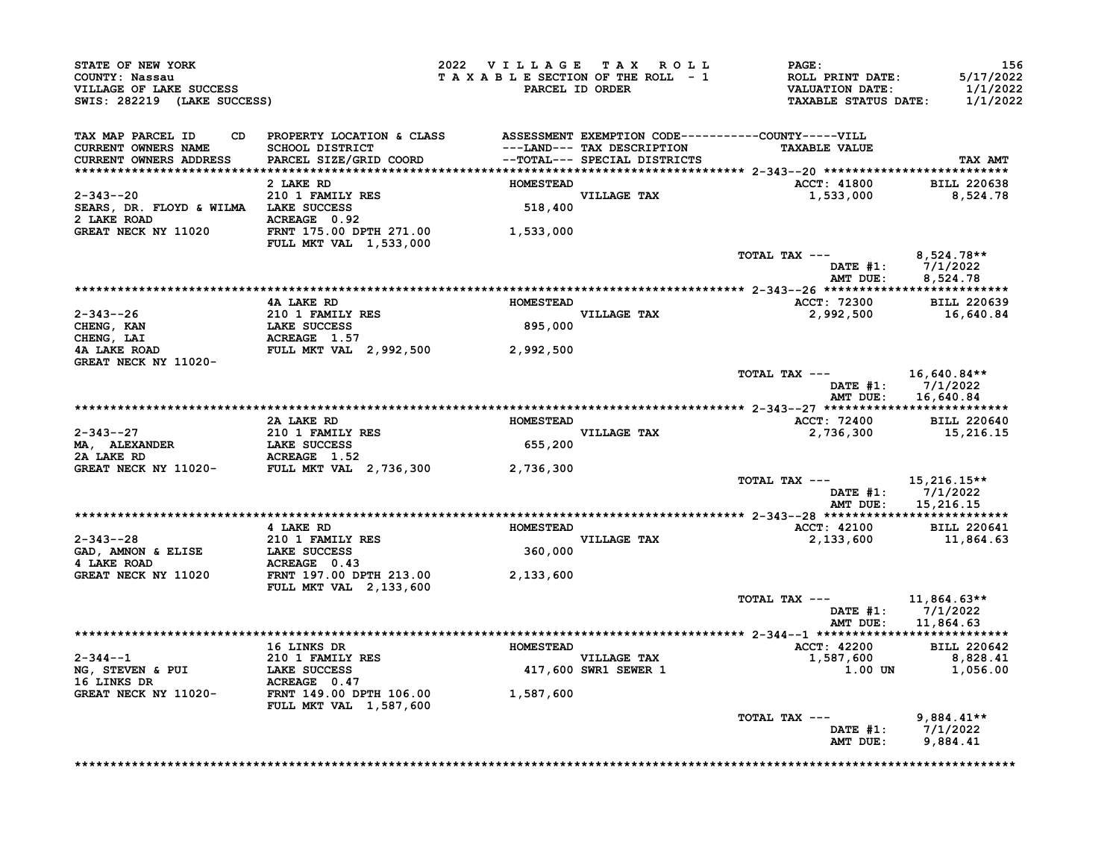| STATE OF NEW YORK<br>COUNTY: Nassau<br>VILLAGE OF LAKE SUCCESS<br>SWIS: 282219 (LAKE SUCCESS)                                                      |                                                                                                                                                                                                                         |                  | 2022 VILLAGE TAX ROLL<br>TAXABLE SECTION OF THE ROLL - 1<br>PARCEL ID ORDER | PAGE:<br>ROLL PRINT DATE:<br>VALUATION DATE:<br>TAXABLE STATUS DATE: | 156<br>5/17/2022<br>1/1/2022<br>1/1/2022               |
|----------------------------------------------------------------------------------------------------------------------------------------------------|-------------------------------------------------------------------------------------------------------------------------------------------------------------------------------------------------------------------------|------------------|-----------------------------------------------------------------------------|----------------------------------------------------------------------|--------------------------------------------------------|
| TAX MAP PARCEL ID<br>CD<br><b>CURRENT OWNERS NAME</b><br><b>CURRENT OWNERS ADDRESS</b>                                                             | PROPERTY LOCATION & CLASS              ASSESSMENT EXEMPTION CODE----------COUNTY-----VILL<br>SCHOOL DISTRICT                          ---LAND--- TAX DESCRIPTION                TAXABLE VALUE<br>PARCEL SIZE/GRID COORD |                  |                                                                             | <b>TAXABLE VALUE</b>                                                 | TAX AMT                                                |
|                                                                                                                                                    | 2 LAKE RD                                                                                                                                                                                                               | <b>HOMESTEAD</b> |                                                                             | <b>ACCT: 41800</b>                                                   | <b>BILL 220638</b>                                     |
| $2 - 343 - -20$                                                                                                                                    | 210 1 FAMILY RES                                                                                                                                                                                                        |                  | VILLAGE TAX<br>518,400                                                      | 1,533,000                                                            | 8,524.78                                               |
|                                                                                                                                                    | <b>FULL MKT VAL 1,533,000</b>                                                                                                                                                                                           |                  |                                                                             |                                                                      |                                                        |
|                                                                                                                                                    |                                                                                                                                                                                                                         |                  |                                                                             | TOTAL TAX --- $8,524.78**$                                           | DATE #1: $7/1/2022$<br>AMT DUE: 8,524.78               |
|                                                                                                                                                    |                                                                                                                                                                                                                         |                  |                                                                             |                                                                      |                                                        |
|                                                                                                                                                    | 4A LAKE RD                                                                                                                                                                                                              | <b>HOMESTEAD</b> |                                                                             | ACCT: 72300 BILL 220639                                              |                                                        |
| $2-343-26$<br>CHENG, KAN<br>CHENG, LAI<br>4A LAKE ROAD<br>4A LAKE ROAD<br>4A LAKE ROAD<br>FULL MKT VAL 2,992,500<br>2,992,500                      |                                                                                                                                                                                                                         |                  | VILLAGE TAX<br>895,000                                                      | 2,992,500                                                            | 16,640.84                                              |
| GREAT NECK NY 11020-                                                                                                                               |                                                                                                                                                                                                                         |                  |                                                                             |                                                                      |                                                        |
|                                                                                                                                                    |                                                                                                                                                                                                                         |                  |                                                                             | TOTAL TAX $---$ 16,640.84**                                          | DATE #1: 7/1/2022<br>AMT DUE: 16,640.84                |
|                                                                                                                                                    | 2A LAKE RD                                                                                                                                                                                                              | <b>HOMESTEAD</b> |                                                                             | ACCT: 72400                                                          | <b>BILL 220640</b>                                     |
| 2-343--27<br>MA, ALEXANDER 210 1 FAMILY RES<br>2A LAKE RD ACREAGE 1.52<br>GREAT NECK NY 11020- FULL MKT VAL 2,736,300 2,736,300                    |                                                                                                                                                                                                                         | 655,200          | <b>VILLAGE TAX</b>                                                          | 2,736,300                                                            | 15,216.15                                              |
|                                                                                                                                                    |                                                                                                                                                                                                                         |                  |                                                                             |                                                                      |                                                        |
|                                                                                                                                                    |                                                                                                                                                                                                                         |                  |                                                                             | TOTAL TAX ---                                                        | 15,216.15**<br>DATE #1: 7/1/2022<br>AMT DUE: 15,216.15 |
|                                                                                                                                                    |                                                                                                                                                                                                                         |                  |                                                                             |                                                                      |                                                        |
| $2 - 343 - -28$                                                                                                                                    | 4 LAKE RD                                                                                                                                                                                                               | HOMESTEAD        |                                                                             | <b>ACCT: 42100</b>                                                   | <b>BILL 220641</b>                                     |
| GAD, AMNON & ELISE<br>4 LAKE ROAD                                                                                                                  | 210 1 FAMILY RES<br>LAKE SUCCESS 360,000<br>ACREAGE 0.43<br>FRNT 197.00 DPTH 213.00 2,133,600                                                                                                                           |                  | VILLAGE TAX<br>360,000                                                      | 2,133,600                                                            | 11,864.63                                              |
| GREAT NECK NY 11020                                                                                                                                | FULL MKT VAL 2,133,600                                                                                                                                                                                                  |                  |                                                                             |                                                                      |                                                        |
|                                                                                                                                                    |                                                                                                                                                                                                                         |                  |                                                                             | TOTAL TAX --- $11,864.63**$                                          | DATE #1: 7/1/2022<br>AMT DUE: 11,864.63                |
|                                                                                                                                                    |                                                                                                                                                                                                                         |                  |                                                                             |                                                                      |                                                        |
|                                                                                                                                                    | 16 LINKS DR HOMESTEAD                                                                                                                                                                                                   |                  | VILLAGE TAX                                                                 | <b>ACCT: 42200</b><br>1,587,600                                      | <b>BILL 220642</b><br>8,828.41                         |
| A CONSIDER SERVEN & PUI<br>NG, STEVEN & PUI<br>16 LINKS DR<br>16 LINKS DR<br>20 LAKE SUCCESS<br>20 ACPEACE A COREACE AND CREAM MESSEN CREAM MESSEN |                                                                                                                                                                                                                         |                  | 417,600 SWR1 SEWER 1                                                        |                                                                      | 1.00 UN 1,056.00                                       |
| NG SUNKS DR<br>GREAT NECK NY 11020-<br>FRNT 149.00 DPTH 106.00 1,587,600                                                                           | <b>FULL MKT VAL 1,587,600</b>                                                                                                                                                                                           |                  |                                                                             |                                                                      |                                                        |
|                                                                                                                                                    |                                                                                                                                                                                                                         |                  |                                                                             | TOTAL TAX ---<br>AMT DUE: 9,884.41                                   | $9,884.41**$<br>DATE #1: 7/1/2022                      |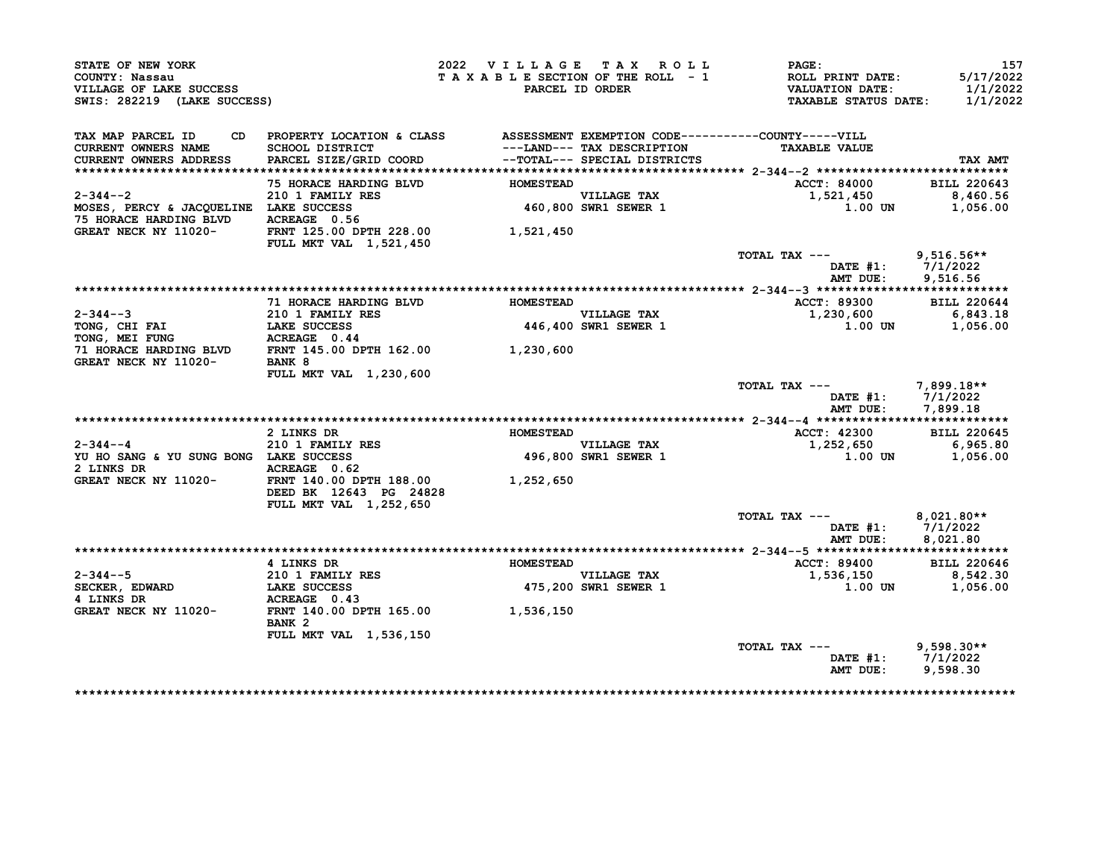| STATE OF NEW YORK<br>COUNTY: Nassau<br>VILLAGE OF LAKE SUCCESS<br>SWIS: 282219 (LAKE SUCCESS) |                                                                                                 | 2022 VILLAGE TAX ROLL<br>TAXABLE SECTION OF THE ROLL - 1 | PARCEL ID ORDER                     | PAGE:<br>ROLL PRINT DATE:<br><b>VALUATION DATE:</b><br><b>TAXABLE STATUS DATE:</b> | 157<br>5/17/2022<br>1/1/2022<br>1/1/2022 |
|-----------------------------------------------------------------------------------------------|-------------------------------------------------------------------------------------------------|----------------------------------------------------------|-------------------------------------|------------------------------------------------------------------------------------|------------------------------------------|
| TAX MAP PARCEL ID<br>CD.<br><b>CURRENT OWNERS NAME</b>                                        | PROPERTY LOCATION & CLASS ASSESSMENT EXEMPTION CODE----------COUNTY-----VILL<br>SCHOOL DISTRICT |                                                          | ---LAND--- TAX DESCRIPTION          | <b>TAXABLE VALUE</b>                                                               |                                          |
| CURRENT OWNERS ADDRESS                                                                        | PARCEL SIZE/GRID COORD                                                                          |                                                          | --TOTAL--- SPECIAL DISTRICTS        |                                                                                    | TAX AMT                                  |
|                                                                                               |                                                                                                 |                                                          |                                     |                                                                                    |                                          |
|                                                                                               | 75 HORACE HARDING BLVD                                                                          | <b>HOMESTEAD</b>                                         |                                     | ACCT: 84000                                                                        | <b>BILL 220643</b>                       |
| $2 - 344 - -2$                                                                                | 210 1 FAMILY RES                                                                                |                                                          | <b>VILLAGE TAX</b>                  | 1,521,450                                                                          | 8,460.56                                 |
| MOSES, PERCY & JACQUELINE LAKE SUCCESS                                                        |                                                                                                 |                                                          | 460,800 SWR1 SEWER 1                | 1.00 UN                                                                            | 1,056.00                                 |
| 75 HORACE HARDING BLVD<br>GREAT NECK NY 11020-                                                | ACREAGE 0.56<br>FRNT 125.00 DPTH 228.00                                                         | 1,521,450                                                |                                     |                                                                                    |                                          |
|                                                                                               | <b>FULL MKT VAL 1,521,450</b>                                                                   |                                                          |                                     |                                                                                    |                                          |
|                                                                                               |                                                                                                 |                                                          |                                     | TOTAL TAX ---                                                                      | $9,516.56**$                             |
|                                                                                               |                                                                                                 |                                                          |                                     | DATE $#1: 7/1/2022$                                                                |                                          |
|                                                                                               |                                                                                                 |                                                          |                                     | AMT DUE:                                                                           | 9,516.56                                 |
|                                                                                               |                                                                                                 |                                                          |                                     |                                                                                    |                                          |
|                                                                                               | 71 HORACE HARDING BLVD                                                                          | <b>HOMESTEAD</b>                                         |                                     | ACCT: 89300                                                                        | <b>BILL 220644</b>                       |
| 2-344--3<br>TONG, CHI FAI                                                                     | 210 1 FAMILY RES<br>LAKE SUCCESS                                                                |                                                          | VILLAGE TAX<br>446,400 SWR1 SEWER 1 | 1,230,600<br>1.00 UN                                                               | 6,843.18<br>1,056.00                     |
| TONG, MEI FUNG                                                                                | ACREAGE 0.44                                                                                    |                                                          |                                     |                                                                                    |                                          |
| 71 HORACE HARDING BLVD FRNT 145.00 DPTH 162.00 1,230,600                                      |                                                                                                 |                                                          |                                     |                                                                                    |                                          |
| GREAT NECK NY 11020-                                                                          | BANK 8                                                                                          |                                                          |                                     |                                                                                    |                                          |
|                                                                                               | FULL MKT VAL 1,230,600                                                                          |                                                          |                                     |                                                                                    |                                          |
|                                                                                               |                                                                                                 |                                                          |                                     | TOTAL TAX ---<br>DATE $#1: 7/1/2022$<br>AMT DUE:                                   | $7.899.18**$<br>7,899.18                 |
|                                                                                               |                                                                                                 |                                                          |                                     |                                                                                    |                                          |
|                                                                                               | 2 LINKS DR                                                                                      | <b>HOMESTEAD</b>                                         |                                     | ACCT: 42300                                                                        | <b>BILL 220645</b>                       |
| $2 - 344 - -4$                                                                                | 210 1 FAMILY RES                                                                                |                                                          | VILLAGE TAX                         | 1,252,650                                                                          | 6,965.80                                 |
| YU HO SANG & YU SUNG BONG LAKE SUCCESS                                                        |                                                                                                 |                                                          | 496,800 SWR1 SEWER 1                | 1.00 UN                                                                            | 1,056.00                                 |
| 2 LINKS DR                                                                                    | ACREAGE 0.62                                                                                    |                                                          |                                     |                                                                                    |                                          |
| GREAT NECK NY 11020-                                                                          | FRNT 140.00 DPTH 188.00<br>DEED BK 12643 PG 24828                                               | 1,252,650                                                |                                     |                                                                                    |                                          |
|                                                                                               |                                                                                                 |                                                          |                                     |                                                                                    |                                          |
|                                                                                               | FULL MKT VAL 1,252,650                                                                          |                                                          |                                     | TOTAL TAX ---                                                                      | $8,021.80**$                             |
|                                                                                               |                                                                                                 |                                                          |                                     | DATE #1:                                                                           | 7/1/2022                                 |
|                                                                                               |                                                                                                 |                                                          |                                     | AMT DUE:                                                                           | 8,021.80                                 |
|                                                                                               |                                                                                                 |                                                          |                                     |                                                                                    |                                          |
|                                                                                               | 4 LINKS DR                                                                                      | <b>HOMESTEAD</b>                                         |                                     | ACCT: 89400                                                                        | <b>BILL 220646</b>                       |
| $2 - 344 - -5$                                                                                | <b>210 1 FAMILY RES</b>                                                                         |                                                          | VILLAGE TAX                         | 1,536,150                                                                          | 8,542.30                                 |
| SECKER, EDWARD                                                                                | LAKE SUCCESS                                                                                    |                                                          | 475,200 SWR1 SEWER 1                | 1.00 UN                                                                            | 1,056.00                                 |
| 4 LINKS DR<br>GREAT NECK NY 11020-                                                            | ACREAGE 0.43<br>FRNT 140.00 DPTH 165.00<br>BANK <sub>2</sub>                                    | 1,536,150                                                |                                     |                                                                                    |                                          |
|                                                                                               | FULL MKT VAL 1,536,150                                                                          |                                                          |                                     |                                                                                    |                                          |
|                                                                                               |                                                                                                 |                                                          |                                     | TOTAL TAX ---                                                                      | $9,598.30**$                             |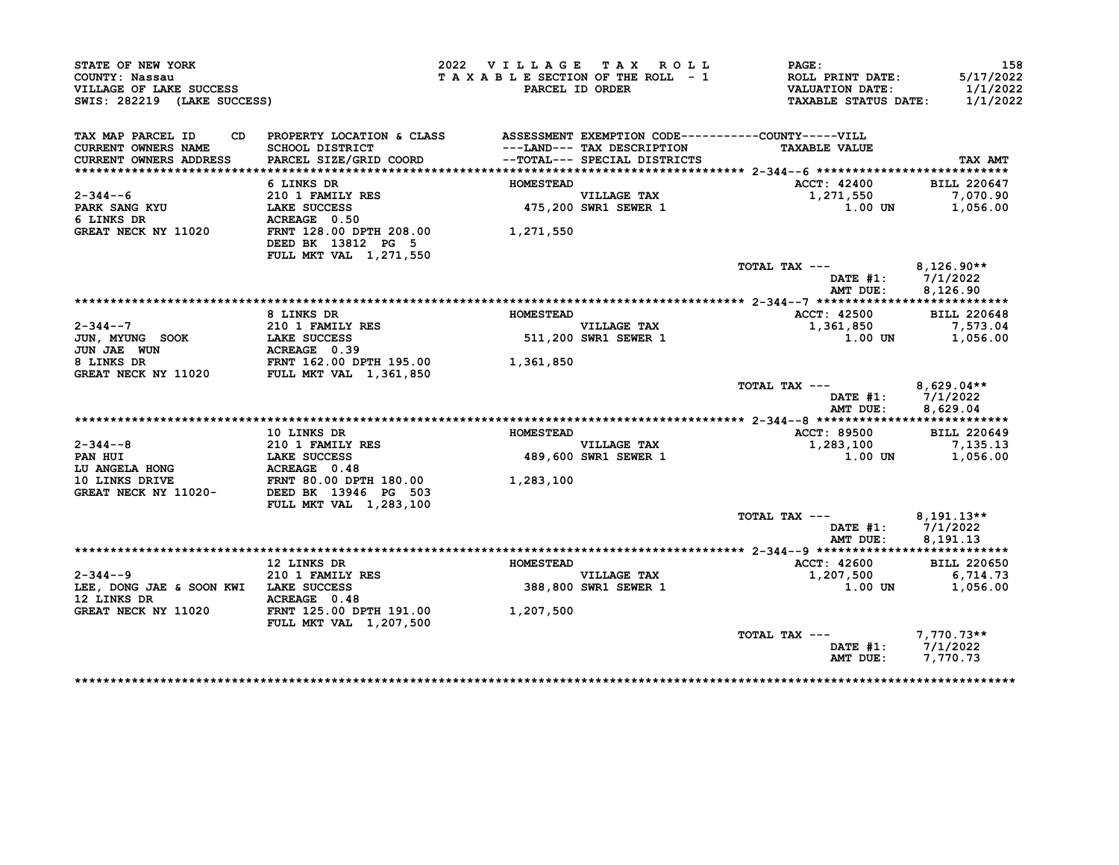| SWIS: 282219 (LAKE SUCCESS)<br>PROPERTY LOCATION & CLASS ASSESSMENT EXEMPTION CODE----------COUNTY-----VILL<br>SCHOOL DISTRICT<br>PARCEL SIZE/GRID COORD |                                                                                                                                                                                                                                                                                                       | PARCEL ID ORDER                                                                                                                                                                                                                                                                                                                                                                                      | ROLL PRINT DATE:<br><b>VALUATION DATE:</b><br>TAXABLE STATUS DATE: 1/1/2022                                                                                                    | 1/1/2022                                                                                                                                                                                                                                                                                                                                                                                           |
|----------------------------------------------------------------------------------------------------------------------------------------------------------|-------------------------------------------------------------------------------------------------------------------------------------------------------------------------------------------------------------------------------------------------------------------------------------------------------|------------------------------------------------------------------------------------------------------------------------------------------------------------------------------------------------------------------------------------------------------------------------------------------------------------------------------------------------------------------------------------------------------|--------------------------------------------------------------------------------------------------------------------------------------------------------------------------------|----------------------------------------------------------------------------------------------------------------------------------------------------------------------------------------------------------------------------------------------------------------------------------------------------------------------------------------------------------------------------------------------------|
|                                                                                                                                                          |                                                                                                                                                                                                                                                                                                       |                                                                                                                                                                                                                                                                                                                                                                                                      |                                                                                                                                                                                |                                                                                                                                                                                                                                                                                                                                                                                                    |
|                                                                                                                                                          |                                                                                                                                                                                                                                                                                                       | ---LAND--- TAX DESCRIPTION                                                                                                                                                                                                                                                                                                                                                                           | <b>TAXABLE VALUE</b>                                                                                                                                                           |                                                                                                                                                                                                                                                                                                                                                                                                    |
|                                                                                                                                                          |                                                                                                                                                                                                                                                                                                       | --TOTAL--- SPECIAL DISTRICTS                                                                                                                                                                                                                                                                                                                                                                         |                                                                                                                                                                                | TAX AMT                                                                                                                                                                                                                                                                                                                                                                                            |
|                                                                                                                                                          |                                                                                                                                                                                                                                                                                                       |                                                                                                                                                                                                                                                                                                                                                                                                      |                                                                                                                                                                                |                                                                                                                                                                                                                                                                                                                                                                                                    |
| 6 LINKS DR                                                                                                                                               | <b>HOMESTEAD</b>                                                                                                                                                                                                                                                                                      |                                                                                                                                                                                                                                                                                                                                                                                                      | ACCT: 42400                                                                                                                                                                    | <b>BILL 220647</b>                                                                                                                                                                                                                                                                                                                                                                                 |
| 210 1 FAMILY RES                                                                                                                                         |                                                                                                                                                                                                                                                                                                       |                                                                                                                                                                                                                                                                                                                                                                                                      | 1,271,550                                                                                                                                                                      | 7,070.90                                                                                                                                                                                                                                                                                                                                                                                           |
|                                                                                                                                                          |                                                                                                                                                                                                                                                                                                       |                                                                                                                                                                                                                                                                                                                                                                                                      |                                                                                                                                                                                | 1,056.00                                                                                                                                                                                                                                                                                                                                                                                           |
|                                                                                                                                                          |                                                                                                                                                                                                                                                                                                       |                                                                                                                                                                                                                                                                                                                                                                                                      |                                                                                                                                                                                |                                                                                                                                                                                                                                                                                                                                                                                                    |
| DEED BK 13812 PG 5                                                                                                                                       |                                                                                                                                                                                                                                                                                                       |                                                                                                                                                                                                                                                                                                                                                                                                      |                                                                                                                                                                                |                                                                                                                                                                                                                                                                                                                                                                                                    |
|                                                                                                                                                          |                                                                                                                                                                                                                                                                                                       |                                                                                                                                                                                                                                                                                                                                                                                                      |                                                                                                                                                                                |                                                                                                                                                                                                                                                                                                                                                                                                    |
|                                                                                                                                                          |                                                                                                                                                                                                                                                                                                       |                                                                                                                                                                                                                                                                                                                                                                                                      |                                                                                                                                                                                | 8,126.90                                                                                                                                                                                                                                                                                                                                                                                           |
|                                                                                                                                                          |                                                                                                                                                                                                                                                                                                       |                                                                                                                                                                                                                                                                                                                                                                                                      |                                                                                                                                                                                |                                                                                                                                                                                                                                                                                                                                                                                                    |
|                                                                                                                                                          |                                                                                                                                                                                                                                                                                                       |                                                                                                                                                                                                                                                                                                                                                                                                      |                                                                                                                                                                                | <b>BILL 220648</b>                                                                                                                                                                                                                                                                                                                                                                                 |
|                                                                                                                                                          |                                                                                                                                                                                                                                                                                                       |                                                                                                                                                                                                                                                                                                                                                                                                      |                                                                                                                                                                                | 7,573.04                                                                                                                                                                                                                                                                                                                                                                                           |
|                                                                                                                                                          |                                                                                                                                                                                                                                                                                                       |                                                                                                                                                                                                                                                                                                                                                                                                      |                                                                                                                                                                                | 1,056.00                                                                                                                                                                                                                                                                                                                                                                                           |
|                                                                                                                                                          |                                                                                                                                                                                                                                                                                                       |                                                                                                                                                                                                                                                                                                                                                                                                      |                                                                                                                                                                                |                                                                                                                                                                                                                                                                                                                                                                                                    |
|                                                                                                                                                          |                                                                                                                                                                                                                                                                                                       |                                                                                                                                                                                                                                                                                                                                                                                                      |                                                                                                                                                                                |                                                                                                                                                                                                                                                                                                                                                                                                    |
|                                                                                                                                                          |                                                                                                                                                                                                                                                                                                       |                                                                                                                                                                                                                                                                                                                                                                                                      |                                                                                                                                                                                |                                                                                                                                                                                                                                                                                                                                                                                                    |
|                                                                                                                                                          |                                                                                                                                                                                                                                                                                                       |                                                                                                                                                                                                                                                                                                                                                                                                      |                                                                                                                                                                                |                                                                                                                                                                                                                                                                                                                                                                                                    |
|                                                                                                                                                          |                                                                                                                                                                                                                                                                                                       |                                                                                                                                                                                                                                                                                                                                                                                                      |                                                                                                                                                                                | 8,629.04                                                                                                                                                                                                                                                                                                                                                                                           |
|                                                                                                                                                          |                                                                                                                                                                                                                                                                                                       |                                                                                                                                                                                                                                                                                                                                                                                                      |                                                                                                                                                                                | <b>BILL 220649</b>                                                                                                                                                                                                                                                                                                                                                                                 |
|                                                                                                                                                          |                                                                                                                                                                                                                                                                                                       |                                                                                                                                                                                                                                                                                                                                                                                                      |                                                                                                                                                                                |                                                                                                                                                                                                                                                                                                                                                                                                    |
|                                                                                                                                                          |                                                                                                                                                                                                                                                                                                       |                                                                                                                                                                                                                                                                                                                                                                                                      |                                                                                                                                                                                | 7,135.13<br>1,056.00                                                                                                                                                                                                                                                                                                                                                                               |
|                                                                                                                                                          |                                                                                                                                                                                                                                                                                                       |                                                                                                                                                                                                                                                                                                                                                                                                      |                                                                                                                                                                                |                                                                                                                                                                                                                                                                                                                                                                                                    |
|                                                                                                                                                          |                                                                                                                                                                                                                                                                                                       |                                                                                                                                                                                                                                                                                                                                                                                                      |                                                                                                                                                                                |                                                                                                                                                                                                                                                                                                                                                                                                    |
|                                                                                                                                                          |                                                                                                                                                                                                                                                                                                       |                                                                                                                                                                                                                                                                                                                                                                                                      |                                                                                                                                                                                |                                                                                                                                                                                                                                                                                                                                                                                                    |
|                                                                                                                                                          |                                                                                                                                                                                                                                                                                                       |                                                                                                                                                                                                                                                                                                                                                                                                      |                                                                                                                                                                                |                                                                                                                                                                                                                                                                                                                                                                                                    |
|                                                                                                                                                          |                                                                                                                                                                                                                                                                                                       |                                                                                                                                                                                                                                                                                                                                                                                                      |                                                                                                                                                                                |                                                                                                                                                                                                                                                                                                                                                                                                    |
|                                                                                                                                                          |                                                                                                                                                                                                                                                                                                       |                                                                                                                                                                                                                                                                                                                                                                                                      |                                                                                                                                                                                |                                                                                                                                                                                                                                                                                                                                                                                                    |
|                                                                                                                                                          |                                                                                                                                                                                                                                                                                                       |                                                                                                                                                                                                                                                                                                                                                                                                      |                                                                                                                                                                                | 8,191.13                                                                                                                                                                                                                                                                                                                                                                                           |
|                                                                                                                                                          |                                                                                                                                                                                                                                                                                                       |                                                                                                                                                                                                                                                                                                                                                                                                      |                                                                                                                                                                                |                                                                                                                                                                                                                                                                                                                                                                                                    |
|                                                                                                                                                          |                                                                                                                                                                                                                                                                                                       |                                                                                                                                                                                                                                                                                                                                                                                                      |                                                                                                                                                                                | <b>BILL 220650</b>                                                                                                                                                                                                                                                                                                                                                                                 |
|                                                                                                                                                          |                                                                                                                                                                                                                                                                                                       |                                                                                                                                                                                                                                                                                                                                                                                                      |                                                                                                                                                                                | 6,714.73                                                                                                                                                                                                                                                                                                                                                                                           |
|                                                                                                                                                          |                                                                                                                                                                                                                                                                                                       |                                                                                                                                                                                                                                                                                                                                                                                                      |                                                                                                                                                                                | 1,056.00                                                                                                                                                                                                                                                                                                                                                                                           |
|                                                                                                                                                          |                                                                                                                                                                                                                                                                                                       |                                                                                                                                                                                                                                                                                                                                                                                                      |                                                                                                                                                                                |                                                                                                                                                                                                                                                                                                                                                                                                    |
|                                                                                                                                                          |                                                                                                                                                                                                                                                                                                       |                                                                                                                                                                                                                                                                                                                                                                                                      |                                                                                                                                                                                |                                                                                                                                                                                                                                                                                                                                                                                                    |
|                                                                                                                                                          |                                                                                                                                                                                                                                                                                                       |                                                                                                                                                                                                                                                                                                                                                                                                      |                                                                                                                                                                                |                                                                                                                                                                                                                                                                                                                                                                                                    |
|                                                                                                                                                          |                                                                                                                                                                                                                                                                                                       |                                                                                                                                                                                                                                                                                                                                                                                                      |                                                                                                                                                                                | 7,770.73**                                                                                                                                                                                                                                                                                                                                                                                         |
|                                                                                                                                                          |                                                                                                                                                                                                                                                                                                       |                                                                                                                                                                                                                                                                                                                                                                                                      |                                                                                                                                                                                |                                                                                                                                                                                                                                                                                                                                                                                                    |
|                                                                                                                                                          |                                                                                                                                                                                                                                                                                                       |                                                                                                                                                                                                                                                                                                                                                                                                      |                                                                                                                                                                                |                                                                                                                                                                                                                                                                                                                                                                                                    |
|                                                                                                                                                          | <b>LAKE SUCCESS</b><br>ACREAGE 0.50<br>FULL MKT VAL 1,271,550<br>8 LINKS DR<br><b>210 1 FAMILY RES<br/>LAKE SUCCESS<br/>ACREAGE 0.39</b><br>10 LINKS DR<br>FULL MKT VAL 1,283,100<br>12 LINKS DR<br><b>210 1 FAMILY RES</b><br>LEE, DONG JAE & SOON KWI LAKE SUCCESS<br><b>FULL MKT VAL 1,207,500</b> | FRNT 128.00 DPTH 208.00<br>1,271,550<br><b>HOMESTEAD</b><br>NOR LAKE SUCCESS<br>ACREAGE 0.39<br>FRNT 162.00 DPTH 195.00<br>11020 FULL MKT VAL 1,361,850<br>1,361,850<br><b>HOMESTEAD</b><br>210 1 FAMILY RES<br>LAKE SUCCESS<br>ACREAGE 0.48<br>FRNT 80.00 DPTH 180.00<br>1020- DEED BK 13946 PG 503<br>1,283,100<br><b>HOMESTEAD</b><br><b>ACREAGE</b> 0.48<br>FRNT 125.00 DPTH 191.00<br>1,207,500 | VILLAGE TAX<br>475,200 SWR1 SEWER 1<br><b>VILLAGE TAX</b><br>VILLAGE TAX<br>511,200 SWR1 SEWER 1<br>VILLAGE TAX<br>489,600 SWR1 SEWER 1<br>VILLAGE TAX<br>388,800 SWR1 SEWER 1 | 1.00 UN<br>TOTAL TAX --- $8,126.90**$<br>DATE #1: 7/1/2022<br>AMT DUE:<br>ACCT: 42500<br>1,361,850<br>1.00 UN<br>TOTAL TAX $---$ 8,629.04**<br>DATE #1: 7/1/2022<br>AMT DUE:<br><b>ACCT: 89500</b><br>1,283,100<br>1.00 UN<br>TOTAL TAX --- 8,191.13**<br>DATE #1: 7/1/2022<br>AMT DUE:<br><b>ACCT: 42600</b><br>1,207,500<br>$1.00$ UN<br>TOTAL TAX ---<br>DATE #1: 7/1/2022<br>AMT DUE: 7,770.73 |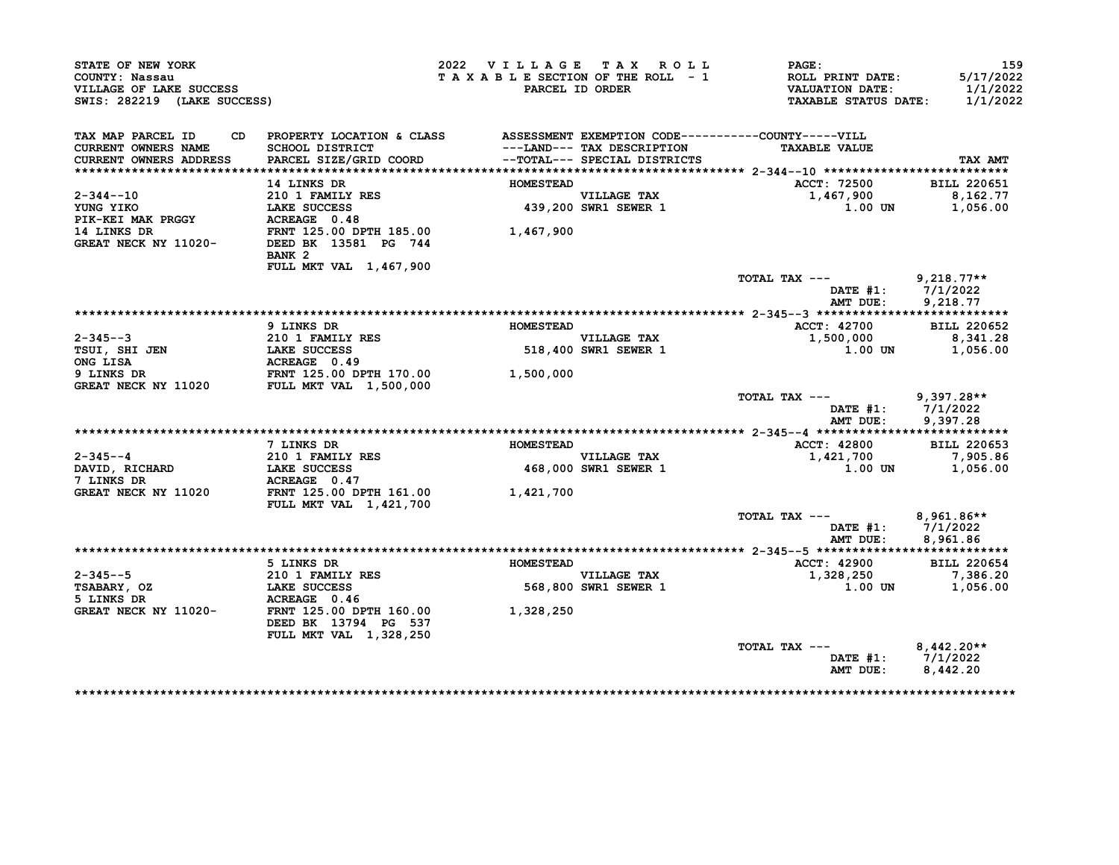| STATE OF NEW YORK<br>COUNTY: Nassau<br>VILLAGE OF LAKE SUCCESS<br>SWIS: 282219 (LAKE SUCCESS) |                                                                              | 2022 VILLAGE TAX ROLL<br>TAXABLE SECTION OF THE ROLL - 1                                                                                   | PARCEL ID ORDER              | <b>PAGE:</b><br>ROLL PRINT DATE:<br><b>VALUATION DATE:</b><br><b>TAXABLE STATUS DATE:</b> | 159<br>5/17/2022<br>1/1/2022<br>1/1/2022 |
|-----------------------------------------------------------------------------------------------|------------------------------------------------------------------------------|--------------------------------------------------------------------------------------------------------------------------------------------|------------------------------|-------------------------------------------------------------------------------------------|------------------------------------------|
| TAX MAP PARCEL ID<br>CD.                                                                      | PROPERTY LOCATION & CLASS ASSESSMENT EXEMPTION CODE----------COUNTY-----VILL |                                                                                                                                            |                              |                                                                                           |                                          |
| <b>CURRENT OWNERS NAME</b>                                                                    | <b>SCHOOL DISTRICT</b>                                                       |                                                                                                                                            | ---LAND--- TAX DESCRIPTION   | <b>TAXABLE VALUE</b>                                                                      |                                          |
| CURRENT OWNERS ADDRESS                                                                        | PARCEL SIZE/GRID COORD                                                       |                                                                                                                                            | --TOTAL--- SPECIAL DISTRICTS |                                                                                           | TAX AMT                                  |
|                                                                                               | 14 LINKS DR                                                                  | <b>HOMESTEAD</b>                                                                                                                           |                              | ACCT: 72500                                                                               | <b>BILL 220651</b>                       |
| $2 - 344 - -10$                                                                               | 210 1 FAMILY RES                                                             |                                                                                                                                            | <b>VILLAGE TAX</b>           | 1,467,900                                                                                 | 8,162.77                                 |
| YUNG YIKO                                                                                     | LAKE SUCCESS                                                                 |                                                                                                                                            | 439,200 SWR1 SEWER 1         | 1.00 UN                                                                                   | 1,056.00                                 |
| PIK-KEI MAK PRGGY                                                                             | ACREAGE 0.48                                                                 |                                                                                                                                            |                              |                                                                                           |                                          |
| 14 LINKS DR                                                                                   | FRNT 125.00 DPTH 185.00                                                      | 1,467,900                                                                                                                                  |                              |                                                                                           |                                          |
| GREAT NECK NY 11020-                                                                          | DEED BK 13581 PG 744                                                         |                                                                                                                                            |                              |                                                                                           |                                          |
|                                                                                               | BANK <sub>2</sub>                                                            |                                                                                                                                            |                              |                                                                                           |                                          |
|                                                                                               | FULL MKT VAL 1,467,900                                                       |                                                                                                                                            |                              |                                                                                           |                                          |
|                                                                                               |                                                                              |                                                                                                                                            |                              | TOTAL TAX ---                                                                             | $9,218.77**$                             |
|                                                                                               |                                                                              |                                                                                                                                            |                              | DATE $#1: 7/1/2022$                                                                       |                                          |
|                                                                                               |                                                                              |                                                                                                                                            |                              | AMT DUE:                                                                                  | 9,218.77                                 |
|                                                                                               |                                                                              |                                                                                                                                            |                              |                                                                                           |                                          |
|                                                                                               | 9 LINKS DR                                                                   | <b>HOMESTEAD</b>                                                                                                                           |                              | ACCT: 42700                                                                               | <b>BILL 220652</b>                       |
| $2 - 345 - -3$                                                                                | <b>210 1 FAMILY RES</b>                                                      | and a strong production.<br>The contract of the contract of the contract of the contract of the contract of the contract of the contract o | <b>VILLAGE TAX</b>           | 1,500,000                                                                                 | 8,341.28                                 |
| TSUI, SHI JEN                                                                                 | LAKE SUCCESS                                                                 |                                                                                                                                            | 518,400 SWR1 SEWER 1         | 1.00 UN                                                                                   | 1,056.00                                 |
| ONG LISA                                                                                      | ACREAGE 0.49                                                                 |                                                                                                                                            |                              |                                                                                           |                                          |
| 9 LINKS DR                                                                                    | FRNT 125.00 DPTH 170.00                                                      | 1,500,000                                                                                                                                  |                              |                                                                                           |                                          |
| <b>GREAT NECK NY 11020</b>                                                                    | <b>FULL MKT VAL 1,500,000</b>                                                |                                                                                                                                            |                              | TOTAL TAX ---                                                                             | $9,397.28**$                             |
|                                                                                               |                                                                              |                                                                                                                                            |                              | $\mathtt{DATE}$ #1:                                                                       | 7/1/2022                                 |
|                                                                                               |                                                                              |                                                                                                                                            |                              | AMT DUE:                                                                                  | 9,397.28                                 |
|                                                                                               |                                                                              |                                                                                                                                            |                              |                                                                                           |                                          |
|                                                                                               | 7 LINKS DR                                                                   | <b>HOMESTEAD</b>                                                                                                                           |                              | <b>ACCT: 42800</b>                                                                        | <b>BILL 220653</b>                       |
| 2-345--4                                                                                      | 210 1 FAMILY RES                                                             |                                                                                                                                            | VILLAGE TAX                  | 1,421,700                                                                                 | 7,905.86                                 |
| DAVID, RICHARD                                                                                | LAKE SUCCESS                                                                 |                                                                                                                                            | 468,000 SWR1 SEWER 1         | 1.00 UN                                                                                   | 1,056.00                                 |
| 7 LINKS DR                                                                                    | ACREAGE 0.47                                                                 |                                                                                                                                            |                              |                                                                                           |                                          |
| GREAT NECK NY 11020                                                                           | FRNT 125.00 DPTH 161.00                                                      | 1,421,700                                                                                                                                  |                              |                                                                                           |                                          |
|                                                                                               | FULL MKT VAL 1,421,700                                                       |                                                                                                                                            |                              |                                                                                           |                                          |
|                                                                                               |                                                                              |                                                                                                                                            |                              | TOTAL TAX ---                                                                             | $8,961.86**$                             |
|                                                                                               |                                                                              |                                                                                                                                            |                              | DATE #1:                                                                                  | 7/1/2022                                 |
|                                                                                               |                                                                              |                                                                                                                                            |                              | AMT DUE:                                                                                  | 8,961.86                                 |
|                                                                                               |                                                                              |                                                                                                                                            |                              |                                                                                           |                                          |
|                                                                                               | 5 LINKS DR                                                                   | <b>HOMESTEAD</b>                                                                                                                           |                              | ACCT: 42900                                                                               | <b>BILL 220654</b>                       |
| 2-345--5                                                                                      | 210 1 FAMILY RES                                                             |                                                                                                                                            | <b>VILLAGE TAX</b>           | 1,328,250                                                                                 | 7,386.20                                 |
| TSABARY, OZ                                                                                   | LAKE SUCCESS                                                                 |                                                                                                                                            | 568,800 SWR1 SEWER 1         | 1.00 UN                                                                                   | 1,056.00                                 |
| 5 LINKS DR                                                                                    | ACREAGE 0.46                                                                 |                                                                                                                                            |                              |                                                                                           |                                          |
| GREAT NECK NY 11020-                                                                          | FRNT 125.00 DPTH 160.00                                                      | 1,328,250                                                                                                                                  |                              |                                                                                           |                                          |
|                                                                                               | DEED BK 13794 PG 537                                                         |                                                                                                                                            |                              |                                                                                           |                                          |
|                                                                                               |                                                                              |                                                                                                                                            |                              |                                                                                           |                                          |
|                                                                                               | FULL MKT VAL 1,328,250                                                       |                                                                                                                                            |                              |                                                                                           |                                          |
|                                                                                               |                                                                              |                                                                                                                                            |                              | TOTAL TAX ---                                                                             | $8,442.20**$                             |
|                                                                                               |                                                                              |                                                                                                                                            |                              | DATE #1: 7/1/2022<br>AMT DUE:                                                             | 8,442.20                                 |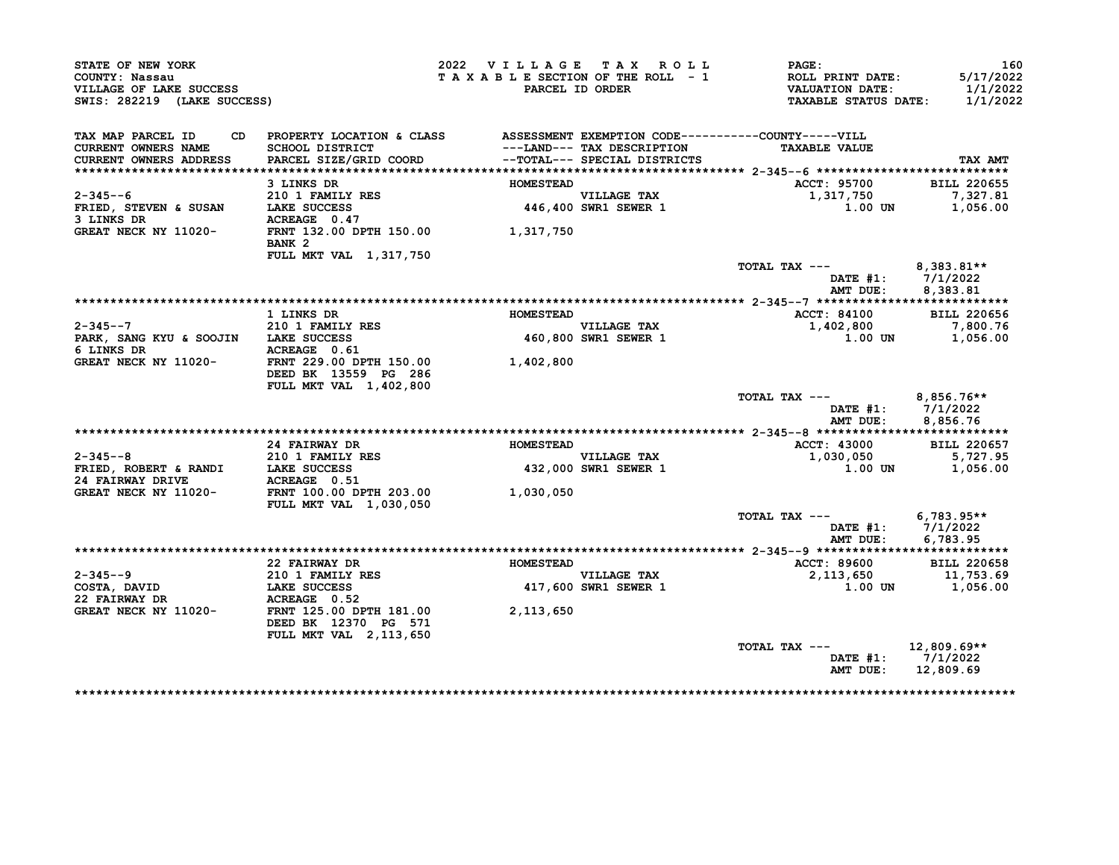| STATE OF NEW YORK<br>COUNTY: Nassau<br>VILLAGE OF LAKE SUCCESS<br>SWIS: 282219 (LAKE SUCCESS) |                                                                                                                           | 2022 VILLAGE TAX ROLL<br>TAXABLE SECTION OF THE ROLL - 1 | PARCEL ID ORDER                                            | PAGE:<br>ROLL PRINT DATE:<br><b>VALUATION DATE:</b><br>TAXABLE STATUS DATE: | 160<br>5/17/2022<br>1/1/2022<br>1/1/2022    |
|-----------------------------------------------------------------------------------------------|---------------------------------------------------------------------------------------------------------------------------|----------------------------------------------------------|------------------------------------------------------------|-----------------------------------------------------------------------------|---------------------------------------------|
| TAX MAP PARCEL ID<br>CD.<br><b>CURRENT OWNERS NAME</b><br>CURRENT OWNERS ADDRESS              | PROPERTY LOCATION & CLASS ASSESSMENT EXEMPTION CODE----------COUNTY-----VILL<br>SCHOOL DISTRICT<br>PARCEL SIZE/GRID COORD |                                                          | ---LAND--- TAX DESCRIPTION<br>--TOTAL--- SPECIAL DISTRICTS | <b>TAXABLE VALUE</b>                                                        | TAX AMT                                     |
|                                                                                               |                                                                                                                           |                                                          |                                                            |                                                                             |                                             |
|                                                                                               | 3 LINKS DR                                                                                                                | <b>HOMESTEAD</b>                                         |                                                            | <b>ACCT: 95700</b>                                                          | <b>BILL 220655</b>                          |
| $2 - 345 - -6$                                                                                | 210 1 FAMILY RES                                                                                                          |                                                          | <b>VILLAGE TAX</b>                                         | 1,317,750                                                                   | 7,327.81                                    |
| FRIED, STEVEN & SUSAN                                                                         | LAKE SUCCESS                                                                                                              |                                                          | 446,400 SWR1 SEWER 1                                       | 1.00 UN                                                                     | 1,056.00                                    |
| 3 LINKS DR                                                                                    | ACREAGE 0.47                                                                                                              |                                                          |                                                            |                                                                             |                                             |
| GREAT NECK NY 11020-                                                                          | FRNT 132.00 DPTH 150.00<br>BANK <sub>2</sub>                                                                              | 1,317,750                                                |                                                            |                                                                             |                                             |
|                                                                                               | FULL MKT VAL 1,317,750                                                                                                    |                                                          |                                                            |                                                                             |                                             |
|                                                                                               |                                                                                                                           |                                                          |                                                            | TOTAL TAX ---<br>DATE #1:<br>AMT DUE:                                       | $8,383.81**$<br>7/1/2022<br>8,383.81        |
|                                                                                               |                                                                                                                           |                                                          |                                                            |                                                                             |                                             |
|                                                                                               | 1 LINKS DR                                                                                                                | <b>HOMESTEAD</b>                                         |                                                            | <b>ACCT: 84100</b>                                                          | <b>BILL 220656</b>                          |
| $2 - 345 - -7$                                                                                | 210 1 FAMILY RES                                                                                                          |                                                          | VILLAGE TAX                                                | 1,402,800                                                                   | 7,800.76                                    |
| PARK, SANG KYU & SOOJIN LAKE SUCCESS                                                          |                                                                                                                           |                                                          | 460,800 SWR1 SEWER 1                                       | <b>1.00 UN</b>                                                              | 1,056.00                                    |
| 6 LINKS DR                                                                                    | ACREAGE 0.61                                                                                                              |                                                          |                                                            |                                                                             |                                             |
| GREAT NECK NY 11020-                                                                          | FRNT 229.00 DPTH 150.00<br>DEED BK 13559 PG 286                                                                           | 1,402,800                                                |                                                            |                                                                             |                                             |
|                                                                                               | FULL MKT VAL 1,402,800                                                                                                    |                                                          |                                                            |                                                                             |                                             |
|                                                                                               |                                                                                                                           |                                                          |                                                            | TOTAL TAX ---<br>AMT DUE:                                                   | 8,856.76**<br>DATE #1: 7/1/2022<br>8,856.76 |
|                                                                                               |                                                                                                                           |                                                          |                                                            |                                                                             |                                             |
|                                                                                               | 24 FAIRWAY DR                                                                                                             | <b>HOMESTEAD</b>                                         |                                                            | <b>ACCT: 43000</b>                                                          | <b>BILL 220657</b>                          |
| $2 - 345 - -8$                                                                                | 210 1 FAMILY RES                                                                                                          |                                                          | VILLAGE TAX                                                | 1,030,050                                                                   | 5,727.95                                    |
|                                                                                               | ACREAGE 0.51                                                                                                              |                                                          | 432,000 SWR1 SEWER 1                                       | 1.00 UN                                                                     | 1,056.00                                    |
| GREAT NECK NY 11020-                                                                          | FRNT 100.00 DPTH 203.00<br>FULL MKT VAL 1,030,050                                                                         | 1,030,050                                                |                                                            |                                                                             |                                             |
|                                                                                               |                                                                                                                           |                                                          |                                                            | TOTAL TAX ---<br>$\mathtt{DATE}$ #1:                                        | $6,783.95**$<br>7/1/2022                    |
|                                                                                               |                                                                                                                           |                                                          |                                                            | AMT DUE:                                                                    | 6,783.95                                    |
|                                                                                               |                                                                                                                           |                                                          |                                                            |                                                                             |                                             |
| $2 - 345 - -9$                                                                                | 22 FAIRWAY DR                                                                                                             | <b>HOMESTEAD</b>                                         |                                                            | ACCT: 89600                                                                 | <b>BILL 220658</b>                          |
| COSTA, DAVID                                                                                  | 210 1 FAMILY RES<br>LAKE SUCCESS                                                                                          |                                                          | <b>VILLAGE TAX</b><br>417,600 SWR1 SEWER 1                 | 2,113,650<br>1.00 UN                                                        | 11,753.69<br>1,056.00                       |
| 22 FAIRWAY DR                                                                                 | ACREAGE 0.52                                                                                                              |                                                          |                                                            |                                                                             |                                             |
| GREAT NECK NY 11020-                                                                          | FRNT 125.00 DPTH 181.00<br>DEED BK 12370 PG 571                                                                           | 2,113,650                                                |                                                            |                                                                             |                                             |
|                                                                                               | FULL MKT VAL 2, 113, 650                                                                                                  |                                                          |                                                            |                                                                             |                                             |
|                                                                                               |                                                                                                                           |                                                          |                                                            | TOTAL TAX ---<br>DATE #1:<br>AMT DUE:                                       | $12,809.69**$<br>7/1/2022<br>12,809.69      |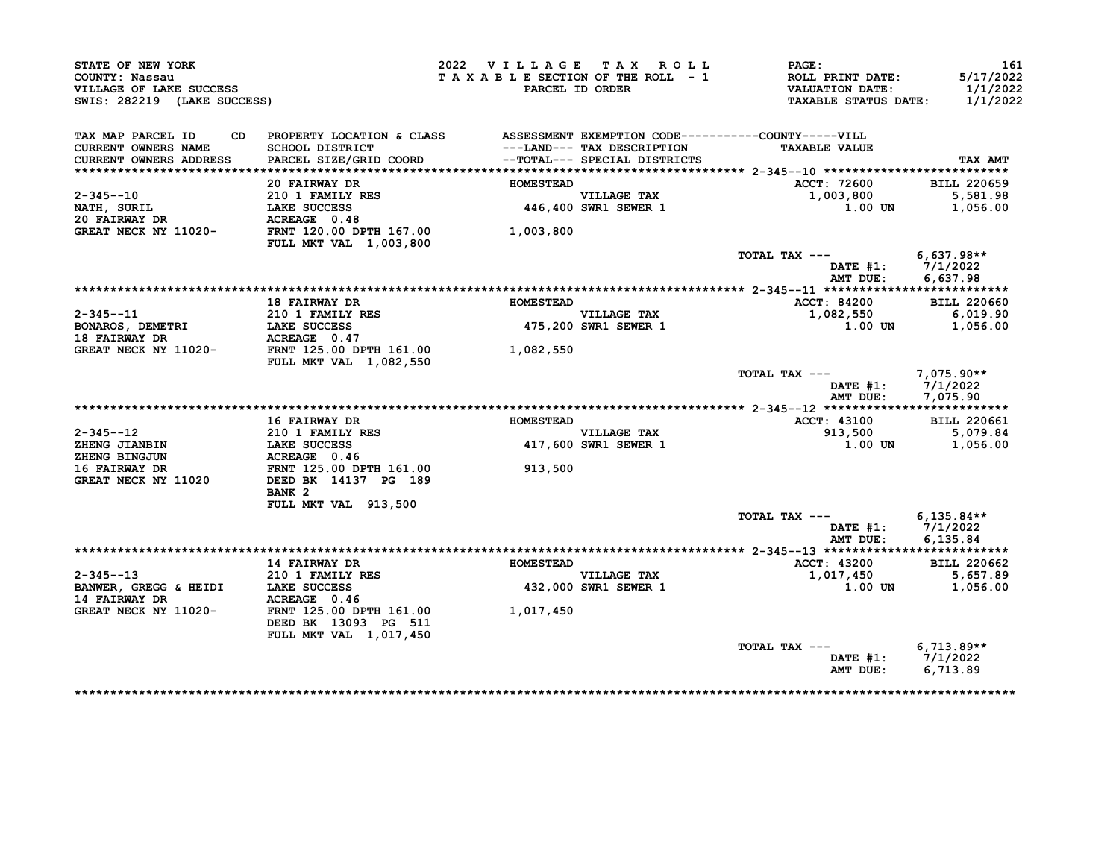| STATE OF NEW YORK<br>COUNTY: Nassau<br>VILLAGE OF LAKE SUCCESS<br>SWIS: 282219 (LAKE SUCCESS) |                                                                                 | 2022 VILLAGE TAX ROLL<br>TAXABLE SECTION OF THE ROLL - 1 | PARCEL ID ORDER                     | $\mathtt{PAGE}$ :<br>ROLL PRINT DATE:<br><b>VALUATION DATE:</b><br><b>TAXABLE STATUS DATE:</b> | 161<br>5/17/2022<br>1/1/2022<br>1/1/2022 |
|-----------------------------------------------------------------------------------------------|---------------------------------------------------------------------------------|----------------------------------------------------------|-------------------------------------|------------------------------------------------------------------------------------------------|------------------------------------------|
| TAX MAP PARCEL ID                                                                             | CD PROPERTY LOCATION & CLASS ASSESSMENT EXEMPTION CODE----------COUNTY-----VILL |                                                          |                                     |                                                                                                |                                          |
| CURRENT OWNERS NAME                                                                           | SCHOOL DISTRICT                                                                 |                                                          | ---LAND--- TAX DESCRIPTION          | <b>TAXABLE VALUE</b>                                                                           |                                          |
| CURRENT OWNERS ADDRESS                                                                        | PARCEL SIZE/GRID COORD                                                          |                                                          | --TOTAL--- SPECIAL DISTRICTS        |                                                                                                | TAX AMT                                  |
|                                                                                               |                                                                                 | <b>HOMESTEAD</b>                                         |                                     |                                                                                                |                                          |
| $2 - 345 - -10$                                                                               | 20 FAIRWAY DR                                                                   |                                                          |                                     | ACCT: 72600                                                                                    | <b>BILL 220659</b>                       |
|                                                                                               |                                                                                 |                                                          | VILLAGE TAX<br>446,400 SWR1 SEWER 1 | 1,003,800<br>1.00 UN                                                                           | 5,581.98<br>1,056.00                     |
| NATH, SURIL<br>20 FAIRWAY DR                                                                  | <b>210 1 FAMILY RES<br/>LAKE SUCCESS<br/>ACREAGE 0.48</b>                       |                                                          |                                     |                                                                                                |                                          |
| GREAT NECK NY 11020- FRNT 120.00 DPTH 167.00                                                  |                                                                                 | 1,003,800                                                |                                     |                                                                                                |                                          |
|                                                                                               | <b>FULL MKT VAL 1,003,800</b>                                                   |                                                          |                                     |                                                                                                |                                          |
|                                                                                               |                                                                                 |                                                          |                                     | TOTAL TAX --- $6,637.98**$                                                                     |                                          |
|                                                                                               |                                                                                 |                                                          |                                     | DATE #1: 7/1/2022                                                                              |                                          |
|                                                                                               |                                                                                 |                                                          |                                     |                                                                                                | AMT DUE: 6,637.98                        |
|                                                                                               |                                                                                 |                                                          |                                     |                                                                                                |                                          |
|                                                                                               | <b>18 FAIRWAY DR</b>                                                            | <b>HOMESTEAD</b>                                         |                                     | <b>ACCT: 84200</b>                                                                             | <b>BILL 220660</b>                       |
|                                                                                               |                                                                                 |                                                          | VILLAGE TAX<br>475,200 SWR1 SEWER 1 | 1,082,550                                                                                      | 6,019.90                                 |
|                                                                                               |                                                                                 |                                                          |                                     | $1.00$ UN                                                                                      | 1,056.00                                 |
|                                                                                               |                                                                                 |                                                          |                                     |                                                                                                |                                          |
|                                                                                               |                                                                                 | 1,082,550                                                |                                     |                                                                                                |                                          |
|                                                                                               | <b>FULL MKT VAL 1,082,550</b>                                                   |                                                          |                                     |                                                                                                |                                          |
|                                                                                               |                                                                                 |                                                          |                                     | TOTAL TAX --- $7,075.90**$                                                                     | DATE #1: 7/1/2022<br>AMT DUE: 7,075.90   |
|                                                                                               |                                                                                 |                                                          |                                     |                                                                                                |                                          |
|                                                                                               | <b>16 FAIRWAY DR</b>                                                            | <b>HOMESTEAD</b>                                         |                                     | <b>ACCT: 43100</b>                                                                             | <b>BILL 220661</b>                       |
|                                                                                               | <b>210 1 FAMILY RES</b>                                                         |                                                          | VILLAGE TAX<br>417,600 SWR1 SEWER 1 | 913,500                                                                                        | 5,079.84                                 |
| 2-345--12<br>ZHENG JIANBIN<br>ALA PINGJUN                                                     | LAKE SUCCESS<br>ACREAGE 0.46<br>FRNT 125.00 DPTH 161.00                         |                                                          |                                     |                                                                                                | 1.00 UN 1,056.00                         |
|                                                                                               |                                                                                 |                                                          |                                     |                                                                                                |                                          |
| 16 FAIRWAY DR                                                                                 |                                                                                 | 913,500                                                  |                                     |                                                                                                |                                          |
| GREAT NECK NY 11020                                                                           | DEED BK 14137 PG 189                                                            |                                                          |                                     |                                                                                                |                                          |
|                                                                                               | BANK <sub>2</sub>                                                               |                                                          |                                     |                                                                                                |                                          |
|                                                                                               | FULL MKT VAL 913,500                                                            |                                                          |                                     | TOTAL TAX $---$ 6,135.84**                                                                     |                                          |
|                                                                                               |                                                                                 |                                                          |                                     |                                                                                                | DATE #1: 7/1/2022                        |
|                                                                                               |                                                                                 |                                                          |                                     | AMT DUE:                                                                                       | 6,135.84                                 |
|                                                                                               |                                                                                 |                                                          |                                     |                                                                                                |                                          |
|                                                                                               | <b>14 FAIRWAY DR</b>                                                            | <b>HOMESTEAD</b>                                         |                                     | <b>ACCT: 43200</b>                                                                             | <b>BILL 220662</b>                       |
| $2 - 345 - -13$                                                                               | 210 1 FAMILY RES                                                                |                                                          |                                     | 1,017,450 5,657.89                                                                             |                                          |
| BANWER, GREGG & HEIDI LAKE SUCCESS                                                            |                                                                                 |                                                          | VILLAGE TAX<br>432,000 SWR1 SEWER 1 | 1.00 UN                                                                                        | 1,056.00                                 |
| <b>14 FAIRWAY DR</b>                                                                          | <b>ACREAGE 0.46<br/>FRNT 125.00 DPTH 161.00</b>                                 |                                                          |                                     |                                                                                                |                                          |
| GREAT NECK NY 11020-                                                                          | DEED BK 13093 PG 511                                                            | 1,017,450                                                |                                     |                                                                                                |                                          |
|                                                                                               | <b>FULL MKT VAL 1,017,450</b>                                                   |                                                          |                                     |                                                                                                |                                          |
|                                                                                               |                                                                                 |                                                          |                                     | TOTAL TAX --- $6,713.89**$                                                                     |                                          |
|                                                                                               |                                                                                 |                                                          |                                     |                                                                                                | DATE #1: 7/1/2022                        |
|                                                                                               |                                                                                 |                                                          |                                     | AMT DUE:                                                                                       | 6,713.89                                 |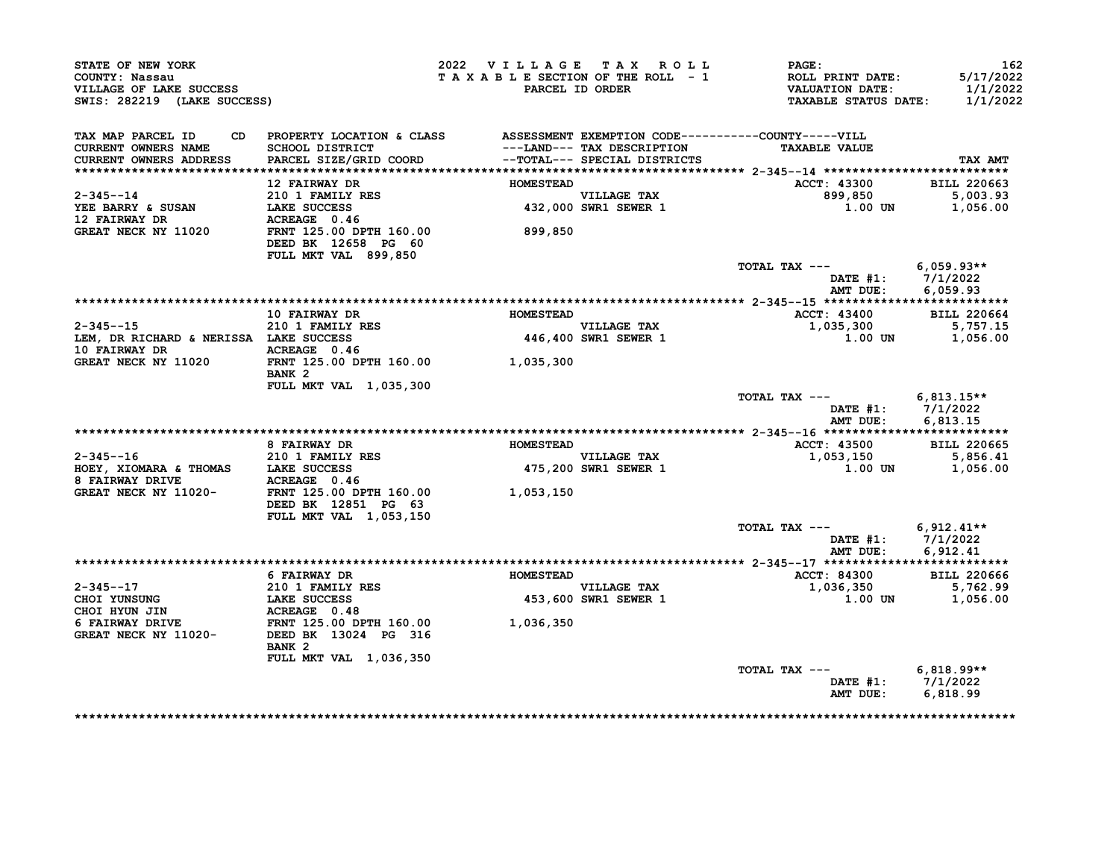| STATE OF NEW YORK<br>COUNTY: Nassau<br>VILLAGE OF LAKE SUCCESS<br>SWIS: 282219 (LAKE SUCCESS) |                                                                                                                              | 2022 VILLAGE TAX ROLL | TAXABLE SECTION OF THE ROLL - 1<br>PARCEL ID ORDER         | <b>PAGE:</b><br>ROLL PRINT DATE:<br><b>VALUATION DATE:</b><br><b>TAXABLE STATUS DATE:</b> | 162<br>5/17/2022<br>1/1/2022<br>1/1/2022 |
|-----------------------------------------------------------------------------------------------|------------------------------------------------------------------------------------------------------------------------------|-----------------------|------------------------------------------------------------|-------------------------------------------------------------------------------------------|------------------------------------------|
| TAX MAP PARCEL ID<br><b>CURRENT OWNERS NAME</b><br>CURRENT OWNERS ADDRESS                     | CD PROPERTY LOCATION & CLASS ASSESSMENT EXEMPTION CODE----------COUNTY-----VILL<br>SCHOOL DISTRICT<br>PARCEL SIZE/GRID COORD |                       | ---LAND--- TAX DESCRIPTION<br>--TOTAL--- SPECIAL DISTRICTS | <b>TAXABLE VALUE</b>                                                                      | TAX AMT                                  |
|                                                                                               | 12 FAIRWAY DR                                                                                                                | <b>HOMESTEAD</b>      |                                                            | <b>ACCT: 43300</b>                                                                        | <b>BILL 220663</b>                       |
| $2 - 345 - -14$<br>YEE BARRY & SUSAN<br><b>12 FAIRWAY DR</b>                                  | 210 1 FAMILY RES<br>LAKE SUCCESS<br>ACREAGE 0.46                                                                             |                       | VILLAGE TAX<br>432,000 SWR1 SEWER 1                        | 899,850<br>$1.00$ UN                                                                      | 5,003.93<br>1,056.00                     |
| GREAT NECK NY 11020                                                                           | FRNT 125.00 DPTH 160.00<br>DEED BK 12658 PG 60<br>FULL MKT VAL 899,850                                                       | 899,850               |                                                            |                                                                                           |                                          |
|                                                                                               |                                                                                                                              |                       |                                                            | TOTAL TAX ---<br>DATE #1: 7/1/2022<br>AMT DUE:                                            | 6,059.93**<br>6.059.93                   |
|                                                                                               |                                                                                                                              |                       |                                                            |                                                                                           |                                          |
|                                                                                               | 10 FAIRWAY DR                                                                                                                | <b>HOMESTEAD</b>      |                                                            | <b>ACCT: 43400</b>                                                                        | <b>BILL 220664</b>                       |
| $2 - 345 - -15$<br>LEM, DR RICHARD & NERISSA LAKE SUCCESS<br>10 FAIRWAY DR                    | 210 1 FAMILY RES<br>ACREAGE 0.46                                                                                             |                       | <b>VILLAGE TAX</b><br><b>446,400 SWR1 SEWER 1</b>          | 1,035,300<br>1.00 UN                                                                      | 5,757.15<br>1,056.00                     |
| GREAT NECK NY 11020                                                                           | FRNT 125.00 DPTH 160.00<br>BANK <sub>2</sub>                                                                                 | 1,035,300             |                                                            |                                                                                           |                                          |
|                                                                                               | FULL MKT VAL 1,035,300                                                                                                       |                       |                                                            | TOTAL TAX ---<br>DATE #1: 7/1/2022<br>AMT DUE:                                            | $6,813.15**$<br>6,813.15                 |
|                                                                                               |                                                                                                                              |                       |                                                            |                                                                                           |                                          |
|                                                                                               | <b>8 FAIRWAY DR</b>                                                                                                          | <b>HOMESTEAD</b>      |                                                            | <b>ACCT: 43500</b>                                                                        | <b>BILL 220665</b>                       |
| $2 - 345 - -16$<br>HOEY, XIOMARA & THOMAS LAKE SUCCESS<br>8 FAIRWAY DRIVE <b>ACREAGE</b> 0.46 | 210 1 FAMILY RES                                                                                                             |                       | <b>VILLAGE TAX</b><br><b>475,200 SWR1 SEWER 1</b>          | 1,053,150<br>1.00 UN                                                                      | 5,856.41<br>1,056.00                     |
| GREAT NECK NY 11020-                                                                          | FRNT 125.00 DPTH 160.00<br>DEED BK 12851 PG 63<br>FULL MKT VAL 1,053,150                                                     | 1,053,150             |                                                            |                                                                                           |                                          |
|                                                                                               |                                                                                                                              |                       |                                                            | TOTAL TAX ---<br>DATE #1: 7/1/2022<br>AMT DUE:                                            | $6,912.41**$<br>6,912.41                 |
|                                                                                               |                                                                                                                              |                       |                                                            |                                                                                           |                                          |
| 2-345--17                                                                                     | 6 FAIRWAY DR<br>210 1 FAMILY RES                                                                                             | <b>HOMESTEAD</b>      | VILLAGE TAX<br>453,600 SWR1 SEWER 1                        | <b>ACCT: 84300</b><br>1,036,350<br>1.00 UN                                                | <b>BILL 220666</b><br>5,762.99           |
| CHOI YUNSUNG<br>CHOI HYUN JIN<br><b>6 FAIRWAY DRIVE</b>                                       | <b>LAKE SUCCESS</b><br>ACREAGE 0.48<br>FRNT 125.00 DPTH 160.00                                                               | 1,036,350             |                                                            |                                                                                           | 1,056.00                                 |
| GREAT NECK NY 11020-                                                                          | DEED BK 13024 PG 316                                                                                                         |                       |                                                            |                                                                                           |                                          |
|                                                                                               | BANK <sub>2</sub><br><b>FULL MKT VAL 1,036,350</b>                                                                           |                       |                                                            |                                                                                           |                                          |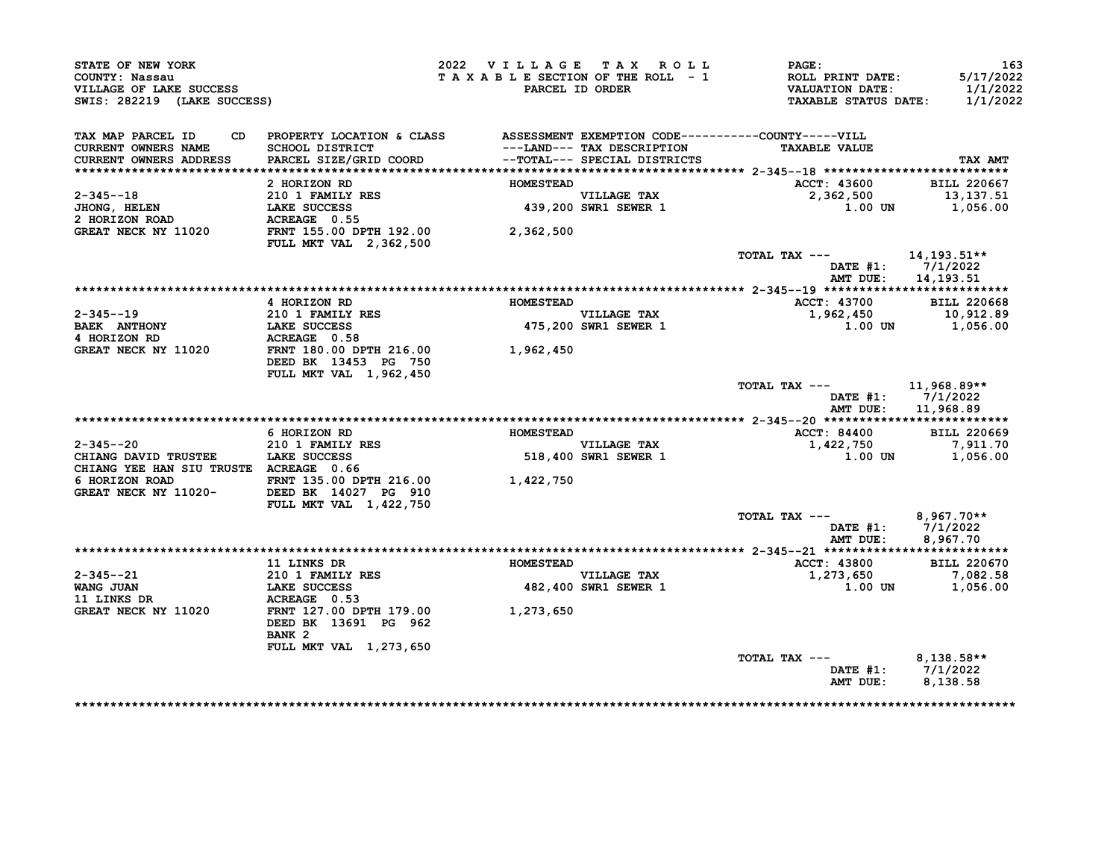| STATE OF NEW YORK<br>COUNTY: Nassau<br>VILLAGE OF LAKE SUCCESS<br>SWIS: 282219 (LAKE SUCCESS) |                                                                                 | 2022 VILLAGE TAX ROLL<br>TAXABLE SECTION OF THE ROLL - 1 | PARCEL ID ORDER                                             | $\mathtt{PAGE}$ :<br><b>ROLL PRINT DATE:</b><br><b>VALUATION DATE:</b><br><b>TAXABLE STATUS DATE:</b> | 163<br>5/17/2022<br>1/1/2022<br>1/1/2022 |
|-----------------------------------------------------------------------------------------------|---------------------------------------------------------------------------------|----------------------------------------------------------|-------------------------------------------------------------|-------------------------------------------------------------------------------------------------------|------------------------------------------|
| TAX MAP PARCEL ID                                                                             | CD PROPERTY LOCATION & CLASS ASSESSMENT EXEMPTION CODE----------COUNTY-----VILL |                                                          |                                                             |                                                                                                       |                                          |
| CURRENT OWNERS NAME<br>CURRENT OWNERS ADDRESS                                                 | SCHOOL DISTRICT<br>PARCEL SIZE/GRID COORD                                       |                                                          | ---LAND--- TAX DESCRIPTION<br>-- TOTAL--- SPECIAL DISTRICTS | <b>TAXABLE VALUE</b>                                                                                  | TAX AMT                                  |
|                                                                                               |                                                                                 |                                                          |                                                             |                                                                                                       |                                          |
|                                                                                               | 2 HORIZON RD                                                                    | <b>HOMESTEAD</b>                                         |                                                             | ACCT: 43600                                                                                           | <b>BILL 220667</b>                       |
| 2-345--18                                                                                     | 210 1 FAMILY RES                                                                |                                                          | VILLAGE TAX<br>439,200 SWR1 SEWER 1                         | 2,362,500                                                                                             | 13,137.51                                |
| <b>JHONG, HELEN</b><br>2 HORIZON ROAD                                                         | <b>LAKE SUCCESS</b><br>ACREAGE 0.55                                             |                                                          |                                                             |                                                                                                       | $1.00$ UN $1.056.00$                     |
| GREAT NECK NY 11020                                                                           | FRNT 155.00 DPTH 192.00                                                         | 2,362,500                                                |                                                             |                                                                                                       |                                          |
|                                                                                               | <b>FULL MKT VAL 2,362,500</b>                                                   |                                                          |                                                             |                                                                                                       |                                          |
|                                                                                               |                                                                                 |                                                          |                                                             | TOTAL TAX --- $14,193.51**$                                                                           | DATE #1: 7/1/2022                        |
|                                                                                               |                                                                                 |                                                          |                                                             | AMT DUE:                                                                                              | 14,193.51                                |
|                                                                                               |                                                                                 |                                                          |                                                             |                                                                                                       |                                          |
|                                                                                               | 4 HORIZON RD                                                                    | <b>HOMESTEAD</b>                                         |                                                             | ACCT: 43700 BILL 220668                                                                               |                                          |
| $2 - 345 - -19$                                                                               | 210 1 FAMILY RES<br>LAKE SUCCESS                                                |                                                          | VILLAGE TAX                                                 | 1,962,450 10,912.89                                                                                   |                                          |
| <b>BAEK ANTHONY</b>                                                                           |                                                                                 |                                                          | 475,200 SWR1 SEWER 1                                        | 1.00 UN                                                                                               | 1,056.00                                 |
| 4 HORIZON RD                                                                                  | ACREAGE 0.58                                                                    |                                                          |                                                             |                                                                                                       |                                          |
| GREAT NECK NY 11020                                                                           | FRNT 180.00 DPTH 216.00 1,962,450<br>DEED BK 13453 PG 750                       |                                                          |                                                             |                                                                                                       |                                          |
|                                                                                               | FULL MKT VAL 1,962,450                                                          |                                                          |                                                             |                                                                                                       |                                          |
|                                                                                               |                                                                                 |                                                          |                                                             | TOTAL TAX --- 11,968.89**                                                                             | DATE $#1: 7/1/2022$                      |
|                                                                                               |                                                                                 |                                                          |                                                             |                                                                                                       | AMT DUE: 11,968.89                       |
|                                                                                               | 6 HORIZON RD                                                                    | <b>HOMESTEAD</b>                                         |                                                             | <b>ACCT: 84400</b>                                                                                    | <b>BILL 220669</b>                       |
| $2 - 345 - -20$                                                                               | 210 1 FAMILY RES                                                                |                                                          | VILLAGE TAX                                                 |                                                                                                       |                                          |
| CHIANG DAVID TRUSTEE LAKE SUCCESS                                                             |                                                                                 |                                                          | 518,400 SWR1 SEWER 1                                        | 1,422,750 7,911.70<br>1,00 UN 1,056,00<br>1.00 UN                                                     | 1,056.00                                 |
| CHIANG YEE HAN SIU TRUSTE ACREAGE 0.66                                                        |                                                                                 |                                                          |                                                             |                                                                                                       |                                          |
| 6 HORIZON ROAD                                                                                | FRNT 135.00 DPTH 216.00                                                         | 1,422,750                                                |                                                             |                                                                                                       |                                          |
| GREAT NECK NY 11020-                                                                          | DEED BK 14027 PG 910<br>FULL MKT VAL 1,422,750                                  |                                                          |                                                             |                                                                                                       |                                          |
|                                                                                               |                                                                                 |                                                          |                                                             | TOTAL TAX $---$ 8,967.70**                                                                            |                                          |
|                                                                                               |                                                                                 |                                                          |                                                             | AMT DUE:                                                                                              | DATE #1: 7/1/2022<br>8,967.70            |
|                                                                                               |                                                                                 |                                                          |                                                             |                                                                                                       |                                          |
|                                                                                               | <b>11 LINKS DR</b>                                                              | <b>HOMESTEAD</b>                                         |                                                             | <b>ACCT: 43800</b>                                                                                    | <b>BILL 220670</b>                       |
| $2 - 345 - -21$                                                                               |                                                                                 |                                                          | <b>VILLAGE TAX</b>                                          | 1,273,650                                                                                             | 7,082.58                                 |
| WANG JUAN                                                                                     | 210 1 FAMILY RES<br>LAKE SUCCESS<br>ACREAGE 0.53                                |                                                          | 482,400 SWR1 SEWER 1                                        | 1.00 UN                                                                                               | 1,056.00                                 |
| 11 LINKS DR                                                                                   |                                                                                 |                                                          |                                                             |                                                                                                       |                                          |
| GREAT NECK NY 11020                                                                           | FRNT 127.00 DPTH 179.00                                                         | 1,273,650                                                |                                                             |                                                                                                       |                                          |
|                                                                                               | DEED BK 13691 PG 962<br>BANK <sub>2</sub>                                       |                                                          |                                                             |                                                                                                       |                                          |
|                                                                                               | FULL MKT VAL 1,273,650                                                          |                                                          |                                                             |                                                                                                       |                                          |
|                                                                                               |                                                                                 |                                                          |                                                             | TOTAL TAX --- $8,138.58**$                                                                            |                                          |
|                                                                                               |                                                                                 |                                                          |                                                             |                                                                                                       | DATE #1: 7/1/2022<br>AMT DUE: 8,138.58   |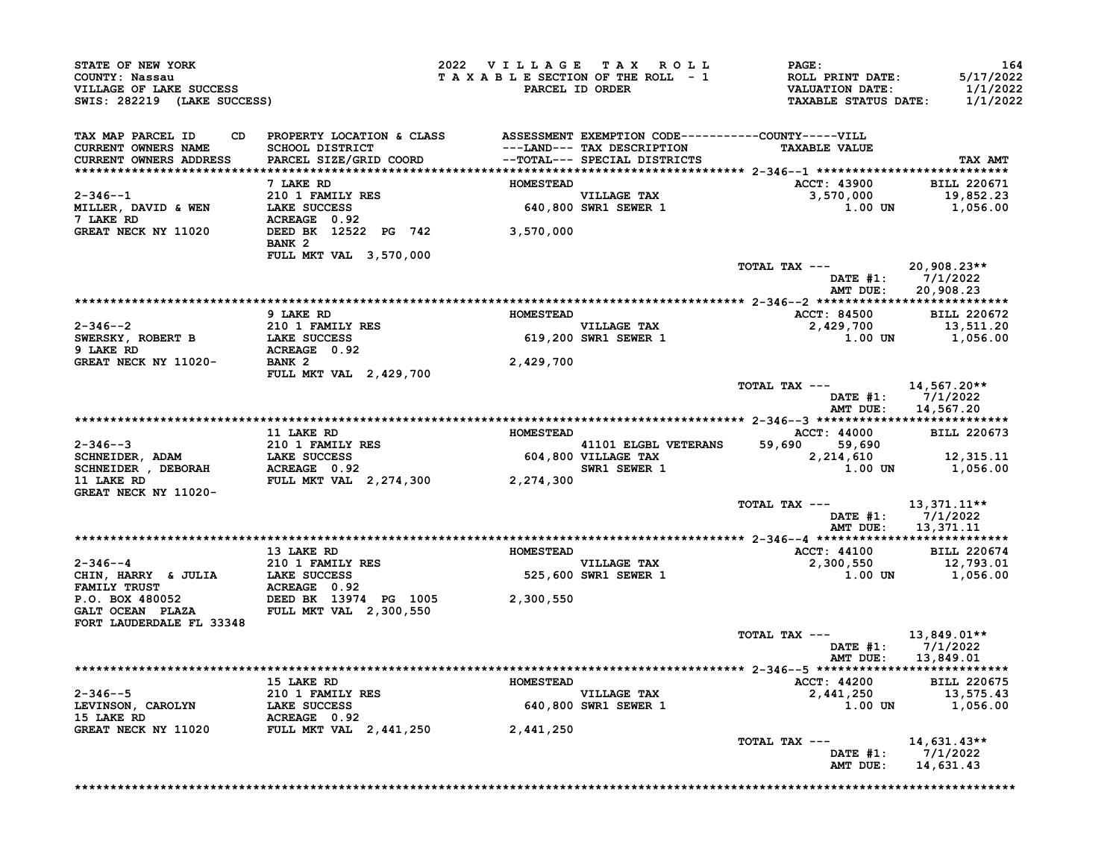| STATE OF NEW YORK<br>COUNTY: Nassau<br>VILLAGE OF LAKE SUCCESS<br>SWIS: 282219 (LAKE SUCCESS) |                                                                                                                                  | 2022 VILLAGE TAX ROLL<br>TAXABLE SECTION OF THE ROLL - 1 | PARCEL ID ORDER                                                                            | <b>PAGE:</b><br><b>ROLL PRINT DATE:</b><br><b>VALUATION DATE:</b><br>TAXABLE STATUS DATE: 1/1/2022 | 164<br>5/17/2022<br>1/1/2022                  |
|-----------------------------------------------------------------------------------------------|----------------------------------------------------------------------------------------------------------------------------------|----------------------------------------------------------|--------------------------------------------------------------------------------------------|----------------------------------------------------------------------------------------------------|-----------------------------------------------|
| TAX MAP PARCEL ID<br>CD.<br><b>CURRENT OWNERS NAME</b><br>CURRENT OWNERS ADDRESS              | PROPERTY LOCATION & CLASS ASSESSMENT EXEMPTION CODE----------COUNTY-----VILL<br><b>SCHOOL DISTRICT</b><br>PARCEL SIZE/GRID COORD |                                                          | ---LAND--- TAX DESCRIPTION<br>--TOTAL--- SPECIAL DISTRICTS<br>--TOTAL--- SPECIAL DISTRICTS | <b>TAXABLE VALUE</b>                                                                               | TAX AMT                                       |
|                                                                                               | 7 LAKE RD                                                                                                                        | <b>HOMESTEAD</b>                                         |                                                                                            | <b>ACCT: 43900</b>                                                                                 | <b>BILL 220671</b>                            |
| $2 - 346 - -1$                                                                                | 210 1 FAMILY RES                                                                                                                 |                                                          |                                                                                            | 3,570,000                                                                                          | 19,852.23                                     |
| MILLER, DAVID & WEN                                                                           | LAKE SUCCESS                                                                                                                     |                                                          | VILLAGE TAX<br>640,800 SWR1 SEWER 1                                                        | 1.00 UN                                                                                            | 1,056.00                                      |
| 7 LAKE RD<br>GREAT NECK NY 11020                                                              | ACREAGE 0.92<br>DEED BK 12522 PG 742 3,570,000<br>BANK <sub>2</sub>                                                              |                                                          |                                                                                            |                                                                                                    |                                               |
|                                                                                               | <b>FULL MKT VAL 3,570,000</b>                                                                                                    |                                                          |                                                                                            |                                                                                                    |                                               |
|                                                                                               |                                                                                                                                  |                                                          |                                                                                            | TOTAL TAX ---<br>AMT DUE:                                                                          | 20,908.23**<br>DATE #1: 7/1/2022<br>20,908.23 |
|                                                                                               |                                                                                                                                  |                                                          |                                                                                            |                                                                                                    |                                               |
| 2-346--2                                                                                      | 9 LAKE RD<br>210 1 FAMILY RES                                                                                                    | <b>HOMESTEAD</b>                                         |                                                                                            | <b>ACCT: 84500</b><br>2,429,700                                                                    | <b>BILL 220672</b><br>13,511.20               |
| SWERSKY, ROBERT B<br>9 LAKE RD                                                                | LAKE SUCCESS<br>COMPOUNDERS<br>ACREAGE 0.92<br>BANK ?                                                                            |                                                          | VILLAGE TAX<br>619,200 SWR1 SEWER 1                                                        |                                                                                                    | 1.00 UN 1,056.00                              |
| GREAT NECK NY 11020-                                                                          | <b>FULL MKT VAL 2,429,700</b>                                                                                                    | 2,429,700                                                |                                                                                            |                                                                                                    |                                               |
|                                                                                               |                                                                                                                                  |                                                          |                                                                                            | TOTAL TAX --- 14,567.20**                                                                          | DATE #1: 7/1/2022                             |
|                                                                                               |                                                                                                                                  |                                                          |                                                                                            |                                                                                                    | AMT DUE: 14,567.20                            |
|                                                                                               | 11 LAKE RD                                                                                                                       | <b>HOMESTEAD</b>                                         |                                                                                            | ACCT: 44000                                                                                        | <b>BILL 220673</b>                            |
| $2 - 346 - -3$                                                                                |                                                                                                                                  |                                                          |                                                                                            | 59,690 59,690                                                                                      |                                               |
| SCHNEIDER, ADAM                                                                               | 210 1 FAMILY RES<br>LAKE SUCCESS<br>ACREAGE 0.92                                                                                 |                                                          | 41101 ELGBL VETERANS $59,690$<br>604,800 VILLAGE TAX<br>SWR1 SEWER 1                       | 2,214,610                                                                                          | 12,315.11                                     |
| SCHNEIDER , DEBORAH<br>11 LAKE RD<br>GREAT NECK NY 11020-                                     | FULL MKT VAL 2,274,300 2,274,300                                                                                                 |                                                          |                                                                                            | $1.00$ UN                                                                                          | 1,056.00                                      |
|                                                                                               |                                                                                                                                  |                                                          |                                                                                            | TOTAL TAX --- 13,371.11**<br>AMT DUE:                                                              | DATE #1: 7/1/2022<br>13,371.11                |
|                                                                                               |                                                                                                                                  |                                                          |                                                                                            |                                                                                                    |                                               |
|                                                                                               | 13 LAKE RD                                                                                                                       | <b>HOMESTEAD</b>                                         |                                                                                            | <b>ACCT: 44100</b>                                                                                 | <b>BILL 220674</b>                            |
| 2-346--4                                                                                      | 210 1 FAMILY RES                                                                                                                 |                                                          | VILLAGE TAX<br>525,600 SWR1 SEWER 1                                                        | 2,300,550<br>1.00 UN                                                                               | 12,793.01<br>1,056.00                         |
| FORT LAUDERDALE FL 33348                                                                      |                                                                                                                                  | 2,300,550                                                |                                                                                            |                                                                                                    |                                               |
|                                                                                               |                                                                                                                                  |                                                          |                                                                                            | TOTAL TAX ---                                                                                      | 13,849.01**<br>DATE #1: $7/1/2022$            |
|                                                                                               |                                                                                                                                  |                                                          |                                                                                            | AMT DUE:                                                                                           | 13,849.01                                     |
|                                                                                               | 15 LAKE RD                                                                                                                       | <b>HOMESTEAD</b>                                         |                                                                                            | ACCT: 44200                                                                                        | <b>BILL 220675</b>                            |
| $2 - 346 - -5$                                                                                | 210 1 FAMILY RES                                                                                                                 |                                                          | VILLAGE TAX                                                                                | 2,441,250                                                                                          | 13,575.43                                     |
| LEVINSON, CAROLYN<br>15 LAKE RD                                                               | LAKE SUCCESS<br>ACREAGE 0.92                                                                                                     |                                                          | 640,800 SWR1 SEWER 1                                                                       | $1.00$ UN                                                                                          | 1,056.00                                      |
| GREAT NECK NY 11020                                                                           | FULL MKT VAL 2,441,250                                                                                                           | 2,441,250                                                |                                                                                            |                                                                                                    |                                               |
|                                                                                               |                                                                                                                                  |                                                          |                                                                                            | TOTAL TAX $---$<br>DATE $#1$ :                                                                     | 14,631.43**<br>7/1/2022                       |
|                                                                                               |                                                                                                                                  |                                                          |                                                                                            |                                                                                                    |                                               |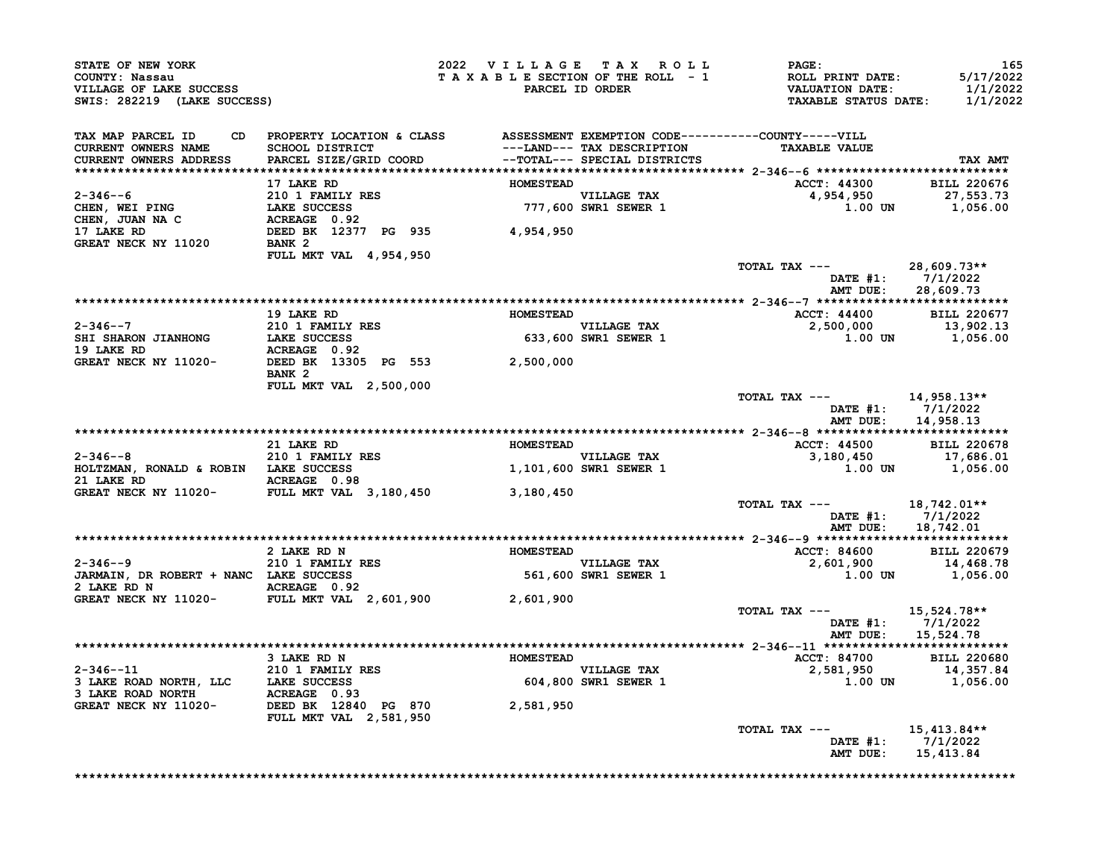| <b>CONNII: NASSAU<br/>VILLAGE OF LAKE SUCCESS<br/>SWIS: 282219 (LAKE SUCCESS)</b>                                                                                                                                                                                           |                               | 2022 VILLAGE TAX ROLL | <b>PAGE:</b><br>TAXABLE SECTION OF THE ROLL - 1<br>PARCEL ID ORDER VALUATION DATE: 5/17/2022<br>PARCEL ID ORDER TAXABLE STATUS DATE: 1/1/2022                                                                                                                                                                                                                                                                      | 165                                     |
|-----------------------------------------------------------------------------------------------------------------------------------------------------------------------------------------------------------------------------------------------------------------------------|-------------------------------|-----------------------|--------------------------------------------------------------------------------------------------------------------------------------------------------------------------------------------------------------------------------------------------------------------------------------------------------------------------------------------------------------------------------------------------------------------|-----------------------------------------|
| TAX MAP PARCEL ID CD PROPERTY LOCATION & CLASS ASSESSMENT EXEMPTION CODE----------COUNTY-----VILL<br>CURRENT OWNERS NAME SCHOOL DISTRICT ---LAND--- TAX DESCRIPTION TAXABLE VALUE<br>CURRENT OWNERS ADDRESS PARCEL SIZE/GRID COORD -                                        |                               |                       |                                                                                                                                                                                                                                                                                                                                                                                                                    | TAX AMT                                 |
|                                                                                                                                                                                                                                                                             |                               |                       | ACCT: 44300 BILL 220676                                                                                                                                                                                                                                                                                                                                                                                            |                                         |
|                                                                                                                                                                                                                                                                             |                               |                       | $4,954,950$<br>$1.00$ UN $1,056.00$                                                                                                                                                                                                                                                                                                                                                                                |                                         |
| 2-346--6<br>2-346--6<br>CHEN, WEI PING<br>CHEN, JUAN NA C<br>CHEN, JUAN NA C<br>210 1 FAMILY RES<br>CHEN, JUAN NA C<br>217 LAKE SUCCESS<br>22<br>22<br>22<br>22<br>22<br>22<br>22<br>22<br>2377 PG 935<br>2377 PG 935<br>237<br>24,954,950<br>234,950<br>237<br>262<br>2377 | <b>FULL MKT VAL 4,954,950</b> |                       |                                                                                                                                                                                                                                                                                                                                                                                                                    |                                         |
|                                                                                                                                                                                                                                                                             |                               |                       | TOTAL TAX --- $28,609.73**$<br>DATE #1: 7/1/2022                                                                                                                                                                                                                                                                                                                                                                   | AMT DUE: 28,609.73                      |
|                                                                                                                                                                                                                                                                             |                               |                       |                                                                                                                                                                                                                                                                                                                                                                                                                    |                                         |
|                                                                                                                                                                                                                                                                             |                               |                       |                                                                                                                                                                                                                                                                                                                                                                                                                    |                                         |
|                                                                                                                                                                                                                                                                             |                               |                       | $\begin{tabular}{lcccccc c} 2-346--7 & 19 LAKE RD & 210 1 FAMILI ESS & 210 1 FAMILI ESS & 2,500,000 & 13,902.13 \\ & & LAKE SUCESS & 2,500,000 & 13,902.13 \\ SHE SHARON JIANHONG & LAKE SUCESS & 2,500,000 & 13,902.13 \\ & & LAECESCESS & 2,500,000 & 1,056.00 \\ & & BELDEDE DE EDE BED BK & 13305 PG & 553 & 2,500,000 \\ \end{tabular}$                                                                       |                                         |
|                                                                                                                                                                                                                                                                             | BANK 2                        |                       |                                                                                                                                                                                                                                                                                                                                                                                                                    |                                         |
|                                                                                                                                                                                                                                                                             | <b>FULL MKT VAL 2,500,000</b> |                       | TOTAL TAX --- $14,958.13**$                                                                                                                                                                                                                                                                                                                                                                                        | DATE #1: 7/1/2022<br>AMT DUE: 14,958.13 |
|                                                                                                                                                                                                                                                                             |                               |                       |                                                                                                                                                                                                                                                                                                                                                                                                                    |                                         |
|                                                                                                                                                                                                                                                                             |                               |                       |                                                                                                                                                                                                                                                                                                                                                                                                                    |                                         |
|                                                                                                                                                                                                                                                                             |                               |                       | $\begin{tabular}{ccccccccc} 2-346--8 & 21 LARE RD & 210 LARE RD & 210 LARE RD & 2101 FAMILY RES & 2-346--8 & 3,180,450 & 3,180,450 & 3,180,450 & 1,056.00 \\ & & & & & & & & & \\ \hline \text{CREAT NECK NY} & 11020- & 11020- & 3,180,450 & 3,180,450 & 3,180,450 & 3,180,450 & 3,180,450 & 3,180,450 & 3,180,450$                                                                                               |                                         |
|                                                                                                                                                                                                                                                                             |                               |                       | TOTAL TAX $---$ 18,742.01**                                                                                                                                                                                                                                                                                                                                                                                        | DATE #1: 7/1/2022<br>AMT DUE: 18,742.01 |
|                                                                                                                                                                                                                                                                             |                               |                       |                                                                                                                                                                                                                                                                                                                                                                                                                    |                                         |
|                                                                                                                                                                                                                                                                             |                               |                       |                                                                                                                                                                                                                                                                                                                                                                                                                    |                                         |
|                                                                                                                                                                                                                                                                             |                               |                       | EXERED 2 DAKE RD N<br>2 DAKE RD N<br>2 DAKE RD N<br>2 DAKE RD N<br>2 DAKE RD N<br>2 DAKE RD N<br>2 DAKE RD N<br>2 DAKE SUCCESS<br>2 DAKMAIN, DR ROBERT + NANC LAKE SUCCESS<br>2 DARMAIN, DR ROBERT + NANC LAKE SUCCESS<br>2 DAKMAIN, DR ROBERT +                                                                                                                                                                   |                                         |
|                                                                                                                                                                                                                                                                             |                               |                       |                                                                                                                                                                                                                                                                                                                                                                                                                    |                                         |
|                                                                                                                                                                                                                                                                             |                               |                       | TOTAL TAX $---$ 15,524.78**                                                                                                                                                                                                                                                                                                                                                                                        | DATE #1: 7/1/2022<br>AMT DUE: 15,524.78 |
|                                                                                                                                                                                                                                                                             |                               |                       |                                                                                                                                                                                                                                                                                                                                                                                                                    |                                         |
|                                                                                                                                                                                                                                                                             |                               |                       |                                                                                                                                                                                                                                                                                                                                                                                                                    |                                         |
|                                                                                                                                                                                                                                                                             |                               |                       |                                                                                                                                                                                                                                                                                                                                                                                                                    |                                         |
|                                                                                                                                                                                                                                                                             |                               |                       | $\begin{tabular}{lllllllllllllllll} \multicolumn{4}{c }{\textbf{2-346--11}} & & & & & & \\ \multicolumn{4}{c }{\textbf{3-1265--11}} & & & & & & \\ \multicolumn{4}{c }{\textbf{3-1265--11}} & & & & & \\ \multicolumn{4}{c }{\textbf{3-1265--11}} & & & & & \\ \multicolumn{4}{c }{\textbf{3-1265--11}} & & & & & \\ \multicolumn{4}{c }{\textbf{3-1265--11}} & & & & & \\ \multicolumn{4}{c }{\textbf{3-1265--11$ |                                         |
|                                                                                                                                                                                                                                                                             |                               |                       | TOTAL TAX ---<br>AMT DUE: 15,413.84                                                                                                                                                                                                                                                                                                                                                                                | 15,413.84**<br>DATE #1: 7/1/2022        |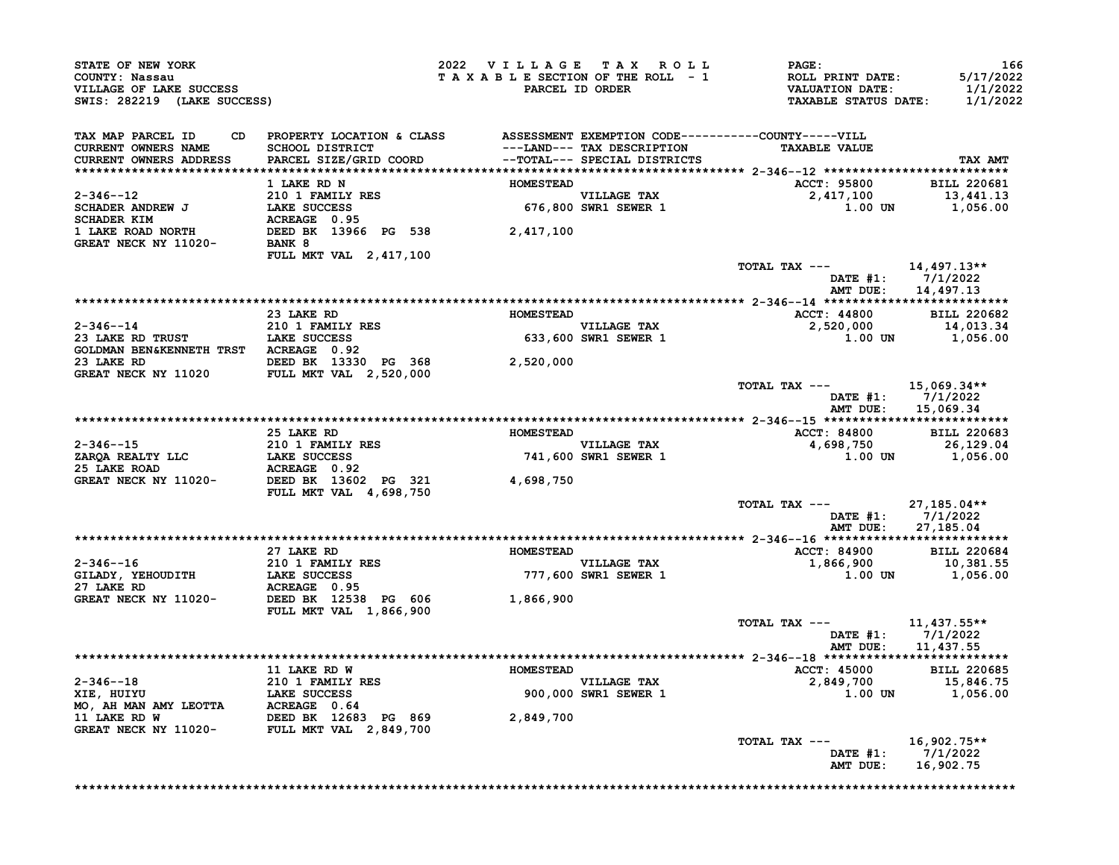| COUNTY: Nassau<br>VILLAGE OF LAKE SUCCESS<br>SWIS: 282219 (LAKE SUCCESS)                                                                                                                                                                                                                                                                                                                                                                                                                |                                                                                                                                                                                              |                  | 2022 VILLAGE TAX ROLL<br>TAXABLE SECTION OF THE ROLL - 1<br>PARCEL ID ORDER | <b>PAGE :</b><br>ROLL PRINT DATE:<br>VALUATION DATE:<br>TAXABLE STATUS DATE: | 166<br>5/17/2022<br>1/1/2022<br>1/1/2022 |
|-----------------------------------------------------------------------------------------------------------------------------------------------------------------------------------------------------------------------------------------------------------------------------------------------------------------------------------------------------------------------------------------------------------------------------------------------------------------------------------------|----------------------------------------------------------------------------------------------------------------------------------------------------------------------------------------------|------------------|-----------------------------------------------------------------------------|------------------------------------------------------------------------------|------------------------------------------|
| TAX MAP PARCEL ID<br>CD                                                                                                                                                                                                                                                                                                                                                                                                                                                                 | PROPERTY LOCATION & CLASS ASSESSMENT EXEMPTION CODE----------COUNTY-----VILL                                                                                                                 |                  |                                                                             |                                                                              |                                          |
| CURRENT OWNERS NAME<br>CURRENT OWNERS ADDRESS                                                                                                                                                                                                                                                                                                                                                                                                                                           | SCHOOL DISTRICT                                     ---LAND--- TAX DESCRIPTION<br>PARCEL SIZE/GRID COORD             --TOTAL--- SPECIAL DISTRICTS                                            |                  |                                                                             | <b>TAXABLE VALUE</b>                                                         | TAX AMT                                  |
|                                                                                                                                                                                                                                                                                                                                                                                                                                                                                         |                                                                                                                                                                                              |                  |                                                                             |                                                                              |                                          |
| $\begin{tabular}{lllllllllllllllllllll} \multicolumn{3}{c}{\multicolumn{3}{c}{\multicolumn{3}{c}{\multicolumn{3}{c}{\multicolumn{3}{c}{\multicolumn{3}{c}{\multicolumn{3}{c}{\multicolumn{3}{c}{\multicolumn{3}{c}{\multicolumn{3}{c}{\multicolumn{3}{c}{\multicolumn{3}{c}{\multicolumn{3}{c}{\multicolumn{3}{c}{\multicolumn{3}{c}{\multicolumn{3}{c}{\multicolumn{3}{c}{\multicolumn{3}{c}{\multicolumn{3}{c}{\multicolumn{3}{c}{\multicolumn{3}{c}{\multicolumn{3}{c}{\multicolumn$ |                                                                                                                                                                                              |                  |                                                                             | <b>ACCT: 95800</b>                                                           | BILL 220681                              |
|                                                                                                                                                                                                                                                                                                                                                                                                                                                                                         |                                                                                                                                                                                              |                  |                                                                             | ACCT: 3336.<br>2,417,100 13,441.22<br>1,056.00 1 1,056.00                    |                                          |
|                                                                                                                                                                                                                                                                                                                                                                                                                                                                                         |                                                                                                                                                                                              |                  |                                                                             |                                                                              |                                          |
|                                                                                                                                                                                                                                                                                                                                                                                                                                                                                         |                                                                                                                                                                                              |                  |                                                                             |                                                                              |                                          |
|                                                                                                                                                                                                                                                                                                                                                                                                                                                                                         |                                                                                                                                                                                              |                  |                                                                             |                                                                              |                                          |
|                                                                                                                                                                                                                                                                                                                                                                                                                                                                                         | FULL MKT VAL 2, 417, 100                                                                                                                                                                     |                  |                                                                             |                                                                              |                                          |
|                                                                                                                                                                                                                                                                                                                                                                                                                                                                                         |                                                                                                                                                                                              |                  |                                                                             | TOTAL TAX ---                                                                | 14,497.13**                              |
|                                                                                                                                                                                                                                                                                                                                                                                                                                                                                         |                                                                                                                                                                                              |                  |                                                                             |                                                                              | DATE #1: 7/1/2022<br>AMT DUE: 14,497.13  |
|                                                                                                                                                                                                                                                                                                                                                                                                                                                                                         |                                                                                                                                                                                              |                  |                                                                             |                                                                              |                                          |
|                                                                                                                                                                                                                                                                                                                                                                                                                                                                                         | 23 LAKE RD                                                                                                                                                                                   | <b>HOMESTEAD</b> |                                                                             | <b>ACCT: 44800</b>                                                           | <b>BILL 220682</b>                       |
|                                                                                                                                                                                                                                                                                                                                                                                                                                                                                         |                                                                                                                                                                                              |                  | VILLAGE TAX<br>633,600 SWR1 SEWER 1                                         | 2,520,000 14,013.34<br>1.00 UN 1,056.00                                      |                                          |
| 2-346--14<br>210 1 FAMILY RES<br>23 LAKE RD TRUST<br>GOLDMAN BEN&KENNETH TRST<br>ACREAGE 0.92                                                                                                                                                                                                                                                                                                                                                                                           |                                                                                                                                                                                              |                  |                                                                             |                                                                              |                                          |
| 23 LAKE RD 2,520,000<br>GREAT NECK NY 11020 FULL MKT VAL 2,520,000                                                                                                                                                                                                                                                                                                                                                                                                                      |                                                                                                                                                                                              |                  |                                                                             |                                                                              |                                          |
|                                                                                                                                                                                                                                                                                                                                                                                                                                                                                         |                                                                                                                                                                                              |                  |                                                                             |                                                                              |                                          |
|                                                                                                                                                                                                                                                                                                                                                                                                                                                                                         |                                                                                                                                                                                              |                  |                                                                             | TOTAL TAX --- $15,069.34**$                                                  |                                          |
|                                                                                                                                                                                                                                                                                                                                                                                                                                                                                         |                                                                                                                                                                                              |                  |                                                                             |                                                                              | DATE #1: 7/1/2022<br>AMT DUE: 15,069.34  |
|                                                                                                                                                                                                                                                                                                                                                                                                                                                                                         | 25 LAKE RD                                                                                                                                                                                   | <b>HOMESTEAD</b> |                                                                             | <b>ACCT: 84800</b>                                                           | <b>BILL 220683</b>                       |
|                                                                                                                                                                                                                                                                                                                                                                                                                                                                                         |                                                                                                                                                                                              |                  | VILLAGE TAX<br>741,600 SWR1 SEWER 1                                         | $4,698,750$<br>$1.00$ UN $1,056.00$                                          |                                          |
|                                                                                                                                                                                                                                                                                                                                                                                                                                                                                         |                                                                                                                                                                                              |                  |                                                                             |                                                                              |                                          |
|                                                                                                                                                                                                                                                                                                                                                                                                                                                                                         |                                                                                                                                                                                              |                  |                                                                             |                                                                              |                                          |
|                                                                                                                                                                                                                                                                                                                                                                                                                                                                                         | 2-346--15<br>210 1 FAMILY RES<br>23 LAKE ROAD<br>210 1 FAMILY RES<br>25 LAKE ROAD<br>25 LAKE ROAD<br>25 LAKE ROAD<br>26 ACREAGE 0.92<br>27 DEED BK 13602 PG 321<br>21 FULL MKT VAL 4,698,750 | 4,698,750        |                                                                             |                                                                              |                                          |
|                                                                                                                                                                                                                                                                                                                                                                                                                                                                                         |                                                                                                                                                                                              |                  |                                                                             | TOTAL TAX ---                                                                | 27,185.04**                              |
|                                                                                                                                                                                                                                                                                                                                                                                                                                                                                         |                                                                                                                                                                                              |                  |                                                                             |                                                                              |                                          |
|                                                                                                                                                                                                                                                                                                                                                                                                                                                                                         |                                                                                                                                                                                              |                  |                                                                             |                                                                              | DATE #1: 7/1/2022                        |
|                                                                                                                                                                                                                                                                                                                                                                                                                                                                                         |                                                                                                                                                                                              |                  |                                                                             |                                                                              | AMT DUE: 27,185.04                       |
|                                                                                                                                                                                                                                                                                                                                                                                                                                                                                         | 27 LAKE RD                                                                                                                                                                                   |                  |                                                                             | <b>ACCT: 84900</b>                                                           | <b>BILL 220684</b>                       |
|                                                                                                                                                                                                                                                                                                                                                                                                                                                                                         |                                                                                                                                                                                              | <b>HOMESTEAD</b> |                                                                             |                                                                              |                                          |
|                                                                                                                                                                                                                                                                                                                                                                                                                                                                                         |                                                                                                                                                                                              |                  | VILLAGE TAX<br>777,600 SWR1 SEWER 1                                         | $1,866,900$ $10,381.55$<br>1.00 UN                                           | 1,056.00                                 |
|                                                                                                                                                                                                                                                                                                                                                                                                                                                                                         |                                                                                                                                                                                              |                  |                                                                             |                                                                              |                                          |
|                                                                                                                                                                                                                                                                                                                                                                                                                                                                                         |                                                                                                                                                                                              |                  |                                                                             |                                                                              |                                          |
| 2-346--16<br>GILADY, YEHOUDITH 210 1 FAMILY RES<br>27 LAKE RD ACREAGE 0.95<br>GREAT NECK NY 11020- DEED BK 12538 PG 606 1,866,900<br>FULL MKT VAL 1,866,900 1,866,900                                                                                                                                                                                                                                                                                                                   |                                                                                                                                                                                              |                  |                                                                             | TOTAL TAX ---                                                                | 11,437.55**                              |
|                                                                                                                                                                                                                                                                                                                                                                                                                                                                                         |                                                                                                                                                                                              |                  |                                                                             |                                                                              | DATE #1: 7/1/2022<br>AMT DUE: 11,437.55  |
|                                                                                                                                                                                                                                                                                                                                                                                                                                                                                         |                                                                                                                                                                                              |                  |                                                                             |                                                                              |                                          |
|                                                                                                                                                                                                                                                                                                                                                                                                                                                                                         | 11 LAKE RD W                                                                                                                                                                                 | <b>HOMESTEAD</b> |                                                                             | <b>ACCT: 45000</b>                                                           | <b>BILL 220685</b>                       |
|                                                                                                                                                                                                                                                                                                                                                                                                                                                                                         |                                                                                                                                                                                              |                  |                                                                             | 2,849,700 15,846.75                                                          |                                          |
|                                                                                                                                                                                                                                                                                                                                                                                                                                                                                         |                                                                                                                                                                                              |                  | VILLAGE TAX<br>900,000 SWR1 SEWER 1                                         | 1.00 UN                                                                      | 1,056.00                                 |
|                                                                                                                                                                                                                                                                                                                                                                                                                                                                                         |                                                                                                                                                                                              |                  |                                                                             |                                                                              |                                          |
|                                                                                                                                                                                                                                                                                                                                                                                                                                                                                         |                                                                                                                                                                                              |                  |                                                                             |                                                                              |                                          |
|                                                                                                                                                                                                                                                                                                                                                                                                                                                                                         |                                                                                                                                                                                              |                  |                                                                             | TOTAL TAX ---                                                                | $16,902.75**$<br>DATE #1: 7/1/2022       |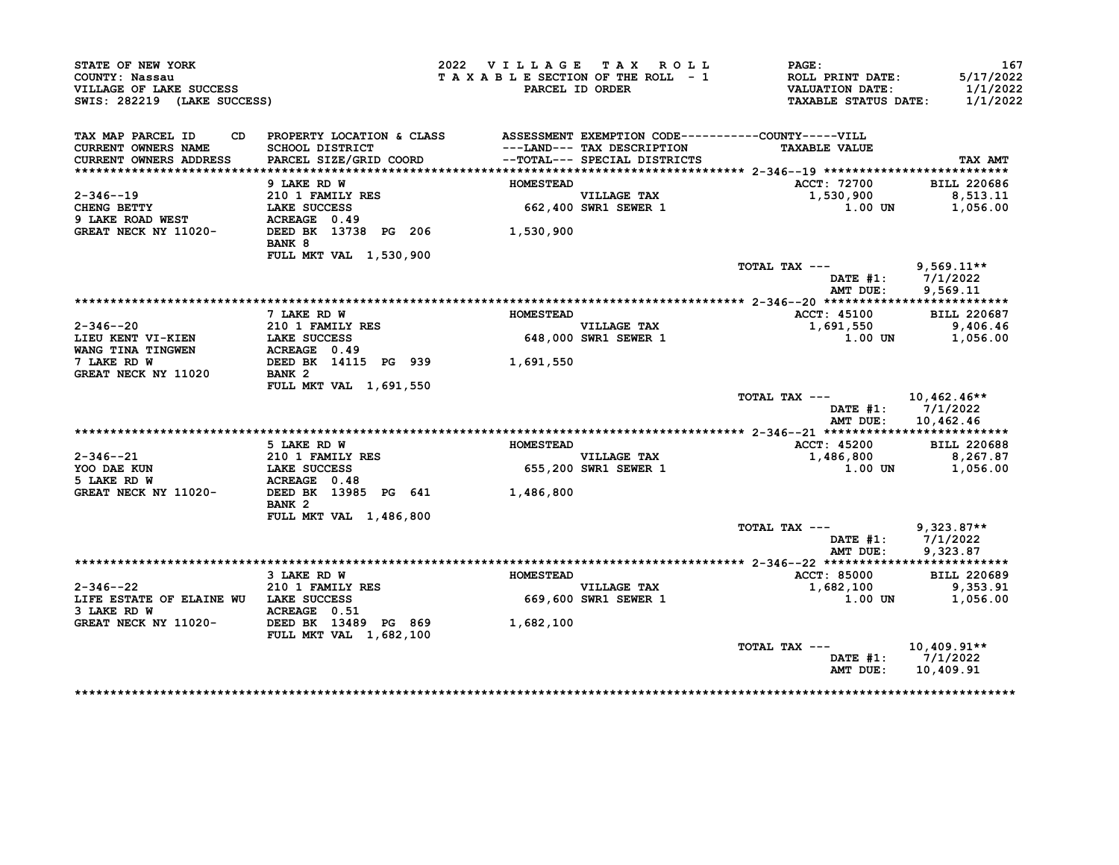| STATE OF NEW YORK<br>COUNTY: Nassau<br>VILLAGE OF LAKE SUCCESS<br>SWIS: 282219 (LAKE SUCCESS) |                                                                                                                           | 2022 VILLAGE TAX ROLL<br>TAXABLE SECTION OF THE ROLL - 1 | PARCEL ID ORDER                                            | PAGE:<br><b>ROLL PRINT DATE:</b><br><b>VALUATION DATE:</b><br><b>TAXABLE STATUS DATE:</b> | 167<br>5/17/2022<br>1/1/2022<br>1/1/2022 |
|-----------------------------------------------------------------------------------------------|---------------------------------------------------------------------------------------------------------------------------|----------------------------------------------------------|------------------------------------------------------------|-------------------------------------------------------------------------------------------|------------------------------------------|
| TAX MAP PARCEL ID<br>CD.<br><b>CURRENT OWNERS NAME</b><br>CURRENT OWNERS ADDRESS              | PROPERTY LOCATION & CLASS ASSESSMENT EXEMPTION CODE----------COUNTY-----VILL<br>SCHOOL DISTRICT<br>PARCEL SIZE/GRID COORD |                                                          | ---LAND--- TAX DESCRIPTION<br>--TOTAL--- SPECIAL DISTRICTS | <b>TAXABLE VALUE</b>                                                                      | TAX AMT                                  |
|                                                                                               |                                                                                                                           |                                                          |                                                            |                                                                                           |                                          |
|                                                                                               | 9 LAKE RD W                                                                                                               | <b>HOMESTEAD</b>                                         |                                                            | ACCT: 72700                                                                               | <b>BILL 220686</b>                       |
| $2 - 346 - -19$<br>CHENG BETTY                                                                | 210 1 FAMILY RES<br>LAKE SUCCESS                                                                                          |                                                          | <b>VILLAGE TAX</b><br>662,400 SWR1 SEWER 1                 | 1,530,900<br>1.00 UN                                                                      | 8,513.11<br>1,056.00                     |
| 9 LAKE ROAD WEST                                                                              | ACREAGE 0.49                                                                                                              |                                                          |                                                            |                                                                                           |                                          |
| GREAT NECK NY 11020-                                                                          | DEED BK 13738 PG 206 1,530,900<br>BANK 8                                                                                  |                                                          |                                                            |                                                                                           |                                          |
|                                                                                               | <b>FULL MKT VAL 1,530,900</b>                                                                                             |                                                          |                                                            |                                                                                           |                                          |
|                                                                                               |                                                                                                                           |                                                          |                                                            | TOTAL TAX ---                                                                             | $9,569.11**$<br>DATE $#1: 7/1/2022$      |
|                                                                                               |                                                                                                                           |                                                          |                                                            | AMT DUE:                                                                                  | 9,569.11                                 |
|                                                                                               | 7 LAKE RD W                                                                                                               | <b>HOMESTEAD</b>                                         |                                                            | <b>ACCT: 45100</b>                                                                        | <b>BILL 220687</b>                       |
| $2 - 346 - -20$                                                                               | <b>210 1 FAMILY RES</b>                                                                                                   |                                                          | VILLAGE TAX                                                | 1,691,550                                                                                 | 9,406.46                                 |
| LIEU KENT VI-KIEN                                                                             | LAKE SUCCESS                                                                                                              |                                                          | 648,000 SWR1 SEWER 1                                       | 1.00 UN                                                                                   | 1,056.00                                 |
| WANG TINA TINGWEN                                                                             | ACREAGE 0.49                                                                                                              |                                                          |                                                            |                                                                                           |                                          |
| 7 LAKE RD W                                                                                   | DEED BK 14115 PG 939                                                                                                      | 1,691,550                                                |                                                            |                                                                                           |                                          |
| GREAT NECK NY 11020                                                                           | BANK <sub>2</sub>                                                                                                         |                                                          |                                                            |                                                                                           |                                          |
|                                                                                               | FULL MKT VAL 1,691,550                                                                                                    |                                                          |                                                            | TOTAL TAX ---                                                                             | 10,462.46**                              |
|                                                                                               |                                                                                                                           |                                                          |                                                            | AMT DUE:                                                                                  | DATE #1: 7/1/2022<br>10,462.46           |
|                                                                                               |                                                                                                                           |                                                          |                                                            |                                                                                           |                                          |
|                                                                                               | 5 LAKE RD W                                                                                                               | <b>HOMESTEAD</b>                                         |                                                            | <b>ACCT: 45200</b>                                                                        | <b>BILL 220688</b>                       |
| 2-346--21                                                                                     | <b>210 1 FAMILY RES</b>                                                                                                   |                                                          | <b>VILLAGE TAX</b>                                         | 1,486,800                                                                                 | 8,267.87                                 |
| YOO DAE KUN                                                                                   | LAKE SUCCESS                                                                                                              |                                                          | 655,200 SWR1 SEWER 1                                       | $1.00$ UN                                                                                 | 1,056.00                                 |
| 5 LAKE RD W<br>GREAT NECK NY 11020-                                                           | ACREAGE 0.48<br>DEED BK 13985 PG 641 1,486,800<br>BANK <sub>2</sub>                                                       |                                                          |                                                            |                                                                                           |                                          |
|                                                                                               | FULL MKT VAL 1,486,800                                                                                                    |                                                          |                                                            |                                                                                           |                                          |
|                                                                                               |                                                                                                                           |                                                          |                                                            | TOTAL TAX ---                                                                             | $9,323.87**$                             |
|                                                                                               |                                                                                                                           |                                                          |                                                            |                                                                                           | DATE #1: 7/1/2022                        |
|                                                                                               |                                                                                                                           |                                                          |                                                            | AMT DUE:                                                                                  | 9,323.87                                 |
|                                                                                               |                                                                                                                           |                                                          |                                                            |                                                                                           |                                          |
|                                                                                               | 3 LAKE RD W                                                                                                               | <b>HOMESTEAD</b>                                         |                                                            | ACCT: 85000                                                                               | <b>BILL 220689</b>                       |
| 2-346--22<br>LIFE ESTATE OF ELAINE WU LAKE SUCCESS                                            | 210 1 FAMILY RES                                                                                                          |                                                          | <b>VILLAGE TAX</b><br>669,600 SWR1 SEWER 1                 | 1,682,100<br><b>1.00 UN</b>                                                               | 9,353.91<br>1,056.00                     |
| 3 LAKE RD W                                                                                   | ACREAGE 0.51                                                                                                              |                                                          |                                                            |                                                                                           |                                          |
| GREAT NECK NY 11020- DEED BK 13489 PG 869                                                     | FULL MKT VAL 1,682,100                                                                                                    | 1,682,100                                                |                                                            |                                                                                           |                                          |
|                                                                                               |                                                                                                                           |                                                          |                                                            | TOTAL TAX ---                                                                             | $10,409.91**$                            |
|                                                                                               |                                                                                                                           |                                                          |                                                            | DATE #1:<br>AMT DUE:                                                                      | 7/1/2022<br>10,409.91                    |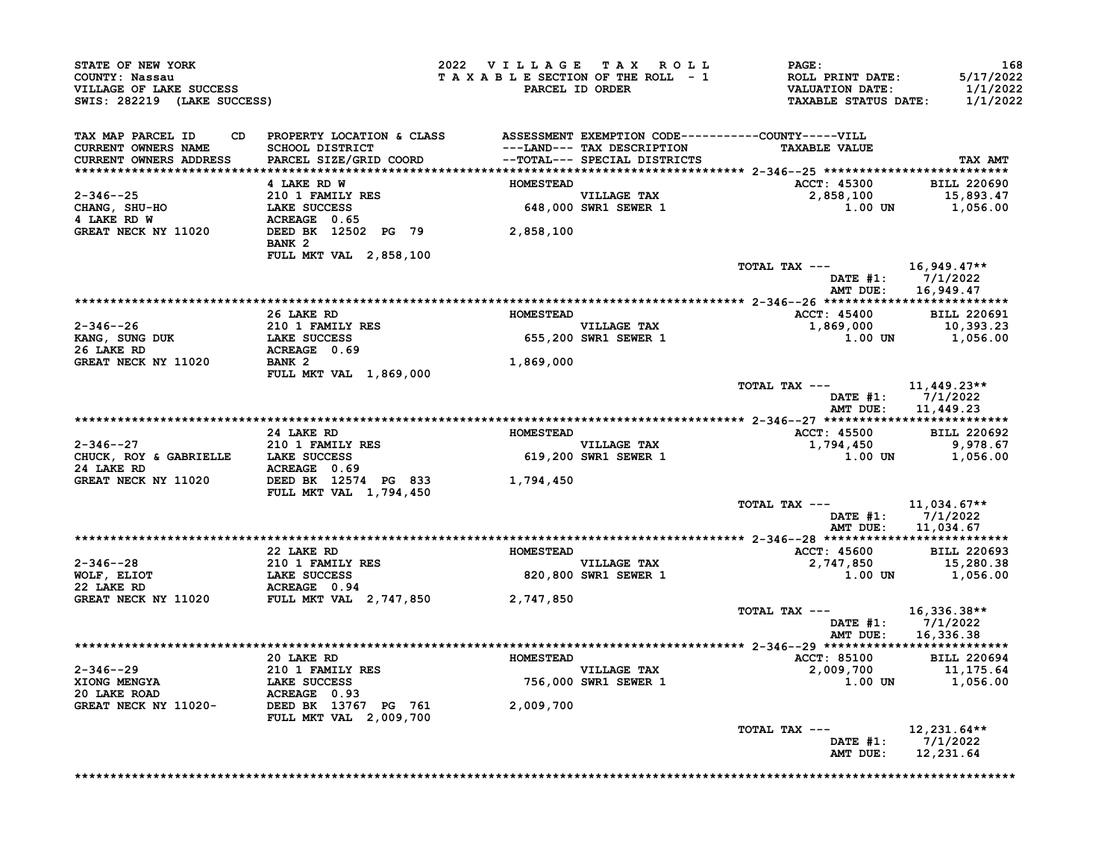| <b>CONNII: NASSAU<br/>VILLAGE OF LAKE SUCCESS<br/>SWIS: 282219 (LAKE SUCCESS)</b>                                                                                                                                                                         |                                          | 2022 VILLAGE TAX ROLL | PAGE:<br>TAXABLE SECTION OF THE ROLL - 1<br>TAXABLE SECTION OF THE ROLL - 1<br>PARCEL ID ORDER THE TAXABLE STATUS DATE:                                                                                                                                    | 168<br>5/17/2022<br>1/1/2022<br>1/1/2022 |
|-----------------------------------------------------------------------------------------------------------------------------------------------------------------------------------------------------------------------------------------------------------|------------------------------------------|-----------------------|------------------------------------------------------------------------------------------------------------------------------------------------------------------------------------------------------------------------------------------------------------|------------------------------------------|
| TAX MAP PARCEL ID<br><b>CURRENT OWNERS NAME<br/>CURRENT OWNERS ADDRESS</b>                                                                                                                                                                                |                                          |                       | <b>TAXABLE VALUE</b>                                                                                                                                                                                                                                       | TAX AMT                                  |
|                                                                                                                                                                                                                                                           |                                          |                       | ACCT: 45300 BILL 220690                                                                                                                                                                                                                                    |                                          |
| 2-346--25<br>2-346--25<br>CHANG, SHU-HO<br>4 LAKE RD W<br>2-346--25<br>210 1 FAMILY RES<br>CHANG, SHU-HO<br>LAKE SUCCESS<br>4 LAKE RD W<br>ACREAGE 0.65<br>GREAT NECK NY 11020<br>DEED BANK 2<br>PREAT RESS 2,858,100<br>PREAT NECK NY 11020<br>PREAT REA |                                          |                       | $2,858,100$<br>2,858,100<br>1.00 UN 1,056.00                                                                                                                                                                                                               |                                          |
|                                                                                                                                                                                                                                                           | BANK 2                                   |                       |                                                                                                                                                                                                                                                            |                                          |
|                                                                                                                                                                                                                                                           | <b>FULL MKT VAL 2,858,100</b>            |                       | TOTAL TAX --- $16,949.47**$                                                                                                                                                                                                                                |                                          |
|                                                                                                                                                                                                                                                           |                                          |                       |                                                                                                                                                                                                                                                            | DATE #1: 7/1/2022<br>AMT DUE: 16,949.47  |
|                                                                                                                                                                                                                                                           |                                          |                       |                                                                                                                                                                                                                                                            |                                          |
|                                                                                                                                                                                                                                                           | 26 LAKE RD                               |                       | ACCT: 45400 BILL 220691<br>HOMESTEAD<br>VILLAGE TAX<br>655,200 SWR1 SEWER 1<br>655,200 SWR1 SEWER 1<br>655,200 SWR1 SEWER 1                                                                                                                                |                                          |
|                                                                                                                                                                                                                                                           |                                          |                       |                                                                                                                                                                                                                                                            |                                          |
|                                                                                                                                                                                                                                                           |                                          |                       |                                                                                                                                                                                                                                                            |                                          |
| 2-346--26<br>XANG, SUNG DUK<br>210 1 FAMILY RES<br>26 LAKE RD<br>GREAT NECK NY 11020 BANK 2                                                                                                                                                               | <b>BANK 2<br/>FULL MKT VAL 1,869,000</b> | 1,869,000             |                                                                                                                                                                                                                                                            |                                          |
|                                                                                                                                                                                                                                                           |                                          |                       | TOTAL TAX --- $11,449.23**$<br>DATE #1: 7/1/2022                                                                                                                                                                                                           | AMT DUE: 11,449.23                       |
|                                                                                                                                                                                                                                                           |                                          |                       |                                                                                                                                                                                                                                                            |                                          |
|                                                                                                                                                                                                                                                           |                                          |                       |                                                                                                                                                                                                                                                            |                                          |
|                                                                                                                                                                                                                                                           |                                          |                       |                                                                                                                                                                                                                                                            |                                          |
|                                                                                                                                                                                                                                                           |                                          |                       |                                                                                                                                                                                                                                                            |                                          |
|                                                                                                                                                                                                                                                           | FULL MKT VAL 1,794,450                   |                       |                                                                                                                                                                                                                                                            |                                          |
|                                                                                                                                                                                                                                                           |                                          |                       | TOTAL TAX --- $11,034.67**$                                                                                                                                                                                                                                | DATE #1: 7/1/2022<br>AMT DUE: 11,034.67  |
|                                                                                                                                                                                                                                                           |                                          |                       |                                                                                                                                                                                                                                                            |                                          |
|                                                                                                                                                                                                                                                           |                                          |                       |                                                                                                                                                                                                                                                            |                                          |
|                                                                                                                                                                                                                                                           |                                          |                       |                                                                                                                                                                                                                                                            |                                          |
|                                                                                                                                                                                                                                                           |                                          |                       |                                                                                                                                                                                                                                                            |                                          |
|                                                                                                                                                                                                                                                           |                                          |                       | TOTAL TAX --- 16,336.38**                                                                                                                                                                                                                                  | DATE #1: 7/1/2022<br>AMT DUE: 16,336.38  |
|                                                                                                                                                                                                                                                           |                                          |                       |                                                                                                                                                                                                                                                            |                                          |
|                                                                                                                                                                                                                                                           |                                          |                       |                                                                                                                                                                                                                                                            |                                          |
|                                                                                                                                                                                                                                                           |                                          |                       |                                                                                                                                                                                                                                                            |                                          |
|                                                                                                                                                                                                                                                           |                                          |                       | 2-346--29<br>20 LAKE RD<br>20 LAKE RD<br>210 1 FAMILY RES<br>XIONG MENGYA<br>LAKE SUCCESS<br>20 LAKE ROAD<br>ACREAGE 0.93<br>GREAT NECK NY 11020-<br>DEED BK 13767 PG 761<br>CREAT NECK NY 11020-<br>FULL MKT VAL 2,009,700<br>2,009,700<br>2,009,700<br>2 |                                          |
|                                                                                                                                                                                                                                                           |                                          |                       | TOTAL TAX ---<br>AMT DUE: 12,231.64                                                                                                                                                                                                                        | $12,231.64**$<br>DATE #1: 7/1/2022       |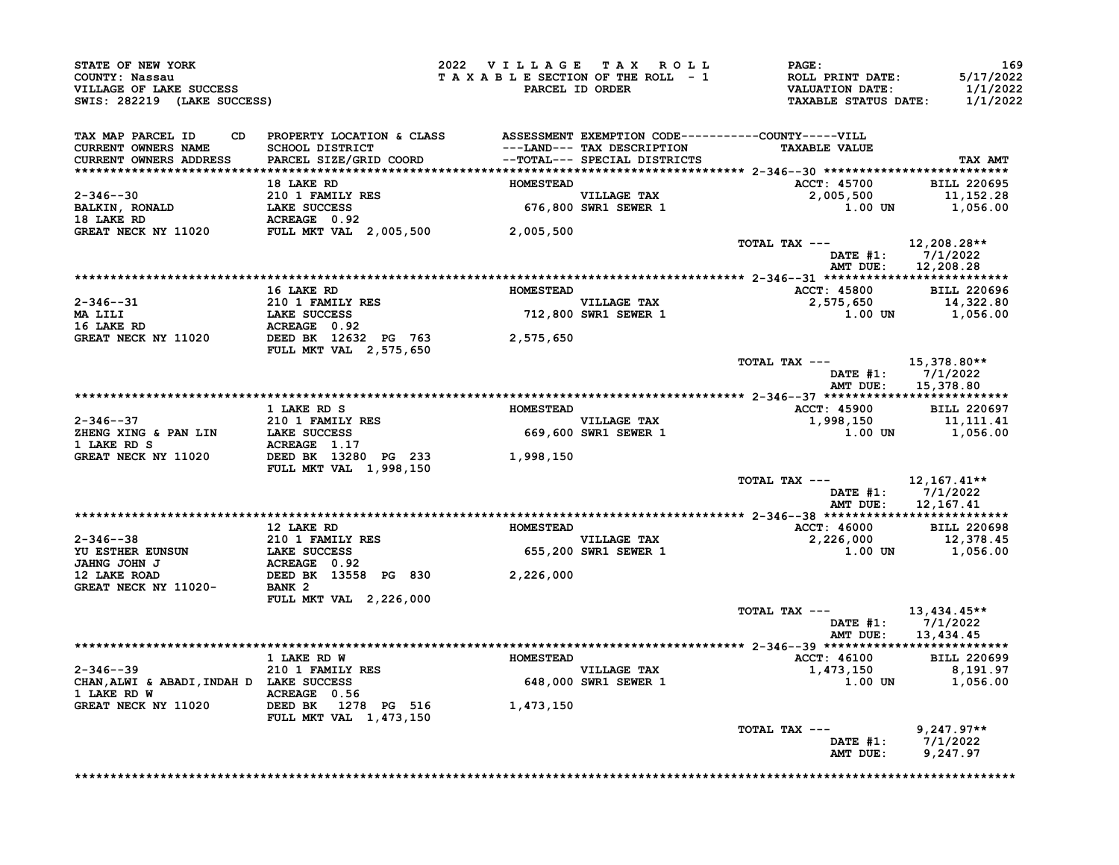| TAX MAP PARCEL ID                                                                                                                                                                                                                                                                                                                                                                                             | CD PROPERTY LOCATION & CLASS ASSESSMENT EXEMPTION CODE----------COUNTY-----VILL |  |                                                                                                                                                                                                                                          |         |
|---------------------------------------------------------------------------------------------------------------------------------------------------------------------------------------------------------------------------------------------------------------------------------------------------------------------------------------------------------------------------------------------------------------|---------------------------------------------------------------------------------|--|------------------------------------------------------------------------------------------------------------------------------------------------------------------------------------------------------------------------------------------|---------|
|                                                                                                                                                                                                                                                                                                                                                                                                               |                                                                                 |  |                                                                                                                                                                                                                                          |         |
|                                                                                                                                                                                                                                                                                                                                                                                                               |                                                                                 |  |                                                                                                                                                                                                                                          | TAX AMT |
|                                                                                                                                                                                                                                                                                                                                                                                                               |                                                                                 |  |                                                                                                                                                                                                                                          |         |
|                                                                                                                                                                                                                                                                                                                                                                                                               |                                                                                 |  |                                                                                                                                                                                                                                          |         |
|                                                                                                                                                                                                                                                                                                                                                                                                               |                                                                                 |  |                                                                                                                                                                                                                                          |         |
|                                                                                                                                                                                                                                                                                                                                                                                                               |                                                                                 |  |                                                                                                                                                                                                                                          |         |
|                                                                                                                                                                                                                                                                                                                                                                                                               |                                                                                 |  |                                                                                                                                                                                                                                          |         |
|                                                                                                                                                                                                                                                                                                                                                                                                               |                                                                                 |  |                                                                                                                                                                                                                                          |         |
|                                                                                                                                                                                                                                                                                                                                                                                                               |                                                                                 |  | DATE #1: 7/1/2022<br>AMT DUE: 12,208.28                                                                                                                                                                                                  |         |
|                                                                                                                                                                                                                                                                                                                                                                                                               |                                                                                 |  |                                                                                                                                                                                                                                          |         |
|                                                                                                                                                                                                                                                                                                                                                                                                               |                                                                                 |  |                                                                                                                                                                                                                                          |         |
|                                                                                                                                                                                                                                                                                                                                                                                                               |                                                                                 |  |                                                                                                                                                                                                                                          |         |
|                                                                                                                                                                                                                                                                                                                                                                                                               |                                                                                 |  |                                                                                                                                                                                                                                          |         |
|                                                                                                                                                                                                                                                                                                                                                                                                               |                                                                                 |  |                                                                                                                                                                                                                                          |         |
|                                                                                                                                                                                                                                                                                                                                                                                                               |                                                                                 |  |                                                                                                                                                                                                                                          |         |
|                                                                                                                                                                                                                                                                                                                                                                                                               |                                                                                 |  |                                                                                                                                                                                                                                          |         |
|                                                                                                                                                                                                                                                                                                                                                                                                               |                                                                                 |  | TOTAL TAX --- $15,378.80**$                                                                                                                                                                                                              |         |
|                                                                                                                                                                                                                                                                                                                                                                                                               |                                                                                 |  | DATE #1: $7/1/2022$                                                                                                                                                                                                                      |         |
|                                                                                                                                                                                                                                                                                                                                                                                                               |                                                                                 |  | AMT DUE: 15,378.80                                                                                                                                                                                                                       |         |
|                                                                                                                                                                                                                                                                                                                                                                                                               |                                                                                 |  |                                                                                                                                                                                                                                          |         |
|                                                                                                                                                                                                                                                                                                                                                                                                               |                                                                                 |  |                                                                                                                                                                                                                                          |         |
|                                                                                                                                                                                                                                                                                                                                                                                                               |                                                                                 |  |                                                                                                                                                                                                                                          |         |
|                                                                                                                                                                                                                                                                                                                                                                                                               |                                                                                 |  |                                                                                                                                                                                                                                          |         |
|                                                                                                                                                                                                                                                                                                                                                                                                               |                                                                                 |  |                                                                                                                                                                                                                                          |         |
|                                                                                                                                                                                                                                                                                                                                                                                                               |                                                                                 |  |                                                                                                                                                                                                                                          |         |
|                                                                                                                                                                                                                                                                                                                                                                                                               |                                                                                 |  | TOTAL TAX --- $12,167.41**$                                                                                                                                                                                                              |         |
|                                                                                                                                                                                                                                                                                                                                                                                                               |                                                                                 |  | DATE #1: 7/1/2022<br>AMT DUE: 12,167.41                                                                                                                                                                                                  |         |
|                                                                                                                                                                                                                                                                                                                                                                                                               |                                                                                 |  |                                                                                                                                                                                                                                          |         |
|                                                                                                                                                                                                                                                                                                                                                                                                               |                                                                                 |  | 12 LAKE RD<br>27 JANE ROMESTEAD MESTEAD MAING JOHN J<br>27 LAKE ROMESTEAD MESTEAD MESTEAD ACCT: 46000 BILL 220698<br>27 DEED BK 13558 PG 830 2,226,000 2,226,000 12,378.45<br>37 DEED BK 13558 PG 830 2,226,000 2,226,000 12,378.45<br>3 |         |
|                                                                                                                                                                                                                                                                                                                                                                                                               |                                                                                 |  |                                                                                                                                                                                                                                          |         |
|                                                                                                                                                                                                                                                                                                                                                                                                               |                                                                                 |  |                                                                                                                                                                                                                                          |         |
|                                                                                                                                                                                                                                                                                                                                                                                                               |                                                                                 |  |                                                                                                                                                                                                                                          |         |
|                                                                                                                                                                                                                                                                                                                                                                                                               |                                                                                 |  |                                                                                                                                                                                                                                          |         |
|                                                                                                                                                                                                                                                                                                                                                                                                               |                                                                                 |  |                                                                                                                                                                                                                                          |         |
|                                                                                                                                                                                                                                                                                                                                                                                                               | FULL MKT VAL 2,226,000                                                          |  |                                                                                                                                                                                                                                          |         |
|                                                                                                                                                                                                                                                                                                                                                                                                               |                                                                                 |  | TOTAL TAX $---$ 13,434.45**                                                                                                                                                                                                              |         |
|                                                                                                                                                                                                                                                                                                                                                                                                               |                                                                                 |  | DATE #1: 7/1/2022<br>AMT DUE: 13,434.45                                                                                                                                                                                                  |         |
|                                                                                                                                                                                                                                                                                                                                                                                                               |                                                                                 |  |                                                                                                                                                                                                                                          |         |
|                                                                                                                                                                                                                                                                                                                                                                                                               |                                                                                 |  |                                                                                                                                                                                                                                          |         |
|                                                                                                                                                                                                                                                                                                                                                                                                               |                                                                                 |  |                                                                                                                                                                                                                                          |         |
|                                                                                                                                                                                                                                                                                                                                                                                                               |                                                                                 |  |                                                                                                                                                                                                                                          |         |
|                                                                                                                                                                                                                                                                                                                                                                                                               |                                                                                 |  |                                                                                                                                                                                                                                          |         |
|                                                                                                                                                                                                                                                                                                                                                                                                               |                                                                                 |  |                                                                                                                                                                                                                                          |         |
|                                                                                                                                                                                                                                                                                                                                                                                                               |                                                                                 |  |                                                                                                                                                                                                                                          |         |
|                                                                                                                                                                                                                                                                                                                                                                                                               |                                                                                 |  |                                                                                                                                                                                                                                          |         |
| $\begin{tabular}{lllllllllllll} \multicolumn{4}{c }{\textbf{2-346--39}} & \multicolumn{4}{c }{\textbf{3-446--39}} & \multicolumn{4}{c }{\textbf{3-446--39}} & \multicolumn{4}{c }{\textbf{3-446--39}} & \multicolumn{4}{c }{\textbf{3-446--39}} & \multicolumn{4}{c }{\textbf{3-446--39}} & \multicolumn{4}{c }{\textbf{3-446--39}} & \multicolumn{4}{c }{\textbf{3-446--39}} & \multicolumn{4}{c }{\textbf{$ |                                                                                 |  |                                                                                                                                                                                                                                          |         |
|                                                                                                                                                                                                                                                                                                                                                                                                               |                                                                                 |  | TOTAL TAX --- $9,247.97**$<br>DATE #1: 7/1/2022<br>AMT DUE: 9,247.97                                                                                                                                                                     |         |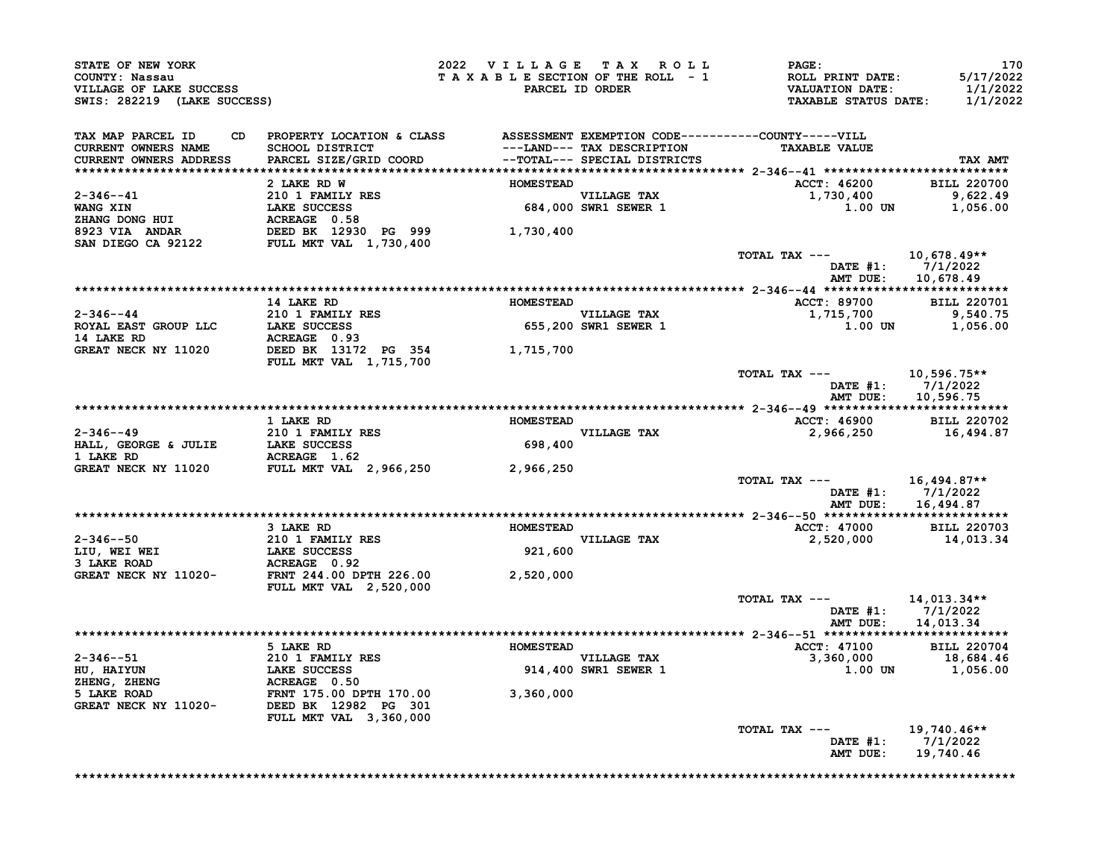| SWIS: 282219 (LAKE SUCCESS)                                                                                                                                                                                                                                                                                                                                                                                                          | STATE OF NEW YORK<br>COUNTY: Nassau<br>VILLAGE OF LAKE SUCCESS                                                                                                             |                  | 2022 VILLAGE TAX ROLL               | PAGE:<br>T A X A B L E SECTION OF THE ROLL - 1 ROLL PRINT DATE:<br>PARCEL ID ORDER VALUATION DATE:<br>TAXABLE STATUS DATE: | 170<br>5/17/2022<br>1/1/2022<br>1/1/2022               |
|--------------------------------------------------------------------------------------------------------------------------------------------------------------------------------------------------------------------------------------------------------------------------------------------------------------------------------------------------------------------------------------------------------------------------------------|----------------------------------------------------------------------------------------------------------------------------------------------------------------------------|------------------|-------------------------------------|----------------------------------------------------------------------------------------------------------------------------|--------------------------------------------------------|
| CD.<br>TAX MAP PARCEL ID<br>CURRENT OWNERS NAME<br>CURRENT OWNERS ADDRESS                                                                                                                                                                                                                                                                                                                                                            | PROPERTY LOCATION & CLASS ASSESSMENT EXEMPTION CODE----------COUNTY-----VILL<br>SCHOOL DISTRICT<br>PARCEL SIZE/GRID COORD                     --TOTAL--- SPECIAL DISTRICTS |                  |                                     | <b>TAXABLE VALUE</b>                                                                                                       | TAX AMT                                                |
|                                                                                                                                                                                                                                                                                                                                                                                                                                      |                                                                                                                                                                            |                  |                                     |                                                                                                                            |                                                        |
|                                                                                                                                                                                                                                                                                                                                                                                                                                      | 2 LAKE RD W                                                                                                                                                                | <b>HOMESTEAD</b> |                                     | ACCT: 46200 BILL 220700                                                                                                    |                                                        |
| $\begin{array}{lllllllllllllll} \multicolumn{3}{c}{\text{\small\bf 2-346--41}} & \multicolumn{3}{c}{\text{\small\bf 2-346--41}} & \multicolumn{3}{c}{\text{\small\bf 2-346--41}} & \multicolumn{3}{c}{\text{\small\bf 2-346--41}} & \multicolumn{3}{c}{\text{\small\bf 2-346--41}} & \multicolumn{3}{c}{\text{\small\bf 2-346--41}} & \multicolumn{3}{c}{\text{\small\bf 2-346--41}} & \multicolumn{3}{c}{\text{\small\bf 2-346--41$ |                                                                                                                                                                            |                  |                                     | 1,730,400 9,622.49<br>1.00 UN 1,056.00                                                                                     |                                                        |
|                                                                                                                                                                                                                                                                                                                                                                                                                                      |                                                                                                                                                                            |                  |                                     |                                                                                                                            |                                                        |
|                                                                                                                                                                                                                                                                                                                                                                                                                                      |                                                                                                                                                                            |                  |                                     | TOTAL TAX ---                                                                                                              | 10,678.49**<br>DATE #1: 7/1/2022                       |
|                                                                                                                                                                                                                                                                                                                                                                                                                                      |                                                                                                                                                                            |                  |                                     | AMT DUE:                                                                                                                   | 10,678.49                                              |
|                                                                                                                                                                                                                                                                                                                                                                                                                                      |                                                                                                                                                                            |                  |                                     | ACCT: 89700 BILL 220701                                                                                                    |                                                        |
|                                                                                                                                                                                                                                                                                                                                                                                                                                      |                                                                                                                                                                            |                  |                                     |                                                                                                                            |                                                        |
| $\begin{array}{ccccccccc} & & & & & 14 & \text{LAKE RD} & & & & & & & \text{HOMESTEAD} & & & & & & & \text{HOMESTEAD} & & & & & & & \text{VILLAGE TAX} & & & & \text{VILLAGE TAX} & & & & \text{VILLAGE TAX} & & & & \text{VILLAGE TAX} & & & & \text{VILLAGE TAX} & & & \text{S55,200 SWR1 SEWER 1} & & & & & & & \text{SDEED BK} & & & & & & 1,715,700 & & & & \text{FULL MKT VAL} & & & & & 1,715,700 & & & & & \end{array}$      |                                                                                                                                                                            |                  |                                     | 1,715,700 9,540.75<br>1.00 UN 1,056.00                                                                                     |                                                        |
|                                                                                                                                                                                                                                                                                                                                                                                                                                      |                                                                                                                                                                            |                  |                                     |                                                                                                                            |                                                        |
|                                                                                                                                                                                                                                                                                                                                                                                                                                      |                                                                                                                                                                            |                  |                                     | TOTAL TAX ---                                                                                                              | 10,596.75**<br>DATE #1: 7/1/2022                       |
|                                                                                                                                                                                                                                                                                                                                                                                                                                      |                                                                                                                                                                            |                  |                                     |                                                                                                                            | AMT DUE: 10,596.75                                     |
|                                                                                                                                                                                                                                                                                                                                                                                                                                      | 1 LAKE RD <b>HOMESTEAD</b>                                                                                                                                                 |                  |                                     |                                                                                                                            | <b>BILL 220702</b>                                     |
|                                                                                                                                                                                                                                                                                                                                                                                                                                      |                                                                                                                                                                            |                  |                                     |                                                                                                                            |                                                        |
|                                                                                                                                                                                                                                                                                                                                                                                                                                      |                                                                                                                                                                            |                  |                                     | <b>ACCT: 46900</b>                                                                                                         |                                                        |
|                                                                                                                                                                                                                                                                                                                                                                                                                                      |                                                                                                                                                                            |                  | VILLAGE TAX<br>698,400              | 2,966,250                                                                                                                  | 16,494.87                                              |
|                                                                                                                                                                                                                                                                                                                                                                                                                                      |                                                                                                                                                                            |                  |                                     |                                                                                                                            |                                                        |
|                                                                                                                                                                                                                                                                                                                                                                                                                                      |                                                                                                                                                                            |                  |                                     | TOTAL TAX ---                                                                                                              | 16,494.87**<br>DATE #1: 7/1/2022                       |
|                                                                                                                                                                                                                                                                                                                                                                                                                                      |                                                                                                                                                                            |                  |                                     |                                                                                                                            | AMT DUE: 16,494.87                                     |
|                                                                                                                                                                                                                                                                                                                                                                                                                                      |                                                                                                                                                                            |                  |                                     |                                                                                                                            |                                                        |
|                                                                                                                                                                                                                                                                                                                                                                                                                                      | 3 LAKE RD <b>HOMESTEAD</b>                                                                                                                                                 |                  |                                     | <b>ACCT: 47000</b>                                                                                                         | BILL 220703                                            |
|                                                                                                                                                                                                                                                                                                                                                                                                                                      |                                                                                                                                                                            |                  | VILLAGE TAX<br>921,600              | 2,520,000                                                                                                                  | 14,013.34                                              |
|                                                                                                                                                                                                                                                                                                                                                                                                                                      |                                                                                                                                                                            |                  |                                     |                                                                                                                            |                                                        |
| $\begin{array}{lllllllllllll} 2-346--50 & 3\ \text{LAKE}\ & 2101\ \text{FAMILY}\ \text{RES} & 921,600 \\ \text{LIU}\ \text{WEI}\ \text{WEI} & \text{LAKE}\ \text{SUCCES} & 921,600 \\ \text{3 LAKE}\ \text{ROAD} & \text{ACREAGE}\ \text{0.92} & 2,520,000 \\ \text{GREAT}\ \text{NECK}\ \text{NY}\ 11020- & \text{FENT}\ 244.00\ \text{DPTH}\ 226.00 & 2,520,000 \end{array}$                                                       |                                                                                                                                                                            |                  |                                     | TOTAL TAX ---                                                                                                              | 14,013.34**<br>DATE #1: 7/1/2022<br>AMT DUE: 14,013.34 |
|                                                                                                                                                                                                                                                                                                                                                                                                                                      |                                                                                                                                                                            |                  |                                     |                                                                                                                            |                                                        |
|                                                                                                                                                                                                                                                                                                                                                                                                                                      |                                                                                                                                                                            |                  |                                     | <b>ACCT: 47100</b>                                                                                                         | <b>BILL 220704</b>                                     |
|                                                                                                                                                                                                                                                                                                                                                                                                                                      | 5 LAKE RD NOMESTEAD                                                                                                                                                        |                  |                                     |                                                                                                                            |                                                        |
|                                                                                                                                                                                                                                                                                                                                                                                                                                      |                                                                                                                                                                            |                  | VILLAGE TAX<br>914,400 SWR1 SEWER 1 | 3,360,000 18,684.46<br>1.00 UN                                                                                             | 1,056.00                                               |
|                                                                                                                                                                                                                                                                                                                                                                                                                                      |                                                                                                                                                                            |                  |                                     |                                                                                                                            |                                                        |
| 2-346--51<br>HU, HAIYUN 210 1 FAMILY RES<br>210 1 FAMILY RES<br>2HENG, ZHENG ACREAGE 0.50<br>5 LAKE ROAD FRNT 175.00 DPTH 170.00<br>GREAT NECK NY 11020-<br>DEED BK 12982 PG 301<br>FIILL MKT VAL. 3.360.000                                                                                                                                                                                                                         | <b>FULL MKT VAL 3,360,000</b>                                                                                                                                              |                  |                                     | TOTAL TAX ---                                                                                                              | 19,740.46**                                            |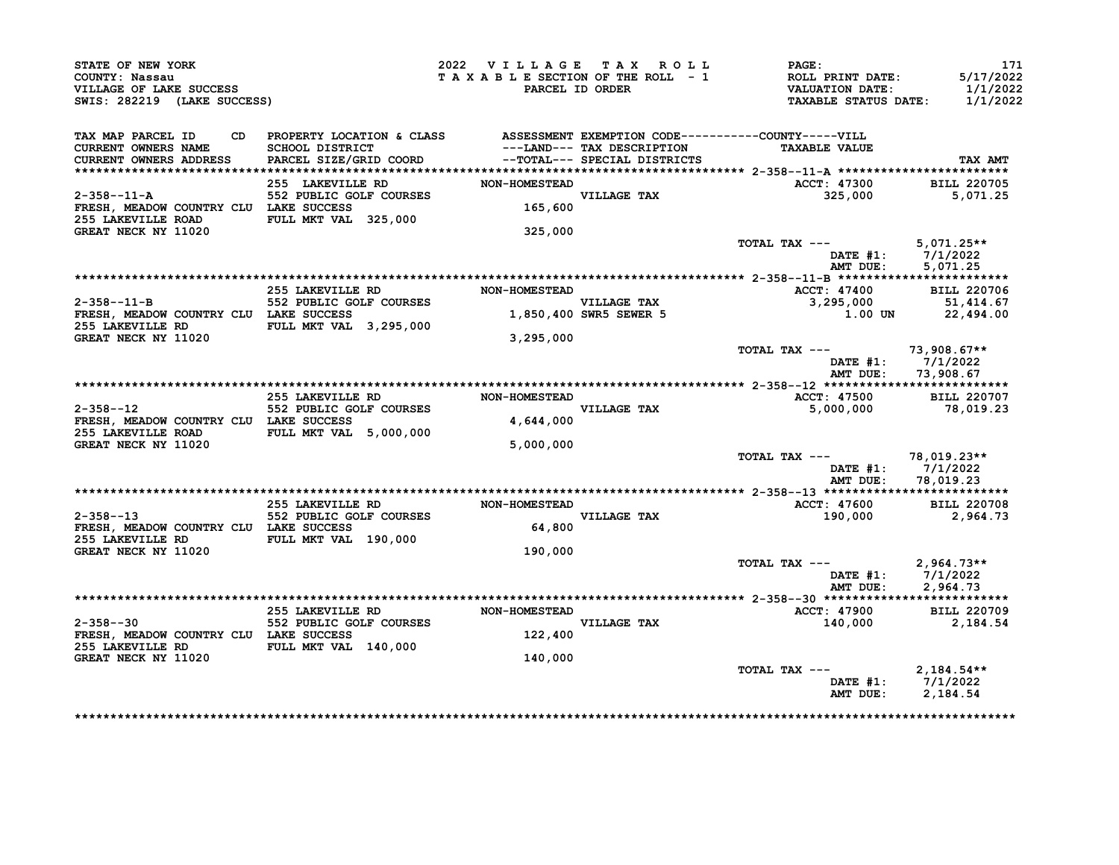| STATE OF NEW YORK<br>COUNTY: Nassau<br>VILLAGE OF LAKE SUCCESS<br>SWIS: 282219 (LAKE SUCCESS)                                                                                                                                                                  |           |             | 2022 VILLAGE TAX ROLL PAGE:<br>T A X A B L E SECTION OF THE ROLL - 1 ROLL PRINT DATE: 5/17/2022<br>PARCEL ID ORDER VALUATION DATE: 1/1/2022<br>TAXABLE STATUS DATE: 1/1/2022 | 171                                    |
|----------------------------------------------------------------------------------------------------------------------------------------------------------------------------------------------------------------------------------------------------------------|-----------|-------------|------------------------------------------------------------------------------------------------------------------------------------------------------------------------------|----------------------------------------|
| TAX MAP PARCEL ID CD PROPERTY LOCATION & CLASS ASSESSMENT EXEMPTION CODE----------COUNTY-----VILL<br>CURRENT OWNERS NAME SCHOOL DISTRICT ---LAND--- TAX DESCRIPTION TAXABLE VALUE<br>CURRENT OWNERS ADDRESS PARCEL SIZE/GRID COORD -<br>CURRENT OWNERS ADDRESS |           |             | <b>TAXABLE VALUE</b>                                                                                                                                                         | TAX AMT                                |
| GREAT NECK NY 11020                                                                                                                                                                                                                                            | 325,000   |             |                                                                                                                                                                              |                                        |
|                                                                                                                                                                                                                                                                |           |             | TOTAL TAX --- $5,071.25**$                                                                                                                                                   | DATE #1: 7/1/2022<br>AMT DUE: 5,071.25 |
|                                                                                                                                                                                                                                                                |           |             |                                                                                                                                                                              |                                        |
| 255 LAKEVILLE RD NON-HOMESTEAD<br>2-358--11-B 552 PUBLIC GOLF COURSES VILLAGE TAX<br>FRESH, MEADOW COUNTRY CLU LAKE SUCCES 1,850,400 SWR5 SEWER 5                                                                                                              |           | VILLAGE TAX | ACCT: 47400 BILL 220706<br>3,295,000 51,414.67                                                                                                                               |                                        |
| 255 LAKEVILLE RD FULL MKT VAL 3,295,000                                                                                                                                                                                                                        |           |             |                                                                                                                                                                              | 1.00 UN 22,494.00                      |
| <b>GREAT NECK NY 11020</b>                                                                                                                                                                                                                                     | 3,295,000 |             | TOTAL TAX --- $73,908.67**$                                                                                                                                                  | DATE #1: 7/1/2022                      |
|                                                                                                                                                                                                                                                                |           |             | AMT DUE:                                                                                                                                                                     | 73,908.67                              |
|                                                                                                                                                                                                                                                                |           |             |                                                                                                                                                                              |                                        |
| <sup>2</sup><br>21358--12 255 EAKEVILLE RD NON-HOMESTEAD<br>3158--12 552 PUBLIC GOLF COURSES VILLAGE TAX<br>4,644,000 4,644,000<br>255 LAKEVILLE ROAD FULL MKT VAL 5,000,000                                                                                   |           |             | ACCT: 47500 BILL 220707<br>5,000,000 78,019.23                                                                                                                               |                                        |
| GREAT NECK NY 11020                                                                                                                                                                                                                                            | 5,000,000 |             | TOTAL TAX --- $78,019.23**$<br>AMT DUE: 78,019.23                                                                                                                            | DATE #1: 7/1/2022                      |
|                                                                                                                                                                                                                                                                |           |             |                                                                                                                                                                              |                                        |
|                                                                                                                                                                                                                                                                |           |             |                                                                                                                                                                              |                                        |
|                                                                                                                                                                                                                                                                |           |             |                                                                                                                                                                              |                                        |
| 2.55 LAKEVILLE RD MON-HOMESTEAD 1.000 2-358--13<br>2.964.73 220708 552 PUBLIC GOLF COURSES VILLAGE TAX<br>FRESH, MEADOW COUNTRY CLU LAKE SUCCESS 64,800<br>255 LAKEVILLE RD FULL MKT VAL 190,000                                                               |           |             |                                                                                                                                                                              |                                        |
| <b>GREAT NECK NY 11020</b>                                                                                                                                                                                                                                     | 190,000   |             | TOTAL TAX --- $2,964.73**$                                                                                                                                                   |                                        |
|                                                                                                                                                                                                                                                                |           |             |                                                                                                                                                                              | DATE #1: 7/1/2022<br>AMT DUE: 2,964.73 |
|                                                                                                                                                                                                                                                                |           |             | ACCT: 47900 BILL 220709<br>140,000 2,184.54                                                                                                                                  |                                        |
| 255 LAKEVILLE RD MON-HOMESTEAD<br>2-358--30 552 PUBLIC GOLF COURSES VILLAGE TAX<br>FRESH, MEADOW COUNTRY CLU LAKE SUCCESS 122,400<br>255 LAKEVILLE RD FULL MKT VAL 140,000<br>GREAT NECK NY 11020                                                              | 140,000   |             |                                                                                                                                                                              |                                        |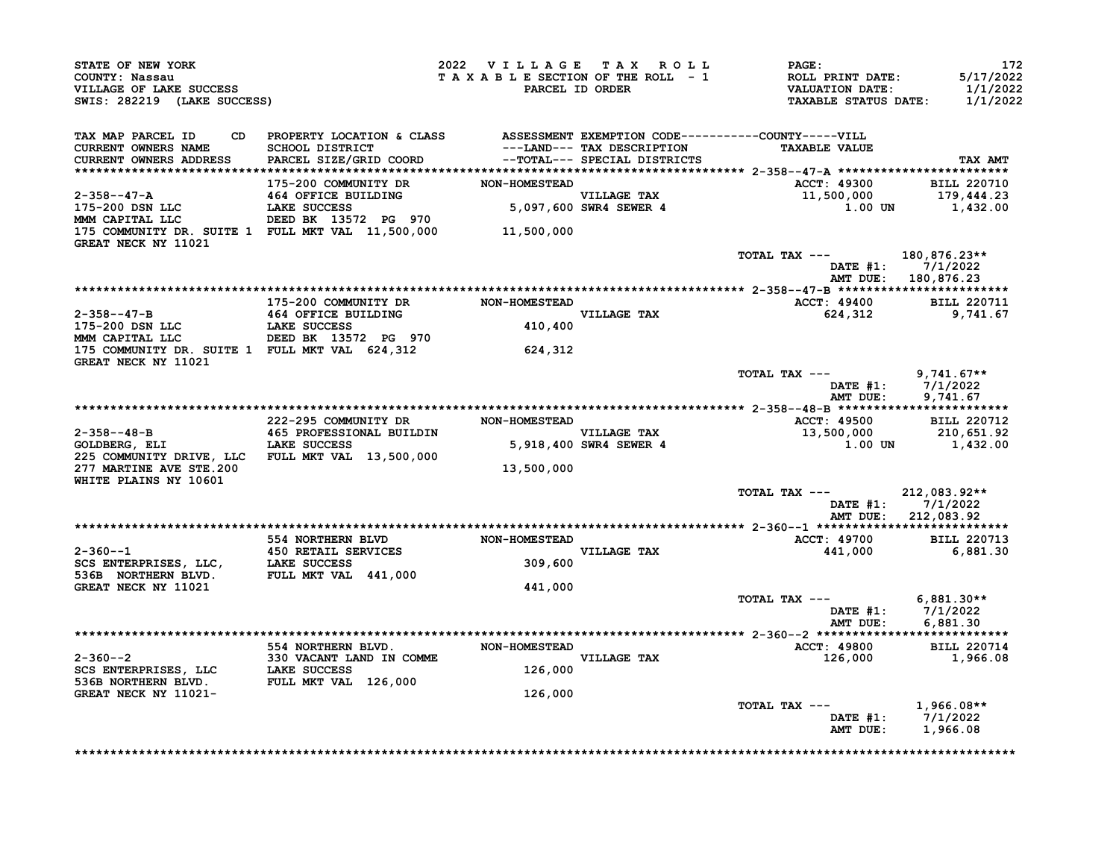| STATE OF NEW YORK<br>COUNTY: Nassau<br>VILLAGE OF LAKE SUCCESS<br>SWIS: 282219 (LAKE SUCCESS)                                                                                                                                                                                                                                                                                                                                                                                    |                                                                  | 2022 VILLAGE TAX ROLL PAGE: |                        | T A X A B L E SECTION OF THE ROLL - 1 ROLL PRINT DATE:<br>PARCEL ID ORDER THE SAME STATUS DATE: | 172<br>5/17/2022<br>1/1/2022<br>1/1/2022   |
|----------------------------------------------------------------------------------------------------------------------------------------------------------------------------------------------------------------------------------------------------------------------------------------------------------------------------------------------------------------------------------------------------------------------------------------------------------------------------------|------------------------------------------------------------------|-----------------------------|------------------------|-------------------------------------------------------------------------------------------------|--------------------------------------------|
| TAX MAP PARCEL ID CD PROPERTY LOCATION & CLASS ASSESSMENT EXEMPTION CODE----------COUNTY-----VILL<br>CURRENT OWNERS NAME SCHOOL DISTRICT ---LAND--- TAX DESCRIPTION TAXABLE VALUE<br>CURRENT OWNERS ADDRESS PARCEL SIZE/GRID COORD -                                                                                                                                                                                                                                             |                                                                  |                             |                        |                                                                                                 | TAX AMT                                    |
|                                                                                                                                                                                                                                                                                                                                                                                                                                                                                  |                                                                  |                             |                        | ACCT: 49300 BILL 220710<br>11,500,000 179,444.23<br>1.00 UN 1,432.00                            |                                            |
|                                                                                                                                                                                                                                                                                                                                                                                                                                                                                  |                                                                  |                             |                        |                                                                                                 |                                            |
| $\begin{array}{ccccccccc} 2-358--47-A & 175-200 & \text{COMMUNITY DR} & & & \text{NON-HOMESTED} & & & & & \\ 2-358--47-A & 464 & \text{OFFICE BULIDING} & & & \text{WON-HOMESTED} & & & & \text{VILLAGE TAX} & & \\ 175-200 & \text{DSN} & \text{LLC} & & \text{LAKE SUCCES} & & & & \\ 175-200 & \text{DSN} & \text{LLC} & & & \text{LAKE} & & \\ 175-200 & \text{DSN} & \text{LLAC} & & & \text{DEED BK} & 13$<br>175 COMMUNITY DR. SUITE 1 FULL MKT VAL 11,500,000 11,500,000 |                                                                  |                             |                        |                                                                                                 |                                            |
| GREAT NECK NY 11021                                                                                                                                                                                                                                                                                                                                                                                                                                                              |                                                                  |                             |                        | TOTAL TAX --- 180,876.23**                                                                      |                                            |
|                                                                                                                                                                                                                                                                                                                                                                                                                                                                                  |                                                                  |                             |                        |                                                                                                 | DATE #1: 7/1/2022<br>AMT DUE: 180,876.23   |
|                                                                                                                                                                                                                                                                                                                                                                                                                                                                                  | 175-200 COMMUNITY DR NON-HOMESTEAD                               |                             |                        |                                                                                                 |                                            |
|                                                                                                                                                                                                                                                                                                                                                                                                                                                                                  |                                                                  |                             |                        | ACCT: 49400 BILL 220711<br>624,312 9,741.67                                                     |                                            |
| 2-358--47-B<br>175-200 DSN LLC LAKE SUCCESS 410,400<br>MMM CAPITAL LLC DEED BK 13572 PG 970 410,400<br>175 COMMUNITY DR. SUITE 1 FULL MKT VAL 624,312 624,312                                                                                                                                                                                                                                                                                                                    |                                                                  |                             | VILLAGE TAX<br>410,400 |                                                                                                 |                                            |
| GREAT NECK NY 11021                                                                                                                                                                                                                                                                                                                                                                                                                                                              |                                                                  |                             |                        |                                                                                                 |                                            |
|                                                                                                                                                                                                                                                                                                                                                                                                                                                                                  |                                                                  |                             |                        | TOTAL TAX --- 9,741.67**                                                                        | DATE #1: 7/1/2022<br>AMT DUE: 9,741.67     |
|                                                                                                                                                                                                                                                                                                                                                                                                                                                                                  |                                                                  |                             |                        |                                                                                                 |                                            |
|                                                                                                                                                                                                                                                                                                                                                                                                                                                                                  |                                                                  |                             |                        |                                                                                                 |                                            |
|                                                                                                                                                                                                                                                                                                                                                                                                                                                                                  |                                                                  |                             |                        |                                                                                                 |                                            |
| 277 MARTINE AVE STE.200                                                                                                                                                                                                                                                                                                                                                                                                                                                          |                                                                  | 13,500,000                  |                        |                                                                                                 |                                            |
| WHITE PLAINS NY 10601                                                                                                                                                                                                                                                                                                                                                                                                                                                            |                                                                  |                             |                        | TOTAL TAX --- 212,083.92**                                                                      | DATE $#1: 7/1/2022$<br>AMT DUE: 212,083.92 |
|                                                                                                                                                                                                                                                                                                                                                                                                                                                                                  |                                                                  |                             |                        | <b>ACCT: 49700</b>                                                                              | <b>BILL 220713</b>                         |
| $2 - 360 - -1$                                                                                                                                                                                                                                                                                                                                                                                                                                                                   |                                                                  |                             |                        | 441,000                                                                                         | 6,881.30                                   |
| 2-360--1<br>SCS ENTERPRISES, LLC, LAKE SUCCESS<br>536B NORTHERN BLVD. FULL MKT VAL 441,000<br>GREAT NECK NV 11021                                                                                                                                                                                                                                                                                                                                                                | 554 NORTHERN BLVD<br>450 RETAIL SERVICES<br>LAKE SUCCESS 109,600 |                             |                        |                                                                                                 |                                            |
| <b>GREAT NECK NY 11021</b>                                                                                                                                                                                                                                                                                                                                                                                                                                                       |                                                                  | 441,000                     |                        |                                                                                                 |                                            |
|                                                                                                                                                                                                                                                                                                                                                                                                                                                                                  |                                                                  |                             |                        | TOTAL TAX --- $6,881.30**$                                                                      | DATE #1: 7/1/2022<br>AMT DUE: 6,881.30     |
|                                                                                                                                                                                                                                                                                                                                                                                                                                                                                  |                                                                  |                             |                        |                                                                                                 |                                            |
|                                                                                                                                                                                                                                                                                                                                                                                                                                                                                  |                                                                  |                             |                        | ACCT: 49800 BILL 220714<br>126,000                                                              | 1,966.08                                   |
|                                                                                                                                                                                                                                                                                                                                                                                                                                                                                  |                                                                  |                             |                        |                                                                                                 |                                            |
| GREAT NECK NY 11021-                                                                                                                                                                                                                                                                                                                                                                                                                                                             |                                                                  | 126,000                     |                        | TOTAL TAX $---$ 1,966.08**                                                                      |                                            |
|                                                                                                                                                                                                                                                                                                                                                                                                                                                                                  |                                                                  |                             |                        |                                                                                                 | DATE #1: 7/1/2022<br>AMT DUE: 1,966.08     |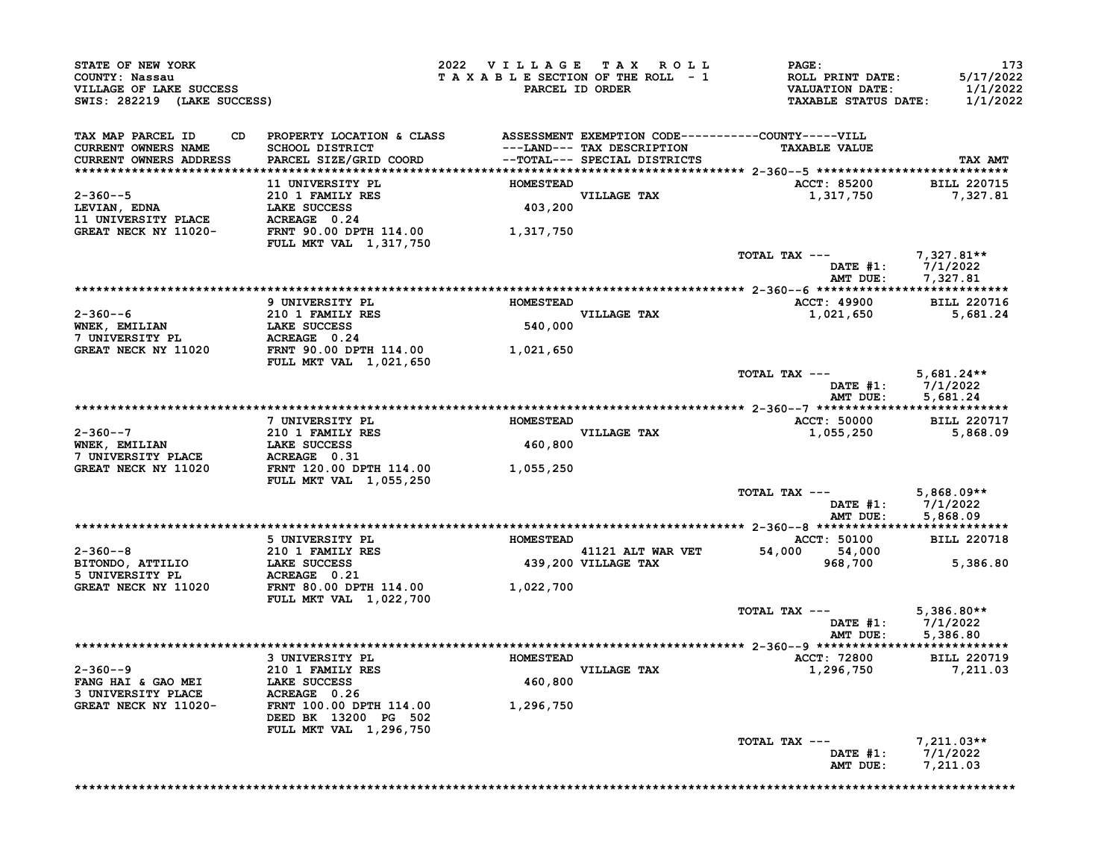| STATE OF NEW YORK<br>COUNTY: Nassau<br>VILLAGE OF LAKE SUCCESS<br>SWIS: 282219 (LAKE SUCCESS) |                                                                                       | 2022 VILLAGE TAX ROLL<br>TAXABLE SECTION OF THE ROLL - 1<br>PARCEL ID ORDER |                                                            | <b>PAGE:</b><br><b>ROLL PRINT DATE:</b><br><b>VALUATION DATE:</b><br><b>TAXABLE STATUS DATE:</b> | 173<br>5/17/2022<br>1/1/2022<br>1/1/2022 |
|-----------------------------------------------------------------------------------------------|---------------------------------------------------------------------------------------|-----------------------------------------------------------------------------|------------------------------------------------------------|--------------------------------------------------------------------------------------------------|------------------------------------------|
| CD<br>TAX MAP PARCEL ID<br><b>CURRENT OWNERS NAME</b><br>CURRENT OWNERS ADDRESS               | PROPERTY LOCATION & CLASS<br>The Company<br>SCHOOL DISTRICT<br>PARCEL SIZE/GRID COORD |                                                                             | ---LAND--- TAX DESCRIPTION<br>--TOTAL--- SPECIAL DISTRICTS | ASSESSMENT EXEMPTION CODE-----------COUNTY-----VILL<br><b>TAXABLE VALUE</b>                      | TAX AMT                                  |
|                                                                                               |                                                                                       |                                                                             |                                                            |                                                                                                  |                                          |
| $2 - 360 - -5$<br>LEVIAN, EDNA                                                                | 11 UNIVERSITY PL<br>210 1 FAMILY RES<br>LAKE SUCCESS                                  | <b>HOMESTEAD</b><br>403,200                                                 | <b>VILLAGE TAX</b>                                         | <b>ACCT: 85200</b><br>1,317,750                                                                  | <b>BILL 220715</b><br>7,327.81           |
| <b>11 UNIVERSITY PLACE</b><br>GREAT NECK NY 11020-                                            | ACREAGE 0.24<br>FRNT 90.00 DPTH 114.00<br><b>FULL MKT VAL 1,317,750</b>               | 1,317,750                                                                   |                                                            |                                                                                                  |                                          |
|                                                                                               |                                                                                       |                                                                             |                                                            | TOTAL TAX ---<br>DATE #1: 7/1/2022<br>AMT DUE: 7.327.81<br>AMT DUE:                              | 7,327.81**<br>7,327.81                   |
|                                                                                               | 9 UNIVERSITY PL                                                                       | <b>HOMESTEAD</b>                                                            |                                                            | ACCT: 49900 BILL 220716                                                                          |                                          |
| $2 - 360 - -6$<br>WNEK, EMILIAN                                                               | 210 1 FAMILY RES<br>LAKE SUCCESS                                                      | 540,000                                                                     | VILLAGE TAX                                                | 1,021,650                                                                                        | 5,681.24                                 |
| 7 UNIVERSITY PL<br>GREAT NECK NY 11020                                                        | ACREAGE 0.24<br>FRNT 90.00 DPTH 114.00                                                | 1,021,650                                                                   |                                                            |                                                                                                  |                                          |
|                                                                                               | <b>FULL MKT VAL 1,021,650</b>                                                         |                                                                             |                                                            | TOTAL TAX ---<br>DATE #1: 7/1/2022<br>AMT DUE: 5.681.24<br>AMT DUE:                              | $5,681.24**$<br>5,681.24                 |
|                                                                                               |                                                                                       |                                                                             |                                                            |                                                                                                  |                                          |
|                                                                                               | 7 UNIVERSITY PL                                                                       | <b>HOMESTEAD</b>                                                            |                                                            | ACCT: 50000 BILL 220717                                                                          |                                          |
| $2 - 360 - -7$<br>WNEK, EMILIAN<br>7 UNIVERSITY PLACE                                         | 210 1 FAMILY RES<br>LAKE SUCCESS<br>ACREAGE 0.31                                      | 460,800                                                                     | <b>VILLAGE TAX</b>                                         | 1,055,250                                                                                        | 5,868.09                                 |
| GREAT NECK NY 11020                                                                           | FRNT 120.00 DPTH 114.00<br>FULL MKT VAL 1,055,250                                     | 1,055,250                                                                   |                                                            |                                                                                                  |                                          |
|                                                                                               |                                                                                       |                                                                             |                                                            | TOTAL TAX ---<br>DATE #1: 7/1/2022<br>AMT DUE: 5.868.09<br>AMT DUE:                              | $5,868.09**$<br>5,868.09                 |
|                                                                                               | 5 UNIVERSITY PL                                                                       | <b>HOMESTEAD</b>                                                            |                                                            | ACCT: 50100 BILL 220718                                                                          |                                          |
| $2 - 360 - -8$<br>BITONDO, ATTILIO                                                            | 210 1 FAMILY RES<br><b>LAKE SUCCESS</b>                                               |                                                                             | 41121 ALT WAR VET<br>439,200 VILLAGE TAX                   | 54,000 54,000<br>968,700                                                                         | 5,386.80                                 |
| 5 UNIVERSITY PL<br>GREAT NECK NY 11020                                                        | <b>ACREAGE 0.21</b><br>FRNT 80.00 DPTH 114.00                                         | 1,022,700                                                                   |                                                            |                                                                                                  |                                          |
|                                                                                               | <b>FULL MKT VAL 1,022,700</b>                                                         |                                                                             |                                                            | TOTAL TAX ---<br>DATE #1: 7/1/2022<br>AMT DUE: 5,386.80                                          | $5,386.80**$                             |
|                                                                                               |                                                                                       |                                                                             |                                                            |                                                                                                  |                                          |
| $2 - 360 - -9$                                                                                | 3 UNIVERSITY PL<br>210 1 FAMILY RES                                                   | <b>HOMESTEAD</b>                                                            | <b>VILLAGE TAX</b>                                         | ACCT: 72800<br>1,296,750                                                                         | <b>BILL 220719</b><br>7,211.03           |
| FANG HAI & GAO MEI<br>3 UNIVERSITY PLACE                                                      | <b>LAKE SUCCESS</b><br>ACREAGE 0.26                                                   | 460,800                                                                     |                                                            |                                                                                                  |                                          |
| GREAT NECK NY 11020-                                                                          | FRNT 100.00 DPTH 114.00<br>DEED BK 13200 PG 502                                       | 1,296,750                                                                   |                                                            |                                                                                                  |                                          |
|                                                                                               | FULL MKT VAL 1,296,750                                                                |                                                                             |                                                            | TOTAL TAX ---<br>DATE #1: 7/1/2022<br>AMT DUE:                                                   | $7,211.03**$<br>7,211.03                 |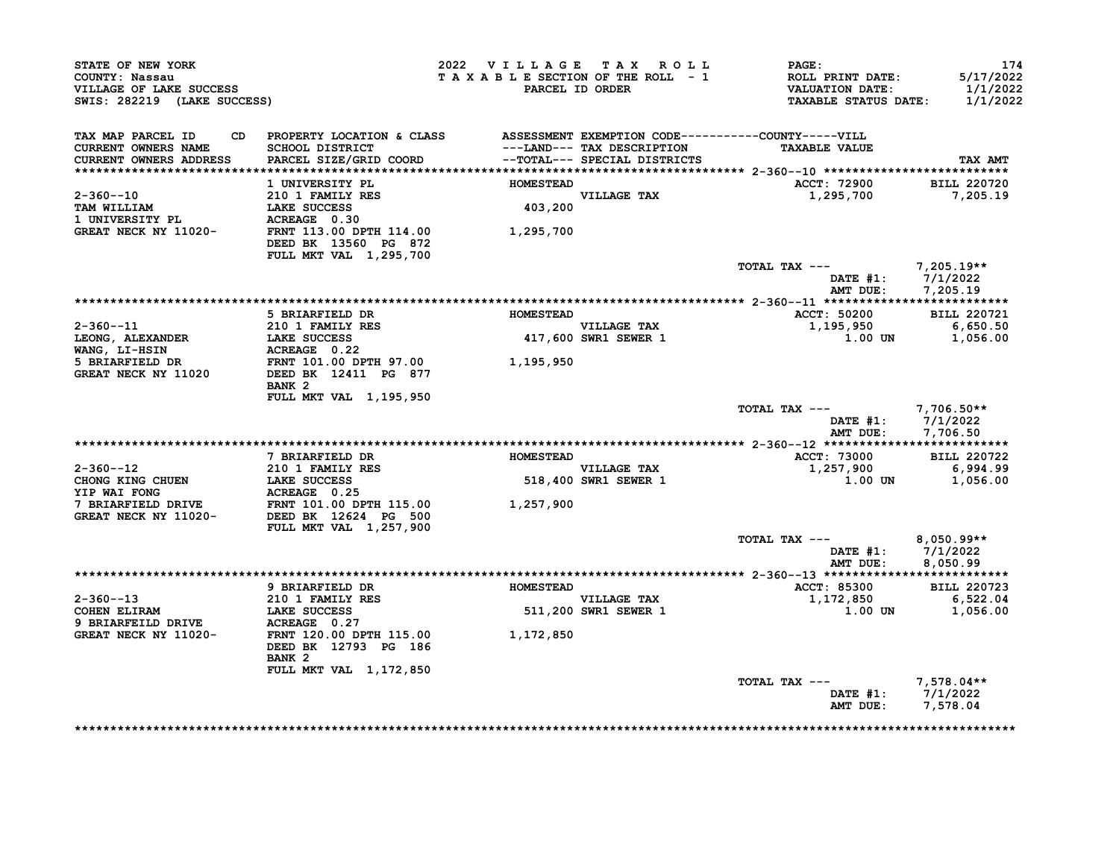| STATE OF NEW YORK<br>COUNTY: Nassau<br>VILLAGE OF LAKE SUCCESS<br>SWIS: 282219 (LAKE SUCCESS)                                                                                               |                                                                                                                                                                  | 2022 VILLAGE TAX ROLL | TAXABLE SECTION OF THE ROLL - 1<br>PARCEL ID ORDER | <b>PAGE:</b><br>ROLL PRINT DATE:<br><b>VALUATION DATE:</b><br><b>TAXABLE STATUS DATE:</b> | 174<br>5/17/2022<br>1/1/2022<br>1/1/2022 |
|---------------------------------------------------------------------------------------------------------------------------------------------------------------------------------------------|------------------------------------------------------------------------------------------------------------------------------------------------------------------|-----------------------|----------------------------------------------------|-------------------------------------------------------------------------------------------|------------------------------------------|
| TAX MAP PARCEL ID<br>CURRENT OWNERS NAME                                                                                                                                                    | CD PROPERTY LOCATION & CLASS ASSESSMENT EXEMPTION CODE----------COUNTY-----VILL<br><b>SCHOOL DISTRICT</b><br>PARCEL SIZE/GRID COORD --TOTAL--- SPECIAL DISTRICTS |                       | ---LAND--- TAX DESCRIPTION                         | <b>TAXABLE VALUE</b>                                                                      |                                          |
| CURRENT OWNERS ADDRESS                                                                                                                                                                      |                                                                                                                                                                  |                       |                                                    |                                                                                           | TAX AMT                                  |
|                                                                                                                                                                                             | 1 UNIVERSITY PL                                                                                                                                                  | <b>HOMESTEAD</b>      |                                                    | <b>ACCT: 72900</b>                                                                        | <b>BILL 220720</b>                       |
| $2 - 360 - -10$                                                                                                                                                                             | 210 1 FAMILY RES                                                                                                                                                 |                       | VILLAGE TAX<br>403,200                             | 1,295,700                                                                                 | 7,205.19                                 |
| TAM WILLIAM                                                                                                                                                                                 | LAKE SUCCESS                                                                                                                                                     |                       |                                                    |                                                                                           |                                          |
|                                                                                                                                                                                             |                                                                                                                                                                  |                       |                                                    |                                                                                           |                                          |
|                                                                                                                                                                                             | DEED BK 13560 PG 872                                                                                                                                             |                       |                                                    |                                                                                           |                                          |
|                                                                                                                                                                                             | FULL MKT VAL 1,295,700                                                                                                                                           |                       |                                                    | TOTAL TAX $---$ 7,205.19**                                                                |                                          |
|                                                                                                                                                                                             |                                                                                                                                                                  |                       |                                                    | DATE #1: 7/1/2022                                                                         |                                          |
|                                                                                                                                                                                             |                                                                                                                                                                  |                       |                                                    | AMT DUE: 7,205.19                                                                         |                                          |
|                                                                                                                                                                                             |                                                                                                                                                                  |                       |                                                    |                                                                                           |                                          |
|                                                                                                                                                                                             | 5 BRIARFIELD DR                                                                                                                                                  | <b>HOMESTEAD</b>      |                                                    | <b>ACCT: 50200</b>                                                                        | <b>BILL 220721</b>                       |
| $2 - 360 - -11$                                                                                                                                                                             | $210$ 1 FAMILY RES                                                                                                                                               |                       | VILLAGE TAX<br>417,600 SWR1 SEWER 1                | 1,195,950                                                                                 | 6,650.50                                 |
| LEONG, ALEXANDER                                                                                                                                                                            |                                                                                                                                                                  |                       |                                                    | $1.00$ UN $1,056.00$                                                                      |                                          |
| WANG, LI-HSIN<br>5 BRIARFIELD DR                                                                                                                                                            | <b>LAKE SUCCESS<br/>ACREAGE 0.22<br/>FRNT 101.00 DPTH 97.00</b>                                                                                                  | 1,195,950             |                                                    |                                                                                           |                                          |
| <b>GREAT NECK NY 11020</b>                                                                                                                                                                  | DEED BK 12411 PG 877                                                                                                                                             |                       |                                                    |                                                                                           |                                          |
|                                                                                                                                                                                             | BANK <sub>2</sub><br>FULL MKT VAL 1,195,950                                                                                                                      |                       |                                                    |                                                                                           |                                          |
|                                                                                                                                                                                             |                                                                                                                                                                  |                       |                                                    | TOTAL TAX --- 7,706.50**                                                                  |                                          |
|                                                                                                                                                                                             |                                                                                                                                                                  |                       |                                                    | DATE #1: 7/1/2022                                                                         |                                          |
|                                                                                                                                                                                             |                                                                                                                                                                  |                       |                                                    | AMT DUE: 7,706.50                                                                         |                                          |
|                                                                                                                                                                                             |                                                                                                                                                                  |                       |                                                    |                                                                                           |                                          |
| $2 - 360 - -12$                                                                                                                                                                             | 7 BRIARFIELD DR<br>210 1 FAMILY RES                                                                                                                              | <b>HOMESTEAD</b>      |                                                    | ACCT: 73000<br>1,257,900                                                                  | <b>BILL 220722</b><br>6,994.99           |
|                                                                                                                                                                                             |                                                                                                                                                                  |                       | VILLAGE TAX<br>518,400 SWR1 SEWER 1                | 1.00 UN                                                                                   | 1,056.00                                 |
|                                                                                                                                                                                             |                                                                                                                                                                  |                       |                                                    |                                                                                           |                                          |
| CHONG KING CHUEN<br>THE SUCCESS<br>TIP WAI FONG<br>TOREAFTELD DRIVE FRNT 101.00 DPTH 115.00<br>GREAT NECK NY 11020-<br>DEED BK 12624 PG 500<br>CREAT NECK NY 11020-<br>DEED BK 12624 PG 500 |                                                                                                                                                                  |                       |                                                    |                                                                                           |                                          |
|                                                                                                                                                                                             |                                                                                                                                                                  |                       |                                                    |                                                                                           |                                          |
|                                                                                                                                                                                             | FULL MKT VAL 1,257,900                                                                                                                                           |                       |                                                    |                                                                                           |                                          |
|                                                                                                                                                                                             |                                                                                                                                                                  |                       |                                                    | TOTAL TAX ---                                                                             | $8,050.99**$                             |
|                                                                                                                                                                                             |                                                                                                                                                                  |                       |                                                    | DATE #1: 7/1/2022<br>AMT DUE:                                                             | 8,050.99                                 |
|                                                                                                                                                                                             |                                                                                                                                                                  |                       |                                                    |                                                                                           |                                          |
|                                                                                                                                                                                             | 9 BRIARFIELD DR                                                                                                                                                  | <b>HOMESTEAD</b>      |                                                    | <b>ACCT: 85300</b>                                                                        | <b>BILL 220723</b>                       |
| 2-360--13                                                                                                                                                                                   |                                                                                                                                                                  |                       | VILLAGE TAX                                        | 1,172,850                                                                                 | 6,522.04                                 |
| <b>COHEN ELIRAM</b>                                                                                                                                                                         | 210 1 FAMILY RES<br>LAKE SUCCESS<br>ACPEAGE 0 27<br><b>LAKE SUCCESS</b>                                                                                          |                       | 511,200 SWR1 SEWER 1                               | $1.00$ UN                                                                                 | 1,056.00                                 |
| 9 BRIARFEILD DRIVE                                                                                                                                                                          | ACREAGE 0.27                                                                                                                                                     |                       |                                                    |                                                                                           |                                          |
| GREAT NECK NY 11020-                                                                                                                                                                        | FRNT 120.00 DPTH 115.00<br>DEED BK 12793 PG 186                                                                                                                  | 1,172,850             |                                                    |                                                                                           |                                          |
|                                                                                                                                                                                             | BANK <sub>2</sub>                                                                                                                                                |                       |                                                    |                                                                                           |                                          |
|                                                                                                                                                                                             | FULL MKT VAL 1, 172, 850                                                                                                                                         |                       |                                                    |                                                                                           |                                          |
|                                                                                                                                                                                             |                                                                                                                                                                  |                       |                                                    | TOTAL TAX $---$ 7,578.04**                                                                |                                          |
|                                                                                                                                                                                             |                                                                                                                                                                  |                       |                                                    | DATE #1: 7/1/2022                                                                         |                                          |
|                                                                                                                                                                                             |                                                                                                                                                                  |                       |                                                    | AMT DUE:                                                                                  | 7,578.04                                 |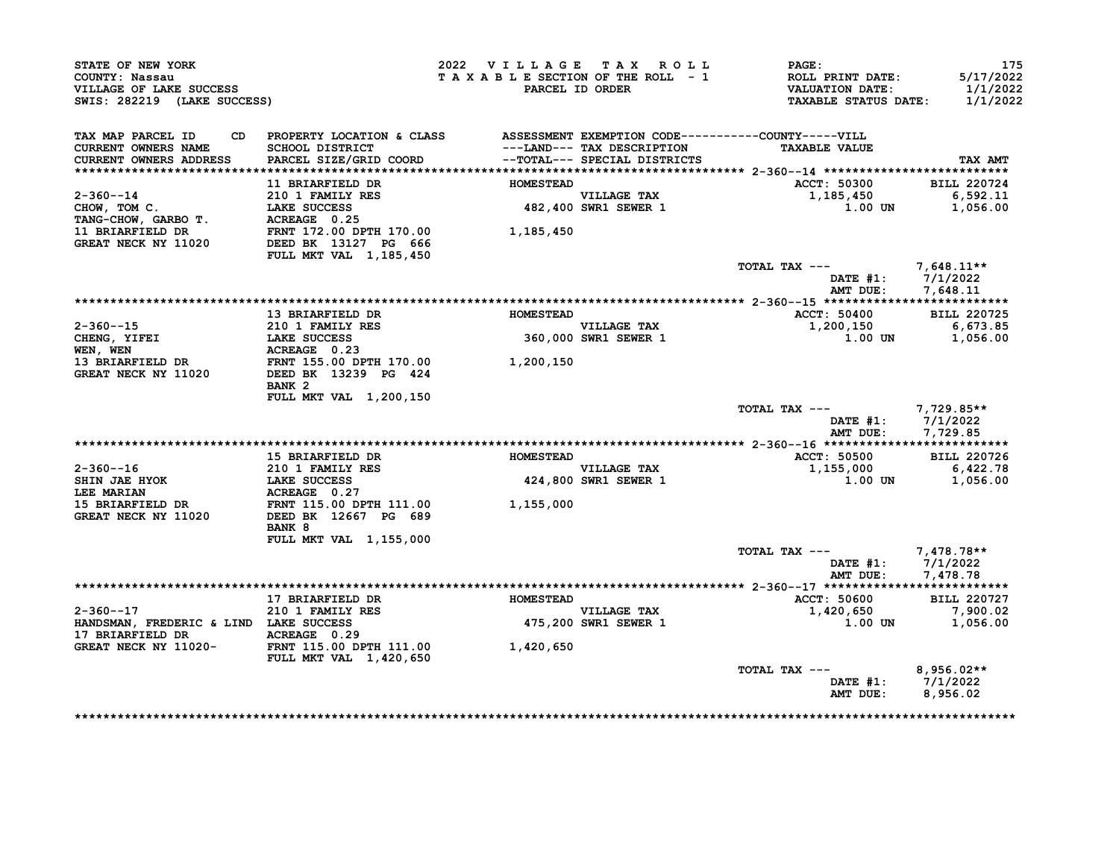| STATE OF NEW YORK<br>COUNTY: Nassau<br>VILLAGE OF LAKE SUCCESS<br>SWIS: 282219 (LAKE SUCCESS) |                                                                             | 2022 VILLAGE TAX ROLL<br>TAXABLE SECTION OF THE ROLL - 1 | PARCEL ID ORDER                                            | <b>PAGE:</b><br>ROLL PRINT DATE:<br><b>VALUATION DATE:</b><br><b>TAXABLE STATUS DATE:</b> | 175<br>5/17/2022<br>1/1/2022<br>1/1/2022 |
|-----------------------------------------------------------------------------------------------|-----------------------------------------------------------------------------|----------------------------------------------------------|------------------------------------------------------------|-------------------------------------------------------------------------------------------|------------------------------------------|
| TAX MAP PARCEL ID<br>CD.<br><b>CURRENT OWNERS NAME</b><br>CURRENT OWNERS ADDRESS              | PROPERTY LOCATION & CLASS<br>SCHOOL DISTRICT<br>PARCEL SIZE/GRID COORD      |                                                          | ---LAND--- TAX DESCRIPTION<br>--TOTAL--- SPECIAL DISTRICTS | ASSESSMENT EXEMPTION CODE----------COUNTY-----VILL<br><b>TAXABLE VALUE</b>                | TAX AMT                                  |
|                                                                                               | 11 BRIARFIELD DR                                                            | <b>HOMESTEAD</b>                                         |                                                            | ACCT: 50300                                                                               | <b>BILL 220724</b>                       |
| $2 - 360 - -14$<br>CHOW, TOM C.<br>TANG-CHOW, GARBO T.                                        | 210 1 FAMILY RES<br>LAKE SUCCESS<br>ACREAGE 0.25                            |                                                          | <b>VILLAGE TAX</b><br>482,400 SWR1 SEWER 1                 | 1,185,450<br>1.00 UN                                                                      | 6,592.11<br>1,056.00                     |
| <b>11 BRIARFIELD DR</b><br>GREAT NECK NY 11020                                                | FRNT 172.00 DPTH 170.00<br>DEED BK 13127 PG 666<br>FULL MKT VAL 1, 185, 450 | 1,185,450                                                |                                                            |                                                                                           |                                          |
|                                                                                               |                                                                             |                                                          |                                                            | TOTAL TAX ---<br>DATE $#1$ :<br>AMT DUE:                                                  | 7,648.11**<br>7/1/2022<br>7,648.11       |
|                                                                                               |                                                                             |                                                          |                                                            |                                                                                           |                                          |
|                                                                                               | 13 BRIARFIELD DR                                                            | <b>HOMESTEAD</b>                                         |                                                            | <b>ACCT: 50400</b>                                                                        | <b>BILL 220725</b>                       |
| $2 - 360 - -15$<br>CHENG, YIFEI                                                               | <b>210 1 FAMILY RES</b><br><b>LAKE SUCCESS</b>                              |                                                          | VILLAGE TAX<br>360,000 SWR1 SEWER 1                        | 1,200,150<br>1.00 UN                                                                      | 6,673.85<br>1,056.00                     |
| WEN, WEN                                                                                      | ACREAGE 0.23                                                                |                                                          |                                                            |                                                                                           |                                          |
| 13 BRIARFIELD DR                                                                              | FRNT 155.00 DPTH 170.00                                                     | 1,200,150                                                |                                                            |                                                                                           |                                          |
| GREAT NECK NY 11020                                                                           | DEED BK 13239 PG 424<br>BANK <sub>2</sub>                                   |                                                          |                                                            |                                                                                           |                                          |
|                                                                                               | FULL MKT VAL 1,200,150                                                      |                                                          |                                                            | TOTAL TAX ---<br>$\mathtt{DATE}$ #1:<br>AMT DUE:                                          | $7,729.85**$<br>7/1/2022<br>7,729.85     |
|                                                                                               |                                                                             |                                                          |                                                            |                                                                                           |                                          |
|                                                                                               | 15 BRIARFIELD DR                                                            | <b>HOMESTEAD</b>                                         |                                                            | <b>ACCT: 50500</b>                                                                        | <b>BILL 220726</b>                       |
| $2 - 360 - -16$                                                                               | 210 1 FAMILY RES                                                            |                                                          | VILLAGE TAX                                                | 1,155,000                                                                                 | 6,422.78                                 |
| SHIN JAE HYOK<br>LEE MARIAN                                                                   | <b>LAKE SUCCESS</b><br>ACREAGE 0.27                                         |                                                          | 424,800 SWR1 SEWER 1                                       | 1.00 UN                                                                                   | 1,056.00                                 |
| <b>15 BRIARFIELD DR</b><br>GREAT NECK NY 11020                                                | FRNT 115.00 DPTH 111.00<br>DEED BK 12667 PG 689<br>BANK 8                   | 1,155,000                                                |                                                            |                                                                                           |                                          |
|                                                                                               | <b>FULL MKT VAL 1,155,000</b>                                               |                                                          |                                                            |                                                                                           |                                          |
|                                                                                               |                                                                             |                                                          |                                                            | TOTAL TAX ---<br>DATE #1:<br>AMT DUE:                                                     | 7,478.78**<br>7/1/2022<br>7,478.78       |
|                                                                                               |                                                                             |                                                          |                                                            |                                                                                           |                                          |
|                                                                                               | 17 BRIARFIELD DR                                                            | <b>HOMESTEAD</b>                                         |                                                            | <b>ACCT: 50600</b>                                                                        | <b>BILL 220727</b>                       |
| $2 - 360 - -17$<br>HANDSMAN, FREDERIC & LIND LAKE SUCCESS<br>17 BRIARFIELD DR                 | 210 1 FAMILY RES<br>ACREAGE 0.29                                            |                                                          | VILLAGE TAX<br>475,200 SWR1 SEWER 1                        | 1,420,650<br>1.00 UN                                                                      | 7,900.02<br>1,056.00                     |
| GREAT NECK NY 11020-                                                                          | FRNT 115.00 DPTH 111.00<br>FULL MKT VAL 1,420,650                           | 1,420,650                                                |                                                            |                                                                                           |                                          |
|                                                                                               |                                                                             |                                                          |                                                            | TOTAL TAX ---<br><b>DATE #1:</b><br>AMT DUE:                                              | $8,956.02**$<br>7/1/2022<br>8,956.02     |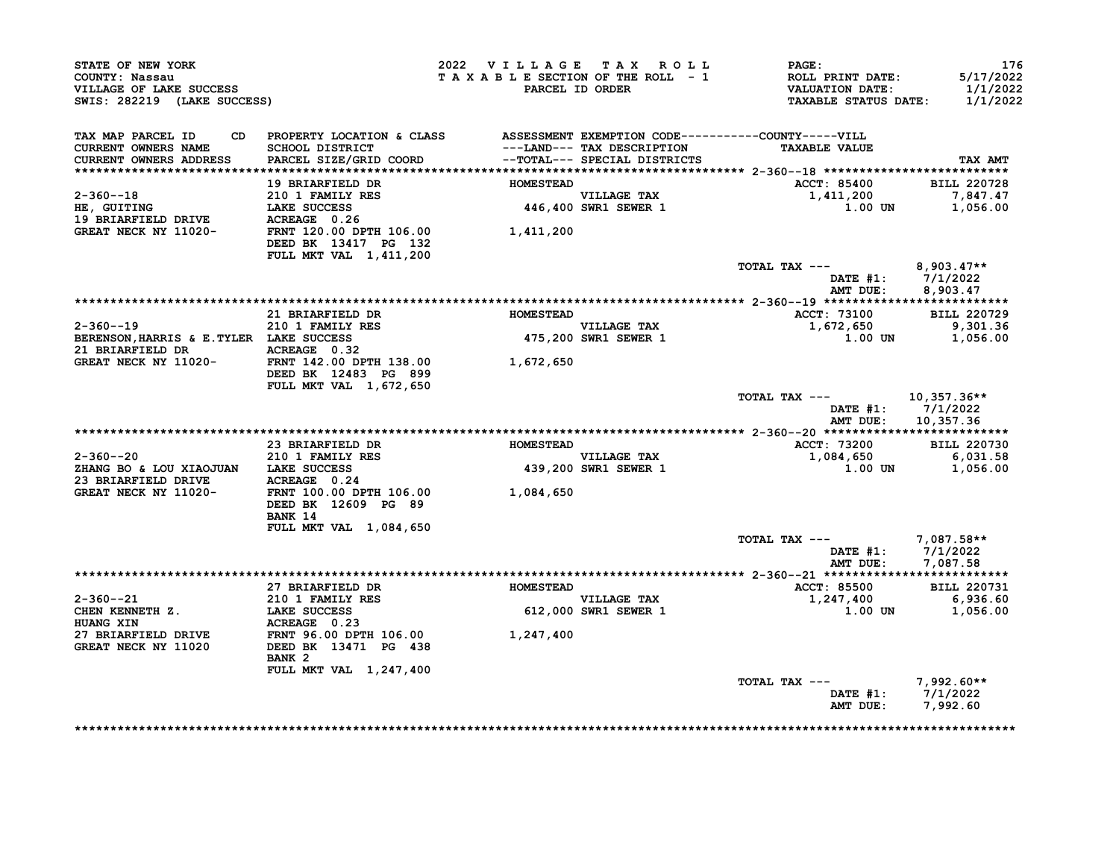| STATE OF NEW YORK<br>COUNTY: Nassau<br>VILLAGE OF LAKE SUCCESS<br>SWIS: 282219 (LAKE SUCCESS)                                                                               |                                                                                                           | 2022 VILLAGE TAX ROLL | TAXABLE SECTION OF THE ROLL - 1<br>PARCEL ID ORDER | <b>PAGE:</b><br>ROLL PRINT DATE:<br>VALUATION DATE:<br><b>TAXABLE STATUS DATE:</b> | 176<br>5/17/2022<br>1/1/2022<br>1/1/2022  |
|-----------------------------------------------------------------------------------------------------------------------------------------------------------------------------|-----------------------------------------------------------------------------------------------------------|-----------------------|----------------------------------------------------|------------------------------------------------------------------------------------|-------------------------------------------|
| TAX MAP PARCEL ID<br>CURRENT OWNERS NAME                                                                                                                                    | CD PROPERTY LOCATION & CLASS ASSESSMENT EXEMPTION CODE----------COUNTY-----VILL<br><b>SCHOOL DISTRICT</b> |                       | ---LAND--- TAX DESCRIPTION                         | <b>TAXABLE VALUE</b>                                                               |                                           |
| CURRENT OWNERS ADDRESS                                                                                                                                                      | PARCEL SIZE/GRID COORD --TOTAL--- SPECIAL DISTRICTS                                                       |                       |                                                    |                                                                                    | TAX AMT                                   |
|                                                                                                                                                                             | 19 BRIARFIELD DR                                                                                          | <b>HOMESTEAD</b>      |                                                    | <b>ACCT: 85400</b>                                                                 | <b>BILL 220728</b>                        |
| $2 - 360 - -18$                                                                                                                                                             | 210 1 FAMILY RES                                                                                          |                       |                                                    | 1,411,200                                                                          | 7,847.47                                  |
| <b><i>∠-</i>boU--18</b><br>HE, GUITING<br>E<br>HE, GUITING DRIVE LAKE SUCCESS<br>19 BRIARFIELD DRIVE ACREAGE 0.26<br>GREAT NECK NY 11020- FRNT 120.00 DPTH 106.00 1,411,200 |                                                                                                           |                       | VILLAGE TAX<br>446,400 SWR1 SEWER 1                | $1.00$ UN                                                                          | 1,056.00                                  |
|                                                                                                                                                                             | DEED BK 13417 PG 132                                                                                      |                       |                                                    |                                                                                    |                                           |
|                                                                                                                                                                             | FULL MKT VAL 1,411,200                                                                                    |                       |                                                    |                                                                                    |                                           |
|                                                                                                                                                                             |                                                                                                           |                       |                                                    | TOTAL TAX $---$ 8,903.47**                                                         |                                           |
|                                                                                                                                                                             |                                                                                                           |                       |                                                    |                                                                                    | DATE #1: 7/1/2022<br>AMT DUE: 8,903.47    |
|                                                                                                                                                                             |                                                                                                           |                       |                                                    |                                                                                    |                                           |
|                                                                                                                                                                             | 21 BRIARFIELD DR                                                                                          | <b>HOMESTEAD</b>      |                                                    | <b>ACCT: 73100</b>                                                                 | <b>BILL 220729</b>                        |
| $2 - 360 - -19$                                                                                                                                                             | 210 1 FAMILY RES<br>LAKE SUCCESS                                                                          |                       | VILLAGE TAX<br>475,200 SWR1 SEWER 1                | 1,672,650                                                                          | 9,301.36                                  |
| BERENSON, HARRIS & E. TYLER LAKE SUCCESS                                                                                                                                    |                                                                                                           |                       |                                                    |                                                                                    | $1.00$ UN $1,056.00$                      |
|                                                                                                                                                                             |                                                                                                           |                       |                                                    |                                                                                    |                                           |
|                                                                                                                                                                             | DEED BK 12483 PG 899                                                                                      |                       |                                                    |                                                                                    |                                           |
|                                                                                                                                                                             | FULL MKT VAL 1,672,650                                                                                    |                       |                                                    | TOTAL TAX ---                                                                      | 10,357.36**                               |
|                                                                                                                                                                             |                                                                                                           |                       |                                                    |                                                                                    | DATE $#1: 7/1/2022$<br>AMT DUE: 10,357.36 |
|                                                                                                                                                                             |                                                                                                           |                       |                                                    |                                                                                    |                                           |
|                                                                                                                                                                             | 23 BRIARFIELD DR                                                                                          | <b>HOMESTEAD</b>      |                                                    | ACCT: 73200 BILL 220730                                                            |                                           |
| 2-360--20                                                                                                                                                                   | 210 1 FAMILY RES                                                                                          |                       | VILLAGE TAX<br>439,200 SWR1 SEWER 1                | $1,084,650$<br>$1,000$ UN $1,056.00$                                               |                                           |
| ZHANG BO & LOU XIAOJUAN LAKE SUCCESS                                                                                                                                        |                                                                                                           |                       |                                                    |                                                                                    |                                           |
|                                                                                                                                                                             |                                                                                                           |                       |                                                    |                                                                                    |                                           |
|                                                                                                                                                                             | DEED BK 12609 PG 89<br>BANK 14                                                                            |                       |                                                    |                                                                                    |                                           |
|                                                                                                                                                                             | <b>FULL MKT VAL 1,084,650</b>                                                                             |                       |                                                    |                                                                                    |                                           |
|                                                                                                                                                                             |                                                                                                           |                       |                                                    | TOTAL TAX --- $7,087.58**$                                                         |                                           |
|                                                                                                                                                                             |                                                                                                           |                       |                                                    |                                                                                    | DATE #1: 7/1/2022<br>AMT DUE: 7,087.58    |
|                                                                                                                                                                             |                                                                                                           |                       |                                                    |                                                                                    |                                           |
| $2 - 360 - -21$                                                                                                                                                             | 27 BRIARFIELD DR                                                                                          | <b>HOMESTEAD</b>      | VILLAGE TAX                                        | <b>ACCT: 85500</b><br>1,247,400                                                    | <b>BILL 220731</b><br>6,936.60            |
| CHEN KENNETH Z.                                                                                                                                                             | 210 1 FAMILY RES<br>LAKE SUCCESS<br>ACPEACE 0 23<br>LAKE SUCCESS                                          |                       | 612,000 SWR1 SEWER 1                               | 1.00 UN                                                                            | 1,056.00                                  |
| <b>HUANG XIN</b>                                                                                                                                                            |                                                                                                           |                       |                                                    |                                                                                    |                                           |
| 27 BRIARFIELD DRIVE                                                                                                                                                         |                                                                                                           |                       |                                                    |                                                                                    |                                           |
| GREAT NECK NY 11020                                                                                                                                                         | BANK <sub>2</sub>                                                                                         |                       |                                                    |                                                                                    |                                           |
|                                                                                                                                                                             | FULL MKT VAL 1,247,400                                                                                    |                       |                                                    |                                                                                    |                                           |
|                                                                                                                                                                             |                                                                                                           |                       |                                                    | TOTAL TAX ---                                                                      | $7,992.60**$                              |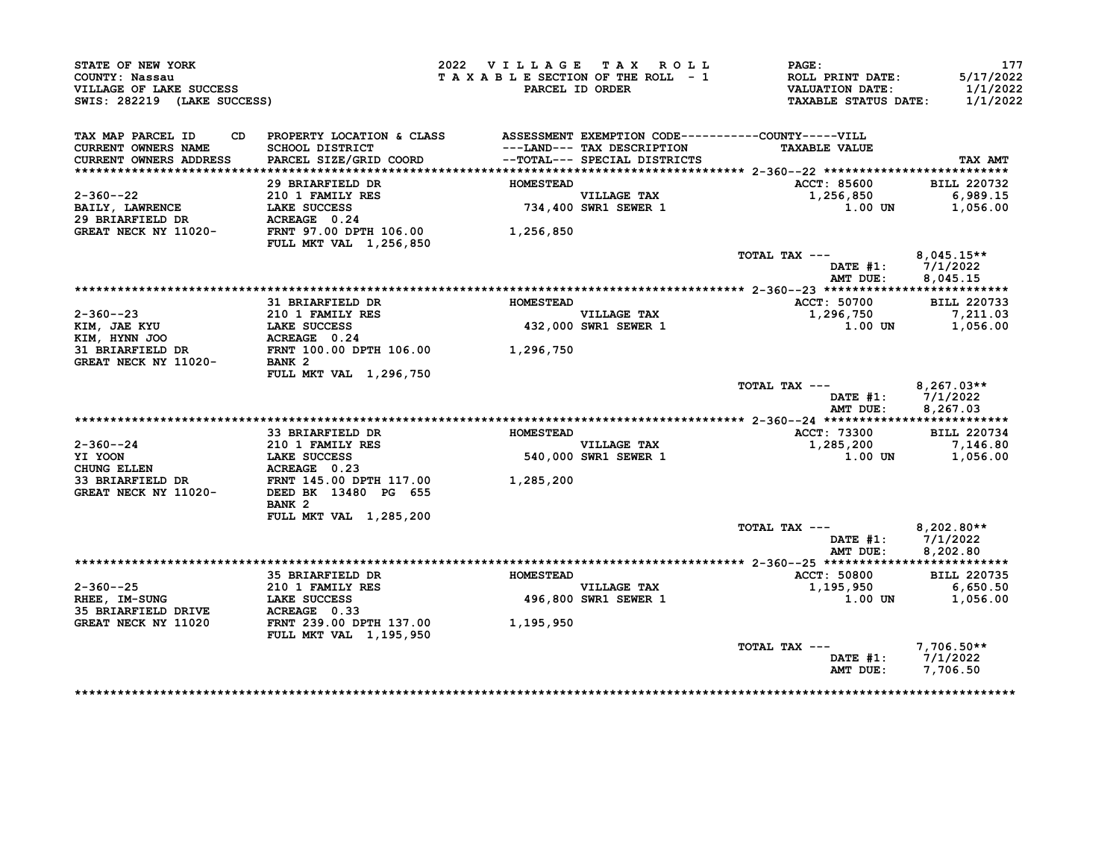| STATE OF NEW YORK<br>COUNTY: Nassau<br>VILLAGE OF LAKE SUCCESS<br>SWIS: 282219 (LAKE SUCCESS) |                                                                                                 | 2022 VILLAGE TAX ROLL<br>TAXABLE SECTION OF THE ROLL - 1 | PARCEL ID ORDER                     | PAGE:<br>ROLL PRINT DATE:<br><b>VALUATION DATE:</b><br><b>TAXABLE STATUS DATE:</b> | 177<br>5/17/2022<br>1/1/2022<br>1/1/2022 |
|-----------------------------------------------------------------------------------------------|-------------------------------------------------------------------------------------------------|----------------------------------------------------------|-------------------------------------|------------------------------------------------------------------------------------|------------------------------------------|
| TAX MAP PARCEL ID<br>CD.<br><b>CURRENT OWNERS NAME</b>                                        | PROPERTY LOCATION & CLASS ASSESSMENT EXEMPTION CODE----------COUNTY-----VILL<br>SCHOOL DISTRICT |                                                          | ---LAND--- TAX DESCRIPTION          | <b>TAXABLE VALUE</b>                                                               |                                          |
| CURRENT OWNERS ADDRESS                                                                        | PARCEL SIZE/GRID COORD                                                                          |                                                          | --TOTAL--- SPECIAL DISTRICTS        |                                                                                    | TAX AMT                                  |
|                                                                                               |                                                                                                 |                                                          |                                     |                                                                                    |                                          |
|                                                                                               | 29 BRIARFIELD DR                                                                                | <b>HOMESTEAD</b>                                         |                                     | ACCT: 85600                                                                        | <b>BILL 220732</b>                       |
| $2 - 360 - -22$                                                                               | 210 1 FAMILY RES                                                                                |                                                          |                                     | 1,256,850                                                                          | 6,989.15                                 |
| <b>BAILY, LAWRENCE</b>                                                                        | LAKE SUCCESS                                                                                    |                                                          | VILLAGE TAX<br>734,400 SWR1 SEWER 1 | 1.00 UN                                                                            | 1,056.00                                 |
| 29 BRIARFIELD DR                                                                              | ACREAGE 0.24                                                                                    |                                                          |                                     |                                                                                    |                                          |
| GREAT NECK NY 11020-                                                                          | FRNT 97.00 DPTH 106.00<br><b>FULL MKT VAL 1,256,850</b>                                         | 1,256,850                                                |                                     |                                                                                    |                                          |
|                                                                                               |                                                                                                 |                                                          |                                     | TOTAL TAX ---                                                                      | $8,045.15**$                             |
|                                                                                               |                                                                                                 |                                                          |                                     | DATE $#1: 7/1/2022$                                                                |                                          |
|                                                                                               |                                                                                                 |                                                          |                                     | AMT DUE:                                                                           | 8,045.15                                 |
|                                                                                               |                                                                                                 |                                                          |                                     |                                                                                    |                                          |
|                                                                                               | 31 BRIARFIELD DR                                                                                | <b>HOMESTEAD</b>                                         |                                     | ACCT: 50700                                                                        | <b>BILL 220733</b>                       |
| $2 - 360 - -23$                                                                               | 210 1 FAMILY RES<br>LAKE SUCCESS                                                                |                                                          | VILLAGE TAX<br>432,000 SWR1 SEWER 1 | 1,296,750                                                                          | 7,211.03                                 |
| KIM, JAE KYU                                                                                  | LAKE SUCCESS                                                                                    |                                                          |                                     | 1.00 UN                                                                            | 1,056.00                                 |
| KIM, HYNN JOO                                                                                 | ACREAGE 0.24                                                                                    |                                                          |                                     |                                                                                    |                                          |
| 31 BRIARFIELD DR                                                                              | FRNT 100.00 DPTH 106.00 1,296,750                                                               |                                                          |                                     |                                                                                    |                                          |
| GREAT NECK NY 11020-                                                                          | BANK <sub>2</sub>                                                                               |                                                          |                                     |                                                                                    |                                          |
|                                                                                               | FULL MKT VAL 1,296,750                                                                          |                                                          |                                     |                                                                                    |                                          |
|                                                                                               |                                                                                                 |                                                          |                                     | TOTAL TAX ---<br>DATE $#1: 7/1/2022$                                               | $8,267.03**$                             |
|                                                                                               |                                                                                                 |                                                          |                                     | AMT DUE:                                                                           | 8,267.03                                 |
|                                                                                               |                                                                                                 |                                                          |                                     |                                                                                    |                                          |
|                                                                                               | 33 BRIARFIELD DR                                                                                | <b>HOMESTEAD</b>                                         |                                     | ACCT: 73300                                                                        | <b>BILL 220734</b>                       |
| $2 - 360 - -24$                                                                               | 210 1 FAMILY RES<br>210 1 FAMILY<br>LAKE SUCCESS                                                |                                                          | VILLAGE TAX                         | 1,285,200                                                                          | 7,146.80                                 |
| YI YOON                                                                                       |                                                                                                 |                                                          | 540,000 SWR1 SEWER 1                | 1.00 UN                                                                            | 1,056.00                                 |
| <b>CHUNG ELLEN</b>                                                                            | ACREAGE 0.23<br><b>ACREAGE 0.23<br/>FRNT 145.00 DPTH 117.00</b>                                 |                                                          |                                     |                                                                                    |                                          |
| 33 BRIARFIELD DR                                                                              |                                                                                                 | 1,285,200                                                |                                     |                                                                                    |                                          |
| GREAT NECK NY 11020-                                                                          | DEED BK 13480 PG 655                                                                            |                                                          |                                     |                                                                                    |                                          |
|                                                                                               | BANK <sub>2</sub>                                                                               |                                                          |                                     |                                                                                    |                                          |
|                                                                                               | FULL MKT VAL 1,285,200                                                                          |                                                          |                                     |                                                                                    |                                          |
|                                                                                               |                                                                                                 |                                                          |                                     | TOTAL TAX ---                                                                      | $8,202.80**$                             |
|                                                                                               |                                                                                                 |                                                          |                                     | DATE $#1: 7/1/2022$<br>AMT DUE:                                                    |                                          |
|                                                                                               |                                                                                                 |                                                          |                                     |                                                                                    | 8,202.80                                 |
|                                                                                               | 35 BRIARFIELD DR                                                                                | <b>HOMESTEAD</b>                                         |                                     | ACCT: 50800                                                                        | <b>BILL 220735</b>                       |
|                                                                                               |                                                                                                 |                                                          |                                     |                                                                                    | 6,650.50                                 |
| 2-360--25<br>RHEE, IM-SUNG                                                                    | 35 BRIAKE LOLE __<br>210 1 FAMILY RES<br><sup>T.AKR</sup> SUCCESS<br><b>LAKE SUCCESS</b>        |                                                          | VILLAGE TAX<br>496,800 SWR1 SEWER 1 | 1,195,950<br><b>1.00 UN</b>                                                        | 1,056.00                                 |
|                                                                                               | ACREAGE 0.33                                                                                    |                                                          |                                     |                                                                                    |                                          |
|                                                                                               | FRNT 239.00 DPTH 137.00                                                                         | 1,195,950                                                |                                     |                                                                                    |                                          |
| 35 BRIARFIELD DRIVE                                                                           |                                                                                                 |                                                          |                                     |                                                                                    |                                          |
| GREAT NECK NY 11020                                                                           |                                                                                                 |                                                          |                                     |                                                                                    |                                          |
|                                                                                               | <b>FULL MKT VAL 1,195,950</b>                                                                   |                                                          |                                     |                                                                                    |                                          |
|                                                                                               |                                                                                                 |                                                          |                                     | TOTAL TAX ---<br>DATE #1: 7/1/2022                                                 | $7,706.50**$                             |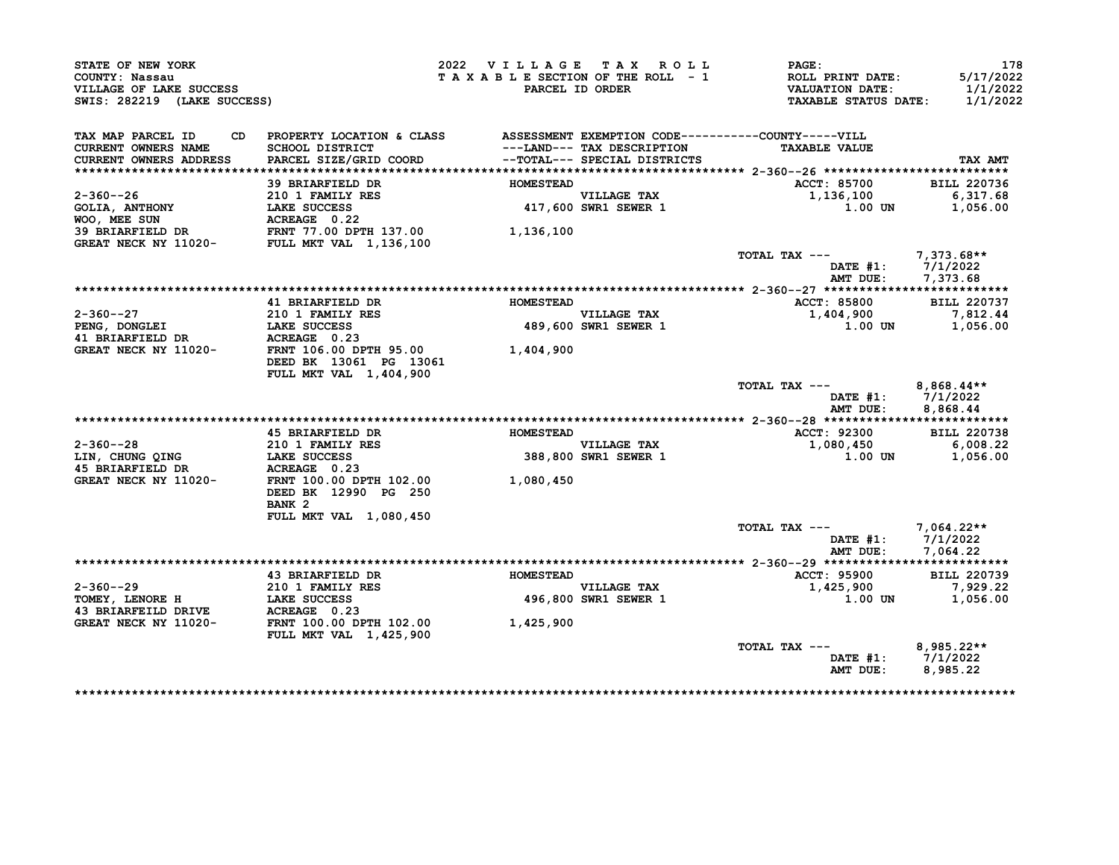| STATE OF NEW YORK<br>COUNTY: Nassau<br>VILLAGE OF LAKE SUCCESS<br>SWIS: 282219 (LAKE SUCCESS) |                                                                                                                           | 2022 VILLAGE TAX ROLL | TAXABLE SECTION OF THE ROLL - 1<br>PARCEL ID ORDER          | <b>PAGE :</b><br><b>ROLL PRINT DATE:</b><br><b>VALUATION DATE:</b><br><b>TAXABLE STATUS DATE:</b> | 178<br>5/17/2022<br>1/1/2022<br>1/1/2022 |
|-----------------------------------------------------------------------------------------------|---------------------------------------------------------------------------------------------------------------------------|-----------------------|-------------------------------------------------------------|---------------------------------------------------------------------------------------------------|------------------------------------------|
|                                                                                               |                                                                                                                           |                       |                                                             |                                                                                                   |                                          |
| TAX MAP PARCEL ID<br>CD<br>CURRENT OWNERS NAME<br>CURRENT OWNERS ADDRESS                      | PROPERTY LOCATION & CLASS ASSESSMENT EXEMPTION CODE----------COUNTY-----VILL<br>SCHOOL DISTRICT<br>PARCEL SIZE/GRID COORD |                       | ---LAND--- TAX DESCRIPTION<br>--TOTAL--- SPECIAL DISTRICTS  | <b>TAXABLE VALUE</b>                                                                              | TAX AMT                                  |
|                                                                                               |                                                                                                                           |                       |                                                             |                                                                                                   |                                          |
|                                                                                               | 39 BRIARFIELD DR                                                                                                          | <b>HOMESTEAD</b>      |                                                             | ACCT: 85700                                                                                       | <b>BILL 220736</b>                       |
| $2 - 360 - -26$                                                                               | 210 1 FAMILY RES                                                                                                          |                       | VILLAGE TAX<br>417,600 SWR1 SEWER 1                         | 1,136,100                                                                                         | 6,317.68                                 |
| <b>GOLIA, ANTHONY</b>                                                                         | LAKE SUCCESS                                                                                                              |                       |                                                             | 1.00 UN                                                                                           | 1,056.00                                 |
|                                                                                               |                                                                                                                           |                       |                                                             |                                                                                                   |                                          |
|                                                                                               |                                                                                                                           | 1,136,100             |                                                             |                                                                                                   |                                          |
|                                                                                               |                                                                                                                           |                       |                                                             |                                                                                                   |                                          |
|                                                                                               |                                                                                                                           |                       |                                                             | TOTAL TAX ---<br>DATE #1: 7/1/2022<br>AMT DUE:                                                    | 7,373.68**<br>7,373.68                   |
|                                                                                               |                                                                                                                           |                       |                                                             |                                                                                                   |                                          |
|                                                                                               | 41 BRIARFIELD DR                                                                                                          | <b>HOMESTEAD</b>      |                                                             | ACCT: 85800                                                                                       | <b>BILL 220737</b>                       |
| $2 - 360 - -27$                                                                               | 210 1 FAMILY RES                                                                                                          |                       |                                                             | 1,404,900                                                                                         | 7,812.44                                 |
| PENG, DONGLEI                                                                                 | LAKE SUCCESS                                                                                                              |                       | VILLAGE TAX<br>489,600 SWR1 SEWER 1<br>489,600 SWR1 SEWER 1 | 1.00 UN                                                                                           | 1,056.00                                 |
| 41 BRIARFIELD DR                                                                              | ACREAGE 0.23                                                                                                              |                       |                                                             |                                                                                                   |                                          |
| <b>GREAT NECK NY 11020-</b>                                                                   | <b>FRNT 106.00 DPTH 95.00</b>                                                                                             | 1,404,900             |                                                             |                                                                                                   |                                          |
|                                                                                               | DEED BK 13061 PG 13061                                                                                                    |                       |                                                             |                                                                                                   |                                          |
|                                                                                               | FULL MKT VAL 1,404,900                                                                                                    |                       |                                                             |                                                                                                   |                                          |
|                                                                                               |                                                                                                                           |                       |                                                             | TOTAL TAX ---<br>DATE $#1: 7/1/2022$<br>AMT DUE:                                                  | $8,868.44**$<br>8,868.44                 |
|                                                                                               |                                                                                                                           |                       |                                                             |                                                                                                   |                                          |
|                                                                                               | 45 BRIARFIELD DR                                                                                                          | <b>HOMESTEAD</b>      |                                                             | <b>ACCT: 92300</b>                                                                                | <b>BILL 220738</b>                       |
| $2 - 360 - -28$                                                                               | 210 1 FAMILY RES<br>LAKE SUCCESS                                                                                          |                       | <b>VILLAGE TAX</b><br>VILLAGE TAX<br>388,800 SWR1 SEWER 1   | 1,080,450                                                                                         | 6,008.22                                 |
| LIN, CHUNG QING                                                                               |                                                                                                                           |                       |                                                             | 1.00 UN                                                                                           | 1,056.00                                 |
| 45 BRIARFIELD DR                                                                              | ACREAGE 0.23                                                                                                              |                       |                                                             |                                                                                                   |                                          |
| GREAT NECK NY 11020-                                                                          | FRNT 100.00 DPTH 102.00                                                                                                   | 1,080,450             |                                                             |                                                                                                   |                                          |
|                                                                                               | DEED BK 12990 PG 250                                                                                                      |                       |                                                             |                                                                                                   |                                          |
|                                                                                               | BANK <sub>2</sub>                                                                                                         |                       |                                                             |                                                                                                   |                                          |
|                                                                                               | FULL MKT VAL 1,080,450                                                                                                    |                       |                                                             | $TOTAL$ $TAX$ $---$                                                                               | $7.064.22**$                             |
|                                                                                               |                                                                                                                           |                       |                                                             | DATE #1: 7/1/2022                                                                                 |                                          |
|                                                                                               |                                                                                                                           |                       |                                                             | AMT DUE:                                                                                          | 7,064.22                                 |
|                                                                                               |                                                                                                                           |                       |                                                             |                                                                                                   |                                          |
|                                                                                               | 43 BRIARFIELD DR                                                                                                          | <b>HOMESTEAD</b>      |                                                             | ACCT: 95900                                                                                       | <b>BILL 220739</b>                       |
| 2-360--29                                                                                     |                                                                                                                           |                       | VILLAGE TAX<br>496,800 SWR1 SEWER 1                         | 1,425,900                                                                                         | 7,929.22                                 |
| TOMEY, LENORE H                                                                               | 45 BRITIN 1-1<br>210 1 FAMILY RES<br>LAKE SUCCESS<br><b>LAKE SUCCESS</b>                                                  |                       |                                                             | <b>1.00 UN</b>                                                                                    | 1,056.00                                 |
| 43 BRIARFEILD DRIVE                                                                           | ACREAGE 0.23                                                                                                              |                       |                                                             |                                                                                                   |                                          |
| GREAT NECK NY 11020-                                                                          | FRNT 100.00 DPTH 102.00                                                                                                   | 1,425,900             |                                                             |                                                                                                   |                                          |
|                                                                                               | <b>FULL MKT VAL 1,425,900</b>                                                                                             |                       |                                                             |                                                                                                   |                                          |
|                                                                                               |                                                                                                                           |                       |                                                             | TOTAL TAX ---                                                                                     | $8,985.22**$                             |
|                                                                                               |                                                                                                                           |                       |                                                             | DATE #1: $7/1/2022$                                                                               |                                          |
|                                                                                               |                                                                                                                           |                       |                                                             | AMT DUE:                                                                                          | 8,985.22                                 |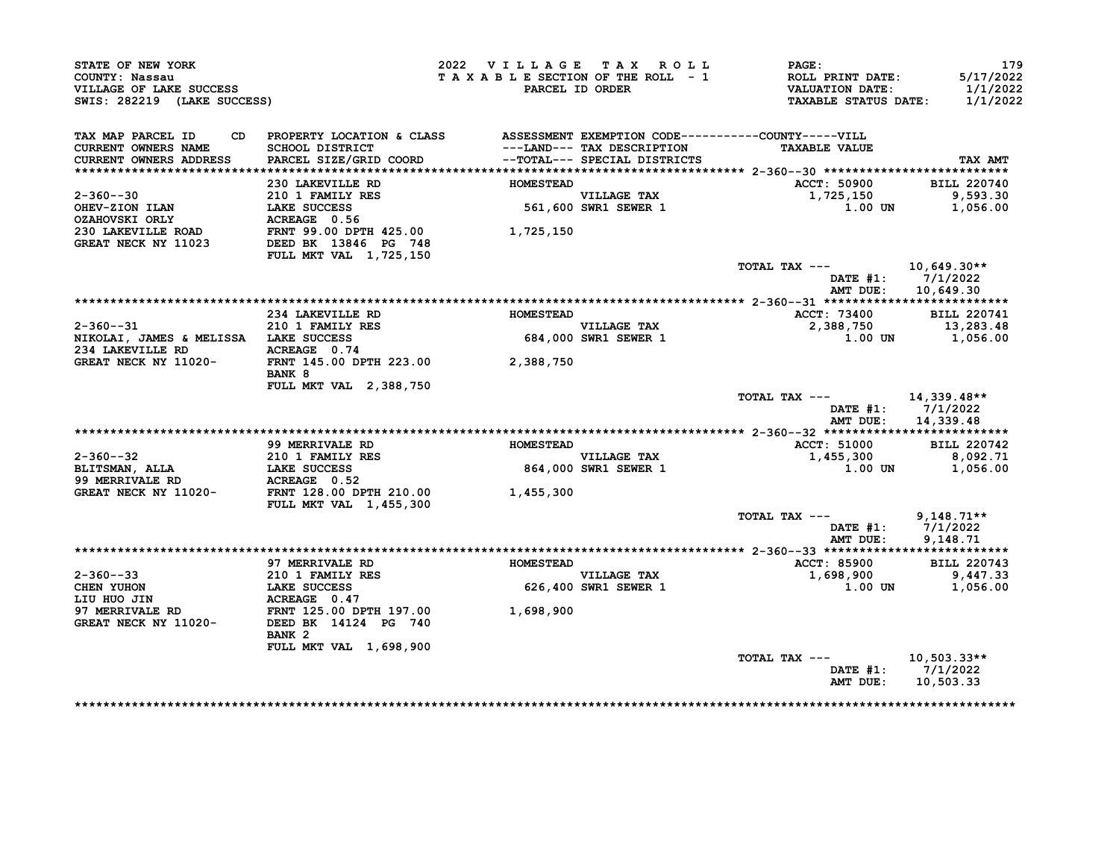| STATE OF NEW YORK<br>COUNTY: Nassau<br>VILLAGE OF LAKE SUCCESS<br>SWIS: 282219 (LAKE SUCCESS)                                                                                                                                                                                                                                                                          |                                                                                                                                                   | 2022 VILLAGE TAX ROLL                            | PAGE:<br>TAXABLE SECTION OF THE ROLL - 1 ROLL PRINT DATE: 5/17/2022<br>PARCEL ID ORDER VALUATION DATE: 1/1/2022<br>TAXABLE STATUS DATE: 1/1/2022 | 179                                    |
|------------------------------------------------------------------------------------------------------------------------------------------------------------------------------------------------------------------------------------------------------------------------------------------------------------------------------------------------------------------------|---------------------------------------------------------------------------------------------------------------------------------------------------|--------------------------------------------------|--------------------------------------------------------------------------------------------------------------------------------------------------|----------------------------------------|
| TAX MAP PARCEL ID CD PROPERTY LOCATION & CLASS ASSESSMENT EXEMPTION CODE----------COUNTY-----VILL                                                                                                                                                                                                                                                                      |                                                                                                                                                   |                                                  |                                                                                                                                                  |                                        |
| CURRENT OWNERS NAME<br>CURRENT OWNERS ADDRESS                                                                                                                                                                                                                                                                                                                          | SCHOOL DISTRICT                                   ---LAND--- TAX DESCRIPTION<br>PARCEL SIZE/GRID COORD               --TOTAL--- SPECIAL DISTRICTS |                                                  | <b>TAXABLE VALUE</b>                                                                                                                             | <b>TAX AMT</b>                         |
|                                                                                                                                                                                                                                                                                                                                                                        |                                                                                                                                                   |                                                  |                                                                                                                                                  |                                        |
|                                                                                                                                                                                                                                                                                                                                                                        |                                                                                                                                                   | <b>HOMESTEAD</b>                                 | <b>ACCT: 50900</b>                                                                                                                               | <b>BILL 220740</b>                     |
|                                                                                                                                                                                                                                                                                                                                                                        |                                                                                                                                                   |                                                  |                                                                                                                                                  |                                        |
|                                                                                                                                                                                                                                                                                                                                                                        |                                                                                                                                                   |                                                  | 1,725,150 9,593.30<br>1.00 UN 1,056.00                                                                                                           |                                        |
|                                                                                                                                                                                                                                                                                                                                                                        |                                                                                                                                                   |                                                  |                                                                                                                                                  |                                        |
|                                                                                                                                                                                                                                                                                                                                                                        |                                                                                                                                                   |                                                  |                                                                                                                                                  |                                        |
|                                                                                                                                                                                                                                                                                                                                                                        |                                                                                                                                                   |                                                  |                                                                                                                                                  |                                        |
|                                                                                                                                                                                                                                                                                                                                                                        | <b>FULL MKT VAL 1,725,150</b>                                                                                                                     |                                                  |                                                                                                                                                  |                                        |
|                                                                                                                                                                                                                                                                                                                                                                        |                                                                                                                                                   |                                                  | TOTAL TAX ---                                                                                                                                    | 10,649.30**                            |
|                                                                                                                                                                                                                                                                                                                                                                        |                                                                                                                                                   |                                                  |                                                                                                                                                  | DATE #1: 7/1/2022                      |
|                                                                                                                                                                                                                                                                                                                                                                        |                                                                                                                                                   |                                                  |                                                                                                                                                  | AMT DUE: 10,649.30                     |
|                                                                                                                                                                                                                                                                                                                                                                        |                                                                                                                                                   |                                                  | ACCT: 73400 BILL 220741                                                                                                                          |                                        |
| $2 - 360 - -31$                                                                                                                                                                                                                                                                                                                                                        |                                                                                                                                                   |                                                  | 2,388,750                                                                                                                                        | 13,283.48                              |
|                                                                                                                                                                                                                                                                                                                                                                        |                                                                                                                                                   |                                                  |                                                                                                                                                  | $1.00$ UN $1,056.00$                   |
|                                                                                                                                                                                                                                                                                                                                                                        |                                                                                                                                                   |                                                  |                                                                                                                                                  |                                        |
| 2-360--31<br>NIKOLAI, JAMES & MELISSA LAKE SUCCESS<br>234 LAKEVILLE RD ACREAGE 0.74<br>GREAT NECK NY 11020-<br>PANT 145.00 DPTH 223.00 2,388,750                                                                                                                                                                                                                       |                                                                                                                                                   |                                                  |                                                                                                                                                  |                                        |
|                                                                                                                                                                                                                                                                                                                                                                        | <b>BANK 8</b>                                                                                                                                     |                                                  |                                                                                                                                                  |                                        |
|                                                                                                                                                                                                                                                                                                                                                                        | <b>FULL MKT VAL 2,388,750</b>                                                                                                                     |                                                  |                                                                                                                                                  |                                        |
|                                                                                                                                                                                                                                                                                                                                                                        |                                                                                                                                                   |                                                  | TOTAL TAX --- $14,339.48**$                                                                                                                      |                                        |
|                                                                                                                                                                                                                                                                                                                                                                        |                                                                                                                                                   |                                                  |                                                                                                                                                  | DATE #1: 7/1/2022                      |
|                                                                                                                                                                                                                                                                                                                                                                        |                                                                                                                                                   |                                                  |                                                                                                                                                  | AMT DUE: 14,339.48                     |
|                                                                                                                                                                                                                                                                                                                                                                        |                                                                                                                                                   |                                                  |                                                                                                                                                  |                                        |
| $\begin{tabular}{lllllllllllll} \multicolumn{3}{c }{2-360--32} & 99 MERRIVALE RD & HOMESTEAD \\ & 210 1 FAMILLY RES & 564,000 SWR1 SEWER 1 \\ \multicolumn{3}{c }{BLINKU} & LAKE SUCCES & 864,000 SWR1 SEWER 1 \\ \multicolumn{3}{c }{GREAT NECK NY 11020-- & FRNT 128.00 DPTH 210.00} & 1,455,300 \\ \multicolumn{3}{c }{FICIL. MKT VAT.} & 455.300 \\ \end{tabular}$ |                                                                                                                                                   |                                                  | ACCT: 51000 BILL 220742                                                                                                                          |                                        |
|                                                                                                                                                                                                                                                                                                                                                                        |                                                                                                                                                   |                                                  | 1,455,300 8,092.71                                                                                                                               |                                        |
|                                                                                                                                                                                                                                                                                                                                                                        |                                                                                                                                                   |                                                  |                                                                                                                                                  | $1.00$ UN $1.056.00$                   |
|                                                                                                                                                                                                                                                                                                                                                                        |                                                                                                                                                   |                                                  |                                                                                                                                                  |                                        |
|                                                                                                                                                                                                                                                                                                                                                                        |                                                                                                                                                   |                                                  |                                                                                                                                                  |                                        |
|                                                                                                                                                                                                                                                                                                                                                                        | <b>FULL MKT VAL 1,455,300</b>                                                                                                                     |                                                  |                                                                                                                                                  |                                        |
|                                                                                                                                                                                                                                                                                                                                                                        |                                                                                                                                                   |                                                  | TOTAL TAX --- $9,148.71**$                                                                                                                       |                                        |
|                                                                                                                                                                                                                                                                                                                                                                        |                                                                                                                                                   |                                                  |                                                                                                                                                  | DATE #1: 7/1/2022<br>AMT DUE: 9,148.71 |
|                                                                                                                                                                                                                                                                                                                                                                        |                                                                                                                                                   |                                                  |                                                                                                                                                  |                                        |
|                                                                                                                                                                                                                                                                                                                                                                        | <b>97 MERRIVALE RD</b>                                                                                                                            |                                                  |                                                                                                                                                  |                                        |
|                                                                                                                                                                                                                                                                                                                                                                        |                                                                                                                                                   | HOMESTEAD<br>VILLAGE TAX<br>626,400 SWR1 SEWER 1 | VILLAGE TAX<br>VILLAGE TAX<br>$1,698,900$ BILL 220743<br>9,447.33                                                                                |                                        |
|                                                                                                                                                                                                                                                                                                                                                                        |                                                                                                                                                   |                                                  |                                                                                                                                                  | 1.00 UN 1,056.00                       |
|                                                                                                                                                                                                                                                                                                                                                                        |                                                                                                                                                   |                                                  |                                                                                                                                                  |                                        |
|                                                                                                                                                                                                                                                                                                                                                                        |                                                                                                                                                   |                                                  |                                                                                                                                                  |                                        |
| 2-360--33<br>CHEN YUHON<br>CHEN YUHON<br>LIU HUO JIN LAKE SUCCESS<br>LIU HUO JIN ACREAGE 0.47<br>97 MERRIVALE RD FRNT 125.00 DPTH 197.00<br>GREAT NECK NY 11020-<br>DEED BK 14124 PG 740<br>2011 PANT 2                                                                                                                                                                |                                                                                                                                                   |                                                  |                                                                                                                                                  |                                        |
|                                                                                                                                                                                                                                                                                                                                                                        | BANK 2                                                                                                                                            |                                                  |                                                                                                                                                  |                                        |
|                                                                                                                                                                                                                                                                                                                                                                        | FULL MKT VAL 1,698,900                                                                                                                            |                                                  |                                                                                                                                                  |                                        |
|                                                                                                                                                                                                                                                                                                                                                                        |                                                                                                                                                   |                                                  | TOTAL TAX --- 10,503.33**                                                                                                                        |                                        |
|                                                                                                                                                                                                                                                                                                                                                                        |                                                                                                                                                   |                                                  |                                                                                                                                                  | DATE #1: 7/1/2022                      |
|                                                                                                                                                                                                                                                                                                                                                                        |                                                                                                                                                   |                                                  |                                                                                                                                                  |                                        |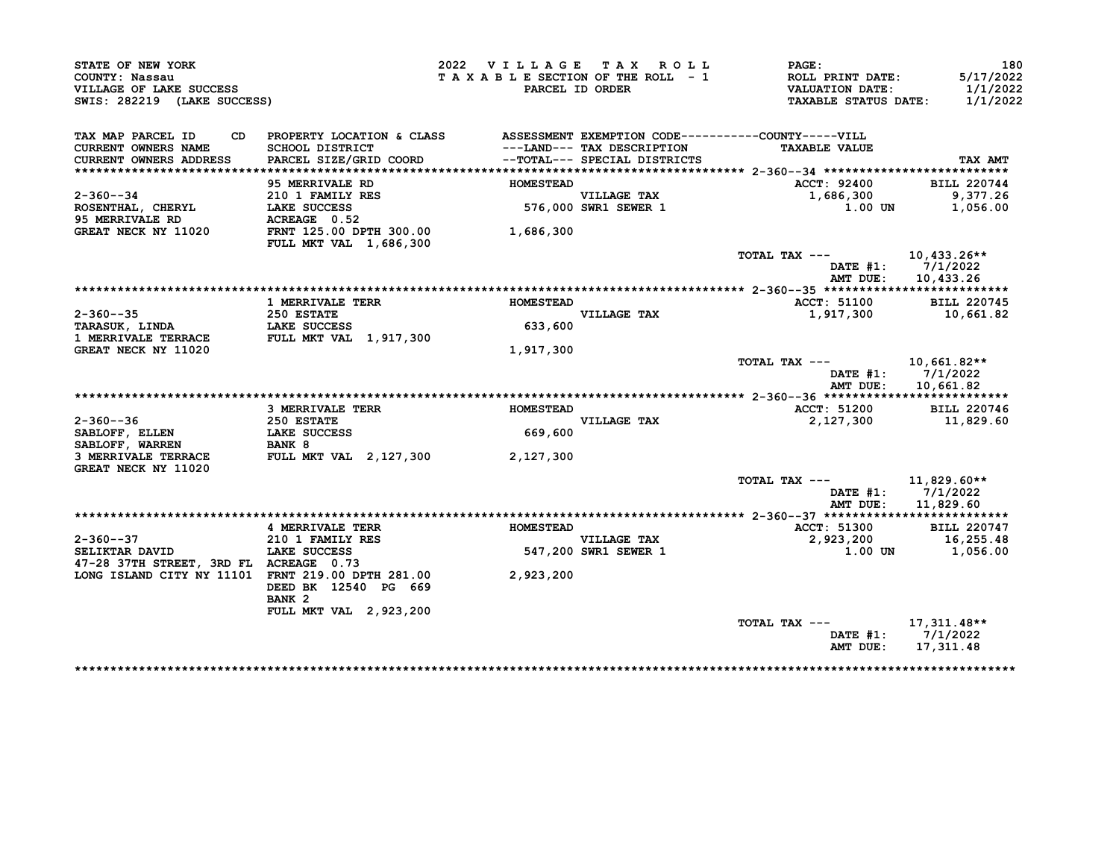| STATE OF NEW YORK                                                        |                                                                                 | 2022 VILLAGE TAX ROLL           |                                     | <b>PAGE:</b>                                                                     | 180                               |
|--------------------------------------------------------------------------|---------------------------------------------------------------------------------|---------------------------------|-------------------------------------|----------------------------------------------------------------------------------|-----------------------------------|
| COUNTY: Nassau<br>VILLAGE OF LAKE SUCCESS<br>SWIS: 282219 (LAKE SUCCESS) |                                                                                 | TAXABLE SECTION OF THE ROLL - 1 | PARCEL ID ORDER                     | <b>ROLL PRINT DATE:</b><br><b>VALUATION DATE:</b><br><b>TAXABLE STATUS DATE:</b> | 5/17/2022<br>1/1/2022<br>1/1/2022 |
|                                                                          |                                                                                 |                                 |                                     |                                                                                  |                                   |
| TAX MAP PARCEL ID                                                        | CD PROPERTY LOCATION & CLASS ASSESSMENT EXEMPTION CODE----------COUNTY-----VILL |                                 |                                     |                                                                                  |                                   |
| <b>CURRENT OWNERS NAME</b><br><b>CURRENT OWNERS ADDRESS</b>              | SCHOOL DISTRICT<br>PARCEL SIZE/GRID COORD                                       |                                 | --TOTAL--- SPECIAL DISTRICTS        | <b>TAXABLE VALUE</b>                                                             | TAX AMT                           |
|                                                                          |                                                                                 |                                 |                                     |                                                                                  |                                   |
|                                                                          | 95 MERRIVALE RD                                                                 | <b>HOMESTEAD</b>                |                                     | ACCT: 92400                                                                      | <b>BILL 220744</b>                |
| $2 - 360 - -34$                                                          |                                                                                 |                                 |                                     | 1,686,300                                                                        | 9,377.26                          |
| ROSENTHAL, CHERYL LAKE SUCCESS                                           | 210 1 FAMILY RES<br>LAKE SUCCESS                                                |                                 | VILLAGE TAX<br>576,000 SWR1 SEWER 1 | 1.00 UN                                                                          | 1,056.00                          |
| 95 MERRIVALE RD                                                          | ACREAGE 0.52                                                                    |                                 |                                     |                                                                                  |                                   |
| GREAT NECK NY 11020                                                      | FRNT 125.00 DPTH 300.00<br>FULL MKT VAL 1,686,300                               | 1,686,300                       |                                     |                                                                                  |                                   |
|                                                                          |                                                                                 |                                 |                                     | TOTAL TAX ---                                                                    | 10,433.26**                       |
|                                                                          |                                                                                 |                                 |                                     | AMT DUE:                                                                         | DATE $#1: 7/1/2022$<br>10,433.26  |
|                                                                          |                                                                                 |                                 |                                     |                                                                                  |                                   |
|                                                                          | <b>1 MERRIVALE TERR</b>                                                         | <b>HOMESTEAD</b>                |                                     | <b>ACCT: 51100</b>                                                               | <b>BILL 220745</b>                |
| $2 - 360 - -35$                                                          | 250 ESTATE                                                                      |                                 | VILLAGE TAX                         | 1,917,300 10,661.82                                                              |                                   |
| TARASUK, LINDA                                                           | <b>LAKE SUCCESS</b>                                                             | 633,600                         |                                     |                                                                                  |                                   |
| <b>1 MERRIVALE TERRACE</b>                                               | <b>FULL MKT VAL 1,917,300</b>                                                   |                                 |                                     |                                                                                  |                                   |
| GREAT NECK NY 11020                                                      |                                                                                 | 1,917,300                       |                                     |                                                                                  |                                   |
|                                                                          |                                                                                 |                                 |                                     | TOTAL TAX ---                                                                    | 10,661.82**<br>DATE #1: 7/1/2022  |
|                                                                          |                                                                                 |                                 |                                     | AMT DUE:                                                                         | 10,661.82                         |
|                                                                          | <b>3 MERRIVALE TERR</b>                                                         | <b>HOMESTEAD</b>                |                                     | <b>ACCT: 51200</b>                                                               | <b>BILL 220746</b>                |
| $2 - 360 - - 36$                                                         | <b>250 ESTATE</b>                                                               |                                 | VILLAGE TAX                         | 2,127,300                                                                        | 11,829.60                         |
| SABLOFF, ELLEN                                                           | <b>LAKE SUCCESS</b>                                                             | 669,600                         |                                     |                                                                                  |                                   |
| SABLOFF, WARREN                                                          |                                                                                 |                                 |                                     |                                                                                  |                                   |
| 3 MERRIVALE TERRACE<br>GREAT NECK NY 11020                               | BANK 8<br>FULL MKT VAL 2,127,300                                                | 2,127,300                       |                                     |                                                                                  |                                   |
|                                                                          |                                                                                 |                                 |                                     | TOTAL TAX ---                                                                    | 11,829.60**                       |
|                                                                          |                                                                                 |                                 |                                     |                                                                                  | DATE $#1: 7/1/2022$               |
|                                                                          |                                                                                 |                                 |                                     | AMT DUE:                                                                         | 11,829.60                         |
|                                                                          |                                                                                 |                                 |                                     |                                                                                  |                                   |
|                                                                          | 4 MERRIVALE TERR                                                                | <b>HOMESTEAD</b>                |                                     | ACCT: 51300                                                                      | <b>BILL 220747</b>                |
| $2 - 360 - -37$                                                          | <b>210 1 FAMILY RES</b>                                                         |                                 |                                     | 2,923,200                                                                        | 16,255.48                         |
| SELIKTAR DAVID                                                           | <b>LAKE SUCCESS</b>                                                             |                                 | VILLAGE TAX<br>547,200 SWR1 SEWER 1 | 1.00 UN                                                                          | 1,056.00                          |
| 47-28 37TH STREET, 3RD FL ACREAGE 0.73                                   |                                                                                 |                                 |                                     |                                                                                  |                                   |
| LONG ISLAND CITY NY 11101 FRNT 219.00 DPTH 281.00 2,923,200              |                                                                                 |                                 |                                     |                                                                                  |                                   |
|                                                                          | DEED BK 12540 PG 669                                                            |                                 |                                     |                                                                                  |                                   |
|                                                                          | BANK <sub>2</sub>                                                               |                                 |                                     |                                                                                  |                                   |
|                                                                          | FULL MKT VAL 2,923,200                                                          |                                 |                                     |                                                                                  |                                   |
|                                                                          |                                                                                 |                                 |                                     | TOTAL TAX ---                                                                    | 17,311.48**                       |
|                                                                          |                                                                                 |                                 |                                     |                                                                                  | DATE #1: 7/1/2022                 |
|                                                                          |                                                                                 |                                 |                                     | AMT DUE:                                                                         | 17,311.48                         |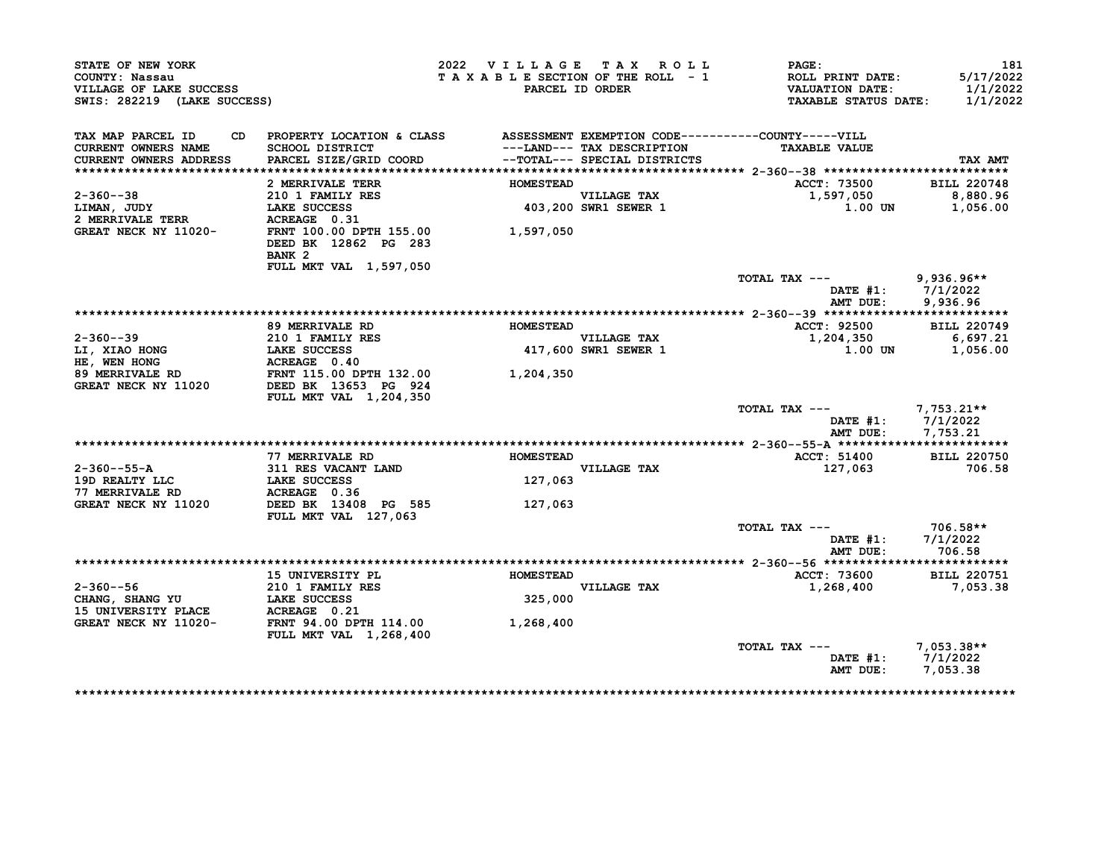| STATE OF NEW YORK<br>COUNTY: Nassau<br>VILLAGE OF LAKE SUCCESS<br>SWIS: 282219 (LAKE SUCCESS) |                                                                                                                           | 2022 VILLAGE TAX ROLL<br>TAXABLE SECTION OF THE ROLL - 1 | PARCEL ID ORDER                                            | PAGE:<br>ROLL PRINT DATE:<br><b>VALUATION DATE:</b><br><b>TAXABLE STATUS DATE:</b> | 181<br>5/17/2022<br>1/1/2022<br>1/1/2022      |
|-----------------------------------------------------------------------------------------------|---------------------------------------------------------------------------------------------------------------------------|----------------------------------------------------------|------------------------------------------------------------|------------------------------------------------------------------------------------|-----------------------------------------------|
| TAX MAP PARCEL ID<br>CD.<br><b>CURRENT OWNERS NAME</b><br>CURRENT OWNERS ADDRESS              | PROPERTY LOCATION & CLASS ASSESSMENT EXEMPTION CODE----------COUNTY-----VILL<br>SCHOOL DISTRICT<br>PARCEL SIZE/GRID COORD |                                                          | ---LAND--- TAX DESCRIPTION<br>--TOTAL--- SPECIAL DISTRICTS | <b>TAXABLE VALUE</b>                                                               | TAX AMT                                       |
|                                                                                               |                                                                                                                           |                                                          |                                                            |                                                                                    |                                               |
|                                                                                               | 2 MERRIVALE TERR                                                                                                          | <b>HOMESTEAD</b>                                         |                                                            | ACCT: 73500                                                                        | <b>BILL 220748</b>                            |
| $2 - 360 - -38$<br>LIMAN, JUDY                                                                | 210 1 FAMILY RES<br>LAKE SUCCESS                                                                                          |                                                          | <b>VILLAGE TAX</b><br>403,200 SWR1 SEWER 1                 | 1,597,050<br>1.00 UN                                                               | 8,880.96<br>1,056.00                          |
| <b>2 MERRIVALE TERR</b><br>GREAT NECK NY 11020-                                               | ACREAGE 0.31<br>FRNT 100.00 DPTH 155.00                                                                                   | 1,597,050                                                |                                                            |                                                                                    |                                               |
|                                                                                               | DEED BK 12862 PG 283<br>BANK <sub>2</sub>                                                                                 |                                                          |                                                            |                                                                                    |                                               |
|                                                                                               | FULL MKT VAL 1,597,050                                                                                                    |                                                          |                                                            | TOTAL TAX ---<br>AMT DUE:                                                          | $9,936.96**$<br>DATE #1: 7/1/2022<br>9,936.96 |
|                                                                                               |                                                                                                                           |                                                          |                                                            |                                                                                    |                                               |
|                                                                                               | 89 MERRIVALE RD                                                                                                           | <b>HOMESTEAD</b>                                         |                                                            | ACCT: 92500                                                                        | <b>BILL 220749</b>                            |
| $2 - 360 - -39$                                                                               | 210 1 FAMILY RES                                                                                                          |                                                          | VILLAGE TAX                                                | 1,204,350                                                                          | 6,697.21                                      |
| LI, XIAO HONG                                                                                 | LAKE SUCCESS                                                                                                              |                                                          | <b>417,600 SWR1 SEWER 1</b>                                | 1.00 UN                                                                            | 1,056.00                                      |
| HE, WEN HONG                                                                                  | ACREAGE 0.40                                                                                                              |                                                          |                                                            |                                                                                    |                                               |
| 89 MERRIVALE RD<br>GREAT NECK NY 11020                                                        | FRNT 115.00 DPTH 132.00<br>DEED BK 13653 PG 924<br><b>FULL MKT VAL 1,204,350</b>                                          | 1,204,350                                                |                                                            |                                                                                    |                                               |
|                                                                                               |                                                                                                                           |                                                          |                                                            | TOTAL TAX ---                                                                      | 7,753.21**<br>DATE $#1: 7/1/2022$             |
|                                                                                               |                                                                                                                           |                                                          |                                                            | AMT DUE:                                                                           | 7,753.21                                      |
|                                                                                               | 77 MERRIVALE RD                                                                                                           | <b>HOMESTEAD</b>                                         |                                                            |                                                                                    | <b>BILL 220750</b>                            |
| $2 - 360 - -55 - A$                                                                           | 311 RES VACANT LAND                                                                                                       |                                                          | VILLAGE TAX                                                | ACCT: 51400<br>127,063                                                             | 706.58                                        |
| 19D REALTY LLC                                                                                | LAKE SUCCESS                                                                                                              | 127,063                                                  |                                                            |                                                                                    |                                               |
| 77 MERRIVALE RD                                                                               | ACREAGE 0.36                                                                                                              |                                                          |                                                            |                                                                                    |                                               |
| GREAT NECK NY 11020                                                                           | DEED BK 13408 PG 585<br>FULL MKT VAL 127,063                                                                              | 127,063                                                  |                                                            |                                                                                    |                                               |
|                                                                                               |                                                                                                                           |                                                          |                                                            | TOTAL TAX ---                                                                      | 706.58**                                      |
|                                                                                               |                                                                                                                           |                                                          |                                                            | DATE $#1$ :<br>AMT DUE:                                                            | 7/1/2022<br>706.58                            |
|                                                                                               |                                                                                                                           |                                                          |                                                            |                                                                                    |                                               |
|                                                                                               | 15 UNIVERSITY PL                                                                                                          | <b>HOMESTEAD</b>                                         |                                                            | ACCT: 73600                                                                        | <b>BILL 220751</b>                            |
| 2-360--56                                                                                     | 210 1 FAMILY RES                                                                                                          |                                                          | VILLAGE TAX                                                | 1,268,400                                                                          | 7,053.38                                      |
| CHANG, SHANG YU<br>15 UNIVERSITY PLACE                                                        | <b>LAKE SUCCESS</b><br>ACREAGE 0.21                                                                                       | 325,000                                                  |                                                            |                                                                                    |                                               |
| GREAT NECK NY 11020-                                                                          | <b>FRNT 94.00 DPTH 114.00</b><br>FULL MKT VAL 1,268,400                                                                   | 1,268,400                                                |                                                            |                                                                                    |                                               |
|                                                                                               |                                                                                                                           |                                                          |                                                            | TOTAL TAX ---                                                                      | $7,053.38**$                                  |
|                                                                                               |                                                                                                                           |                                                          |                                                            |                                                                                    | DATE $#1: 7/1/2022$                           |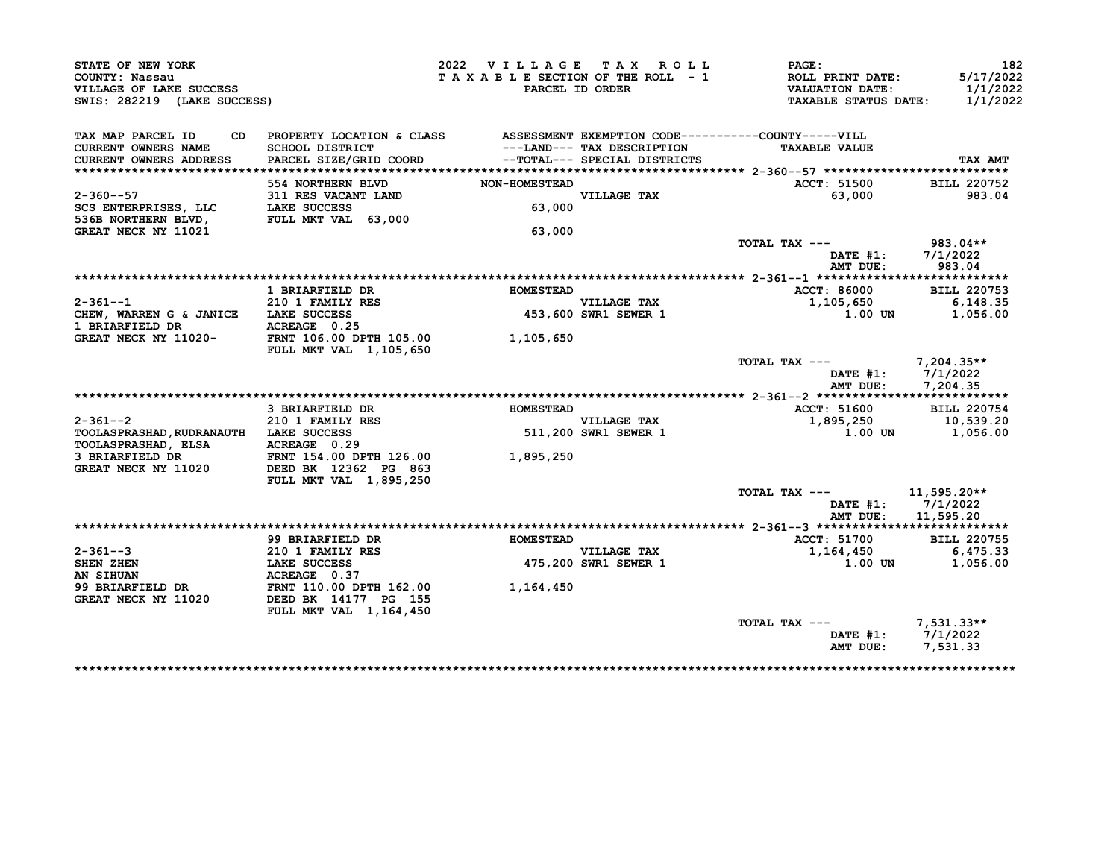| STATE OF NEW YORK<br>COUNTY: Nassau                                          |                                                                                                                         | 2022 VILLAGE TAX ROLL        | TAXABLE SECTION OF THE ROLL - 1     | <b>PAGE:</b><br><b>ROLL PRINT DATE:</b>               | 182<br>5/17/2022     |
|------------------------------------------------------------------------------|-------------------------------------------------------------------------------------------------------------------------|------------------------------|-------------------------------------|-------------------------------------------------------|----------------------|
| VILLAGE OF LAKE SUCCESS<br>SWIS: 282219 (LAKE SUCCESS)                       |                                                                                                                         |                              | PARCEL ID ORDER                     | <b>VALUATION DATE:</b><br><b>TAXABLE STATUS DATE:</b> | 1/1/2022<br>1/1/2022 |
| TAX MAP PARCEL ID                                                            | CD PROPERTY LOCATION & CLASS ASSESSMENT EXEMPTION CODE----------COUNTY-----VILL                                         |                              |                                     |                                                       |                      |
| <b>CURRENT OWNERS NAME</b><br>CURRENT OWNERS ADDRESS                         | SCHOOL DISTRICT<br>PARCEL SIZE/GRID COORD --TOTAL--- SPECIAL DISTRICTS                                                  |                              |                                     |                                                       | TAX AMT              |
|                                                                              |                                                                                                                         |                              |                                     |                                                       |                      |
|                                                                              | 554 NORTHERN BLVD                                                                                                       | NON-HOMESTEAD<br>VILLAGE TAX |                                     | ACCT: 51500                                           | <b>BILL 220752</b>   |
| $2 - 360 - -57$                                                              | 311 RES VACANT LAND                                                                                                     |                              |                                     | 63,000                                                | 983.04               |
| SCS ENTERPRISES, LLC LAKE SUCCESS<br>536B NORTHERN BLVD, FULL MKT VAL 63,000 |                                                                                                                         |                              |                                     |                                                       |                      |
|                                                                              |                                                                                                                         |                              |                                     |                                                       |                      |
| GREAT NECK NY 11021                                                          |                                                                                                                         | 63,000                       |                                     | TOTAL TAX $---$ 983.04**                              |                      |
|                                                                              |                                                                                                                         |                              |                                     | <b>DATE #1:</b><br>AMT DUE:                           | 7/1/2022<br>983.04   |
|                                                                              |                                                                                                                         |                              |                                     |                                                       |                      |
|                                                                              | 1 BRIARFIELD DR                                                                                                         | <b>HOMESTEAD</b>             |                                     | ACCT: 86000                                           | <b>BILL 220753</b>   |
| $2 - 361 - -1$                                                               |                                                                                                                         |                              |                                     | 1,105,650                                             | 6,148.35             |
| CHEW, WARREN G & JANICE LAKE SUCCESS                                         | <b>210 1 FAMILY RES<br/>LAKE SUCCESS<br/>ACREAGE 0.25</b>                                                               |                              | VILLAGE TAX<br>453,600 SWR1 SEWER 1 | 1.00 UN                                               | 1,056.00             |
|                                                                              |                                                                                                                         |                              |                                     |                                                       |                      |
|                                                                              |                                                                                                                         |                              |                                     |                                                       |                      |
|                                                                              | <b>FULL MKT VAL 1,105,650</b>                                                                                           |                              |                                     |                                                       |                      |
|                                                                              |                                                                                                                         |                              |                                     | TOTAL TAX $---$ 7,204.35**                            |                      |
|                                                                              |                                                                                                                         |                              |                                     |                                                       | DATE #1: 7/1/2022    |
|                                                                              |                                                                                                                         |                              |                                     | AMT DUE:                                              | 7,204.35             |
|                                                                              | 3 BRIARFIELD DR                                                                                                         | <b>HOMESTEAD</b>             |                                     | ACCT: 51600                                           | BILL 220754          |
| $2 - 361 - -2$                                                               | 210 1 FAMILY RES                                                                                                        |                              |                                     |                                                       |                      |
| TOOLASPRASHAD, RUDRANAUTH LAKE SUCCESS                                       |                                                                                                                         |                              | VILLAGE TAX<br>511,200 SWR1 SEWER 1 | $1,895,250$ $10,539.20$<br>1.00 UN                    | 1,056.00             |
|                                                                              |                                                                                                                         |                              |                                     |                                                       |                      |
|                                                                              | TOOLASPRASHAD, ELSA ACREAGE 0.29<br>3 BRIARFIELD DR FRNT 154.00 DPTH 126.00<br>GREAT NECK NY 11020 DEED BK 12362 PG 863 | 1,895,250                    |                                     |                                                       |                      |
|                                                                              |                                                                                                                         |                              |                                     |                                                       |                      |
|                                                                              | FULL MKT VAL 1,895,250                                                                                                  |                              |                                     |                                                       |                      |
|                                                                              |                                                                                                                         |                              |                                     | TOTAL TAX --- 11,595.20**                             |                      |
|                                                                              |                                                                                                                         |                              |                                     |                                                       | DATE #1: 7/1/2022    |
|                                                                              |                                                                                                                         |                              |                                     |                                                       | AMT DUE: 11,595.20   |
|                                                                              |                                                                                                                         |                              |                                     |                                                       |                      |
|                                                                              |                                                                                                                         | <b>HOMESTEAD</b>             |                                     | ACCT: 51700                                           | <b>BILL 220755</b>   |
|                                                                              | 99 BRIARFIELD DR                                                                                                        |                              |                                     |                                                       |                      |
| $2 - 361 - -3$                                                               |                                                                                                                         |                              |                                     | 1,164,450                                             | 6,475.33             |
| SHEN ZHEN                                                                    | <b>210 1 FAMILY RES<br/>LAKE SUCCESS</b>                                                                                |                              | VILLAGE TAX<br>475,200 SWR1 SEWER 1 | <b>1.00 UN</b>                                        | 1,056.00             |
| AN SIHUAN                                                                    | <b>LAKE SUCCESS<br/>ACREAGE 0.37</b>                                                                                    |                              |                                     |                                                       |                      |
|                                                                              |                                                                                                                         | 1,164,450                    |                                     |                                                       |                      |
|                                                                              |                                                                                                                         |                              |                                     |                                                       |                      |
|                                                                              | FULL MKT VAL 1,164,450                                                                                                  |                              |                                     | TOTAL TAX --- 7,531.33**                              |                      |
|                                                                              |                                                                                                                         |                              |                                     |                                                       | DATE #1: 7/1/2022    |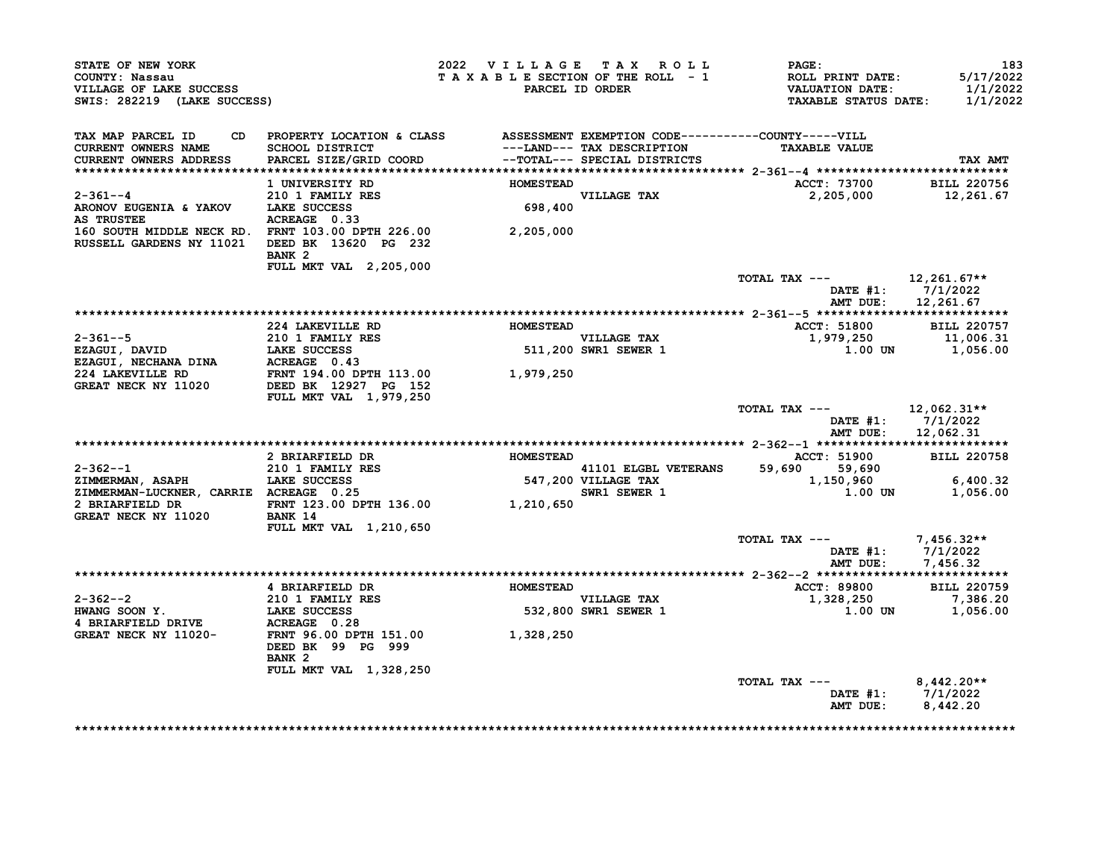| VILLAGE OF LAKE SUCCESS<br>SWIS: 282219 (LAKE SUCCESS)<br>'AX MAR T                                                                                                                                                                                     |                                                                                  |                  | 2022 VILLAGE TAX ROLL      | <b>PAGE:</b><br>TAXABLE SECTION OF THE ROLL - 1 ROLL PRINT DATE: 5/17/2022<br>PARCEL ID ORDER VALUATION DATE: 1/1/2022<br>TAXABLE STATUS DATE: 1/1/2022 | 183                                       |
|---------------------------------------------------------------------------------------------------------------------------------------------------------------------------------------------------------------------------------------------------------|----------------------------------------------------------------------------------|------------------|----------------------------|---------------------------------------------------------------------------------------------------------------------------------------------------------|-------------------------------------------|
| TAX MAP PARCEL ID<br>CURRENT OWNERS NAME<br>CURRENT OWNERS ADDRESS                                                                                                                                                                                      | CD PROPERTY LOCATION & CLASS ASSESSMENT EXEMPTION CODE-----------COUNTY-----VILL |                  | ---LAND--- TAX DESCRIPTION | <b>TAXABLE VALUE</b>                                                                                                                                    | TAX AMT                                   |
|                                                                                                                                                                                                                                                         |                                                                                  |                  |                            |                                                                                                                                                         |                                           |
| $2 - 361 - -4$                                                                                                                                                                                                                                          | <b>1 UNIVERSITY RD</b>                                                           | <b>HOMESTEAD</b> |                            | ACCT: 73700 BILL 220756<br>2,205,000 12,261.67                                                                                                          |                                           |
| 2-361--4<br>RRONOV EUGENIA & YAKOV LAKE SUCCESS<br>AS TRUSTEE ACREAGE 0.33                                                                                                                                                                              |                                                                                  |                  | VILLAGE TAX<br>698,400     |                                                                                                                                                         |                                           |
| ARONOV EUGENIA & YAKOV LAKE SUCCESS<br>AS TRUSTEE ACREAGE 0.33<br>160 SOUTH MIDDLE NECK RD. FRNT 103.00 DPTH 226.00 2,205,000<br>2,205,000                                                                                                              | BANK <sub>2</sub>                                                                |                  |                            |                                                                                                                                                         |                                           |
|                                                                                                                                                                                                                                                         | FULL MKT VAL 2,205,000                                                           |                  |                            | TOTAL TAX --- $12,261.67**$                                                                                                                             |                                           |
|                                                                                                                                                                                                                                                         |                                                                                  |                  |                            |                                                                                                                                                         | DATE $#1: 7/1/2022$<br>AMT DUE: 12,261.67 |
|                                                                                                                                                                                                                                                         |                                                                                  |                  |                            |                                                                                                                                                         |                                           |
|                                                                                                                                                                                                                                                         |                                                                                  |                  |                            | ACCT: 51800 BILL 220757<br>1,979,250 11,006.31                                                                                                          |                                           |
|                                                                                                                                                                                                                                                         |                                                                                  |                  |                            |                                                                                                                                                         |                                           |
|                                                                                                                                                                                                                                                         |                                                                                  |                  |                            |                                                                                                                                                         | $1.00$ UN $1,056.00$                      |
|                                                                                                                                                                                                                                                         |                                                                                  |                  |                            |                                                                                                                                                         |                                           |
|                                                                                                                                                                                                                                                         |                                                                                  |                  |                            |                                                                                                                                                         |                                           |
|                                                                                                                                                                                                                                                         |                                                                                  |                  |                            | TOTAL TAX --- $12,062.31**$                                                                                                                             | DATE #1: 7/1/2022                         |
|                                                                                                                                                                                                                                                         |                                                                                  |                  |                            |                                                                                                                                                         | AMT DUE: 12,062.31                        |
|                                                                                                                                                                                                                                                         |                                                                                  |                  |                            |                                                                                                                                                         |                                           |
|                                                                                                                                                                                                                                                         |                                                                                  |                  |                            | ACCT: 51900 BILL 220758                                                                                                                                 |                                           |
|                                                                                                                                                                                                                                                         |                                                                                  |                  |                            |                                                                                                                                                         |                                           |
|                                                                                                                                                                                                                                                         |                                                                                  |                  |                            |                                                                                                                                                         |                                           |
|                                                                                                                                                                                                                                                         |                                                                                  |                  |                            |                                                                                                                                                         |                                           |
| 2-362--1<br>2010 I FAMILY RES<br>2101 FAMILY RES<br>2101 FAMILY RES<br>2101 FAMILY RES<br>21 MMERMAN, ASAPH<br>2101 EARE SUCCESS<br>2 BRIARFIELD DR<br>2 BRIARFIELD DR<br>2 BRIARFIELD DR<br>2 BRIARFIELD DR<br>2 BRIARFIELD DR<br>2 BRIARFIELD DR<br>2 |                                                                                  |                  |                            |                                                                                                                                                         |                                           |
|                                                                                                                                                                                                                                                         | <b>FULL MKT VAL 1,210,650</b>                                                    |                  |                            |                                                                                                                                                         |                                           |
|                                                                                                                                                                                                                                                         |                                                                                  |                  |                            | TOTAL TAX --- $7,456.32**$                                                                                                                              | DATE #1: $7/1/2022$                       |
|                                                                                                                                                                                                                                                         |                                                                                  |                  |                            |                                                                                                                                                         | AMT DUE: 7,456.32                         |
|                                                                                                                                                                                                                                                         |                                                                                  |                  |                            |                                                                                                                                                         |                                           |
|                                                                                                                                                                                                                                                         |                                                                                  |                  |                            |                                                                                                                                                         |                                           |
|                                                                                                                                                                                                                                                         |                                                                                  |                  |                            | ACCT: 89800 BILL 220759<br>1,328,250 7,386.20                                                                                                           |                                           |
|                                                                                                                                                                                                                                                         |                                                                                  |                  |                            |                                                                                                                                                         | 1.00 UN 1,056.00                          |
| 2-362--2<br>210 1 FAMILY RES<br>HWANG SOON Y.<br>210 1 FAMILY RES<br>4 BRIARFIELD DRIVE<br>4 BRIARFIELD DRIVE<br>4 BRIARFIELD DRIVE<br>210 1 FAMILY RES<br>210 1 FAMILY RES<br>210 1 FAMILY RES<br>210 1 FAMILY RES<br>210 28 250<br>22,800 SWR1 SEWER  |                                                                                  |                  |                            |                                                                                                                                                         |                                           |
|                                                                                                                                                                                                                                                         | DEED BK 99 PG 999<br>BANK 2                                                      |                  |                            |                                                                                                                                                         |                                           |
|                                                                                                                                                                                                                                                         | FULL MKT VAL 1,328,250                                                           |                  |                            |                                                                                                                                                         |                                           |
|                                                                                                                                                                                                                                                         |                                                                                  |                  |                            | TOTAL TAX --- $8,442.20**$                                                                                                                              | DATE #1: 7/1/2022<br>AMT DUE: 8,442.20    |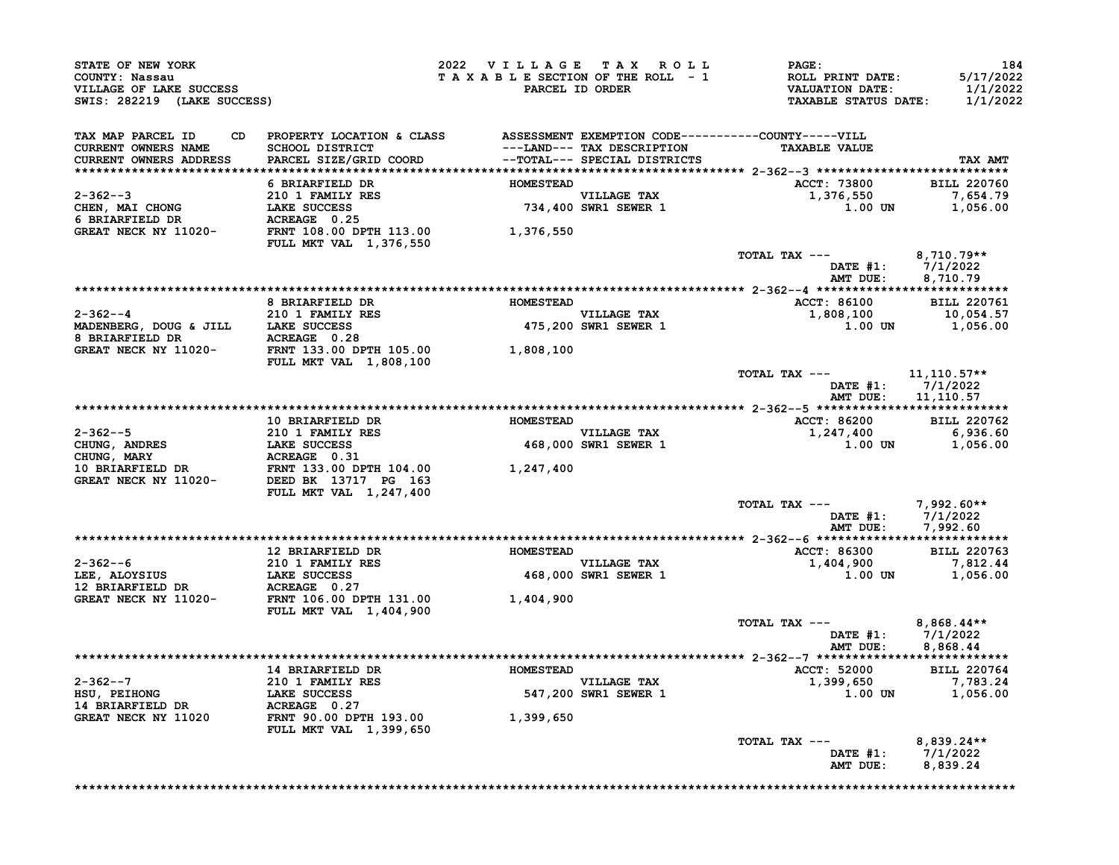| STATE OF NEW YORK<br>COUNTY: Nassau<br>VILLAGE OF LAKE SUCCESS<br>SWIS: 282219 (LAKE SUCCESS)                                                                                                                                                                                                              |                                                                                 |  | 2022 VILLAGE TAX ROLL PAGE:<br>T A X A B L E SECTION OF THE ROLL - 1 ROLL PRINT DATE: 5/17/2022<br>PARCEL ID ORDER VALUATION DATE: 1/1/2022<br>TAXABLE STATUS DATE: 1/1/2022 | 184                                                  |
|------------------------------------------------------------------------------------------------------------------------------------------------------------------------------------------------------------------------------------------------------------------------------------------------------------|---------------------------------------------------------------------------------|--|------------------------------------------------------------------------------------------------------------------------------------------------------------------------------|------------------------------------------------------|
| TAX MAP PARCEL ID                                                                                                                                                                                                                                                                                          | CD PROPERTY LOCATION & CLASS ASSESSMENT EXEMPTION CODE----------COUNTY-----VILL |  |                                                                                                                                                                              | TAX AMT                                              |
|                                                                                                                                                                                                                                                                                                            |                                                                                 |  |                                                                                                                                                                              |                                                      |
|                                                                                                                                                                                                                                                                                                            |                                                                                 |  | ACCT: 73800 BILL 220760                                                                                                                                                      |                                                      |
| 0 BRIARFIELD DR HOMESTEAD<br>210 1 FAMILY RES<br>CHEN, MAI CHONG LAKE SUCCESS<br>6 BRIARFIELD DR ACREAGE 0.25<br>GREAT NECK NY 11020-<br>FRNT 108.00 DPTH 113.00 1,376,550<br>FULL MKT VAL 1.376,550                                                                                                       |                                                                                 |  | 1,376,550<br>$1.00$ UN $1,056.00$                                                                                                                                            | 7,654.79                                             |
|                                                                                                                                                                                                                                                                                                            |                                                                                 |  |                                                                                                                                                                              |                                                      |
|                                                                                                                                                                                                                                                                                                            |                                                                                 |  | TOTAL TAX $---$ 8,710.79**                                                                                                                                                   |                                                      |
|                                                                                                                                                                                                                                                                                                            |                                                                                 |  |                                                                                                                                                                              |                                                      |
|                                                                                                                                                                                                                                                                                                            |                                                                                 |  |                                                                                                                                                                              |                                                      |
| <b>2-362--4</b><br><b>8 BRIARFIELD DR</b><br><b>8 BRIARFIELD DR</b><br><b>EXERENT BEARE SUCCESS</b><br><b>EXERENT BEARE SUCCESS</b><br><b>EXERENT DR</b><br><b>EXERENT DR</b><br><b>EXERENT 13.00 DPTH 105.00</b><br><b>EVILL MKT VAL</b> 1,808,100<br><b>EVILL MKT VAL</b> 1,808,100<br><b>EVILL MKT </b> |                                                                                 |  | ACCT: 86100 BILL 220761<br>1,808,100 10,054.57<br>1.00 UN 1,056.00                                                                                                           |                                                      |
|                                                                                                                                                                                                                                                                                                            |                                                                                 |  |                                                                                                                                                                              |                                                      |
|                                                                                                                                                                                                                                                                                                            |                                                                                 |  | TOTAL TAX $---$ 11, 110.57**<br>DATE #1: 7/1/2022<br>AMT DUE: 11,110.57                                                                                                      |                                                      |
|                                                                                                                                                                                                                                                                                                            |                                                                                 |  |                                                                                                                                                                              |                                                      |
|                                                                                                                                                                                                                                                                                                            |                                                                                 |  |                                                                                                                                                                              |                                                      |
|                                                                                                                                                                                                                                                                                                            |                                                                                 |  |                                                                                                                                                                              |                                                      |
|                                                                                                                                                                                                                                                                                                            |                                                                                 |  |                                                                                                                                                                              |                                                      |
|                                                                                                                                                                                                                                                                                                            |                                                                                 |  | TOTAL TAX --- 7,992.60**                                                                                                                                                     | DATE #1: 7/1/2022<br>AMT DUE: 7,992.60               |
|                                                                                                                                                                                                                                                                                                            |                                                                                 |  | ACCT: 86300 BILL 220763                                                                                                                                                      |                                                      |
|                                                                                                                                                                                                                                                                                                            |                                                                                 |  |                                                                                                                                                                              |                                                      |
|                                                                                                                                                                                                                                                                                                            |                                                                                 |  | $1,404,900$<br>$1,000$ $1,056.00$<br>$1,056.00$                                                                                                                              |                                                      |
|                                                                                                                                                                                                                                                                                                            |                                                                                 |  |                                                                                                                                                                              |                                                      |
|                                                                                                                                                                                                                                                                                                            |                                                                                 |  | TOTAL TAX ---                                                                                                                                                                | 8,868.44**<br>DATE #1: 7/1/2022<br>AMT DUE: 8,868.44 |
|                                                                                                                                                                                                                                                                                                            |                                                                                 |  |                                                                                                                                                                              |                                                      |
|                                                                                                                                                                                                                                                                                                            |                                                                                 |  |                                                                                                                                                                              |                                                      |
|                                                                                                                                                                                                                                                                                                            |                                                                                 |  |                                                                                                                                                                              |                                                      |
| 2-362--7<br>HSU, PEIHONG<br>14 BRIARFIELD DR ACREAGE 0.27<br>GREAT NECK NY 11020<br>FULL MKT VAL 1,399,650<br>210 1 FAMILY RES<br>210 1 FAMILY RES<br>547,200<br>FRNT 90.00 DPTH 193.00<br>1,399,650                                                                                                       |                                                                                 |  |                                                                                                                                                                              |                                                      |
|                                                                                                                                                                                                                                                                                                            |                                                                                 |  | TOTAL TAX ---<br>DATE #1: $7/1/2022$<br>AMT DUE: 8,839.24                                                                                                                    | 8,839.24**                                           |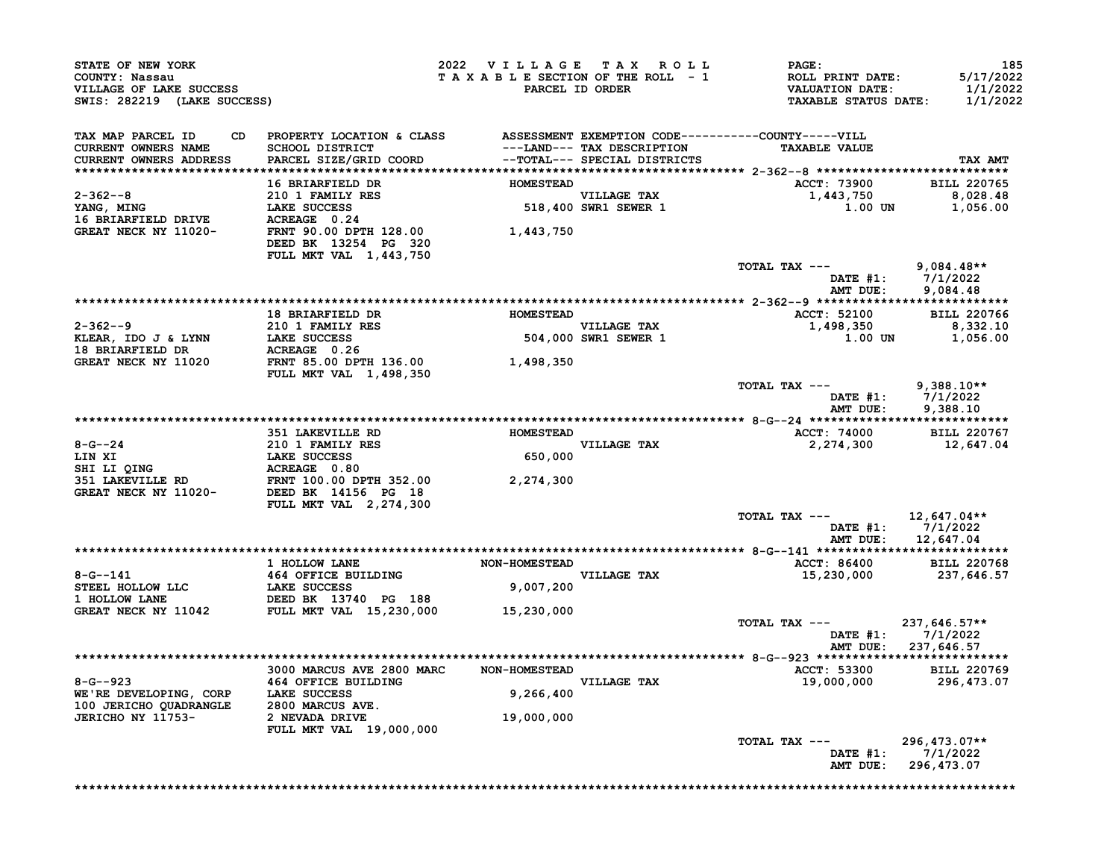| STATE OF NEW YORK<br>COUNTY: Nassau<br>VILLAGE OF LAKE SUCCESS<br>SWIS: 282219 (LAKE SUCCESS)                                                                                                                                                                |                                                                                                                           | 2022 VILLAGE TAX ROLL<br>TAXABLE SECTION OF THE ROLL - 1 | PARCEL ID ORDER                                            | PAGE:<br><b>ROLL PRINT DATE:</b><br><b>VALUATION DATE:</b><br><b>TAXABLE STATUS DATE:</b> | 185<br>5/17/2022<br>1/1/2022<br>1/1/2022 |
|--------------------------------------------------------------------------------------------------------------------------------------------------------------------------------------------------------------------------------------------------------------|---------------------------------------------------------------------------------------------------------------------------|----------------------------------------------------------|------------------------------------------------------------|-------------------------------------------------------------------------------------------|------------------------------------------|
| TAX MAP PARCEL ID<br>CD<br><b>CURRENT OWNERS NAME</b><br>CURRENT OWNERS ADDRESS                                                                                                                                                                              | PROPERTY LOCATION & CLASS ASSESSMENT EXEMPTION CODE----------COUNTY-----VILL<br>SCHOOL DISTRICT<br>PARCEL SIZE/GRID COORD |                                                          | ---LAND--- TAX DESCRIPTION<br>--TOTAL--- SPECIAL DISTRICTS | <b>TAXABLE VALUE</b>                                                                      | TAX AMT                                  |
|                                                                                                                                                                                                                                                              | 16 BRIARFIELD DR                                                                                                          | <b>HOMESTEAD</b>                                         |                                                            | ACCT: 73900                                                                               | <b>BILL 220765</b>                       |
| 2-362--8<br>YANG, MING                                                                                                                                                                                                                                       | 210 1 FAMILY RES<br>LAKE SUCCESS                                                                                          |                                                          | VILLAGE TAX<br>518,400 SWR1 SEWER 1                        | 1,443,750<br>1.00 UN                                                                      | 8,028.48<br>1,056.00                     |
| 16 BRIARFIELD DRIVE<br>GREAT NECK NY 11020-<br>FRNT 90.00 DPTH 128.00                                                                                                                                                                                        | DEED BK 13254 PG 320<br>FULL MKT VAL 1,443,750                                                                            | 1,443,750                                                |                                                            |                                                                                           |                                          |
|                                                                                                                                                                                                                                                              |                                                                                                                           |                                                          |                                                            | TOTAL TAX $---$ 9,084.48**<br>DATE #1: 7/1/2022<br>AMT DUE:                               | 9,084.48                                 |
|                                                                                                                                                                                                                                                              |                                                                                                                           |                                                          |                                                            |                                                                                           |                                          |
| $2 - 362 - -9$                                                                                                                                                                                                                                               | 18 BRIARFIELD DR                                                                                                          | <b>HOMESTEAD</b>                                         | <b>VILLAGE TAX</b>                                         | <b>ACCT: 52100</b>                                                                        | <b>BILL 220766</b>                       |
| KLEAR, IDO J & LYNN<br><b>18 BRIARFIELD DR</b>                                                                                                                                                                                                               | <b>210 1 FAMILY RES<br/>LAKE SUCCESS<br/>ACREAGE 0.26</b><br>LAKE SUCCESS<br>ACREAGE 0.26                                 |                                                          | VILLAGE TAX<br>504,000 SWR1 SEWER 1                        | 1,498,350<br>1.00 UN                                                                      | 8,332.10<br>1,056.00                     |
| GREAT NECK NY 11020                                                                                                                                                                                                                                          | FRNT 85.00 DPTH 136.00<br><b>FULL MKT VAL 1,498,350</b>                                                                   | 1,498,350                                                |                                                            |                                                                                           |                                          |
|                                                                                                                                                                                                                                                              |                                                                                                                           |                                                          |                                                            | TOTAL TAX $---$ 9,388.10**<br>DATE #1: 7/1/2022                                           |                                          |
|                                                                                                                                                                                                                                                              |                                                                                                                           |                                                          |                                                            | AMT DUE:                                                                                  | 9,388.10                                 |
|                                                                                                                                                                                                                                                              | 351 LAKEVILLE RD                                                                                                          | <b>HOMESTEAD</b>                                         | <b>VILLAGE TAX</b>                                         | <b>ACCT: 74000</b><br>2,274,300                                                           | <b>BILL 220767</b><br>12,647.04          |
|                                                                                                                                                                                                                                                              |                                                                                                                           | 650,000                                                  |                                                            |                                                                                           |                                          |
| 8-G--24<br>LIN XI<br>LIN XI<br>SHI LI QING<br>SHI LI QING<br>SHI LI QING<br>SHI LAKEVILLE RD<br>TERE BEER DEREAT NECK NY 11020-<br>DEED BK 14156 PG 18                                                                                                       |                                                                                                                           | 2,274,300                                                |                                                            |                                                                                           |                                          |
|                                                                                                                                                                                                                                                              | FULL MKT VAL 2,274,300                                                                                                    |                                                          |                                                            | TOTAL TAX ---                                                                             | 12,647.04**                              |
|                                                                                                                                                                                                                                                              |                                                                                                                           |                                                          |                                                            | DATE $#1: 7/1/2022$<br>AMT DUE:                                                           | 12,647.04                                |
|                                                                                                                                                                                                                                                              | 1 HOLLOW LANE                                                                                                             | <b>NON-HOMESTEAD</b>                                     |                                                            |                                                                                           |                                          |
|                                                                                                                                                                                                                                                              |                                                                                                                           |                                                          | VILLAGE TAX                                                | <b>ACCT: 86400</b><br>15,230,000                                                          | <b>BILL 220768</b><br>237,646.57         |
| $\begin{tabular}{lllllllllll} 8-G--141 & & 464 OFFICE BULIDING \\ \hline \texttt{STEEL HOLLOW LLC} & \texttt{LAKE SUCESS} \\ 1 HOLLOW LANE & DEED BK & 13740 PG & 188 \\ \texttt{GREAT NECK NY 11042} & \texttt{FULL MKT VAL} & 15,230,000 \\ \end{tabular}$ |                                                                                                                           | 9,007,200                                                |                                                            |                                                                                           |                                          |
|                                                                                                                                                                                                                                                              |                                                                                                                           | 15,230,000                                               |                                                            |                                                                                           |                                          |
|                                                                                                                                                                                                                                                              |                                                                                                                           |                                                          |                                                            | TOTAL TAX ---<br>DATE #1: 7/1/2022<br>AMT DUE: 237,646.57                                 | 237,646.57**                             |
|                                                                                                                                                                                                                                                              |                                                                                                                           |                                                          |                                                            |                                                                                           |                                          |
|                                                                                                                                                                                                                                                              | 3000 MARCUS AVE 2800 MARC                                                                                                 | <b>NON-HOMESTEAD</b>                                     |                                                            | <b>ACCT: 53300</b>                                                                        | <b>BILL 220769</b>                       |
| $8 - G - 923$<br>WE'RE DEVELOPING, CORP                                                                                                                                                                                                                      | 464 OFFICE BUILDING<br>LAKE SUCCESS                                                                                       | 9,266,400                                                | VILLAGE TAX                                                | 19,000,000                                                                                | 296,473.07                               |
| 100 JERICHO QUADRANGLE                                                                                                                                                                                                                                       | 2800 MARCUS AVE.<br>2 NEVADA DRIVE                                                                                        | 19,000,000                                               |                                                            |                                                                                           |                                          |
| JERICHO NY 11753-                                                                                                                                                                                                                                            | FULL MKT VAL 19,000,000                                                                                                   |                                                          |                                                            |                                                                                           |                                          |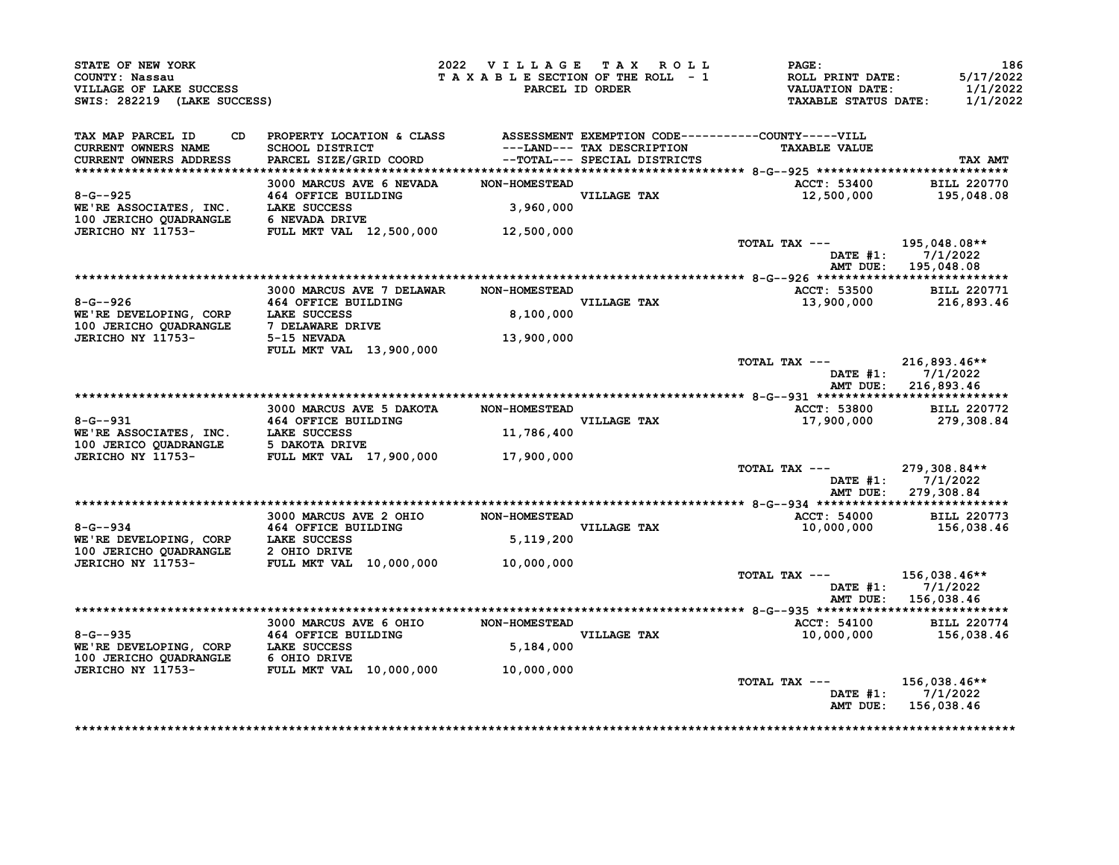| STATE OF NEW YORK                                                                                                                                                                                                           |                                                                                 | 2022 VILLAGE TAX ROLL PAGE: |                                                                                                                   | 186                   |
|-----------------------------------------------------------------------------------------------------------------------------------------------------------------------------------------------------------------------------|---------------------------------------------------------------------------------|-----------------------------|-------------------------------------------------------------------------------------------------------------------|-----------------------|
| COUNTY: Nassau                                                                                                                                                                                                              |                                                                                 |                             |                                                                                                                   | 5/17/2022             |
| VILLAGE OF LAKE SUCCESS                                                                                                                                                                                                     |                                                                                 |                             | T A X A B L E SECTION OF THE ROLL - 1 ROLL PRINT DATE:<br>PARCEL ID ORDER VALUATION DATE:<br>TAXABLE STATUS DATE: | 1/1/2022              |
| SWIS: 282219 (LAKE SUCCESS)                                                                                                                                                                                                 |                                                                                 |                             |                                                                                                                   | 1/1/2022              |
| TAX MAP PARCEL ID                                                                                                                                                                                                           | CD PROPERTY LOCATION & CLASS ASSESSMENT EXEMPTION CODE----------COUNTY-----VILL |                             |                                                                                                                   |                       |
| CURRENT OWNERS NAME                                                                                                                                                                                                         |                                                                                 |                             |                                                                                                                   |                       |
| <b>CURRENT OWNERS ADDRESS</b>                                                                                                                                                                                               |                                                                                 |                             |                                                                                                                   | <b>TAX AMT</b>        |
|                                                                                                                                                                                                                             |                                                                                 |                             |                                                                                                                   |                       |
| 3000 MARCUS AVE 6 NEVADA NON-HOMESTEAD<br>3000 MARCUS AVE 6 NEVADA NON-HOMESTEAD<br>WE'RE ASSOCIATES, INC. LAKE SUCCESS<br>100 JERICHO QUADRANGLE 6 NEVADA DRIVE<br>JERICHO NY 11753-<br>FULL MKT VAL 12,500,000 12,500,000 |                                                                                 |                             | ACCT: 53400 BILL 220770                                                                                           |                       |
|                                                                                                                                                                                                                             |                                                                                 |                             | 12,500,000 195,048.08                                                                                             |                       |
|                                                                                                                                                                                                                             |                                                                                 |                             |                                                                                                                   |                       |
|                                                                                                                                                                                                                             |                                                                                 |                             |                                                                                                                   |                       |
|                                                                                                                                                                                                                             |                                                                                 |                             |                                                                                                                   |                       |
|                                                                                                                                                                                                                             |                                                                                 |                             | TOTAL TAX --- 195,048.08**                                                                                        |                       |
|                                                                                                                                                                                                                             |                                                                                 |                             |                                                                                                                   | DATE #1: 7/1/2022     |
|                                                                                                                                                                                                                             |                                                                                 |                             |                                                                                                                   | AMT DUE: 195,048.08   |
|                                                                                                                                                                                                                             |                                                                                 |                             |                                                                                                                   |                       |
|                                                                                                                                                                                                                             |                                                                                 |                             | ACCT: 53500 BILL 220771                                                                                           |                       |
|                                                                                                                                                                                                                             |                                                                                 |                             |                                                                                                                   | 13,900,000 216,893.46 |
|                                                                                                                                                                                                                             |                                                                                 |                             |                                                                                                                   |                       |
|                                                                                                                                                                                                                             |                                                                                 |                             |                                                                                                                   |                       |
|                                                                                                                                                                                                                             |                                                                                 |                             |                                                                                                                   |                       |
|                                                                                                                                                                                                                             | FULL MKT VAL 13,900,000                                                         |                             |                                                                                                                   |                       |
|                                                                                                                                                                                                                             |                                                                                 |                             | TOTAL TAX --- 216,893.46**                                                                                        |                       |
|                                                                                                                                                                                                                             |                                                                                 |                             |                                                                                                                   | DATE #1: 7/1/2022     |
|                                                                                                                                                                                                                             |                                                                                 |                             |                                                                                                                   | AMT DUE: 216,893.46   |
|                                                                                                                                                                                                                             |                                                                                 |                             |                                                                                                                   |                       |
|                                                                                                                                                                                                                             |                                                                                 |                             | ACCT: 53800 BILL 220772                                                                                           |                       |
|                                                                                                                                                                                                                             |                                                                                 |                             |                                                                                                                   | 17,900,000 279,308.84 |
|                                                                                                                                                                                                                             |                                                                                 |                             |                                                                                                                   |                       |
|                                                                                                                                                                                                                             |                                                                                 |                             |                                                                                                                   |                       |
| 3000 MARCUS AVE 5 DAKOTA MON-HOMESTEAD<br>WE'RE ASSOCIATES, INC. LAKE SUCCESS 100 JERICO QUADRANGLE 5 DAKOTA DRIVE<br>JERICO QUADRANGLE 5 DAKOTA DRIVE<br>JERICHO NY 11753- FULL MKT VAL 17,900,000 17,900,000              |                                                                                 |                             | TOTAL TAX $---$ 279,308.84**                                                                                      |                       |
|                                                                                                                                                                                                                             |                                                                                 |                             |                                                                                                                   | DATE #1: 7/1/2022     |
|                                                                                                                                                                                                                             |                                                                                 |                             |                                                                                                                   |                       |
|                                                                                                                                                                                                                             |                                                                                 |                             |                                                                                                                   | AMT DUE: 279,308.84   |
|                                                                                                                                                                                                                             | 3000 MARCUS AVE 2 OHIO NON-HOMESTEAD                                            |                             | ACCT: 54000 BILL 220773                                                                                           |                       |
|                                                                                                                                                                                                                             |                                                                                 |                             |                                                                                                                   | 156,038.46            |
|                                                                                                                                                                                                                             |                                                                                 |                             | 10,000,000                                                                                                        |                       |
| 8-G--934<br>WE'RE DEVELOPING, CORP<br>100 JERICAL OFFICE BUILDING<br>100 JERICAL OFFICE SULLOPING<br>2 OHIO DRIVE<br>2 OHIO DRIVE<br>2 OHIO DRIVE<br>2 OHIO DRIVE                                                           |                                                                                 |                             |                                                                                                                   |                       |
| JERICHO NY 11753- FULL MKT VAL 10,000,000 10,000,000                                                                                                                                                                        |                                                                                 |                             |                                                                                                                   |                       |
|                                                                                                                                                                                                                             |                                                                                 |                             | TOTAL TAX --- 156,038.46**                                                                                        |                       |
|                                                                                                                                                                                                                             |                                                                                 |                             |                                                                                                                   | DATE #1: 7/1/2022     |
|                                                                                                                                                                                                                             |                                                                                 |                             |                                                                                                                   |                       |
|                                                                                                                                                                                                                             |                                                                                 |                             |                                                                                                                   | AMT DUE: 156,038.46   |
|                                                                                                                                                                                                                             |                                                                                 |                             |                                                                                                                   |                       |
|                                                                                                                                                                                                                             | 3000 MARCUS AVE 6 OHIO NON-HOMESTEAD                                            |                             | ACCT: 54100 BILL 220774<br>10,000,000 156,038.46                                                                  |                       |
|                                                                                                                                                                                                                             |                                                                                 |                             |                                                                                                                   |                       |
|                                                                                                                                                                                                                             |                                                                                 |                             |                                                                                                                   |                       |
|                                                                                                                                                                                                                             |                                                                                 |                             |                                                                                                                   |                       |
|                                                                                                                                                                                                                             |                                                                                 |                             |                                                                                                                   |                       |
|                                                                                                                                                                                                                             |                                                                                 |                             |                                                                                                                   |                       |
| $8-G--935$<br>WE'RE DEVELOPING, CORP<br>164 OFICE BUILDING<br>100 JERICHO QUADRANGLE<br>JERICHO NY 11753-<br>FULL MKT VAL $10,000,000$<br>TOM CORP 5,184,000<br>10,000,000<br>10,000,000                                    |                                                                                 |                             | TOTAL TAX --- 156,038.46**                                                                                        |                       |
|                                                                                                                                                                                                                             |                                                                                 |                             | DATE #1: 7/1/2022                                                                                                 | AMT DUE: 156,038.46   |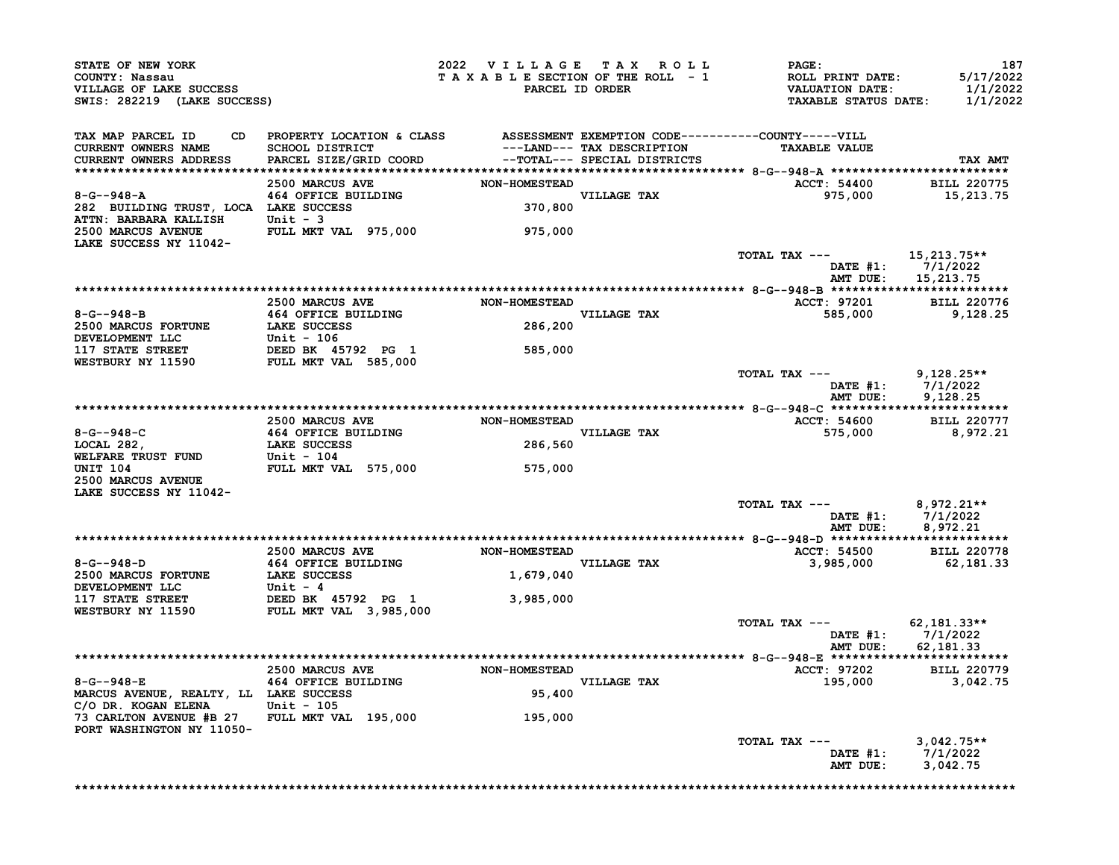| STATE OF NEW YORK<br>COUNTY: Nassau<br>VILLAGE OF LAKE SUCCESS<br>SWIS: 282219 (LAKE SUCCESS) |                                                                                                                                  | 2022 VILLAGE TAX ROLL<br>TAXABLE SECTION OF THE ROLL - 1<br>PARCEL ID ORDER |                                                                                            | <b>PAGE:</b><br>ROLL PRINT DATE:<br><b>VALUATION DATE:</b><br><b>TAXABLE STATUS DATE:</b> | 187<br>5/17/2022<br>1/1/2022<br>1/1/2022        |
|-----------------------------------------------------------------------------------------------|----------------------------------------------------------------------------------------------------------------------------------|-----------------------------------------------------------------------------|--------------------------------------------------------------------------------------------|-------------------------------------------------------------------------------------------|-------------------------------------------------|
| TAX MAP PARCEL ID<br>CD.<br><b>CURRENT OWNERS NAME</b><br>CURRENT OWNERS ADDRESS              | PROPERTY LOCATION & CLASS ASSESSMENT EXEMPTION CODE----------COUNTY-----VILL<br><b>SCHOOL DISTRICT</b><br>PARCEL SIZE/GRID COORD |                                                                             | ---LAND--- TAX DESCRIPTION<br>--Tomat--- SPECIAL DISTRICTS<br>--TOTAL--- SPECIAL DISTRICTS | <b>TAXABLE VALUE</b>                                                                      | TAX AMT                                         |
|                                                                                               | 2500 MARCUS AVE                                                                                                                  | <b>NON-HOMESTEAD</b>                                                        |                                                                                            | <b>ACCT: 54400</b>                                                                        | <b>BILL 220775</b>                              |
| $8 - G - 948 - A$<br>282 BUILDING TRUST, LOCA LAKE SUCCESS<br>ATTN: BARBARA KALLISH           | 464 OFFICE BUILDING<br>Unit - 3                                                                                                  | 370,800                                                                     | <b>VILLAGE TAX</b>                                                                         | 975,000                                                                                   | 15,213.75                                       |
| 2500 MARCUS AVENUE<br>LAKE SUCCESS NY 11042-                                                  | FULL MKT VAL 975,000                                                                                                             | 975,000                                                                     |                                                                                            |                                                                                           |                                                 |
|                                                                                               |                                                                                                                                  |                                                                             |                                                                                            | TOTAL TAX ---<br>AMT DUE:                                                                 | 15,213.75**<br>DATE $#1: 7/1/2022$<br>15,213.75 |
|                                                                                               |                                                                                                                                  |                                                                             |                                                                                            |                                                                                           |                                                 |
|                                                                                               | 2500 MARCUS AVE                                                                                                                  | <b>NON-HOMESTEAD</b>                                                        | VILLAGE TAX                                                                                | <b>ACCT: 97201</b>                                                                        | <b>BILL 220776</b>                              |
| $8 - G - 948 - B$<br><b>2500 MARCUS FORTUNE</b><br>DEVELOPMENT LLC                            | 464 OFFICE BUILDING<br>LAKE SUCCESS                                                                                              | 286,200                                                                     |                                                                                            | 585,000                                                                                   | 9,128.25                                        |
| <b>117 STATE STREET</b><br>WESTBURY NY 11590                                                  | <b>Unit - 106<br/>DEED BK 45792 PG 1</b><br>FULL MKT VAL 585,000                                                                 | 585,000                                                                     |                                                                                            |                                                                                           |                                                 |
|                                                                                               |                                                                                                                                  |                                                                             |                                                                                            | TOTAL TAX ---<br>DATE #1:<br>AMT DUE:                                                     | $9,128.25**$<br>7/1/2022<br>9,128.25            |
|                                                                                               |                                                                                                                                  |                                                                             |                                                                                            |                                                                                           |                                                 |
| $8 - G - -948 - C$                                                                            | 2500 MARCUS AVE<br>464 OFFICE BUILDING                                                                                           | <b>NON-HOMESTEAD</b>                                                        | VILLAGE TAX                                                                                | ACCT: 54600<br>575,000                                                                    | <b>BILL 220777</b><br>8,972.21                  |
| LOCAL 282,<br>WELFARE TRUST FUND                                                              | <b>LAKE SUCCESS</b><br><b>Unit - 104</b>                                                                                         | 286,560                                                                     |                                                                                            |                                                                                           |                                                 |
| <b>UNIT 104</b><br>2500 MARCUS AVENUE<br>LAKE SUCCESS NY 11042-                               | FULL MKT VAL 575,000                                                                                                             | 575,000                                                                     |                                                                                            |                                                                                           |                                                 |
|                                                                                               |                                                                                                                                  |                                                                             |                                                                                            | TOTAL TAX ---<br>DATE #1:<br>AMT DUE:                                                     | 8,972.21**<br>7/1/2022<br>8,972.21              |
|                                                                                               |                                                                                                                                  |                                                                             |                                                                                            |                                                                                           |                                                 |
| 8-G--948-D                                                                                    | 2500 MARCUS AVE<br>464 OFFICE BUILDING                                                                                           | NON-HOMESTEAD                                                               | VILLAGE TAX                                                                                | <b>ACCT: 54500</b><br>3,985,000                                                           | <b>BILL 220778</b><br>62,181.33                 |
| 2500 MARCUS FORTUNE<br>DEVELOPMENT LLC                                                        | <b>LAKE SUCCESS</b><br>Unit - 4                                                                                                  | 1,679,040                                                                   |                                                                                            |                                                                                           |                                                 |
| <b>117 STATE STREET</b><br>WESTBURY NY 11590                                                  | DEED BK 45792 PG 1<br>FULL MKT VAL 3,985,000                                                                                     | 3,985,000                                                                   |                                                                                            |                                                                                           |                                                 |
|                                                                                               |                                                                                                                                  |                                                                             |                                                                                            | TOTAL TAX ---<br>DATE #1:<br>AMT DUE:                                                     | $62.181.33**$<br>7/1/2022<br>62, 181. 33        |
|                                                                                               |                                                                                                                                  |                                                                             |                                                                                            |                                                                                           |                                                 |
| $8 - G - 948 - E$                                                                             | 2500 MARCUS AVE<br>464 OFFICE BUILDING                                                                                           | <b>NON-HOMESTEAD</b>                                                        | VILLAGE TAX                                                                                | <b>ACCT: 97202</b><br>195,000                                                             | <b>BILL 220779</b><br>3,042.75                  |
| MARCUS AVENUE, REALTY, LL LAKE SUCCESS<br>C/O DR. KOGAN ELENA                                 | Unit $-105$                                                                                                                      | 95,400                                                                      |                                                                                            |                                                                                           |                                                 |
| 73 CARLTON AVENUE #B 27<br>PORT WASHINGTON NY 11050-                                          | FULL MKT VAL 195,000                                                                                                             | 195,000                                                                     |                                                                                            |                                                                                           |                                                 |
|                                                                                               |                                                                                                                                  |                                                                             |                                                                                            | TOTAL TAX $---$<br>DATE $#1$ :<br>AMT DUE:                                                | $3,042.75**$<br>7/1/2022<br>3,042.75            |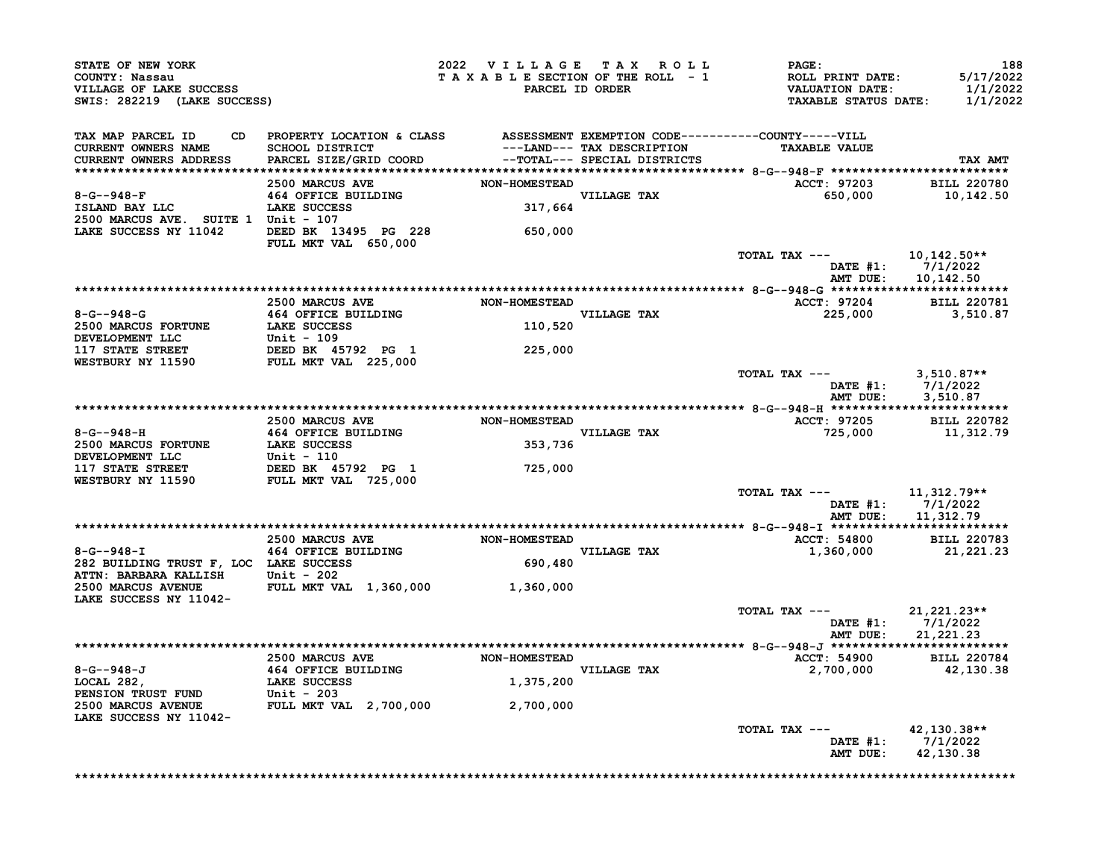|                                                                                                                                                                                                                                                                                                                                                                                        | <b>CONNII: NASSAU<br/>VILLAGE OF LAKE SUCCESS<br/>SWIS: 282219 (LAKE SUCCESS)</b> | 2022 VILLAGE TAX ROLL<br>TAXABLE SECTION OF THE ROLL - 1<br>TAXABLE SECTION OF THE ROLL - 1<br>PARCEL ID ORDER TAXABLE STATUS DATE: 1/1/2022                                                                              | <b>PAGE:</b> | 188                                                                    |
|----------------------------------------------------------------------------------------------------------------------------------------------------------------------------------------------------------------------------------------------------------------------------------------------------------------------------------------------------------------------------------------|-----------------------------------------------------------------------------------|---------------------------------------------------------------------------------------------------------------------------------------------------------------------------------------------------------------------------|--------------|------------------------------------------------------------------------|
| TAX MAP PARCEL ID<br>CURRENT OWNERS NAME<br>CURRENT OWNERS ADDRESS                                                                                                                                                                                                                                                                                                                     |                                                                                   | CD PROPERTY LOCATION & CLASS ASSESSMENT EXEMPTION CODE----------COUNTY-----VILL<br>SCHOOL DISTRICT ---LAND--- TAX DESCRIPTION TAXABLE VALUE<br>SPARCEL SIZE/GRID COORD --TOTAL--- SPECIAL DISTRICTS                       |              | TAX AMT                                                                |
|                                                                                                                                                                                                                                                                                                                                                                                        |                                                                                   |                                                                                                                                                                                                                           |              |                                                                        |
| LAKE SUCCESS NY 11042 DEED BK 13495 PG 228                                                                                                                                                                                                                                                                                                                                             | FULL MKT VAL 650,000                                                              | 650,000                                                                                                                                                                                                                   |              |                                                                        |
|                                                                                                                                                                                                                                                                                                                                                                                        |                                                                                   |                                                                                                                                                                                                                           |              | TOTAL TAX --- $10,142.50**$<br>DATE #1: 7/1/2022<br>AMT DUE: 10,142.50 |
|                                                                                                                                                                                                                                                                                                                                                                                        |                                                                                   |                                                                                                                                                                                                                           |              |                                                                        |
|                                                                                                                                                                                                                                                                                                                                                                                        |                                                                                   | <b>8-G--948-G</b><br>2500 MARCUS AVE NON-HOMESTEAD<br>2500 MARCUS FORTUNE LAKE SUCCESS<br>DEVELOPMENT LLC Unit - 109<br>117 STATE STREET DEED BK 45792 PG 1 225,000<br>WESTBURY NY 11590 FULL MKT VAL 225,000             |              | ACCT: 97204 BILL 220781<br>225,000 3,510.87                            |
|                                                                                                                                                                                                                                                                                                                                                                                        |                                                                                   |                                                                                                                                                                                                                           |              |                                                                        |
|                                                                                                                                                                                                                                                                                                                                                                                        |                                                                                   |                                                                                                                                                                                                                           |              | TOTAL TAX ---<br>DATE #1: 7/1/2022<br>AMT DUE: 3,510.87                |
|                                                                                                                                                                                                                                                                                                                                                                                        |                                                                                   |                                                                                                                                                                                                                           |              |                                                                        |
|                                                                                                                                                                                                                                                                                                                                                                                        |                                                                                   | 8-G--948-H<br>2500 MARCUS AVE NON-HOMESTEAD<br>2500 MARCUS FORTUNE 164 OFFICE BUILDING VILLAGE TAX<br>DEVELOPMENT LLC Unit - 110<br>117 STATE STREET DEED BK 45792 PG 1 725,000<br>WESTBURY NY 11590 FULL MKT VAL 725,000 |              | ACCT: 97205 BILL 220782<br>725,000 11,312.79                           |
|                                                                                                                                                                                                                                                                                                                                                                                        |                                                                                   |                                                                                                                                                                                                                           |              |                                                                        |
|                                                                                                                                                                                                                                                                                                                                                                                        |                                                                                   |                                                                                                                                                                                                                           |              | TOTAL TAX --- $11,312.79**$<br>DATE #1: 7/1/2022<br>AMT DUE: 11,312.79 |
|                                                                                                                                                                                                                                                                                                                                                                                        |                                                                                   |                                                                                                                                                                                                                           |              |                                                                        |
|                                                                                                                                                                                                                                                                                                                                                                                        |                                                                                   |                                                                                                                                                                                                                           | VILLAGE TAX  | ACCT: 54800 BILL 220783<br>1,360,000 21,221.23                         |
|                                                                                                                                                                                                                                                                                                                                                                                        |                                                                                   |                                                                                                                                                                                                                           |              |                                                                        |
|                                                                                                                                                                                                                                                                                                                                                                                        |                                                                                   |                                                                                                                                                                                                                           |              |                                                                        |
| $\begin{tabular}{lllllllllllll} 8-G-948-T & 2500 \text{ MARCUS AVE} & 000-HOMESTEAD \\ & 464 \text{ OFFICE BULIDING} & & 000-HOMESTEAD \\ & 464 \text{ OFFICE BULIDING} & & & 000-HOMESTEAD \\ & 690,480 & & & 000-HOMESTEAD \\ & 2500 \text{ MARBARA KALLISH} & \text{Unit} & -202 & & \\ & 2500 \text{ MARCUS AVENUE} & \text{FULL MKT VAL} & 1,360,000 & & 1.360.000 \\ & & 1.360.$ |                                                                                   |                                                                                                                                                                                                                           |              |                                                                        |
|                                                                                                                                                                                                                                                                                                                                                                                        |                                                                                   |                                                                                                                                                                                                                           |              | TOTAL TAX ---<br>DATE #1: 7/1/2022<br>AMT DUE: 21,221.23               |
|                                                                                                                                                                                                                                                                                                                                                                                        |                                                                                   |                                                                                                                                                                                                                           |              | ACCT: 54900 BILL 220784<br>2,700,000<br>42,130.38                      |
|                                                                                                                                                                                                                                                                                                                                                                                        |                                                                                   | 8-G--948-J<br>2500 MARCUS AVE NON-HOMESTEAD<br>2500 MARCUS AVE NON-HOMESTEAD<br>2500 MARCUS AVE NON-HOMESTEAD<br>27700,000<br>27700,000<br>27700,000<br>27700,000                                                         |              |                                                                        |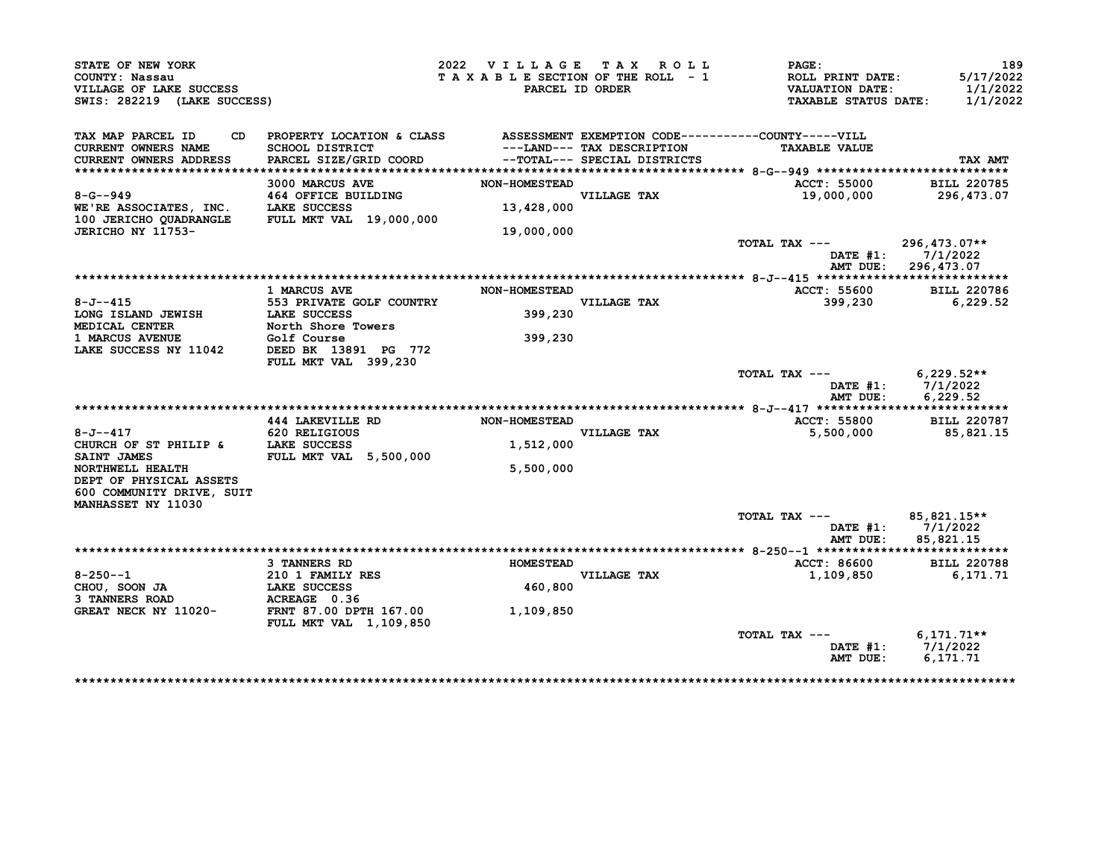| STATE OF NEW YORK<br>COUNTY: Nassau<br>VILLAGE OF LAKE SUCCESS<br>SWIS: 282219 (LAKE SUCCESS)          |                                                                                                                                  | 2022 VILLAGE TAX ROLL<br>TAXABLE SECTION OF THE ROLL - 1 | PARCEL ID ORDER                                            | PAGE:<br>ROLL PRINT DATE:<br><b>VALUATION DATE:</b><br><b>TAXABLE STATUS DATE:</b> | 189<br>5/17/2022<br>1/1/2022<br>1/1/2022          |
|--------------------------------------------------------------------------------------------------------|----------------------------------------------------------------------------------------------------------------------------------|----------------------------------------------------------|------------------------------------------------------------|------------------------------------------------------------------------------------|---------------------------------------------------|
| TAX MAP PARCEL ID<br>CD.<br>CURRENT OWNERS NAME<br>CURRENT OWNERS ADDRESS                              | PROPERTY LOCATION & CLASS ASSESSMENT EXEMPTION CODE----------COUNTY-----VILL<br><b>SCHOOL DISTRICT</b><br>PARCEL SIZE/GRID COORD |                                                          | ---LAND--- TAX DESCRIPTION<br>--TOTAL--- SPECIAL DISTRICTS | <b>TAXABLE VALUE</b>                                                               | TAX AMT                                           |
|                                                                                                        | 3000 MARCUS AVE                                                                                                                  | <b>NON-HOMESTEAD</b>                                     |                                                            |                                                                                    |                                                   |
| $8 - G - 949$<br>WE'RE ASSOCIATES, INC. LAKE SUCCESS<br>100 JERICHO QUADRANGLE FULL MKT VAL 19,000,000 | 464 OFFICE BUILDING                                                                                                              | 13,428,000                                               | VILLAGE TAX                                                | ACCT: 55000<br>19,000,000                                                          | <b>BILL 220785</b><br>296,473.07                  |
| JERICHO NY 11753-                                                                                      |                                                                                                                                  | 19,000,000                                               |                                                            |                                                                                    |                                                   |
|                                                                                                        |                                                                                                                                  |                                                          |                                                            | TOTAL TAX ---<br>AMT DUE:                                                          | 296,473.07**<br>DATE $#1: 7/1/2022$<br>296,473.07 |
|                                                                                                        |                                                                                                                                  |                                                          |                                                            |                                                                                    |                                                   |
| $8 - J - -415$<br>LONG ISLAND JEWISH                                                                   | <b>1 MARCUS AVE</b><br>553 PRIVATE GOLF COUNTRY<br><b>LAKE SUCCESS</b>                                                           | <b>NON-HOMESTEAD</b><br>399,230                          | VILLAGE TAX                                                | ACCT: 55600<br>399,230                                                             | <b>BILL 220786</b><br>6,229.52                    |
| <b>MEDICAL CENTER</b><br>1 MARCUS AVENUE                                                               | North Shore Towers<br>Golf Course                                                                                                | 399,230                                                  |                                                            |                                                                                    |                                                   |
| LAKE SUCCESS NY 11042                                                                                  | DEED BK 13891 PG 772<br>FULL MKT VAL 399,230                                                                                     |                                                          |                                                            |                                                                                    |                                                   |
|                                                                                                        |                                                                                                                                  |                                                          |                                                            | TOTAL TAX ---<br>AMT DUE:                                                          | $6,229.52**$<br>DATE $#1: 7/1/2022$<br>6,229.52   |
|                                                                                                        | 444 LAKEVILLE RD                                                                                                                 | <b>NON-HOMESTEAD</b>                                     |                                                            | <b>ACCT: 55800</b>                                                                 | <b>BILL 220787</b>                                |
| $8 - J - - 417$                                                                                        | 620 RELIGIOUS                                                                                                                    |                                                          | VILLAGE TAX                                                | 5,500,000                                                                          | 85,821.15                                         |
| CHURCH OF ST PHILIP & LAKE SUCCESS<br>SAINT JAMES                                                      | FULL MKT VAL 5,500,000                                                                                                           | 1,512,000                                                |                                                            |                                                                                    |                                                   |
| NORTHWELL HEALTH<br>DEPT OF PHYSICAL ASSETS<br>600 COMMUNITY DRIVE, SUIT                               |                                                                                                                                  | 5,500,000                                                |                                                            |                                                                                    |                                                   |
| MANHASSET NY 11030                                                                                     |                                                                                                                                  |                                                          |                                                            | TOTAL TAX ---<br>DATE #1:<br>AMT DUE:                                              | 85,821.15**<br>7/1/2022<br>85,821.15              |
|                                                                                                        |                                                                                                                                  |                                                          |                                                            |                                                                                    |                                                   |
|                                                                                                        | <b>3 TANNERS RD</b>                                                                                                              | <b>HOMESTEAD</b>                                         |                                                            | ACCT: 86600                                                                        | <b>BILL 220788</b>                                |
| $8 - 250 - -1$<br>CHOU, SOON JA<br>3 TANNERS ROAD                                                      | 210 1 FAMILY RES<br>LAKE SUCCESS<br>ACREAGE 0.36                                                                                 | 460,800                                                  | VILLAGE TAX                                                | 1,109,850                                                                          | 6,171.71                                          |
| GREAT NECK NY 11020-                                                                                   | <b>FRNT 87.00 DPTH 167.00</b><br>FULL MKT VAL 1,109,850                                                                          | 1,109,850                                                |                                                            |                                                                                    |                                                   |
|                                                                                                        |                                                                                                                                  |                                                          |                                                            | TOTAL TAX ---<br>DATE $#1$ :<br>AMT DUE:                                           | $6,171.71**$<br>7/1/2022<br>6,171.71              |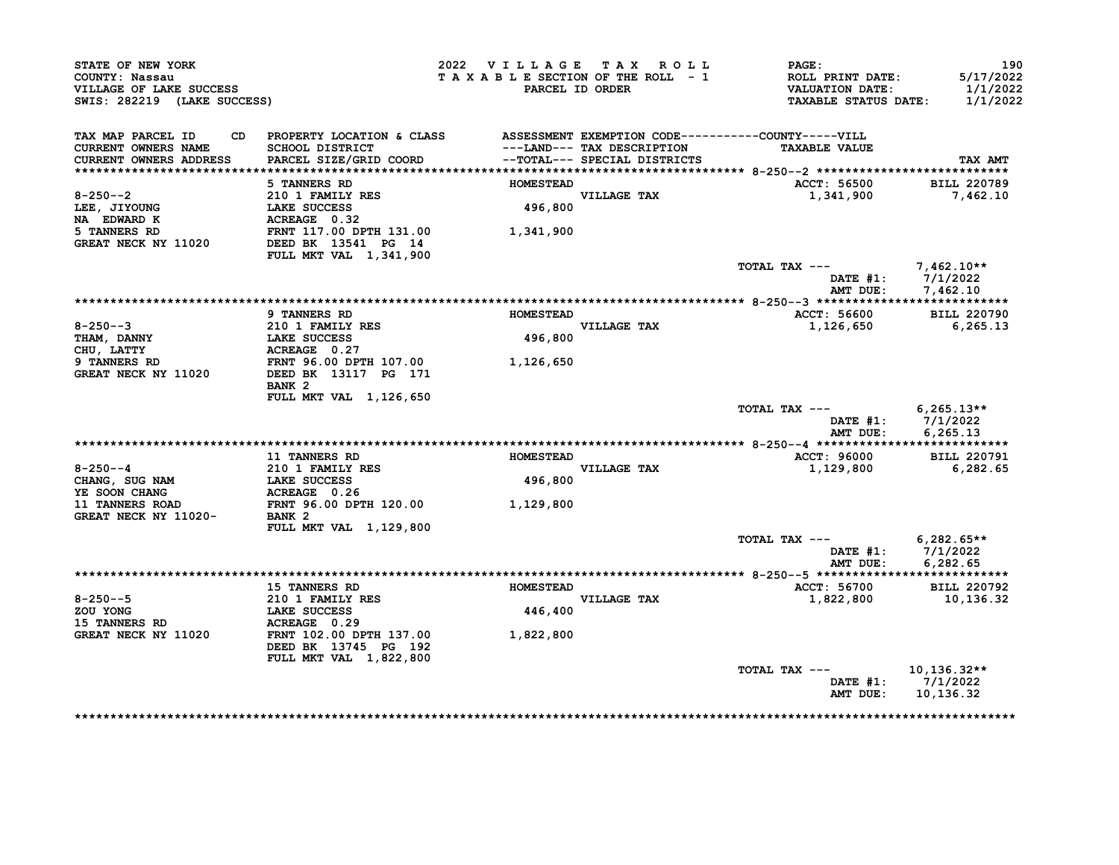| STATE OF NEW YORK<br>COUNTY: Nassau<br>VILLAGE OF LAKE SUCCESS<br>SWIS: 282219 (LAKE SUCCESS) |                                                                           | 2022 VILLAGE TAX ROLL<br>TAXABLE SECTION OF THE ROLL - 1 | PARCEL ID ORDER                                            | PAGE:<br>ROLL PRINT DATE:<br><b>VALUATION DATE:</b><br><b>TAXABLE STATUS DATE:</b> | 190<br>5/17/2022<br>1/1/2022<br>1/1/2022 |
|-----------------------------------------------------------------------------------------------|---------------------------------------------------------------------------|----------------------------------------------------------|------------------------------------------------------------|------------------------------------------------------------------------------------|------------------------------------------|
| TAX MAP PARCEL ID<br>CD.<br>CURRENT OWNERS NAME<br>CURRENT OWNERS ADDRESS                     | PROPERTY LOCATION & CLASS<br>SCHOOL DISTRICT<br>PARCEL SIZE/GRID COORD    |                                                          | ---LAND--- TAX DESCRIPTION<br>--TOTAL--- SPECIAL DISTRICTS | ASSESSMENT EXEMPTION CODE----------COUNTY-----VILL<br><b>TAXABLE VALUE</b>         | TAX AMT                                  |
|                                                                                               | 5 TANNERS RD                                                              | <b>HOMESTEAD</b>                                         |                                                            | ACCT: 56500                                                                        | <b>BILL 220789</b>                       |
| $8 - 250 - -2$<br>LEE, JIYOUNG<br>NA EDWARD K                                                 | 210 1 FAMILY RES<br>LAKE SUCCESS<br>ACREAGE 0.32                          | 496,800                                                  | VILLAGE TAX                                                | 1,341,900                                                                          | 7,462.10                                 |
| 5 TANNERS RD<br>GREAT NECK NY 11020                                                           | FRNT 117.00 DPTH 131.00<br>DEED BK 13541 PG 14                            | 1,341,900                                                |                                                            |                                                                                    |                                          |
|                                                                                               | FULL MKT VAL 1,341,900                                                    |                                                          |                                                            | TOTAL TAX ---<br>DATE #1:                                                          | $7,462.10**$<br>7/1/2022                 |
|                                                                                               |                                                                           |                                                          |                                                            | AMT DUE:                                                                           | 7.462.10                                 |
|                                                                                               | 9 TANNERS RD                                                              | <b>HOMESTEAD</b>                                         |                                                            | ACCT: 56600                                                                        | <b>BILL 220790</b>                       |
| $8 - 250 - -3$                                                                                | <b>210 1 FAMILY RES</b>                                                   |                                                          | VILLAGE TAX                                                | 1,126,650                                                                          | 6,265.13                                 |
| <b>THAM, DANNY</b>                                                                            | <b>LAKE SUCCESS</b>                                                       | 496,800                                                  |                                                            |                                                                                    |                                          |
| CHU, LATTY                                                                                    | ACREAGE 0.27                                                              |                                                          |                                                            |                                                                                    |                                          |
| 9 TANNERS RD<br>GREAT NECK NY 11020                                                           | FRNT 96.00 DPTH 107.00<br>DEED BK 13117 PG 171                            | 1,126,650                                                |                                                            |                                                                                    |                                          |
|                                                                                               | BANK <sub>2</sub>                                                         |                                                          |                                                            |                                                                                    |                                          |
|                                                                                               | FULL MKT VAL 1,126,650                                                    |                                                          |                                                            |                                                                                    |                                          |
|                                                                                               |                                                                           |                                                          |                                                            | TOTAL TAX ---<br>DATE #1:<br>AMT DUE:                                              | $6,265.13**$<br>7/1/2022<br>6, 265, 13   |
|                                                                                               |                                                                           |                                                          |                                                            |                                                                                    |                                          |
|                                                                                               | <b>11 TANNERS RD</b>                                                      | <b>HOMESTEAD</b>                                         |                                                            | ACCT: 96000                                                                        | <b>BILL 220791</b>                       |
| $8 - 250 - -4$                                                                                | 210 1 FAMILY RES                                                          |                                                          | VILLAGE TAX                                                | 1,129,800                                                                          | 6,282.65                                 |
| CHANG, SUG NAM                                                                                | <b>LAKE SUCCESS</b>                                                       | 496,800                                                  |                                                            |                                                                                    |                                          |
| YE SOON CHANG<br>11 TANNERS ROAD                                                              | ACREAGE 0.26<br>FRNT 96.00 DPTH 120.00                                    | 1,129,800                                                |                                                            |                                                                                    |                                          |
| GREAT NECK NY 11020-                                                                          | BANK <sub>2</sub>                                                         |                                                          |                                                            |                                                                                    |                                          |
|                                                                                               | FULL MKT VAL 1,129,800                                                    |                                                          |                                                            |                                                                                    |                                          |
|                                                                                               |                                                                           |                                                          |                                                            | TOTAL TAX ---                                                                      | $6,282.65**$                             |
|                                                                                               |                                                                           |                                                          |                                                            |                                                                                    | DATE #1: 7/1/2022                        |
|                                                                                               |                                                                           |                                                          |                                                            | AMT DUE:                                                                           | 6,282.65                                 |
|                                                                                               | <b>15 TANNERS RD</b>                                                      | <b>HOMESTEAD</b>                                         |                                                            | ACCT: 56700                                                                        | <b>BILL 220792</b>                       |
| $8 - 250 - -5$                                                                                | 210 1 FAMILY RES                                                          |                                                          | VILLAGE TAX                                                | 1,822,800                                                                          | 10,136.32                                |
| ZOU YONG                                                                                      | <b>LAKE SUCCESS</b>                                                       | 446,400                                                  |                                                            |                                                                                    |                                          |
| 15 TANNERS RD                                                                                 | ACREAGE 0.29                                                              |                                                          |                                                            |                                                                                    |                                          |
| GREAT NECK NY 11020                                                                           | FRNT 102.00 DPTH 137.00<br>DEED BK 13745 PG 192<br>FULL MKT VAL 1,822,800 | 1,822,800                                                |                                                            |                                                                                    |                                          |
|                                                                                               |                                                                           |                                                          |                                                            | TOTAL TAX ---                                                                      | $10,136.32**$                            |
|                                                                                               |                                                                           |                                                          |                                                            | DATE #1:<br>AMT DUE:                                                               | 7/1/2022<br>10,136.32                    |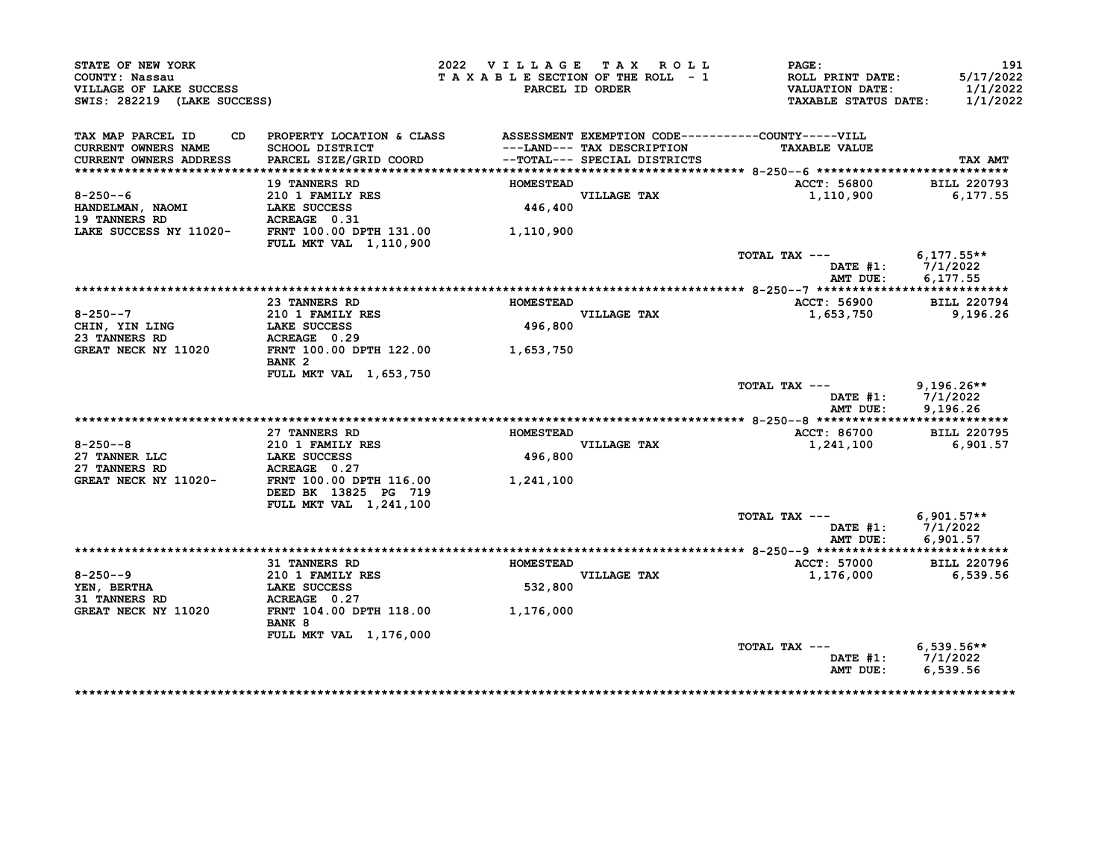| STATE OF NEW YORK<br>COUNTY: Nassau<br>VILLAGE OF LAKE SUCCESS<br>SWIS: 282219 (LAKE SUCCESS) |                                                                        | 2022 VILLAGE TAX ROLL<br>TAXABLE SECTION OF THE ROLL - 1 | PARCEL ID ORDER                                            | PAGE:<br>ROLL PRINT DATE:<br><b>VALUATION DATE:</b><br><b>TAXABLE STATUS DATE:</b> | 191<br>5/17/2022<br>1/1/2022<br>1/1/2022 |
|-----------------------------------------------------------------------------------------------|------------------------------------------------------------------------|----------------------------------------------------------|------------------------------------------------------------|------------------------------------------------------------------------------------|------------------------------------------|
| TAX MAP PARCEL ID<br>CD.<br><b>CURRENT OWNERS NAME</b><br>CURRENT OWNERS ADDRESS              | PROPERTY LOCATION & CLASS<br>SCHOOL DISTRICT<br>PARCEL SIZE/GRID COORD |                                                          | ---LAND--- TAX DESCRIPTION<br>--TOTAL--- SPECIAL DISTRICTS | ASSESSMENT EXEMPTION CODE----------COUNTY-----VILL<br><b>TAXABLE VALUE</b>         | TAX AMT                                  |
|                                                                                               | <b>19 TANNERS RD</b>                                                   | <b>HOMESTEAD</b>                                         |                                                            | ACCT: 56800                                                                        | <b>BILL 220793</b>                       |
| $8 - 250 - -6$<br>HANDELMAN, NAOMI<br><b>19 TANNERS RD</b>                                    | 210 1 FAMILY RES<br>LAKE SUCCESS<br>ACREAGE 0.31                       | 446,400                                                  | VILLAGE TAX                                                | 1,110,900                                                                          | 6,177.55                                 |
| LAKE SUCCESS NY 11020-                                                                        | FRNT 100.00 DPTH 131.00                                                | 1,110,900                                                |                                                            |                                                                                    |                                          |
|                                                                                               | <b>FULL MKT VAL 1,110,900</b>                                          |                                                          |                                                            | TOTAL TAX ---<br><b>DATE #1:</b><br>AMT DUE:                                       | $6,177.55**$<br>7/1/2022<br>6,177.55     |
|                                                                                               |                                                                        |                                                          |                                                            |                                                                                    |                                          |
| $8 - 250 - -7$                                                                                | 23 TANNERS RD<br>210 1 FAMILY RES                                      | <b>HOMESTEAD</b>                                         | VILLAGE TAX                                                | ACCT: 56900<br>1,653,750                                                           | <b>BILL 220794</b><br>9,196.26           |
| CHIN, YIN LING<br>23 TANNERS RD<br><b>GREAT NECK NY 11020</b>                                 | LAKE SUCCESS<br>ACREAGE 0.29<br>FRNT 100.00 DPTH 122.00                | 496,800<br>1,653,750                                     |                                                            |                                                                                    |                                          |
|                                                                                               | BANK <sub>2</sub><br>FULL MKT VAL 1,653,750                            |                                                          |                                                            |                                                                                    |                                          |
|                                                                                               |                                                                        |                                                          |                                                            | TOTAL TAX ---<br>DATE $#1$ :<br>AMT DUE:                                           | $9,196.26**$<br>7/1/2022<br>9,196.26     |
|                                                                                               |                                                                        |                                                          |                                                            |                                                                                    |                                          |
| $8 - 250 - -8$<br>27 TANNER LLC                                                               | 27 TANNERS RD<br>210 1 FAMILY RES<br>LAKE SUCCESS                      | <b>HOMESTEAD</b><br>496,800                              | VILLAGE TAX                                                | ACCT: 86700<br>1,241,100                                                           | <b>BILL 220795</b><br>6,901.57           |
| 27 TANNERS RD<br>GREAT NECK NY 11020-                                                         | ACREAGE 0.27<br>FRNT 100.00 DPTH 116.00                                | 1,241,100                                                |                                                            |                                                                                    |                                          |
|                                                                                               | DEED BK 13825 PG 719<br>FULL MKT VAL 1,241,100                         |                                                          |                                                            |                                                                                    |                                          |
|                                                                                               |                                                                        |                                                          |                                                            | TOTAL TAX ---<br>DATE $#1$ :<br>AMT DUE:                                           | $6,901.57**$<br>7/1/2022<br>6,901.57     |
|                                                                                               |                                                                        |                                                          |                                                            |                                                                                    |                                          |
|                                                                                               | <b>31 TANNERS RD</b>                                                   | <b>HOMESTEAD</b>                                         |                                                            | ACCT: 57000                                                                        | <b>BILL 220796</b>                       |
| $8 - 250 - -9$<br>YEN, BERTHA                                                                 | 210 1 FAMILY RES<br>LAKE SUCCESS                                       | 532,800                                                  | VILLAGE TAX                                                | 1,176,000                                                                          | 6,539.56                                 |
| <b>31 TANNERS RD</b><br>GREAT NECK NY 11020                                                   | ACREAGE 0.27<br>FRNT 104.00 DPTH 118.00                                |                                                          |                                                            |                                                                                    |                                          |
|                                                                                               | BANK 8                                                                 | 1,176,000                                                |                                                            |                                                                                    |                                          |
|                                                                                               |                                                                        |                                                          |                                                            |                                                                                    |                                          |
|                                                                                               | <b>FULL MKT VAL 1,176,000</b>                                          |                                                          |                                                            | TOTAL TAX ---                                                                      | $6,539.56**$                             |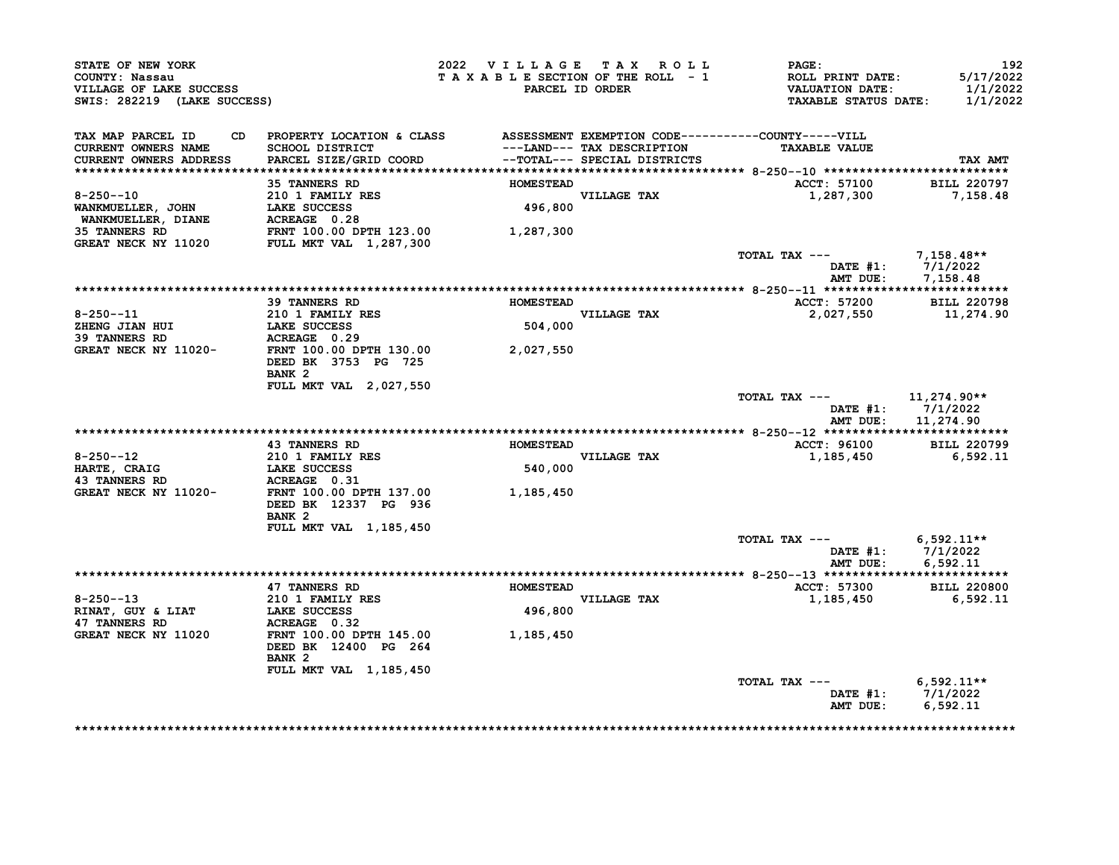| STATE OF NEW YORK<br>COUNTY: Nassau<br>VILLAGE OF LAKE SUCCESS<br>SWIS: 282219 (LAKE SUCCESS) |                                                                                     | 2022 VILLAGE TAX ROLL<br>TAXABLE SECTION OF THE ROLL - 1 | PARCEL ID ORDER                                            | PAGE:<br><b>ROLL PRINT DATE:</b><br><b>VALUATION DATE:</b><br><b>TAXABLE STATUS DATE:</b> | 192<br>5/17/2022<br>1/1/2022<br>1/1/2022               |
|-----------------------------------------------------------------------------------------------|-------------------------------------------------------------------------------------|----------------------------------------------------------|------------------------------------------------------------|-------------------------------------------------------------------------------------------|--------------------------------------------------------|
| TAX MAP PARCEL ID<br><b>CURRENT OWNERS NAME</b><br><b>CURRENT OWNERS ADDRESS</b>              | CD PROPERTY LOCATION & CLASS<br>SCHOOL DISTRICT<br>PARCEL SIZE/GRID COORD           |                                                          | ---LAND--- TAX DESCRIPTION<br>--TOTAL--- SPECIAL DISTRICTS | ASSESSMENT EXEMPTION CODE----------COUNTY-----VILL<br><b>TAXABLE VALUE</b>                | TAX AMT                                                |
|                                                                                               | <b>35 TANNERS RD</b>                                                                | <b>HOMESTEAD</b>                                         |                                                            | <b>ACCT: 57100</b>                                                                        | <b>BILL 220797</b>                                     |
| $8 - 250 - -10$<br>WANKMUELLER, JOHN<br>WANKMUELLER, DIANE                                    | 210 1 FAMILY RES<br><b>LAKE SUCCESS<br/>ACREAGE 0.28</b>                            | 496,800                                                  | VILLAGE TAX                                                | 1,287,300                                                                                 | 7,158.48                                               |
| <b>35 TANNERS RD</b><br>GREAT NECK NY 11020                                                   | FRNT 100.00 DPTH 123.00<br><b>FULL MKT VAL 1,287,300</b>                            | 1,287,300                                                |                                                            |                                                                                           |                                                        |
|                                                                                               |                                                                                     |                                                          |                                                            | TOTAL TAX ---<br>AMT DUE:                                                                 | 7,158.48**<br>DATE #1: 7/1/2022<br>7,158.48            |
|                                                                                               |                                                                                     |                                                          |                                                            |                                                                                           |                                                        |
| $8 - 250 - -11$<br>ZHENG JIAN HUI                                                             | <b>39 TANNERS RD</b><br><b>210 1 FAMILY RES</b><br><b>LAKE SUCCESS</b>              | <b>HOMESTEAD</b><br>504,000                              | VILLAGE TAX                                                | ACCT: 57200<br>2,027,550                                                                  | <b>BILL 220798</b><br>11,274.90                        |
| <b>39 TANNERS RD</b><br>GREAT NECK NY 11020-                                                  | ACREAGE 0.29<br>FRNT 100.00 DPTH 130.00<br>DEED BK 3753 PG 725<br>BANK <sub>2</sub> | 2,027,550                                                |                                                            |                                                                                           |                                                        |
|                                                                                               | <b>FULL MKT VAL 2,027,550</b>                                                       |                                                          |                                                            | TOTAL TAX ---                                                                             | 11,274.90**<br>DATE #1: 7/1/2022<br>AMT DUE: 11,274.90 |
|                                                                                               |                                                                                     |                                                          |                                                            |                                                                                           |                                                        |
| $8 - 250 - -12$                                                                               | <b>43 TANNERS RD</b><br>210 1 FAMILY RES                                            | <b>HOMESTEAD</b>                                         | <b>VILLAGE TAX</b>                                         | ACCT: 96100<br>1,185,450                                                                  | <b>BILL 220799</b><br>6,592.11                         |
| HARTE, CRAIG<br><b>43 TANNERS RD</b>                                                          | <b>LAKE SUCCESS</b><br><b>ACREAGE 0.31</b>                                          | 540,000                                                  |                                                            |                                                                                           |                                                        |
| GREAT NECK NY 11020-                                                                          | FRNT 100.00 DPTH 137.00<br>DEED BK 12337 PG 936<br>BANK <sub>2</sub>                | 1,185,450                                                |                                                            |                                                                                           |                                                        |
|                                                                                               | FULL MKT VAL 1,185,450                                                              |                                                          |                                                            | TOTAL TAX ---<br>AMT DUE:                                                                 | $6,592.11**$<br>DATE $#1: 7/1/2022$<br>6.592.11        |
|                                                                                               |                                                                                     |                                                          |                                                            |                                                                                           |                                                        |
| $8 - 250 - -13$                                                                               | 47 TANNERS RD<br>210 1 FAMILY RES                                                   | <b>HOMESTEAD</b>                                         | VILLAGE TAX                                                | ACCT: 57300<br>1,185,450                                                                  | <b>BILL 220800</b><br>6,592.11                         |
| RINAT, GUY & LIAT<br><b>47 TANNERS RD</b>                                                     | LAKE SUCCESS<br>ACREAGE 0.32                                                        | 496,800                                                  |                                                            |                                                                                           |                                                        |
| GREAT NECK NY 11020                                                                           | FRNT 100.00 DPTH 145.00<br>DEED BK 12400 PG 264<br>BANK <sub>2</sub>                | 1,185,450                                                |                                                            |                                                                                           |                                                        |
|                                                                                               | <b>FULL MKT VAL 1,185,450</b>                                                       |                                                          |                                                            | TOTAL TAX ---<br>AMT DUE:                                                                 | $6,592.11**$<br>DATE #1: 7/1/2022<br>6,592.11          |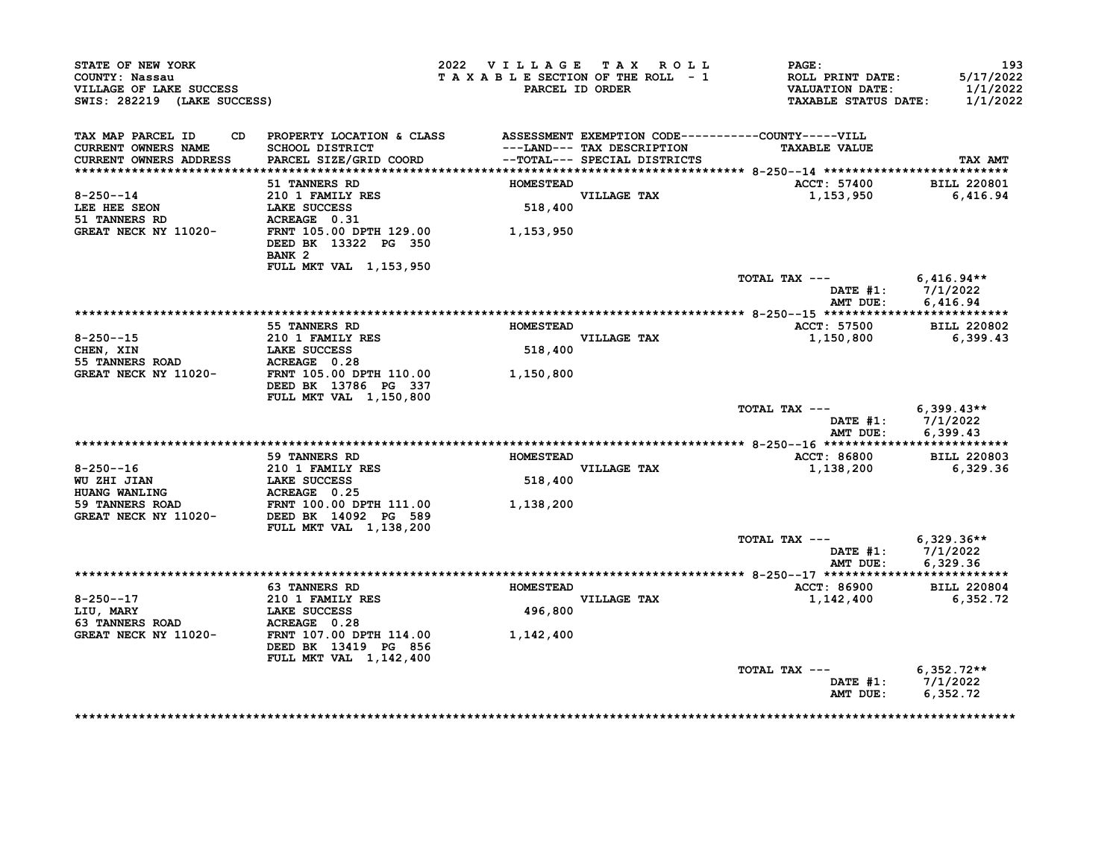| STATE OF NEW YORK<br>COUNTY: Nassau<br>VILLAGE OF LAKE SUCCESS<br>SWIS: 282219 (LAKE SUCCESS) |                                                                             | 2022 VILLAGE TAX ROLL<br>TAXABLE SECTION OF THE ROLL - 1<br>PARCEL ID ORDER                                                                   | <b>PAGE:</b><br><b>ROLL PRINT DATE:</b><br><b>VALUATION DATE:</b><br><b>TAXABLE STATUS DATE:</b> | 193<br>5/17/2022<br>1/1/2022<br>1/1/2022 |
|-----------------------------------------------------------------------------------------------|-----------------------------------------------------------------------------|-----------------------------------------------------------------------------------------------------------------------------------------------|--------------------------------------------------------------------------------------------------|------------------------------------------|
| TAX MAP PARCEL ID<br>CURRENT OWNERS NAME<br>CURRENT OWNERS ADDRESS                            | SCHOOL DISTRICT<br>PARCEL SIZE/GRID COORD                                   | CD PROPERTY LOCATION & CLASS ASSESSMENT EXEMPTION CODE----------COUNTY-----VILL<br>---LAND--- TAX DESCRIPTION<br>--TOTAL--- SPECIAL DISTRICTS | <b>TAXABLE VALUE</b>                                                                             | TAX AMT                                  |
|                                                                                               | 51 TANNERS RD                                                               | <b>HOMESTEAD</b>                                                                                                                              | ACCT: 57400                                                                                      | <b>BILL 220801</b>                       |
| $8 - 250 - -14$<br>LEE HEE SEON                                                               | 210 1 FAMILY RES<br><b>LAKE SUCCESS</b><br>ACREAGE 0.31                     | VILLAGE TAX<br>518,400                                                                                                                        | 1,153,950                                                                                        | 6,416.94                                 |
| 51 TANNERS RD<br>GREAT NECK NY 11020-                                                         | FRNT 105.00 DPTH 129.00<br>DEED BK 13322 PG 350<br>BANK <sub>2</sub>        | 1,153,950                                                                                                                                     |                                                                                                  |                                          |
|                                                                                               | FULL MKT VAL 1,153,950                                                      |                                                                                                                                               | TOTAL TAX --- $6,416.94**$                                                                       |                                          |
|                                                                                               |                                                                             |                                                                                                                                               | DATE #1: 7/1/2022<br>AMT DUE:                                                                    | 6,416.94                                 |
|                                                                                               |                                                                             |                                                                                                                                               |                                                                                                  |                                          |
|                                                                                               | 55 TANNERS RD                                                               | <b>HOMESTEAD</b>                                                                                                                              | <b>ACCT: 57500</b>                                                                               | <b>BILL 220802</b>                       |
| $8 - 250 - -15$                                                                               | <b>210 1 FAMILY RES</b><br><b>LAKE SUCCESS</b>                              | <b>VILLAGE TAX</b><br>518,400                                                                                                                 | 1,150,800                                                                                        | 6,399.43                                 |
| CHEN, XIN<br><b>55 TANNERS ROAD</b>                                                           |                                                                             |                                                                                                                                               |                                                                                                  |                                          |
| GREAT NECK NY 11020-                                                                          | <b>ACREAGE</b> 0.28<br>FRNT 105.00 DPTH 110.00<br>DEED BK 13786 PG 337      | 1,150,800                                                                                                                                     |                                                                                                  |                                          |
|                                                                                               | <b>FULL MKT VAL 1,150,800</b>                                               |                                                                                                                                               | TOTAL TAX ---<br>DATE $#1: 7/1/2022$<br>AMT DUE:                                                 | $6,399.43**$                             |
|                                                                                               |                                                                             |                                                                                                                                               |                                                                                                  | 6,399.43                                 |
|                                                                                               | 59 TANNERS RD                                                               | <b>HOMESTEAD</b>                                                                                                                              | <b>ACCT: 86800</b>                                                                               | <b>BILL 220803</b>                       |
| 8-250--16                                                                                     | 210 1 FAMILY RES                                                            | 518,400<br><b>VILLAGE TAX</b>                                                                                                                 | 1,138,200                                                                                        | 6,329.36                                 |
| WU ZHI JIAN<br><b>HUANG WANLING</b>                                                           | <b>LAKE SUCCESS</b><br>ACREAGE 0.25                                         |                                                                                                                                               |                                                                                                  |                                          |
| 59 TANNERS ROAD<br>GREAT NECK NY 11020-                                                       | FRNT 100.00 DPTH 111.00<br>DEED BK 14092 PG 589<br>FULL MKT VAL 1,138,200   | 1,138,200                                                                                                                                     |                                                                                                  |                                          |
|                                                                                               |                                                                             |                                                                                                                                               | $TOTAL$ $TAX$ $---$                                                                              | $6,329.36**$                             |
|                                                                                               |                                                                             |                                                                                                                                               | DATE #1: 7/1/2022<br>AMT DUE:                                                                    | 6,329.36                                 |
|                                                                                               | <b>63 TANNERS RD</b>                                                        | <b>HOMESTEAD</b>                                                                                                                              | <b>ACCT: 86900</b>                                                                               | <b>BILL 220804</b>                       |
| $8 - 250 - -17$                                                                               | <b>210 1 FAMILY RES</b>                                                     | <b>VILLAGE TAX</b>                                                                                                                            | 1,142,400                                                                                        | 6,352.72                                 |
| LIU, MARY                                                                                     | LAKE SUCCESS                                                                | 496,800                                                                                                                                       |                                                                                                  |                                          |
| <b>63 TANNERS ROAD</b>                                                                        | ACREAGE 0.28                                                                |                                                                                                                                               |                                                                                                  |                                          |
| GREAT NECK NY 11020-                                                                          | FRNT 107.00 DPTH 114.00<br>DEED BK 13419 PG 856<br>FULL MKT VAL 1, 142, 400 | 1,142,400                                                                                                                                     |                                                                                                  |                                          |
|                                                                                               |                                                                             |                                                                                                                                               | TOTAL TAX ---                                                                                    | $6,352.72**$                             |
|                                                                                               |                                                                             |                                                                                                                                               | DATE #1: 7/1/2022<br>AMT DUE:                                                                    | 6,352.72                                 |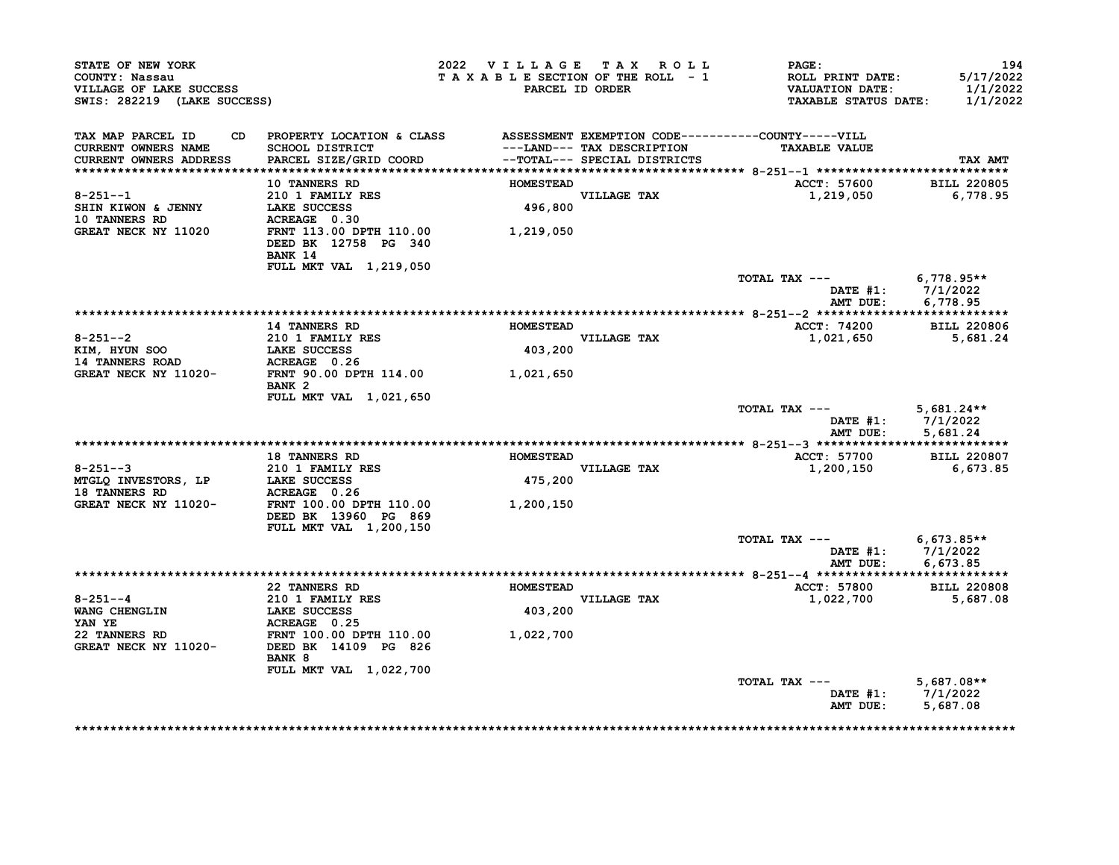| STATE OF NEW YORK<br>COUNTY: Nassau<br>VILLAGE OF LAKE SUCCESS<br>SWIS: 282219 (LAKE SUCCESS) |                                                                                                                                                           | 2022 VILLAGE TAX ROLL       | TAXABLE SECTION OF THE ROLL - 1<br>PARCEL ID ORDER | PAGE:<br>ROLL PRINT DATE:<br><b>VALUATION DATE:</b><br><b>TAXABLE STATUS DATE:</b> | 194<br>5/17/2022<br>1/1/2022<br>1/1/2022               |
|-----------------------------------------------------------------------------------------------|-----------------------------------------------------------------------------------------------------------------------------------------------------------|-----------------------------|----------------------------------------------------|------------------------------------------------------------------------------------|--------------------------------------------------------|
| TAX MAP PARCEL ID<br><b>CURRENT OWNERS NAME</b><br><b>CURRENT OWNERS ADDRESS</b>              | CD PROPERTY LOCATION & CLASS ASSESSMENT EXEMPTION CODE----------COUNTY-----VILL<br>SCHOOL DISTRICT<br>PARCEL SIZE/GRID COORD --TOTAL--- SPECIAL DISTRICTS |                             | ---LAND--- TAX DESCRIPTION                         | <b>TAXABLE VALUE</b>                                                               | TAX AMT                                                |
|                                                                                               | <b>10 TANNERS RD</b>                                                                                                                                      | <b>HOMESTEAD</b>            |                                                    | ACCT: 57600                                                                        | <b>BILL 220805</b>                                     |
| $8 - 251 - -1$<br>SHIN KIWON & JENNY                                                          | 210 1 FAMILY RES<br>LAKE SUCCESS                                                                                                                          |                             | VILLAGE TAX<br>496,800                             | 1,219,050                                                                          | 6,778.95                                               |
| <b>10 TANNERS RD</b><br>GREAT NECK NY 11020                                                   | ACREAGE 0.30<br>FRNT 113.00 DPTH 110.00 1,219,050<br>DEED BK 12758 PG 340<br>BANK 14                                                                      |                             |                                                    |                                                                                    |                                                        |
|                                                                                               | FULL MKT VAL 1,219,050                                                                                                                                    |                             |                                                    | TOTAL TAX --- $6,778.95**$                                                         |                                                        |
|                                                                                               |                                                                                                                                                           |                             |                                                    |                                                                                    | DATE #1: 7/1/2022<br>AMT DUE: 6,778.95                 |
|                                                                                               | <b>14 TANNERS RD</b>                                                                                                                                      | <b>HOMESTEAD</b>            |                                                    | ACCT: 74200 BILL 220806                                                            |                                                        |
| $8 - 251 - -2$                                                                                | 210 1 FAMILY RES                                                                                                                                          |                             | <b>VILLAGE TAX</b>                                 | 1,021,650 5,681.24                                                                 |                                                        |
| KIM, HYUN SOO<br><b>14 TANNERS ROAD</b>                                                       | 210 1 FAMILI RES<br>LAKE SUCCESS<br>ACREAGE 0.26                                                                                                          | 403,200                     |                                                    |                                                                                    |                                                        |
| GREAT NECK NY 11020- FRNT 90.00 DPTH 114.00 1,021,650                                         | BANK <sub>2</sub>                                                                                                                                         |                             |                                                    |                                                                                    |                                                        |
|                                                                                               | FULL MKT VAL 1,021,650                                                                                                                                    |                             |                                                    | TOTAL TAX $---$ 5,681.24**                                                         | DATE #1: 7/1/2022<br>AMT DUE: 5,681.24                 |
|                                                                                               |                                                                                                                                                           |                             |                                                    |                                                                                    |                                                        |
| $8 - 251 - -3$<br>MTGLQ INVESTORS, LP                                                         | <b>18 TANNERS RD</b><br>210 1 FAMILY RES<br>LAKE SUCCESS<br>NATE SUCCESS                                                                                  | <b>HOMESTEAD</b><br>475,200 | VILLAGE TAX                                        | <b>ACCT: 57700</b><br>1,200,150                                                    | <b>BILL 220807</b><br>6,673.85                         |
| <b>18 TANNERS RD</b><br>GREAT NECK NY 11020-                                                  | ACREAGE 0.26<br>FRNT 100.00 DPTH 110.00<br>DEED BK 13960 PG 869                                                                                           | 1,200,150                   |                                                    |                                                                                    |                                                        |
|                                                                                               | FULL MKT VAL 1,200,150                                                                                                                                    |                             |                                                    |                                                                                    |                                                        |
|                                                                                               |                                                                                                                                                           |                             |                                                    | TOTAL TAX --- $6,673.85**$                                                         | DATE #1: 7/1/2022<br>AMT DUE: 6,673.85                 |
|                                                                                               |                                                                                                                                                           |                             |                                                    |                                                                                    |                                                        |
|                                                                                               | 22 TANNERS RD                                                                                                                                             | <b>HOMESTEAD</b>            |                                                    | <b>ACCT: 57800</b>                                                                 | <b>BILL 220808</b>                                     |
| $8 - 251 - -4$                                                                                | 210 1 FAMILY RES<br>LAKE SUCCESS                                                                                                                          |                             | <b>VILLAGE TAX</b>                                 | 1,022,700                                                                          | 5,687.08                                               |
| WANG CHENGLIN<br>YAN YE                                                                       | ACREAGE 0.25                                                                                                                                              | 403,200                     |                                                    |                                                                                    |                                                        |
| 22 TANNERS RD<br>GREAT NECK NY 11020-                                                         | FRNT 100.00 DPTH 110.00<br>11020- DEED BK 14109 PG 826<br>BANK 8                                                                                          | 1,022,700                   |                                                    |                                                                                    |                                                        |
|                                                                                               | FULL MKT VAL 1,022,700                                                                                                                                    |                             |                                                    |                                                                                    |                                                        |
|                                                                                               |                                                                                                                                                           |                             |                                                    | TOTAL TAX ---                                                                      | $5,687.08**$<br>DATE #1: 7/1/2022<br>AMT DUE: 5,687.08 |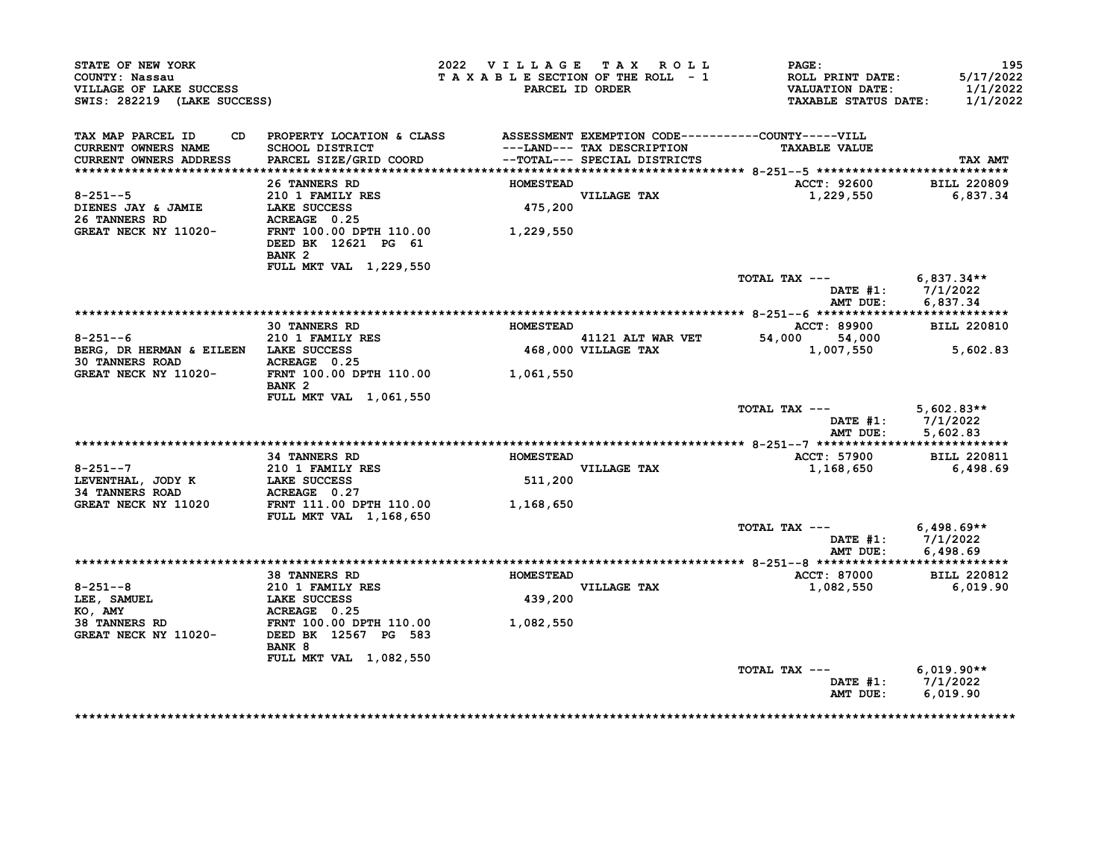| STATE OF NEW YORK<br>COUNTY: Nassau<br>VILLAGE OF LAKE SUCCESS<br>SWIS: 282219 (LAKE SUCCESS)                                                                |                                                                                               | 2022 VILLAGE TAX ROLL<br>TAXABLE SECTION OF THE ROLL - 1 | PARCEL ID ORDER                                               | <b>PAGE:</b><br><b>ROLL PRINT DATE:</b><br>VALUATION DATE:<br><b>TAXABLE STATUS DATE:</b> | 195<br>5/17/2022<br>1/1/2022<br>1/1/2022               |
|--------------------------------------------------------------------------------------------------------------------------------------------------------------|-----------------------------------------------------------------------------------------------|----------------------------------------------------------|---------------------------------------------------------------|-------------------------------------------------------------------------------------------|--------------------------------------------------------|
| TAX MAP PARCEL ID<br>CURRENT OWNERS NAME<br>CURRENT OWNERS ADDRESS                                                                                           | CD PROPERTY LOCATION & CLASS ASSESSMENT EXEMPTION CODE----------COUNTY-----VILL               |                                                          | ---LAND--- TAX DESCRIPTION                                    | <b>TAXABLE VALUE</b>                                                                      | TAX AMT                                                |
|                                                                                                                                                              | 26 TANNERS RD                                                                                 | <b>HOMESTEAD</b>                                         |                                                               | ACCT: 92600                                                                               | <b>BILL 220809</b>                                     |
| $8 - 251 - -5$<br>DIENES JAY & JAMIE                                                                                                                         | 210 1 FAMILY RES<br><b>LAKE SUCCESS</b>                                                       |                                                          | VILLAGE TAX<br>475,200                                        | 1,229,550                                                                                 | 6,837.34                                               |
| 26 TANNERS RD<br>GREAT NECK NY 11020-                                                                                                                        | ACREAGE 0.25<br>FRNT 100.00 DPTH 110.00 1,229,550<br>DEED BK 12621 PG 61<br>BANK <sub>2</sub> |                                                          |                                                               |                                                                                           |                                                        |
|                                                                                                                                                              | FULL MKT VAL 1,229,550                                                                        |                                                          |                                                               | TOTAL TAX --- 6,837.34 **                                                                 |                                                        |
|                                                                                                                                                              |                                                                                               |                                                          |                                                               | AMT DUE:                                                                                  | DATE #1: 7/1/2022<br>6,837.34                          |
|                                                                                                                                                              |                                                                                               |                                                          |                                                               |                                                                                           |                                                        |
|                                                                                                                                                              | <b>30 TANNERS RD</b>                                                                          | <b>HOMESTEAD</b>                                         |                                                               | ACCT: 89900                                                                               | <b>BILL 220810</b>                                     |
| $8 - 251 - -6$<br>BERG, DR HERMAN & EILEEN LAKE SUCCESS<br>30 TANNERS ROAD                                                                                   | <b>210 1 FAMILY RES</b><br>ACREAGE 0.25                                                       |                                                          | 41121 ALT WAR VET<br>41121 ALT WAR VET<br>468,000 VILLAGE TAX | 54,000 54,000<br>1,007,550                                                                | 5,602.83                                               |
| GREAT NECK NY 11020- FRNT 100.00 DPTH 110.00 1,061,550                                                                                                       | BANK <sub>2</sub>                                                                             |                                                          |                                                               |                                                                                           |                                                        |
|                                                                                                                                                              | FULL MKT VAL 1,061,550                                                                        |                                                          |                                                               | TOTAL TAX ---                                                                             | $5,602.83**$<br>DATE #1: 7/1/2022<br>AMT DUE: 5,602.83 |
|                                                                                                                                                              |                                                                                               |                                                          |                                                               |                                                                                           |                                                        |
|                                                                                                                                                              | <b>34 TANNERS RD</b>                                                                          | <b>HOMESTEAD</b>                                         |                                                               | ACCT: 57900 BILL 220811                                                                   |                                                        |
| $8 - 251 - -7$<br>LEVENTHAL, JODY K<br><b>34 TANNERS ROAD</b>                                                                                                | 210 1 FAMILY RES<br>LAKE SUCCESS<br>ACREAGE 0.27                                              | 511,200                                                  | <b>VILLAGE TAX</b>                                            | 1,168,650                                                                                 | 6,498.69                                               |
| GREAT NECK NY 11020                                                                                                                                          | FRNT 111.00 DPTH 110.00<br><b>FULL MKT VAL 1,168,650</b>                                      | 1,168,650                                                |                                                               |                                                                                           |                                                        |
|                                                                                                                                                              |                                                                                               |                                                          |                                                               | TOTAL TAX --- $6,498.69**$<br>AMT DUE:                                                    | DATE #1: 7/1/2022<br>6,498.69                          |
|                                                                                                                                                              |                                                                                               |                                                          |                                                               |                                                                                           |                                                        |
|                                                                                                                                                              | <b>38 TANNERS RD</b>                                                                          | <b>HOMESTEAD</b>                                         | VILLAGE TAX                                                   | ACCT: 87000                                                                               | <b>BILL 220812</b>                                     |
|                                                                                                                                                              |                                                                                               | 439,200                                                  |                                                               | 1,082,550                                                                                 | 6,019.90                                               |
| 8-251--8<br>LEE, SAMUEL LAKE SUCCESS<br>KO, AMY ACREAGE 0.25<br>38 TANNERS RD FRNT 100.00 DPTH 110.00 1,082,550<br>GREAT NECK NY 11020- DEED BK 12567 PG 583 | BANK 8<br>FULL MKT VAL 1,082,550                                                              |                                                          |                                                               |                                                                                           |                                                        |
|                                                                                                                                                              |                                                                                               |                                                          |                                                               | TOTAL TAX --- $6,019.90**$                                                                | DATE #1: $7/1/2022$<br>AMT DUE: 6,019.90               |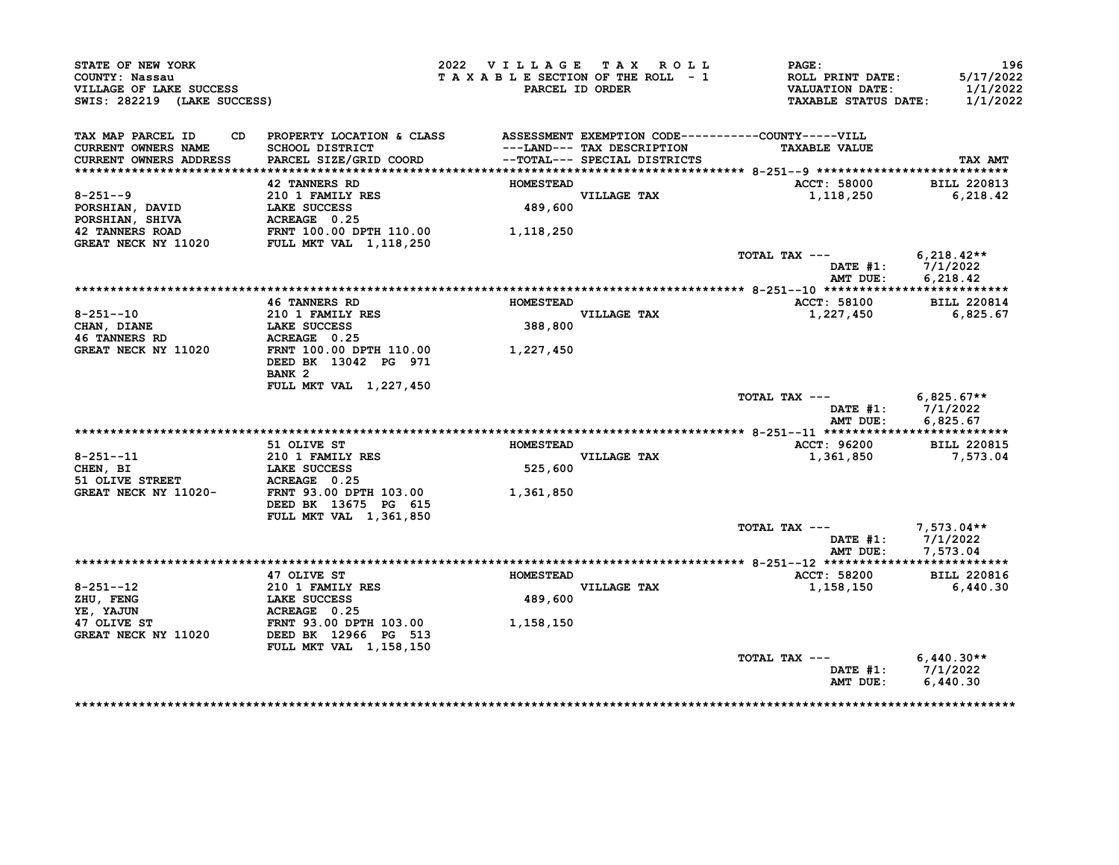| STATE OF NEW YORK<br>COUNTY: Nassau<br>VILLAGE OF LAKE SUCCESS<br>SWIS: 282219 (LAKE SUCCESS)            |                                                | 2022 VILLAGE TAX ROLL<br>TAXABLE SECTION OF THE ROLL - 1<br>PARCEL ID ORDER  | PAGE:<br>ROLL PRINT DATE:<br><b>VALUATION DATE:</b><br><b>TAXABLE STATUS DATE:</b> | 196<br>5/17/2022<br>1/1/2022<br>1/1/2022 |
|----------------------------------------------------------------------------------------------------------|------------------------------------------------|------------------------------------------------------------------------------|------------------------------------------------------------------------------------|------------------------------------------|
| TAX MAP PARCEL ID<br>CD                                                                                  |                                                | PROPERTY LOCATION & CLASS ASSESSMENT EXEMPTION CODE----------COUNTY-----VILL |                                                                                    |                                          |
| <b>CURRENT OWNERS NAME</b>                                                                               | SCHOOL DISTRICT                                | ---LAND--- TAX DESCRIPTION                                                   | <b>TAXABLE VALUE</b>                                                               |                                          |
| <b>CURRENT OWNERS ADDRESS</b>                                                                            | PARCEL SIZE/GRID COORD                         | --TOTAL--- SPECIAL DISTRICTS                                                 |                                                                                    | TAX AMT                                  |
|                                                                                                          |                                                |                                                                              |                                                                                    |                                          |
| $8 - 251 - -9$                                                                                           | <b>42 TANNERS RD</b><br>210 1 FAMILY RES       | <b>HOMESTEAD</b><br><b>VILLAGE TAX</b>                                       | ACCT: 58000                                                                        | <b>BILL 220813</b><br>6, 218.42          |
| PORSHIAN, DAVID                                                                                          |                                                | 489,600                                                                      | 1,118,250                                                                          |                                          |
| <b>PORSHIAN, SHIVA</b>                                                                                   | LAKE SUCCESS<br>ACREAGE 0.25                   |                                                                              |                                                                                    |                                          |
|                                                                                                          |                                                | 1,118,250                                                                    |                                                                                    |                                          |
| 42 TANNERS ROAD             FRNT 100.00 DPTH 110.00<br>GREAT NECK NY 11020        FULL MKT VAL 1,118,250 |                                                |                                                                              |                                                                                    |                                          |
|                                                                                                          |                                                |                                                                              | TOTAL TAX $---$ 6,218.42**<br>DATE #1: 7/1/2022                                    |                                          |
|                                                                                                          |                                                |                                                                              | AMT DUE:                                                                           | 6,218.42                                 |
|                                                                                                          |                                                |                                                                              |                                                                                    |                                          |
|                                                                                                          | <b>46 TANNERS RD</b>                           | <b>HOMESTEAD</b>                                                             | ACCT: 58100                                                                        | <b>BILL 220814</b>                       |
| $8 - 251 - -10$                                                                                          | <b>210 1 FAMILY RES</b><br><b>LAKE SUCCESS</b> | VILLAGE TAX<br>388,800                                                       | 1,227,450                                                                          | 6,825.67                                 |
| CHAN, DIANE<br><b>46 TANNERS RD</b>                                                                      | ACREAGE 0.25                                   |                                                                              |                                                                                    |                                          |
| GREAT NECK NY 11020                                                                                      | FRNT 100.00 DPTH 110.00                        | 1,227,450                                                                    |                                                                                    |                                          |
|                                                                                                          | DEED BK 13042 PG 971                           |                                                                              |                                                                                    |                                          |
|                                                                                                          | BANK <sub>2</sub>                              |                                                                              |                                                                                    |                                          |
|                                                                                                          | <b>FULL MKT VAL 1,227,450</b>                  |                                                                              |                                                                                    |                                          |
|                                                                                                          |                                                |                                                                              | TOTAL TAX $---$ 6,825.67**                                                         |                                          |
|                                                                                                          |                                                |                                                                              |                                                                                    | DATE #1: 7/1/2022                        |
|                                                                                                          |                                                |                                                                              | AMT DUE:                                                                           | 6,825.67                                 |
|                                                                                                          |                                                |                                                                              |                                                                                    |                                          |
|                                                                                                          | 51 OLIVE ST                                    | <b>HOMESTEAD</b>                                                             | ACCT: 96200                                                                        | <b>BILL 220815</b>                       |
| $8 - 251 - -11$                                                                                          | 210 1 FAMILY RES                               | VILLAGE TAX                                                                  | 1,361,850                                                                          | 7,573.04                                 |
| CHEN, BI                                                                                                 | <b>LAKE SUCCESS</b>                            | 525,600                                                                      |                                                                                    |                                          |
| 51 OLIVE STREET                                                                                          | ACREAGE 0.25                                   |                                                                              |                                                                                    |                                          |
| GREAT NECK NY 11020-                                                                                     | FRNT 93.00 DPTH 103.00                         | 1,361,850                                                                    |                                                                                    |                                          |
|                                                                                                          | DEED BK 13675 PG 615                           |                                                                              |                                                                                    |                                          |
|                                                                                                          | FULL MKT VAL 1,361,850                         |                                                                              |                                                                                    |                                          |
|                                                                                                          |                                                |                                                                              | TOTAL TAX ---                                                                      | 7,573.04**                               |
|                                                                                                          |                                                |                                                                              | AMT DUE:                                                                           | DATE $#1: 7/1/2022$<br>7,573.04          |
|                                                                                                          |                                                |                                                                              |                                                                                    |                                          |
|                                                                                                          | 47 OLIVE ST                                    | <b>HOMESTEAD</b>                                                             | <b>ACCT: 58200</b>                                                                 | <b>BILL 220816</b>                       |
| $8 - 251 - -12$                                                                                          | 210 1 FAMILY RES                               | VILLAGE TAX                                                                  | 1,158,150                                                                          | 6,440.30                                 |
| ZHU, FENG                                                                                                | LAKE SUCCESS                                   | 489,600                                                                      |                                                                                    |                                          |
| YE, YAJUN                                                                                                | ACREAGE 0.25                                   |                                                                              |                                                                                    |                                          |
| 47 OLIVE ST                                                                                              | FRNT 93.00 DPTH 103.00                         | 1,158,150                                                                    |                                                                                    |                                          |
| GREAT NECK NY 11020                                                                                      | DEED BK 12966 PG 513                           |                                                                              |                                                                                    |                                          |
|                                                                                                          | FULL MKT VAL 1,158,150                         |                                                                              |                                                                                    |                                          |
|                                                                                                          |                                                |                                                                              | TOTAL TAX ---                                                                      | $6,440.30**$                             |
|                                                                                                          |                                                |                                                                              |                                                                                    |                                          |
|                                                                                                          |                                                |                                                                              | DATE #1: 7/1/2022<br>AMT DUE:                                                      | 6,440.30                                 |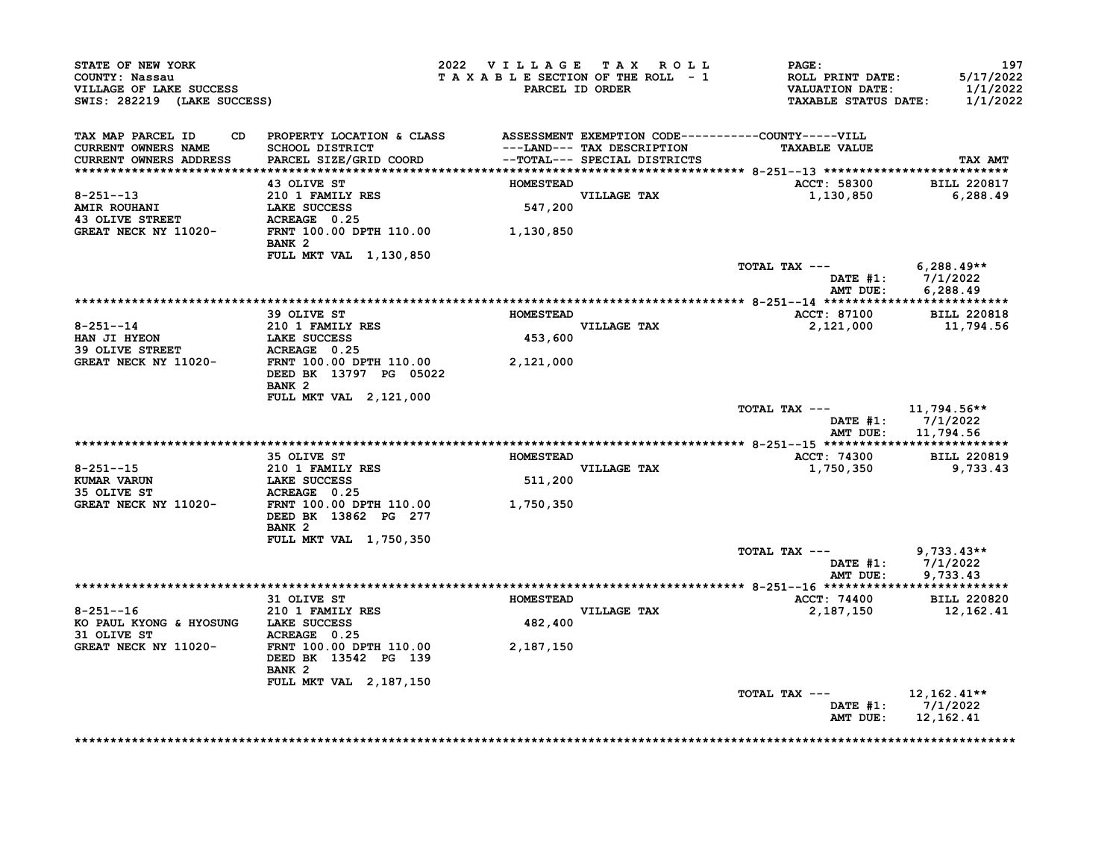| STATE OF NEW YORK<br>COUNTY: Nassau<br>VILLAGE OF LAKE SUCCESS<br>SWIS: 282219 (LAKE SUCCESS) |                                                                                                                           | 2022 VILLAGE TAX ROLL<br>TAXABLE SECTION OF THE ROLL - 1<br>PARCEL ID ORDER |                                                            | <b>PAGE:</b><br>ROLL PRINT DATE:<br><b>VALUATION DATE:</b><br><b>TAXABLE STATUS DATE:</b> | 197<br>5/17/2022<br>1/1/2022<br>1/1/2022        |
|-----------------------------------------------------------------------------------------------|---------------------------------------------------------------------------------------------------------------------------|-----------------------------------------------------------------------------|------------------------------------------------------------|-------------------------------------------------------------------------------------------|-------------------------------------------------|
| TAX MAP PARCEL ID<br>CD.<br><b>CURRENT OWNERS NAME</b><br>CURRENT OWNERS ADDRESS              | PROPERTY LOCATION & CLASS ASSESSMENT EXEMPTION CODE----------COUNTY-----VILL<br>SCHOOL DISTRICT<br>PARCEL SIZE/GRID COORD |                                                                             | ---LAND--- TAX DESCRIPTION<br>--TOTAL--- SPECIAL DISTRICTS | <b>TAXABLE VALUE</b>                                                                      | TAX AMT                                         |
|                                                                                               | 43 OLIVE ST                                                                                                               | <b>HOMESTEAD</b>                                                            |                                                            | <b>ACCT: 58300</b>                                                                        | <b>BILL 220817</b>                              |
| $8 - 251 - -13$<br><b>AMIR ROUHANI</b><br><b>43 OLIVE STREET</b>                              | 210 1 FAMILY RES<br>LAKE SUCCESS<br>ACREAGE 0.25                                                                          | 547,200                                                                     | VILLAGE TAX                                                | 1,130,850                                                                                 | 6,288.49                                        |
| GREAT NECK NY 11020-                                                                          | FRNT 100.00 DPTH 110.00<br>BANK <sub>2</sub>                                                                              | 1,130,850                                                                   |                                                            |                                                                                           |                                                 |
|                                                                                               | <b>FULL MKT VAL 1,130,850</b>                                                                                             |                                                                             |                                                            | TOTAL TAX ---                                                                             | 6,288.49**<br>DATE #1: 7/1/2022                 |
|                                                                                               |                                                                                                                           |                                                                             |                                                            | AMT DUE:                                                                                  | 6,288.49                                        |
|                                                                                               | 39 OLIVE ST                                                                                                               | <b>HOMESTEAD</b>                                                            |                                                            | <b>ACCT: 87100</b>                                                                        | <b>BILL 220818</b>                              |
| $8 - 251 - -14$                                                                               | 210 1 FAMILY RES                                                                                                          |                                                                             | VILLAGE TAX                                                | 2,121,000                                                                                 | 11,794.56                                       |
| HAN JI HYEON<br><b>39 OLIVE STREET</b>                                                        | <b>LAKE SUCCESS</b><br>ACREAGE 0.25                                                                                       | 453,600                                                                     |                                                            |                                                                                           |                                                 |
| GREAT NECK NY 11020-                                                                          | FRNT 100.00 DPTH 110.00<br>DEED BK 13797 PG 05022<br>BANK <sub>2</sub>                                                    | 2,121,000                                                                   |                                                            |                                                                                           |                                                 |
|                                                                                               | FULL MKT VAL 2, 121, 000                                                                                                  |                                                                             |                                                            | TOTAL TAX ---<br>AMT DUE:                                                                 | 11,794.56**<br>DATE $#1: 7/1/2022$<br>11,794.56 |
|                                                                                               |                                                                                                                           |                                                                             |                                                            |                                                                                           |                                                 |
|                                                                                               | 35 OLIVE ST                                                                                                               | <b>HOMESTEAD</b>                                                            |                                                            | ACCT: 74300                                                                               | <b>BILL 220819</b>                              |
| $8 - 251 - -15$                                                                               | 210 1 FAMILY RES                                                                                                          |                                                                             | <b>VILLAGE TAX</b>                                         | 1,750,350                                                                                 | 9,733.43                                        |
| KUMAR VARUN                                                                                   | <b>LAKE SUCCESS</b>                                                                                                       | 511,200                                                                     |                                                            |                                                                                           |                                                 |
| 35 OLIVE ST<br>GREAT NECK NY 11020-                                                           | ACREAGE 0.25<br>FRNT 100.00 DPTH 110.00                                                                                   | 1,750,350                                                                   |                                                            |                                                                                           |                                                 |
|                                                                                               | DEED BK 13862 PG 277<br>BANK <sub>2</sub>                                                                                 |                                                                             |                                                            |                                                                                           |                                                 |
|                                                                                               | FULL MKT VAL 1,750,350                                                                                                    |                                                                             |                                                            | TOTAL TAX ---<br>DATE #1:                                                                 | $9,733.43**$<br>7/1/2022                        |
|                                                                                               |                                                                                                                           |                                                                             |                                                            | AMT DUE:                                                                                  | 9,733.43                                        |
|                                                                                               |                                                                                                                           |                                                                             |                                                            |                                                                                           |                                                 |
|                                                                                               |                                                                                                                           |                                                                             |                                                            |                                                                                           |                                                 |
|                                                                                               | 31 OLIVE ST                                                                                                               | <b>HOMESTEAD</b>                                                            |                                                            | <b>ACCT: 74400</b>                                                                        | <b>BILL 220820</b>                              |
| $8 - 251 - -16$<br>KO PAUL KYONG & HYOSUNG LAKE SUCCESS                                       | 210 1 FAMILY RES                                                                                                          | 482,400                                                                     | VILLAGE TAX                                                | 2,187,150                                                                                 | 12,162.41                                       |
| 31 OLIVE ST<br><b>GREAT NECK NY 11020-</b>                                                    | ACREAGE 0.25<br>FRNT 100.00 DPTH 110.00<br>DEED BK 13542 PG 139<br>BANK <sub>2</sub>                                      | 2,187,150                                                                   |                                                            |                                                                                           |                                                 |
|                                                                                               | <b>FULL MKT VAL 2,187,150</b>                                                                                             |                                                                             |                                                            |                                                                                           |                                                 |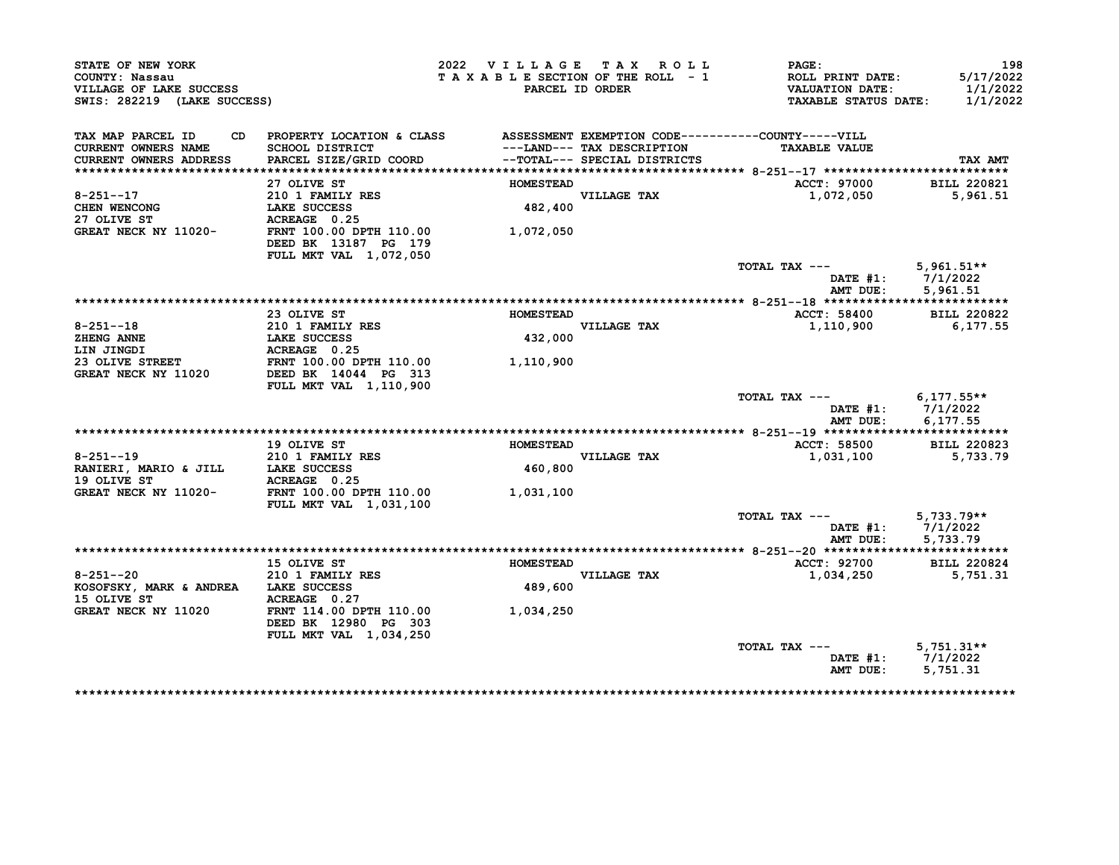| STATE OF NEW YORK<br>COUNTY: Nassau<br>VILLAGE OF LAKE SUCCESS<br>SWIS: 282219 (LAKE SUCCESS) |                                                                                  | 2022 VILLAGE TAX ROLL<br>TAXABLE SECTION OF THE ROLL - 1 | PARCEL ID ORDER                                            | PAGE:<br>ROLL PRINT DATE:<br><b>VALUATION DATE:</b><br><b>TAXABLE STATUS DATE:</b> | 198<br>5/17/2022<br>1/1/2022<br>1/1/2022 |
|-----------------------------------------------------------------------------------------------|----------------------------------------------------------------------------------|----------------------------------------------------------|------------------------------------------------------------|------------------------------------------------------------------------------------|------------------------------------------|
| TAX MAP PARCEL ID<br>CD.<br><b>CURRENT OWNERS NAME</b><br><b>CURRENT OWNERS ADDRESS</b>       | PROPERTY LOCATION & CLASS<br>SCHOOL DISTRICT<br>PARCEL SIZE/GRID COORD           |                                                          | ---LAND--- TAX DESCRIPTION<br>--TOTAL--- SPECIAL DISTRICTS | ASSESSMENT EXEMPTION CODE----------COUNTY-----VILL<br><b>TAXABLE VALUE</b>         | TAX AMT                                  |
|                                                                                               |                                                                                  |                                                          |                                                            |                                                                                    |                                          |
|                                                                                               | 27 OLIVE ST                                                                      | <b>HOMESTEAD</b>                                         |                                                            | ACCT: 97000                                                                        | <b>BILL 220821</b>                       |
| $8 - 251 - -17$                                                                               | 210 1 FAMILY RES                                                                 |                                                          | VILLAGE TAX                                                | 1,072,050                                                                          | 5,961.51                                 |
| CHEN WENCONG                                                                                  | LAKE SUCCESS                                                                     | 482,400                                                  |                                                            |                                                                                    |                                          |
| 27 OLIVE ST                                                                                   | ACREAGE 0.25                                                                     |                                                          |                                                            |                                                                                    |                                          |
| GREAT NECK NY 11020-                                                                          | FRNT 100.00 DPTH 110.00<br>DEED BK 13187 PG 179                                  | 1,072,050                                                |                                                            |                                                                                    |                                          |
|                                                                                               | FULL MKT VAL 1,072,050                                                           |                                                          |                                                            |                                                                                    |                                          |
|                                                                                               |                                                                                  |                                                          |                                                            | TOTAL TAX ---<br>DATE $#1$ :<br>AMT DUE:                                           | $5,961.51**$<br>7/1/2022<br>5,961.51     |
|                                                                                               |                                                                                  |                                                          |                                                            |                                                                                    |                                          |
|                                                                                               | 23 OLIVE ST                                                                      | <b>HOMESTEAD</b>                                         |                                                            | ACCT: 58400                                                                        | <b>BILL 220822</b>                       |
| $8 - 251 - -18$                                                                               | 210 1 FAMILY RES                                                                 |                                                          | VILLAGE TAX                                                | 1,110,900                                                                          | 6,177.55                                 |
| ZHENG ANNE                                                                                    | LAKE SUCCESS                                                                     | 432,000                                                  |                                                            |                                                                                    |                                          |
| LIN JINGDI                                                                                    | ACREAGE 0.25                                                                     |                                                          |                                                            |                                                                                    |                                          |
| 23 OLIVE STREET                                                                               | FRNT 100.00 DPTH 110.00                                                          | 1,110,900                                                |                                                            |                                                                                    |                                          |
| GREAT NECK NY 11020                                                                           | DEED BK 14044 PG 313                                                             |                                                          |                                                            |                                                                                    |                                          |
|                                                                                               | FULL MKT VAL 1,110,900                                                           |                                                          |                                                            | TOTAL TAX ---<br>DATE #1:                                                          | $6,177.55**$<br>7/1/2022                 |
|                                                                                               |                                                                                  |                                                          |                                                            | AMT DUE:                                                                           | 6,177.55                                 |
|                                                                                               |                                                                                  |                                                          |                                                            |                                                                                    |                                          |
|                                                                                               | 19 OLIVE ST                                                                      | <b>HOMESTEAD</b>                                         |                                                            | <b>ACCT: 58500</b>                                                                 | <b>BILL 220823</b>                       |
| $8 - 251 - -19$                                                                               | 210 1 FAMILY RES                                                                 |                                                          | VILLAGE TAX                                                | 1,031,100                                                                          | 5,733.79                                 |
| RANIERI, MARIO & JILL                                                                         | LAKE SUCCESS                                                                     | 460,800                                                  |                                                            |                                                                                    |                                          |
| 19 OLIVE ST                                                                                   | ACREAGE 0.25                                                                     |                                                          |                                                            |                                                                                    |                                          |
| GREAT NECK NY 11020-                                                                          | FRNT 100.00 DPTH 110.00<br>FULL MKT VAL 1,031,100                                | 1,031,100                                                |                                                            |                                                                                    |                                          |
|                                                                                               |                                                                                  |                                                          |                                                            | TOTAL TAX ---                                                                      | $5,733.79**$                             |
|                                                                                               |                                                                                  |                                                          |                                                            | DATE $#1$ :                                                                        | 7/1/2022                                 |
|                                                                                               |                                                                                  |                                                          |                                                            | AMT DUE:                                                                           | 5,733.79                                 |
|                                                                                               |                                                                                  |                                                          |                                                            |                                                                                    |                                          |
|                                                                                               | 15 OLIVE ST                                                                      | <b>HOMESTEAD</b>                                         |                                                            | ACCT: 92700                                                                        | <b>BILL 220824</b>                       |
| $8 - 251 - -20$                                                                               | 210 1 FAMILY RES                                                                 |                                                          | VILLAGE TAX                                                | 1,034,250                                                                          | 5,751.31                                 |
| KOSOFSKY, MARK & ANDREA LAKE SUCCESS                                                          |                                                                                  | 489,600                                                  |                                                            |                                                                                    |                                          |
| 15 OLIVE ST                                                                                   | ACREAGE 0.27                                                                     |                                                          |                                                            |                                                                                    |                                          |
| GREAT NECK NY 11020                                                                           | FRNT 114.00 DPTH 110.00<br>DEED BK 12980 PG 303<br><b>FULL MKT VAL 1,034,250</b> | 1,034,250                                                |                                                            |                                                                                    |                                          |
|                                                                                               |                                                                                  |                                                          |                                                            | TOTAL TAX ---                                                                      | $5,751.31**$                             |
|                                                                                               |                                                                                  |                                                          |                                                            | DATE #1:                                                                           | 7/1/2022                                 |
|                                                                                               |                                                                                  |                                                          |                                                            |                                                                                    |                                          |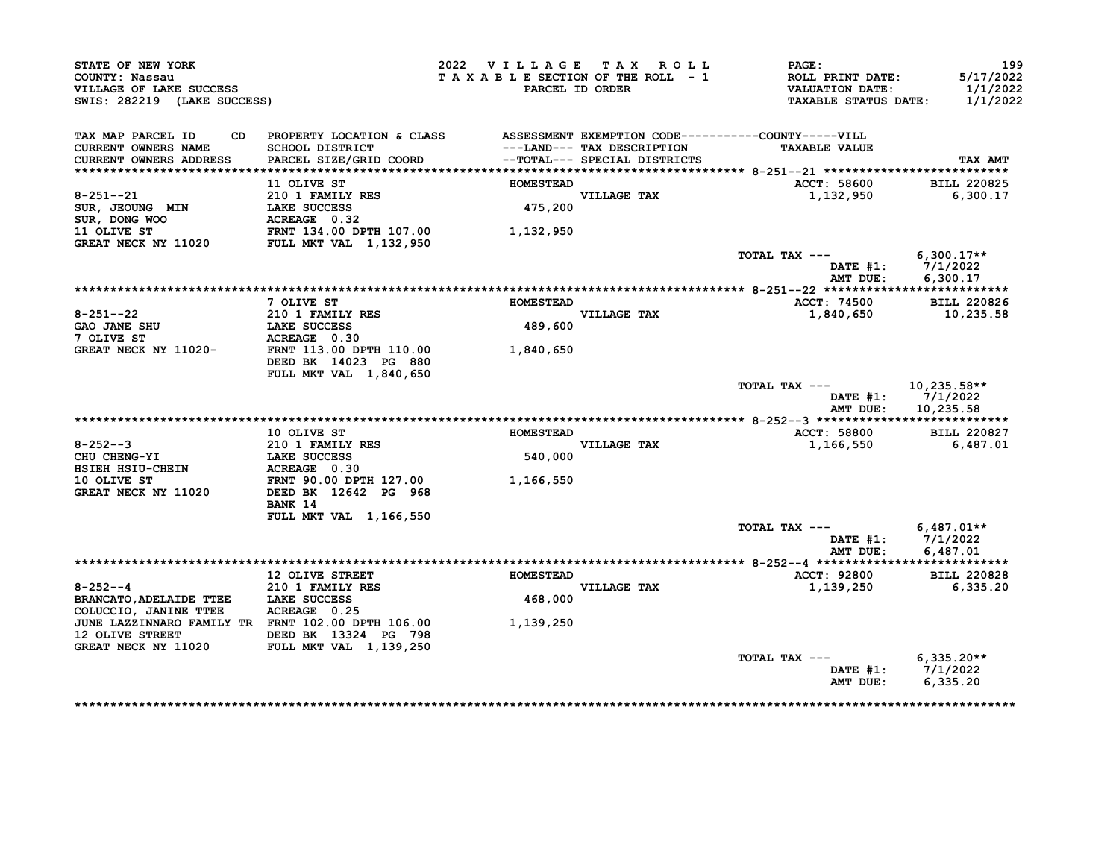| STATE OF NEW YORK<br>COUNTY: Nassau<br>VILLAGE OF LAKE SUCCESS<br>SWIS: 282219 (LAKE SUCCESS) |                                                 | 2022 VILLAGE TAX ROLL<br>TAXABLE SECTION OF THE ROLL - 1<br>PARCEL ID ORDER       | PAGE:<br>ROLL PRINT DATE:<br><b>VALUATION DATE:</b><br><b>TAXABLE STATUS DATE:</b> | 199<br>5/17/2022<br>1/1/2022<br>1/1/2022 |
|-----------------------------------------------------------------------------------------------|-------------------------------------------------|-----------------------------------------------------------------------------------|------------------------------------------------------------------------------------|------------------------------------------|
| TAX MAP PARCEL ID<br>CD.<br>CURRENT OWNERS NAME                                               | PROPERTY LOCATION & CLASS<br>SCHOOL DISTRICT    | ASSESSMENT EXEMPTION CODE-----------COUNTY-----VILL<br>---LAND--- TAX DESCRIPTION | <b>TAXABLE VALUE</b>                                                               |                                          |
| <b>CURRENT OWNERS ADDRESS</b>                                                                 | PARCEL SIZE/GRID COORD                          | --TOTAL--- SPECIAL DISTRICTS                                                      |                                                                                    | TAX AMT                                  |
|                                                                                               | 11 OLIVE ST                                     | <b>HOMESTEAD</b>                                                                  | ACCT: 58600                                                                        | <b>BILL 220825</b>                       |
| $8 - 251 - -21$                                                                               | 210 1 FAMILY RES                                | <b>VILLAGE TAX</b>                                                                | 1,132,950                                                                          | 6,300.17                                 |
| SUR, JEOUNG MIN                                                                               | LAKE SUCCESS                                    | 475,200                                                                           |                                                                                    |                                          |
| SUR, DONG WOO                                                                                 | ACREAGE 0.32                                    |                                                                                   |                                                                                    |                                          |
| 11 OLIVE ST                                                                                   | FRNT 134.00 DPTH 107.00                         | 1,132,950                                                                         |                                                                                    |                                          |
| GREAT NECK NY 11020                                                                           | FULL MKT VAL 1, 132, 950                        |                                                                                   |                                                                                    |                                          |
|                                                                                               |                                                 |                                                                                   | TOTAL TAX ---<br>DATE #1:                                                          | $6,300.17**$<br>7/1/2022                 |
|                                                                                               |                                                 |                                                                                   | AMT DUE:                                                                           | 6,300.17                                 |
|                                                                                               | 7 OLIVE ST                                      | <b>HOMESTEAD</b>                                                                  | <b>ACCT: 74500</b>                                                                 | <b>BILL 220826</b>                       |
| $8 - 251 - -22$                                                                               | 210 1 FAMILY RES                                | VILLAGE TAX                                                                       | 1,840,650                                                                          | 10,235.58                                |
| <b>GAO JANE SHU</b>                                                                           | LAKE SUCCESS                                    | 489,600                                                                           |                                                                                    |                                          |
| 7 OLIVE ST                                                                                    | ACREAGE 0.30                                    |                                                                                   |                                                                                    |                                          |
| GREAT NECK NY 11020-                                                                          | FRNT 113.00 DPTH 110.00<br>DEED BK 14023 PG 880 | 1,840,650                                                                         |                                                                                    |                                          |
|                                                                                               | FULL MKT VAL 1,840,650                          |                                                                                   |                                                                                    |                                          |
|                                                                                               |                                                 |                                                                                   | TOTAL TAX ---<br>DATE #1:<br>AMT DUE:                                              | 10,235.58**<br>7/1/2022<br>10,235.58     |
|                                                                                               |                                                 |                                                                                   |                                                                                    |                                          |
|                                                                                               | 10 OLIVE ST                                     | <b>HOMESTEAD</b>                                                                  | ACCT: 58800                                                                        | <b>BILL 220827</b>                       |
| $8 - 252 - -3$                                                                                | <b>210 1 FAMILY RES</b>                         | VILLAGE TAX                                                                       | 1,166,550                                                                          | 6,487.01                                 |
| CHU CHENG-YI                                                                                  | LAKE SUCCESS                                    | 540,000                                                                           |                                                                                    |                                          |
| HSIEH HSIU-CHEIN                                                                              | ACREAGE 0.30                                    |                                                                                   |                                                                                    |                                          |
| 10 OLIVE ST                                                                                   | FRNT 90.00 DPTH 127.00                          | 1,166,550                                                                         |                                                                                    |                                          |
| GREAT NECK NY 11020                                                                           | DEED BK 12642 PG 968                            |                                                                                   |                                                                                    |                                          |
|                                                                                               | BANK 14                                         |                                                                                   |                                                                                    |                                          |
|                                                                                               | <b>FULL MKT VAL 1,166,550</b>                   |                                                                                   | TOTAL TAX ---                                                                      | $6,487.01**$                             |
|                                                                                               |                                                 |                                                                                   | DATE $#1$ :                                                                        | 7/1/2022                                 |
|                                                                                               |                                                 |                                                                                   | AMT DUE:                                                                           | 6,487.01                                 |
|                                                                                               |                                                 |                                                                                   |                                                                                    |                                          |
|                                                                                               | <b>12 OLIVE STREET</b>                          | <b>HOMESTEAD</b>                                                                  | ACCT: 92800                                                                        | <b>BILL 220828</b>                       |
| $8 - 252 - -4$                                                                                | 210 1 FAMILY RES                                | VILLAGE TAX                                                                       | 1,139,250                                                                          | 6,335.20                                 |
|                                                                                               |                                                 | 468,000                                                                           |                                                                                    |                                          |
| BRANCATO, ADELAIDE TTEE LAKE SUCCESS                                                          |                                                 |                                                                                   |                                                                                    |                                          |
| COLUCCIO, JANINE TTEE                                                                         | ACREAGE 0.25                                    |                                                                                   |                                                                                    |                                          |
| JUNE LAZZINNARO FAMILY TR FRNT 102.00 DPTH 106.00                                             |                                                 | 1,139,250                                                                         |                                                                                    |                                          |
| 12 OLIVE STREET                                                                               | DEED BK 13324 PG 798                            |                                                                                   |                                                                                    |                                          |
| <b>GREAT NECK NY 11020</b>                                                                    | <b>FULL MKT VAL 1,139,250</b>                   |                                                                                   |                                                                                    |                                          |
|                                                                                               |                                                 |                                                                                   | TOTAL TAX ---<br>DATE #1:                                                          | $6,335.20**$<br>7/1/2022                 |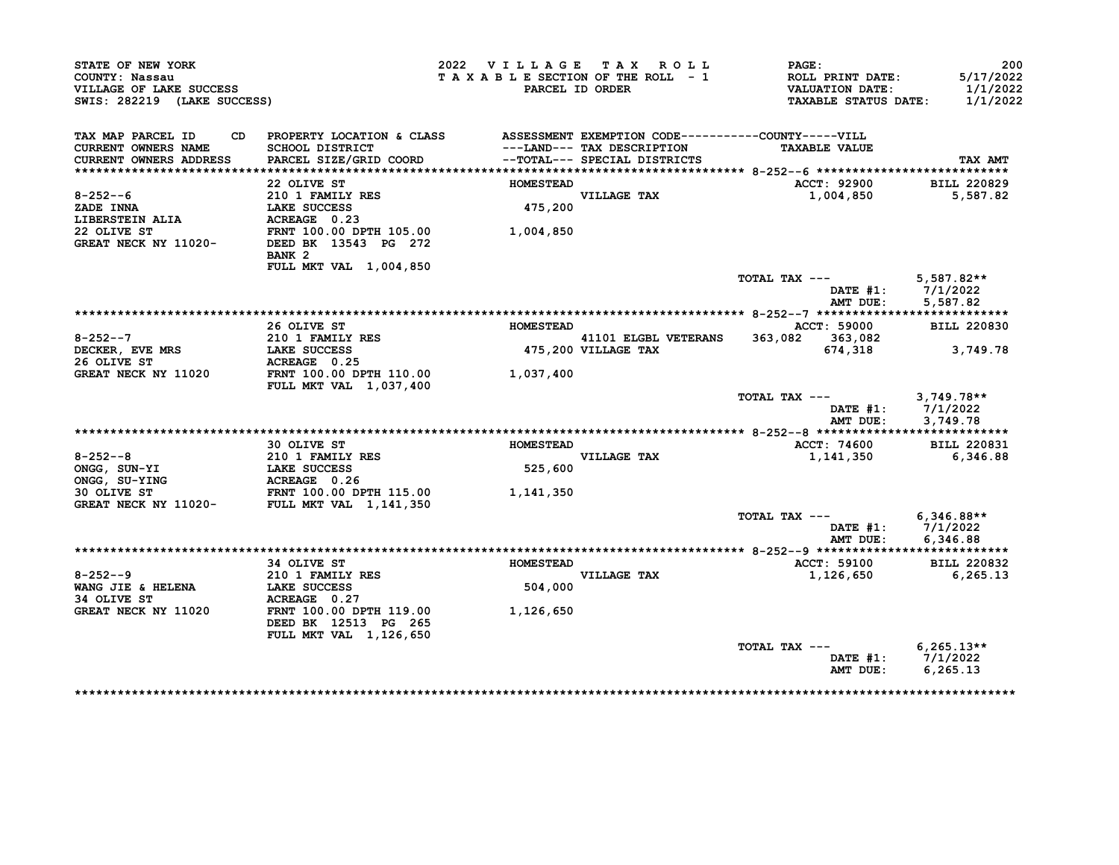| STATE OF NEW YORK<br>COUNTY: Nassau<br>VILLAGE OF LAKE SUCCESS<br>SWIS: 282219 (LAKE SUCCESS) |                                                                                  | 2022 VILLAGE TAX ROLL<br>TAXABLE SECTION OF THE ROLL - 1 | PARCEL ID ORDER                                                                                                  | PAGE:<br>ROLL PRINT DATE:<br><b>VALUATION DATE:</b><br><b>TAXABLE STATUS DATE:</b> | 200<br>5/17/2022<br>1/1/2022<br>1/1/2022 |
|-----------------------------------------------------------------------------------------------|----------------------------------------------------------------------------------|----------------------------------------------------------|------------------------------------------------------------------------------------------------------------------|------------------------------------------------------------------------------------|------------------------------------------|
| TAX MAP PARCEL ID<br>CD.<br>CURRENT OWNERS NAME<br><b>CURRENT OWNERS ADDRESS</b>              | PROPERTY LOCATION & CLASS<br>SCHOOL DISTRICT<br>PARCEL SIZE/GRID COORD           |                                                          | ASSESSMENT EXEMPTION CODE----------COUNTY-----VILL<br>---LAND--- TAX DESCRIPTION<br>--TOTAL--- SPECIAL DISTRICTS | <b>TAXABLE VALUE</b>                                                               | TAX AMT                                  |
|                                                                                               |                                                                                  |                                                          |                                                                                                                  |                                                                                    |                                          |
|                                                                                               | 22 OLIVE ST                                                                      | <b>HOMESTEAD</b>                                         |                                                                                                                  | ACCT: 92900                                                                        | <b>BILL 220829</b>                       |
| $8 - 252 - 6$                                                                                 | 210 1 FAMILY RES                                                                 |                                                          | VILLAGE TAX                                                                                                      | 1,004,850                                                                          | 5,587.82                                 |
| <b>ZADE INNA</b>                                                                              | LAKE SUCCESS                                                                     | 475,200                                                  |                                                                                                                  |                                                                                    |                                          |
| LIBERSTEIN ALIA                                                                               | ACREAGE 0.23                                                                     |                                                          |                                                                                                                  |                                                                                    |                                          |
| 22 OLIVE ST<br>GREAT NECK NY 11020-                                                           | FRNT 100.00 DPTH 105.00<br>DEED BK 13543 PG 272<br>BANK <sub>2</sub>             | 1,004,850                                                |                                                                                                                  |                                                                                    |                                          |
|                                                                                               | FULL MKT VAL 1,004,850                                                           |                                                          |                                                                                                                  |                                                                                    |                                          |
|                                                                                               |                                                                                  |                                                          |                                                                                                                  | TOTAL TAX ---<br>DATE #1:                                                          | 5,587.82**<br>7/1/2022                   |
|                                                                                               |                                                                                  |                                                          |                                                                                                                  | AMT DUE:                                                                           | 5,587.82                                 |
|                                                                                               | 26 OLIVE ST                                                                      | <b>HOMESTEAD</b>                                         |                                                                                                                  | <b>ACCT: 59000</b>                                                                 | <b>BILL 220830</b>                       |
| $8 - 252 - -7$                                                                                | 210 1 FAMILY RES                                                                 |                                                          | 41101 ELGBL VETERANS                                                                                             | 363,082 363,082                                                                    |                                          |
| DECKER, EVE MRS                                                                               | LAKE SUCCESS                                                                     |                                                          | 475,200 VILLAGE TAX                                                                                              | 674,318                                                                            | 3,749.78                                 |
| 26 OLIVE ST                                                                                   | ACREAGE 0.25                                                                     |                                                          |                                                                                                                  |                                                                                    |                                          |
| GREAT NECK NY 11020                                                                           | FRNT 100.00 DPTH 110.00<br><b>FULL MKT VAL 1,037,400</b>                         | 1,037,400                                                |                                                                                                                  |                                                                                    |                                          |
|                                                                                               |                                                                                  |                                                          |                                                                                                                  | TOTAL TAX ---<br>DATE $#1$ :<br>AMT DUE:                                           | $3,749.78**$<br>7/1/2022<br>3,749.78     |
|                                                                                               |                                                                                  |                                                          |                                                                                                                  |                                                                                    |                                          |
|                                                                                               | 30 OLIVE ST                                                                      | <b>HOMESTEAD</b>                                         |                                                                                                                  | ACCT: 74600                                                                        | <b>BILL 220831</b>                       |
| $8 - 252 - -8$                                                                                | 210 1 FAMILY RES                                                                 |                                                          | VILLAGE TAX                                                                                                      | 1,141,350                                                                          | 6,346.88                                 |
| ONGG, SUN-YI                                                                                  | LAKE SUCCESS                                                                     | 525,600                                                  |                                                                                                                  |                                                                                    |                                          |
| ONGG, SU-YING                                                                                 | ACREAGE 0.26                                                                     |                                                          |                                                                                                                  |                                                                                    |                                          |
| 30 OLIVE ST<br>GREAT NECK NY 11020-                                                           | FRNT 100.00 DPTH 115.00<br>FULL MKT VAL 1,141,350                                | 1,141,350                                                |                                                                                                                  |                                                                                    |                                          |
|                                                                                               |                                                                                  |                                                          |                                                                                                                  | TOTAL TAX ---                                                                      | $6,346.88**$                             |
|                                                                                               |                                                                                  |                                                          |                                                                                                                  | AMT DUE:                                                                           | DATE #1: 7/1/2022<br>6,346.88            |
|                                                                                               |                                                                                  |                                                          |                                                                                                                  |                                                                                    |                                          |
| $8 - 252 - -9$                                                                                | 34 OLIVE ST<br>210 1 FAMILY RES                                                  | <b>HOMESTEAD</b>                                         | VILLAGE TAX                                                                                                      | ACCT: 59100<br>1,126,650                                                           | <b>BILL 220832</b><br>6,265.13           |
| WANG JIE & HELENA                                                                             | LAKE SUCCESS                                                                     | 504,000                                                  |                                                                                                                  |                                                                                    |                                          |
| 34 OLIVE ST                                                                                   | ACREAGE 0.27                                                                     |                                                          |                                                                                                                  |                                                                                    |                                          |
| GREAT NECK NY 11020                                                                           | FRNT 100.00 DPTH 119.00<br>DEED BK 12513 PG 265<br><b>FULL MKT VAL 1,126,650</b> | 1,126,650                                                |                                                                                                                  |                                                                                    |                                          |
|                                                                                               |                                                                                  |                                                          |                                                                                                                  | TOTAL TAX ---                                                                      | $6,265.13**$                             |
|                                                                                               |                                                                                  |                                                          |                                                                                                                  | DATE #1:<br>AMT DUE:                                                               | 7/1/2022<br>6,265.13                     |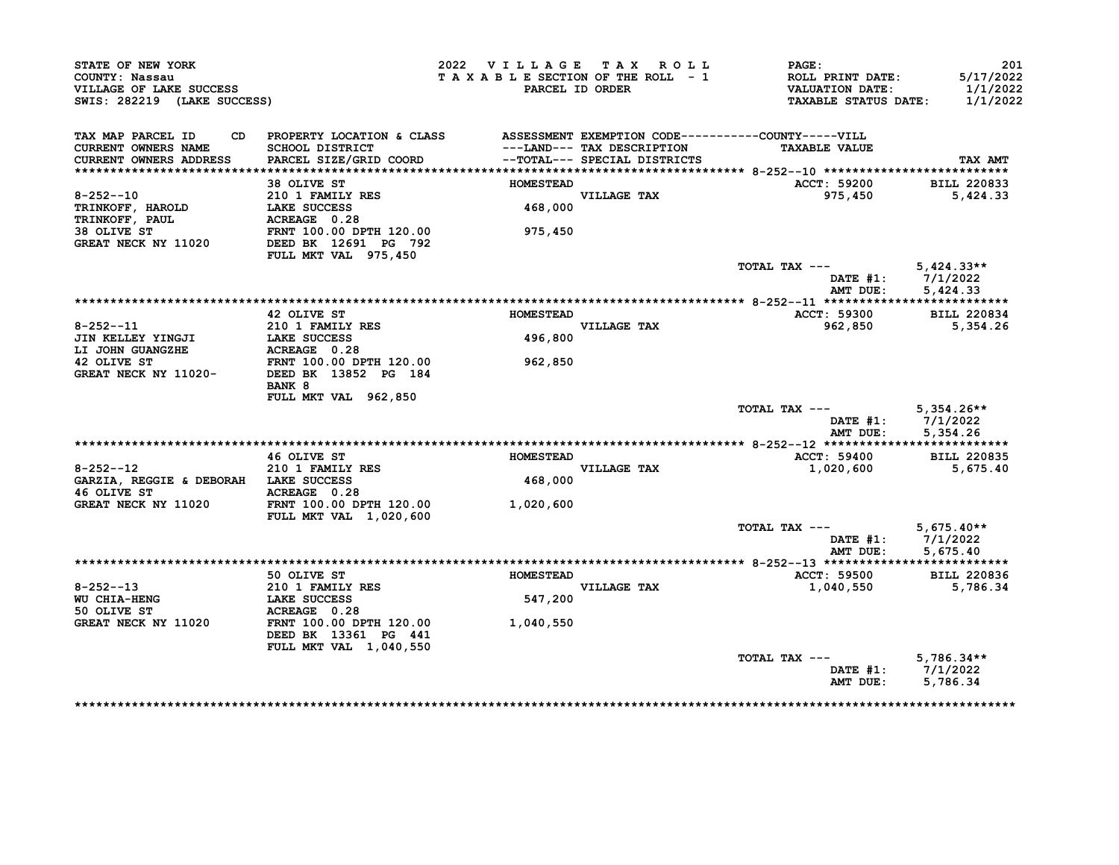| STATE OF NEW YORK<br>COUNTY: Nassau<br>VILLAGE OF LAKE SUCCESS<br>SWIS: 282219 (LAKE SUCCESS) |                                                                                 | 2022 VILLAGE TAX ROLL<br>TAXABLE SECTION OF THE ROLL - 1 | PARCEL ID ORDER              | PAGE:<br>ROLL PRINT DATE:<br><b>VALUATION DATE:</b><br><b>TAXABLE STATUS DATE:</b> | 201<br>5/17/2022<br>1/1/2022<br>1/1/2022 |
|-----------------------------------------------------------------------------------------------|---------------------------------------------------------------------------------|----------------------------------------------------------|------------------------------|------------------------------------------------------------------------------------|------------------------------------------|
| TAX MAP PARCEL ID<br><b>CURRENT OWNERS NAME</b>                                               | CD PROPERTY LOCATION & CLASS ASSESSMENT EXEMPTION CODE----------COUNTY-----VILL |                                                          | ---LAND--- TAX DESCRIPTION   | <b>TAXABLE VALUE</b>                                                               |                                          |
| CURRENT OWNERS ADDRESS                                                                        | SCHOOL DISTRICT<br>PARCEL SIZE/GRID COORD                                       |                                                          | --TOTAL--- SPECIAL DISTRICTS |                                                                                    | TAX AMT                                  |
|                                                                                               |                                                                                 |                                                          |                              |                                                                                    |                                          |
|                                                                                               | 38 OLIVE ST                                                                     | <b>HOMESTEAD</b>                                         |                              | <b>ACCT: 59200</b>                                                                 | <b>BILL 220833</b>                       |
| $8 - 252 - 10$                                                                                | 210 1 FAMILY RES<br>LAKE SUCCESS <sup>----</sup>                                | 468,000                                                  | VILLAGE TAX                  | 975,450                                                                            | 5,424.33                                 |
| <b>TRINKOFF, HAROLD</b><br>TRINKOFF, PAUL                                                     | ACREAGE 0.28                                                                    |                                                          |                              |                                                                                    |                                          |
| 38 OLIVE ST                                                                                   | FRNT 100.00 DPTH 120.00                                                         | 975,450                                                  |                              |                                                                                    |                                          |
| GREAT NECK NY 11020                                                                           | DEED BK 12691 PG 792                                                            |                                                          |                              |                                                                                    |                                          |
|                                                                                               | FULL MKT VAL 975,450                                                            |                                                          |                              |                                                                                    |                                          |
|                                                                                               |                                                                                 |                                                          |                              | TOTAL TAX ---                                                                      | $5,424.33**$                             |
|                                                                                               |                                                                                 |                                                          |                              |                                                                                    | DATE #1: 7/1/2022                        |
|                                                                                               |                                                                                 |                                                          |                              | AMT DUE:                                                                           | 5,424.33                                 |
|                                                                                               |                                                                                 |                                                          |                              |                                                                                    |                                          |
|                                                                                               | 42 OLIVE ST                                                                     | <b>HOMESTEAD</b>                                         |                              | ACCT: 59300                                                                        | <b>BILL 220834</b>                       |
| $8 - 252 - -11$<br>JIN KELLEY YINGJI                                                          | 210 1 FAMILY RES<br>LAKE SUCCESS                                                | 496,800                                                  | VILLAGE TAX                  | 962,850                                                                            | 5,354.26                                 |
| LI JOHN GUANGZHE                                                                              | ACREAGE 0.28                                                                    |                                                          |                              |                                                                                    |                                          |
| 42 OLIVE ST                                                                                   | FRNT 100.00 DPTH 120.00                                                         | 962,850                                                  |                              |                                                                                    |                                          |
| GREAT NECK NY 11020-                                                                          | DEED BK 13852 PG 184                                                            |                                                          |                              |                                                                                    |                                          |
|                                                                                               | BANK 8                                                                          |                                                          |                              |                                                                                    |                                          |
|                                                                                               | FULL MKT VAL 962,850                                                            |                                                          |                              |                                                                                    |                                          |
|                                                                                               |                                                                                 |                                                          |                              | TOTAL TAX ---                                                                      | $5,354.26**$                             |
|                                                                                               |                                                                                 |                                                          |                              |                                                                                    | DATE #1: 7/1/2022                        |
|                                                                                               |                                                                                 |                                                          |                              | AMT DUE:                                                                           | 5,354.26                                 |
|                                                                                               | 46 OLIVE ST                                                                     | <b>HOMESTEAD</b>                                         |                              | ACCT: 59400                                                                        | <b>BILL 220835</b>                       |
| $8 - 252 - -12$                                                                               | 210 1 FAMILY RES                                                                |                                                          | VILLAGE TAX                  | 1,020,600                                                                          | 5,675.40                                 |
| GARZIA, REGGIE & DEBORAH LAKE SUCCESS                                                         |                                                                                 | 468,000                                                  |                              |                                                                                    |                                          |
| 46 OLIVE ST                                                                                   | ACREAGE 0.28                                                                    |                                                          |                              |                                                                                    |                                          |
| GREAT NECK NY 11020                                                                           | FRNT 100.00 DPTH 120.00                                                         | 1,020,600                                                |                              |                                                                                    |                                          |
|                                                                                               | FULL MKT VAL 1,020,600                                                          |                                                          |                              |                                                                                    |                                          |
|                                                                                               |                                                                                 |                                                          |                              | TOTAL TAX ---                                                                      | $5,675.40**$                             |
|                                                                                               |                                                                                 |                                                          |                              |                                                                                    | DATE #1: 7/1/2022                        |
|                                                                                               |                                                                                 |                                                          |                              | AMT DUE:                                                                           | 5,675.40                                 |
|                                                                                               |                                                                                 |                                                          |                              |                                                                                    |                                          |
|                                                                                               | 50 OLIVE ST                                                                     | <b>HOMESTEAD</b>                                         |                              | ACCT: 59500                                                                        | <b>BILL 220836</b>                       |
| $8 - 252 - 13$<br><b>WU CHIA-HENG</b>                                                         | 210 1 FAMILY RES<br><b>LAKE SUCCESS</b>                                         | 547,200                                                  | VILLAGE TAX                  | 1,040,550                                                                          | 5,786.34                                 |
| 50 OLIVE ST                                                                                   | ACREAGE 0.28                                                                    |                                                          |                              |                                                                                    |                                          |
| GREAT NECK NY 11020                                                                           | FRNT 100.00 DPTH 120.00                                                         | 1,040,550                                                |                              |                                                                                    |                                          |
|                                                                                               | DEED BK 13361 PG 441                                                            |                                                          |                              |                                                                                    |                                          |
|                                                                                               | FULL MKT VAL 1,040,550                                                          |                                                          |                              |                                                                                    |                                          |
|                                                                                               |                                                                                 |                                                          |                              | TOTAL TAX ---                                                                      | $5,786.34**$                             |
|                                                                                               |                                                                                 |                                                          |                              |                                                                                    | DATE #1: 7/1/2022                        |
|                                                                                               |                                                                                 |                                                          |                              | AMT DUE:                                                                           | 5,786.34                                 |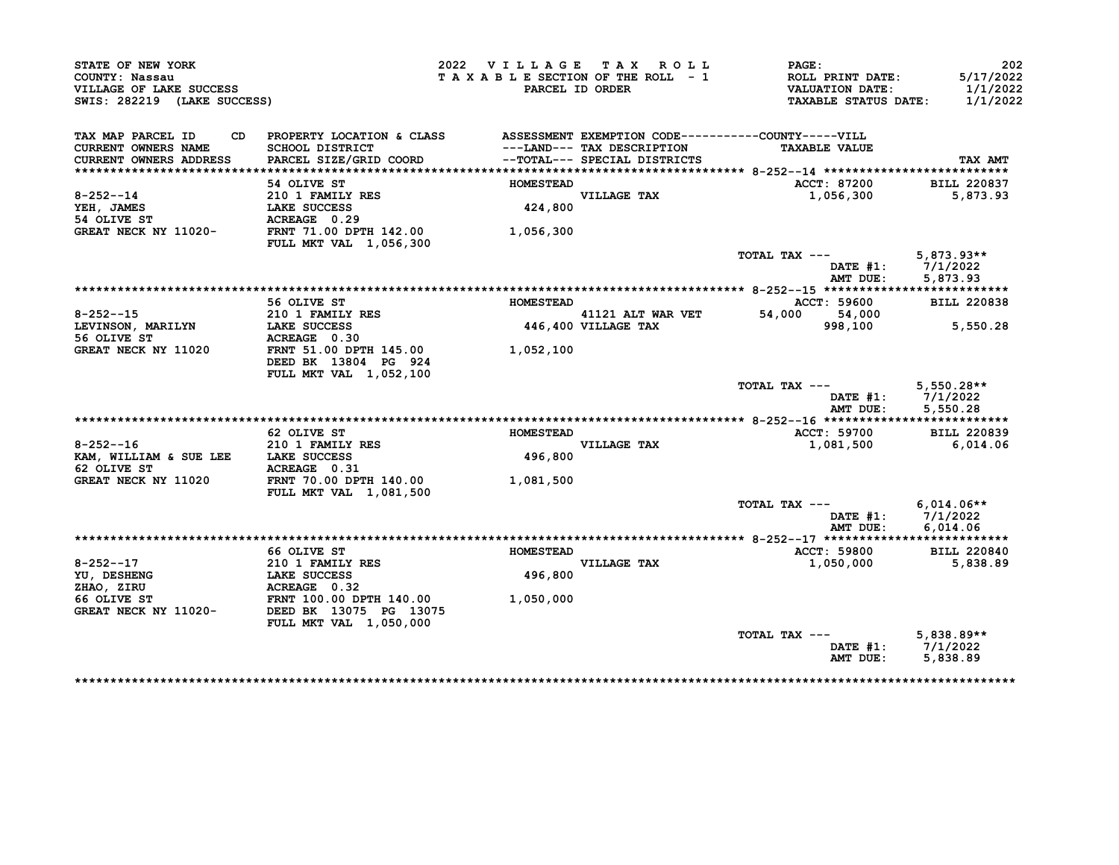| STATE OF NEW YORK<br>COUNTY: Nassau<br>VILLAGE OF LAKE SUCCESS<br>SWIS: 282219 (LAKE SUCCESS) |                                                                             | 2022 VILLAGE TAX ROLL<br>TAXABLE SECTION OF THE ROLL - 1 | PARCEL ID ORDER                                            | PAGE:<br>ROLL PRINT DATE:<br><b>VALUATION DATE:</b><br><b>TAXABLE STATUS DATE:</b> | 202<br>5/17/2022<br>1/1/2022<br>1/1/2022      |
|-----------------------------------------------------------------------------------------------|-----------------------------------------------------------------------------|----------------------------------------------------------|------------------------------------------------------------|------------------------------------------------------------------------------------|-----------------------------------------------|
| TAX MAP PARCEL ID<br>CD.<br>CURRENT OWNERS NAME<br><b>CURRENT OWNERS ADDRESS</b>              | PROPERTY LOCATION & CLASS<br>SCHOOL DISTRICT<br>PARCEL SIZE/GRID COORD      |                                                          | ---LAND--- TAX DESCRIPTION<br>--TOTAL--- SPECIAL DISTRICTS | ASSESSMENT EXEMPTION CODE----------COUNTY-----VILL<br><b>TAXABLE VALUE</b>         | TAX AMT                                       |
|                                                                                               | 54 OLIVE ST                                                                 | <b>HOMESTEAD</b>                                         |                                                            | ACCT: 87200                                                                        | <b>BILL 220837</b>                            |
| $8 - 252 - -14$<br>YEH, JAMES<br>54 OLIVE ST                                                  | 210 1 FAMILY RES<br>LAKE SUCCESS<br>ACREAGE 0.29                            |                                                          | VILLAGE TAX<br>424,800                                     | 1,056,300                                                                          | 5,873.93                                      |
| GREAT NECK NY 11020-                                                                          | FRNT 71.00 DPTH 142.00<br>FULL MKT VAL 1,056,300                            | 1,056,300                                                |                                                            |                                                                                    |                                               |
|                                                                                               |                                                                             |                                                          |                                                            | TOTAL TAX ---<br>$\mathtt{DATE}$ #1:<br>AMT DUE:                                   | $5,873.93**$<br>7/1/2022<br>5,873.93          |
|                                                                                               |                                                                             |                                                          |                                                            |                                                                                    |                                               |
|                                                                                               | 56 OLIVE ST                                                                 | <b>HOMESTEAD</b>                                         |                                                            | ACCT: 59600                                                                        | <b>BILL 220838</b>                            |
| $8 - 252 - 15$                                                                                | 210 1 FAMILY RES                                                            |                                                          | 41121 ALT WAR VET                                          | 54,000<br>54,000                                                                   |                                               |
| LEVINSON, MARILYN<br>56 OLIVE ST                                                              | LAKE SUCCESS<br>ACREAGE 0.30                                                |                                                          | 446,400 VILLAGE TAX                                        | 998,100                                                                            | 5,550.28                                      |
| GREAT NECK NY 11020                                                                           | FRNT 51.00 DPTH 145.00<br>DEED BK 13804 PG 924<br>FULL MKT VAL 1,052,100    | 1,052,100                                                |                                                            |                                                                                    |                                               |
|                                                                                               |                                                                             |                                                          |                                                            | TOTAL TAX ---<br>AMT DUE:                                                          | $5,550.28**$<br>DATE #1: 7/1/2022<br>5,550.28 |
|                                                                                               |                                                                             |                                                          |                                                            |                                                                                    |                                               |
| $8 - 252 - -16$                                                                               | 62 OLIVE ST<br>210 1 FAMILY RES                                             | <b>HOMESTEAD</b>                                         | VILLAGE TAX                                                | <b>ACCT: 59700</b><br>1,081,500                                                    | <b>BILL 220839</b><br>6,014.06                |
| KAM, WILLIAM & SUE LEE<br>62 OLIVE ST                                                         | <b>LAKE SUCCESS</b><br>ACREAGE 0.31                                         | 496,800                                                  |                                                            |                                                                                    |                                               |
| <b>GREAT NECK NY 11020</b>                                                                    | FRNT 70.00 DPTH 140.00<br><b>FULL MKT VAL 1,081,500</b>                     | 1,081,500                                                |                                                            |                                                                                    |                                               |
|                                                                                               |                                                                             |                                                          |                                                            | TOTAL TAX ---<br>DATE #1:<br>AMT DUE:                                              | $6.014.06**$<br>7/1/2022<br>6,014.06          |
|                                                                                               |                                                                             |                                                          |                                                            |                                                                                    |                                               |
|                                                                                               | 66 OLIVE ST                                                                 | <b>HOMESTEAD</b>                                         |                                                            | ACCT: 59800                                                                        | <b>BILL 220840</b>                            |
| $8 - 252 - -17$<br>YU, DESHENG<br>ZHAO, ZIRU                                                  | 210 1 FAMILY RES<br><b>LAKE SUCCESS</b><br>ACREAGE 0.32                     | 496,800                                                  | VILLAGE TAX                                                | 1,050,000                                                                          | 5,838.89                                      |
| 66 OLIVE ST<br>GREAT NECK NY 11020-                                                           | FRNT 100.00 DPTH 140.00<br>DEED BK 13075 PG 13075<br>FULL MKT VAL 1,050,000 | 1,050,000                                                |                                                            |                                                                                    |                                               |
|                                                                                               |                                                                             |                                                          |                                                            | TOTAL TAX ---<br>DATE $#1$ :<br>AMT DUE:                                           | $5,838.89**$<br>7/1/2022<br>5,838.89          |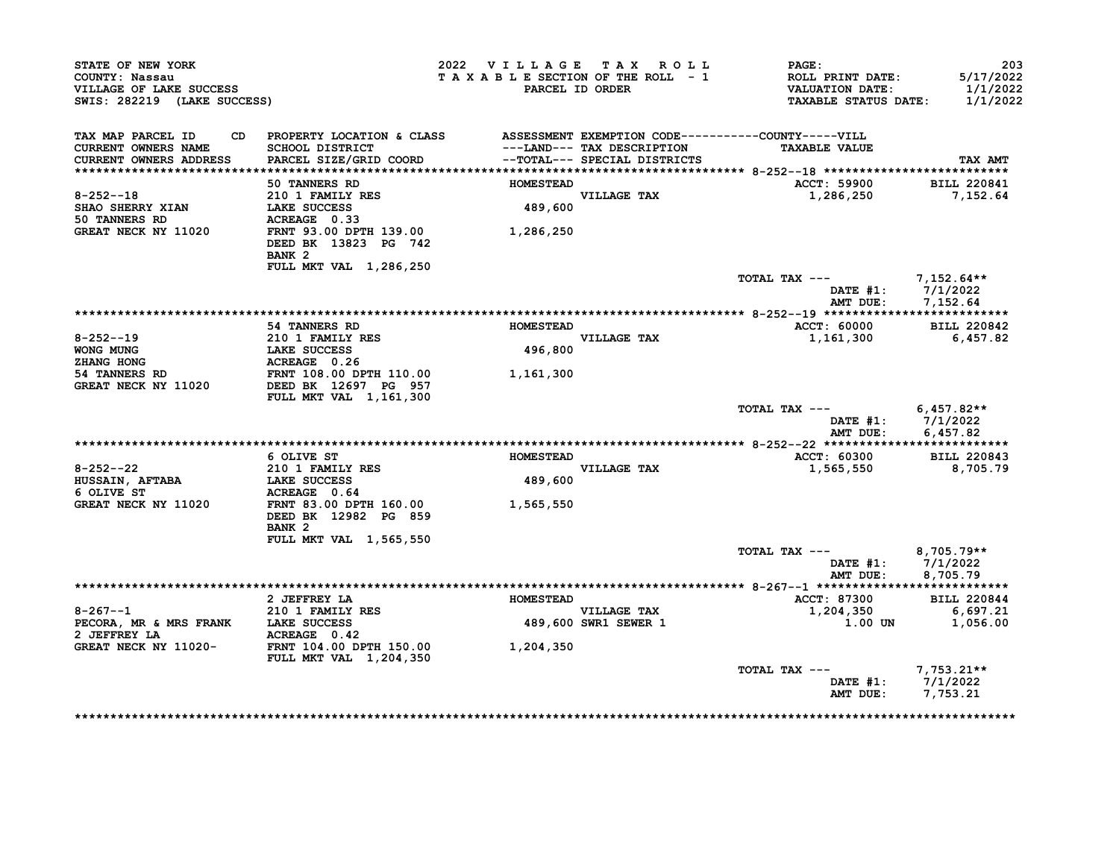| STATE OF NEW YORK<br>COUNTY: Nassau<br>VILLAGE OF LAKE SUCCESS<br>SWIS: 282219 (LAKE SUCCESS) |                                                                                                                                     | 2022 VILLAGE TAX ROLL<br>TAXABLE SECTION OF THE ROLL - 1 | PARCEL ID ORDER                                            | <b>PAGE:</b><br><b>ROLL PRINT DATE:</b><br><b>VALUATION DATE:</b><br><b>TAXABLE STATUS DATE:</b> | 203<br>5/17/2022<br>1/1/2022<br>1/1/2022        |
|-----------------------------------------------------------------------------------------------|-------------------------------------------------------------------------------------------------------------------------------------|----------------------------------------------------------|------------------------------------------------------------|--------------------------------------------------------------------------------------------------|-------------------------------------------------|
| TAX MAP PARCEL ID<br><b>CURRENT OWNERS NAME</b><br>CURRENT OWNERS ADDRESS                     | CD PROPERTY LOCATION & CLASS ASSESSMENT EXEMPTION CODE----------COUNTY-----VILL<br><b>SCHOOL DISTRICT</b><br>PARCEL SIZE/GRID COORD |                                                          | ---LAND--- TAX DESCRIPTION<br>--TOTAL--- SPECIAL DISTRICTS | <b>TAXABLE VALUE</b>                                                                             | TAX AMT                                         |
|                                                                                               | 50 TANNERS RD                                                                                                                       | <b>HOMESTEAD</b>                                         |                                                            | ACCT: 59900                                                                                      | <b>BILL 220841</b>                              |
| $8 - 252 - -18$<br><b>SHAO SHERRY XIAN</b><br>50 TANNERS RD                                   | 210 1 FAMILY RES<br>LAKE SUCCESS<br>ACREAGE 0.33                                                                                    | 489,600                                                  | VILLAGE TAX                                                | 1,286,250                                                                                        | 7,152.64                                        |
| GREAT NECK NY 11020                                                                           | FRNT 93.00 DPTH 139.00<br>DEED BK 13823 PG 742<br>BANK <sub>2</sub><br><b>FULL MKT VAL 1,286,250</b>                                | 1,286,250                                                |                                                            |                                                                                                  |                                                 |
|                                                                                               |                                                                                                                                     |                                                          |                                                            | TOTAL TAX $---$ 7,152.64**                                                                       | DATE #1: 7/1/2022                               |
|                                                                                               |                                                                                                                                     |                                                          |                                                            | AMT DUE:                                                                                         | 7,152.64                                        |
|                                                                                               | 54 TANNERS RD                                                                                                                       | <b>HOMESTEAD</b>                                         |                                                            | <b>ACCT: 60000</b>                                                                               | <b>BILL 220842</b>                              |
| $8 - 252 - 19$                                                                                | 210 1 FAMILY RES                                                                                                                    |                                                          | <b>VILLAGE TAX</b>                                         | 1,161,300                                                                                        | 6,457.82                                        |
| WONG MUNG                                                                                     | <b>LAKE SUCCESS</b>                                                                                                                 | 496,800                                                  |                                                            |                                                                                                  |                                                 |
| ZHANG HONG                                                                                    | ACREAGE 0.26                                                                                                                        |                                                          |                                                            |                                                                                                  |                                                 |
| 54 TANNERS RD<br>GREAT NECK NY 11020                                                          | FRNT 108.00 DPTH 110.00<br>DEED BK 12697 PG 957<br>FULL MKT VAL 1,161,300                                                           | 1,161,300                                                |                                                            |                                                                                                  |                                                 |
|                                                                                               |                                                                                                                                     |                                                          |                                                            | TOTAL TAX ---<br>AMT DUE:                                                                        | $6,457.82**$<br>DATE $#1: 7/1/2022$<br>6,457.82 |
|                                                                                               |                                                                                                                                     |                                                          |                                                            |                                                                                                  |                                                 |
|                                                                                               | 6 OLIVE ST                                                                                                                          | <b>HOMESTEAD</b>                                         |                                                            | ACCT: 60300                                                                                      | <b>BILL 220843</b>                              |
| $8 - 252 - -22$                                                                               | 210 1 FAMILY RES                                                                                                                    |                                                          | VILLAGE TAX                                                | 1,565,550                                                                                        | 8,705.79                                        |
| <b>HUSSAIN, AFTABA</b><br>6 OLIVE ST                                                          | <b>LAKE SUCCESS</b><br>ACREAGE 0.64                                                                                                 | 489,600                                                  |                                                            |                                                                                                  |                                                 |
| GREAT NECK NY 11020                                                                           | FRNT 83.00 DPTH 160.00<br>DEED BK 12982 PG 859<br>BANK <sub>2</sub>                                                                 | 1,565,550                                                |                                                            |                                                                                                  |                                                 |
|                                                                                               | FULL MKT VAL 1,565,550                                                                                                              |                                                          |                                                            |                                                                                                  |                                                 |
|                                                                                               |                                                                                                                                     |                                                          |                                                            | TOTAL TAX ---<br>AMT DUE:                                                                        | 8,705.79**<br>DATE $#1: 7/1/2022$<br>8,705.79   |
|                                                                                               |                                                                                                                                     |                                                          |                                                            |                                                                                                  |                                                 |
| $8 - 267 - -1$                                                                                | 2 JEFFREY LA                                                                                                                        | <b>HOMESTEAD</b>                                         |                                                            | ACCT: 87300                                                                                      | <b>BILL 220844</b><br>6,697.21                  |
| PECORA, MR & MRS FRANK LAKE SUCCESS<br>2 JEFFREY LA                                           | <b>210 1 FAMILY RES</b>                                                                                                             |                                                          | VILLAGE TAX<br>489,600 SWR1 SEWER 1                        | 1,204,350<br>1.00 UN                                                                             | 1,056.00                                        |
| GREAT NECK NY 11020-                                                                          | <b>ACREAGE</b> 0.42<br>FRNT   104.00 DPTH   150.00<br><b>FULL MKT VAL 1,204,350</b>                                                 | 1,204,350                                                |                                                            |                                                                                                  |                                                 |
|                                                                                               |                                                                                                                                     |                                                          |                                                            | TOTAL TAX ---<br>DATE $#1$ :<br>AMT DUE:                                                         | $7,753.21**$<br>7/1/2022<br>7,753.21            |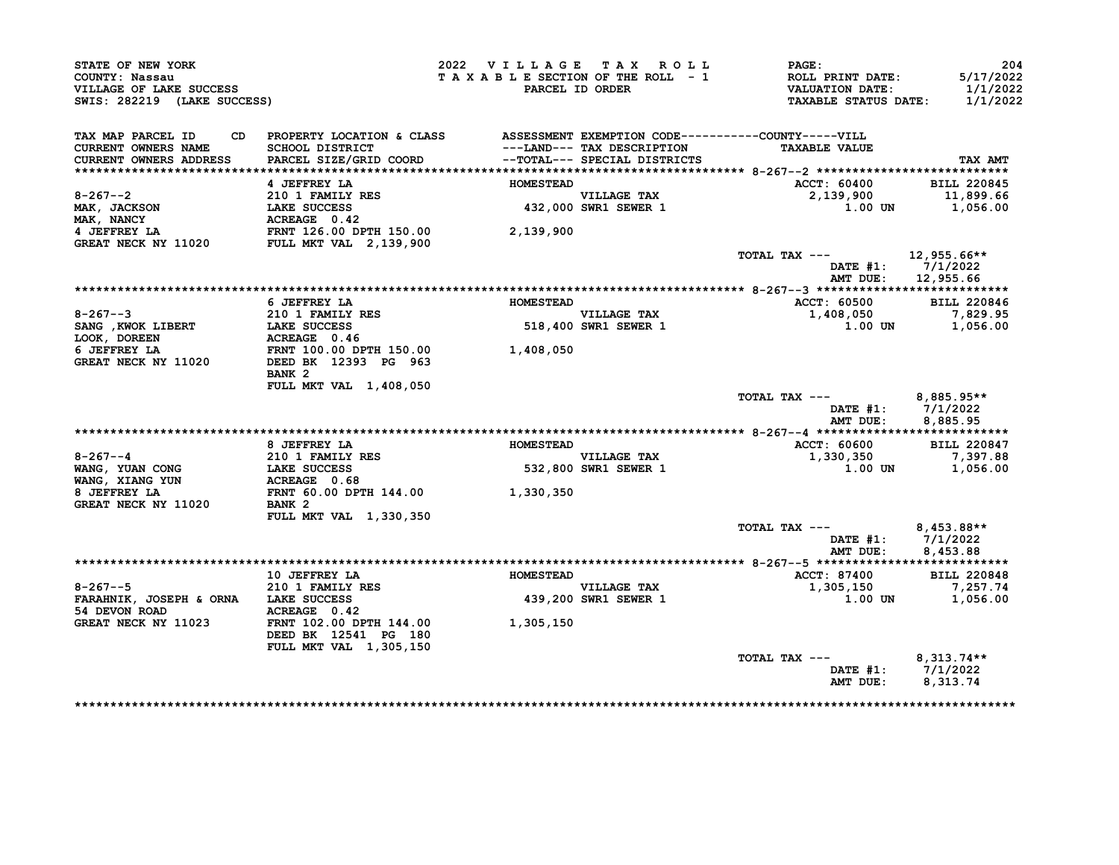| STATE OF NEW YORK<br>COUNTY: Nassau<br>VILLAGE OF LAKE SUCCESS<br>SWIS: 282219 (LAKE SUCCESS)                                                                                             |                                                                                                                                                     | 2022 VILLAGE TAX ROLL |                                                           | PAGE:<br>T A X A B L E SECTION OF THE ROLL - 1 ROLL PRINT DATE:<br>PARCEL ID ORDER VALUATION DATE:<br>TAXABLE STATUS DATE: | 204<br>5/17/2022<br>1/1/2022<br>1/1/2022 |
|-------------------------------------------------------------------------------------------------------------------------------------------------------------------------------------------|-----------------------------------------------------------------------------------------------------------------------------------------------------|-----------------------|-----------------------------------------------------------|----------------------------------------------------------------------------------------------------------------------------|------------------------------------------|
| TAX MAP PARCEL ID                                                                                                                                                                         | CD PROPERTY LOCATION & CLASS ASSESSMENT EXEMPTION CODE----------COUNTY-----VILL                                                                     |                       |                                                           |                                                                                                                            |                                          |
| CURRENT OWNERS NAME                                                                                                                                                                       | SCHOOL DISTRICT                                     ---LAND--- TAX DESCRIPTION<br>PARCEL SIZE/GRID COORD               --TOTAL--- SPECIAL DISTRICTS |                       |                                                           | <b>TAXABLE VALUE</b>                                                                                                       |                                          |
| <b>CURRENT OWNERS ADDRESS</b>                                                                                                                                                             |                                                                                                                                                     |                       |                                                           |                                                                                                                            | TAX AMT                                  |
|                                                                                                                                                                                           | 4 JEFFREY LA                                                                                                                                        | <b>HOMESTEAD</b>      |                                                           | <b>ACCT: 60400</b>                                                                                                         | <b>BILL 220845</b>                       |
| 8-267--2<br>MAK, JACKSON 210 1 FAMILY RES<br>MAK, JACKSON LAKE SUCCESS 432,000<br>432,000<br>4 JEFFREY LA FRNT 126.00 DPTH 150.00 2,139,900<br>GREAT NECK NY 11020 FULL MKT VAL 2,139,900 |                                                                                                                                                     |                       |                                                           | 2,139,900                                                                                                                  | 11,899.66                                |
|                                                                                                                                                                                           |                                                                                                                                                     |                       | VILLAGE TAX<br>432,000 SWR1 SEWER 1                       | $1.00$ UN $1,056.00$                                                                                                       |                                          |
|                                                                                                                                                                                           |                                                                                                                                                     |                       |                                                           |                                                                                                                            |                                          |
|                                                                                                                                                                                           |                                                                                                                                                     |                       |                                                           |                                                                                                                            |                                          |
|                                                                                                                                                                                           |                                                                                                                                                     |                       |                                                           |                                                                                                                            |                                          |
|                                                                                                                                                                                           |                                                                                                                                                     |                       |                                                           | TOTAL TAX --- $12,955.66**$                                                                                                | DATE #1: 7/1/2022                        |
|                                                                                                                                                                                           |                                                                                                                                                     |                       |                                                           |                                                                                                                            | AMT DUE: 12,955.66                       |
|                                                                                                                                                                                           |                                                                                                                                                     |                       |                                                           |                                                                                                                            |                                          |
|                                                                                                                                                                                           | 6 JEFFREY LA                                                                                                                                        | <b>HOMESTEAD</b>      |                                                           | ACCT: 60500                                                                                                                | <b>BILL 220846</b>                       |
|                                                                                                                                                                                           |                                                                                                                                                     |                       | <b>VILLAGE TAX</b><br>VILLAGE TAX<br>518,400 SWR1 SEWER 1 | $1,408,050$<br>1.00 UN 1,056.00                                                                                            |                                          |
|                                                                                                                                                                                           |                                                                                                                                                     |                       |                                                           |                                                                                                                            |                                          |
|                                                                                                                                                                                           |                                                                                                                                                     |                       |                                                           |                                                                                                                            |                                          |
| 8-267--3<br>SANG , KWOK LIBERT<br>LAKE SUCCESS<br>LOOK, DOREEN<br>6 JEFFREY LA FRNT 100.00 DPTH 150.00<br>GREAT NECK NY 11020<br>DEED BK 12393 PG 963<br>1,408,050                        |                                                                                                                                                     |                       |                                                           |                                                                                                                            |                                          |
|                                                                                                                                                                                           | BANK <sub>2</sub>                                                                                                                                   |                       |                                                           |                                                                                                                            |                                          |
|                                                                                                                                                                                           | FULL MKT VAL 1,408,050                                                                                                                              |                       |                                                           |                                                                                                                            |                                          |
|                                                                                                                                                                                           |                                                                                                                                                     |                       |                                                           | TOTAL TAX --- 8,885.95**                                                                                                   |                                          |
|                                                                                                                                                                                           |                                                                                                                                                     |                       |                                                           |                                                                                                                            | DATE #1: 7/1/2022                        |
|                                                                                                                                                                                           |                                                                                                                                                     |                       |                                                           |                                                                                                                            | AMT DUE: 8,885.95                        |
|                                                                                                                                                                                           |                                                                                                                                                     |                       |                                                           |                                                                                                                            |                                          |
|                                                                                                                                                                                           | 8 JEFFREY LA                                                                                                                                        | <b>HOMESTEAD</b>      |                                                           | ACCT: 60600 BILL 220847                                                                                                    |                                          |
| $8 - 267 - -4$                                                                                                                                                                            | 210 1 FAMILY RES<br>LAKE SUCCESS<br>ACREAGE 0.68                                                                                                    |                       | VILLAGE TAX<br>532,800 SWR1 SEWER 1                       | 1,330,350                                                                                                                  | 7,397.88                                 |
| WANG, YUAN CONG<br>WANG, XIANG YUN                                                                                                                                                        |                                                                                                                                                     |                       |                                                           |                                                                                                                            | 1.00 UN 1,056.00                         |
|                                                                                                                                                                                           |                                                                                                                                                     |                       |                                                           |                                                                                                                            |                                          |
| 8 JEFFREY LA                                                                                                                                                                              | FRNT 60.00 DPTH 144.00 1,330,350                                                                                                                    |                       |                                                           |                                                                                                                            |                                          |
| GREAT NECK NY 11020                                                                                                                                                                       | BANK 2                                                                                                                                              |                       |                                                           |                                                                                                                            |                                          |
|                                                                                                                                                                                           | <b>FULL MKT VAL 1,330,350</b>                                                                                                                       |                       |                                                           |                                                                                                                            |                                          |
|                                                                                                                                                                                           |                                                                                                                                                     |                       |                                                           | TOTAL TAX $---$ 8,453.88**                                                                                                 |                                          |
|                                                                                                                                                                                           |                                                                                                                                                     |                       |                                                           |                                                                                                                            | DATE #1: 7/1/2022                        |
|                                                                                                                                                                                           |                                                                                                                                                     |                       |                                                           |                                                                                                                            | AMT DUE: 8,453.88                        |
|                                                                                                                                                                                           |                                                                                                                                                     |                       |                                                           | <b>ACCT: 87400</b>                                                                                                         | <b>BILL 220848</b>                       |
|                                                                                                                                                                                           | 10 JEFFREY LA <b>MESTEAD</b>                                                                                                                        |                       |                                                           | 1,305,150                                                                                                                  | 7,257.74                                 |
|                                                                                                                                                                                           |                                                                                                                                                     |                       | VILLAGE TAX<br>439,200 SWR1 SEWER 1                       |                                                                                                                            | 1.00 UN 1,056.00                         |
|                                                                                                                                                                                           |                                                                                                                                                     |                       |                                                           |                                                                                                                            |                                          |
|                                                                                                                                                                                           |                                                                                                                                                     |                       |                                                           |                                                                                                                            |                                          |
|                                                                                                                                                                                           | DEED BK 12541 PG 180                                                                                                                                |                       |                                                           |                                                                                                                            |                                          |
|                                                                                                                                                                                           | FULL MKT VAL 1,305,150                                                                                                                              |                       |                                                           |                                                                                                                            |                                          |
|                                                                                                                                                                                           |                                                                                                                                                     |                       |                                                           |                                                                                                                            |                                          |
|                                                                                                                                                                                           |                                                                                                                                                     |                       |                                                           | TOTAL TAX ---                                                                                                              | $8,313.74**$                             |
|                                                                                                                                                                                           |                                                                                                                                                     |                       |                                                           |                                                                                                                            | DATE #1: 7/1/2022                        |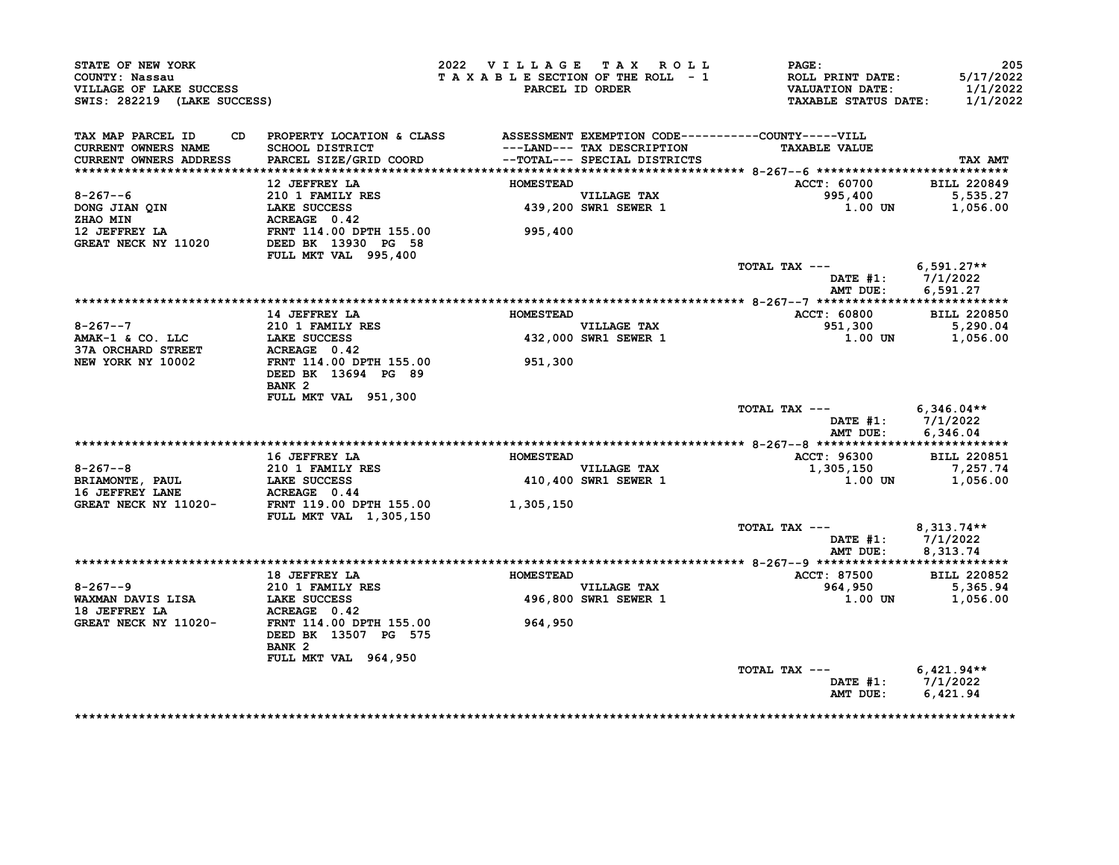| STATE OF NEW YORK<br>COUNTY: Nassau<br>VILLAGE OF LAKE SUCCESS<br>SWIS: 282219 (LAKE SUCCESS) |                                                                                                                                     | 2022 VILLAGE TAX ROLL<br>TAXABLE SECTION OF THE ROLL - 1 | PARCEL ID ORDER                                            | PAGE:<br>ROLL PRINT DATE:<br><b>VALUATION DATE:</b><br><b>TAXABLE STATUS DATE:</b> | 205<br>5/17/2022<br>1/1/2022<br>1/1/2022             |
|-----------------------------------------------------------------------------------------------|-------------------------------------------------------------------------------------------------------------------------------------|----------------------------------------------------------|------------------------------------------------------------|------------------------------------------------------------------------------------|------------------------------------------------------|
| TAX MAP PARCEL ID<br><b>CURRENT OWNERS NAME</b><br><b>CURRENT OWNERS ADDRESS</b>              | CD PROPERTY LOCATION & CLASS ASSESSMENT EXEMPTION CODE----------COUNTY-----VILL<br><b>SCHOOL DISTRICT</b><br>PARCEL SIZE/GRID COORD |                                                          | ---LAND--- TAX DESCRIPTION<br>--TOTAL--- SPECIAL DISTRICTS | <b>TAXABLE VALUE</b>                                                               | TAX AMT                                              |
|                                                                                               | 12 JEFFREY LA                                                                                                                       | <b>HOMESTEAD</b>                                         |                                                            | ACCT: 60700                                                                        | <b>BILL 220849</b>                                   |
| $8 - 267 - -6$<br>DONG JIAN QIN<br><b>ZHAO MIN</b>                                            | 210 1 FAMILY RES<br>LAKE SUCCESS<br>ACREAGE 0.42                                                                                    |                                                          | VILLAGE TAX<br>439,200 SWR1 SEWER 1                        | 995,400<br>1.00 UN                                                                 | 5,535.27<br>1,056.00                                 |
| 12 JEFFREY LA<br>GREAT NECK NY 11020                                                          | FRNT 114.00 DPTH 155.00<br>DEED BK 13930 PG 58<br>FULL MKT VAL 995,400                                                              | 995,400                                                  |                                                            |                                                                                    |                                                      |
|                                                                                               |                                                                                                                                     |                                                          |                                                            | TOTAL TAX ---<br>AMT DUE:                                                          | $6,591.27**$<br>DATE #1: 7/1/2022<br>6,591.27        |
|                                                                                               |                                                                                                                                     |                                                          |                                                            |                                                                                    |                                                      |
|                                                                                               | 14 JEFFREY LA                                                                                                                       | <b>HOMESTEAD</b>                                         |                                                            | <b>ACCT: 60800</b>                                                                 | <b>BILL 220850</b>                                   |
| $8 - 267 - -7$<br>AMAK-1 & CO. LLC                                                            | <b>210 1 FAMILY RES</b><br>LAKE SUCCESS                                                                                             |                                                          | <b>VILLAGE TAX</b>                                         | 951,300<br>1.00 UN                                                                 | 5,290.04                                             |
| <b>37A ORCHARD STREET</b>                                                                     | ACREAGE 0.42                                                                                                                        |                                                          | 432,000 SWR1 SEWER 1                                       |                                                                                    | 1,056.00                                             |
| NEW YORK NY 10002                                                                             | <b>FRNT 114.00 DPTH 155.00</b><br>DEED BK 13694 PG 89<br>BANK <sub>2</sub>                                                          | 951,300                                                  |                                                            |                                                                                    |                                                      |
|                                                                                               | FULL MKT VAL 951,300                                                                                                                |                                                          |                                                            | TOTAL TAX ---                                                                      | $6,346.04**$<br>DATE #1: 7/1/2022                    |
|                                                                                               |                                                                                                                                     |                                                          |                                                            | AMT DUE:                                                                           | 6,346.04                                             |
|                                                                                               | 16 JEFFREY LA                                                                                                                       | <b>HOMESTEAD</b>                                         |                                                            |                                                                                    | <b>BILL 220851</b>                                   |
| $8 - 267 - -8$                                                                                | 210 1 FAMILY RES                                                                                                                    |                                                          | <b>VILLAGE TAX</b>                                         | ACCT: 96300<br>1,305,150                                                           | 7,257.74                                             |
| BRIAMONTE, PAUL<br>16 JEFFREY LANE                                                            | LAKE SUCCESS<br>ACREAGE 0.44                                                                                                        |                                                          | 410,400 SWR1 SEWER 1                                       | <b>1.00 UN</b>                                                                     | 1,056.00                                             |
| GREAT NECK NY 11020-                                                                          | FRNT 119.00 DPTH 155.00<br>FULL MKT VAL 1,305,150                                                                                   | 1,305,150                                                |                                                            |                                                                                    |                                                      |
|                                                                                               |                                                                                                                                     |                                                          |                                                            | TOTAL TAX $---$                                                                    | 8,313.74**<br>DATE #1: 7/1/2022<br>AMT DUE: 8,313.74 |
|                                                                                               |                                                                                                                                     | <b>HOMESTEAD</b>                                         |                                                            |                                                                                    |                                                      |
| $8 - 267 - -9$                                                                                | 18 JEFFREY LA<br>210 1 FAMILY RES                                                                                                   |                                                          | <b>VILLAGE TAX</b>                                         | <b>ACCT: 87500</b><br>964,950                                                      | <b>BILL 220852</b><br>5,365.94                       |
| WAXMAN DAVIS LISA<br>18 JEFFREY LA                                                            | LAKE SUCCESS<br>ACREAGE 0.42                                                                                                        |                                                          | 496,800 SWR1 SEWER 1                                       | 1.00 UN                                                                            | 1,056.00                                             |
| GREAT NECK NY 11020-                                                                          | FRNT 114.00 DPTH 155.00<br>DEED BK 13507 PG 575<br>BANK <sub>2</sub>                                                                | 964,950                                                  |                                                            |                                                                                    |                                                      |
|                                                                                               | FULL MKT VAL 964,950                                                                                                                |                                                          |                                                            | TOTAL TAX ---                                                                      | $6,421.94**$                                         |
|                                                                                               |                                                                                                                                     |                                                          |                                                            | AMT DUE:                                                                           | DATE #1: 7/1/2022<br>6,421.94                        |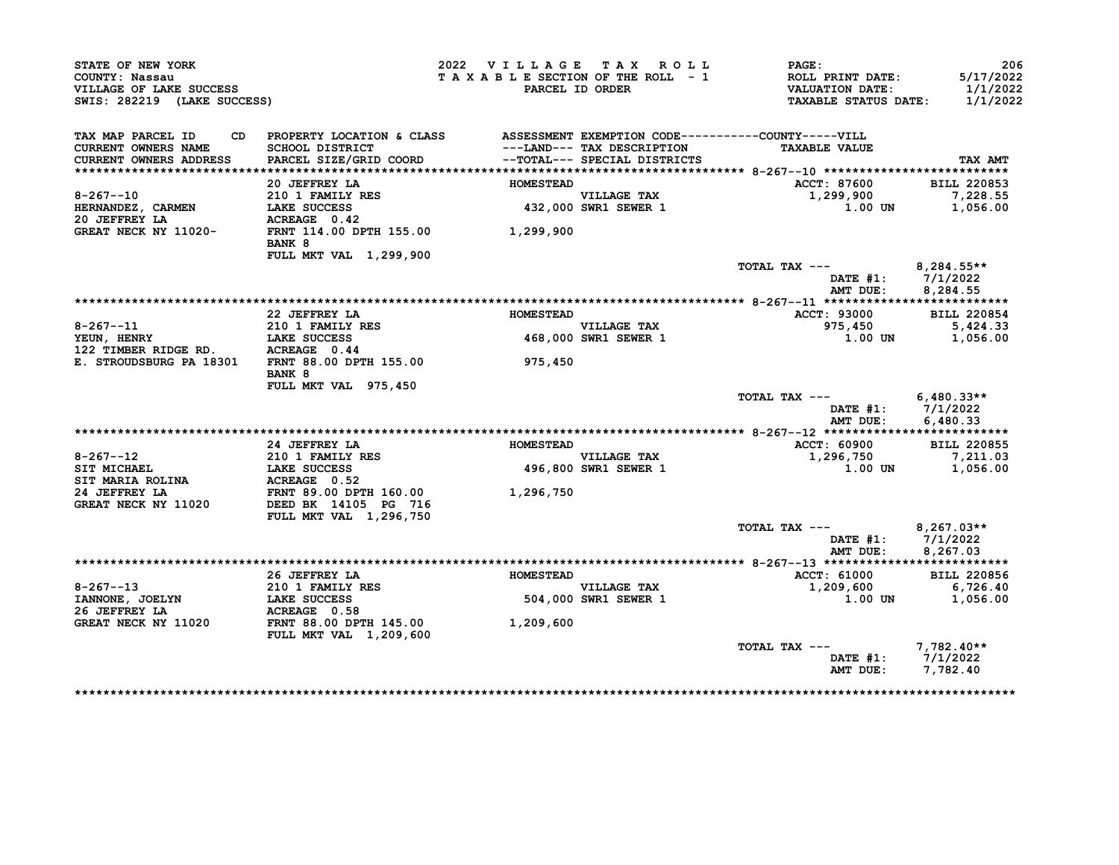| STATE OF NEW YORK<br>COUNTY: Nassau<br>VILLAGE OF LAKE SUCCESS<br>SWIS: 282219 (LAKE SUCCESS) |                                                                              | 2022 VILLAGE TAX ROLL<br>TAXABLE SECTION OF THE ROLL - 1 | PARCEL ID ORDER                     | PAGE:<br>ROLL PRINT DATE:<br><b>VALUATION DATE:</b><br><b>TAXABLE STATUS DATE:</b> | 206<br>5/17/2022<br>1/1/2022<br>1/1/2022 |
|-----------------------------------------------------------------------------------------------|------------------------------------------------------------------------------|----------------------------------------------------------|-------------------------------------|------------------------------------------------------------------------------------|------------------------------------------|
| TAX MAP PARCEL ID<br>CD.                                                                      | PROPERTY LOCATION & CLASS ASSESSMENT EXEMPTION CODE----------COUNTY-----VILL |                                                          |                                     |                                                                                    |                                          |
| <b>CURRENT OWNERS NAME</b>                                                                    | SCHOOL DISTRICT                                                              |                                                          | ---LAND--- TAX DESCRIPTION          | <b>TAXABLE VALUE</b>                                                               |                                          |
| CURRENT OWNERS ADDRESS                                                                        | PARCEL SIZE/GRID COORD                                                       |                                                          | --TOTAL--- SPECIAL DISTRICTS        |                                                                                    | TAX AMT                                  |
|                                                                                               | 20 JEFFREY LA                                                                | <b>HOMESTEAD</b>                                         |                                     | <b>ACCT: 87600</b>                                                                 | <b>BILL 220853</b>                       |
| $8 - 267 - -10$                                                                               | $210$ 1 FAMILY RES                                                           |                                                          | <b>VILLAGE TAX</b>                  | 1,299,900                                                                          | 7,228.55                                 |
| HERNANDEZ, CARMEN                                                                             | LAKE SUCCESS                                                                 |                                                          | VILLAGE TAX<br>432,000 SWR1 SEWER 1 | 1.00 UN                                                                            | 1,056.00                                 |
| 20 JEFFREY LA                                                                                 | ACREAGE 0.42                                                                 |                                                          |                                     |                                                                                    |                                          |
| GREAT NECK NY 11020-                                                                          | FRNT 114.00 DPTH 155.00 1,299,900<br>BANK 8                                  |                                                          |                                     |                                                                                    |                                          |
|                                                                                               | FULL MKT VAL 1,299,900                                                       |                                                          |                                     |                                                                                    |                                          |
|                                                                                               |                                                                              |                                                          |                                     | TOTAL TAX ---                                                                      | $8,284.55**$                             |
|                                                                                               |                                                                              |                                                          |                                     | DATE #1:                                                                           | 7/1/2022                                 |
|                                                                                               |                                                                              |                                                          |                                     | AMT DUE:                                                                           | 8,284.55                                 |
|                                                                                               |                                                                              |                                                          |                                     |                                                                                    |                                          |
|                                                                                               | 22 JEFFREY LA<br><b>210 1 FAMILY RES</b>                                     | <b>HOMESTEAD</b>                                         | VILLAGE TAX                         | ACCT: 93000<br>975,450                                                             | <b>BILL 220854</b><br>5,424.33           |
| $8 - 267 - -11$<br>YEUN, HENRY                                                                | <b>LAKE SUCCESS</b>                                                          |                                                          | 468,000 SWR1 SEWER 1                | 1.00 UN                                                                            | 1,056.00                                 |
| 122 TIMBER RIDGE RD. ACREAGE 0.44                                                             |                                                                              |                                                          |                                     |                                                                                    |                                          |
| E. STROUDSBURG PA 18301                                                                       | FRNT 88.00 DPTH 155.00<br>BANK 8                                             | 975,450                                                  |                                     |                                                                                    |                                          |
|                                                                                               | FULL MKT VAL 975,450                                                         |                                                          |                                     |                                                                                    |                                          |
|                                                                                               |                                                                              |                                                          |                                     | TOTAL TAX ---                                                                      | $6,480.33**$                             |
|                                                                                               |                                                                              |                                                          |                                     | AMT DUE:                                                                           | DATE #1: 7/1/2022<br>6,480.33            |
|                                                                                               |                                                                              |                                                          |                                     |                                                                                    |                                          |
|                                                                                               | 24 JEFFREY LA                                                                | <b>HOMESTEAD</b>                                         |                                     | ACCT: 60900                                                                        | <b>BILL 220855</b>                       |
| $8 - 267 - 12$                                                                                | <b>210 1 FAMILY RES</b>                                                      | $\overline{a}$                                           | <b>VILLAGE TAX</b>                  | 1,296,750                                                                          | 7,211.03                                 |
| SIT MICHAEL<br>SIT MARIA ROLINA                                                               | <b>LAKE SUCCESS<br/>ACREAGE 0.52</b>                                         |                                                          | 496,800 SWR1 SEWER 1                | 1.00 UN                                                                            | 1,056.00                                 |
| 24 JEFFREY LA<br>GREAT NECK NY 11020                                                          | FRNT 89.00 DPTH 160.00<br>DEED BK 14105 PG 716<br>FULL MKT VAL 1,296,750     | 1,296,750                                                |                                     |                                                                                    |                                          |
|                                                                                               |                                                                              |                                                          |                                     | TOTAL TAX ---                                                                      | $8,267.03**$                             |
|                                                                                               |                                                                              |                                                          |                                     |                                                                                    | DATE $#1: 7/1/2022$                      |
|                                                                                               |                                                                              |                                                          |                                     | AMT DUE:                                                                           | 8.267.03                                 |
|                                                                                               |                                                                              |                                                          |                                     |                                                                                    |                                          |
|                                                                                               | 26 JEFFREY LA                                                                | <b>HOMESTEAD</b>                                         |                                     | ACCT: 61000                                                                        | <b>BILL 220856</b>                       |
| 8-267--13                                                                                     | 210 1 FAMILY RES                                                             | 504,000                                                  | <b>VILLAGE TAX</b>                  | 1,209,600                                                                          | 6,726.40                                 |
| IANNONE, JOELYN                                                                               | <b>LAKE SUCCESS</b>                                                          |                                                          | 504,000 SWR1 SEWER 1                | <b>1.00 UN</b>                                                                     | 1,056.00                                 |
| 26 JEFFREY LA<br>GREAT NECK NY 11020                                                          | ACREAGE 0.58                                                                 |                                                          |                                     |                                                                                    |                                          |
|                                                                                               | FRNT 88.00 DPTH 145.00<br><b>FULL MKT VAL 1,209,600</b>                      | 1,209,600                                                |                                     |                                                                                    |                                          |
|                                                                                               |                                                                              |                                                          |                                     | TOTAL TAX ---                                                                      | $7,782.40**$                             |
|                                                                                               |                                                                              |                                                          |                                     | DATE #1: 7/1/2022                                                                  |                                          |
|                                                                                               |                                                                              |                                                          |                                     |                                                                                    |                                          |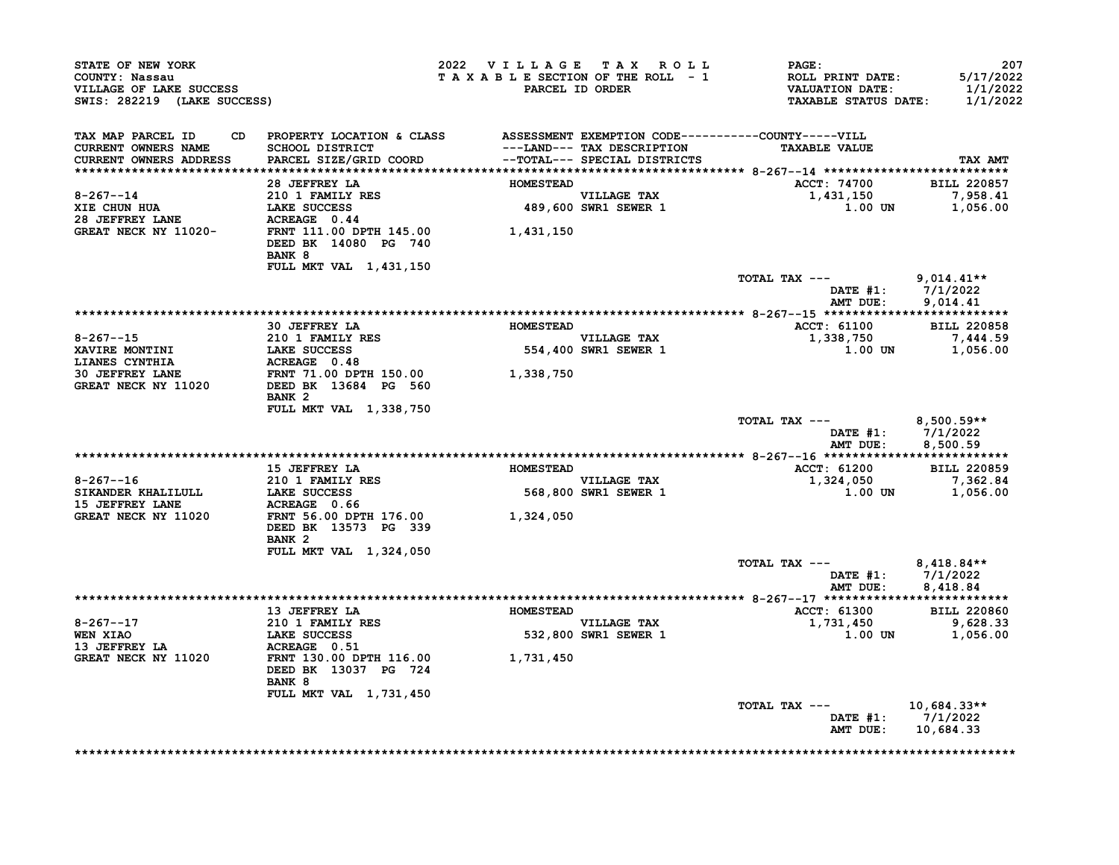| STATE OF NEW YORK<br>COUNTY: Nassau<br>VILLAGE OF LAKE SUCCESS<br>SWIS: 282219 (LAKE SUCCESS) |                                                                                                                              | 2022 VILLAGE TAX ROLL<br>TAXABLE SECTION OF THE ROLL - 1 | PARCEL ID ORDER                                            | <b>PAGE:</b><br>ROLL PRINT DATE:<br>VALUATION DATE:<br><b>TAXABLE STATUS DATE:</b> | 207<br>5/17/2022<br>1/1/2022<br>1/1/2022    |
|-----------------------------------------------------------------------------------------------|------------------------------------------------------------------------------------------------------------------------------|----------------------------------------------------------|------------------------------------------------------------|------------------------------------------------------------------------------------|---------------------------------------------|
| TAX MAP PARCEL ID<br><b>CURRENT OWNERS NAME</b><br><b>CURRENT OWNERS ADDRESS</b>              | CD PROPERTY LOCATION & CLASS ASSESSMENT EXEMPTION CODE----------COUNTY-----VILL<br>SCHOOL DISTRICT<br>PARCEL SIZE/GRID COORD |                                                          | ---LAND--- TAX DESCRIPTION<br>--TOTAL--- SPECIAL DISTRICTS | <b>TAXABLE VALUE</b>                                                               | TAX AMT                                     |
|                                                                                               | 28 JEFFREY LA                                                                                                                | <b>HOMESTEAD</b>                                         |                                                            |                                                                                    | <b>BILL 220857</b>                          |
| $8 - 267 - 14$                                                                                | 210 1 FAMILY RES                                                                                                             |                                                          |                                                            | <b>ACCT: 74700</b><br>1,431,150                                                    | 7,958.41                                    |
| XIE CHUN HUA<br>28 JEFFREY LANE                                                               | LAKE SUCCESS<br>LAKE SUCCESS 489,600<br>ACREAGE 0.44 FRNT 111.00 DPTH 145.00 1,431,150                                       |                                                          | VILLAGE TAX<br>489,600 SWR1 SEWER 1                        | 1.00 UN                                                                            | 1,056.00                                    |
| GREAT NECK NY 11020-                                                                          | DEED BK 14080 PG 740<br><b>BANK 8</b><br>FULL MKT VAL 1,431,150                                                              |                                                          |                                                            |                                                                                    |                                             |
|                                                                                               |                                                                                                                              |                                                          |                                                            | TOTAL TAX ---                                                                      | $9,014.41**$<br>DATE #1: 7/1/2022           |
|                                                                                               |                                                                                                                              |                                                          |                                                            | AMT DUE:                                                                           | 9,014.41                                    |
|                                                                                               |                                                                                                                              |                                                          |                                                            |                                                                                    |                                             |
|                                                                                               | 30 JEFFREY LA                                                                                                                | <b>HOMESTEAD</b>                                         |                                                            | <b>ACCT: 61100</b>                                                                 | <b>BILL 220858</b>                          |
| $8 - 267 - -15$                                                                               | 210 1 FAMILY RES                                                                                                             |                                                          | <b>VILLAGE TAX</b><br>VILLAGE TAX<br>554,400 SWR1 SEWER 1  | 1,338,750                                                                          | 7,444.59                                    |
| XAVIRE MONTINI<br>LIANES CYNTHIA                                                              | LAKE SUCCESS<br>ACREAGE 0.48                                                                                                 |                                                          |                                                            | 1.00 UN                                                                            | 1,056.00                                    |
| <b>30 JEFFREY LANE</b>                                                                        | FRNT 71.00 DPTH 150.00                                                                                                       | 1,338,750                                                |                                                            |                                                                                    |                                             |
| GREAT NECK NY 11020                                                                           | DEED BK 13684 PG 560                                                                                                         |                                                          |                                                            |                                                                                    |                                             |
|                                                                                               | BANK <sub>2</sub><br>FULL MKT VAL 1,338,750                                                                                  |                                                          |                                                            |                                                                                    |                                             |
|                                                                                               |                                                                                                                              |                                                          |                                                            | TOTAL TAX --- $8,500.59**$                                                         | DATE #1: 7/1/2022<br>AMT DUE: 8,500.59      |
|                                                                                               |                                                                                                                              |                                                          |                                                            |                                                                                    |                                             |
|                                                                                               | 15 JEFFREY LA                                                                                                                | <b>HOMESTEAD</b>                                         |                                                            | ACCT: 61200 BILL 220859                                                            |                                             |
| $8 - 267 - -16$                                                                               | <b>210 1 FAMILY RES</b>                                                                                                      |                                                          | VILLAGE TAX                                                | 1,324,050                                                                          | 7,362.84                                    |
| SIKANDER KHALILULL LAKE SUCCESS                                                               |                                                                                                                              |                                                          | 568,800 SWR1 SEWER 1                                       | 1.00 UN                                                                            | 1,056.00                                    |
| <b>15 JEFFREY LANE</b>                                                                        | ACREAGE 0.66                                                                                                                 |                                                          |                                                            |                                                                                    |                                             |
| GREAT NECK NY 11020                                                                           | FRNT 56.00 DPTH 176.00<br>DEED BK 13573 PG 339<br>BANK <sub>2</sub>                                                          | 1,324,050                                                |                                                            |                                                                                    |                                             |
|                                                                                               | FULL MKT VAL 1,324,050                                                                                                       |                                                          |                                                            |                                                                                    |                                             |
|                                                                                               |                                                                                                                              |                                                          |                                                            | TOTAL TAX ---<br>AMT DUE:                                                          | 8,418.84**<br>DATE #1: 7/1/2022<br>8,418.84 |
|                                                                                               |                                                                                                                              |                                                          |                                                            |                                                                                    |                                             |
|                                                                                               | 13 JEFFREY LA                                                                                                                | <b>HOMESTEAD</b>                                         |                                                            | ACCT: 61300                                                                        | <b>BILL 220860</b>                          |
| $8 - 267 - -17$                                                                               | 210 1 FAMILY RES<br>LAKE SUCCESS                                                                                             |                                                          | <b>VILLAGE TAX</b>                                         | 1,731,450 9,628.33<br>1 00 TN 1,056,00                                             |                                             |
| <b>WEN XIAO</b>                                                                               |                                                                                                                              |                                                          | 532,800 SWR1 SEWER 1                                       | 1.00 UN                                                                            | 1,056.00                                    |
| 13 JEFFREY LA                                                                                 | <b>ACREAGE</b> 0.51<br>FRNT 130.00 DPTH 116.00                                                                               |                                                          |                                                            |                                                                                    |                                             |
| <b>GREAT NECK NY 11020</b>                                                                    | DEED BK 13037 PG 724<br>BANK 8                                                                                               | 1,731,450                                                |                                                            |                                                                                    |                                             |
|                                                                                               | FULL MKT VAL 1,731,450                                                                                                       |                                                          |                                                            |                                                                                    |                                             |
|                                                                                               |                                                                                                                              |                                                          |                                                            | TOTAL TAX ---                                                                      | 10,684.33**                                 |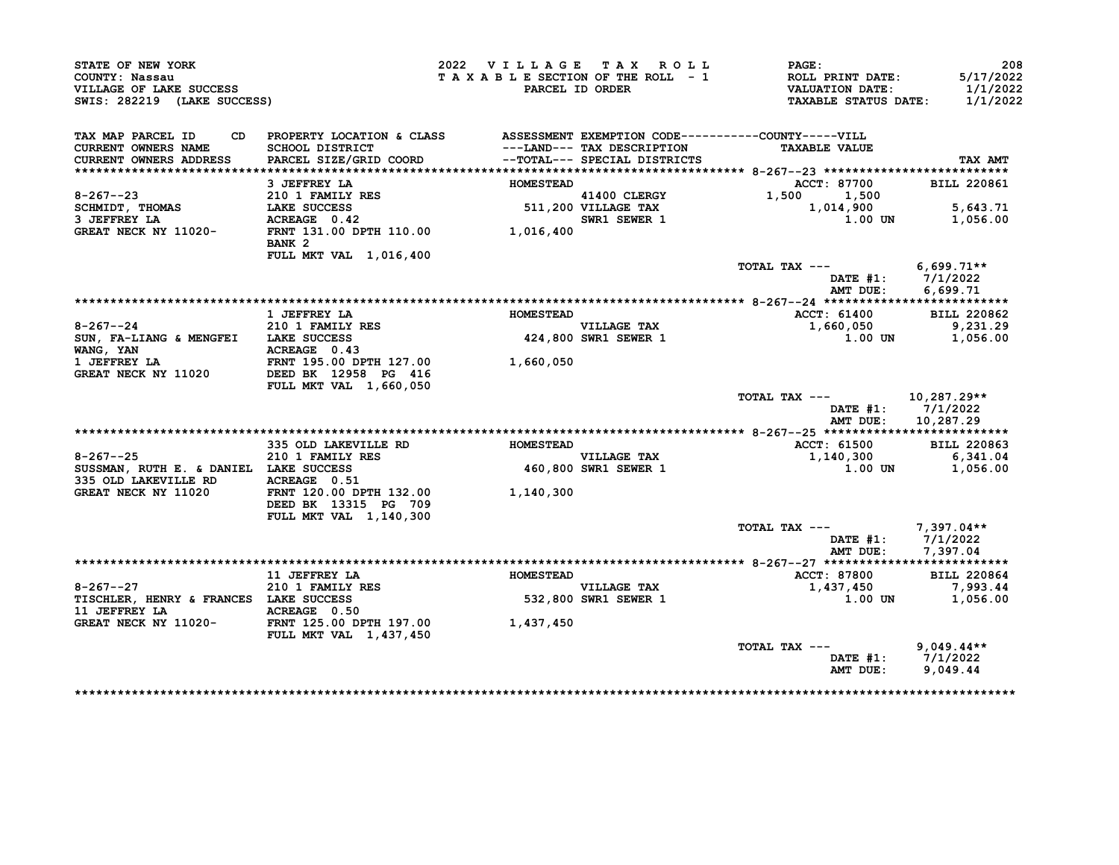| STATE OF NEW YORK<br>COUNTY: Nassau<br>VILLAGE OF LAKE SUCCESS<br>SWIS: 282219 (LAKE SUCCESS) |                                                                                                 | 2022 VILLAGE TAX ROLL<br>TAXABLE SECTION OF THE ROLL - 1 | PARCEL ID ORDER                     | PAGE:<br>ROLL PRINT DATE:<br><b>VALUATION DATE:</b><br><b>TAXABLE STATUS DATE:</b> | 208<br>5/17/2022<br>1/1/2022<br>1/1/2022 |
|-----------------------------------------------------------------------------------------------|-------------------------------------------------------------------------------------------------|----------------------------------------------------------|-------------------------------------|------------------------------------------------------------------------------------|------------------------------------------|
| TAX MAP PARCEL ID<br>CD.<br>CURRENT OWNERS NAME                                               | PROPERTY LOCATION & CLASS ASSESSMENT EXEMPTION CODE----------COUNTY-----VILL<br>SCHOOL DISTRICT |                                                          | ---LAND--- TAX DESCRIPTION          | <b>TAXABLE VALUE</b>                                                               |                                          |
| CURRENT OWNERS ADDRESS                                                                        | PARCEL SIZE/GRID COORD                                                                          |                                                          | --TOTAL--- SPECIAL DISTRICTS        |                                                                                    | TAX AMT                                  |
|                                                                                               | 3 JEFFREY LA                                                                                    | <b>HOMESTEAD</b>                                         |                                     | ACCT: 87700                                                                        | <b>BILL 220861</b>                       |
| $8 - 267 - -23$                                                                               | $210$ 1 FAMILY RES                                                                              |                                                          | 41400 CLERGY                        | 1,500<br>1,500                                                                     |                                          |
| SCHMIDT, THOMAS                                                                               | LAKE SUCCESS                                                                                    |                                                          | 511,200 VILLAGE TAX                 | 1,014,900                                                                          | 5,643.71                                 |
| 3 JEFFREY LA                                                                                  | ACREAGE 0.42                                                                                    |                                                          | SWR1 SEWER 1                        | 1.00 UN                                                                            | 1,056.00                                 |
| GREAT NECK NY 11020-                                                                          | FRNT 131.00 DPTH 110.00 1,016,400<br>BANK <sub>2</sub>                                          |                                                          |                                     |                                                                                    |                                          |
|                                                                                               | FULL MKT VAL 1,016,400                                                                          |                                                          |                                     |                                                                                    |                                          |
|                                                                                               |                                                                                                 |                                                          |                                     | TOTAL TAX ---                                                                      | $6,699.71**$                             |
|                                                                                               |                                                                                                 |                                                          |                                     | AMT DUE:                                                                           | DATE $#1: 7/1/2022$<br>6,699.71          |
|                                                                                               |                                                                                                 |                                                          |                                     |                                                                                    |                                          |
|                                                                                               | 1 JEFFREY LA                                                                                    | <b>HOMESTEAD</b>                                         |                                     | <b>ACCT: 61400</b>                                                                 | <b>BILL 220862</b>                       |
| $8 - 267 - -24$                                                                               | 210 1 FAMILY RES                                                                                |                                                          | <b>VILLAGE TAX</b>                  | 1,660,050                                                                          | 9,231.29                                 |
| SUN, FA-LIANG & MENGFEI LAKE SUCCESS                                                          |                                                                                                 |                                                          | VILLAGE TAX<br>424,800 SWR1 SEWER 1 | 1.00 UN                                                                            | 1,056.00                                 |
| WANG, YAN                                                                                     | ACREAGE 0.43                                                                                    |                                                          |                                     |                                                                                    |                                          |
| 1 JEFFREY LA                                                                                  | FRNT 195.00 DPTH 127.00                                                                         | 1,660,050                                                |                                     |                                                                                    |                                          |
| GREAT NECK NY 11020                                                                           | DEED BK 12958 PG 416                                                                            |                                                          |                                     |                                                                                    |                                          |
|                                                                                               | FULL MKT VAL 1,660,050                                                                          |                                                          |                                     | TOTAL TAX ---                                                                      | 10,287.29**                              |
|                                                                                               |                                                                                                 |                                                          |                                     | DATE #1:<br>AMT DUE:                                                               | 7/1/2022<br>10,287.29                    |
|                                                                                               |                                                                                                 |                                                          |                                     |                                                                                    |                                          |
|                                                                                               | 335 OLD LAKEVILLE RD                                                                            | <b>HOMESTEAD</b>                                         |                                     | ACCT: 61500                                                                        | <b>BILL 220863</b>                       |
| $8 - 267 - -25$                                                                               | 210 1 FAMILY RES                                                                                |                                                          | <b>VILLAGE TAX</b>                  | 1,140,300                                                                          | 6,341.04                                 |
| SUSSMAN, RUTH E. & DANIEL LAKE SUCCESS<br>335 OLD LAKEVILLE RD                                | ACREAGE 0.51                                                                                    |                                                          | 460,800 SWR1 SEWER 1                | 1.00 UN                                                                            | 1,056.00                                 |
| GREAT NECK NY 11020                                                                           | FRNT 120.00 DPTH 132.00<br>DEED BK 13315 PG 709<br>FULL MKT VAL 1,140,300                       | 1,140,300                                                |                                     |                                                                                    |                                          |
|                                                                                               |                                                                                                 |                                                          |                                     | TOTAL TAX ---                                                                      | 7,397.04**                               |
|                                                                                               |                                                                                                 |                                                          |                                     |                                                                                    | DATE #1: 7/1/2022<br>AMT DUE: 7,397.04   |
|                                                                                               |                                                                                                 |                                                          |                                     |                                                                                    |                                          |
|                                                                                               | 11 JEFFREY LA                                                                                   | <b>HOMESTEAD</b>                                         |                                     | ACCT: 87800                                                                        | <b>BILL 220864</b>                       |
| $8 - 267 - -27$                                                                               | <b>210 1 FAMILY RES<br/>LAKE SUCCESS</b>                                                        |                                                          | VILLAGE TAX<br>532,800 SWR1 SEWER 1 | 1,437,450                                                                          | 7,993.44                                 |
| TISCHLER, HENRY & FRANCES LAKE SUCCESS                                                        |                                                                                                 |                                                          |                                     | <b>1.00 UN</b>                                                                     | 1,056.00                                 |
|                                                                                               |                                                                                                 | 1,437,450                                                |                                     |                                                                                    |                                          |
|                                                                                               | <b>FULL MKT VAL 1,437,450</b>                                                                   |                                                          |                                     | TOTAL TAX ---                                                                      | $9,049.44**$                             |
|                                                                                               |                                                                                                 |                                                          |                                     | AMT DUE:                                                                           | DATE #1: 7/1/2022<br>9,049.44            |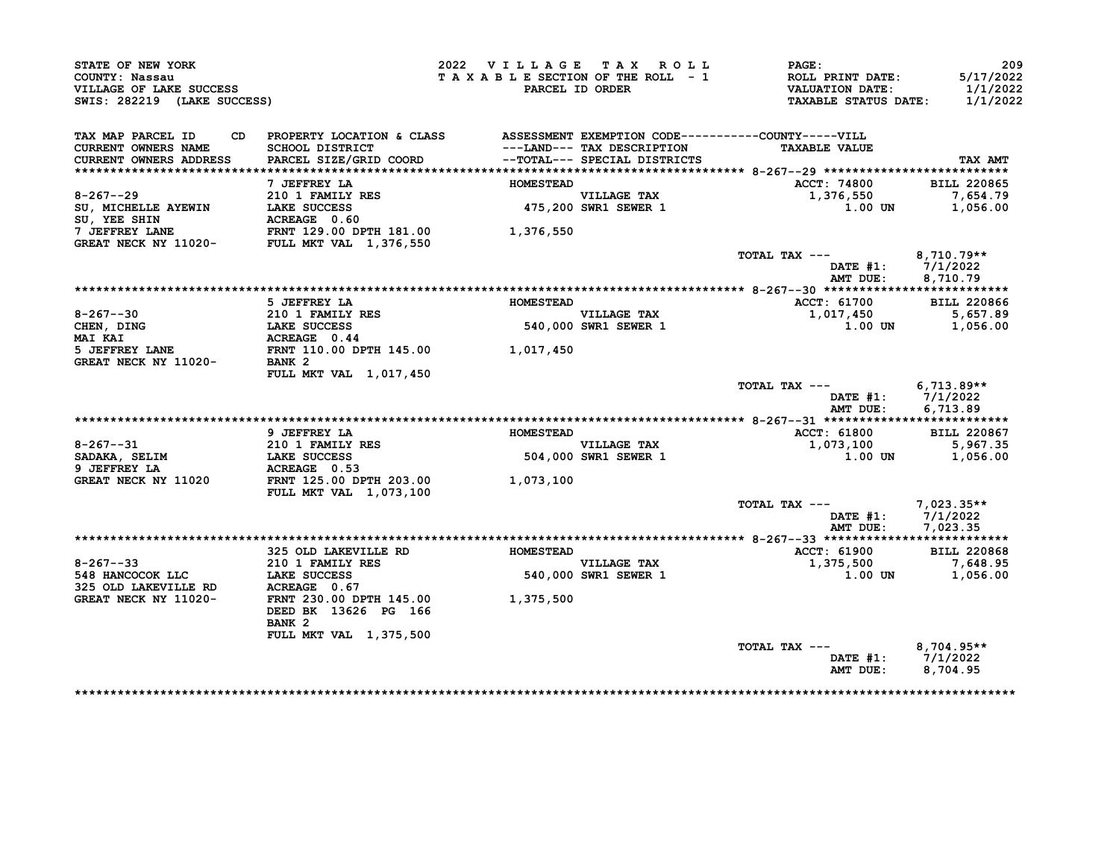| STATE OF NEW YORK<br>COUNTY: Nassau<br>VILLAGE OF LAKE SUCCESS<br>SWIS: 282219 (LAKE SUCCESS)                                                                                                                                |                                                                                                        | 2022 VILLAGE TAX ROLL | TAXABLE SECTION OF THE ROLL - 1<br>PARCEL ID ORDER | <b>PAGE:</b><br>ROLL PRINT DATE:<br><b>VALUATION DATE:</b><br><b>TAXABLE STATUS DATE:</b> | 209<br>5/17/2022<br>1/1/2022<br>1/1/2022 |
|------------------------------------------------------------------------------------------------------------------------------------------------------------------------------------------------------------------------------|--------------------------------------------------------------------------------------------------------|-----------------------|----------------------------------------------------|-------------------------------------------------------------------------------------------|------------------------------------------|
| TAX MAP PARCEL ID<br><b>CURRENT OWNERS NAME</b>                                                                                                                                                                              | PROPERTY LOCATION & CLASS ASSESSMENT EXEMPTION CODE----------COUNTY-----VILL<br><b>SCHOOL DISTRICT</b> |                       | ---LAND--- TAX DESCRIPTION                         | <b>TAXABLE VALUE</b>                                                                      |                                          |
| <b>CURRENT OWNERS ADDRESS</b>                                                                                                                                                                                                | PARCEL SIZE/GRID COORD                                                                                 |                       | --TOTAL--- SPECIAL DISTRICTS                       |                                                                                           | TAX AMT                                  |
|                                                                                                                                                                                                                              |                                                                                                        |                       |                                                    |                                                                                           |                                          |
|                                                                                                                                                                                                                              | 7 JEFFREY LA                                                                                           | <b>HOMESTEAD</b>      |                                                    | <b>ACCT: 74800</b>                                                                        | <b>BILL 220865</b>                       |
|                                                                                                                                                                                                                              |                                                                                                        |                       | VILLAGE TAX<br>475,200 SWR1 SEWER 1                | 1,376,550                                                                                 | 7,654.79                                 |
|                                                                                                                                                                                                                              |                                                                                                        |                       |                                                    | 1.00 UN                                                                                   | 1,056.00                                 |
|                                                                                                                                                                                                                              |                                                                                                        |                       |                                                    |                                                                                           |                                          |
| 8-267--29<br>SU, MICHELLE AYEWIN<br>SU, YEE SHIN<br>TAKE SUCCESS<br>TO 1 FAMILY RES<br>SU, YEE SHIN<br>TAKE SUCCESS<br>TO 160<br>TOLEFFREY LANE<br>FRNT 129.00 DPTH 181.00<br>GREAT NECK NY 11020-<br>FULL MKT VAL 1,376,550 |                                                                                                        | 1,376,550             |                                                    |                                                                                           |                                          |
|                                                                                                                                                                                                                              |                                                                                                        |                       |                                                    | TOTAL TAX --- 8,710.79**                                                                  |                                          |
|                                                                                                                                                                                                                              |                                                                                                        |                       |                                                    | DATE #1: 7/1/2022                                                                         |                                          |
|                                                                                                                                                                                                                              |                                                                                                        |                       |                                                    | AMT DUE:                                                                                  | 8,710.79                                 |
|                                                                                                                                                                                                                              |                                                                                                        |                       |                                                    |                                                                                           |                                          |
|                                                                                                                                                                                                                              | 5 JEFFREY LA                                                                                           | <b>HOMESTEAD</b>      |                                                    | ACCT: 61700                                                                               | <b>BILL 220866</b>                       |
| 8-267--30                                                                                                                                                                                                                    |                                                                                                        |                       | <b>VILLAGE TAX</b>                                 | 1,017,450                                                                                 | 5,657.89                                 |
| CHEN, DING                                                                                                                                                                                                                   | 210 1 FAMILY RES<br>LAKE SUCCESS<br>ACTO LES                                                           |                       | VILLAGE TAX<br>540,000 SWR1 SEWER 1                | $1.00$ UN                                                                                 | 1,056.00                                 |
| <b>MAI KAI</b>                                                                                                                                                                                                               | ACREAGE 0.44                                                                                           |                       |                                                    |                                                                                           |                                          |
| 5 JEFFREY LANE FRNT 110.00 DPTH 145.00 $1,017,450$<br>GREAT NECK NY 11020- BANK 2                                                                                                                                            |                                                                                                        |                       |                                                    |                                                                                           |                                          |
|                                                                                                                                                                                                                              |                                                                                                        |                       |                                                    |                                                                                           |                                          |
|                                                                                                                                                                                                                              | FULL MKT VAL 1,017,450                                                                                 |                       |                                                    |                                                                                           |                                          |
|                                                                                                                                                                                                                              |                                                                                                        |                       |                                                    | TOTAL TAX --- 6,713.89**                                                                  | DATE #1: 7/1/2022                        |
|                                                                                                                                                                                                                              |                                                                                                        |                       |                                                    | AMT DUE:                                                                                  | 6,713.89                                 |
|                                                                                                                                                                                                                              |                                                                                                        |                       |                                                    |                                                                                           |                                          |
|                                                                                                                                                                                                                              | 9 JEFFREY LA                                                                                           | <b>HOMESTEAD</b>      |                                                    | <b>ACCT: 61800</b>                                                                        | <b>BILL 220867</b>                       |
|                                                                                                                                                                                                                              |                                                                                                        |                       | <b>VILLAGE TAX</b>                                 | 1,073,100                                                                                 | 5,967.35                                 |
|                                                                                                                                                                                                                              |                                                                                                        |                       | 504,000 SWR1 SEWER 1                               | 1.00 UN                                                                                   | 1,056.00                                 |
| SADAKA, SELIM 210 1 FAMILY RES<br>9 JEFFREY LA LAKE SUCCESS<br>CDEAR ACDEAR ACDEAR CONTROL                                                                                                                                   | ACREAGE 0.53                                                                                           |                       |                                                    |                                                                                           |                                          |
| GREAT NECK NY 11020                                                                                                                                                                                                          | FRNT 125.00 DPTH 203.00                                                                                | 1,073,100             |                                                    |                                                                                           |                                          |
|                                                                                                                                                                                                                              | <b>FULL MKT VAL 1,073,100</b>                                                                          |                       |                                                    |                                                                                           |                                          |
|                                                                                                                                                                                                                              |                                                                                                        |                       |                                                    | TOTAL TAX ---                                                                             | 7,023.35**                               |
|                                                                                                                                                                                                                              |                                                                                                        |                       |                                                    | DATE #1: 7/1/2022                                                                         |                                          |
|                                                                                                                                                                                                                              |                                                                                                        |                       |                                                    |                                                                                           |                                          |
|                                                                                                                                                                                                                              |                                                                                                        |                       |                                                    | AMT DUE: 7,023.35                                                                         |                                          |
|                                                                                                                                                                                                                              |                                                                                                        |                       |                                                    |                                                                                           |                                          |
|                                                                                                                                                                                                                              |                                                                                                        |                       |                                                    | <b>ACCT: 61900</b>                                                                        | <b>BILL 220868</b>                       |
|                                                                                                                                                                                                                              |                                                                                                        |                       |                                                    | 1,375,500                                                                                 | 7,648.95                                 |
|                                                                                                                                                                                                                              |                                                                                                        |                       | VILLAGE TAX<br>540,000 SWR1 SEWER 1                | 1.00 UN                                                                                   | 1,056.00                                 |
|                                                                                                                                                                                                                              |                                                                                                        |                       |                                                    |                                                                                           |                                          |
| 8-267--33<br>548 HANCOCOK LLC<br>325 OLD LAKEVILLE RD<br>GREAT NECK NY 11020-<br>CREAT NECK NY 11020-<br>GREAT NECK NY 11020-                                                                                                | FRNT 230.00 DPTH 145.00 1,375,500                                                                      |                       |                                                    |                                                                                           |                                          |
|                                                                                                                                                                                                                              | DEED BK 13626 PG 166                                                                                   |                       |                                                    |                                                                                           |                                          |
|                                                                                                                                                                                                                              | BANK <sub>2</sub>                                                                                      |                       |                                                    |                                                                                           |                                          |
|                                                                                                                                                                                                                              | FULL MKT VAL 1,375,500                                                                                 |                       |                                                    |                                                                                           |                                          |
|                                                                                                                                                                                                                              |                                                                                                        |                       |                                                    | TOTAL TAX ---<br>DATE #1: 7/1/2022                                                        | $8,704.95**$                             |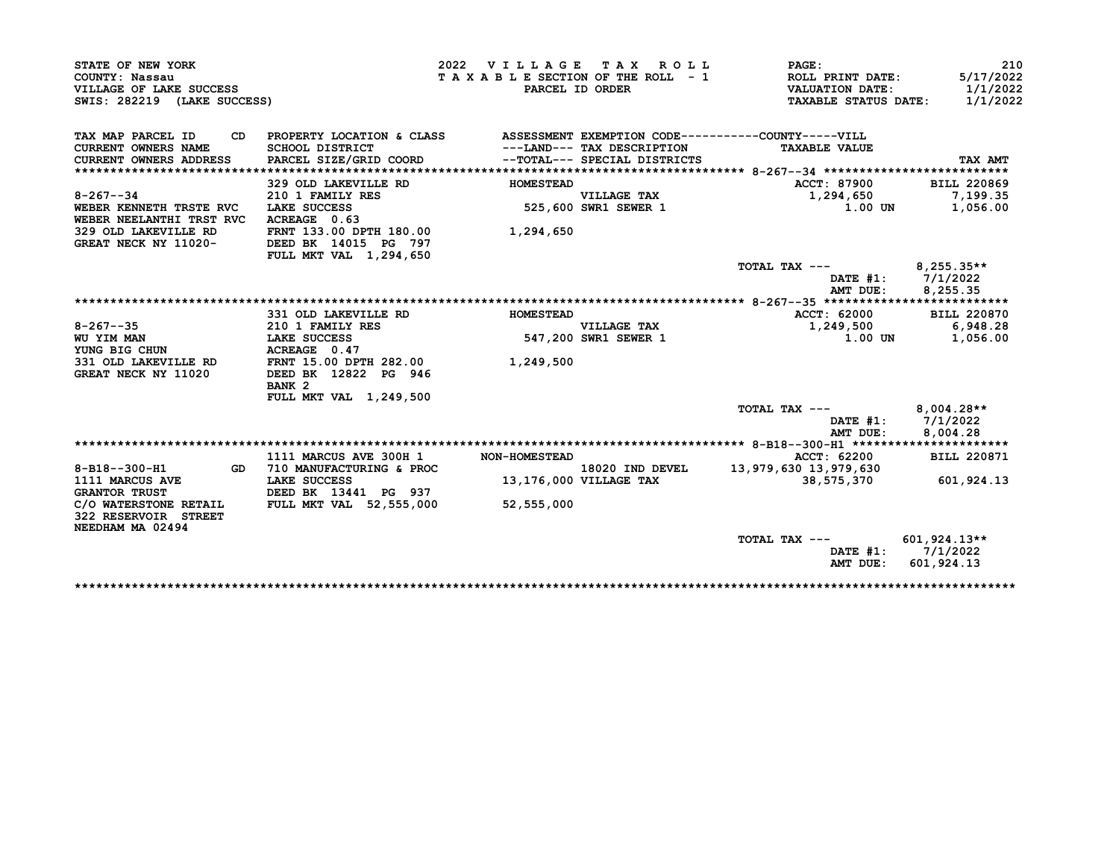| STATE OF NEW YORK                                                     |                                  | 2022 VILLAGE TAX ROLL |                                            | PAGE:                                               | 210                      |
|-----------------------------------------------------------------------|----------------------------------|-----------------------|--------------------------------------------|-----------------------------------------------------|--------------------------|
| COUNTY: Nassau                                                        |                                  |                       | TAXABLE SECTION OF THE ROLL - 1            | ROLL PRINT DATE:                                    | 5/17/2022                |
| VILLAGE OF LAKE SUCCESS                                               |                                  |                       | PARCEL ID ORDER                            | <b>VALUATION DATE:</b>                              | 1/1/2022                 |
| SWIS: 282219 (LAKE SUCCESS)                                           |                                  |                       |                                            | <b>TAXABLE STATUS DATE:</b>                         | 1/1/2022                 |
| TAX MAP PARCEL ID<br>CD                                               | PROPERTY LOCATION & CLASS        |                       |                                            | ASSESSMENT EXEMPTION CODE-----------COUNTY-----VILL |                          |
| <b>CURRENT OWNERS NAME</b>                                            | SCHOOL DISTRICT                  |                       | ---LAND--- TAX DESCRIPTION                 | <b>TAXABLE VALUE</b>                                |                          |
| <b>CURRENT OWNERS ADDRESS</b>                                         | PARCEL SIZE/GRID COORD           |                       | --TOTAL--- SPECIAL DISTRICTS               |                                                     | TAX AMT                  |
|                                                                       | 329 OLD LAKEVILLE RD             | <b>HOMESTEAD</b>      |                                            | ACCT: 87900                                         | <b>BILL 220869</b>       |
| $8 - 267 - -34$                                                       | 210 1 FAMILY RES                 |                       | <b>VILLAGE TAX</b>                         | 1,294,650                                           | 7,199.35                 |
| WEBER KENNETH TRSTE RVC                                               | LAKE SUCCESS                     |                       | 525,600 SWR1 SEWER 1                       | $1.00$ UN                                           | 1,056.00                 |
| WEBER NEELANTHI TRST RVC                                              | ACREAGE 0.63                     |                       |                                            |                                                     |                          |
| 329 OLD LAKEVILLE RD                                                  | FRNT 133.00 DPTH 180.00          | 1,294,650             |                                            |                                                     |                          |
| GREAT NECK NY 11020-                                                  | DEED BK 14015 PG 797             |                       |                                            |                                                     |                          |
|                                                                       | FULL MKT VAL 1,294,650           |                       |                                            |                                                     |                          |
|                                                                       |                                  |                       |                                            | TOTAL TAX ---                                       | $8,255.35**$             |
|                                                                       |                                  |                       |                                            | DATE #1: 7/1/2022                                   |                          |
|                                                                       |                                  |                       |                                            | AMT DUE:                                            | 8,255.35                 |
|                                                                       |                                  |                       |                                            |                                                     |                          |
|                                                                       | 331 OLD LAKEVILLE RD             | <b>HOMESTEAD</b>      |                                            | ACCT: 62000                                         | <b>BILL 220870</b>       |
| $8 - 267 - -35$<br>WU YIM MAN                                         | 210 1 FAMILY RES<br>LAKE SUCCESS |                       | <b>VILLAGE TAX</b><br>547,200 SWR1 SEWER 1 | 1,249,500<br>1.00 UN                                | 6,948.28<br>1,056.00     |
| YUNG BIG CHUN                                                         | ACREAGE 0.47                     |                       |                                            |                                                     |                          |
| 331 OLD LAKEVILLE RD                                                  | FRNT 15.00 DPTH 282.00           | 1,249,500             |                                            |                                                     |                          |
| GREAT NECK NY 11020                                                   | DEED BK 12822 PG 946             |                       |                                            |                                                     |                          |
|                                                                       | BANK <sub>2</sub>                |                       |                                            |                                                     |                          |
|                                                                       |                                  |                       |                                            |                                                     |                          |
|                                                                       |                                  |                       |                                            |                                                     |                          |
|                                                                       | FULL MKT VAL 1,249,500           |                       |                                            | TOTAL TAX ---                                       | $8.004.28**$             |
|                                                                       |                                  |                       |                                            | DATE #1:                                            | 7/1/2022                 |
|                                                                       |                                  |                       |                                            | AMT DUE:                                            | 8,004.28                 |
|                                                                       |                                  |                       |                                            |                                                     |                          |
|                                                                       | 1111 MARCUS AVE 300H 1           | <b>NON-HOMESTEAD</b>  |                                            | ACCT: 62200                                         | <b>BILL 220871</b>       |
|                                                                       | GD 710 MANUFACTURING & PROC      |                       | 18020 IND DEVEL                            | 13,979,630 13,979,630                               |                          |
| 8-B18--300-H1<br>1111 MARCUS AVE                                      | LAKE SUCCESS                     |                       | 13,176,000 VILLAGE TAX                     | 38,575,370                                          | 601,924.13               |
|                                                                       | DEED BK 13441 PG 937             |                       |                                            |                                                     |                          |
| <b>GRANTOR TRUST</b><br>C/O WATERSTONE RETAIL<br>322 RESERVOIR STREET | FULL MKT VAL 52,555,000          | 52,555,000            |                                            |                                                     |                          |
| NEEDHAM MA 02494                                                      |                                  |                       |                                            |                                                     |                          |
|                                                                       |                                  |                       |                                            | TOTAL TAX ---<br>$\texttt{DATE}$ #1:                | 601,924.13**<br>7/1/2022 |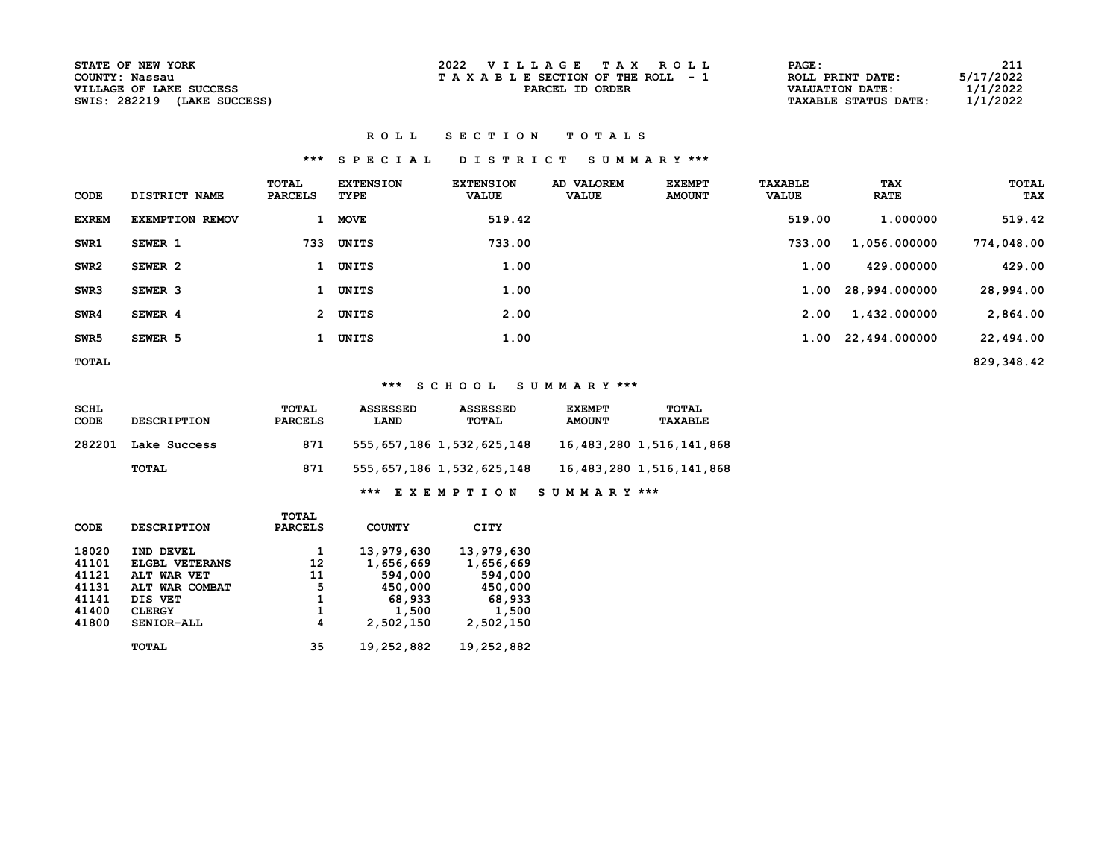| STATE OF NEW YORK           |
|-----------------------------|
| COUNTY: Nassau              |
| VILLAGE OF LAKE SUCCESS     |
| SWIS: 282219 (LAKE SUCCESS) |

### ROLL SECTION TOTALS

# \*\*\* S P E C I A L D I S T R I C T S U M M A R Y \*\*\*

| CODE             | DISTRICT NAME          | TOTAL<br><b>PARCELS</b> | <b>EXTENSION</b><br>TYPE | <b>EXTENSION</b><br><b>VALUE</b> | AD VALOREM<br><b>VALUE</b> | <b>EXEMPT</b><br><b>AMOUNT</b> | <b>TAXABLE</b><br><b>VALUE</b> | <b>TAX</b><br><b>RATE</b> | TOTAL<br>TAX |
|------------------|------------------------|-------------------------|--------------------------|----------------------------------|----------------------------|--------------------------------|--------------------------------|---------------------------|--------------|
| <b>EXREM</b>     | <b>EXEMPTION REMOV</b> |                         | <b>MOVE</b>              | 519.42                           |                            |                                | 519.00                         | 1.000000                  | 519.42       |
| SWR1             | SEWER 1                | 733                     | UNITS                    | 733.00                           |                            |                                | 733.00                         | 1,056.000000              | 774,048.00   |
| SWR <sub>2</sub> | SEWER 2                |                         | UNITS                    | 1.00                             |                            |                                | 1.00                           | 429.000000                | 429.00       |
| SWR3             | SEWER <sub>3</sub>     |                         | UNITS                    | 1.00                             |                            |                                | 1.00                           | 28,994.000000             | 28,994.00    |
| SWR4             | SEWER 4                | $\mathbf{2}$            | UNITS                    | 2.00                             |                            |                                | 2.00                           | 1,432.000000              | 2,864.00     |
| SWR <sub>5</sub> | SEWER 5                |                         | UNITS                    | 1.00                             |                            |                                |                                | 1.00 22,494.000000        | 22,494.00    |
| TOTAL            |                        |                         |                          |                                  |                            |                                |                                |                           | 829,348.42   |

# \*\*\* S C H O O L S U M M A R Y \*\*\*

| SCHL<br>CODE | <b>DESCRIPTION</b> | TOTAL<br><b>PARCELS</b> | <b>ASSESSED</b><br>LAND | <b>ASSESSED</b><br><b>TOTAL</b> | <b>EXEMPT</b><br><b>AMOUNT</b> | TOTAL<br>TAXABLE              |
|--------------|--------------------|-------------------------|-------------------------|---------------------------------|--------------------------------|-------------------------------|
| 282201       | Lake Success       | 871                     |                         | 555, 657, 186 1, 532, 625, 148  |                                | 16, 483, 280 1, 516, 141, 868 |
|              | TOTAL              | 871                     |                         | 555, 657, 186 1, 532, 625, 148  |                                | 16,483,280 1,516,141,868      |
|              |                    |                         | ***                     | <b>EXEMPTION</b>                | SUMMARY ***                    |                               |

|       |                    | TOTAL          |               |            |
|-------|--------------------|----------------|---------------|------------|
| CODE  | <b>DESCRIPTION</b> | <b>PARCELS</b> | <b>COUNTY</b> | CITY       |
| 18020 | IND DEVEL          | 1              | 13,979,630    | 13,979,630 |
| 41101 | ELGBL VETERANS     | 12             | 1,656,669     | 1,656,669  |
| 41121 | ALT WAR VET        | 11             | 594,000       | 594,000    |
| 41131 | ALT WAR COMBAT     | 5              | 450,000       | 450,000    |
| 41141 | DIS VET            | 1              | 68,933        | 68,933     |
| 41400 | <b>CLERGY</b>      | 1              | 1,500         | 1,500      |
| 41800 | SENIOR-ALL         | 4              | 2,502,150     | 2,502,150  |
|       | TOTAL              | 35             | 19,252,882    | 19,252,882 |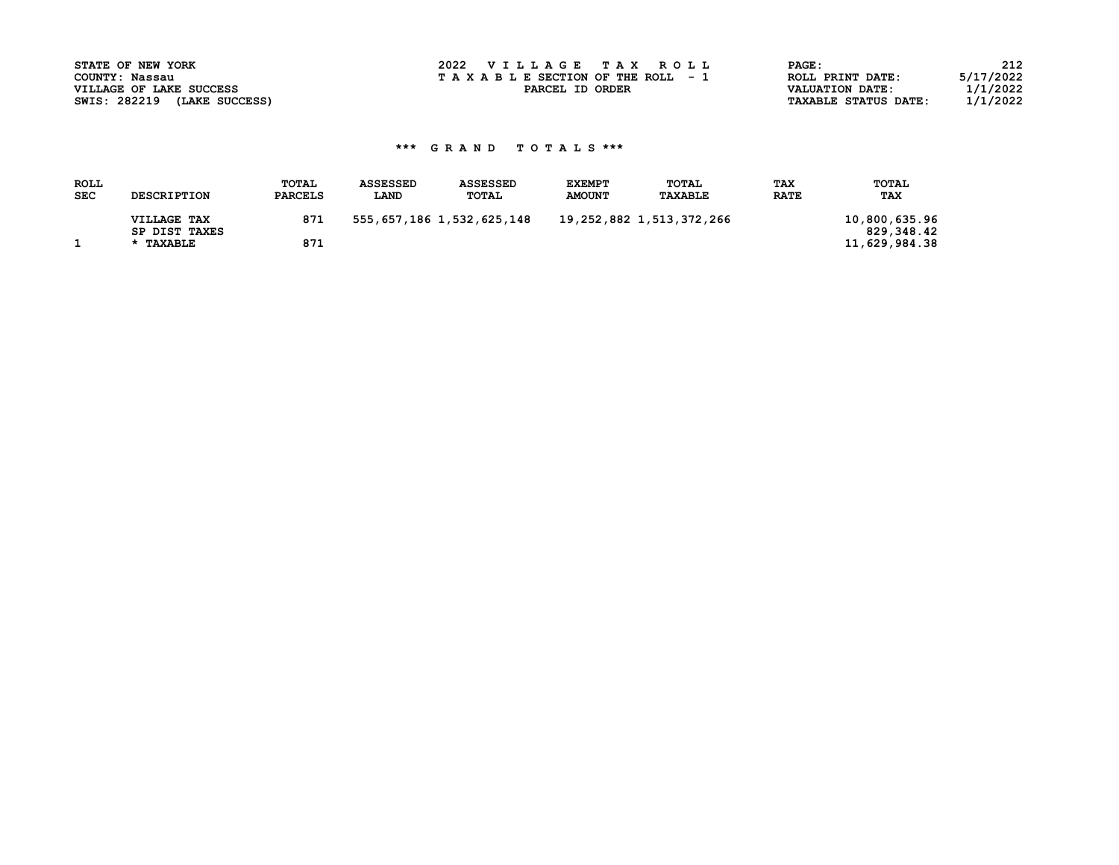| STATE OF NEW YORK              | 2022 VILLAGE TAX ROLL           | PAGE:                       | 212       |
|--------------------------------|---------------------------------|-----------------------------|-----------|
| COUNTY: Nassau                 | TAXABLE SECTION OF THE ROLL - 1 | ROLL PRINT DATE:            | 5/17/2022 |
| VILLAGE OF LAKE SUCCESS        | PARCEL ID ORDER                 | VALUATION DATE:             | l/1/2022  |
| SWIS: 282219<br>(LAKE SUCCESS) |                                 | <b>TAXABLE STATUS DATE:</b> | 1/1/2022  |

| <b>AGE :</b>               | 212       |
|----------------------------|-----------|
| OLL PRINT DATE:            | 5/17/2022 |
| <b>ALUATION DATE:</b>      | 1/1/2022  |
| <b>AXABLE STATUS DATE:</b> | 1/1/2022  |

# \*\*\* G R A N D T O T A L S \*\*\*

| <b>ROLL</b> |                    | TOTAL          | <b>ASSESSED</b> | <b>ASSESSED</b>                | <b>EXEMPT</b> | TOTAL                    | <b>TAX</b>  | TOTAL         |
|-------------|--------------------|----------------|-----------------|--------------------------------|---------------|--------------------------|-------------|---------------|
| <b>SEC</b>  | <b>DESCRIPTION</b> | <b>PARCELS</b> | <b>LAND</b>     | TOTAL                          | <b>AMOUNT</b> | <b>TAXABLE</b>           | <b>RATE</b> | <b>TAX</b>    |
|             | VILLAGE TAX        | 871            |                 | 555, 657, 186 1, 532, 625, 148 |               | 19,252,882 1,513,372,266 |             | 10,800,635.96 |
|             | SP DIST TAXES      |                |                 |                                |               |                          |             | 829,348.42    |
|             | * TAXABLE          | 871            |                 |                                |               |                          |             | 11,629,984.38 |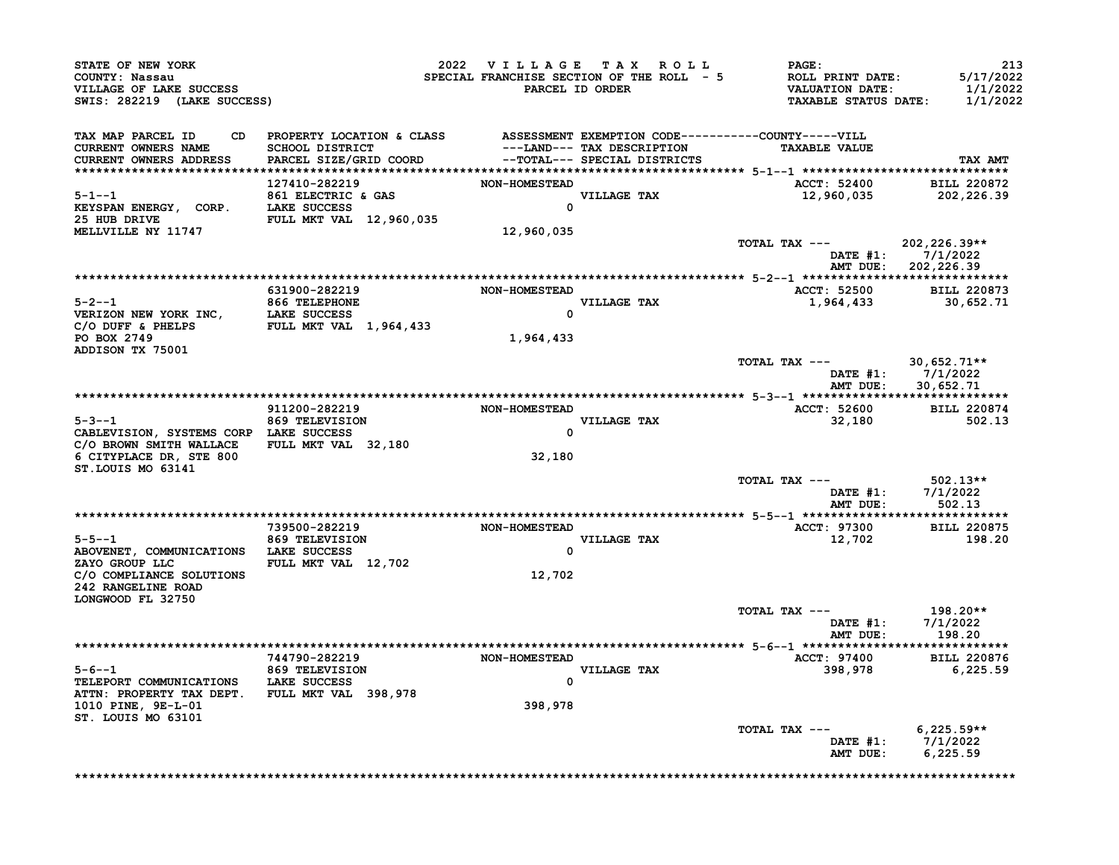| SWIS: 282219 (LAKE SUCCESS)                                                                                                                             |                                                                                                                    |                            |                         | 2022 VILLAGE TAX ROLL PAGE:<br>EVEL FRANCHISE SECTION OF THE ROLL - 5<br>SPECIAL FRANCHISE SECTION OF THE ROLL - 5<br>PARCEL ID ORDER TAXABLE STATUS DATE: 1/1/2022 | 213                                              |
|---------------------------------------------------------------------------------------------------------------------------------------------------------|--------------------------------------------------------------------------------------------------------------------|----------------------------|-------------------------|---------------------------------------------------------------------------------------------------------------------------------------------------------------------|--------------------------------------------------|
| CURRENT OWNERS NAME<br>CURRENT OWNERS ADDRESS                                                                                                           | TAX MAP PARCEL ID CD PROPERTY LOCATION & CLASS ASSESSMENT EXEMPTION CODE----------COUNTY-----VILL<br>127410-282219 | <b>NON-HOMESTEAD</b>       |                         | ACCT: 52400 BILL 220872                                                                                                                                             | TAX AMT                                          |
| <b>MELLVILLE NY 11747</b>                                                                                                                               | $5-1--1$<br>ELECTRIC & GAS<br>EXSPAN ENERGY, CORP. LAKE SUCCESS 0<br>25 HUB DRIVE                                  | 12,960,035                 |                         | 12,960,035 202,226.39<br>TOTAL TAX --- 202,226.39**                                                                                                                 | DATE #1: 7/1/2022<br>AMT DUE: 202,226.39         |
|                                                                                                                                                         |                                                                                                                    |                            |                         |                                                                                                                                                                     |                                                  |
| PO BOX 2749                                                                                                                                             | 631900-282219<br>5-2--1<br>VERIZON NEW YORK INC, LAKE SUCCESS<br>C/O DUFF & PHELPS FULL MKT VAL 1,964,433          | NON-HOMESTEAD<br>1,964,433 | VILLAGE TAX<br>0        | ACCT: 52500 BILL 220873<br>1,964,433 30,652.71                                                                                                                      |                                                  |
| ADDISON TX 75001                                                                                                                                        |                                                                                                                    |                            |                         | TOTAL TAX --- 30,652.71**<br>DATE $#1:$ 7/1/2022                                                                                                                    | AMT DUE: 30,652.71                               |
|                                                                                                                                                         |                                                                                                                    |                            |                         |                                                                                                                                                                     |                                                  |
| C/O BROWN SMITH WALLACE FULL MKT VAL 32,180<br>6 CITYPLACE DR, STE 800<br>ST.LOUIS MO 63141                                                             | 5-3--1 869 TELEVISION<br>CABLEVISION, SYSTEMS CORP LAKE SUCCESS                                                    | 32,180                     | VILLAGE TAX<br>$\Omega$ |                                                                                                                                                                     |                                                  |
|                                                                                                                                                         |                                                                                                                    |                            |                         | TOTAL TAX $---$ 502.13**                                                                                                                                            | DATE #1: 7/1/2022<br>AMT DUE: 502.13             |
|                                                                                                                                                         | 739500-282219                                                                                                      | NON-HOMESTEAD              |                         | ACCT: 97300 BILL 220875                                                                                                                                             |                                                  |
| $5-5-1$ 869 TELEVISION<br>ABOVENET, COMMUNICATIONS LAKE SUCCESS<br>ZAYO GROUP LLC FULL MKT VAL 12,702<br>C/O COMPLIANCE SOLUTIONS<br>242 RANGELINE ROAD |                                                                                                                    | VILLAGE TAX<br>12,702      | $\Omega$                | 12,702                                                                                                                                                              | 198.20                                           |
| LONGWOOD FL 32750                                                                                                                                       |                                                                                                                    |                            |                         |                                                                                                                                                                     |                                                  |
|                                                                                                                                                         |                                                                                                                    |                            |                         | TOTAL TAX ---                                                                                                                                                       | 198.20**<br>DATE #1: 7/1/2022<br>AMT DUE: 198.20 |
|                                                                                                                                                         |                                                                                                                    |                            |                         |                                                                                                                                                                     |                                                  |
| ATTN: PROPERTY TAX DEPT. FULL MKT VAL 398,978<br>1010 PINE, 9E-L-01<br>ST. LOUIS MO 63101                                                               | 5-6--1<br>TELEPORT COMMUNICATIONS LAKE SUCCESS                                                                     | 398,978                    | VILLAGE TAX             |                                                                                                                                                                     |                                                  |
|                                                                                                                                                         |                                                                                                                    |                            |                         | TOTAL TAX --- 6,225.59**<br>DATE #1: 7/1/2022                                                                                                                       | AMT DUE: 6,225.59                                |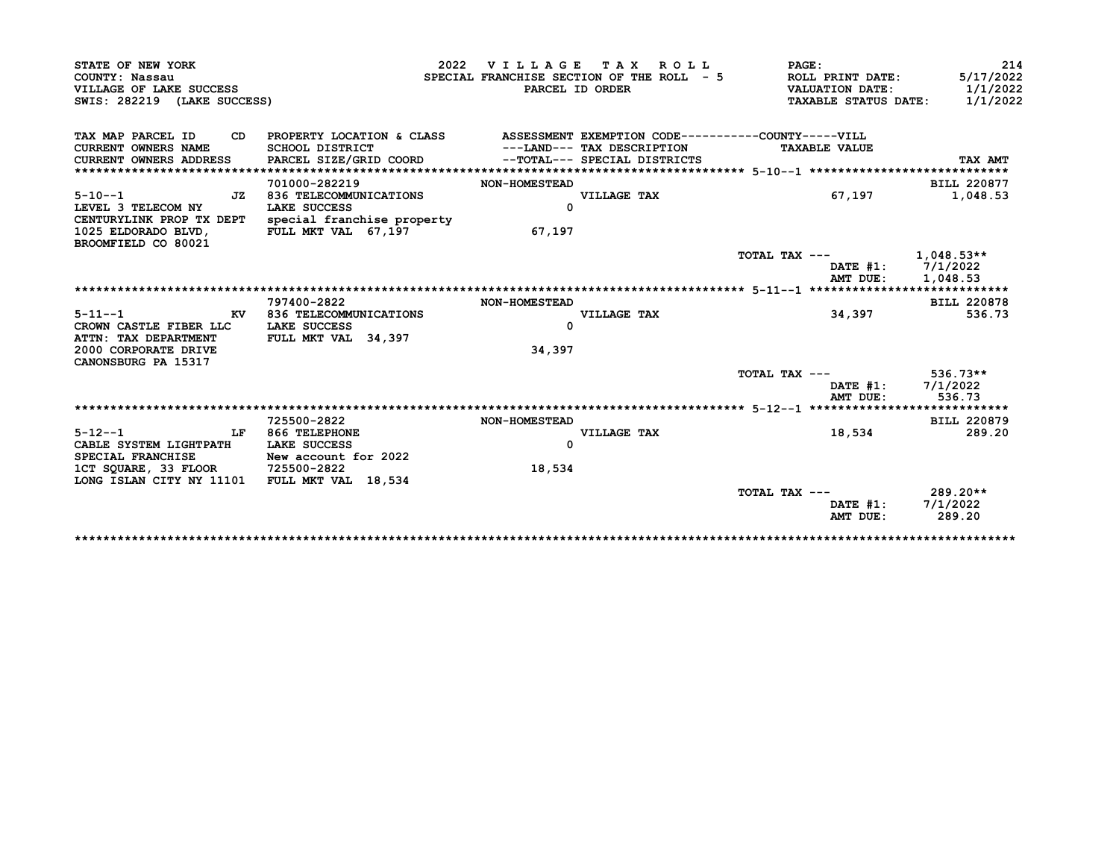|                                                                                                                                                                                                              |                                                                                 |                      | 2022 VILLAGE TAX ROLL                     | <b>PAGE:</b>           |                                         |
|--------------------------------------------------------------------------------------------------------------------------------------------------------------------------------------------------------------|---------------------------------------------------------------------------------|----------------------|-------------------------------------------|------------------------|-----------------------------------------|
| COUNTY: Nassau                                                                                                                                                                                               |                                                                                 |                      | SPECIAL FRANCHISE SECTION OF THE ROLL - 5 | ROLL PRINT DATE:       | 5/17/2022                               |
| VILLAGE OF LAKE SUCCESS                                                                                                                                                                                      |                                                                                 |                      | PARCEL ID ORDER                           | <b>VALUATION DATE:</b> | 1/1/2022                                |
| SWIS: 282219 (LAKE SUCCESS)                                                                                                                                                                                  |                                                                                 |                      |                                           |                        | 1/1/2022<br><b>TAXABLE STATUS DATE:</b> |
| TAX MAP PARCEL ID                                                                                                                                                                                            | CD PROPERTY LOCATION & CLASS ASSESSMENT EXEMPTION CODE----------COUNTY-----VILL |                      |                                           |                        |                                         |
| <b>CURRENT OWNERS NAME</b>                                                                                                                                                                                   | SCHOOL DISTRICT                                                                 |                      | ---LAND--- TAX DESCRIPTION                | <b>TAXABLE VALUE</b>   |                                         |
| CURRENT OWNERS ADDRESS                                                                                                                                                                                       | PARCEL SIZE/GRID COORD --TOTAL--- SPECIAL DISTRICTS                             |                      |                                           |                        | TAX AMT                                 |
|                                                                                                                                                                                                              |                                                                                 |                      |                                           |                        |                                         |
|                                                                                                                                                                                                              | 701000-282219                                                                   | <b>NON-HOMESTEAD</b> |                                           |                        | <b>BILL 220877</b>                      |
| $5 - 10 - -1$                                                                                                                                                                                                | JZ 836 TELECOMMUNICATIONS                                                       |                      | VILLAGE TAX                               |                        | 1,048.53<br>67,197                      |
| LEVEL 3 TELECOM NY                                                                                                                                                                                           | LAKE SUCCESS                                                                    | $\Omega$             |                                           |                        |                                         |
|                                                                                                                                                                                                              | CENTURYLINK PROP TX DEPT special franchise property                             |                      |                                           |                        |                                         |
| 1025 ELDORADO BLVD.                                                                                                                                                                                          | FULL MKT VAL 67,197                                                             | 67,197               |                                           |                        |                                         |
| BROOMFIELD CO 80021                                                                                                                                                                                          |                                                                                 |                      |                                           |                        |                                         |
|                                                                                                                                                                                                              |                                                                                 |                      |                                           |                        | TOTAL TAX $---$ 1,048.53**              |
|                                                                                                                                                                                                              |                                                                                 |                      |                                           |                        | DATE #1: 7/1/2022                       |
|                                                                                                                                                                                                              |                                                                                 |                      |                                           |                        |                                         |
|                                                                                                                                                                                                              |                                                                                 |                      |                                           |                        | AMT DUE:<br>1,048.53                    |
|                                                                                                                                                                                                              |                                                                                 |                      |                                           |                        |                                         |
|                                                                                                                                                                                                              | 797400-2822                                                                     | <b>NON-HOMESTEAD</b> |                                           |                        | <b>BILL 220878</b>                      |
|                                                                                                                                                                                                              | KV 836 TELECOMMUNICATIONS                                                       |                      | VILLAGE TAX                               |                        | 34,397<br>536.73                        |
| $5 - 11 - -1$<br>CROWN CASTLE FIBER LLC LAKE SUCCESS                                                                                                                                                         |                                                                                 | <sup>0</sup>         |                                           |                        |                                         |
| ATTN: TAX DEPARTMENT                                                                                                                                                                                         | FULL MKT VAL 34,397                                                             |                      |                                           |                        |                                         |
|                                                                                                                                                                                                              |                                                                                 | 34,397               |                                           |                        |                                         |
|                                                                                                                                                                                                              |                                                                                 |                      |                                           |                        |                                         |
|                                                                                                                                                                                                              |                                                                                 |                      |                                           |                        | TOTAL TAX $---$ 536.73**                |
|                                                                                                                                                                                                              |                                                                                 |                      |                                           |                        | DATE #1: 7/1/2022                       |
|                                                                                                                                                                                                              |                                                                                 |                      |                                           |                        | AMT DUE:<br>536.73                      |
|                                                                                                                                                                                                              |                                                                                 |                      |                                           |                        |                                         |
|                                                                                                                                                                                                              | 725500-2822                                                                     | <b>NON-HOMESTEAD</b> |                                           |                        | <b>BILL 220879</b>                      |
|                                                                                                                                                                                                              | LF 866 TELEPHONE                                                                | $\Omega$             | VILLAGE TAX                               |                        | 289.20<br>18,534                        |
|                                                                                                                                                                                                              |                                                                                 |                      |                                           |                        |                                         |
|                                                                                                                                                                                                              | New account for 2022                                                            |                      |                                           |                        |                                         |
|                                                                                                                                                                                                              |                                                                                 | 18,534               |                                           |                        |                                         |
|                                                                                                                                                                                                              |                                                                                 |                      |                                           | TOTAL TAX ---          | 289.20**                                |
| 2000 CORPORATE DRIVE<br>CANONSBURG PA 15317<br>$5 - 12 - -1$<br>CABLE SYSTEM LIGHTPATH LAKE SUCCESS<br>SPECIAL FRANCHISE<br>1CT SQUARE, 33 FLOOR 725500-2822<br>LONG ISLAN CITY NY 11101 FULL MKT VAL 18,534 |                                                                                 |                      |                                           |                        | $\mathtt{DATE}$ #1:<br>7/1/2022         |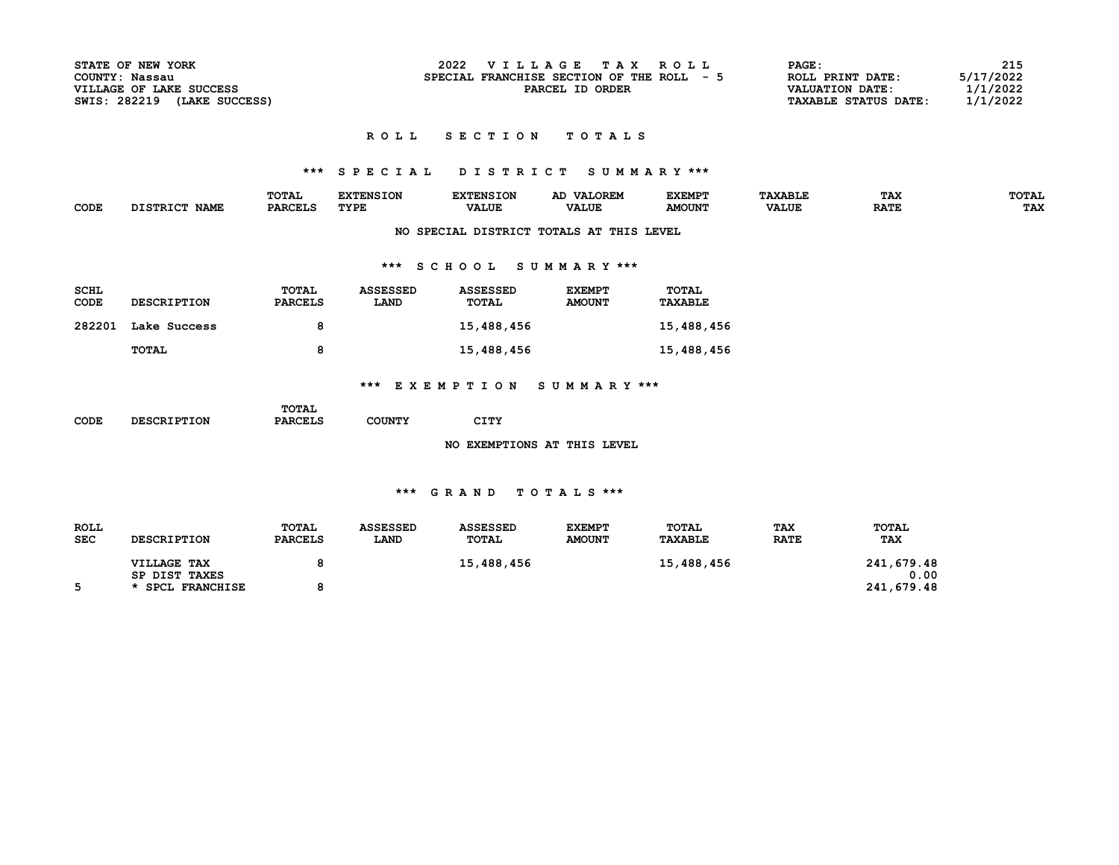| <b>STATE OF NEW YORK</b>       | 2022<br>VILLAGE TAX ROLL              | PAGE:                       | 215       |
|--------------------------------|---------------------------------------|-----------------------------|-----------|
| COUNTY: Nassau                 | SPECIAL FRANCHISE SECTION OF THE ROLL | ROLL PRINT DATE:            | 5/17/2022 |
| VILLAGE OF LAKE SUCCESS        | PARCEL ID ORDER                       | VALUATION DATE:             | 1/1/2022  |
| SWIS: 282219<br>(LAKE SUCCESS) |                                       | <b>TAXABLE STATUS DATE:</b> | 1/1/2022  |

### ROLL SECTION TOTALS

# \*\*\* S P E C I A L D I S T R I C T S U M M A R Y \*\*\*

|      |                                            | <b>TOTAL</b>   | <b>EXTENSION</b> | pvn          | <b>VALOREM</b> | <b>EXEMPT</b> | <b>AXABLE</b> | TAX         | <b>TOTAL</b> |
|------|--------------------------------------------|----------------|------------------|--------------|----------------|---------------|---------------|-------------|--------------|
| CODE | $T$ $C$ $T$ $D$ $T$ $C$ $T$<br><b>NAME</b> | <b>PARCELS</b> | TYPE             | <b>VALUE</b> | <b>VALUE</b>   | <b>AMOUNT</b> | <b>VALUE</b>  | <b>RATE</b> | <b>TAX</b>   |
|      |                                            |                |                  |              |                |               |               |             |              |

## NO SPECIAL DISTRICT TOTALS AT THIS LEVEL

# \*\*\* S C H O O L S U M M A R Y \*\*\*

| <b>SCHL</b><br>CODE | <b>DESCRIPTION</b> | TOTAL<br><b>PARCELS</b> | <b>ASSESSED</b><br><b>LAND</b> | <b>ASSESSED</b><br>TOTAL | <b>EXEMPT</b><br><b>AMOUNT</b> | <b>TOTAL</b><br><b>TAXABLE</b> |
|---------------------|--------------------|-------------------------|--------------------------------|--------------------------|--------------------------------|--------------------------------|
| 282201              | Lake Success       | 8                       |                                | 15,488,456               |                                | 15,488,456                     |
|                     | TOTAL              | 8                       |                                | 15,488,456               |                                | 15,488,456                     |

# \*\*\* E X E M P T I O N S U M M A R Y \*\*\*

|      |                    | TOTAL          |               |      |  |
|------|--------------------|----------------|---------------|------|--|
| CODE | <b>DESCRIPTION</b> | <b>PARCELS</b> | <b>COUNTY</b> | CITY |  |

NO EXEMPTIONS AT THIS LEVEL

### \*\*\* G R A N D T O T A L S \*\*\*

| <b>ROLL</b><br><b>SEC</b> | <b>DESCRIPTION</b>    | TOTAL<br><b>PARCELS</b> | <b>ASSESSED</b><br><b>LAND</b> | <b>ASSESSED</b><br>TOTAL | <b>EXEMPT</b><br><b>AMOUNT</b> | TOTAL<br><b>TAXABLE</b> | <b>TAX</b><br><b>RATE</b> | TOTAL<br><b>TAX</b> |
|---------------------------|-----------------------|-------------------------|--------------------------------|--------------------------|--------------------------------|-------------------------|---------------------------|---------------------|
|                           |                       |                         |                                |                          |                                |                         |                           |                     |
|                           | VILLAGE TAX           |                         |                                | 15,488,456               |                                | 15,488,456              |                           | 241,679.48          |
|                           | SP DIST TAXES         |                         |                                |                          |                                |                         |                           | 0.00                |
|                           | <b>SPCL FRANCHISE</b> |                         |                                |                          |                                |                         |                           | 241,679.48          |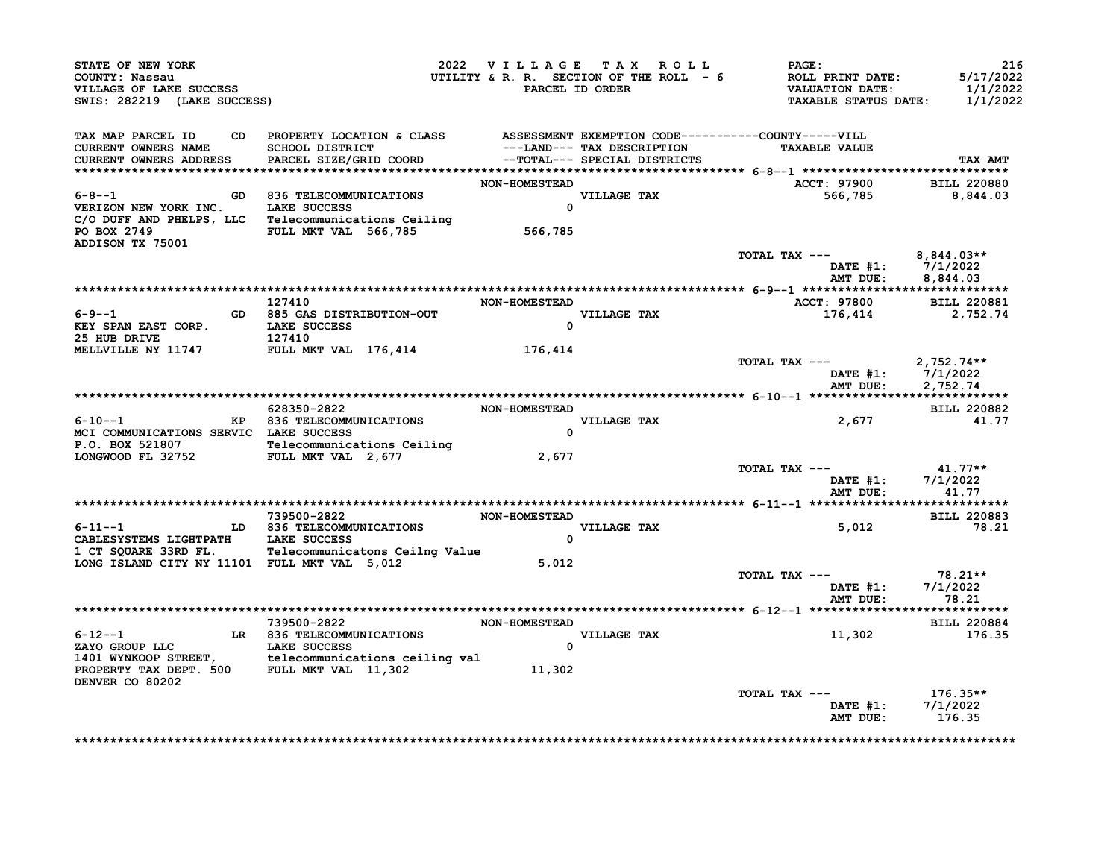| TAX MAP PARCEL ID<br><b>CURRENT OWNERS NAME</b><br><b>CURRENT OWNERS ADDRESS</b><br>6-8--1 GD 836 TELECOMMUNICATIONS<br>VERIZON NEW YORK INC. LAKE SUCCESS<br>C/O DUFF AND PHELPS, LLC Telecommunications Ceiling<br>PO BOX 2749 <b>FULL MKT VAL</b> 566,785<br>ADDISON TX 75001 | CD PROPERTY LOCATION & CLASS ASSESSMENT EXEMPTION CODE-----------COUNTY-----VILL<br>SCHOOL DISTRICT<br>PARCEL SIZE/GRID COORD | --TOTAL--- SPECIAL DISTRICTS<br><b>NON-HOMESTEAD</b><br>VILLAGE TAX<br>$\Omega$<br>566,785 | ---LAND--- TAX DESCRIPTION | <b>TAXABLE VALUE</b><br>ACCT: 97900 BILL 220880<br>566,785 8,844.03<br>TOTAL TAX --- $8,844.03**$ | <b>TAX AMT</b>                                     |
|----------------------------------------------------------------------------------------------------------------------------------------------------------------------------------------------------------------------------------------------------------------------------------|-------------------------------------------------------------------------------------------------------------------------------|--------------------------------------------------------------------------------------------|----------------------------|---------------------------------------------------------------------------------------------------|----------------------------------------------------|
|                                                                                                                                                                                                                                                                                  |                                                                                                                               |                                                                                            |                            |                                                                                                   |                                                    |
|                                                                                                                                                                                                                                                                                  |                                                                                                                               |                                                                                            |                            |                                                                                                   |                                                    |
|                                                                                                                                                                                                                                                                                  |                                                                                                                               |                                                                                            |                            |                                                                                                   |                                                    |
|                                                                                                                                                                                                                                                                                  |                                                                                                                               |                                                                                            |                            |                                                                                                   |                                                    |
|                                                                                                                                                                                                                                                                                  |                                                                                                                               |                                                                                            |                            |                                                                                                   | DATE #1: 7/1/2022<br>AMT DUE: 8,844.03             |
|                                                                                                                                                                                                                                                                                  |                                                                                                                               |                                                                                            |                            |                                                                                                   |                                                    |
| $6 - 9 - -1$<br>KEY SPAN EAST CORP. LAKE SUCCESS<br>25 HUB DRIVE 127410                                                                                                                                                                                                          | 127410<br>GD 885 GAS DISTRIBUTION-OUT                                                                                         | <b>NON-HOMESTEAD</b><br>$\Omega$                                                           | <b>VILLAGE TAX</b>         | ACCT: 97800 BILL 220881<br>176,414                                                                | 2,752.74                                           |
| MELLVILLE NY 11747 FULL MKT VAL 176,414 176,414                                                                                                                                                                                                                                  |                                                                                                                               |                                                                                            |                            | TOTAL TAX $---$ 2,752.74**                                                                        | DATE #1: 7/1/2022<br>AMT DUE: 2,752.74             |
|                                                                                                                                                                                                                                                                                  |                                                                                                                               |                                                                                            |                            |                                                                                                   |                                                    |
|                                                                                                                                                                                                                                                                                  | 628350-2822                                                                                                                   | <b>NON-HOMESTEAD</b>                                                                       |                            |                                                                                                   | <b>BILL 220882</b>                                 |
| 6-10--1 KP 836 TELECOMMUNICATIONS<br>MCI COMMUNICATIONS SERVIC LAKE SUCCESS                                                                                                                                                                                                      |                                                                                                                               | $\Omega$                                                                                   | VILLAGE TAX                | 2,677                                                                                             | 41.77                                              |
| P.O. BOX 521807<br>LONGWOOD FL 32752<br>FULL MKT VAL 2,677                                                                                                                                                                                                                       |                                                                                                                               | 2,677                                                                                      |                            |                                                                                                   |                                                    |
|                                                                                                                                                                                                                                                                                  |                                                                                                                               |                                                                                            |                            | TOTAL TAX $---$ 41.77**                                                                           | DATE #1: 7/1/2022<br>AMT DUE: 41.77                |
|                                                                                                                                                                                                                                                                                  |                                                                                                                               |                                                                                            |                            |                                                                                                   |                                                    |
|                                                                                                                                                                                                                                                                                  | 739500-2822 NON-HOMESTEAD                                                                                                     |                                                                                            |                            |                                                                                                   | <b>BILL 220883</b>                                 |
| 6-11--1 LD 836 TELECOMMUNICATIONS<br>CABLESYSTEMS LIGHTPATH LAKE SUCCESS<br>CABLESYSTEMS LIGHTPATH LAKE SUCCESS<br>1 CT SQUARE 33RD FL. Telecommunicatons Ceilng Value                                                                                                           |                                                                                                                               | $\Omega$                                                                                   | <b>VILLAGE TAX</b>         | 5,012                                                                                             | 78.21                                              |
| LONG ISLAND CITY NY 11101 FULL MKT VAL 5,012                                                                                                                                                                                                                                     |                                                                                                                               | 5,012                                                                                      |                            |                                                                                                   |                                                    |
|                                                                                                                                                                                                                                                                                  |                                                                                                                               |                                                                                            |                            | TOTAL TAX ---<br>DATE #1:<br>AMT DUE:                                                             | 78.21**<br>7/1/2022<br>78.21                       |
|                                                                                                                                                                                                                                                                                  |                                                                                                                               |                                                                                            |                            |                                                                                                   |                                                    |
| $6 - 12 - -1$                                                                                                                                                                                                                                                                    | 739500-2822 NON-HOMESTEAD<br>LR 836 TELECOMMUNICATIONS                                                                        |                                                                                            | <b>VILLAGE TAX</b>         | 11,302                                                                                            | <b>BILL 220884</b><br>176.35                       |
| XAYO GROUP LLC LAKE SUCCESS (2010)<br>1401 WYNKOOP STREET, telecommunications ceiling val<br>21,302 11,302                                                                                                                                                                       |                                                                                                                               |                                                                                            | $\mathbf{0}$               |                                                                                                   |                                                    |
| DENVER CO 80202                                                                                                                                                                                                                                                                  |                                                                                                                               |                                                                                            |                            |                                                                                                   |                                                    |
|                                                                                                                                                                                                                                                                                  |                                                                                                                               |                                                                                            |                            | TOTAL TAX ---                                                                                     | $176.35**$<br>DATE #1: 7/1/2022<br>AMT DUE: 176.35 |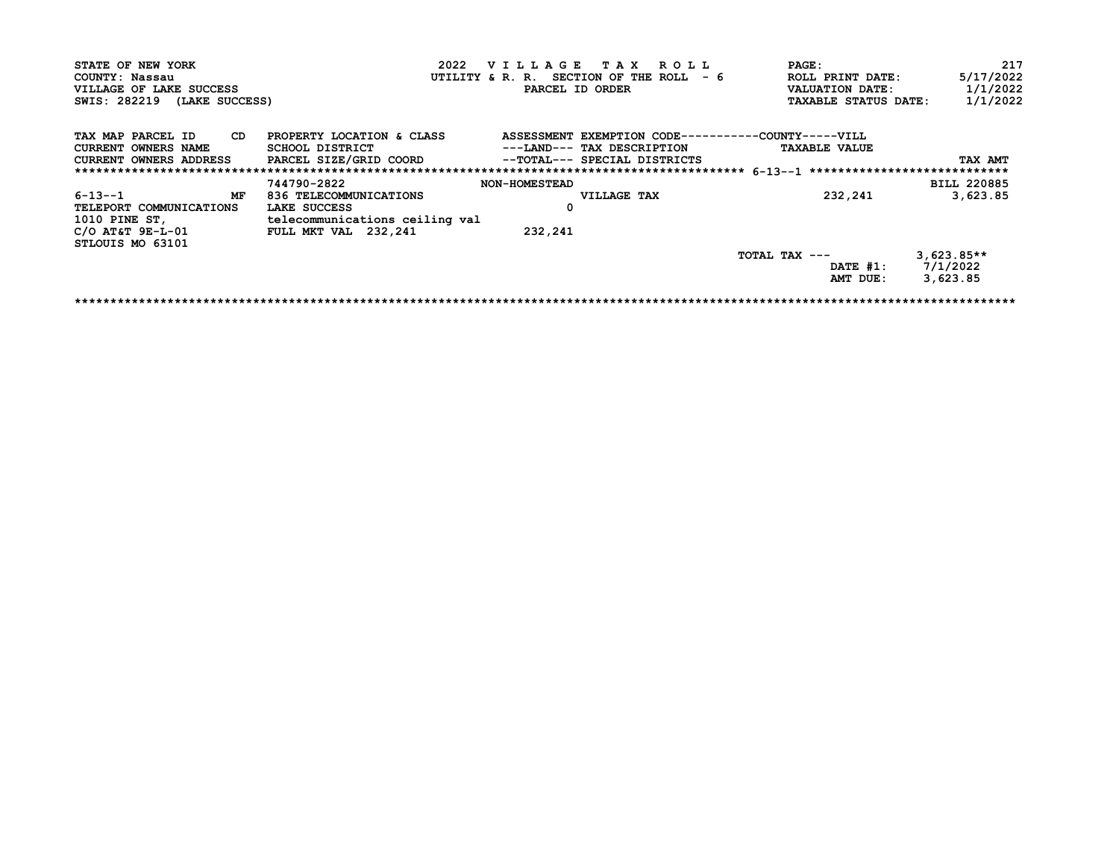| STATE OF NEW YORK                           |                                                                            |                      | 2022 VILLAGE TAX ROLL      | <b>PAGE:</b>                                              |                             | 217                |
|---------------------------------------------|----------------------------------------------------------------------------|----------------------|----------------------------|-----------------------------------------------------------|-----------------------------|--------------------|
| COUNTY: Nassau                              |                                                                            |                      |                            | UTILITY & R. R. SECTION OF THE ROLL $-6$ ROLL PRINT DATE: |                             | 5/17/2022          |
| VILLAGE OF LAKE SUCCESS                     |                                                                            |                      | PARCEL ID ORDER            |                                                           | VALUATION DATE:             | 1/1/2022           |
| SWIS: 282219 (LAKE SUCCESS)                 |                                                                            |                      |                            |                                                           | <b>TAXABLE STATUS DATE:</b> | 1/1/2022           |
| TAX MAP PARCEL ID<br><b>CD</b>              | PROPERTY LOCATION & CLASS                                                  |                      |                            | ASSESSMENT EXEMPTION CODE-----------COUNTY-----VILL       |                             |                    |
| <b>CURRENT OWNERS NAME</b>                  | SCHOOL DISTRICT                                                            |                      | ---LAND--- TAX DESCRIPTION |                                                           | <b>TAXABLE VALUE</b>        |                    |
|                                             | CURRENT OWNERS ADDRESS PARCEL SIZE/GRID COORD --TOTAL--- SPECIAL DISTRICTS |                      |                            |                                                           |                             | TAX AMT            |
|                                             |                                                                            |                      |                            |                                                           |                             |                    |
|                                             | 744790-2822                                                                | <b>NON-HOMESTEAD</b> |                            |                                                           |                             | <b>BILL 220885</b> |
| $6 - 13 - -1$<br>MF                         | 836 TELECOMMUNICATIONS                                                     |                      | <b>VILLAGE TAX</b>         |                                                           | 232,241                     | 3,623.85           |
| TELEPORT COMMUNICATIONS                     | LAKE SUCCESS                                                               |                      |                            |                                                           |                             |                    |
|                                             | 1010 PINE ST, telecommunications ceiling val                               |                      |                            |                                                           |                             |                    |
| $C/O$ AT&T $9E-L-01$ FULL MKT VAL $232.241$ |                                                                            | 232,241              |                            |                                                           |                             |                    |
| STLOUIS MO 63101                            |                                                                            |                      |                            |                                                           |                             |                    |
|                                             |                                                                            |                      |                            | TOTAL TAX $---$                                           |                             | $3,623.85**$       |
|                                             |                                                                            |                      |                            |                                                           | DATE #1: 7/1/2022           |                    |
|                                             |                                                                            |                      |                            |                                                           | AMT DUE:                    | 3,623.85           |
|                                             |                                                                            |                      |                            |                                                           |                             |                    |
|                                             |                                                                            |                      |                            |                                                           |                             |                    |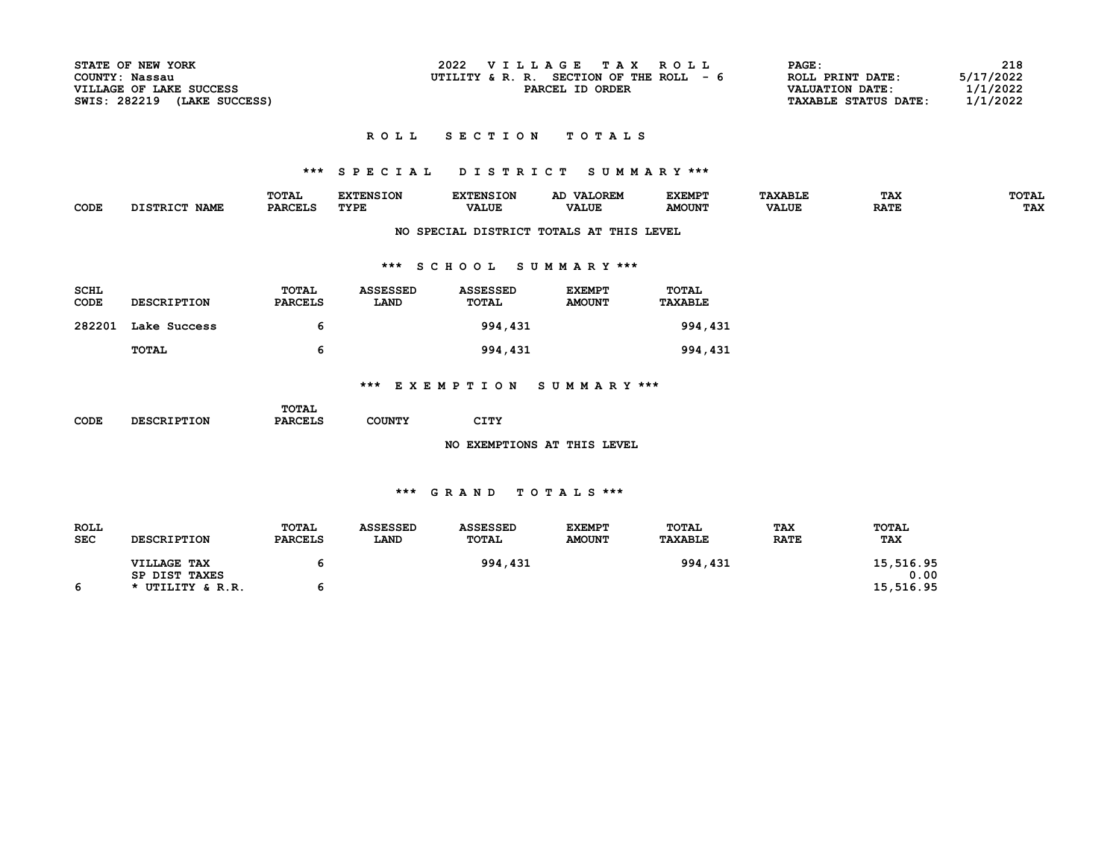| STATE OF NEW YORK              | 2022<br>VILLAGE TAX ROLL                   | PAGE:                       | 218       |
|--------------------------------|--------------------------------------------|-----------------------------|-----------|
| COUNTY: Nassau                 | UTILITY & R. R. SECTION OF THE ROLL<br>- 6 | ROLL PRINT DATE:            | 5/17/2022 |
| VILLAGE OF LAKE SUCCESS        | PARCEL ID ORDER                            | VALUATION DATE:             | ./1/2022  |
| SWIS: 282219<br>(LAKE SUCCESS) |                                            | <b>TAXABLE STATUS DATE:</b> | 1/1/2022  |

#### ROLL SECTION TOTALS

## \*\*\* S P E C I A L D I S T R I C T S U M M A R Y \*\*\*

|      |                       | mom <sub>n</sub><br><b>LVIAL</b> |           | --       |              | CACMP.        | יינ          | may<br>--        | エヘエス                 |
|------|-----------------------|----------------------------------|-----------|----------|--------------|---------------|--------------|------------------|----------------------|
| CODE | <b>NAME</b><br>.cmp+c |                                  | TYDR<br>. | ייוטענג. | <b>VALUE</b> | <b>AMOUN'</b> | <b>VALUE</b> | <b>DATE</b><br>. | TAY<br>$\frac{1}{2}$ |
|      |                       |                                  |           |          |              |               |              |                  |                      |

### NO SPECIAL DISTRICT TOTALS AT THIS LEVEL

### \*\*\* S C H O O L S U M M A R Y \*\*\*

| <b>SCHL</b><br>CODE | <b>DESCRIPTION</b> | TOTAL<br><b>PARCELS</b> | <b>ASSESSED</b><br><b>LAND</b> | <b>ASSESSED</b><br>TOTAL | <b>EXEMPT</b><br><b>AMOUNT</b> | <b>TOTAL</b><br><b>TAXABLE</b> |
|---------------------|--------------------|-------------------------|--------------------------------|--------------------------|--------------------------------|--------------------------------|
| 282201              | Lake Success       | 6                       |                                | 994,431                  |                                | 994,431                        |
|                     | TOTAL              | 6                       |                                | 994,431                  |                                | 994,431                        |

### \*\*\* E X E M P T I O N S U M M A R Y \*\*\*

|      |                    | TOTAL          |               |      |  |
|------|--------------------|----------------|---------------|------|--|
| CODE | <b>DESCRIPTION</b> | <b>PARCELS</b> | <b>COUNTY</b> | CITY |  |

NO EXEMPTIONS AT THIS LEVEL

| <b>ROLL</b> |                    | TOTAL          | <b>ASSESSED</b> | <b>ASSESSED</b> | <b>EXEMPT</b> | TOTAL          | <b>TAX</b>  | <b>TOTAL</b> |
|-------------|--------------------|----------------|-----------------|-----------------|---------------|----------------|-------------|--------------|
| <b>SEC</b>  | <b>DESCRIPTION</b> | <b>PARCELS</b> | <b>LAND</b>     | TOTAL           | <b>AMOUNT</b> | <b>TAXABLE</b> | <b>RATE</b> | <b>TAX</b>   |
|             | VILLAGE TAX        |                |                 | 994,431         |               | 994,431        |             | 15,516.95    |
|             | SP DIST TAXES      |                |                 |                 |               |                |             | 0.00         |
|             | * UTILITY & R.R.   |                |                 |                 |               |                |             | 15,516.95    |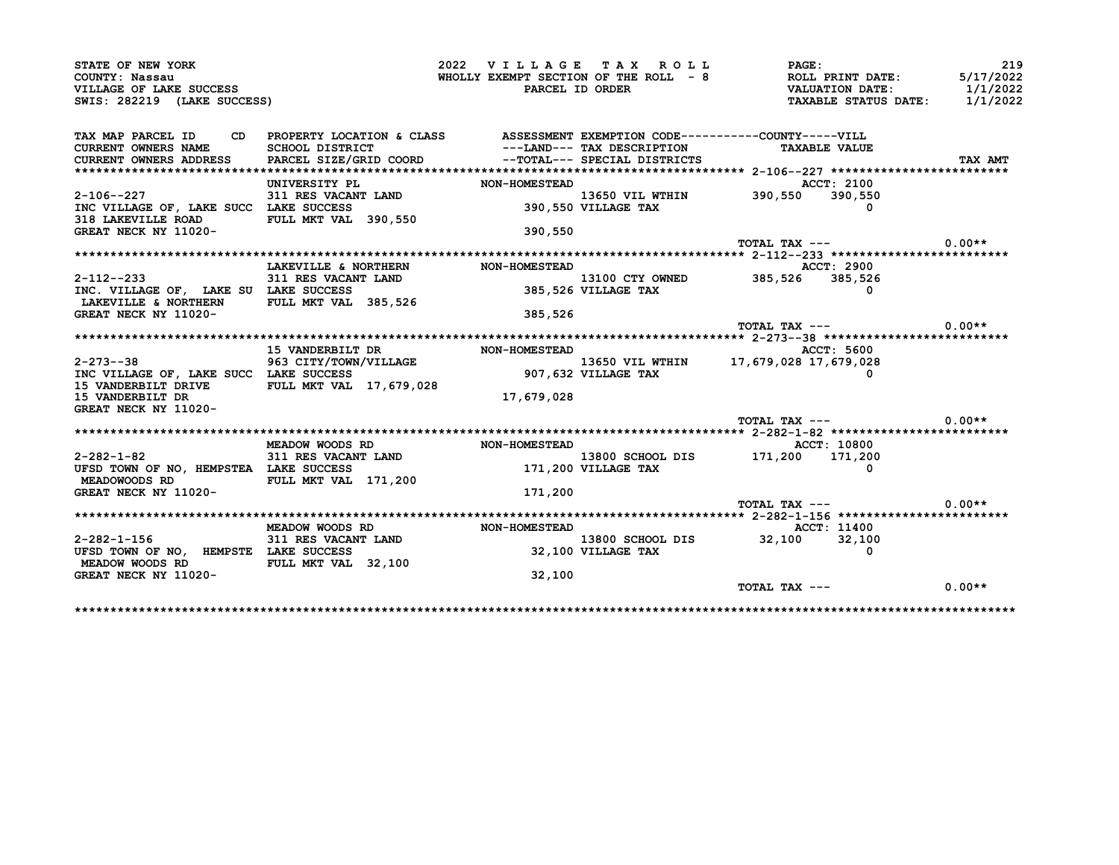| PARCEL ID ORDER<br><b>NON-HOMESTEAD</b><br>$311$ RES VACANT LAND<br>390,550 VILLAGE TAX<br>390,550<br><b>NON-HOMESTEAD</b><br>13100 CTY OW<br>385,526 VILLAGE TAX<br>385,526 | ---LAND--- TAX DESCRIPTION<br>PARCEL SIZE/GRID COORD --TOTAL--- SPECIAL DISTRICTS<br>13100 CTY OWNED | WHOLLY EXEMPT SECTION OF THE ROLL $-8$ ROLL PRINT DATE:<br>CD PROPERTY LOCATION & CLASS ASSESSMENT EXEMPTION CODE----------COUNTY-----VILL<br><b>TAXABLE VALUE</b><br>ACCT: 2100<br>13650 VIL WTHIN 390,550<br>TOTAL TAX ---<br>ACCT: 2900<br>385,526 385,526<br>TOTAL TAX --- | <b>VALUATION DATE:<br/>TAXABLE STATUS DATE:</b><br>390,550 | 5/17/2022<br>1/1/2022<br>TAX AMT<br>$0.00**$<br>$0.00**$ |
|------------------------------------------------------------------------------------------------------------------------------------------------------------------------------|------------------------------------------------------------------------------------------------------|--------------------------------------------------------------------------------------------------------------------------------------------------------------------------------------------------------------------------------------------------------------------------------|------------------------------------------------------------|----------------------------------------------------------|
|                                                                                                                                                                              |                                                                                                      |                                                                                                                                                                                                                                                                                |                                                            | 1/1/2022                                                 |
|                                                                                                                                                                              |                                                                                                      |                                                                                                                                                                                                                                                                                |                                                            |                                                          |
|                                                                                                                                                                              |                                                                                                      |                                                                                                                                                                                                                                                                                |                                                            |                                                          |
|                                                                                                                                                                              |                                                                                                      |                                                                                                                                                                                                                                                                                |                                                            |                                                          |
|                                                                                                                                                                              |                                                                                                      |                                                                                                                                                                                                                                                                                |                                                            |                                                          |
|                                                                                                                                                                              |                                                                                                      |                                                                                                                                                                                                                                                                                |                                                            |                                                          |
|                                                                                                                                                                              |                                                                                                      |                                                                                                                                                                                                                                                                                |                                                            |                                                          |
|                                                                                                                                                                              |                                                                                                      |                                                                                                                                                                                                                                                                                |                                                            |                                                          |
|                                                                                                                                                                              |                                                                                                      |                                                                                                                                                                                                                                                                                |                                                            |                                                          |
|                                                                                                                                                                              |                                                                                                      |                                                                                                                                                                                                                                                                                |                                                            |                                                          |
|                                                                                                                                                                              |                                                                                                      |                                                                                                                                                                                                                                                                                |                                                            |                                                          |
|                                                                                                                                                                              |                                                                                                      |                                                                                                                                                                                                                                                                                |                                                            |                                                          |
|                                                                                                                                                                              |                                                                                                      |                                                                                                                                                                                                                                                                                |                                                            |                                                          |
|                                                                                                                                                                              |                                                                                                      |                                                                                                                                                                                                                                                                                |                                                            |                                                          |
|                                                                                                                                                                              |                                                                                                      |                                                                                                                                                                                                                                                                                |                                                            |                                                          |
|                                                                                                                                                                              |                                                                                                      |                                                                                                                                                                                                                                                                                |                                                            |                                                          |
|                                                                                                                                                                              |                                                                                                      |                                                                                                                                                                                                                                                                                |                                                            |                                                          |
|                                                                                                                                                                              |                                                                                                      |                                                                                                                                                                                                                                                                                |                                                            |                                                          |
|                                                                                                                                                                              |                                                                                                      |                                                                                                                                                                                                                                                                                |                                                            |                                                          |
|                                                                                                                                                                              |                                                                                                      |                                                                                                                                                                                                                                                                                |                                                            |                                                          |
|                                                                                                                                                                              |                                                                                                      |                                                                                                                                                                                                                                                                                |                                                            |                                                          |
| <b>NON-HOMESTEAD</b>                                                                                                                                                         |                                                                                                      | ACCT: 5600                                                                                                                                                                                                                                                                     |                                                            |                                                          |
|                                                                                                                                                                              |                                                                                                      | 13650 VIL WTHIN 17,679,028 17,679,028                                                                                                                                                                                                                                          |                                                            |                                                          |
| 907,632 VILLAGE TAX                                                                                                                                                          |                                                                                                      |                                                                                                                                                                                                                                                                                | 0                                                          |                                                          |
|                                                                                                                                                                              |                                                                                                      |                                                                                                                                                                                                                                                                                |                                                            |                                                          |
| 17,679,028                                                                                                                                                                   |                                                                                                      |                                                                                                                                                                                                                                                                                |                                                            |                                                          |
|                                                                                                                                                                              |                                                                                                      |                                                                                                                                                                                                                                                                                |                                                            |                                                          |
|                                                                                                                                                                              |                                                                                                      | TOTAL TAX ---                                                                                                                                                                                                                                                                  |                                                            | $0.00**$                                                 |
|                                                                                                                                                                              |                                                                                                      | ACCT: 10800                                                                                                                                                                                                                                                                    |                                                            |                                                          |
| <b>NON-HOMESTEAD</b>                                                                                                                                                         | 13800 SCHOOL DIS                                                                                     | 171,200 171,200                                                                                                                                                                                                                                                                |                                                            |                                                          |
| 13800 SCHOOL<br>171,200 VILLAGE TAX                                                                                                                                          |                                                                                                      |                                                                                                                                                                                                                                                                                |                                                            |                                                          |
|                                                                                                                                                                              |                                                                                                      |                                                                                                                                                                                                                                                                                |                                                            |                                                          |
|                                                                                                                                                                              |                                                                                                      |                                                                                                                                                                                                                                                                                |                                                            |                                                          |
|                                                                                                                                                                              |                                                                                                      | $TOTAL$ $TAX$ $---$                                                                                                                                                                                                                                                            |                                                            | $0.00**$                                                 |
| 171,200                                                                                                                                                                      |                                                                                                      |                                                                                                                                                                                                                                                                                |                                                            |                                                          |
|                                                                                                                                                                              |                                                                                                      |                                                                                                                                                                                                                                                                                |                                                            |                                                          |
|                                                                                                                                                                              |                                                                                                      |                                                                                                                                                                                                                                                                                |                                                            |                                                          |
| <b>NON-HOMESTEAD</b>                                                                                                                                                         |                                                                                                      |                                                                                                                                                                                                                                                                                |                                                            |                                                          |
|                                                                                                                                                                              |                                                                                                      |                                                                                                                                                                                                                                                                                |                                                            |                                                          |
|                                                                                                                                                                              |                                                                                                      |                                                                                                                                                                                                                                                                                |                                                            |                                                          |
| 32,100                                                                                                                                                                       |                                                                                                      |                                                                                                                                                                                                                                                                                |                                                            |                                                          |
|                                                                                                                                                                              |                                                                                                      |                                                                                                                                                                                                                                                                                | 13800 SCHOOL DIS 32,100<br>32,100 VILLAGE TAX              | ACCT: 11400<br>32,100<br>0                               |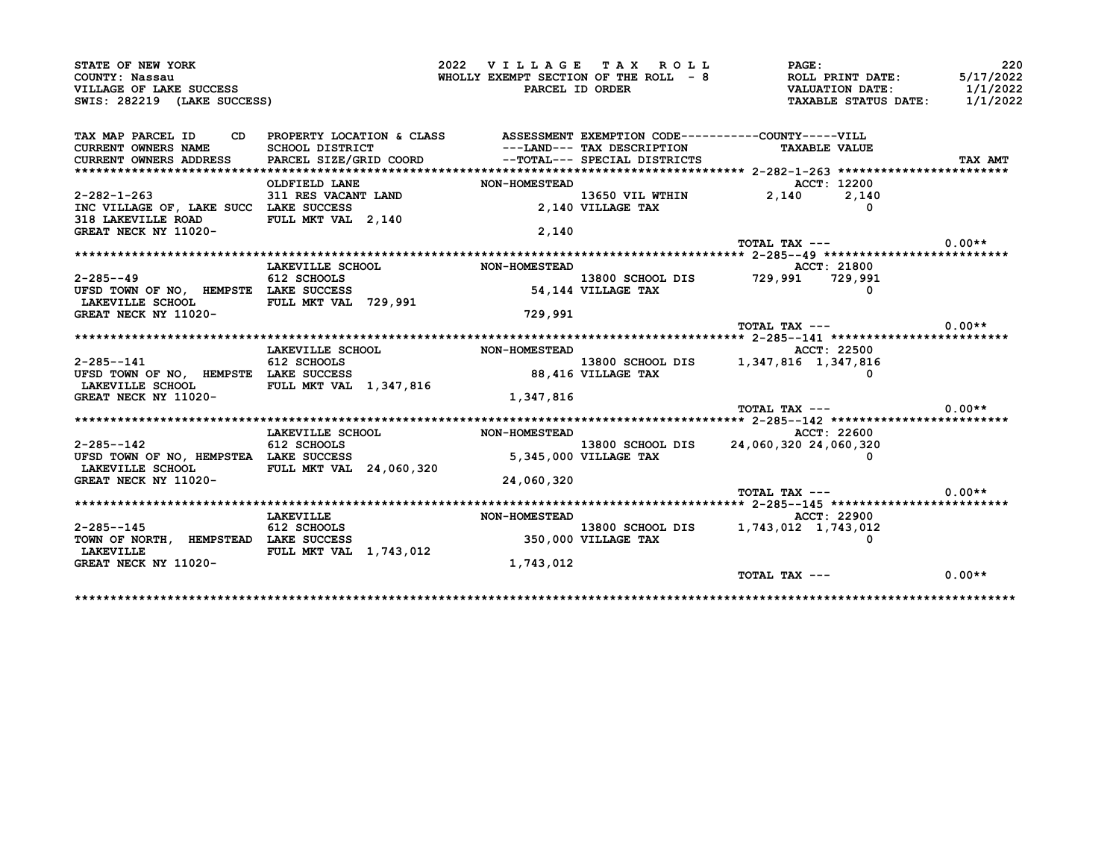| STATE OF NEW YORK                                                                                                                                                                                              |                                                                                                     |                                       | 2022 VILLAGE TAX ROLL        | <b>PAGE:</b>                                                                                                                                                        | 220      |
|----------------------------------------------------------------------------------------------------------------------------------------------------------------------------------------------------------------|-----------------------------------------------------------------------------------------------------|---------------------------------------|------------------------------|---------------------------------------------------------------------------------------------------------------------------------------------------------------------|----------|
| COUNTY: Nassau                                                                                                                                                                                                 |                                                                                                     |                                       |                              | WHOLLY EXEMPT SECTION OF THE ROLL - 8<br>WHOLLY EXEMPT SECTION OF THE ROLL - 8<br>PARCEL ID ORDER<br>TAXABLE STATUS DATE: 1/1/2022<br>TAXABLE STATUS DATE: 1/1/2022 |          |
| VILLAGE OF LAKE SUCCESS                                                                                                                                                                                        |                                                                                                     |                                       |                              |                                                                                                                                                                     |          |
| SWIS: 282219 (LAKE SUCCESS)                                                                                                                                                                                    |                                                                                                     |                                       |                              |                                                                                                                                                                     |          |
| TAX MAP PARCEL ID CD PROPERTY LOCATION & CLASS ASSESSMENT EXEMPTION CODE----------COUNTY-----VILL                                                                                                              |                                                                                                     |                                       |                              |                                                                                                                                                                     |          |
| CURRENT OWNERS NAME                                                                                                                                                                                            | SCHOOL DISTRICT                                                                                     |                                       | ---LAND--- TAX DESCRIPTION   | <b>TAXABLE VALUE</b>                                                                                                                                                |          |
| CURRENT OWNERS ADDRESS                                                                                                                                                                                         | PARCEL SIZE/GRID COORD                                                                              |                                       | --TOTAL--- SPECIAL DISTRICTS |                                                                                                                                                                     | TAX AMT  |
|                                                                                                                                                                                                                |                                                                                                     |                                       |                              |                                                                                                                                                                     |          |
|                                                                                                                                                                                                                | OLDFIELD LANE                                                                                       | <b>NON-HOMESTEAD</b>                  |                              | ACCT: 12200                                                                                                                                                         |          |
| $2 - 282 - 1 - 263$                                                                                                                                                                                            | 311 RES VACANT LAND<br>LAKE SUCCESS                                                                 |                                       |                              | 13650 VIL WTHIN $2,140$ $2,140$ $2,140$                                                                                                                             |          |
| INC VILLAGE OF, LAKE SUCC LAKE SUCCESS                                                                                                                                                                         |                                                                                                     |                                       | 2,140 VILLAGE TAX            |                                                                                                                                                                     |          |
| 318 LAKEVILLE ROAD FULL MKT VAL 2,140                                                                                                                                                                          |                                                                                                     |                                       |                              |                                                                                                                                                                     |          |
| GREAT NECK NY 11020-                                                                                                                                                                                           |                                                                                                     | 2,140                                 |                              |                                                                                                                                                                     |          |
|                                                                                                                                                                                                                |                                                                                                     |                                       |                              | TOTAL TAX $---$ 0.00**                                                                                                                                              |          |
|                                                                                                                                                                                                                |                                                                                                     |                                       |                              |                                                                                                                                                                     |          |
|                                                                                                                                                                                                                | <b>LAKEVILLE SCHOOL</b>                                                                             | <b>NON-HOMESTEAD</b>                  |                              | <b>ACCT: 21800</b>                                                                                                                                                  |          |
| $2-285--49$<br>$0+295--49$<br>$0+295--49$<br>$0+295--49$<br>$0+295--49$<br>$0+295--49$<br>$0+295--49$<br>$0+295--49$<br>$0+295--49$<br>$0+295--49$<br>$0+295--49$<br>$0+295--49$<br>$0+295--49$<br>$0+295--49$ |                                                                                                     |                                       |                              |                                                                                                                                                                     |          |
|                                                                                                                                                                                                                |                                                                                                     |                                       |                              |                                                                                                                                                                     |          |
| LAKEVILLE SCHOOL FULL MKT VAL 729,991                                                                                                                                                                          |                                                                                                     |                                       |                              |                                                                                                                                                                     |          |
| GREAT NECK NY 11020-                                                                                                                                                                                           |                                                                                                     | 729,991                               |                              |                                                                                                                                                                     |          |
|                                                                                                                                                                                                                |                                                                                                     |                                       |                              | TOTAL TAX $---$ 0.00**                                                                                                                                              |          |
|                                                                                                                                                                                                                |                                                                                                     |                                       |                              |                                                                                                                                                                     |          |
|                                                                                                                                                                                                                | LAKEVILLE SCHOOL NON-HOMESTEAD                                                                      |                                       |                              | ACCT: 22500                                                                                                                                                         |          |
|                                                                                                                                                                                                                |                                                                                                     | 13800 SCHOOL<br>88,416 VILLAGE TAX    |                              | 13800 SCHOOL DIS 1,347,816 1,347,816                                                                                                                                |          |
| 2-285--141 612 SCHOOLS<br>UFSD TOWN OF NO, HEMPSTE LAKE SUCCESS                                                                                                                                                |                                                                                                     |                                       |                              |                                                                                                                                                                     |          |
| LAKEVILLE SCHOOL FULL MKT VAL 1,347,816                                                                                                                                                                        |                                                                                                     |                                       |                              |                                                                                                                                                                     |          |
| GREAT NECK NY 11020-                                                                                                                                                                                           |                                                                                                     | 1,347,816                             |                              |                                                                                                                                                                     |          |
|                                                                                                                                                                                                                |                                                                                                     |                                       |                              | $TOTAL$ $TAX$ $---$                                                                                                                                                 | $0.00**$ |
|                                                                                                                                                                                                                |                                                                                                     |                                       |                              |                                                                                                                                                                     |          |
|                                                                                                                                                                                                                | LAKEVILLE SCHOOL NON-HOMESTEAD                                                                      |                                       |                              | ACCT: 22600                                                                                                                                                         |          |
| $2-200=-142$<br>UFSD TOWN OF NO, HEMPSTEA LAKE SUCCESS                                                                                                                                                         |                                                                                                     | 13800 SCHOOL<br>5,345,000 VILLAGE TAX |                              | 13800 SCHOOL DIS 24,060,320 24,060,320                                                                                                                              |          |
|                                                                                                                                                                                                                |                                                                                                     |                                       |                              |                                                                                                                                                                     |          |
| LAKEVILLE SCHOOL FULL MKT VAL 24,060,320                                                                                                                                                                       |                                                                                                     |                                       |                              |                                                                                                                                                                     |          |
| GREAT NECK NY 11020-                                                                                                                                                                                           |                                                                                                     | 24,060,320                            |                              |                                                                                                                                                                     |          |
|                                                                                                                                                                                                                |                                                                                                     |                                       |                              | TOTAL TAX ---                                                                                                                                                       | $0.00**$ |
|                                                                                                                                                                                                                |                                                                                                     |                                       |                              |                                                                                                                                                                     |          |
|                                                                                                                                                                                                                | <b>LAKEVILLE</b>                                                                                    | <b>NON-HOMESTEAD</b>                  |                              | ACCT: 22900                                                                                                                                                         |          |
| $2 - 285 - -145$                                                                                                                                                                                               | 612 SCHOOLS<br>612 SCHOOLS 13800 SCHOOL DIS 1,743,012 1,743,012<br>LAKE SUCCESS 350,000 VILLAGE TAX |                                       |                              |                                                                                                                                                                     |          |
| TOWN OF NORTH, HEMPSTEAD LAKE SUCCESS                                                                                                                                                                          |                                                                                                     |                                       |                              |                                                                                                                                                                     |          |
| LAKEVILLE FULL MKT VAL 1,743,012                                                                                                                                                                               |                                                                                                     |                                       |                              |                                                                                                                                                                     |          |
| GREAT NECK NY 11020-                                                                                                                                                                                           |                                                                                                     | 1,743,012                             |                              |                                                                                                                                                                     |          |
|                                                                                                                                                                                                                |                                                                                                     |                                       |                              | TOTAL TAX ---                                                                                                                                                       | $0.00**$ |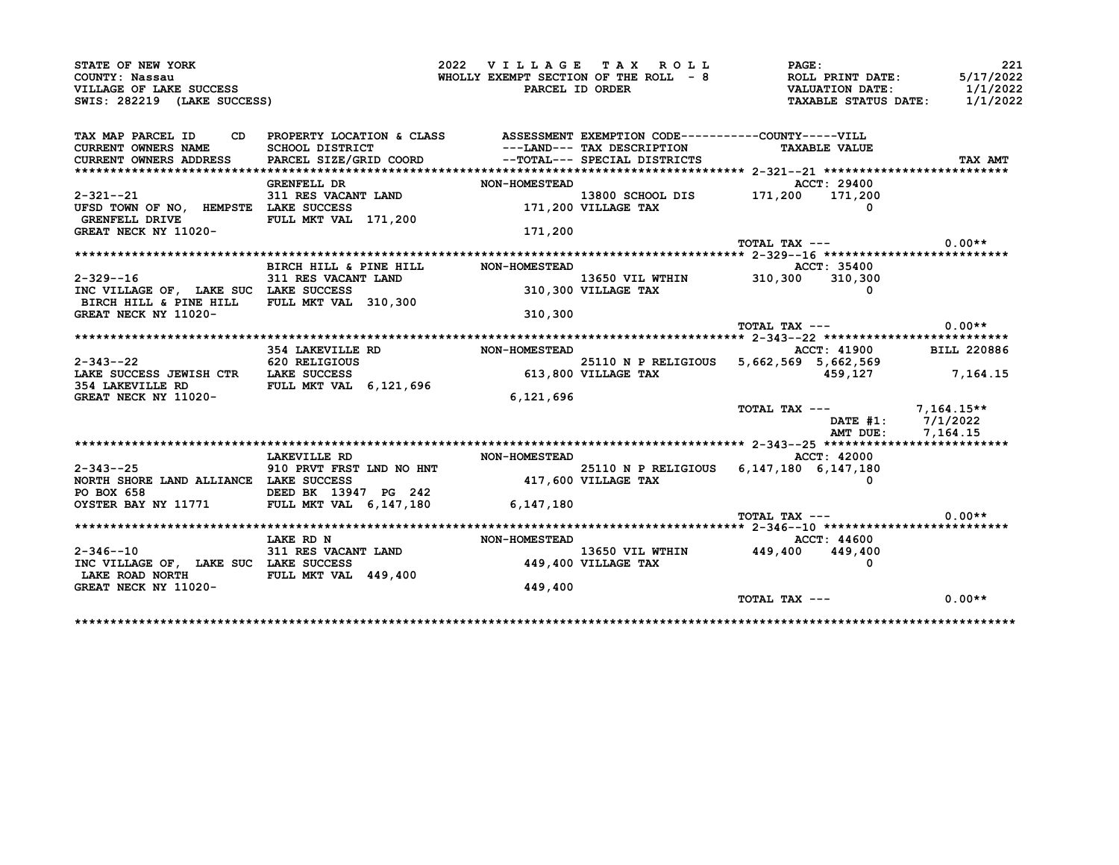| STATE OF NEW YORK<br>COUNTY: Nassau                                                                            |                                                                                 | 2022 VILLAGE TAX ROLL |                            | PAGE:<br>WHOLLY EXEMPT SECTION OF THE ROLL $-8$ ROLL PRINT DATE: | 221<br>5/17/2022   |
|----------------------------------------------------------------------------------------------------------------|---------------------------------------------------------------------------------|-----------------------|----------------------------|------------------------------------------------------------------|--------------------|
| VILLAGE OF LAKE SUCCESS<br>SWIS: 282219 (LAKE SUCCESS)                                                         |                                                                                 |                       | PARCEL ID ORDER            | <b>VALUATION DATE:</b><br>TAXABLE STATUS DATE: 1/1/2022          | 1/1/2022           |
| TAX MAP PARCEL ID                                                                                              | CD PROPERTY LOCATION & CLASS ASSESSMENT EXEMPTION CODE----------COUNTY-----VILL |                       |                            |                                                                  |                    |
| <b>CURRENT OWNERS NAME</b>                                                                                     | SCHOOL DISTRICT                                                                 |                       | ---LAND--- TAX DESCRIPTION | <b>TAXABLE VALUE</b>                                             |                    |
| <b>CURRENT OWNERS ADDRESS</b>                                                                                  | PARCEL SIZE/GRID COORD --TOTAL--- SPECIAL DISTRICTS                             |                       |                            |                                                                  | TAX AMT            |
|                                                                                                                | <b>GRENFELL DR</b>                                                              | <b>NON-HOMESTEAD</b>  |                            | <b>ACCT: 29400</b>                                               |                    |
| 2-321--21                                                                                                      | 311 RES VACANT LAND                                                             |                       |                            |                                                                  |                    |
| UFSD TOWN OF NO, HEMPSTE LAKE SUCCESS<br>GRENFELL DRIVE FULL MKT VAL 171,200                                   |                                                                                 |                       |                            | 13800 SCHOOL DIS 171,200 171,200<br>171,200 VILLAGE TAX 0        |                    |
| GREAT NECK NY 11020-                                                                                           |                                                                                 | 171,200               |                            |                                                                  |                    |
|                                                                                                                |                                                                                 |                       |                            | TOTAL TAX ---                                                    | $0.00**$           |
|                                                                                                                |                                                                                 |                       |                            |                                                                  |                    |
|                                                                                                                | BIRCH HILL & PINE HILL                                                          | <b>NON-HOMESTEAD</b>  |                            | ACCT: 35400                                                      |                    |
| $2 - 329 - -16$                                                                                                | 311 RES VACANT LAND                                                             |                       | 310,300 VILLAGE TAX        | 13650 VIL WTHIN 310,300 310,300                                  |                    |
| INC VILLAGE OF, LAKE SUC LAKE SUCCESS<br>BIRCH HILL & PINE HILL FULL MKT VAL 310,300                           |                                                                                 |                       |                            |                                                                  |                    |
| GREAT NECK NY 11020-                                                                                           |                                                                                 | 310,300               |                            |                                                                  |                    |
|                                                                                                                |                                                                                 |                       |                            | TOTAL TAX ---                                                    | $0.00**$           |
|                                                                                                                |                                                                                 |                       |                            |                                                                  |                    |
|                                                                                                                | 354 LAKEVILLE RD                                                                | NON-HOMESTEAD         |                            | <b>ACCT: 41900</b>                                               | <b>BILL 220886</b> |
| $2-343$ --22 $2$ 620 RELIGIOUS $25110$ N P RELIGIC 1.4XE SUCCESS JEWISH CTR LAKE SUCCESS $613,800$ VILLAGE TAX |                                                                                 |                       |                            | 25110 N P RELIGIOUS 5,662,569 5,662,569                          |                    |
|                                                                                                                |                                                                                 |                       |                            | 459,127                                                          | 7,164.15           |
| <b>354 LAKEVILLE RD</b><br><b>GREAT NECK NY 11020-</b>                                                         | FULL MKT VAL 6,121,696                                                          | 6,121,696             |                            |                                                                  |                    |
|                                                                                                                |                                                                                 |                       |                            | TOTAL TAX $---$ 7,164.15**                                       |                    |
|                                                                                                                |                                                                                 |                       |                            | DATE #1: 7/1/2022                                                |                    |
|                                                                                                                |                                                                                 |                       |                            | AMT DUE: 7,164.15                                                |                    |
|                                                                                                                |                                                                                 |                       |                            |                                                                  |                    |
|                                                                                                                | LAKEVILLE RD                                                                    | <b>NON-HOMESTEAD</b>  |                            | ACCT: 42000                                                      |                    |
| 2-343--25                                                                                                      | 910 PRVT FRST LND NO HNT                                                        |                       |                            | 25110 N P RELIGIOUS 6, 147, 180 6, 147, 180                      |                    |
| NORTH SHORE LAND ALLIANCE LAKE SUCCESS                                                                         |                                                                                 |                       | 417,600 VILLAGE TAX        |                                                                  |                    |
|                                                                                                                |                                                                                 |                       |                            |                                                                  |                    |
|                                                                                                                |                                                                                 |                       |                            | TOTAL TAX ---                                                    | $0.00**$           |
|                                                                                                                |                                                                                 |                       |                            |                                                                  |                    |
|                                                                                                                | LAKE RD N                                                                       | <b>NON-HOMESTEAD</b>  |                            | <b>ACCT: 44600</b>                                               |                    |
| $2 - 346 - -10$                                                                                                | 311 RES VACANT LAND<br>LAKE SUCCESS                                             |                       |                            | 13650 VIL WTHIN 449,400 449,400                                  |                    |
| INC VILLAGE OF, LAKE SUC LAKE SUCCESS                                                                          |                                                                                 |                       | 449,400 VILLAGE TAX        |                                                                  |                    |
| LAKE ROAD NORTH<br>GREAT NECK NY 11020-                                                                        | FULL MKT VAL 449,400                                                            | 449,400               |                            |                                                                  |                    |
|                                                                                                                |                                                                                 |                       |                            | TOTAL TAX ---                                                    | $0.00**$           |
|                                                                                                                |                                                                                 |                       |                            |                                                                  |                    |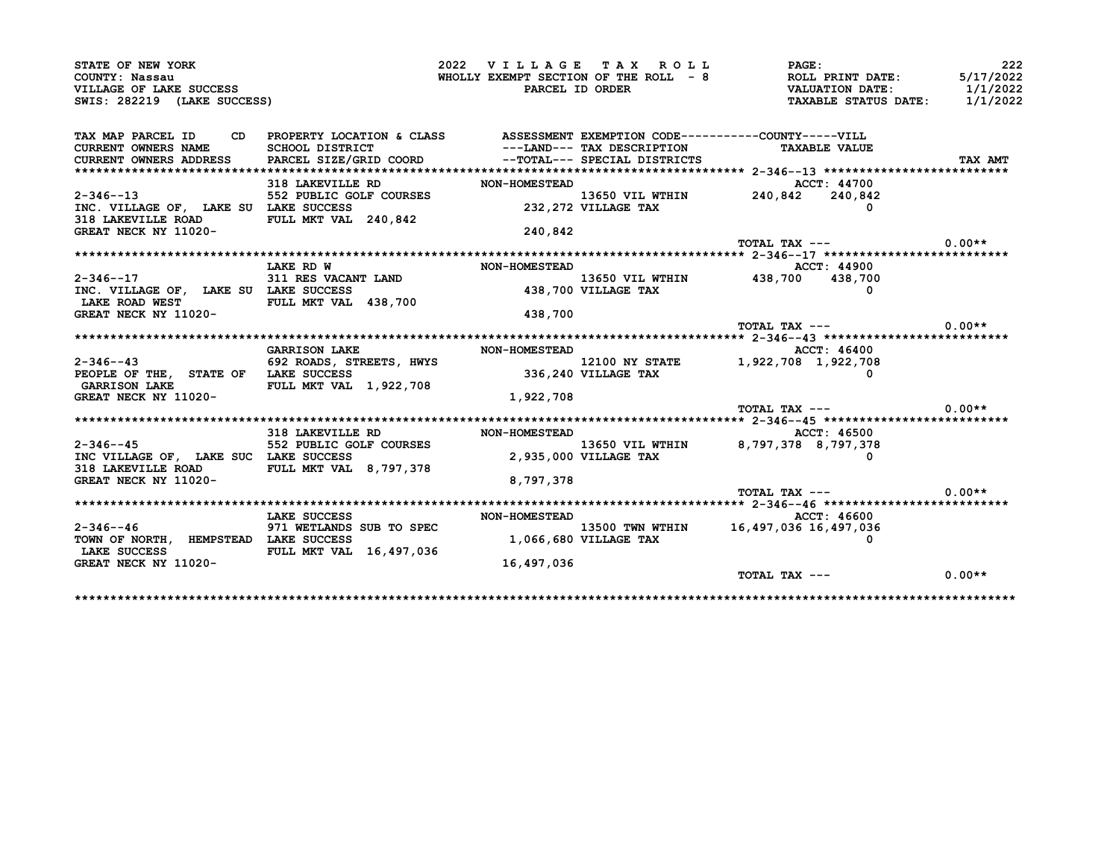| STATE OF NEW YORK                                                                                                 |                                                                                                                                                                                                              |                      | 2022 VILLAGE TAX ROLL        | <b>PAGE:</b>                                                                                                                    | 222      |
|-------------------------------------------------------------------------------------------------------------------|--------------------------------------------------------------------------------------------------------------------------------------------------------------------------------------------------------------|----------------------|------------------------------|---------------------------------------------------------------------------------------------------------------------------------|----------|
| COUNTY: Nassau                                                                                                    |                                                                                                                                                                                                              |                      |                              | WHOLLY EXEMPT SECTION OF THE ROLL - 8<br>WHOLLY EXEMPT SECTION OF THE ROLL - 8<br>PARCEL ID ORDER TANABLE STATUS DATE: 1/1/2022 |          |
| VILLAGE OF LAKE SUCCESS                                                                                           |                                                                                                                                                                                                              |                      |                              |                                                                                                                                 |          |
| SWIS: 282219 (LAKE SUCCESS)                                                                                       |                                                                                                                                                                                                              |                      |                              |                                                                                                                                 |          |
| TAX MAP PARCEL ID CD PROPERTY LOCATION & CLASS ASSESSMENT EXEMPTION CODE----------COUNTY-----VILL                 |                                                                                                                                                                                                              |                      |                              |                                                                                                                                 |          |
| CURRENT OWNERS NAME                                                                                               | SCHOOL DISTRICT                                                                                                                                                                                              |                      | ---LAND--- TAX DESCRIPTION   | <b>TAXABLE VALUE</b>                                                                                                            |          |
| CURRENT OWNERS ADDRESS                                                                                            | PARCEL SIZE/GRID COORD                                                                                                                                                                                       |                      | --TOTAL--- SPECIAL DISTRICTS |                                                                                                                                 | TAX AMT  |
|                                                                                                                   |                                                                                                                                                                                                              |                      |                              |                                                                                                                                 |          |
|                                                                                                                   |                                                                                                                                                                                                              |                      |                              |                                                                                                                                 |          |
| $2 - 346 - -13$                                                                                                   |                                                                                                                                                                                                              |                      |                              |                                                                                                                                 |          |
| INC. VILLAGE OF, LAKE SU LAKE SUCCESS                                                                             |                                                                                                                                                                                                              |                      |                              |                                                                                                                                 |          |
| 318 LAKEVILLE ROAD FULL MKT VAL 240,842                                                                           |                                                                                                                                                                                                              |                      |                              |                                                                                                                                 |          |
| GREAT NECK NY 11020-                                                                                              |                                                                                                                                                                                                              | 240,842              |                              |                                                                                                                                 |          |
|                                                                                                                   |                                                                                                                                                                                                              |                      |                              | TOTAL TAX $---$ 0.00**                                                                                                          |          |
|                                                                                                                   |                                                                                                                                                                                                              |                      |                              |                                                                                                                                 |          |
|                                                                                                                   | LAKE RD W                                                                                                                                                                                                    | <b>NON-HOMESTEAD</b> |                              | <b>ACCT: 44900</b>                                                                                                              |          |
| $2 - 346 - 17$                                                                                                    |                                                                                                                                                                                                              |                      |                              |                                                                                                                                 |          |
| INC. VILLAGE OF, LAKE SU LAKE SUCCESS                                                                             | 311 RES VACANT LAND $13650$ VIL WTHIN $438,700$ $438,700$ $438,700$                                                                                                                                          |                      |                              |                                                                                                                                 |          |
| LAKE ROAD WEST FULL MKT VAL 438,700                                                                               |                                                                                                                                                                                                              |                      |                              |                                                                                                                                 |          |
| GREAT NECK NY 11020-                                                                                              |                                                                                                                                                                                                              | 438,700              |                              |                                                                                                                                 |          |
|                                                                                                                   |                                                                                                                                                                                                              |                      |                              | TOTAL TAX $---$ 0.00**                                                                                                          |          |
|                                                                                                                   |                                                                                                                                                                                                              |                      |                              |                                                                                                                                 |          |
|                                                                                                                   | <b>GARRISON LAKE</b>                                                                                                                                                                                         | <b>NON-HOMESTEAD</b> |                              | ACCT: 46400                                                                                                                     |          |
|                                                                                                                   |                                                                                                                                                                                                              |                      |                              |                                                                                                                                 |          |
| $2-346-43$ 692 ROADS, STREETS, HWYS $2-346-43$ 12100 NY STATE 1,922,708 1,922,708 1,922,708 1,922,708 1,922,708 0 |                                                                                                                                                                                                              |                      |                              |                                                                                                                                 |          |
| GARRISON LAKE FULL MKT VAL 1,922,708                                                                              |                                                                                                                                                                                                              |                      |                              |                                                                                                                                 |          |
| GREAT NECK NY 11020-                                                                                              |                                                                                                                                                                                                              | 1,922,708            |                              |                                                                                                                                 |          |
|                                                                                                                   |                                                                                                                                                                                                              |                      |                              | TOTAL TAX ---                                                                                                                   | $0.00**$ |
|                                                                                                                   |                                                                                                                                                                                                              |                      |                              |                                                                                                                                 |          |
|                                                                                                                   | 318 LAKEVILLE RD<br>552 PUBLIC GOLF COURSES                                                                                                                                                                  | <b>NON-HOMESTEAD</b> |                              | ACCT: 46500                                                                                                                     |          |
| $2 - 346 - - 45$                                                                                                  |                                                                                                                                                                                                              |                      |                              | 13650 VIL WTHIN 8,797,378 8,797,378                                                                                             |          |
| INC VILLAGE OF, LAKE SUC LAKE SUCCESS                                                                             |                                                                                                                                                                                                              |                      | 2,935,000 VILLAGE TAX        |                                                                                                                                 |          |
| 318 LAKEVILLE ROAD FULL MKT VAL 8,797,378                                                                         |                                                                                                                                                                                                              |                      |                              |                                                                                                                                 |          |
| GREAT NECK NY 11020-                                                                                              |                                                                                                                                                                                                              | 8,797,378            |                              |                                                                                                                                 |          |
|                                                                                                                   |                                                                                                                                                                                                              |                      |                              | TOTAL TAX ---                                                                                                                   | $0.00**$ |
|                                                                                                                   |                                                                                                                                                                                                              |                      |                              |                                                                                                                                 |          |
|                                                                                                                   | LAKE SUCCESS                                                                                                                                                                                                 | <b>NON-HOMESTEAD</b> |                              | ACCT: 46600                                                                                                                     |          |
| $2 - 346 - - 46$                                                                                                  | 971 WETLANDS SUB TO SPEC $1,066,680$ VILLAGE TAX $16,497,036$ 16,497,036 16,497,036 16,497,036 16,497,036 16,497,036 16,497,036 16,497,036 16,497,036 16,497,036 16,497,036 16,497,036 1,066,680 VILLAGE TAX |                      |                              |                                                                                                                                 |          |
|                                                                                                                   |                                                                                                                                                                                                              |                      |                              |                                                                                                                                 |          |
| TOWN OF NORTH, HEMPSTEAD LAKE SUCCESS                                                                             |                                                                                                                                                                                                              |                      |                              |                                                                                                                                 |          |
| LAKE SUCCESS FULL MKT VAL 16,497,036                                                                              |                                                                                                                                                                                                              |                      |                              |                                                                                                                                 |          |
| GREAT NECK NY 11020-                                                                                              |                                                                                                                                                                                                              | 16,497,036           |                              | TOTAL TAX ---                                                                                                                   | $0.00**$ |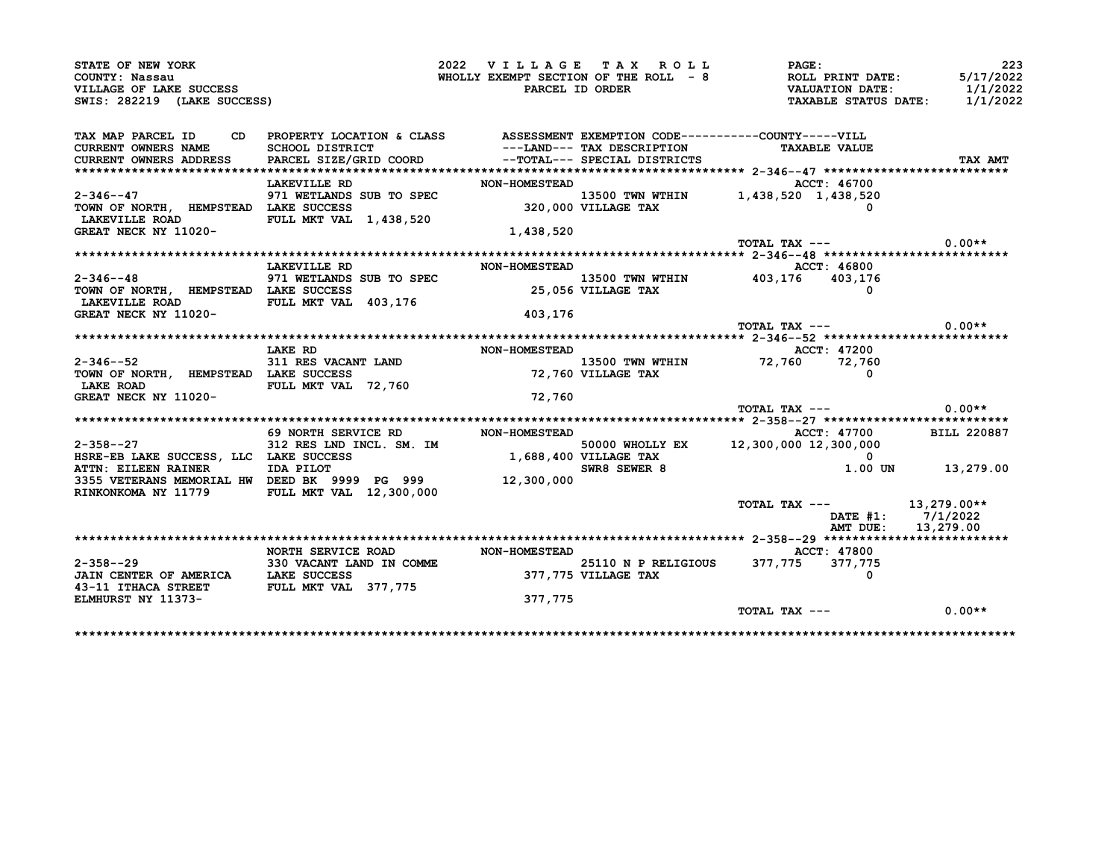| STATE OF NEW YORK                                                                                                                                                                                                                                          |                                                                                                                                             | 2022 VILLAGE TAX ROLL |                     | <b>PAGE :</b>                                                                                                                   | 223                |
|------------------------------------------------------------------------------------------------------------------------------------------------------------------------------------------------------------------------------------------------------------|---------------------------------------------------------------------------------------------------------------------------------------------|-----------------------|---------------------|---------------------------------------------------------------------------------------------------------------------------------|--------------------|
| COUNTY: Nassau                                                                                                                                                                                                                                             |                                                                                                                                             |                       |                     | WHOLLY EXEMPT SECTION OF THE ROLL - 8<br>WHOLLY EXEMPT SECTION OF THE ROLL - 8<br>PARCEL ID ORDER TAXABLE STATUS DATE: 1/1/2022 |                    |
| VILLAGE OF LAKE SUCCESS                                                                                                                                                                                                                                    |                                                                                                                                             |                       |                     |                                                                                                                                 |                    |
| SWIS: 282219 (LAKE SUCCESS)                                                                                                                                                                                                                                |                                                                                                                                             |                       |                     |                                                                                                                                 |                    |
| TAX MAP PARCEL ID                                                                                                                                                                                                                                          |                                                                                                                                             |                       |                     |                                                                                                                                 |                    |
| CURRENT OWNERS NAME SCHOOL DISTRICT                                                                                                                                                                                                                        | CD PROPERTY LOCATION & CLASS ASSESSMENT EXEMPTION CODE----------COUNTY-----VILL<br>SCHOOL DISTRICT ---LAND--- TAX DESCRIPTION TAXABLE VALUE |                       |                     | <b>TAXABLE VALUE</b>                                                                                                            |                    |
| CURRENT OWNERS ADDRESS PARCEL SIZE/GRID COORD --TOTAL--- SPECIAL DISTRICTS                                                                                                                                                                                 |                                                                                                                                             |                       |                     |                                                                                                                                 | TAX AMT            |
|                                                                                                                                                                                                                                                            |                                                                                                                                             |                       |                     |                                                                                                                                 |                    |
|                                                                                                                                                                                                                                                            | <b>LAKEVILLE RD</b>                                                                                                                         |                       | NON-HOMESTEAD       | ACCT: 46700                                                                                                                     |                    |
| $2 - 346 - - 47$<br>$\begin{array}{lllllllllll} 2-346 & -47 & 971 & \text{WETLANDS SUB TO SPEC} & 13500 & \text{TWN WITH UN} & 1,438,520 & 1,438,520 \\ \text{TOWN OF NORTH, HEMPSTEAD LAKE SUCCESS & & & 320,000 VILLAGE TAX & & & 0 \\ \end{array}$      |                                                                                                                                             |                       |                     |                                                                                                                                 |                    |
|                                                                                                                                                                                                                                                            |                                                                                                                                             |                       |                     |                                                                                                                                 |                    |
| LAKEVILLE ROAD FULL MKT VAL 1,438,520                                                                                                                                                                                                                      |                                                                                                                                             |                       |                     |                                                                                                                                 |                    |
| GREAT NECK NY 11020-                                                                                                                                                                                                                                       |                                                                                                                                             | 1,438,520             |                     |                                                                                                                                 |                    |
|                                                                                                                                                                                                                                                            |                                                                                                                                             |                       |                     | TOTAL TAX $---$ 0.00**                                                                                                          |                    |
|                                                                                                                                                                                                                                                            | LAKEVILLE RD                                                                                                                                | <b>NON-HOMESTEAD</b>  |                     | ACCT: 46800                                                                                                                     |                    |
| $2 - 346 - -48$                                                                                                                                                                                                                                            |                                                                                                                                             |                       |                     |                                                                                                                                 |                    |
|                                                                                                                                                                                                                                                            | 971 WETLANDS SUB TO SPEC<br>LAKE SUCCESS 25,056 VILLAGE TAX 403,176 403,176                                                                 |                       |                     |                                                                                                                                 |                    |
| TOWN OF NORTH, HEMPSTEAD LAKE SUCCESS<br>LAKEVILLE ROAD FULL MKT VAL 403,176                                                                                                                                                                               |                                                                                                                                             |                       |                     |                                                                                                                                 |                    |
| GREAT NECK NY 11020-                                                                                                                                                                                                                                       |                                                                                                                                             | 403,176               |                     |                                                                                                                                 |                    |
|                                                                                                                                                                                                                                                            |                                                                                                                                             |                       |                     | TOTAL TAX $---$ 0.00**                                                                                                          |                    |
|                                                                                                                                                                                                                                                            |                                                                                                                                             |                       |                     |                                                                                                                                 |                    |
|                                                                                                                                                                                                                                                            | <b>LAKE RD</b>                                                                                                                              |                       |                     | <b>ACCT: 47200</b>                                                                                                              |                    |
|                                                                                                                                                                                                                                                            |                                                                                                                                             |                       |                     |                                                                                                                                 |                    |
|                                                                                                                                                                                                                                                            |                                                                                                                                             | NON-HOMESTEAD         |                     |                                                                                                                                 |                    |
|                                                                                                                                                                                                                                                            |                                                                                                                                             |                       |                     | 13500 TWN WTHIN 72,760 72,760                                                                                                   |                    |
|                                                                                                                                                                                                                                                            |                                                                                                                                             |                       | 72,760 VILLAGE TAX  |                                                                                                                                 |                    |
| LAKE ROAD FULL MKT VAL 72,760                                                                                                                                                                                                                              |                                                                                                                                             | 72,760                |                     |                                                                                                                                 |                    |
|                                                                                                                                                                                                                                                            |                                                                                                                                             |                       |                     | TOTAL TAX ---                                                                                                                   | $0.00**$           |
|                                                                                                                                                                                                                                                            |                                                                                                                                             |                       |                     |                                                                                                                                 |                    |
|                                                                                                                                                                                                                                                            |                                                                                                                                             |                       |                     | ACCT: 47700 BILL 220887                                                                                                         |                    |
|                                                                                                                                                                                                                                                            |                                                                                                                                             |                       |                     |                                                                                                                                 |                    |
|                                                                                                                                                                                                                                                            |                                                                                                                                             |                       |                     |                                                                                                                                 |                    |
|                                                                                                                                                                                                                                                            |                                                                                                                                             |                       |                     |                                                                                                                                 | 1.00 UN 13,279.00  |
|                                                                                                                                                                                                                                                            |                                                                                                                                             |                       |                     |                                                                                                                                 |                    |
| $2 - 346 - -52$<br>2-346--52 311 RES VACANT LAND<br>TOWN OF NORTH, HEMPSTEAD LAKE SUCCESS<br><b>GREAT NECK NY 11020-</b><br>ATIN: EILEEN RAINER<br>3355 VETERANS MEMORIAL HW DEED BK 9999 PG 999 12,300,000<br>RINKONKOMA NY 11779 FULL MKT VAL 12,300,000 |                                                                                                                                             |                       |                     |                                                                                                                                 |                    |
|                                                                                                                                                                                                                                                            |                                                                                                                                             |                       |                     | TOTAL TAX --- $13,279.00**$                                                                                                     |                    |
|                                                                                                                                                                                                                                                            |                                                                                                                                             |                       |                     |                                                                                                                                 | DATE #1: 7/1/2022  |
|                                                                                                                                                                                                                                                            |                                                                                                                                             |                       |                     |                                                                                                                                 | AMT DUE: 13,279.00 |
|                                                                                                                                                                                                                                                            |                                                                                                                                             |                       |                     |                                                                                                                                 |                    |
|                                                                                                                                                                                                                                                            | NORTH SERVICE ROAD NON-HOMESTEAD                                                                                                            |                       |                     | ACCT: 47800                                                                                                                     |                    |
|                                                                                                                                                                                                                                                            |                                                                                                                                             |                       |                     | 25110 N P RELIGIOUS 377, 775 377, 775<br>$\Omega$                                                                               |                    |
|                                                                                                                                                                                                                                                            |                                                                                                                                             |                       | 377,775 VILLAGE TAX |                                                                                                                                 |                    |
| $2 - 358 - -29$<br>2-358--29 330 VACANT LAND IN COMME<br>JAIN CENTER OF AMERICA LAKE SUCCESS<br>43-11 ITHACA STREET FULL MKT VAL 377,775<br><b>ELMHURST NY 11373-</b>                                                                                      |                                                                                                                                             | 377,775               |                     | TOTAL TAX ---                                                                                                                   |                    |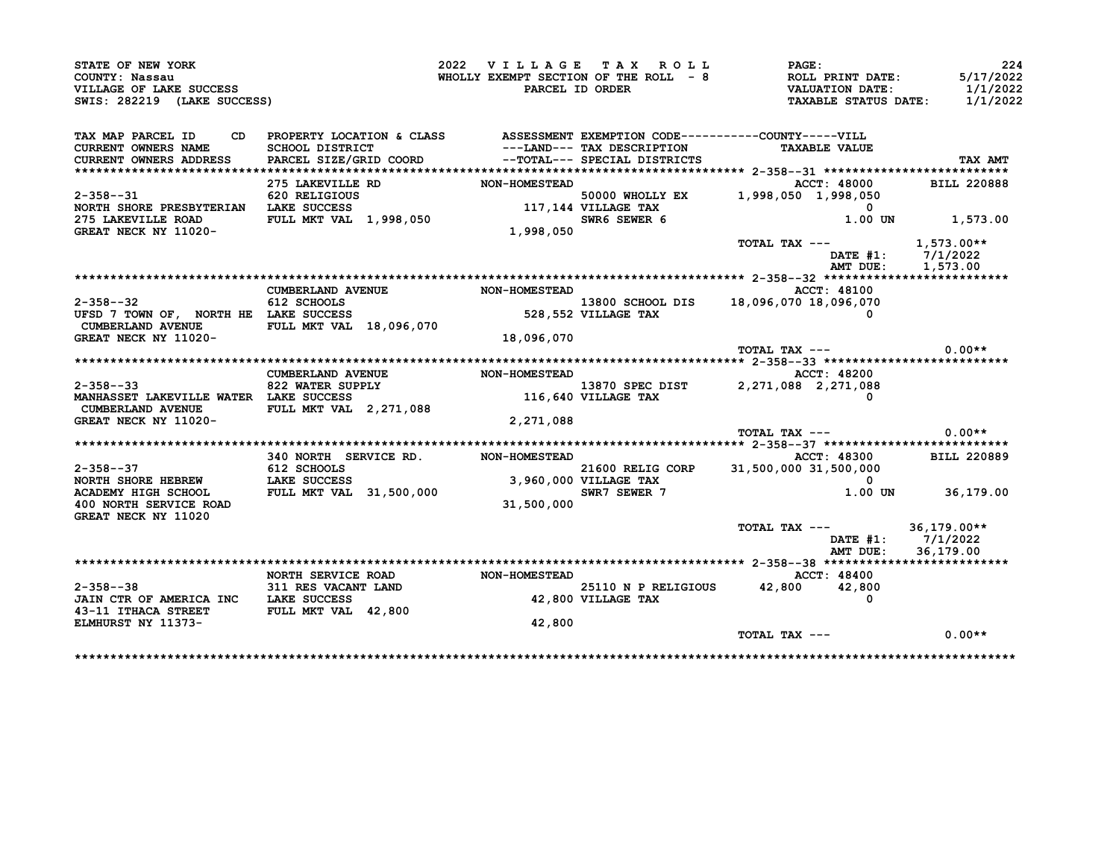| STATE OF NEW YORK<br>COUNTY: Nassau<br>VILLAGE OF LAKE SUCCESS                                                                                                                                                                                                                                                                                             |                                                                                 | 2022 VILLAGE TAX ROLL | PAGE:                                                                                                                                         | 224                |
|------------------------------------------------------------------------------------------------------------------------------------------------------------------------------------------------------------------------------------------------------------------------------------------------------------------------------------------------------------|---------------------------------------------------------------------------------|-----------------------|-----------------------------------------------------------------------------------------------------------------------------------------------|--------------------|
|                                                                                                                                                                                                                                                                                                                                                            |                                                                                 |                       |                                                                                                                                               |                    |
| SWIS: 282219 (LAKE SUCCESS)                                                                                                                                                                                                                                                                                                                                |                                                                                 |                       | WHOLLY EXEMPT SECTION OF THE ROLL - 8 ROLL PRINT DATE: 5/17/2022<br>PARCEL ID ORDER VALUATION DATE: 1/1/2022<br>TAXABLE STATUS DATE: 1/1/2022 |                    |
|                                                                                                                                                                                                                                                                                                                                                            |                                                                                 |                       |                                                                                                                                               |                    |
| TAX MAP PARCEL ID                                                                                                                                                                                                                                                                                                                                          | CD PROPERTY LOCATION & CLASS ASSESSMENT EXEMPTION CODE----------COUNTY-----VILL |                       |                                                                                                                                               |                    |
| <b>CURRENT OWNERS NAME</b><br>CURRENT OWNERS ADDRESS                                                                                                                                                                                                                                                                                                       |                                                                                 |                       |                                                                                                                                               | TAX AMT            |
|                                                                                                                                                                                                                                                                                                                                                            |                                                                                 |                       |                                                                                                                                               |                    |
|                                                                                                                                                                                                                                                                                                                                                            |                                                                                 |                       | ACCT: 48000                                                                                                                                   | <b>BILL 220888</b> |
|                                                                                                                                                                                                                                                                                                                                                            |                                                                                 |                       |                                                                                                                                               |                    |
|                                                                                                                                                                                                                                                                                                                                                            |                                                                                 |                       |                                                                                                                                               |                    |
|                                                                                                                                                                                                                                                                                                                                                            |                                                                                 |                       |                                                                                                                                               | 1.00 UN 1,573.00   |
|                                                                                                                                                                                                                                                                                                                                                            |                                                                                 |                       |                                                                                                                                               |                    |
|                                                                                                                                                                                                                                                                                                                                                            |                                                                                 |                       | TOTAL TAX --- 1,573.00**                                                                                                                      |                    |
|                                                                                                                                                                                                                                                                                                                                                            |                                                                                 |                       |                                                                                                                                               | DATE #1: 7/1/2022  |
|                                                                                                                                                                                                                                                                                                                                                            |                                                                                 |                       |                                                                                                                                               | AMT DUE: 1,573.00  |
|                                                                                                                                                                                                                                                                                                                                                            |                                                                                 |                       |                                                                                                                                               |                    |
|                                                                                                                                                                                                                                                                                                                                                            | <b>CUMBERLAND AVENUE</b>                                                        | <b>NON-HOMESTEAD</b>  | <b>ACCT: 48100</b>                                                                                                                            |                    |
|                                                                                                                                                                                                                                                                                                                                                            |                                                                                 |                       |                                                                                                                                               |                    |
| 2-358--32<br>$612$ SCHOOLS<br>TEXT: 2010<br>UFSD 7 TOWN OF, NORTH HE LAKE SUCCESS<br>$528,552$ VILLAGE TAX<br>$528,552$ VILLAGE TAX                                                                                                                                                                                                                        |                                                                                 |                       |                                                                                                                                               |                    |
| CUMBERLAND AVENUE FULL MKT VAL 18,096,070                                                                                                                                                                                                                                                                                                                  |                                                                                 |                       |                                                                                                                                               |                    |
| GREAT NECK NY 11020-                                                                                                                                                                                                                                                                                                                                       |                                                                                 | 18,096,070            |                                                                                                                                               |                    |
|                                                                                                                                                                                                                                                                                                                                                            |                                                                                 |                       | TOTAL TAX ---                                                                                                                                 | $0.00**$           |
|                                                                                                                                                                                                                                                                                                                                                            |                                                                                 |                       |                                                                                                                                               |                    |
|                                                                                                                                                                                                                                                                                                                                                            |                                                                                 |                       |                                                                                                                                               |                    |
|                                                                                                                                                                                                                                                                                                                                                            |                                                                                 |                       |                                                                                                                                               |                    |
|                                                                                                                                                                                                                                                                                                                                                            |                                                                                 |                       |                                                                                                                                               |                    |
| $\begin{array}{cccc} & & \text{CUMBERTE} & \text{QUMBERTE} & \text{QUMBERTE} & \text{QUMBERTE} \\ & & 822 \text{ WATER SUPPLY} & & 13870 \text{ SPEC DIST} & 2,271,088 \text{ Z},271,088 \\ & & 822 \text{ WATER SUPPLY} & & 13870 \text{ SPEC DIST} & 2,271,088 \text{ Z},271,088 \\ & & 116,640 \text{ VILLAGE TAX} & & 2,271,088 \text{ Z} \end{array}$ |                                                                                 |                       |                                                                                                                                               |                    |
| GREAT NECK NY 11020-                                                                                                                                                                                                                                                                                                                                       |                                                                                 | 2,271,088             |                                                                                                                                               |                    |
|                                                                                                                                                                                                                                                                                                                                                            |                                                                                 |                       | TOTAL TAX $---$ 0.00**                                                                                                                        |                    |
|                                                                                                                                                                                                                                                                                                                                                            |                                                                                 |                       |                                                                                                                                               |                    |
|                                                                                                                                                                                                                                                                                                                                                            | 340 NORTH SERVICE RD. NON-HOMESTEAD                                             |                       | ACCT: 48300 BILL 220889                                                                                                                       |                    |
|                                                                                                                                                                                                                                                                                                                                                            |                                                                                 |                       |                                                                                                                                               |                    |
|                                                                                                                                                                                                                                                                                                                                                            |                                                                                 |                       |                                                                                                                                               |                    |
| 2-358--37 612 SCHOOLS<br>NORTH SHORE HEBREW LAKE SUCCESS 21600 ON LILAGE TAX<br>ACADEMY HIGH SCHOOL FULL MKT VAL 31,500,000<br>ACADEMY HIGH SCHOOL FULL MKT VAL 31,500,000 31,500,000 SWR7 SEWER 7 1.00 UN                                                                                                                                                 |                                                                                 |                       |                                                                                                                                               | 1.00 UN 36,179.00  |
| 400 NORTH SERVICE ROAD<br>GREAT NECK NY 11020                                                                                                                                                                                                                                                                                                              |                                                                                 | 31,500,000            |                                                                                                                                               |                    |
|                                                                                                                                                                                                                                                                                                                                                            |                                                                                 |                       | TOTAL TAX --- $36,179.00**$                                                                                                                   |                    |
|                                                                                                                                                                                                                                                                                                                                                            |                                                                                 |                       |                                                                                                                                               | DATE #1: 7/1/2022  |
|                                                                                                                                                                                                                                                                                                                                                            |                                                                                 |                       | AMT DUE:                                                                                                                                      | 36,179.00          |
|                                                                                                                                                                                                                                                                                                                                                            |                                                                                 |                       |                                                                                                                                               |                    |
|                                                                                                                                                                                                                                                                                                                                                            |                                                                                 |                       |                                                                                                                                               |                    |
| NORTH SERVICE ROAD<br>25110 N P RELIGIOUS ACCT: 48400<br>311 RES VACANT LAND 25110 N P RELIGIOUS 42,800<br>311 ALN CTR OF AMERICA INC LAKE SUCCESS 42,800 42,800 VILLAGE TAX                                                                                                                                                                               |                                                                                 |                       |                                                                                                                                               |                    |
|                                                                                                                                                                                                                                                                                                                                                            |                                                                                 |                       |                                                                                                                                               |                    |
| 43-11 ITHACA STREET FULL MKT VAL 42,800                                                                                                                                                                                                                                                                                                                    |                                                                                 |                       |                                                                                                                                               |                    |
| <b>ELMHURST NY 11373-</b>                                                                                                                                                                                                                                                                                                                                  |                                                                                 | 42,800                |                                                                                                                                               |                    |
|                                                                                                                                                                                                                                                                                                                                                            |                                                                                 |                       | TOTAL TAX ---                                                                                                                                 | $0.00**$           |
|                                                                                                                                                                                                                                                                                                                                                            |                                                                                 |                       |                                                                                                                                               |                    |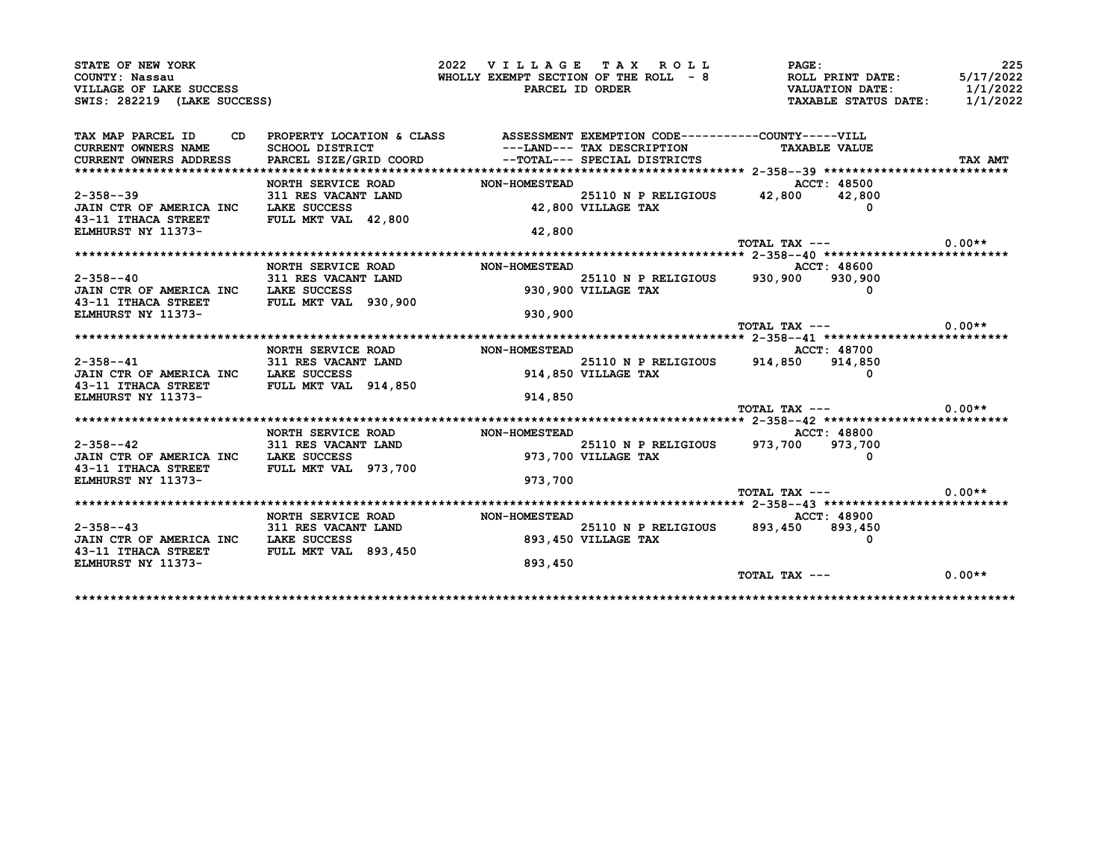| STATE OF NEW YORK                                      |                                                                                 | 2022 VILLAGE TAX ROLL |                              | PAGE:                                                                                                         | 225                  |
|--------------------------------------------------------|---------------------------------------------------------------------------------|-----------------------|------------------------------|---------------------------------------------------------------------------------------------------------------|----------------------|
| COUNTY: Nassau                                         |                                                                                 |                       |                              |                                                                                                               | 5/17/2022            |
| VILLAGE OF LAKE SUCCESS<br>SWIS: 282219 (LAKE SUCCESS) |                                                                                 |                       |                              | WHOLLY EXEMPT SECTION OF THE ROLL - 8<br>PARCEL ID ORDER THE ROLL - 8<br>PARCEL ID ORDER TAXABLE STATUS DATE: | 1/1/2022<br>1/1/2022 |
|                                                        |                                                                                 |                       |                              |                                                                                                               |                      |
| TAX MAP PARCEL ID                                      | CD PROPERTY LOCATION & CLASS ASSESSMENT EXEMPTION CODE----------COUNTY-----VILL |                       |                              |                                                                                                               |                      |
| <b>CURRENT OWNERS NAME</b>                             | <b>SCHOOL DISTRICT</b>                                                          |                       | ---LAND--- TAX DESCRIPTION   | <b>TAXABLE VALUE</b>                                                                                          |                      |
| <b>CURRENT OWNERS ADDRESS</b>                          | PARCEL SIZE/GRID COORD                                                          |                       | --TOTAL--- SPECIAL DISTRICTS |                                                                                                               | TAX AMT              |
|                                                        |                                                                                 |                       |                              |                                                                                                               |                      |
|                                                        | NORTH SERVICE ROAD                                                              | <b>NON-HOMESTEAD</b>  |                              | ACCT: 48500                                                                                                   |                      |
| $2 - 358 - -39$                                        | 311 RES VACANT LAND                                                             |                       |                              | 25110 N P RELIGIOUS 42,800 42,800                                                                             |                      |
| JAIN CTR OF AMERICA INC                                | <b>LAKE SUCCESS</b><br>FULL MKT VAL 42,800                                      |                       | 42,800 VILLAGE TAX           | 0                                                                                                             |                      |
| 43-11 ITHACA STREET<br>ELMHURST NY 11373-              |                                                                                 | 42,800                |                              |                                                                                                               |                      |
|                                                        |                                                                                 |                       |                              | TOTAL TAX ---                                                                                                 | $0.00**$             |
|                                                        |                                                                                 |                       |                              |                                                                                                               |                      |
|                                                        | NORTH SERVICE ROAD                                                              | <b>NON-HOMESTEAD</b>  |                              | <b>ACCT: 48600</b>                                                                                            |                      |
| $2 - 358 - -40$                                        | 311 RES VACANT LAND<br>----- avecuses                                           |                       |                              | 25110 N P RELIGIOUS 930,900 930,900                                                                           |                      |
| JAIN CTR OF AMERICA INC LAKE SUCCESS                   |                                                                                 |                       | 930,900 VILLAGE TAX          |                                                                                                               |                      |
| 43-11 ITHACA STREET                                    | FULL MKT VAL 930,900                                                            |                       |                              |                                                                                                               |                      |
| <b>ELMHURST NY 11373-</b>                              |                                                                                 | 930,900               |                              |                                                                                                               |                      |
|                                                        |                                                                                 |                       |                              | TOTAL TAX ---                                                                                                 | $0.00**$             |
|                                                        |                                                                                 |                       |                              |                                                                                                               |                      |
|                                                        | NORTH SERVICE ROAD NON-HOMESTEAD                                                |                       |                              | ACCT: 48700                                                                                                   |                      |
| $2 - 358 - -41$                                        | 311 RES VACANT LAND                                                             |                       | 25110 N P RELIGIOUS 914,850  | 914,850                                                                                                       |                      |
| JAIN CTR OF AMERICA INC LAKE SUCCESS                   |                                                                                 |                       | 914,850 VILLAGE TAX          |                                                                                                               |                      |
| 43-11 ITHACA STREET                                    | <b>FULL MKT VAL 914,850</b>                                                     |                       |                              |                                                                                                               |                      |
| <b>ELMHURST NY 11373-</b>                              |                                                                                 | 914,850               |                              |                                                                                                               |                      |
|                                                        |                                                                                 |                       |                              | $TOTAL$ $TAX$ $---$                                                                                           | $0.00**$             |
|                                                        |                                                                                 |                       |                              |                                                                                                               |                      |
| $2 - 358 - -42$                                        | <b>NORTH SERVICE ROAD</b><br><b>311 RES VACANT LAND</b>                         | <b>NON-HOMESTEAD</b>  |                              | ACCT: 48800<br>25110 N P RELIGIOUS 973,700 973,700                                                            |                      |
| JAIN CTR OF AMERICA INC LAKE SUCCESS                   |                                                                                 |                       | 973,700 VILLAGE TAX          |                                                                                                               |                      |
| 43-11 ITHACA STREET FULL MKT VAL 973,700               |                                                                                 |                       |                              |                                                                                                               |                      |
| <b>ELMHURST NY 11373-</b>                              |                                                                                 | 973,700               |                              |                                                                                                               |                      |
|                                                        |                                                                                 |                       |                              | TOTAL TAX ---                                                                                                 | $0.00**$             |
|                                                        |                                                                                 |                       |                              |                                                                                                               |                      |
|                                                        | NORTH SERVICE ROAD                                                              | <b>NON-HOMESTEAD</b>  |                              | ACCT: 48900                                                                                                   |                      |
|                                                        |                                                                                 |                       | 25110 N P RELIGIOUS 893,450  | 893,450                                                                                                       |                      |
| $2 - 358 - -43$                                        |                                                                                 |                       |                              | $\Omega$                                                                                                      |                      |
| JAIN CTR OF AMERICA INC                                | 311 RES VACANT LAND<br>LAKE SUCCESS                                             |                       | 893,450 VILLAGE TAX          |                                                                                                               |                      |
| 43-11 ITHACA STREET                                    | <b>FULL MKT VAL 893,450</b>                                                     |                       |                              |                                                                                                               |                      |
| ELMHURST NY 11373-                                     |                                                                                 | 893,450               |                              |                                                                                                               |                      |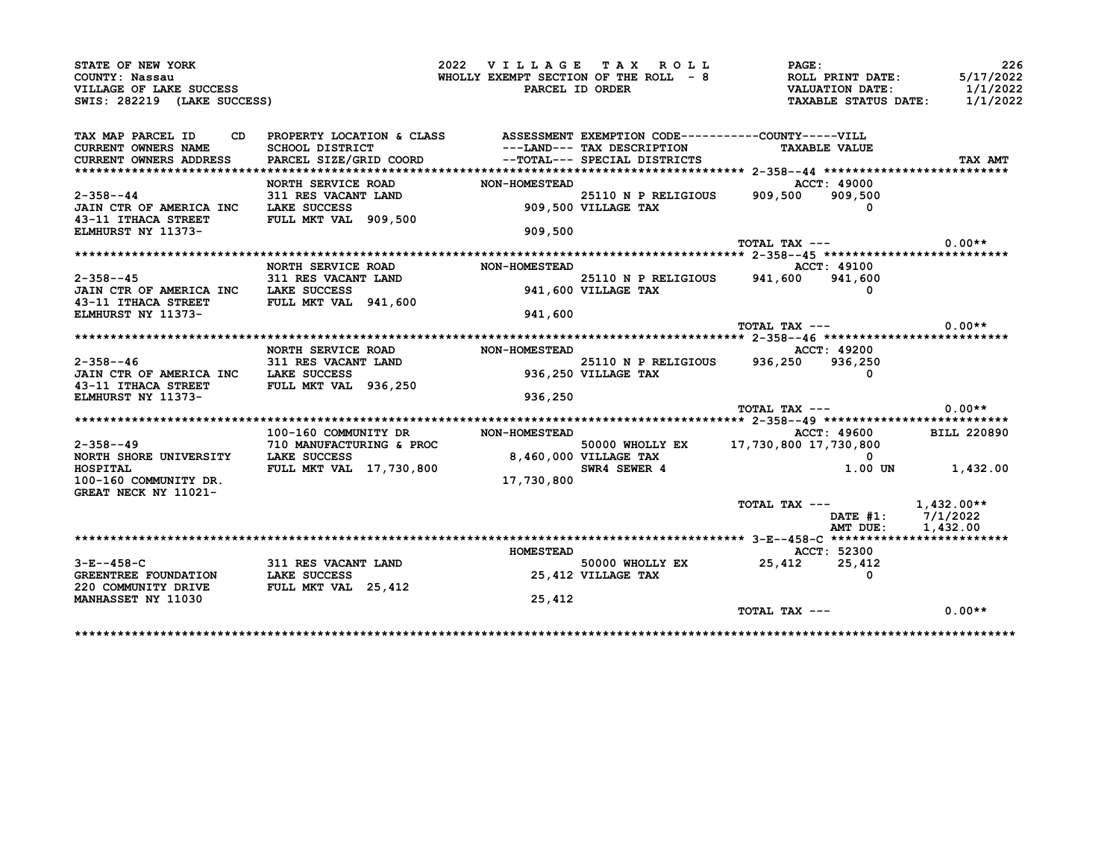| STATE OF NEW YORK<br>COUNTY: Nassau                                                                          |                                                                                                                                        | 2022 VILLAGE TAX ROLL                             |                            | <b>PAGE:</b><br>WHOLLY EXEMPT SECTION OF THE ROLL $-8$ ROLL PRINT DATE: | 226<br>5/17/2022 |
|--------------------------------------------------------------------------------------------------------------|----------------------------------------------------------------------------------------------------------------------------------------|---------------------------------------------------|----------------------------|-------------------------------------------------------------------------|------------------|
| VILLAGE OF LAKE SUCCESS<br>SWIS: 282219 (LAKE SUCCESS)                                                       |                                                                                                                                        |                                                   | PARCEL ID ORDER            | VALUATION DATE: 1/1/2022<br>TAXABLE STATUS DATE: 1/1/2022               |                  |
|                                                                                                              |                                                                                                                                        |                                                   |                            |                                                                         |                  |
| TAX MAP PARCEL ID<br><b>CURRENT OWNERS NAME</b>                                                              | CD PROPERTY LOCATION & CLASS ASSESSMENT EXEMPTION CODE----------COUNTY-----VILL<br>SCHOOL DISTRICT                                     |                                                   | ---LAND--- TAX DESCRIPTION | <b>TAXABLE VALUE</b>                                                    |                  |
| <b>CURRENT OWNERS ADDRESS</b>                                                                                | PARCEL SIZE/GRID COORD --TOTAL--- SPECIAL DISTRICTS                                                                                    |                                                   |                            |                                                                         | TAX AMT          |
|                                                                                                              | NORTH SERVICE ROAD                                                                                                                     | NON-HOMESTEAD                                     |                            | ACCT: 49000                                                             |                  |
| $2 - 358 - -44$                                                                                              | 311 RES VACANT LAND                                                                                                                    | T LAND 25110 N P RELIGIOUS<br>909,500 VILLAGE TAX |                            | 909,500 909,500                                                         |                  |
| JAIN CTR OF AMERICA INC LAKE SUCCESS                                                                         |                                                                                                                                        |                                                   |                            |                                                                         |                  |
| 43-11 ITHACA STREET FULL MKT VAL 909,500<br><b>ELMHURST NY 11373-</b>                                        |                                                                                                                                        | 909,500                                           |                            |                                                                         |                  |
|                                                                                                              |                                                                                                                                        |                                                   |                            | TOTAL TAX $---$ 0.00**                                                  |                  |
|                                                                                                              |                                                                                                                                        |                                                   |                            |                                                                         |                  |
|                                                                                                              | NORTH SERVICE ROAD                                                                                                                     | <b>NON-HOMESTEAD</b>                              |                            | ACCT: 49100                                                             |                  |
| $2 - 358 - - 45$                                                                                             | 311 RES VACANT LAND $\begin{array}{ccc}\n 25110 \text{ N} & P \text{ RELIGIOUS} \\  \hline\n 11 \text{ KES VACANT LAND} & \end{array}$ |                                                   |                            |                                                                         |                  |
| JAIN CTR OF AMERICA INC LAKE SUCCESS                                                                         |                                                                                                                                        |                                                   | 941,600 VILLAGE TAX        | $\Omega$                                                                |                  |
| 43-11 ITHACA STREET FULL MKT VAL 941,600                                                                     |                                                                                                                                        |                                                   |                            |                                                                         |                  |
| <b>ELMHURST NY 11373-</b>                                                                                    |                                                                                                                                        | 941,600                                           |                            | TOTAL TAX ---                                                           | $0.00**$         |
|                                                                                                              |                                                                                                                                        |                                                   |                            |                                                                         |                  |
|                                                                                                              |                                                                                                                                        |                                                   |                            | <b>ACCT: 49200</b>                                                      |                  |
| $2 - 358 - -46$                                                                                              | 311 RES VACANT LAND<br>Ille success                                                                                                    |                                                   |                            | 25110 N P RELIGIOUS 936,250 936,250                                     |                  |
| JAIN CTR OF AMERICA INC LAKE SUCCESS                                                                         |                                                                                                                                        |                                                   | 936,250 VILLAGE TAX        |                                                                         |                  |
| 43-11 ITHACA STREET FULL MKT VAL 936,250                                                                     |                                                                                                                                        |                                                   |                            |                                                                         |                  |
| ELMHURST NY 11373-                                                                                           |                                                                                                                                        | 936,250                                           |                            | TOTAL TAX ---                                                           | $0.00**$         |
|                                                                                                              |                                                                                                                                        |                                                   |                            |                                                                         |                  |
|                                                                                                              | 100-160 COMMUNITY DR                                                                                                                   | <b>NON-HOMESTEAD</b>                              |                            | ACCT: 49600 BILL 220890                                                 |                  |
| $2 - 358 - -49$                                                                                              | 710 MANUFACTURING & PROC 50000 WHOLLY EX<br>LAKE SUCCESS 8,460,000 VILLAGE TAX<br>FULL MKT VAL 17,730,800 SWR4 SEWER 4                 |                                                   |                            | 50000 WHOLLY EX 17,730,800 17,730,800                                   |                  |
| NORTH SHORE UNIVERSITY LAKE SUCCESS                                                                          |                                                                                                                                        |                                                   |                            |                                                                         |                  |
| HOSPITAL                                                                                                     |                                                                                                                                        |                                                   |                            |                                                                         | 1.00 UN 1,432.00 |
| 100-160 COMMUNITY DR.                                                                                        |                                                                                                                                        | 17,730,800                                        |                            |                                                                         |                  |
| GREAT NECK NY 11021-                                                                                         |                                                                                                                                        |                                                   |                            |                                                                         |                  |
|                                                                                                              |                                                                                                                                        |                                                   |                            | TOTAL TAX ---<br>DATE #1: 7/1/2022                                      |                  |
|                                                                                                              |                                                                                                                                        |                                                   |                            |                                                                         |                  |
|                                                                                                              |                                                                                                                                        |                                                   |                            | AMT DUE:                                                                | 1,432.00         |
|                                                                                                              |                                                                                                                                        |                                                   |                            |                                                                         |                  |
|                                                                                                              |                                                                                                                                        | <b>HOMESTEAD</b>                                  |                            | ACCT: 52300                                                             |                  |
|                                                                                                              | <b>311 RES VACANT LAND</b>                                                                                                             |                                                   |                            | 50000 WHOLLY EX 25,412 25,412                                           |                  |
|                                                                                                              |                                                                                                                                        |                                                   | 25,412 VILLAGE TAX         | $\Omega$                                                                |                  |
| $3 - E - - 458 - C$<br>GREENTREE FOUNDATION LAKE SUCCESS<br>220 COMMUNITY DRIVE<br><b>MANHASSET NY 11030</b> | FULL MKT VAL 25,412                                                                                                                    | 25,412                                            |                            |                                                                         |                  |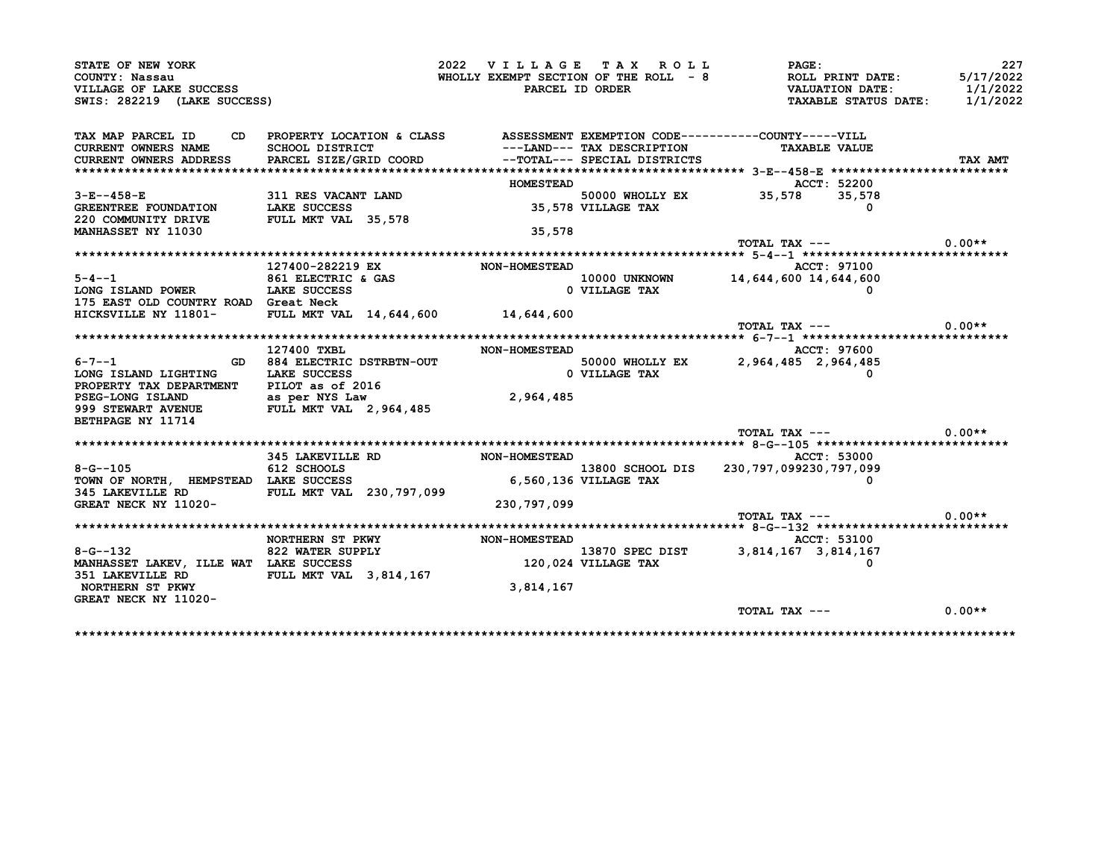| STATE OF NEW YORK                                                                                 |                                                                                           | 2022 VILLAGE TAX ROLL                 |                            | <b>PAGE :</b>                                                                            | 227       |
|---------------------------------------------------------------------------------------------------|-------------------------------------------------------------------------------------------|---------------------------------------|----------------------------|------------------------------------------------------------------------------------------|-----------|
| COUNTY: Nassau                                                                                    |                                                                                           |                                       |                            | WHOLLY EXEMPT SECTION OF THE ROLL $-8$<br>PARCEL ID ORDER $\overline{V}$ VALUATION DATE: | 5/17/2022 |
| VILLAGE OF LAKE SUCCESS                                                                           |                                                                                           |                                       |                            |                                                                                          | 1/1/2022  |
| SWIS: 282219 (LAKE SUCCESS)                                                                       |                                                                                           |                                       |                            | TAXABLE STATUS DATE: 1/1/2022                                                            |           |
| TAX MAP PARCEL ID CD PROPERTY LOCATION & CLASS ASSESSMENT EXEMPTION CODE----------COUNTY-----VILL |                                                                                           |                                       |                            |                                                                                          |           |
| CURRENT OWNERS NAME SCHOOL DISTRICT                                                               |                                                                                           |                                       | ---LAND--- TAX DESCRIPTION | <b>TAXABLE VALUE</b>                                                                     |           |
| CURRENT OWNERS ADDRESS PARCEL SIZE/GRID COORD --TOTAL--- SPECIAL DISTRICTS                        |                                                                                           |                                       |                            |                                                                                          |           |
|                                                                                                   |                                                                                           |                                       |                            |                                                                                          | TAX AMT   |
|                                                                                                   |                                                                                           | <b>HOMESTEAD</b>                      |                            | ACCT: 52200                                                                              |           |
| $3 - E - - 458 - E$                                                                               | 311 RES VACANT LAND                                                                       |                                       |                            |                                                                                          |           |
|                                                                                                   |                                                                                           |                                       |                            | 50000 WHOLLY EX 35,578 35,578<br>35,578 35,578 JILLAGE TAX                               |           |
| GREENTREE FOUNDATION LAKE SUCCESS<br>220 COMMUNITY DRIVE FULL MKT VAL 35,578                      |                                                                                           |                                       |                            |                                                                                          |           |
| <b>MANHASSET NY 11030</b>                                                                         |                                                                                           | 35,578                                |                            |                                                                                          |           |
|                                                                                                   |                                                                                           |                                       |                            | TOTAL TAX $---$ 0.00**                                                                   |           |
|                                                                                                   |                                                                                           |                                       |                            |                                                                                          |           |
|                                                                                                   |                                                                                           |                                       |                            |                                                                                          |           |
| $5 - 4 - 1$                                                                                       | 127400-282219 EX                                                                          | <b>NON-HOMESTEAD</b>                  |                            | ACCT: 97100                                                                              |           |
| 5-4--1<br>LONG ISLAND POWER 10000 UAKE SUCCESS                                                    |                                                                                           |                                       |                            | 10000 UNKNOWN 14,644,600 14,644,600                                                      |           |
|                                                                                                   |                                                                                           |                                       | 0 VILLAGE TAX              |                                                                                          |           |
| 175 EAST OLD COUNTRY ROAD Great Neck                                                              |                                                                                           |                                       |                            |                                                                                          |           |
| HICKSVILLE NY 11801- FULL MKT VAL 14,644,600 14,644,600                                           |                                                                                           |                                       |                            |                                                                                          |           |
|                                                                                                   |                                                                                           |                                       |                            | TOTAL TAX ---                                                                            | $0.00**$  |
|                                                                                                   |                                                                                           |                                       |                            |                                                                                          |           |
|                                                                                                   | 127400 TXBL                                                                               | <b>NON-HOMESTEAD</b>                  |                            | <b>ACCT: 97600</b>                                                                       |           |
| 6-7--1 GD 884 ELECTRIC DSTRBTN-OUT                                                                |                                                                                           | 50000 WHOLLY<br>0 VILLAGE TAX         |                            | 50000 WHOLLY EX 2,964,485 2,964,485                                                      |           |
| LONG ISLAND LIGHTING LAKE SUCCESS                                                                 |                                                                                           |                                       |                            |                                                                                          |           |
| PROPERTY TAX DEPARTMENT PILOT as of 2016<br>PSEG-LONG ISLAND as per NYS Law                       |                                                                                           |                                       |                            |                                                                                          |           |
|                                                                                                   |                                                                                           | 2,964,485                             |                            |                                                                                          |           |
| 999 STEWART AVENUE FULL MKT VAL 2,964,485                                                         |                                                                                           |                                       |                            |                                                                                          |           |
| BETHPAGE NY 11714                                                                                 |                                                                                           |                                       |                            |                                                                                          |           |
|                                                                                                   |                                                                                           |                                       |                            | TOTAL TAX $---$ 0.00**                                                                   |           |
|                                                                                                   |                                                                                           |                                       |                            |                                                                                          |           |
|                                                                                                   | 345 LAKEVILLE RD NON-HOMESTEAD                                                            |                                       |                            | ACCT: 53000                                                                              |           |
| $8 - G - 105$                                                                                     | 612 SCHOOLS                                                                               |                                       |                            | 13800 SCHOOL DIS 230, 797, 099230, 797, 099                                              |           |
| TOWN OF NORTH, HEMPSTEAD LAKE SUCCESS                                                             |                                                                                           | 13800 SCHOOL<br>6,560,136 VILLAGE TAX |                            |                                                                                          |           |
| 345 LAKEVILLE RD FULL MKT VAL 230,797,099                                                         |                                                                                           |                                       |                            |                                                                                          |           |
| <b>GREAT NECK NY 11020-</b>                                                                       |                                                                                           | 230,797,099                           |                            |                                                                                          |           |
|                                                                                                   |                                                                                           |                                       |                            | $\text{TOTAL TAX}$ --- 0.00**                                                            |           |
|                                                                                                   |                                                                                           |                                       |                            |                                                                                          |           |
|                                                                                                   | NORTHERN ST PKWY                                                                          | <b>NON-HOMESTEAD</b>                  |                            | <b>ACCT: 53100</b>                                                                       |           |
| $8 - G - 132$                                                                                     | 822 WATER SUPPLY <b>13870 SPEC DIST</b> 3,814,167 3,814,167 3,814,167 120,024 VILLAGE TAX |                                       |                            |                                                                                          |           |
| MANHASSET LAKEV, ILLE WAT LAKE SUCCESS                                                            |                                                                                           |                                       |                            |                                                                                          |           |
| 351 LAKEVILLE RD FULL MKT VAL 3,814,167                                                           |                                                                                           |                                       |                            |                                                                                          |           |
| NORTHERN ST PKWY                                                                                  |                                                                                           | 3,814,167                             |                            |                                                                                          |           |
|                                                                                                   |                                                                                           |                                       |                            |                                                                                          |           |
| GREAT NECK NY 11020-                                                                              |                                                                                           |                                       |                            |                                                                                          |           |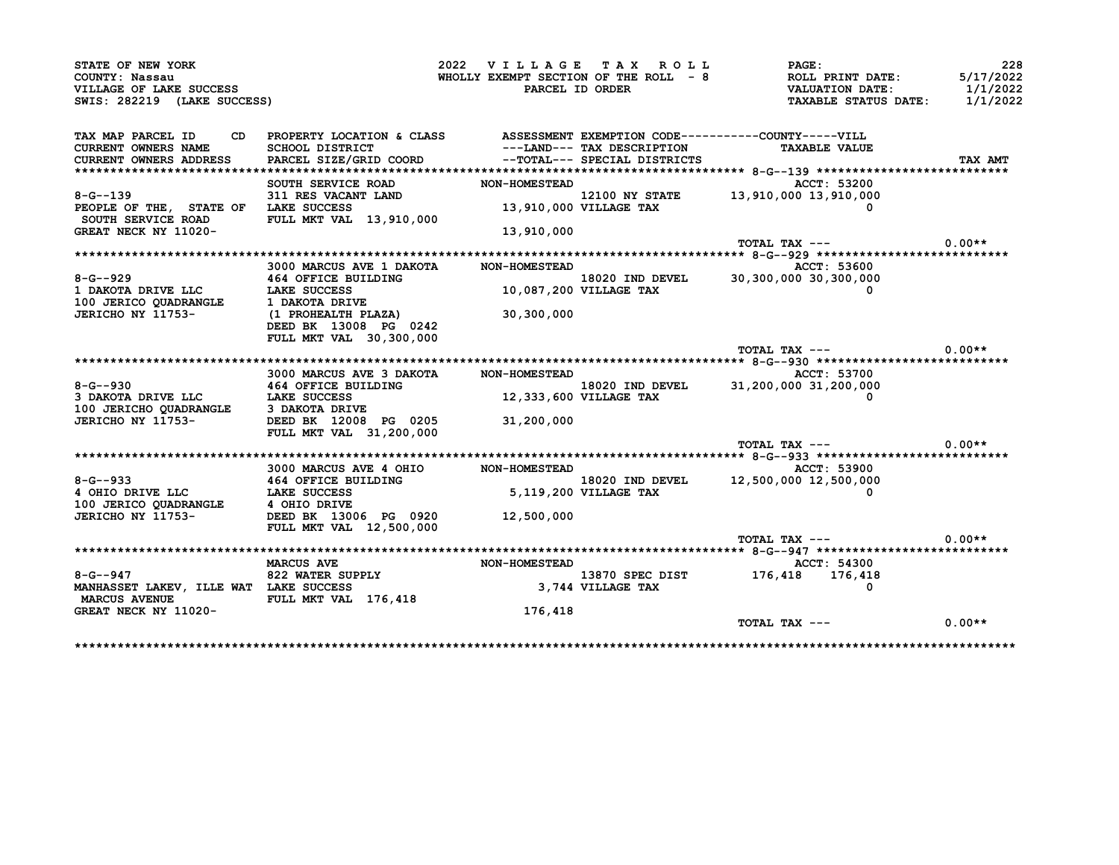| STATE OF NEW YORK                                    |                                                                                 | 2022 VILLAGE TAX ROLL                                      |                 | PAGE:                                   | 228       |
|------------------------------------------------------|---------------------------------------------------------------------------------|------------------------------------------------------------|-----------------|-----------------------------------------|-----------|
| COUNTY: Nassau                                       |                                                                                 | WHOLLY EXEMPT SECTION OF THE ROLL - 8                      |                 | ROLL PRINT DATE:                        | 5/17/2022 |
| VILLAGE OF LAKE SUCCESS                              |                                                                                 | PARCEL ID ORDER                                            |                 | <b>VALUATION DATE:</b>                  | 1/1/2022  |
| SWIS: 282219 (LAKE SUCCESS)                          |                                                                                 |                                                            |                 | TAXABLE STATUS DATE:                    | 1/1/2022  |
| TAX MAP PARCEL ID                                    | CD PROPERTY LOCATION & CLASS ASSESSMENT EXEMPTION CODE----------COUNTY-----VILL |                                                            |                 |                                         |           |
| <b>CURRENT OWNERS NAME</b>                           | SCHOOL DISTRICT                                                                 | ---LAND--- TAX DESCRIPTION<br>--TOTAL--- SPECIAL DISTRICTS |                 | <b>TAXABLE VALUE</b>                    |           |
| CURRENT OWNERS ADDRESS                               | PARCEL SIZE/GRID COORD                                                          |                                                            |                 |                                         | TAX AMT   |
|                                                      |                                                                                 |                                                            |                 |                                         |           |
|                                                      | SOUTH SERVICE ROAD NON-HOMESTEAD                                                |                                                            |                 | ACCT: 53200                             |           |
| $8 - G - 139$                                        | <b>311 RES VACANT LAND<br/>LAKE SUCCESS</b>                                     |                                                            |                 | 12100 NY STATE 13,910,000 13,910,000    |           |
| PEOPLE OF THE, STATE OF LAKE SUCCESS                 |                                                                                 | 13,910,000 VILLAGE TAX                                     |                 |                                         |           |
| SOUTH SERVICE ROAD                                   | FULL MKT VAL 13,910,000                                                         |                                                            |                 |                                         |           |
| GREAT NECK NY 11020-                                 |                                                                                 | 13,910,000                                                 |                 |                                         |           |
|                                                      |                                                                                 |                                                            |                 | TOTAL TAX ---                           | $0.00**$  |
|                                                      |                                                                                 |                                                            |                 |                                         |           |
|                                                      | 3000 MARCUS AVE 1 DAKOTA                                                        | NON-HOMESTEAD                                              |                 | ACCT: 53600                             |           |
| $8 - G - 929$                                        | 464 OFFICE BUILDING                                                             | 18020 IND DE<br>10,087,200 VILLAGE TAX                     |                 | $18020$ IND DEVEL 30,300,000 30,300,000 |           |
| 1 DAKOTA DRIVE LLC LAKE SUCCESS                      |                                                                                 |                                                            |                 |                                         |           |
| 100 JERICO QUADRANGLE                                | 1 DAKOTA DRIVE                                                                  |                                                            |                 |                                         |           |
| JERICHO NY 11753-                                    | (1 PROHEALTH PLAZA)                                                             | 30,300,000                                                 |                 |                                         |           |
|                                                      | DEED BK 13008 PG 0242                                                           |                                                            |                 |                                         |           |
|                                                      | FULL MKT VAL 30,300,000                                                         |                                                            |                 |                                         |           |
|                                                      |                                                                                 |                                                            |                 | TOTAL TAX ---                           | $0.00**$  |
|                                                      |                                                                                 | NON-HOMESTEAD                                              |                 | ACCT: 53700                             |           |
|                                                      | 3000 MARCUS AVE 3 DAKOTA                                                        |                                                            | 18020 IND DEVEL | 31,200,000 31,200,000                   |           |
| 8-G--930<br>3 DAKOTA DRIVE LLC<br>1.AKE SUCCESS      |                                                                                 | 12,333,600 VILLAGE TAX                                     |                 |                                         |           |
| 100 JERICHO QUADRANGLE 3 DAKOTA DRIVE                |                                                                                 |                                                            |                 |                                         |           |
| JERICHO NY 11753-                                    | DEED BK 12008 PG 0205 31,200,000                                                |                                                            |                 |                                         |           |
|                                                      | FULL MKT VAL 31,200,000                                                         |                                                            |                 |                                         |           |
|                                                      |                                                                                 |                                                            |                 | TOTAL TAX ---                           | $0.00**$  |
|                                                      |                                                                                 |                                                            |                 |                                         |           |
|                                                      | 3000 MARCUS AVE 4 OHIO                                                          | <b>NON-HOMESTEAD</b>                                       |                 | ACCT: 53900                             |           |
|                                                      |                                                                                 |                                                            |                 |                                         |           |
|                                                      |                                                                                 |                                                            |                 |                                         |           |
|                                                      |                                                                                 |                                                            | 18020 IND DEVEL | 12,500,000 12,500,000                   |           |
|                                                      | 8-G--933 464 OFFICE BUILDING<br>4 OHIO DRIVE LLC LAKE SUCCESS                   |                                                            |                 |                                         |           |
|                                                      |                                                                                 | $18020$ $18020$ $1802$<br>5,119,200 VILLAGE TAX            |                 |                                         |           |
| JERICHO NY 11753-                                    | DEED BK 13006 PG 0920 12,500,000                                                |                                                            |                 |                                         |           |
|                                                      | FULL MKT VAL 12,500,000                                                         |                                                            |                 | TOTAL TAX ---                           | $0.00**$  |
|                                                      |                                                                                 |                                                            |                 |                                         |           |
|                                                      | <b>MARCUS AVE</b>                                                               | <b>NON-HOMESTEAD</b>                                       |                 | <b>ACCT: 54300</b>                      |           |
| 100 JERICO QUADRANGLE 4 OHIO DRIVE<br>$8 - G - -947$ |                                                                                 |                                                            | 13870 SPEC DIST | 176,418 176,418                         |           |
| MANHASSET LAKEV, ILLE WAT LAKE SUCCESS               | 822 WATER SUPPLY<br>LAKE SUCCESS                                                | 3,744 VILLAGE TAX                                          |                 |                                         |           |
| <b>MARCUS AVENUE</b>                                 | FULL MKT VAL 176,418                                                            |                                                            |                 |                                         |           |
| GREAT NECK NY 11020-                                 |                                                                                 | 176,418                                                    |                 | TOTAL TAX ---                           | $0.00**$  |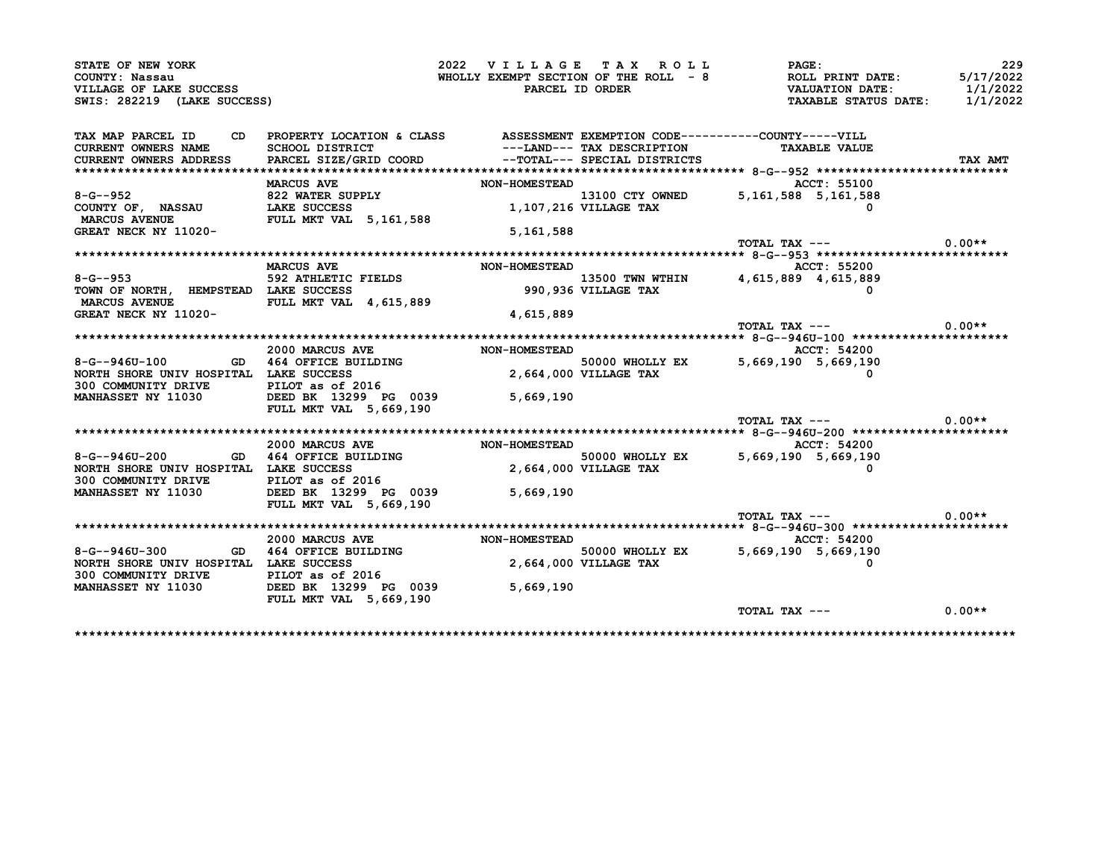| STATE OF NEW YORK                                                                      |                                                                                 | 2022 VILLAGE TAX ROLL                 |                            | <b>PAGE:</b>                                                   | 229      |
|----------------------------------------------------------------------------------------|---------------------------------------------------------------------------------|---------------------------------------|----------------------------|----------------------------------------------------------------|----------|
| COUNTY: Nassau                                                                         |                                                                                 |                                       |                            |                                                                |          |
| VILLAGE OF LAKE SUCCESS                                                                |                                                                                 |                                       |                            |                                                                |          |
| SWIS: 282219 (LAKE SUCCESS)                                                            |                                                                                 |                                       |                            |                                                                |          |
| TAX MAP PARCEL ID                                                                      | CD PROPERTY LOCATION & CLASS ASSESSMENT EXEMPTION CODE----------COUNTY-----VILL |                                       |                            |                                                                |          |
| CURRENT OWNERS NAME SCHOOL DISTRICT                                                    |                                                                                 |                                       | ---LAND--- TAX DESCRIPTION | <b>TAXABLE VALUE</b>                                           |          |
| <b>CURRENT OWNERS ADDRESS</b>                                                          | PARCEL SIZE/GRID COORD --TOTAL--- SPECIAL DISTRICTS                             |                                       |                            |                                                                | TAX AMT  |
|                                                                                        |                                                                                 |                                       |                            |                                                                |          |
|                                                                                        | <b>MARCUS AVE</b>                                                               | <b>NON-HOMESTEAD</b>                  |                            | <b>ACCT: 55100</b>                                             |          |
|                                                                                        |                                                                                 |                                       |                            |                                                                |          |
| 8-G--952<br>COUNTY OF, NASSAU B22 WATER SUPPLY<br>MARCUS AVENUE FULL MKT VAL 5,161,588 |                                                                                 |                                       |                            | 13100 CTY OWNED 5,161,588 5,161,588<br>1,107,216 VILLAGE TAX 6 |          |
|                                                                                        |                                                                                 |                                       |                            |                                                                |          |
| <b>GREAT NECK NY 11020-</b>                                                            |                                                                                 | 5,161,588                             |                            |                                                                |          |
|                                                                                        |                                                                                 |                                       |                            | TOTAL TAX $---$ 0.00**                                         |          |
|                                                                                        |                                                                                 |                                       |                            |                                                                |          |
|                                                                                        | <b>MARCUS AVE</b>                                                               | <b>NON-HOMESTEAD</b>                  |                            | ACCT: 55200                                                    |          |
| $8 - G - 953$                                                                          | 592 ATHLETIC FIELDS                                                             |                                       |                            |                                                                |          |
| TOWN OF NORTH, HEMPSTEAD LAKE SUCCESS                                                  |                                                                                 |                                       |                            | 13500 TWN WTHIN 4,615,889 4,615,889<br>990,936 VILLAGE TAX 0   |          |
| MARCUS AVENUE FULL MKT VAL 4,615,889                                                   |                                                                                 |                                       |                            |                                                                |          |
| GREAT NECK NY 11020-                                                                   |                                                                                 | 4,615,889                             |                            |                                                                |          |
|                                                                                        |                                                                                 |                                       |                            | TOTAL TAX ---                                                  | $0.00**$ |
|                                                                                        |                                                                                 |                                       |                            |                                                                |          |
|                                                                                        | 2000 MARCUS AVE                                                                 | <b>NON-HOMESTEAD</b>                  |                            | ACCT: 54200                                                    |          |
| 8-G--946U-100                                                                          | GD 464 OFFICE BUILDING                                                          |                                       |                            | 50000 WHOLLY EX 5,669,190 5,669,190                            |          |
| NORTH SHORE UNIV HOSPITAL LAKE SUCCESS                                                 |                                                                                 | ـسىمس 50000<br>2,664,000 VILLAGE TAX  |                            |                                                                |          |
| 300 COMMUNITY DRIVE FILOT as of 2016                                                   |                                                                                 |                                       |                            |                                                                |          |
| MANHASSET NY 11030 DEED BK 13299 PG 0039                                               |                                                                                 | 5,669,190                             |                            |                                                                |          |
|                                                                                        | <b>FULL MKT VAL 5,669,190</b>                                                   |                                       |                            |                                                                |          |
|                                                                                        |                                                                                 |                                       |                            | TOTAL TAX $---$ 0.00**                                         |          |
|                                                                                        | 2000 MARCUS AVE                                                                 |                                       |                            |                                                                |          |
|                                                                                        |                                                                                 | <b>NON-HOMESTEAD</b>                  |                            | ACCT: 54200                                                    |          |
| 8-G--946U-200 GD 464 OFFICE BUILDING                                                   |                                                                                 | 50000 WHOLLY<br>2,664,000 VILLAGE TAX |                            | 50000 WHOLLY EX 5,669,190 5,669,190                            |          |
| NORTH SHORE UNIV HOSPITAL LAKE SUCCESS                                                 |                                                                                 |                                       |                            |                                                                |          |
|                                                                                        |                                                                                 |                                       |                            |                                                                |          |
| <b>MANHASSET NY 11030</b>                                                              | FULL MKT VAL 5,669,190                                                          |                                       |                            |                                                                |          |
|                                                                                        |                                                                                 |                                       |                            | TOTAL TAX $---$ 0.00**                                         |          |
|                                                                                        |                                                                                 |                                       |                            |                                                                |          |
|                                                                                        | 2000 MARCUS AVE                                                                 | <b>NON-HOMESTEAD</b>                  |                            | <b>ACCT: 54200</b>                                             |          |
| $8 - G - 946U - 300$                                                                   | GD 464 OFFICE BUILDING                                                          |                                       |                            | 50000 WHOLLY EX 5,669,190 5,669,190                            |          |
| NORTH SHORE UNIV HOSPITAL LAKE SUCCESS                                                 |                                                                                 | 50000 WHOLLY<br>2,664,000 VILLAGE TAX |                            |                                                                |          |
| 300 COMMUNITY DRIVE PILOT as of 2016                                                   |                                                                                 |                                       |                            |                                                                |          |
| MANHASSET NY 11030 DEED BK 13299 PG 0039                                               |                                                                                 | 5,669,190                             |                            |                                                                |          |
|                                                                                        | <b>FULL MKT VAL 5,669,190</b>                                                   |                                       |                            |                                                                |          |
|                                                                                        |                                                                                 |                                       |                            |                                                                |          |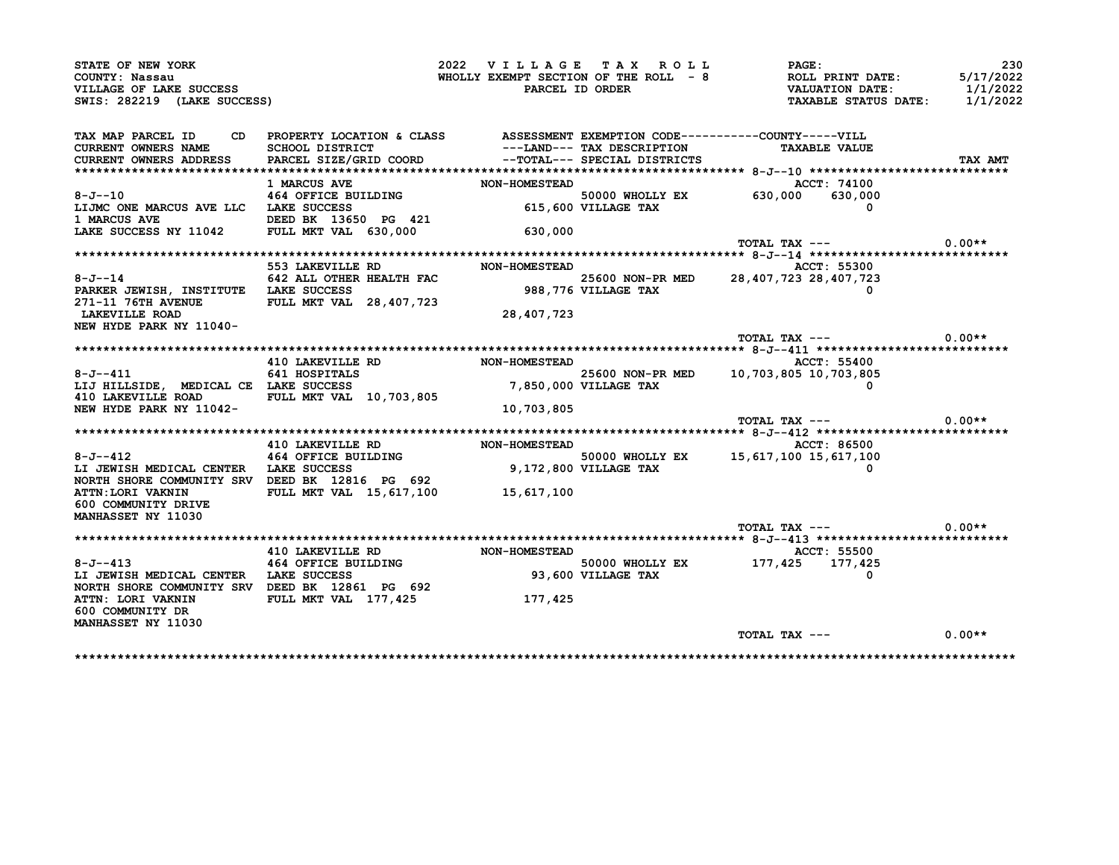| COUNTY: Nassau                                                                                                                                                                                                                                        |                                                                                                                              | 2022 VILLAGE TAX ROLL                 |                    | <b>PAGE:</b><br>WHOLLY EXEMPT SECTION OF THE ROLL $-8$<br>PARCEL ID ORDER WALUATION DATE:    | 230<br>5/17/2022 |
|-------------------------------------------------------------------------------------------------------------------------------------------------------------------------------------------------------------------------------------------------------|------------------------------------------------------------------------------------------------------------------------------|---------------------------------------|--------------------|----------------------------------------------------------------------------------------------|------------------|
| VILLAGE OF LAKE SUCCESS<br>SWIS: 282219 (LAKE SUCCESS)                                                                                                                                                                                                |                                                                                                                              |                                       |                    | TAXABLE STATUS DATE: 1/1/2022                                                                | 1/1/2022         |
| TAX MAP PARCEL ID                                                                                                                                                                                                                                     | CD PROPERTY LOCATION & CLASS ASSESSMENT EXEMPTION CODE----------COUNTY-----VILL                                              |                                       |                    |                                                                                              |                  |
|                                                                                                                                                                                                                                                       |                                                                                                                              |                                       |                    | ---LAND--- TAX DESCRIPTION TAXABLE VALUE                                                     |                  |
|                                                                                                                                                                                                                                                       |                                                                                                                              |                                       |                    |                                                                                              | TAX AMT          |
|                                                                                                                                                                                                                                                       |                                                                                                                              |                                       |                    |                                                                                              |                  |
|                                                                                                                                                                                                                                                       | 1 MARCUS AVE                                                                                                                 |                                       |                    | NON-HOMESTEAD 50000 WHOLLY EX 630,000 630,000<br>630,000 630,000 630,000 615,600 VILLAGE TAX |                  |
| $8 - J - 10$<br>$8-J-10$ $464$ OFFICE BUILDING<br>LIJMC ONE MARCUS AVE LLC LAKE SUCCESS                                                                                                                                                               |                                                                                                                              |                                       |                    |                                                                                              |                  |
|                                                                                                                                                                                                                                                       |                                                                                                                              |                                       |                    |                                                                                              |                  |
|                                                                                                                                                                                                                                                       |                                                                                                                              |                                       |                    |                                                                                              |                  |
|                                                                                                                                                                                                                                                       |                                                                                                                              |                                       |                    |                                                                                              |                  |
|                                                                                                                                                                                                                                                       |                                                                                                                              |                                       |                    | TOTAL TAX ---                                                                                | $0.00**$         |
|                                                                                                                                                                                                                                                       |                                                                                                                              |                                       |                    |                                                                                              |                  |
|                                                                                                                                                                                                                                                       | 553 LAKEVILLE RD NON-HOMESTEAD                                                                                               |                                       |                    | ACCT: 55300                                                                                  |                  |
| $8 - J - 14$                                                                                                                                                                                                                                          | ACCT: 55300<br>LAKE SUCCESS HEALTH FAC 25600 NON-PR MED 28,407,723 28,407,723<br>PULL MET UAL OR 103 300 388,776 VILLAGE TAX |                                       |                    |                                                                                              |                  |
| PARKER JEWISH, INSTITUTE LAKE SUCCESS                                                                                                                                                                                                                 |                                                                                                                              |                                       |                    |                                                                                              |                  |
| 271-11 76TH AVENUE FULL MKT VAL 28,407,723                                                                                                                                                                                                            |                                                                                                                              |                                       |                    |                                                                                              |                  |
| <b>LAKEVILLE ROAD</b>                                                                                                                                                                                                                                 |                                                                                                                              | 28,407,723                            |                    |                                                                                              |                  |
| NEW HYDE PARK NY 11040-                                                                                                                                                                                                                               |                                                                                                                              |                                       |                    | TOTAL TAX $---$ 0.00**                                                                       |                  |
|                                                                                                                                                                                                                                                       |                                                                                                                              |                                       |                    |                                                                                              |                  |
|                                                                                                                                                                                                                                                       | 410 LAKEVILLE RD NON-HOMESTEAD                                                                                               |                                       |                    | <b>ACCT: 55400</b>                                                                           |                  |
|                                                                                                                                                                                                                                                       |                                                                                                                              |                                       |                    |                                                                                              |                  |
|                                                                                                                                                                                                                                                       |                                                                                                                              |                                       |                    |                                                                                              |                  |
| $8 - J - -411$                                                                                                                                                                                                                                        |                                                                                                                              |                                       |                    | $25600$ NON-PR MED 10,703,805 10,703,805                                                     |                  |
| 8-J--411 641 HOSPITALS<br>LIJ HILLSIDE, MEDICAL CE LAKE SUCCESS                                                                                                                                                                                       |                                                                                                                              | 25600 NON-PR<br>7,850,000 VILLAGE TAX |                    | $\Omega$                                                                                     |                  |
| 410 LAKEVILLE ROAD FULL MKT VAL 10,703,805                                                                                                                                                                                                            |                                                                                                                              |                                       |                    |                                                                                              |                  |
|                                                                                                                                                                                                                                                       |                                                                                                                              | 10,703,805                            |                    |                                                                                              |                  |
|                                                                                                                                                                                                                                                       |                                                                                                                              |                                       |                    | $\text{TOTAL TAX}$ --- 0.00**                                                                |                  |
| NEW HYDE PARK NY 11042-                                                                                                                                                                                                                               |                                                                                                                              |                                       |                    |                                                                                              |                  |
|                                                                                                                                                                                                                                                       | 410 LAKEVILLE RD NON-HOMESTEAD                                                                                               |                                       |                    | <b>ACCT: 86500</b>                                                                           |                  |
| $8 - J - 412$                                                                                                                                                                                                                                         |                                                                                                                              |                                       |                    | D<br>50000 WHOLLY EX 15,617,100 15,617,100 \$                                                |                  |
| LI JEWISH MEDICAL CENTER LAKE SUCCESS                                                                                                                                                                                                                 | <b>464 OFFICE BUILDING<br/>LAKE SUCCESS</b>                                                                                  | 50000 WHOLLY<br>9,172,800 VILLAGE TAX |                    |                                                                                              |                  |
| NORTH SHORE COMMUNITY SRV DEED BK 12816 PG 692                                                                                                                                                                                                        |                                                                                                                              |                                       |                    |                                                                                              |                  |
| ATTN:LORI VAKNIN FULL MKT VAL 15,617,100 15,617,100                                                                                                                                                                                                   |                                                                                                                              |                                       |                    |                                                                                              |                  |
| 600 COMMUNITY DRIVE                                                                                                                                                                                                                                   |                                                                                                                              |                                       |                    |                                                                                              |                  |
|                                                                                                                                                                                                                                                       |                                                                                                                              |                                       |                    |                                                                                              |                  |
|                                                                                                                                                                                                                                                       |                                                                                                                              |                                       |                    | TOTAL TAX ---                                                                                | $0.00**$         |
| <b>MANHASSET NY 11030</b>                                                                                                                                                                                                                             |                                                                                                                              |                                       |                    |                                                                                              |                  |
|                                                                                                                                                                                                                                                       |                                                                                                                              |                                       |                    |                                                                                              |                  |
|                                                                                                                                                                                                                                                       |                                                                                                                              |                                       | 93,600 VILLAGE TAX |                                                                                              |                  |
|                                                                                                                                                                                                                                                       |                                                                                                                              |                                       |                    |                                                                                              |                  |
| ACCLE RD ACCLESS ACCT: 55500<br>464 OFFICE BUILDING MON-HOMESTEAD 50000 WHOLLY EX 177,425 177,425<br>0 ACCLESS ACCRESS ACCRETIC DULLOING A AND VILLAGE TAX<br>LI JEWISH MEDICAL CENTER LAKE SUCCESS<br>NORTH SHORE COMMUNITY SRV DEED BK 12861 PG 692 |                                                                                                                              |                                       |                    |                                                                                              |                  |
| ATTN: LORI VAKNIN FULL MKT VAL 177,425<br>600 COMMUNITY DR                                                                                                                                                                                            |                                                                                                                              | 177,425                               |                    |                                                                                              |                  |
| <b>MANHASSET NY 11030</b>                                                                                                                                                                                                                             |                                                                                                                              |                                       |                    |                                                                                              |                  |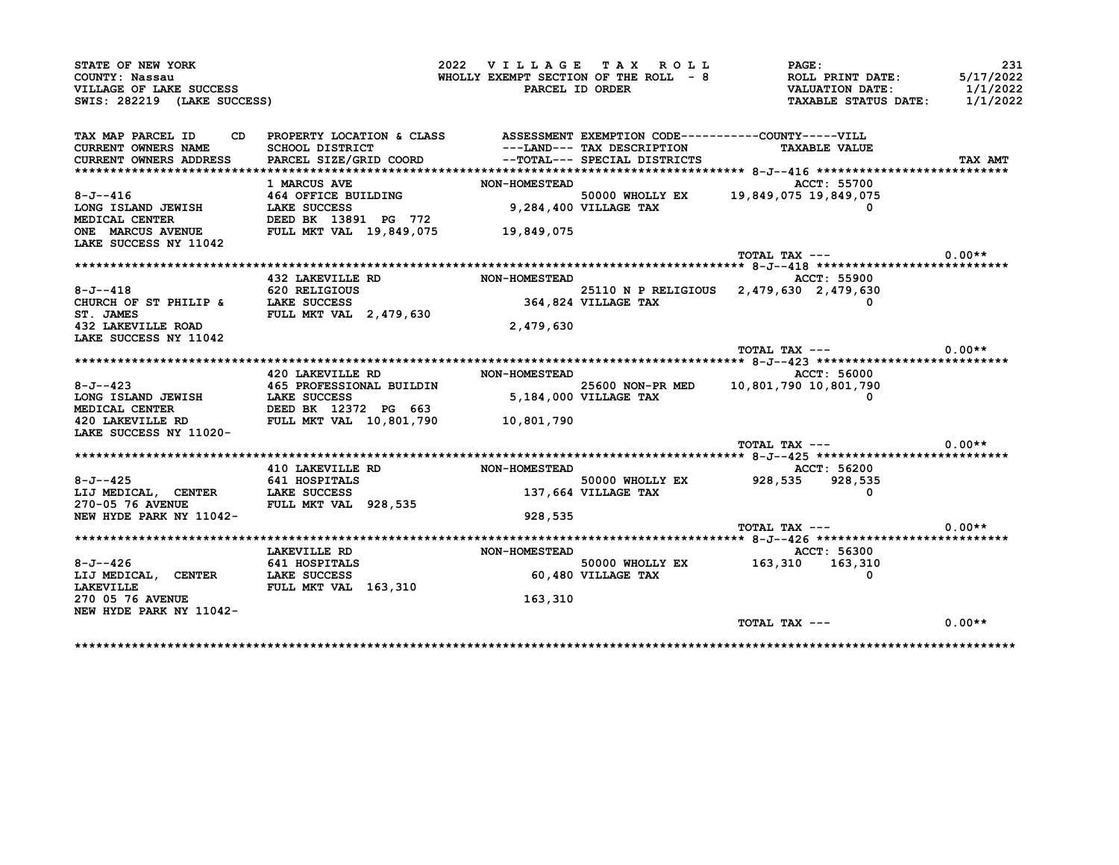| STATE OF NEW YORK<br>COUNTY: Nassau                              |                                                                                  |                                        | 2022 VILLAGE TAX ROLL        | PAGE:                                                                     | 231<br>5/17/2022 |
|------------------------------------------------------------------|----------------------------------------------------------------------------------|----------------------------------------|------------------------------|---------------------------------------------------------------------------|------------------|
| VILLAGE OF LAKE SUCCESS                                          |                                                                                  |                                        |                              | WHOLLY EXEMPT SECTION OF THE ROLL $-8$<br>PARCEL ID ORDER VALUATION DATE: | 1/1/2022         |
| SWIS: 282219 (LAKE SUCCESS)                                      |                                                                                  |                                        |                              | TAXABLE STATUS DATE: 1/1/2022                                             |                  |
| TAX MAP PARCEL ID                                                | CD PROPERTY LOCATION & CLASS ASSESSMENT EXEMPTION CODE----------COUNTY-----VILL  |                                        |                              |                                                                           |                  |
| CURRENT OWNERS NAME SCHOOL DISTRICT                              |                                                                                  |                                        |                              | ---LAND--- TAX DESCRIPTION TAXABLE VALUE                                  |                  |
|                                                                  | CURRENT OWNERS ADDRESS PARCEL SIZE/GRID COORD                                    |                                        | --TOTAL--- SPECIAL DISTRICTS |                                                                           | TAX AMT          |
|                                                                  |                                                                                  |                                        |                              |                                                                           |                  |
|                                                                  | <b>1 MARCUS AVE</b>                                                              | <b>NON-HOMESTEAD</b>                   |                              | ACCT: 55700                                                               |                  |
| $8 - J - - 416$                                                  | 464 OFFICE BUILDING                                                              |                                        |                              | 50000 WHOLLY EX 19,849,075 19,849,075                                     |                  |
| LONG ISLAND JEWISH                                               | LAKE SUCCESS                                                                     |                                        | 9,284,400 VILLAGE TAX        |                                                                           |                  |
|                                                                  |                                                                                  |                                        |                              |                                                                           |                  |
| LAKE SUCCESS NY 11042                                            |                                                                                  |                                        |                              |                                                                           |                  |
|                                                                  |                                                                                  |                                        |                              | TOTAL TAX ---                                                             | $0.00**$         |
|                                                                  |                                                                                  |                                        |                              |                                                                           |                  |
|                                                                  | 432 LAKEVILLE RD NON-HOMESTEAD                                                   |                                        |                              | ACCT: 55900                                                               |                  |
| $8 - J - -418$                                                   | 620 RELIGIOUS<br>LAKE SUCCESS                                                    |                                        |                              | 25110 N P RELIGIOUS 2,479,630 2,479,630                                   |                  |
| CHURCH OF ST PHILIP & LAKE SUCCESS                               |                                                                                  | 25110 N P RE<br>364,824 VILLAGE TAX    |                              |                                                                           |                  |
| ST. JAMES                                                        | FULL MKT VAL 2,479,630                                                           |                                        |                              |                                                                           |                  |
| 432 LAKEVILLE ROAD                                               |                                                                                  | 2,479,630                              |                              |                                                                           |                  |
| LAKE SUCCESS NY 11042                                            |                                                                                  |                                        |                              |                                                                           |                  |
|                                                                  |                                                                                  |                                        |                              | TOTAL TAX $---$ 0.00**                                                    |                  |
|                                                                  |                                                                                  |                                        |                              |                                                                           |                  |
|                                                                  | 420 LAKEVILLE RD NON-HOMESTEAD                                                   |                                        |                              | ACCT: 56000                                                               |                  |
| $8 - J - -423$                                                   | 465 PROFESSIONAL BUILDIN                                                         |                                        |                              | 25600 NON-PR MED 10,801,790 10,801,790                                    |                  |
|                                                                  |                                                                                  | - - אשא 25600<br>5,184,000 VILLAGE TAX |                              |                                                                           |                  |
|                                                                  | C-O-420<br>MEDICAL CENTER<br>420 LAKEVILLE RD FULL MKT VAL 10,801,790 10,801,790 |                                        |                              |                                                                           |                  |
|                                                                  |                                                                                  |                                        |                              |                                                                           |                  |
| LAKE SUCCESS NY 11020-                                           |                                                                                  |                                        |                              | TOTAL TAX ---                                                             | $0.00**$         |
|                                                                  |                                                                                  |                                        |                              |                                                                           |                  |
|                                                                  | 410 LAKEVILLE RD NON-HOMESTEAD                                                   |                                        |                              | ACCT: 56200                                                               |                  |
|                                                                  |                                                                                  |                                        |                              | 50000 WHOLLY EX 928,535 928,535                                           |                  |
|                                                                  |                                                                                  |                                        |                              |                                                                           |                  |
|                                                                  |                                                                                  |                                        |                              | 0                                                                         |                  |
| 8-J--425 641 HOSPITALS<br>LIJ MEDICAL, CENTER LAKE SUCCESS       |                                                                                  |                                        | 137,664 VILLAGE TAX          |                                                                           |                  |
| 270-05 76 AVENUE FULL MKT VAL 928,535<br>NEW HYDE PARK NY 11042- |                                                                                  |                                        |                              |                                                                           |                  |
|                                                                  |                                                                                  | 928,535                                |                              | $TOTAL$ $TAX$ $---$                                                       | $0.00**$         |
|                                                                  |                                                                                  |                                        |                              |                                                                           |                  |
|                                                                  |                                                                                  |                                        |                              | ACCT: 56300                                                               |                  |
| $8 - J - - 426$                                                  | <b>LAKEVILLE RD</b><br>641 HOSPITALS                                             | NON-HOMESTEAD                          |                              |                                                                           |                  |
| LIJ MEDICAL, CENTER                                              |                                                                                  |                                        | 60,480 VILLAGE TAX           | 50000 WHOLLY EX 163,310 163,310                                           |                  |
| <b>LAKEVILLE</b>                                                 | LAKE SUCCESS<br>FULL MKT VAL 163,310                                             |                                        |                              |                                                                           |                  |
| <b>270 05 76 AVENUE</b>                                          |                                                                                  | 163,310                                |                              |                                                                           |                  |
| NEW HYDE PARK NY 11042-                                          |                                                                                  |                                        |                              |                                                                           |                  |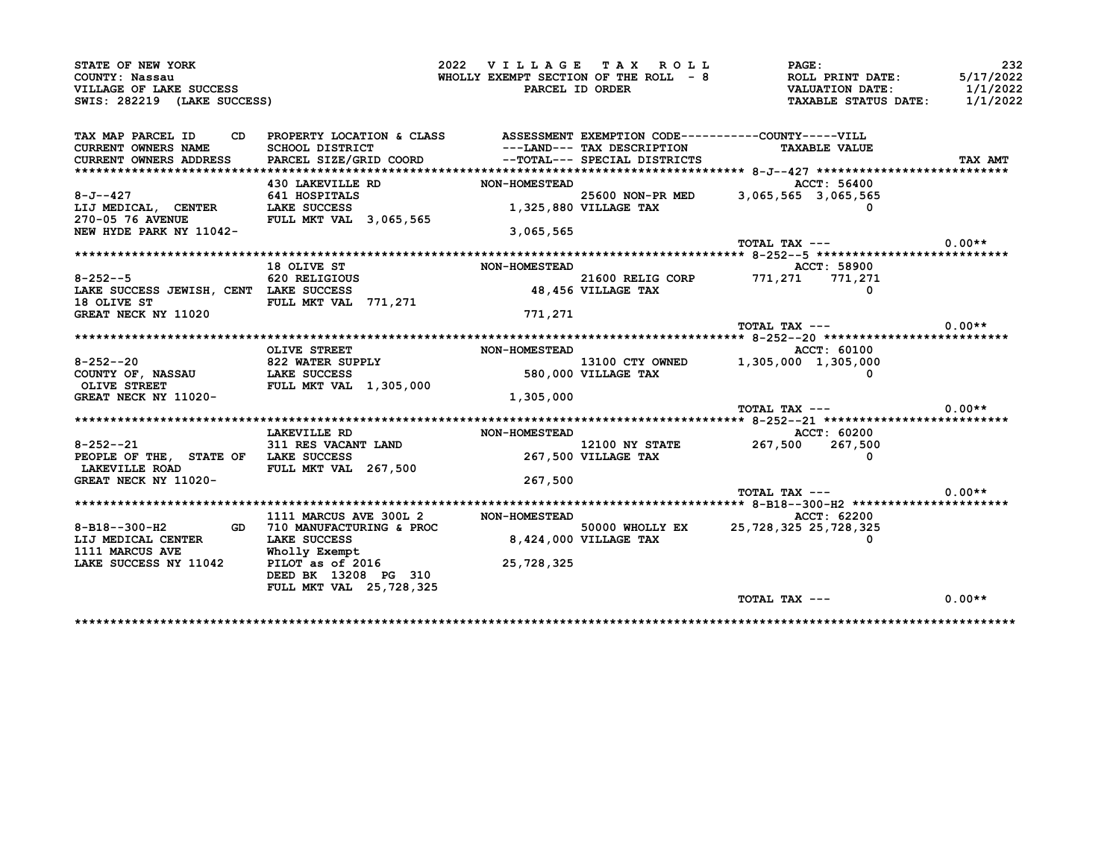| STATE OF NEW YORK<br>COUNTY: Nassau<br>VILLAGE OF LAKE SUCCESS<br>SWIS: 282219 (LAKE SUCCESS)         |                                                                                                                                    | 2022 VILLAGE TAX ROLL<br>WHOLLY EXEMPT SECTION OF THE ROLL - 8<br>PARCEL ID ORDER |                                                            | PAGE:<br>ROLL PRINT DATE:<br><b>VALUATION DATE:</b><br>TAXABLE STATUS DATE: | 232<br>5/17/2022<br>1/1/2022<br>1/1/2022 |
|-------------------------------------------------------------------------------------------------------|------------------------------------------------------------------------------------------------------------------------------------|-----------------------------------------------------------------------------------|------------------------------------------------------------|-----------------------------------------------------------------------------|------------------------------------------|
| TAX MAP PARCEL ID<br>CD.<br><b>CURRENT OWNERS NAME</b><br><b>CURRENT OWNERS ADDRESS</b>               | PROPERTY LOCATION & CLASS<br>SCHOOL DISTRICT<br>PARCEL SIZE/GRID COORD                                                             |                                                                                   | ---LAND--- TAX DESCRIPTION<br>--TOTAL--- SPECIAL DISTRICTS | ASSESSMENT EXEMPTION CODE----------COUNTY-----VILL<br><b>TAXABLE VALUE</b>  | TAX AMT                                  |
| 8-J--427<br>LIJ MEDICAL, CENTER<br>270-05 76 AVENUE FULL MKT VAL 3,065,565<br>NEW HYDE PARK NY 11042- | 430 LAKEVILLE RD<br>641 HOSPITALS<br>LAKE SUCCESS                                                                                  | <b>NON-HOMESTEAD</b><br>3,065,565                                                 | 1,325,880 VILLAGE TAX                                      | ACCT: 56400<br>25600 NON-PR MED 3,065,565 3,065,565                         |                                          |
|                                                                                                       |                                                                                                                                    |                                                                                   |                                                            | TOTAL TAX ---                                                               | $0.00**$                                 |
| 8-252--5 620 RELIGIOUS<br>LAKE SUCCESS JEWISH, CENT LAKE SUCCESS<br>18 OLIVE ST                       | 18 OLIVE ST<br>FULL MKT VAL 771,271                                                                                                | <b>NON-HOMESTEAD</b>                                                              | 21600 RELIG CORP<br>48,456 VILLAGE TAX                     | ACCT: 58900<br>771,271 771,271<br>$\Omega$                                  |                                          |
| GREAT NECK NY 11020                                                                                   |                                                                                                                                    | 771,271                                                                           |                                                            | TOTAL TAX ---                                                               | $0.00**$                                 |
| $8 - 252 - -20$<br>COUNTY OF, NASSAU<br>OLIVE STREET<br>GREAT NECK NY 11020-                          | OLIVE STREET<br>822 WATER SUPPLY<br><b>LAKE SUCCESS</b><br><b>FULL MKT VAL 1,305,000</b>                                           | <b>NON-HOMESTEAD</b><br>1,305,000                                                 | 580,000 VILLAGE TAX                                        | ACCT: 60100<br>13100 CTY OWNED 1,305,000 1,305,000                          |                                          |
|                                                                                                       |                                                                                                                                    |                                                                                   |                                                            | TOTAL TAX ---                                                               | $0.00**$                                 |
| $8 - 252 - -21$<br>PEOPLE OF THE, STATE OF LAKE SUCCESS<br>LAKEVILLE ROAD<br>GREAT NECK NY 11020-     | LAKEVILLE RD<br>311 RES VACANT LAND<br>FULL MKT VAL 267,500                                                                        | <b>NON-HOMESTEAD</b><br>267,500                                                   | <b>12100 NY STATE</b><br>267,500 VILLAGE TAX               | ACCT: 60200<br>267,500 267,500                                              |                                          |
|                                                                                                       |                                                                                                                                    |                                                                                   |                                                            | TOTAL TAX ---                                                               | $0.00**$                                 |
| 8-B18--300-H2<br>LIJ MEDICAL CENTER<br>1111 MARCUS AVE<br>LAKE SUCCESS NY 11042                       | 1111 MARCUS AVE 300L 2<br>GD 710 MANUFACTURING & PROC<br>LAKE SUCCESS<br>Wholly Exempt<br>PILOT as of 2016<br>DEED BK 13208 PG 310 | <b>NON-HOMESTEAD</b><br>25,728,325                                                | 50000 WHOLLY EX<br>8,424,000 VILLAGE TAX                   | ACCT: 62200<br>25, 728, 325 25, 728, 325                                    |                                          |
|                                                                                                       | FULL MKT VAL 25, 728, 325                                                                                                          |                                                                                   |                                                            | TOTAL TAX ---                                                               | $0.00**$                                 |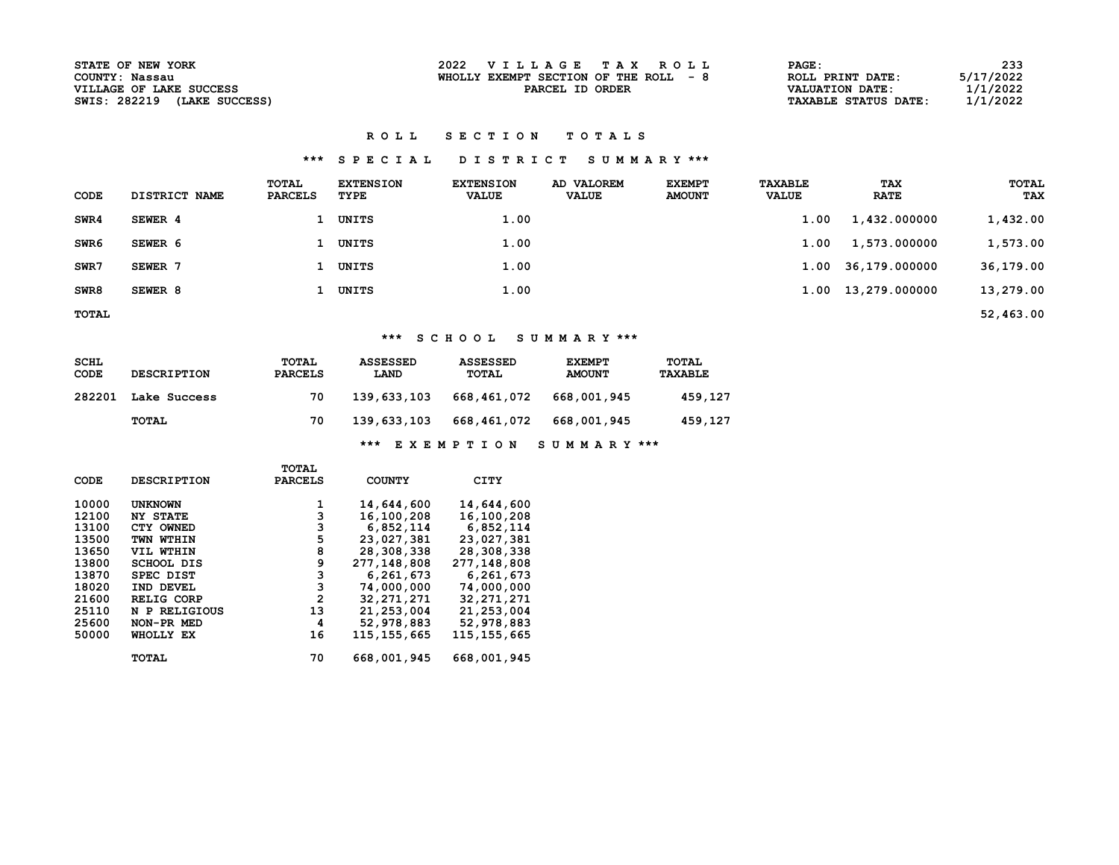| <b>STATE OF NEW YORK</b>       | 2022 VILLAGE TAX ROLL                  | <b>PAGE:</b>                | 233       |
|--------------------------------|----------------------------------------|-----------------------------|-----------|
| COUNTY: Nassau                 | WHOLLY EXEMPT SECTION OF THE ROLL $-8$ | ROLL PRINT DATE:            | 5/17/2022 |
| VILLAGE OF LAKE SUCCESS        | PARCEL ID ORDER                        | VALUATION DATE:             | 1/1/2022  |
| SWIS: 282219<br>(LAKE SUCCESS) |                                        | <b>TAXABLE STATUS DATE:</b> | 1/1/2022  |

#### ROLL SECTION TOTALS

## \*\*\* S P E C I A L D I S T R I C T S U M M A R Y \*\*\*

| <b>CODE</b>      | DISTRICT NAME | TOTAL<br><b>PARCELS</b> | <b>EXTENSION</b><br>TYPE | <b>EXTENSION</b><br><b>VALUE</b> | AD VALOREM<br><b>VALUE</b> | <b>EXEMPT</b><br><b>AMOUNT</b> | <b>TAXABLE</b><br><b>VALUE</b> | <b>TAX</b><br><b>RATE</b> | TOTAL<br><b>TAX</b> |
|------------------|---------------|-------------------------|--------------------------|----------------------------------|----------------------------|--------------------------------|--------------------------------|---------------------------|---------------------|
| SWR4             | SEWER 4       |                         | UNITS                    | 1.00                             |                            |                                | 1.00                           | 1,432.000000              | 1,432.00            |
| SWR <sub>6</sub> | SEWER 6       |                         | UNITS                    | 1.00                             |                            |                                | 1.00                           | 1,573.000000              | 1,573.00            |
| SWR7             | SEWER 7       |                         | 1 UNITS                  | 1.00                             |                            |                                |                                | 1.00 36,179.000000        | 36,179.00           |
| SWR8             | SEWER 8       |                         | UNITS                    | 1.00                             |                            |                                |                                | 1.00 13,279.000000        | 13,279.00           |

TOTAL 52,463.00

## \*\*\* S C H O O L S U M M A R Y \*\*\*

| SCHL<br>CODE | <b>DESCRIPTION</b> | TOTAL<br><b>PARCELS</b> | <b>ASSESSED</b><br>LAND | <b>ASSESSED</b><br>TOTAL | <b>EXEMPT</b><br><b>AMOUNT</b> | TOTAL<br><b>TAXABLE</b> |
|--------------|--------------------|-------------------------|-------------------------|--------------------------|--------------------------------|-------------------------|
| 282201       | Lake Success       | 70                      | 139,633,103             | 668,461,072              | 668,001,945                    | 459,127                 |
|              | TOTAL              | 70                      | 139,633,103             | 668,461,072              | 668,001,945                    | 459,127                 |
|              |                    |                         |                         |                          |                                |                         |

\*\*\* E X E M P T I O N S U M M A R Y \*\*\*

|             |                    | TOTAL          |               |               |
|-------------|--------------------|----------------|---------------|---------------|
| <b>CODE</b> | <b>DESCRIPTION</b> | <b>PARCELS</b> | <b>COUNTY</b> | CITY          |
| 10000       | <b>UNKNOWN</b>     |                | 14,644,600    | 14,644,600    |
| 12100       | <b>NY STATE</b>    | 3              | 16,100,208    | 16,100,208    |
| 13100       | CTY OWNED          | з              | 6,852,114     | 6,852,114     |
| 13500       | TWN WTHIN          | 5              | 23,027,381    | 23,027,381    |
| 13650       | VIL WTHIN          | 8              | 28,308,338    | 28,308,338    |
| 13800       | <b>SCHOOL DIS</b>  | 9              | 277,148,808   | 277,148,808   |
| 13870       | SPEC DIST          | 3              | 6,261,673     | 6,261,673     |
| 18020       | IND DEVEL          | 3              | 74,000,000    | 74,000,000    |
| 21600       | <b>RELIG CORP</b>  | $\mathbf{2}$   | 32, 271, 271  | 32, 271, 271  |
| 25110       | N P RELIGIOUS      | 13             | 21, 253, 004  | 21,253,004    |
| 25600       | NON-PR MED         | 4              | 52,978,883    | 52,978,883    |
| 50000       | WHOLLY EX          | 16             | 115, 155, 665 | 115, 155, 665 |
|             | TOTAL              | 70             | 668,001,945   | 668,001,945   |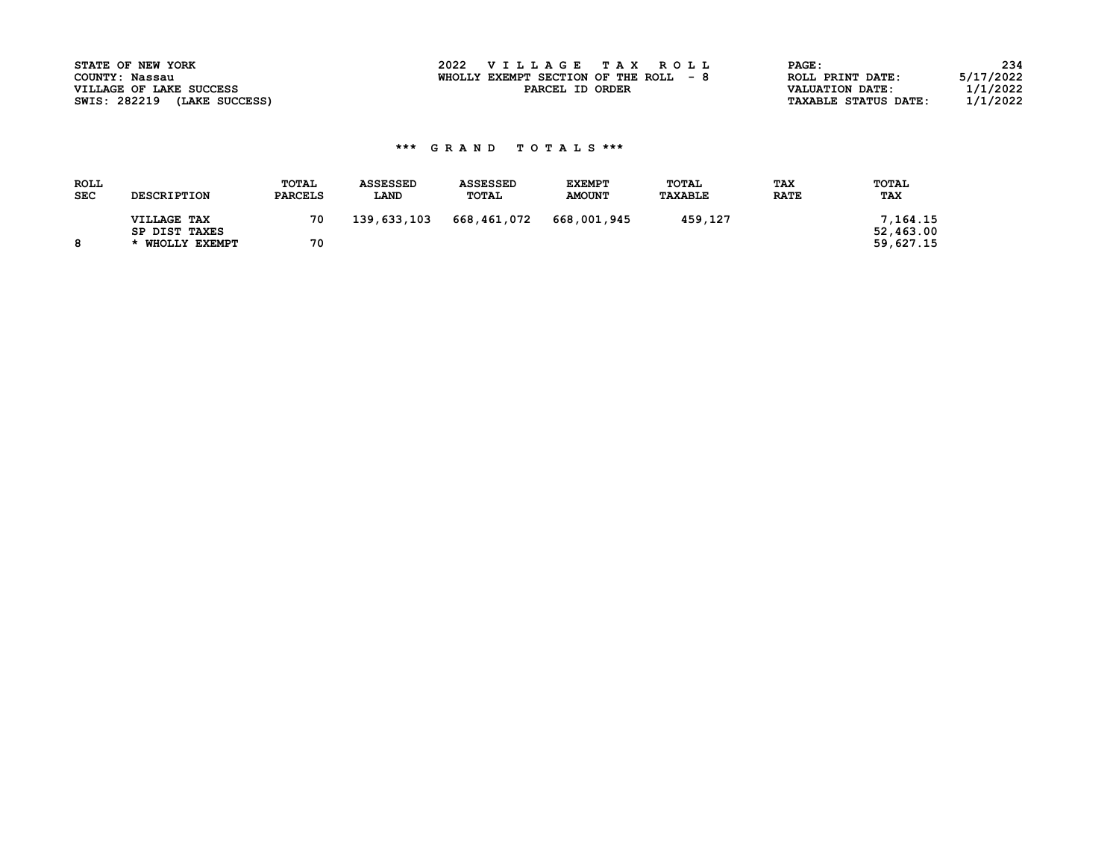| STATE OF NEW YORK              | 2022 VILLAGE TAX ROLL                 | PAGE:                                   | 234 |
|--------------------------------|---------------------------------------|-----------------------------------------|-----|
| COUNTY: Nassau                 | WHOLLY EXEMPT SECTION OF THE ROLL - 8 | 5/17/2022<br>ROLL PRINT DATE:           |     |
| VILLAGE OF LAKE SUCCESS        | PARCEL ID ORDER                       | 1/1/2022<br>VALUATION DATE:             |     |
| SWIS: 282219<br>(LAKE SUCCESS) |                                       | 1/1/2022<br><b>TAXABLE STATUS DATE:</b> |     |

| <b>ROLL</b><br><b>SEC</b> | <b>DESCRIPTION</b>           | TOTAL<br><b>PARCELS</b> | <b>ASSESSED</b><br>LAND | <b>ASSESSED</b><br>TOTAL | <b>EXEMPT</b><br><b>AMOUNT</b> | TOTAL<br><b>TAXABLE</b> | <b>TAX</b><br><b>RATE</b> | <b>TOTAL</b><br>TAX   |
|---------------------------|------------------------------|-------------------------|-------------------------|--------------------------|--------------------------------|-------------------------|---------------------------|-----------------------|
|                           | VILLAGE TAX<br>SP DIST TAXES | 70                      | 139,633,103             | 668,461,072              | 668,001,945                    | 459,127                 |                           | 7,164.15<br>52,463.00 |
|                           | * WHOLLY EXEMPT              | 70                      |                         |                          |                                |                         |                           | 59,627.15             |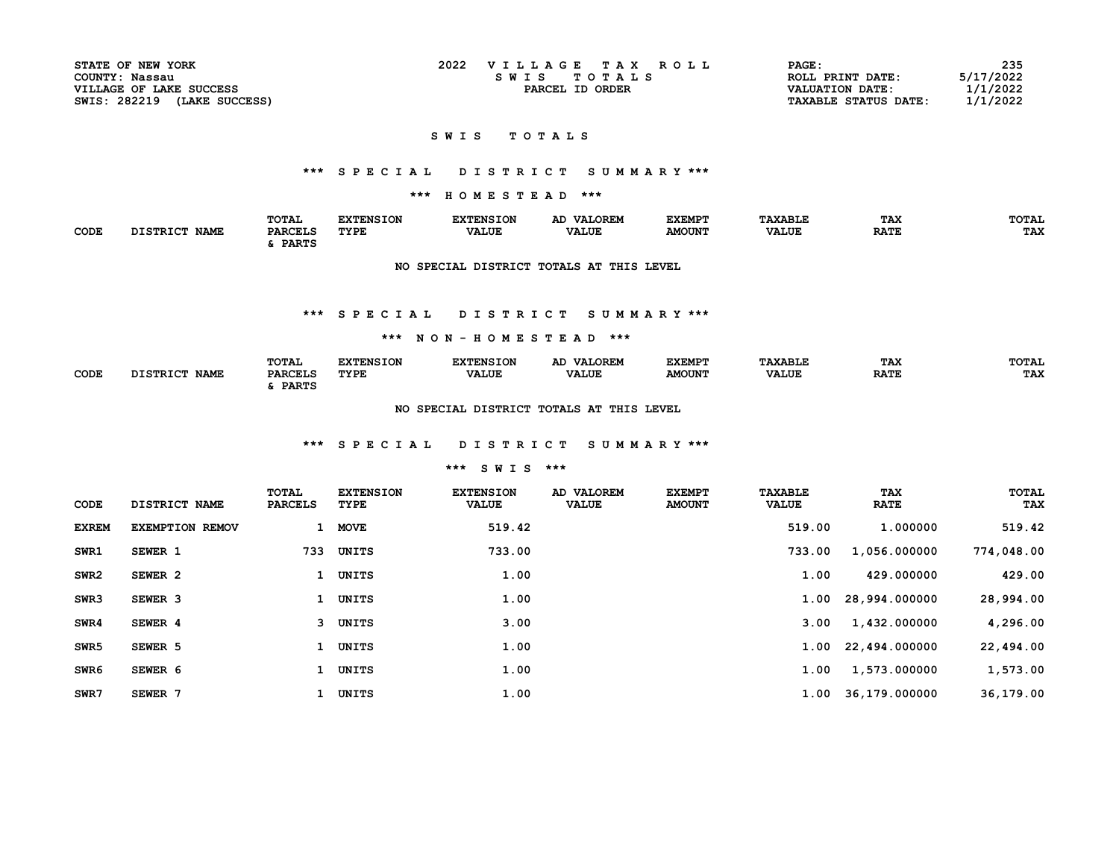| STATE OF NEW YORK           | 2022<br>VILLAGE TAX ROLL | PAGE:                       | 235       |
|-----------------------------|--------------------------|-----------------------------|-----------|
| COUNTY: Nassau              | SWIS TOTALS              | ROLL PRINT DATE:            | 5/17/2022 |
| VILLAGE OF LAKE SUCCESS     | PARCEL ID ORDER          | <b>VALUATION DATE:</b>      | 1/1/2022  |
| SWIS: 282219 (LAKE SUCCESS) |                          | <b>TAXABLE STATUS DATE:</b> | 1/1/2022  |

#### S W I S T O T A L S

## \*\*\* S P E C I A L D I S T R I C T S U M M A R Y \*\*\*

## \*\*\* H O M E S T E A D \*\*\*

|      |                                | TOTAL          | <b>FYTFNCTON</b> | <b>EXTENSION</b> | <b>VALOREM</b> | <b>EXEMPT</b> | <b>TAXABLE</b> | TAX         | <b>TOTAL</b> |
|------|--------------------------------|----------------|------------------|------------------|----------------|---------------|----------------|-------------|--------------|
| CODE | <b>DISTRICT</b><br><b>NAME</b> | <b>PARCELS</b> | <b>TYPE</b>      | <b>VALUE</b>     | <b>VALUE</b>   | <b>AMOUNT</b> | <b>VALUE</b>   | <b>RATE</b> | <b>TAX</b>   |
|      |                                | <b>PARTS</b>   |                  |                  |                |               |                |             |              |

### NO SPECIAL DISTRICT TOTALS AT THIS LEVEL

#### \*\*\* S P E C I A L D I S T R I C T S U M M A R Y \*\*\*

#### \*\*\* N O N - H O M E S T E A D \*\*\*

|      |                                                | TOTAL                               | <b><i>EVERICTON</i></b> |              | <b>VALOREM</b><br>AD. | EXEMP"        | <b>AXABLE</b> | <b>TAX</b>  | TOTAI |
|------|------------------------------------------------|-------------------------------------|-------------------------|--------------|-----------------------|---------------|---------------|-------------|-------|
| CODE | <b>NAME</b><br>$r$ c to $\tau$ $\sigma$ $\tau$ | <b>DADCET.C</b><br>rnrccu.<br>PARTS | TYPE                    | <b>VALUE</b> | <b>VALUE</b>          | <b>AMOUNT</b> | <b>VALUE</b>  | <b>RATE</b> | TAX   |

#### NO SPECIAL DISTRICT TOTALS AT THIS LEVEL

### \*\*\* S P E C I A L D I S T R I C T S U M M A R Y \*\*\*

### \*\*\* S W I S \*\*\*

| CODE             | DISTRICT NAME          | TOTAL<br><b>PARCELS</b> | <b>EXTENSION</b><br>TYPE | <b>EXTENSION</b><br><b>VALUE</b> | AD VALOREM<br><b>VALUE</b> | <b>EXEMPT</b><br><b>AMOUNT</b> | <b>TAXABLE</b><br><b>VALUE</b> | <b>TAX</b><br><b>RATE</b> | <b>TOTAL</b><br>TAX |
|------------------|------------------------|-------------------------|--------------------------|----------------------------------|----------------------------|--------------------------------|--------------------------------|---------------------------|---------------------|
| <b>EXREM</b>     | <b>EXEMPTION REMOV</b> |                         | <b>MOVE</b>              | 519.42                           |                            |                                | 519.00                         | 1.000000                  | 519.42              |
| SWR1             | SEWER 1                | 733                     | UNITS                    | 733.00                           |                            |                                | 733.00                         | 1,056.000000              | 774,048.00          |
| SWR <sub>2</sub> | SEWER 2                | 1                       | UNITS                    | 1.00                             |                            |                                | 1.00                           | 429.000000                | 429.00              |
| SWR3             | SEWER 3                | $\mathbf{1}$            | UNITS                    | 1.00                             |                            |                                |                                | 1.00 28,994.000000        | 28,994.00           |
| SWR4             | SEWER 4                |                         | 3 UNITS                  | 3.00                             |                            |                                | 3.00                           | 1,432.000000              | 4,296.00            |
| SWR <sub>5</sub> | SEWER 5                |                         | UNITS                    | 1.00                             |                            |                                |                                | 1.00 22,494.000000        | 22,494.00           |
| SWR <sub>6</sub> | SEWER 6                |                         | UNITS                    | 1.00                             |                            |                                | 1.00                           | 1,573.000000              | 1,573.00            |
| SWR7             | SEWER 7                |                         | UNITS                    | 1.00                             |                            |                                |                                | 1.00 36,179.000000        | 36,179.00           |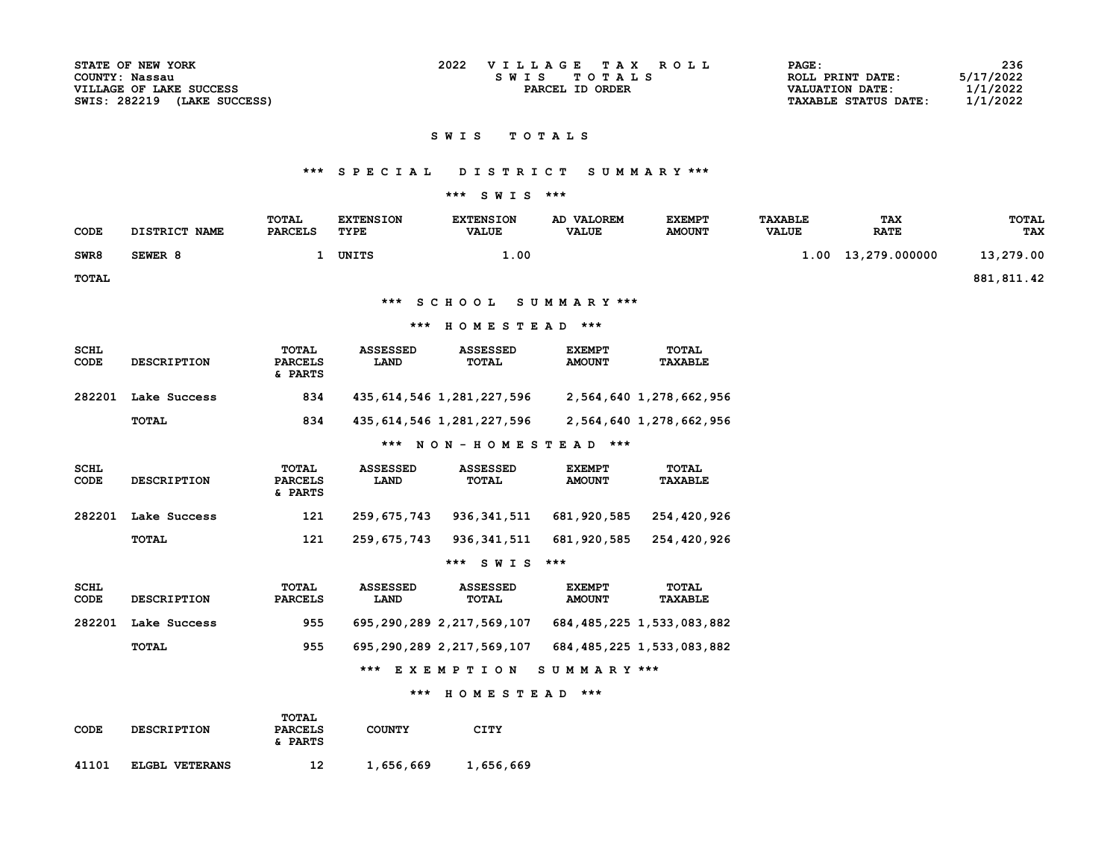| 2022<br>VILLAGE TAX ROLL<br><b>STATE OF NEW YORK</b><br>PAGE: | 236                         |
|---------------------------------------------------------------|-----------------------------|
| COUNTY: Nassau                                                | 5/17/2022                   |
| SWIS TOTALS                                                   | ROLL PRINT DATE:            |
| VILLAGE OF LAKE SUCCESS                                       | 1/1/2022                    |
| PARCEL ID ORDER                                               | <b>VALUATION DATE:</b>      |
| SWIS: 282219                                                  | 1/1/2022                    |
| (LAKE SUCCESS)                                                | <b>TAXABLE STATUS DATE:</b> |

#### S W I S T O T A L S

# \*\*\* S P E C I A L D I S T R I C T S U M M A R Y \*\*\*

### \*\*\* S W I S \*\*\*

| CODE         | DISTRICT NAME | TOTAL<br><b>PARCELS</b> | <b>EXTENSION</b><br>TYPE | <b>EXTENSION</b><br><b>VALUE</b> | AD VALOREM<br><b>VALUE</b> | <b>EXEMPT</b><br><b>AMOUNT</b> | <b>TAXABLE</b><br><b>VALUE</b> | <b>TAX</b><br><b>RATE</b> | TOTAL<br>TAX |
|--------------|---------------|-------------------------|--------------------------|----------------------------------|----------------------------|--------------------------------|--------------------------------|---------------------------|--------------|
| SWR8         | SEWER 8       |                         | UNITS                    | $\overline{100}$                 |                            |                                |                                | 1.00 13,279.000000        | 13,279.00    |
| <b>TOTAL</b> |               |                         |                          |                                  |                            |                                |                                |                           | 881,811.42   |

\*\*\* S C H O O L S U M M A R Y \*\*\*

### \*\*\* H O M E S T E A D \*\*\*

| SCHL<br>CODE | <b>DESCRIPTION</b> | TOTAL<br><b>PARCELS</b><br>& PARTS | <b>ASSESSED</b><br>LAND | <b>ASSESSED</b><br>TOTAL  | <b>EXEMPT</b><br><b>AMOUNT</b> | <b>TOTAL</b><br><b>TAXABLE</b> |
|--------------|--------------------|------------------------------------|-------------------------|---------------------------|--------------------------------|--------------------------------|
| 282201       | Lake Success       | 834                                |                         | 435,614,546 1,281,227,596 |                                | 2,564,640 1,278,662,956        |
|              | TOTAL              | 834                                |                         | 435,614,546 1,281,227,596 |                                | 2,564,640 1,278,662,956        |
|              |                    |                                    |                         |                           |                                |                                |

\*\*\* N O N - H O M E S T E A D \*\*\*

| SCHL<br>CODE | <b>DESCRIPTION</b> | TOTAL<br><b>PARCELS</b><br>& PARTS | <b>ASSESSED</b><br>LAND | <b>ASSESSED</b><br><b>TOTAL</b> | <b>EXEMPT</b><br><b>AMOUNT</b> | TOTAL<br>TAXABLE |
|--------------|--------------------|------------------------------------|-------------------------|---------------------------------|--------------------------------|------------------|
| 282201       | Lake Success       | 121                                | 259,675,743             | 936,341,511                     | 681,920,585                    | 254,420,926      |
|              | TOTAL              | 121                                | 259,675,743             | 936,341,511                     | 681,920,585                    | 254,420,926      |

### \*\*\* S W I S \*\*\*

| SCHL<br>CODE | <b>DESCRIPTION</b> | TOTAL<br><b>PARCELS</b> | <b>ASSESSED</b><br>LAND | <b>ASSESSED</b><br>TOTAL  | <b>EXEMPT</b><br><b>AMOUNT</b> | TOTAL<br>TAXABLE               |
|--------------|--------------------|-------------------------|-------------------------|---------------------------|--------------------------------|--------------------------------|
| 282201       | Lake Success       | 955                     |                         | 695,290,289 2,217,569,107 |                                | 684, 485, 225 1, 533, 083, 882 |
|              | TOTAL              | 955                     |                         | 695,290,289 2,217,569,107 |                                | 684, 485, 225 1, 533, 083, 882 |
|              |                    |                         |                         | *** EXEMPTION SUMMARY *** |                                |                                |

#### \*\*\* H O M E S T E A D \*\*\*

| CODE  | <b>DESCRIPTION</b> | TOTAL<br><b>PARCELS</b><br>& PARTS | <b>COUNTY</b> | CITY      |  |
|-------|--------------------|------------------------------------|---------------|-----------|--|
| 41101 | ELGBL VETERANS     | 12                                 | 1,656,669     | 1,656,669 |  |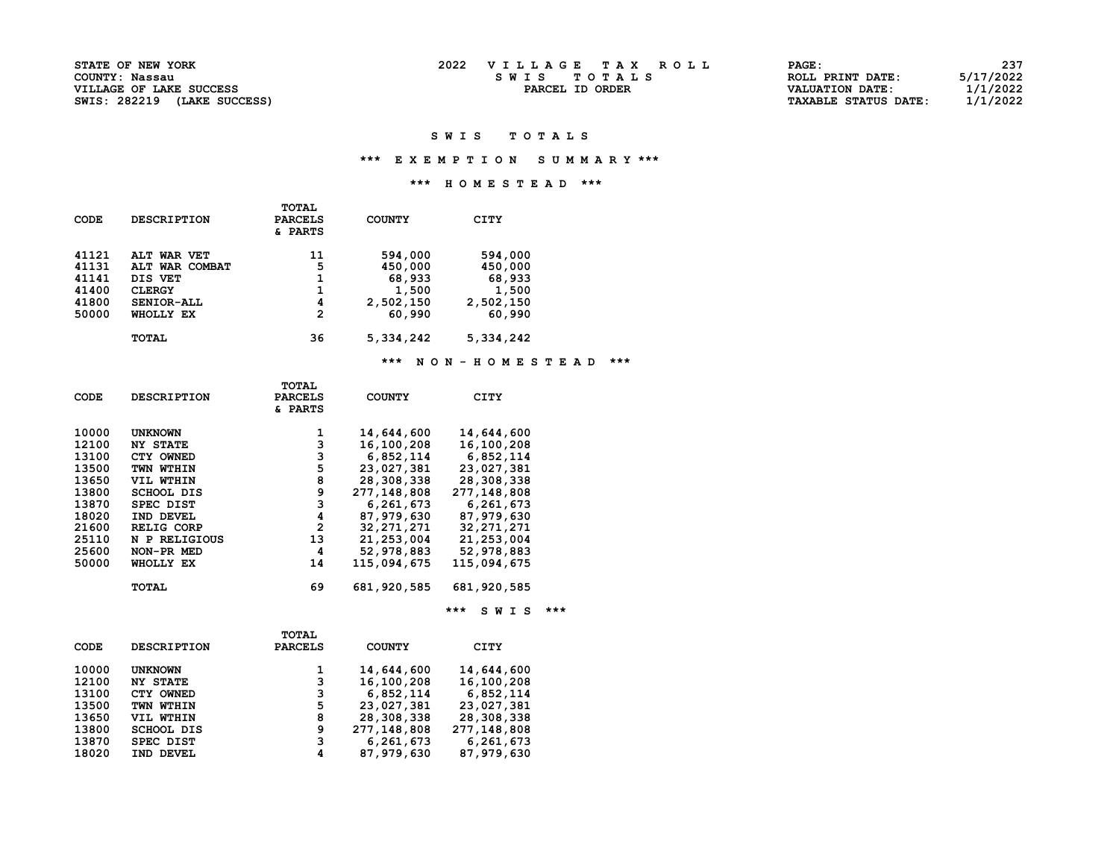| <b>PAGE :</b>               | 237       |
|-----------------------------|-----------|
| ROLL PRINT DATE:            | 5/17/2022 |
| <b>VALUATION DATE:</b>      | 1/1/2022  |
| <b>TAXABLE STATUS DATE:</b> | 1/1/2022  |

#### SWIS TOTALS

### \*\*\* E X E M P T I O N S U M M A R Y \*\*\*

### \*\*\* H O M E S T E A D \*\*\*

| ALT WAR VET<br>ALT WAR COMBAT | 11 | 594,000   | 594,000   |
|-------------------------------|----|-----------|-----------|
|                               |    |           |           |
|                               | 5  | 450,000   | 450,000   |
| DIS VET                       | 1  | 68,933    | 68,933    |
| <b>CLERGY</b>                 | 1  | 1,500     | 1,500     |
| SENIOR-ALL                    | 4  | 2,502,150 | 2,502,150 |
| WHOLLY EX                     | 2  | 60,990    | 60,990    |
| <b>TOTAL</b>                  | 36 | 5,334,242 | 5,334,242 |
|                               |    |           |           |

### \*\*\* N O N - H O M E S T E A D \*\*\*

|       |                    | <b>TOTAL</b>       |               |               |  |
|-------|--------------------|--------------------|---------------|---------------|--|
| CODE  | <b>DESCRIPTION</b> | <b>PARCELS</b>     | <b>COUNTY</b> | CITY          |  |
|       |                    | <b>&amp; PARTS</b> |               |               |  |
|       |                    |                    |               |               |  |
| 10000 | <b>UNKNOWN</b>     | 1                  | 14,644,600    | 14,644,600    |  |
| 12100 | <b>NY STATE</b>    | 3                  | 16,100,208    | 16,100,208    |  |
| 13100 | CTY OWNED          | 3                  | 6,852,114     | 6,852,114     |  |
| 13500 | TWN WTHIN          | 5                  | 23,027,381    | 23,027,381    |  |
| 13650 | VIL WTHIN          | 8                  | 28,308,338    | 28,308,338    |  |
| 13800 | <b>SCHOOL DIS</b>  | 9                  | 277,148,808   | 277,148,808   |  |
| 13870 | <b>SPEC DIST</b>   | 3                  | 6,261,673     | 6,261,673     |  |
| 18020 | IND DEVEL          | 4                  | 87,979,630    | 87,979,630    |  |
| 21600 | <b>RELIG CORP</b>  | 2                  | 32, 271, 271  | 32, 271, 271  |  |
| 25110 | N P RELIGIOUS      | 13                 | 21, 253, 004  | 21,253,004    |  |
| 25600 | NON-PR MED         | 4                  | 52,978,883    | 52,978,883    |  |
| 50000 | WHOLLY EX          | 14                 | 115,094,675   | 115,094,675   |  |
|       |                    |                    |               |               |  |
|       | <b>TOTAL</b>       | 69                 | 681,920,585   | 681, 920, 585 |  |
|       |                    |                    |               |               |  |

\*\*\* SWIS \*\*\*

|       |                    | <b>TOTAL</b>   |               |             |
|-------|--------------------|----------------|---------------|-------------|
| CODE  | <b>DESCRIPTION</b> | <b>PARCELS</b> | <b>COUNTY</b> | CITY        |
| 10000 | <b>UNKNOWN</b>     | 1              | 14,644,600    | 14,644,600  |
| 12100 | <b>NY STATE</b>    | 3              | 16,100,208    | 16,100,208  |
| 13100 | CTY OWNED          | 3              | 6,852,114     | 6,852,114   |
| 13500 | TWN WTHIN          | 5              | 23,027,381    | 23,027,381  |
| 13650 | VIL WTHIN          | 8              | 28,308,338    | 28,308,338  |
| 13800 | <b>SCHOOL DIS</b>  | 9              | 277,148,808   | 277,148,808 |
| 13870 | SPEC DIST          | з              | 6,261,673     | 6,261,673   |
| 18020 | IND DEVEL          | 4              | 87,979,630    | 87,979,630  |
|       |                    |                |               |             |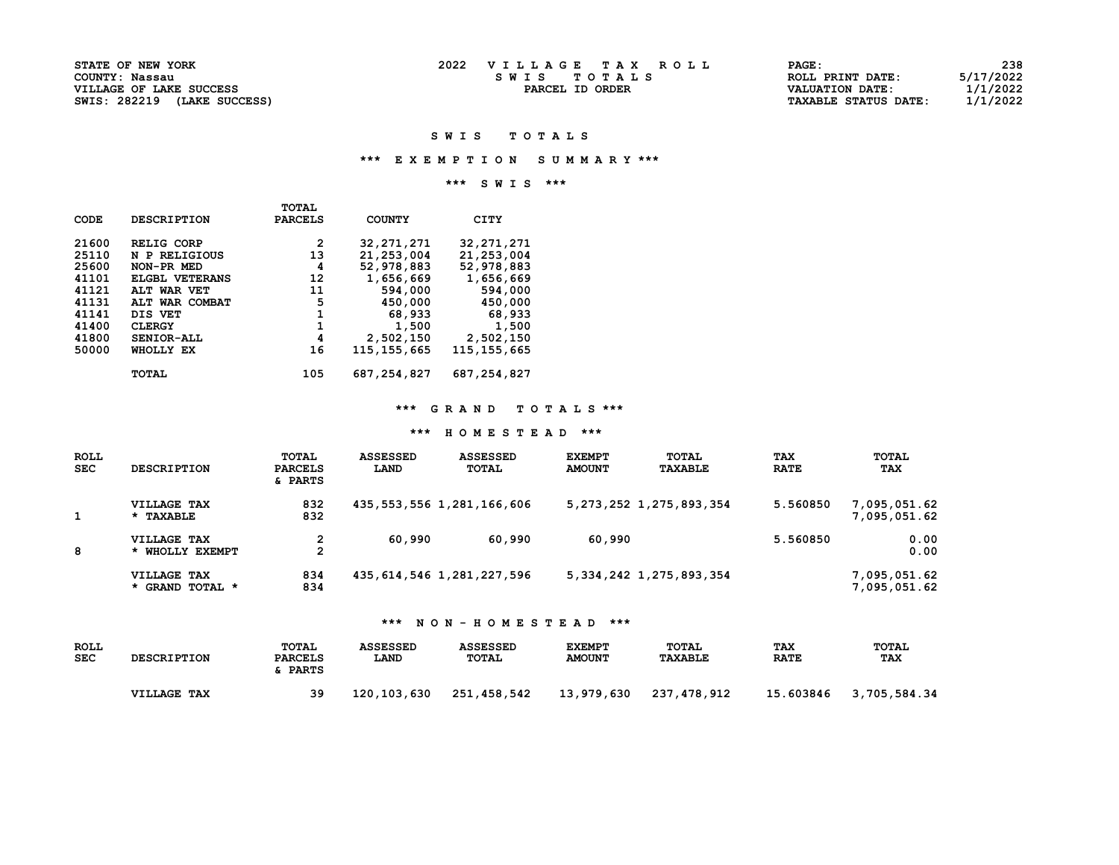| <b>PAGE :</b>        | 238       |
|----------------------|-----------|
| ROLL PRINT DATE:     | 5/17/2022 |
| VALUATION DATE:      | 1/1/2022  |
| TAXABLE STATUS DATE: | 1/1/2022  |

#### SWIS TOTALS

### \*\*\* E X E M P T I O N S U M M A R Y \*\*\*

### \*\*\* S W I S \*\*\*

|             |                        |                       | <b>TOTAL</b>   |               |               |
|-------------|------------------------|-----------------------|----------------|---------------|---------------|
| <b>CODE</b> |                        | <b>DESCRIPTION</b>    | <b>PARCELS</b> | <b>COUNTY</b> | <b>CITY</b>   |
|             | 21600                  | RELIG CORP            | 2              | 32, 271, 271  | 32, 271, 271  |
|             | 25110                  | N P RELIGIOUS         | 13             | 21, 253, 004  | 21, 253, 004  |
|             | 25600                  | NON-PR MED            | 4              | 52,978,883    | 52,978,883    |
|             | 41101                  | <b>ELGBL VETERANS</b> | 12             | 1,656,669     | 1,656,669     |
|             | 41121                  | ALT WAR VET           | 11             | 594,000       | 594,000       |
|             | 41131                  | ALT WAR COMBAT        | 5              | 450,000       | 450,000       |
|             | 41141<br>DIS VET       |                       |                | 68,933        | 68,933        |
|             | 41400<br><b>CLERGY</b> |                       | 1              | 1,500         | 1,500         |
|             | 41800                  | SENIOR-ALL            | 4              | 2,502,150     | 2,502,150     |
|             | 50000                  | WHOLLY EX             | 16             | 115, 155, 665 | 115, 155, 665 |
|             | <b>TOTAL</b>           |                       | 105            | 687, 254, 827 | 687, 254, 827 |

### \*\*\* G R A N D T O T A L S \*\*\*

#### \*\*\* H O M E S T E A D \*\*\*

| <b>ROLL</b><br><b>SEC</b> | <b>DESCRIPTION</b>             | TOTAL<br><b>PARCELS</b><br>& PARTS | <b>ASSESSED</b><br>LAND | <b>ASSESSED</b><br>TOTAL       | <b>EXEMPT</b><br><b>AMOUNT</b> | TOTAL<br><b>TAXABLE</b>      | <b>TAX</b><br><b>RATE</b> | TOTAL<br><b>TAX</b>          |
|---------------------------|--------------------------------|------------------------------------|-------------------------|--------------------------------|--------------------------------|------------------------------|---------------------------|------------------------------|
|                           | VILLAGE TAX<br>* TAXABLE       | 832<br>832                         |                         | 435, 553, 556 1, 281, 166, 606 |                                | 5, 273, 252 1, 275, 893, 354 | 5.560850                  | 7,095,051.62<br>7,095,051.62 |
| 8                         | VILLAGE TAX<br>* WHOLLY EXEMPT | 2                                  | 60,990                  | 60,990                         | 60,990                         |                              | 5.560850                  | 0.00<br>0.00                 |
|                           | VILLAGE TAX<br>* GRAND TOTAL * | 834<br>834                         |                         | 435, 614, 546 1, 281, 227, 596 |                                | 5, 334, 242 1, 275, 893, 354 |                           | 7,095,051.62<br>7,095,051.62 |

| <b>ROLL</b><br><b>SEC</b> | <b>DESCRIPTION</b> | TOTAL<br><b>PARCELS</b><br><b>PARTS</b> | <b>ASSESSED</b><br>LAND | <b>ASSESSED</b><br>TOTAL | <b>EXEMPT</b><br><b>AMOUNT</b> | TOTAL<br><b>TAXABLE</b> | TAX<br><b>RATE</b> | TOTAL<br><b>TAX</b> |
|---------------------------|--------------------|-----------------------------------------|-------------------------|--------------------------|--------------------------------|-------------------------|--------------------|---------------------|
|                           | VILLAGE TAX        | 39                                      | 120,103,630             | 251,458,542              | 13,979,630                     | 237,478,912             | 15.603846          | 3,705,584.34        |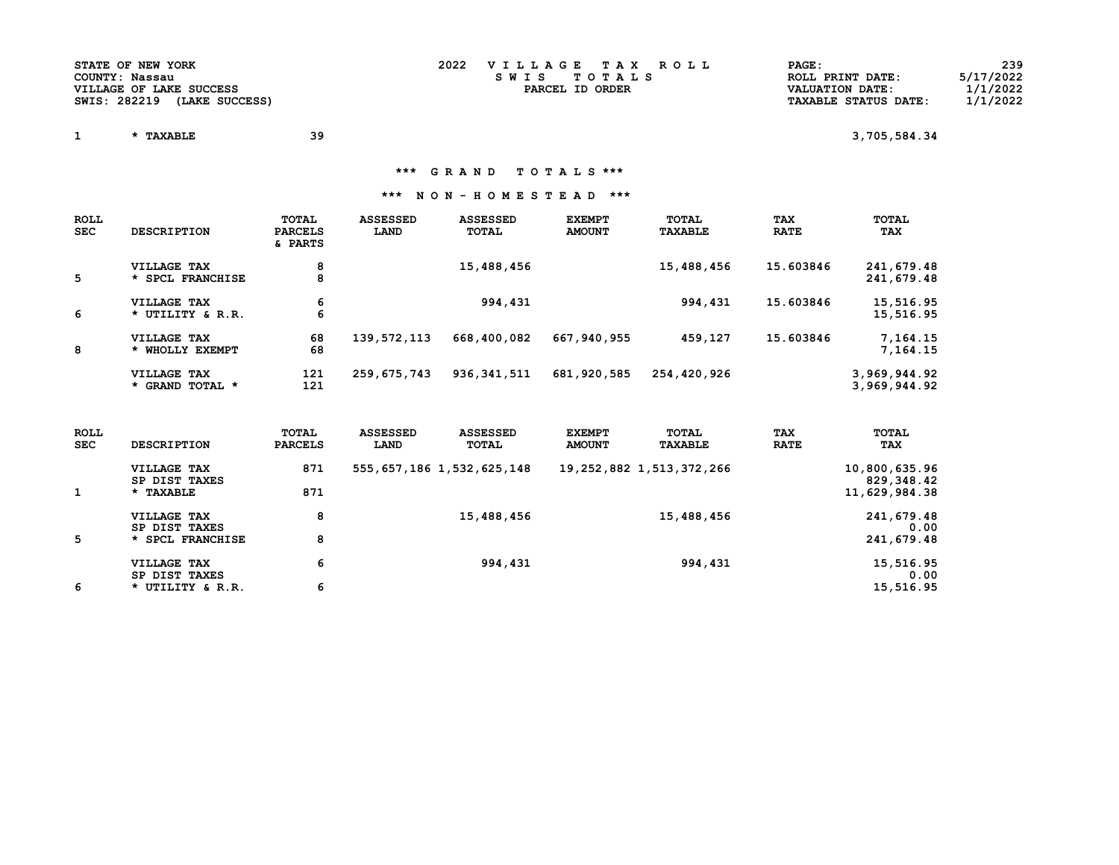| STATE OF NEW YORK              | 2022 | VILLAGE TAX ROLL | PAGE:                       | 239       |
|--------------------------------|------|------------------|-----------------------------|-----------|
| COUNTY: Nassau                 |      | SWIS TOTALS      | ROLL PRINT DATE:            | 5/17/2022 |
| VILLAGE OF LAKE SUCCESS        |      | PARCEL ID ORDER  | VALUATION DATE:             | 1/1/2022  |
| SWIS: 282219<br>(LAKE SUCCESS) |      |                  | <b>TAXABLE STATUS DATE:</b> | 1/1/2022  |

 $1 \quad * \text{ TAXABLE} \quad 39 \quad 3,705,584.34$ 

\*\*\* G R A N D T O T A L S \*\*\*

| <b>ROLL</b><br><b>SEC</b> | <b>DESCRIPTION</b>              | TOTAL<br><b>PARCELS</b><br>& PARTS | <b>ASSESSED</b><br>LAND | <b>ASSESSED</b><br>TOTAL | <b>EXEMPT</b><br><b>AMOUNT</b> | TOTAL<br><b>TAXABLE</b> | <b>TAX</b><br><b>RATE</b> | TOTAL<br>TAX                 |
|---------------------------|---------------------------------|------------------------------------|-------------------------|--------------------------|--------------------------------|-------------------------|---------------------------|------------------------------|
| 5                         | VILLAGE TAX<br>* SPCL FRANCHISE | 8<br>8                             |                         | 15,488,456               |                                | 15,488,456              | 15.603846                 | 241,679.48<br>241,679.48     |
| 6                         | VILLAGE TAX<br>* UTILITY & R.R. | 6<br>6                             |                         | 994,431                  |                                | 994,431                 | 15.603846                 | 15,516.95<br>15,516.95       |
| 8                         | VILLAGE TAX<br>* WHOLLY EXEMPT  | 68<br>68                           | 139,572,113             | 668,400,082              | 667,940,955                    | 459,127                 | 15.603846                 | 7,164.15<br>7.164.15         |
|                           | VILLAGE TAX<br>* GRAND TOTAL *  | 121<br>121                         | 259,675,743             | 936, 341, 511            | 681,920,585                    | 254,420,926             |                           | 3,969,944.92<br>3,969,944.92 |

| <b>ROLL</b><br><b>SEC</b> | <b>DESCRIPTION</b>           | TOTAL<br><b>PARCELS</b> | <b>ASSESSED</b><br>LAND | <b>ASSESSED</b><br>TOTAL       | <b>EXEMPT</b><br><b>AMOUNT</b> | TOTAL<br><b>TAXABLE</b>       | <b>TAX</b><br><b>RATE</b> | TOTAL<br>TAX                |
|---------------------------|------------------------------|-------------------------|-------------------------|--------------------------------|--------------------------------|-------------------------------|---------------------------|-----------------------------|
|                           | VILLAGE TAX<br>SP DIST TAXES | 871                     |                         | 555, 657, 186 1, 532, 625, 148 |                                | 19, 252, 882 1, 513, 372, 266 |                           | 10,800,635.96<br>829,348.42 |
|                           | * TAXABLE                    | 871                     |                         |                                |                                |                               |                           | 11,629,984.38               |
|                           | VILLAGE TAX<br>SP DIST TAXES | 8                       |                         | 15,488,456                     |                                | 15,488,456                    |                           | 241,679.48<br>0.00          |
| 5                         | * SPCL FRANCHISE             | 8                       |                         |                                |                                |                               |                           | 241,679.48                  |
|                           | VILLAGE TAX<br>SP DIST TAXES | 6                       |                         | 994,431                        |                                | 994,431                       |                           | 15,516.95<br>0.00           |
| 6                         | * UTILITY & R.R.             | 6                       |                         |                                |                                |                               |                           | 15,516.95                   |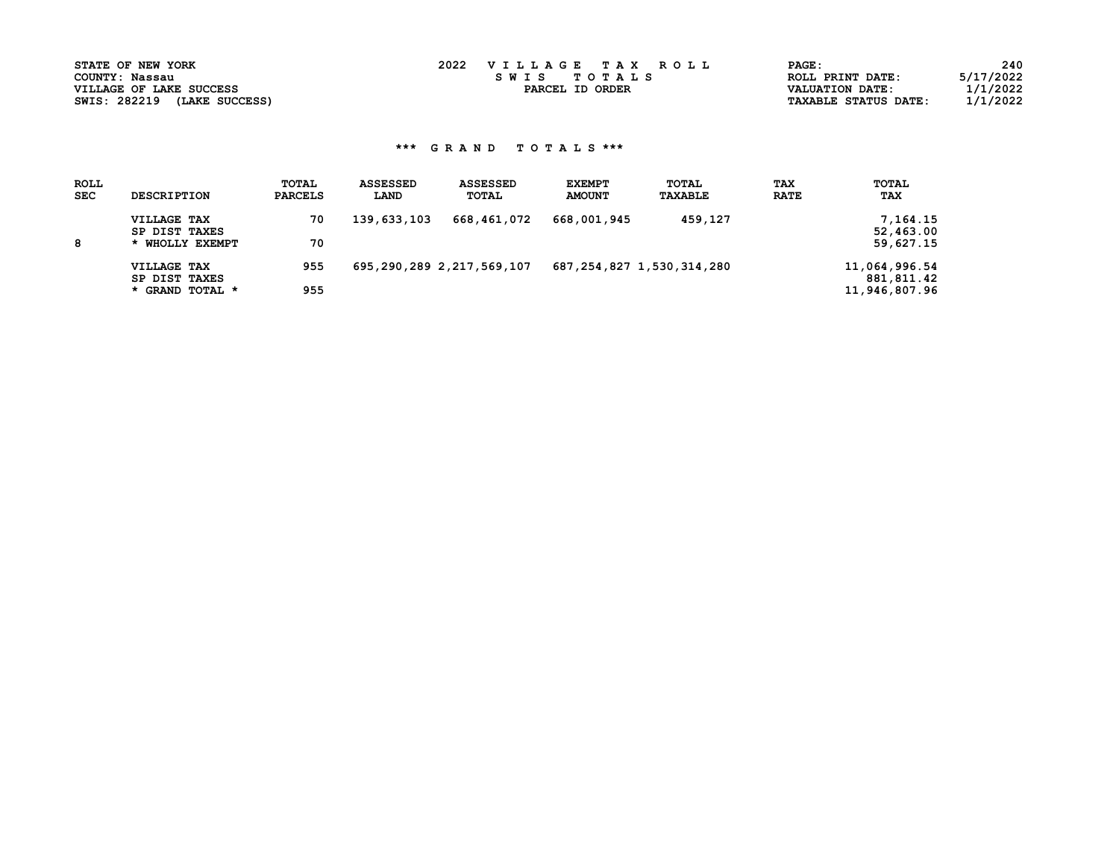| STATE OF NEW YORK              | 2022<br>VILLAGE TAX ROLL | $\mathtt{PAGE}$ :           | 240       |
|--------------------------------|--------------------------|-----------------------------|-----------|
| COUNTY: Nassau                 | TOTALS<br>S W T S        | ROLL PRINT DATE:            | 5/17/2022 |
| VILLAGE OF LAKE SUCCESS        | PARCEL ID ORDER          | VALUATION DATE:             | 11/2022   |
| SWIS: 282219<br>(LAKE SUCCESS) |                          | <b>TAXABLE STATUS DATE:</b> | 1/1/2022  |

| <b>ROLL</b><br><b>SEC</b> | <b>DESCRIPTION</b> | <b>TOTAL</b><br><b>PARCELS</b> | <b>ASSESSED</b><br>LAND | <b>ASSESSED</b><br><b>TOTAL</b> | <b>EXEMPT</b><br><b>AMOUNT</b> | TOTAL<br>TAXABLE | <b>TAX</b><br><b>RATE</b> | <b>TOTAL</b><br>TAX |
|---------------------------|--------------------|--------------------------------|-------------------------|---------------------------------|--------------------------------|------------------|---------------------------|---------------------|
|                           | VILLAGE TAX        | 70                             | 139,633,103             | 668,461,072                     | 668,001,945                    | 459,127          |                           | 7, 164, 15          |
|                           | SP DIST TAXES      |                                |                         |                                 |                                |                  |                           | 52,463.00           |
| 8                         | * WHOLLY EXEMPT    | 70                             |                         |                                 |                                |                  |                           | 59,627.15           |
|                           | VILLAGE TAX        | 955                            |                         | 695,290,289 2,217,569,107       | 687, 254, 827 1, 530, 314, 280 |                  |                           | 11,064,996.54       |
|                           | SP DIST TAXES      |                                |                         |                                 |                                |                  |                           | 881,811.42          |
|                           | * GRAND TOTAL *    | 955                            |                         |                                 |                                |                  |                           | 11,946,807.96       |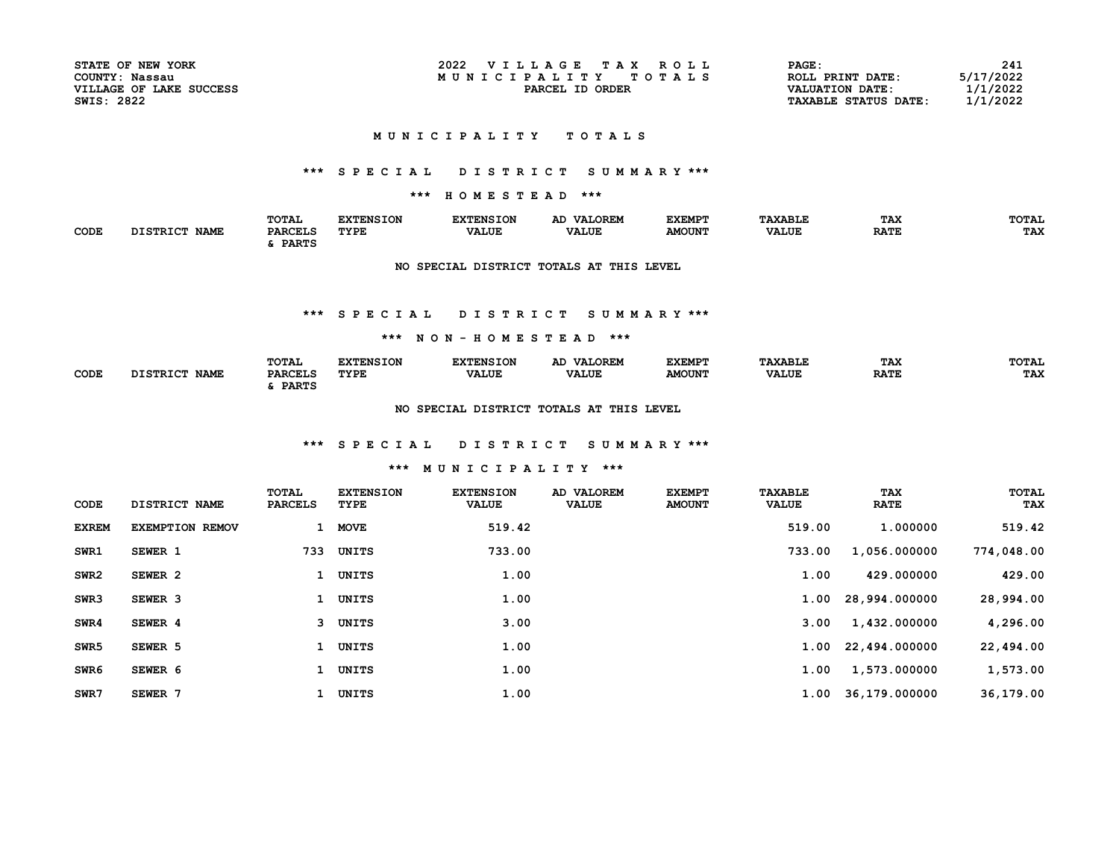| STATE OF NEW YORK       |
|-------------------------|
| COUNTY: Nassau          |
| VILLAGE OF LAKE SUCCESS |
| <b>SWIS: 2822</b>       |

| STATE OF NEW YORK       | 2022<br>VILLAGE<br>T A Y<br>ROLL. | PAGE:                       | 241       |
|-------------------------|-----------------------------------|-----------------------------|-----------|
| COUNTY:<br>Nassau       | MUNICIPALITY<br>TOTAL S           | ROLL PRINT DATE:            | 5/17/2022 |
| VILLAGE OF LAKE SUCCESS | PARCEL<br>ORDER<br>ID             | <b>VALUATION DATE:</b>      | 1/1/2022  |
| SWIS: 2822              |                                   | <b>TAXABLE STATUS DATE:</b> | 1/1/2022  |

#### MUNICIPALITY TOTALS

## \*\*\* S P E C I A L D I S T R I C T S U M M A R Y \*\*\*

## \*\*\* H O M E S T E A D \*\*\*

|      |                                | <b>TOTAL</b>   | <b>EXTENSION</b> | RYTRNSTON    | AD VALOREM   | <b>EXEMPT</b> | <b>"AXABLE</b> | TAX         | TOTAL      |
|------|--------------------------------|----------------|------------------|--------------|--------------|---------------|----------------|-------------|------------|
| CODE | <b>DISTRICT</b><br><b>NAME</b> | <b>PARCELS</b> | <b>TYPE</b>      | <b>VALUE</b> | <b>VALUE</b> | <b>AMOUNT</b> | <b>VALUE</b>   | <b>RATE</b> | <b>TAX</b> |
|      |                                | <b>PARTS</b>   |                  |              |              |               |                |             |            |

### NO SPECIAL DISTRICT TOTALS AT THIS LEVEL

#### \*\*\* S P E C I A L D I S T R I C T S U M M A R Y \*\*\*

#### \*\*\* N O N - H O M E S T E A D \*\*\*

|      |                         | TOTAL                                     | <b>BYBRICTON</b> | <b>EXTENSION</b> | <b>VALOREM</b><br>AD. | <b>EXEMPT</b> | <b><i>FAXABLE</i></b> | TAX         | TOTAL |
|------|-------------------------|-------------------------------------------|------------------|------------------|-----------------------|---------------|-----------------------|-------------|-------|
| CODE | ימד מחסז<br><b>NAME</b> | <b>DADCET.C</b><br>PARCEL<br><b>PARTS</b> | <b>TYPE</b>      | <b>VALUE</b>     | <b>VALUE</b>          | <b>AMOUNT</b> | <b>VALUE</b>          | <b>RATE</b> | TAX   |

#### NO SPECIAL DISTRICT TOTALS AT THIS LEVEL

### \*\*\* S P E C I A L D I S T R I C T S U M M A R Y \*\*\*

### \*\*\* M U N I C I P A L I T Y \*\*\*

| CODE             | DISTRICT NAME          | TOTAL<br><b>PARCELS</b> | <b>EXTENSION</b><br>TYPE | <b>EXTENSION</b><br><b>VALUE</b> | AD VALOREM<br><b>VALUE</b> | <b>EXEMPT</b><br><b>AMOUNT</b> | <b>TAXABLE</b><br><b>VALUE</b> | TAX<br><b>RATE</b> | <b>TOTAL</b><br>TAX |
|------------------|------------------------|-------------------------|--------------------------|----------------------------------|----------------------------|--------------------------------|--------------------------------|--------------------|---------------------|
| <b>EXREM</b>     | <b>EXEMPTION REMOV</b> | $\mathbf{1}$            | <b>MOVE</b>              | 519.42                           |                            |                                | 519.00                         | 1,000000           | 519.42              |
| SWR1             | SEWER 1                | 733                     | UNITS                    | 733.00                           |                            |                                | 733.00                         | 1,056.000000       | 774,048.00          |
| SWR <sub>2</sub> | SEWER 2                | 1                       | <b>UNITS</b>             | 1.00                             |                            |                                | 1.00                           | 429.000000         | 429.00              |
| SWR3             | SEWER <sub>3</sub>     | $\mathbf{1}$            | UNITS                    | 1.00                             |                            |                                |                                | 1.00 28,994.000000 | 28,994.00           |
| SWR4             | SEWER 4                |                         | 3 UNITS                  | 3.00                             |                            |                                | 3.00                           | 1,432.000000       | 4,296.00            |
| SWR <sub>5</sub> | SEWER 5                |                         | UNITS                    | 1.00                             |                            |                                |                                | 1.00 22,494.000000 | 22,494.00           |
| SWR6             | SEWER 6                | 1                       | UNITS                    | 1.00                             |                            |                                | 1.00                           | 1,573.000000       | 1,573.00            |
| SWR7             | SEWER 7                |                         | UNITS                    | 1.00                             |                            |                                |                                | 1.00 36,179.000000 | 36,179.00           |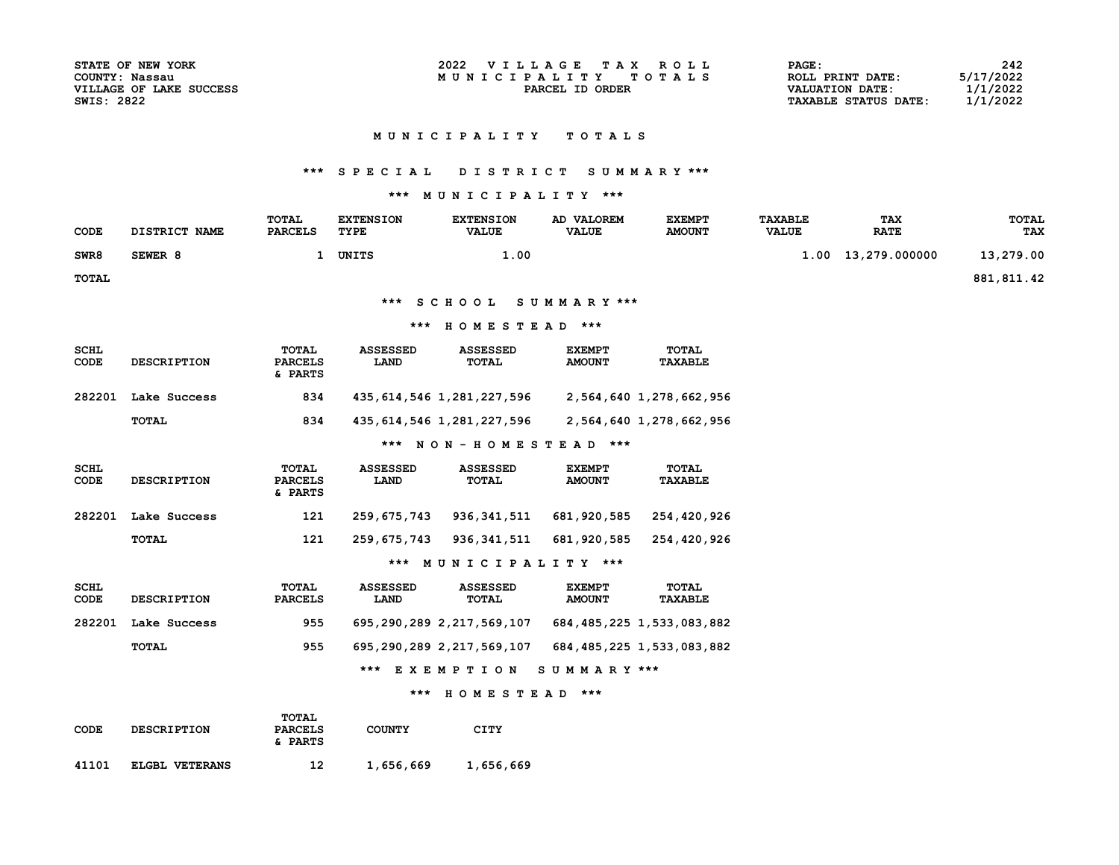| STATE OF NEW YORK       |
|-------------------------|
| COUNTY: Nassau          |
| VILLAGE OF LAKE SUCCESS |
| <b>SWIS: 2822</b>       |

### MUNICIPALITY TOTALS

### \*\*\* S P E C I A L D I S T R I C T S U M M A R Y \*\*\*

## \*\*\* M U N I C I P A L I T Y \*\*\*

| <b>CODE</b>         | DISTRICT NAME      | <b>TOTAL</b><br><b>PARCELS</b>     | <b>EXTENSION</b><br>TYPE | <b>EXTENSION</b><br><b>VALUE</b> | AD VALOREM<br><b>VALUE</b>     | <b>EXEMPT</b><br><b>AMOUNT</b> | <b>TAXABLE</b><br><b>VALUE</b> | <b>TAX</b><br><b>RATE</b> | <b>TOTAL</b><br><b>TAX</b> |
|---------------------|--------------------|------------------------------------|--------------------------|----------------------------------|--------------------------------|--------------------------------|--------------------------------|---------------------------|----------------------------|
| SWR8                | SEWER 8            | $\mathbf{1}$                       | UNITS                    | 1.00                             |                                |                                | 1.00                           | 13,279.000000             | 13,279.00                  |
| TOTAL               |                    |                                    |                          |                                  |                                |                                |                                |                           | 881, 811.42                |
|                     |                    |                                    |                          | *** SCHOOL                       | SUMMARY ***                    |                                |                                |                           |                            |
|                     |                    |                                    | ***                      | HOMESTEAD ***                    |                                |                                |                                |                           |                            |
| <b>SCHL</b><br>CODE | <b>DESCRIPTION</b> | TOTAL<br><b>PARCELS</b><br>& PARTS | <b>ASSESSED</b><br>LAND  | <b>ASSESSED</b><br><b>TOTAL</b>  | <b>EXEMPT</b><br><b>AMOUNT</b> | <b>TOTAL</b><br><b>TAXABLE</b> |                                |                           |                            |
| 282201              | Lake Success       | 834                                |                          | 435, 614, 546 1, 281, 227, 596   |                                | 2,564,640 1,278,662,956        |                                |                           |                            |
|                     | <b>TOTAL</b>       | 834                                |                          | 435, 614, 546 1, 281, 227, 596   |                                | 2,564,640 1,278,662,956        |                                |                           |                            |
|                     |                    |                                    |                          | *** NON-HOMESTEAD ***            |                                |                                |                                |                           |                            |
| <b>SCHL</b><br>CODE | <b>DESCRIPTION</b> | TOTAL<br><b>PARCELS</b><br>& PARTS | <b>ASSESSED</b><br>LAND  | <b>ASSESSED</b><br>TOTAL         | <b>EXEMPT</b><br><b>AMOUNT</b> | <b>TOTAL</b><br><b>TAXABLE</b> |                                |                           |                            |
| 282201              | Lake Success       | 121                                | 259,675,743              | 936,341,511                      | 681,920,585                    | 254,420,926                    |                                |                           |                            |
|                     | <b>TOTAL</b>       | 121                                | 259,675,743              | 936, 341, 511                    | 681,920,585                    | 254,420,926                    |                                |                           |                            |
|                     |                    |                                    |                          | *** MUNICIPALITY ***             |                                |                                |                                |                           |                            |
| <b>SCHL</b><br>CODE | <b>DESCRIPTION</b> | TOTAL<br><b>PARCELS</b>            | <b>ASSESSED</b><br>LAND  | <b>ASSESSED</b><br><b>TOTAL</b>  | <b>EXEMPT</b><br><b>AMOUNT</b> | <b>TOTAL</b><br><b>TAXABLE</b> |                                |                           |                            |
| 282201              | Lake Success       | 955                                |                          | 695,290,289 2,217,569,107        |                                | 684, 485, 225 1, 533, 083, 882 |                                |                           |                            |

TOTAL 955 695,290,289 2,217,569,107 684,485,225 1,533,083,882

\*\*\* E X E M P T I O N S U M M A R Y \*\*\*

#### \*\*\* H O M E S T E A D \*\*\*

| CODE  | <b>DESCRIPTION</b> | TOTAL<br><b>PARCELS</b><br>& PARTS | <b>COUNTY</b> | CITY      |  |
|-------|--------------------|------------------------------------|---------------|-----------|--|
| 41101 | ELGBL VETERANS     | 12                                 | 1,656,669     | 1,656,669 |  |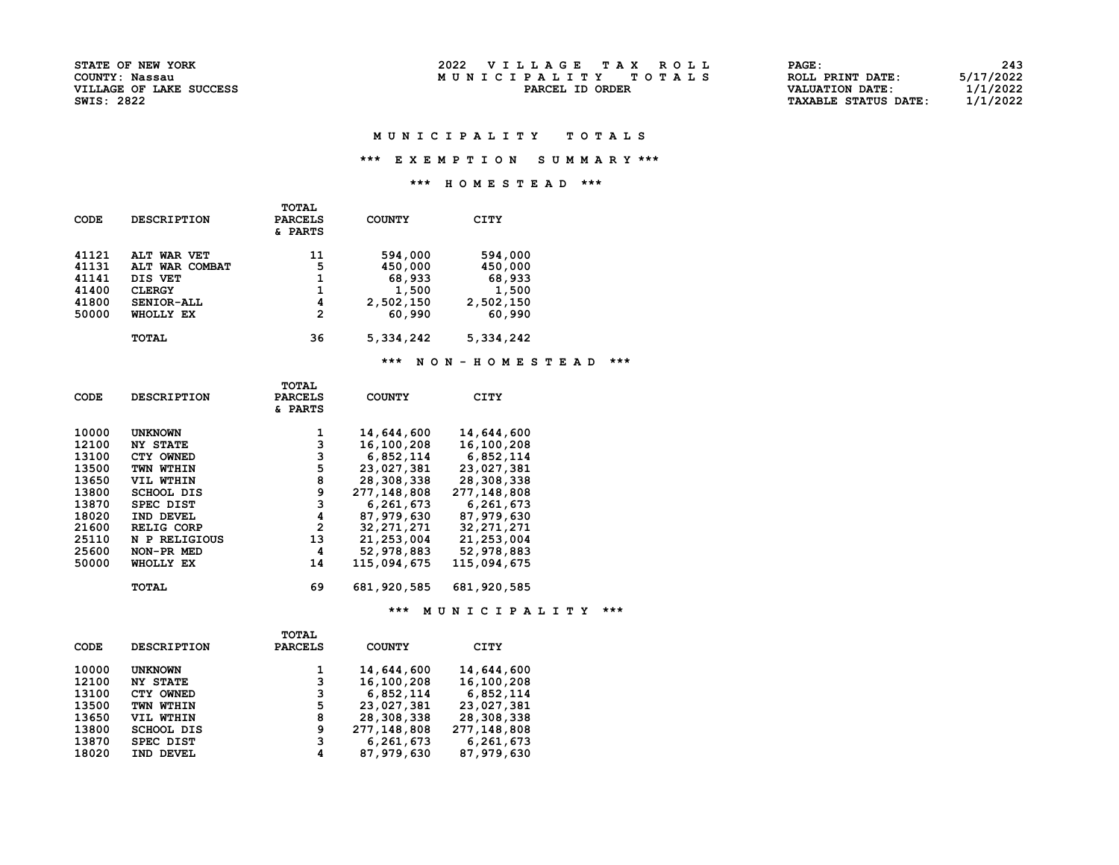| <b>STATE OF NEW YORK</b> | 2022<br>VILLAGE TAX ROLL | PAGE             | 243       |
|--------------------------|--------------------------|------------------|-----------|
| COUNTY: Nassau           | MUNICIPALITY TOTALS      | ROLL PRINT DATE: | 5/17/2022 |
| VILLAGE OF LAKE SHCCESS  | PARCEL ID<br>ORDER       | VALUATION DATE:  | 1/1/2022  |

| <b>STATE OF NEW YORK</b> | 2022<br>VILLAGE TAX ROLL | PAGE:                       | 243       |
|--------------------------|--------------------------|-----------------------------|-----------|
| COUNTY: Nassau           | MUNICIPALITY TOTALS      | ROLL PRINT DATE:            | 5/17/2022 |
| VILLAGE OF LAKE SUCCESS  | PARCEL ID ORDER          | <b>VALUATION DATE:</b>      | 1/1/2022  |
| SWIS: 2822               |                          | <b>TAXABLE STATUS DATE:</b> | 1/1/2022  |

#### M U N I C I P A L I T Y T O T A L S

### \*\*\* E X E M P T I O N S U M M A R Y \*\*\*

### \*\*\* H O M E S T E A D \*\*\*

| CODE  | <b>DESCRIPTION</b> | TOTAL<br><b>PARCELS</b><br>& PARTS | <b>COUNTY</b> | CITY      |
|-------|--------------------|------------------------------------|---------------|-----------|
| 41121 | ALT WAR VET        | 11                                 | 594,000       | 594,000   |
| 41131 | ALT WAR COMBAT     | 5                                  | 450,000       | 450,000   |
| 41141 | DIS VET            |                                    | 68,933        | 68,933    |
| 41400 | <b>CLERGY</b>      |                                    | 1,500         | 1,500     |
| 41800 | SENIOR-ALL         | 4                                  | 2,502,150     | 2,502,150 |
| 50000 | WHOLLY EX          | 2                                  | 60,990        | 60,990    |
|       | <b>TOTAL</b>       | 36                                 | 5,334,242     | 5,334,242 |

### \*\*\* N O N - H O M E S T E A D \*\*\*

|             |                    | TOTAL          |               |              |  |
|-------------|--------------------|----------------|---------------|--------------|--|
| <b>CODE</b> | <b>DESCRIPTION</b> | <b>PARCELS</b> | <b>COUNTY</b> | CITY         |  |
|             |                    | & PARTS        |               |              |  |
|             |                    |                |               |              |  |
| 10000       | <b>UNKNOWN</b>     | 1              | 14,644,600    | 14,644,600   |  |
| 12100       | <b>NY STATE</b>    | 3              | 16,100,208    | 16,100,208   |  |
| 13100       | CTY OWNED          | 3              | 6,852,114     | 6,852,114    |  |
| 13500       | TWN WTHIN          | 5              | 23,027,381    | 23,027,381   |  |
| 13650       | VIL WTHIN          | 8              | 28,308,338    | 28,308,338   |  |
| 13800       | <b>SCHOOL DIS</b>  | 9              | 277,148,808   | 277,148,808  |  |
| 13870       | <b>SPEC DIST</b>   | 3              | 6,261,673     | 6,261,673    |  |
| 18020       | IND DEVEL          | 4              | 87,979,630    | 87,979,630   |  |
| 21600       | <b>RELIG CORP</b>  | $\overline{2}$ | 32, 271, 271  | 32, 271, 271 |  |
| 25110       | N P RELIGIOUS      | 13             | 21,253,004    | 21,253,004   |  |
| 25600       | NON-PR MED         | 4              | 52,978,883    | 52,978,883   |  |
| 50000       | WHOLLY EX          | 14             | 115,094,675   | 115,094,675  |  |
|             |                    |                |               |              |  |
|             | TOTAL              | 69             | 681,920,585   | 681,920,585  |  |
|             |                    |                |               |              |  |
|             |                    |                |               |              |  |

\*\*\* M U N I C I P A L I T Y \*\*\*

|       |                    | <b>TOTAL</b>   |               |             |
|-------|--------------------|----------------|---------------|-------------|
| CODE  | <b>DESCRIPTION</b> | <b>PARCELS</b> | <b>COUNTY</b> | CITY        |
| 10000 | <b>UNKNOWN</b>     | 1              | 14,644,600    | 14,644,600  |
| 12100 | <b>NY STATE</b>    | 3              | 16,100,208    | 16,100,208  |
| 13100 | CTY OWNED          | 3              | 6,852,114     | 6,852,114   |
| 13500 | TWN WTHIN          | 5              | 23,027,381    | 23,027,381  |
| 13650 | VIL WTHIN          | 8              | 28,308,338    | 28,308,338  |
| 13800 | <b>SCHOOL DIS</b>  | 9              | 277,148,808   | 277,148,808 |
| 13870 | SPEC DIST          | 3              | 6,261,673     | 6,261,673   |
| 18020 | IND DEVEL          | 4              | 87,979,630    | 87,979,630  |
|       |                    |                |               |             |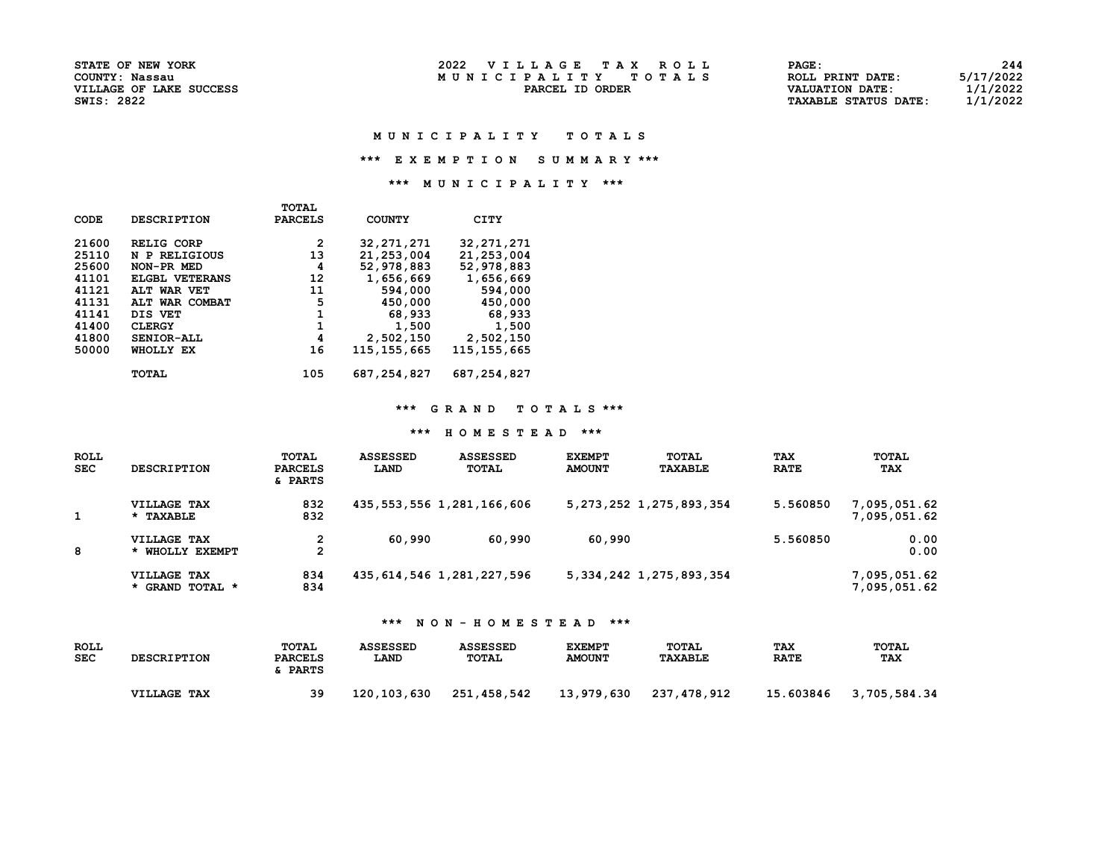STATE OF NEW YORK 2022 V I L L A G E T A X R O L L PAGE: 244 M U N I C I P A L I T Y T O T A L S RORDER TO TALL S

| <b>STATE OF NEW YORK</b> | 2022<br>VILLAGE TAX ROLL | PAGE:                       | 244       |
|--------------------------|--------------------------|-----------------------------|-----------|
| COUNTY: Nassau           | MUNICIPALITY TOTALS      | ROLL PRINT DATE:            | 5/17/2022 |
| VILLAGE OF LAKE SUCCESS  | PARCEL ID ORDER          | VALUATION DATE:             | l/1/2022  |
| SWIS: 2822               |                          | <b>TAXABLE STATUS DATE:</b> | 1/1/2022  |

#### M U N I C I P A L I T Y T O T A L S

\*\*\* E X E M P T I O N S U M M A R Y \*\*\*

\*\*\* M U N I C I P A L I T Y \*\*\*

|             |                       | <b>TOTAL</b>   |               |               |
|-------------|-----------------------|----------------|---------------|---------------|
| <b>CODE</b> | <b>DESCRIPTION</b>    | <b>PARCELS</b> | <b>COUNTY</b> | <b>CITY</b>   |
| 21600       | RELIG CORP            | 2              | 32, 271, 271  | 32, 271, 271  |
| 25110       | N P RELIGIOUS         | 13             | 21, 253, 004  | 21, 253, 004  |
| 25600       | NON-PR MED            | 4              | 52,978,883    | 52,978,883    |
| 41101       | <b>ELGBL VETERANS</b> | 12             | 1,656,669     | 1,656,669     |
| 41121       | ALT WAR VET           | 11             | 594,000       | 594,000       |
| 41131       | ALT WAR COMBAT        | 5              | 450,000       | 450,000       |
| 41141       | DIS VET               | 1              | 68,933        | 68,933        |
| 41400       | <b>CLERGY</b>         | 1              | 1,500         | 1,500         |
| 41800       | SENIOR-ALL            | 4              | 2,502,150     | 2,502,150     |
| 50000       | WHOLLY EX             | 16             | 115,155,665   | 115, 155, 665 |
|             | TOTAL                 | 105            | 687, 254, 827 | 687, 254, 827 |

### \*\*\* G R A N D T O T A L S \*\*\*

#### \*\*\* H O M E S T E A D \*\*\*

| <b>ROLL</b><br><b>SEC</b> | <b>DESCRIPTION</b>             | TOTAL<br><b>PARCELS</b><br>& PARTS | <b>ASSESSED</b><br>LAND | <b>ASSESSED</b><br><b>TOTAL</b> | <b>EXEMPT</b><br><b>AMOUNT</b> | <b>TOTAL</b><br><b>TAXABLE</b> | <b>TAX</b><br><b>RATE</b> | TOTAL<br><b>TAX</b>          |
|---------------------------|--------------------------------|------------------------------------|-------------------------|---------------------------------|--------------------------------|--------------------------------|---------------------------|------------------------------|
|                           | VILLAGE TAX<br>* TAXABLE       | 832<br>832                         |                         | 435, 553, 556 1, 281, 166, 606  |                                | 5, 273, 252 1, 275, 893, 354   | 5.560850                  | 7,095,051.62<br>7,095,051.62 |
| 8                         | VILLAGE TAX<br>* WHOLLY EXEMPT | 2                                  | 60,990                  | 60,990                          | 60,990                         |                                | 5.560850                  | 0.00<br>0.00                 |
|                           | VILLAGE TAX<br>* GRAND TOTAL * | 834<br>834                         |                         | 435, 614, 546 1, 281, 227, 596  |                                | 5, 334, 242 1, 275, 893, 354   |                           | 7,095,051.62<br>7,095,051.62 |

| <b>ROLL</b><br><b>SEC</b> | <b>DESCRIPTION</b> | TOTAL<br>PARCELS<br><b>PARTS</b> | <b>ASSESSED</b><br>LAND | <b>ASSESSED</b><br>TOTAL | <b>EXEMPT</b><br><b>AMOUNT</b> | TOTAL<br><b>TAXABLE</b> | <b>TAX</b><br><b>RATE</b> | TOTAL<br><b>TAX</b> |
|---------------------------|--------------------|----------------------------------|-------------------------|--------------------------|--------------------------------|-------------------------|---------------------------|---------------------|
|                           | VILLAGE TAX        | 39                               | 120,103,630             | 251,458,542              | 13,979,630                     | 237,478,912             | 15.603846                 | 3,705,584.34        |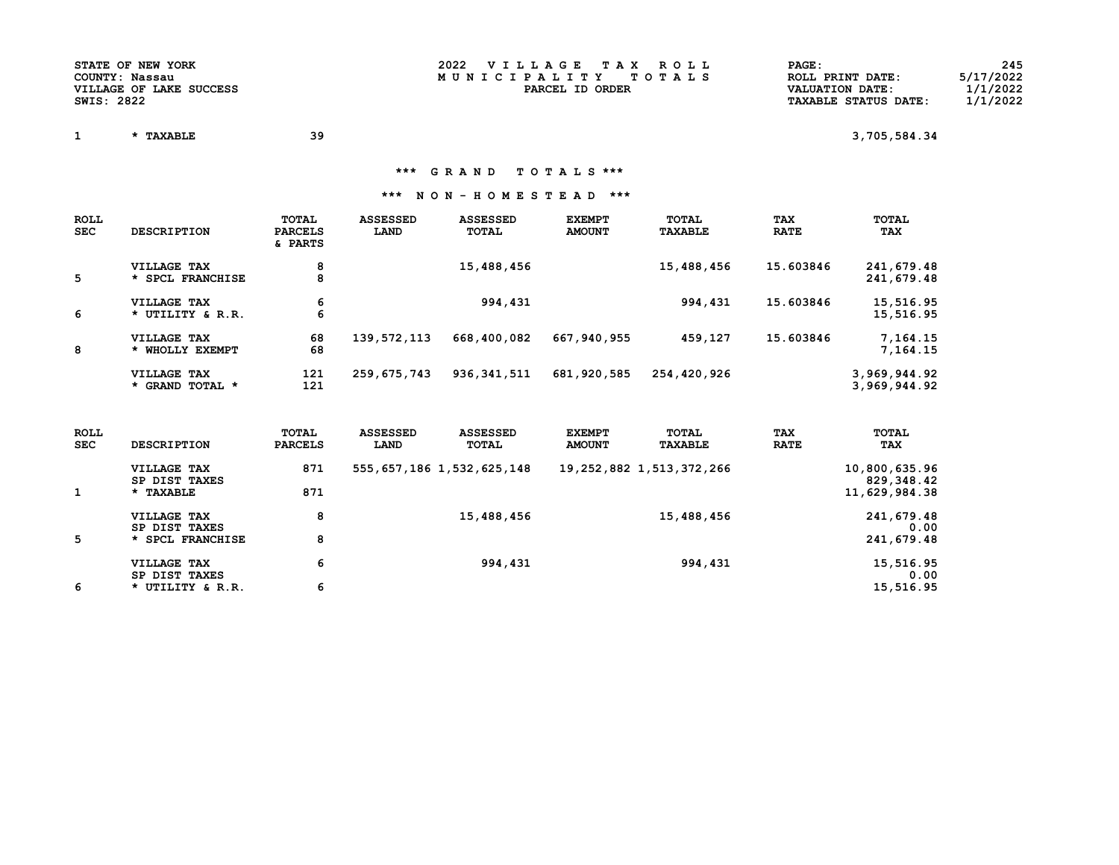| <b>STATE OF NEW YORK</b> | 2022<br>VILLAGE TAX ROLL | PAGE:                       | 245       |
|--------------------------|--------------------------|-----------------------------|-----------|
| COUNTY: Nassau           | MUNICIPALITY TOTALS      | ROLL PRINT DATE:            | 5/17/2022 |
| VILLAGE OF LAKE SUCCESS  | PARCEL ID ORDER          | <b>VALUATION DATE:</b>      | 1/1/2022  |
| SWIS: 2822               |                          | <b>TAXABLE STATUS DATE:</b> | 1/1/2022  |

 $1 \quad * \text{ TAXABLE} \quad 39 \quad 3,705,584.34$ 

\*\*\* G R A N D T O T A L S \*\*\*

| <b>ROLL</b><br><b>SEC</b> | <b>DESCRIPTION</b>              | TOTAL<br><b>PARCELS</b><br>& PARTS | <b>ASSESSED</b><br>LAND | <b>ASSESSED</b><br>TOTAL | <b>EXEMPT</b><br><b>AMOUNT</b> | TOTAL<br><b>TAXABLE</b> | <b>TAX</b><br><b>RATE</b> | TOTAL<br><b>TAX</b>          |
|---------------------------|---------------------------------|------------------------------------|-------------------------|--------------------------|--------------------------------|-------------------------|---------------------------|------------------------------|
| 5                         | VILLAGE TAX<br>* SPCL FRANCHISE | 8<br>8                             |                         | 15,488,456               |                                | 15,488,456              | 15.603846                 | 241,679.48<br>241,679.48     |
| 6                         | VILLAGE TAX<br>* UTILITY & R.R. | 6<br>6                             |                         | 994,431                  |                                | 994,431                 | 15.603846                 | 15,516.95<br>15,516.95       |
| 8                         | VILLAGE TAX<br>* WHOLLY EXEMPT  | 68<br>68                           | 139,572,113             | 668,400,082              | 667,940,955                    | 459,127                 | 15.603846                 | 7,164.15<br>7,164.15         |
|                           | VILLAGE TAX<br>* GRAND TOTAL *  | 121<br>121                         | 259,675,743             | 936, 341, 511            | 681,920,585                    | 254,420,926             |                           | 3,969,944.92<br>3,969,944.92 |

| <b>ROLL</b><br><b>SEC</b> | <b>DESCRIPTION</b>           | TOTAL<br><b>PARCELS</b> | <b>ASSESSED</b><br>LAND | <b>ASSESSED</b><br>TOTAL       | <b>EXEMPT</b><br><b>AMOUNT</b> | TOTAL<br><b>TAXABLE</b>       | <b>TAX</b><br><b>RATE</b> | TOTAL<br>TAX                |
|---------------------------|------------------------------|-------------------------|-------------------------|--------------------------------|--------------------------------|-------------------------------|---------------------------|-----------------------------|
|                           | VILLAGE TAX<br>SP DIST TAXES | 871                     |                         | 555, 657, 186 1, 532, 625, 148 |                                | 19, 252, 882 1, 513, 372, 266 |                           | 10,800,635.96<br>829,348.42 |
|                           | * TAXABLE                    | 871                     |                         |                                |                                |                               |                           | 11,629,984.38               |
|                           | VILLAGE TAX<br>SP DIST TAXES | 8                       |                         | 15,488,456                     |                                | 15,488,456                    |                           | 241,679.48<br>0.00          |
| 5                         | * SPCL FRANCHISE             | 8                       |                         |                                |                                |                               |                           | 241,679.48                  |
|                           | VILLAGE TAX<br>SP DIST TAXES | 6                       |                         | 994,431                        |                                | 994,431                       |                           | 15,516.95<br>0.00           |
| 6                         | * UTILITY & R.R.             | 6                       |                         |                                |                                |                               |                           | 15,516.95                   |